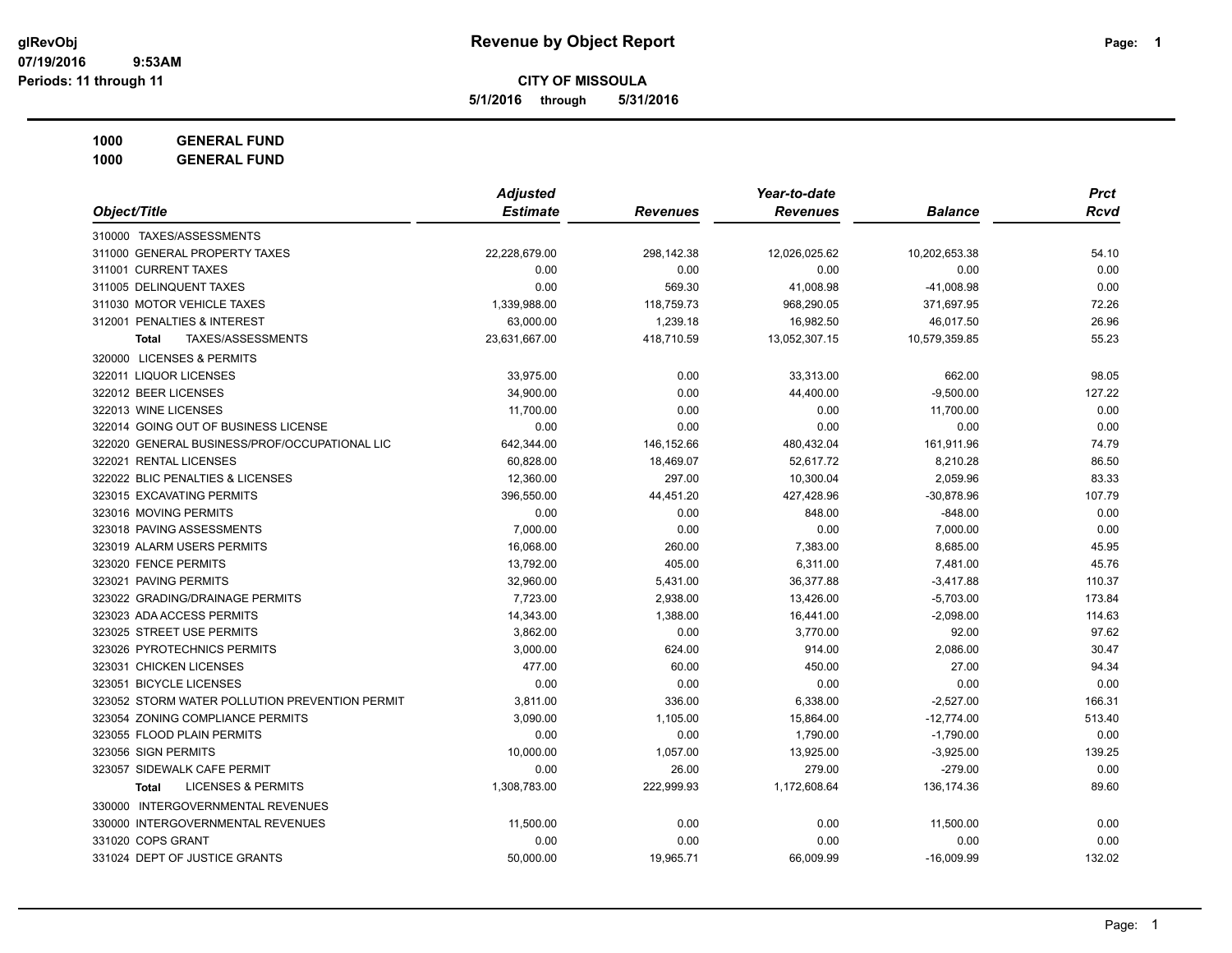**5/1/2016 through 5/31/2016**

**1000 GENERAL FUND**

| Object/Title                                   | <b>Adjusted</b> |                 | Year-to-date    |                | <b>Prct</b> |
|------------------------------------------------|-----------------|-----------------|-----------------|----------------|-------------|
|                                                | <b>Estimate</b> | <b>Revenues</b> | <b>Revenues</b> | <b>Balance</b> | <b>Rcvd</b> |
| 310000 TAXES/ASSESSMENTS                       |                 |                 |                 |                |             |
| 311000 GENERAL PROPERTY TAXES                  | 22,228,679.00   | 298,142.38      | 12,026,025.62   | 10,202,653.38  | 54.10       |
| 311001 CURRENT TAXES                           | 0.00            | 0.00            | 0.00            | 0.00           | 0.00        |
| 311005 DELINQUENT TAXES                        | 0.00            | 569.30          | 41,008.98       | $-41,008.98$   | 0.00        |
| 311030 MOTOR VEHICLE TAXES                     | 1,339,988.00    | 118,759.73      | 968,290.05      | 371,697.95     | 72.26       |
| 312001 PENALTIES & INTEREST                    | 63,000.00       | 1,239.18        | 16,982.50       | 46,017.50      | 26.96       |
| <b>TAXES/ASSESSMENTS</b><br><b>Total</b>       | 23,631,667.00   | 418,710.59      | 13,052,307.15   | 10,579,359.85  | 55.23       |
| 320000 LICENSES & PERMITS                      |                 |                 |                 |                |             |
| 322011 LIQUOR LICENSES                         | 33,975.00       | 0.00            | 33,313.00       | 662.00         | 98.05       |
| 322012 BEER LICENSES                           | 34,900.00       | 0.00            | 44,400.00       | $-9,500.00$    | 127.22      |
| 322013 WINE LICENSES                           | 11,700.00       | 0.00            | 0.00            | 11,700.00      | 0.00        |
| 322014 GOING OUT OF BUSINESS LICENSE           | 0.00            | 0.00            | 0.00            | 0.00           | 0.00        |
| 322020 GENERAL BUSINESS/PROF/OCCUPATIONAL LIC  | 642,344.00      | 146,152.66      | 480,432.04      | 161,911.96     | 74.79       |
| 322021 RENTAL LICENSES                         | 60,828.00       | 18,469.07       | 52,617.72       | 8,210.28       | 86.50       |
| 322022 BLIC PENALTIES & LICENSES               | 12,360.00       | 297.00          | 10,300.04       | 2,059.96       | 83.33       |
| 323015 EXCAVATING PERMITS                      | 396,550.00      | 44,451.20       | 427,428.96      | $-30,878.96$   | 107.79      |
| 323016 MOVING PERMITS                          | 0.00            | 0.00            | 848.00          | $-848.00$      | 0.00        |
| 323018 PAVING ASSESSMENTS                      | 7,000.00        | 0.00            | 0.00            | 7,000.00       | 0.00        |
| 323019 ALARM USERS PERMITS                     | 16,068.00       | 260.00          | 7,383.00        | 8,685.00       | 45.95       |
| 323020 FENCE PERMITS                           | 13,792.00       | 405.00          | 6,311.00        | 7,481.00       | 45.76       |
| 323021 PAVING PERMITS                          | 32,960.00       | 5,431.00        | 36,377.88       | $-3,417.88$    | 110.37      |
| 323022 GRADING/DRAINAGE PERMITS                | 7,723.00        | 2,938.00        | 13,426.00       | $-5,703.00$    | 173.84      |
| 323023 ADA ACCESS PERMITS                      | 14,343.00       | 1,388.00        | 16,441.00       | $-2,098.00$    | 114.63      |
| 323025 STREET USE PERMITS                      | 3,862.00        | 0.00            | 3,770.00        | 92.00          | 97.62       |
| 323026 PYROTECHNICS PERMITS                    | 3,000.00        | 624.00          | 914.00          | 2,086.00       | 30.47       |
| 323031 CHICKEN LICENSES                        | 477.00          | 60.00           | 450.00          | 27.00          | 94.34       |
| 323051 BICYCLE LICENSES                        | 0.00            | 0.00            | 0.00            | 0.00           | 0.00        |
| 323052 STORM WATER POLLUTION PREVENTION PERMIT | 3,811.00        | 336.00          | 6,338.00        | $-2,527.00$    | 166.31      |
| 323054 ZONING COMPLIANCE PERMITS               | 3,090.00        | 1,105.00        | 15,864.00       | $-12,774.00$   | 513.40      |
| 323055 FLOOD PLAIN PERMITS                     | 0.00            | 0.00            | 1,790.00        | $-1,790.00$    | 0.00        |
| 323056 SIGN PERMITS                            | 10,000.00       | 1,057.00        | 13,925.00       | $-3,925.00$    | 139.25      |
| 323057 SIDEWALK CAFE PERMIT                    | 0.00            | 26.00           | 279.00          | $-279.00$      | 0.00        |
| <b>LICENSES &amp; PERMITS</b><br><b>Total</b>  | 1,308,783.00    | 222,999.93      | 1,172,608.64    | 136,174.36     | 89.60       |
| 330000 INTERGOVERNMENTAL REVENUES              |                 |                 |                 |                |             |
| 330000 INTERGOVERNMENTAL REVENUES              | 11,500.00       | 0.00            | 0.00            | 11,500.00      | 0.00        |
| 331020 COPS GRANT                              | 0.00            | 0.00            | 0.00            | 0.00           | 0.00        |
| 331024 DEPT OF JUSTICE GRANTS                  | 50,000.00       | 19,965.71       | 66,009.99       | $-16,009.99$   | 132.02      |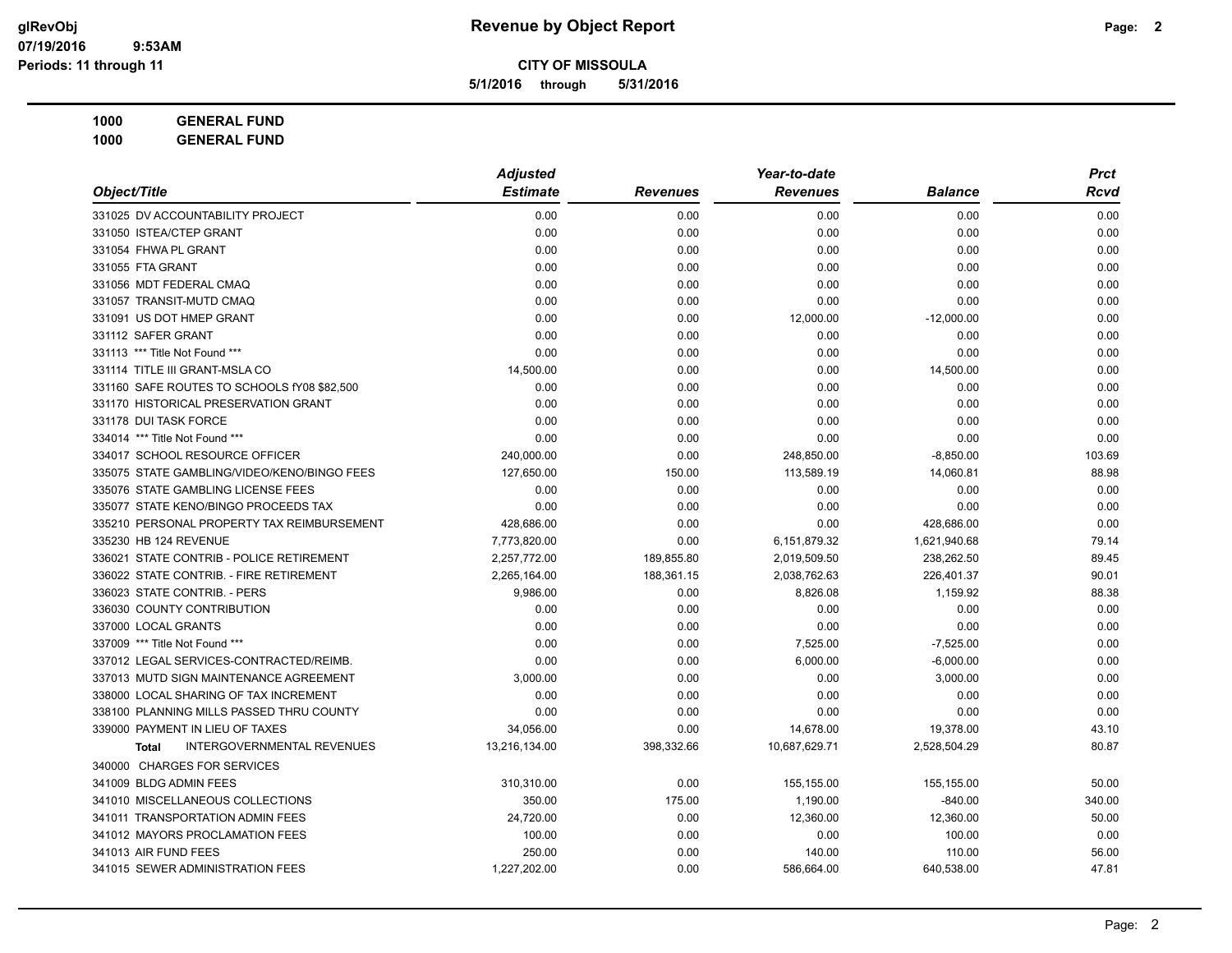**5/1/2016 through 5/31/2016**

| Object/Title                                | <b>Adjusted</b> |                 | Year-to-date    |                | <b>Prct</b> |
|---------------------------------------------|-----------------|-----------------|-----------------|----------------|-------------|
|                                             | <b>Estimate</b> | <b>Revenues</b> | <b>Revenues</b> | <b>Balance</b> | Rcvd        |
| 331025 DV ACCOUNTABILITY PROJECT            | 0.00            | 0.00            | 0.00            | 0.00           | 0.00        |
| 331050 ISTEA/CTEP GRANT                     | 0.00            | 0.00            | 0.00            | 0.00           | 0.00        |
| 331054 FHWA PL GRANT                        | 0.00            | 0.00            | 0.00            | 0.00           | 0.00        |
| 331055 FTA GRANT                            | 0.00            | 0.00            | 0.00            | 0.00           | 0.00        |
| 331056 MDT FEDERAL CMAQ                     | 0.00            | 0.00            | 0.00            | 0.00           | 0.00        |
| 331057 TRANSIT-MUTD CMAQ                    | 0.00            | 0.00            | 0.00            | 0.00           | 0.00        |
| 331091 US DOT HMEP GRANT                    | 0.00            | 0.00            | 12,000.00       | $-12,000.00$   | 0.00        |
| 331112 SAFER GRANT                          | 0.00            | 0.00            | 0.00            | 0.00           | 0.00        |
| 331113 *** Title Not Found ***              | 0.00            | 0.00            | 0.00            | 0.00           | 0.00        |
| 331114 TITLE III GRANT-MSLA CO              | 14,500.00       | 0.00            | 0.00            | 14,500.00      | 0.00        |
| 331160 SAFE ROUTES TO SCHOOLS fY08 \$82,500 | 0.00            | 0.00            | 0.00            | 0.00           | 0.00        |
| 331170 HISTORICAL PRESERVATION GRANT        | 0.00            | 0.00            | 0.00            | 0.00           | 0.00        |
| 331178 DUI TASK FORCE                       | 0.00            | 0.00            | 0.00            | 0.00           | 0.00        |
| 334014 *** Title Not Found ***              | 0.00            | 0.00            | 0.00            | 0.00           | 0.00        |
| 334017 SCHOOL RESOURCE OFFICER              | 240,000.00      | 0.00            | 248,850.00      | $-8,850.00$    | 103.69      |
| 335075 STATE GAMBLING/VIDEO/KENO/BINGO FEES | 127,650.00      | 150.00          | 113,589.19      | 14,060.81      | 88.98       |
| 335076 STATE GAMBLING LICENSE FEES          | 0.00            | 0.00            | 0.00            | 0.00           | 0.00        |
| 335077 STATE KENO/BINGO PROCEEDS TAX        | 0.00            | 0.00            | 0.00            | 0.00           | 0.00        |
| 335210 PERSONAL PROPERTY TAX REIMBURSEMENT  | 428,686.00      | 0.00            | 0.00            | 428,686.00     | 0.00        |
| 335230 HB 124 REVENUE                       | 7,773,820.00    | 0.00            | 6,151,879.32    | 1,621,940.68   | 79.14       |
| 336021 STATE CONTRIB - POLICE RETIREMENT    | 2,257,772.00    | 189,855.80      | 2,019,509.50    | 238,262.50     | 89.45       |
| 336022 STATE CONTRIB. - FIRE RETIREMENT     | 2,265,164.00    | 188,361.15      | 2,038,762.63    | 226,401.37     | 90.01       |
| 336023 STATE CONTRIB. - PERS                | 9,986.00        | 0.00            | 8,826.08        | 1,159.92       | 88.38       |
| 336030 COUNTY CONTRIBUTION                  | 0.00            | 0.00            | 0.00            | 0.00           | 0.00        |
| 337000 LOCAL GRANTS                         | 0.00            | 0.00            | 0.00            | 0.00           | 0.00        |
| 337009 *** Title Not Found ***              | 0.00            | 0.00            | 7,525.00        | $-7,525.00$    | 0.00        |
| 337012 LEGAL SERVICES-CONTRACTED/REIMB.     | 0.00            | 0.00            | 6,000.00        | $-6,000.00$    | 0.00        |
| 337013 MUTD SIGN MAINTENANCE AGREEMENT      | 3,000.00        | 0.00            | 0.00            | 3,000.00       | 0.00        |
| 338000 LOCAL SHARING OF TAX INCREMENT       | 0.00            | 0.00            | 0.00            | 0.00           | 0.00        |
| 338100 PLANNING MILLS PASSED THRU COUNTY    | 0.00            | 0.00            | 0.00            | 0.00           | 0.00        |
| 339000 PAYMENT IN LIEU OF TAXES             | 34,056.00       | 0.00            | 14,678.00       | 19,378.00      | 43.10       |
| INTERGOVERNMENTAL REVENUES<br><b>Total</b>  | 13,216,134.00   | 398,332.66      | 10,687,629.71   | 2,528,504.29   | 80.87       |
| 340000 CHARGES FOR SERVICES                 |                 |                 |                 |                |             |
| 341009 BLDG ADMIN FEES                      | 310,310.00      | 0.00            | 155,155.00      | 155,155.00     | 50.00       |
| 341010 MISCELLANEOUS COLLECTIONS            | 350.00          | 175.00          | 1,190.00        | $-840.00$      | 340.00      |
| 341011 TRANSPORTATION ADMIN FEES            | 24,720.00       | 0.00            | 12,360.00       | 12,360.00      | 50.00       |
| 341012 MAYORS PROCLAMATION FEES             | 100.00          | 0.00            | 0.00            | 100.00         | 0.00        |
| 341013 AIR FUND FEES                        | 250.00          | 0.00            | 140.00          | 110.00         | 56.00       |
| 341015 SEWER ADMINISTRATION FEES            | 1.227.202.00    | 0.00            | 586,664.00      | 640,538.00     | 47.81       |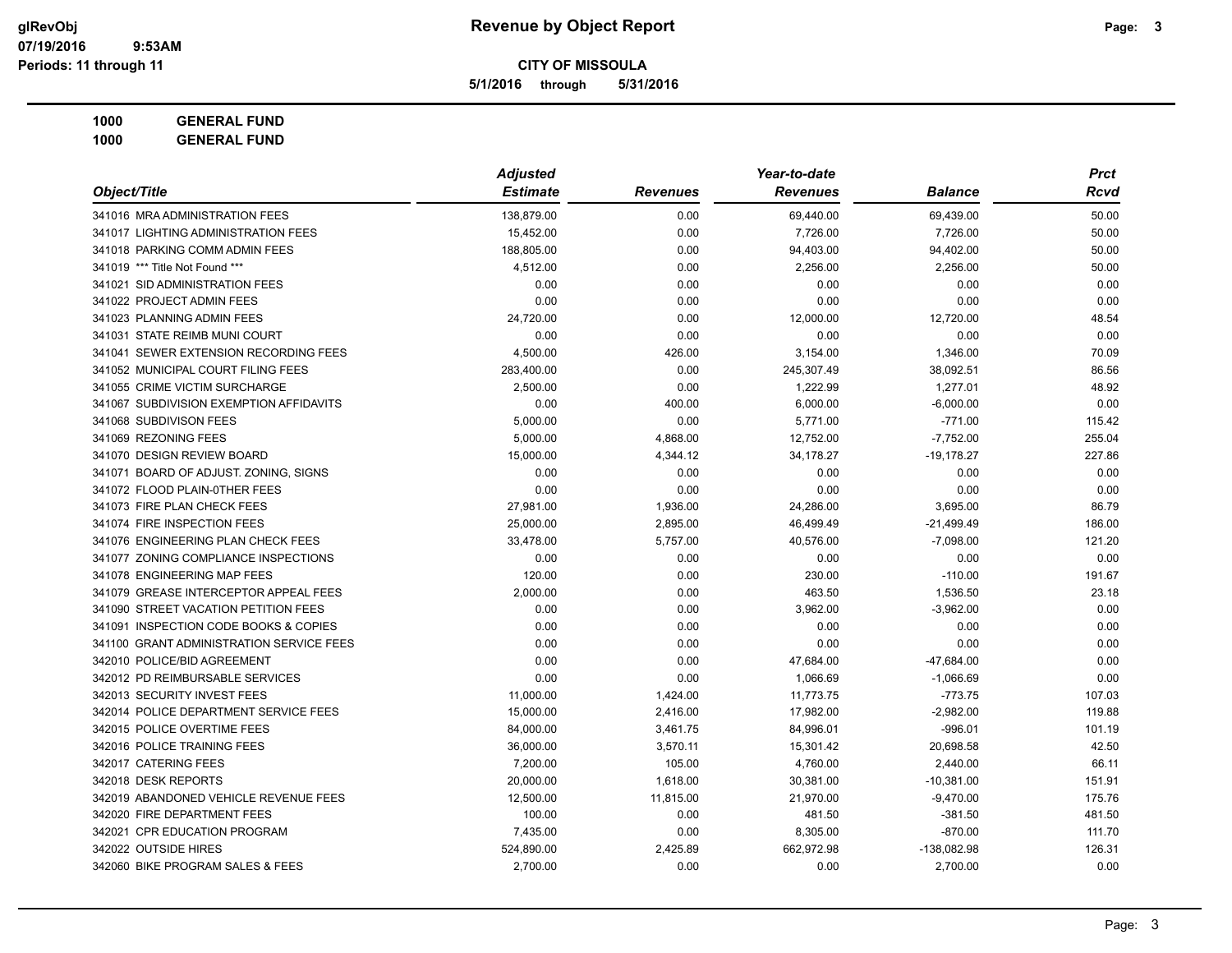**5/1/2016 through 5/31/2016**

| Object/Title                             | <b>Adjusted</b> |                 | Year-to-date    |                | <b>Prct</b> |
|------------------------------------------|-----------------|-----------------|-----------------|----------------|-------------|
|                                          | <b>Estimate</b> | <b>Revenues</b> | <b>Revenues</b> | <b>Balance</b> | Rcvd        |
| 341016 MRA ADMINISTRATION FEES           | 138,879.00      | 0.00            | 69,440.00       | 69,439.00      | 50.00       |
| 341017 LIGHTING ADMINISTRATION FEES      | 15,452.00       | 0.00            | 7,726.00        | 7,726.00       | 50.00       |
| 341018 PARKING COMM ADMIN FEES           | 188,805.00      | 0.00            | 94,403.00       | 94,402.00      | 50.00       |
| 341019 *** Title Not Found ***           | 4,512.00        | 0.00            | 2,256.00        | 2,256.00       | 50.00       |
| 341021 SID ADMINISTRATION FEES           | 0.00            | 0.00            | 0.00            | 0.00           | 0.00        |
| 341022 PROJECT ADMIN FEES                | 0.00            | 0.00            | 0.00            | 0.00           | 0.00        |
| 341023 PLANNING ADMIN FEES               | 24,720.00       | 0.00            | 12,000.00       | 12,720.00      | 48.54       |
| 341031 STATE REIMB MUNI COURT            | 0.00            | 0.00            | 0.00            | 0.00           | 0.00        |
| 341041 SEWER EXTENSION RECORDING FEES    | 4,500.00        | 426.00          | 3,154.00        | 1,346.00       | 70.09       |
| 341052 MUNICIPAL COURT FILING FEES       | 283,400.00      | 0.00            | 245,307.49      | 38,092.51      | 86.56       |
| 341055 CRIME VICTIM SURCHARGE            | 2,500.00        | 0.00            | 1,222.99        | 1,277.01       | 48.92       |
| 341067 SUBDIVISION EXEMPTION AFFIDAVITS  | 0.00            | 400.00          | 6,000.00        | $-6,000.00$    | 0.00        |
| 341068 SUBDIVISON FEES                   | 5,000.00        | 0.00            | 5,771.00        | $-771.00$      | 115.42      |
| 341069 REZONING FEES                     | 5,000.00        | 4,868.00        | 12,752.00       | $-7,752.00$    | 255.04      |
| 341070 DESIGN REVIEW BOARD               | 15,000.00       | 4,344.12        | 34,178.27       | $-19,178.27$   | 227.86      |
| 341071 BOARD OF ADJUST. ZONING, SIGNS    | 0.00            | 0.00            | 0.00            | 0.00           | 0.00        |
| 341072 FLOOD PLAIN-0THER FEES            | 0.00            | 0.00            | 0.00            | 0.00           | 0.00        |
| 341073 FIRE PLAN CHECK FEES              | 27,981.00       | 1,936.00        | 24,286.00       | 3,695.00       | 86.79       |
| 341074 FIRE INSPECTION FEES              | 25,000.00       | 2,895.00        | 46,499.49       | $-21,499.49$   | 186.00      |
| 341076 ENGINEERING PLAN CHECK FEES       | 33,478.00       | 5,757.00        | 40,576.00       | $-7,098.00$    | 121.20      |
| 341077 ZONING COMPLIANCE INSPECTIONS     | 0.00            | 0.00            | 0.00            | 0.00           | 0.00        |
| 341078 ENGINEERING MAP FEES              | 120.00          | 0.00            | 230.00          | $-110.00$      | 191.67      |
| 341079 GREASE INTERCEPTOR APPEAL FEES    | 2,000.00        | 0.00            | 463.50          | 1,536.50       | 23.18       |
| 341090 STREET VACATION PETITION FEES     | 0.00            | 0.00            | 3,962.00        | $-3,962.00$    | 0.00        |
| 341091 INSPECTION CODE BOOKS & COPIES    | 0.00            | 0.00            | 0.00            | 0.00           | 0.00        |
| 341100 GRANT ADMINISTRATION SERVICE FEES | 0.00            | 0.00            | 0.00            | 0.00           | 0.00        |
| 342010 POLICE/BID AGREEMENT              | 0.00            | 0.00            | 47,684.00       | $-47,684.00$   | 0.00        |
| 342012 PD REIMBURSABLE SERVICES          | 0.00            | 0.00            | 1,066.69        | $-1,066.69$    | 0.00        |
| 342013 SECURITY INVEST FEES              | 11,000.00       | 1,424.00        | 11,773.75       | $-773.75$      | 107.03      |
| 342014 POLICE DEPARTMENT SERVICE FEES    | 15,000.00       | 2,416.00        | 17,982.00       | $-2,982.00$    | 119.88      |
| 342015 POLICE OVERTIME FEES              | 84,000.00       | 3,461.75        | 84,996.01       | $-996.01$      | 101.19      |
| 342016 POLICE TRAINING FEES              | 36,000.00       | 3,570.11        | 15,301.42       | 20,698.58      | 42.50       |
| 342017 CATERING FEES                     | 7,200.00        | 105.00          | 4,760.00        | 2,440.00       | 66.11       |
| 342018 DESK REPORTS                      | 20,000.00       | 1,618.00        | 30,381.00       | $-10,381.00$   | 151.91      |
| 342019 ABANDONED VEHICLE REVENUE FEES    | 12,500.00       | 11,815.00       | 21,970.00       | $-9,470.00$    | 175.76      |
| 342020 FIRE DEPARTMENT FEES              | 100.00          | 0.00            | 481.50          | $-381.50$      | 481.50      |
| 342021 CPR EDUCATION PROGRAM             | 7,435.00        | 0.00            | 8,305.00        | $-870.00$      | 111.70      |
| 342022 OUTSIDE HIRES                     | 524,890.00      | 2,425.89        | 662,972.98      | -138,082.98    | 126.31      |
| 342060 BIKE PROGRAM SALES & FEES         | 2,700.00        | 0.00            | 0.00            | 2,700.00       | 0.00        |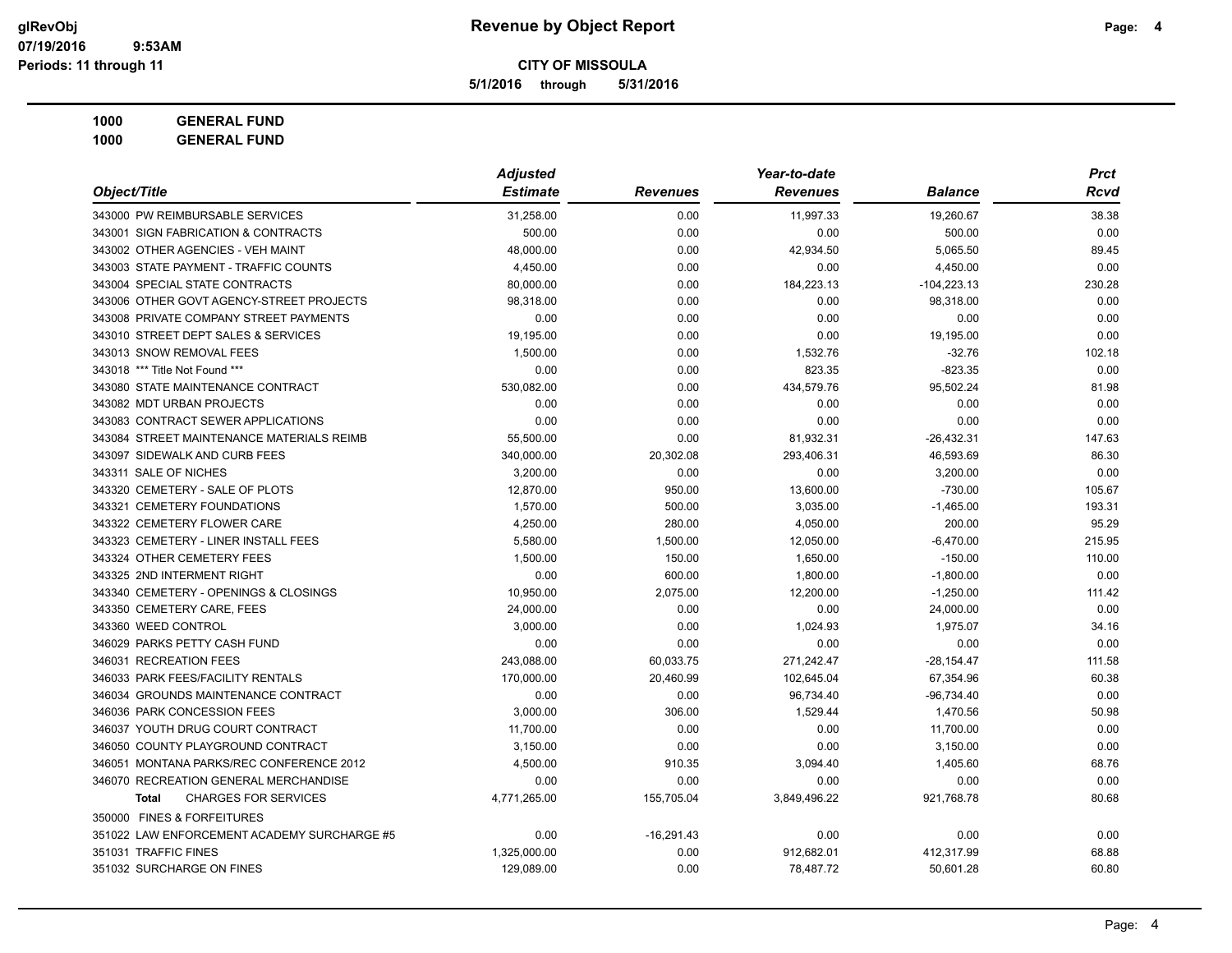**5/1/2016 through 5/31/2016**

| Object/Title                                | <b>Adjusted</b> |                 | Year-to-date    |                | <b>Prct</b> |
|---------------------------------------------|-----------------|-----------------|-----------------|----------------|-------------|
|                                             | <b>Estimate</b> | <b>Revenues</b> | <b>Revenues</b> | <b>Balance</b> | Rcvd        |
| 343000 PW REIMBURSABLE SERVICES             | 31,258.00       | 0.00            | 11,997.33       | 19,260.67      | 38.38       |
| 343001 SIGN FABRICATION & CONTRACTS         | 500.00          | 0.00            | 0.00            | 500.00         | 0.00        |
| 343002 OTHER AGENCIES - VEH MAINT           | 48,000.00       | 0.00            | 42,934.50       | 5,065.50       | 89.45       |
| 343003 STATE PAYMENT - TRAFFIC COUNTS       | 4,450.00        | 0.00            | 0.00            | 4,450.00       | 0.00        |
| 343004 SPECIAL STATE CONTRACTS              | 80,000.00       | 0.00            | 184,223.13      | $-104,223.13$  | 230.28      |
| 343006 OTHER GOVT AGENCY-STREET PROJECTS    | 98,318.00       | 0.00            | 0.00            | 98,318.00      | 0.00        |
| 343008 PRIVATE COMPANY STREET PAYMENTS      | 0.00            | 0.00            | 0.00            | 0.00           | 0.00        |
| 343010 STREET DEPT SALES & SERVICES         | 19,195.00       | 0.00            | 0.00            | 19,195.00      | 0.00        |
| 343013 SNOW REMOVAL FEES                    | 1,500.00        | 0.00            | 1,532.76        | $-32.76$       | 102.18      |
| 343018 *** Title Not Found ***              | 0.00            | 0.00            | 823.35          | $-823.35$      | 0.00        |
| 343080 STATE MAINTENANCE CONTRACT           | 530,082.00      | 0.00            | 434,579.76      | 95,502.24      | 81.98       |
| 343082 MDT URBAN PROJECTS                   | 0.00            | 0.00            | 0.00            | 0.00           | 0.00        |
| 343083 CONTRACT SEWER APPLICATIONS          | 0.00            | 0.00            | 0.00            | 0.00           | 0.00        |
| 343084 STREET MAINTENANCE MATERIALS REIMB   | 55,500.00       | 0.00            | 81,932.31       | $-26,432.31$   | 147.63      |
| 343097 SIDEWALK AND CURB FEES               | 340,000.00      | 20,302.08       | 293,406.31      | 46,593.69      | 86.30       |
| 343311 SALE OF NICHES                       | 3,200.00        | 0.00            | 0.00            | 3,200.00       | 0.00        |
| 343320 CEMETERY - SALE OF PLOTS             | 12,870.00       | 950.00          | 13,600.00       | $-730.00$      | 105.67      |
| 343321 CEMETERY FOUNDATIONS                 | 1,570.00        | 500.00          | 3,035.00        | $-1,465.00$    | 193.31      |
| 343322 CEMETERY FLOWER CARE                 | 4,250.00        | 280.00          | 4,050.00        | 200.00         | 95.29       |
| 343323 CEMETERY - LINER INSTALL FEES        | 5,580.00        | 1,500.00        | 12,050.00       | $-6,470.00$    | 215.95      |
| 343324 OTHER CEMETERY FEES                  | 1,500.00        | 150.00          | 1,650.00        | $-150.00$      | 110.00      |
| 343325 2ND INTERMENT RIGHT                  | 0.00            | 600.00          | 1,800.00        | $-1,800.00$    | 0.00        |
| 343340 CEMETERY - OPENINGS & CLOSINGS       | 10,950.00       | 2,075.00        | 12,200.00       | $-1,250.00$    | 111.42      |
| 343350 CEMETERY CARE, FEES                  | 24,000.00       | 0.00            | 0.00            | 24,000.00      | 0.00        |
| 343360 WEED CONTROL                         | 3,000.00        | 0.00            | 1,024.93        | 1,975.07       | 34.16       |
| 346029 PARKS PETTY CASH FUND                | 0.00            | 0.00            | 0.00            | 0.00           | 0.00        |
| 346031 RECREATION FEES                      | 243,088.00      | 60,033.75       | 271,242.47      | $-28,154.47$   | 111.58      |
| 346033 PARK FEES/FACILITY RENTALS           | 170,000.00      | 20,460.99       | 102,645.04      | 67,354.96      | 60.38       |
| 346034 GROUNDS MAINTENANCE CONTRACT         | 0.00            | 0.00            | 96,734.40       | $-96,734.40$   | 0.00        |
| 346036 PARK CONCESSION FEES                 | 3,000.00        | 306.00          | 1,529.44        | 1.470.56       | 50.98       |
| 346037 YOUTH DRUG COURT CONTRACT            | 11,700.00       | 0.00            | 0.00            | 11,700.00      | 0.00        |
| 346050 COUNTY PLAYGROUND CONTRACT           | 3,150.00        | 0.00            | 0.00            | 3,150.00       | 0.00        |
| 346051 MONTANA PARKS/REC CONFERENCE 2012    | 4,500.00        | 910.35          | 3,094.40        | 1,405.60       | 68.76       |
| 346070 RECREATION GENERAL MERCHANDISE       | 0.00            | 0.00            | 0.00            | 0.00           | 0.00        |
| <b>CHARGES FOR SERVICES</b><br><b>Total</b> | 4,771,265.00    | 155,705.04      | 3,849,496.22    | 921,768.78     | 80.68       |
| 350000 FINES & FORFEITURES                  |                 |                 |                 |                |             |
| 351022 LAW ENFORCEMENT ACADEMY SURCHARGE #5 | 0.00            | $-16,291.43$    | 0.00            | 0.00           | 0.00        |
| 351031 TRAFFIC FINES                        | 1,325,000.00    | 0.00            | 912,682.01      | 412,317.99     | 68.88       |
| 351032 SURCHARGE ON FINES                   | 129,089.00      | 0.00            | 78,487.72       | 50,601.28      | 60.80       |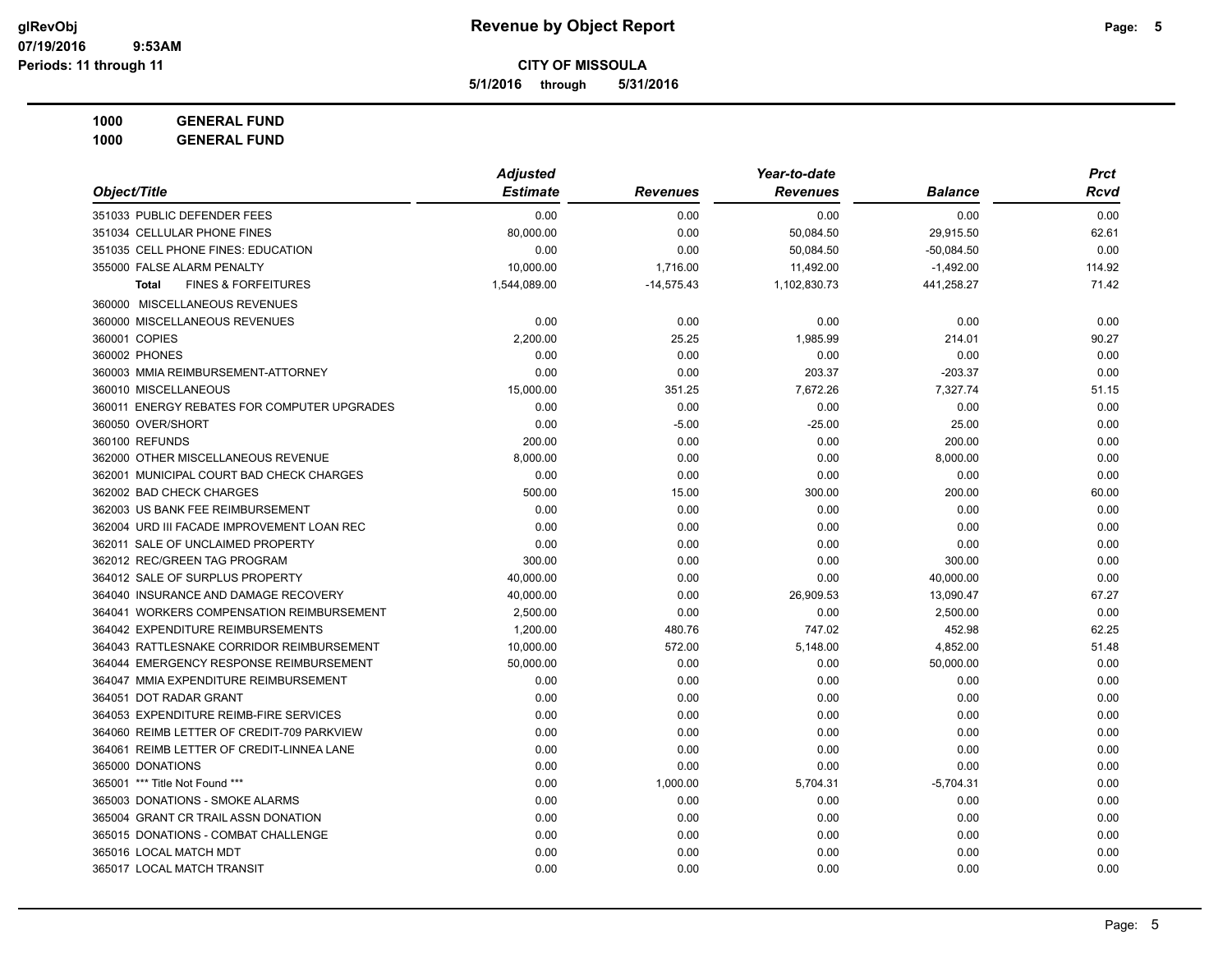**5/1/2016 through 5/31/2016**

**1000 GENERAL FUND 1000 GENERAL FUND**

|                                                | <b>Adjusted</b> |                 | Year-to-date    |                | <b>Prct</b> |
|------------------------------------------------|-----------------|-----------------|-----------------|----------------|-------------|
| Object/Title                                   | <b>Estimate</b> | <b>Revenues</b> | <b>Revenues</b> | <b>Balance</b> | Rcvd        |
| 351033 PUBLIC DEFENDER FEES                    | 0.00            | 0.00            | 0.00            | 0.00           | 0.00        |
| 351034 CELLULAR PHONE FINES                    | 80.000.00       | 0.00            | 50,084.50       | 29,915.50      | 62.61       |
| 351035 CELL PHONE FINES: EDUCATION             | 0.00            | 0.00            | 50,084.50       | $-50,084.50$   | 0.00        |
| 355000 FALSE ALARM PENALTY                     | 10,000.00       | 1,716.00        | 11,492.00       | $-1,492.00$    | 114.92      |
| <b>FINES &amp; FORFEITURES</b><br><b>Total</b> | 1,544,089.00    | $-14,575.43$    | 1,102,830.73    | 441,258.27     | 71.42       |
| 360000 MISCELLANEOUS REVENUES                  |                 |                 |                 |                |             |
| 360000 MISCELLANEOUS REVENUES                  | 0.00            | 0.00            | 0.00            | 0.00           | 0.00        |
| 360001 COPIES                                  | 2.200.00        | 25.25           | 1,985.99        | 214.01         | 90.27       |
| 360002 PHONES                                  | 0.00            | 0.00            | 0.00            | 0.00           | 0.00        |
| 360003 MMIA REIMBURSEMENT-ATTORNEY             | 0.00            | 0.00            | 203.37          | $-203.37$      | 0.00        |
| 360010 MISCELLANEOUS                           | 15,000.00       | 351.25          | 7,672.26        | 7,327.74       | 51.15       |
| 360011 ENERGY REBATES FOR COMPUTER UPGRADES    | 0.00            | 0.00            | 0.00            | 0.00           | 0.00        |
| 360050 OVER/SHORT                              | 0.00            | $-5.00$         | $-25.00$        | 25.00          | 0.00        |
| 360100 REFUNDS                                 | 200.00          | 0.00            | 0.00            | 200.00         | 0.00        |
| 362000 OTHER MISCELLANEOUS REVENUE             | 8,000.00        | 0.00            | 0.00            | 8,000.00       | 0.00        |
| 362001 MUNICIPAL COURT BAD CHECK CHARGES       | 0.00            | 0.00            | 0.00            | 0.00           | 0.00        |
| 362002 BAD CHECK CHARGES                       | 500.00          | 15.00           | 300.00          | 200.00         | 60.00       |
| 362003 US BANK FEE REIMBURSEMENT               | 0.00            | 0.00            | 0.00            | 0.00           | 0.00        |
| 362004 URD III FACADE IMPROVEMENT LOAN REC     | 0.00            | 0.00            | 0.00            | 0.00           | 0.00        |
| 362011 SALE OF UNCLAIMED PROPERTY              | 0.00            | 0.00            | 0.00            | 0.00           | 0.00        |
| 362012 REC/GREEN TAG PROGRAM                   | 300.00          | 0.00            | 0.00            | 300.00         | 0.00        |
| 364012 SALE OF SURPLUS PROPERTY                | 40.000.00       | 0.00            | 0.00            | 40,000.00      | 0.00        |
| 364040 INSURANCE AND DAMAGE RECOVERY           | 40,000.00       | 0.00            | 26,909.53       | 13,090.47      | 67.27       |
| 364041 WORKERS COMPENSATION REIMBURSEMENT      | 2,500.00        | 0.00            | 0.00            | 2,500.00       | 0.00        |
| 364042 EXPENDITURE REIMBURSEMENTS              | 1,200.00        | 480.76          | 747.02          | 452.98         | 62.25       |
| 364043 RATTLESNAKE CORRIDOR REIMBURSEMENT      | 10,000.00       | 572.00          | 5,148.00        | 4,852.00       | 51.48       |
| 364044 EMERGENCY RESPONSE REIMBURSEMENT        | 50,000.00       | 0.00            | 0.00            | 50,000.00      | 0.00        |
| 364047 MMIA EXPENDITURE REIMBURSEMENT          | 0.00            | 0.00            | 0.00            | 0.00           | 0.00        |
| 364051 DOT RADAR GRANT                         | 0.00            | 0.00            | 0.00            | 0.00           | 0.00        |
| 364053 EXPENDITURE REIMB-FIRE SERVICES         | 0.00            | 0.00            | 0.00            | 0.00           | 0.00        |
| 364060 REIMB LETTER OF CREDIT-709 PARKVIEW     | 0.00            | 0.00            | 0.00            | 0.00           | 0.00        |
| 364061 REIMB LETTER OF CREDIT-LINNEA LANE      | 0.00            | 0.00            | 0.00            | 0.00           | 0.00        |
| 365000 DONATIONS                               | 0.00            | 0.00            | 0.00            | 0.00           | 0.00        |
| 365001 *** Title Not Found ***                 | 0.00            | 1,000.00        | 5,704.31        | $-5,704.31$    | 0.00        |
| 365003 DONATIONS - SMOKE ALARMS                | 0.00            | 0.00            | 0.00            | 0.00           | 0.00        |
| 365004 GRANT CR TRAIL ASSN DONATION            | 0.00            | 0.00            | 0.00            | 0.00           | 0.00        |
| 365015 DONATIONS - COMBAT CHALLENGE            | 0.00            | 0.00            | 0.00            | 0.00           | 0.00        |

365016 LOCAL MATCH MDT 0.00 0.00 0.00 0.00 0.00 365017 LOCAL MATCH TRANSIT 0.00 0.00 0.00 0.00 0.00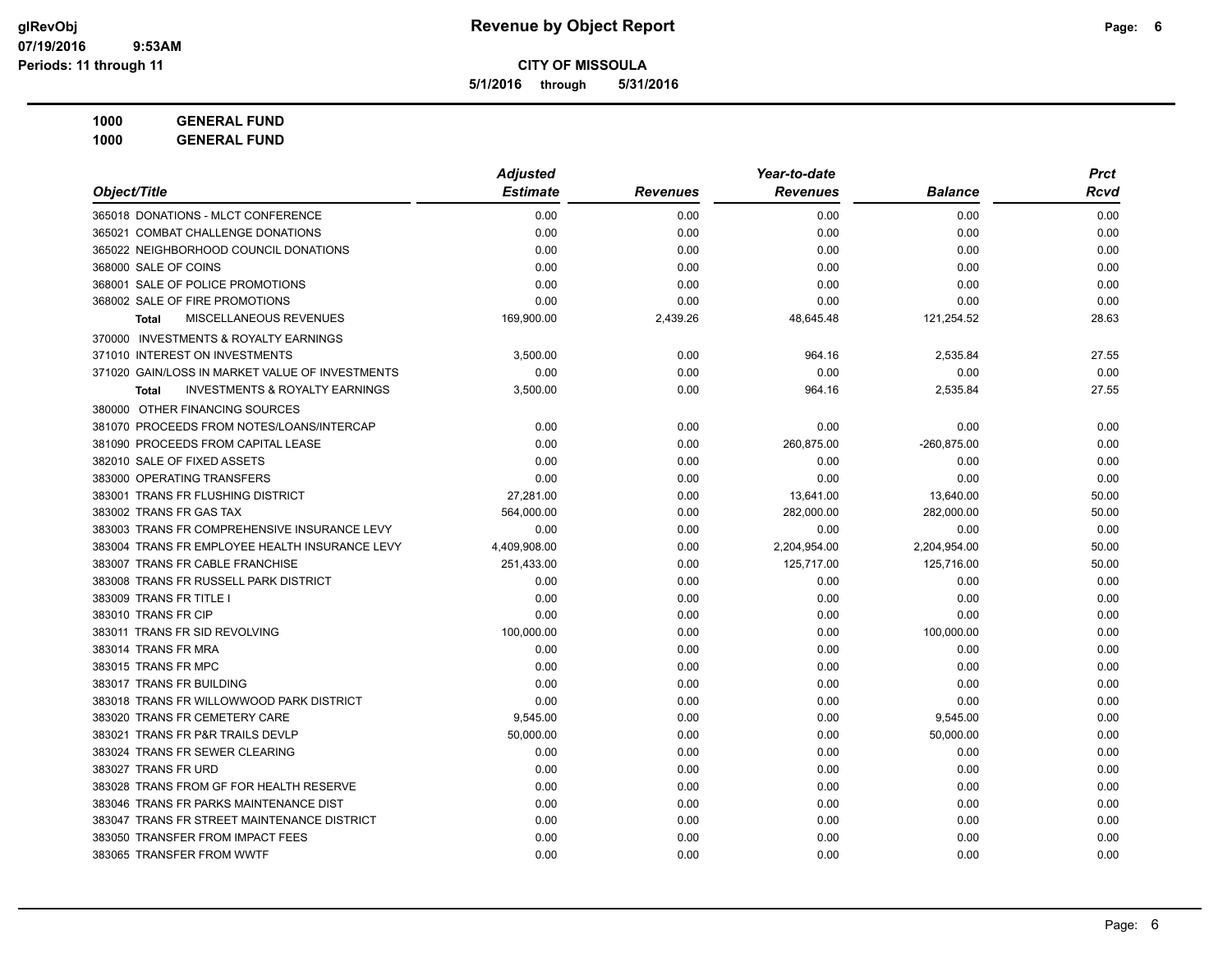**5/1/2016 through 5/31/2016**

| 1000 | <b>GENERAL FUND</b> |
|------|---------------------|
|------|---------------------|

|                                                           | <b>Adjusted</b> |                 | Year-to-date    |                | <b>Prct</b> |
|-----------------------------------------------------------|-----------------|-----------------|-----------------|----------------|-------------|
| Object/Title                                              | <b>Estimate</b> | <b>Revenues</b> | <b>Revenues</b> | <b>Balance</b> | <b>Rcvd</b> |
| 365018 DONATIONS - MLCT CONFERENCE                        | 0.00            | 0.00            | 0.00            | 0.00           | 0.00        |
| 365021 COMBAT CHALLENGE DONATIONS                         | 0.00            | 0.00            | 0.00            | 0.00           | 0.00        |
| 365022 NEIGHBORHOOD COUNCIL DONATIONS                     | 0.00            | 0.00            | 0.00            | 0.00           | 0.00        |
| 368000 SALE OF COINS                                      | 0.00            | 0.00            | 0.00            | 0.00           | 0.00        |
| 368001 SALE OF POLICE PROMOTIONS                          | 0.00            | 0.00            | 0.00            | 0.00           | 0.00        |
| 368002 SALE OF FIRE PROMOTIONS                            | 0.00            | 0.00            | 0.00            | 0.00           | 0.00        |
| MISCELLANEOUS REVENUES<br><b>Total</b>                    | 169,900.00      | 2,439.26        | 48,645.48       | 121,254.52     | 28.63       |
| 370000 INVESTMENTS & ROYALTY EARNINGS                     |                 |                 |                 |                |             |
| 371010 INTEREST ON INVESTMENTS                            | 3,500.00        | 0.00            | 964.16          | 2,535.84       | 27.55       |
| 371020 GAIN/LOSS IN MARKET VALUE OF INVESTMENTS           | 0.00            | 0.00            | 0.00            | 0.00           | 0.00        |
| <b>INVESTMENTS &amp; ROYALTY EARNINGS</b><br><b>Total</b> | 3,500.00        | 0.00            | 964.16          | 2,535.84       | 27.55       |
| 380000 OTHER FINANCING SOURCES                            |                 |                 |                 |                |             |
| 381070 PROCEEDS FROM NOTES/LOANS/INTERCAP                 | 0.00            | 0.00            | 0.00            | 0.00           | 0.00        |
| 381090 PROCEEDS FROM CAPITAL LEASE                        | 0.00            | 0.00            | 260,875.00      | $-260,875.00$  | 0.00        |
| 382010 SALE OF FIXED ASSETS                               | 0.00            | 0.00            | 0.00            | 0.00           | 0.00        |
| 383000 OPERATING TRANSFERS                                | 0.00            | 0.00            | 0.00            | 0.00           | 0.00        |
| 383001 TRANS FR FLUSHING DISTRICT                         | 27,281.00       | 0.00            | 13,641.00       | 13,640.00      | 50.00       |
| 383002 TRANS FR GAS TAX                                   | 564,000.00      | 0.00            | 282,000.00      | 282,000.00     | 50.00       |
| 383003 TRANS FR COMPREHENSIVE INSURANCE LEVY              | 0.00            | 0.00            | 0.00            | 0.00           | 0.00        |
| 383004 TRANS FR EMPLOYEE HEALTH INSURANCE LEVY            | 4,409,908.00    | 0.00            | 2,204,954.00    | 2,204,954.00   | 50.00       |
| 383007 TRANS FR CABLE FRANCHISE                           | 251,433.00      | 0.00            | 125,717.00      | 125,716.00     | 50.00       |
| 383008 TRANS FR RUSSELL PARK DISTRICT                     | 0.00            | 0.00            | 0.00            | 0.00           | 0.00        |
| 383009 TRANS FR TITLE I                                   | 0.00            | 0.00            | 0.00            | 0.00           | 0.00        |
| 383010 TRANS FR CIP                                       | 0.00            | 0.00            | 0.00            | 0.00           | 0.00        |
| 383011 TRANS FR SID REVOLVING                             | 100,000.00      | 0.00            | 0.00            | 100,000.00     | 0.00        |
| 383014 TRANS FR MRA                                       | 0.00            | 0.00            | 0.00            | 0.00           | 0.00        |
| 383015 TRANS FR MPC                                       | 0.00            | 0.00            | 0.00            | 0.00           | 0.00        |
| 383017 TRANS FR BUILDING                                  | 0.00            | 0.00            | 0.00            | 0.00           | 0.00        |
| 383018 TRANS FR WILLOWWOOD PARK DISTRICT                  | 0.00            | 0.00            | 0.00            | 0.00           | 0.00        |
| 383020 TRANS FR CEMETERY CARE                             | 9,545.00        | 0.00            | 0.00            | 9,545.00       | 0.00        |
| 383021 TRANS FR P&R TRAILS DEVLP                          | 50,000.00       | 0.00            | 0.00            | 50,000.00      | 0.00        |
| 383024 TRANS FR SEWER CLEARING                            | 0.00            | 0.00            | 0.00            | 0.00           | 0.00        |
| 383027 TRANS FR URD                                       | 0.00            | 0.00            | 0.00            | 0.00           | 0.00        |
| 383028 TRANS FROM GF FOR HEALTH RESERVE                   | 0.00            | 0.00            | 0.00            | 0.00           | 0.00        |
| 383046 TRANS FR PARKS MAINTENANCE DIST                    | 0.00            | 0.00            | 0.00            | 0.00           | 0.00        |
| 383047 TRANS FR STREET MAINTENANCE DISTRICT               | 0.00            | 0.00            | 0.00            | 0.00           | 0.00        |
| 383050 TRANSFER FROM IMPACT FEES                          | 0.00            | 0.00            | 0.00            | 0.00           | 0.00        |
| 383065 TRANSFER FROM WWTF                                 | 0.00            | 0.00            | 0.00            | 0.00           | 0.00        |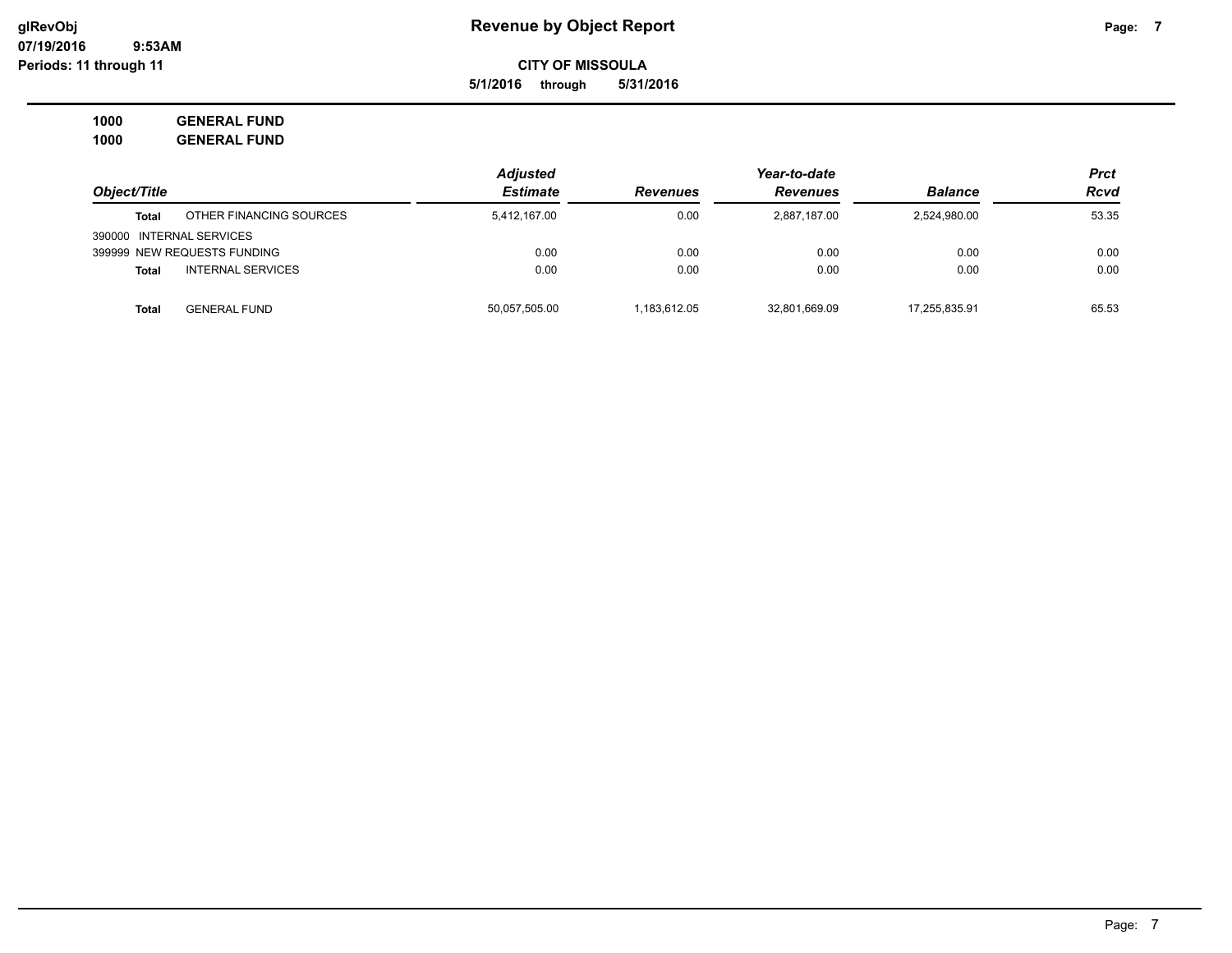**5/1/2016 through 5/31/2016**

| Object/Title                        | <b>Adjusted</b> |                 |                 | <b>Prct</b>    |             |
|-------------------------------------|-----------------|-----------------|-----------------|----------------|-------------|
|                                     | <b>Estimate</b> | <b>Revenues</b> | <b>Revenues</b> | <b>Balance</b> | <b>Rcvd</b> |
| OTHER FINANCING SOURCES<br>Total    | 5,412,167.00    | 0.00            | 2,887,187.00    | 2,524,980.00   | 53.35       |
| 390000 INTERNAL SERVICES            |                 |                 |                 |                |             |
| 399999 NEW REQUESTS FUNDING         | 0.00            | 0.00            | 0.00            | 0.00           | 0.00        |
| <b>INTERNAL SERVICES</b><br>Total   | 0.00            | 0.00            | 0.00            | 0.00           | 0.00        |
| <b>Total</b><br><b>GENERAL FUND</b> | 50.057.505.00   | 1.183.612.05    | 32.801.669.09   | 17.255.835.91  | 65.53       |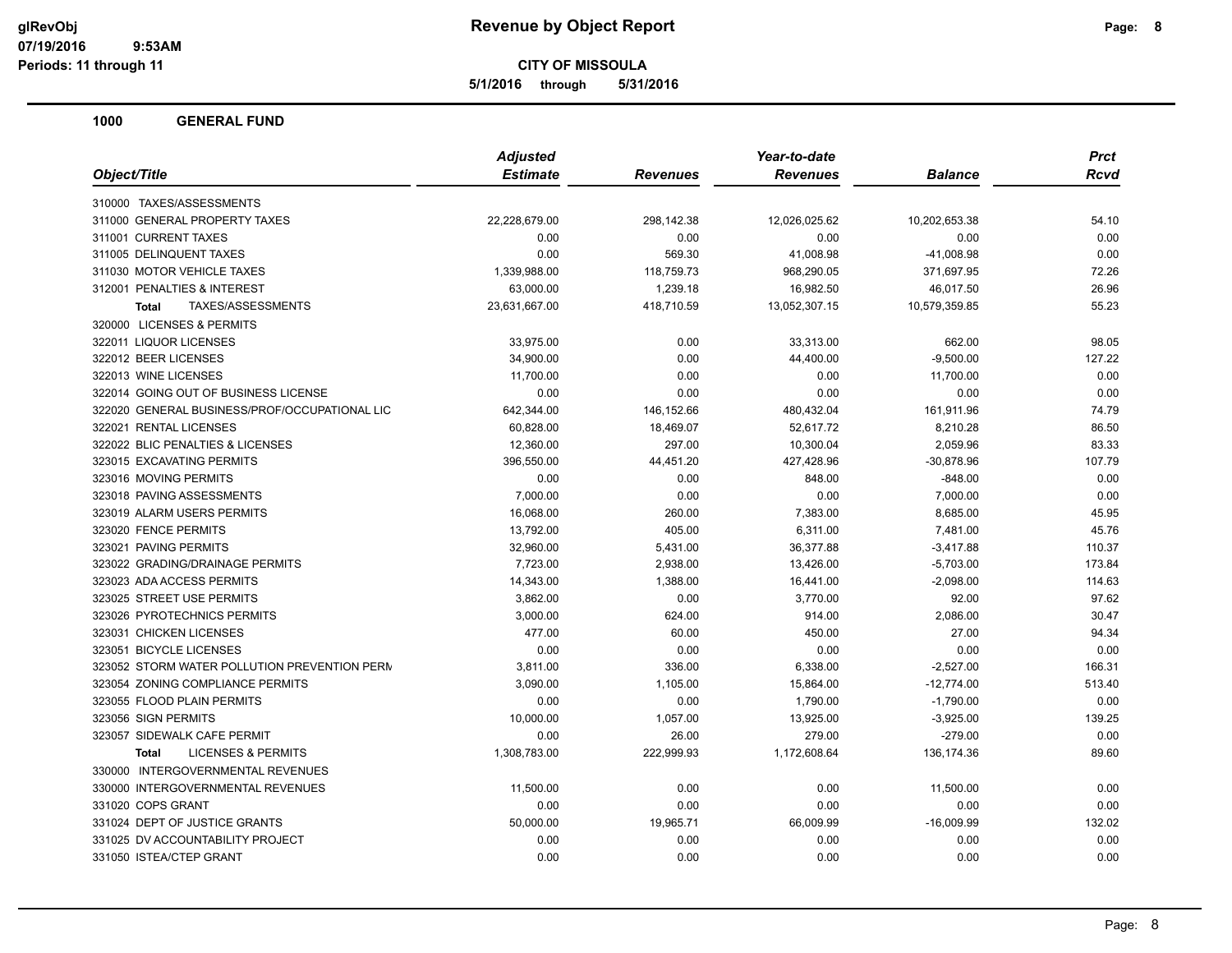**5/1/2016 through 5/31/2016**

|                                               | <b>Adjusted</b> |                 | Year-to-date    |                | <b>Prct</b> |
|-----------------------------------------------|-----------------|-----------------|-----------------|----------------|-------------|
| Object/Title                                  | <b>Estimate</b> | <b>Revenues</b> | <b>Revenues</b> | <b>Balance</b> | Rcvd        |
| 310000 TAXES/ASSESSMENTS                      |                 |                 |                 |                |             |
| 311000 GENERAL PROPERTY TAXES                 | 22,228,679.00   | 298,142.38      | 12,026,025.62   | 10,202,653.38  | 54.10       |
| 311001 CURRENT TAXES                          | 0.00            | 0.00            | 0.00            | 0.00           | 0.00        |
| 311005 DELINQUENT TAXES                       | 0.00            | 569.30          | 41,008.98       | $-41,008.98$   | 0.00        |
| 311030 MOTOR VEHICLE TAXES                    | 1,339,988.00    | 118,759.73      | 968,290.05      | 371,697.95     | 72.26       |
| 312001 PENALTIES & INTEREST                   | 63,000.00       | 1,239.18        | 16,982.50       | 46,017.50      | 26.96       |
| TAXES/ASSESSMENTS<br><b>Total</b>             | 23,631,667.00   | 418,710.59      | 13,052,307.15   | 10,579,359.85  | 55.23       |
| 320000 LICENSES & PERMITS                     |                 |                 |                 |                |             |
| 322011 LIQUOR LICENSES                        | 33,975.00       | 0.00            | 33,313.00       | 662.00         | 98.05       |
| 322012 BEER LICENSES                          | 34,900.00       | 0.00            | 44,400.00       | $-9,500.00$    | 127.22      |
| 322013 WINE LICENSES                          | 11,700.00       | 0.00            | 0.00            | 11,700.00      | 0.00        |
| 322014 GOING OUT OF BUSINESS LICENSE          | 0.00            | 0.00            | 0.00            | 0.00           | 0.00        |
| 322020 GENERAL BUSINESS/PROF/OCCUPATIONAL LIC | 642,344.00      | 146,152.66      | 480,432.04      | 161,911.96     | 74.79       |
| 322021 RENTAL LICENSES                        | 60,828.00       | 18,469.07       | 52,617.72       | 8,210.28       | 86.50       |
| 322022 BLIC PENALTIES & LICENSES              | 12,360.00       | 297.00          | 10,300.04       | 2,059.96       | 83.33       |
| 323015 EXCAVATING PERMITS                     | 396,550.00      | 44,451.20       | 427,428.96      | $-30,878.96$   | 107.79      |
| 323016 MOVING PERMITS                         | 0.00            | 0.00            | 848.00          | $-848.00$      | 0.00        |
| 323018 PAVING ASSESSMENTS                     | 7,000.00        | 0.00            | 0.00            | 7,000.00       | 0.00        |
| 323019 ALARM USERS PERMITS                    | 16,068.00       | 260.00          | 7,383.00        | 8,685.00       | 45.95       |
| 323020 FENCE PERMITS                          | 13,792.00       | 405.00          | 6,311.00        | 7,481.00       | 45.76       |
| 323021 PAVING PERMITS                         | 32,960.00       | 5,431.00        | 36,377.88       | $-3,417.88$    | 110.37      |
| 323022 GRADING/DRAINAGE PERMITS               | 7,723.00        | 2,938.00        | 13,426.00       | $-5,703.00$    | 173.84      |
| 323023 ADA ACCESS PERMITS                     | 14,343.00       | 1,388.00        | 16,441.00       | $-2,098.00$    | 114.63      |
| 323025 STREET USE PERMITS                     | 3,862.00        | 0.00            | 3,770.00        | 92.00          | 97.62       |
| 323026 PYROTECHNICS PERMITS                   | 3,000.00        | 624.00          | 914.00          | 2,086.00       | 30.47       |
| 323031 CHICKEN LICENSES                       | 477.00          | 60.00           | 450.00          | 27.00          | 94.34       |
| 323051 BICYCLE LICENSES                       | 0.00            | 0.00            | 0.00            | 0.00           | 0.00        |
| 323052 STORM WATER POLLUTION PREVENTION PERM  | 3,811.00        | 336.00          | 6,338.00        | $-2,527.00$    | 166.31      |
| 323054 ZONING COMPLIANCE PERMITS              | 3,090.00        | 1,105.00        | 15,864.00       | $-12,774.00$   | 513.40      |
| 323055 FLOOD PLAIN PERMITS                    | 0.00            | 0.00            | 1,790.00        | $-1,790.00$    | 0.00        |
| 323056 SIGN PERMITS                           | 10,000.00       | 1,057.00        | 13,925.00       | $-3,925.00$    | 139.25      |
| 323057 SIDEWALK CAFE PERMIT                   | 0.00            | 26.00           | 279.00          | $-279.00$      | 0.00        |
| <b>LICENSES &amp; PERMITS</b><br><b>Total</b> | 1,308,783.00    | 222,999.93      | 1,172,608.64    | 136, 174.36    | 89.60       |
| 330000 INTERGOVERNMENTAL REVENUES             |                 |                 |                 |                |             |
| 330000 INTERGOVERNMENTAL REVENUES             | 11,500.00       | 0.00            | 0.00            | 11,500.00      | 0.00        |
| 331020 COPS GRANT                             | 0.00            | 0.00            | 0.00            | 0.00           | 0.00        |
| 331024 DEPT OF JUSTICE GRANTS                 | 50,000.00       | 19,965.71       | 66,009.99       | $-16,009.99$   | 132.02      |
| 331025 DV ACCOUNTABILITY PROJECT              | 0.00            | 0.00            | 0.00            | 0.00           | 0.00        |
| 331050 ISTEA/CTEP GRANT                       | 0.00            | 0.00            | 0.00            | 0.00           | 0.00        |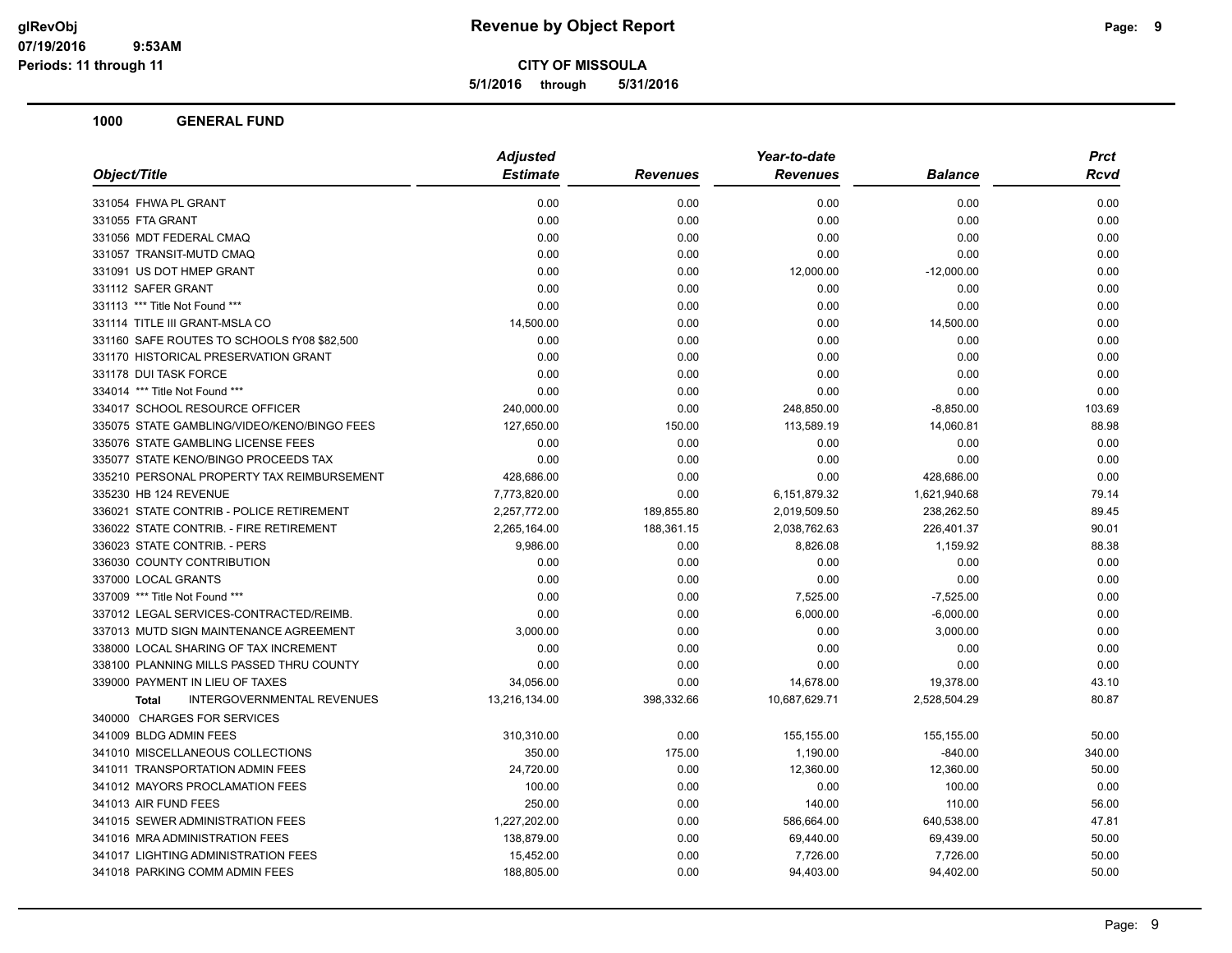**5/1/2016 through 5/31/2016**

| Object/Title                                | <b>Adjusted</b> |                 | Year-to-date    |                | Prct   |
|---------------------------------------------|-----------------|-----------------|-----------------|----------------|--------|
|                                             | <b>Estimate</b> | <b>Revenues</b> | <b>Revenues</b> | <b>Balance</b> | Rcvd   |
| 331054 FHWA PL GRANT                        | 0.00            | 0.00            | 0.00            | 0.00           | 0.00   |
| 331055 FTA GRANT                            | 0.00            | 0.00            | 0.00            | 0.00           | 0.00   |
| 331056 MDT FEDERAL CMAQ                     | 0.00            | 0.00            | 0.00            | 0.00           | 0.00   |
| 331057 TRANSIT-MUTD CMAQ                    | 0.00            | 0.00            | 0.00            | 0.00           | 0.00   |
| 331091 US DOT HMEP GRANT                    | 0.00            | 0.00            | 12,000.00       | $-12,000.00$   | 0.00   |
| 331112 SAFER GRANT                          | 0.00            | 0.00            | 0.00            | 0.00           | 0.00   |
| 331113 *** Title Not Found ***              | 0.00            | 0.00            | 0.00            | 0.00           | 0.00   |
| 331114 TITLE III GRANT-MSLA CO              | 14,500.00       | 0.00            | 0.00            | 14,500.00      | 0.00   |
| 331160 SAFE ROUTES TO SCHOOLS fY08 \$82,500 | 0.00            | 0.00            | 0.00            | 0.00           | 0.00   |
| 331170 HISTORICAL PRESERVATION GRANT        | 0.00            | 0.00            | 0.00            | 0.00           | 0.00   |
| 331178 DUI TASK FORCE                       | 0.00            | 0.00            | 0.00            | 0.00           | 0.00   |
| 334014 *** Title Not Found ***              | 0.00            | 0.00            | 0.00            | 0.00           | 0.00   |
| 334017 SCHOOL RESOURCE OFFICER              | 240,000.00      | 0.00            | 248,850.00      | $-8,850.00$    | 103.69 |
| 335075 STATE GAMBLING/VIDEO/KENO/BINGO FEES | 127,650.00      | 150.00          | 113,589.19      | 14,060.81      | 88.98  |
| 335076 STATE GAMBLING LICENSE FEES          | 0.00            | 0.00            | 0.00            | 0.00           | 0.00   |
| 335077 STATE KENO/BINGO PROCEEDS TAX        | 0.00            | 0.00            | 0.00            | 0.00           | 0.00   |
| 335210 PERSONAL PROPERTY TAX REIMBURSEMENT  | 428,686.00      | 0.00            | 0.00            | 428,686.00     | 0.00   |
| 335230 HB 124 REVENUE                       | 7,773,820.00    | 0.00            | 6,151,879.32    | 1,621,940.68   | 79.14  |
| 336021 STATE CONTRIB - POLICE RETIREMENT    | 2,257,772.00    | 189,855.80      | 2,019,509.50    | 238,262.50     | 89.45  |
| 336022 STATE CONTRIB. - FIRE RETIREMENT     | 2,265,164.00    | 188,361.15      | 2,038,762.63    | 226,401.37     | 90.01  |
| 336023 STATE CONTRIB. - PERS                | 9,986.00        | 0.00            | 8,826.08        | 1,159.92       | 88.38  |
| 336030 COUNTY CONTRIBUTION                  | 0.00            | 0.00            | 0.00            | 0.00           | 0.00   |
| 337000 LOCAL GRANTS                         | 0.00            | 0.00            | 0.00            | 0.00           | 0.00   |
| 337009 *** Title Not Found ***              | 0.00            | 0.00            | 7,525.00        | $-7,525.00$    | 0.00   |
| 337012 LEGAL SERVICES-CONTRACTED/REIMB.     | 0.00            | 0.00            | 6,000.00        | $-6,000.00$    | 0.00   |
| 337013 MUTD SIGN MAINTENANCE AGREEMENT      | 3,000.00        | 0.00            | 0.00            | 3,000.00       | 0.00   |
| 338000 LOCAL SHARING OF TAX INCREMENT       | 0.00            | 0.00            | 0.00            | 0.00           | 0.00   |
| 338100 PLANNING MILLS PASSED THRU COUNTY    | 0.00            | 0.00            | 0.00            | 0.00           | 0.00   |
| 339000 PAYMENT IN LIEU OF TAXES             | 34,056.00       | 0.00            | 14,678.00       | 19,378.00      | 43.10  |
| INTERGOVERNMENTAL REVENUES<br><b>Total</b>  | 13,216,134.00   | 398,332.66      | 10,687,629.71   | 2,528,504.29   | 80.87  |
| 340000 CHARGES FOR SERVICES                 |                 |                 |                 |                |        |
| 341009 BLDG ADMIN FEES                      | 310,310.00      | 0.00            | 155,155.00      | 155,155.00     | 50.00  |
| 341010 MISCELLANEOUS COLLECTIONS            | 350.00          | 175.00          | 1,190.00        | $-840.00$      | 340.00 |
| 341011 TRANSPORTATION ADMIN FEES            | 24,720.00       | 0.00            | 12,360.00       | 12,360.00      | 50.00  |
| 341012 MAYORS PROCLAMATION FEES             | 100.00          | 0.00            | 0.00            | 100.00         | 0.00   |
| 341013 AIR FUND FEES                        | 250.00          | 0.00            | 140.00          | 110.00         | 56.00  |
| 341015 SEWER ADMINISTRATION FEES            | 1,227,202.00    | 0.00            | 586,664.00      | 640,538.00     | 47.81  |
| 341016 MRA ADMINISTRATION FEES              | 138,879.00      | 0.00            | 69,440.00       | 69,439.00      | 50.00  |
| 341017 LIGHTING ADMINISTRATION FEES         | 15,452.00       | 0.00            | 7,726.00        | 7,726.00       | 50.00  |
| 341018 PARKING COMM ADMIN FEES              | 188,805.00      | 0.00            | 94,403.00       | 94,402.00      | 50.00  |
|                                             |                 |                 |                 |                |        |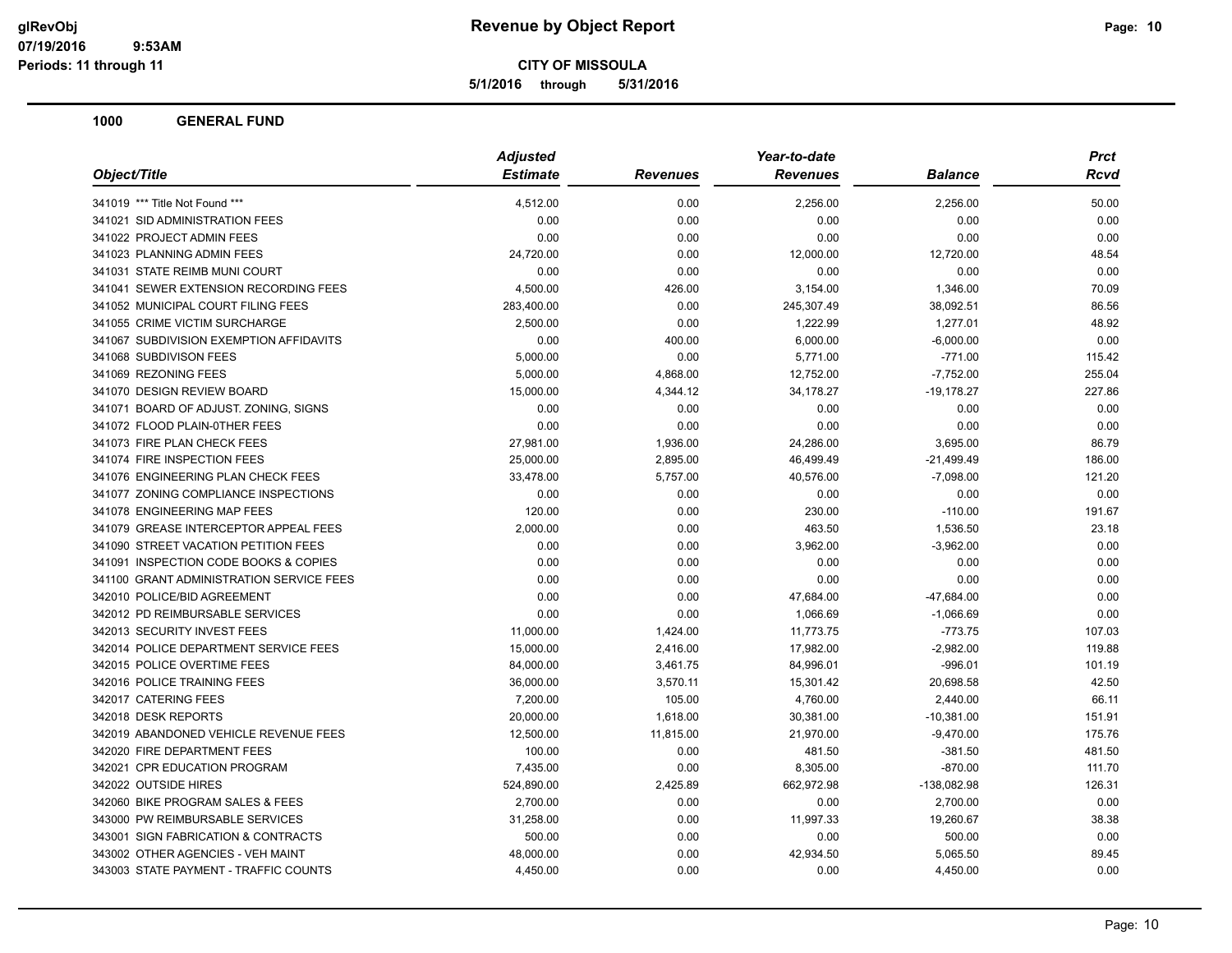**5/1/2016 through 5/31/2016**

| Object/Title                             | <b>Adjusted</b> |                 | Year-to-date    |                | <b>Prct</b> |
|------------------------------------------|-----------------|-----------------|-----------------|----------------|-------------|
|                                          | <b>Estimate</b> | <b>Revenues</b> | <b>Revenues</b> | <b>Balance</b> | <b>Rcvd</b> |
| 341019 *** Title Not Found ***           | 4,512.00        | 0.00            | 2,256.00        | 2,256.00       | 50.00       |
| 341021 SID ADMINISTRATION FEES           | 0.00            | 0.00            | 0.00            | 0.00           | 0.00        |
| 341022 PROJECT ADMIN FEES                | 0.00            | 0.00            | 0.00            | 0.00           | 0.00        |
| 341023 PLANNING ADMIN FEES               | 24,720.00       | 0.00            | 12,000.00       | 12,720.00      | 48.54       |
| 341031 STATE REIMB MUNI COURT            | 0.00            | 0.00            | 0.00            | 0.00           | 0.00        |
| 341041 SEWER EXTENSION RECORDING FEES    | 4,500.00        | 426.00          | 3,154.00        | 1,346.00       | 70.09       |
| 341052 MUNICIPAL COURT FILING FEES       | 283,400.00      | 0.00            | 245,307.49      | 38,092.51      | 86.56       |
| 341055 CRIME VICTIM SURCHARGE            | 2,500.00        | 0.00            | 1,222.99        | 1,277.01       | 48.92       |
| 341067 SUBDIVISION EXEMPTION AFFIDAVITS  | 0.00            | 400.00          | 6,000.00        | $-6,000.00$    | 0.00        |
| 341068 SUBDIVISON FEES                   | 5,000.00        | 0.00            | 5,771.00        | $-771.00$      | 115.42      |
| 341069 REZONING FEES                     | 5,000.00        | 4,868.00        | 12,752.00       | $-7,752.00$    | 255.04      |
| 341070 DESIGN REVIEW BOARD               | 15,000.00       | 4,344.12        | 34,178.27       | $-19,178.27$   | 227.86      |
| 341071 BOARD OF ADJUST. ZONING, SIGNS    | 0.00            | 0.00            | 0.00            | 0.00           | 0.00        |
| 341072 FLOOD PLAIN-0THER FEES            | 0.00            | 0.00            | 0.00            | 0.00           | 0.00        |
| 341073 FIRE PLAN CHECK FEES              | 27,981.00       | 1,936.00        | 24,286.00       | 3,695.00       | 86.79       |
| 341074 FIRE INSPECTION FEES              | 25,000.00       | 2,895.00        | 46,499.49       | $-21,499.49$   | 186.00      |
| 341076 ENGINEERING PLAN CHECK FEES       | 33,478.00       | 5,757.00        | 40,576.00       | $-7,098.00$    | 121.20      |
| 341077 ZONING COMPLIANCE INSPECTIONS     | 0.00            | 0.00            | 0.00            | 0.00           | 0.00        |
| 341078 ENGINEERING MAP FEES              | 120.00          | 0.00            | 230.00          | $-110.00$      | 191.67      |
| 341079 GREASE INTERCEPTOR APPEAL FEES    | 2,000.00        | 0.00            | 463.50          | 1,536.50       | 23.18       |
| 341090 STREET VACATION PETITION FEES     | 0.00            | 0.00            | 3,962.00        | $-3,962.00$    | 0.00        |
| 341091 INSPECTION CODE BOOKS & COPIES    | 0.00            | 0.00            | 0.00            | 0.00           | 0.00        |
| 341100 GRANT ADMINISTRATION SERVICE FEES | 0.00            | 0.00            | 0.00            | 0.00           | 0.00        |
| 342010 POLICE/BID AGREEMENT              | 0.00            | 0.00            | 47,684.00       | $-47,684.00$   | 0.00        |
| 342012 PD REIMBURSABLE SERVICES          | 0.00            | 0.00            | 1,066.69        | $-1,066.69$    | 0.00        |
| 342013 SECURITY INVEST FEES              | 11,000.00       | 1,424.00        | 11,773.75       | $-773.75$      | 107.03      |
| 342014 POLICE DEPARTMENT SERVICE FEES    | 15,000.00       | 2,416.00        | 17,982.00       | $-2,982.00$    | 119.88      |
| 342015 POLICE OVERTIME FEES              | 84,000.00       | 3,461.75        | 84,996.01       | $-996.01$      | 101.19      |
| 342016 POLICE TRAINING FEES              | 36,000.00       | 3,570.11        | 15,301.42       | 20,698.58      | 42.50       |
| 342017 CATERING FEES                     | 7,200.00        | 105.00          | 4,760.00        | 2,440.00       | 66.11       |
| 342018 DESK REPORTS                      | 20,000.00       | 1,618.00        | 30,381.00       | $-10,381.00$   | 151.91      |
| 342019 ABANDONED VEHICLE REVENUE FEES    | 12,500.00       | 11,815.00       | 21,970.00       | $-9,470.00$    | 175.76      |
| 342020 FIRE DEPARTMENT FEES              | 100.00          | 0.00            | 481.50          | $-381.50$      | 481.50      |
| 342021 CPR EDUCATION PROGRAM             | 7,435.00        | 0.00            | 8,305.00        | $-870.00$      | 111.70      |
| 342022 OUTSIDE HIRES                     | 524,890.00      | 2,425.89        | 662,972.98      | $-138,082.98$  | 126.31      |
| 342060 BIKE PROGRAM SALES & FEES         | 2,700.00        | 0.00            | 0.00            | 2,700.00       | 0.00        |
| 343000 PW REIMBURSABLE SERVICES          | 31,258.00       | 0.00            | 11,997.33       | 19,260.67      | 38.38       |
| 343001 SIGN FABRICATION & CONTRACTS      | 500.00          | 0.00            | 0.00            | 500.00         | 0.00        |
| 343002 OTHER AGENCIES - VEH MAINT        | 48,000.00       | 0.00            | 42,934.50       | 5,065.50       | 89.45       |
| 343003 STATE PAYMENT - TRAFFIC COUNTS    | 4,450.00        | 0.00            | 0.00            | 4,450.00       | 0.00        |
|                                          |                 |                 |                 |                |             |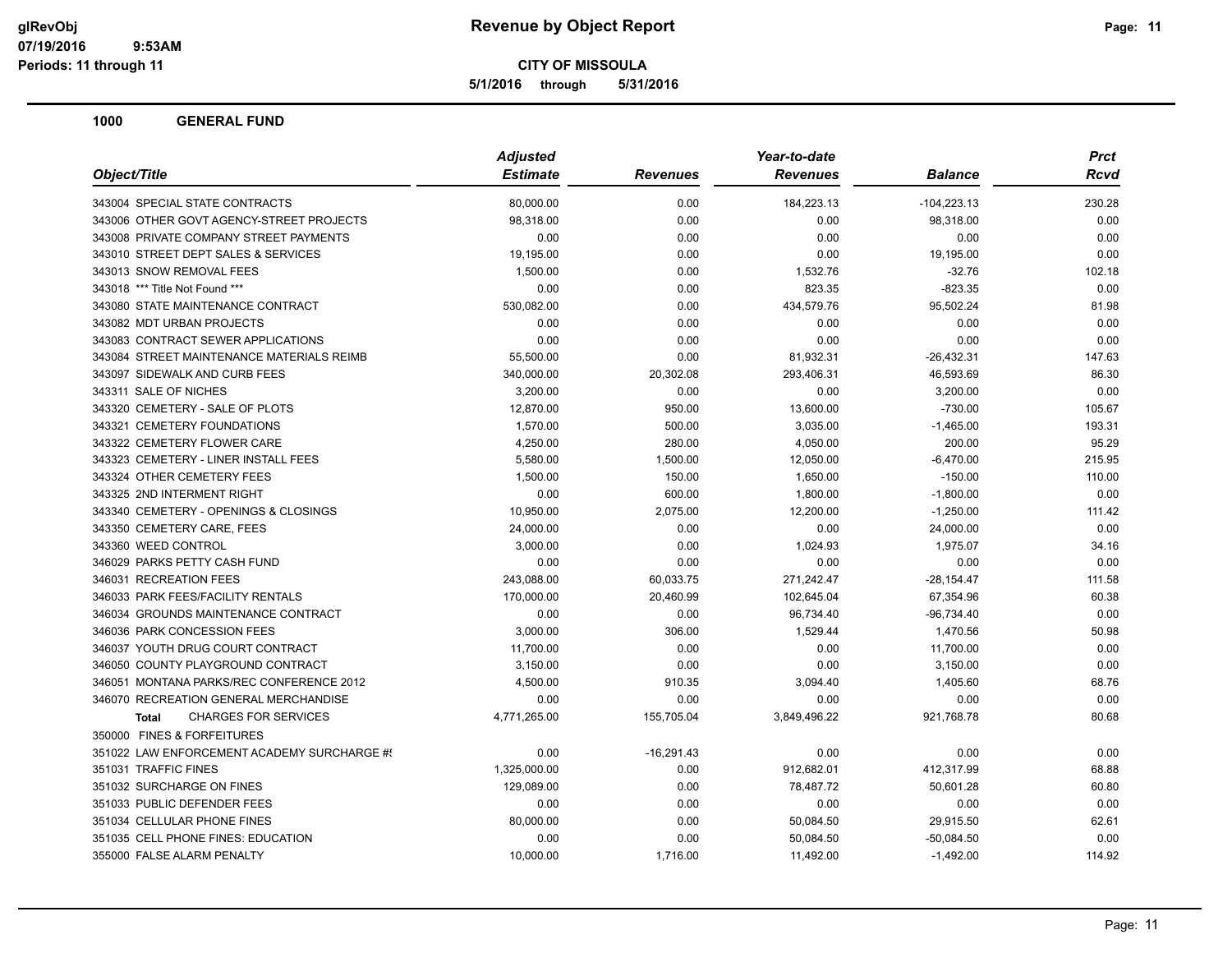**5/1/2016 through 5/31/2016**

| Object/Title                                | <b>Adjusted</b> |                 | Year-to-date    |               | <b>Prct</b> |
|---------------------------------------------|-----------------|-----------------|-----------------|---------------|-------------|
|                                             | <b>Estimate</b> | <b>Revenues</b> | <b>Revenues</b> | Balance       | Rcvd        |
| 343004 SPECIAL STATE CONTRACTS              | 80,000.00       | 0.00            | 184,223.13      | $-104,223.13$ | 230.28      |
| 343006 OTHER GOVT AGENCY-STREET PROJECTS    | 98,318.00       | 0.00            | 0.00            | 98,318.00     | 0.00        |
| 343008 PRIVATE COMPANY STREET PAYMENTS      | 0.00            | 0.00            | 0.00            | 0.00          | 0.00        |
| 343010 STREET DEPT SALES & SERVICES         | 19,195.00       | 0.00            | 0.00            | 19,195.00     | 0.00        |
| 343013 SNOW REMOVAL FEES                    | 1,500.00        | 0.00            | 1,532.76        | $-32.76$      | 102.18      |
| 343018 *** Title Not Found ***              | 0.00            | 0.00            | 823.35          | $-823.35$     | 0.00        |
| 343080 STATE MAINTENANCE CONTRACT           | 530,082.00      | 0.00            | 434,579.76      | 95,502.24     | 81.98       |
| 343082 MDT URBAN PROJECTS                   | 0.00            | 0.00            | 0.00            | 0.00          | 0.00        |
| 343083 CONTRACT SEWER APPLICATIONS          | 0.00            | 0.00            | 0.00            | 0.00          | 0.00        |
| 343084 STREET MAINTENANCE MATERIALS REIMB   | 55,500.00       | 0.00            | 81,932.31       | $-26,432.31$  | 147.63      |
| 343097 SIDEWALK AND CURB FEES               | 340,000.00      | 20,302.08       | 293,406.31      | 46,593.69     | 86.30       |
| 343311 SALE OF NICHES                       | 3,200.00        | 0.00            | 0.00            | 3,200.00      | 0.00        |
| 343320 CEMETERY - SALE OF PLOTS             | 12,870.00       | 950.00          | 13,600.00       | $-730.00$     | 105.67      |
| 343321 CEMETERY FOUNDATIONS                 | 1,570.00        | 500.00          | 3,035.00        | $-1,465.00$   | 193.31      |
| 343322 CEMETERY FLOWER CARE                 | 4,250.00        | 280.00          | 4,050.00        | 200.00        | 95.29       |
| 343323 CEMETERY - LINER INSTALL FEES        | 5,580.00        | 1,500.00        | 12,050.00       | $-6,470.00$   | 215.95      |
| 343324 OTHER CEMETERY FEES                  | 1,500.00        | 150.00          | 1,650.00        | $-150.00$     | 110.00      |
| 343325 2ND INTERMENT RIGHT                  | 0.00            | 600.00          | 1,800.00        | $-1,800.00$   | 0.00        |
| 343340 CEMETERY - OPENINGS & CLOSINGS       | 10,950.00       | 2,075.00        | 12,200.00       | $-1,250.00$   | 111.42      |
| 343350 CEMETERY CARE, FEES                  | 24,000.00       | 0.00            | 0.00            | 24,000.00     | 0.00        |
| 343360 WEED CONTROL                         | 3,000.00        | 0.00            | 1,024.93        | 1,975.07      | 34.16       |
| 346029 PARKS PETTY CASH FUND                | 0.00            | 0.00            | 0.00            | 0.00          | 0.00        |
| 346031 RECREATION FEES                      | 243,088.00      | 60,033.75       | 271,242.47      | $-28, 154.47$ | 111.58      |
| 346033 PARK FEES/FACILITY RENTALS           | 170,000.00      | 20,460.99       | 102,645.04      | 67,354.96     | 60.38       |
| 346034 GROUNDS MAINTENANCE CONTRACT         | 0.00            | 0.00            | 96,734.40       | $-96,734.40$  | 0.00        |
| 346036 PARK CONCESSION FEES                 | 3,000.00        | 306.00          | 1,529.44        | 1,470.56      | 50.98       |
| 346037 YOUTH DRUG COURT CONTRACT            | 11,700.00       | 0.00            | 0.00            | 11,700.00     | 0.00        |
| 346050 COUNTY PLAYGROUND CONTRACT           | 3,150.00        | 0.00            | 0.00            | 3,150.00      | 0.00        |
| 346051 MONTANA PARKS/REC CONFERENCE 2012    | 4,500.00        | 910.35          | 3,094.40        | 1,405.60      | 68.76       |
| 346070 RECREATION GENERAL MERCHANDISE       | 0.00            | 0.00            | 0.00            | 0.00          | 0.00        |
| <b>CHARGES FOR SERVICES</b><br><b>Total</b> | 4,771,265.00    | 155,705.04      | 3,849,496.22    | 921,768.78    | 80.68       |
| 350000 FINES & FORFEITURES                  |                 |                 |                 |               |             |
| 351022 LAW ENFORCEMENT ACADEMY SURCHARGE #! | 0.00            | $-16,291.43$    | 0.00            | 0.00          | 0.00        |
| 351031 TRAFFIC FINES                        | 1,325,000.00    | 0.00            | 912,682.01      | 412,317.99    | 68.88       |
| 351032 SURCHARGE ON FINES                   | 129,089.00      | 0.00            | 78,487.72       | 50,601.28     | 60.80       |
| 351033 PUBLIC DEFENDER FEES                 | 0.00            | 0.00            | 0.00            | 0.00          | 0.00        |
| 351034 CELLULAR PHONE FINES                 | 80,000.00       | 0.00            | 50,084.50       | 29,915.50     | 62.61       |
| 351035 CELL PHONE FINES: EDUCATION          | 0.00            | 0.00            | 50,084.50       | $-50,084.50$  | 0.00        |
| 355000 FALSE ALARM PENALTY                  | 10,000.00       | 1,716.00        | 11,492.00       | $-1,492.00$   | 114.92      |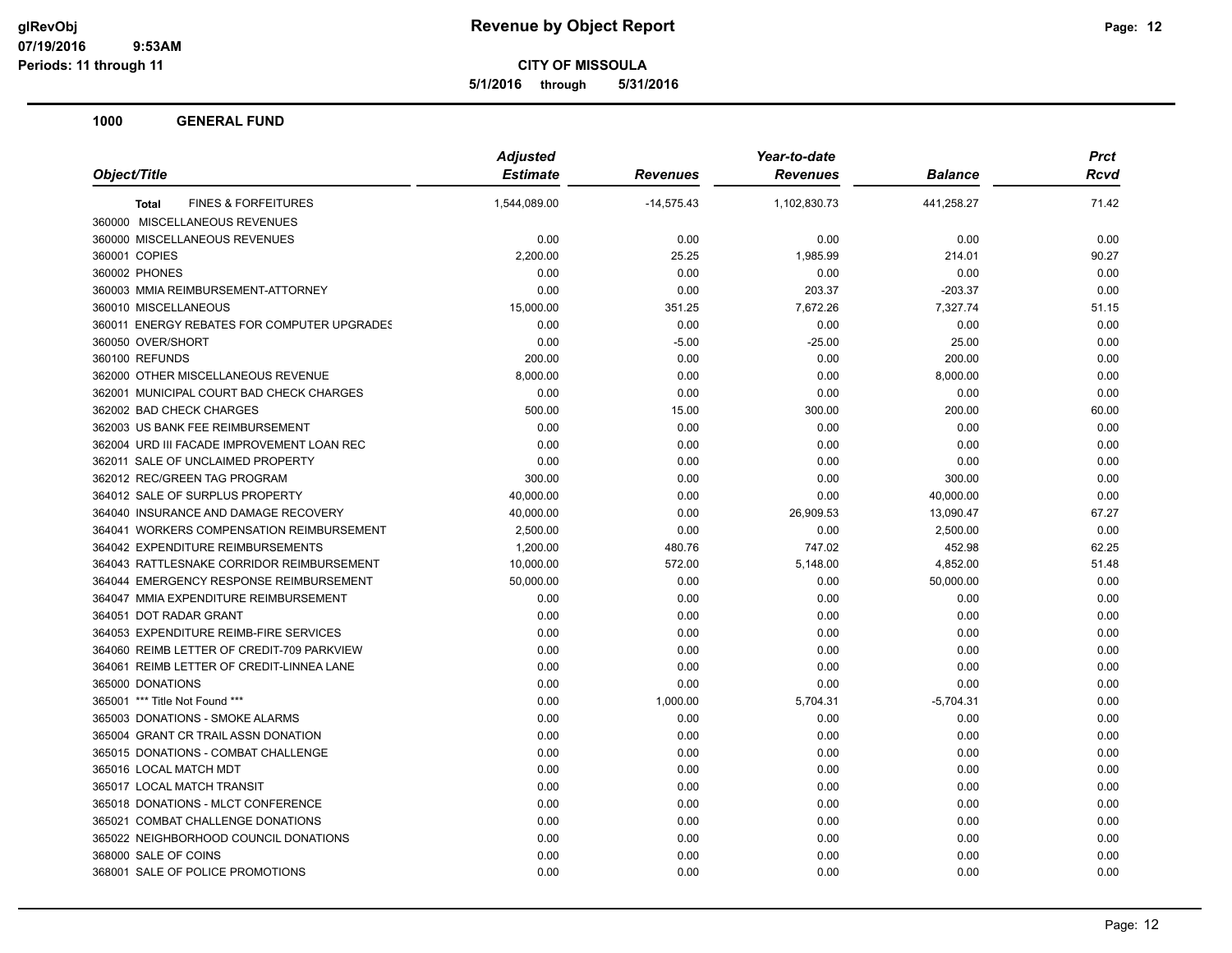**5/1/2016 through 5/31/2016**

| Object/Title                                   | <b>Adjusted</b> |                 | Year-to-date    |                |       |
|------------------------------------------------|-----------------|-----------------|-----------------|----------------|-------|
|                                                | <b>Estimate</b> | <b>Revenues</b> | <b>Revenues</b> | <b>Balance</b> | Rcvd  |
| <b>FINES &amp; FORFEITURES</b><br><b>Total</b> | 1,544,089.00    | $-14,575.43$    | 1,102,830.73    | 441,258.27     | 71.42 |
| 360000 MISCELLANEOUS REVENUES                  |                 |                 |                 |                |       |
| 360000 MISCELLANEOUS REVENUES                  | 0.00            | 0.00            | 0.00            | 0.00           | 0.00  |
| 360001 COPIES                                  | 2,200.00        | 25.25           | 1,985.99        | 214.01         | 90.27 |
| 360002 PHONES                                  | 0.00            | 0.00            | 0.00            | 0.00           | 0.00  |
| 360003 MMIA REIMBURSEMENT-ATTORNEY             | 0.00            | 0.00            | 203.37          | $-203.37$      | 0.00  |
| 360010 MISCELLANEOUS                           | 15,000.00       | 351.25          | 7,672.26        | 7,327.74       | 51.15 |
| 360011 ENERGY REBATES FOR COMPUTER UPGRADES    | 0.00            | 0.00            | 0.00            | 0.00           | 0.00  |
| 360050 OVER/SHORT                              | 0.00            | $-5.00$         | $-25.00$        | 25.00          | 0.00  |
| 360100 REFUNDS                                 | 200.00          | 0.00            | 0.00            | 200.00         | 0.00  |
| 362000 OTHER MISCELLANEOUS REVENUE             | 8,000.00        | 0.00            | 0.00            | 8,000.00       | 0.00  |
| 362001 MUNICIPAL COURT BAD CHECK CHARGES       | 0.00            | 0.00            | 0.00            | 0.00           | 0.00  |
| 362002 BAD CHECK CHARGES                       | 500.00          | 15.00           | 300.00          | 200.00         | 60.00 |
| 362003 US BANK FEE REIMBURSEMENT               | 0.00            | 0.00            | 0.00            | 0.00           | 0.00  |
| 362004 URD III FACADE IMPROVEMENT LOAN REC     | 0.00            | 0.00            | 0.00            | 0.00           | 0.00  |
| 362011 SALE OF UNCLAIMED PROPERTY              | 0.00            | 0.00            | 0.00            | 0.00           | 0.00  |
| 362012 REC/GREEN TAG PROGRAM                   | 300.00          | 0.00            | 0.00            | 300.00         | 0.00  |
| 364012 SALE OF SURPLUS PROPERTY                | 40,000.00       | 0.00            | 0.00            | 40,000.00      | 0.00  |
| 364040 INSURANCE AND DAMAGE RECOVERY           | 40,000.00       | 0.00            | 26,909.53       | 13,090.47      | 67.27 |
| 364041 WORKERS COMPENSATION REIMBURSEMENT      | 2,500.00        | 0.00            | 0.00            | 2,500.00       | 0.00  |
| 364042 EXPENDITURE REIMBURSEMENTS              | 1,200.00        | 480.76          | 747.02          | 452.98         | 62.25 |
| 364043 RATTLESNAKE CORRIDOR REIMBURSEMENT      | 10,000.00       | 572.00          | 5,148.00        | 4,852.00       | 51.48 |
| 364044 EMERGENCY RESPONSE REIMBURSEMENT        | 50,000.00       | 0.00            | 0.00            | 50,000.00      | 0.00  |
| 364047 MMIA EXPENDITURE REIMBURSEMENT          | 0.00            | 0.00            | 0.00            | 0.00           | 0.00  |
| 364051 DOT RADAR GRANT                         | 0.00            | 0.00            | 0.00            | 0.00           | 0.00  |
| 364053 EXPENDITURE REIMB-FIRE SERVICES         | 0.00            | 0.00            | 0.00            | 0.00           | 0.00  |
| 364060 REIMB LETTER OF CREDIT-709 PARKVIEW     | 0.00            | 0.00            | 0.00            | 0.00           | 0.00  |
| 364061 REIMB LETTER OF CREDIT-LINNEA LANE      | 0.00            | 0.00            | 0.00            | 0.00           | 0.00  |
| 365000 DONATIONS                               | 0.00            | 0.00            | 0.00            | 0.00           | 0.00  |
| 365001 *** Title Not Found ***                 | 0.00            | 1,000.00        | 5,704.31        | $-5,704.31$    | 0.00  |
| 365003 DONATIONS - SMOKE ALARMS                | 0.00            | 0.00            | 0.00            | 0.00           | 0.00  |
| 365004 GRANT CR TRAIL ASSN DONATION            | 0.00            | 0.00            | 0.00            | 0.00           | 0.00  |
| 365015 DONATIONS - COMBAT CHALLENGE            | 0.00            | 0.00            | 0.00            | 0.00           | 0.00  |
| 365016 LOCAL MATCH MDT                         | 0.00            | 0.00            | 0.00            | 0.00           | 0.00  |
| 365017 LOCAL MATCH TRANSIT                     | 0.00            | 0.00            | 0.00            | 0.00           | 0.00  |
| 365018 DONATIONS - MLCT CONFERENCE             | 0.00            | 0.00            | 0.00            | 0.00           | 0.00  |
| 365021 COMBAT CHALLENGE DONATIONS              | 0.00            | 0.00            | 0.00            | 0.00           | 0.00  |
| 365022 NEIGHBORHOOD COUNCIL DONATIONS          | 0.00            | 0.00            | 0.00            | 0.00           | 0.00  |
| 368000 SALE OF COINS                           | 0.00            | 0.00            | 0.00            | 0.00           | 0.00  |
| 368001 SALE OF POLICE PROMOTIONS               | 0.00            | 0.00            | 0.00            | 0.00           | 0.00  |
|                                                |                 |                 |                 |                |       |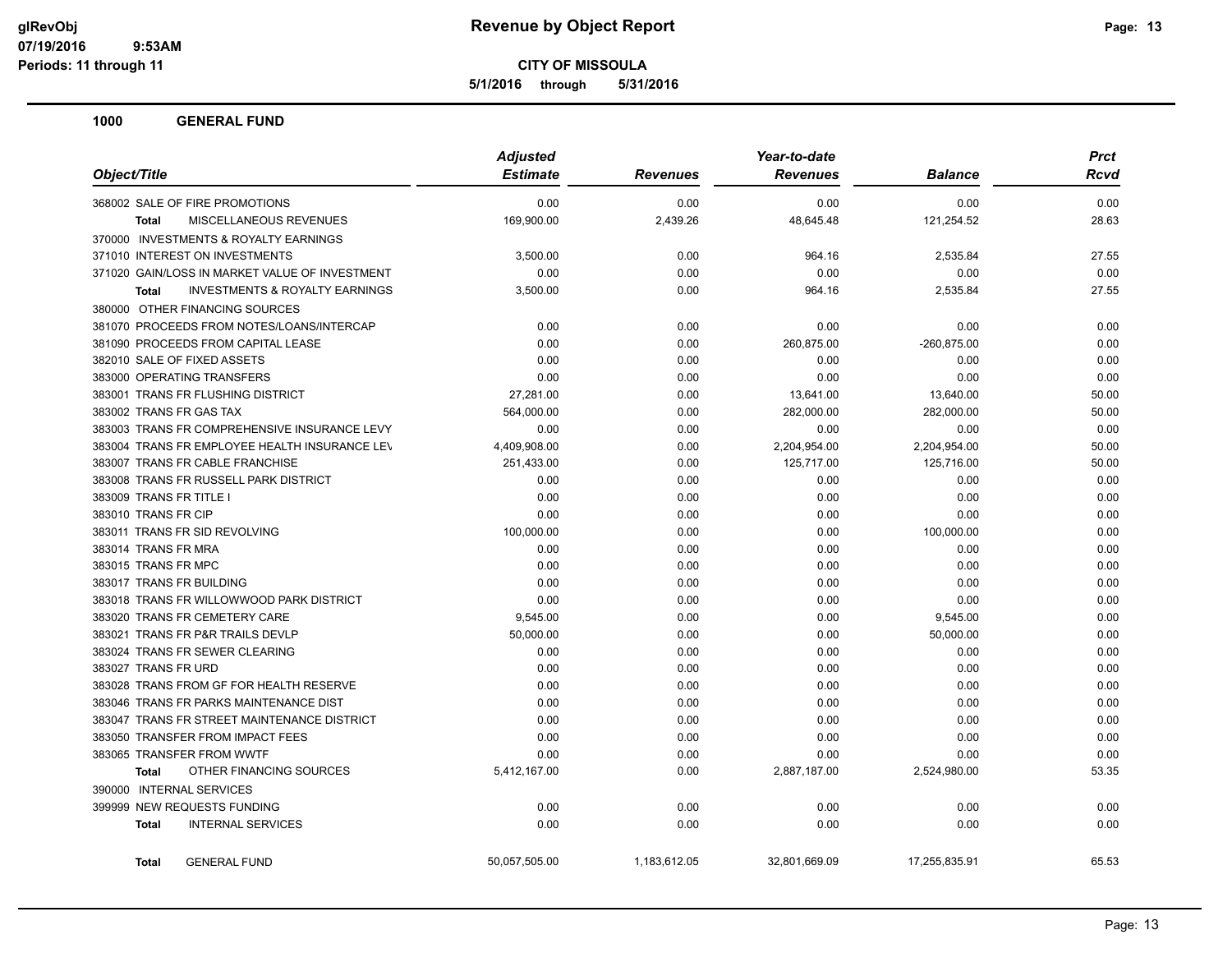**5/1/2016 through 5/31/2016**

| Object/Title                                              | <b>Adjusted</b><br><b>Estimate</b> | <b>Revenues</b> | Year-to-date<br><b>Revenues</b> | <b>Balance</b> | <b>Prct</b><br>Rcvd |
|-----------------------------------------------------------|------------------------------------|-----------------|---------------------------------|----------------|---------------------|
| 368002 SALE OF FIRE PROMOTIONS                            | 0.00                               | 0.00            | 0.00                            | 0.00           | 0.00                |
| <b>MISCELLANEOUS REVENUES</b>                             | 169,900.00                         | 2,439.26        | 48,645.48                       | 121,254.52     | 28.63               |
| Total                                                     |                                    |                 |                                 |                |                     |
| 370000 INVESTMENTS & ROYALTY EARNINGS                     |                                    |                 |                                 |                |                     |
| 371010 INTEREST ON INVESTMENTS                            | 3,500.00                           | 0.00            | 964.16                          | 2,535.84       | 27.55               |
| 371020 GAIN/LOSS IN MARKET VALUE OF INVESTMENT            | 0.00                               | 0.00            | 0.00                            | 0.00           | 0.00                |
| <b>INVESTMENTS &amp; ROYALTY EARNINGS</b><br><b>Total</b> | 3,500.00                           | 0.00            | 964.16                          | 2,535.84       | 27.55               |
| 380000 OTHER FINANCING SOURCES                            |                                    |                 |                                 |                |                     |
| 381070 PROCEEDS FROM NOTES/LOANS/INTERCAP                 | 0.00                               | 0.00            | 0.00                            | 0.00           | 0.00                |
| 381090 PROCEEDS FROM CAPITAL LEASE                        | 0.00                               | 0.00            | 260,875.00                      | $-260,875.00$  | 0.00                |
| 382010 SALE OF FIXED ASSETS                               | 0.00                               | 0.00            | 0.00                            | 0.00           | 0.00                |
| 383000 OPERATING TRANSFERS                                | 0.00                               | 0.00            | 0.00                            | 0.00           | 0.00                |
| 383001 TRANS FR FLUSHING DISTRICT                         | 27,281.00                          | 0.00            | 13,641.00                       | 13,640.00      | 50.00               |
| 383002 TRANS FR GAS TAX                                   | 564,000.00                         | 0.00            | 282,000.00                      | 282,000.00     | 50.00               |
| 383003 TRANS FR COMPREHENSIVE INSURANCE LEVY              | 0.00                               | 0.00            | 0.00                            | 0.00           | 0.00                |
| 383004 TRANS FR EMPLOYEE HEALTH INSURANCE LEV             | 4,409,908.00                       | 0.00            | 2,204,954.00                    | 2,204,954.00   | 50.00               |
| 383007 TRANS FR CABLE FRANCHISE                           | 251,433.00                         | 0.00            | 125,717.00                      | 125,716.00     | 50.00               |
| 383008 TRANS FR RUSSELL PARK DISTRICT                     | 0.00                               | 0.00            | 0.00                            | 0.00           | 0.00                |
| 383009 TRANS FR TITLE I                                   | 0.00                               | 0.00            | 0.00                            | 0.00           | 0.00                |
| 383010 TRANS FR CIP                                       | 0.00                               | 0.00            | 0.00                            | 0.00           | 0.00                |
| 383011 TRANS FR SID REVOLVING                             | 100,000.00                         | 0.00            | 0.00                            | 100,000.00     | 0.00                |
| 383014 TRANS FR MRA                                       | 0.00                               | 0.00            | 0.00                            | 0.00           | 0.00                |
| 383015 TRANS FR MPC                                       | 0.00                               | 0.00            | 0.00                            | 0.00           | 0.00                |
| 383017 TRANS FR BUILDING                                  | 0.00                               | 0.00            | 0.00                            | 0.00           | 0.00                |
| 383018 TRANS FR WILLOWWOOD PARK DISTRICT                  | 0.00                               | 0.00            | 0.00                            | 0.00           | 0.00                |
| 383020 TRANS FR CEMETERY CARE                             | 9,545.00                           | 0.00            | 0.00                            | 9,545.00       | 0.00                |
| 383021 TRANS FR P&R TRAILS DEVLP                          | 50,000.00                          | 0.00            | 0.00                            | 50,000.00      | 0.00                |
| 383024 TRANS FR SEWER CLEARING                            | 0.00                               | 0.00            | 0.00                            | 0.00           | 0.00                |
| 383027 TRANS FR URD                                       | 0.00                               | 0.00            | 0.00                            | 0.00           | 0.00                |
| 383028 TRANS FROM GF FOR HEALTH RESERVE                   | 0.00                               | 0.00            | 0.00                            | 0.00           | 0.00                |
| 383046 TRANS FR PARKS MAINTENANCE DIST                    | 0.00                               | 0.00            | 0.00                            | 0.00           | 0.00                |
| 383047 TRANS FR STREET MAINTENANCE DISTRICT               | 0.00                               | 0.00            | 0.00                            | 0.00           | 0.00                |
| 383050 TRANSFER FROM IMPACT FEES                          | 0.00                               | 0.00            | 0.00                            | 0.00           | 0.00                |
| 383065 TRANSFER FROM WWTF                                 | 0.00                               | 0.00            | 0.00                            | 0.00           | 0.00                |
| OTHER FINANCING SOURCES<br><b>Total</b>                   | 5,412,167.00                       | 0.00            | 2,887,187.00                    | 2,524,980.00   | 53.35               |
| <b>INTERNAL SERVICES</b><br>390000                        |                                    |                 |                                 |                |                     |
| 399999 NEW REQUESTS FUNDING                               | 0.00                               | 0.00            | 0.00                            | 0.00           | 0.00                |
| <b>INTERNAL SERVICES</b><br>Total                         | 0.00                               | 0.00            | 0.00                            | 0.00           | 0.00                |
| <b>GENERAL FUND</b><br><b>Total</b>                       | 50,057,505.00                      | 1,183,612.05    | 32.801.669.09                   | 17.255.835.91  | 65.53               |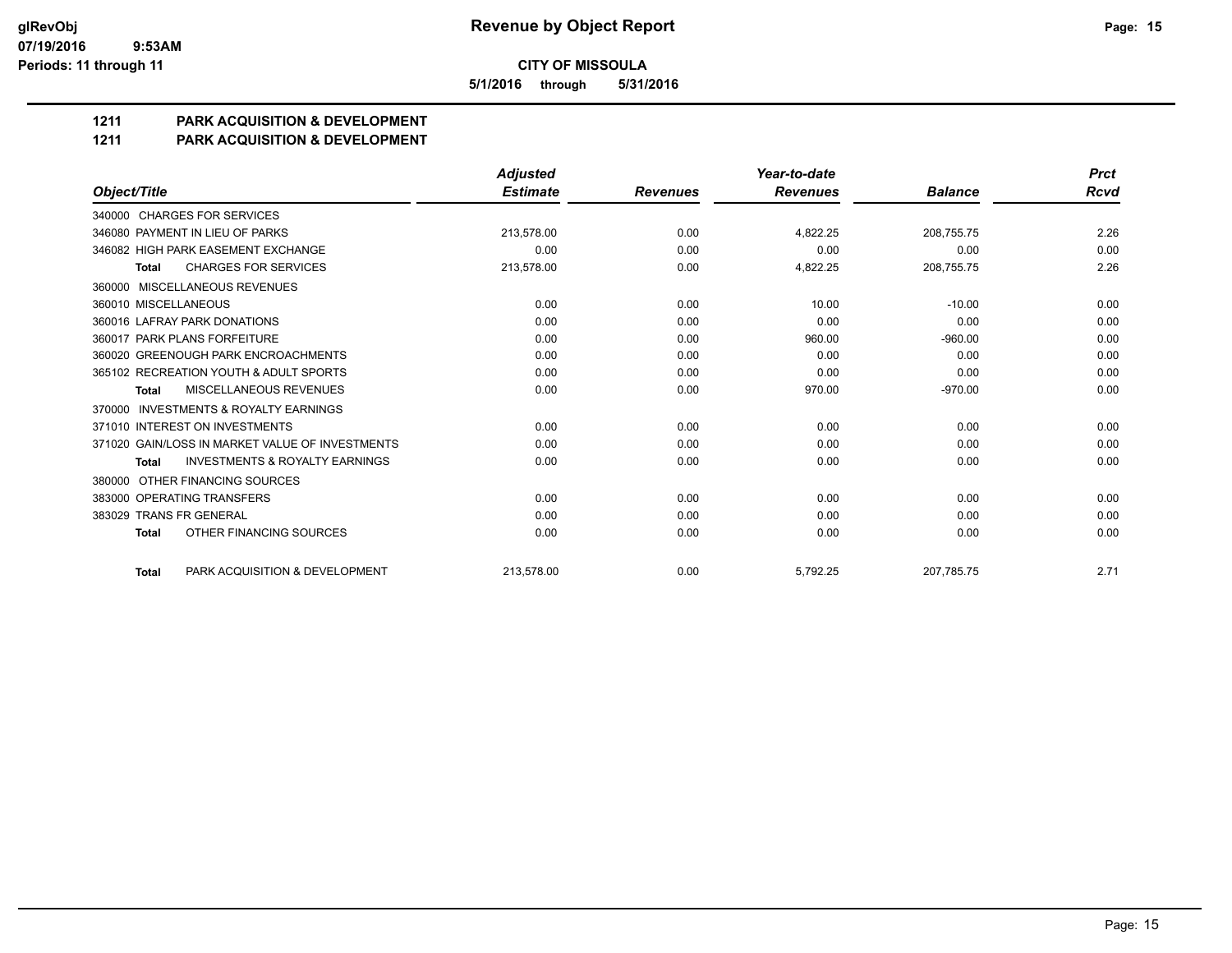**5/1/2016 through 5/31/2016**

# **1211 PARK ACQUISITION & DEVELOPMENT**

#### **1211 PARK ACQUISITION & DEVELOPMENT**

|                                                           | <b>Adjusted</b> |                 | Year-to-date    |                | <b>Prct</b> |
|-----------------------------------------------------------|-----------------|-----------------|-----------------|----------------|-------------|
| Object/Title                                              | <b>Estimate</b> | <b>Revenues</b> | <b>Revenues</b> | <b>Balance</b> | Rcvd        |
| 340000 CHARGES FOR SERVICES                               |                 |                 |                 |                |             |
| 346080 PAYMENT IN LIEU OF PARKS                           | 213,578.00      | 0.00            | 4,822.25        | 208,755.75     | 2.26        |
| 346082 HIGH PARK EASEMENT EXCHANGE                        | 0.00            | 0.00            | 0.00            | 0.00           | 0.00        |
| <b>CHARGES FOR SERVICES</b><br><b>Total</b>               | 213,578.00      | 0.00            | 4,822.25        | 208,755.75     | 2.26        |
| MISCELLANEOUS REVENUES<br>360000                          |                 |                 |                 |                |             |
| 360010 MISCELLANEOUS                                      | 0.00            | 0.00            | 10.00           | $-10.00$       | 0.00        |
| 360016 LAFRAY PARK DONATIONS                              | 0.00            | 0.00            | 0.00            | 0.00           | 0.00        |
| 360017 PARK PLANS FORFEITURE                              | 0.00            | 0.00            | 960.00          | $-960.00$      | 0.00        |
| 360020 GREENOUGH PARK ENCROACHMENTS                       | 0.00            | 0.00            | 0.00            | 0.00           | 0.00        |
| 365102 RECREATION YOUTH & ADULT SPORTS                    | 0.00            | 0.00            | 0.00            | 0.00           | 0.00        |
| MISCELLANEOUS REVENUES<br><b>Total</b>                    | 0.00            | 0.00            | 970.00          | $-970.00$      | 0.00        |
| <b>INVESTMENTS &amp; ROYALTY EARNINGS</b><br>370000       |                 |                 |                 |                |             |
| 371010 INTEREST ON INVESTMENTS                            | 0.00            | 0.00            | 0.00            | 0.00           | 0.00        |
| 371020 GAIN/LOSS IN MARKET VALUE OF INVESTMENTS           | 0.00            | 0.00            | 0.00            | 0.00           | 0.00        |
| <b>INVESTMENTS &amp; ROYALTY EARNINGS</b><br><b>Total</b> | 0.00            | 0.00            | 0.00            | 0.00           | 0.00        |
| OTHER FINANCING SOURCES<br>380000                         |                 |                 |                 |                |             |
| 383000 OPERATING TRANSFERS                                | 0.00            | 0.00            | 0.00            | 0.00           | 0.00        |
| 383029 TRANS FR GENERAL                                   | 0.00            | 0.00            | 0.00            | 0.00           | 0.00        |
| OTHER FINANCING SOURCES<br><b>Total</b>                   | 0.00            | 0.00            | 0.00            | 0.00           | 0.00        |
| PARK ACQUISITION & DEVELOPMENT<br><b>Total</b>            | 213.578.00      | 0.00            | 5.792.25        | 207.785.75     | 2.71        |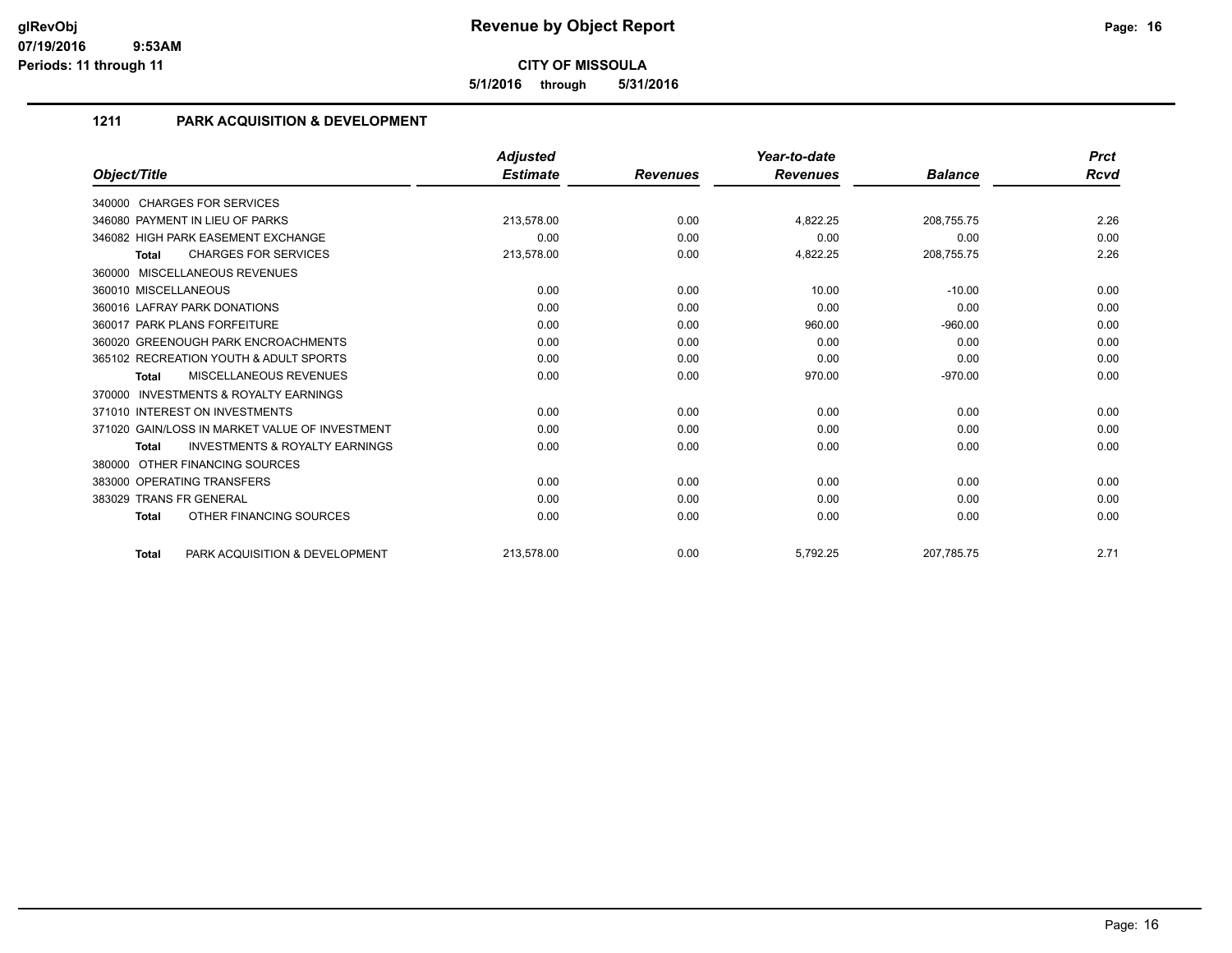**5/1/2016 through 5/31/2016**

# **1211 PARK ACQUISITION & DEVELOPMENT**

|                                                           | <b>Adjusted</b> |                 | Year-to-date    |                | <b>Prct</b> |
|-----------------------------------------------------------|-----------------|-----------------|-----------------|----------------|-------------|
| Object/Title                                              | <b>Estimate</b> | <b>Revenues</b> | <b>Revenues</b> | <b>Balance</b> | Rcvd        |
| 340000 CHARGES FOR SERVICES                               |                 |                 |                 |                |             |
| 346080 PAYMENT IN LIEU OF PARKS                           | 213,578.00      | 0.00            | 4,822.25        | 208,755.75     | 2.26        |
| 346082 HIGH PARK EASEMENT EXCHANGE                        | 0.00            | 0.00            | 0.00            | 0.00           | 0.00        |
| <b>CHARGES FOR SERVICES</b><br>Total                      | 213,578.00      | 0.00            | 4,822.25        | 208,755.75     | 2.26        |
| 360000 MISCELLANEOUS REVENUES                             |                 |                 |                 |                |             |
| 360010 MISCELLANEOUS                                      | 0.00            | 0.00            | 10.00           | $-10.00$       | 0.00        |
| 360016 LAFRAY PARK DONATIONS                              | 0.00            | 0.00            | 0.00            | 0.00           | 0.00        |
| 360017 PARK PLANS FORFEITURE                              | 0.00            | 0.00            | 960.00          | $-960.00$      | 0.00        |
| 360020 GREENOUGH PARK ENCROACHMENTS                       | 0.00            | 0.00            | 0.00            | 0.00           | 0.00        |
| 365102 RECREATION YOUTH & ADULT SPORTS                    | 0.00            | 0.00            | 0.00            | 0.00           | 0.00        |
| MISCELLANEOUS REVENUES<br>Total                           | 0.00            | 0.00            | 970.00          | $-970.00$      | 0.00        |
| <b>INVESTMENTS &amp; ROYALTY EARNINGS</b><br>370000       |                 |                 |                 |                |             |
| 371010 INTEREST ON INVESTMENTS                            | 0.00            | 0.00            | 0.00            | 0.00           | 0.00        |
| 371020 GAIN/LOSS IN MARKET VALUE OF INVESTMENT            | 0.00            | 0.00            | 0.00            | 0.00           | 0.00        |
| <b>INVESTMENTS &amp; ROYALTY EARNINGS</b><br><b>Total</b> | 0.00            | 0.00            | 0.00            | 0.00           | 0.00        |
| 380000 OTHER FINANCING SOURCES                            |                 |                 |                 |                |             |
| 383000 OPERATING TRANSFERS                                | 0.00            | 0.00            | 0.00            | 0.00           | 0.00        |
| 383029 TRANS FR GENERAL                                   | 0.00            | 0.00            | 0.00            | 0.00           | 0.00        |
| OTHER FINANCING SOURCES<br><b>Total</b>                   | 0.00            | 0.00            | 0.00            | 0.00           | 0.00        |
| PARK ACQUISITION & DEVELOPMENT<br><b>Total</b>            | 213,578.00      | 0.00            | 5,792.25        | 207,785.75     | 2.71        |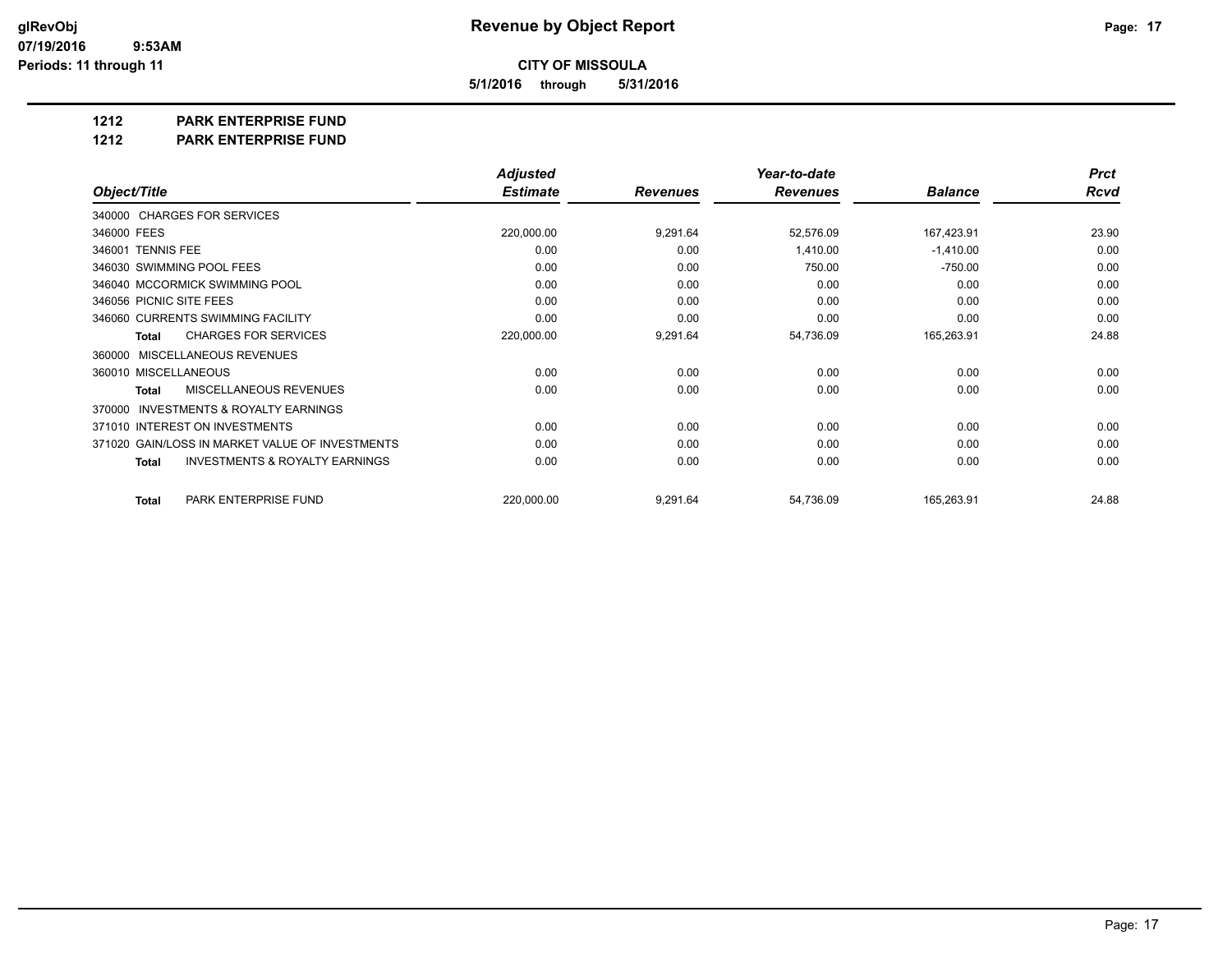**5/1/2016 through 5/31/2016**

**1212 PARK ENTERPRISE FUND**

**1212 PARK ENTERPRISE FUND**

|                                                     | <b>Adjusted</b> |                 | Year-to-date    |                | <b>Prct</b> |
|-----------------------------------------------------|-----------------|-----------------|-----------------|----------------|-------------|
| Object/Title                                        | <b>Estimate</b> | <b>Revenues</b> | <b>Revenues</b> | <b>Balance</b> | <b>Rcvd</b> |
| 340000 CHARGES FOR SERVICES                         |                 |                 |                 |                |             |
| 346000 FEES                                         | 220,000.00      | 9,291.64        | 52,576.09       | 167,423.91     | 23.90       |
| 346001 TENNIS FEE                                   | 0.00            | 0.00            | 1,410.00        | $-1,410.00$    | 0.00        |
| 346030 SWIMMING POOL FEES                           | 0.00            | 0.00            | 750.00          | $-750.00$      | 0.00        |
| 346040 MCCORMICK SWIMMING POOL                      | 0.00            | 0.00            | 0.00            | 0.00           | 0.00        |
| 346056 PICNIC SITE FEES                             | 0.00            | 0.00            | 0.00            | 0.00           | 0.00        |
| 346060 CURRENTS SWIMMING FACILITY                   | 0.00            | 0.00            | 0.00            | 0.00           | 0.00        |
| <b>CHARGES FOR SERVICES</b><br><b>Total</b>         | 220,000.00      | 9,291.64        | 54,736.09       | 165,263.91     | 24.88       |
| MISCELLANEOUS REVENUES<br>360000                    |                 |                 |                 |                |             |
| 360010 MISCELLANEOUS                                | 0.00            | 0.00            | 0.00            | 0.00           | 0.00        |
| <b>MISCELLANEOUS REVENUES</b><br><b>Total</b>       | 0.00            | 0.00            | 0.00            | 0.00           | 0.00        |
| <b>INVESTMENTS &amp; ROYALTY EARNINGS</b><br>370000 |                 |                 |                 |                |             |
| 371010 INTEREST ON INVESTMENTS                      | 0.00            | 0.00            | 0.00            | 0.00           | 0.00        |
| 371020 GAIN/LOSS IN MARKET VALUE OF INVESTMENTS     | 0.00            | 0.00            | 0.00            | 0.00           | 0.00        |
| <b>INVESTMENTS &amp; ROYALTY EARNINGS</b><br>Total  | 0.00            | 0.00            | 0.00            | 0.00           | 0.00        |
| PARK ENTERPRISE FUND<br><b>Total</b>                | 220,000.00      | 9,291.64        | 54,736.09       | 165,263.91     | 24.88       |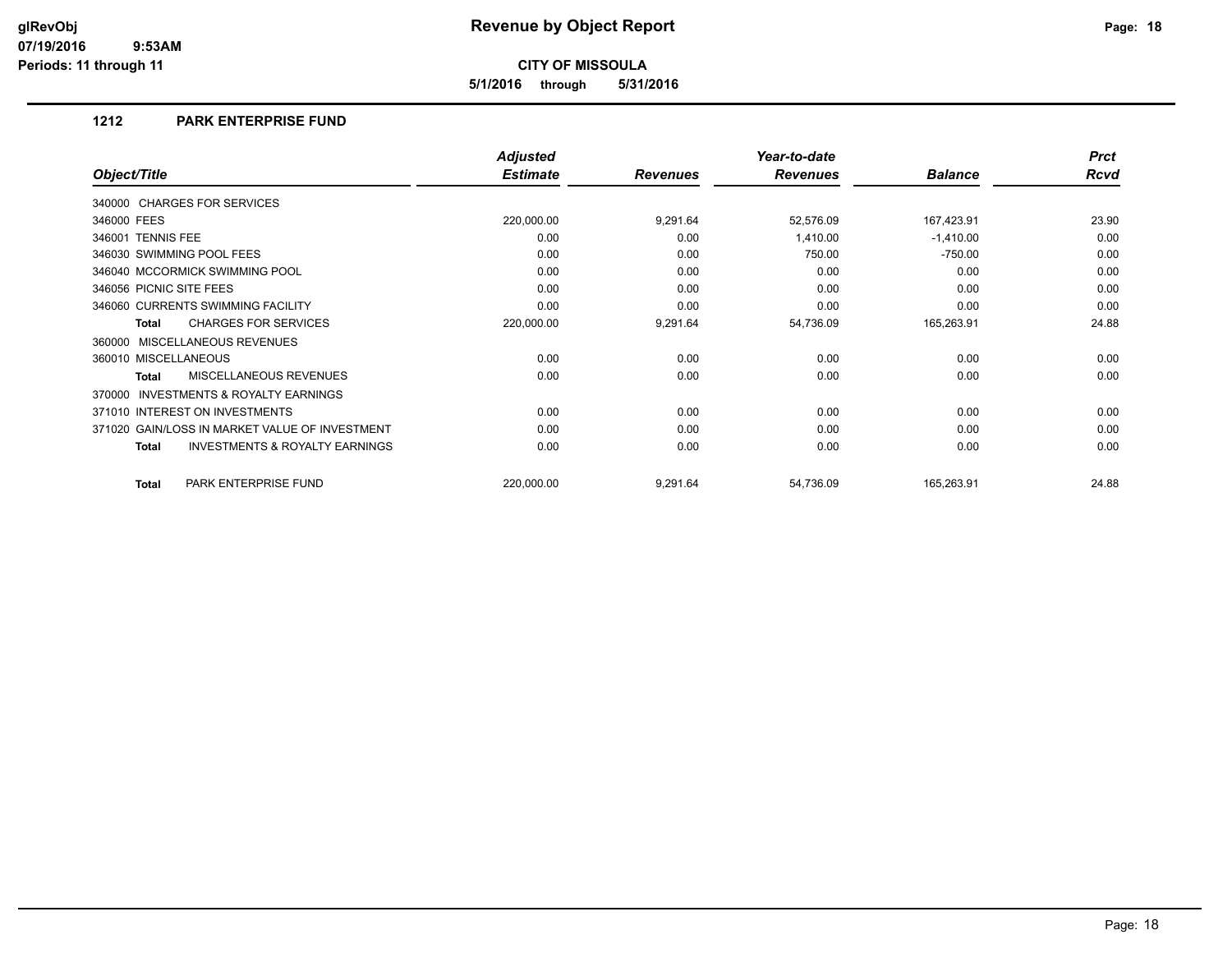**5/1/2016 through 5/31/2016**

### **1212 PARK ENTERPRISE FUND**

|                                                           | <b>Adjusted</b> |                 | Year-to-date    |                | <b>Prct</b> |
|-----------------------------------------------------------|-----------------|-----------------|-----------------|----------------|-------------|
| Object/Title                                              | <b>Estimate</b> | <b>Revenues</b> | <b>Revenues</b> | <b>Balance</b> | <b>Rcvd</b> |
| 340000 CHARGES FOR SERVICES                               |                 |                 |                 |                |             |
| 346000 FEES                                               | 220,000.00      | 9,291.64        | 52,576.09       | 167,423.91     | 23.90       |
| 346001 TENNIS FEE                                         | 0.00            | 0.00            | 1,410.00        | $-1,410.00$    | 0.00        |
| 346030 SWIMMING POOL FEES                                 | 0.00            | 0.00            | 750.00          | $-750.00$      | 0.00        |
| 346040 MCCORMICK SWIMMING POOL                            | 0.00            | 0.00            | 0.00            | 0.00           | 0.00        |
| 346056 PICNIC SITE FEES                                   | 0.00            | 0.00            | 0.00            | 0.00           | 0.00        |
| 346060 CURRENTS SWIMMING FACILITY                         | 0.00            | 0.00            | 0.00            | 0.00           | 0.00        |
| <b>CHARGES FOR SERVICES</b><br><b>Total</b>               | 220,000.00      | 9,291.64        | 54,736.09       | 165,263.91     | 24.88       |
| 360000 MISCELLANEOUS REVENUES                             |                 |                 |                 |                |             |
| 360010 MISCELLANEOUS                                      | 0.00            | 0.00            | 0.00            | 0.00           | 0.00        |
| <b>MISCELLANEOUS REVENUES</b><br><b>Total</b>             | 0.00            | 0.00            | 0.00            | 0.00           | 0.00        |
| INVESTMENTS & ROYALTY EARNINGS<br>370000                  |                 |                 |                 |                |             |
| 371010 INTEREST ON INVESTMENTS                            | 0.00            | 0.00            | 0.00            | 0.00           | 0.00        |
| 371020 GAIN/LOSS IN MARKET VALUE OF INVESTMENT            | 0.00            | 0.00            | 0.00            | 0.00           | 0.00        |
| <b>INVESTMENTS &amp; ROYALTY EARNINGS</b><br><b>Total</b> | 0.00            | 0.00            | 0.00            | 0.00           | 0.00        |
| PARK ENTERPRISE FUND<br><b>Total</b>                      | 220,000.00      | 9,291.64        | 54,736.09       | 165,263.91     | 24.88       |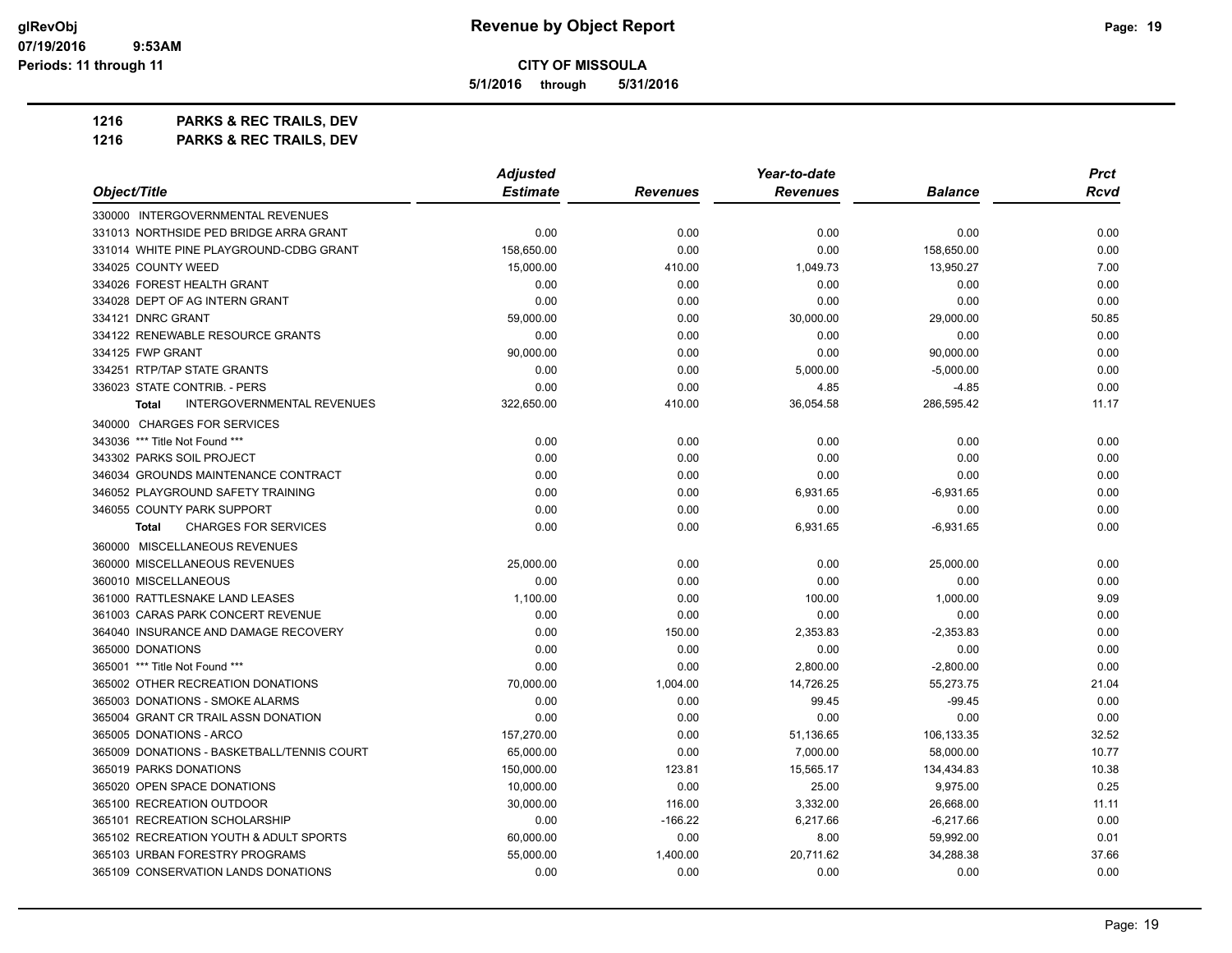**5/1/2016 through 5/31/2016**

**1216 PARKS & REC TRAILS, DEV**

**1216 PARKS & REC TRAILS, DEV**

|                                                   | <b>Adjusted</b> |                 | Year-to-date    |                | <b>Prct</b> |
|---------------------------------------------------|-----------------|-----------------|-----------------|----------------|-------------|
| Object/Title                                      | <b>Estimate</b> | <b>Revenues</b> | <b>Revenues</b> | <b>Balance</b> | <b>Rcvd</b> |
| 330000 INTERGOVERNMENTAL REVENUES                 |                 |                 |                 |                |             |
| 331013 NORTHSIDE PED BRIDGE ARRA GRANT            | 0.00            | 0.00            | 0.00            | 0.00           | 0.00        |
| 331014 WHITE PINE PLAYGROUND-CDBG GRANT           | 158,650.00      | 0.00            | 0.00            | 158,650.00     | 0.00        |
| 334025 COUNTY WEED                                | 15.000.00       | 410.00          | 1,049.73        | 13,950.27      | 7.00        |
| 334026 FOREST HEALTH GRANT                        | 0.00            | 0.00            | 0.00            | 0.00           | 0.00        |
| 334028 DEPT OF AG INTERN GRANT                    | 0.00            | 0.00            | 0.00            | 0.00           | 0.00        |
| 334121 DNRC GRANT                                 | 59,000.00       | 0.00            | 30,000.00       | 29,000.00      | 50.85       |
| 334122 RENEWABLE RESOURCE GRANTS                  | 0.00            | 0.00            | 0.00            | 0.00           | 0.00        |
| 334125 FWP GRANT                                  | 90,000.00       | 0.00            | 0.00            | 90,000.00      | 0.00        |
| 334251 RTP/TAP STATE GRANTS                       | 0.00            | 0.00            | 5,000.00        | $-5,000.00$    | 0.00        |
| 336023 STATE CONTRIB. - PERS                      | 0.00            | 0.00            | 4.85            | $-4.85$        | 0.00        |
| <b>INTERGOVERNMENTAL REVENUES</b><br><b>Total</b> | 322,650.00      | 410.00          | 36,054.58       | 286,595.42     | 11.17       |
| 340000 CHARGES FOR SERVICES                       |                 |                 |                 |                |             |
| 343036 *** Title Not Found ***                    | 0.00            | 0.00            | 0.00            | 0.00           | 0.00        |
| 343302 PARKS SOIL PROJECT                         | 0.00            | 0.00            | 0.00            | 0.00           | 0.00        |
| 346034 GROUNDS MAINTENANCE CONTRACT               | 0.00            | 0.00            | 0.00            | 0.00           | 0.00        |
| 346052 PLAYGROUND SAFETY TRAINING                 | 0.00            | 0.00            | 6,931.65        | $-6,931.65$    | 0.00        |
| 346055 COUNTY PARK SUPPORT                        | 0.00            | 0.00            | 0.00            | 0.00           | 0.00        |
| <b>CHARGES FOR SERVICES</b><br><b>Total</b>       | 0.00            | 0.00            | 6,931.65        | $-6,931.65$    | 0.00        |
| 360000 MISCELLANEOUS REVENUES                     |                 |                 |                 |                |             |
| 360000 MISCELLANEOUS REVENUES                     | 25.000.00       | 0.00            | 0.00            | 25,000.00      | 0.00        |
| 360010 MISCELLANEOUS                              | 0.00            | 0.00            | 0.00            | 0.00           | 0.00        |
| 361000 RATTLESNAKE LAND LEASES                    | 1,100.00        | 0.00            | 100.00          | 1,000.00       | 9.09        |
| 361003 CARAS PARK CONCERT REVENUE                 | 0.00            | 0.00            | 0.00            | 0.00           | 0.00        |
| 364040 INSURANCE AND DAMAGE RECOVERY              | 0.00            | 150.00          | 2,353.83        | $-2,353.83$    | 0.00        |
| 365000 DONATIONS                                  | 0.00            | 0.00            | 0.00            | 0.00           | 0.00        |
| 365001 *** Title Not Found ***                    | 0.00            | 0.00            | 2,800.00        | $-2,800.00$    | 0.00        |
| 365002 OTHER RECREATION DONATIONS                 | 70,000.00       | 1,004.00        | 14,726.25       | 55,273.75      | 21.04       |
| 365003 DONATIONS - SMOKE ALARMS                   | 0.00            | 0.00            | 99.45           | $-99.45$       | 0.00        |
| 365004 GRANT CR TRAIL ASSN DONATION               | 0.00            | 0.00            | 0.00            | 0.00           | 0.00        |
| 365005 DONATIONS - ARCO                           | 157,270.00      | 0.00            | 51,136.65       | 106,133.35     | 32.52       |
| 365009 DONATIONS - BASKETBALL/TENNIS COURT        | 65,000.00       | 0.00            | 7,000.00        | 58,000.00      | 10.77       |
| 365019 PARKS DONATIONS                            | 150,000.00      | 123.81          | 15,565.17       | 134,434.83     | 10.38       |
| 365020 OPEN SPACE DONATIONS                       | 10,000.00       | 0.00            | 25.00           | 9,975.00       | 0.25        |
| 365100 RECREATION OUTDOOR                         | 30,000.00       | 116.00          | 3,332.00        | 26,668.00      | 11.11       |
| 365101 RECREATION SCHOLARSHIP                     | 0.00            | $-166.22$       | 6,217.66        | $-6,217.66$    | 0.00        |
| 365102 RECREATION YOUTH & ADULT SPORTS            | 60,000.00       | 0.00            | 8.00            | 59,992.00      | 0.01        |
| 365103 URBAN FORESTRY PROGRAMS                    | 55,000.00       | 1,400.00        | 20,711.62       | 34,288.38      | 37.66       |
| 365109 CONSERVATION LANDS DONATIONS               | 0.00            | 0.00            | 0.00            | 0.00           | 0.00        |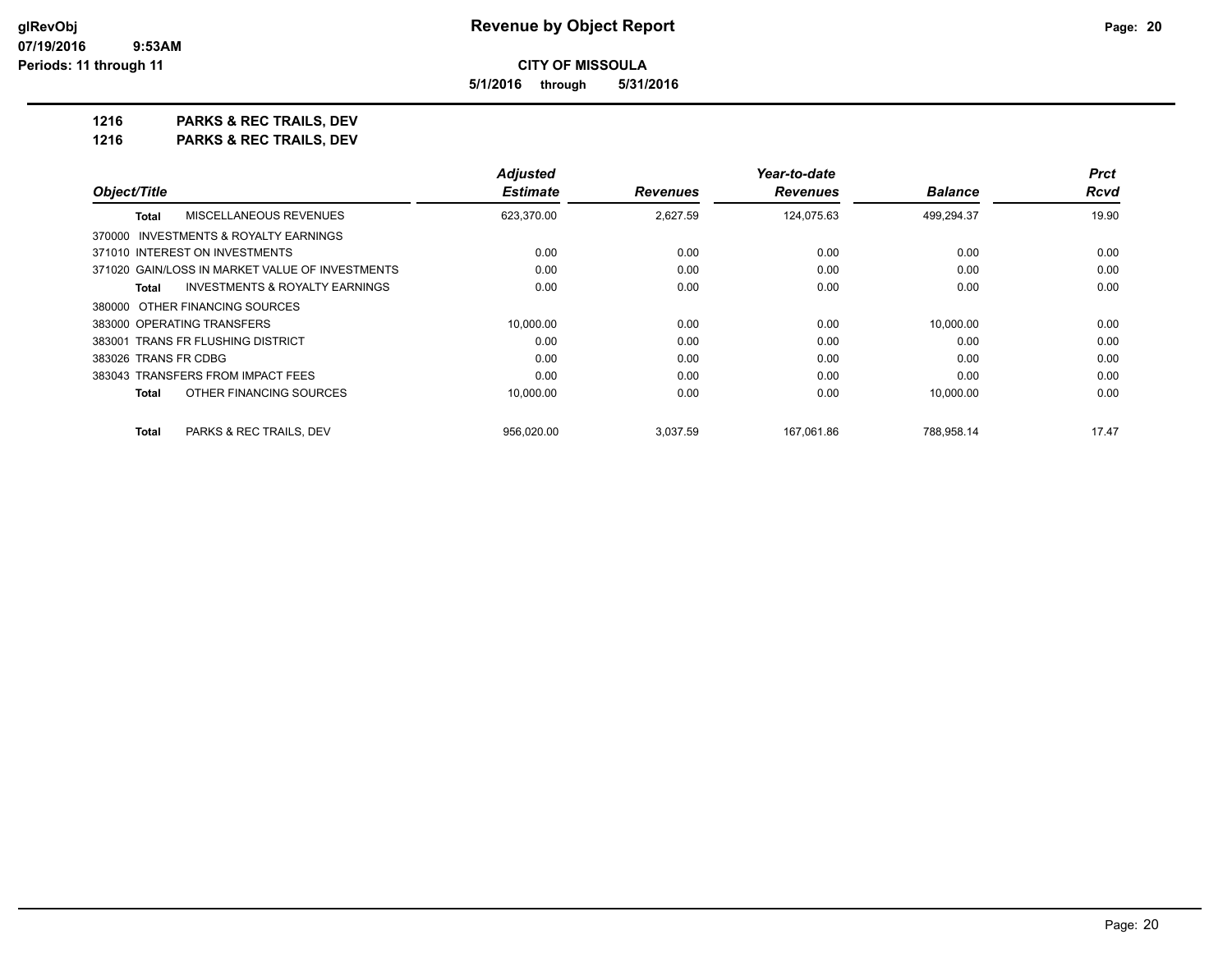**5/1/2016 through 5/31/2016**

**1216 PARKS & REC TRAILS, DEV 1216 PARKS & REC TRAILS, DEV**

|                                                           | Adjusted        |                 | Year-to-date    |                | <b>Prct</b> |
|-----------------------------------------------------------|-----------------|-----------------|-----------------|----------------|-------------|
| Object/Title                                              | <b>Estimate</b> | <b>Revenues</b> | <b>Revenues</b> | <b>Balance</b> | Rcvd        |
| MISCELLANEOUS REVENUES<br><b>Total</b>                    | 623,370.00      | 2,627.59        | 124,075.63      | 499,294.37     | 19.90       |
| 370000 INVESTMENTS & ROYALTY EARNINGS                     |                 |                 |                 |                |             |
| 371010 INTEREST ON INVESTMENTS                            | 0.00            | 0.00            | 0.00            | 0.00           | 0.00        |
| 371020 GAIN/LOSS IN MARKET VALUE OF INVESTMENTS           | 0.00            | 0.00            | 0.00            | 0.00           | 0.00        |
| <b>INVESTMENTS &amp; ROYALTY EARNINGS</b><br><b>Total</b> | 0.00            | 0.00            | 0.00            | 0.00           | 0.00        |
| 380000 OTHER FINANCING SOURCES                            |                 |                 |                 |                |             |
| 383000 OPERATING TRANSFERS                                | 10.000.00       | 0.00            | 0.00            | 10.000.00      | 0.00        |
| 383001 TRANS FR FLUSHING DISTRICT                         | 0.00            | 0.00            | 0.00            | 0.00           | 0.00        |
| 383026 TRANS FR CDBG                                      | 0.00            | 0.00            | 0.00            | 0.00           | 0.00        |
| 383043 TRANSFERS FROM IMPACT FEES                         | 0.00            | 0.00            | 0.00            | 0.00           | 0.00        |
| OTHER FINANCING SOURCES<br><b>Total</b>                   | 10,000.00       | 0.00            | 0.00            | 10,000.00      | 0.00        |
| PARKS & REC TRAILS, DEV<br>Total                          | 956.020.00      | 3,037.59        | 167.061.86      | 788.958.14     | 17.47       |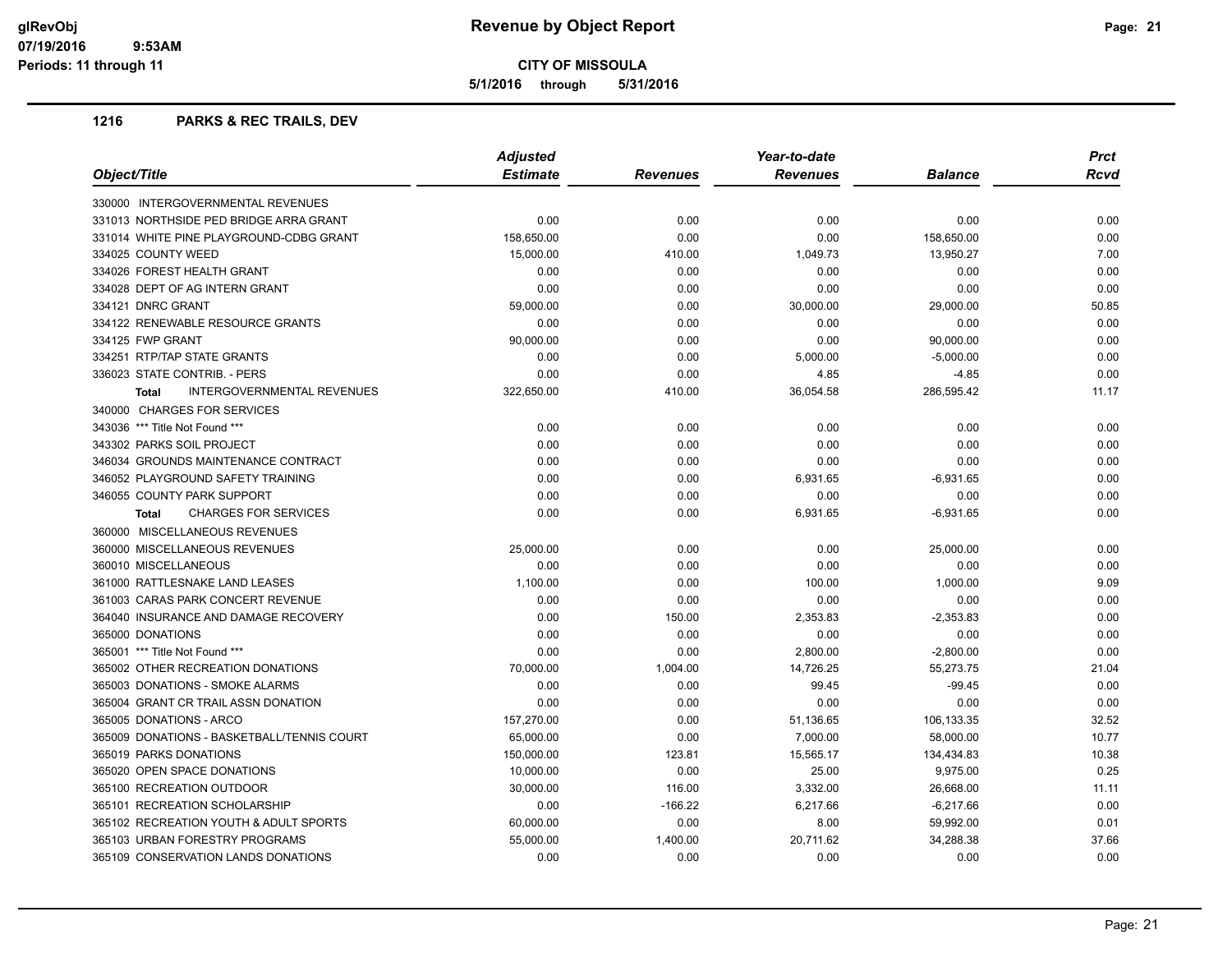**5/1/2016 through 5/31/2016**

## **1216 PARKS & REC TRAILS, DEV**

|                                             | <b>Adjusted</b> |           | Year-to-date    |                |       |
|---------------------------------------------|-----------------|-----------|-----------------|----------------|-------|
| Object/Title                                | <b>Estimate</b> | Revenues  | <b>Revenues</b> | <b>Balance</b> | Rcvd  |
| 330000 INTERGOVERNMENTAL REVENUES           |                 |           |                 |                |       |
| 331013 NORTHSIDE PED BRIDGE ARRA GRANT      | 0.00            | 0.00      | 0.00            | 0.00           | 0.00  |
| 331014 WHITE PINE PLAYGROUND-CDBG GRANT     | 158,650.00      | 0.00      | 0.00            | 158,650.00     | 0.00  |
| 334025 COUNTY WEED                          | 15,000.00       | 410.00    | 1,049.73        | 13,950.27      | 7.00  |
| 334026 FOREST HEALTH GRANT                  | 0.00            | 0.00      | 0.00            | 0.00           | 0.00  |
| 334028 DEPT OF AG INTERN GRANT              | 0.00            | 0.00      | 0.00            | 0.00           | 0.00  |
| 334121 DNRC GRANT                           | 59,000.00       | 0.00      | 30,000.00       | 29,000.00      | 50.85 |
| 334122 RENEWABLE RESOURCE GRANTS            | 0.00            | 0.00      | 0.00            | 0.00           | 0.00  |
| 334125 FWP GRANT                            | 90,000.00       | 0.00      | 0.00            | 90,000.00      | 0.00  |
| 334251 RTP/TAP STATE GRANTS                 | 0.00            | 0.00      | 5,000.00        | $-5,000.00$    | 0.00  |
| 336023 STATE CONTRIB. - PERS                | 0.00            | 0.00      | 4.85            | $-4.85$        | 0.00  |
| INTERGOVERNMENTAL REVENUES<br><b>Total</b>  | 322,650.00      | 410.00    | 36,054.58       | 286,595.42     | 11.17 |
| 340000 CHARGES FOR SERVICES                 |                 |           |                 |                |       |
| 343036 *** Title Not Found ***              | 0.00            | 0.00      | 0.00            | 0.00           | 0.00  |
| 343302 PARKS SOIL PROJECT                   | 0.00            | 0.00      | 0.00            | 0.00           | 0.00  |
| 346034 GROUNDS MAINTENANCE CONTRACT         | 0.00            | 0.00      | 0.00            | 0.00           | 0.00  |
| 346052 PLAYGROUND SAFETY TRAINING           | 0.00            | 0.00      | 6,931.65        | $-6,931.65$    | 0.00  |
| 346055 COUNTY PARK SUPPORT                  | 0.00            | 0.00      | 0.00            | 0.00           | 0.00  |
| <b>CHARGES FOR SERVICES</b><br><b>Total</b> | 0.00            | 0.00      | 6,931.65        | -6,931.65      | 0.00  |
| 360000 MISCELLANEOUS REVENUES               |                 |           |                 |                |       |
| 360000 MISCELLANEOUS REVENUES               | 25,000.00       | 0.00      | 0.00            | 25,000.00      | 0.00  |
| 360010 MISCELLANEOUS                        | 0.00            | 0.00      | 0.00            | 0.00           | 0.00  |
| 361000 RATTLESNAKE LAND LEASES              | 1,100.00        | 0.00      | 100.00          | 1,000.00       | 9.09  |
| 361003 CARAS PARK CONCERT REVENUE           | 0.00            | 0.00      | 0.00            | 0.00           | 0.00  |
| 364040 INSURANCE AND DAMAGE RECOVERY        | 0.00            | 150.00    | 2,353.83        | $-2,353.83$    | 0.00  |
| 365000 DONATIONS                            | 0.00            | 0.00      | 0.00            | 0.00           | 0.00  |
| 365001 *** Title Not Found ***              | 0.00            | 0.00      | 2,800.00        | $-2,800.00$    | 0.00  |
| 365002 OTHER RECREATION DONATIONS           | 70,000.00       | 1,004.00  | 14,726.25       | 55,273.75      | 21.04 |
| 365003 DONATIONS - SMOKE ALARMS             | 0.00            | 0.00      | 99.45           | $-99.45$       | 0.00  |
| 365004 GRANT CR TRAIL ASSN DONATION         | 0.00            | 0.00      | 0.00            | 0.00           | 0.00  |
| 365005 DONATIONS - ARCO                     | 157,270.00      | 0.00      | 51,136.65       | 106,133.35     | 32.52 |
| 365009 DONATIONS - BASKETBALL/TENNIS COURT  | 65,000.00       | 0.00      | 7,000.00        | 58,000.00      | 10.77 |
| 365019 PARKS DONATIONS                      | 150,000.00      | 123.81    | 15,565.17       | 134,434.83     | 10.38 |
| 365020 OPEN SPACE DONATIONS                 | 10,000.00       | 0.00      | 25.00           | 9,975.00       | 0.25  |
| 365100 RECREATION OUTDOOR                   | 30,000.00       | 116.00    | 3,332.00        | 26,668.00      | 11.11 |
| 365101 RECREATION SCHOLARSHIP               | 0.00            | $-166.22$ | 6,217.66        | $-6,217.66$    | 0.00  |
| 365102 RECREATION YOUTH & ADULT SPORTS      | 60,000.00       | 0.00      | 8.00            | 59,992.00      | 0.01  |
| 365103 URBAN FORESTRY PROGRAMS              | 55,000.00       | 1,400.00  | 20,711.62       | 34,288.38      | 37.66 |
| 365109 CONSERVATION LANDS DONATIONS         | 0.00            | 0.00      | 0.00            | 0.00           | 0.00  |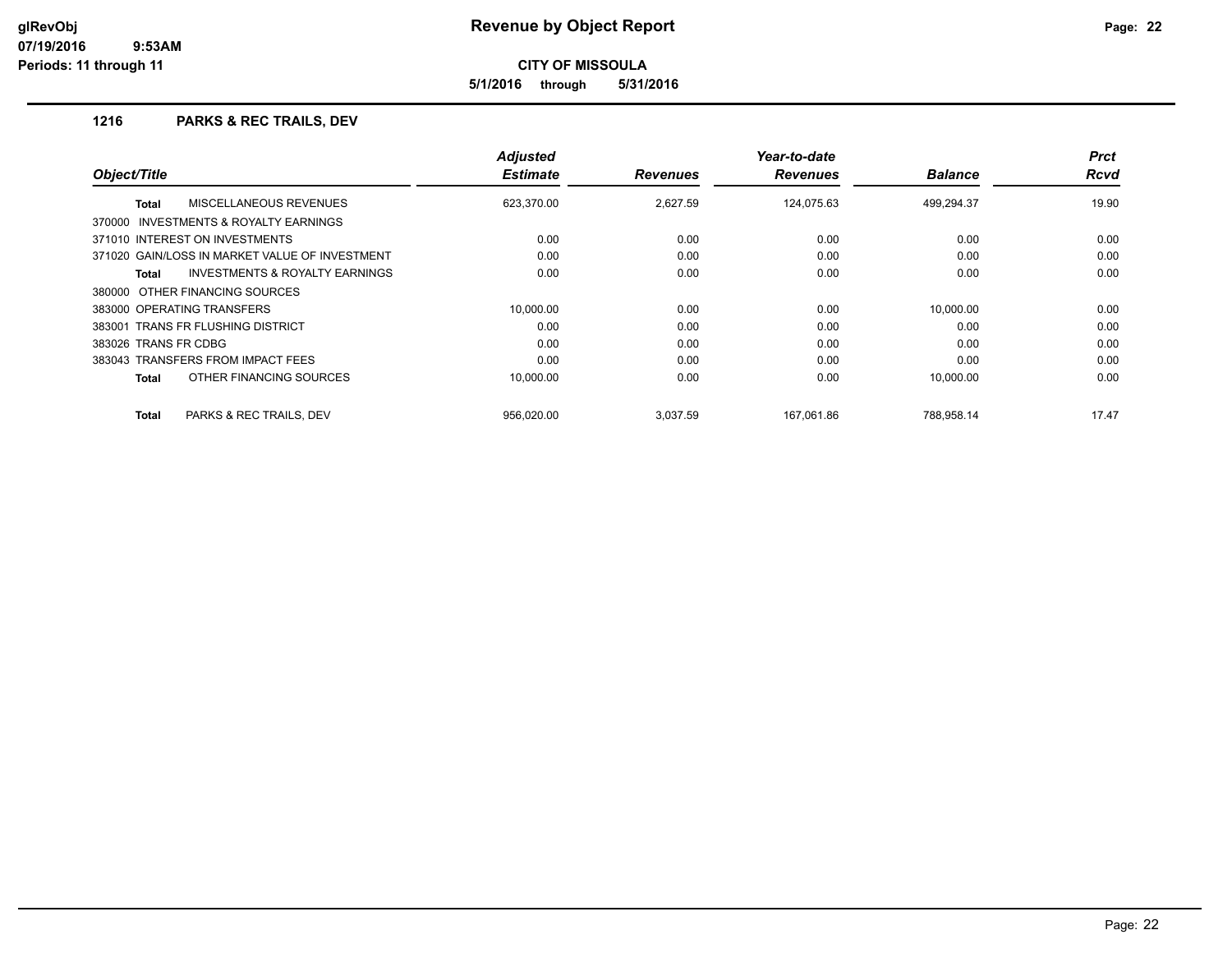**5/1/2016 through 5/31/2016**

### **1216 PARKS & REC TRAILS, DEV**

|                                                           | <b>Adjusted</b><br><b>Estimate</b> |                 | Year-to-date    |                | <b>Prct</b><br><b>Rcvd</b> |
|-----------------------------------------------------------|------------------------------------|-----------------|-----------------|----------------|----------------------------|
| Object/Title                                              |                                    | <b>Revenues</b> | <b>Revenues</b> | <b>Balance</b> |                            |
| MISCELLANEOUS REVENUES<br><b>Total</b>                    | 623,370.00                         | 2.627.59        | 124.075.63      | 499.294.37     | 19.90                      |
| INVESTMENTS & ROYALTY EARNINGS<br>370000                  |                                    |                 |                 |                |                            |
| 371010 INTEREST ON INVESTMENTS                            | 0.00                               | 0.00            | 0.00            | 0.00           | 0.00                       |
| 371020 GAIN/LOSS IN MARKET VALUE OF INVESTMENT            | 0.00                               | 0.00            | 0.00            | 0.00           | 0.00                       |
| <b>INVESTMENTS &amp; ROYALTY EARNINGS</b><br><b>Total</b> | 0.00                               | 0.00            | 0.00            | 0.00           | 0.00                       |
| 380000 OTHER FINANCING SOURCES                            |                                    |                 |                 |                |                            |
| 383000 OPERATING TRANSFERS                                | 10.000.00                          | 0.00            | 0.00            | 10.000.00      | 0.00                       |
| 383001 TRANS FR FLUSHING DISTRICT                         | 0.00                               | 0.00            | 0.00            | 0.00           | 0.00                       |
| 383026 TRANS FR CDBG                                      | 0.00                               | 0.00            | 0.00            | 0.00           | 0.00                       |
| 383043 TRANSFERS FROM IMPACT FEES                         | 0.00                               | 0.00            | 0.00            | 0.00           | 0.00                       |
| OTHER FINANCING SOURCES<br><b>Total</b>                   | 10.000.00                          | 0.00            | 0.00            | 10,000.00      | 0.00                       |
| PARKS & REC TRAILS, DEV<br><b>Total</b>                   | 956,020.00                         | 3,037.59        | 167,061.86      | 788,958.14     | 17.47                      |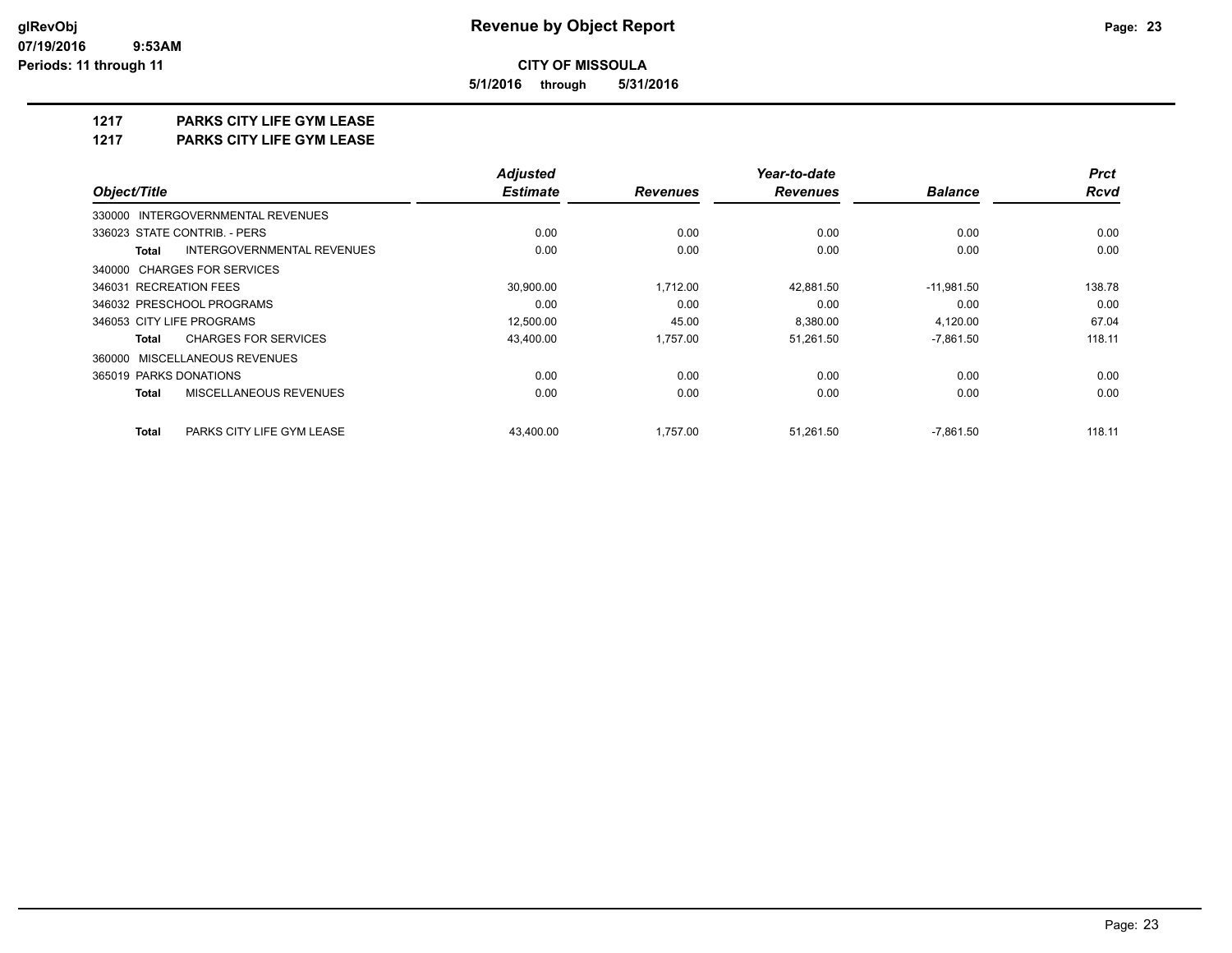**5/1/2016 through 5/31/2016**

#### **1217 PARKS CITY LIFE GYM LEASE**

**1217 PARKS CITY LIFE GYM LEASE**

|                                            | <b>Adjusted</b> |                 | Year-to-date    | <b>Prct</b>    |             |
|--------------------------------------------|-----------------|-----------------|-----------------|----------------|-------------|
| Object/Title                               | <b>Estimate</b> | <b>Revenues</b> | <b>Revenues</b> | <b>Balance</b> | <b>Rcvd</b> |
| 330000 INTERGOVERNMENTAL REVENUES          |                 |                 |                 |                |             |
| 336023 STATE CONTRIB. - PERS               | 0.00            | 0.00            | 0.00            | 0.00           | 0.00        |
| INTERGOVERNMENTAL REVENUES<br><b>Total</b> | 0.00            | 0.00            | 0.00            | 0.00           | 0.00        |
| 340000 CHARGES FOR SERVICES                |                 |                 |                 |                |             |
| 346031 RECREATION FEES                     | 30,900.00       | 1,712.00        | 42,881.50       | $-11,981.50$   | 138.78      |
| 346032 PRESCHOOL PROGRAMS                  | 0.00            | 0.00            | 0.00            | 0.00           | 0.00        |
| 346053 CITY LIFE PROGRAMS                  | 12,500.00       | 45.00           | 8,380.00        | 4,120.00       | 67.04       |
| <b>CHARGES FOR SERVICES</b><br>Total       | 43,400.00       | 1,757.00        | 51,261.50       | $-7,861.50$    | 118.11      |
| 360000 MISCELLANEOUS REVENUES              |                 |                 |                 |                |             |
| 365019 PARKS DONATIONS                     | 0.00            | 0.00            | 0.00            | 0.00           | 0.00        |
| MISCELLANEOUS REVENUES<br><b>Total</b>     | 0.00            | 0.00            | 0.00            | 0.00           | 0.00        |
| <b>Total</b><br>PARKS CITY LIFE GYM LEASE  | 43.400.00       | 1.757.00        | 51.261.50       | $-7.861.50$    | 118.11      |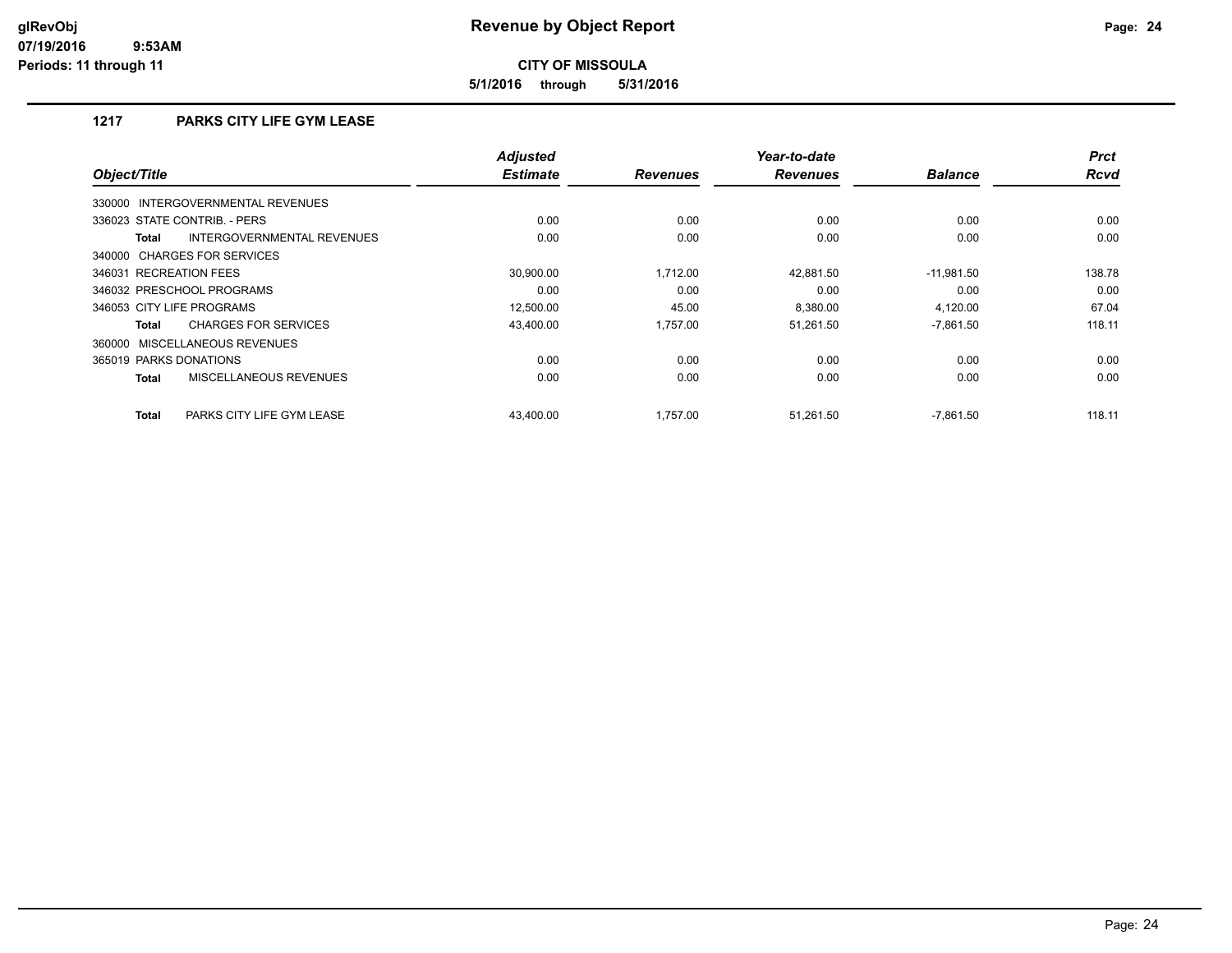**5/1/2016 through 5/31/2016**

# **1217 PARKS CITY LIFE GYM LEASE**

| Object/Title                                  | <b>Adjusted</b><br><b>Estimate</b> | <b>Revenues</b> | Year-to-date<br><b>Revenues</b> | <b>Balance</b> | <b>Prct</b><br><b>Rcvd</b> |
|-----------------------------------------------|------------------------------------|-----------------|---------------------------------|----------------|----------------------------|
| INTERGOVERNMENTAL REVENUES<br>330000          |                                    |                 |                                 |                |                            |
| 336023 STATE CONTRIB. - PERS                  | 0.00                               | 0.00            | 0.00                            | 0.00           | 0.00                       |
| INTERGOVERNMENTAL REVENUES<br><b>Total</b>    | 0.00                               | 0.00            | 0.00                            | 0.00           | 0.00                       |
| 340000 CHARGES FOR SERVICES                   |                                    |                 |                                 |                |                            |
| 346031 RECREATION FEES                        | 30.900.00                          | 1,712.00        | 42,881.50                       | $-11,981.50$   | 138.78                     |
| 346032 PRESCHOOL PROGRAMS                     | 0.00                               | 0.00            | 0.00                            | 0.00           | 0.00                       |
| 346053 CITY LIFE PROGRAMS                     | 12,500.00                          | 45.00           | 8,380.00                        | 4,120.00       | 67.04                      |
| <b>CHARGES FOR SERVICES</b><br><b>Total</b>   | 43,400.00                          | 1.757.00        | 51,261.50                       | $-7,861.50$    | 118.11                     |
| 360000 MISCELLANEOUS REVENUES                 |                                    |                 |                                 |                |                            |
| 365019 PARKS DONATIONS                        | 0.00                               | 0.00            | 0.00                            | 0.00           | 0.00                       |
| <b>MISCELLANEOUS REVENUES</b><br><b>Total</b> | 0.00                               | 0.00            | 0.00                            | 0.00           | 0.00                       |
| PARKS CITY LIFE GYM LEASE<br><b>Total</b>     | 43,400.00                          | 1,757.00        | 51,261.50                       | $-7,861.50$    | 118.11                     |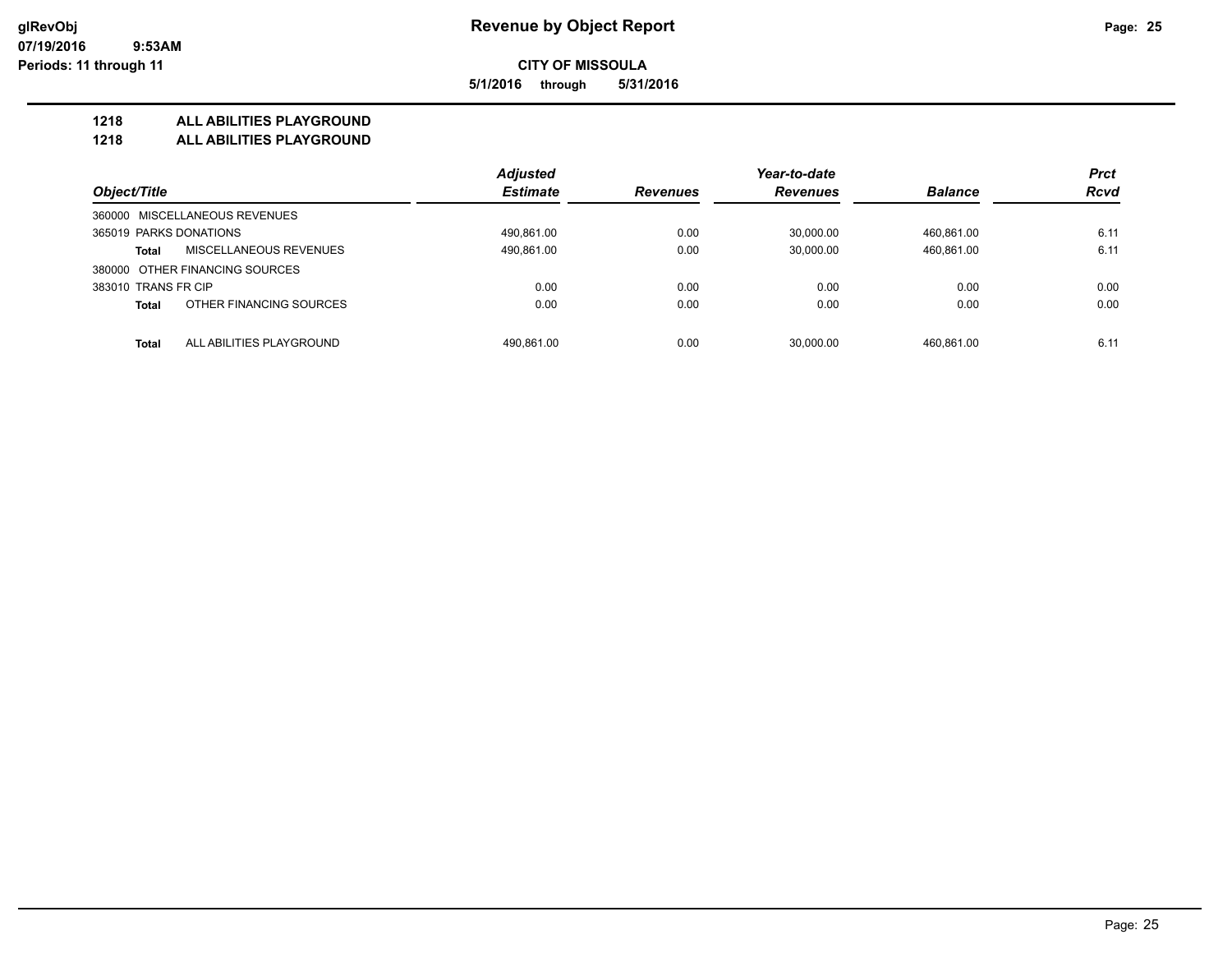**5/1/2016 through 5/31/2016**

### **1218 ALL ABILITIES PLAYGROUND**

**1218 ALL ABILITIES PLAYGROUND**

|                                          | <b>Adjusted</b> |                 | Year-to-date    |                | <b>Prct</b> |
|------------------------------------------|-----------------|-----------------|-----------------|----------------|-------------|
| Object/Title                             | <b>Estimate</b> | <b>Revenues</b> | <b>Revenues</b> | <b>Balance</b> | <b>Rcvd</b> |
| 360000 MISCELLANEOUS REVENUES            |                 |                 |                 |                |             |
| 365019 PARKS DONATIONS                   | 490,861.00      | 0.00            | 30.000.00       | 460.861.00     | 6.11        |
| MISCELLANEOUS REVENUES<br><b>Total</b>   | 490,861.00      | 0.00            | 30,000.00       | 460,861.00     | 6.11        |
| 380000 OTHER FINANCING SOURCES           |                 |                 |                 |                |             |
| 383010 TRANS FR CIP                      | 0.00            | 0.00            | 0.00            | 0.00           | 0.00        |
| OTHER FINANCING SOURCES<br><b>Total</b>  | 0.00            | 0.00            | 0.00            | 0.00           | 0.00        |
| ALL ABILITIES PLAYGROUND<br><b>Total</b> | 490.861.00      | 0.00            | 30.000.00       | 460.861.00     | 6.11        |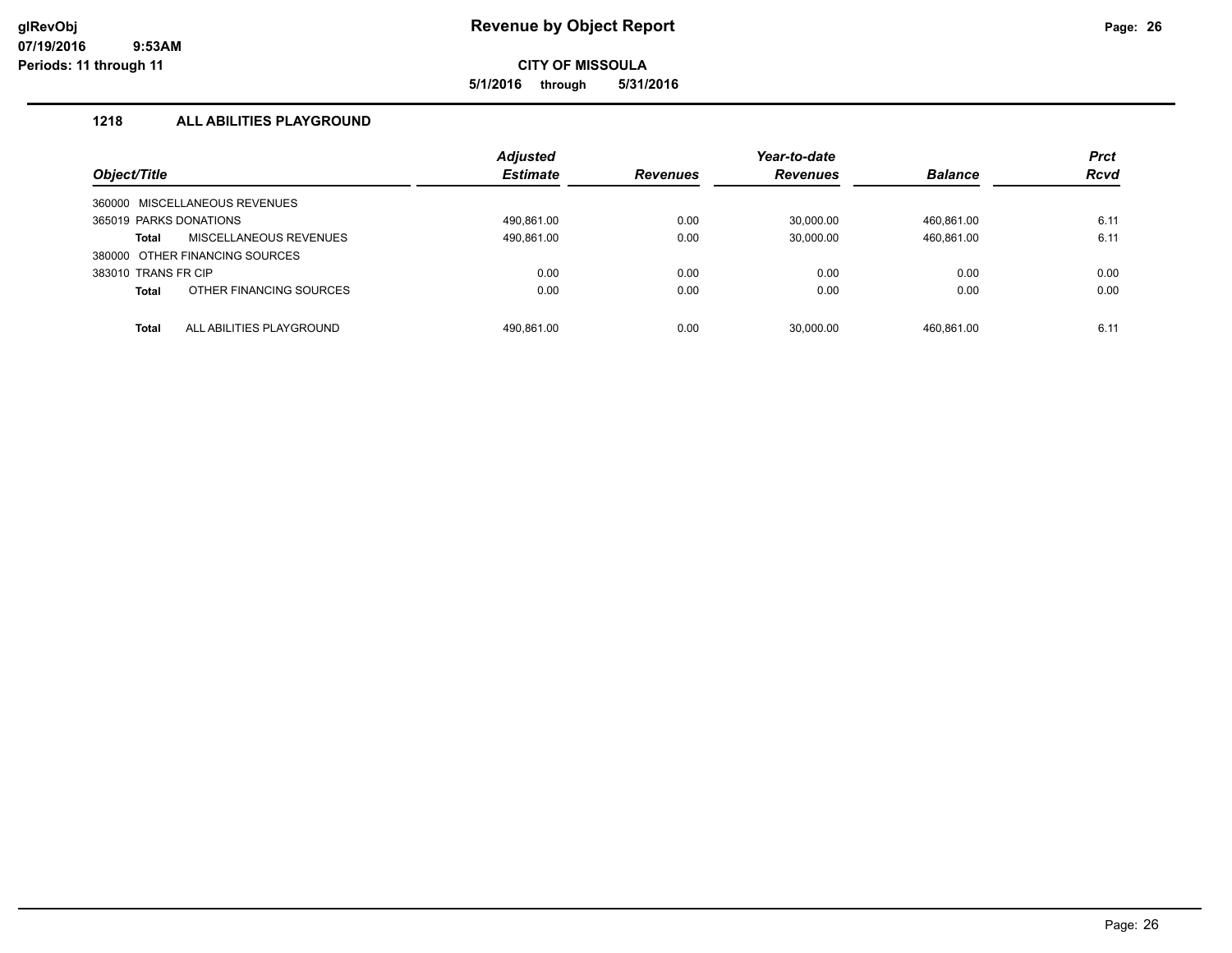**5/1/2016 through 5/31/2016**

# **1218 ALL ABILITIES PLAYGROUND**

|                        |                                | <b>Adjusted</b> |                 | Year-to-date    |                | <b>Prct</b> |
|------------------------|--------------------------------|-----------------|-----------------|-----------------|----------------|-------------|
| Object/Title           |                                | <b>Estimate</b> | <b>Revenues</b> | <b>Revenues</b> | <b>Balance</b> | <b>Rcvd</b> |
|                        | 360000 MISCELLANEOUS REVENUES  |                 |                 |                 |                |             |
| 365019 PARKS DONATIONS |                                | 490.861.00      | 0.00            | 30.000.00       | 460,861.00     | 6.11        |
| <b>Total</b>           | MISCELLANEOUS REVENUES         | 490,861.00      | 0.00            | 30,000.00       | 460,861.00     | 6.11        |
|                        | 380000 OTHER FINANCING SOURCES |                 |                 |                 |                |             |
| 383010 TRANS FR CIP    |                                | 0.00            | 0.00            | 0.00            | 0.00           | 0.00        |
| <b>Total</b>           | OTHER FINANCING SOURCES        | 0.00            | 0.00            | 0.00            | 0.00           | 0.00        |
| <b>Total</b>           | ALL ABILITIES PLAYGROUND       | 490.861.00      | 0.00            | 30.000.00       | 460.861.00     | 6.11        |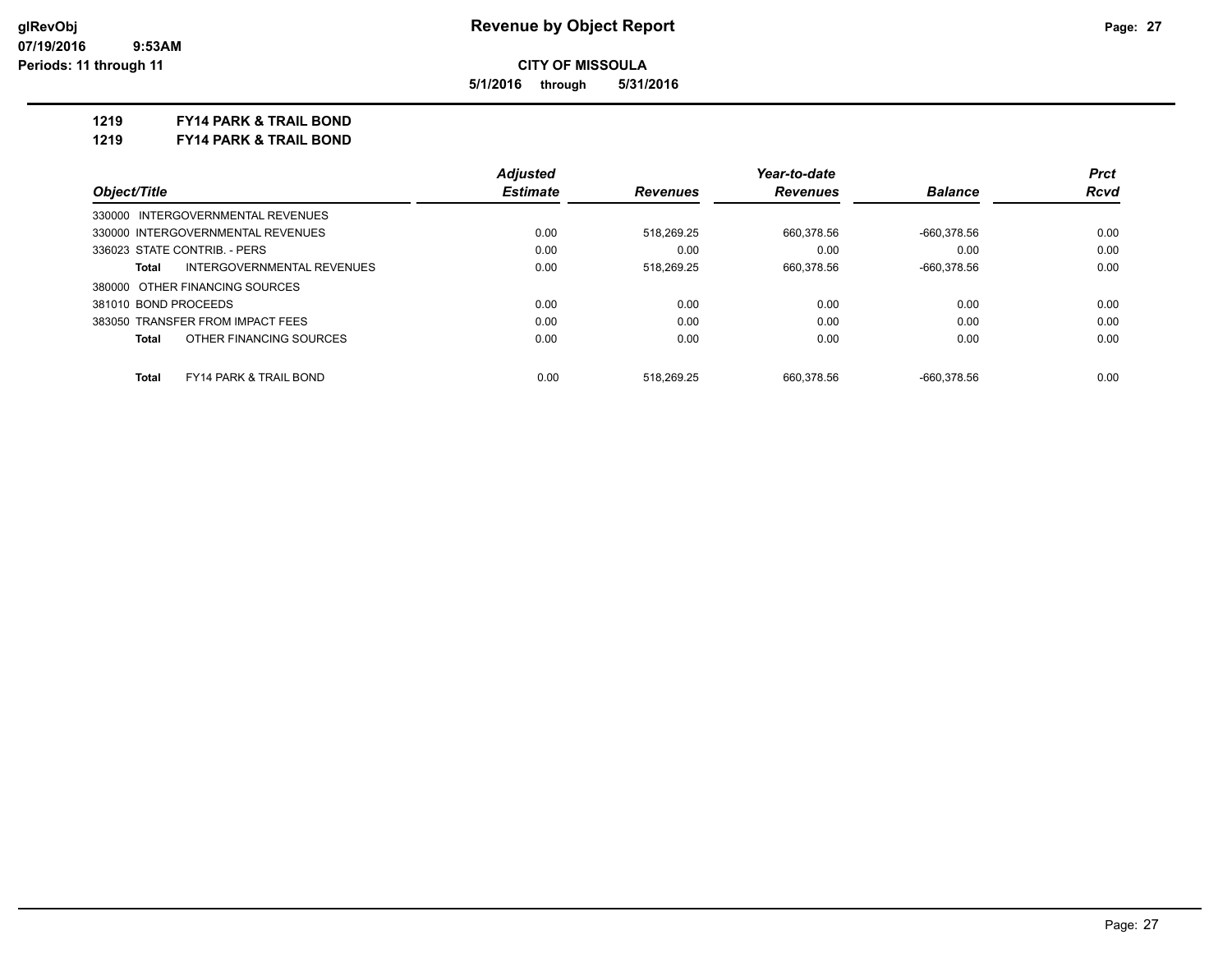**5/1/2016 through 5/31/2016**

**1219 FY14 PARK & TRAIL BOND**

**1219 FY14 PARK & TRAIL BOND**

|                                            | <b>Adjusted</b> |                 | Year-to-date    |                | <b>Prct</b> |
|--------------------------------------------|-----------------|-----------------|-----------------|----------------|-------------|
| Object/Title                               | <b>Estimate</b> | <b>Revenues</b> | <b>Revenues</b> | <b>Balance</b> | Rcvd        |
| 330000 INTERGOVERNMENTAL REVENUES          |                 |                 |                 |                |             |
| 330000 INTERGOVERNMENTAL REVENUES          | 0.00            | 518.269.25      | 660,378.56      | $-660.378.56$  | 0.00        |
| 336023 STATE CONTRIB. - PERS               | 0.00            | 0.00            | 0.00            | 0.00           | 0.00        |
| INTERGOVERNMENTAL REVENUES<br>Total        | 0.00            | 518.269.25      | 660.378.56      | $-660.378.56$  | 0.00        |
| 380000 OTHER FINANCING SOURCES             |                 |                 |                 |                |             |
| 381010 BOND PROCEEDS                       | 0.00            | 0.00            | 0.00            | 0.00           | 0.00        |
| 383050 TRANSFER FROM IMPACT FEES           | 0.00            | 0.00            | 0.00            | 0.00           | 0.00        |
| OTHER FINANCING SOURCES<br>Total           | 0.00            | 0.00            | 0.00            | 0.00           | 0.00        |
|                                            |                 |                 |                 |                |             |
| <b>FY14 PARK &amp; TRAIL BOND</b><br>Total | 0.00            | 518.269.25      | 660.378.56      | $-660.378.56$  | 0.00        |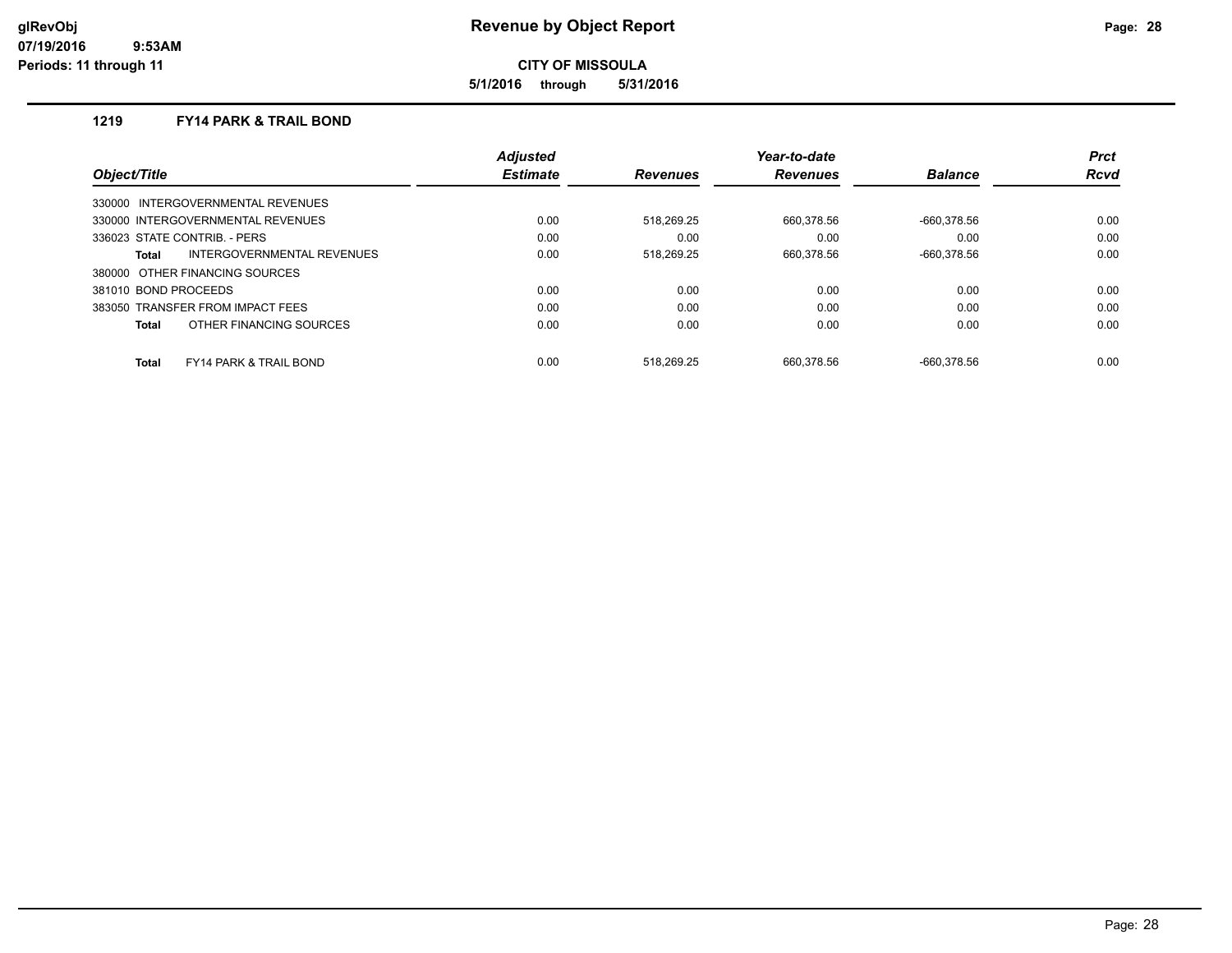**5/1/2016 through 5/31/2016**

### **1219 FY14 PARK & TRAIL BOND**

|                      |                                   | <b>Adjusted</b> |                 | Year-to-date    |                | <b>Prct</b> |
|----------------------|-----------------------------------|-----------------|-----------------|-----------------|----------------|-------------|
| Object/Title         |                                   | <b>Estimate</b> | <b>Revenues</b> | <b>Revenues</b> | <b>Balance</b> | <b>Rcvd</b> |
|                      | 330000 INTERGOVERNMENTAL REVENUES |                 |                 |                 |                |             |
|                      | 330000 INTERGOVERNMENTAL REVENUES | 0.00            | 518.269.25      | 660.378.56      | -660.378.56    | 0.00        |
|                      | 336023 STATE CONTRIB. - PERS      | 0.00            | 0.00            | 0.00            | 0.00           | 0.00        |
| Total                | INTERGOVERNMENTAL REVENUES        | 0.00            | 518,269.25      | 660,378.56      | -660.378.56    | 0.00        |
|                      | 380000 OTHER FINANCING SOURCES    |                 |                 |                 |                |             |
| 381010 BOND PROCEEDS |                                   | 0.00            | 0.00            | 0.00            | 0.00           | 0.00        |
|                      | 383050 TRANSFER FROM IMPACT FEES  | 0.00            | 0.00            | 0.00            | 0.00           | 0.00        |
| Total                | OTHER FINANCING SOURCES           | 0.00            | 0.00            | 0.00            | 0.00           | 0.00        |
| <b>Total</b>         | <b>FY14 PARK &amp; TRAIL BOND</b> | 0.00            | 518.269.25      | 660.378.56      | -660.378.56    | 0.00        |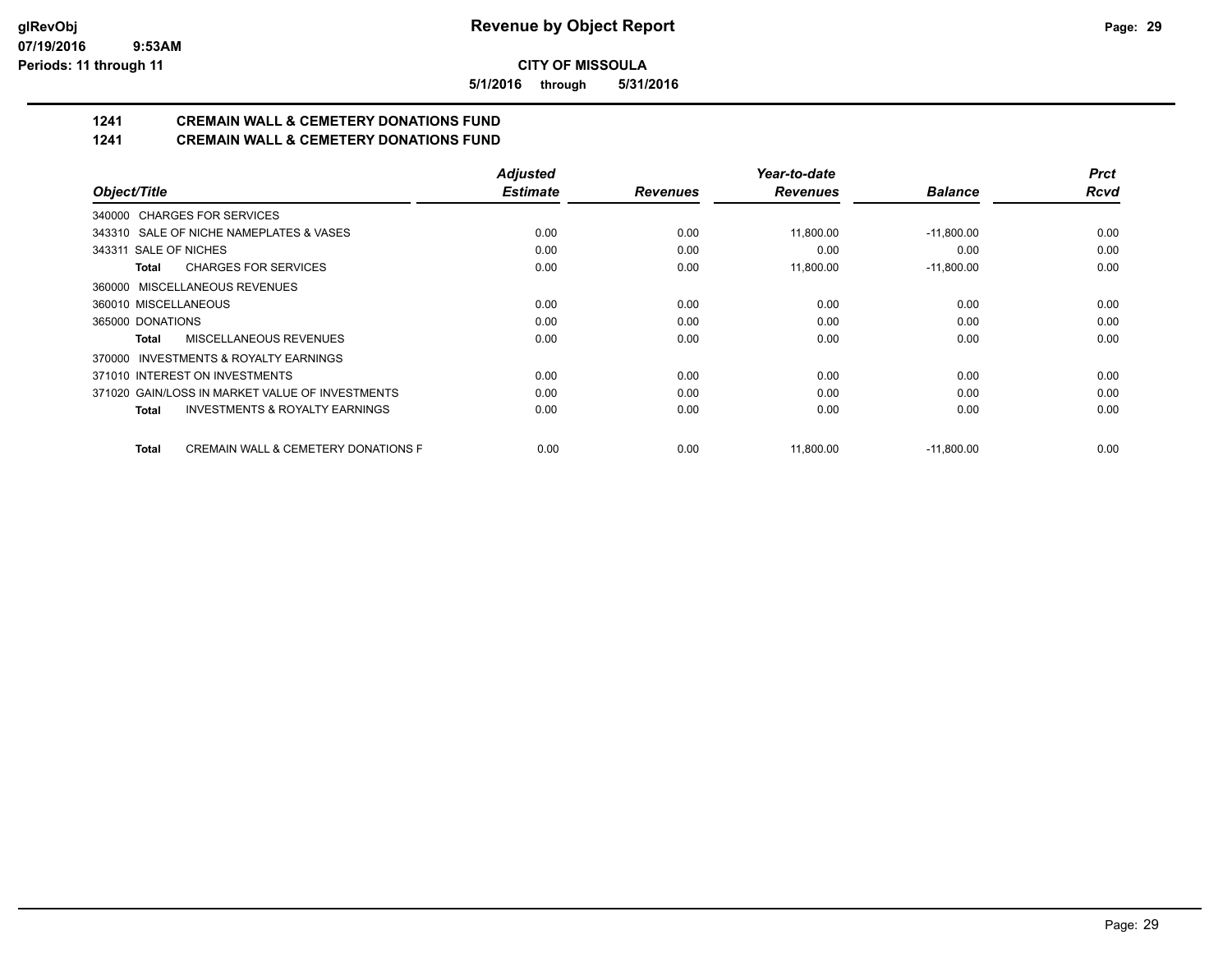**5/1/2016 through 5/31/2016**

# **1241 CREMAIN WALL & CEMETERY DONATIONS FUND**

**1241 CREMAIN WALL & CEMETERY DONATIONS FUND**

|                                                     | <b>Adjusted</b> |                 | Year-to-date    |                | <b>Prct</b> |
|-----------------------------------------------------|-----------------|-----------------|-----------------|----------------|-------------|
| Object/Title                                        | <b>Estimate</b> | <b>Revenues</b> | <b>Revenues</b> | <b>Balance</b> | <b>Rcvd</b> |
| 340000 CHARGES FOR SERVICES                         |                 |                 |                 |                |             |
| 343310 SALE OF NICHE NAMEPLATES & VASES             | 0.00            | 0.00            | 11,800.00       | $-11,800.00$   | 0.00        |
| 343311 SALE OF NICHES                               | 0.00            | 0.00            | 0.00            | 0.00           | 0.00        |
| <b>CHARGES FOR SERVICES</b><br>Total                | 0.00            | 0.00            | 11,800.00       | $-11,800.00$   | 0.00        |
| 360000 MISCELLANEOUS REVENUES                       |                 |                 |                 |                |             |
| 360010 MISCELLANEOUS                                | 0.00            | 0.00            | 0.00            | 0.00           | 0.00        |
| 365000 DONATIONS                                    | 0.00            | 0.00            | 0.00            | 0.00           | 0.00        |
| <b>MISCELLANEOUS REVENUES</b><br><b>Total</b>       | 0.00            | 0.00            | 0.00            | 0.00           | 0.00        |
| 370000 INVESTMENTS & ROYALTY EARNINGS               |                 |                 |                 |                |             |
| 371010 INTEREST ON INVESTMENTS                      | 0.00            | 0.00            | 0.00            | 0.00           | 0.00        |
| 371020 GAIN/LOSS IN MARKET VALUE OF INVESTMENTS     | 0.00            | 0.00            | 0.00            | 0.00           | 0.00        |
| <b>INVESTMENTS &amp; ROYALTY EARNINGS</b><br>Total  | 0.00            | 0.00            | 0.00            | 0.00           | 0.00        |
| CREMAIN WALL & CEMETERY DONATIONS F<br><b>Total</b> | 0.00            | 0.00            | 11,800.00       | $-11,800.00$   | 0.00        |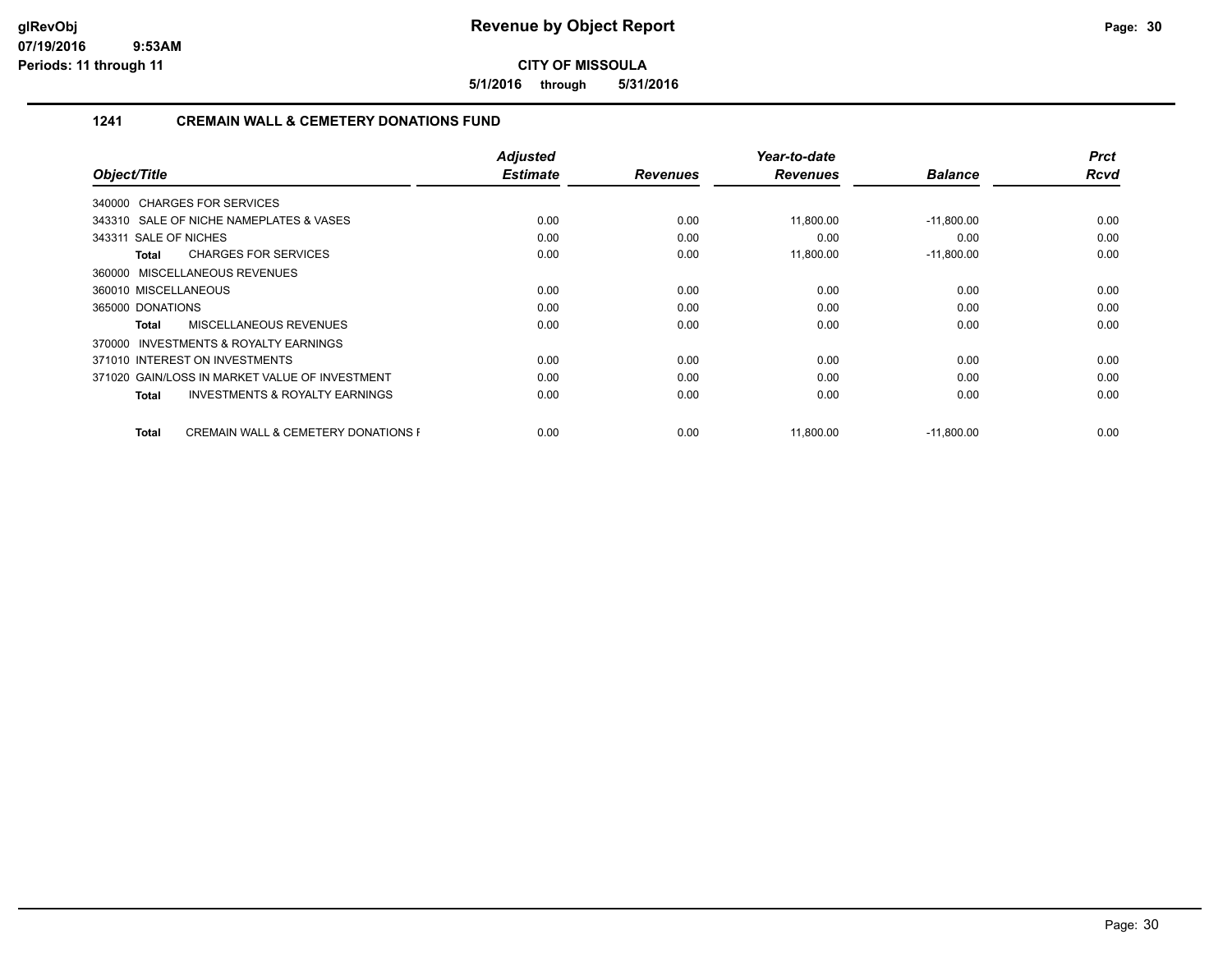**5/1/2016 through 5/31/2016**

# **1241 CREMAIN WALL & CEMETERY DONATIONS FUND**

|                                                                | <b>Adjusted</b> |                 | Year-to-date    |                | <b>Prct</b> |
|----------------------------------------------------------------|-----------------|-----------------|-----------------|----------------|-------------|
| Object/Title                                                   | <b>Estimate</b> | <b>Revenues</b> | <b>Revenues</b> | <b>Balance</b> | <b>Rcvd</b> |
| 340000 CHARGES FOR SERVICES                                    |                 |                 |                 |                |             |
| 343310 SALE OF NICHE NAMEPLATES & VASES                        | 0.00            | 0.00            | 11,800.00       | $-11,800.00$   | 0.00        |
| 343311 SALE OF NICHES                                          | 0.00            | 0.00            | 0.00            | 0.00           | 0.00        |
| <b>CHARGES FOR SERVICES</b><br>Total                           | 0.00            | 0.00            | 11,800.00       | $-11,800.00$   | 0.00        |
| 360000 MISCELLANEOUS REVENUES                                  |                 |                 |                 |                |             |
| 360010 MISCELLANEOUS                                           | 0.00            | 0.00            | 0.00            | 0.00           | 0.00        |
| 365000 DONATIONS                                               | 0.00            | 0.00            | 0.00            | 0.00           | 0.00        |
| <b>MISCELLANEOUS REVENUES</b><br>Total                         | 0.00            | 0.00            | 0.00            | 0.00           | 0.00        |
| <b>INVESTMENTS &amp; ROYALTY EARNINGS</b><br>370000            |                 |                 |                 |                |             |
| 371010 INTEREST ON INVESTMENTS                                 | 0.00            | 0.00            | 0.00            | 0.00           | 0.00        |
| 371020 GAIN/LOSS IN MARKET VALUE OF INVESTMENT                 | 0.00            | 0.00            | 0.00            | 0.00           | 0.00        |
| <b>INVESTMENTS &amp; ROYALTY EARNINGS</b><br>Total             | 0.00            | 0.00            | 0.00            | 0.00           | 0.00        |
| <b>CREMAIN WALL &amp; CEMETERY DONATIONS F</b><br><b>Total</b> | 0.00            | 0.00            | 11,800.00       | $-11,800.00$   | 0.00        |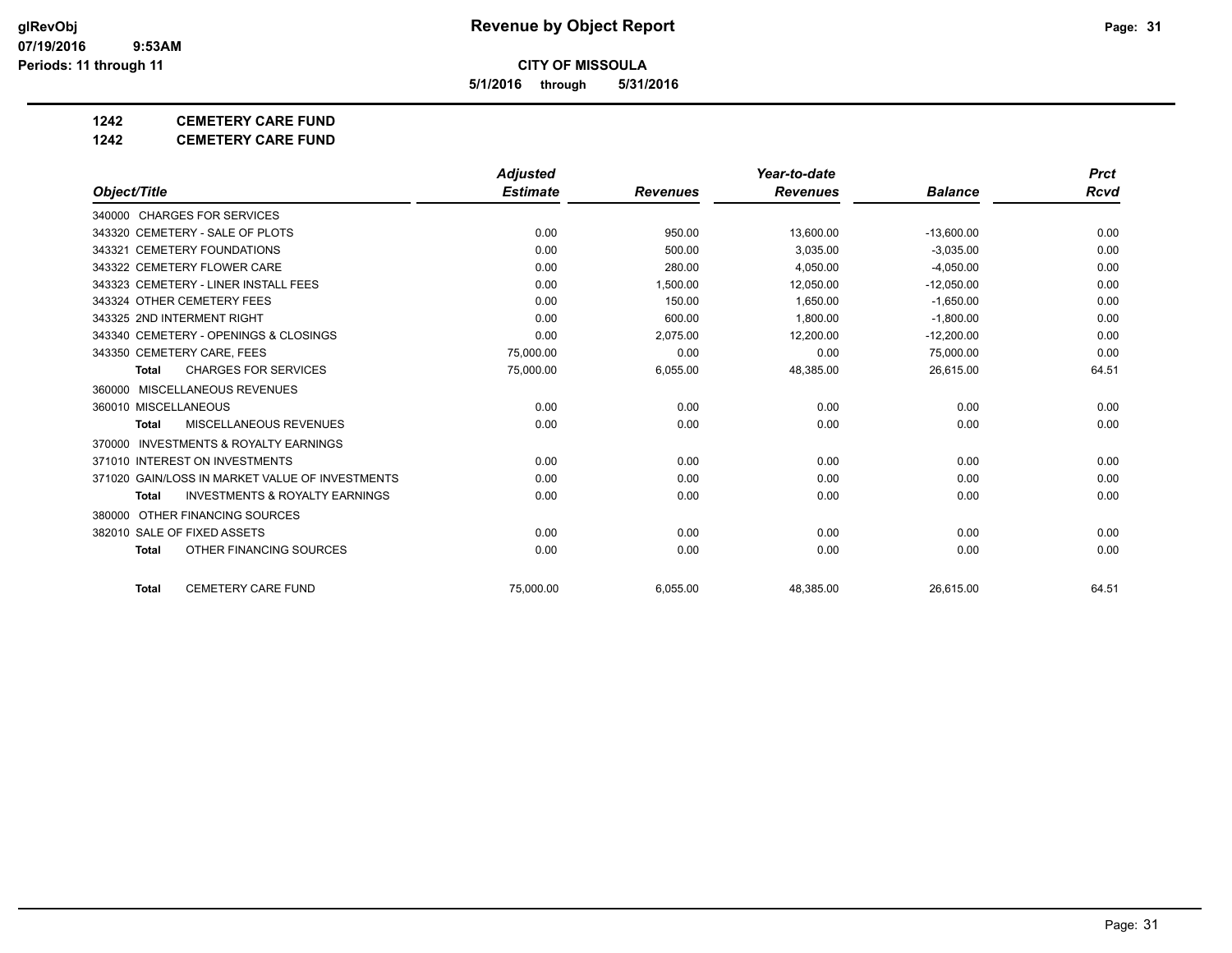**5/1/2016 through 5/31/2016**

## **1242 CEMETERY CARE FUND**

**1242 CEMETERY CARE FUND**

|                                                           | <b>Adjusted</b> |                 | Year-to-date    |                | <b>Prct</b> |
|-----------------------------------------------------------|-----------------|-----------------|-----------------|----------------|-------------|
| Object/Title                                              | <b>Estimate</b> | <b>Revenues</b> | <b>Revenues</b> | <b>Balance</b> | Rcvd        |
| 340000 CHARGES FOR SERVICES                               |                 |                 |                 |                |             |
| 343320 CEMETERY - SALE OF PLOTS                           | 0.00            | 950.00          | 13,600.00       | $-13,600.00$   | 0.00        |
| 343321 CEMETERY FOUNDATIONS                               | 0.00            | 500.00          | 3.035.00        | $-3.035.00$    | 0.00        |
| 343322 CEMETERY FLOWER CARE                               | 0.00            | 280.00          | 4.050.00        | $-4.050.00$    | 0.00        |
| 343323 CEMETERY - LINER INSTALL FEES                      | 0.00            | 1,500.00        | 12,050.00       | $-12,050.00$   | 0.00        |
| 343324 OTHER CEMETERY FEES                                | 0.00            | 150.00          | 1.650.00        | $-1.650.00$    | 0.00        |
| 343325 2ND INTERMENT RIGHT                                | 0.00            | 600.00          | 1.800.00        | $-1.800.00$    | 0.00        |
| 343340 CEMETERY - OPENINGS & CLOSINGS                     | 0.00            | 2,075.00        | 12,200.00       | $-12,200.00$   | 0.00        |
| 343350 CEMETERY CARE, FEES                                | 75,000.00       | 0.00            | 0.00            | 75,000.00      | 0.00        |
| <b>CHARGES FOR SERVICES</b><br><b>Total</b>               | 75,000.00       | 6,055.00        | 48,385.00       | 26,615.00      | 64.51       |
| MISCELLANEOUS REVENUES<br>360000                          |                 |                 |                 |                |             |
| 360010 MISCELLANEOUS                                      | 0.00            | 0.00            | 0.00            | 0.00           | 0.00        |
| MISCELLANEOUS REVENUES<br><b>Total</b>                    | 0.00            | 0.00            | 0.00            | 0.00           | 0.00        |
| <b>INVESTMENTS &amp; ROYALTY EARNINGS</b><br>370000       |                 |                 |                 |                |             |
| 371010 INTEREST ON INVESTMENTS                            | 0.00            | 0.00            | 0.00            | 0.00           | 0.00        |
| 371020 GAIN/LOSS IN MARKET VALUE OF INVESTMENTS           | 0.00            | 0.00            | 0.00            | 0.00           | 0.00        |
| <b>INVESTMENTS &amp; ROYALTY EARNINGS</b><br><b>Total</b> | 0.00            | 0.00            | 0.00            | 0.00           | 0.00        |
| OTHER FINANCING SOURCES<br>380000                         |                 |                 |                 |                |             |
| 382010 SALE OF FIXED ASSETS                               | 0.00            | 0.00            | 0.00            | 0.00           | 0.00        |
| OTHER FINANCING SOURCES<br><b>Total</b>                   | 0.00            | 0.00            | 0.00            | 0.00           | 0.00        |
| <b>CEMETERY CARE FUND</b><br><b>Total</b>                 | 75.000.00       | 6,055.00        | 48,385.00       | 26.615.00      | 64.51       |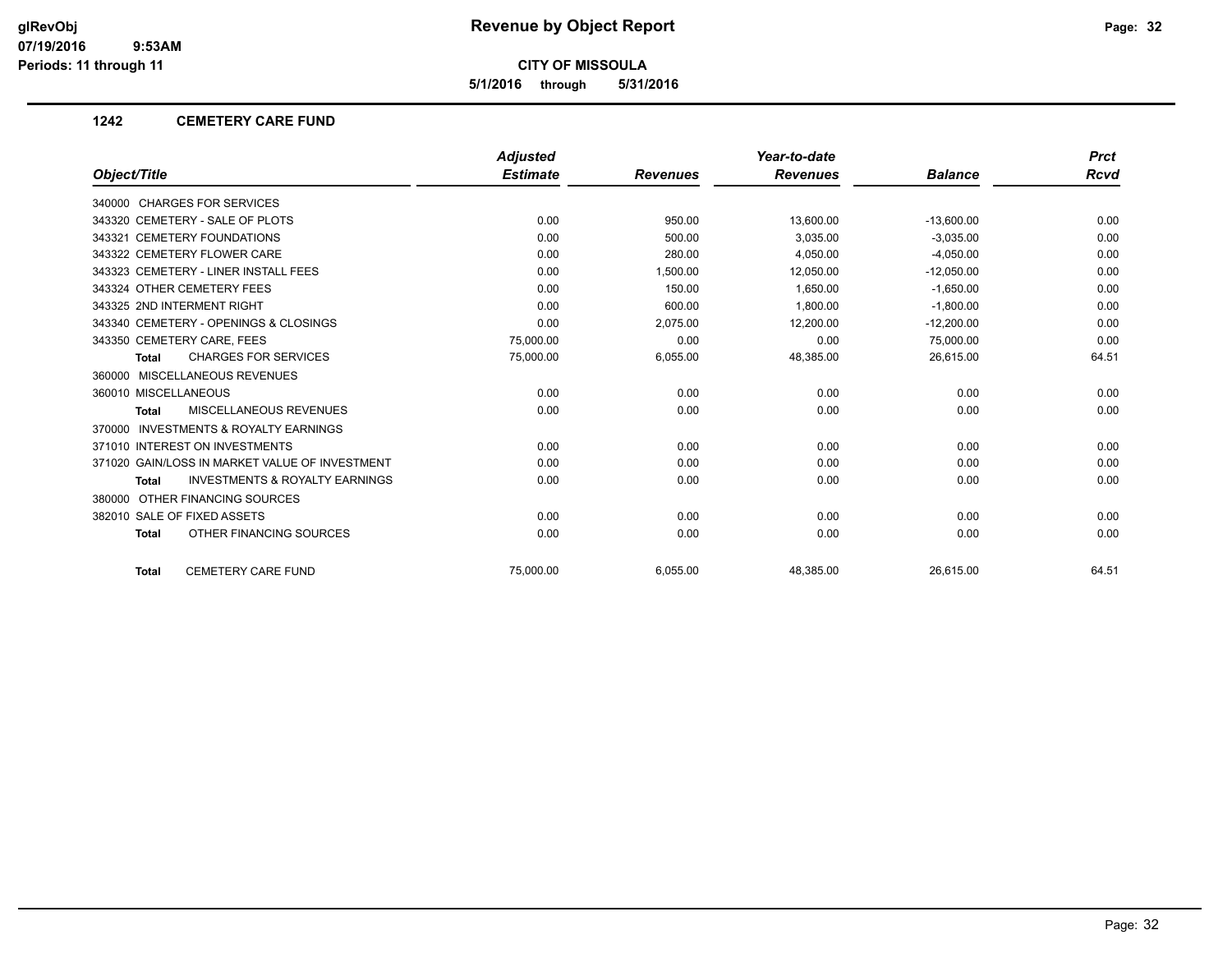**5/1/2016 through 5/31/2016**

#### **1242 CEMETERY CARE FUND**

|                                                    | <b>Adjusted</b> |                 | Year-to-date    |                | <b>Prct</b> |
|----------------------------------------------------|-----------------|-----------------|-----------------|----------------|-------------|
| Object/Title                                       | <b>Estimate</b> | <b>Revenues</b> | <b>Revenues</b> | <b>Balance</b> | <b>Rcvd</b> |
| 340000 CHARGES FOR SERVICES                        |                 |                 |                 |                |             |
| 343320 CEMETERY - SALE OF PLOTS                    | 0.00            | 950.00          | 13,600.00       | $-13,600.00$   | 0.00        |
| 343321 CEMETERY FOUNDATIONS                        | 0.00            | 500.00          | 3,035.00        | $-3,035.00$    | 0.00        |
| 343322 CEMETERY FLOWER CARE                        | 0.00            | 280.00          | 4,050.00        | $-4,050.00$    | 0.00        |
| 343323 CEMETERY - LINER INSTALL FEES               | 0.00            | 1,500.00        | 12,050.00       | $-12,050.00$   | 0.00        |
| 343324 OTHER CEMETERY FEES                         | 0.00            | 150.00          | 1.650.00        | $-1,650.00$    | 0.00        |
| 343325 2ND INTERMENT RIGHT                         | 0.00            | 600.00          | 1,800.00        | $-1,800.00$    | 0.00        |
| 343340 CEMETERY - OPENINGS & CLOSINGS              | 0.00            | 2,075.00        | 12,200.00       | $-12,200.00$   | 0.00        |
| 343350 CEMETERY CARE, FEES                         | 75,000.00       | 0.00            | 0.00            | 75,000.00      | 0.00        |
| <b>CHARGES FOR SERVICES</b><br><b>Total</b>        | 75,000.00       | 6,055.00        | 48,385.00       | 26,615.00      | 64.51       |
| 360000 MISCELLANEOUS REVENUES                      |                 |                 |                 |                |             |
| 360010 MISCELLANEOUS                               | 0.00            | 0.00            | 0.00            | 0.00           | 0.00        |
| <b>MISCELLANEOUS REVENUES</b><br><b>Total</b>      | 0.00            | 0.00            | 0.00            | 0.00           | 0.00        |
| 370000 INVESTMENTS & ROYALTY EARNINGS              |                 |                 |                 |                |             |
| 371010 INTEREST ON INVESTMENTS                     | 0.00            | 0.00            | 0.00            | 0.00           | 0.00        |
| 371020 GAIN/LOSS IN MARKET VALUE OF INVESTMENT     | 0.00            | 0.00            | 0.00            | 0.00           | 0.00        |
| <b>INVESTMENTS &amp; ROYALTY EARNINGS</b><br>Total | 0.00            | 0.00            | 0.00            | 0.00           | 0.00        |
| 380000 OTHER FINANCING SOURCES                     |                 |                 |                 |                |             |
| 382010 SALE OF FIXED ASSETS                        | 0.00            | 0.00            | 0.00            | 0.00           | 0.00        |
| OTHER FINANCING SOURCES<br><b>Total</b>            | 0.00            | 0.00            | 0.00            | 0.00           | 0.00        |
| <b>CEMETERY CARE FUND</b><br><b>Total</b>          | 75.000.00       | 6,055.00        | 48,385.00       | 26.615.00      | 64.51       |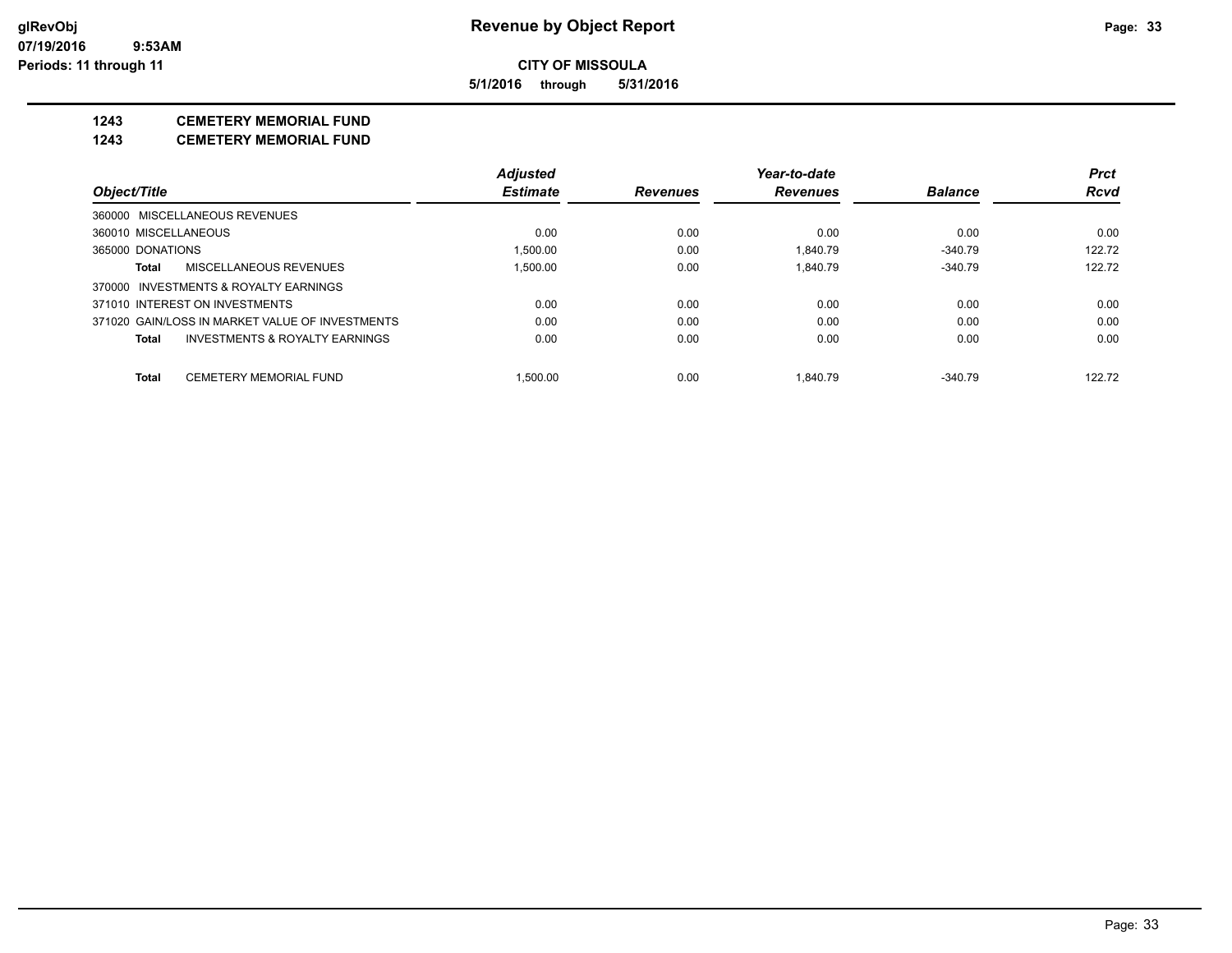**5/1/2016 through 5/31/2016**

# **1243 CEMETERY MEMORIAL FUND**

**1243 CEMETERY MEMORIAL FUND**

|                                |                                                 | <b>Adjusted</b> |                 | Year-to-date    |                | <b>Prct</b> |
|--------------------------------|-------------------------------------------------|-----------------|-----------------|-----------------|----------------|-------------|
| Object/Title                   |                                                 | <b>Estimate</b> | <b>Revenues</b> | <b>Revenues</b> | <b>Balance</b> | <b>Rcvd</b> |
| 360000 MISCELLANEOUS REVENUES  |                                                 |                 |                 |                 |                |             |
| 360010 MISCELLANEOUS           |                                                 | 0.00            | 0.00            | 0.00            | 0.00           | 0.00        |
| 365000 DONATIONS               |                                                 | 1.500.00        | 0.00            | 1.840.79        | $-340.79$      | 122.72      |
| Total                          | MISCELLANEOUS REVENUES                          | 1.500.00        | 0.00            | 1.840.79        | $-340.79$      | 122.72      |
|                                | 370000 INVESTMENTS & ROYALTY EARNINGS           |                 |                 |                 |                |             |
| 371010 INTEREST ON INVESTMENTS |                                                 | 0.00            | 0.00            | 0.00            | 0.00           | 0.00        |
|                                | 371020 GAIN/LOSS IN MARKET VALUE OF INVESTMENTS | 0.00            | 0.00            | 0.00            | 0.00           | 0.00        |
| Total                          | INVESTMENTS & ROYALTY EARNINGS                  | 0.00            | 0.00            | 0.00            | 0.00           | 0.00        |
| Total                          | <b>CEMETERY MEMORIAL FUND</b>                   | 1.500.00        | 0.00            | 1.840.79        | $-340.79$      | 122.72      |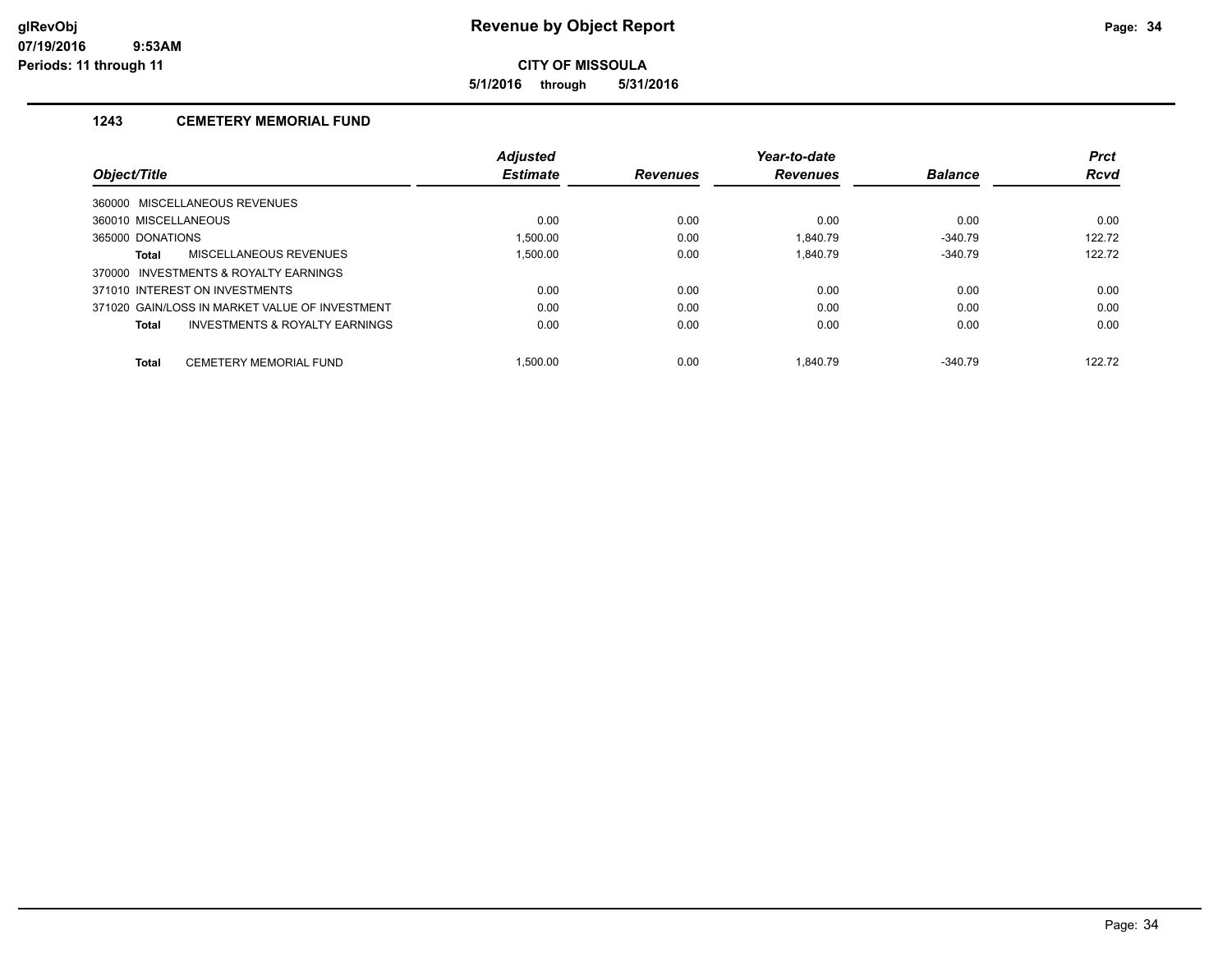**5/1/2016 through 5/31/2016**

# **1243 CEMETERY MEMORIAL FUND**

|                                                | <b>Adjusted</b> |                 | Year-to-date    |                | <b>Prct</b> |
|------------------------------------------------|-----------------|-----------------|-----------------|----------------|-------------|
| <i><b>Object/Title</b></i>                     | <b>Estimate</b> | <b>Revenues</b> | <b>Revenues</b> | <b>Balance</b> | <b>Rcvd</b> |
| 360000 MISCELLANEOUS REVENUES                  |                 |                 |                 |                |             |
| 360010 MISCELLANEOUS                           | 0.00            | 0.00            | 0.00            | 0.00           | 0.00        |
| 365000 DONATIONS                               | 1.500.00        | 0.00            | 1.840.79        | $-340.79$      | 122.72      |
| MISCELLANEOUS REVENUES<br>Total                | 1.500.00        | 0.00            | 1.840.79        | $-340.79$      | 122.72      |
| 370000 INVESTMENTS & ROYALTY EARNINGS          |                 |                 |                 |                |             |
| 371010 INTEREST ON INVESTMENTS                 | 0.00            | 0.00            | 0.00            | 0.00           | 0.00        |
| 371020 GAIN/LOSS IN MARKET VALUE OF INVESTMENT | 0.00            | 0.00            | 0.00            | 0.00           | 0.00        |
| INVESTMENTS & ROYALTY EARNINGS<br>Total        | 0.00            | 0.00            | 0.00            | 0.00           | 0.00        |
| <b>CEMETERY MEMORIAL FUND</b><br><b>Total</b>  | .500.00         | 0.00            | 1.840.79        | $-340.79$      | 122.72      |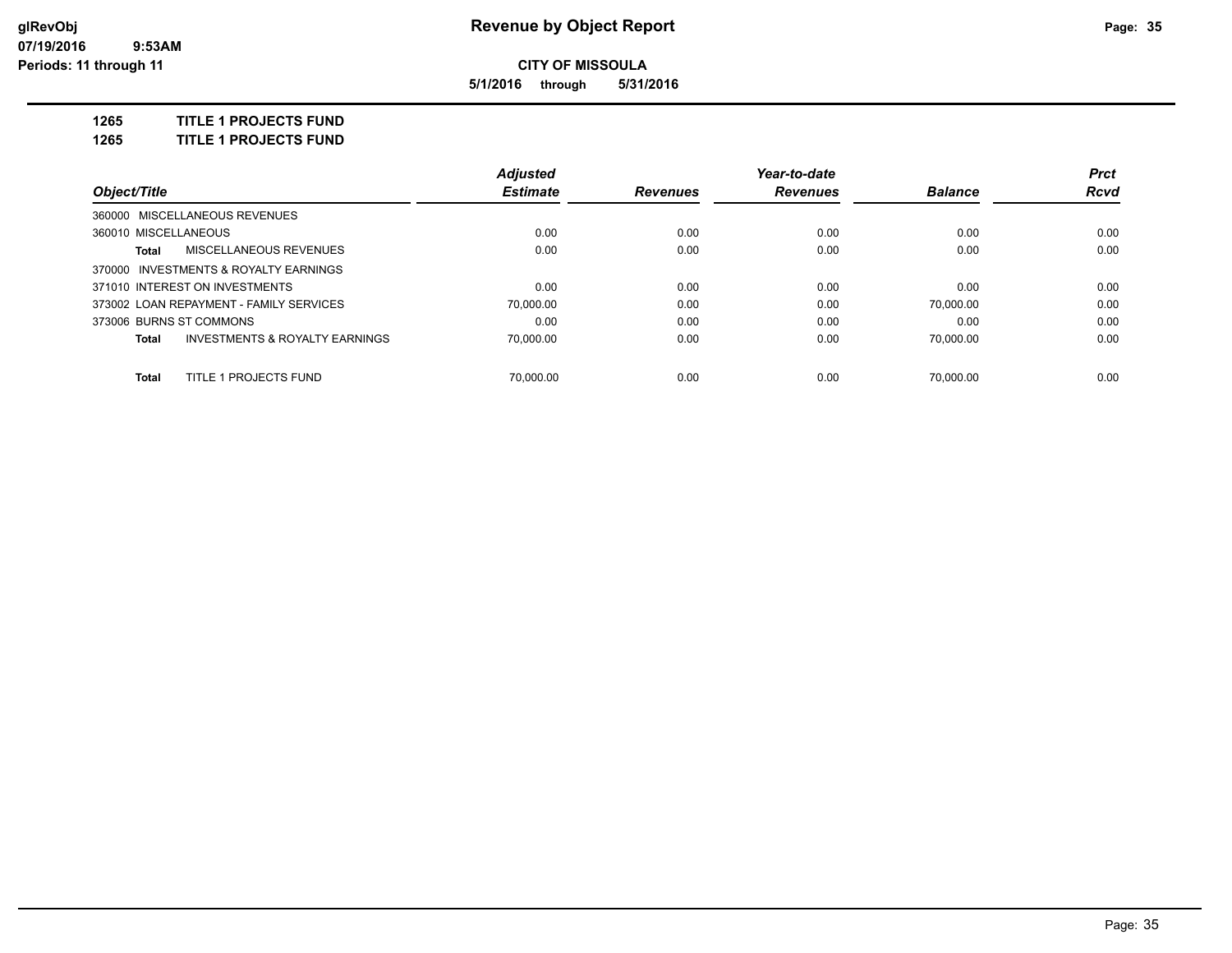**5/1/2016 through 5/31/2016**

**1265 TITLE 1 PROJECTS FUND**

**1265 TITLE 1 PROJECTS FUND**

|                                                    | <b>Adjusted</b> |                 | Year-to-date    |                | <b>Prct</b> |
|----------------------------------------------------|-----------------|-----------------|-----------------|----------------|-------------|
| Object/Title                                       | <b>Estimate</b> | <b>Revenues</b> | <b>Revenues</b> | <b>Balance</b> | Rcvd        |
| 360000 MISCELLANEOUS REVENUES                      |                 |                 |                 |                |             |
| 360010 MISCELLANEOUS                               | 0.00            | 0.00            | 0.00            | 0.00           | 0.00        |
| MISCELLANEOUS REVENUES<br>Total                    | 0.00            | 0.00            | 0.00            | 0.00           | 0.00        |
| 370000 INVESTMENTS & ROYALTY EARNINGS              |                 |                 |                 |                |             |
| 371010 INTEREST ON INVESTMENTS                     | 0.00            | 0.00            | 0.00            | 0.00           | 0.00        |
| 373002 LOAN REPAYMENT - FAMILY SERVICES            | 70.000.00       | 0.00            | 0.00            | 70.000.00      | 0.00        |
| 373006 BURNS ST COMMONS                            | 0.00            | 0.00            | 0.00            | 0.00           | 0.00        |
| <b>INVESTMENTS &amp; ROYALTY EARNINGS</b><br>Total | 70.000.00       | 0.00            | 0.00            | 70.000.00      | 0.00        |
| TITLE 1 PROJECTS FUND<br><b>Total</b>              | 70.000.00       | 0.00            | 0.00            | 70.000.00      | 0.00        |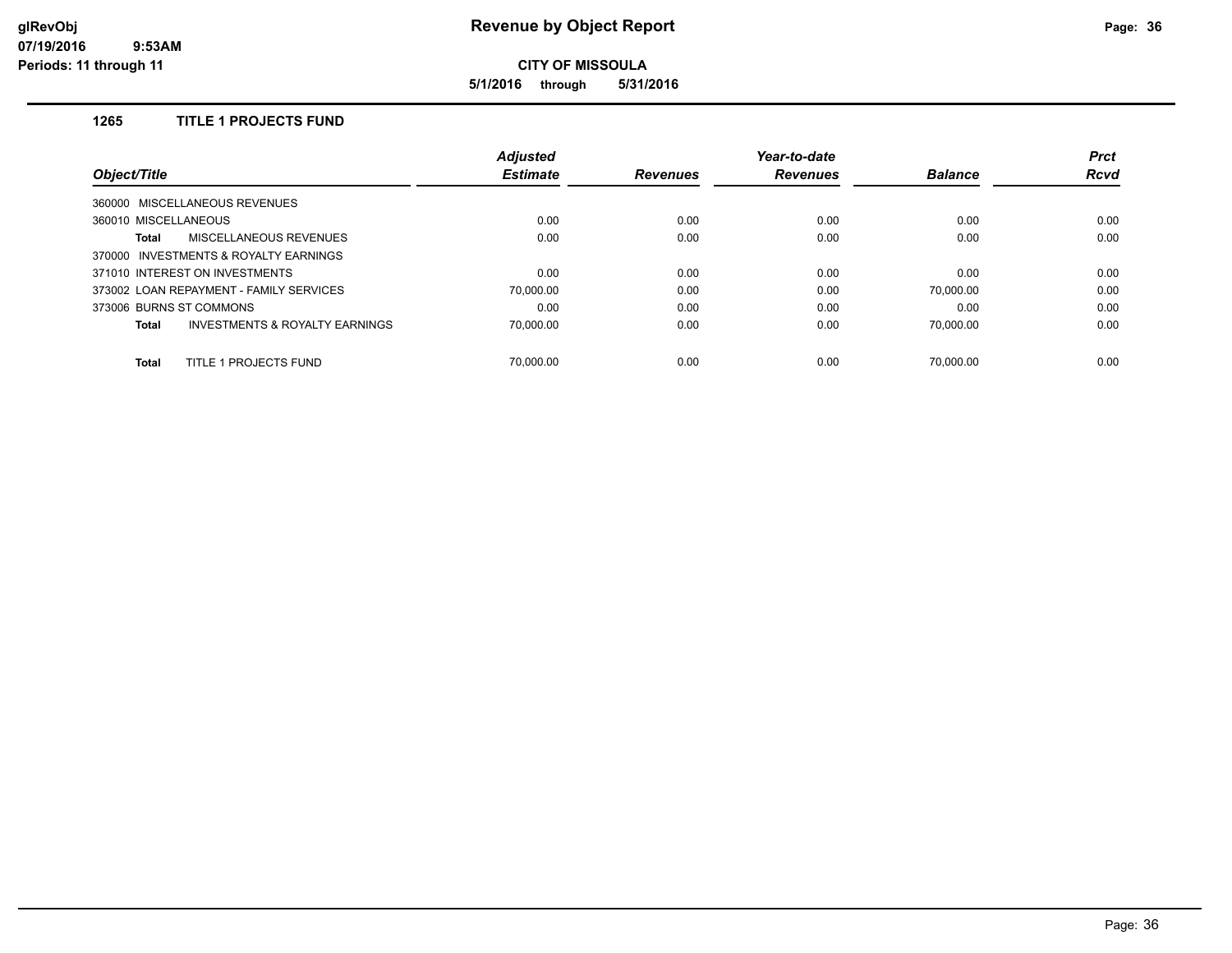**5/1/2016 through 5/31/2016**

# **1265 TITLE 1 PROJECTS FUND**

|                                                    | <b>Adjusted</b> |                 | Year-to-date    |                | <b>Prct</b> |
|----------------------------------------------------|-----------------|-----------------|-----------------|----------------|-------------|
| <i><b>Object/Title</b></i>                         | <b>Estimate</b> | <b>Revenues</b> | <b>Revenues</b> | <b>Balance</b> | <b>Rcvd</b> |
| 360000 MISCELLANEOUS REVENUES                      |                 |                 |                 |                |             |
| 360010 MISCELLANEOUS                               | 0.00            | 0.00            | 0.00            | 0.00           | 0.00        |
| <b>MISCELLANEOUS REVENUES</b><br>Total             | 0.00            | 0.00            | 0.00            | 0.00           | 0.00        |
| 370000 INVESTMENTS & ROYALTY EARNINGS              |                 |                 |                 |                |             |
| 371010 INTEREST ON INVESTMENTS                     | 0.00            | 0.00            | 0.00            | 0.00           | 0.00        |
| 373002 LOAN REPAYMENT - FAMILY SERVICES            | 70.000.00       | 0.00            | 0.00            | 70.000.00      | 0.00        |
| 373006 BURNS ST COMMONS                            | 0.00            | 0.00            | 0.00            | 0.00           | 0.00        |
| <b>INVESTMENTS &amp; ROYALTY EARNINGS</b><br>Total | 70.000.00       | 0.00            | 0.00            | 70.000.00      | 0.00        |
| TITLE 1 PROJECTS FUND<br><b>Total</b>              | 70.000.00       | 0.00            | 0.00            | 70.000.00      | 0.00        |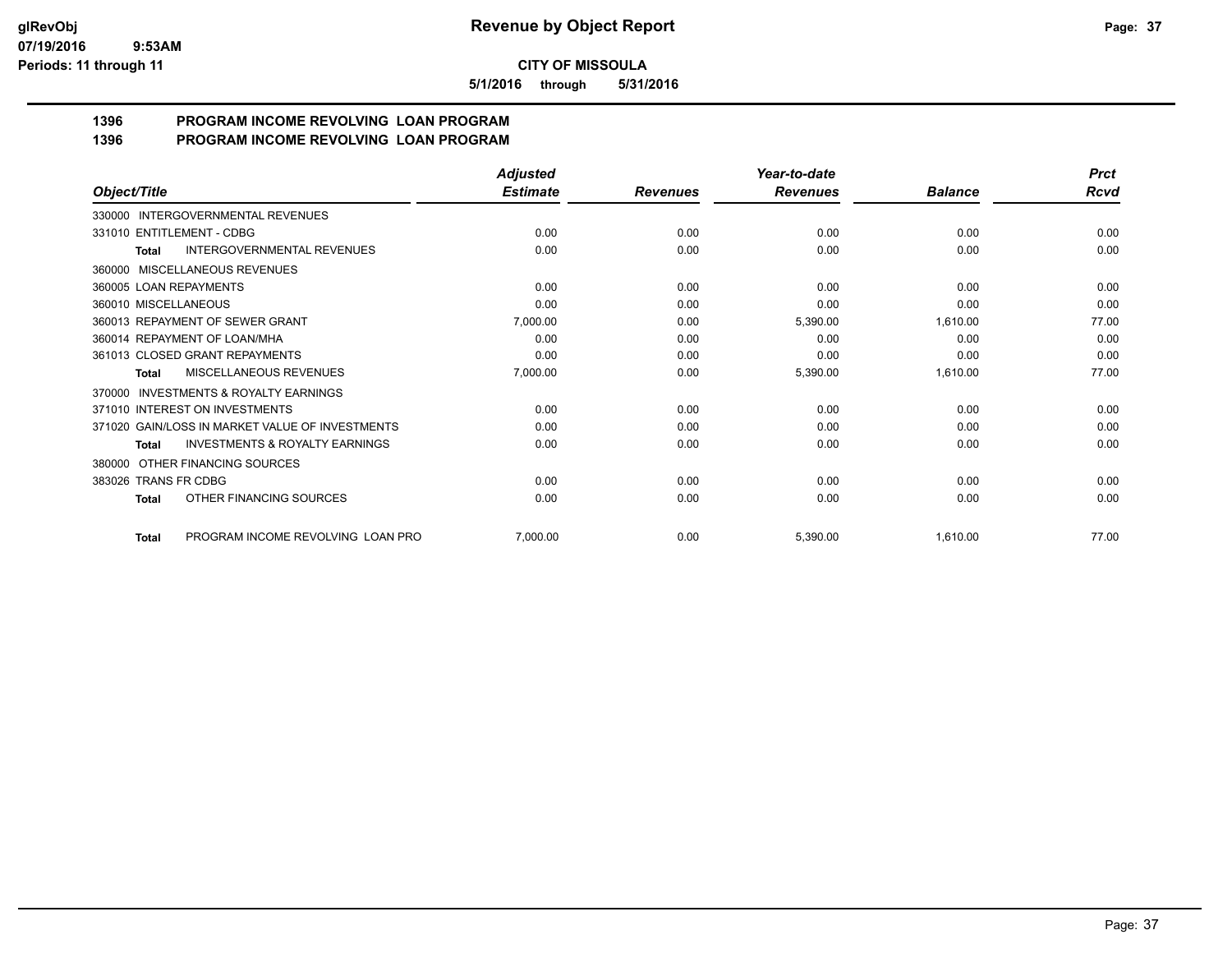**5/1/2016 through 5/31/2016**

#### **1396 PROGRAM INCOME REVOLVING LOAN PROGRAM 1396 PROGRAM INCOME REVOLVING LOAN PROGRAM**

|                                                     | <b>Adjusted</b> |                 | Year-to-date    |                | <b>Prct</b> |
|-----------------------------------------------------|-----------------|-----------------|-----------------|----------------|-------------|
| Object/Title                                        | <b>Estimate</b> | <b>Revenues</b> | <b>Revenues</b> | <b>Balance</b> | Rcvd        |
| 330000 INTERGOVERNMENTAL REVENUES                   |                 |                 |                 |                |             |
| 331010 ENTITLEMENT - CDBG                           | 0.00            | 0.00            | 0.00            | 0.00           | 0.00        |
| <b>INTERGOVERNMENTAL REVENUES</b><br><b>Total</b>   | 0.00            | 0.00            | 0.00            | 0.00           | 0.00        |
| MISCELLANEOUS REVENUES<br>360000                    |                 |                 |                 |                |             |
| 360005 LOAN REPAYMENTS                              | 0.00            | 0.00            | 0.00            | 0.00           | 0.00        |
| 360010 MISCELLANEOUS                                | 0.00            | 0.00            | 0.00            | 0.00           | 0.00        |
| 360013 REPAYMENT OF SEWER GRANT                     | 7,000.00        | 0.00            | 5,390.00        | 1,610.00       | 77.00       |
| 360014 REPAYMENT OF LOAN/MHA                        | 0.00            | 0.00            | 0.00            | 0.00           | 0.00        |
| 361013 CLOSED GRANT REPAYMENTS                      | 0.00            | 0.00            | 0.00            | 0.00           | 0.00        |
| MISCELLANEOUS REVENUES<br>Total                     | 7,000.00        | 0.00            | 5,390.00        | 1,610.00       | 77.00       |
| <b>INVESTMENTS &amp; ROYALTY EARNINGS</b><br>370000 |                 |                 |                 |                |             |
| 371010 INTEREST ON INVESTMENTS                      | 0.00            | 0.00            | 0.00            | 0.00           | 0.00        |
| 371020 GAIN/LOSS IN MARKET VALUE OF INVESTMENTS     | 0.00            | 0.00            | 0.00            | 0.00           | 0.00        |
| <b>INVESTMENTS &amp; ROYALTY EARNINGS</b><br>Total  | 0.00            | 0.00            | 0.00            | 0.00           | 0.00        |
| 380000 OTHER FINANCING SOURCES                      |                 |                 |                 |                |             |
| 383026 TRANS FR CDBG                                | 0.00            | 0.00            | 0.00            | 0.00           | 0.00        |
| OTHER FINANCING SOURCES<br>Total                    | 0.00            | 0.00            | 0.00            | 0.00           | 0.00        |
| PROGRAM INCOME REVOLVING LOAN PRO<br>Total          | 7,000.00        | 0.00            | 5,390.00        | 1,610.00       | 77.00       |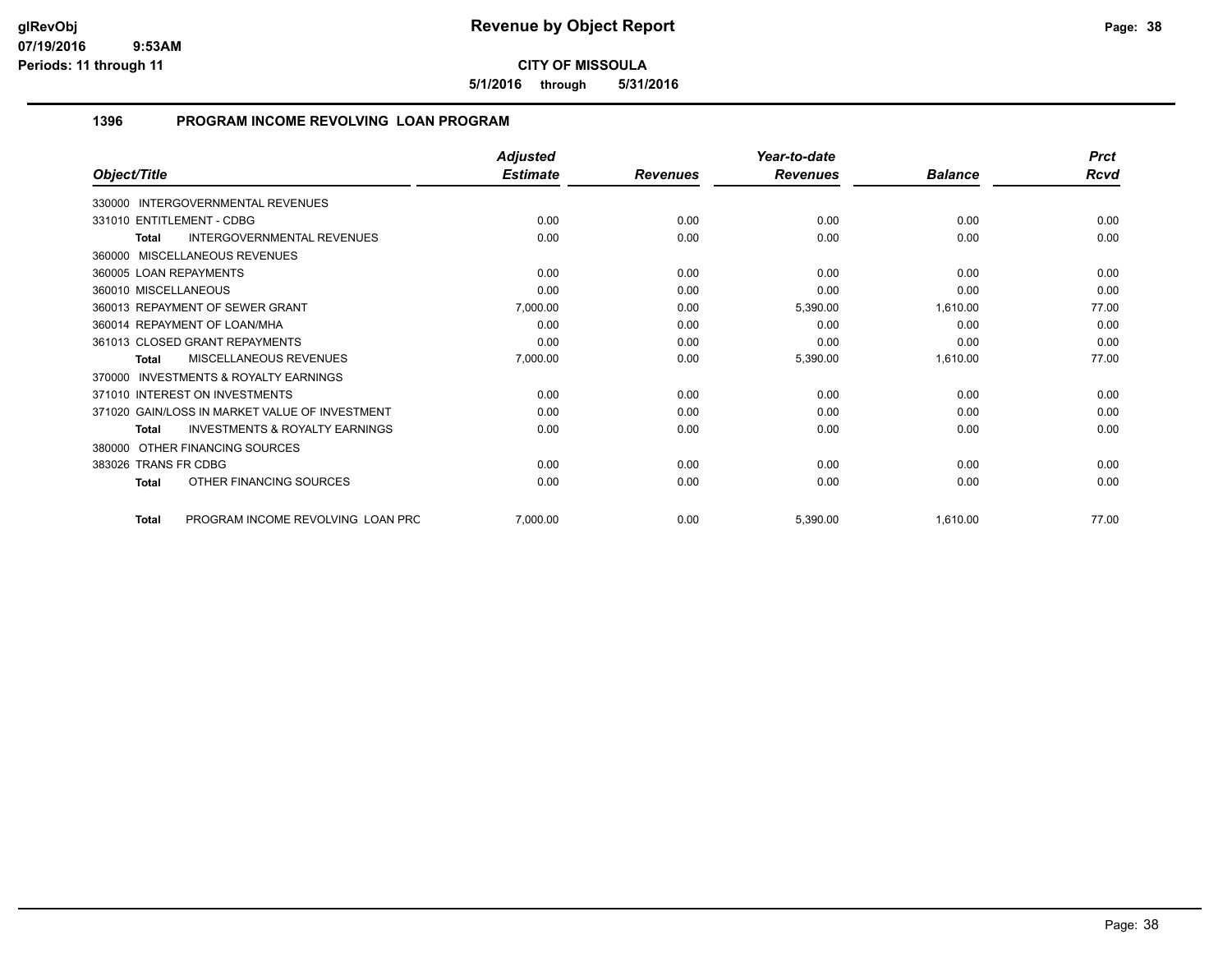**5/1/2016 through 5/31/2016**

# **1396 PROGRAM INCOME REVOLVING LOAN PROGRAM**

|                                                     | <b>Adjusted</b> |                 | Year-to-date    |                | <b>Prct</b> |
|-----------------------------------------------------|-----------------|-----------------|-----------------|----------------|-------------|
| Object/Title                                        | <b>Estimate</b> | <b>Revenues</b> | <b>Revenues</b> | <b>Balance</b> | Rcvd        |
| 330000 INTERGOVERNMENTAL REVENUES                   |                 |                 |                 |                |             |
| 331010 ENTITLEMENT - CDBG                           | 0.00            | 0.00            | 0.00            | 0.00           | 0.00        |
| INTERGOVERNMENTAL REVENUES<br><b>Total</b>          | 0.00            | 0.00            | 0.00            | 0.00           | 0.00        |
| 360000 MISCELLANEOUS REVENUES                       |                 |                 |                 |                |             |
| 360005 LOAN REPAYMENTS                              | 0.00            | 0.00            | 0.00            | 0.00           | 0.00        |
| 360010 MISCELLANEOUS                                | 0.00            | 0.00            | 0.00            | 0.00           | 0.00        |
| 360013 REPAYMENT OF SEWER GRANT                     | 7,000.00        | 0.00            | 5,390.00        | 1,610.00       | 77.00       |
| 360014 REPAYMENT OF LOAN/MHA                        | 0.00            | 0.00            | 0.00            | 0.00           | 0.00        |
| 361013 CLOSED GRANT REPAYMENTS                      | 0.00            | 0.00            | 0.00            | 0.00           | 0.00        |
| MISCELLANEOUS REVENUES<br><b>Total</b>              | 7,000.00        | 0.00            | 5,390.00        | 1,610.00       | 77.00       |
| <b>INVESTMENTS &amp; ROYALTY EARNINGS</b><br>370000 |                 |                 |                 |                |             |
| 371010 INTEREST ON INVESTMENTS                      | 0.00            | 0.00            | 0.00            | 0.00           | 0.00        |
| 371020 GAIN/LOSS IN MARKET VALUE OF INVESTMENT      | 0.00            | 0.00            | 0.00            | 0.00           | 0.00        |
| <b>INVESTMENTS &amp; ROYALTY EARNINGS</b><br>Total  | 0.00            | 0.00            | 0.00            | 0.00           | 0.00        |
| OTHER FINANCING SOURCES<br>380000                   |                 |                 |                 |                |             |
| 383026 TRANS FR CDBG                                | 0.00            | 0.00            | 0.00            | 0.00           | 0.00        |
| OTHER FINANCING SOURCES<br><b>Total</b>             | 0.00            | 0.00            | 0.00            | 0.00           | 0.00        |
| PROGRAM INCOME REVOLVING LOAN PRC<br><b>Total</b>   | 7,000.00        | 0.00            | 5,390.00        | 1,610.00       | 77.00       |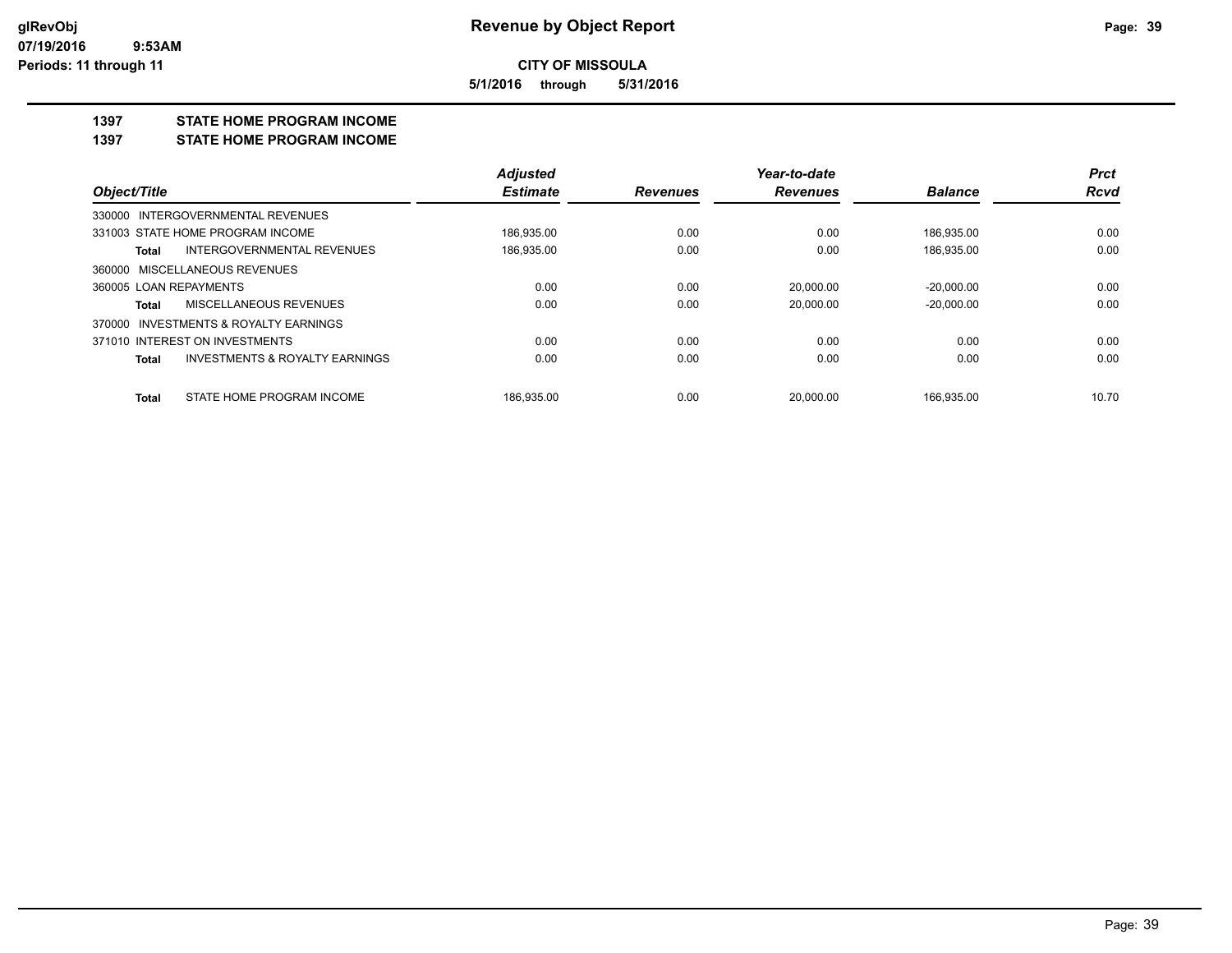**5/1/2016 through 5/31/2016**

#### **1397 STATE HOME PROGRAM INCOME**

**1397 STATE HOME PROGRAM INCOME**

|                                                    | <b>Adjusted</b> |                 | Year-to-date    |                | <b>Prct</b> |
|----------------------------------------------------|-----------------|-----------------|-----------------|----------------|-------------|
| Object/Title                                       | <b>Estimate</b> | <b>Revenues</b> | <b>Revenues</b> | <b>Balance</b> | <b>Rcvd</b> |
| 330000 INTERGOVERNMENTAL REVENUES                  |                 |                 |                 |                |             |
| 331003 STATE HOME PROGRAM INCOME                   | 186,935.00      | 0.00            | 0.00            | 186,935.00     | 0.00        |
| INTERGOVERNMENTAL REVENUES<br>Total                | 186,935.00      | 0.00            | 0.00            | 186,935.00     | 0.00        |
| 360000 MISCELLANEOUS REVENUES                      |                 |                 |                 |                |             |
| 360005 LOAN REPAYMENTS                             | 0.00            | 0.00            | 20.000.00       | $-20.000.00$   | 0.00        |
| MISCELLANEOUS REVENUES<br>Total                    | 0.00            | 0.00            | 20.000.00       | $-20.000.00$   | 0.00        |
| 370000 INVESTMENTS & ROYALTY EARNINGS              |                 |                 |                 |                |             |
| 371010 INTEREST ON INVESTMENTS                     | 0.00            | 0.00            | 0.00            | 0.00           | 0.00        |
| <b>INVESTMENTS &amp; ROYALTY EARNINGS</b><br>Total | 0.00            | 0.00            | 0.00            | 0.00           | 0.00        |
| STATE HOME PROGRAM INCOME<br>Total                 | 186.935.00      | 0.00            | 20.000.00       | 166.935.00     | 10.70       |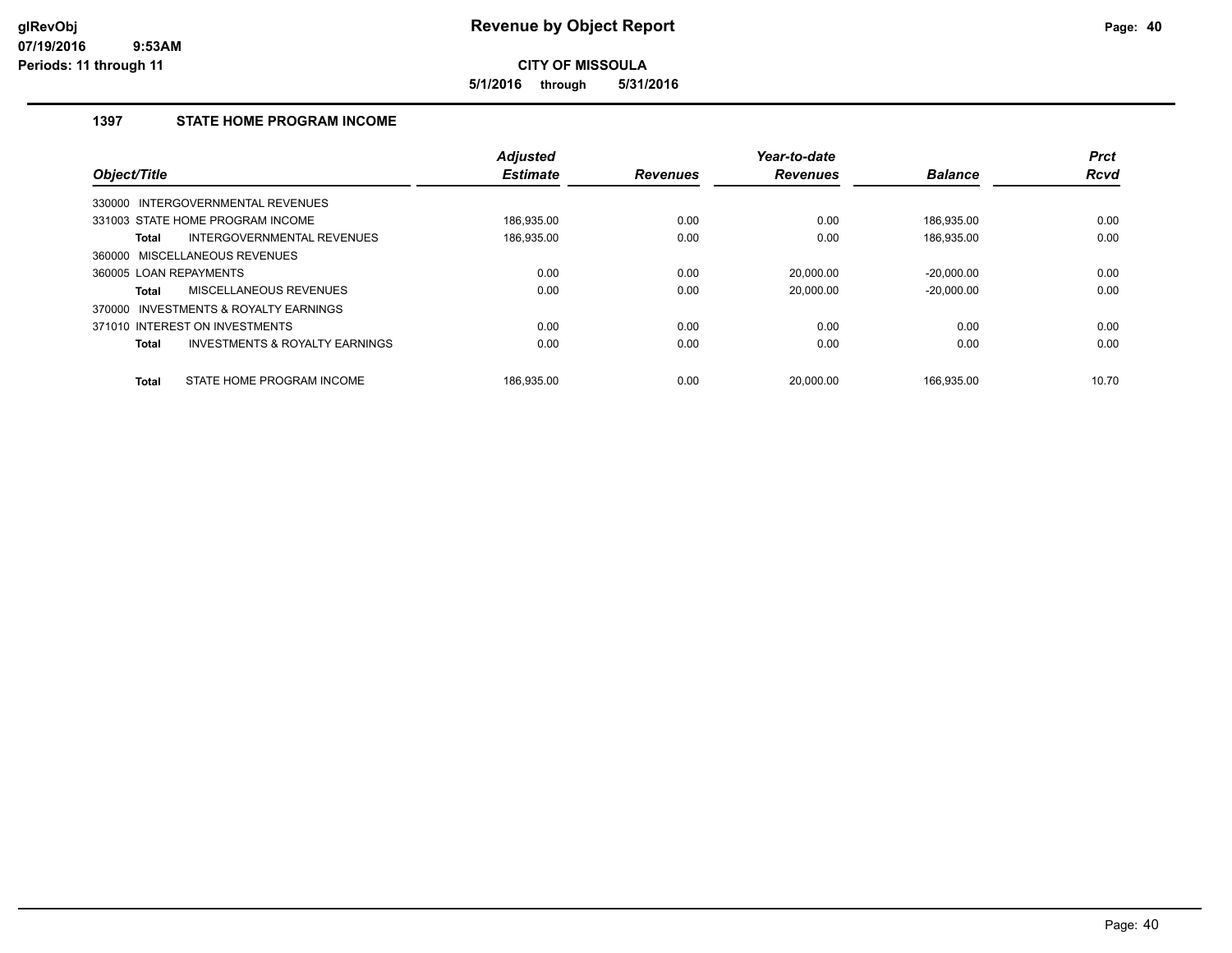**5/1/2016 through 5/31/2016**

# **1397 STATE HOME PROGRAM INCOME**

| Object/Title           |                                           | <b>Adjusted</b><br><b>Estimate</b> | <b>Revenues</b> | Year-to-date<br><b>Revenues</b> | <b>Balance</b> | <b>Prct</b><br><b>Rcvd</b> |
|------------------------|-------------------------------------------|------------------------------------|-----------------|---------------------------------|----------------|----------------------------|
|                        |                                           |                                    |                 |                                 |                |                            |
|                        | 330000 INTERGOVERNMENTAL REVENUES         |                                    |                 |                                 |                |                            |
|                        | 331003 STATE HOME PROGRAM INCOME          | 186.935.00                         | 0.00            | 0.00                            | 186.935.00     | 0.00                       |
| Total                  | INTERGOVERNMENTAL REVENUES                | 186,935.00                         | 0.00            | 0.00                            | 186,935.00     | 0.00                       |
|                        | 360000 MISCELLANEOUS REVENUES             |                                    |                 |                                 |                |                            |
| 360005 LOAN REPAYMENTS |                                           | 0.00                               | 0.00            | 20,000.00                       | $-20,000.00$   | 0.00                       |
| Total                  | MISCELLANEOUS REVENUES                    | 0.00                               | 0.00            | 20.000.00                       | $-20.000.00$   | 0.00                       |
| 370000                 | INVESTMENTS & ROYALTY EARNINGS            |                                    |                 |                                 |                |                            |
|                        | 371010 INTEREST ON INVESTMENTS            | 0.00                               | 0.00            | 0.00                            | 0.00           | 0.00                       |
| <b>Total</b>           | <b>INVESTMENTS &amp; ROYALTY EARNINGS</b> | 0.00                               | 0.00            | 0.00                            | 0.00           | 0.00                       |
| <b>Total</b>           | STATE HOME PROGRAM INCOME                 | 186.935.00                         | 0.00            | 20.000.00                       | 166.935.00     | 10.70                      |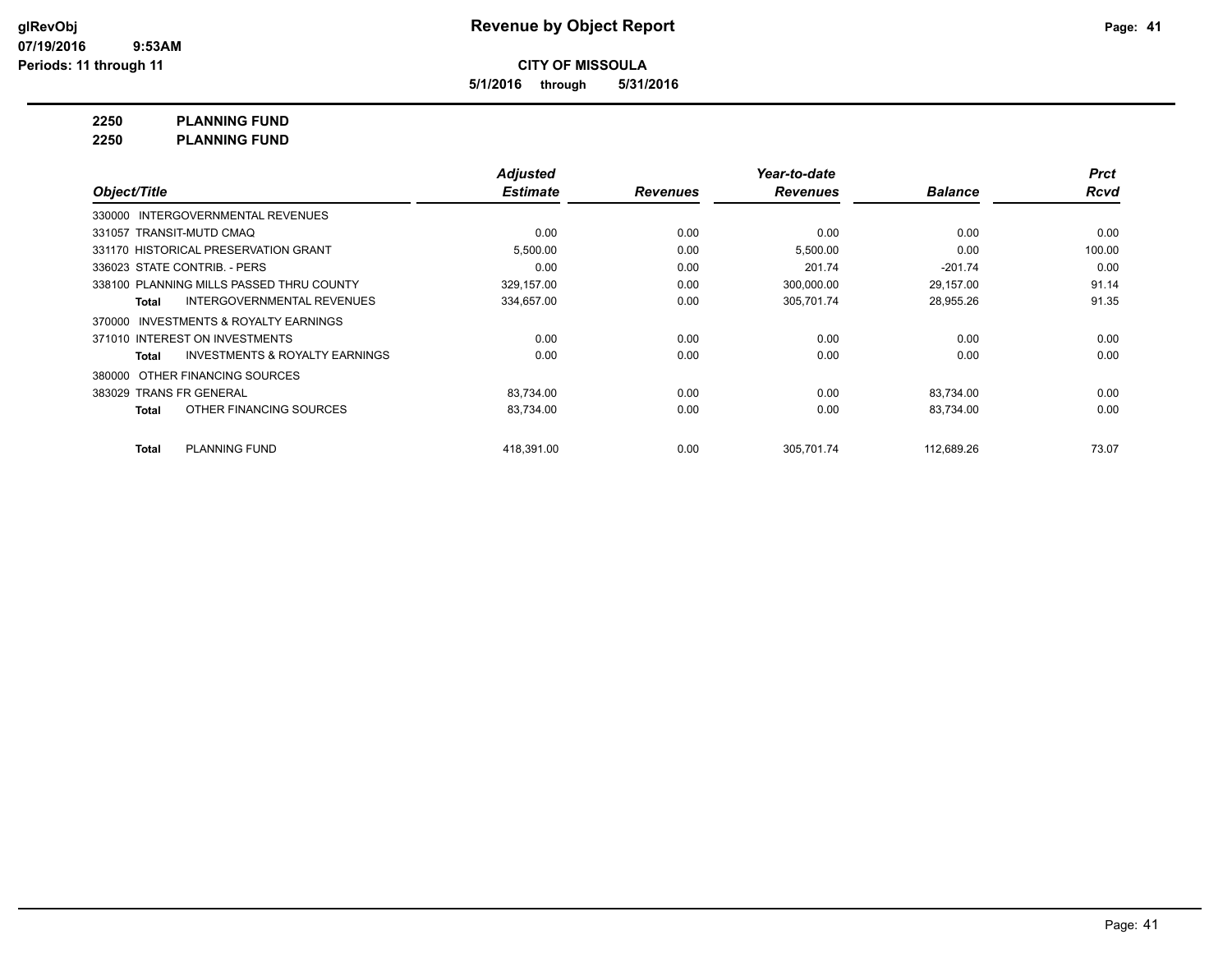**5/1/2016 through 5/31/2016**

**2250 PLANNING FUND**

**2250 PLANNING FUND**

|                                                    | <b>Adjusted</b> |                 | Year-to-date    |                | <b>Prct</b> |
|----------------------------------------------------|-----------------|-----------------|-----------------|----------------|-------------|
| Object/Title                                       | <b>Estimate</b> | <b>Revenues</b> | <b>Revenues</b> | <b>Balance</b> | <b>Rcvd</b> |
| INTERGOVERNMENTAL REVENUES<br>330000               |                 |                 |                 |                |             |
| 331057 TRANSIT-MUTD CMAQ                           | 0.00            | 0.00            | 0.00            | 0.00           | 0.00        |
| 331170 HISTORICAL PRESERVATION GRANT               | 5,500.00        | 0.00            | 5,500.00        | 0.00           | 100.00      |
| 336023 STATE CONTRIB. - PERS                       | 0.00            | 0.00            | 201.74          | $-201.74$      | 0.00        |
| 338100 PLANNING MILLS PASSED THRU COUNTY           | 329,157.00      | 0.00            | 300,000.00      | 29,157.00      | 91.14       |
| INTERGOVERNMENTAL REVENUES<br>Total                | 334,657.00      | 0.00            | 305,701.74      | 28,955.26      | 91.35       |
| INVESTMENTS & ROYALTY EARNINGS<br>370000           |                 |                 |                 |                |             |
| 371010 INTEREST ON INVESTMENTS                     | 0.00            | 0.00            | 0.00            | 0.00           | 0.00        |
| <b>INVESTMENTS &amp; ROYALTY EARNINGS</b><br>Total | 0.00            | 0.00            | 0.00            | 0.00           | 0.00        |
| OTHER FINANCING SOURCES<br>380000                  |                 |                 |                 |                |             |
| 383029 TRANS FR GENERAL                            | 83,734.00       | 0.00            | 0.00            | 83,734.00      | 0.00        |
| OTHER FINANCING SOURCES<br><b>Total</b>            | 83,734.00       | 0.00            | 0.00            | 83,734.00      | 0.00        |
| PLANNING FUND<br><b>Total</b>                      | 418.391.00      | 0.00            | 305.701.74      | 112,689.26     | 73.07       |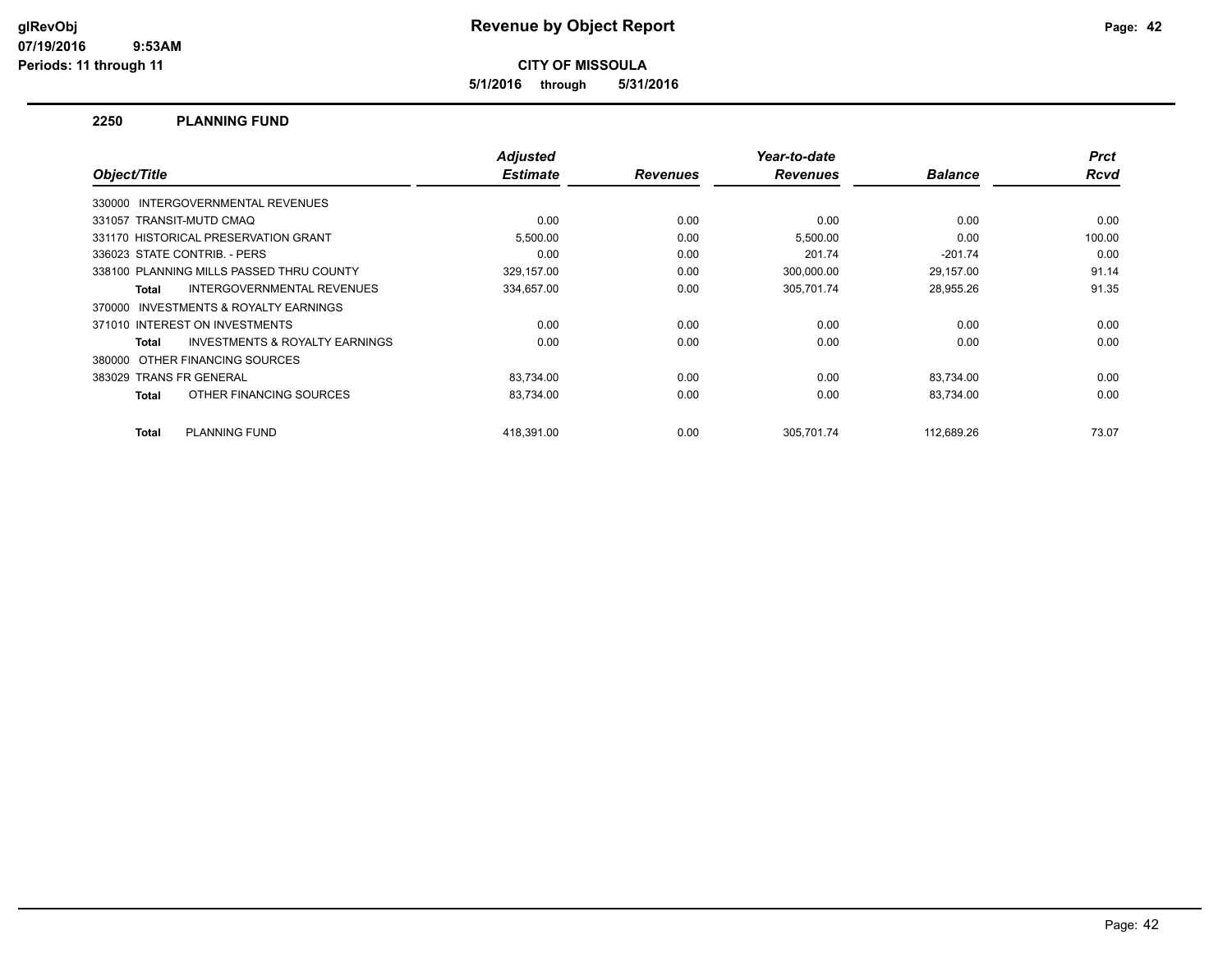**5/1/2016 through 5/31/2016**

#### **2250 PLANNING FUND**

| Object/Title                                        | <b>Adjusted</b><br><b>Estimate</b> | <b>Revenues</b> | Year-to-date<br><b>Revenues</b> | <b>Balance</b> | <b>Prct</b><br><b>Rcvd</b> |
|-----------------------------------------------------|------------------------------------|-----------------|---------------------------------|----------------|----------------------------|
|                                                     |                                    |                 |                                 |                |                            |
| 330000 INTERGOVERNMENTAL REVENUES                   |                                    |                 |                                 |                |                            |
| 331057 TRANSIT-MUTD CMAQ                            | 0.00                               | 0.00            | 0.00                            | 0.00           | 0.00                       |
| 331170 HISTORICAL PRESERVATION GRANT                | 5,500.00                           | 0.00            | 5,500.00                        | 0.00           | 100.00                     |
| 336023 STATE CONTRIB. - PERS                        | 0.00                               | 0.00            | 201.74                          | $-201.74$      | 0.00                       |
| 338100 PLANNING MILLS PASSED THRU COUNTY            | 329,157.00                         | 0.00            | 300,000.00                      | 29,157.00      | 91.14                      |
| INTERGOVERNMENTAL REVENUES<br>Total                 | 334,657.00                         | 0.00            | 305,701.74                      | 28,955.26      | 91.35                      |
| <b>INVESTMENTS &amp; ROYALTY EARNINGS</b><br>370000 |                                    |                 |                                 |                |                            |
| 371010 INTEREST ON INVESTMENTS                      | 0.00                               | 0.00            | 0.00                            | 0.00           | 0.00                       |
| <b>INVESTMENTS &amp; ROYALTY EARNINGS</b><br>Total  | 0.00                               | 0.00            | 0.00                            | 0.00           | 0.00                       |
| 380000 OTHER FINANCING SOURCES                      |                                    |                 |                                 |                |                            |
| 383029 TRANS FR GENERAL                             | 83,734.00                          | 0.00            | 0.00                            | 83,734.00      | 0.00                       |
| OTHER FINANCING SOURCES<br>Total                    | 83,734.00                          | 0.00            | 0.00                            | 83,734.00      | 0.00                       |
| PLANNING FUND<br>Total                              | 418.391.00                         | 0.00            | 305.701.74                      | 112,689.26     | 73.07                      |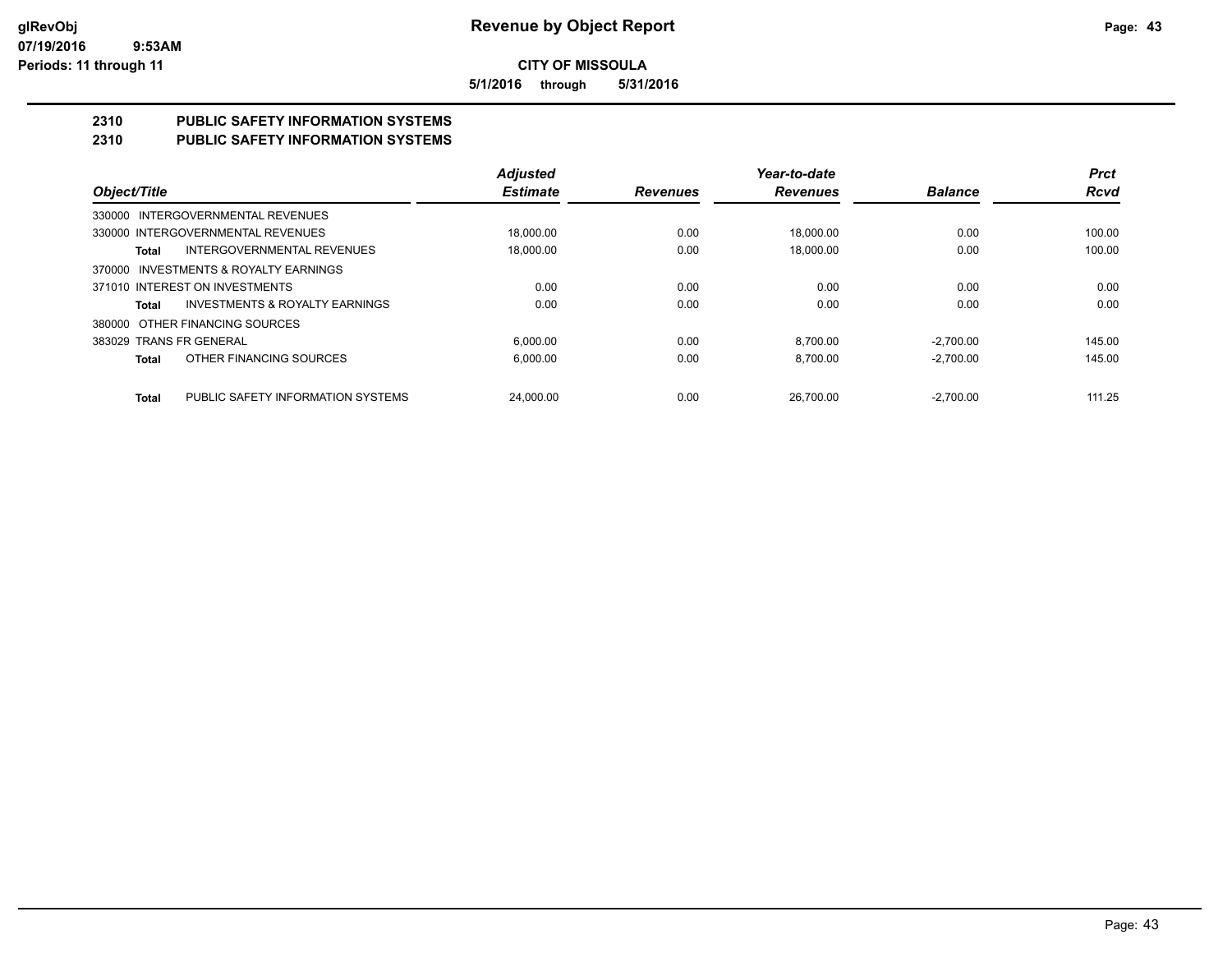**5/1/2016 through 5/31/2016**

# **2310 PUBLIC SAFETY INFORMATION SYSTEMS**

# **2310 PUBLIC SAFETY INFORMATION SYSTEMS**

|                                                    | <b>Adjusted</b> |                 | Year-to-date    |                | <b>Prct</b> |
|----------------------------------------------------|-----------------|-----------------|-----------------|----------------|-------------|
| Object/Title                                       | <b>Estimate</b> | <b>Revenues</b> | <b>Revenues</b> | <b>Balance</b> | <b>Rcvd</b> |
| 330000 INTERGOVERNMENTAL REVENUES                  |                 |                 |                 |                |             |
| 330000 INTERGOVERNMENTAL REVENUES                  | 18.000.00       | 0.00            | 18.000.00       | 0.00           | 100.00      |
| <b>INTERGOVERNMENTAL REVENUES</b><br>Total         | 18.000.00       | 0.00            | 18.000.00       | 0.00           | 100.00      |
| 370000 INVESTMENTS & ROYALTY EARNINGS              |                 |                 |                 |                |             |
| 371010 INTEREST ON INVESTMENTS                     | 0.00            | 0.00            | 0.00            | 0.00           | 0.00        |
| <b>INVESTMENTS &amp; ROYALTY EARNINGS</b><br>Total | 0.00            | 0.00            | 0.00            | 0.00           | 0.00        |
| 380000 OTHER FINANCING SOURCES                     |                 |                 |                 |                |             |
| 383029 TRANS FR GENERAL                            | 6.000.00        | 0.00            | 8.700.00        | $-2,700.00$    | 145.00      |
| OTHER FINANCING SOURCES<br><b>Total</b>            | 6.000.00        | 0.00            | 8.700.00        | $-2.700.00$    | 145.00      |
| PUBLIC SAFETY INFORMATION SYSTEMS<br><b>Total</b>  | 24.000.00       | 0.00            | 26.700.00       | $-2.700.00$    | 111.25      |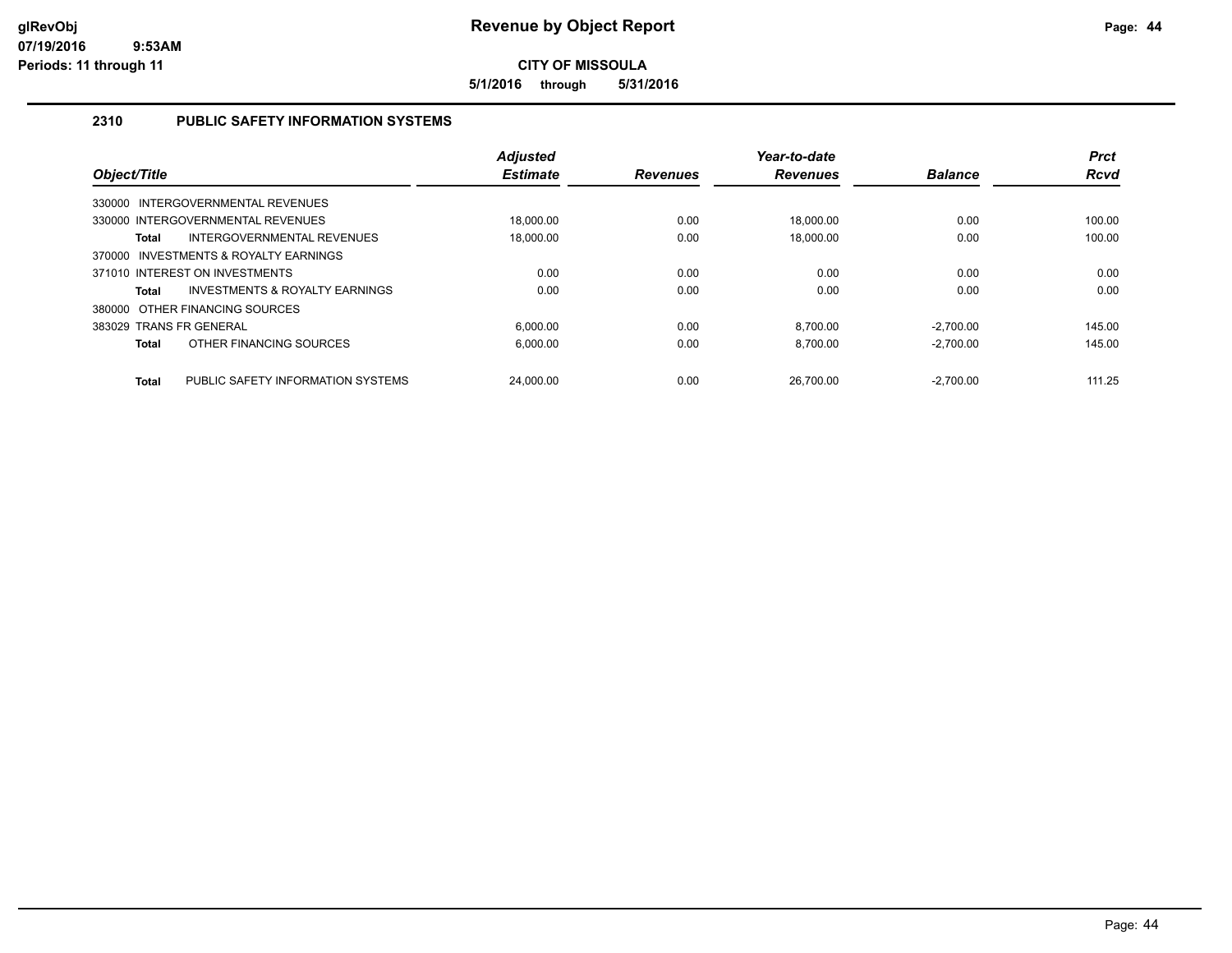**5/1/2016 through 5/31/2016**

# **2310 PUBLIC SAFETY INFORMATION SYSTEMS**

| Object/Title            |                                   | <b>Adjusted</b><br><b>Estimate</b> | <b>Revenues</b> | Year-to-date<br><b>Revenues</b> | <b>Balance</b> | <b>Prct</b><br><b>Rcvd</b> |
|-------------------------|-----------------------------------|------------------------------------|-----------------|---------------------------------|----------------|----------------------------|
|                         | 330000 INTERGOVERNMENTAL REVENUES |                                    |                 |                                 |                |                            |
|                         | 330000 INTERGOVERNMENTAL REVENUES | 18.000.00                          | 0.00            | 18.000.00                       | 0.00           | 100.00                     |
| Total                   | INTERGOVERNMENTAL REVENUES        | 18.000.00                          | 0.00            | 18.000.00                       | 0.00           | 100.00                     |
| 370000                  | INVESTMENTS & ROYALTY EARNINGS    |                                    |                 |                                 |                |                            |
|                         | 371010 INTEREST ON INVESTMENTS    | 0.00                               | 0.00            | 0.00                            | 0.00           | 0.00                       |
| Total                   | INVESTMENTS & ROYALTY EARNINGS    | 0.00                               | 0.00            | 0.00                            | 0.00           | 0.00                       |
|                         | 380000 OTHER FINANCING SOURCES    |                                    |                 |                                 |                |                            |
| 383029 TRANS FR GENERAL |                                   | 6.000.00                           | 0.00            | 8.700.00                        | $-2.700.00$    | 145.00                     |
| Total                   | OTHER FINANCING SOURCES           | 6.000.00                           | 0.00            | 8.700.00                        | $-2.700.00$    | 145.00                     |
| <b>Total</b>            | PUBLIC SAFETY INFORMATION SYSTEMS | 24.000.00                          | 0.00            | 26.700.00                       | $-2.700.00$    | 111.25                     |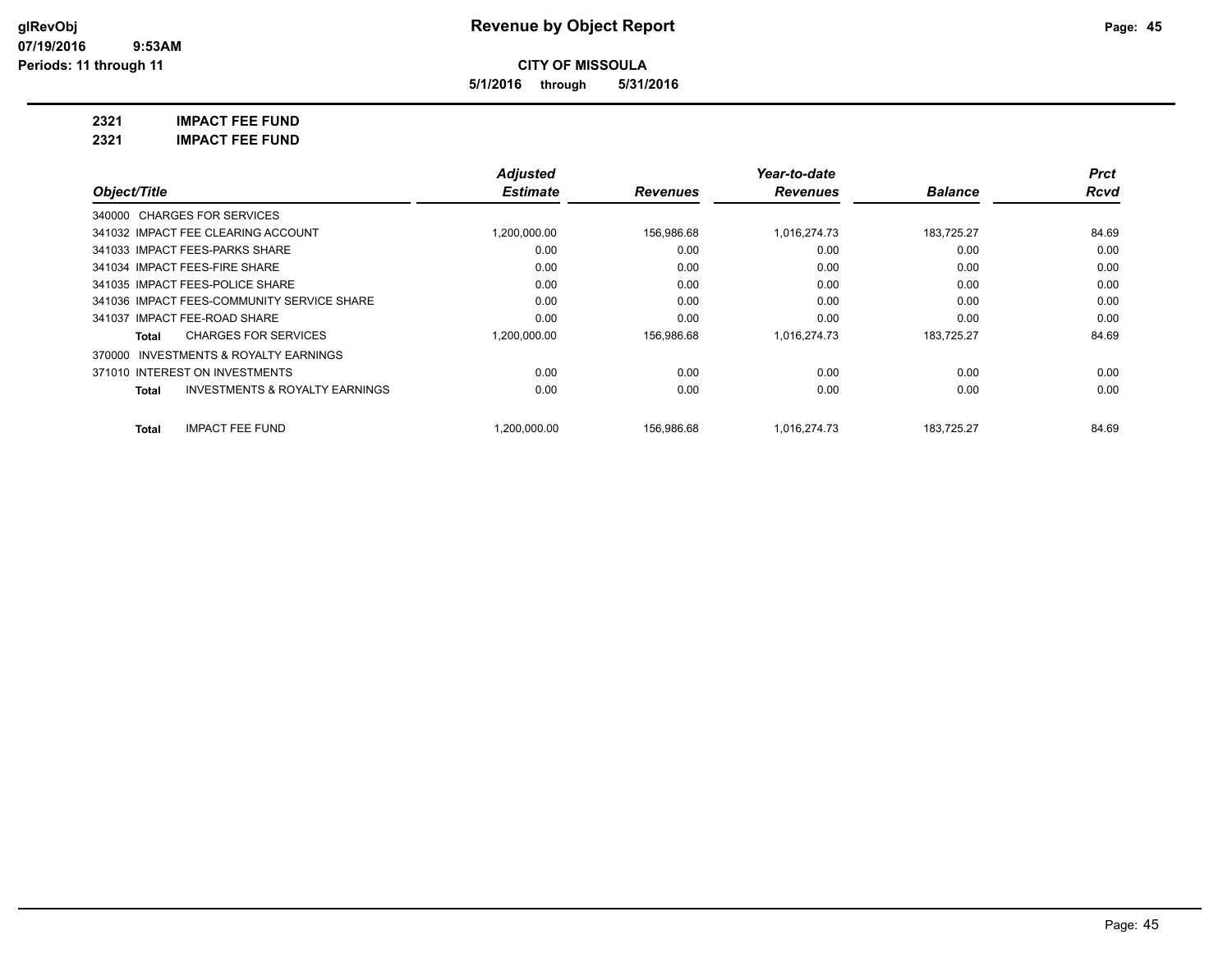**5/1/2016 through 5/31/2016**

**2321 IMPACT FEE FUND**

| 2321 | <b>IMPACT FEE FUND</b> |
|------|------------------------|
|------|------------------------|

|                                                           | <b>Adjusted</b> |                 | Year-to-date    |                | Prct        |
|-----------------------------------------------------------|-----------------|-----------------|-----------------|----------------|-------------|
| Object/Title                                              | <b>Estimate</b> | <b>Revenues</b> | <b>Revenues</b> | <b>Balance</b> | <b>Rcvd</b> |
| 340000 CHARGES FOR SERVICES                               |                 |                 |                 |                |             |
| 341032 IMPACT FEE CLEARING ACCOUNT                        | 1,200,000.00    | 156,986.68      | 1,016,274.73    | 183.725.27     | 84.69       |
| 341033 IMPACT FEES-PARKS SHARE                            | 0.00            | 0.00            | 0.00            | 0.00           | 0.00        |
| 341034 IMPACT FEES-FIRE SHARE                             | 0.00            | 0.00            | 0.00            | 0.00           | 0.00        |
| 341035 IMPACT FEES-POLICE SHARE                           | 0.00            | 0.00            | 0.00            | 0.00           | 0.00        |
| 341036 IMPACT FEES-COMMUNITY SERVICE SHARE                | 0.00            | 0.00            | 0.00            | 0.00           | 0.00        |
| 341037 IMPACT FEE-ROAD SHARE                              | 0.00            | 0.00            | 0.00            | 0.00           | 0.00        |
| <b>CHARGES FOR SERVICES</b><br>Total                      | 1,200,000.00    | 156,986.68      | 1,016,274.73    | 183,725.27     | 84.69       |
| 370000 INVESTMENTS & ROYALTY EARNINGS                     |                 |                 |                 |                |             |
| 371010 INTEREST ON INVESTMENTS                            | 0.00            | 0.00            | 0.00            | 0.00           | 0.00        |
| <b>INVESTMENTS &amp; ROYALTY EARNINGS</b><br><b>Total</b> | 0.00            | 0.00            | 0.00            | 0.00           | 0.00        |
| <b>IMPACT FEE FUND</b><br>Total                           | 1.200.000.00    | 156.986.68      | 1.016.274.73    | 183.725.27     | 84.69       |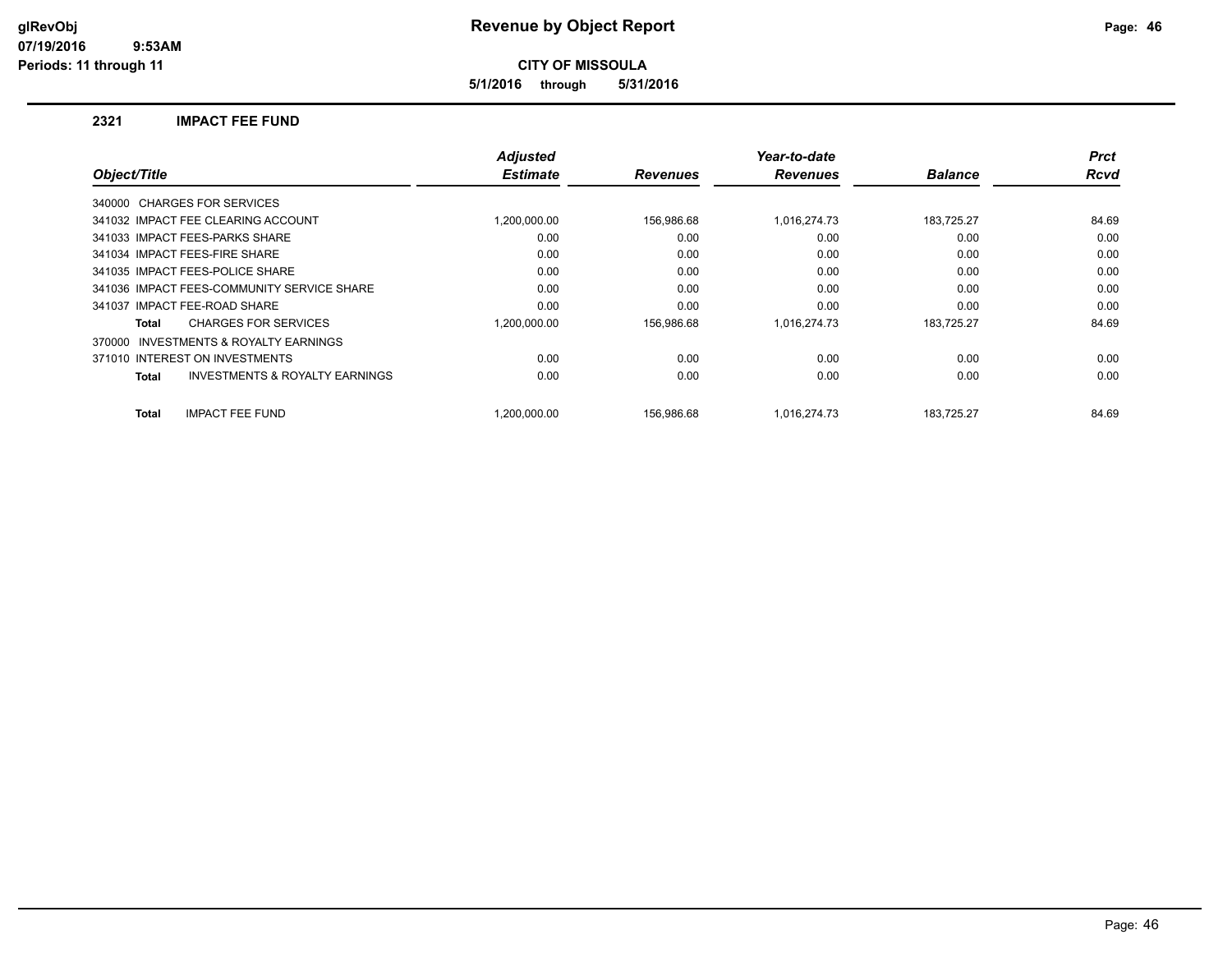**5/1/2016 through 5/31/2016**

#### **2321 IMPACT FEE FUND**

| Object/Title                                        | <b>Adjusted</b><br><b>Estimate</b> | <b>Revenues</b> | Year-to-date<br><b>Revenues</b> | <b>Balance</b> | <b>Prct</b><br><b>Rcvd</b> |
|-----------------------------------------------------|------------------------------------|-----------------|---------------------------------|----------------|----------------------------|
|                                                     |                                    |                 |                                 |                |                            |
| 340000 CHARGES FOR SERVICES                         |                                    |                 |                                 |                |                            |
| 341032 IMPACT FEE CLEARING ACCOUNT                  | 1,200,000.00                       | 156,986.68      | 1,016,274.73                    | 183,725.27     | 84.69                      |
| 341033 IMPACT FEES-PARKS SHARE                      | 0.00                               | 0.00            | 0.00                            | 0.00           | 0.00                       |
| 341034 IMPACT FEES-FIRE SHARE                       | 0.00                               | 0.00            | 0.00                            | 0.00           | 0.00                       |
| 341035 IMPACT FEES-POLICE SHARE                     | 0.00                               | 0.00            | 0.00                            | 0.00           | 0.00                       |
| 341036 IMPACT FEES-COMMUNITY SERVICE SHARE          | 0.00                               | 0.00            | 0.00                            | 0.00           | 0.00                       |
| 341037 IMPACT FEE-ROAD SHARE                        | 0.00                               | 0.00            | 0.00                            | 0.00           | 0.00                       |
| <b>CHARGES FOR SERVICES</b><br>Total                | 1,200,000.00                       | 156,986.68      | 1,016,274.73                    | 183,725.27     | 84.69                      |
| <b>INVESTMENTS &amp; ROYALTY EARNINGS</b><br>370000 |                                    |                 |                                 |                |                            |
| 371010 INTEREST ON INVESTMENTS                      | 0.00                               | 0.00            | 0.00                            | 0.00           | 0.00                       |
| <b>INVESTMENTS &amp; ROYALTY EARNINGS</b><br>Total  | 0.00                               | 0.00            | 0.00                            | 0.00           | 0.00                       |
| <b>IMPACT FEE FUND</b><br><b>Total</b>              | 1.200.000.00                       | 156.986.68      | 1.016.274.73                    | 183.725.27     | 84.69                      |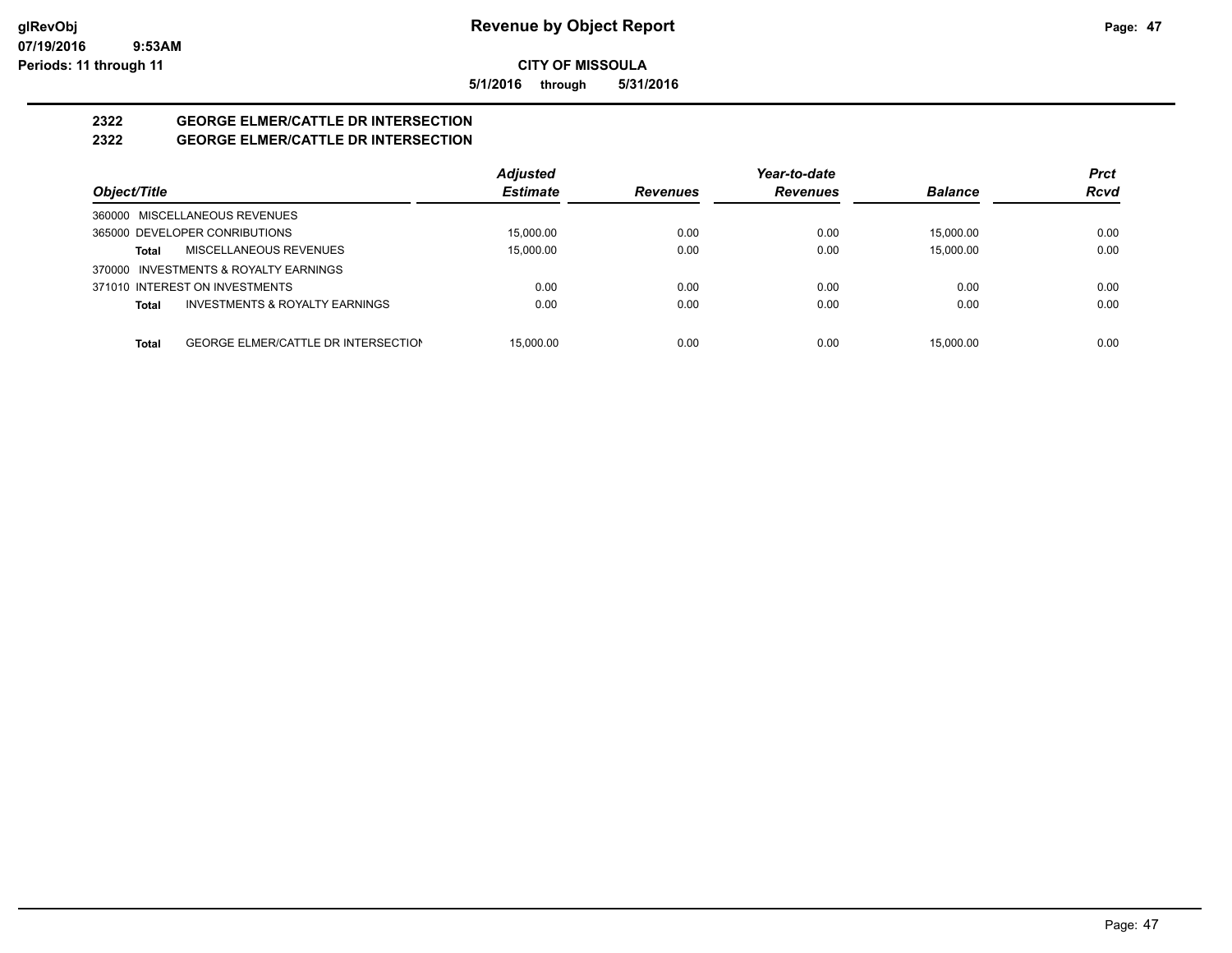**5/1/2016 through 5/31/2016**

# **2322 GEORGE ELMER/CATTLE DR INTERSECTION**

# **2322 GEORGE ELMER/CATTLE DR INTERSECTION**

|                                                            | <b>Adjusted</b> |                 | Year-to-date    |                | <b>Prct</b> |
|------------------------------------------------------------|-----------------|-----------------|-----------------|----------------|-------------|
| Object/Title                                               | <b>Estimate</b> | <b>Revenues</b> | <b>Revenues</b> | <b>Balance</b> | <b>Rcvd</b> |
| 360000 MISCELLANEOUS REVENUES                              |                 |                 |                 |                |             |
| 365000 DEVELOPER CONRIBUTIONS                              | 15.000.00       | 0.00            | 0.00            | 15.000.00      | 0.00        |
| MISCELLANEOUS REVENUES<br>Total                            | 15.000.00       | 0.00            | 0.00            | 15.000.00      | 0.00        |
| 370000 INVESTMENTS & ROYALTY EARNINGS                      |                 |                 |                 |                |             |
| 371010 INTEREST ON INVESTMENTS                             | 0.00            | 0.00            | 0.00            | 0.00           | 0.00        |
| <b>INVESTMENTS &amp; ROYALTY EARNINGS</b><br>Total         | 0.00            | 0.00            | 0.00            | 0.00           | 0.00        |
|                                                            |                 |                 |                 |                |             |
| <b>GEORGE ELMER/CATTLE DR INTERSECTION</b><br><b>Total</b> | 15.000.00       | 0.00            | 0.00            | 15.000.00      | 0.00        |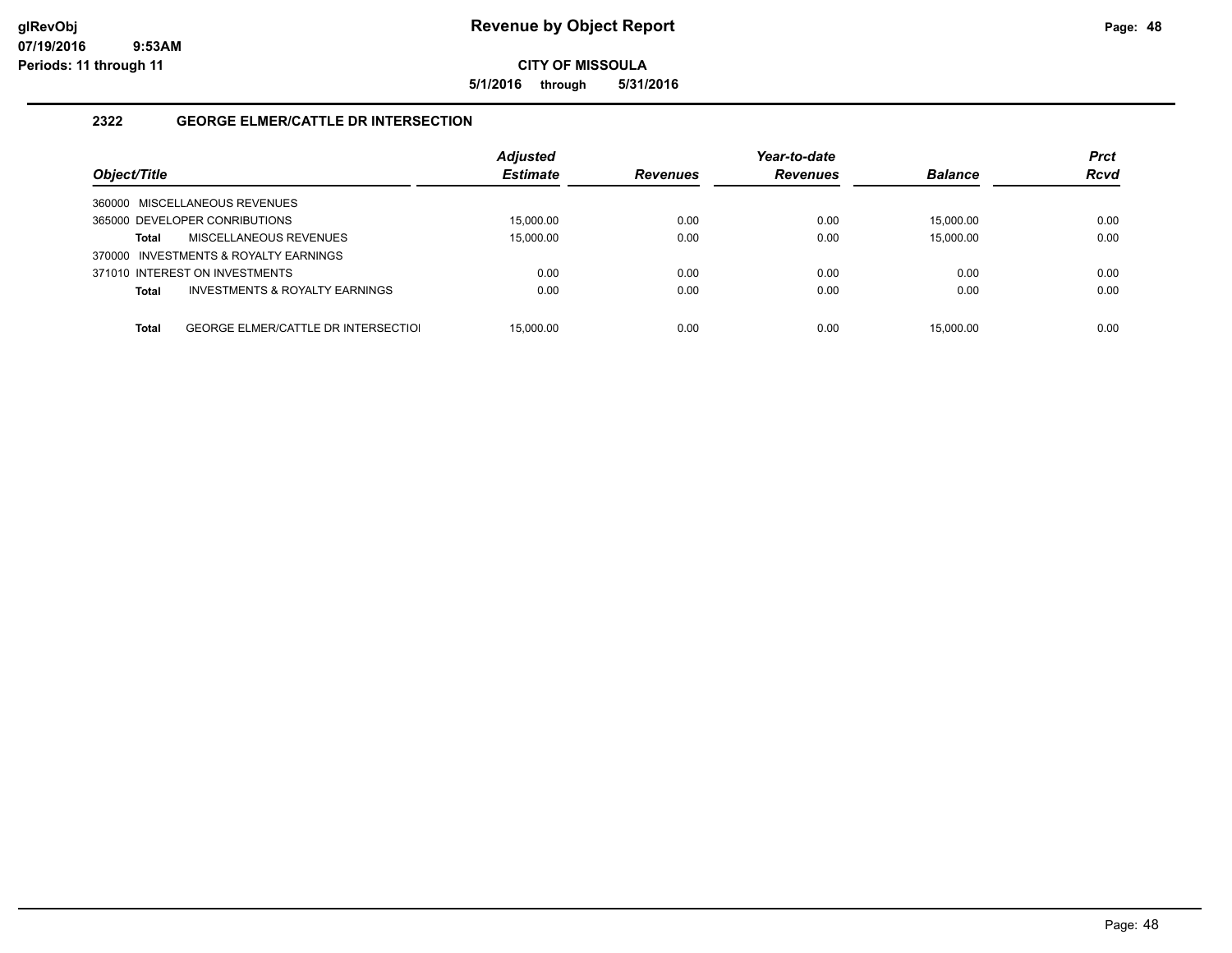**5/1/2016 through 5/31/2016**

# **2322 GEORGE ELMER/CATTLE DR INTERSECTION**

| Object/Title                                               | <b>Adjusted</b><br><b>Estimate</b> | <b>Revenues</b> | Year-to-date<br><b>Revenues</b> | <b>Balance</b> | <b>Prct</b><br><b>Rcvd</b> |
|------------------------------------------------------------|------------------------------------|-----------------|---------------------------------|----------------|----------------------------|
| 360000 MISCELLANEOUS REVENUES                              |                                    |                 |                                 |                |                            |
| 365000 DEVELOPER CONRIBUTIONS                              | 15.000.00                          | 0.00            | 0.00                            | 15,000.00      | 0.00                       |
| MISCELLANEOUS REVENUES<br>Total                            | 15,000.00                          | 0.00            | 0.00                            | 15.000.00      | 0.00                       |
| 370000 INVESTMENTS & ROYALTY EARNINGS                      |                                    |                 |                                 |                |                            |
| 371010 INTEREST ON INVESTMENTS                             | 0.00                               | 0.00            | 0.00                            | 0.00           | 0.00                       |
| <b>INVESTMENTS &amp; ROYALTY EARNINGS</b><br><b>Total</b>  | 0.00                               | 0.00            | 0.00                            | 0.00           | 0.00                       |
|                                                            |                                    |                 |                                 |                |                            |
| <b>GEORGE ELMER/CATTLE DR INTERSECTIOL</b><br><b>Total</b> | 15.000.00                          | 0.00            | 0.00                            | 15.000.00      | 0.00                       |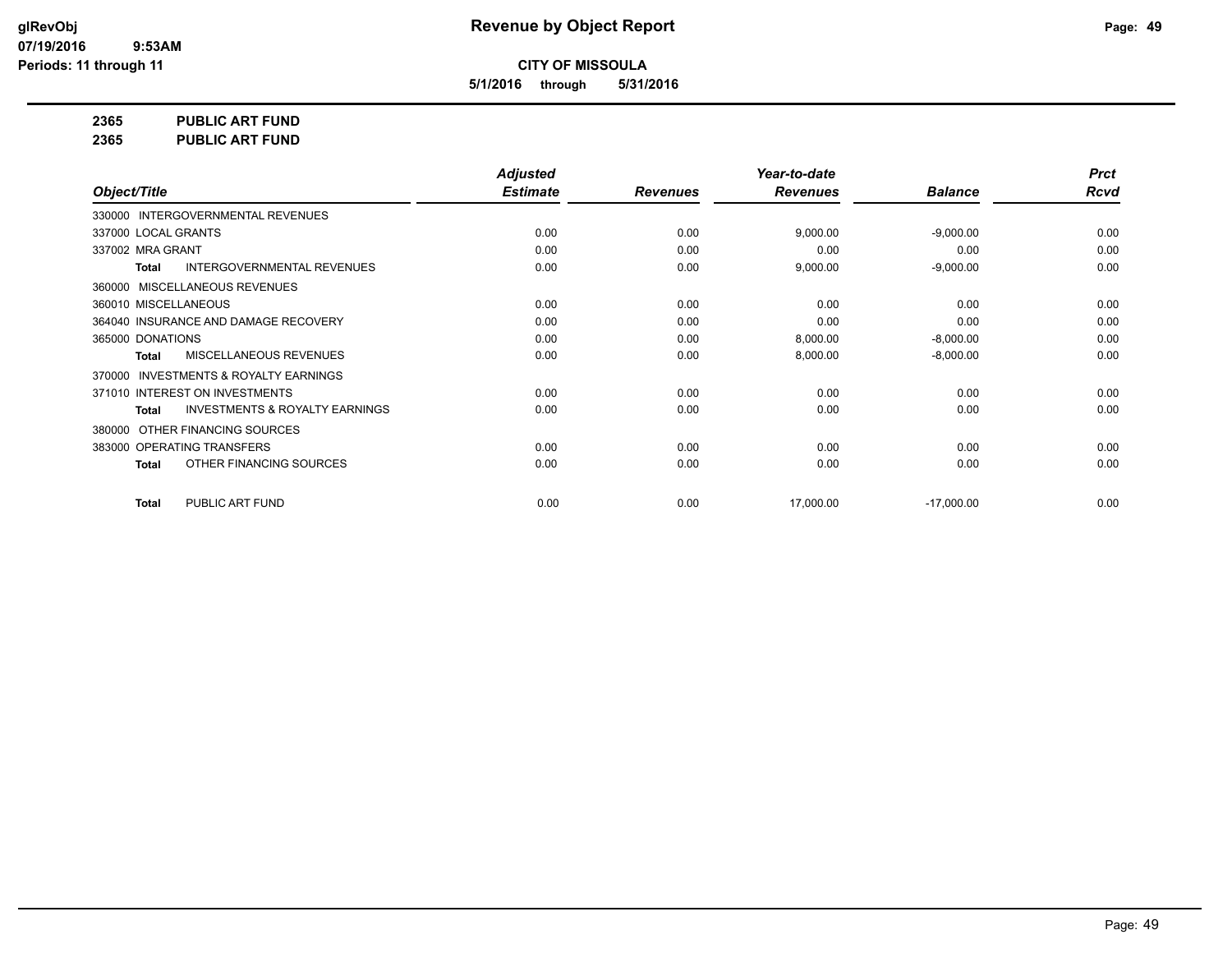**5/1/2016 through 5/31/2016**

**2365 PUBLIC ART FUND**

**2365 PUBLIC ART FUND**

|                                                           | <b>Adjusted</b> |                 | Year-to-date    |                | <b>Prct</b> |
|-----------------------------------------------------------|-----------------|-----------------|-----------------|----------------|-------------|
| Object/Title                                              | <b>Estimate</b> | <b>Revenues</b> | <b>Revenues</b> | <b>Balance</b> | <b>Rcvd</b> |
| 330000 INTERGOVERNMENTAL REVENUES                         |                 |                 |                 |                |             |
| 337000 LOCAL GRANTS                                       | 0.00            | 0.00            | 9,000.00        | $-9,000.00$    | 0.00        |
| 337002 MRA GRANT                                          | 0.00            | 0.00            | 0.00            | 0.00           | 0.00        |
| <b>INTERGOVERNMENTAL REVENUES</b><br><b>Total</b>         | 0.00            | 0.00            | 9,000.00        | $-9,000.00$    | 0.00        |
| 360000 MISCELLANEOUS REVENUES                             |                 |                 |                 |                |             |
| 360010 MISCELLANEOUS                                      | 0.00            | 0.00            | 0.00            | 0.00           | 0.00        |
| 364040 INSURANCE AND DAMAGE RECOVERY                      | 0.00            | 0.00            | 0.00            | 0.00           | 0.00        |
| 365000 DONATIONS                                          | 0.00            | 0.00            | 8,000.00        | $-8,000.00$    | 0.00        |
| <b>MISCELLANEOUS REVENUES</b><br><b>Total</b>             | 0.00            | 0.00            | 8,000.00        | $-8,000.00$    | 0.00        |
| INVESTMENTS & ROYALTY EARNINGS<br>370000                  |                 |                 |                 |                |             |
| 371010 INTEREST ON INVESTMENTS                            | 0.00            | 0.00            | 0.00            | 0.00           | 0.00        |
| <b>INVESTMENTS &amp; ROYALTY EARNINGS</b><br><b>Total</b> | 0.00            | 0.00            | 0.00            | 0.00           | 0.00        |
| OTHER FINANCING SOURCES<br>380000                         |                 |                 |                 |                |             |
| 383000 OPERATING TRANSFERS                                | 0.00            | 0.00            | 0.00            | 0.00           | 0.00        |
| OTHER FINANCING SOURCES<br><b>Total</b>                   | 0.00            | 0.00            | 0.00            | 0.00           | 0.00        |
| PUBLIC ART FUND<br>Total                                  | 0.00            | 0.00            | 17,000.00       | $-17,000.00$   | 0.00        |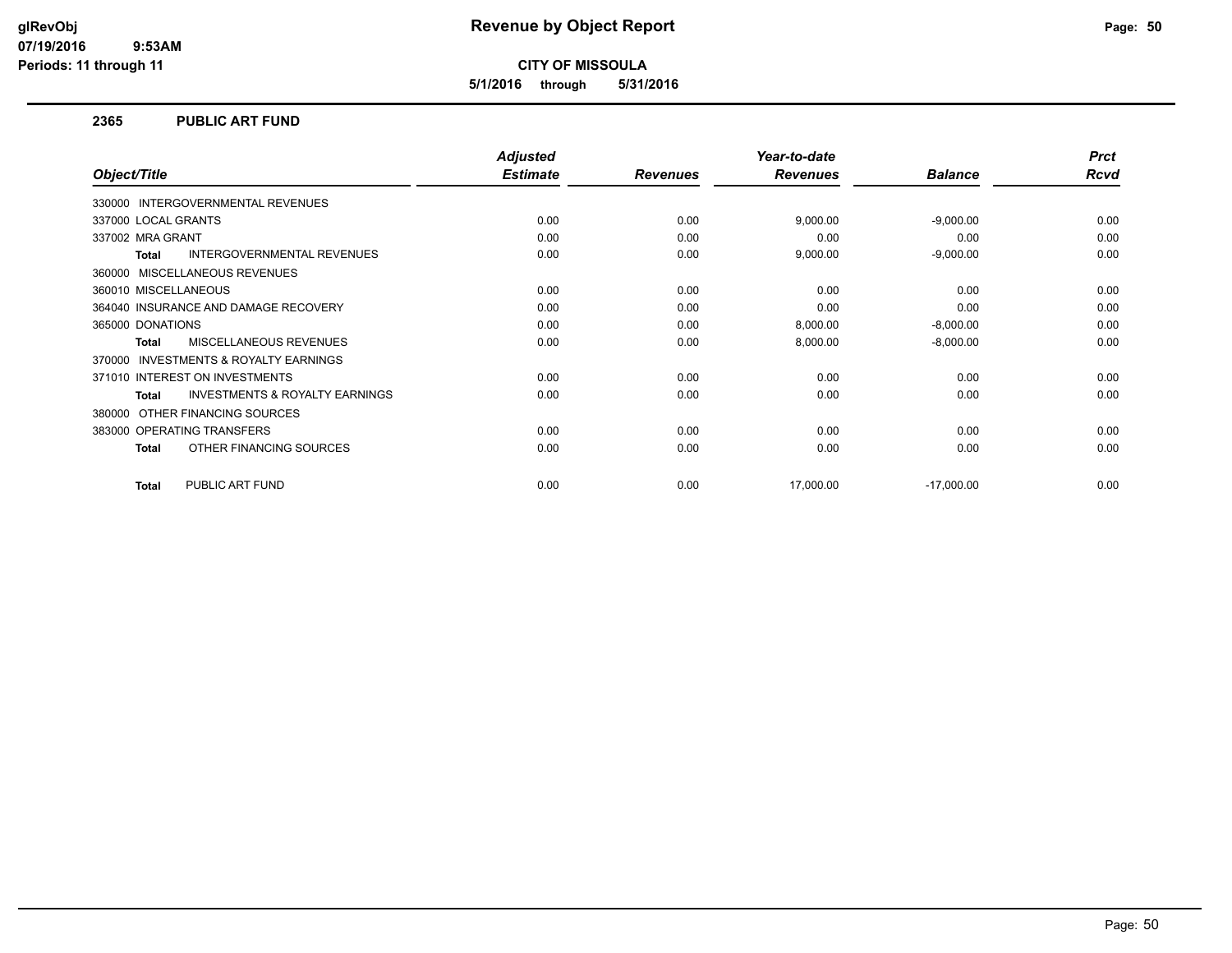**5/1/2016 through 5/31/2016**

#### **2365 PUBLIC ART FUND**

|                                                           | <b>Adjusted</b> |                 | Year-to-date    |                | <b>Prct</b> |
|-----------------------------------------------------------|-----------------|-----------------|-----------------|----------------|-------------|
| Object/Title                                              | <b>Estimate</b> | <b>Revenues</b> | <b>Revenues</b> | <b>Balance</b> | Rcvd        |
| 330000 INTERGOVERNMENTAL REVENUES                         |                 |                 |                 |                |             |
| 337000 LOCAL GRANTS                                       | 0.00            | 0.00            | 9,000.00        | $-9,000.00$    | 0.00        |
| 337002 MRA GRANT                                          | 0.00            | 0.00            | 0.00            | 0.00           | 0.00        |
| INTERGOVERNMENTAL REVENUES<br><b>Total</b>                | 0.00            | 0.00            | 9,000.00        | $-9,000.00$    | 0.00        |
| MISCELLANEOUS REVENUES<br>360000                          |                 |                 |                 |                |             |
| 360010 MISCELLANEOUS                                      | 0.00            | 0.00            | 0.00            | 0.00           | 0.00        |
| 364040 INSURANCE AND DAMAGE RECOVERY                      | 0.00            | 0.00            | 0.00            | 0.00           | 0.00        |
| 365000 DONATIONS                                          | 0.00            | 0.00            | 8,000.00        | $-8,000.00$    | 0.00        |
| <b>MISCELLANEOUS REVENUES</b><br><b>Total</b>             | 0.00            | 0.00            | 8,000.00        | $-8,000.00$    | 0.00        |
| <b>INVESTMENTS &amp; ROYALTY EARNINGS</b><br>370000       |                 |                 |                 |                |             |
| 371010 INTEREST ON INVESTMENTS                            | 0.00            | 0.00            | 0.00            | 0.00           | 0.00        |
| <b>INVESTMENTS &amp; ROYALTY EARNINGS</b><br><b>Total</b> | 0.00            | 0.00            | 0.00            | 0.00           | 0.00        |
| OTHER FINANCING SOURCES<br>380000                         |                 |                 |                 |                |             |
| 383000 OPERATING TRANSFERS                                | 0.00            | 0.00            | 0.00            | 0.00           | 0.00        |
| OTHER FINANCING SOURCES<br><b>Total</b>                   | 0.00            | 0.00            | 0.00            | 0.00           | 0.00        |
| PUBLIC ART FUND<br>Total                                  | 0.00            | 0.00            | 17,000.00       | $-17,000.00$   | 0.00        |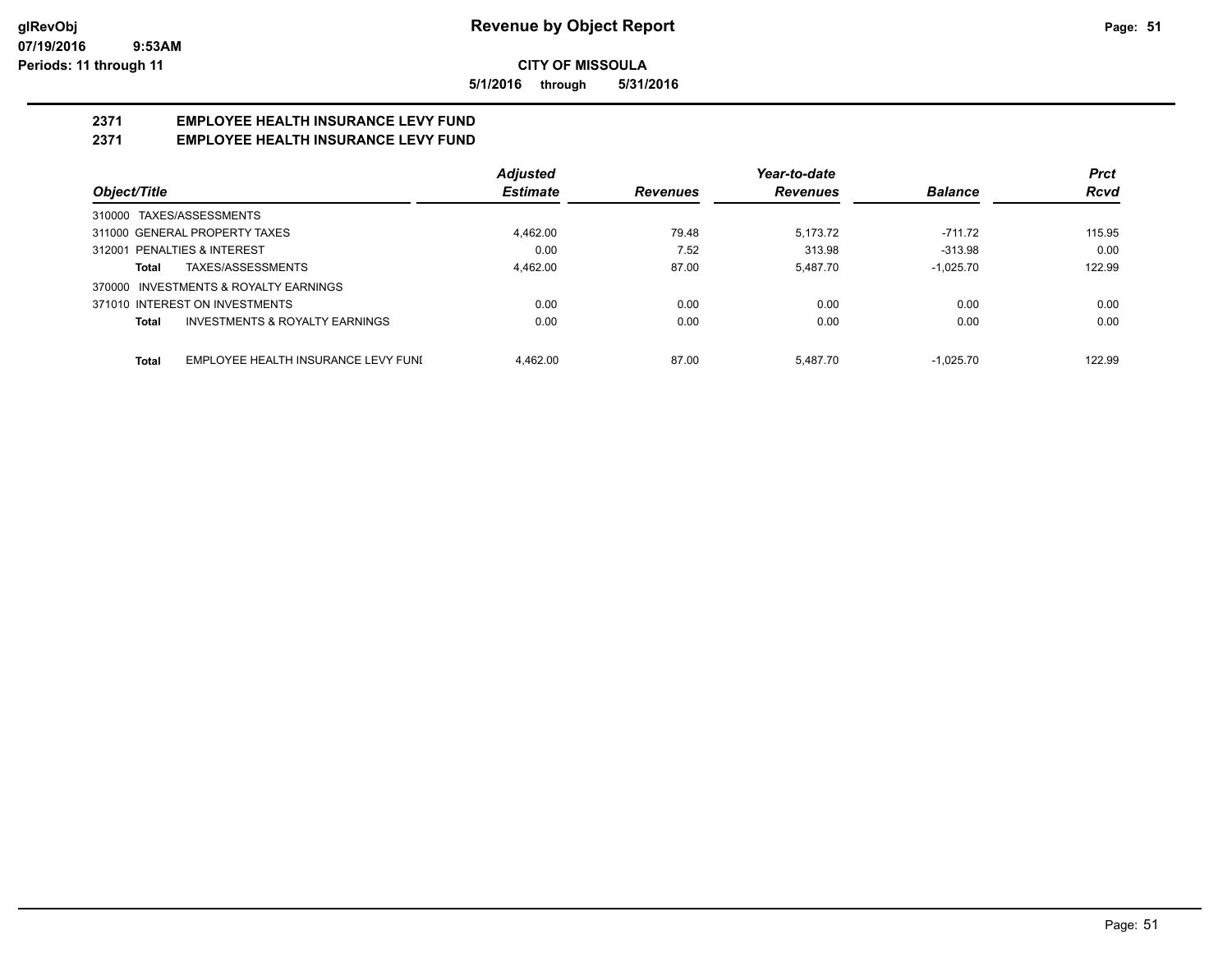**5/1/2016 through 5/31/2016**

# **2371 EMPLOYEE HEALTH INSURANCE LEVY FUND**

# **2371 EMPLOYEE HEALTH INSURANCE LEVY FUND**

|                                                     | Adjusted        |                 | Year-to-date    |                | <b>Prct</b> |
|-----------------------------------------------------|-----------------|-----------------|-----------------|----------------|-------------|
| Object/Title                                        | <b>Estimate</b> | <b>Revenues</b> | <b>Revenues</b> | <b>Balance</b> | <b>Rcvd</b> |
| 310000 TAXES/ASSESSMENTS                            |                 |                 |                 |                |             |
| 311000 GENERAL PROPERTY TAXES                       | 4,462.00        | 79.48           | 5.173.72        | $-711.72$      | 115.95      |
| 312001 PENALTIES & INTEREST                         | 0.00            | 7.52            | 313.98          | $-313.98$      | 0.00        |
| TAXES/ASSESSMENTS<br>Total                          | 4.462.00        | 87.00           | 5.487.70        | $-1.025.70$    | 122.99      |
| 370000 INVESTMENTS & ROYALTY EARNINGS               |                 |                 |                 |                |             |
| 371010 INTEREST ON INVESTMENTS                      | 0.00            | 0.00            | 0.00            | 0.00           | 0.00        |
| <b>INVESTMENTS &amp; ROYALTY EARNINGS</b><br>Total  | 0.00            | 0.00            | 0.00            | 0.00           | 0.00        |
| EMPLOYEE HEALTH INSURANCE LEVY FUNI<br><b>Total</b> | 4.462.00        | 87.00           | 5.487.70        | $-1.025.70$    | 122.99      |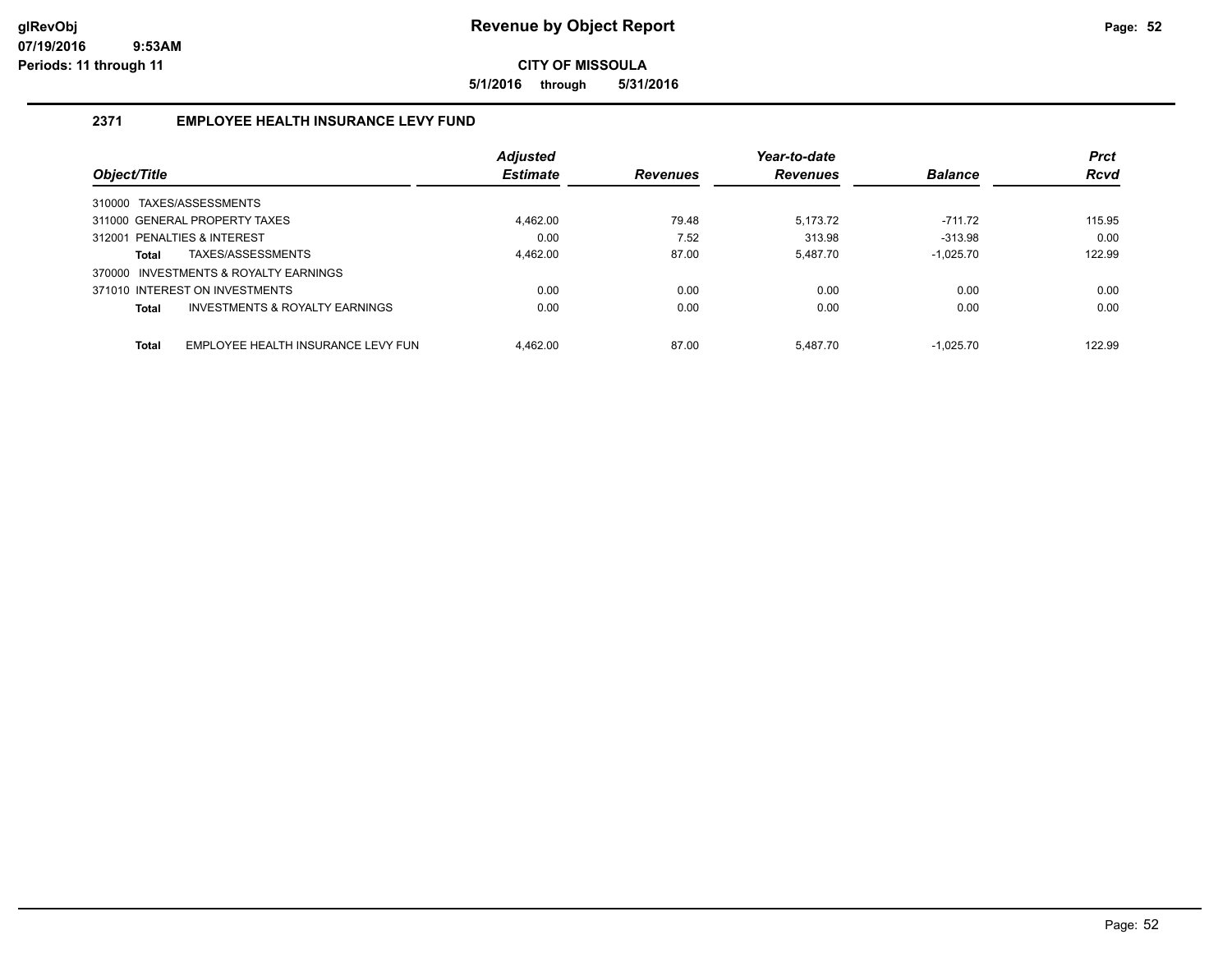**5/1/2016 through 5/31/2016**

# **2371 EMPLOYEE HEALTH INSURANCE LEVY FUND**

|              |                                       | <b>Adjusted</b> |                 | Year-to-date    |                | <b>Prct</b> |
|--------------|---------------------------------------|-----------------|-----------------|-----------------|----------------|-------------|
| Object/Title |                                       | <b>Estimate</b> | <b>Revenues</b> | <b>Revenues</b> | <b>Balance</b> | <b>Rcvd</b> |
|              | 310000 TAXES/ASSESSMENTS              |                 |                 |                 |                |             |
|              | 311000 GENERAL PROPERTY TAXES         | 4.462.00        | 79.48           | 5.173.72        | $-711.72$      | 115.95      |
|              | 312001 PENALTIES & INTEREST           | 0.00            | 7.52            | 313.98          | $-313.98$      | 0.00        |
| <b>Total</b> | TAXES/ASSESSMENTS                     | 4.462.00        | 87.00           | 5.487.70        | $-1.025.70$    | 122.99      |
|              | 370000 INVESTMENTS & ROYALTY EARNINGS |                 |                 |                 |                |             |
|              | 371010 INTEREST ON INVESTMENTS        | 0.00            | 0.00            | 0.00            | 0.00           | 0.00        |
| <b>Total</b> | INVESTMENTS & ROYALTY EARNINGS        | 0.00            | 0.00            | 0.00            | 0.00           | 0.00        |
| <b>Total</b> | EMPLOYEE HEALTH INSURANCE LEVY FUN    | 4.462.00        | 87.00           | 5.487.70        | $-1.025.70$    | 122.99      |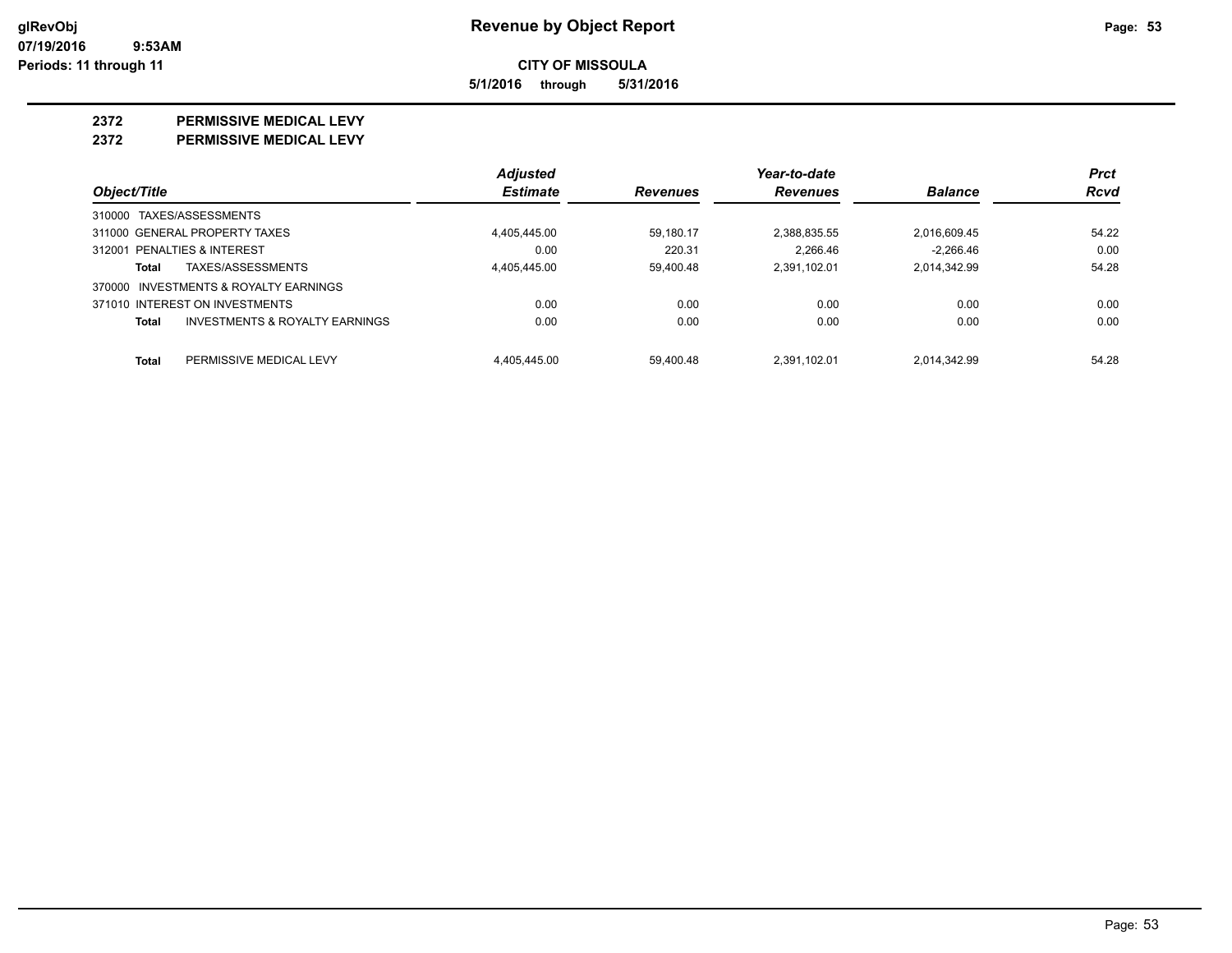**5/1/2016 through 5/31/2016**

#### **2372 PERMISSIVE MEDICAL LEVY**

**2372 PERMISSIVE MEDICAL LEVY**

|                                                    | <b>Adjusted</b> |                 | Year-to-date    |                | <b>Prct</b> |
|----------------------------------------------------|-----------------|-----------------|-----------------|----------------|-------------|
| Object/Title                                       | <b>Estimate</b> | <b>Revenues</b> | <b>Revenues</b> | <b>Balance</b> | Rcvd        |
| 310000 TAXES/ASSESSMENTS                           |                 |                 |                 |                |             |
| 311000 GENERAL PROPERTY TAXES                      | 4.405.445.00    | 59.180.17       | 2,388,835.55    | 2,016,609.45   | 54.22       |
| 312001 PENALTIES & INTEREST                        | 0.00            | 220.31          | 2.266.46        | $-2.266.46$    | 0.00        |
| TAXES/ASSESSMENTS<br>Total                         | 4.405.445.00    | 59.400.48       | 2.391.102.01    | 2.014.342.99   | 54.28       |
| 370000 INVESTMENTS & ROYALTY EARNINGS              |                 |                 |                 |                |             |
| 371010 INTEREST ON INVESTMENTS                     | 0.00            | 0.00            | 0.00            | 0.00           | 0.00        |
| <b>INVESTMENTS &amp; ROYALTY EARNINGS</b><br>Total | 0.00            | 0.00            | 0.00            | 0.00           | 0.00        |
| Total<br>PERMISSIVE MEDICAL LEVY                   | 4.405.445.00    | 59.400.48       | 2.391.102.01    | 2.014.342.99   | 54.28       |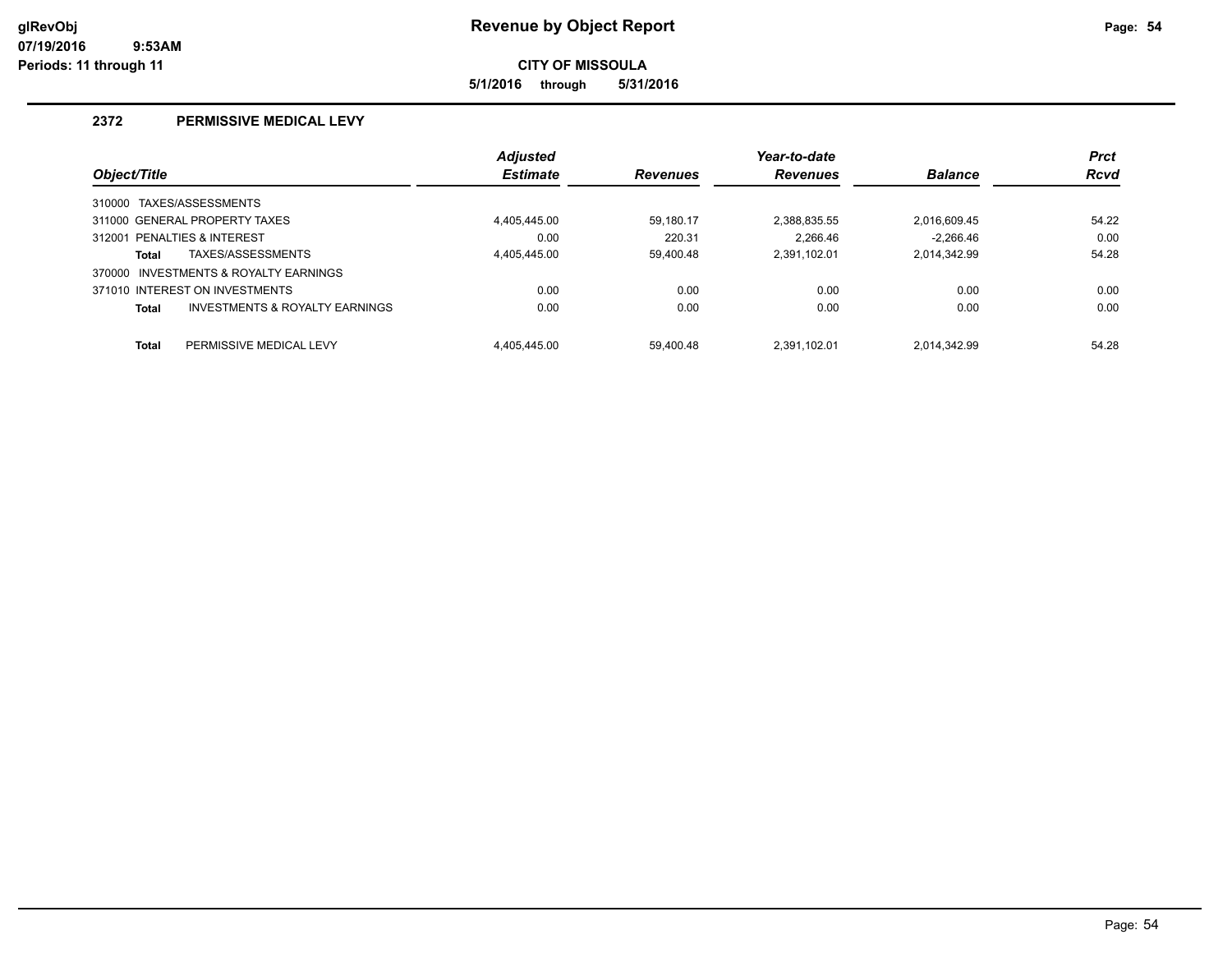**5/1/2016 through 5/31/2016**

# **2372 PERMISSIVE MEDICAL LEVY**

|              |                                       | <b>Adjusted</b> |                 | Year-to-date    |                | <b>Prct</b> |
|--------------|---------------------------------------|-----------------|-----------------|-----------------|----------------|-------------|
| Object/Title |                                       | <b>Estimate</b> | <b>Revenues</b> | <b>Revenues</b> | <b>Balance</b> | <b>Rcvd</b> |
| 310000       | TAXES/ASSESSMENTS                     |                 |                 |                 |                |             |
|              | 311000 GENERAL PROPERTY TAXES         | 4.405.445.00    | 59.180.17       | 2.388.835.55    | 2,016,609.45   | 54.22       |
|              | 312001 PENALTIES & INTEREST           | 0.00            | 220.31          | 2.266.46        | $-2.266.46$    | 0.00        |
| <b>Total</b> | TAXES/ASSESSMENTS                     | 4.405.445.00    | 59.400.48       | 2.391.102.01    | 2,014,342.99   | 54.28       |
|              | 370000 INVESTMENTS & ROYALTY EARNINGS |                 |                 |                 |                |             |
|              | 371010 INTEREST ON INVESTMENTS        | 0.00            | 0.00            | 0.00            | 0.00           | 0.00        |
| <b>Total</b> | INVESTMENTS & ROYALTY EARNINGS        | 0.00            | 0.00            | 0.00            | 0.00           | 0.00        |
| <b>Total</b> | PERMISSIVE MEDICAL LEVY               | 4.405.445.00    | 59.400.48       | 2.391.102.01    | 2,014,342.99   | 54.28       |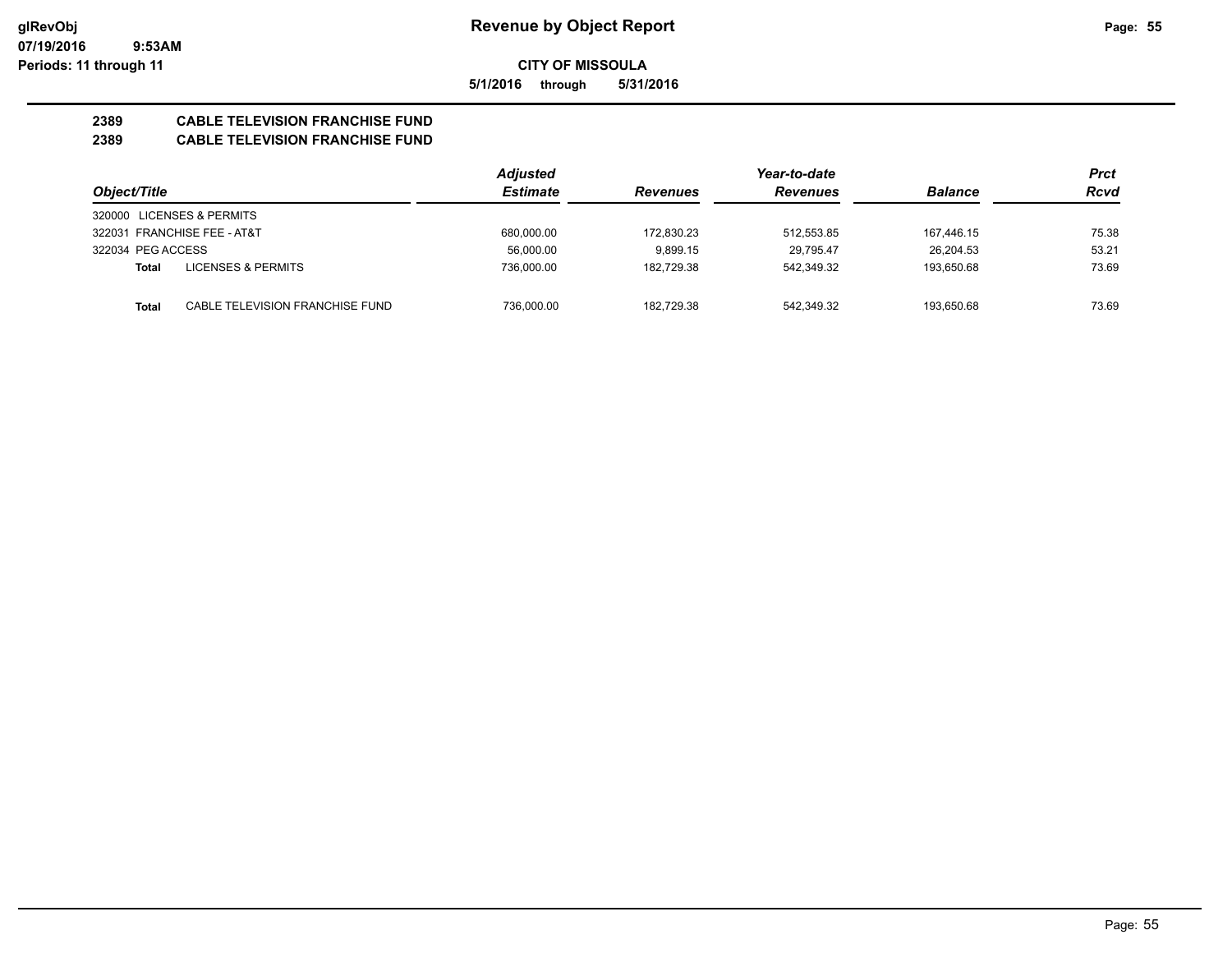**5/1/2016 through 5/31/2016**

# **2389 CABLE TELEVISION FRANCHISE FUND**

# **2389 CABLE TELEVISION FRANCHISE FUND**

|                             |                                 | <b>Adjusted</b> |                 | Year-to-date    |                | Prct  |
|-----------------------------|---------------------------------|-----------------|-----------------|-----------------|----------------|-------|
| Object/Title                |                                 | <b>Estimate</b> | <b>Revenues</b> | <b>Revenues</b> | <b>Balance</b> | Rcvd  |
| 320000 LICENSES & PERMITS   |                                 |                 |                 |                 |                |       |
| 322031 FRANCHISE FEE - AT&T |                                 | 680.000.00      | 172.830.23      | 512.553.85      | 167,446.15     | 75.38 |
| 322034 PEG ACCESS           |                                 | 56.000.00       | 9.899.15        | 29.795.47       | 26.204.53      | 53.21 |
| Total                       | LICENSES & PERMITS              | 736,000.00      | 182,729.38      | 542,349.32      | 193.650.68     | 73.69 |
| Total                       | CABLE TELEVISION FRANCHISE FUND | 736,000.00      | 182.729.38      | 542,349.32      | 193.650.68     | 73.69 |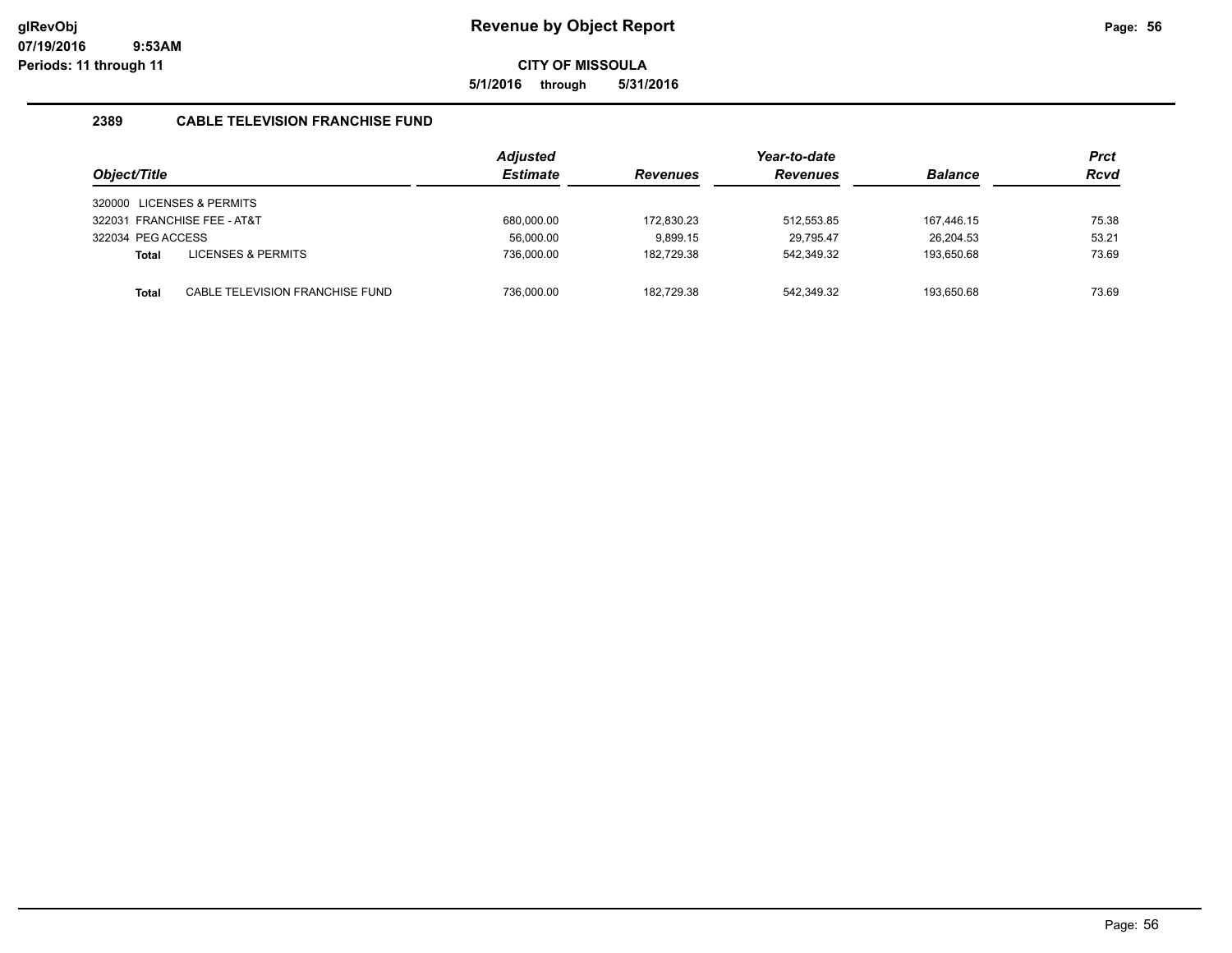**5/1/2016 through 5/31/2016**

# **2389 CABLE TELEVISION FRANCHISE FUND**

|                   |                                 | <b>Adjusted</b> |                 | Year-to-date    |                | <b>Prct</b> |
|-------------------|---------------------------------|-----------------|-----------------|-----------------|----------------|-------------|
| Object/Title      |                                 | <b>Estimate</b> | <b>Revenues</b> | <b>Revenues</b> | <b>Balance</b> | <b>Rcvd</b> |
|                   | 320000 LICENSES & PERMITS       |                 |                 |                 |                |             |
|                   | 322031 FRANCHISE FEE - AT&T     | 680,000.00      | 172,830.23      | 512,553.85      | 167.446.15     | 75.38       |
| 322034 PEG ACCESS |                                 | 56,000.00       | 9.899.15        | 29.795.47       | 26.204.53      | 53.21       |
| Total             | <b>LICENSES &amp; PERMITS</b>   | 736,000.00      | 182.729.38      | 542.349.32      | 193,650.68     | 73.69       |
|                   |                                 |                 |                 |                 |                |             |
| <b>Total</b>      | CABLE TELEVISION FRANCHISE FUND | 736.000.00      | 182.729.38      | 542.349.32      | 193.650.68     | 73.69       |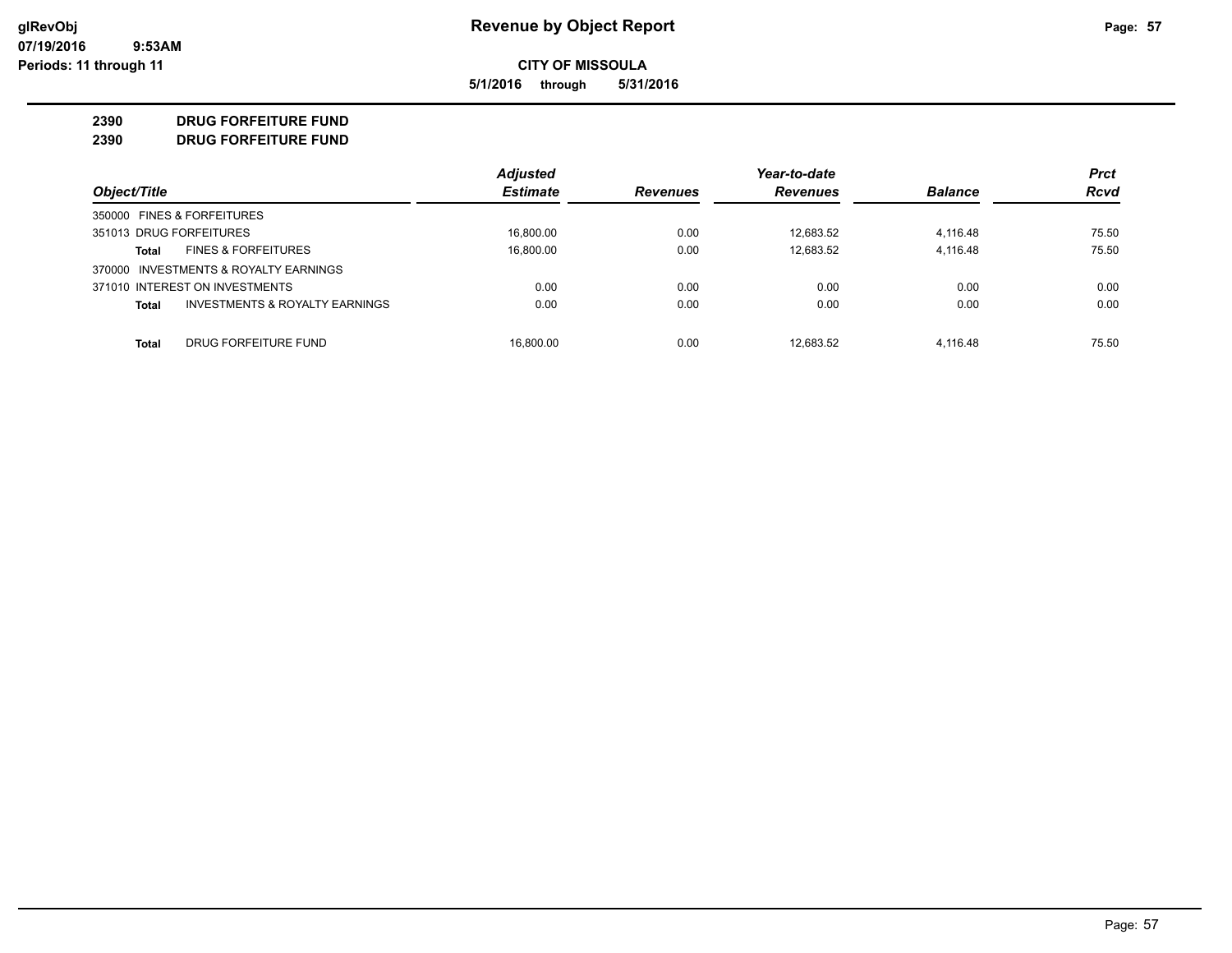**5/1/2016 through 5/31/2016**

#### **2390 DRUG FORFEITURE FUND**

**2390 DRUG FORFEITURE FUND**

|                                                | <b>Adjusted</b> |                 | Year-to-date    |                | <b>Prct</b> |
|------------------------------------------------|-----------------|-----------------|-----------------|----------------|-------------|
| Object/Title                                   | <b>Estimate</b> | <b>Revenues</b> | <b>Revenues</b> | <b>Balance</b> | <b>Rcvd</b> |
| 350000 FINES & FORFEITURES                     |                 |                 |                 |                |             |
| 351013 DRUG FORFEITURES                        | 16.800.00       | 0.00            | 12.683.52       | 4,116.48       | 75.50       |
| <b>FINES &amp; FORFEITURES</b><br>Total        | 16,800.00       | 0.00            | 12,683.52       | 4,116.48       | 75.50       |
| 370000 INVESTMENTS & ROYALTY EARNINGS          |                 |                 |                 |                |             |
| 371010 INTEREST ON INVESTMENTS                 | 0.00            | 0.00            | 0.00            | 0.00           | 0.00        |
| INVESTMENTS & ROYALTY EARNINGS<br><b>Total</b> | 0.00            | 0.00            | 0.00            | 0.00           | 0.00        |
| DRUG FORFEITURE FUND<br><b>Total</b>           | 16.800.00       | 0.00            | 12.683.52       | 4.116.48       | 75.50       |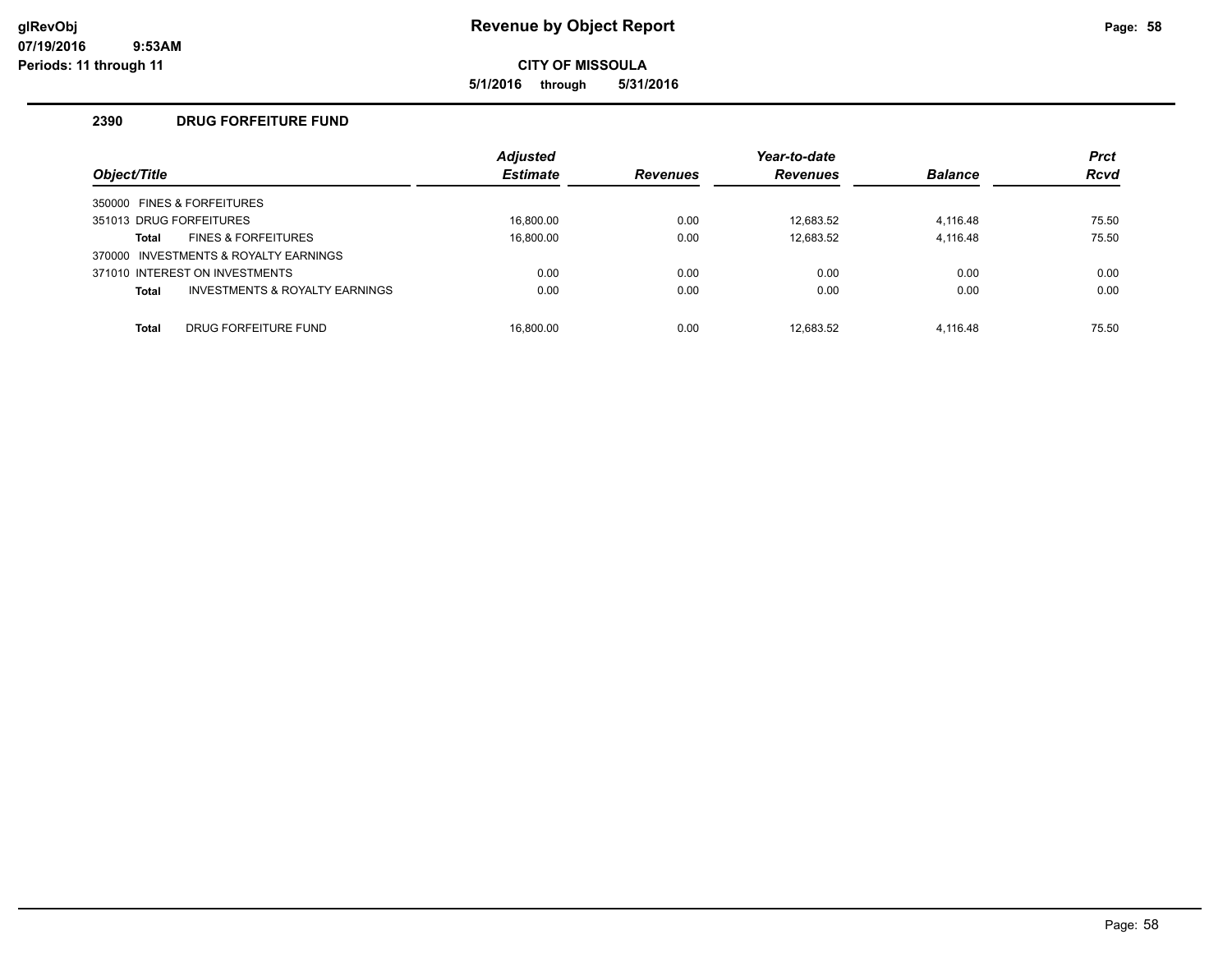**5/1/2016 through 5/31/2016**

# **2390 DRUG FORFEITURE FUND**

| Object/Title            |                                           | <b>Adjusted</b><br><b>Estimate</b> | <b>Revenues</b> | Year-to-date<br><b>Revenues</b> | <b>Balance</b> | <b>Prct</b><br><b>Rcvd</b> |
|-------------------------|-------------------------------------------|------------------------------------|-----------------|---------------------------------|----------------|----------------------------|
|                         | 350000 FINES & FORFEITURES                |                                    |                 |                                 |                |                            |
| 351013 DRUG FORFEITURES |                                           | 16.800.00                          | 0.00            | 12.683.52                       | 4,116.48       | 75.50                      |
| Total                   | <b>FINES &amp; FORFEITURES</b>            | 16.800.00                          | 0.00            | 12.683.52                       | 4,116.48       | 75.50                      |
|                         | 370000 INVESTMENTS & ROYALTY EARNINGS     |                                    |                 |                                 |                |                            |
|                         | 371010 INTEREST ON INVESTMENTS            | 0.00                               | 0.00            | 0.00                            | 0.00           | 0.00                       |
| <b>Total</b>            | <b>INVESTMENTS &amp; ROYALTY EARNINGS</b> | 0.00                               | 0.00            | 0.00                            | 0.00           | 0.00                       |
|                         |                                           |                                    |                 |                                 |                |                            |
| <b>Total</b>            | DRUG FORFEITURE FUND                      | 16.800.00                          | 0.00            | 12.683.52                       | 4.116.48       | 75.50                      |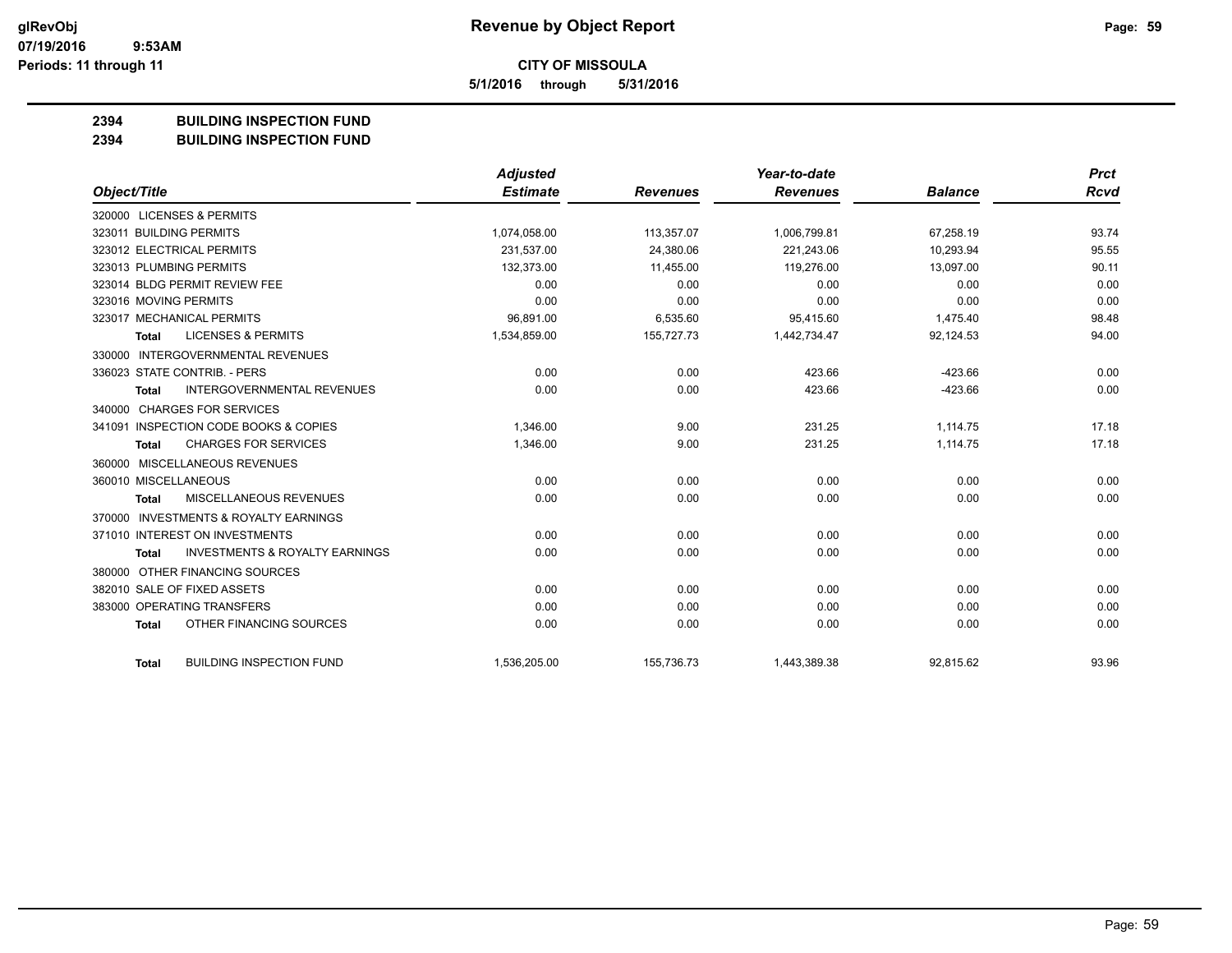**5/1/2016 through 5/31/2016**

#### **2394 BUILDING INSPECTION FUND**

**2394 BUILDING INSPECTION FUND**

|                         |                                           | <b>Adjusted</b> |                 | Year-to-date    |                | <b>Prct</b> |
|-------------------------|-------------------------------------------|-----------------|-----------------|-----------------|----------------|-------------|
| Object/Title            |                                           | <b>Estimate</b> | <b>Revenues</b> | <b>Revenues</b> | <b>Balance</b> | <b>Rcvd</b> |
|                         | 320000 LICENSES & PERMITS                 |                 |                 |                 |                |             |
| 323011 BUILDING PERMITS |                                           | 1,074,058.00    | 113,357.07      | 1,006,799.81    | 67,258.19      | 93.74       |
|                         | 323012 ELECTRICAL PERMITS                 | 231.537.00      | 24.380.06       | 221.243.06      | 10.293.94      | 95.55       |
| 323013 PLUMBING PERMITS |                                           | 132,373.00      | 11.455.00       | 119.276.00      | 13,097.00      | 90.11       |
|                         | 323014 BLDG PERMIT REVIEW FEE             | 0.00            | 0.00            | 0.00            | 0.00           | 0.00        |
| 323016 MOVING PERMITS   |                                           | 0.00            | 0.00            | 0.00            | 0.00           | 0.00        |
|                         | 323017 MECHANICAL PERMITS                 | 96,891.00       | 6,535.60        | 95.415.60       | 1,475.40       | 98.48       |
| Total                   | <b>LICENSES &amp; PERMITS</b>             | 1,534,859.00    | 155,727.73      | 1,442,734.47    | 92,124.53      | 94.00       |
| 330000                  | INTERGOVERNMENTAL REVENUES                |                 |                 |                 |                |             |
|                         | 336023 STATE CONTRIB. - PERS              | 0.00            | 0.00            | 423.66          | $-423.66$      | 0.00        |
| Total                   | <b>INTERGOVERNMENTAL REVENUES</b>         | 0.00            | 0.00            | 423.66          | $-423.66$      | 0.00        |
|                         | 340000 CHARGES FOR SERVICES               |                 |                 |                 |                |             |
|                         | 341091 INSPECTION CODE BOOKS & COPIES     | 1,346.00        | 9.00            | 231.25          | 1,114.75       | 17.18       |
| Total                   | <b>CHARGES FOR SERVICES</b>               | 1,346.00        | 9.00            | 231.25          | 1,114.75       | 17.18       |
| 360000                  | MISCELLANEOUS REVENUES                    |                 |                 |                 |                |             |
| 360010 MISCELLANEOUS    |                                           | 0.00            | 0.00            | 0.00            | 0.00           | 0.00        |
| <b>Total</b>            | <b>MISCELLANEOUS REVENUES</b>             | 0.00            | 0.00            | 0.00            | 0.00           | 0.00        |
| 370000                  | <b>INVESTMENTS &amp; ROYALTY EARNINGS</b> |                 |                 |                 |                |             |
|                         | 371010 INTEREST ON INVESTMENTS            | 0.00            | 0.00            | 0.00            | 0.00           | 0.00        |
| <b>Total</b>            | <b>INVESTMENTS &amp; ROYALTY EARNINGS</b> | 0.00            | 0.00            | 0.00            | 0.00           | 0.00        |
| 380000                  | OTHER FINANCING SOURCES                   |                 |                 |                 |                |             |
|                         | 382010 SALE OF FIXED ASSETS               | 0.00            | 0.00            | 0.00            | 0.00           | 0.00        |
|                         | 383000 OPERATING TRANSFERS                | 0.00            | 0.00            | 0.00            | 0.00           | 0.00        |
| <b>Total</b>            | OTHER FINANCING SOURCES                   | 0.00            | 0.00            | 0.00            | 0.00           | 0.00        |
| <b>Total</b>            | <b>BUILDING INSPECTION FUND</b>           | 1,536,205.00    | 155,736.73      | 1,443,389.38    | 92,815.62      | 93.96       |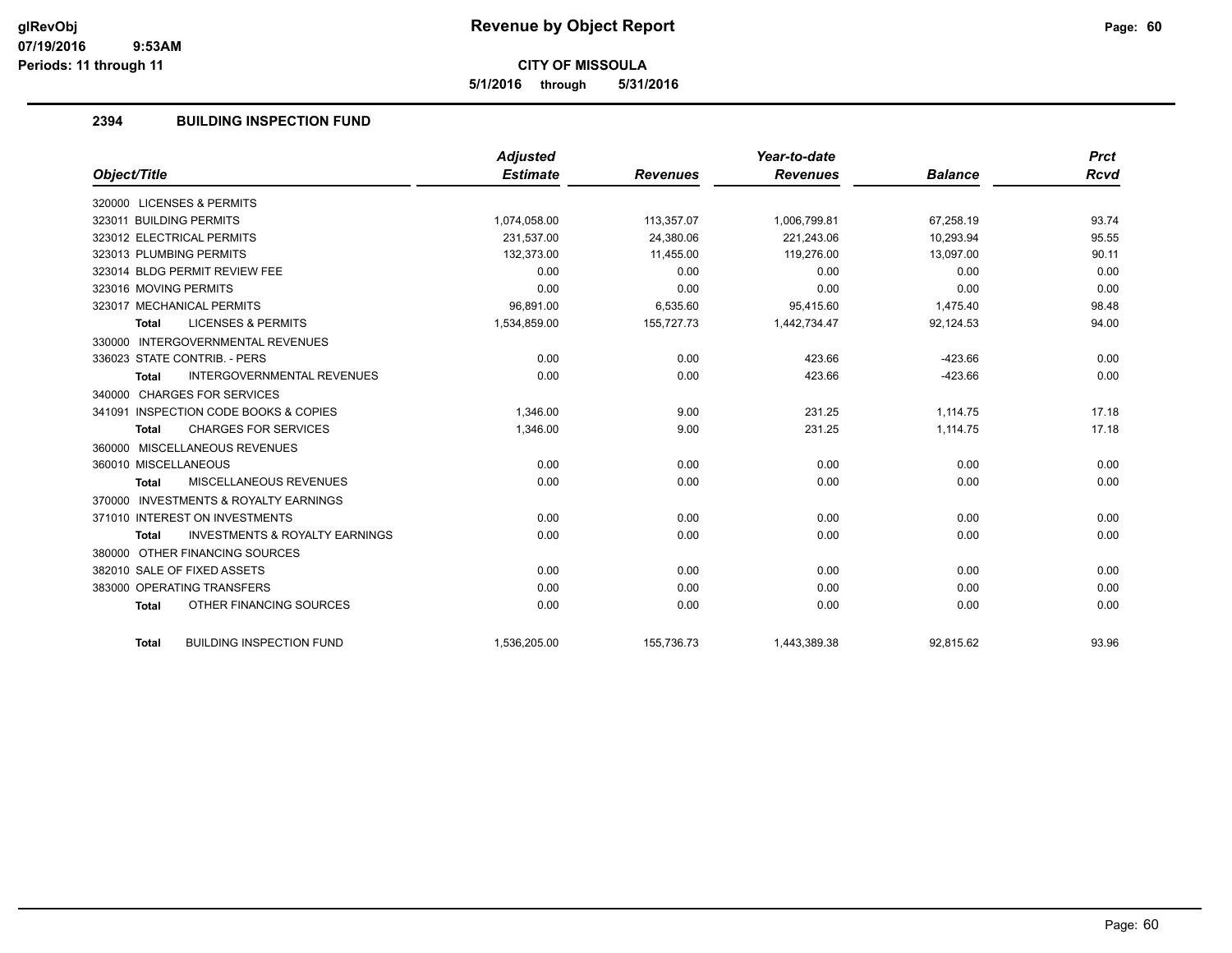**5/1/2016 through 5/31/2016**

# **2394 BUILDING INSPECTION FUND**

|                                                           | <b>Adjusted</b> |                 | Year-to-date    |                | <b>Prct</b> |
|-----------------------------------------------------------|-----------------|-----------------|-----------------|----------------|-------------|
| Object/Title                                              | <b>Estimate</b> | <b>Revenues</b> | <b>Revenues</b> | <b>Balance</b> | <b>Rcvd</b> |
| 320000 LICENSES & PERMITS                                 |                 |                 |                 |                |             |
| 323011 BUILDING PERMITS                                   | 1,074,058.00    | 113,357.07      | 1,006,799.81    | 67.258.19      | 93.74       |
| 323012 ELECTRICAL PERMITS                                 | 231.537.00      | 24.380.06       | 221.243.06      | 10.293.94      | 95.55       |
| 323013 PLUMBING PERMITS                                   | 132,373.00      | 11,455.00       | 119,276.00      | 13,097.00      | 90.11       |
| 323014 BLDG PERMIT REVIEW FEE                             | 0.00            | 0.00            | 0.00            | 0.00           | 0.00        |
| 323016 MOVING PERMITS                                     | 0.00            | 0.00            | 0.00            | 0.00           | 0.00        |
| 323017 MECHANICAL PERMITS                                 | 96,891.00       | 6,535.60        | 95,415.60       | 1,475.40       | 98.48       |
| <b>LICENSES &amp; PERMITS</b><br><b>Total</b>             | 1,534,859.00    | 155,727.73      | 1,442,734.47    | 92,124.53      | 94.00       |
| 330000 INTERGOVERNMENTAL REVENUES                         |                 |                 |                 |                |             |
| 336023 STATE CONTRIB. - PERS                              | 0.00            | 0.00            | 423.66          | $-423.66$      | 0.00        |
| <b>INTERGOVERNMENTAL REVENUES</b><br><b>Total</b>         | 0.00            | 0.00            | 423.66          | $-423.66$      | 0.00        |
| 340000 CHARGES FOR SERVICES                               |                 |                 |                 |                |             |
| 341091 INSPECTION CODE BOOKS & COPIES                     | 1,346.00        | 9.00            | 231.25          | 1,114.75       | 17.18       |
| <b>CHARGES FOR SERVICES</b><br><b>Total</b>               | 1,346.00        | 9.00            | 231.25          | 1,114.75       | 17.18       |
| 360000 MISCELLANEOUS REVENUES                             |                 |                 |                 |                |             |
| 360010 MISCELLANEOUS                                      | 0.00            | 0.00            | 0.00            | 0.00           | 0.00        |
| MISCELLANEOUS REVENUES<br><b>Total</b>                    | 0.00            | 0.00            | 0.00            | 0.00           | 0.00        |
| 370000 INVESTMENTS & ROYALTY EARNINGS                     |                 |                 |                 |                |             |
| 371010 INTEREST ON INVESTMENTS                            | 0.00            | 0.00            | 0.00            | 0.00           | 0.00        |
| <b>INVESTMENTS &amp; ROYALTY EARNINGS</b><br><b>Total</b> | 0.00            | 0.00            | 0.00            | 0.00           | 0.00        |
| 380000 OTHER FINANCING SOURCES                            |                 |                 |                 |                |             |
| 382010 SALE OF FIXED ASSETS                               | 0.00            | 0.00            | 0.00            | 0.00           | 0.00        |
| 383000 OPERATING TRANSFERS                                | 0.00            | 0.00            | 0.00            | 0.00           | 0.00        |
| OTHER FINANCING SOURCES<br><b>Total</b>                   | 0.00            | 0.00            | 0.00            | 0.00           | 0.00        |
| <b>BUILDING INSPECTION FUND</b><br><b>Total</b>           | 1,536,205.00    | 155,736.73      | 1,443,389.38    | 92,815.62      | 93.96       |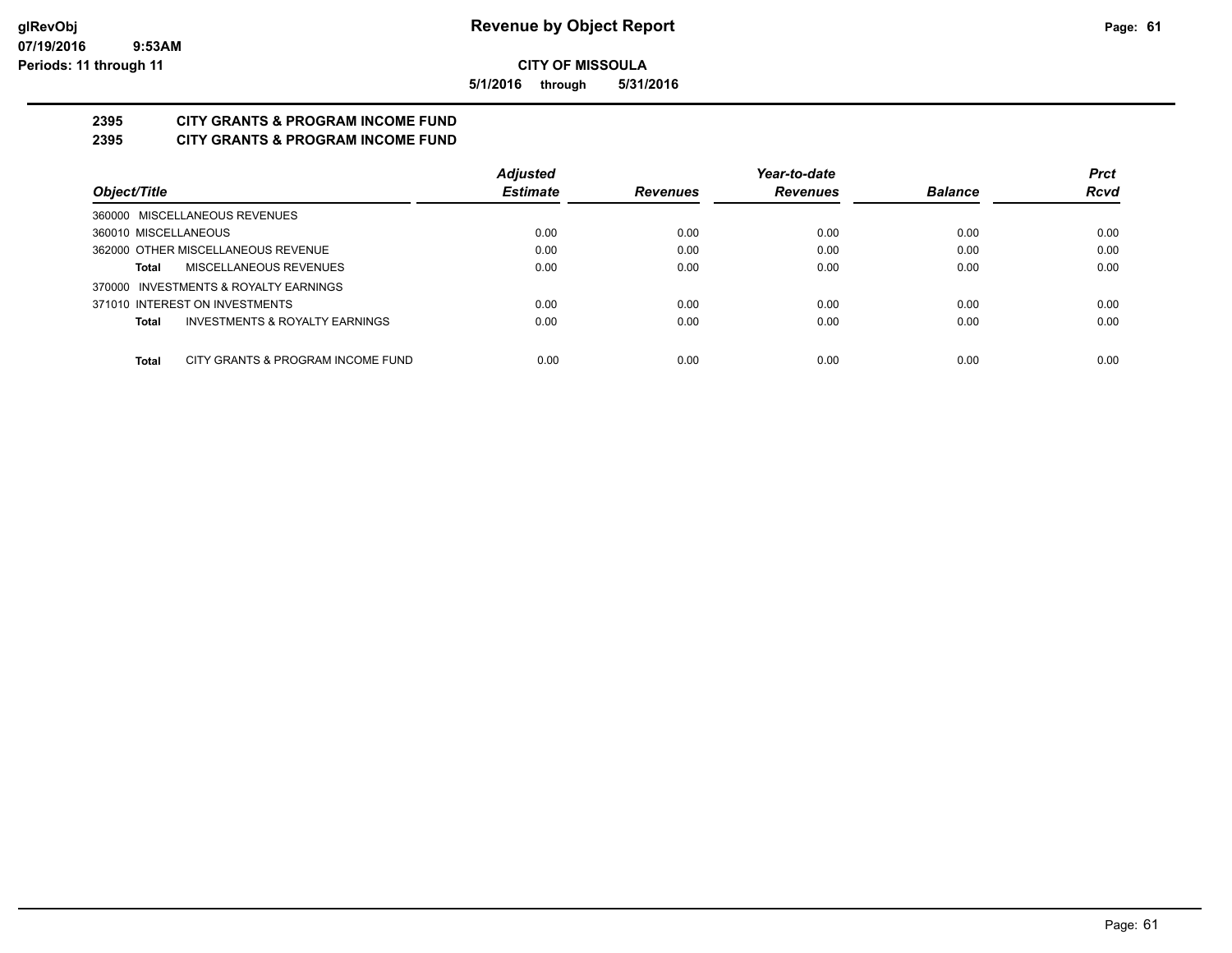**5/1/2016 through 5/31/2016**

# **2395 CITY GRANTS & PROGRAM INCOME FUND**

**2395 CITY GRANTS & PROGRAM INCOME FUND**

|                                            | <b>Adjusted</b> |                 | Year-to-date    |                | <b>Prct</b> |
|--------------------------------------------|-----------------|-----------------|-----------------|----------------|-------------|
| Object/Title                               | <b>Estimate</b> | <b>Revenues</b> | <b>Revenues</b> | <b>Balance</b> | <b>Rcvd</b> |
| 360000 MISCELLANEOUS REVENUES              |                 |                 |                 |                |             |
| 360010 MISCELLANEOUS                       | 0.00            | 0.00            | 0.00            | 0.00           | 0.00        |
| 362000 OTHER MISCELLANEOUS REVENUE         | 0.00            | 0.00            | 0.00            | 0.00           | 0.00        |
| MISCELLANEOUS REVENUES<br>Total            | 0.00            | 0.00            | 0.00            | 0.00           | 0.00        |
| 370000 INVESTMENTS & ROYALTY EARNINGS      |                 |                 |                 |                |             |
| 371010 INTEREST ON INVESTMENTS             | 0.00            | 0.00            | 0.00            | 0.00           | 0.00        |
| INVESTMENTS & ROYALTY EARNINGS<br>Total    | 0.00            | 0.00            | 0.00            | 0.00           | 0.00        |
|                                            |                 |                 |                 |                |             |
| CITY GRANTS & PROGRAM INCOME FUND<br>Total | 0.00            | 0.00            | 0.00            | 0.00           | 0.00        |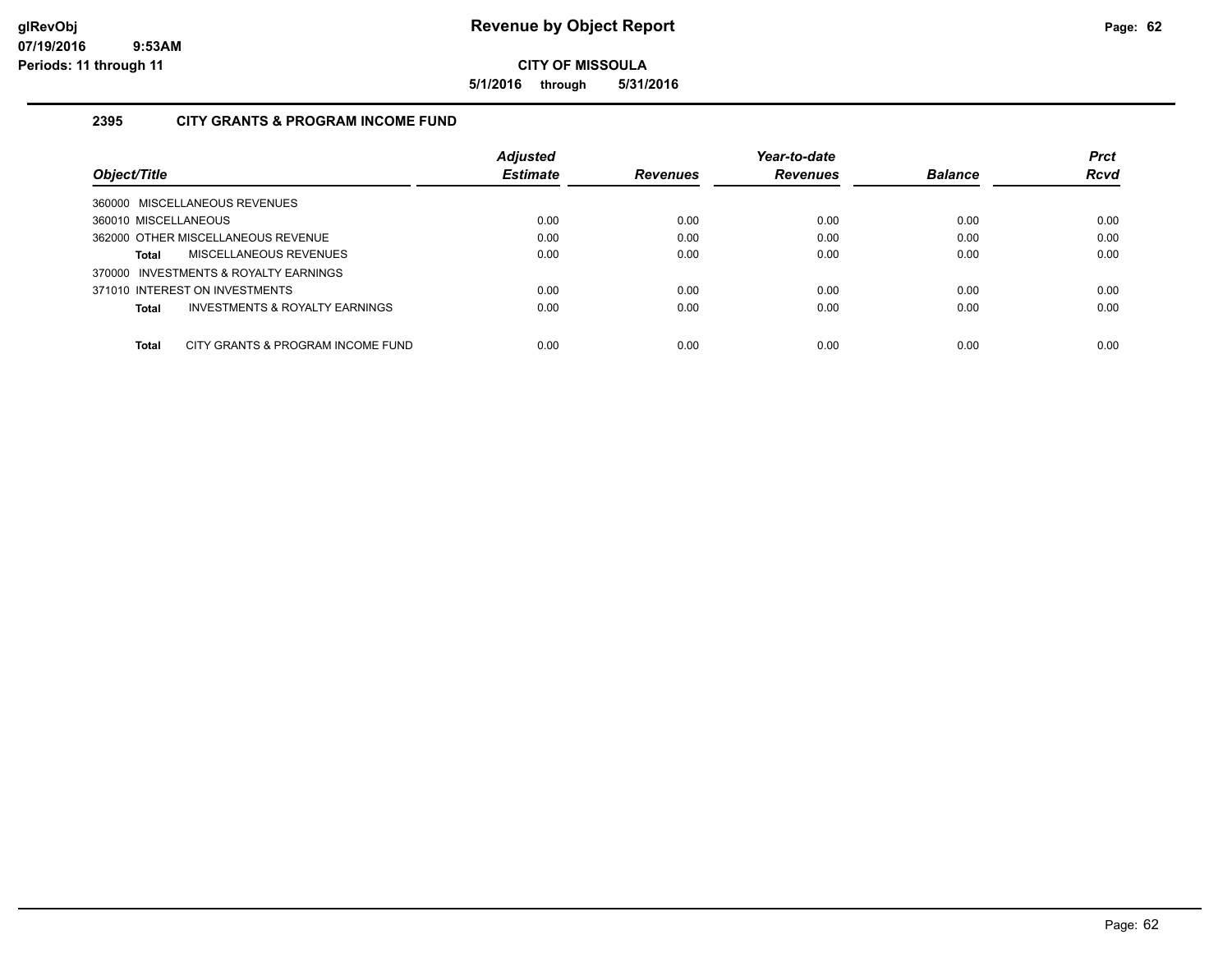**5/1/2016 through 5/31/2016**

# **2395 CITY GRANTS & PROGRAM INCOME FUND**

|                                                    | <b>Adjusted</b> |                 | Year-to-date    |                | <b>Prct</b> |
|----------------------------------------------------|-----------------|-----------------|-----------------|----------------|-------------|
| Object/Title                                       | <b>Estimate</b> | <b>Revenues</b> | <b>Revenues</b> | <b>Balance</b> | <b>Rcvd</b> |
| 360000 MISCELLANEOUS REVENUES                      |                 |                 |                 |                |             |
| 360010 MISCELLANEOUS                               | 0.00            | 0.00            | 0.00            | 0.00           | 0.00        |
| 362000 OTHER MISCELLANEOUS REVENUE                 | 0.00            | 0.00            | 0.00            | 0.00           | 0.00        |
| MISCELLANEOUS REVENUES<br>Total                    | 0.00            | 0.00            | 0.00            | 0.00           | 0.00        |
| 370000 INVESTMENTS & ROYALTY EARNINGS              |                 |                 |                 |                |             |
| 371010 INTEREST ON INVESTMENTS                     | 0.00            | 0.00            | 0.00            | 0.00           | 0.00        |
| <b>INVESTMENTS &amp; ROYALTY EARNINGS</b><br>Total | 0.00            | 0.00            | 0.00            | 0.00           | 0.00        |
| Total<br>CITY GRANTS & PROGRAM INCOME FUND         | 0.00            | 0.00            | 0.00            | 0.00           | 0.00        |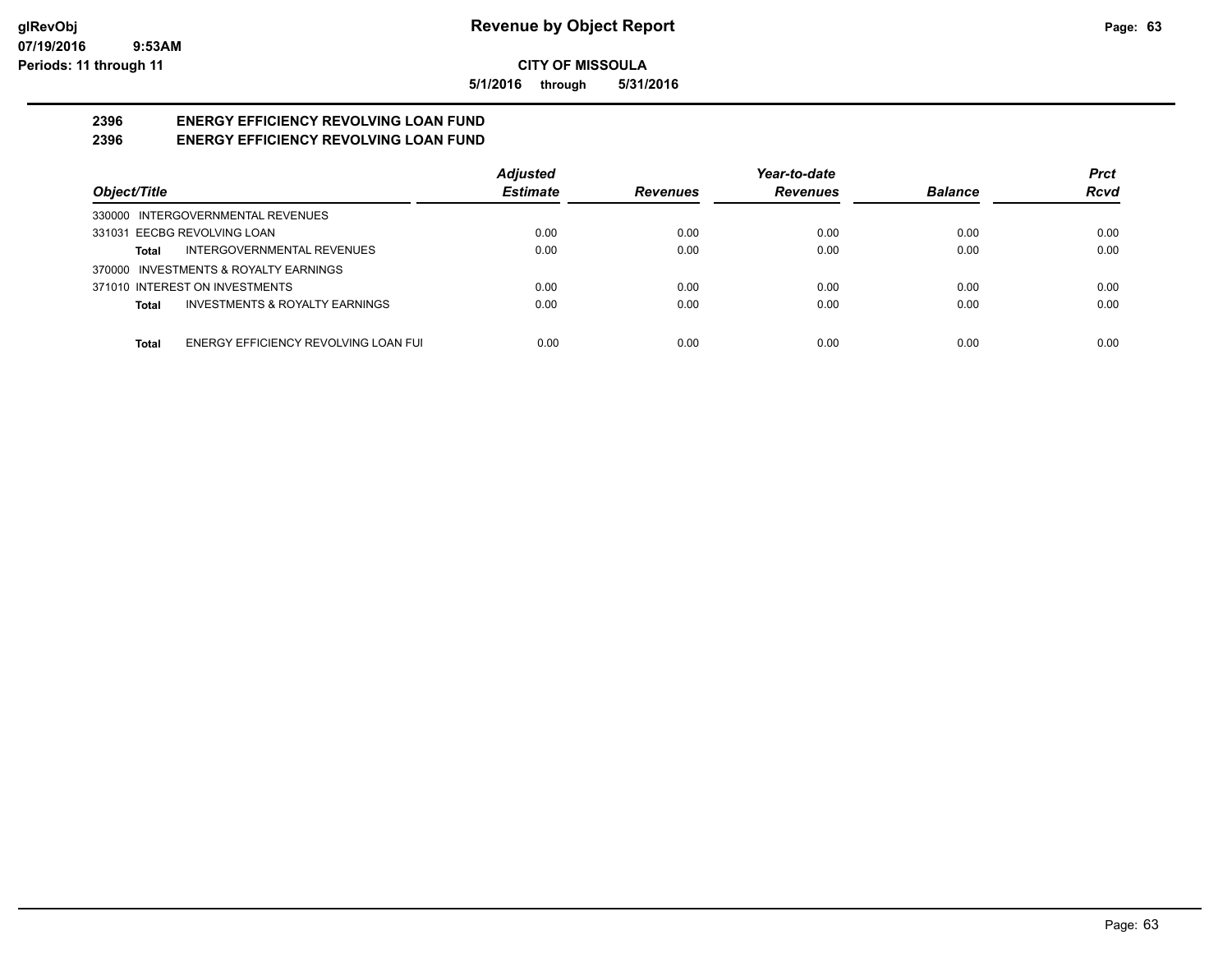**5/1/2016 through 5/31/2016**

#### **2396 ENERGY EFFICIENCY REVOLVING LOAN FUND 2396 ENERGY EFFICIENCY REVOLVING LOAN FUND**

|                                                      | <b>Adjusted</b> |                 | Year-to-date    |                | <b>Prct</b> |
|------------------------------------------------------|-----------------|-----------------|-----------------|----------------|-------------|
| Object/Title                                         | <b>Estimate</b> | <b>Revenues</b> | <b>Revenues</b> | <b>Balance</b> | <b>Rcvd</b> |
| 330000 INTERGOVERNMENTAL REVENUES                    |                 |                 |                 |                |             |
| 331031 EECBG REVOLVING LOAN                          | 0.00            | 0.00            | 0.00            | 0.00           | 0.00        |
| INTERGOVERNMENTAL REVENUES<br>Total                  | 0.00            | 0.00            | 0.00            | 0.00           | 0.00        |
| 370000 INVESTMENTS & ROYALTY EARNINGS                |                 |                 |                 |                |             |
| 371010 INTEREST ON INVESTMENTS                       | 0.00            | 0.00            | 0.00            | 0.00           | 0.00        |
| <b>INVESTMENTS &amp; ROYALTY EARNINGS</b><br>Total   | 0.00            | 0.00            | 0.00            | 0.00           | 0.00        |
| ENERGY EFFICIENCY REVOLVING LOAN FUI<br><b>Total</b> | 0.00            | 0.00            | 0.00            | 0.00           | 0.00        |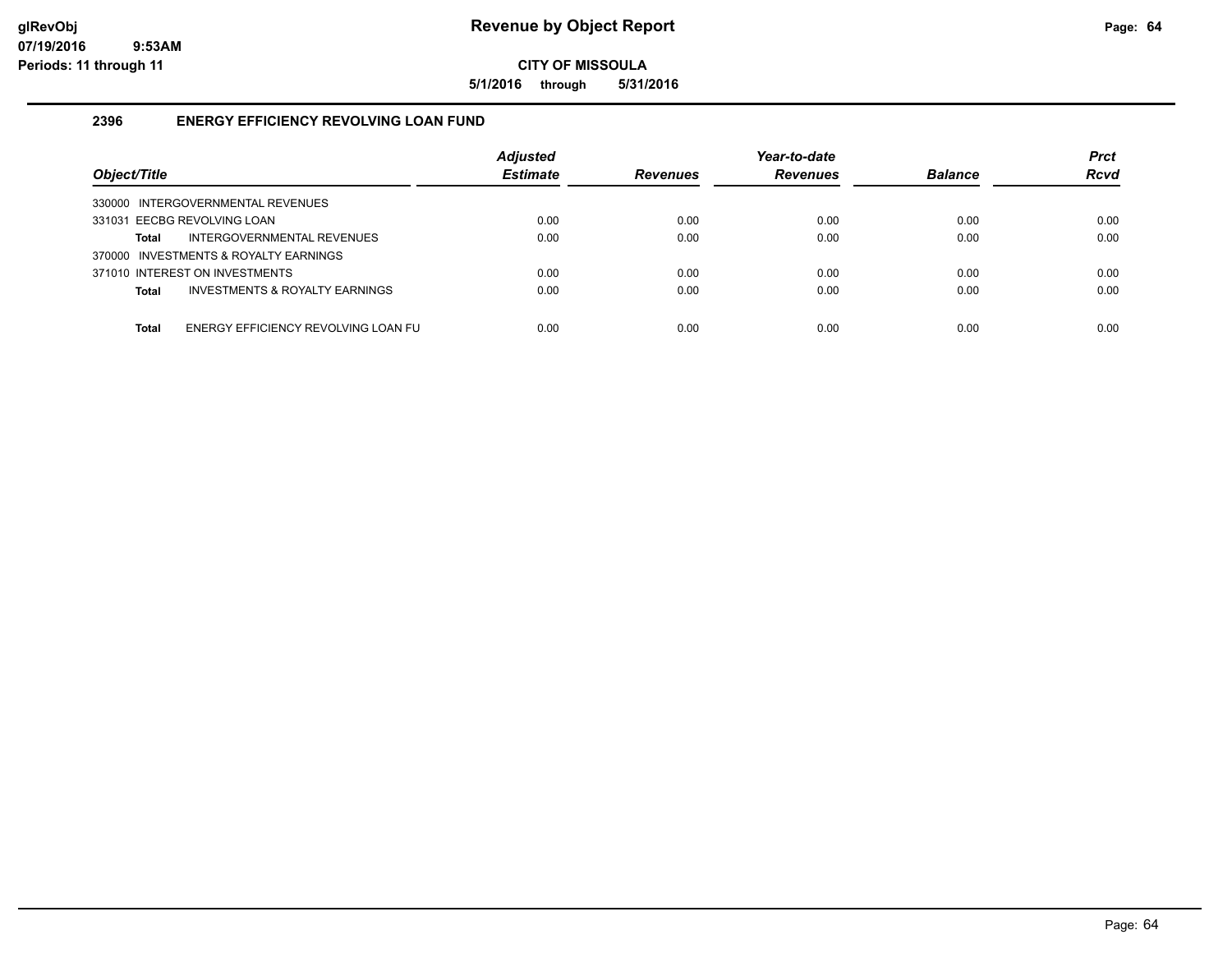**5/1/2016 through 5/31/2016**

# **2396 ENERGY EFFICIENCY REVOLVING LOAN FUND**

| Object/Title                                        | <b>Adjusted</b><br><b>Estimate</b> | <b>Revenues</b> | Year-to-date<br><b>Revenues</b> | <b>Balance</b> | <b>Prct</b><br><b>Rcvd</b> |
|-----------------------------------------------------|------------------------------------|-----------------|---------------------------------|----------------|----------------------------|
| 330000 INTERGOVERNMENTAL REVENUES                   |                                    |                 |                                 |                |                            |
| 331031 EECBG REVOLVING LOAN                         | 0.00                               | 0.00            | 0.00                            | 0.00           | 0.00                       |
| INTERGOVERNMENTAL REVENUES<br>Total                 | 0.00                               | 0.00            | 0.00                            | 0.00           | 0.00                       |
| 370000 INVESTMENTS & ROYALTY EARNINGS               |                                    |                 |                                 |                |                            |
| 371010 INTEREST ON INVESTMENTS                      | 0.00                               | 0.00            | 0.00                            | 0.00           | 0.00                       |
| <b>INVESTMENTS &amp; ROYALTY EARNINGS</b><br>Total  | 0.00                               | 0.00            | 0.00                            | 0.00           | 0.00                       |
|                                                     |                                    |                 |                                 |                |                            |
| ENERGY EFFICIENCY REVOLVING LOAN FU<br><b>Total</b> | 0.00                               | 0.00            | 0.00                            | 0.00           | 0.00                       |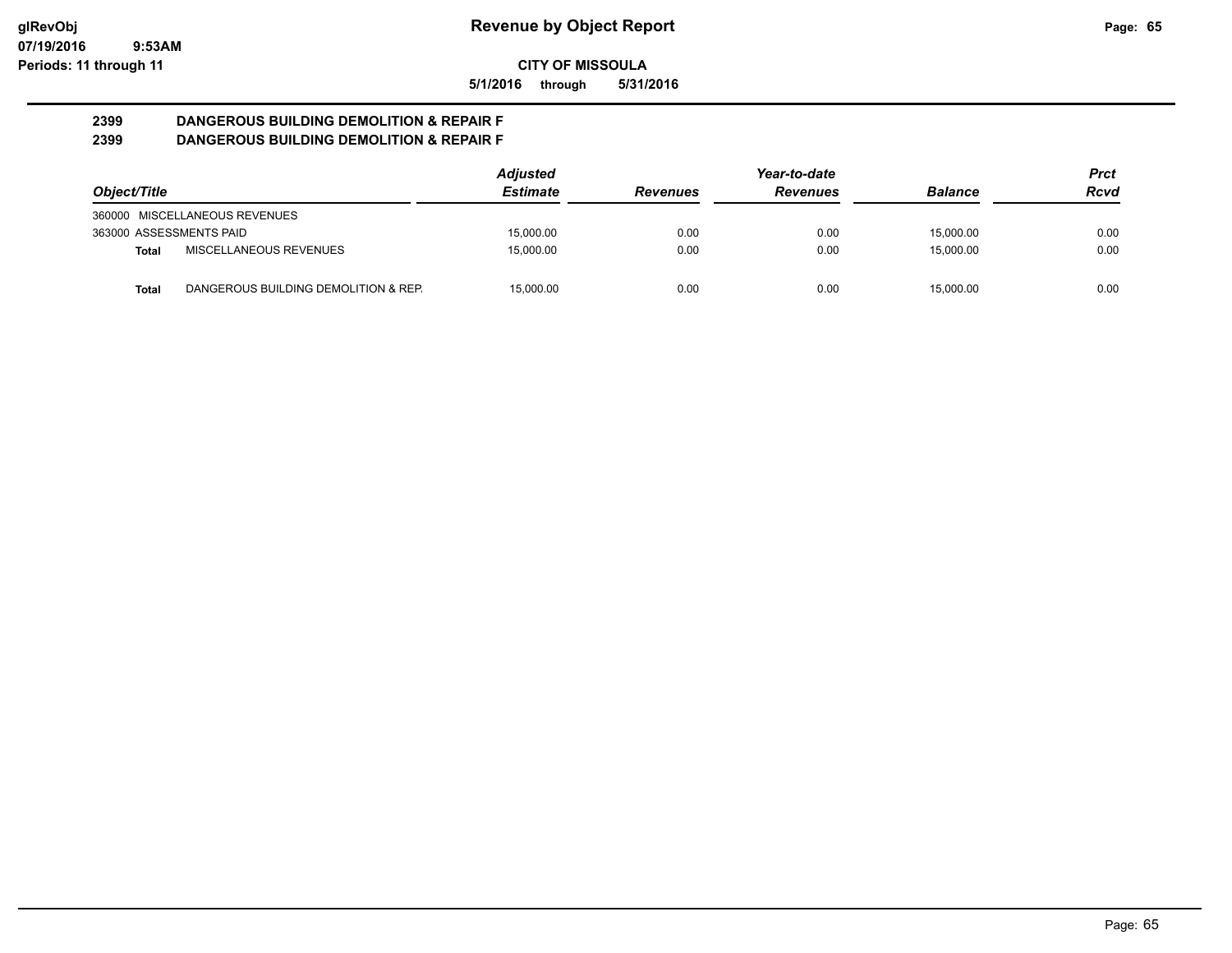**5/1/2016 through 5/31/2016**

#### **2399 DANGEROUS BUILDING DEMOLITION & REPAIR F 2399 DANGEROUS BUILDING DEMOLITION & REPAIR F**

|                         |                                      | <b>Adjusted</b> |                 | Year-to-date    |                | Prct |
|-------------------------|--------------------------------------|-----------------|-----------------|-----------------|----------------|------|
| Object/Title            |                                      | <b>Estimate</b> | <b>Revenues</b> | <b>Revenues</b> | <b>Balance</b> | Rcvd |
|                         | 360000 MISCELLANEOUS REVENUES        |                 |                 |                 |                |      |
| 363000 ASSESSMENTS PAID |                                      | 15,000.00       | 0.00            | 0.00            | 15.000.00      | 0.00 |
| Total                   | MISCELLANEOUS REVENUES               | 15.000.00       | 0.00            | 0.00            | 15.000.00      | 0.00 |
| <b>Total</b>            | DANGEROUS BUILDING DEMOLITION & REP. | 15.000.00       | 0.00            | 0.00            | 15.000.00      | 0.00 |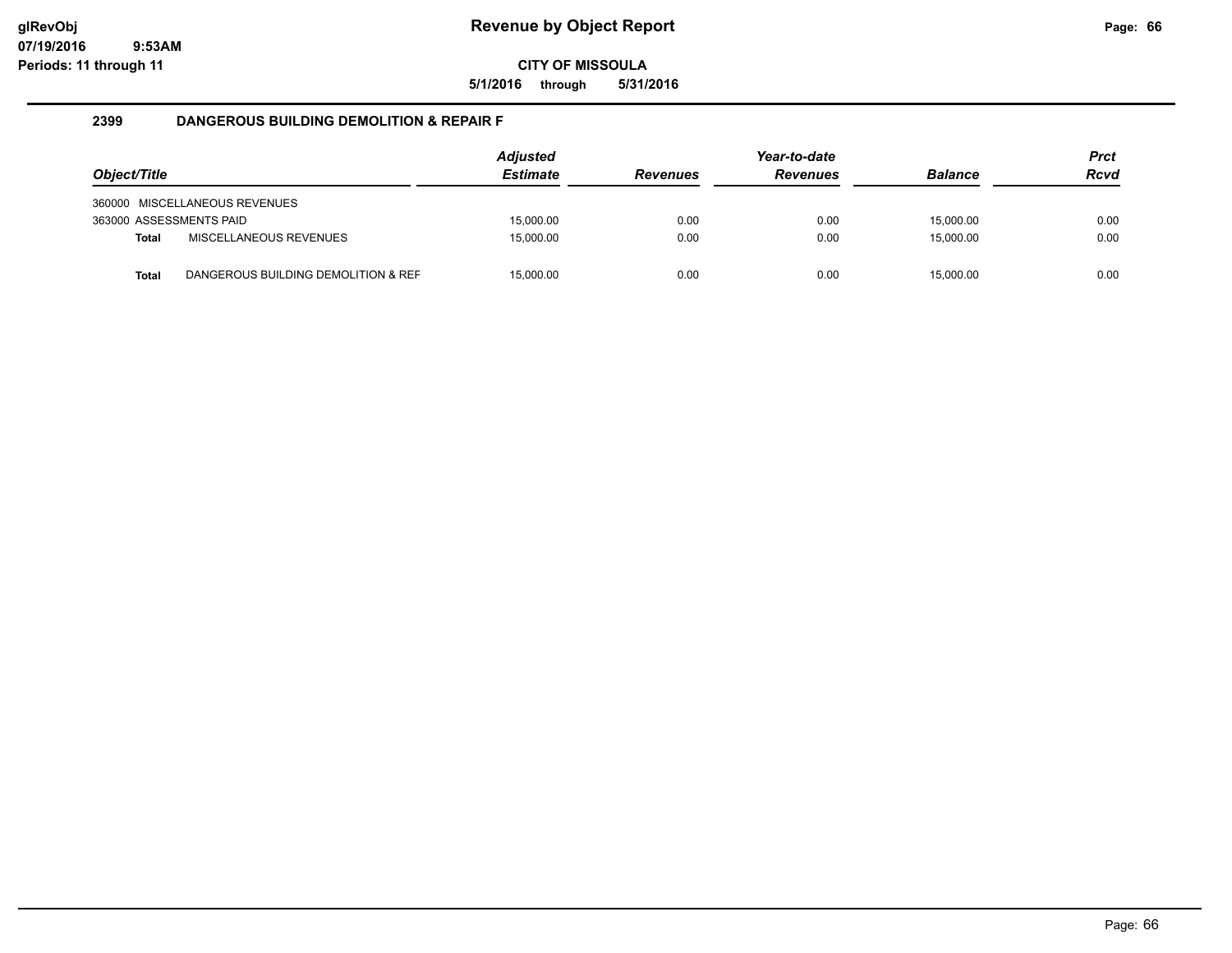**5/1/2016 through 5/31/2016**

### **2399 DANGEROUS BUILDING DEMOLITION & REPAIR F**

| Object/Title            |                                     | Adjusted<br><b>Estimate</b> | <b>Revenues</b> | Year-to-date<br><b>Revenues</b> | <b>Balance</b> | <b>Prct</b><br><b>Rcvd</b> |
|-------------------------|-------------------------------------|-----------------------------|-----------------|---------------------------------|----------------|----------------------------|
|                         | 360000 MISCELLANEOUS REVENUES       |                             |                 |                                 |                |                            |
| 363000 ASSESSMENTS PAID |                                     | 15.000.00                   | 0.00            | 0.00                            | 15.000.00      | 0.00                       |
| <b>Total</b>            | MISCELLANEOUS REVENUES              | 15.000.00                   | 0.00            | 0.00                            | 15.000.00      | 0.00                       |
| <b>Total</b>            | DANGEROUS BUILDING DEMOLITION & REF | 15,000.00                   | 0.00            | 0.00                            | 15,000.00      | 0.00                       |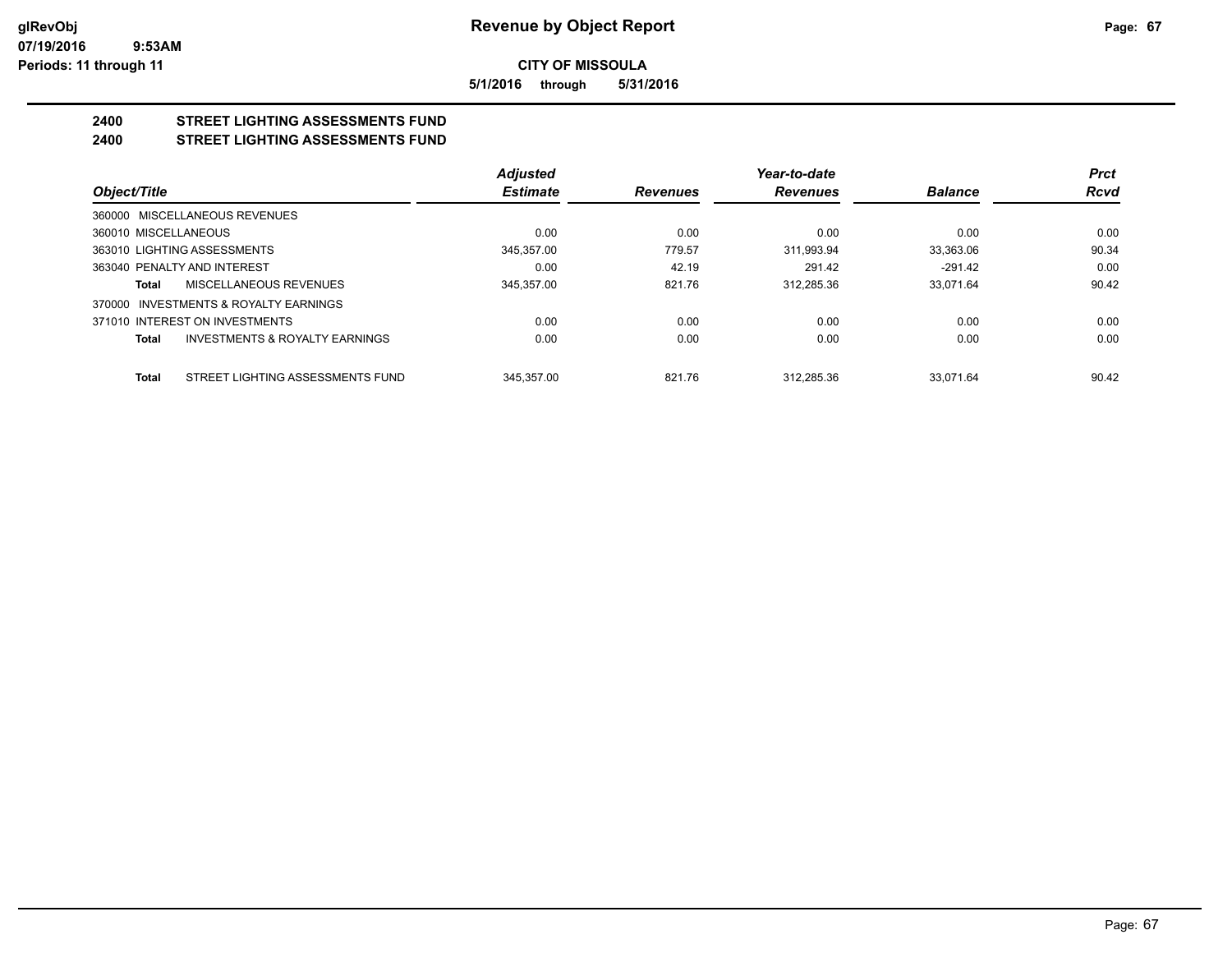**5/1/2016 through 5/31/2016**

#### **2400 STREET LIGHTING ASSESSMENTS FUND 2400 STREET LIGHTING ASSESSMENTS FUND**

|                                                    | <b>Adjusted</b> |                 | Year-to-date    |                | Prct  |
|----------------------------------------------------|-----------------|-----------------|-----------------|----------------|-------|
| Object/Title                                       | <b>Estimate</b> | <b>Revenues</b> | <b>Revenues</b> | <b>Balance</b> | Rcvd  |
| 360000 MISCELLANEOUS REVENUES                      |                 |                 |                 |                |       |
| 360010 MISCELLANEOUS                               | 0.00            | 0.00            | 0.00            | 0.00           | 0.00  |
| 363010 LIGHTING ASSESSMENTS                        | 345.357.00      | 779.57          | 311.993.94      | 33.363.06      | 90.34 |
| 363040 PENALTY AND INTEREST                        | 0.00            | 42.19           | 291.42          | $-291.42$      | 0.00  |
| MISCELLANEOUS REVENUES<br>Total                    | 345,357.00      | 821.76          | 312.285.36      | 33.071.64      | 90.42 |
| 370000 INVESTMENTS & ROYALTY EARNINGS              |                 |                 |                 |                |       |
| 371010 INTEREST ON INVESTMENTS                     | 0.00            | 0.00            | 0.00            | 0.00           | 0.00  |
| <b>INVESTMENTS &amp; ROYALTY EARNINGS</b><br>Total | 0.00            | 0.00            | 0.00            | 0.00           | 0.00  |
| STREET LIGHTING ASSESSMENTS FUND<br>Total          | 345.357.00      | 821.76          | 312.285.36      | 33.071.64      | 90.42 |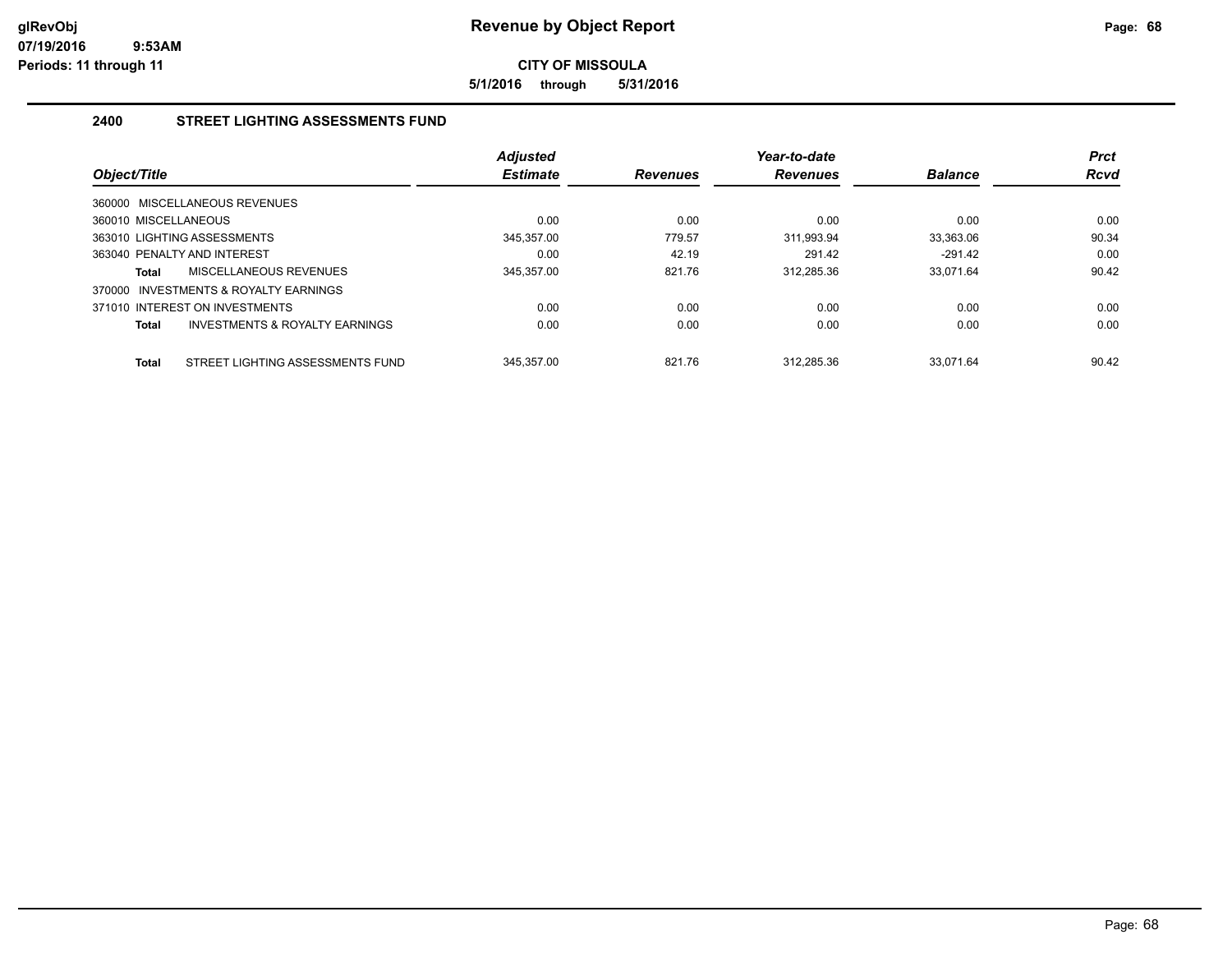**5/1/2016 through 5/31/2016**

# **2400 STREET LIGHTING ASSESSMENTS FUND**

|                             |                                           | <b>Adjusted</b> |                 | Year-to-date    |                | <b>Prct</b> |
|-----------------------------|-------------------------------------------|-----------------|-----------------|-----------------|----------------|-------------|
| Object/Title                |                                           | <b>Estimate</b> | <b>Revenues</b> | <b>Revenues</b> | <b>Balance</b> | <b>Rcvd</b> |
|                             | 360000 MISCELLANEOUS REVENUES             |                 |                 |                 |                |             |
| 360010 MISCELLANEOUS        |                                           | 0.00            | 0.00            | 0.00            | 0.00           | 0.00        |
|                             | 363010 LIGHTING ASSESSMENTS               | 345.357.00      | 779.57          | 311.993.94      | 33.363.06      | 90.34       |
| 363040 PENALTY AND INTEREST |                                           | 0.00            | 42.19           | 291.42          | $-291.42$      | 0.00        |
| Total                       | <b>MISCELLANEOUS REVENUES</b>             | 345,357.00      | 821.76          | 312.285.36      | 33.071.64      | 90.42       |
|                             | 370000 INVESTMENTS & ROYALTY EARNINGS     |                 |                 |                 |                |             |
|                             | 371010 INTEREST ON INVESTMENTS            | 0.00            | 0.00            | 0.00            | 0.00           | 0.00        |
| <b>Total</b>                | <b>INVESTMENTS &amp; ROYALTY EARNINGS</b> | 0.00            | 0.00            | 0.00            | 0.00           | 0.00        |
| <b>Total</b>                | STREET LIGHTING ASSESSMENTS FUND          | 345.357.00      | 821.76          | 312.285.36      | 33.071.64      | 90.42       |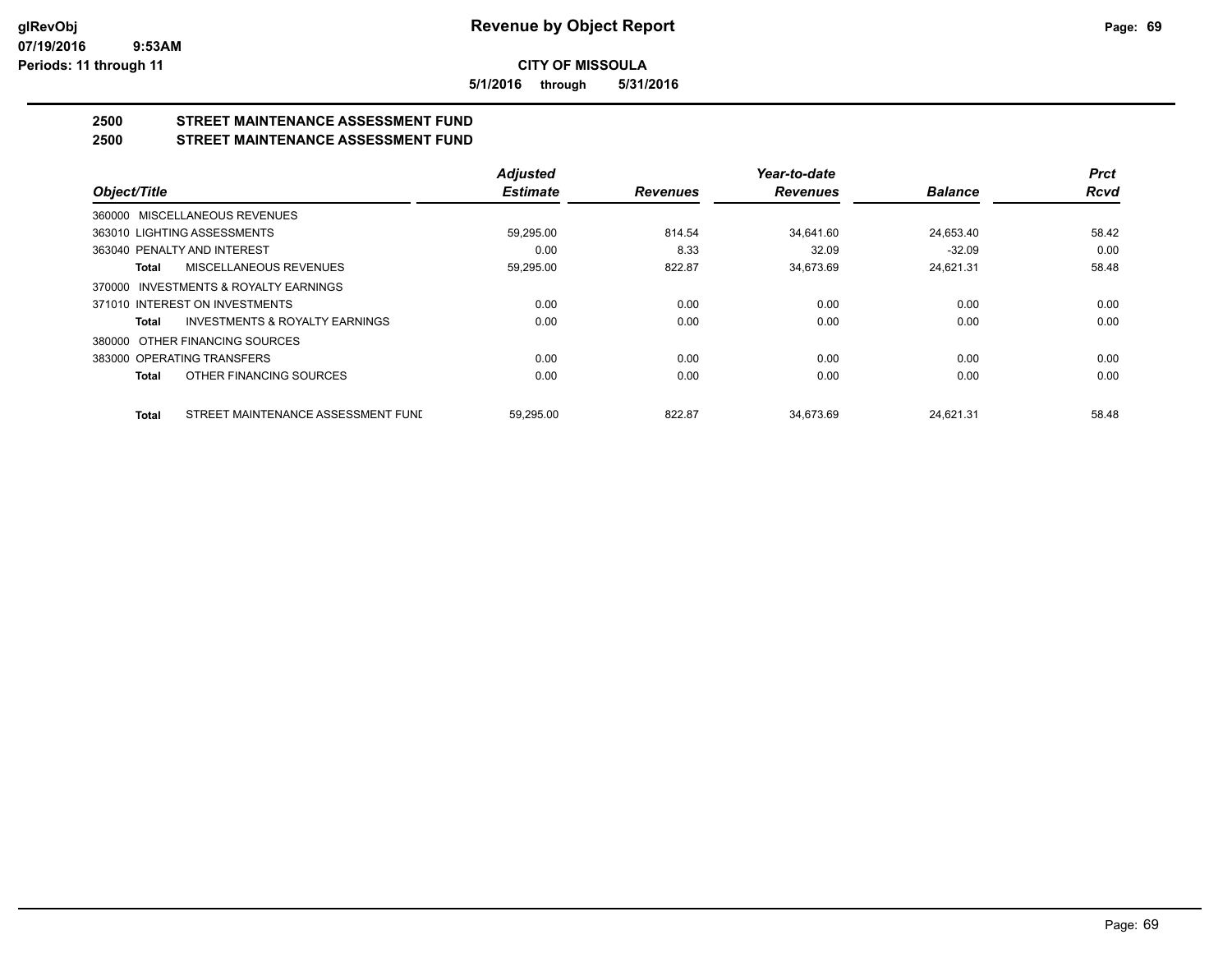**5/1/2016 through 5/31/2016**

# **2500 STREET MAINTENANCE ASSESSMENT FUND**

# **2500 STREET MAINTENANCE ASSESSMENT FUND**

|                                                    | <b>Adjusted</b> |                 | Year-to-date    |                | <b>Prct</b> |
|----------------------------------------------------|-----------------|-----------------|-----------------|----------------|-------------|
| Object/Title                                       | <b>Estimate</b> | <b>Revenues</b> | <b>Revenues</b> | <b>Balance</b> | <b>Rcvd</b> |
| 360000 MISCELLANEOUS REVENUES                      |                 |                 |                 |                |             |
| 363010 LIGHTING ASSESSMENTS                        | 59.295.00       | 814.54          | 34.641.60       | 24.653.40      | 58.42       |
| 363040 PENALTY AND INTEREST                        | 0.00            | 8.33            | 32.09           | $-32.09$       | 0.00        |
| MISCELLANEOUS REVENUES<br><b>Total</b>             | 59,295.00       | 822.87          | 34,673.69       | 24,621.31      | 58.48       |
| 370000 INVESTMENTS & ROYALTY EARNINGS              |                 |                 |                 |                |             |
| 371010 INTEREST ON INVESTMENTS                     | 0.00            | 0.00            | 0.00            | 0.00           | 0.00        |
| <b>INVESTMENTS &amp; ROYALTY EARNINGS</b><br>Total | 0.00            | 0.00            | 0.00            | 0.00           | 0.00        |
| OTHER FINANCING SOURCES<br>380000                  |                 |                 |                 |                |             |
| 383000 OPERATING TRANSFERS                         | 0.00            | 0.00            | 0.00            | 0.00           | 0.00        |
| OTHER FINANCING SOURCES<br>Total                   | 0.00            | 0.00            | 0.00            | 0.00           | 0.00        |
| STREET MAINTENANCE ASSESSMENT FUNI<br><b>Total</b> | 59.295.00       | 822.87          | 34.673.69       | 24.621.31      | 58.48       |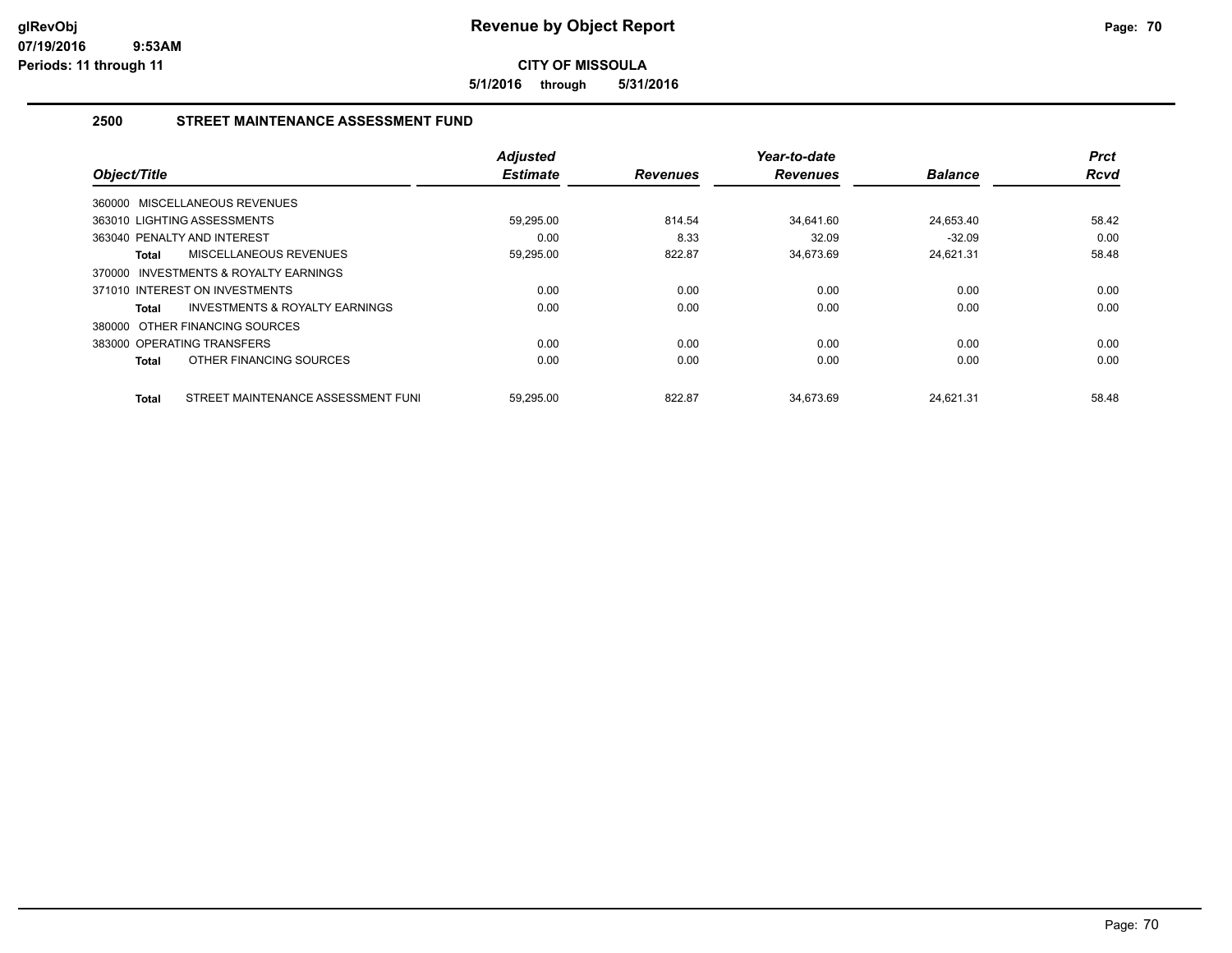**5/1/2016 through 5/31/2016**

# **2500 STREET MAINTENANCE ASSESSMENT FUND**

|                                             | <b>Adjusted</b> |                 | Year-to-date    |                | <b>Prct</b> |
|---------------------------------------------|-----------------|-----------------|-----------------|----------------|-------------|
| Object/Title                                | <b>Estimate</b> | <b>Revenues</b> | <b>Revenues</b> | <b>Balance</b> | <b>Rcvd</b> |
| 360000 MISCELLANEOUS REVENUES               |                 |                 |                 |                |             |
| 363010 LIGHTING ASSESSMENTS                 | 59,295.00       | 814.54          | 34,641.60       | 24,653.40      | 58.42       |
| 363040 PENALTY AND INTEREST                 | 0.00            | 8.33            | 32.09           | $-32.09$       | 0.00        |
| <b>MISCELLANEOUS REVENUES</b><br>Total      | 59,295.00       | 822.87          | 34,673.69       | 24,621.31      | 58.48       |
| INVESTMENTS & ROYALTY EARNINGS<br>370000    |                 |                 |                 |                |             |
| 371010 INTEREST ON INVESTMENTS              | 0.00            | 0.00            | 0.00            | 0.00           | 0.00        |
| INVESTMENTS & ROYALTY EARNINGS<br>Total     | 0.00            | 0.00            | 0.00            | 0.00           | 0.00        |
| 380000 OTHER FINANCING SOURCES              |                 |                 |                 |                |             |
| 383000 OPERATING TRANSFERS                  | 0.00            | 0.00            | 0.00            | 0.00           | 0.00        |
| OTHER FINANCING SOURCES<br>Total            | 0.00            | 0.00            | 0.00            | 0.00           | 0.00        |
| STREET MAINTENANCE ASSESSMENT FUNI<br>Total | 59,295.00       | 822.87          | 34.673.69       | 24.621.31      | 58.48       |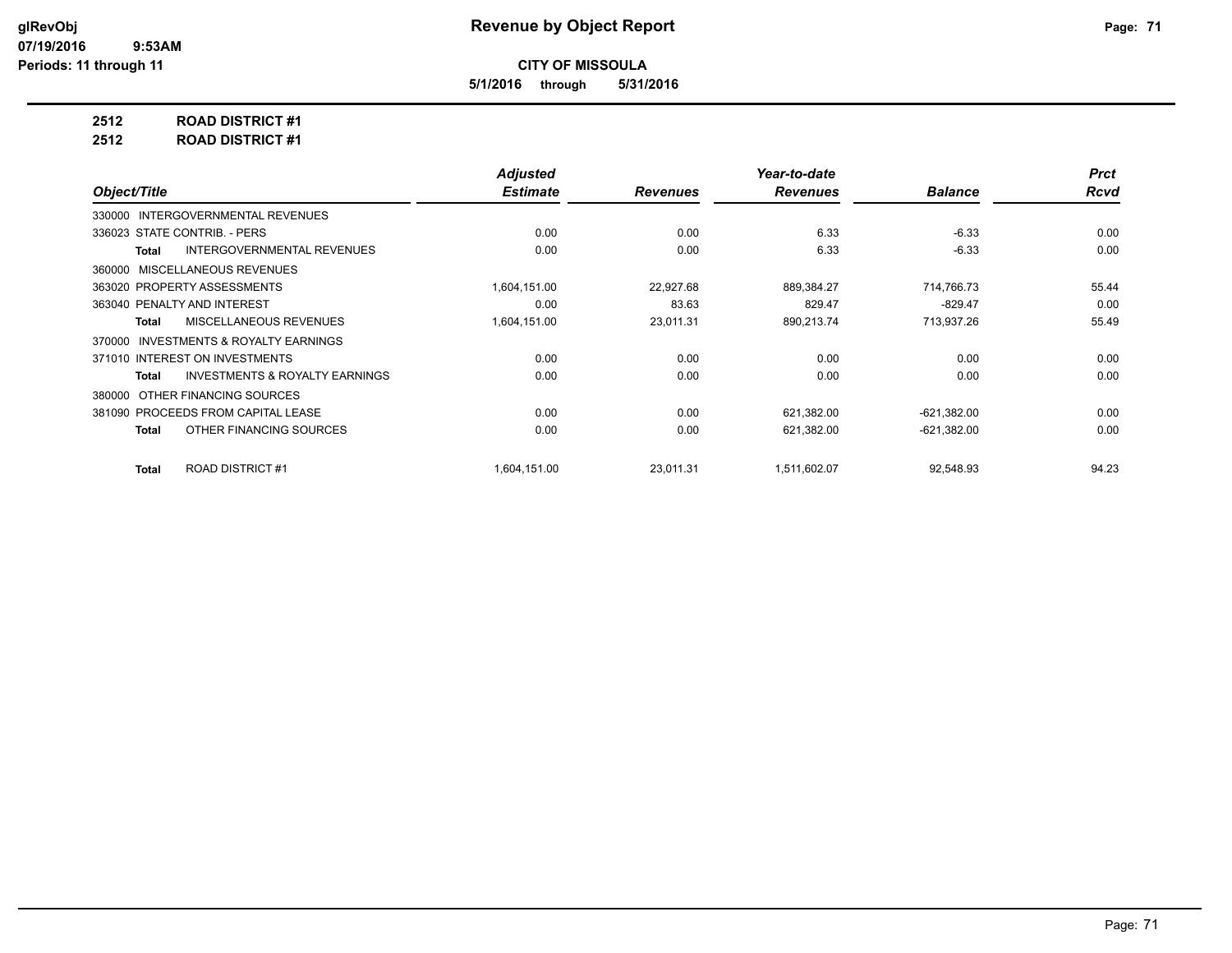**5/1/2016 through 5/31/2016**

**2512 ROAD DISTRICT #1**

**2512 ROAD DISTRICT #1**

|                                                    | <b>Adjusted</b> |                 | Year-to-date    |                | <b>Prct</b> |
|----------------------------------------------------|-----------------|-----------------|-----------------|----------------|-------------|
| Object/Title                                       | <b>Estimate</b> | <b>Revenues</b> | <b>Revenues</b> | <b>Balance</b> | <b>Rcvd</b> |
| 330000 INTERGOVERNMENTAL REVENUES                  |                 |                 |                 |                |             |
| 336023 STATE CONTRIB. - PERS                       | 0.00            | 0.00            | 6.33            | $-6.33$        | 0.00        |
| <b>INTERGOVERNMENTAL REVENUES</b><br>Total         | 0.00            | 0.00            | 6.33            | $-6.33$        | 0.00        |
| MISCELLANEOUS REVENUES<br>360000                   |                 |                 |                 |                |             |
| 363020 PROPERTY ASSESSMENTS                        | 1,604,151.00    | 22,927.68       | 889,384.27      | 714,766.73     | 55.44       |
| 363040 PENALTY AND INTEREST                        | 0.00            | 83.63           | 829.47          | $-829.47$      | 0.00        |
| <b>MISCELLANEOUS REVENUES</b><br>Total             | 1,604,151.00    | 23,011.31       | 890,213.74      | 713,937.26     | 55.49       |
| INVESTMENTS & ROYALTY EARNINGS<br>370000           |                 |                 |                 |                |             |
| 371010 INTEREST ON INVESTMENTS                     | 0.00            | 0.00            | 0.00            | 0.00           | 0.00        |
| <b>INVESTMENTS &amp; ROYALTY EARNINGS</b><br>Total | 0.00            | 0.00            | 0.00            | 0.00           | 0.00        |
| OTHER FINANCING SOURCES<br>380000                  |                 |                 |                 |                |             |
| 381090 PROCEEDS FROM CAPITAL LEASE                 | 0.00            | 0.00            | 621,382.00      | $-621,382.00$  | 0.00        |
| OTHER FINANCING SOURCES<br>Total                   | 0.00            | 0.00            | 621,382.00      | $-621,382.00$  | 0.00        |
| ROAD DISTRICT #1<br><b>Total</b>                   | 1,604,151.00    | 23.011.31       | 1,511,602.07    | 92,548.93      | 94.23       |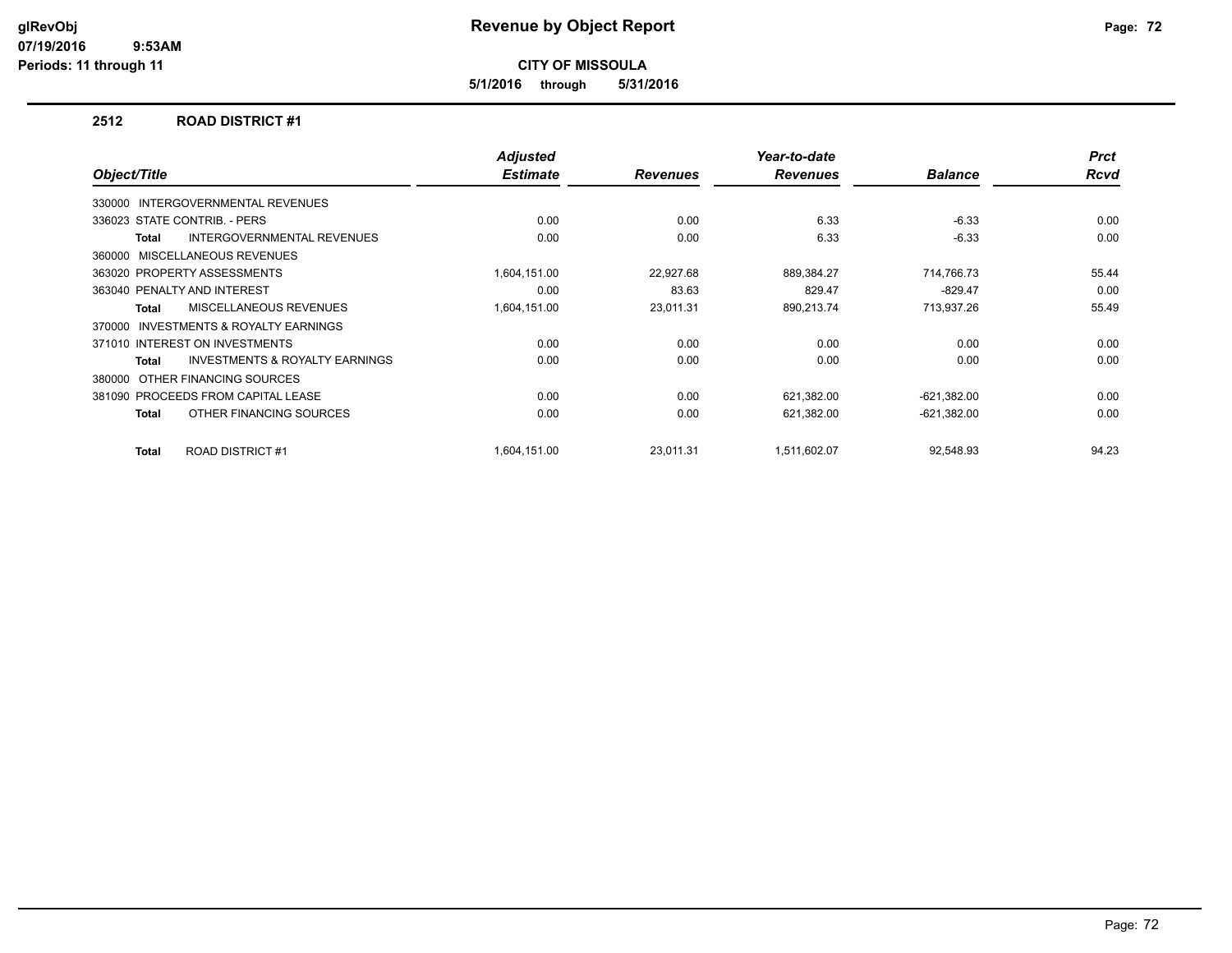**5/1/2016 through 5/31/2016**

#### **2512 ROAD DISTRICT #1**

| Object/Title                                              | <b>Adjusted</b><br><b>Estimate</b> | <b>Revenues</b> | Year-to-date<br><b>Revenues</b> | <b>Balance</b> | <b>Prct</b><br><b>Rcvd</b> |
|-----------------------------------------------------------|------------------------------------|-----------------|---------------------------------|----------------|----------------------------|
|                                                           |                                    |                 |                                 |                |                            |
| INTERGOVERNMENTAL REVENUES<br>330000                      |                                    |                 |                                 |                |                            |
| 336023 STATE CONTRIB. - PERS                              | 0.00                               | 0.00            | 6.33                            | $-6.33$        | 0.00                       |
| <b>INTERGOVERNMENTAL REVENUES</b><br><b>Total</b>         | 0.00                               | 0.00            | 6.33                            | $-6.33$        | 0.00                       |
| 360000 MISCELLANEOUS REVENUES                             |                                    |                 |                                 |                |                            |
| 363020 PROPERTY ASSESSMENTS                               | 1,604,151.00                       | 22,927.68       | 889,384.27                      | 714,766.73     | 55.44                      |
| 363040 PENALTY AND INTEREST                               | 0.00                               | 83.63           | 829.47                          | $-829.47$      | 0.00                       |
| MISCELLANEOUS REVENUES<br><b>Total</b>                    | 1,604,151.00                       | 23,011.31       | 890,213.74                      | 713,937.26     | 55.49                      |
| <b>INVESTMENTS &amp; ROYALTY EARNINGS</b><br>370000       |                                    |                 |                                 |                |                            |
| 371010 INTEREST ON INVESTMENTS                            | 0.00                               | 0.00            | 0.00                            | 0.00           | 0.00                       |
| <b>INVESTMENTS &amp; ROYALTY EARNINGS</b><br><b>Total</b> | 0.00                               | 0.00            | 0.00                            | 0.00           | 0.00                       |
| 380000 OTHER FINANCING SOURCES                            |                                    |                 |                                 |                |                            |
| 381090 PROCEEDS FROM CAPITAL LEASE                        | 0.00                               | 0.00            | 621,382.00                      | $-621,382.00$  | 0.00                       |
| OTHER FINANCING SOURCES<br><b>Total</b>                   | 0.00                               | 0.00            | 621,382.00                      | $-621,382.00$  | 0.00                       |
|                                                           |                                    |                 |                                 |                |                            |
| ROAD DISTRICT #1<br><b>Total</b>                          | 1,604,151.00                       | 23,011.31       | 1,511,602.07                    | 92,548.93      | 94.23                      |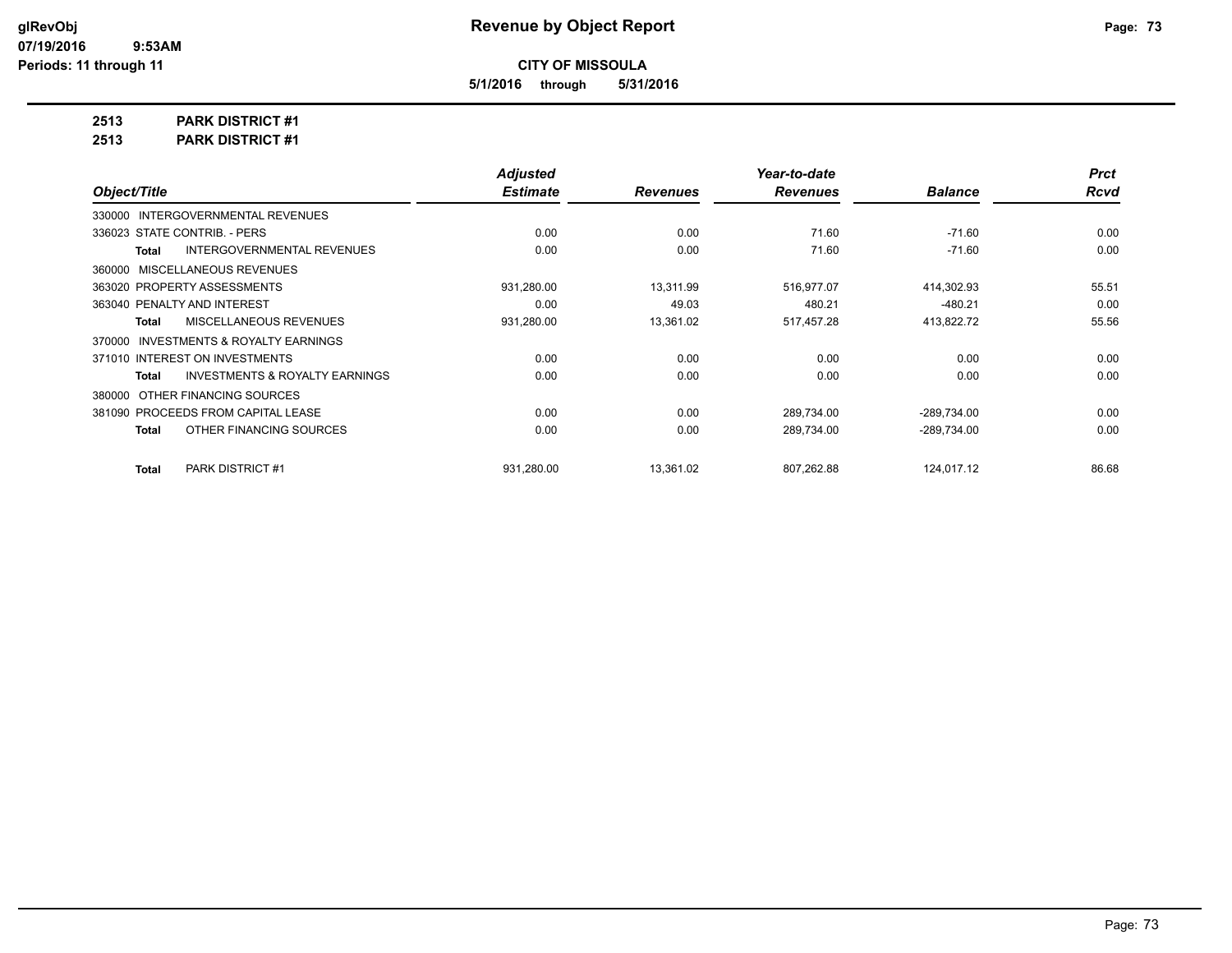**5/1/2016 through 5/31/2016**

**2513 PARK DISTRICT #1**

**2513 PARK DISTRICT #1**

|                                                    | <b>Adjusted</b> |                 | Year-to-date    |                | <b>Prct</b> |
|----------------------------------------------------|-----------------|-----------------|-----------------|----------------|-------------|
| Object/Title                                       | <b>Estimate</b> | <b>Revenues</b> | <b>Revenues</b> | <b>Balance</b> | <b>Rcvd</b> |
| 330000 INTERGOVERNMENTAL REVENUES                  |                 |                 |                 |                |             |
| 336023 STATE CONTRIB. - PERS                       | 0.00            | 0.00            | 71.60           | $-71.60$       | 0.00        |
| <b>INTERGOVERNMENTAL REVENUES</b><br>Total         | 0.00            | 0.00            | 71.60           | $-71.60$       | 0.00        |
| 360000 MISCELLANEOUS REVENUES                      |                 |                 |                 |                |             |
| 363020 PROPERTY ASSESSMENTS                        | 931,280.00      | 13,311.99       | 516,977.07      | 414,302.93     | 55.51       |
| 363040 PENALTY AND INTEREST                        | 0.00            | 49.03           | 480.21          | $-480.21$      | 0.00        |
| MISCELLANEOUS REVENUES<br>Total                    | 931,280.00      | 13,361.02       | 517,457.28      | 413,822.72     | 55.56       |
| 370000 INVESTMENTS & ROYALTY EARNINGS              |                 |                 |                 |                |             |
| 371010 INTEREST ON INVESTMENTS                     | 0.00            | 0.00            | 0.00            | 0.00           | 0.00        |
| <b>INVESTMENTS &amp; ROYALTY EARNINGS</b><br>Total | 0.00            | 0.00            | 0.00            | 0.00           | 0.00        |
| 380000 OTHER FINANCING SOURCES                     |                 |                 |                 |                |             |
| 381090 PROCEEDS FROM CAPITAL LEASE                 | 0.00            | 0.00            | 289,734.00      | $-289,734.00$  | 0.00        |
| OTHER FINANCING SOURCES<br>Total                   | 0.00            | 0.00            | 289,734.00      | -289,734.00    | 0.00        |
| <b>PARK DISTRICT #1</b><br>Total                   | 931,280.00      | 13,361.02       | 807,262.88      | 124,017.12     | 86.68       |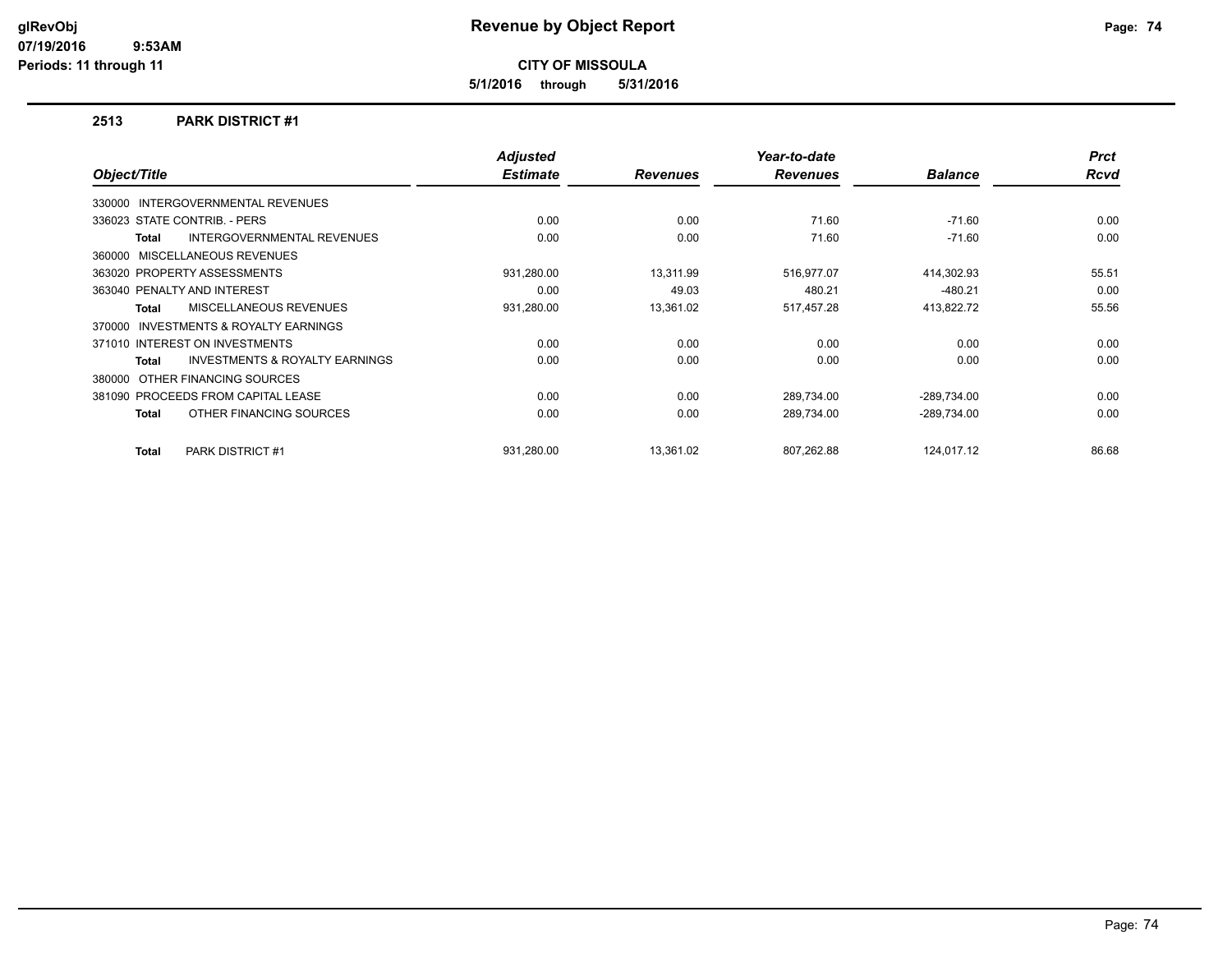**5/1/2016 through 5/31/2016**

#### **2513 PARK DISTRICT #1**

|                                |                                           | <b>Adjusted</b> |                 | Year-to-date    |                | <b>Prct</b> |
|--------------------------------|-------------------------------------------|-----------------|-----------------|-----------------|----------------|-------------|
| Object/Title                   |                                           | <b>Estimate</b> | <b>Revenues</b> | <b>Revenues</b> | <b>Balance</b> | <b>Rcvd</b> |
|                                | 330000 INTERGOVERNMENTAL REVENUES         |                 |                 |                 |                |             |
| 336023 STATE CONTRIB. - PERS   |                                           | 0.00            | 0.00            | 71.60           | $-71.60$       | 0.00        |
| <b>Total</b>                   | <b>INTERGOVERNMENTAL REVENUES</b>         | 0.00            | 0.00            | 71.60           | $-71.60$       | 0.00        |
| 360000                         | MISCELLANEOUS REVENUES                    |                 |                 |                 |                |             |
| 363020 PROPERTY ASSESSMENTS    |                                           | 931,280.00      | 13,311.99       | 516,977.07      | 414,302.93     | 55.51       |
| 363040 PENALTY AND INTEREST    |                                           | 0.00            | 49.03           | 480.21          | $-480.21$      | 0.00        |
| Total                          | MISCELLANEOUS REVENUES                    | 931,280.00      | 13,361.02       | 517,457.28      | 413,822.72     | 55.56       |
| 370000                         | <b>INVESTMENTS &amp; ROYALTY EARNINGS</b> |                 |                 |                 |                |             |
| 371010 INTEREST ON INVESTMENTS |                                           | 0.00            | 0.00            | 0.00            | 0.00           | 0.00        |
| Total                          | <b>INVESTMENTS &amp; ROYALTY EARNINGS</b> | 0.00            | 0.00            | 0.00            | 0.00           | 0.00        |
| 380000 OTHER FINANCING SOURCES |                                           |                 |                 |                 |                |             |
|                                | 381090 PROCEEDS FROM CAPITAL LEASE        | 0.00            | 0.00            | 289,734.00      | $-289,734.00$  | 0.00        |
| Total                          | OTHER FINANCING SOURCES                   | 0.00            | 0.00            | 289,734.00      | $-289,734.00$  | 0.00        |
| <b>Total</b>                   | PARK DISTRICT #1                          | 931,280.00      | 13,361.02       | 807,262.88      | 124,017.12     | 86.68       |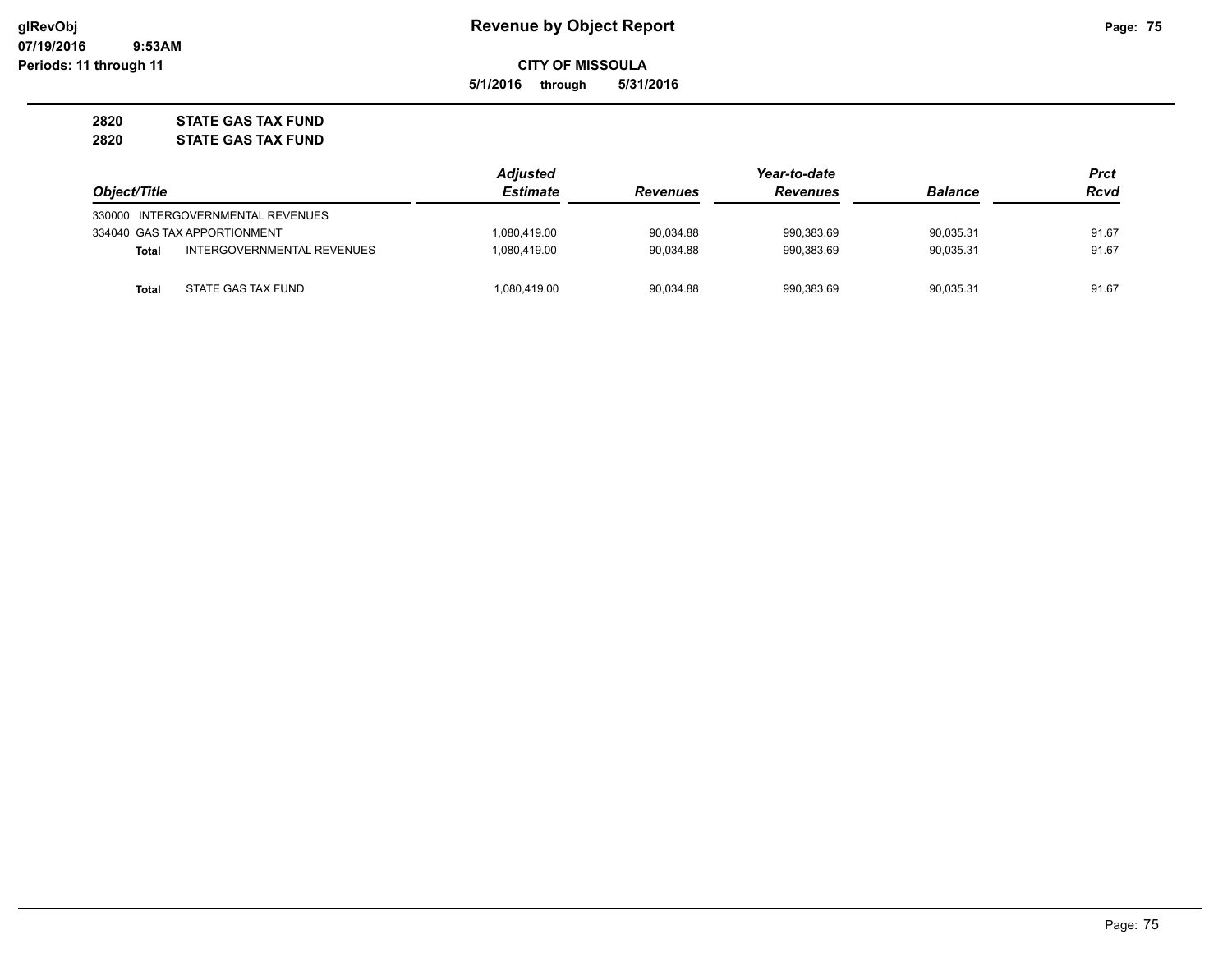**5/1/2016 through 5/31/2016**

**2820 STATE GAS TAX FUND**

**2820 STATE GAS TAX FUND**

|              |                                   | <b>Adjusted</b> |                 | Year-to-date    |                | Prct  |
|--------------|-----------------------------------|-----------------|-----------------|-----------------|----------------|-------|
| Object/Title |                                   | <b>Estimate</b> | <b>Revenues</b> | <b>Revenues</b> | <b>Balance</b> | Rcvd  |
|              | 330000 INTERGOVERNMENTAL REVENUES |                 |                 |                 |                |       |
|              | 334040 GAS TAX APPORTIONMENT      | 1,080,419.00    | 90,034.88       | 990.383.69      | 90.035.31      | 91.67 |
| Total        | INTERGOVERNMENTAL REVENUES        | 1,080,419.00    | 90.034.88       | 990.383.69      | 90.035.31      | 91.67 |
| Total        | STATE GAS TAX FUND                | 1.080.419.00    | 90.034.88       | 990.383.69      | 90.035.31      | 91.67 |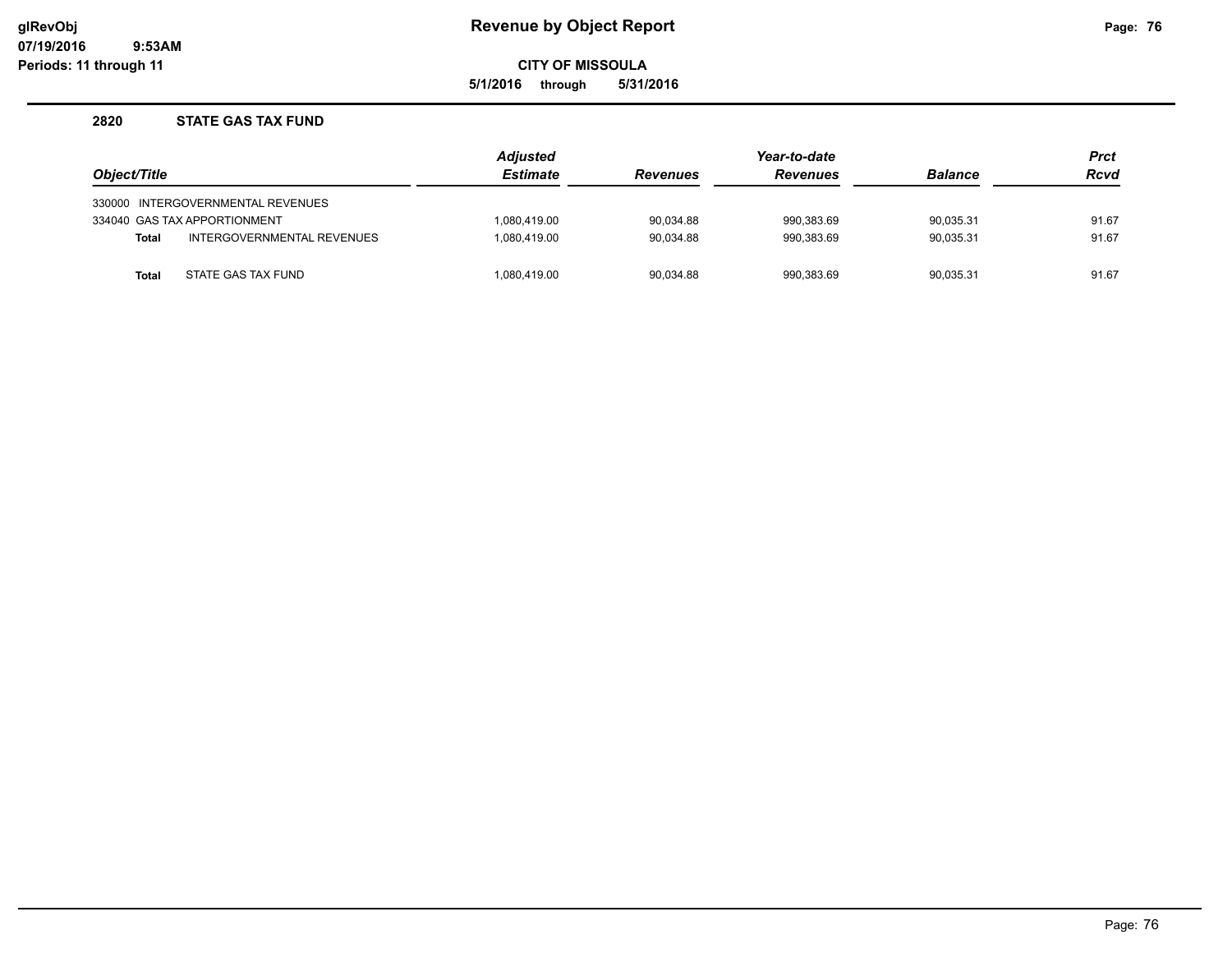**5/1/2016 through 5/31/2016**

### **2820 STATE GAS TAX FUND**

|              |                                   | <b>Adjusted</b> |                 | Year-to-date    |                | <b>Prct</b> |
|--------------|-----------------------------------|-----------------|-----------------|-----------------|----------------|-------------|
| Object/Title |                                   | <b>Estimate</b> | <b>Revenues</b> | <b>Revenues</b> | <b>Balance</b> | <b>Rcvd</b> |
|              | 330000 INTERGOVERNMENTAL REVENUES |                 |                 |                 |                |             |
|              | 334040 GAS TAX APPORTIONMENT      | 1.080.419.00    | 90.034.88       | 990.383.69      | 90.035.31      | 91.67       |
| <b>Total</b> | INTERGOVERNMENTAL REVENUES        | 1.080.419.00    | 90.034.88       | 990.383.69      | 90.035.31      | 91.67       |
| <b>Total</b> | STATE GAS TAX FUND                | 1,080,419.00    | 90,034.88       | 990,383.69      | 90.035.31      | 91.67       |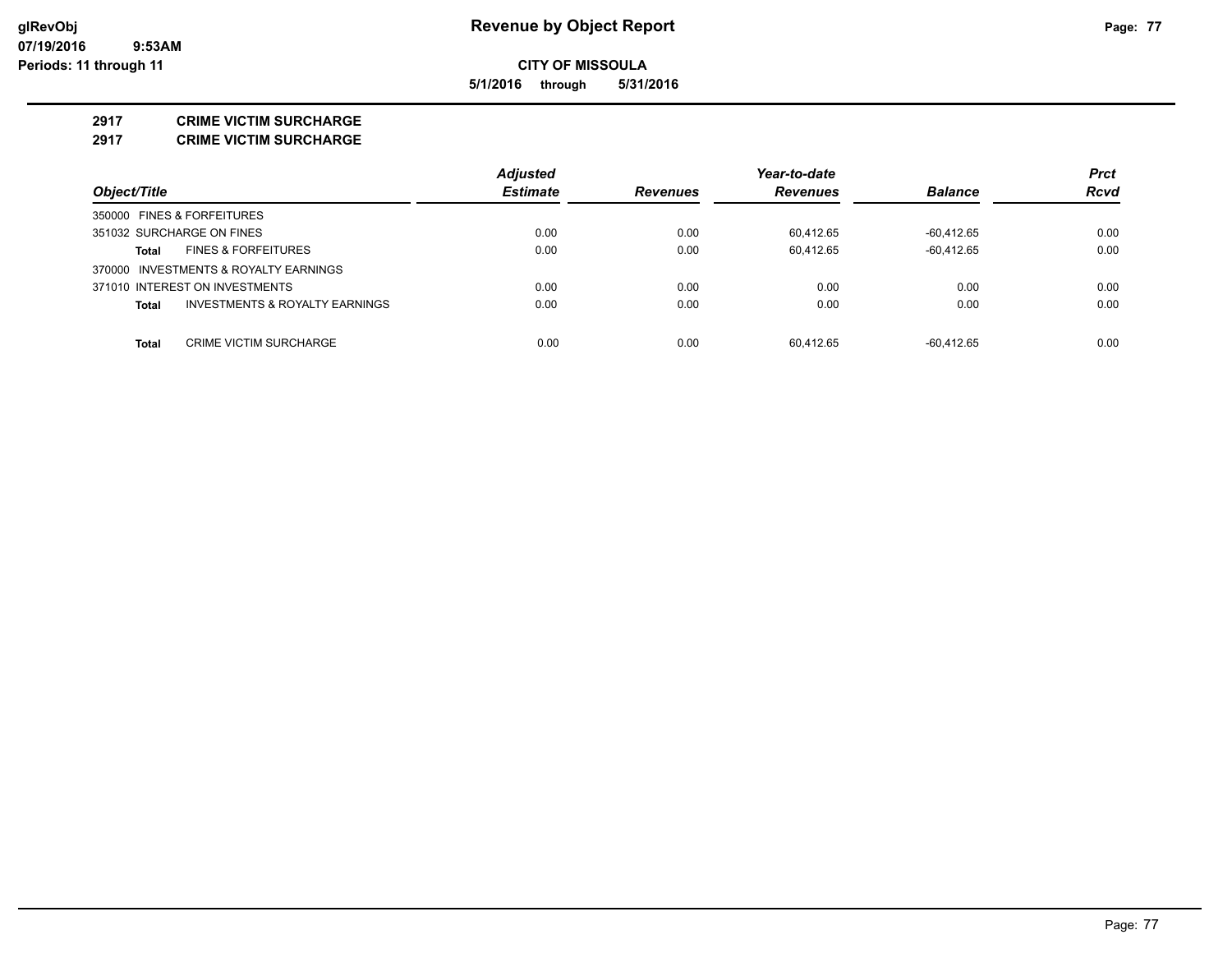**5/1/2016 through 5/31/2016**

#### **2917 CRIME VICTIM SURCHARGE**

**2917 CRIME VICTIM SURCHARGE**

|                                                           | <b>Adjusted</b> |                 | Year-to-date    |                | <b>Prct</b> |
|-----------------------------------------------------------|-----------------|-----------------|-----------------|----------------|-------------|
| Object/Title                                              | <b>Estimate</b> | <b>Revenues</b> | <b>Revenues</b> | <b>Balance</b> | <b>Rcvd</b> |
| 350000 FINES & FORFEITURES                                |                 |                 |                 |                |             |
| 351032 SURCHARGE ON FINES                                 | 0.00            | 0.00            | 60.412.65       | $-60.412.65$   | 0.00        |
| <b>FINES &amp; FORFEITURES</b><br><b>Total</b>            | 0.00            | 0.00            | 60.412.65       | $-60.412.65$   | 0.00        |
| 370000 INVESTMENTS & ROYALTY EARNINGS                     |                 |                 |                 |                |             |
| 371010 INTEREST ON INVESTMENTS                            | 0.00            | 0.00            | 0.00            | 0.00           | 0.00        |
| <b>INVESTMENTS &amp; ROYALTY EARNINGS</b><br><b>Total</b> | 0.00            | 0.00            | 0.00            | 0.00           | 0.00        |
|                                                           |                 |                 |                 |                |             |
| CRIME VICTIM SURCHARGE<br><b>Total</b>                    | 0.00            | 0.00            | 60.412.65       | -60.412.65     | 0.00        |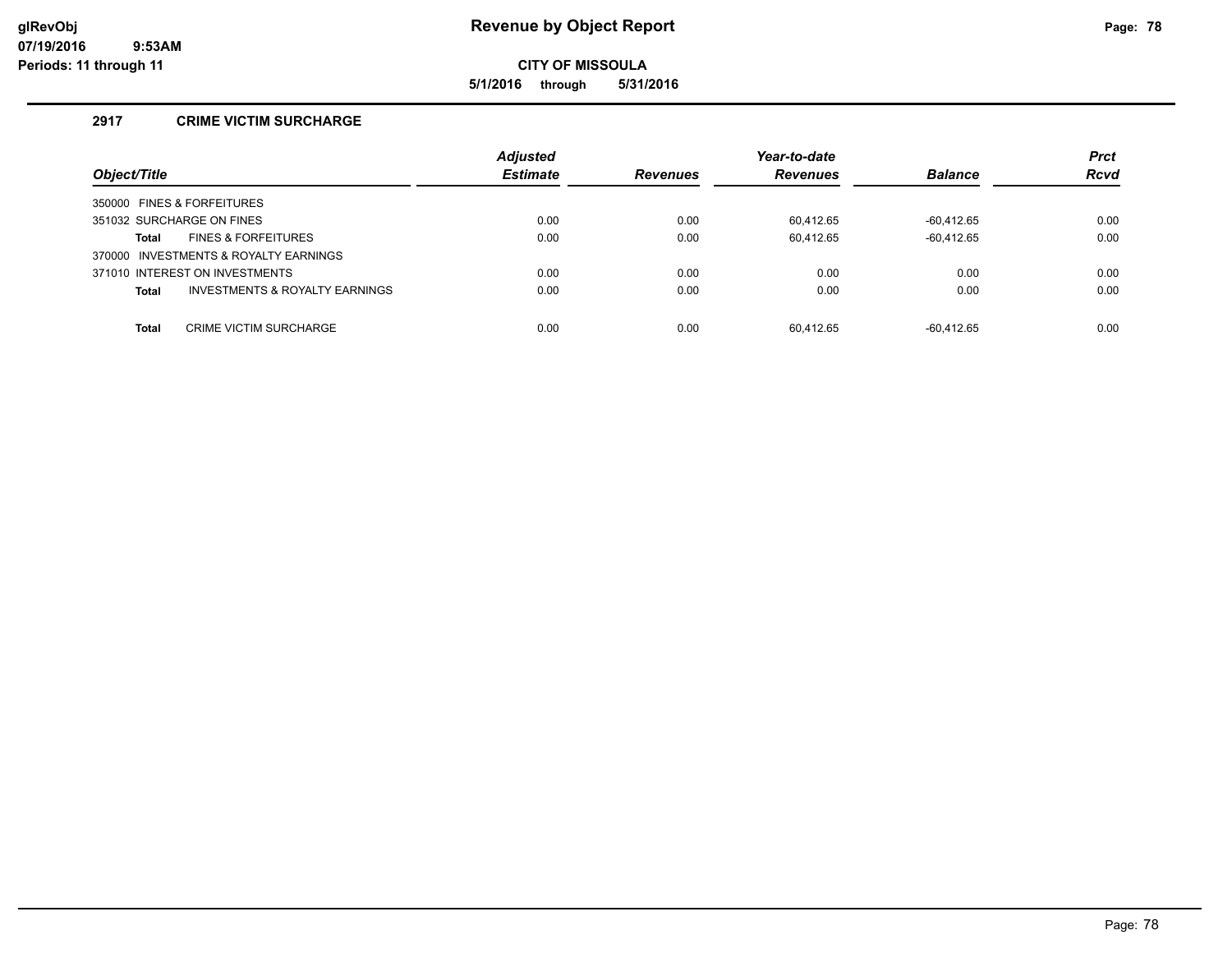**5/1/2016 through 5/31/2016**

# **2917 CRIME VICTIM SURCHARGE**

| Object/Title                                   | <b>Adjusted</b><br><b>Estimate</b> | <b>Revenues</b> | Year-to-date<br><b>Revenues</b> | <b>Balance</b> | <b>Prct</b><br><b>Rcvd</b> |
|------------------------------------------------|------------------------------------|-----------------|---------------------------------|----------------|----------------------------|
| 350000 FINES & FORFEITURES                     |                                    |                 |                                 |                |                            |
| 351032 SURCHARGE ON FINES                      | 0.00                               | 0.00            | 60.412.65                       | $-60.412.65$   | 0.00                       |
| <b>FINES &amp; FORFEITURES</b><br>Total        | 0.00                               | 0.00            | 60,412.65                       | $-60.412.65$   | 0.00                       |
| 370000 INVESTMENTS & ROYALTY EARNINGS          |                                    |                 |                                 |                |                            |
| 371010 INTEREST ON INVESTMENTS                 | 0.00                               | 0.00            | 0.00                            | 0.00           | 0.00                       |
| INVESTMENTS & ROYALTY EARNINGS<br><b>Total</b> | 0.00                               | 0.00            | 0.00                            | 0.00           | 0.00                       |
|                                                |                                    |                 |                                 |                |                            |
| <b>CRIME VICTIM SURCHARGE</b><br><b>Total</b>  | 0.00                               | 0.00            | 60.412.65                       | $-60.412.65$   | 0.00                       |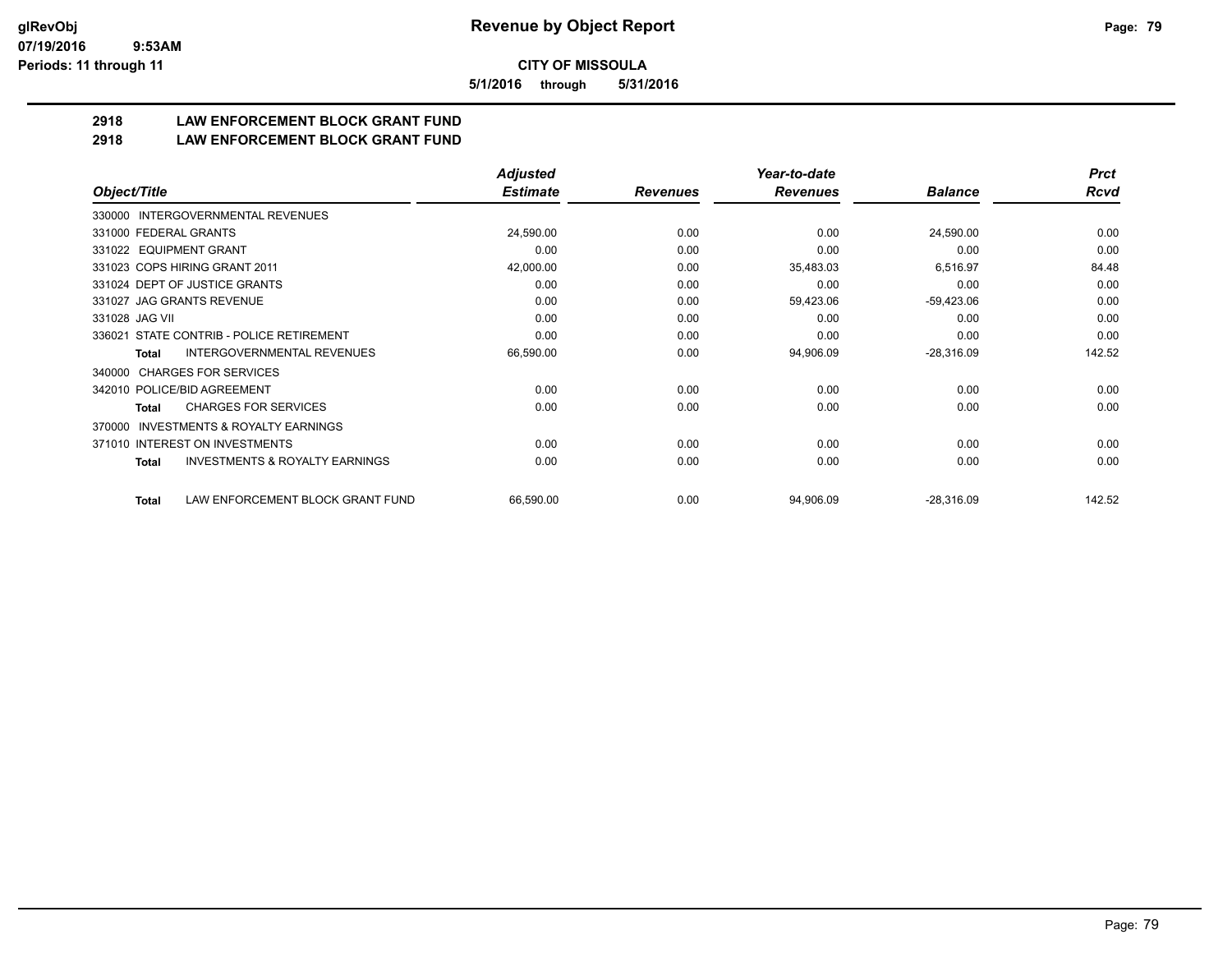**5/1/2016 through 5/31/2016**

# **2918 LAW ENFORCEMENT BLOCK GRANT FUND**

**2918 LAW ENFORCEMENT BLOCK GRANT FUND**

|                                                     | <b>Adjusted</b> |                 | Year-to-date    |                | <b>Prct</b> |
|-----------------------------------------------------|-----------------|-----------------|-----------------|----------------|-------------|
| Object/Title                                        | <b>Estimate</b> | <b>Revenues</b> | <b>Revenues</b> | <b>Balance</b> | <b>Rcvd</b> |
| INTERGOVERNMENTAL REVENUES<br>330000                |                 |                 |                 |                |             |
| 331000 FEDERAL GRANTS                               | 24,590.00       | 0.00            | 0.00            | 24,590.00      | 0.00        |
| 331022 EQUIPMENT GRANT                              | 0.00            | 0.00            | 0.00            | 0.00           | 0.00        |
| 331023 COPS HIRING GRANT 2011                       | 42,000.00       | 0.00            | 35,483.03       | 6,516.97       | 84.48       |
| 331024 DEPT OF JUSTICE GRANTS                       | 0.00            | 0.00            | 0.00            | 0.00           | 0.00        |
| 331027 JAG GRANTS REVENUE                           | 0.00            | 0.00            | 59,423.06       | $-59,423.06$   | 0.00        |
| 331028 JAG VII                                      | 0.00            | 0.00            | 0.00            | 0.00           | 0.00        |
| STATE CONTRIB - POLICE RETIREMENT<br>336021         | 0.00            | 0.00            | 0.00            | 0.00           | 0.00        |
| <b>INTERGOVERNMENTAL REVENUES</b><br>Total          | 66,590.00       | 0.00            | 94,906.09       | $-28,316.09$   | 142.52      |
| <b>CHARGES FOR SERVICES</b><br>340000               |                 |                 |                 |                |             |
| 342010 POLICE/BID AGREEMENT                         | 0.00            | 0.00            | 0.00            | 0.00           | 0.00        |
| <b>CHARGES FOR SERVICES</b><br>Total                | 0.00            | 0.00            | 0.00            | 0.00           | 0.00        |
| <b>INVESTMENTS &amp; ROYALTY EARNINGS</b><br>370000 |                 |                 |                 |                |             |
| 371010 INTEREST ON INVESTMENTS                      | 0.00            | 0.00            | 0.00            | 0.00           | 0.00        |
| <b>INVESTMENTS &amp; ROYALTY EARNINGS</b><br>Total  | 0.00            | 0.00            | 0.00            | 0.00           | 0.00        |
| LAW ENFORCEMENT BLOCK GRANT FUND<br>Total           | 66,590.00       | 0.00            | 94,906.09       | $-28,316.09$   | 142.52      |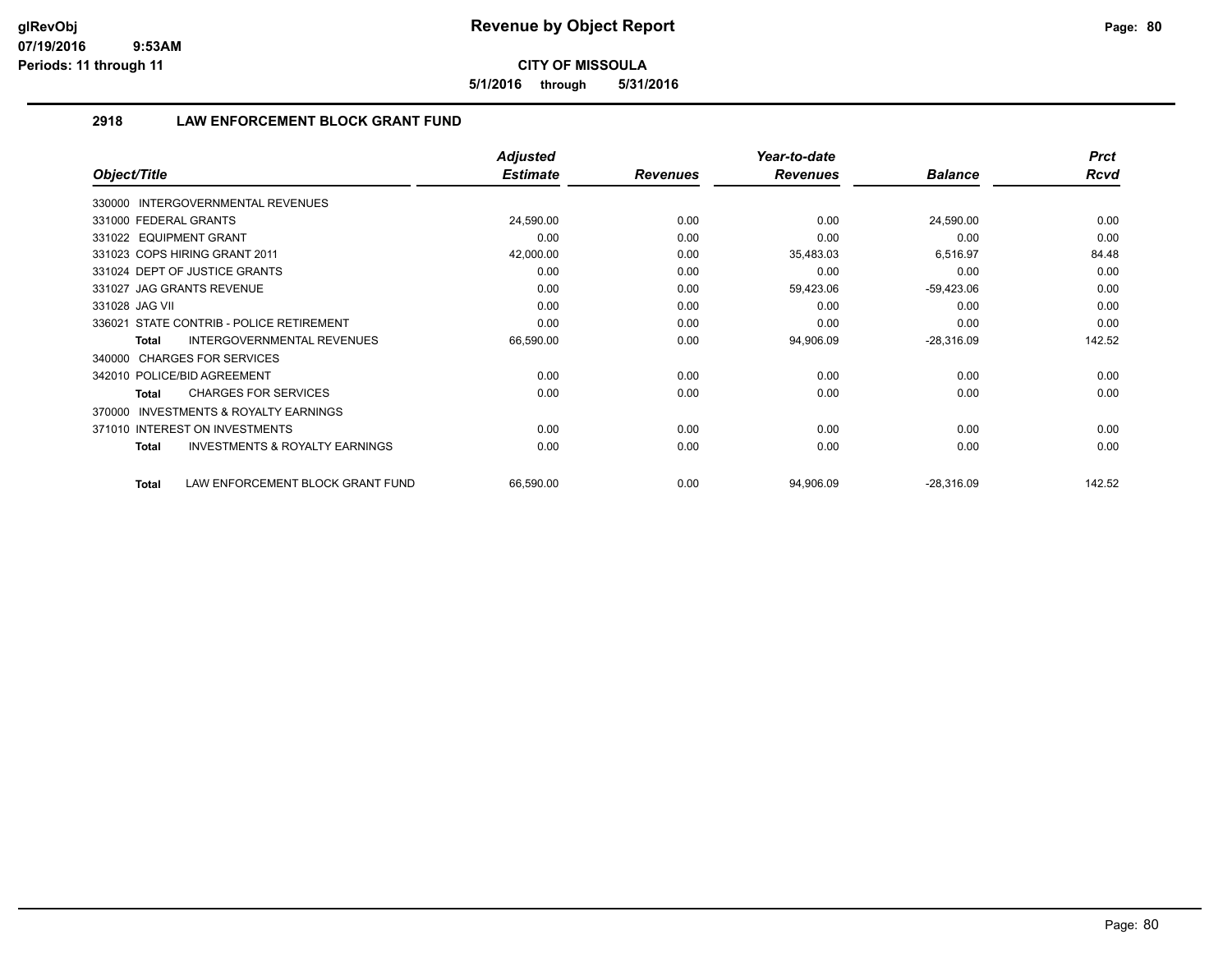**5/1/2016 through 5/31/2016**

# **2918 LAW ENFORCEMENT BLOCK GRANT FUND**

|                                                           | <b>Adjusted</b> |                 | Year-to-date    |                | <b>Prct</b> |
|-----------------------------------------------------------|-----------------|-----------------|-----------------|----------------|-------------|
| Object/Title                                              | <b>Estimate</b> | <b>Revenues</b> | <b>Revenues</b> | <b>Balance</b> | <b>Rcvd</b> |
| 330000 INTERGOVERNMENTAL REVENUES                         |                 |                 |                 |                |             |
| 331000 FEDERAL GRANTS                                     | 24,590.00       | 0.00            | 0.00            | 24,590.00      | 0.00        |
| 331022 EQUIPMENT GRANT                                    | 0.00            | 0.00            | 0.00            | 0.00           | 0.00        |
| 331023 COPS HIRING GRANT 2011                             | 42,000.00       | 0.00            | 35,483.03       | 6,516.97       | 84.48       |
| 331024 DEPT OF JUSTICE GRANTS                             | 0.00            | 0.00            | 0.00            | 0.00           | 0.00        |
| 331027 JAG GRANTS REVENUE                                 | 0.00            | 0.00            | 59,423.06       | $-59,423.06$   | 0.00        |
| 331028 JAG VII                                            | 0.00            | 0.00            | 0.00            | 0.00           | 0.00        |
| 336021 STATE CONTRIB - POLICE RETIREMENT                  | 0.00            | 0.00            | 0.00            | 0.00           | 0.00        |
| <b>INTERGOVERNMENTAL REVENUES</b><br>Total                | 66,590.00       | 0.00            | 94,906.09       | $-28,316.09$   | 142.52      |
| <b>CHARGES FOR SERVICES</b><br>340000                     |                 |                 |                 |                |             |
| 342010 POLICE/BID AGREEMENT                               | 0.00            | 0.00            | 0.00            | 0.00           | 0.00        |
| <b>CHARGES FOR SERVICES</b><br>Total                      | 0.00            | 0.00            | 0.00            | 0.00           | 0.00        |
| INVESTMENTS & ROYALTY EARNINGS<br>370000                  |                 |                 |                 |                |             |
| 371010 INTEREST ON INVESTMENTS                            | 0.00            | 0.00            | 0.00            | 0.00           | 0.00        |
| <b>INVESTMENTS &amp; ROYALTY EARNINGS</b><br><b>Total</b> | 0.00            | 0.00            | 0.00            | 0.00           | 0.00        |
| LAW ENFORCEMENT BLOCK GRANT FUND<br><b>Total</b>          | 66,590.00       | 0.00            | 94,906.09       | $-28,316.09$   | 142.52      |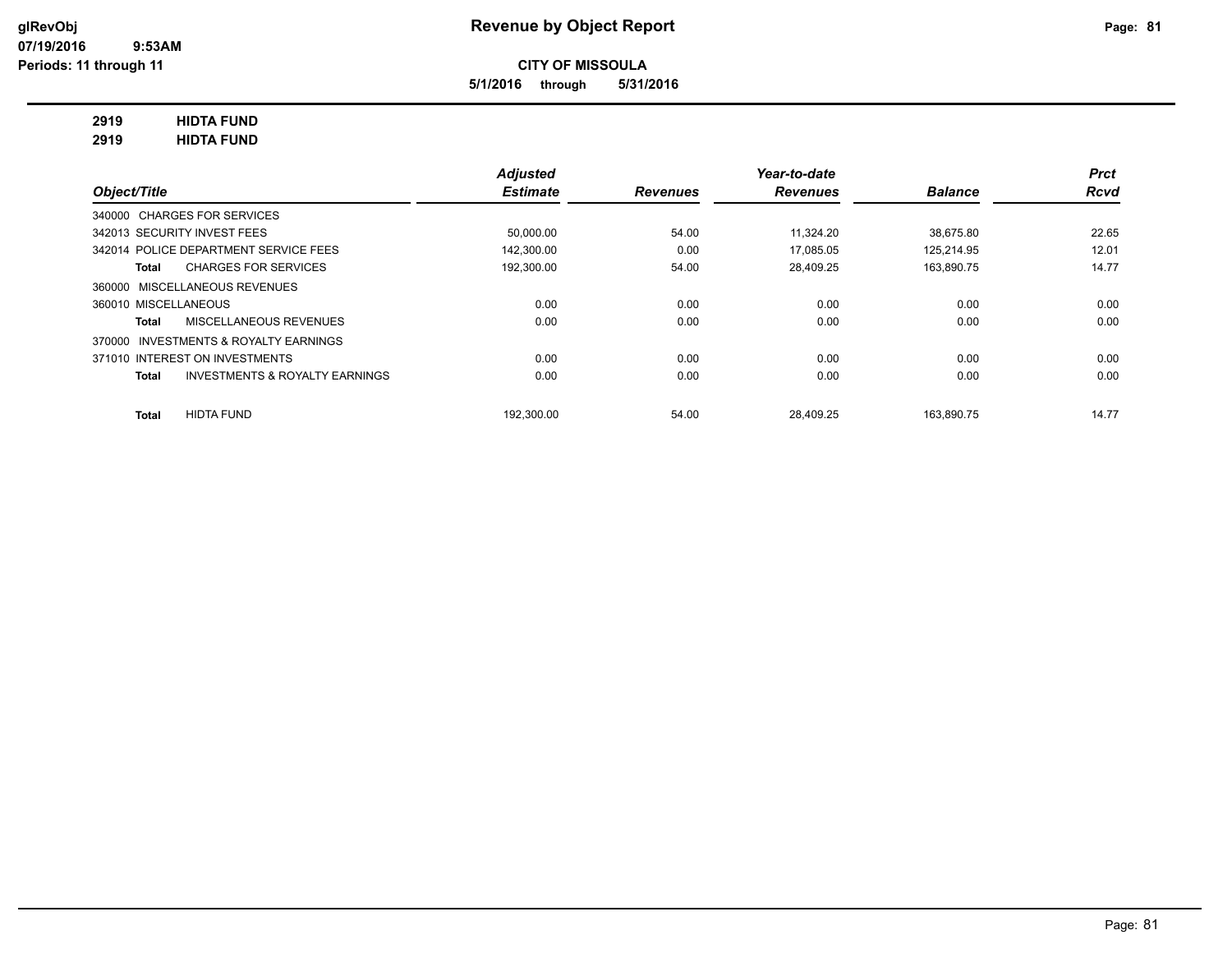**5/1/2016 through 5/31/2016**

# **2919 HIDTA FUND**

**2919 HIDTA FUND**

|                                                           | <b>Adjusted</b> |                 | Year-to-date    |                | <b>Prct</b> |
|-----------------------------------------------------------|-----------------|-----------------|-----------------|----------------|-------------|
| Object/Title                                              | <b>Estimate</b> | <b>Revenues</b> | <b>Revenues</b> | <b>Balance</b> | <b>Rcvd</b> |
| 340000 CHARGES FOR SERVICES                               |                 |                 |                 |                |             |
| 342013 SECURITY INVEST FEES                               | 50.000.00       | 54.00           | 11.324.20       | 38.675.80      | 22.65       |
| 342014 POLICE DEPARTMENT SERVICE FEES                     | 142.300.00      | 0.00            | 17.085.05       | 125.214.95     | 12.01       |
| <b>CHARGES FOR SERVICES</b><br>Total                      | 192.300.00      | 54.00           | 28,409.25       | 163,890.75     | 14.77       |
| 360000 MISCELLANEOUS REVENUES                             |                 |                 |                 |                |             |
| 360010 MISCELLANEOUS                                      | 0.00            | 0.00            | 0.00            | 0.00           | 0.00        |
| MISCELLANEOUS REVENUES<br>Total                           | 0.00            | 0.00            | 0.00            | 0.00           | 0.00        |
| 370000 INVESTMENTS & ROYALTY EARNINGS                     |                 |                 |                 |                |             |
| 371010 INTEREST ON INVESTMENTS                            | 0.00            | 0.00            | 0.00            | 0.00           | 0.00        |
| <b>INVESTMENTS &amp; ROYALTY EARNINGS</b><br><b>Total</b> | 0.00            | 0.00            | 0.00            | 0.00           | 0.00        |
| <b>HIDTA FUND</b><br><b>Total</b>                         | 192.300.00      | 54.00           | 28.409.25       | 163.890.75     | 14.77       |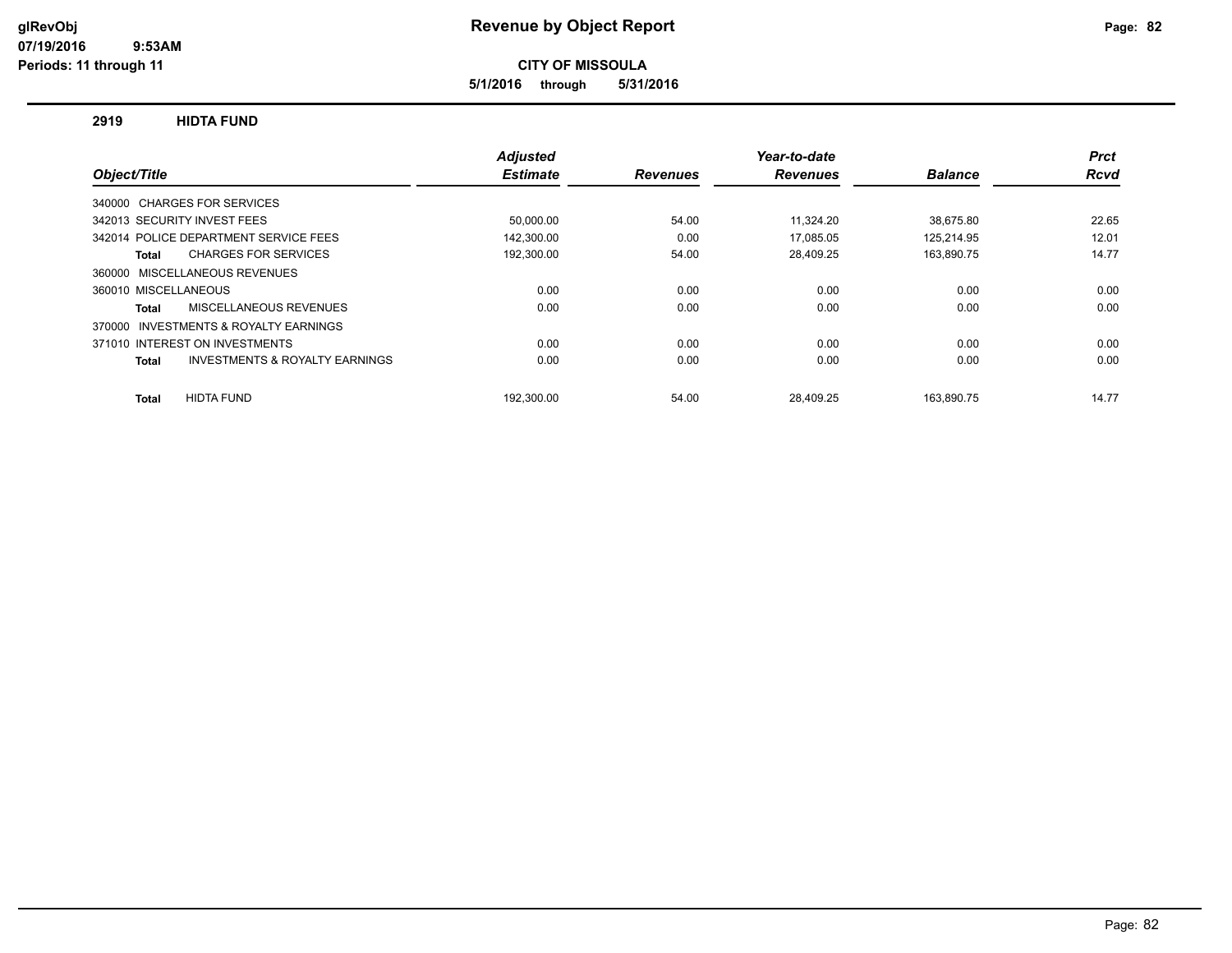**5/1/2016 through 5/31/2016**

#### **2919 HIDTA FUND**

|                                                           | <b>Adjusted</b> |                 | Year-to-date    |                | <b>Prct</b> |
|-----------------------------------------------------------|-----------------|-----------------|-----------------|----------------|-------------|
| Object/Title                                              | <b>Estimate</b> | <b>Revenues</b> | <b>Revenues</b> | <b>Balance</b> | Rcvd        |
| 340000 CHARGES FOR SERVICES                               |                 |                 |                 |                |             |
| 342013 SECURITY INVEST FEES                               | 50,000.00       | 54.00           | 11.324.20       | 38,675.80      | 22.65       |
| 342014 POLICE DEPARTMENT SERVICE FEES                     | 142,300.00      | 0.00            | 17.085.05       | 125.214.95     | 12.01       |
| <b>CHARGES FOR SERVICES</b><br>Total                      | 192,300.00      | 54.00           | 28,409.25       | 163,890.75     | 14.77       |
| MISCELLANEOUS REVENUES<br>360000                          |                 |                 |                 |                |             |
| 360010 MISCELLANEOUS                                      | 0.00            | 0.00            | 0.00            | 0.00           | 0.00        |
| MISCELLANEOUS REVENUES<br>Total                           | 0.00            | 0.00            | 0.00            | 0.00           | 0.00        |
| INVESTMENTS & ROYALTY EARNINGS<br>370000                  |                 |                 |                 |                |             |
| 371010 INTEREST ON INVESTMENTS                            | 0.00            | 0.00            | 0.00            | 0.00           | 0.00        |
| <b>INVESTMENTS &amp; ROYALTY EARNINGS</b><br><b>Total</b> | 0.00            | 0.00            | 0.00            | 0.00           | 0.00        |
| <b>HIDTA FUND</b><br><b>Total</b>                         | 192.300.00      | 54.00           | 28.409.25       | 163.890.75     | 14.77       |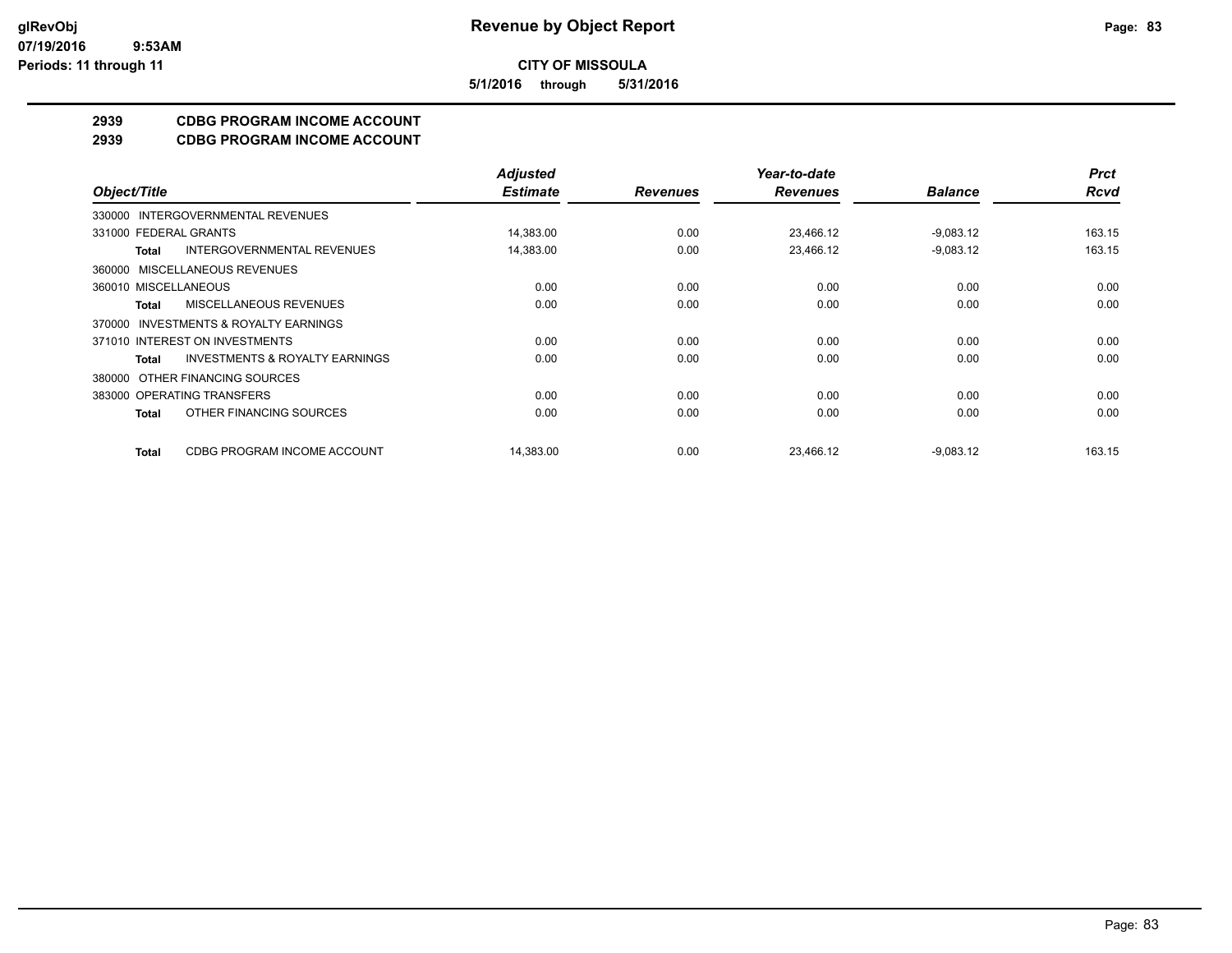**5/1/2016 through 5/31/2016**

# **2939 CDBG PROGRAM INCOME ACCOUNT**

**2939 CDBG PROGRAM INCOME ACCOUNT**

|                                                    | <b>Adjusted</b> |                 | Year-to-date    |                | <b>Prct</b> |
|----------------------------------------------------|-----------------|-----------------|-----------------|----------------|-------------|
| Object/Title                                       | <b>Estimate</b> | <b>Revenues</b> | <b>Revenues</b> | <b>Balance</b> | <b>Rcvd</b> |
| 330000 INTERGOVERNMENTAL REVENUES                  |                 |                 |                 |                |             |
| 331000 FEDERAL GRANTS                              | 14,383.00       | 0.00            | 23,466.12       | $-9,083.12$    | 163.15      |
| <b>INTERGOVERNMENTAL REVENUES</b><br>Total         | 14,383.00       | 0.00            | 23,466.12       | $-9,083.12$    | 163.15      |
| 360000 MISCELLANEOUS REVENUES                      |                 |                 |                 |                |             |
| 360010 MISCELLANEOUS                               | 0.00            | 0.00            | 0.00            | 0.00           | 0.00        |
| MISCELLANEOUS REVENUES<br>Total                    | 0.00            | 0.00            | 0.00            | 0.00           | 0.00        |
| 370000 INVESTMENTS & ROYALTY EARNINGS              |                 |                 |                 |                |             |
| 371010 INTEREST ON INVESTMENTS                     | 0.00            | 0.00            | 0.00            | 0.00           | 0.00        |
| <b>INVESTMENTS &amp; ROYALTY EARNINGS</b><br>Total | 0.00            | 0.00            | 0.00            | 0.00           | 0.00        |
| 380000 OTHER FINANCING SOURCES                     |                 |                 |                 |                |             |
| 383000 OPERATING TRANSFERS                         | 0.00            | 0.00            | 0.00            | 0.00           | 0.00        |
| OTHER FINANCING SOURCES<br>Total                   | 0.00            | 0.00            | 0.00            | 0.00           | 0.00        |
| CDBG PROGRAM INCOME ACCOUNT<br>Total               | 14,383.00       | 0.00            | 23.466.12       | $-9,083.12$    | 163.15      |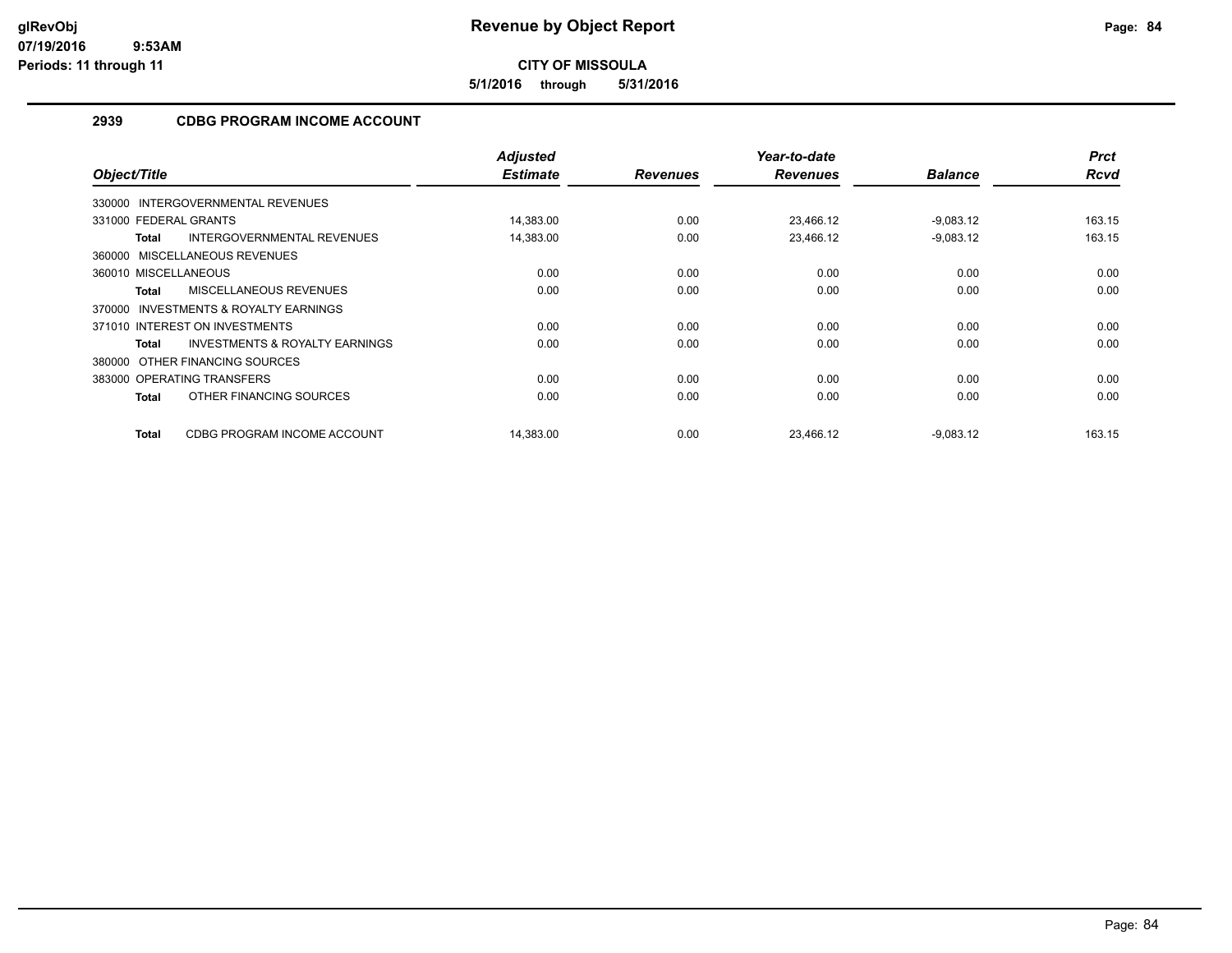**5/1/2016 through 5/31/2016**

# **2939 CDBG PROGRAM INCOME ACCOUNT**

| Object/Title                                              | <b>Adjusted</b><br><b>Estimate</b> | <b>Revenues</b> | Year-to-date<br><b>Revenues</b> | <b>Balance</b> | <b>Prct</b><br><b>Rcvd</b> |
|-----------------------------------------------------------|------------------------------------|-----------------|---------------------------------|----------------|----------------------------|
| 330000 INTERGOVERNMENTAL REVENUES                         |                                    |                 |                                 |                |                            |
| 331000 FEDERAL GRANTS                                     | 14,383.00                          | 0.00            | 23,466.12                       | $-9,083.12$    | 163.15                     |
| INTERGOVERNMENTAL REVENUES<br><b>Total</b>                | 14,383.00                          | 0.00            | 23,466.12                       | $-9,083.12$    | 163.15                     |
| 360000 MISCELLANEOUS REVENUES                             |                                    |                 |                                 |                |                            |
| 360010 MISCELLANEOUS                                      | 0.00                               | 0.00            | 0.00                            | 0.00           | 0.00                       |
| MISCELLANEOUS REVENUES<br><b>Total</b>                    | 0.00                               | 0.00            | 0.00                            | 0.00           | 0.00                       |
| 370000 INVESTMENTS & ROYALTY EARNINGS                     |                                    |                 |                                 |                |                            |
| 371010 INTEREST ON INVESTMENTS                            | 0.00                               | 0.00            | 0.00                            | 0.00           | 0.00                       |
| <b>INVESTMENTS &amp; ROYALTY EARNINGS</b><br><b>Total</b> | 0.00                               | 0.00            | 0.00                            | 0.00           | 0.00                       |
| 380000 OTHER FINANCING SOURCES                            |                                    |                 |                                 |                |                            |
| 383000 OPERATING TRANSFERS                                | 0.00                               | 0.00            | 0.00                            | 0.00           | 0.00                       |
| OTHER FINANCING SOURCES<br><b>Total</b>                   | 0.00                               | 0.00            | 0.00                            | 0.00           | 0.00                       |
| CDBG PROGRAM INCOME ACCOUNT<br><b>Total</b>               | 14,383.00                          | 0.00            | 23.466.12                       | $-9,083.12$    | 163.15                     |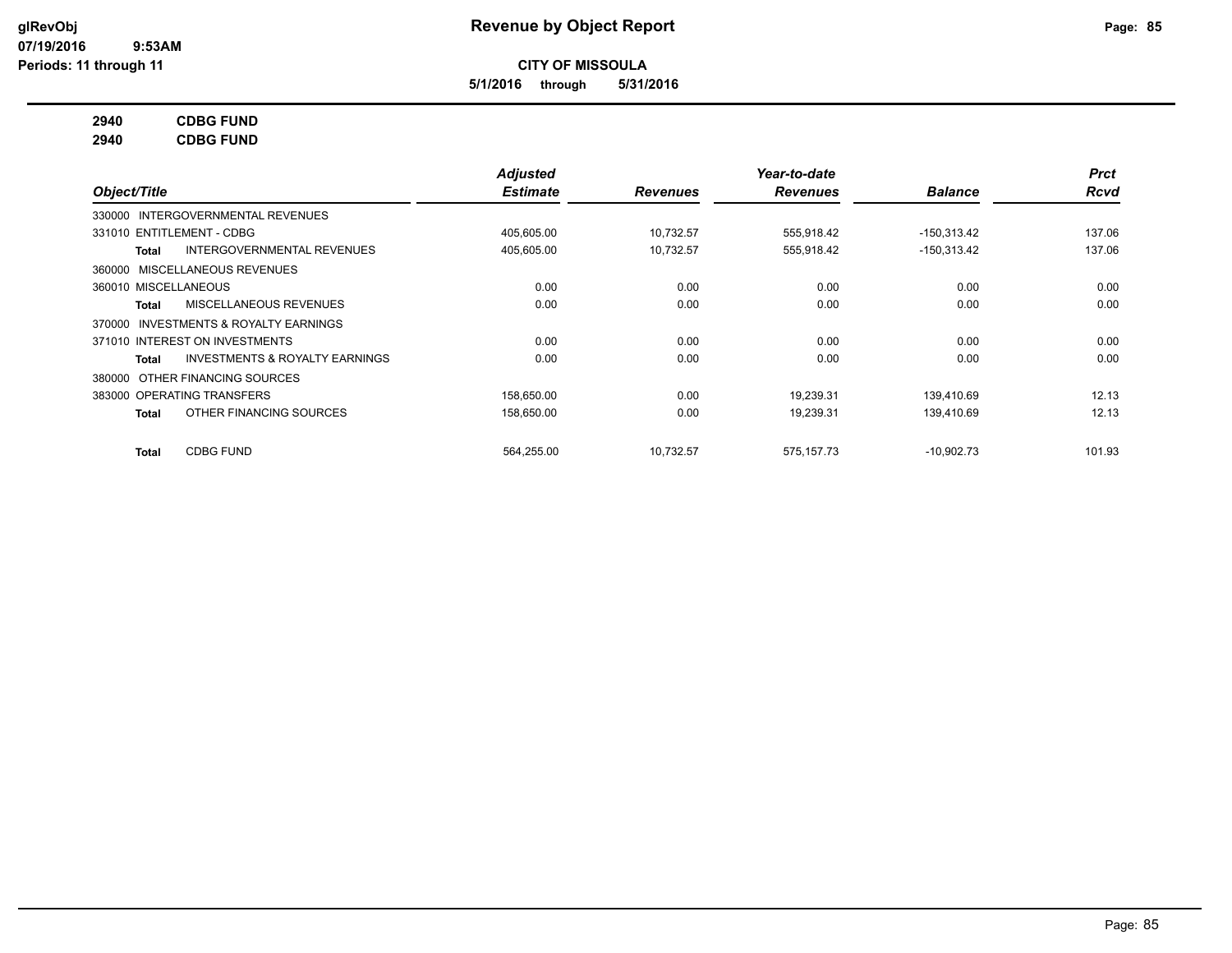**5/1/2016 through 5/31/2016**

# **2940 CDBG FUND**

**2940 CDBG FUND**

|                                                    | <b>Adjusted</b> |                 | Year-to-date    |                | <b>Prct</b> |
|----------------------------------------------------|-----------------|-----------------|-----------------|----------------|-------------|
| Object/Title                                       | <b>Estimate</b> | <b>Revenues</b> | <b>Revenues</b> | <b>Balance</b> | <b>Rcvd</b> |
| 330000 INTERGOVERNMENTAL REVENUES                  |                 |                 |                 |                |             |
| 331010 ENTITLEMENT - CDBG                          | 405,605.00      | 10,732.57       | 555,918.42      | $-150,313.42$  | 137.06      |
| <b>INTERGOVERNMENTAL REVENUES</b><br>Total         | 405,605.00      | 10,732.57       | 555,918.42      | $-150,313.42$  | 137.06      |
| 360000 MISCELLANEOUS REVENUES                      |                 |                 |                 |                |             |
| 360010 MISCELLANEOUS                               | 0.00            | 0.00            | 0.00            | 0.00           | 0.00        |
| MISCELLANEOUS REVENUES<br>Total                    | 0.00            | 0.00            | 0.00            | 0.00           | 0.00        |
| 370000 INVESTMENTS & ROYALTY EARNINGS              |                 |                 |                 |                |             |
| 371010 INTEREST ON INVESTMENTS                     | 0.00            | 0.00            | 0.00            | 0.00           | 0.00        |
| <b>INVESTMENTS &amp; ROYALTY EARNINGS</b><br>Total | 0.00            | 0.00            | 0.00            | 0.00           | 0.00        |
| 380000 OTHER FINANCING SOURCES                     |                 |                 |                 |                |             |
| 383000 OPERATING TRANSFERS                         | 158,650.00      | 0.00            | 19,239.31       | 139,410.69     | 12.13       |
| OTHER FINANCING SOURCES<br>Total                   | 158,650.00      | 0.00            | 19,239.31       | 139,410.69     | 12.13       |
| <b>CDBG FUND</b><br><b>Total</b>                   | 564,255.00      | 10,732.57       | 575, 157. 73    | $-10,902.73$   | 101.93      |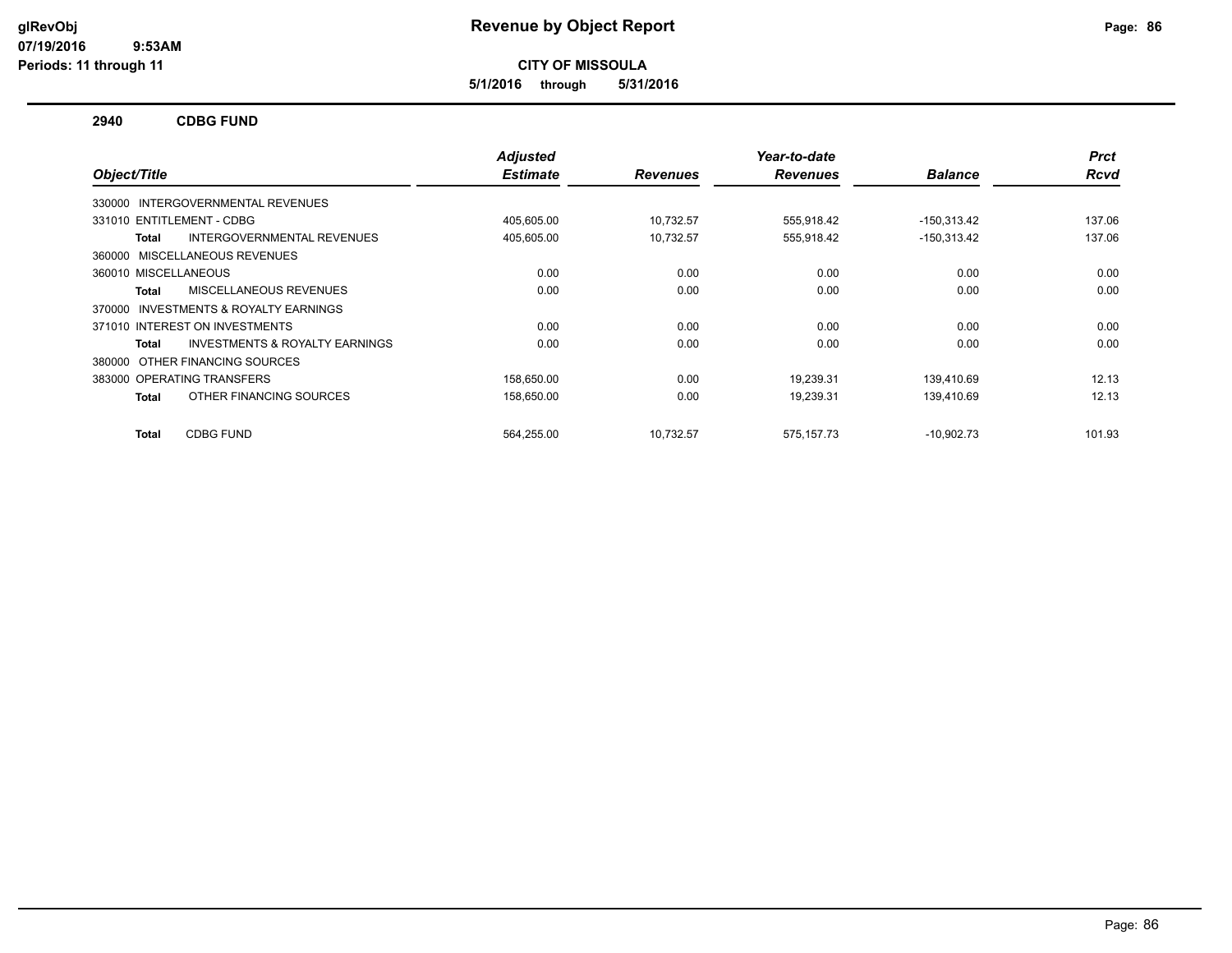**5/1/2016 through 5/31/2016**

#### **2940 CDBG FUND**

| Object/Title                                       | <b>Adjusted</b><br><b>Estimate</b> | <b>Revenues</b> | Year-to-date<br><b>Revenues</b> | <b>Balance</b> | <b>Prct</b><br><b>Rcvd</b> |
|----------------------------------------------------|------------------------------------|-----------------|---------------------------------|----------------|----------------------------|
|                                                    |                                    |                 |                                 |                |                            |
| INTERGOVERNMENTAL REVENUES<br>330000               |                                    |                 |                                 |                |                            |
| 331010 ENTITLEMENT - CDBG                          | 405,605.00                         | 10,732.57       | 555,918.42                      | $-150,313.42$  | 137.06                     |
| INTERGOVERNMENTAL REVENUES<br>Total                | 405,605.00                         | 10,732.57       | 555,918.42                      | $-150,313.42$  | 137.06                     |
| 360000 MISCELLANEOUS REVENUES                      |                                    |                 |                                 |                |                            |
| 360010 MISCELLANEOUS                               | 0.00                               | 0.00            | 0.00                            | 0.00           | 0.00                       |
| MISCELLANEOUS REVENUES<br>Total                    | 0.00                               | 0.00            | 0.00                            | 0.00           | 0.00                       |
| INVESTMENTS & ROYALTY EARNINGS<br>370000           |                                    |                 |                                 |                |                            |
| 371010 INTEREST ON INVESTMENTS                     | 0.00                               | 0.00            | 0.00                            | 0.00           | 0.00                       |
| <b>INVESTMENTS &amp; ROYALTY EARNINGS</b><br>Total | 0.00                               | 0.00            | 0.00                            | 0.00           | 0.00                       |
| 380000 OTHER FINANCING SOURCES                     |                                    |                 |                                 |                |                            |
| 383000 OPERATING TRANSFERS                         | 158,650.00                         | 0.00            | 19,239.31                       | 139,410.69     | 12.13                      |
| OTHER FINANCING SOURCES<br>Total                   | 158,650.00                         | 0.00            | 19,239.31                       | 139.410.69     | 12.13                      |
|                                                    |                                    |                 |                                 |                |                            |
| <b>CDBG FUND</b><br>Total                          | 564.255.00                         | 10,732.57       | 575,157.73                      | $-10,902.73$   | 101.93                     |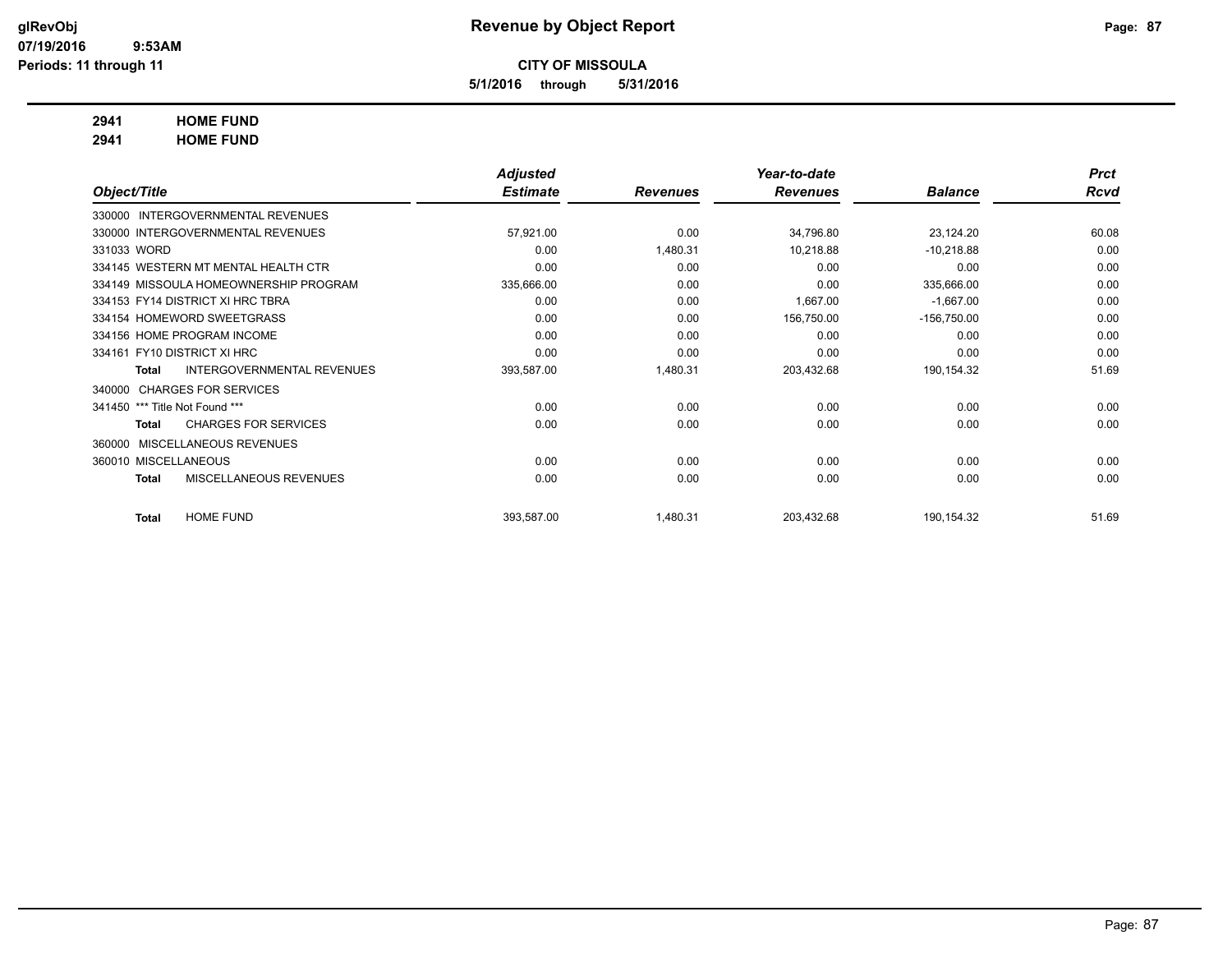**5/1/2016 through 5/31/2016**

# **2941 HOME FUND**

**2941 HOME FUND**

|                                |                                       | <b>Adjusted</b> |                 | Year-to-date    |                | <b>Prct</b> |
|--------------------------------|---------------------------------------|-----------------|-----------------|-----------------|----------------|-------------|
| Object/Title                   |                                       | <b>Estimate</b> | <b>Revenues</b> | <b>Revenues</b> | <b>Balance</b> | Rcvd        |
| 330000                         | <b>INTERGOVERNMENTAL REVENUES</b>     |                 |                 |                 |                |             |
|                                | 330000 INTERGOVERNMENTAL REVENUES     | 57,921.00       | 0.00            | 34,796.80       | 23,124.20      | 60.08       |
| 331033 WORD                    |                                       | 0.00            | 1,480.31        | 10,218.88       | $-10,218.88$   | 0.00        |
|                                | 334145 WESTERN MT MENTAL HEALTH CTR   | 0.00            | 0.00            | 0.00            | 0.00           | 0.00        |
|                                | 334149 MISSOULA HOMEOWNERSHIP PROGRAM | 335,666.00      | 0.00            | 0.00            | 335,666.00     | 0.00        |
|                                | 334153 FY14 DISTRICT XI HRC TBRA      | 0.00            | 0.00            | 1,667.00        | $-1,667.00$    | 0.00        |
|                                | 334154 HOMEWORD SWEETGRASS            | 0.00            | 0.00            | 156,750.00      | $-156,750.00$  | 0.00        |
|                                | 334156 HOME PROGRAM INCOME            | 0.00            | 0.00            | 0.00            | 0.00           | 0.00        |
| 334161 FY10 DISTRICT XI HRC    |                                       | 0.00            | 0.00            | 0.00            | 0.00           | 0.00        |
| <b>Total</b>                   | <b>INTERGOVERNMENTAL REVENUES</b>     | 393,587.00      | 1,480.31        | 203,432.68      | 190,154.32     | 51.69       |
|                                | 340000 CHARGES FOR SERVICES           |                 |                 |                 |                |             |
| 341450 *** Title Not Found *** |                                       | 0.00            | 0.00            | 0.00            | 0.00           | 0.00        |
| Total                          | <b>CHARGES FOR SERVICES</b>           | 0.00            | 0.00            | 0.00            | 0.00           | 0.00        |
|                                | 360000 MISCELLANEOUS REVENUES         |                 |                 |                 |                |             |
| 360010 MISCELLANEOUS           |                                       | 0.00            | 0.00            | 0.00            | 0.00           | 0.00        |
| <b>Total</b>                   | MISCELLANEOUS REVENUES                | 0.00            | 0.00            | 0.00            | 0.00           | 0.00        |
| Total                          | <b>HOME FUND</b>                      | 393,587.00      | 1,480.31        | 203,432.68      | 190,154.32     | 51.69       |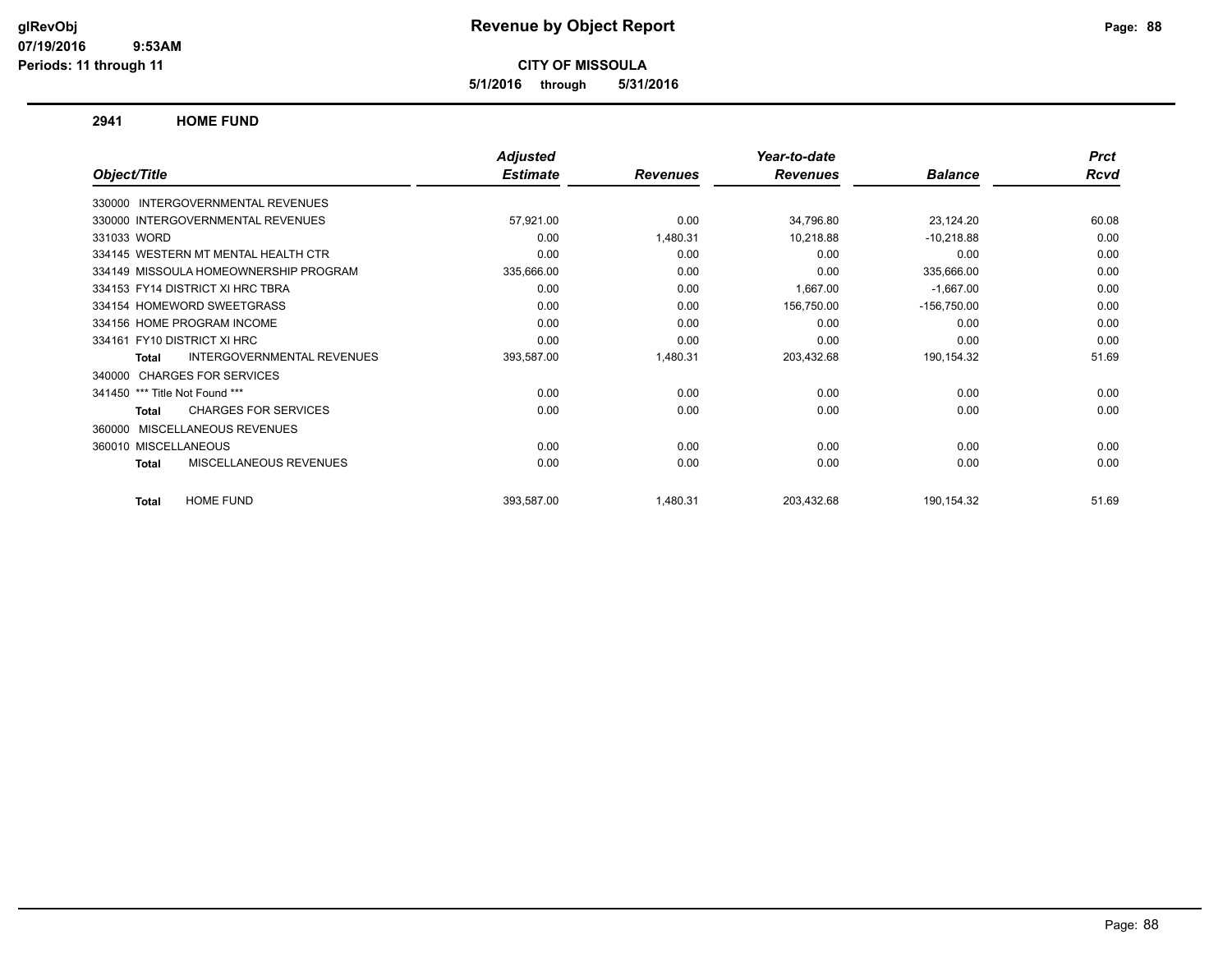**5/1/2016 through 5/31/2016**

#### **2941 HOME FUND**

|                                             | Adjusted        |                 | Year-to-date    |                | <b>Prct</b> |
|---------------------------------------------|-----------------|-----------------|-----------------|----------------|-------------|
| Object/Title                                | <b>Estimate</b> | <b>Revenues</b> | <b>Revenues</b> | <b>Balance</b> | Rcvd        |
| <b>INTERGOVERNMENTAL REVENUES</b><br>330000 |                 |                 |                 |                |             |
| 330000 INTERGOVERNMENTAL REVENUES           | 57,921.00       | 0.00            | 34,796.80       | 23,124.20      | 60.08       |
| 331033 WORD                                 | 0.00            | 1,480.31        | 10,218.88       | $-10,218.88$   | 0.00        |
| 334145 WESTERN MT MENTAL HEALTH CTR         | 0.00            | 0.00            | 0.00            | 0.00           | 0.00        |
| 334149 MISSOULA HOMEOWNERSHIP PROGRAM       | 335,666.00      | 0.00            | 0.00            | 335,666.00     | 0.00        |
| 334153 FY14 DISTRICT XI HRC TBRA            | 0.00            | 0.00            | 1,667.00        | $-1,667.00$    | 0.00        |
| 334154 HOMEWORD SWEETGRASS                  | 0.00            | 0.00            | 156,750.00      | $-156,750.00$  | 0.00        |
| 334156 HOME PROGRAM INCOME                  | 0.00            | 0.00            | 0.00            | 0.00           | 0.00        |
| 334161 FY10 DISTRICT XI HRC                 | 0.00            | 0.00            | 0.00            | 0.00           | 0.00        |
| INTERGOVERNMENTAL REVENUES<br><b>Total</b>  | 393,587.00      | 1,480.31        | 203,432.68      | 190,154.32     | 51.69       |
| <b>CHARGES FOR SERVICES</b><br>340000       |                 |                 |                 |                |             |
| 341450 *** Title Not Found ***              | 0.00            | 0.00            | 0.00            | 0.00           | 0.00        |
| <b>CHARGES FOR SERVICES</b><br><b>Total</b> | 0.00            | 0.00            | 0.00            | 0.00           | 0.00        |
| <b>MISCELLANEOUS REVENUES</b><br>360000     |                 |                 |                 |                |             |
| 360010 MISCELLANEOUS                        | 0.00            | 0.00            | 0.00            | 0.00           | 0.00        |
| MISCELLANEOUS REVENUES<br><b>Total</b>      | 0.00            | 0.00            | 0.00            | 0.00           | 0.00        |
| <b>HOME FUND</b><br><b>Total</b>            | 393,587.00      | 1,480.31        | 203,432.68      | 190,154.32     | 51.69       |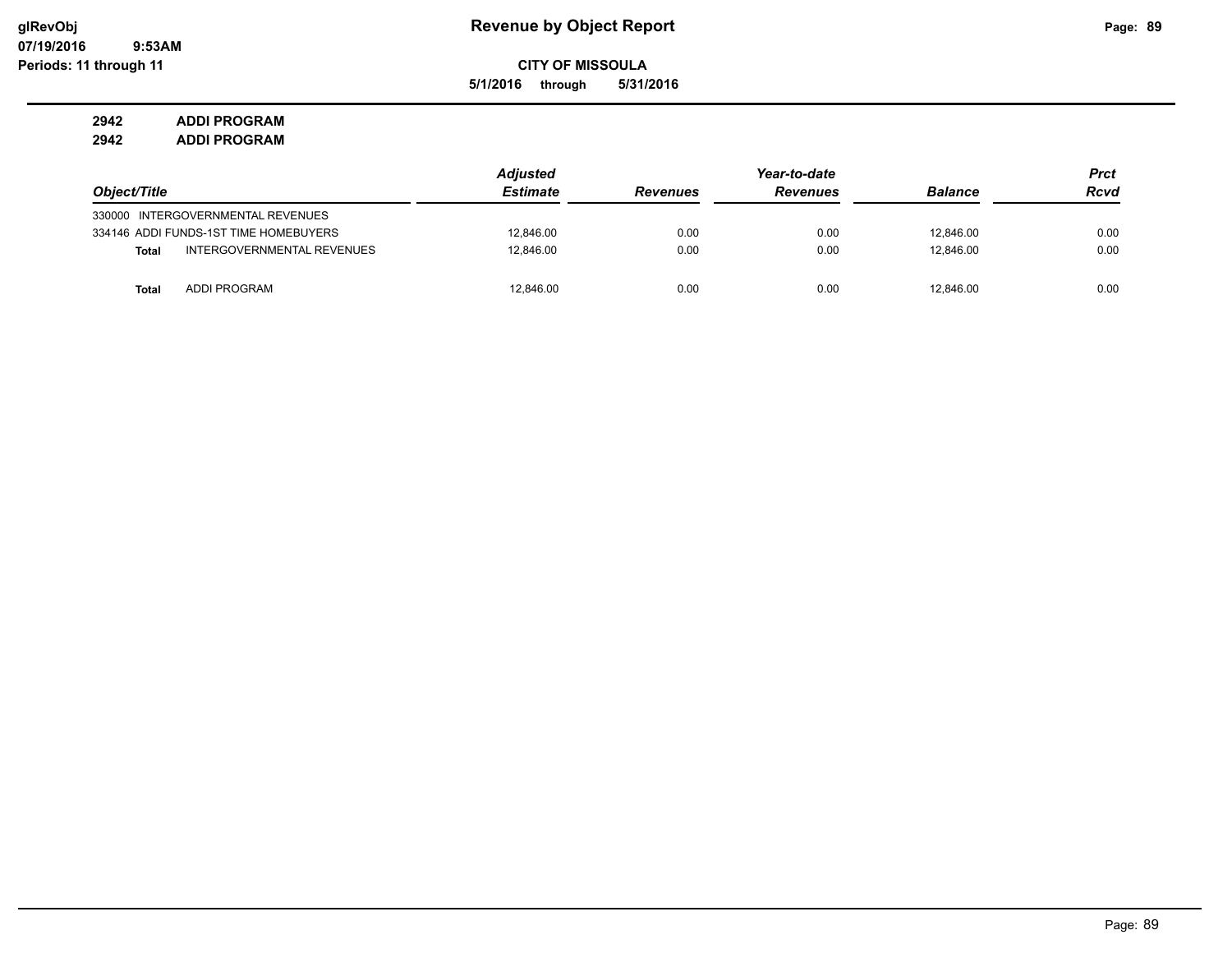**5/1/2016 through 5/31/2016**

**2942 ADDI PROGRAM 2942 ADDI PROGRAM**

|              |                                       | <b>Adjusted</b> |                 | Year-to-date    |                | <b>Prct</b> |
|--------------|---------------------------------------|-----------------|-----------------|-----------------|----------------|-------------|
| Object/Title |                                       | <b>Estimate</b> | <b>Revenues</b> | <b>Revenues</b> | <b>Balance</b> | <b>Rcvd</b> |
|              | 330000 INTERGOVERNMENTAL REVENUES     |                 |                 |                 |                |             |
|              | 334146 ADDI FUNDS-1ST TIME HOMEBUYERS | 12,846.00       | 0.00            | 0.00            | 12,846.00      | 0.00        |
| Total        | INTERGOVERNMENTAL REVENUES            | 12.846.00       | 0.00            | 0.00            | 12.846.00      | 0.00        |
| <b>Total</b> | <b>ADDI PROGRAM</b>                   | 12.846.00       | 0.00            | 0.00            | 12.846.00      | 0.00        |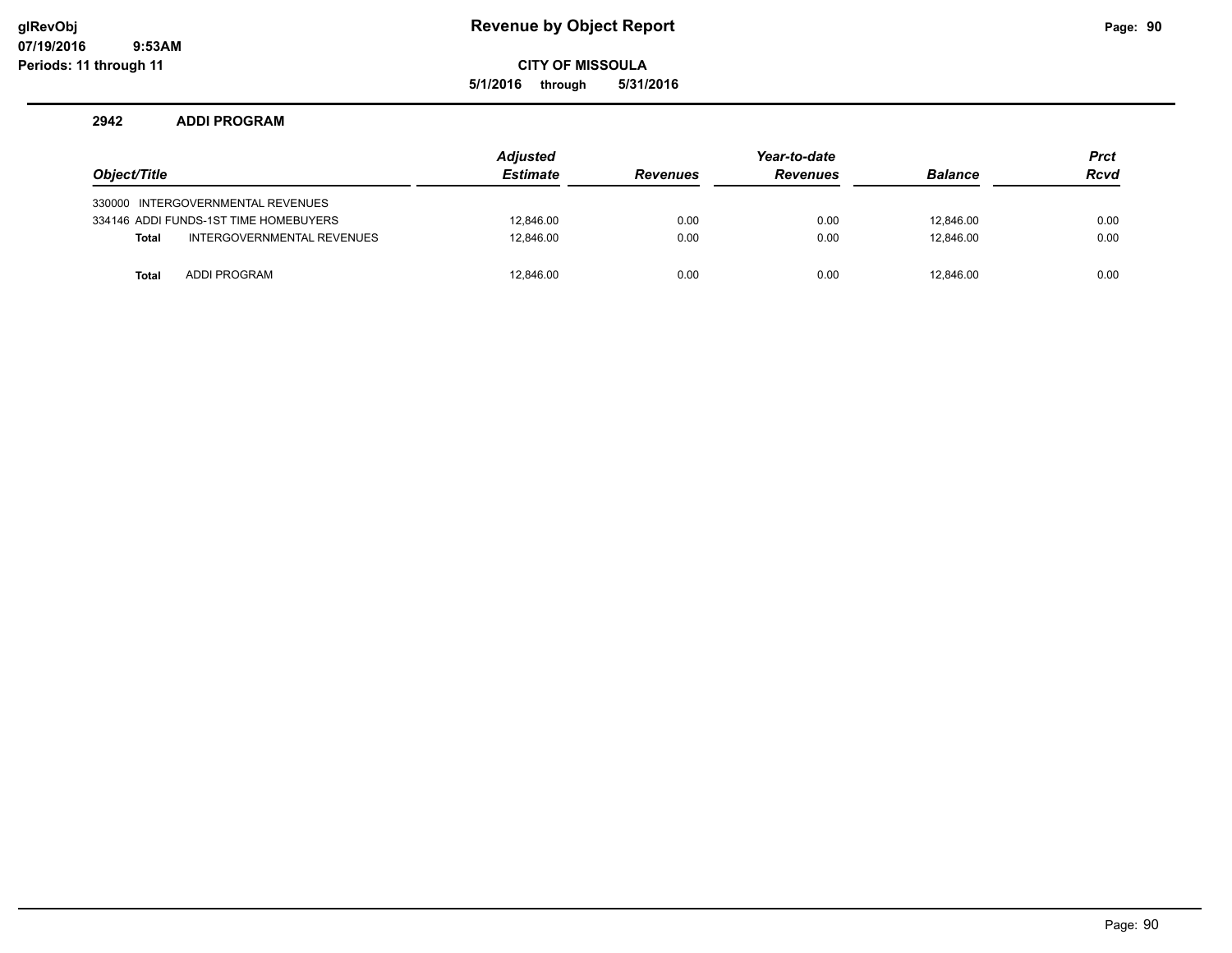# **glRevObj Revenue by Object Report Page: 90**

**CITY OF MISSOULA**

**5/1/2016 through 5/31/2016**

#### **2942 ADDI PROGRAM**

|              |                                       | <b>Adjusted</b> | Year-to-date    |                 |                | <b>Prct</b> |
|--------------|---------------------------------------|-----------------|-----------------|-----------------|----------------|-------------|
| Object/Title |                                       | <b>Estimate</b> | <b>Revenues</b> | <b>Revenues</b> | <b>Balance</b> | <b>Rcvd</b> |
|              | 330000 INTERGOVERNMENTAL REVENUES     |                 |                 |                 |                |             |
|              | 334146 ADDI FUNDS-1ST TIME HOMEBUYERS | 12.846.00       | 0.00            | 0.00            | 12.846.00      | 0.00        |
| <b>Total</b> | INTERGOVERNMENTAL REVENUES            | 12.846.00       | 0.00            | 0.00            | 12.846.00      | 0.00        |
| <b>Total</b> | <b>ADDI PROGRAM</b>                   | 12,846.00       | 0.00            | 0.00            | 12.846.00      | 0.00        |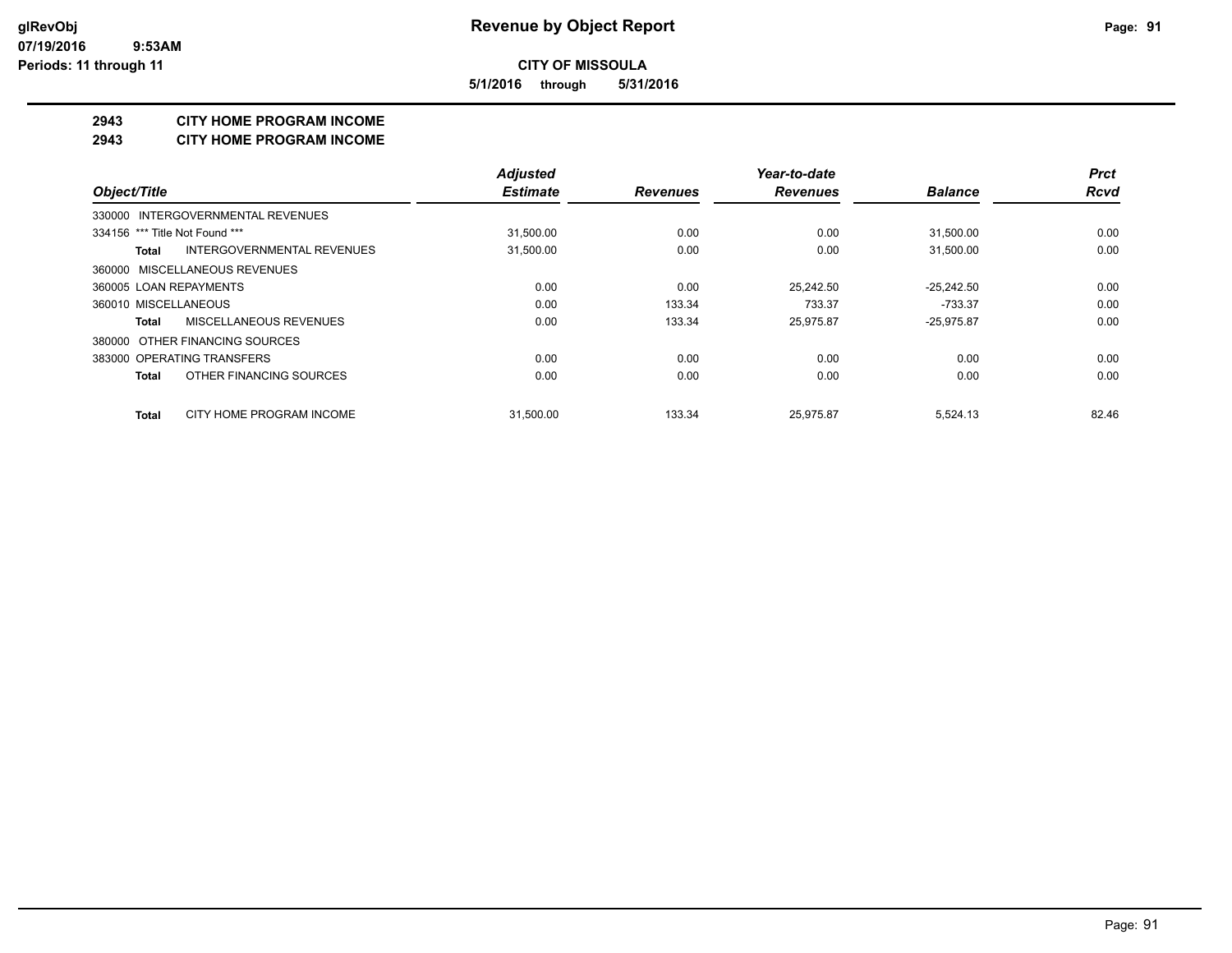**5/1/2016 through 5/31/2016**

#### **2943 CITY HOME PROGRAM INCOME**

#### **2943 CITY HOME PROGRAM INCOME**

|                                          | <b>Adjusted</b> |                 | Year-to-date    |                | <b>Prct</b> |
|------------------------------------------|-----------------|-----------------|-----------------|----------------|-------------|
| Object/Title                             | <b>Estimate</b> | <b>Revenues</b> | <b>Revenues</b> | <b>Balance</b> | <b>Rcvd</b> |
| 330000 INTERGOVERNMENTAL REVENUES        |                 |                 |                 |                |             |
| 334156 *** Title Not Found ***           | 31,500.00       | 0.00            | 0.00            | 31,500.00      | 0.00        |
| INTERGOVERNMENTAL REVENUES<br>Total      | 31,500.00       | 0.00            | 0.00            | 31,500.00      | 0.00        |
| 360000 MISCELLANEOUS REVENUES            |                 |                 |                 |                |             |
| 360005 LOAN REPAYMENTS                   | 0.00            | 0.00            | 25.242.50       | $-25.242.50$   | 0.00        |
| 360010 MISCELLANEOUS                     | 0.00            | 133.34          | 733.37          | $-733.37$      | 0.00        |
| MISCELLANEOUS REVENUES<br>Total          | 0.00            | 133.34          | 25.975.87       | $-25.975.87$   | 0.00        |
| 380000 OTHER FINANCING SOURCES           |                 |                 |                 |                |             |
| 383000 OPERATING TRANSFERS               | 0.00            | 0.00            | 0.00            | 0.00           | 0.00        |
| OTHER FINANCING SOURCES<br><b>Total</b>  | 0.00            | 0.00            | 0.00            | 0.00           | 0.00        |
| CITY HOME PROGRAM INCOME<br><b>Total</b> | 31.500.00       | 133.34          | 25.975.87       | 5.524.13       | 82.46       |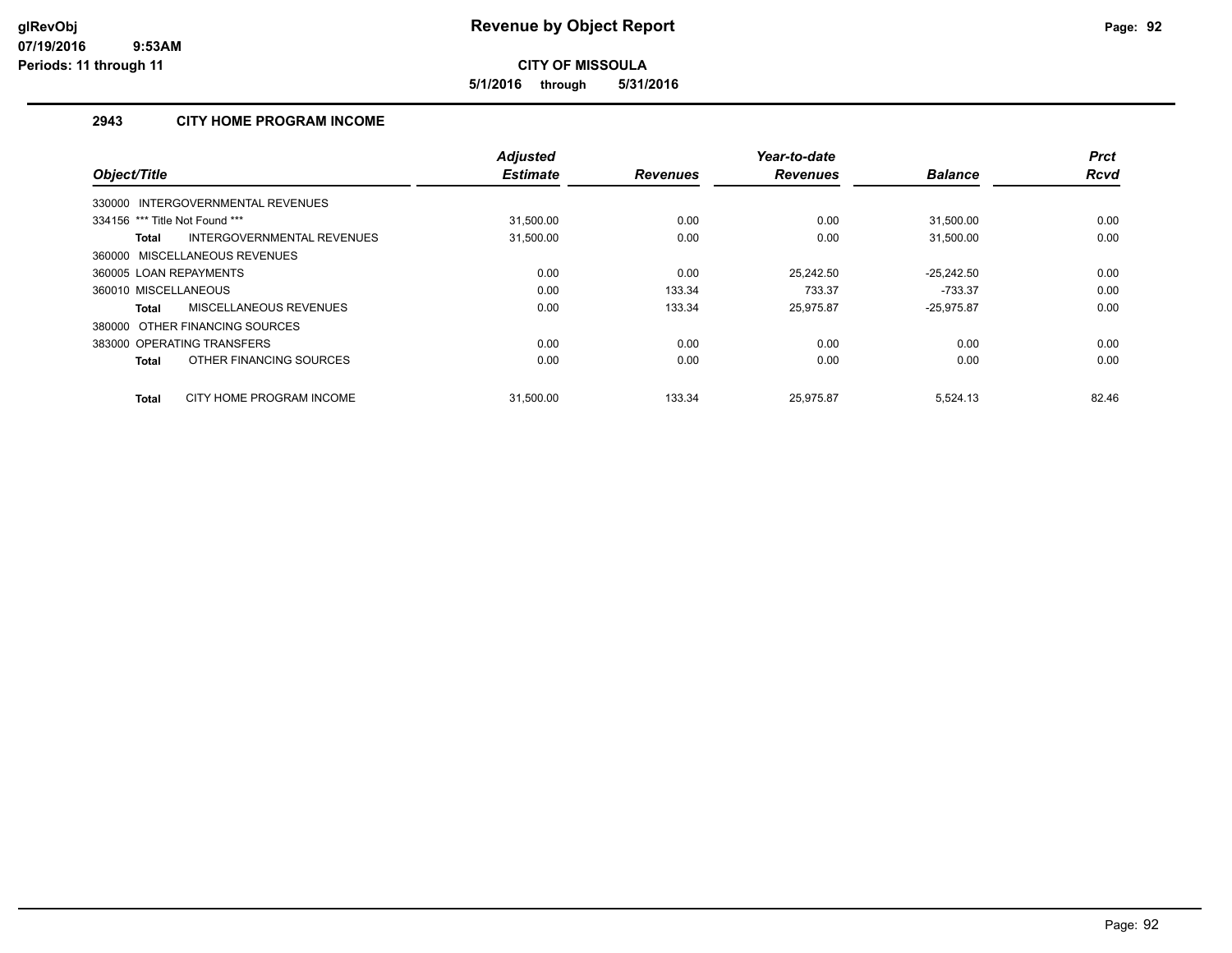**5/1/2016 through 5/31/2016**

# **2943 CITY HOME PROGRAM INCOME**

|                                            | <b>Adjusted</b> |                 | Year-to-date    |                | <b>Prct</b> |
|--------------------------------------------|-----------------|-----------------|-----------------|----------------|-------------|
| Object/Title                               | <b>Estimate</b> | <b>Revenues</b> | <b>Revenues</b> | <b>Balance</b> | <b>Rcvd</b> |
| 330000 INTERGOVERNMENTAL REVENUES          |                 |                 |                 |                |             |
| 334156 *** Title Not Found ***             | 31,500.00       | 0.00            | 0.00            | 31,500.00      | 0.00        |
| INTERGOVERNMENTAL REVENUES<br><b>Total</b> | 31,500.00       | 0.00            | 0.00            | 31,500.00      | 0.00        |
| 360000 MISCELLANEOUS REVENUES              |                 |                 |                 |                |             |
| 360005 LOAN REPAYMENTS                     | 0.00            | 0.00            | 25.242.50       | $-25.242.50$   | 0.00        |
| 360010 MISCELLANEOUS                       | 0.00            | 133.34          | 733.37          | $-733.37$      | 0.00        |
| MISCELLANEOUS REVENUES<br><b>Total</b>     | 0.00            | 133.34          | 25.975.87       | $-25.975.87$   | 0.00        |
| 380000 OTHER FINANCING SOURCES             |                 |                 |                 |                |             |
| 383000 OPERATING TRANSFERS                 | 0.00            | 0.00            | 0.00            | 0.00           | 0.00        |
| OTHER FINANCING SOURCES<br><b>Total</b>    | 0.00            | 0.00            | 0.00            | 0.00           | 0.00        |
| CITY HOME PROGRAM INCOME<br><b>Total</b>   | 31.500.00       | 133.34          | 25.975.87       | 5.524.13       | 82.46       |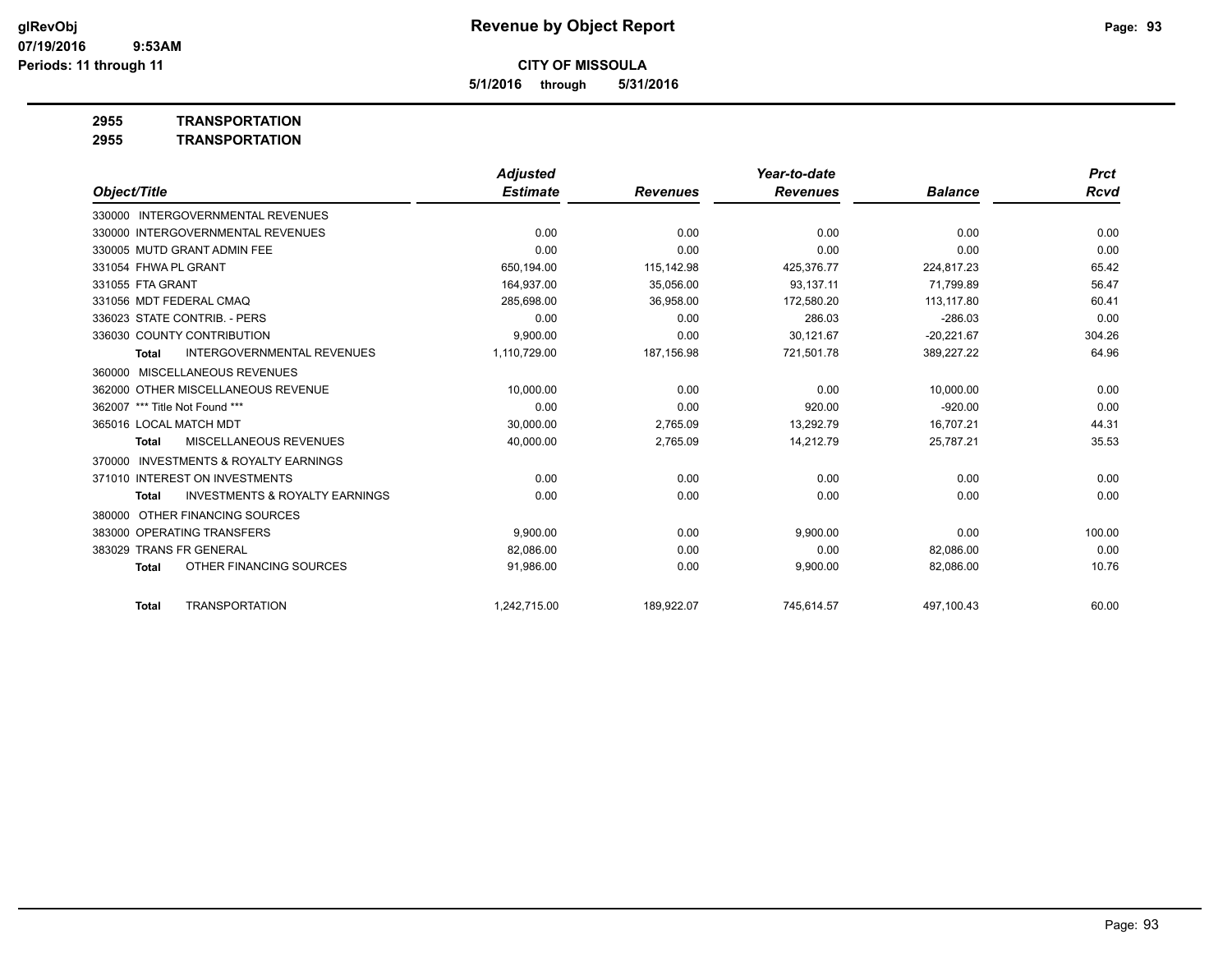**5/1/2016 through 5/31/2016**

**2955 TRANSPORTATION**

| <b>TRANSPORTATION</b> |
|-----------------------|
|                       |

|                              | <b>Adjusted</b>                                                                                                                                                                                                                                                                                                                                                                                                                                                                                                    |                 | Year-to-date    |                | <b>Prct</b> |
|------------------------------|--------------------------------------------------------------------------------------------------------------------------------------------------------------------------------------------------------------------------------------------------------------------------------------------------------------------------------------------------------------------------------------------------------------------------------------------------------------------------------------------------------------------|-----------------|-----------------|----------------|-------------|
|                              | <b>Estimate</b>                                                                                                                                                                                                                                                                                                                                                                                                                                                                                                    | <b>Revenues</b> | <b>Revenues</b> | <b>Balance</b> | Rcvd        |
|                              |                                                                                                                                                                                                                                                                                                                                                                                                                                                                                                                    |                 |                 |                |             |
|                              | 0.00                                                                                                                                                                                                                                                                                                                                                                                                                                                                                                               | 0.00            | 0.00            | 0.00           | 0.00        |
|                              | 0.00                                                                                                                                                                                                                                                                                                                                                                                                                                                                                                               | 0.00            | 0.00            | 0.00           | 0.00        |
|                              | 650,194.00                                                                                                                                                                                                                                                                                                                                                                                                                                                                                                         | 115,142.98      | 425.376.77      | 224,817.23     | 65.42       |
|                              | 164,937.00                                                                                                                                                                                                                                                                                                                                                                                                                                                                                                         | 35,056.00       | 93,137.11       | 71,799.89      | 56.47       |
|                              | 285.698.00                                                                                                                                                                                                                                                                                                                                                                                                                                                                                                         | 36.958.00       | 172,580.20      | 113.117.80     | 60.41       |
|                              | 0.00                                                                                                                                                                                                                                                                                                                                                                                                                                                                                                               | 0.00            | 286.03          | $-286.03$      | 0.00        |
|                              | 9,900.00                                                                                                                                                                                                                                                                                                                                                                                                                                                                                                           | 0.00            | 30,121.67       | $-20,221.67$   | 304.26      |
|                              | 1,110,729.00                                                                                                                                                                                                                                                                                                                                                                                                                                                                                                       | 187,156.98      | 721,501.78      | 389,227.22     | 64.96       |
|                              |                                                                                                                                                                                                                                                                                                                                                                                                                                                                                                                    |                 |                 |                |             |
|                              | 10,000.00                                                                                                                                                                                                                                                                                                                                                                                                                                                                                                          | 0.00            | 0.00            | 10,000.00      | 0.00        |
|                              | 0.00                                                                                                                                                                                                                                                                                                                                                                                                                                                                                                               | 0.00            | 920.00          | $-920.00$      | 0.00        |
|                              | 30,000.00                                                                                                                                                                                                                                                                                                                                                                                                                                                                                                          | 2,765.09        | 13,292.79       | 16,707.21      | 44.31       |
|                              | 40,000.00                                                                                                                                                                                                                                                                                                                                                                                                                                                                                                          | 2,765.09        | 14,212.79       | 25,787.21      | 35.53       |
|                              |                                                                                                                                                                                                                                                                                                                                                                                                                                                                                                                    |                 |                 |                |             |
|                              | 0.00                                                                                                                                                                                                                                                                                                                                                                                                                                                                                                               | 0.00            | 0.00            | 0.00           | 0.00        |
|                              | 0.00                                                                                                                                                                                                                                                                                                                                                                                                                                                                                                               | 0.00            | 0.00            | 0.00           | 0.00        |
|                              |                                                                                                                                                                                                                                                                                                                                                                                                                                                                                                                    |                 |                 |                |             |
|                              | 9,900.00                                                                                                                                                                                                                                                                                                                                                                                                                                                                                                           | 0.00            | 9,900.00        | 0.00           | 100.00      |
|                              | 82,086.00                                                                                                                                                                                                                                                                                                                                                                                                                                                                                                          | 0.00            | 0.00            | 82,086.00      | 0.00        |
|                              | 91,986.00                                                                                                                                                                                                                                                                                                                                                                                                                                                                                                          | 0.00            | 9,900.00        | 82,086.00      | 10.76       |
|                              |                                                                                                                                                                                                                                                                                                                                                                                                                                                                                                                    |                 |                 |                | 60.00       |
| 336023 STATE CONTRIB. - PERS | 330000 INTERGOVERNMENTAL REVENUES<br>330000 INTERGOVERNMENTAL REVENUES<br>330005 MUTD GRANT ADMIN FEE<br>336030 COUNTY CONTRIBUTION<br><b>INTERGOVERNMENTAL REVENUES</b><br>MISCELLANEOUS REVENUES<br>362000 OTHER MISCELLANEOUS REVENUE<br><b>MISCELLANEOUS REVENUES</b><br><b>INVESTMENTS &amp; ROYALTY EARNINGS</b><br>371010 INTEREST ON INVESTMENTS<br><b>INVESTMENTS &amp; ROYALTY EARNINGS</b><br>OTHER FINANCING SOURCES<br>383000 OPERATING TRANSFERS<br>OTHER FINANCING SOURCES<br><b>TRANSPORTATION</b> | 1.242.715.00    | 189,922.07      | 745,614.57     | 497,100.43  |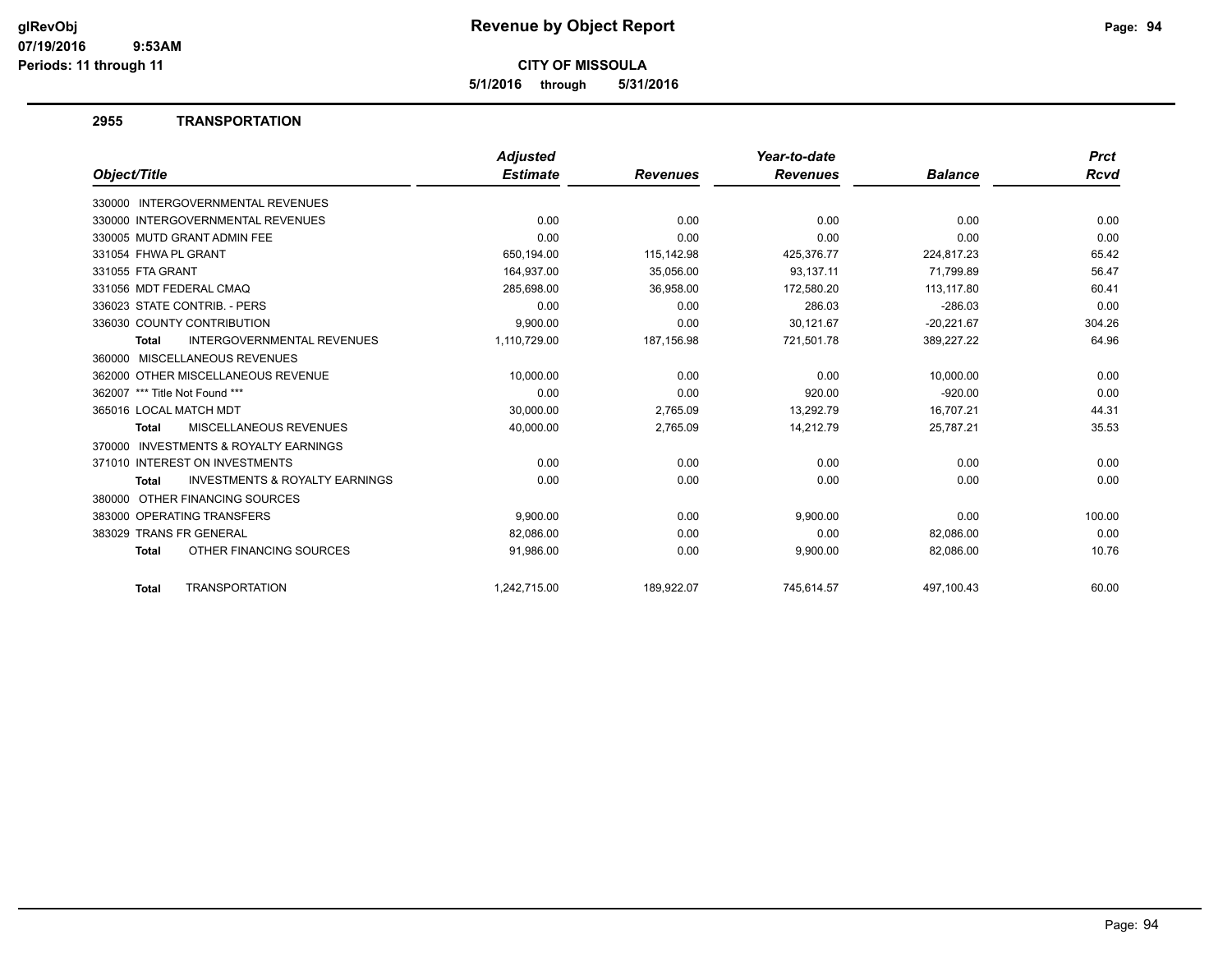**5/1/2016 through 5/31/2016**

#### **2955 TRANSPORTATION**

|                                                           | <b>Adjusted</b> |                 | Year-to-date    |                | <b>Prct</b> |
|-----------------------------------------------------------|-----------------|-----------------|-----------------|----------------|-------------|
| Object/Title                                              | <b>Estimate</b> | <b>Revenues</b> | <b>Revenues</b> | <b>Balance</b> | Rcvd        |
| 330000 INTERGOVERNMENTAL REVENUES                         |                 |                 |                 |                |             |
| 330000 INTERGOVERNMENTAL REVENUES                         | 0.00            | 0.00            | 0.00            | 0.00           | 0.00        |
| 330005 MUTD GRANT ADMIN FEE                               | 0.00            | 0.00            | 0.00            | 0.00           | 0.00        |
| 331054 FHWA PL GRANT                                      | 650,194.00      | 115,142.98      | 425,376.77      | 224,817.23     | 65.42       |
| 331055 FTA GRANT                                          | 164,937.00      | 35,056.00       | 93.137.11       | 71,799.89      | 56.47       |
| 331056 MDT FEDERAL CMAQ                                   | 285,698.00      | 36,958.00       | 172,580.20      | 113,117.80     | 60.41       |
| 336023 STATE CONTRIB. - PERS                              | 0.00            | 0.00            | 286.03          | $-286.03$      | 0.00        |
| 336030 COUNTY CONTRIBUTION                                | 9,900.00        | 0.00            | 30,121.67       | $-20,221.67$   | 304.26      |
| <b>INTERGOVERNMENTAL REVENUES</b><br><b>Total</b>         | 1,110,729.00    | 187,156.98      | 721,501.78      | 389,227.22     | 64.96       |
| 360000 MISCELLANEOUS REVENUES                             |                 |                 |                 |                |             |
| 362000 OTHER MISCELLANEOUS REVENUE                        | 10.000.00       | 0.00            | 0.00            | 10.000.00      | 0.00        |
| 362007 *** Title Not Found ***                            | 0.00            | 0.00            | 920.00          | $-920.00$      | 0.00        |
| 365016 LOCAL MATCH MDT                                    | 30,000.00       | 2,765.09        | 13,292.79       | 16,707.21      | 44.31       |
| MISCELLANEOUS REVENUES<br><b>Total</b>                    | 40,000.00       | 2,765.09        | 14,212.79       | 25,787.21      | 35.53       |
| <b>INVESTMENTS &amp; ROYALTY EARNINGS</b><br>370000       |                 |                 |                 |                |             |
| 371010 INTEREST ON INVESTMENTS                            | 0.00            | 0.00            | 0.00            | 0.00           | 0.00        |
| <b>INVESTMENTS &amp; ROYALTY EARNINGS</b><br><b>Total</b> | 0.00            | 0.00            | 0.00            | 0.00           | 0.00        |
| 380000 OTHER FINANCING SOURCES                            |                 |                 |                 |                |             |
| 383000 OPERATING TRANSFERS                                | 9,900.00        | 0.00            | 9,900.00        | 0.00           | 100.00      |
| 383029 TRANS FR GENERAL                                   | 82,086.00       | 0.00            | 0.00            | 82,086.00      | 0.00        |
| OTHER FINANCING SOURCES<br><b>Total</b>                   | 91,986.00       | 0.00            | 9,900.00        | 82,086.00      | 10.76       |
| <b>TRANSPORTATION</b><br><b>Total</b>                     | 1.242.715.00    | 189.922.07      | 745.614.57      | 497.100.43     | 60.00       |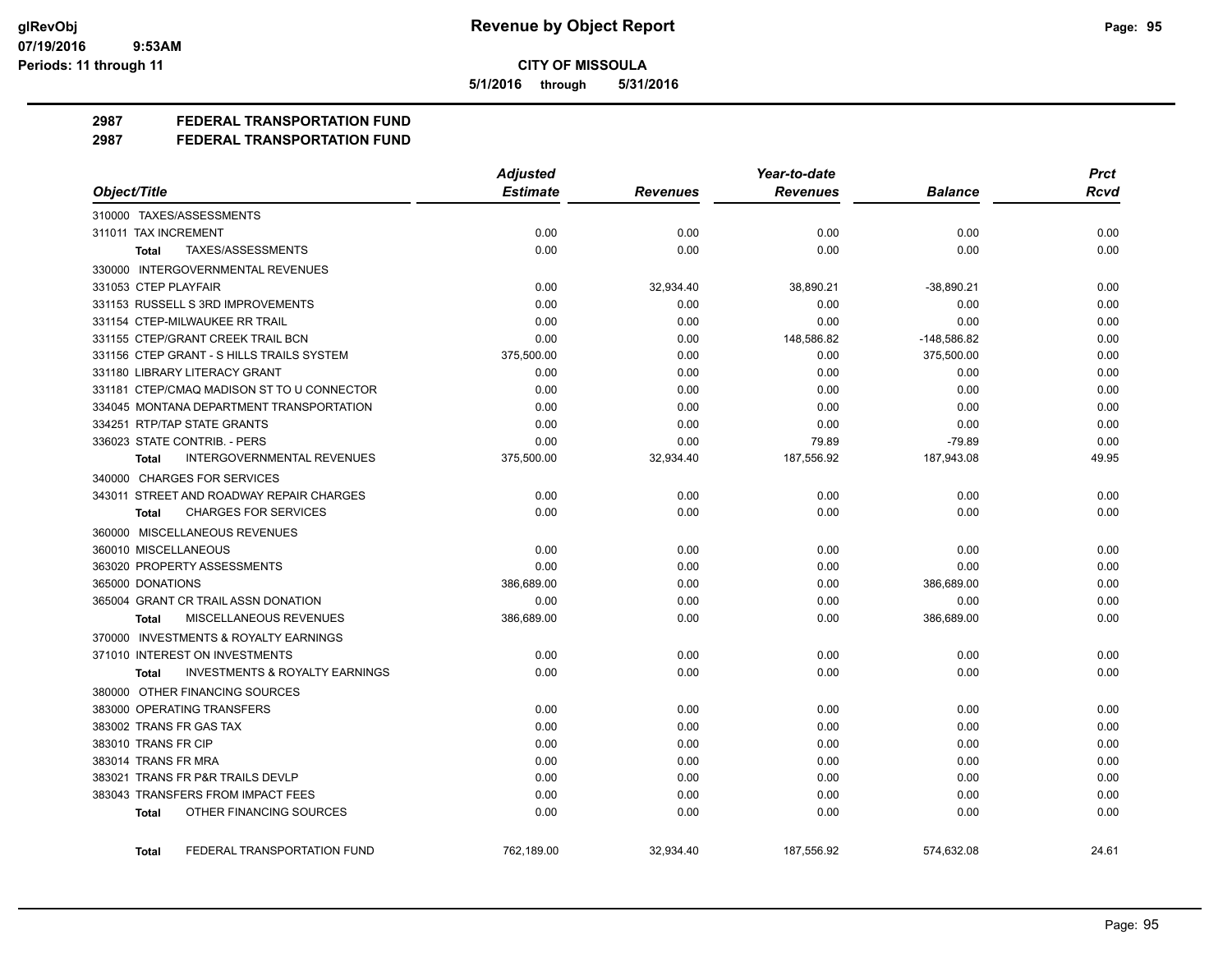**5/1/2016 through 5/31/2016**

**2987 FEDERAL TRANSPORTATION FUND**

**2987 FEDERAL TRANSPORTATION FUND**

|                                                    | <b>Adjusted</b> |                 | Year-to-date    |                | <b>Prct</b> |
|----------------------------------------------------|-----------------|-----------------|-----------------|----------------|-------------|
| Object/Title                                       | <b>Estimate</b> | <b>Revenues</b> | <b>Revenues</b> | <b>Balance</b> | Rcvd        |
| 310000 TAXES/ASSESSMENTS                           |                 |                 |                 |                |             |
| 311011 TAX INCREMENT                               | 0.00            | 0.00            | 0.00            | 0.00           | 0.00        |
| TAXES/ASSESSMENTS<br>Total                         | 0.00            | 0.00            | 0.00            | 0.00           | 0.00        |
| 330000 INTERGOVERNMENTAL REVENUES                  |                 |                 |                 |                |             |
| 331053 CTEP PLAYFAIR                               | 0.00            | 32,934.40       | 38,890.21       | $-38,890.21$   | 0.00        |
| 331153 RUSSELL S 3RD IMPROVEMENTS                  | 0.00            | 0.00            | 0.00            | 0.00           | 0.00        |
| 331154 CTEP-MILWAUKEE RR TRAIL                     | 0.00            | 0.00            | 0.00            | 0.00           | 0.00        |
| 331155 CTEP/GRANT CREEK TRAIL BCN                  | 0.00            | 0.00            | 148,586.82      | $-148,586.82$  | 0.00        |
| 331156 CTEP GRANT - S HILLS TRAILS SYSTEM          | 375,500.00      | 0.00            | 0.00            | 375,500.00     | 0.00        |
| 331180 LIBRARY LITERACY GRANT                      | 0.00            | 0.00            | 0.00            | 0.00           | 0.00        |
| 331181 CTEP/CMAQ MADISON ST TO U CONNECTOR         | 0.00            | 0.00            | 0.00            | 0.00           | 0.00        |
| 334045 MONTANA DEPARTMENT TRANSPORTATION           | 0.00            | 0.00            | 0.00            | 0.00           | 0.00        |
| 334251 RTP/TAP STATE GRANTS                        | 0.00            | 0.00            | 0.00            | 0.00           | 0.00        |
| 336023 STATE CONTRIB. - PERS                       | 0.00            | 0.00            | 79.89           | $-79.89$       | 0.00        |
| <b>Total</b><br><b>INTERGOVERNMENTAL REVENUES</b>  | 375,500.00      | 32,934.40       | 187,556.92      | 187,943.08     | 49.95       |
| 340000 CHARGES FOR SERVICES                        |                 |                 |                 |                |             |
| 343011 STREET AND ROADWAY REPAIR CHARGES           | 0.00            | 0.00            | 0.00            | 0.00           | 0.00        |
| <b>CHARGES FOR SERVICES</b><br>Total               | 0.00            | 0.00            | 0.00            | 0.00           | 0.00        |
| 360000 MISCELLANEOUS REVENUES                      |                 |                 |                 |                |             |
| 360010 MISCELLANEOUS                               | 0.00            | 0.00            | 0.00            | 0.00           | 0.00        |
| 363020 PROPERTY ASSESSMENTS                        | 0.00            | 0.00            | 0.00            | 0.00           | 0.00        |
| 365000 DONATIONS                                   | 386,689.00      | 0.00            | 0.00            | 386,689.00     | 0.00        |
| 365004 GRANT CR TRAIL ASSN DONATION                | 0.00            | 0.00            | 0.00            | 0.00           | 0.00        |
| MISCELLANEOUS REVENUES<br><b>Total</b>             | 386,689.00      | 0.00            | 0.00            | 386,689.00     | 0.00        |
| 370000 INVESTMENTS & ROYALTY EARNINGS              |                 |                 |                 |                |             |
| 371010 INTEREST ON INVESTMENTS                     | 0.00            | 0.00            | 0.00            | 0.00           | 0.00        |
| <b>INVESTMENTS &amp; ROYALTY EARNINGS</b><br>Total | 0.00            | 0.00            | 0.00            | 0.00           | 0.00        |
| 380000 OTHER FINANCING SOURCES                     |                 |                 |                 |                |             |
| 383000 OPERATING TRANSFERS                         | 0.00            | 0.00            | 0.00            | 0.00           | 0.00        |
| 383002 TRANS FR GAS TAX                            | 0.00            | 0.00            | 0.00            | 0.00           | 0.00        |
| 383010 TRANS FR CIP                                | 0.00            | 0.00            | 0.00            | 0.00           | 0.00        |
| 383014 TRANS FR MRA                                | 0.00            | 0.00            | 0.00            | 0.00           | 0.00        |
| 383021 TRANS FR P&R TRAILS DEVLP                   | 0.00            | 0.00            | 0.00            | 0.00           | 0.00        |
| 383043 TRANSFERS FROM IMPACT FEES                  | 0.00            | 0.00            | 0.00            | 0.00           | 0.00        |
| OTHER FINANCING SOURCES<br>Total                   | 0.00            | 0.00            | 0.00            | 0.00           | 0.00        |
|                                                    |                 |                 |                 |                |             |
| FEDERAL TRANSPORTATION FUND<br>Total               | 762,189.00      | 32,934.40       | 187,556.92      | 574,632.08     | 24.61       |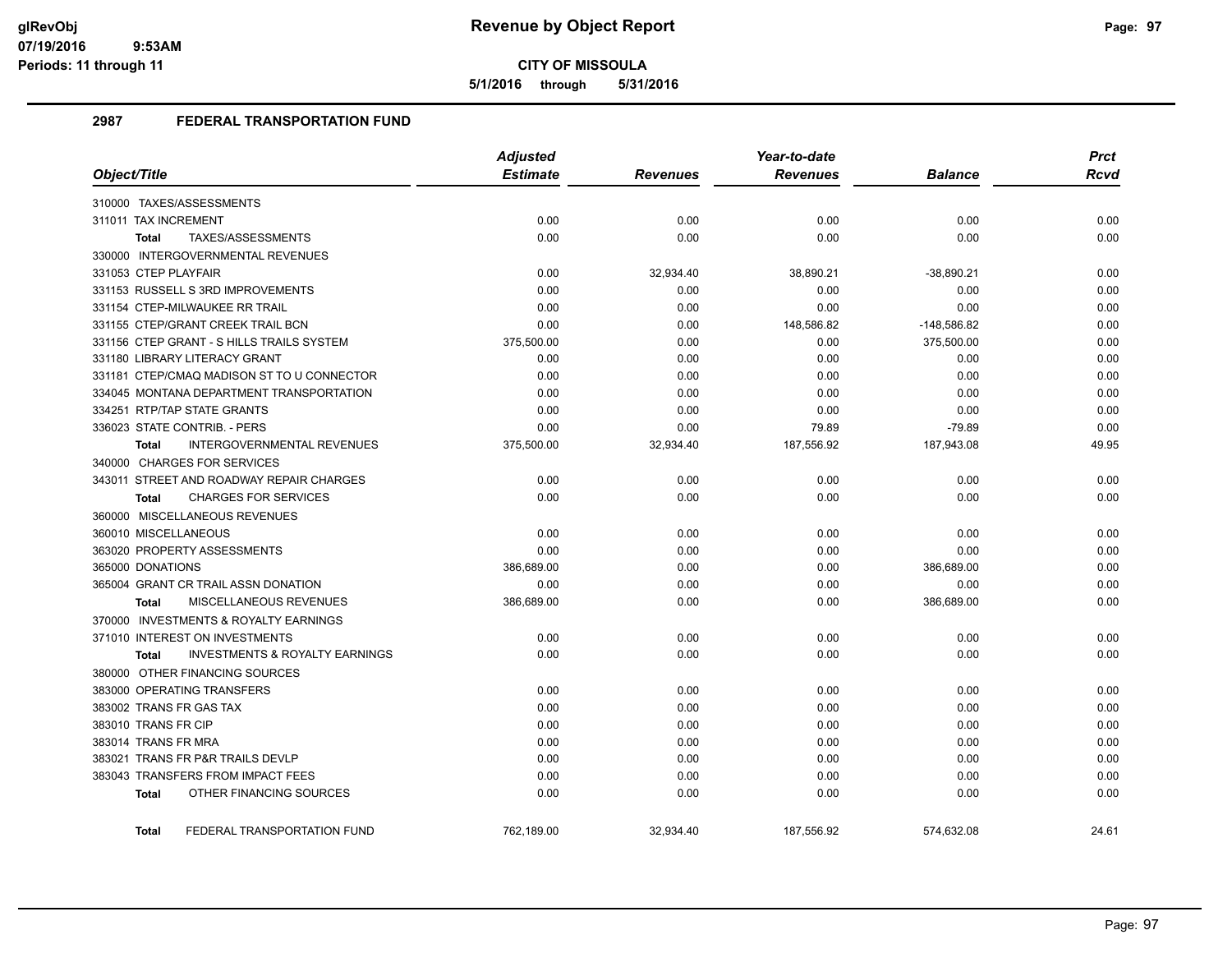**5/1/2016 through 5/31/2016**

# **2987 FEDERAL TRANSPORTATION FUND**

|                                                           | <b>Adjusted</b> |                 | Year-to-date    |                | <b>Prct</b> |
|-----------------------------------------------------------|-----------------|-----------------|-----------------|----------------|-------------|
| Object/Title                                              | <b>Estimate</b> | <b>Revenues</b> | <b>Revenues</b> | <b>Balance</b> | <b>Rcvd</b> |
| 310000 TAXES/ASSESSMENTS                                  |                 |                 |                 |                |             |
| 311011 TAX INCREMENT                                      | 0.00            | 0.00            | 0.00            | 0.00           | 0.00        |
| TAXES/ASSESSMENTS<br><b>Total</b>                         | 0.00            | 0.00            | 0.00            | 0.00           | 0.00        |
| 330000 INTERGOVERNMENTAL REVENUES                         |                 |                 |                 |                |             |
| 331053 CTEP PLAYFAIR                                      | 0.00            | 32,934.40       | 38,890.21       | $-38,890.21$   | 0.00        |
| 331153 RUSSELL S 3RD IMPROVEMENTS                         | 0.00            | 0.00            | 0.00            | 0.00           | 0.00        |
| 331154 CTEP-MILWAUKEE RR TRAIL                            | 0.00            | 0.00            | 0.00            | 0.00           | 0.00        |
| 331155 CTEP/GRANT CREEK TRAIL BCN                         | 0.00            | 0.00            | 148,586.82      | $-148,586.82$  | 0.00        |
| 331156 CTEP GRANT - S HILLS TRAILS SYSTEM                 | 375,500.00      | 0.00            | 0.00            | 375,500.00     | 0.00        |
| 331180 LIBRARY LITERACY GRANT                             | 0.00            | 0.00            | 0.00            | 0.00           | 0.00        |
| 331181 CTEP/CMAQ MADISON ST TO U CONNECTOR                | 0.00            | 0.00            | 0.00            | 0.00           | 0.00        |
| 334045 MONTANA DEPARTMENT TRANSPORTATION                  | 0.00            | 0.00            | 0.00            | 0.00           | 0.00        |
| 334251 RTP/TAP STATE GRANTS                               | 0.00            | 0.00            | 0.00            | 0.00           | 0.00        |
| 336023 STATE CONTRIB. - PERS                              | 0.00            | 0.00            | 79.89           | $-79.89$       | 0.00        |
| INTERGOVERNMENTAL REVENUES<br><b>Total</b>                | 375,500.00      | 32,934.40       | 187,556.92      | 187,943.08     | 49.95       |
| 340000 CHARGES FOR SERVICES                               |                 |                 |                 |                |             |
| 343011 STREET AND ROADWAY REPAIR CHARGES                  | 0.00            | 0.00            | 0.00            | 0.00           | 0.00        |
| <b>CHARGES FOR SERVICES</b><br><b>Total</b>               | 0.00            | 0.00            | 0.00            | 0.00           | 0.00        |
| 360000 MISCELLANEOUS REVENUES                             |                 |                 |                 |                |             |
| 360010 MISCELLANEOUS                                      | 0.00            | 0.00            | 0.00            | 0.00           | 0.00        |
| 363020 PROPERTY ASSESSMENTS                               | 0.00            | 0.00            | 0.00            | 0.00           | 0.00        |
| 365000 DONATIONS                                          | 386,689.00      | 0.00            | 0.00            | 386,689.00     | 0.00        |
| 365004 GRANT CR TRAIL ASSN DONATION                       | 0.00            | 0.00            | 0.00            | 0.00           | 0.00        |
| MISCELLANEOUS REVENUES<br><b>Total</b>                    | 386,689.00      | 0.00            | 0.00            | 386,689.00     | 0.00        |
| 370000 INVESTMENTS & ROYALTY EARNINGS                     |                 |                 |                 |                |             |
| 371010 INTEREST ON INVESTMENTS                            | 0.00            | 0.00            | 0.00            | 0.00           | 0.00        |
| <b>INVESTMENTS &amp; ROYALTY EARNINGS</b><br><b>Total</b> | 0.00            | 0.00            | 0.00            | 0.00           | 0.00        |
| 380000 OTHER FINANCING SOURCES                            |                 |                 |                 |                |             |
| 383000 OPERATING TRANSFERS                                | 0.00            | 0.00            | 0.00            | 0.00           | 0.00        |
| 383002 TRANS FR GAS TAX                                   | 0.00            | 0.00            | 0.00            | 0.00           | 0.00        |
| 383010 TRANS FR CIP                                       | 0.00            | 0.00            | 0.00            | 0.00           | 0.00        |
| 383014 TRANS FR MRA                                       | 0.00            | 0.00            | 0.00            | 0.00           | 0.00        |
| 383021 TRANS FR P&R TRAILS DEVLP                          | 0.00            | 0.00            | 0.00            | 0.00           | 0.00        |
| 383043 TRANSFERS FROM IMPACT FEES                         | 0.00            | 0.00            | 0.00            | 0.00           | 0.00        |
| OTHER FINANCING SOURCES<br><b>Total</b>                   | 0.00            | 0.00            | 0.00            | 0.00           | 0.00        |
| FEDERAL TRANSPORTATION FUND<br><b>Total</b>               | 762,189.00      | 32,934.40       | 187,556.92      | 574,632.08     | 24.61       |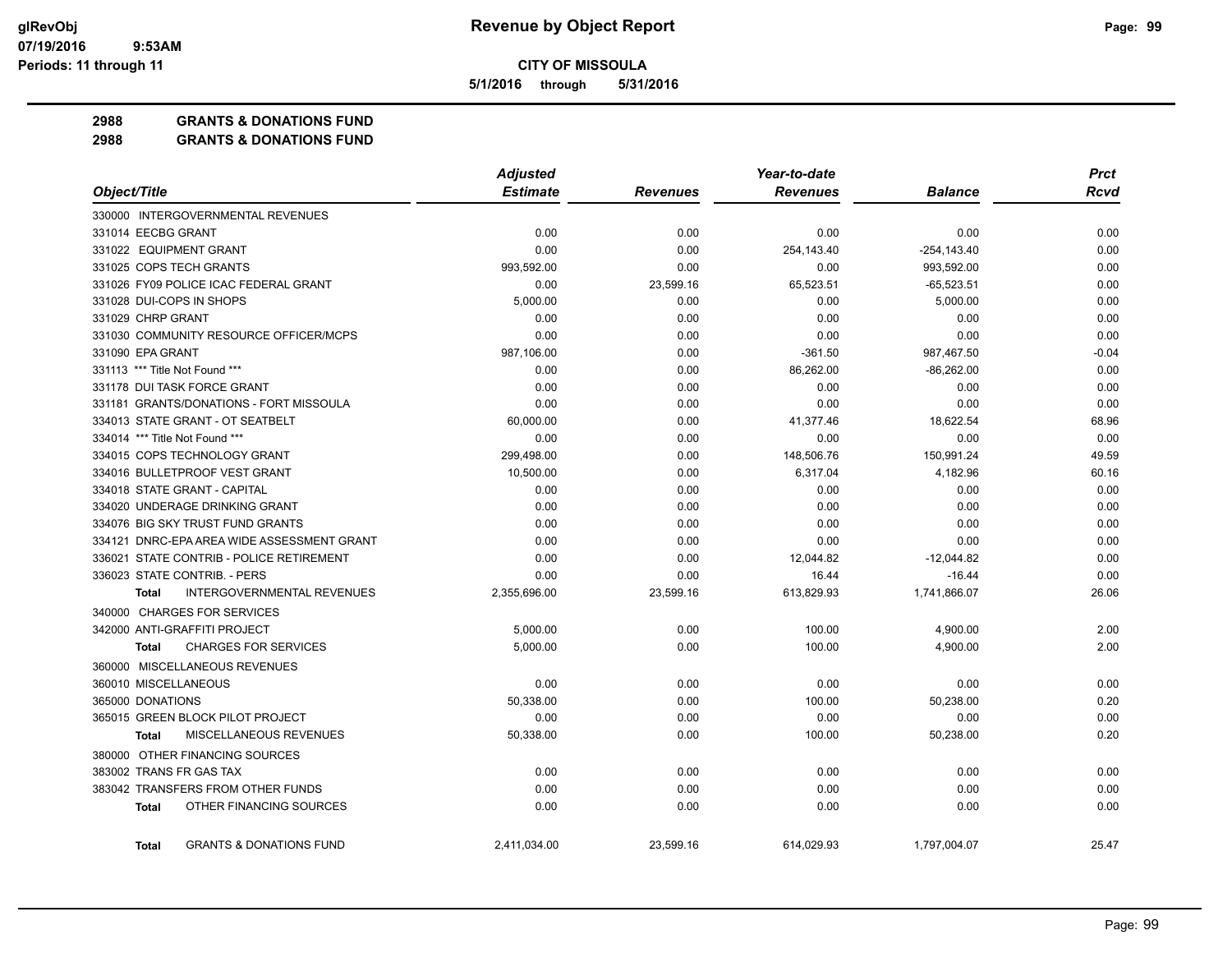**5/1/2016 through 5/31/2016**

**2988 GRANTS & DONATIONS FUND**

**2988 GRANTS & DONATIONS FUND**

|                                                    | <b>Adjusted</b> |                 | Year-to-date    | <b>Prct</b>    |             |
|----------------------------------------------------|-----------------|-----------------|-----------------|----------------|-------------|
| Object/Title                                       | <b>Estimate</b> | <b>Revenues</b> | <b>Revenues</b> | <b>Balance</b> | <b>Rcvd</b> |
| 330000 INTERGOVERNMENTAL REVENUES                  |                 |                 |                 |                |             |
| 331014 EECBG GRANT                                 | 0.00            | 0.00            | 0.00            | 0.00           | 0.00        |
| 331022 EQUIPMENT GRANT                             | 0.00            | 0.00            | 254,143.40      | $-254, 143.40$ | 0.00        |
| 331025 COPS TECH GRANTS                            | 993,592.00      | 0.00            | 0.00            | 993,592.00     | 0.00        |
| 331026 FY09 POLICE ICAC FEDERAL GRANT              | 0.00            | 23,599.16       | 65,523.51       | $-65,523.51$   | 0.00        |
| 331028 DUI-COPS IN SHOPS                           | 5,000.00        | 0.00            | 0.00            | 5,000.00       | 0.00        |
| 331029 CHRP GRANT                                  | 0.00            | 0.00            | 0.00            | 0.00           | 0.00        |
| 331030 COMMUNITY RESOURCE OFFICER/MCPS             | 0.00            | 0.00            | 0.00            | 0.00           | 0.00        |
| 331090 EPA GRANT                                   | 987,106.00      | 0.00            | $-361.50$       | 987,467.50     | $-0.04$     |
| 331113 *** Title Not Found ***                     | 0.00            | 0.00            | 86,262.00       | $-86,262.00$   | 0.00        |
| 331178 DUI TASK FORCE GRANT                        | 0.00            | 0.00            | 0.00            | 0.00           | 0.00        |
| 331181 GRANTS/DONATIONS - FORT MISSOULA            | 0.00            | 0.00            | 0.00            | 0.00           | 0.00        |
| 334013 STATE GRANT - OT SEATBELT                   | 60,000.00       | 0.00            | 41,377.46       | 18,622.54      | 68.96       |
| 334014 *** Title Not Found ***                     | 0.00            | 0.00            | 0.00            | 0.00           | 0.00        |
| 334015 COPS TECHNOLOGY GRANT                       | 299,498.00      | 0.00            | 148,506.76      | 150,991.24     | 49.59       |
| 334016 BULLETPROOF VEST GRANT                      | 10,500.00       | 0.00            | 6,317.04        | 4,182.96       | 60.16       |
| 334018 STATE GRANT - CAPITAL                       | 0.00            | 0.00            | 0.00            | 0.00           | 0.00        |
| 334020 UNDERAGE DRINKING GRANT                     | 0.00            | 0.00            | 0.00            | 0.00           | 0.00        |
| 334076 BIG SKY TRUST FUND GRANTS                   | 0.00            | 0.00            | 0.00            | 0.00           | 0.00        |
| 334121 DNRC-EPA AREA WIDE ASSESSMENT GRANT         | 0.00            | 0.00            | 0.00            | 0.00           | 0.00        |
| 336021 STATE CONTRIB - POLICE RETIREMENT           | 0.00            | 0.00            | 12,044.82       | $-12,044.82$   | 0.00        |
| 336023 STATE CONTRIB. - PERS                       | 0.00            | 0.00            | 16.44           | $-16.44$       | 0.00        |
| <b>INTERGOVERNMENTAL REVENUES</b><br><b>Total</b>  | 2,355,696.00    | 23,599.16       | 613,829.93      | 1,741,866.07   | 26.06       |
| 340000 CHARGES FOR SERVICES                        |                 |                 |                 |                |             |
| 342000 ANTI-GRAFFITI PROJECT                       | 5,000.00        | 0.00            | 100.00          | 4,900.00       | 2.00        |
| <b>CHARGES FOR SERVICES</b><br><b>Total</b>        | 5,000.00        | 0.00            | 100.00          | 4,900.00       | 2.00        |
| 360000 MISCELLANEOUS REVENUES                      |                 |                 |                 |                |             |
| 360010 MISCELLANEOUS                               | 0.00            | 0.00            | 0.00            | 0.00           | 0.00        |
| 365000 DONATIONS                                   | 50,338.00       | 0.00            | 100.00          | 50,238.00      | 0.20        |
| 365015 GREEN BLOCK PILOT PROJECT                   | 0.00            | 0.00            | 0.00            | 0.00           | 0.00        |
| MISCELLANEOUS REVENUES<br><b>Total</b>             | 50,338.00       | 0.00            | 100.00          | 50,238.00      | 0.20        |
| 380000 OTHER FINANCING SOURCES                     |                 |                 |                 |                |             |
| 383002 TRANS FR GAS TAX                            | 0.00            | 0.00            | 0.00            | 0.00           | 0.00        |
| 383042 TRANSFERS FROM OTHER FUNDS                  | 0.00            | 0.00            | 0.00            | 0.00           | 0.00        |
| OTHER FINANCING SOURCES<br><b>Total</b>            | 0.00            | 0.00            | 0.00            | 0.00           | 0.00        |
|                                                    |                 |                 |                 |                |             |
| <b>GRANTS &amp; DONATIONS FUND</b><br><b>Total</b> | 2,411,034.00    | 23,599.16       | 614,029.93      | 1,797,004.07   | 25.47       |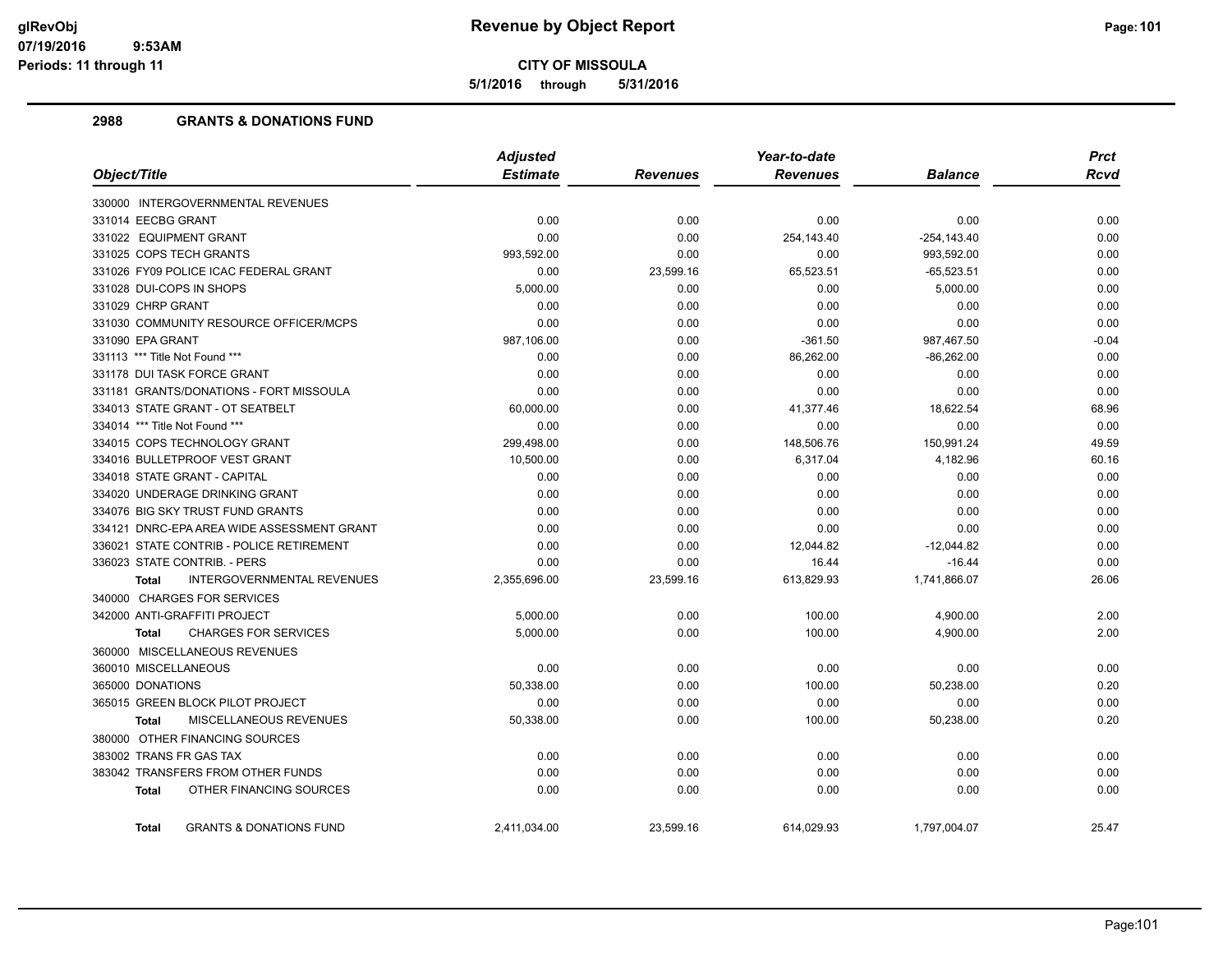**5/1/2016 through 5/31/2016**

# **2988 GRANTS & DONATIONS FUND**

|                                                   | <b>Adjusted</b> |                 | Year-to-date    |                | <b>Prct</b> |
|---------------------------------------------------|-----------------|-----------------|-----------------|----------------|-------------|
| Object/Title                                      | <b>Estimate</b> | <b>Revenues</b> | <b>Revenues</b> | <b>Balance</b> | <b>Rcvd</b> |
| 330000 INTERGOVERNMENTAL REVENUES                 |                 |                 |                 |                |             |
| 331014 EECBG GRANT                                | 0.00            | 0.00            | 0.00            | 0.00           | 0.00        |
| 331022 EQUIPMENT GRANT                            | 0.00            | 0.00            | 254,143.40      | $-254, 143.40$ | 0.00        |
| 331025 COPS TECH GRANTS                           | 993,592.00      | 0.00            | 0.00            | 993,592.00     | 0.00        |
| 331026 FY09 POLICE ICAC FEDERAL GRANT             | 0.00            | 23,599.16       | 65,523.51       | $-65,523.51$   | 0.00        |
| 331028 DUI-COPS IN SHOPS                          | 5,000.00        | 0.00            | 0.00            | 5,000.00       | 0.00        |
| 331029 CHRP GRANT                                 | 0.00            | 0.00            | 0.00            | 0.00           | 0.00        |
| 331030 COMMUNITY RESOURCE OFFICER/MCPS            | 0.00            | 0.00            | 0.00            | 0.00           | 0.00        |
| 331090 EPA GRANT                                  | 987,106.00      | 0.00            | $-361.50$       | 987,467.50     | $-0.04$     |
| 331113 *** Title Not Found ***                    | 0.00            | 0.00            | 86,262.00       | $-86,262.00$   | 0.00        |
| 331178 DUI TASK FORCE GRANT                       | 0.00            | 0.00            | 0.00            | 0.00           | 0.00        |
| 331181 GRANTS/DONATIONS - FORT MISSOULA           | 0.00            | 0.00            | 0.00            | 0.00           | 0.00        |
| 334013 STATE GRANT - OT SEATBELT                  | 60,000.00       | 0.00            | 41,377.46       | 18,622.54      | 68.96       |
| 334014 *** Title Not Found ***                    | 0.00            | 0.00            | 0.00            | 0.00           | 0.00        |
| 334015 COPS TECHNOLOGY GRANT                      | 299,498.00      | 0.00            | 148,506.76      | 150,991.24     | 49.59       |
| 334016 BULLETPROOF VEST GRANT                     | 10,500.00       | 0.00            | 6,317.04        | 4,182.96       | 60.16       |
| 334018 STATE GRANT - CAPITAL                      | 0.00            | 0.00            | 0.00            | 0.00           | 0.00        |
| 334020 UNDERAGE DRINKING GRANT                    | 0.00            | 0.00            | 0.00            | 0.00           | 0.00        |
| 334076 BIG SKY TRUST FUND GRANTS                  | 0.00            | 0.00            | 0.00            | 0.00           | 0.00        |
| 334121 DNRC-EPA AREA WIDE ASSESSMENT GRANT        | 0.00            | 0.00            | 0.00            | 0.00           | 0.00        |
| 336021 STATE CONTRIB - POLICE RETIREMENT          | 0.00            | 0.00            | 12,044.82       | $-12,044.82$   | 0.00        |
| 336023 STATE CONTRIB. - PERS                      | 0.00            | 0.00            | 16.44           | $-16.44$       | 0.00        |
| <b>INTERGOVERNMENTAL REVENUES</b><br><b>Total</b> | 2,355,696.00    | 23,599.16       | 613,829.93      | 1,741,866.07   | 26.06       |
| 340000 CHARGES FOR SERVICES                       |                 |                 |                 |                |             |
| 342000 ANTI-GRAFFITI PROJECT                      | 5,000.00        | 0.00            | 100.00          | 4,900.00       | 2.00        |
| <b>CHARGES FOR SERVICES</b><br><b>Total</b>       | 5,000.00        | 0.00            | 100.00          | 4,900.00       | 2.00        |
| 360000 MISCELLANEOUS REVENUES                     |                 |                 |                 |                |             |
| 360010 MISCELLANEOUS                              | 0.00            | 0.00            | 0.00            | 0.00           | 0.00        |
| 365000 DONATIONS                                  | 50,338.00       | 0.00            | 100.00          | 50,238.00      | 0.20        |
| 365015 GREEN BLOCK PILOT PROJECT                  | 0.00            | 0.00            | 0.00            | 0.00           | 0.00        |
| <b>MISCELLANEOUS REVENUES</b><br><b>Total</b>     | 50,338.00       | 0.00            | 100.00          | 50,238.00      | 0.20        |
| 380000 OTHER FINANCING SOURCES                    |                 |                 |                 |                |             |
| 383002 TRANS FR GAS TAX                           | 0.00            | 0.00            | 0.00            | 0.00           | 0.00        |
| 383042 TRANSFERS FROM OTHER FUNDS                 | 0.00            | 0.00            | 0.00            | 0.00           | 0.00        |
| OTHER FINANCING SOURCES<br>Total                  | 0.00            | 0.00            | 0.00            | 0.00           | 0.00        |
| <b>GRANTS &amp; DONATIONS FUND</b><br>Total       | 2,411,034.00    | 23,599.16       | 614,029.93      | 1,797,004.07   | 25.47       |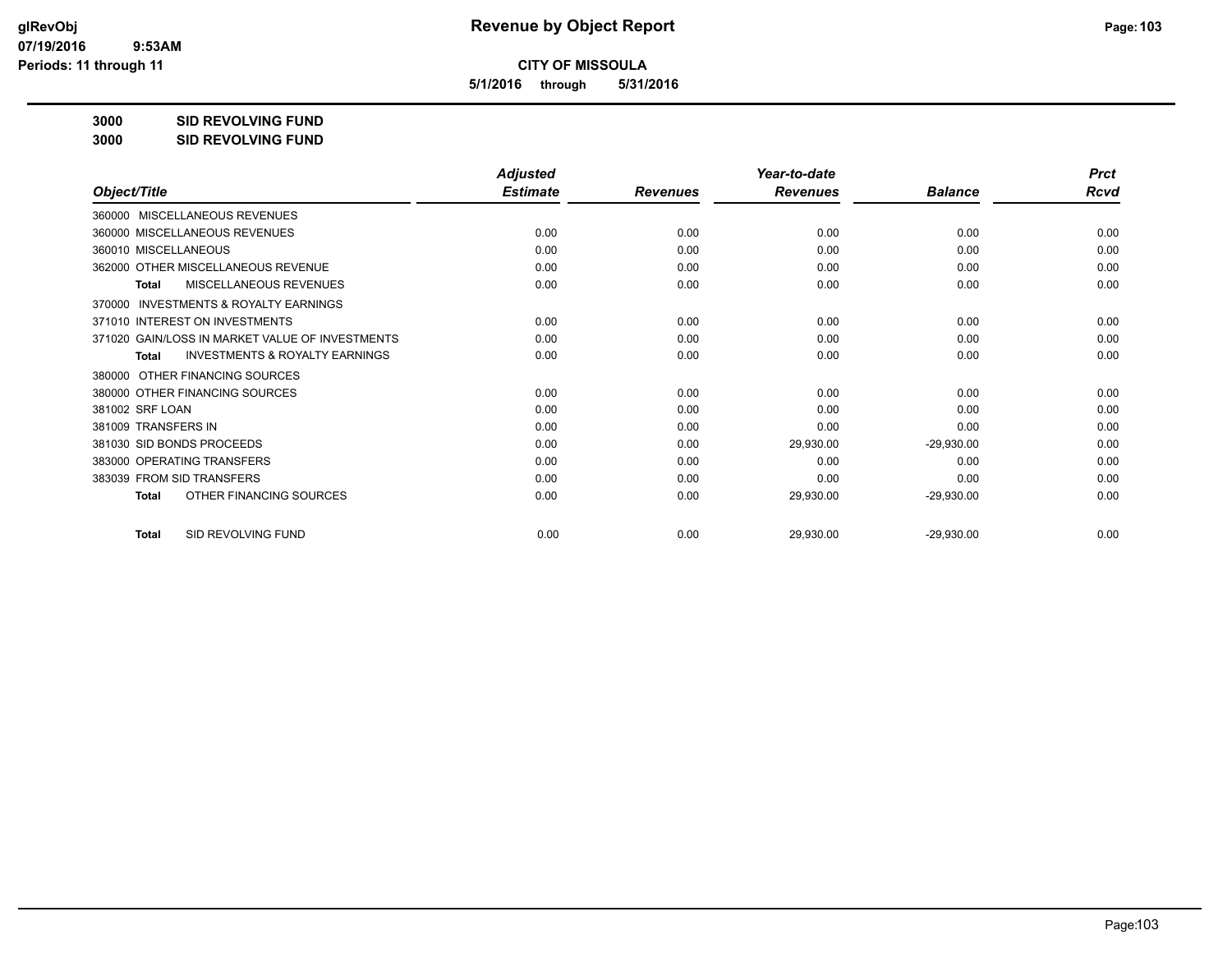**5/1/2016 through 5/31/2016**

**3000 SID REVOLVING FUND**

**3000 SID REVOLVING FUND**

|                                                           | <b>Adjusted</b> |                 | Year-to-date    |                | <b>Prct</b> |
|-----------------------------------------------------------|-----------------|-----------------|-----------------|----------------|-------------|
| Object/Title                                              | <b>Estimate</b> | <b>Revenues</b> | <b>Revenues</b> | <b>Balance</b> | Rcvd        |
| MISCELLANEOUS REVENUES<br>360000                          |                 |                 |                 |                |             |
| 360000 MISCELLANEOUS REVENUES                             | 0.00            | 0.00            | 0.00            | 0.00           | 0.00        |
| 360010 MISCELLANEOUS                                      | 0.00            | 0.00            | 0.00            | 0.00           | 0.00        |
| 362000 OTHER MISCELLANEOUS REVENUE                        | 0.00            | 0.00            | 0.00            | 0.00           | 0.00        |
| MISCELLANEOUS REVENUES<br>Total                           | 0.00            | 0.00            | 0.00            | 0.00           | 0.00        |
| INVESTMENTS & ROYALTY EARNINGS<br>370000                  |                 |                 |                 |                |             |
| 371010 INTEREST ON INVESTMENTS                            | 0.00            | 0.00            | 0.00            | 0.00           | 0.00        |
| 371020 GAIN/LOSS IN MARKET VALUE OF INVESTMENTS           | 0.00            | 0.00            | 0.00            | 0.00           | 0.00        |
| <b>INVESTMENTS &amp; ROYALTY EARNINGS</b><br><b>Total</b> | 0.00            | 0.00            | 0.00            | 0.00           | 0.00        |
| OTHER FINANCING SOURCES<br>380000                         |                 |                 |                 |                |             |
| 380000 OTHER FINANCING SOURCES                            | 0.00            | 0.00            | 0.00            | 0.00           | 0.00        |
| 381002 SRF LOAN                                           | 0.00            | 0.00            | 0.00            | 0.00           | 0.00        |
| 381009 TRANSFERS IN                                       | 0.00            | 0.00            | 0.00            | 0.00           | 0.00        |
| 381030 SID BONDS PROCEEDS                                 | 0.00            | 0.00            | 29,930.00       | $-29,930.00$   | 0.00        |
| 383000 OPERATING TRANSFERS                                | 0.00            | 0.00            | 0.00            | 0.00           | 0.00        |
| 383039 FROM SID TRANSFERS                                 | 0.00            | 0.00            | 0.00            | 0.00           | 0.00        |
| OTHER FINANCING SOURCES<br><b>Total</b>                   | 0.00            | 0.00            | 29,930.00       | $-29,930.00$   | 0.00        |
| SID REVOLVING FUND<br><b>Total</b>                        | 0.00            | 0.00            | 29,930.00       | $-29,930.00$   | 0.00        |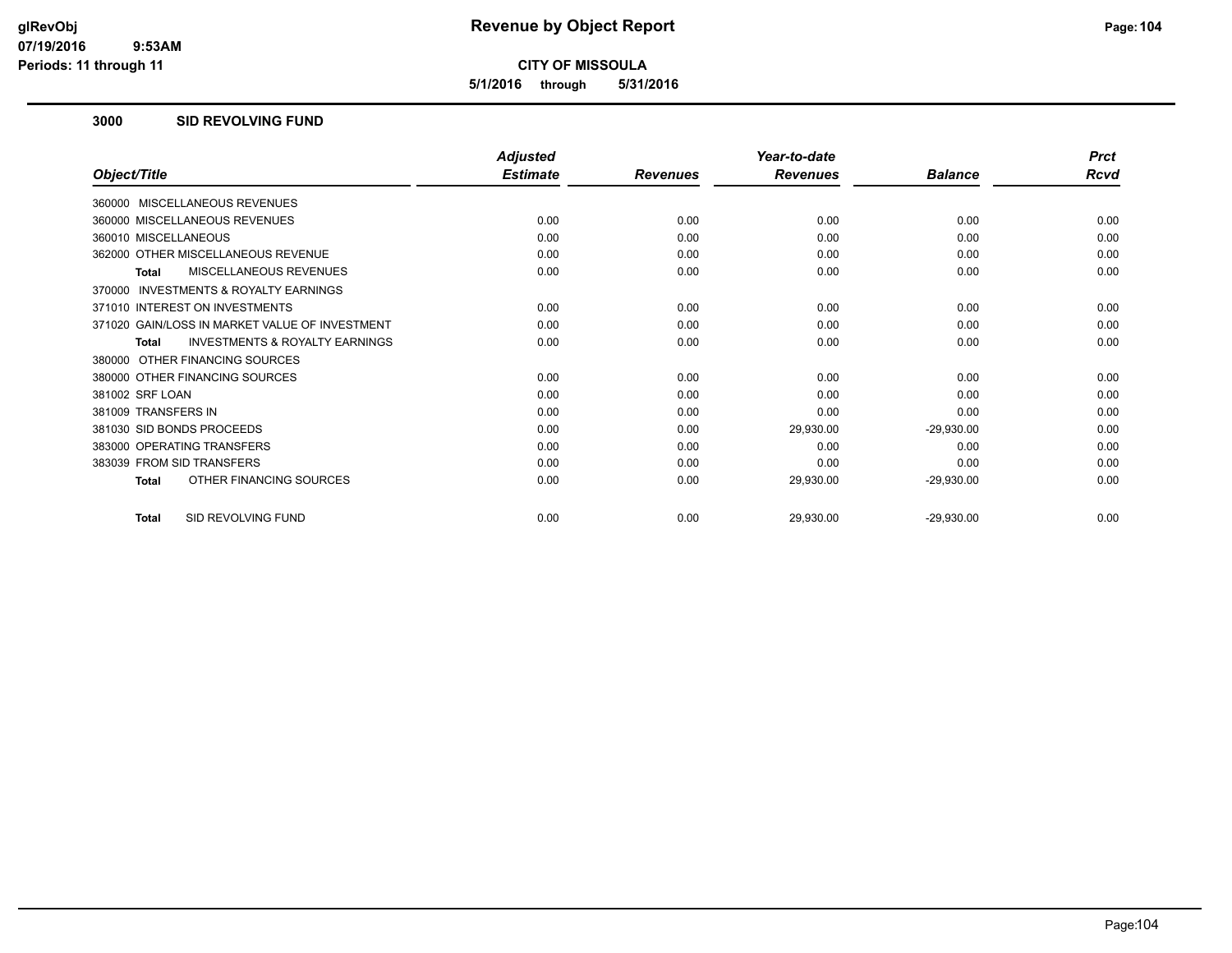**5/1/2016 through 5/31/2016**

### **3000 SID REVOLVING FUND**

|                                                           | <b>Adjusted</b> |                 | Year-to-date    |                | <b>Prct</b> |
|-----------------------------------------------------------|-----------------|-----------------|-----------------|----------------|-------------|
| Object/Title                                              | <b>Estimate</b> | <b>Revenues</b> | <b>Revenues</b> | <b>Balance</b> | Rcvd        |
| 360000 MISCELLANEOUS REVENUES                             |                 |                 |                 |                |             |
| 360000 MISCELLANEOUS REVENUES                             | 0.00            | 0.00            | 0.00            | 0.00           | 0.00        |
| 360010 MISCELLANEOUS                                      | 0.00            | 0.00            | 0.00            | 0.00           | 0.00        |
| 362000 OTHER MISCELLANEOUS REVENUE                        | 0.00            | 0.00            | 0.00            | 0.00           | 0.00        |
| MISCELLANEOUS REVENUES<br><b>Total</b>                    | 0.00            | 0.00            | 0.00            | 0.00           | 0.00        |
| <b>INVESTMENTS &amp; ROYALTY EARNINGS</b><br>370000       |                 |                 |                 |                |             |
| 371010 INTEREST ON INVESTMENTS                            | 0.00            | 0.00            | 0.00            | 0.00           | 0.00        |
| 371020 GAIN/LOSS IN MARKET VALUE OF INVESTMENT            | 0.00            | 0.00            | 0.00            | 0.00           | 0.00        |
| <b>INVESTMENTS &amp; ROYALTY EARNINGS</b><br><b>Total</b> | 0.00            | 0.00            | 0.00            | 0.00           | 0.00        |
| 380000 OTHER FINANCING SOURCES                            |                 |                 |                 |                |             |
| 380000 OTHER FINANCING SOURCES                            | 0.00            | 0.00            | 0.00            | 0.00           | 0.00        |
| 381002 SRF LOAN                                           | 0.00            | 0.00            | 0.00            | 0.00           | 0.00        |
| 381009 TRANSFERS IN                                       | 0.00            | 0.00            | 0.00            | 0.00           | 0.00        |
| 381030 SID BONDS PROCEEDS                                 | 0.00            | 0.00            | 29,930.00       | $-29,930.00$   | 0.00        |
| 383000 OPERATING TRANSFERS                                | 0.00            | 0.00            | 0.00            | 0.00           | 0.00        |
| 383039 FROM SID TRANSFERS                                 | 0.00            | 0.00            | 0.00            | 0.00           | 0.00        |
| OTHER FINANCING SOURCES<br><b>Total</b>                   | 0.00            | 0.00            | 29,930.00       | $-29,930.00$   | 0.00        |
| SID REVOLVING FUND<br><b>Total</b>                        | 0.00            | 0.00            | 29,930.00       | $-29,930.00$   | 0.00        |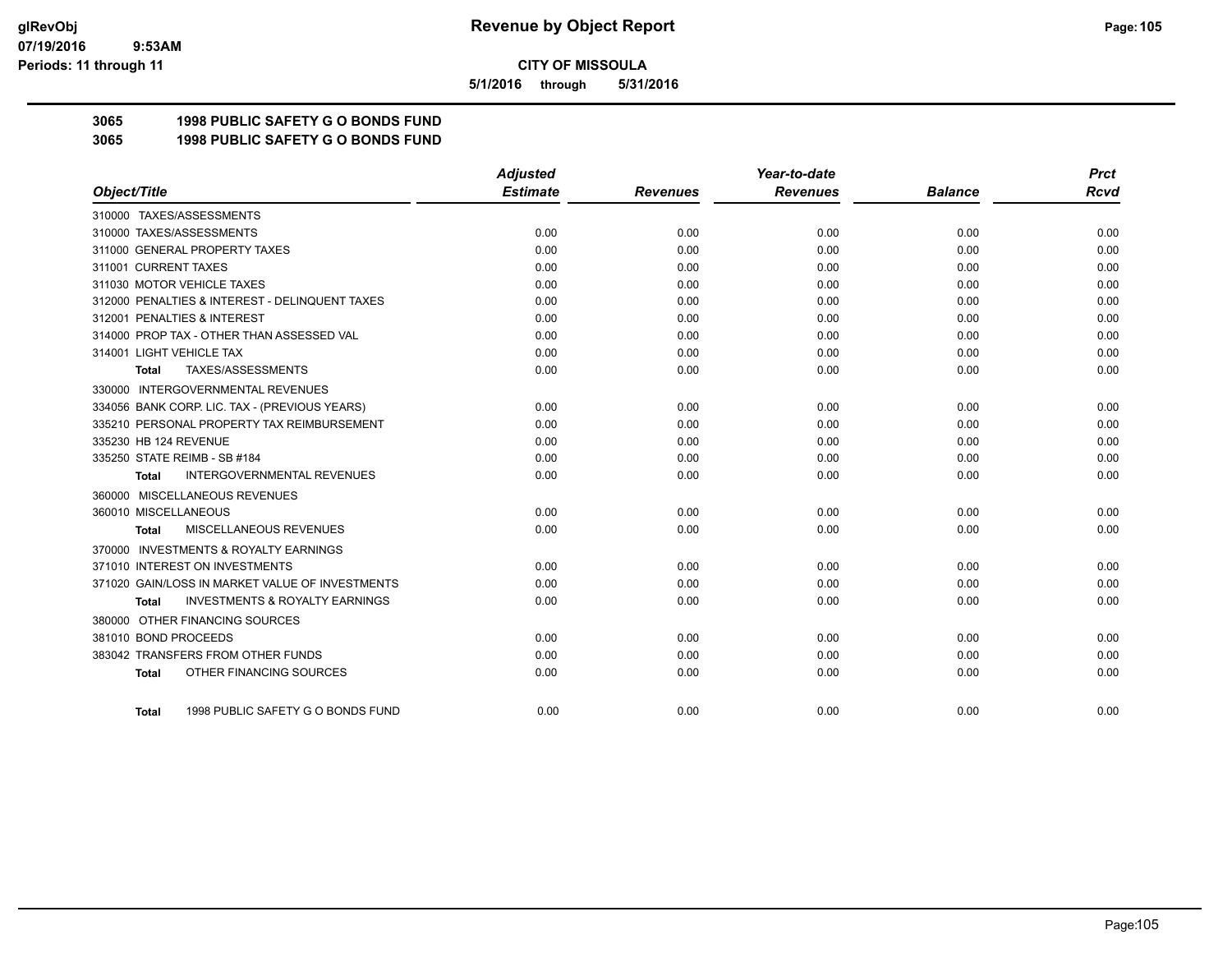**5/1/2016 through 5/31/2016**

# **3065 1998 PUBLIC SAFETY G O BONDS FUND**

**3065 1998 PUBLIC SAFETY G O BONDS FUND**

|                                                           | <b>Adjusted</b> |                 | Year-to-date    |                | <b>Prct</b> |
|-----------------------------------------------------------|-----------------|-----------------|-----------------|----------------|-------------|
| Object/Title                                              | <b>Estimate</b> | <b>Revenues</b> | <b>Revenues</b> | <b>Balance</b> | Rcvd        |
| 310000 TAXES/ASSESSMENTS                                  |                 |                 |                 |                |             |
| 310000 TAXES/ASSESSMENTS                                  | 0.00            | 0.00            | 0.00            | 0.00           | 0.00        |
| 311000 GENERAL PROPERTY TAXES                             | 0.00            | 0.00            | 0.00            | 0.00           | 0.00        |
| 311001 CURRENT TAXES                                      | 0.00            | 0.00            | 0.00            | 0.00           | 0.00        |
| 311030 MOTOR VEHICLE TAXES                                | 0.00            | 0.00            | 0.00            | 0.00           | 0.00        |
| 312000 PENALTIES & INTEREST - DELINQUENT TAXES            | 0.00            | 0.00            | 0.00            | 0.00           | 0.00        |
| 312001 PENALTIES & INTEREST                               | 0.00            | 0.00            | 0.00            | 0.00           | 0.00        |
| 314000 PROP TAX - OTHER THAN ASSESSED VAL                 | 0.00            | 0.00            | 0.00            | 0.00           | 0.00        |
| 314001 LIGHT VEHICLE TAX                                  | 0.00            | 0.00            | 0.00            | 0.00           | 0.00        |
| TAXES/ASSESSMENTS<br><b>Total</b>                         | 0.00            | 0.00            | 0.00            | 0.00           | 0.00        |
| 330000 INTERGOVERNMENTAL REVENUES                         |                 |                 |                 |                |             |
| 334056 BANK CORP. LIC. TAX - (PREVIOUS YEARS)             | 0.00            | 0.00            | 0.00            | 0.00           | 0.00        |
| 335210 PERSONAL PROPERTY TAX REIMBURSEMENT                | 0.00            | 0.00            | 0.00            | 0.00           | 0.00        |
| 335230 HB 124 REVENUE                                     | 0.00            | 0.00            | 0.00            | 0.00           | 0.00        |
| 335250 STATE REIMB - SB #184                              | 0.00            | 0.00            | 0.00            | 0.00           | 0.00        |
| <b>INTERGOVERNMENTAL REVENUES</b><br><b>Total</b>         | 0.00            | 0.00            | 0.00            | 0.00           | 0.00        |
| 360000 MISCELLANEOUS REVENUES                             |                 |                 |                 |                |             |
| 360010 MISCELLANEOUS                                      | 0.00            | 0.00            | 0.00            | 0.00           | 0.00        |
| MISCELLANEOUS REVENUES<br>Total                           | 0.00            | 0.00            | 0.00            | 0.00           | 0.00        |
| 370000 INVESTMENTS & ROYALTY EARNINGS                     |                 |                 |                 |                |             |
| 371010 INTEREST ON INVESTMENTS                            | 0.00            | 0.00            | 0.00            | 0.00           | 0.00        |
| 371020 GAIN/LOSS IN MARKET VALUE OF INVESTMENTS           | 0.00            | 0.00            | 0.00            | 0.00           | 0.00        |
| <b>INVESTMENTS &amp; ROYALTY EARNINGS</b><br><b>Total</b> | 0.00            | 0.00            | 0.00            | 0.00           | 0.00        |
| 380000 OTHER FINANCING SOURCES                            |                 |                 |                 |                |             |
| 381010 BOND PROCEEDS                                      | 0.00            | 0.00            | 0.00            | 0.00           | 0.00        |
| 383042 TRANSFERS FROM OTHER FUNDS                         | 0.00            | 0.00            | 0.00            | 0.00           | 0.00        |
| OTHER FINANCING SOURCES<br><b>Total</b>                   | 0.00            | 0.00            | 0.00            | 0.00           | 0.00        |
| 1998 PUBLIC SAFETY G O BONDS FUND<br>Total                | 0.00            | 0.00            | 0.00            | 0.00           | 0.00        |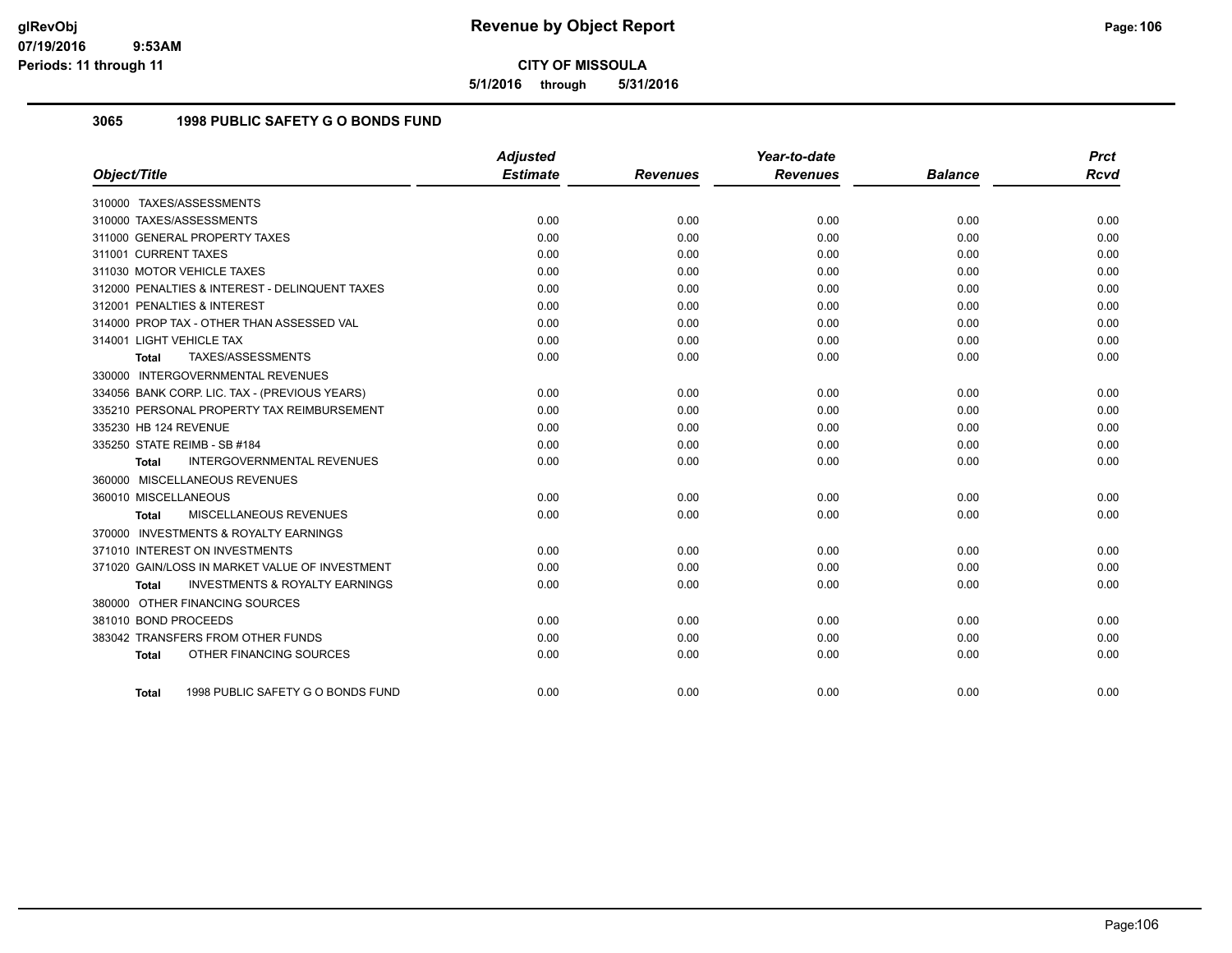**5/1/2016 through 5/31/2016**

# **3065 1998 PUBLIC SAFETY G O BONDS FUND**

|                                                    | <b>Adjusted</b> |                 | Year-to-date    |                | <b>Prct</b> |
|----------------------------------------------------|-----------------|-----------------|-----------------|----------------|-------------|
| Object/Title                                       | <b>Estimate</b> | <b>Revenues</b> | <b>Revenues</b> | <b>Balance</b> | <b>Rcvd</b> |
| 310000 TAXES/ASSESSMENTS                           |                 |                 |                 |                |             |
| 310000 TAXES/ASSESSMENTS                           | 0.00            | 0.00            | 0.00            | 0.00           | 0.00        |
| 311000 GENERAL PROPERTY TAXES                      | 0.00            | 0.00            | 0.00            | 0.00           | 0.00        |
| 311001 CURRENT TAXES                               | 0.00            | 0.00            | 0.00            | 0.00           | 0.00        |
| 311030 MOTOR VEHICLE TAXES                         | 0.00            | 0.00            | 0.00            | 0.00           | 0.00        |
| 312000 PENALTIES & INTEREST - DELINQUENT TAXES     | 0.00            | 0.00            | 0.00            | 0.00           | 0.00        |
| 312001 PENALTIES & INTEREST                        | 0.00            | 0.00            | 0.00            | 0.00           | 0.00        |
| 314000 PROP TAX - OTHER THAN ASSESSED VAL          | 0.00            | 0.00            | 0.00            | 0.00           | 0.00        |
| 314001 LIGHT VEHICLE TAX                           | 0.00            | 0.00            | 0.00            | 0.00           | 0.00        |
| TAXES/ASSESSMENTS<br><b>Total</b>                  | 0.00            | 0.00            | 0.00            | 0.00           | 0.00        |
| 330000 INTERGOVERNMENTAL REVENUES                  |                 |                 |                 |                |             |
| 334056 BANK CORP. LIC. TAX - (PREVIOUS YEARS)      | 0.00            | 0.00            | 0.00            | 0.00           | 0.00        |
| 335210 PERSONAL PROPERTY TAX REIMBURSEMENT         | 0.00            | 0.00            | 0.00            | 0.00           | 0.00        |
| 335230 HB 124 REVENUE                              | 0.00            | 0.00            | 0.00            | 0.00           | 0.00        |
| 335250 STATE REIMB - SB #184                       | 0.00            | 0.00            | 0.00            | 0.00           | 0.00        |
| <b>INTERGOVERNMENTAL REVENUES</b><br>Total         | 0.00            | 0.00            | 0.00            | 0.00           | 0.00        |
| 360000 MISCELLANEOUS REVENUES                      |                 |                 |                 |                |             |
| 360010 MISCELLANEOUS                               | 0.00            | 0.00            | 0.00            | 0.00           | 0.00        |
| MISCELLANEOUS REVENUES<br><b>Total</b>             | 0.00            | 0.00            | 0.00            | 0.00           | 0.00        |
| 370000 INVESTMENTS & ROYALTY EARNINGS              |                 |                 |                 |                |             |
| 371010 INTEREST ON INVESTMENTS                     | 0.00            | 0.00            | 0.00            | 0.00           | 0.00        |
| 371020 GAIN/LOSS IN MARKET VALUE OF INVESTMENT     | 0.00            | 0.00            | 0.00            | 0.00           | 0.00        |
| <b>INVESTMENTS &amp; ROYALTY EARNINGS</b><br>Total | 0.00            | 0.00            | 0.00            | 0.00           | 0.00        |
| 380000 OTHER FINANCING SOURCES                     |                 |                 |                 |                |             |
| 381010 BOND PROCEEDS                               | 0.00            | 0.00            | 0.00            | 0.00           | 0.00        |
| 383042 TRANSFERS FROM OTHER FUNDS                  | 0.00            | 0.00            | 0.00            | 0.00           | 0.00        |
| OTHER FINANCING SOURCES<br><b>Total</b>            | 0.00            | 0.00            | 0.00            | 0.00           | 0.00        |
| 1998 PUBLIC SAFETY G O BONDS FUND<br>Total         | 0.00            | 0.00            | 0.00            | 0.00           | 0.00        |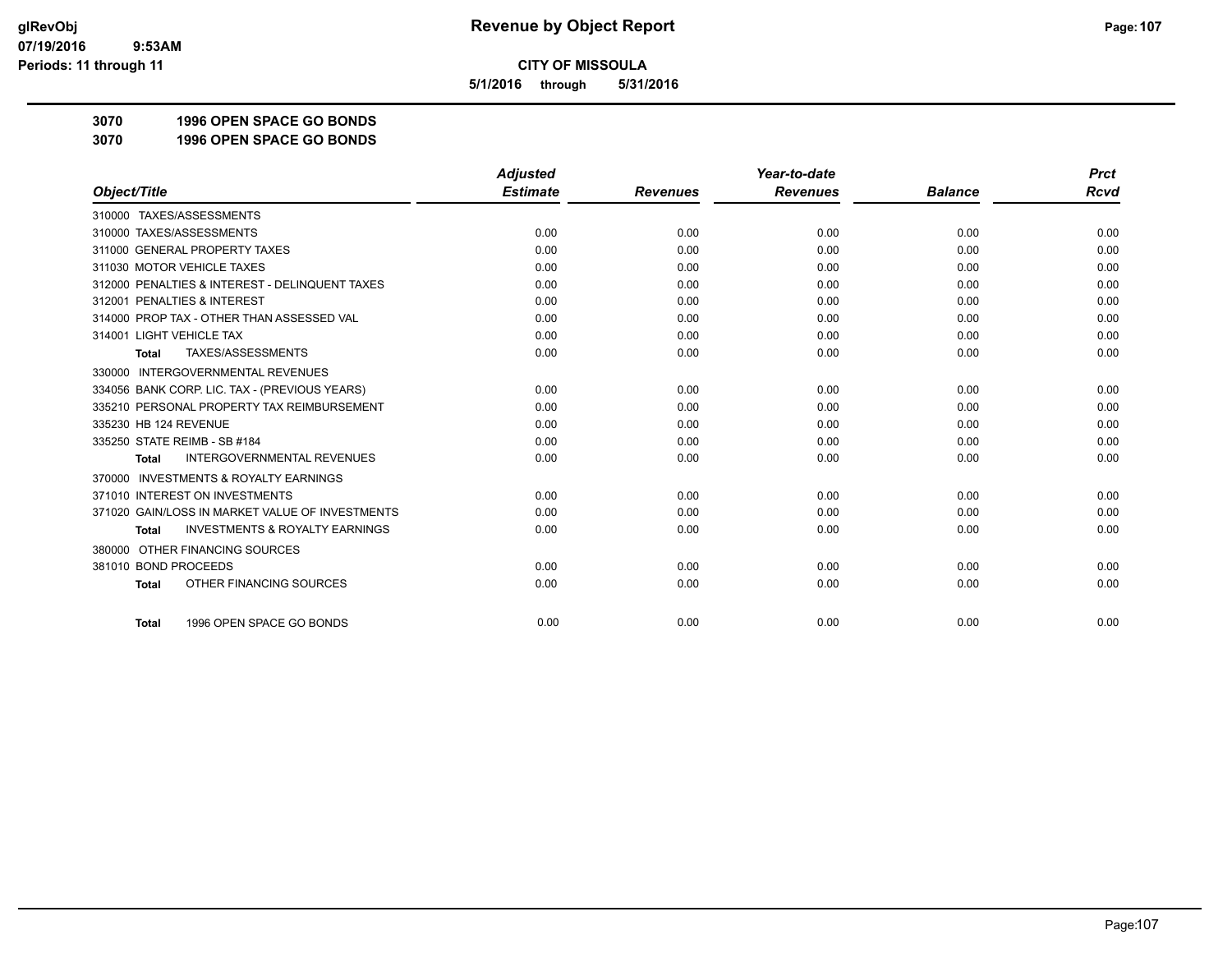**5/1/2016 through 5/31/2016**

**3070 1996 OPEN SPACE GO BONDS**

**3070 1996 OPEN SPACE GO BONDS**

|                                                           | <b>Adjusted</b> |                 | Year-to-date    |                | <b>Prct</b> |
|-----------------------------------------------------------|-----------------|-----------------|-----------------|----------------|-------------|
| Object/Title                                              | <b>Estimate</b> | <b>Revenues</b> | <b>Revenues</b> | <b>Balance</b> | <b>Rcvd</b> |
| 310000 TAXES/ASSESSMENTS                                  |                 |                 |                 |                |             |
| 310000 TAXES/ASSESSMENTS                                  | 0.00            | 0.00            | 0.00            | 0.00           | 0.00        |
| 311000 GENERAL PROPERTY TAXES                             | 0.00            | 0.00            | 0.00            | 0.00           | 0.00        |
| 311030 MOTOR VEHICLE TAXES                                | 0.00            | 0.00            | 0.00            | 0.00           | 0.00        |
| 312000 PENALTIES & INTEREST - DELINQUENT TAXES            | 0.00            | 0.00            | 0.00            | 0.00           | 0.00        |
| 312001 PENALTIES & INTEREST                               | 0.00            | 0.00            | 0.00            | 0.00           | 0.00        |
| 314000 PROP TAX - OTHER THAN ASSESSED VAL                 | 0.00            | 0.00            | 0.00            | 0.00           | 0.00        |
| 314001 LIGHT VEHICLE TAX                                  | 0.00            | 0.00            | 0.00            | 0.00           | 0.00        |
| TAXES/ASSESSMENTS<br><b>Total</b>                         | 0.00            | 0.00            | 0.00            | 0.00           | 0.00        |
| 330000 INTERGOVERNMENTAL REVENUES                         |                 |                 |                 |                |             |
| 334056 BANK CORP. LIC. TAX - (PREVIOUS YEARS)             | 0.00            | 0.00            | 0.00            | 0.00           | 0.00        |
| 335210 PERSONAL PROPERTY TAX REIMBURSEMENT                | 0.00            | 0.00            | 0.00            | 0.00           | 0.00        |
| 335230 HB 124 REVENUE                                     | 0.00            | 0.00            | 0.00            | 0.00           | 0.00        |
| 335250 STATE REIMB - SB #184                              | 0.00            | 0.00            | 0.00            | 0.00           | 0.00        |
| <b>INTERGOVERNMENTAL REVENUES</b><br><b>Total</b>         | 0.00            | 0.00            | 0.00            | 0.00           | 0.00        |
| <b>INVESTMENTS &amp; ROYALTY EARNINGS</b><br>370000       |                 |                 |                 |                |             |
| 371010 INTEREST ON INVESTMENTS                            | 0.00            | 0.00            | 0.00            | 0.00           | 0.00        |
| 371020 GAIN/LOSS IN MARKET VALUE OF INVESTMENTS           | 0.00            | 0.00            | 0.00            | 0.00           | 0.00        |
| <b>INVESTMENTS &amp; ROYALTY EARNINGS</b><br><b>Total</b> | 0.00            | 0.00            | 0.00            | 0.00           | 0.00        |
| OTHER FINANCING SOURCES<br>380000                         |                 |                 |                 |                |             |
| 381010 BOND PROCEEDS                                      | 0.00            | 0.00            | 0.00            | 0.00           | 0.00        |
| OTHER FINANCING SOURCES<br><b>Total</b>                   | 0.00            | 0.00            | 0.00            | 0.00           | 0.00        |
| 1996 OPEN SPACE GO BONDS<br><b>Total</b>                  | 0.00            | 0.00            | 0.00            | 0.00           | 0.00        |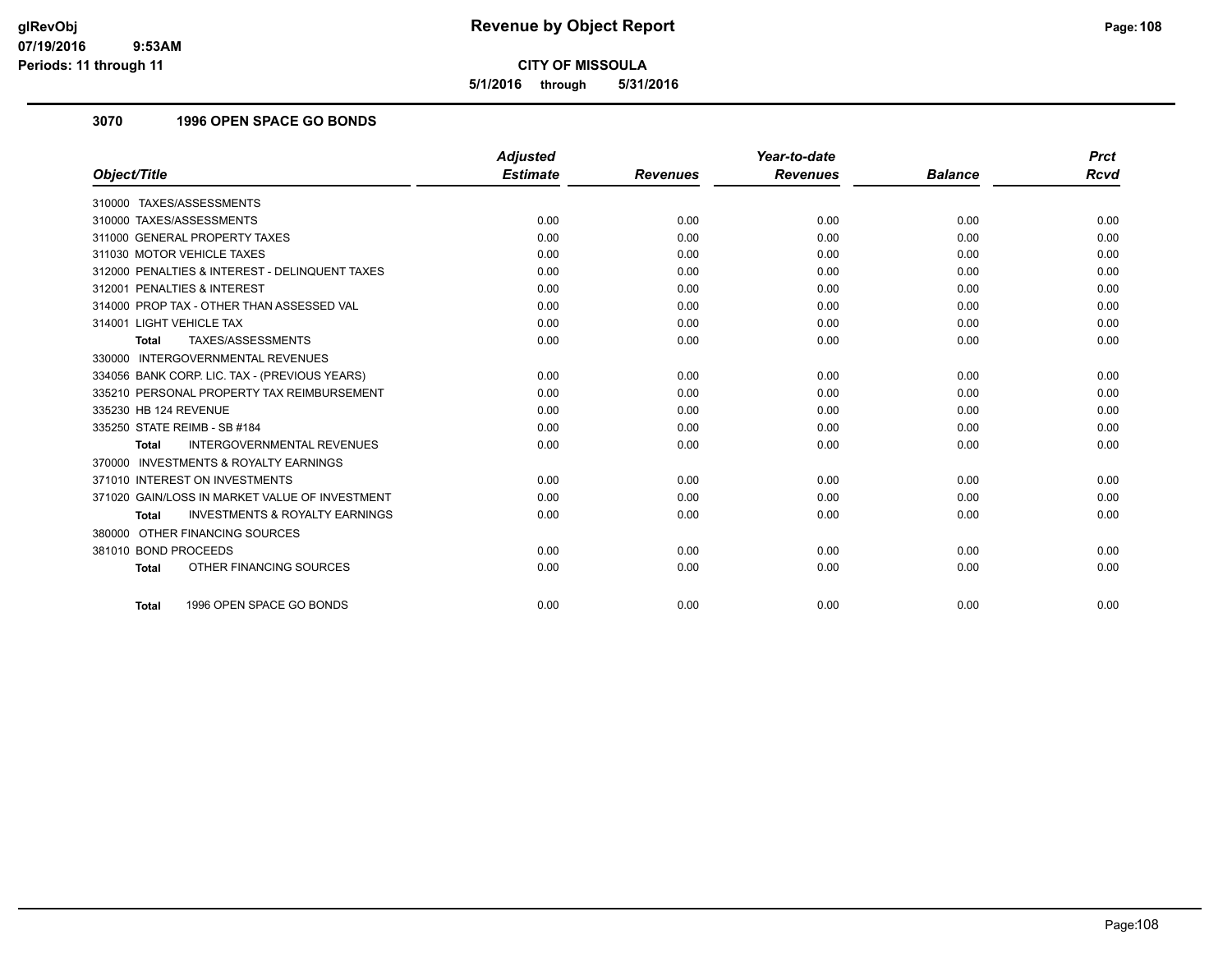**5/1/2016 through 5/31/2016**

# **3070 1996 OPEN SPACE GO BONDS**

|                                                           | <b>Adjusted</b> |                 | Year-to-date    |                | <b>Prct</b> |
|-----------------------------------------------------------|-----------------|-----------------|-----------------|----------------|-------------|
| Object/Title                                              | <b>Estimate</b> | <b>Revenues</b> | <b>Revenues</b> | <b>Balance</b> | <b>Rcvd</b> |
| 310000 TAXES/ASSESSMENTS                                  |                 |                 |                 |                |             |
| 310000 TAXES/ASSESSMENTS                                  | 0.00            | 0.00            | 0.00            | 0.00           | 0.00        |
| 311000 GENERAL PROPERTY TAXES                             | 0.00            | 0.00            | 0.00            | 0.00           | 0.00        |
| 311030 MOTOR VEHICLE TAXES                                | 0.00            | 0.00            | 0.00            | 0.00           | 0.00        |
| 312000 PENALTIES & INTEREST - DELINQUENT TAXES            | 0.00            | 0.00            | 0.00            | 0.00           | 0.00        |
| 312001 PENALTIES & INTEREST                               | 0.00            | 0.00            | 0.00            | 0.00           | 0.00        |
| 314000 PROP TAX - OTHER THAN ASSESSED VAL                 | 0.00            | 0.00            | 0.00            | 0.00           | 0.00        |
| 314001 LIGHT VEHICLE TAX                                  | 0.00            | 0.00            | 0.00            | 0.00           | 0.00        |
| TAXES/ASSESSMENTS<br>Total                                | 0.00            | 0.00            | 0.00            | 0.00           | 0.00        |
| 330000 INTERGOVERNMENTAL REVENUES                         |                 |                 |                 |                |             |
| 334056 BANK CORP. LIC. TAX - (PREVIOUS YEARS)             | 0.00            | 0.00            | 0.00            | 0.00           | 0.00        |
| 335210 PERSONAL PROPERTY TAX REIMBURSEMENT                | 0.00            | 0.00            | 0.00            | 0.00           | 0.00        |
| 335230 HB 124 REVENUE                                     | 0.00            | 0.00            | 0.00            | 0.00           | 0.00        |
| 335250 STATE REIMB - SB #184                              | 0.00            | 0.00            | 0.00            | 0.00           | 0.00        |
| <b>INTERGOVERNMENTAL REVENUES</b><br><b>Total</b>         | 0.00            | 0.00            | 0.00            | 0.00           | 0.00        |
| 370000 INVESTMENTS & ROYALTY EARNINGS                     |                 |                 |                 |                |             |
| 371010 INTEREST ON INVESTMENTS                            | 0.00            | 0.00            | 0.00            | 0.00           | 0.00        |
| 371020 GAIN/LOSS IN MARKET VALUE OF INVESTMENT            | 0.00            | 0.00            | 0.00            | 0.00           | 0.00        |
| <b>INVESTMENTS &amp; ROYALTY EARNINGS</b><br><b>Total</b> | 0.00            | 0.00            | 0.00            | 0.00           | 0.00        |
| 380000 OTHER FINANCING SOURCES                            |                 |                 |                 |                |             |
| 381010 BOND PROCEEDS                                      | 0.00            | 0.00            | 0.00            | 0.00           | 0.00        |
| OTHER FINANCING SOURCES<br><b>Total</b>                   | 0.00            | 0.00            | 0.00            | 0.00           | 0.00        |
|                                                           |                 |                 |                 |                |             |
| 1996 OPEN SPACE GO BONDS<br><b>Total</b>                  | 0.00            | 0.00            | 0.00            | 0.00           | 0.00        |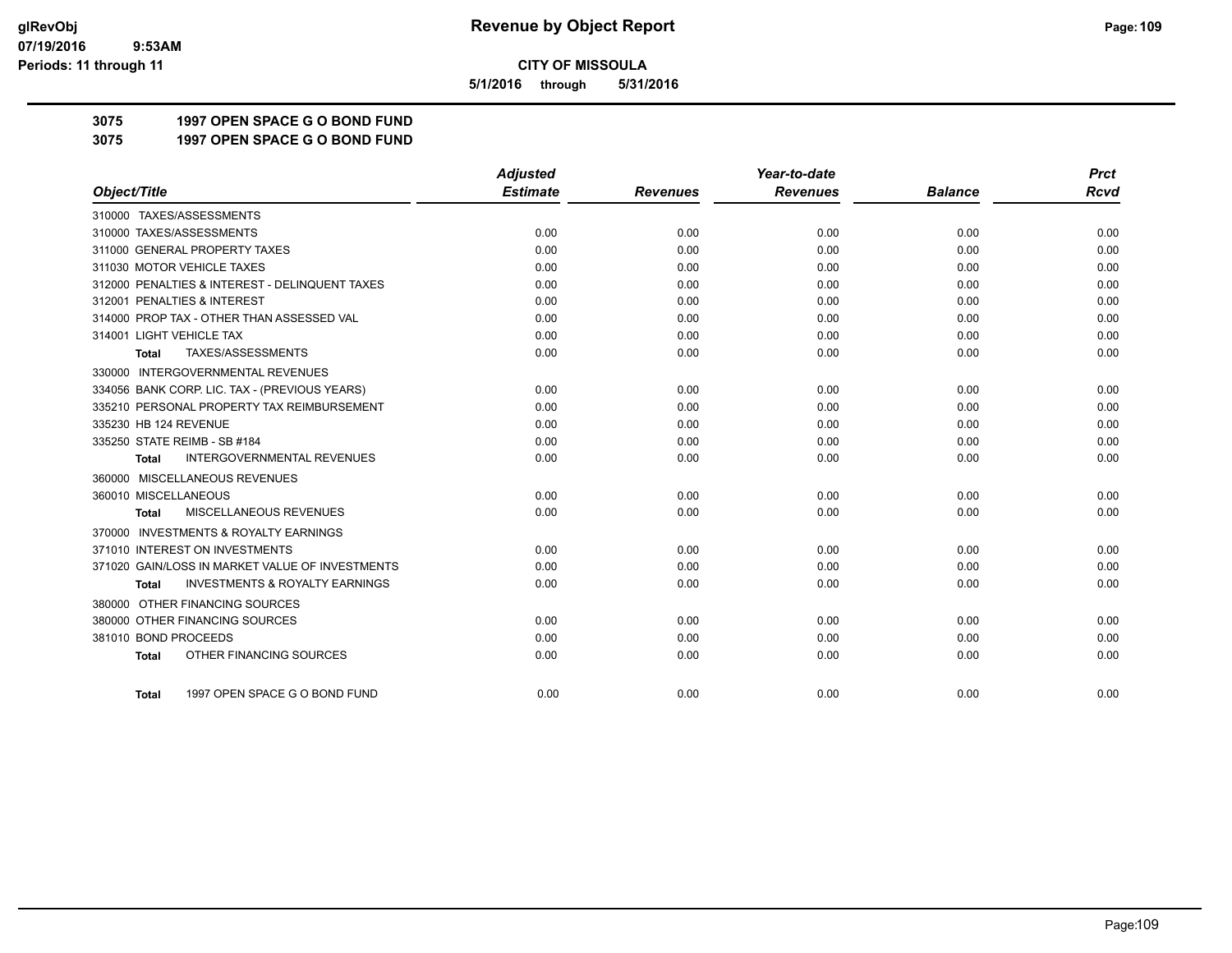**5/1/2016 through 5/31/2016**

**3075 1997 OPEN SPACE G O BOND FUND**

**3075 1997 OPEN SPACE G O BOND FUND**

|                                                           | <b>Adjusted</b> |                 | Year-to-date    |                | <b>Prct</b> |
|-----------------------------------------------------------|-----------------|-----------------|-----------------|----------------|-------------|
| Object/Title                                              | <b>Estimate</b> | <b>Revenues</b> | <b>Revenues</b> | <b>Balance</b> | <b>Rcvd</b> |
| 310000 TAXES/ASSESSMENTS                                  |                 |                 |                 |                |             |
| 310000 TAXES/ASSESSMENTS                                  | 0.00            | 0.00            | 0.00            | 0.00           | 0.00        |
| 311000 GENERAL PROPERTY TAXES                             | 0.00            | 0.00            | 0.00            | 0.00           | 0.00        |
| 311030 MOTOR VEHICLE TAXES                                | 0.00            | 0.00            | 0.00            | 0.00           | 0.00        |
| 312000 PENALTIES & INTEREST - DELINQUENT TAXES            | 0.00            | 0.00            | 0.00            | 0.00           | 0.00        |
| 312001 PENALTIES & INTEREST                               | 0.00            | 0.00            | 0.00            | 0.00           | 0.00        |
| 314000 PROP TAX - OTHER THAN ASSESSED VAL                 | 0.00            | 0.00            | 0.00            | 0.00           | 0.00        |
| 314001 LIGHT VEHICLE TAX                                  | 0.00            | 0.00            | 0.00            | 0.00           | 0.00        |
| TAXES/ASSESSMENTS<br>Total                                | 0.00            | 0.00            | 0.00            | 0.00           | 0.00        |
| 330000 INTERGOVERNMENTAL REVENUES                         |                 |                 |                 |                |             |
| 334056 BANK CORP. LIC. TAX - (PREVIOUS YEARS)             | 0.00            | 0.00            | 0.00            | 0.00           | 0.00        |
| 335210 PERSONAL PROPERTY TAX REIMBURSEMENT                | 0.00            | 0.00            | 0.00            | 0.00           | 0.00        |
| 335230 HB 124 REVENUE                                     | 0.00            | 0.00            | 0.00            | 0.00           | 0.00        |
| 335250 STATE REIMB - SB #184                              | 0.00            | 0.00            | 0.00            | 0.00           | 0.00        |
| <b>INTERGOVERNMENTAL REVENUES</b><br><b>Total</b>         | 0.00            | 0.00            | 0.00            | 0.00           | 0.00        |
| 360000 MISCELLANEOUS REVENUES                             |                 |                 |                 |                |             |
| 360010 MISCELLANEOUS                                      | 0.00            | 0.00            | 0.00            | 0.00           | 0.00        |
| MISCELLANEOUS REVENUES<br><b>Total</b>                    | 0.00            | 0.00            | 0.00            | 0.00           | 0.00        |
| 370000 INVESTMENTS & ROYALTY EARNINGS                     |                 |                 |                 |                |             |
| 371010 INTEREST ON INVESTMENTS                            | 0.00            | 0.00            | 0.00            | 0.00           | 0.00        |
| 371020 GAIN/LOSS IN MARKET VALUE OF INVESTMENTS           | 0.00            | 0.00            | 0.00            | 0.00           | 0.00        |
| <b>INVESTMENTS &amp; ROYALTY EARNINGS</b><br><b>Total</b> | 0.00            | 0.00            | 0.00            | 0.00           | 0.00        |
| 380000 OTHER FINANCING SOURCES                            |                 |                 |                 |                |             |
| 380000 OTHER FINANCING SOURCES                            | 0.00            | 0.00            | 0.00            | 0.00           | 0.00        |
| 381010 BOND PROCEEDS                                      | 0.00            | 0.00            | 0.00            | 0.00           | 0.00        |
| OTHER FINANCING SOURCES<br><b>Total</b>                   | 0.00            | 0.00            | 0.00            | 0.00           | 0.00        |
|                                                           |                 |                 |                 |                |             |
| 1997 OPEN SPACE G O BOND FUND<br><b>Total</b>             | 0.00            | 0.00            | 0.00            | 0.00           | 0.00        |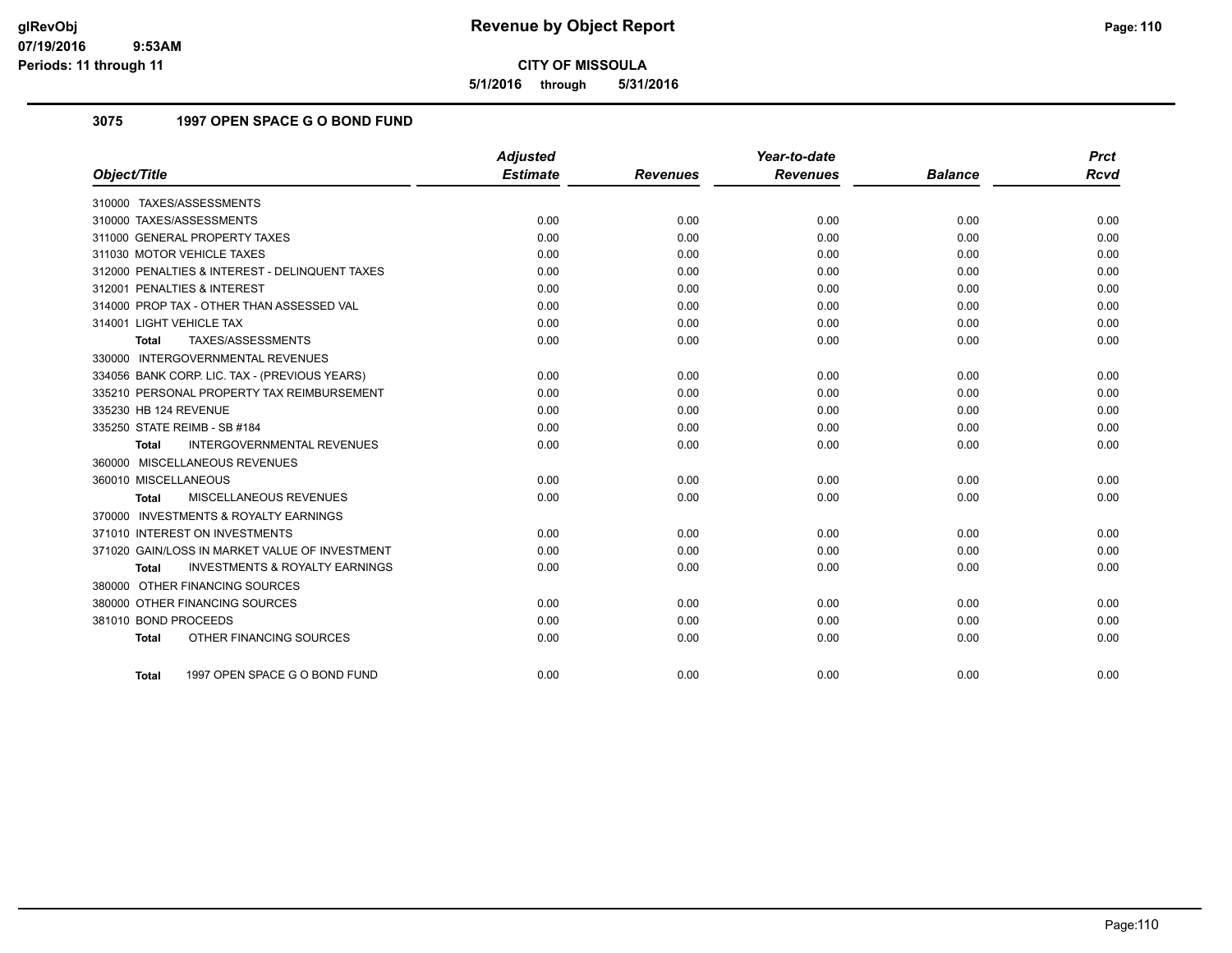**5/1/2016 through 5/31/2016**

## **3075 1997 OPEN SPACE G O BOND FUND**

| Object/Title                                              | <b>Adjusted</b><br><b>Estimate</b> | <b>Revenues</b> | Year-to-date<br><b>Revenues</b> | <b>Balance</b> | <b>Prct</b><br><b>Rcvd</b> |
|-----------------------------------------------------------|------------------------------------|-----------------|---------------------------------|----------------|----------------------------|
|                                                           |                                    |                 |                                 |                |                            |
| 310000 TAXES/ASSESSMENTS                                  |                                    |                 |                                 |                |                            |
| 310000 TAXES/ASSESSMENTS                                  | 0.00                               | 0.00            | 0.00                            | 0.00           | 0.00                       |
| 311000 GENERAL PROPERTY TAXES                             | 0.00                               | 0.00            | 0.00                            | 0.00           | 0.00                       |
| 311030 MOTOR VEHICLE TAXES                                | 0.00                               | 0.00            | 0.00                            | 0.00           | 0.00                       |
| 312000 PENALTIES & INTEREST - DELINQUENT TAXES            | 0.00                               | 0.00            | 0.00                            | 0.00           | 0.00                       |
| 312001 PENALTIES & INTEREST                               | 0.00                               | 0.00            | 0.00                            | 0.00           | 0.00                       |
| 314000 PROP TAX - OTHER THAN ASSESSED VAL                 | 0.00                               | 0.00            | 0.00                            | 0.00           | 0.00                       |
| 314001 LIGHT VEHICLE TAX                                  | 0.00                               | 0.00            | 0.00                            | 0.00           | 0.00                       |
| TAXES/ASSESSMENTS<br><b>Total</b>                         | 0.00                               | 0.00            | 0.00                            | 0.00           | 0.00                       |
| 330000 INTERGOVERNMENTAL REVENUES                         |                                    |                 |                                 |                |                            |
| 334056 BANK CORP. LIC. TAX - (PREVIOUS YEARS)             | 0.00                               | 0.00            | 0.00                            | 0.00           | 0.00                       |
| 335210 PERSONAL PROPERTY TAX REIMBURSEMENT                | 0.00                               | 0.00            | 0.00                            | 0.00           | 0.00                       |
| 335230 HB 124 REVENUE                                     | 0.00                               | 0.00            | 0.00                            | 0.00           | 0.00                       |
| 335250 STATE REIMB - SB #184                              | 0.00                               | 0.00            | 0.00                            | 0.00           | 0.00                       |
| <b>INTERGOVERNMENTAL REVENUES</b><br><b>Total</b>         | 0.00                               | 0.00            | 0.00                            | 0.00           | 0.00                       |
| 360000 MISCELLANEOUS REVENUES                             |                                    |                 |                                 |                |                            |
| 360010 MISCELLANEOUS                                      | 0.00                               | 0.00            | 0.00                            | 0.00           | 0.00                       |
| <b>MISCELLANEOUS REVENUES</b><br>Total                    | 0.00                               | 0.00            | 0.00                            | 0.00           | 0.00                       |
| 370000 INVESTMENTS & ROYALTY EARNINGS                     |                                    |                 |                                 |                |                            |
| 371010 INTEREST ON INVESTMENTS                            | 0.00                               | 0.00            | 0.00                            | 0.00           | 0.00                       |
| 371020 GAIN/LOSS IN MARKET VALUE OF INVESTMENT            | 0.00                               | 0.00            | 0.00                            | 0.00           | 0.00                       |
| <b>INVESTMENTS &amp; ROYALTY EARNINGS</b><br><b>Total</b> | 0.00                               | 0.00            | 0.00                            | 0.00           | 0.00                       |
| 380000 OTHER FINANCING SOURCES                            |                                    |                 |                                 |                |                            |
| 380000 OTHER FINANCING SOURCES                            | 0.00                               | 0.00            | 0.00                            | 0.00           | 0.00                       |
| 381010 BOND PROCEEDS                                      | 0.00                               | 0.00            | 0.00                            | 0.00           | 0.00                       |
| OTHER FINANCING SOURCES<br><b>Total</b>                   | 0.00                               | 0.00            | 0.00                            | 0.00           | 0.00                       |
|                                                           |                                    |                 |                                 |                |                            |
| 1997 OPEN SPACE G O BOND FUND<br>Total                    | 0.00                               | 0.00            | 0.00                            | 0.00           | 0.00                       |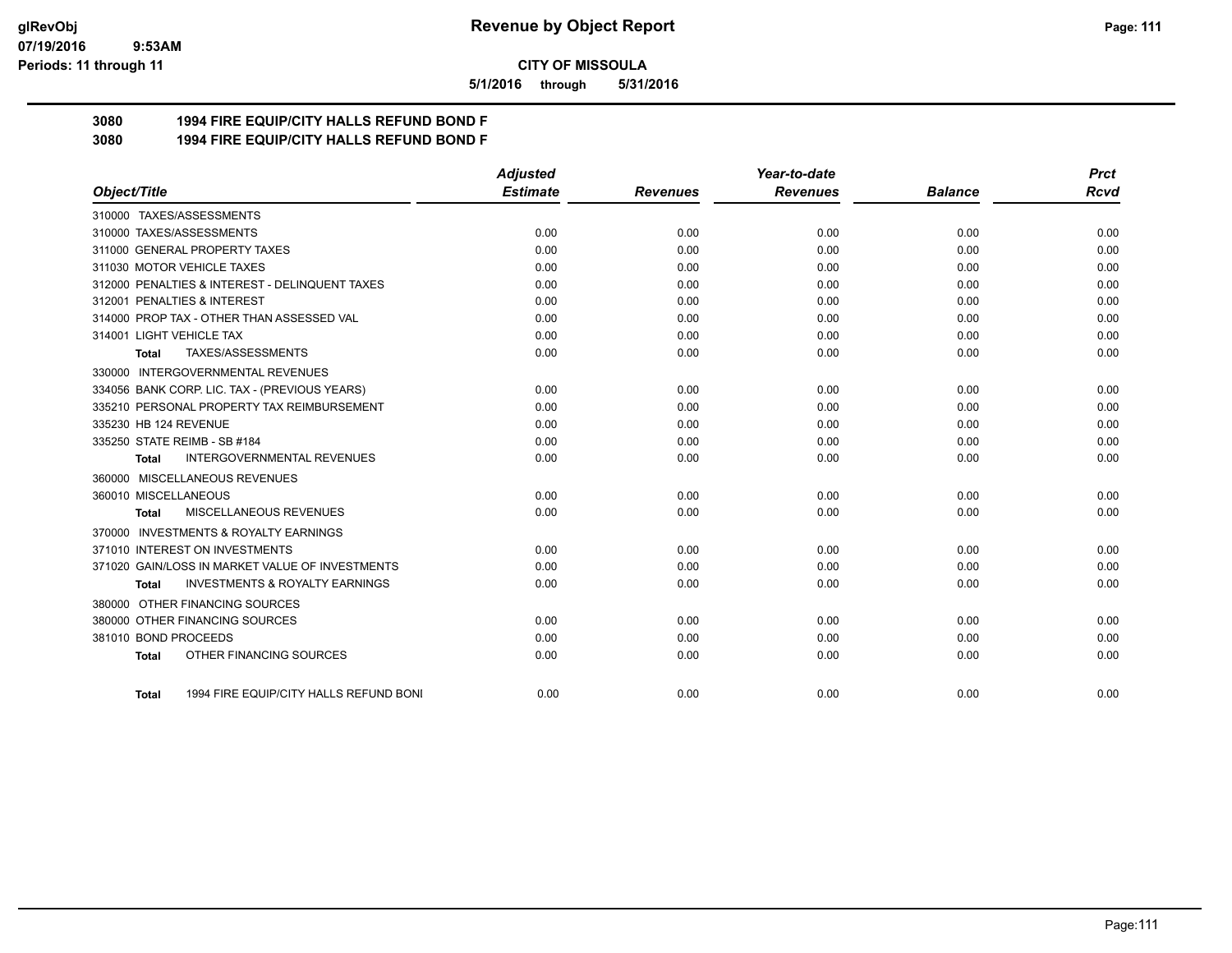#### **07/19/2016 9:53AM Periods: 11 through 11**

**CITY OF MISSOULA**

**5/1/2016 through 5/31/2016**

# **3080 1994 FIRE EQUIP/CITY HALLS REFUND BOND F**

**3080 1994 FIRE EQUIP/CITY HALLS REFUND BOND F**

|                                                    | <b>Adjusted</b> |                 | Year-to-date    |                | <b>Prct</b> |
|----------------------------------------------------|-----------------|-----------------|-----------------|----------------|-------------|
| Object/Title                                       | <b>Estimate</b> | <b>Revenues</b> | <b>Revenues</b> | <b>Balance</b> | <b>Rcvd</b> |
| 310000 TAXES/ASSESSMENTS                           |                 |                 |                 |                |             |
| 310000 TAXES/ASSESSMENTS                           | 0.00            | 0.00            | 0.00            | 0.00           | 0.00        |
| 311000 GENERAL PROPERTY TAXES                      | 0.00            | 0.00            | 0.00            | 0.00           | 0.00        |
| 311030 MOTOR VEHICLE TAXES                         | 0.00            | 0.00            | 0.00            | 0.00           | 0.00        |
| 312000 PENALTIES & INTEREST - DELINQUENT TAXES     | 0.00            | 0.00            | 0.00            | 0.00           | 0.00        |
| 312001 PENALTIES & INTEREST                        | 0.00            | 0.00            | 0.00            | 0.00           | 0.00        |
| 314000 PROP TAX - OTHER THAN ASSESSED VAL          | 0.00            | 0.00            | 0.00            | 0.00           | 0.00        |
| 314001 LIGHT VEHICLE TAX                           | 0.00            | 0.00            | 0.00            | 0.00           | 0.00        |
| TAXES/ASSESSMENTS<br>Total                         | 0.00            | 0.00            | 0.00            | 0.00           | 0.00        |
| 330000 INTERGOVERNMENTAL REVENUES                  |                 |                 |                 |                |             |
| 334056 BANK CORP. LIC. TAX - (PREVIOUS YEARS)      | 0.00            | 0.00            | 0.00            | 0.00           | 0.00        |
| 335210 PERSONAL PROPERTY TAX REIMBURSEMENT         | 0.00            | 0.00            | 0.00            | 0.00           | 0.00        |
| 335230 HB 124 REVENUE                              | 0.00            | 0.00            | 0.00            | 0.00           | 0.00        |
| 335250 STATE REIMB - SB #184                       | 0.00            | 0.00            | 0.00            | 0.00           | 0.00        |
| <b>INTERGOVERNMENTAL REVENUES</b><br>Total         | 0.00            | 0.00            | 0.00            | 0.00           | 0.00        |
| 360000 MISCELLANEOUS REVENUES                      |                 |                 |                 |                |             |
| 360010 MISCELLANEOUS                               | 0.00            | 0.00            | 0.00            | 0.00           | 0.00        |
| MISCELLANEOUS REVENUES<br>Total                    | 0.00            | 0.00            | 0.00            | 0.00           | 0.00        |
| 370000 INVESTMENTS & ROYALTY EARNINGS              |                 |                 |                 |                |             |
| 371010 INTEREST ON INVESTMENTS                     | 0.00            | 0.00            | 0.00            | 0.00           | 0.00        |
| 371020 GAIN/LOSS IN MARKET VALUE OF INVESTMENTS    | 0.00            | 0.00            | 0.00            | 0.00           | 0.00        |
| <b>INVESTMENTS &amp; ROYALTY EARNINGS</b><br>Total | 0.00            | 0.00            | 0.00            | 0.00           | 0.00        |
| 380000 OTHER FINANCING SOURCES                     |                 |                 |                 |                |             |
| 380000 OTHER FINANCING SOURCES                     | 0.00            | 0.00            | 0.00            | 0.00           | 0.00        |
| 381010 BOND PROCEEDS                               | 0.00            | 0.00            | 0.00            | 0.00           | 0.00        |
| OTHER FINANCING SOURCES<br><b>Total</b>            | 0.00            | 0.00            | 0.00            | 0.00           | 0.00        |
|                                                    |                 |                 |                 |                |             |
| 1994 FIRE EQUIP/CITY HALLS REFUND BONI<br>Total    | 0.00            | 0.00            | 0.00            | 0.00           | 0.00        |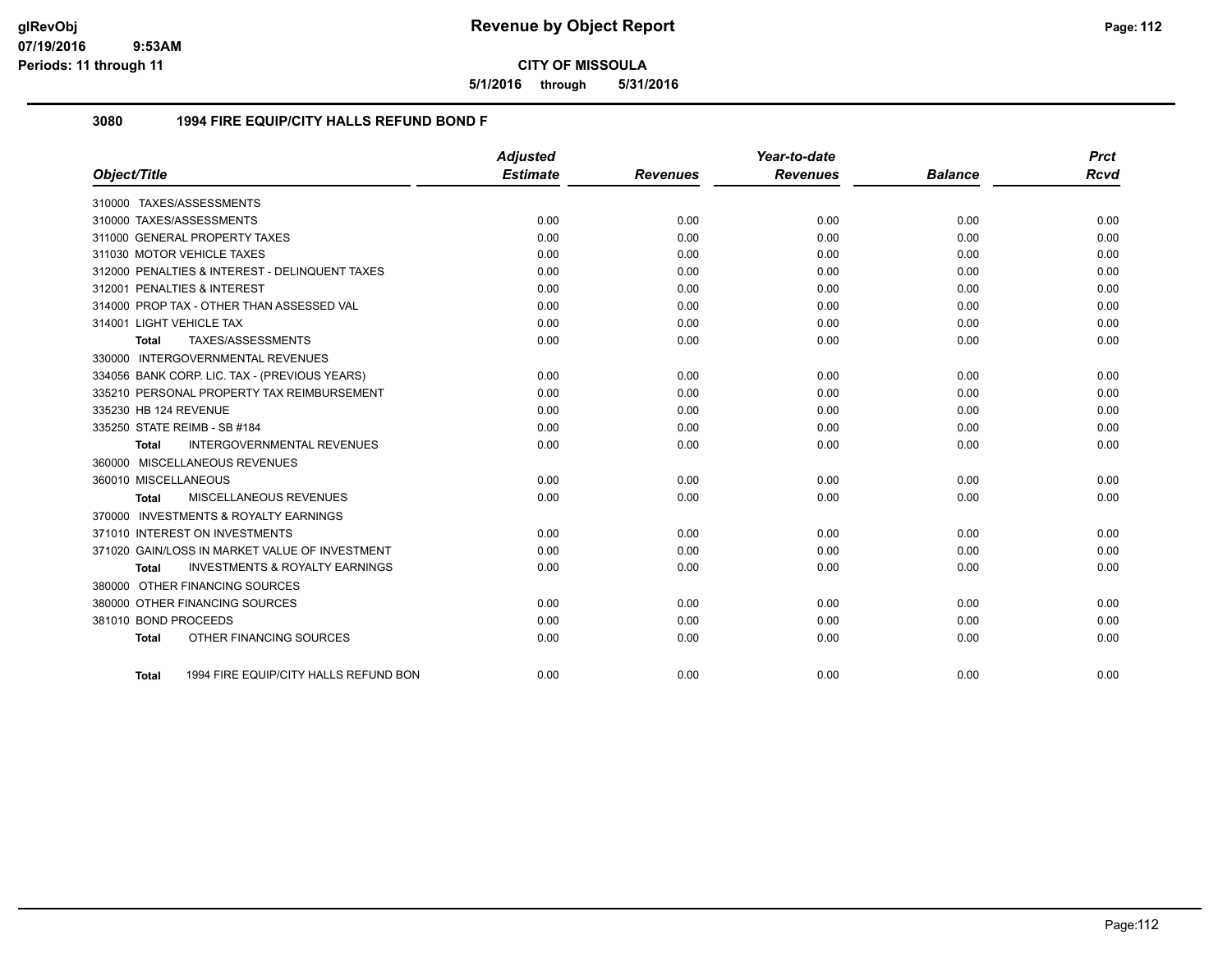**5/1/2016 through 5/31/2016**

### **3080 1994 FIRE EQUIP/CITY HALLS REFUND BOND F**

|                          |                                                | <b>Adjusted</b> |                 | Year-to-date    |                | <b>Prct</b> |
|--------------------------|------------------------------------------------|-----------------|-----------------|-----------------|----------------|-------------|
| Object/Title             |                                                | <b>Estimate</b> | <b>Revenues</b> | <b>Revenues</b> | <b>Balance</b> | <b>Rcvd</b> |
|                          | 310000 TAXES/ASSESSMENTS                       |                 |                 |                 |                |             |
|                          | 310000 TAXES/ASSESSMENTS                       | 0.00            | 0.00            | 0.00            | 0.00           | 0.00        |
|                          | 311000 GENERAL PROPERTY TAXES                  | 0.00            | 0.00            | 0.00            | 0.00           | 0.00        |
|                          | 311030 MOTOR VEHICLE TAXES                     | 0.00            | 0.00            | 0.00            | 0.00           | 0.00        |
|                          | 312000 PENALTIES & INTEREST - DELINQUENT TAXES | 0.00            | 0.00            | 0.00            | 0.00           | 0.00        |
|                          | 312001 PENALTIES & INTEREST                    | 0.00            | 0.00            | 0.00            | 0.00           | 0.00        |
|                          | 314000 PROP TAX - OTHER THAN ASSESSED VAL      | 0.00            | 0.00            | 0.00            | 0.00           | 0.00        |
| 314001 LIGHT VEHICLE TAX |                                                | 0.00            | 0.00            | 0.00            | 0.00           | 0.00        |
| <b>Total</b>             | TAXES/ASSESSMENTS                              | 0.00            | 0.00            | 0.00            | 0.00           | 0.00        |
|                          | 330000 INTERGOVERNMENTAL REVENUES              |                 |                 |                 |                |             |
|                          | 334056 BANK CORP. LIC. TAX - (PREVIOUS YEARS)  | 0.00            | 0.00            | 0.00            | 0.00           | 0.00        |
|                          | 335210 PERSONAL PROPERTY TAX REIMBURSEMENT     | 0.00            | 0.00            | 0.00            | 0.00           | 0.00        |
| 335230 HB 124 REVENUE    |                                                | 0.00            | 0.00            | 0.00            | 0.00           | 0.00        |
|                          | 335250 STATE REIMB - SB #184                   | 0.00            | 0.00            | 0.00            | 0.00           | 0.00        |
| <b>Total</b>             | <b>INTERGOVERNMENTAL REVENUES</b>              | 0.00            | 0.00            | 0.00            | 0.00           | 0.00        |
|                          | 360000 MISCELLANEOUS REVENUES                  |                 |                 |                 |                |             |
| 360010 MISCELLANEOUS     |                                                | 0.00            | 0.00            | 0.00            | 0.00           | 0.00        |
| Total                    | MISCELLANEOUS REVENUES                         | 0.00            | 0.00            | 0.00            | 0.00           | 0.00        |
|                          | 370000 INVESTMENTS & ROYALTY EARNINGS          |                 |                 |                 |                |             |
|                          | 371010 INTEREST ON INVESTMENTS                 | 0.00            | 0.00            | 0.00            | 0.00           | 0.00        |
|                          | 371020 GAIN/LOSS IN MARKET VALUE OF INVESTMENT | 0.00            | 0.00            | 0.00            | 0.00           | 0.00        |
| Total                    | <b>INVESTMENTS &amp; ROYALTY EARNINGS</b>      | 0.00            | 0.00            | 0.00            | 0.00           | 0.00        |
|                          | 380000 OTHER FINANCING SOURCES                 |                 |                 |                 |                |             |
|                          | 380000 OTHER FINANCING SOURCES                 | 0.00            | 0.00            | 0.00            | 0.00           | 0.00        |
| 381010 BOND PROCEEDS     |                                                | 0.00            | 0.00            | 0.00            | 0.00           | 0.00        |
| <b>Total</b>             | OTHER FINANCING SOURCES                        | 0.00            | 0.00            | 0.00            | 0.00           | 0.00        |
|                          |                                                |                 |                 |                 |                |             |
| Total                    | 1994 FIRE EQUIP/CITY HALLS REFUND BON          | 0.00            | 0.00            | 0.00            | 0.00           | 0.00        |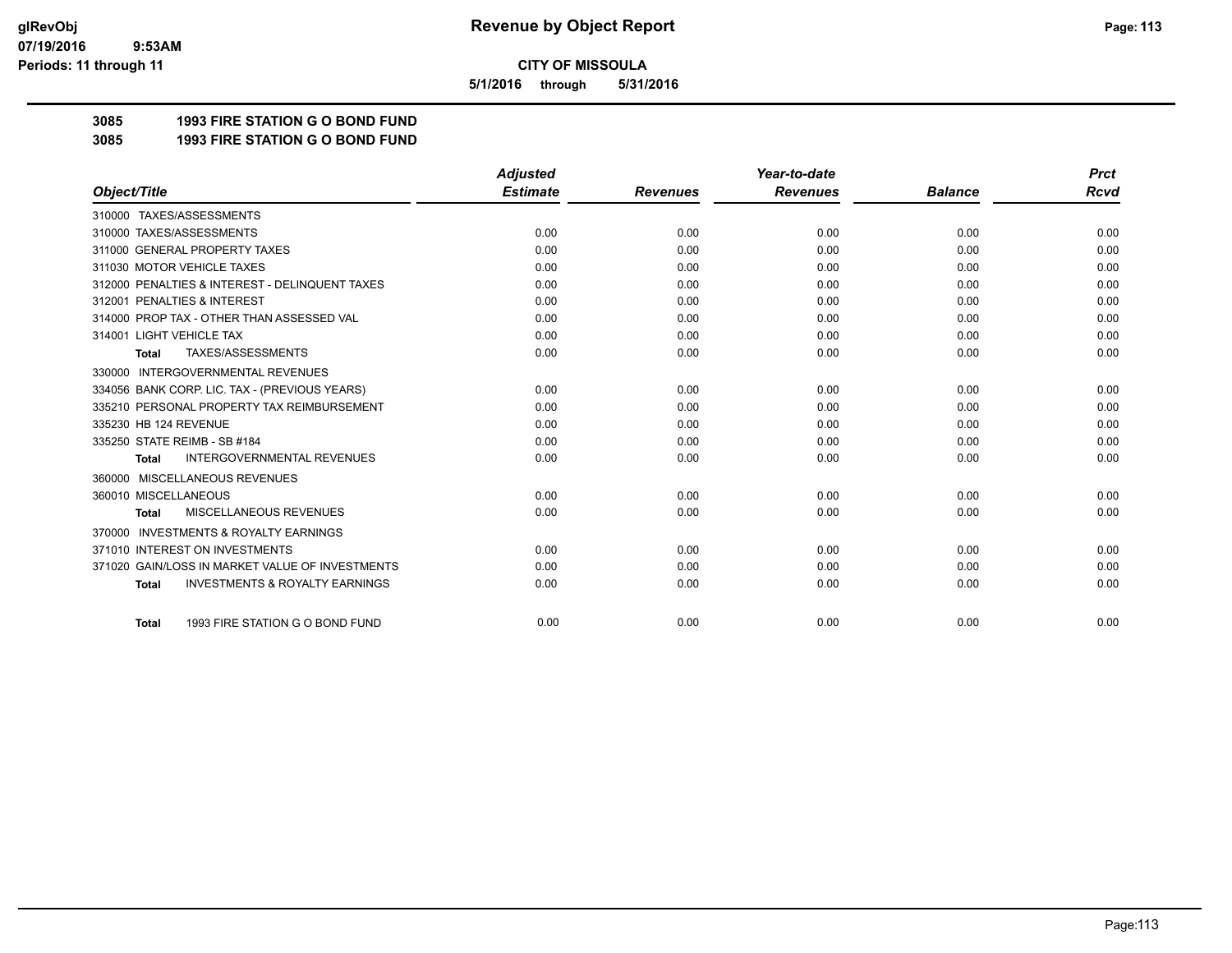**5/1/2016 through 5/31/2016**

**3085 1993 FIRE STATION G O BOND FUND**

**3085 1993 FIRE STATION G O BOND FUND**

|                                                           | <b>Adjusted</b> |                 | Year-to-date    |                | <b>Prct</b> |
|-----------------------------------------------------------|-----------------|-----------------|-----------------|----------------|-------------|
| Object/Title                                              | <b>Estimate</b> | <b>Revenues</b> | <b>Revenues</b> | <b>Balance</b> | <b>Rcvd</b> |
| 310000 TAXES/ASSESSMENTS                                  |                 |                 |                 |                |             |
| 310000 TAXES/ASSESSMENTS                                  | 0.00            | 0.00            | 0.00            | 0.00           | 0.00        |
| 311000 GENERAL PROPERTY TAXES                             | 0.00            | 0.00            | 0.00            | 0.00           | 0.00        |
| 311030 MOTOR VEHICLE TAXES                                | 0.00            | 0.00            | 0.00            | 0.00           | 0.00        |
| 312000 PENALTIES & INTEREST - DELINQUENT TAXES            | 0.00            | 0.00            | 0.00            | 0.00           | 0.00        |
| 312001 PENALTIES & INTEREST                               | 0.00            | 0.00            | 0.00            | 0.00           | 0.00        |
| 314000 PROP TAX - OTHER THAN ASSESSED VAL                 | 0.00            | 0.00            | 0.00            | 0.00           | 0.00        |
| 314001 LIGHT VEHICLE TAX                                  | 0.00            | 0.00            | 0.00            | 0.00           | 0.00        |
| TAXES/ASSESSMENTS<br><b>Total</b>                         | 0.00            | 0.00            | 0.00            | 0.00           | 0.00        |
| 330000 INTERGOVERNMENTAL REVENUES                         |                 |                 |                 |                |             |
| 334056 BANK CORP. LIC. TAX - (PREVIOUS YEARS)             | 0.00            | 0.00            | 0.00            | 0.00           | 0.00        |
| 335210 PERSONAL PROPERTY TAX REIMBURSEMENT                | 0.00            | 0.00            | 0.00            | 0.00           | 0.00        |
| 335230 HB 124 REVENUE                                     | 0.00            | 0.00            | 0.00            | 0.00           | 0.00        |
| 335250 STATE REIMB - SB #184                              | 0.00            | 0.00            | 0.00            | 0.00           | 0.00        |
| <b>INTERGOVERNMENTAL REVENUES</b><br><b>Total</b>         | 0.00            | 0.00            | 0.00            | 0.00           | 0.00        |
| MISCELLANEOUS REVENUES<br>360000                          |                 |                 |                 |                |             |
| 360010 MISCELLANEOUS                                      | 0.00            | 0.00            | 0.00            | 0.00           | 0.00        |
| <b>MISCELLANEOUS REVENUES</b><br><b>Total</b>             | 0.00            | 0.00            | 0.00            | 0.00           | 0.00        |
| <b>INVESTMENTS &amp; ROYALTY EARNINGS</b><br>370000       |                 |                 |                 |                |             |
| 371010 INTEREST ON INVESTMENTS                            | 0.00            | 0.00            | 0.00            | 0.00           | 0.00        |
| 371020 GAIN/LOSS IN MARKET VALUE OF INVESTMENTS           | 0.00            | 0.00            | 0.00            | 0.00           | 0.00        |
| <b>INVESTMENTS &amp; ROYALTY EARNINGS</b><br><b>Total</b> | 0.00            | 0.00            | 0.00            | 0.00           | 0.00        |
| 1993 FIRE STATION G O BOND FUND                           | 0.00            | 0.00            | 0.00            | 0.00           | 0.00        |
| <b>Total</b>                                              |                 |                 |                 |                |             |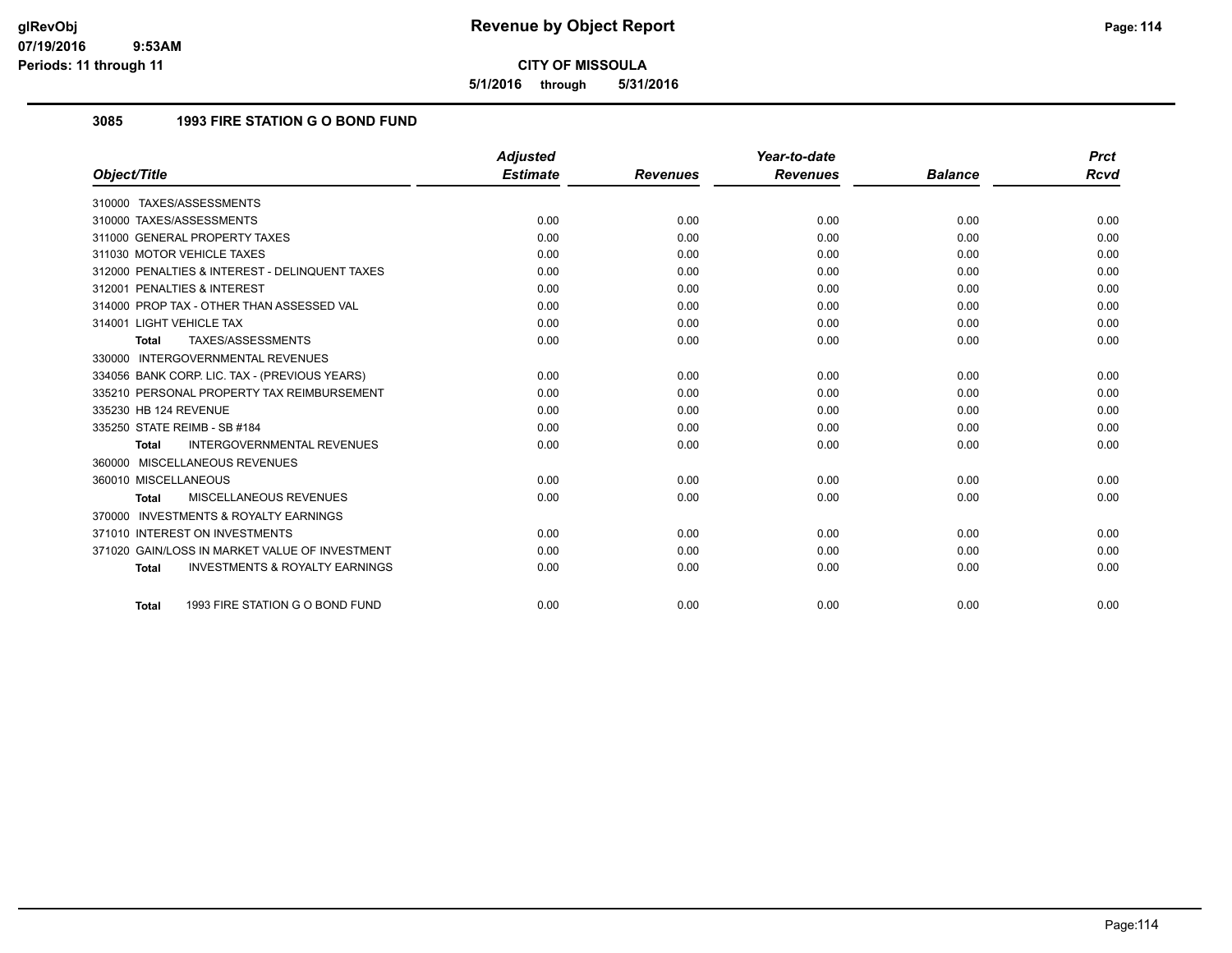**5/1/2016 through 5/31/2016**

## **3085 1993 FIRE STATION G O BOND FUND**

|                                                    | <b>Adjusted</b> |                 | Year-to-date    |                | <b>Prct</b> |
|----------------------------------------------------|-----------------|-----------------|-----------------|----------------|-------------|
| Object/Title                                       | <b>Estimate</b> | <b>Revenues</b> | <b>Revenues</b> | <b>Balance</b> | Rcvd        |
| 310000 TAXES/ASSESSMENTS                           |                 |                 |                 |                |             |
| 310000 TAXES/ASSESSMENTS                           | 0.00            | 0.00            | 0.00            | 0.00           | 0.00        |
| 311000 GENERAL PROPERTY TAXES                      | 0.00            | 0.00            | 0.00            | 0.00           | 0.00        |
| 311030 MOTOR VEHICLE TAXES                         | 0.00            | 0.00            | 0.00            | 0.00           | 0.00        |
| 312000 PENALTIES & INTEREST - DELINQUENT TAXES     | 0.00            | 0.00            | 0.00            | 0.00           | 0.00        |
| 312001 PENALTIES & INTEREST                        | 0.00            | 0.00            | 0.00            | 0.00           | 0.00        |
| 314000 PROP TAX - OTHER THAN ASSESSED VAL          | 0.00            | 0.00            | 0.00            | 0.00           | 0.00        |
| 314001 LIGHT VEHICLE TAX                           | 0.00            | 0.00            | 0.00            | 0.00           | 0.00        |
| TAXES/ASSESSMENTS<br>Total                         | 0.00            | 0.00            | 0.00            | 0.00           | 0.00        |
| 330000 INTERGOVERNMENTAL REVENUES                  |                 |                 |                 |                |             |
| 334056 BANK CORP. LIC. TAX - (PREVIOUS YEARS)      | 0.00            | 0.00            | 0.00            | 0.00           | 0.00        |
| 335210 PERSONAL PROPERTY TAX REIMBURSEMENT         | 0.00            | 0.00            | 0.00            | 0.00           | 0.00        |
| 335230 HB 124 REVENUE                              | 0.00            | 0.00            | 0.00            | 0.00           | 0.00        |
| 335250 STATE REIMB - SB #184                       | 0.00            | 0.00            | 0.00            | 0.00           | 0.00        |
| <b>INTERGOVERNMENTAL REVENUES</b><br><b>Total</b>  | 0.00            | 0.00            | 0.00            | 0.00           | 0.00        |
| 360000 MISCELLANEOUS REVENUES                      |                 |                 |                 |                |             |
| 360010 MISCELLANEOUS                               | 0.00            | 0.00            | 0.00            | 0.00           | 0.00        |
| MISCELLANEOUS REVENUES<br><b>Total</b>             | 0.00            | 0.00            | 0.00            | 0.00           | 0.00        |
| 370000 INVESTMENTS & ROYALTY EARNINGS              |                 |                 |                 |                |             |
| 371010 INTEREST ON INVESTMENTS                     | 0.00            | 0.00            | 0.00            | 0.00           | 0.00        |
| 371020 GAIN/LOSS IN MARKET VALUE OF INVESTMENT     | 0.00            | 0.00            | 0.00            | 0.00           | 0.00        |
| <b>INVESTMENTS &amp; ROYALTY EARNINGS</b><br>Total | 0.00            | 0.00            | 0.00            | 0.00           | 0.00        |
| 1993 FIRE STATION G O BOND FUND<br><b>Total</b>    | 0.00            | 0.00            | 0.00            | 0.00           | 0.00        |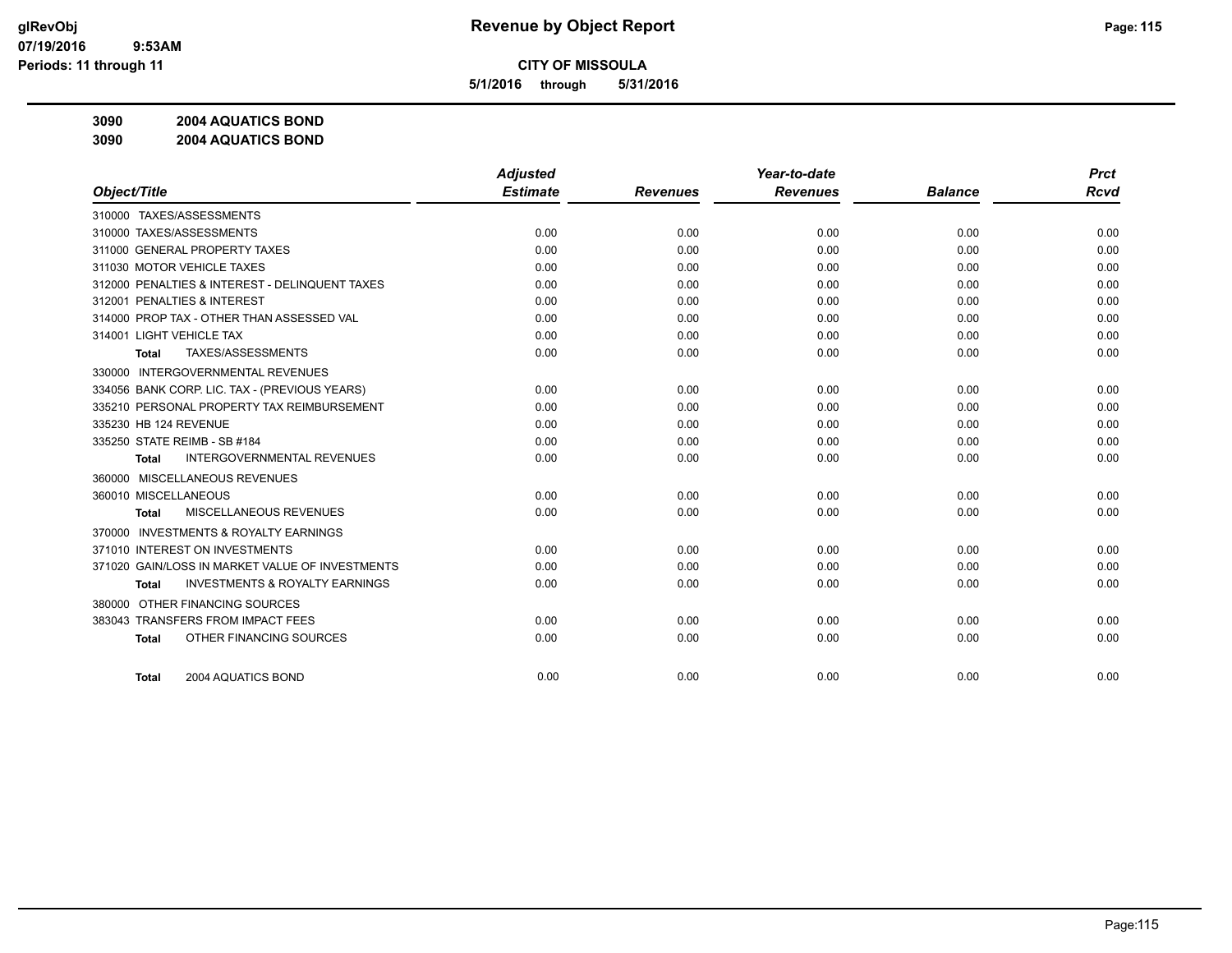**5/1/2016 through 5/31/2016**

**3090 2004 AQUATICS BOND**

**3090 2004 AQUATICS BOND**

|                                                     | <b>Adjusted</b> |                 | Year-to-date    |                | <b>Prct</b> |
|-----------------------------------------------------|-----------------|-----------------|-----------------|----------------|-------------|
| Object/Title                                        | <b>Estimate</b> | <b>Revenues</b> | <b>Revenues</b> | <b>Balance</b> | <b>Rcvd</b> |
| 310000 TAXES/ASSESSMENTS                            |                 |                 |                 |                |             |
| 310000 TAXES/ASSESSMENTS                            | 0.00            | 0.00            | 0.00            | 0.00           | 0.00        |
| 311000 GENERAL PROPERTY TAXES                       | 0.00            | 0.00            | 0.00            | 0.00           | 0.00        |
| 311030 MOTOR VEHICLE TAXES                          | 0.00            | 0.00            | 0.00            | 0.00           | 0.00        |
| 312000 PENALTIES & INTEREST - DELINQUENT TAXES      | 0.00            | 0.00            | 0.00            | 0.00           | 0.00        |
| 312001 PENALTIES & INTEREST                         | 0.00            | 0.00            | 0.00            | 0.00           | 0.00        |
| 314000 PROP TAX - OTHER THAN ASSESSED VAL           | 0.00            | 0.00            | 0.00            | 0.00           | 0.00        |
| 314001 LIGHT VEHICLE TAX                            | 0.00            | 0.00            | 0.00            | 0.00           | 0.00        |
| TAXES/ASSESSMENTS<br>Total                          | 0.00            | 0.00            | 0.00            | 0.00           | 0.00        |
| 330000 INTERGOVERNMENTAL REVENUES                   |                 |                 |                 |                |             |
| 334056 BANK CORP. LIC. TAX - (PREVIOUS YEARS)       | 0.00            | 0.00            | 0.00            | 0.00           | 0.00        |
| 335210 PERSONAL PROPERTY TAX REIMBURSEMENT          | 0.00            | 0.00            | 0.00            | 0.00           | 0.00        |
| 335230 HB 124 REVENUE                               | 0.00            | 0.00            | 0.00            | 0.00           | 0.00        |
| 335250 STATE REIMB - SB #184                        | 0.00            | 0.00            | 0.00            | 0.00           | 0.00        |
| <b>INTERGOVERNMENTAL REVENUES</b><br><b>Total</b>   | 0.00            | 0.00            | 0.00            | 0.00           | 0.00        |
| 360000 MISCELLANEOUS REVENUES                       |                 |                 |                 |                |             |
| 360010 MISCELLANEOUS                                | 0.00            | 0.00            | 0.00            | 0.00           | 0.00        |
| MISCELLANEOUS REVENUES<br>Total                     | 0.00            | 0.00            | 0.00            | 0.00           | 0.00        |
| <b>INVESTMENTS &amp; ROYALTY EARNINGS</b><br>370000 |                 |                 |                 |                |             |
| 371010 INTEREST ON INVESTMENTS                      | 0.00            | 0.00            | 0.00            | 0.00           | 0.00        |
| 371020 GAIN/LOSS IN MARKET VALUE OF INVESTMENTS     | 0.00            | 0.00            | 0.00            | 0.00           | 0.00        |
| <b>INVESTMENTS &amp; ROYALTY EARNINGS</b><br>Total  | 0.00            | 0.00            | 0.00            | 0.00           | 0.00        |
| OTHER FINANCING SOURCES<br>380000                   |                 |                 |                 |                |             |
| 383043 TRANSFERS FROM IMPACT FEES                   | 0.00            | 0.00            | 0.00            | 0.00           | 0.00        |
| OTHER FINANCING SOURCES<br><b>Total</b>             | 0.00            | 0.00            | 0.00            | 0.00           | 0.00        |
|                                                     |                 |                 |                 |                |             |
| 2004 AQUATICS BOND<br><b>Total</b>                  | 0.00            | 0.00            | 0.00            | 0.00           | 0.00        |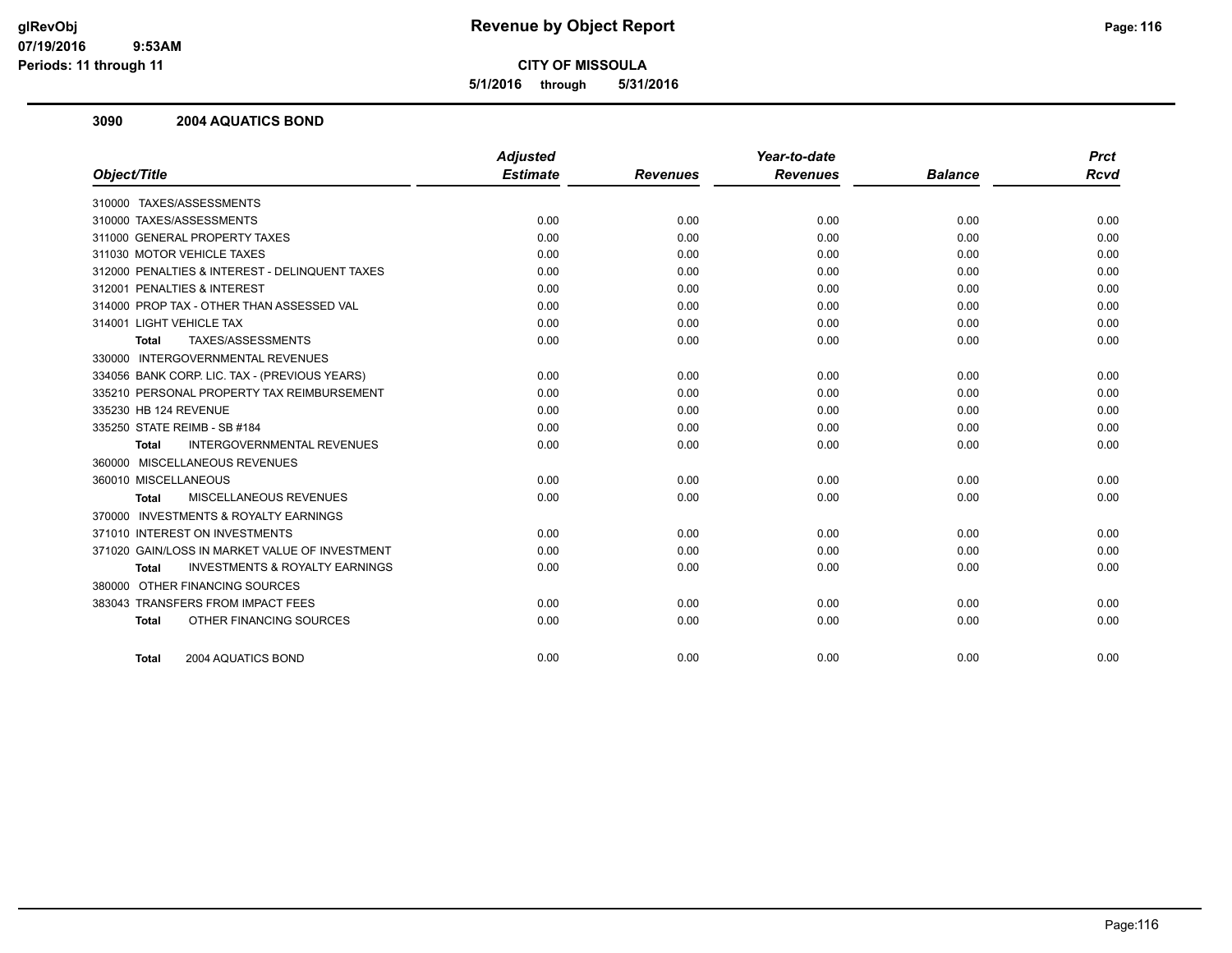**5/1/2016 through 5/31/2016**

#### **3090 2004 AQUATICS BOND**

|                                                           | <b>Adjusted</b> |                 | Year-to-date    |                | <b>Prct</b> |
|-----------------------------------------------------------|-----------------|-----------------|-----------------|----------------|-------------|
| Object/Title                                              | <b>Estimate</b> | <b>Revenues</b> | <b>Revenues</b> | <b>Balance</b> | <b>Rcvd</b> |
| 310000 TAXES/ASSESSMENTS                                  |                 |                 |                 |                |             |
| 310000 TAXES/ASSESSMENTS                                  | 0.00            | 0.00            | 0.00            | 0.00           | 0.00        |
| 311000 GENERAL PROPERTY TAXES                             | 0.00            | 0.00            | 0.00            | 0.00           | 0.00        |
| 311030 MOTOR VEHICLE TAXES                                | 0.00            | 0.00            | 0.00            | 0.00           | 0.00        |
| 312000 PENALTIES & INTEREST - DELINQUENT TAXES            | 0.00            | 0.00            | 0.00            | 0.00           | 0.00        |
| 312001 PENALTIES & INTEREST                               | 0.00            | 0.00            | 0.00            | 0.00           | 0.00        |
| 314000 PROP TAX - OTHER THAN ASSESSED VAL                 | 0.00            | 0.00            | 0.00            | 0.00           | 0.00        |
| 314001 LIGHT VEHICLE TAX                                  | 0.00            | 0.00            | 0.00            | 0.00           | 0.00        |
| TAXES/ASSESSMENTS<br><b>Total</b>                         | 0.00            | 0.00            | 0.00            | 0.00           | 0.00        |
| 330000 INTERGOVERNMENTAL REVENUES                         |                 |                 |                 |                |             |
| 334056 BANK CORP. LIC. TAX - (PREVIOUS YEARS)             | 0.00            | 0.00            | 0.00            | 0.00           | 0.00        |
| 335210 PERSONAL PROPERTY TAX REIMBURSEMENT                | 0.00            | 0.00            | 0.00            | 0.00           | 0.00        |
| 335230 HB 124 REVENUE                                     | 0.00            | 0.00            | 0.00            | 0.00           | 0.00        |
| 335250 STATE REIMB - SB #184                              | 0.00            | 0.00            | 0.00            | 0.00           | 0.00        |
| <b>INTERGOVERNMENTAL REVENUES</b><br><b>Total</b>         | 0.00            | 0.00            | 0.00            | 0.00           | 0.00        |
| 360000 MISCELLANEOUS REVENUES                             |                 |                 |                 |                |             |
| 360010 MISCELLANEOUS                                      | 0.00            | 0.00            | 0.00            | 0.00           | 0.00        |
| <b>MISCELLANEOUS REVENUES</b><br>Total                    | 0.00            | 0.00            | 0.00            | 0.00           | 0.00        |
| 370000 INVESTMENTS & ROYALTY EARNINGS                     |                 |                 |                 |                |             |
| 371010 INTEREST ON INVESTMENTS                            | 0.00            | 0.00            | 0.00            | 0.00           | 0.00        |
| 371020 GAIN/LOSS IN MARKET VALUE OF INVESTMENT            | 0.00            | 0.00            | 0.00            | 0.00           | 0.00        |
| <b>INVESTMENTS &amp; ROYALTY EARNINGS</b><br><b>Total</b> | 0.00            | 0.00            | 0.00            | 0.00           | 0.00        |
| 380000 OTHER FINANCING SOURCES                            |                 |                 |                 |                |             |
| 383043 TRANSFERS FROM IMPACT FEES                         | 0.00            | 0.00            | 0.00            | 0.00           | 0.00        |
| OTHER FINANCING SOURCES<br><b>Total</b>                   | 0.00            | 0.00            | 0.00            | 0.00           | 0.00        |
|                                                           |                 |                 |                 |                |             |
| 2004 AQUATICS BOND<br><b>Total</b>                        | 0.00            | 0.00            | 0.00            | 0.00           | 0.00        |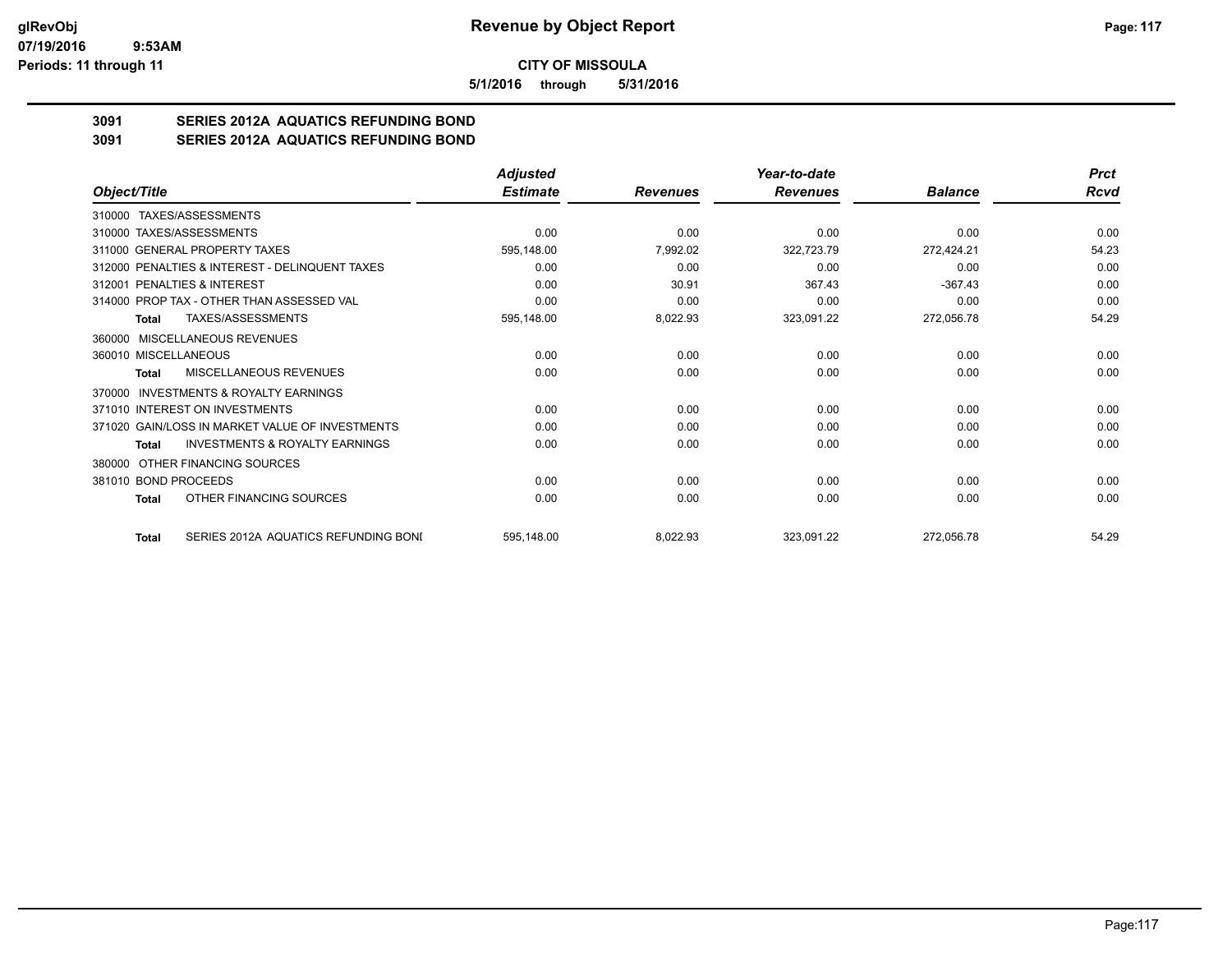**5/1/2016 through 5/31/2016**

# **3091 SERIES 2012A AQUATICS REFUNDING BOND**

**3091 SERIES 2012A AQUATICS REFUNDING BOND**

|                                                      | <b>Adjusted</b> |                 | Year-to-date    |                | <b>Prct</b> |
|------------------------------------------------------|-----------------|-----------------|-----------------|----------------|-------------|
| Object/Title                                         | <b>Estimate</b> | <b>Revenues</b> | <b>Revenues</b> | <b>Balance</b> | Rcvd        |
| 310000 TAXES/ASSESSMENTS                             |                 |                 |                 |                |             |
| 310000 TAXES/ASSESSMENTS                             | 0.00            | 0.00            | 0.00            | 0.00           | 0.00        |
| 311000 GENERAL PROPERTY TAXES                        | 595,148.00      | 7,992.02        | 322,723.79      | 272,424.21     | 54.23       |
| 312000 PENALTIES & INTEREST - DELINQUENT TAXES       | 0.00            | 0.00            | 0.00            | 0.00           | 0.00        |
| 312001 PENALTIES & INTEREST                          | 0.00            | 30.91           | 367.43          | $-367.43$      | 0.00        |
| 314000 PROP TAX - OTHER THAN ASSESSED VAL            | 0.00            | 0.00            | 0.00            | 0.00           | 0.00        |
| TAXES/ASSESSMENTS<br>Total                           | 595,148.00      | 8,022.93        | 323,091.22      | 272,056.78     | 54.29       |
| 360000 MISCELLANEOUS REVENUES                        |                 |                 |                 |                |             |
| 360010 MISCELLANEOUS                                 | 0.00            | 0.00            | 0.00            | 0.00           | 0.00        |
| <b>MISCELLANEOUS REVENUES</b><br>Total               | 0.00            | 0.00            | 0.00            | 0.00           | 0.00        |
| <b>INVESTMENTS &amp; ROYALTY EARNINGS</b><br>370000  |                 |                 |                 |                |             |
| 371010 INTEREST ON INVESTMENTS                       | 0.00            | 0.00            | 0.00            | 0.00           | 0.00        |
| 371020 GAIN/LOSS IN MARKET VALUE OF INVESTMENTS      | 0.00            | 0.00            | 0.00            | 0.00           | 0.00        |
| <b>INVESTMENTS &amp; ROYALTY EARNINGS</b><br>Total   | 0.00            | 0.00            | 0.00            | 0.00           | 0.00        |
| OTHER FINANCING SOURCES<br>380000                    |                 |                 |                 |                |             |
| 381010 BOND PROCEEDS                                 | 0.00            | 0.00            | 0.00            | 0.00           | 0.00        |
| OTHER FINANCING SOURCES<br>Total                     | 0.00            | 0.00            | 0.00            | 0.00           | 0.00        |
| SERIES 2012A AQUATICS REFUNDING BONI<br><b>Total</b> | 595,148.00      | 8,022.93        | 323,091.22      | 272,056.78     | 54.29       |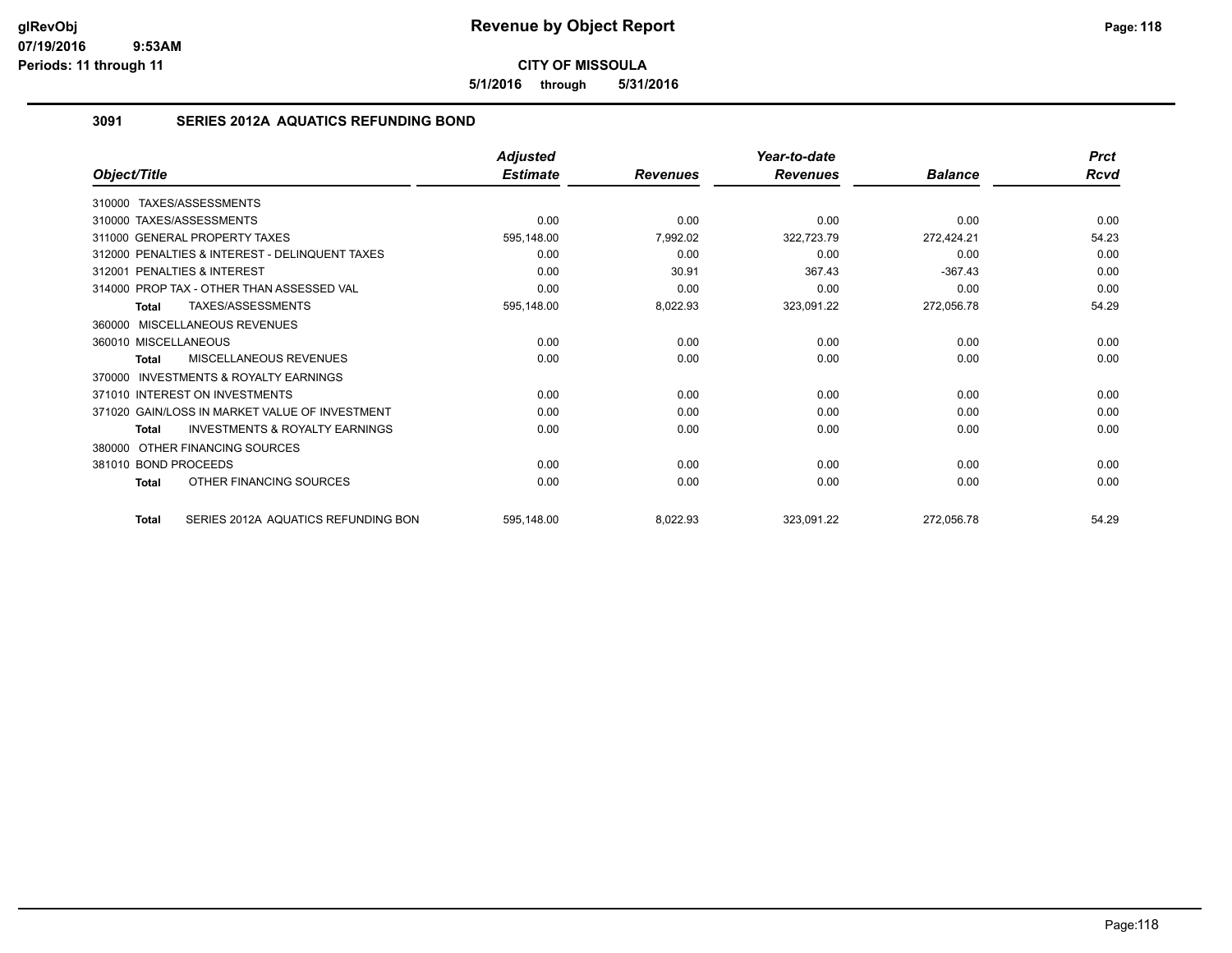**5/1/2016 through 5/31/2016**

## **3091 SERIES 2012A AQUATICS REFUNDING BOND**

|                                                           | <b>Adjusted</b> |                 | Year-to-date    |                | <b>Prct</b> |
|-----------------------------------------------------------|-----------------|-----------------|-----------------|----------------|-------------|
| Object/Title                                              | <b>Estimate</b> | <b>Revenues</b> | <b>Revenues</b> | <b>Balance</b> | Rcvd        |
| 310000 TAXES/ASSESSMENTS                                  |                 |                 |                 |                |             |
| 310000 TAXES/ASSESSMENTS                                  | 0.00            | 0.00            | 0.00            | 0.00           | 0.00        |
| 311000 GENERAL PROPERTY TAXES                             | 595,148.00      | 7,992.02        | 322,723.79      | 272,424.21     | 54.23       |
| 312000 PENALTIES & INTEREST - DELINQUENT TAXES            | 0.00            | 0.00            | 0.00            | 0.00           | 0.00        |
| PENALTIES & INTEREST<br>312001                            | 0.00            | 30.91           | 367.43          | $-367.43$      | 0.00        |
| 314000 PROP TAX - OTHER THAN ASSESSED VAL                 | 0.00            | 0.00            | 0.00            | 0.00           | 0.00        |
| TAXES/ASSESSMENTS<br>Total                                | 595,148.00      | 8,022.93        | 323,091.22      | 272,056.78     | 54.29       |
| 360000 MISCELLANEOUS REVENUES                             |                 |                 |                 |                |             |
| 360010 MISCELLANEOUS                                      | 0.00            | 0.00            | 0.00            | 0.00           | 0.00        |
| MISCELLANEOUS REVENUES<br>Total                           | 0.00            | 0.00            | 0.00            | 0.00           | 0.00        |
| INVESTMENTS & ROYALTY EARNINGS<br>370000                  |                 |                 |                 |                |             |
| 371010 INTEREST ON INVESTMENTS                            | 0.00            | 0.00            | 0.00            | 0.00           | 0.00        |
| 371020 GAIN/LOSS IN MARKET VALUE OF INVESTMENT            | 0.00            | 0.00            | 0.00            | 0.00           | 0.00        |
| <b>INVESTMENTS &amp; ROYALTY EARNINGS</b><br><b>Total</b> | 0.00            | 0.00            | 0.00            | 0.00           | 0.00        |
| OTHER FINANCING SOURCES<br>380000                         |                 |                 |                 |                |             |
| 381010 BOND PROCEEDS                                      | 0.00            | 0.00            | 0.00            | 0.00           | 0.00        |
| OTHER FINANCING SOURCES<br><b>Total</b>                   | 0.00            | 0.00            | 0.00            | 0.00           | 0.00        |
| SERIES 2012A AQUATICS REFUNDING BON<br><b>Total</b>       | 595,148.00      | 8,022.93        | 323,091.22      | 272,056.78     | 54.29       |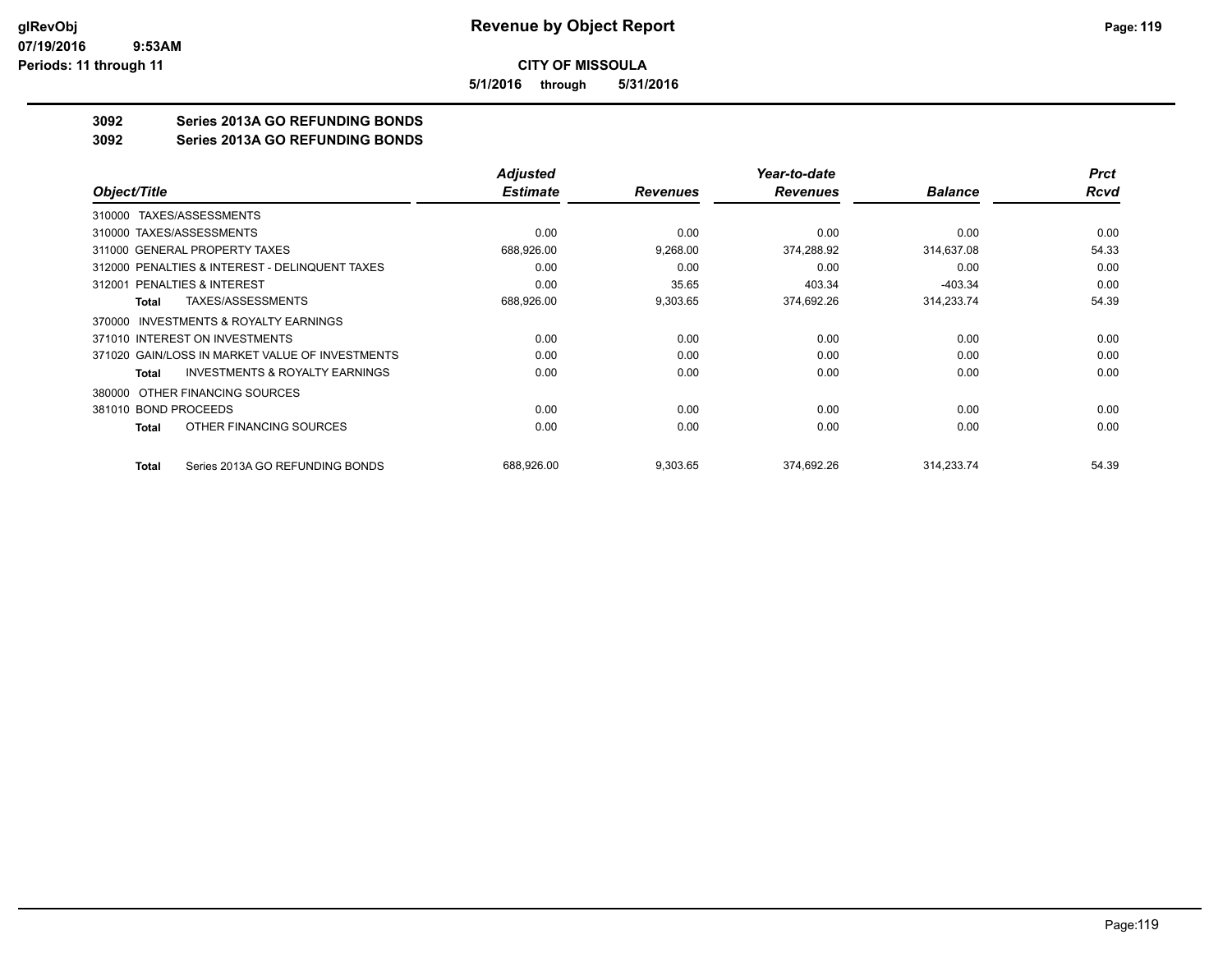**5/1/2016 through 5/31/2016**

# **3092 Series 2013A GO REFUNDING BONDS**

**3092 Series 2013A GO REFUNDING BONDS**

|                                                    | <b>Adjusted</b> |                 | Year-to-date    |                | <b>Prct</b> |
|----------------------------------------------------|-----------------|-----------------|-----------------|----------------|-------------|
| Object/Title                                       | <b>Estimate</b> | <b>Revenues</b> | <b>Revenues</b> | <b>Balance</b> | <b>Rcvd</b> |
| 310000 TAXES/ASSESSMENTS                           |                 |                 |                 |                |             |
| 310000 TAXES/ASSESSMENTS                           | 0.00            | 0.00            | 0.00            | 0.00           | 0.00        |
| 311000 GENERAL PROPERTY TAXES                      | 688,926.00      | 9,268.00        | 374,288.92      | 314,637.08     | 54.33       |
| 312000 PENALTIES & INTEREST - DELINQUENT TAXES     | 0.00            | 0.00            | 0.00            | 0.00           | 0.00        |
| PENALTIES & INTEREST<br>312001                     | 0.00            | 35.65           | 403.34          | $-403.34$      | 0.00        |
| TAXES/ASSESSMENTS<br>Total                         | 688,926.00      | 9,303.65        | 374,692.26      | 314,233.74     | 54.39       |
| INVESTMENTS & ROYALTY EARNINGS<br>370000           |                 |                 |                 |                |             |
| 371010 INTEREST ON INVESTMENTS                     | 0.00            | 0.00            | 0.00            | 0.00           | 0.00        |
| 371020 GAIN/LOSS IN MARKET VALUE OF INVESTMENTS    | 0.00            | 0.00            | 0.00            | 0.00           | 0.00        |
| <b>INVESTMENTS &amp; ROYALTY EARNINGS</b><br>Total | 0.00            | 0.00            | 0.00            | 0.00           | 0.00        |
| OTHER FINANCING SOURCES<br>380000                  |                 |                 |                 |                |             |
| 381010 BOND PROCEEDS                               | 0.00            | 0.00            | 0.00            | 0.00           | 0.00        |
| OTHER FINANCING SOURCES<br>Total                   | 0.00            | 0.00            | 0.00            | 0.00           | 0.00        |
| Series 2013A GO REFUNDING BONDS<br><b>Total</b>    | 688,926.00      | 9,303.65        | 374,692.26      | 314,233.74     | 54.39       |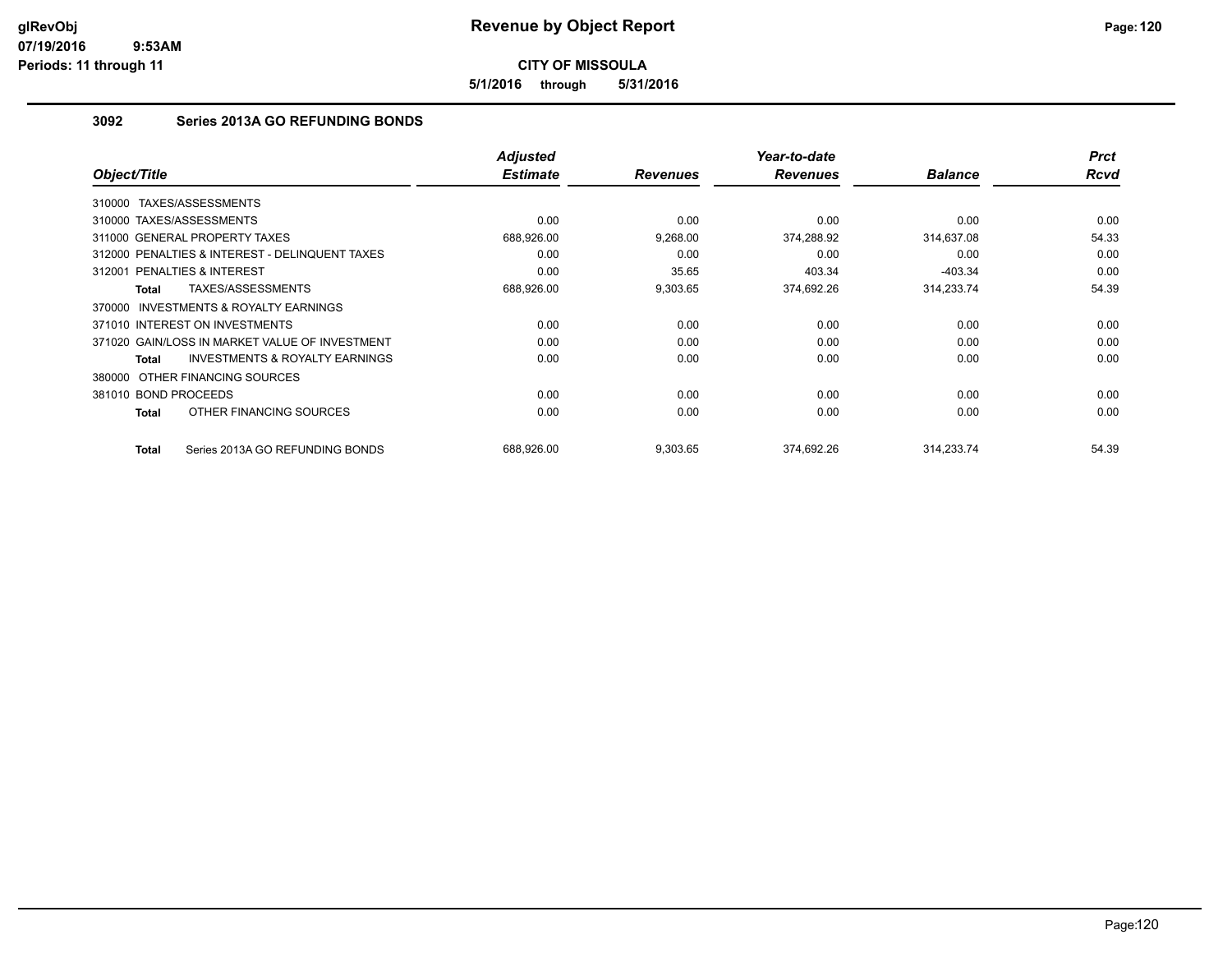**5/1/2016 through 5/31/2016**

# **3092 Series 2013A GO REFUNDING BONDS**

| Object/Title                                        | <b>Adjusted</b><br><b>Estimate</b> | <b>Revenues</b> | Year-to-date<br><b>Revenues</b> | <b>Balance</b> | <b>Prct</b><br><b>Rcvd</b> |
|-----------------------------------------------------|------------------------------------|-----------------|---------------------------------|----------------|----------------------------|
| TAXES/ASSESSMENTS<br>310000                         |                                    |                 |                                 |                |                            |
| 310000 TAXES/ASSESSMENTS                            | 0.00                               | 0.00            | 0.00                            | 0.00           | 0.00                       |
| 311000 GENERAL PROPERTY TAXES                       | 688,926.00                         | 9,268.00        | 374,288.92                      | 314,637.08     | 54.33                      |
| 312000 PENALTIES & INTEREST - DELINQUENT TAXES      | 0.00                               | 0.00            | 0.00                            | 0.00           | 0.00                       |
| PENALTIES & INTEREST<br>312001                      | 0.00                               | 35.65           | 403.34                          | $-403.34$      | 0.00                       |
| TAXES/ASSESSMENTS<br>Total                          | 688,926.00                         | 9,303.65        | 374,692.26                      | 314,233.74     | 54.39                      |
| <b>INVESTMENTS &amp; ROYALTY EARNINGS</b><br>370000 |                                    |                 |                                 |                |                            |
| 371010 INTEREST ON INVESTMENTS                      | 0.00                               | 0.00            | 0.00                            | 0.00           | 0.00                       |
| 371020 GAIN/LOSS IN MARKET VALUE OF INVESTMENT      | 0.00                               | 0.00            | 0.00                            | 0.00           | 0.00                       |
| <b>INVESTMENTS &amp; ROYALTY EARNINGS</b><br>Total  | 0.00                               | 0.00            | 0.00                            | 0.00           | 0.00                       |
| 380000 OTHER FINANCING SOURCES                      |                                    |                 |                                 |                |                            |
| 381010 BOND PROCEEDS                                | 0.00                               | 0.00            | 0.00                            | 0.00           | 0.00                       |
| OTHER FINANCING SOURCES<br>Total                    | 0.00                               | 0.00            | 0.00                            | 0.00           | 0.00                       |
| Series 2013A GO REFUNDING BONDS<br>Total            | 688.926.00                         | 9,303.65        | 374.692.26                      | 314.233.74     | 54.39                      |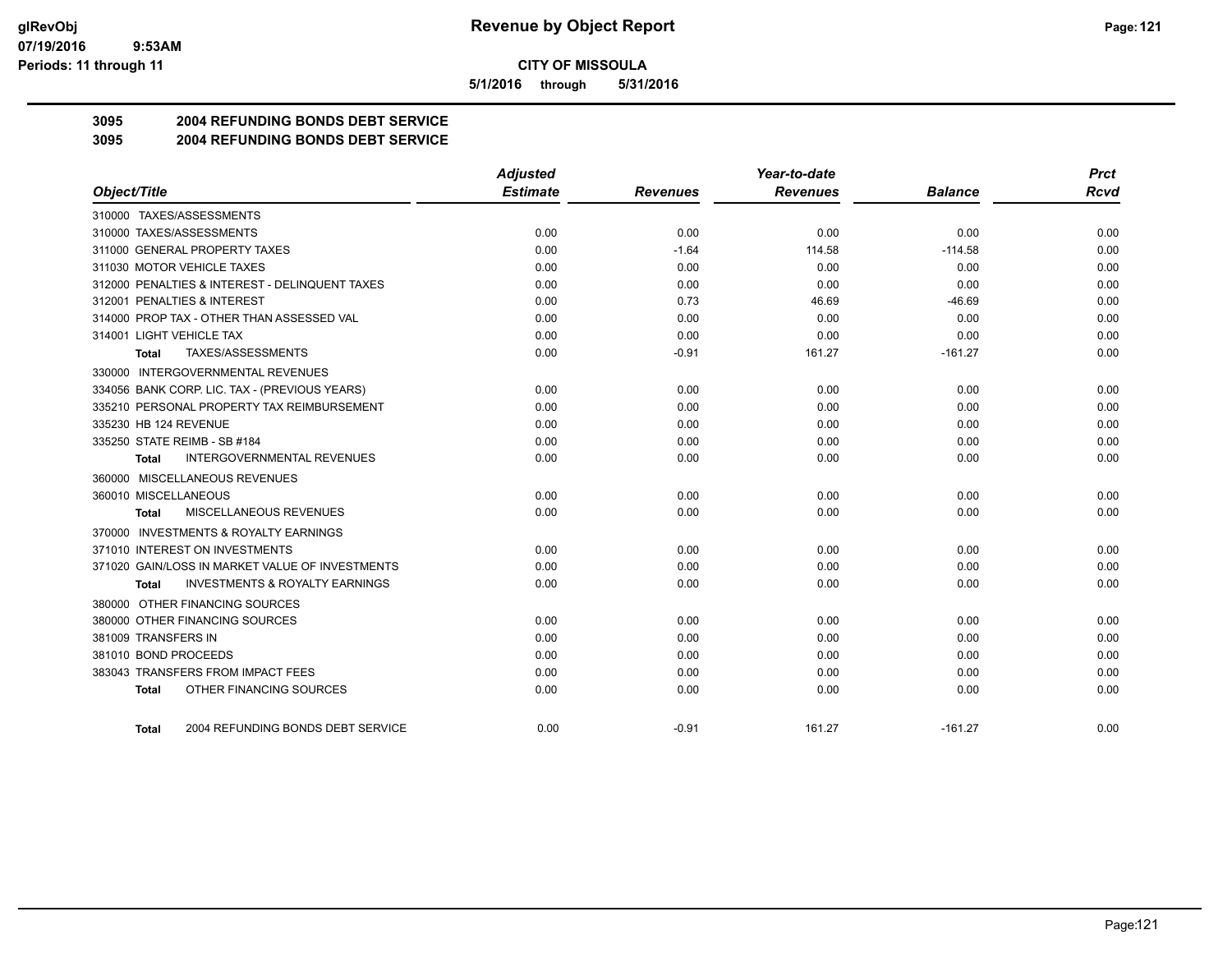**5/1/2016 through 5/31/2016**

# **3095 2004 REFUNDING BONDS DEBT SERVICE**

**3095 2004 REFUNDING BONDS DEBT SERVICE**

|                                                    | <b>Adjusted</b> |                 | Year-to-date    |                | <b>Prct</b> |
|----------------------------------------------------|-----------------|-----------------|-----------------|----------------|-------------|
| Object/Title                                       | <b>Estimate</b> | <b>Revenues</b> | <b>Revenues</b> | <b>Balance</b> | <b>Rcvd</b> |
| 310000 TAXES/ASSESSMENTS                           |                 |                 |                 |                |             |
| 310000 TAXES/ASSESSMENTS                           | 0.00            | 0.00            | 0.00            | 0.00           | 0.00        |
| 311000 GENERAL PROPERTY TAXES                      | 0.00            | $-1.64$         | 114.58          | $-114.58$      | 0.00        |
| 311030 MOTOR VEHICLE TAXES                         | 0.00            | 0.00            | 0.00            | 0.00           | 0.00        |
| 312000 PENALTIES & INTEREST - DELINQUENT TAXES     | 0.00            | 0.00            | 0.00            | 0.00           | 0.00        |
| 312001 PENALTIES & INTEREST                        | 0.00            | 0.73            | 46.69           | $-46.69$       | 0.00        |
| 314000 PROP TAX - OTHER THAN ASSESSED VAL          | 0.00            | 0.00            | 0.00            | 0.00           | 0.00        |
| 314001 LIGHT VEHICLE TAX                           | 0.00            | 0.00            | 0.00            | 0.00           | 0.00        |
| TAXES/ASSESSMENTS<br>Total                         | 0.00            | $-0.91$         | 161.27          | $-161.27$      | 0.00        |
| 330000 INTERGOVERNMENTAL REVENUES                  |                 |                 |                 |                |             |
| 334056 BANK CORP. LIC. TAX - (PREVIOUS YEARS)      | 0.00            | 0.00            | 0.00            | 0.00           | 0.00        |
| 335210 PERSONAL PROPERTY TAX REIMBURSEMENT         | 0.00            | 0.00            | 0.00            | 0.00           | 0.00        |
| 335230 HB 124 REVENUE                              | 0.00            | 0.00            | 0.00            | 0.00           | 0.00        |
| 335250 STATE REIMB - SB #184                       | 0.00            | 0.00            | 0.00            | 0.00           | 0.00        |
| <b>INTERGOVERNMENTAL REVENUES</b><br>Total         | 0.00            | 0.00            | 0.00            | 0.00           | 0.00        |
| 360000 MISCELLANEOUS REVENUES                      |                 |                 |                 |                |             |
| 360010 MISCELLANEOUS                               | 0.00            | 0.00            | 0.00            | 0.00           | 0.00        |
| <b>MISCELLANEOUS REVENUES</b><br>Total             | 0.00            | 0.00            | 0.00            | 0.00           | 0.00        |
| 370000 INVESTMENTS & ROYALTY EARNINGS              |                 |                 |                 |                |             |
| 371010 INTEREST ON INVESTMENTS                     | 0.00            | 0.00            | 0.00            | 0.00           | 0.00        |
| 371020 GAIN/LOSS IN MARKET VALUE OF INVESTMENTS    | 0.00            | 0.00            | 0.00            | 0.00           | 0.00        |
| <b>INVESTMENTS &amp; ROYALTY EARNINGS</b><br>Total | 0.00            | 0.00            | 0.00            | 0.00           | 0.00        |
| 380000 OTHER FINANCING SOURCES                     |                 |                 |                 |                |             |
| 380000 OTHER FINANCING SOURCES                     | 0.00            | 0.00            | 0.00            | 0.00           | 0.00        |
| 381009 TRANSFERS IN                                | 0.00            | 0.00            | 0.00            | 0.00           | 0.00        |
| 381010 BOND PROCEEDS                               | 0.00            | 0.00            | 0.00            | 0.00           | 0.00        |
| 383043 TRANSFERS FROM IMPACT FEES                  | 0.00            | 0.00            | 0.00            | 0.00           | 0.00        |
| OTHER FINANCING SOURCES<br>Total                   | 0.00            | 0.00            | 0.00            | 0.00           | 0.00        |
|                                                    |                 |                 |                 |                |             |
| 2004 REFUNDING BONDS DEBT SERVICE<br>Total         | 0.00            | $-0.91$         | 161.27          | $-161.27$      | 0.00        |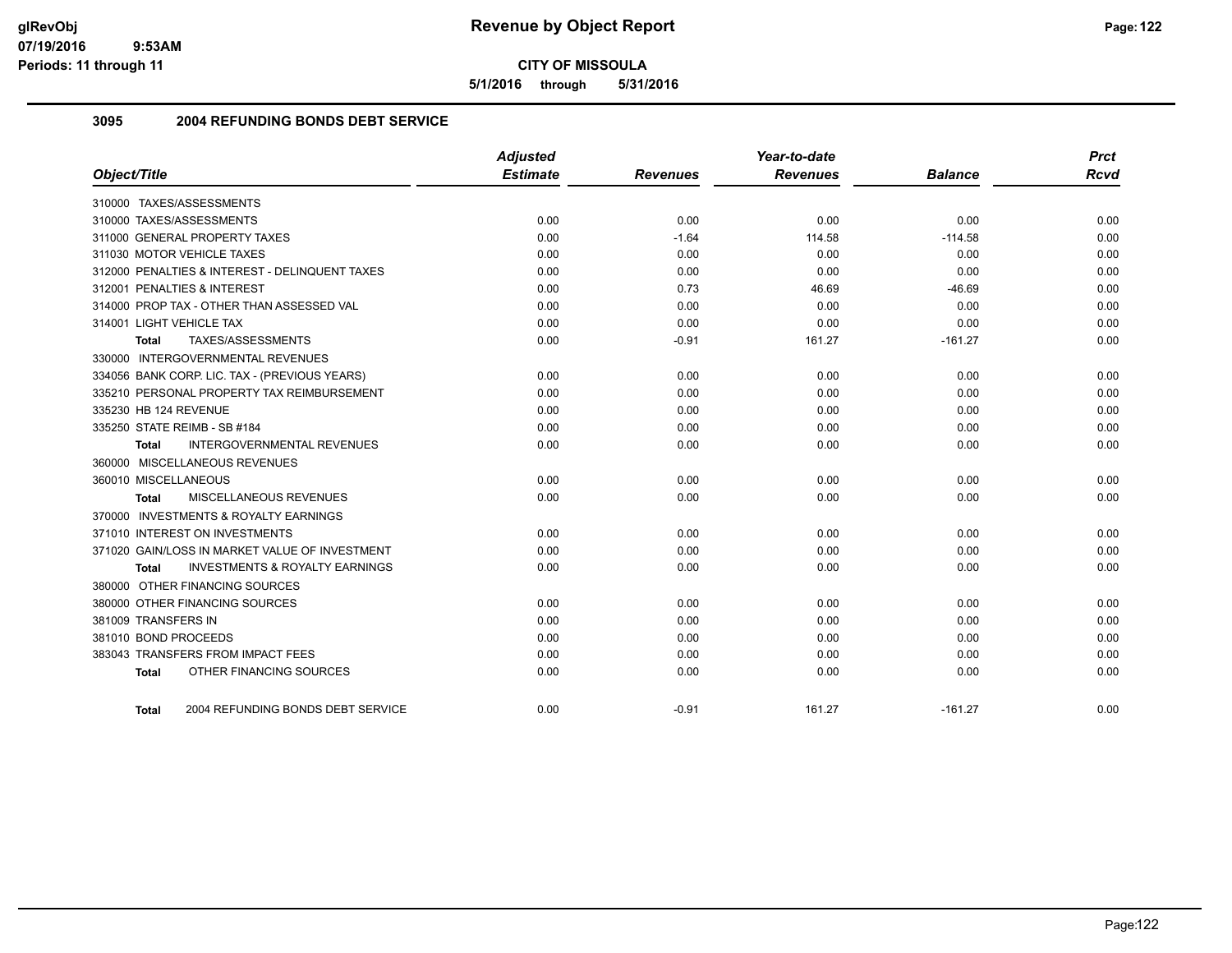**5/1/2016 through 5/31/2016**

## **3095 2004 REFUNDING BONDS DEBT SERVICE**

| Object/Title                                       | <b>Adjusted</b><br><b>Estimate</b> | <b>Revenues</b> | Year-to-date<br><b>Revenues</b> | <b>Balance</b> | <b>Prct</b><br><b>Rcvd</b> |
|----------------------------------------------------|------------------------------------|-----------------|---------------------------------|----------------|----------------------------|
|                                                    |                                    |                 |                                 |                |                            |
| 310000 TAXES/ASSESSMENTS                           |                                    |                 |                                 |                |                            |
| 310000 TAXES/ASSESSMENTS                           | 0.00                               | 0.00            | 0.00                            | 0.00           | 0.00                       |
| 311000 GENERAL PROPERTY TAXES                      | 0.00                               | $-1.64$         | 114.58                          | $-114.58$      | 0.00                       |
| 311030 MOTOR VEHICLE TAXES                         | 0.00                               | 0.00            | 0.00                            | 0.00           | 0.00                       |
| 312000 PENALTIES & INTEREST - DELINQUENT TAXES     | 0.00                               | 0.00            | 0.00                            | 0.00           | 0.00                       |
| 312001 PENALTIES & INTEREST                        | 0.00                               | 0.73            | 46.69                           | $-46.69$       | 0.00                       |
| 314000 PROP TAX - OTHER THAN ASSESSED VAL          | 0.00                               | 0.00            | 0.00                            | 0.00           | 0.00                       |
| 314001 LIGHT VEHICLE TAX                           | 0.00                               | 0.00            | 0.00                            | 0.00           | 0.00                       |
| TAXES/ASSESSMENTS<br>Total                         | 0.00                               | $-0.91$         | 161.27                          | $-161.27$      | 0.00                       |
| 330000 INTERGOVERNMENTAL REVENUES                  |                                    |                 |                                 |                |                            |
| 334056 BANK CORP. LIC. TAX - (PREVIOUS YEARS)      | 0.00                               | 0.00            | 0.00                            | 0.00           | 0.00                       |
| 335210 PERSONAL PROPERTY TAX REIMBURSEMENT         | 0.00                               | 0.00            | 0.00                            | 0.00           | 0.00                       |
| 335230 HB 124 REVENUE                              | 0.00                               | 0.00            | 0.00                            | 0.00           | 0.00                       |
| 335250 STATE REIMB - SB #184                       | 0.00                               | 0.00            | 0.00                            | 0.00           | 0.00                       |
| INTERGOVERNMENTAL REVENUES<br>Total                | 0.00                               | 0.00            | 0.00                            | 0.00           | 0.00                       |
| 360000 MISCELLANEOUS REVENUES                      |                                    |                 |                                 |                |                            |
| 360010 MISCELLANEOUS                               | 0.00                               | 0.00            | 0.00                            | 0.00           | 0.00                       |
| MISCELLANEOUS REVENUES<br>Total                    | 0.00                               | 0.00            | 0.00                            | 0.00           | 0.00                       |
| 370000 INVESTMENTS & ROYALTY EARNINGS              |                                    |                 |                                 |                |                            |
| 371010 INTEREST ON INVESTMENTS                     | 0.00                               | 0.00            | 0.00                            | 0.00           | 0.00                       |
| 371020 GAIN/LOSS IN MARKET VALUE OF INVESTMENT     | 0.00                               | 0.00            | 0.00                            | 0.00           | 0.00                       |
| <b>INVESTMENTS &amp; ROYALTY EARNINGS</b><br>Total | 0.00                               | 0.00            | 0.00                            | 0.00           | 0.00                       |
| 380000 OTHER FINANCING SOURCES                     |                                    |                 |                                 |                |                            |
| 380000 OTHER FINANCING SOURCES                     | 0.00                               | 0.00            | 0.00                            | 0.00           | 0.00                       |
| 381009 TRANSFERS IN                                | 0.00                               | 0.00            | 0.00                            | 0.00           | 0.00                       |
| 381010 BOND PROCEEDS                               | 0.00                               | 0.00            | 0.00                            | 0.00           | 0.00                       |
| 383043 TRANSFERS FROM IMPACT FEES                  | 0.00                               | 0.00            | 0.00                            | 0.00           | 0.00                       |
| OTHER FINANCING SOURCES<br><b>Total</b>            | 0.00                               | 0.00            | 0.00                            | 0.00           | 0.00                       |
|                                                    |                                    |                 |                                 |                |                            |
| 2004 REFUNDING BONDS DEBT SERVICE<br><b>Total</b>  | 0.00                               | $-0.91$         | 161.27                          | $-161.27$      | 0.00                       |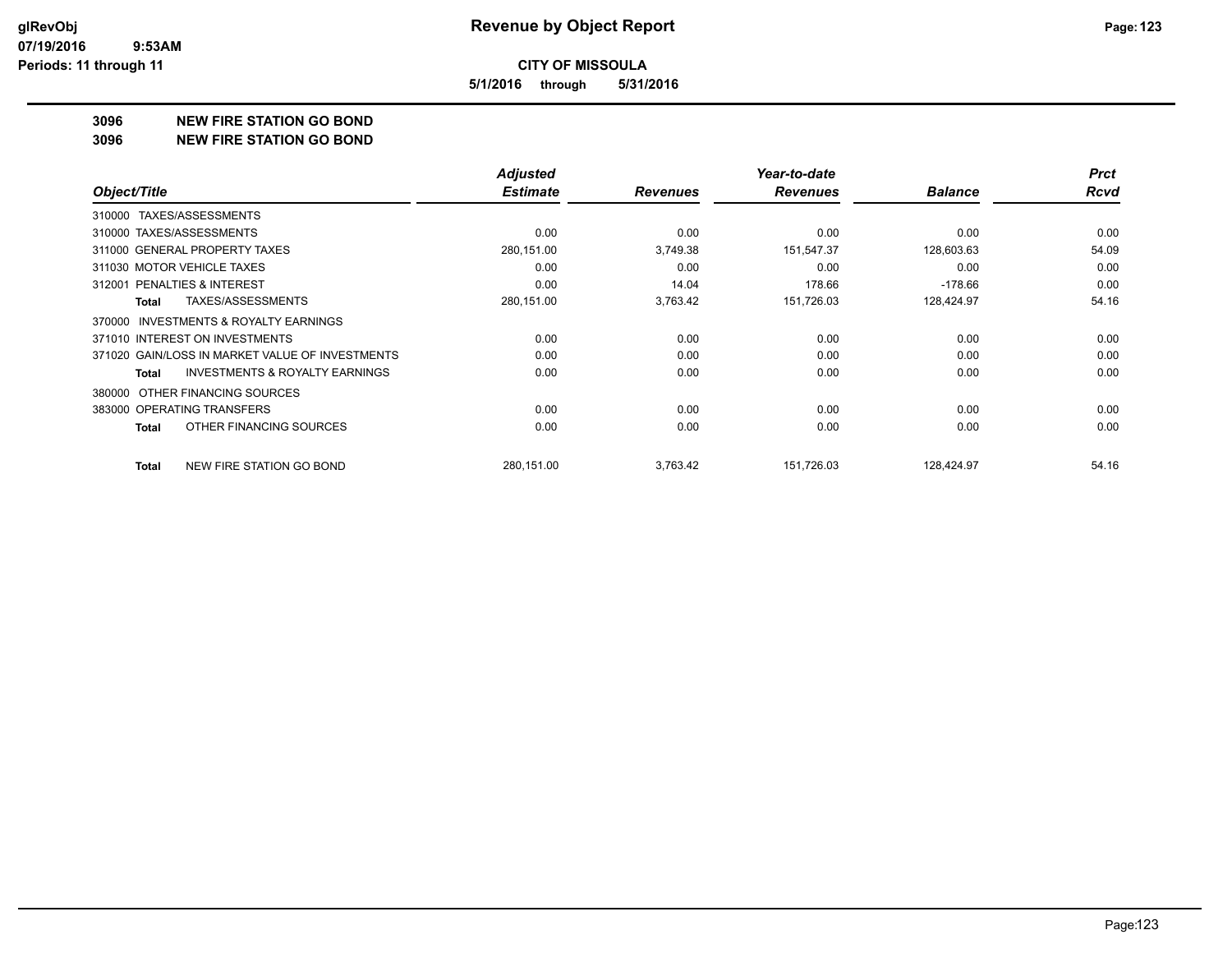**5/1/2016 through 5/31/2016**

#### **3096 NEW FIRE STATION GO BOND**

#### **3096 NEW FIRE STATION GO BOND**

|                                                           | <b>Adjusted</b> |                 | Year-to-date    |                | <b>Prct</b> |
|-----------------------------------------------------------|-----------------|-----------------|-----------------|----------------|-------------|
| Object/Title                                              | <b>Estimate</b> | <b>Revenues</b> | <b>Revenues</b> | <b>Balance</b> | Rcvd        |
| TAXES/ASSESSMENTS<br>310000                               |                 |                 |                 |                |             |
| 310000 TAXES/ASSESSMENTS                                  | 0.00            | 0.00            | 0.00            | 0.00           | 0.00        |
| 311000 GENERAL PROPERTY TAXES                             | 280,151.00      | 3,749.38        | 151,547.37      | 128,603.63     | 54.09       |
| 311030 MOTOR VEHICLE TAXES                                | 0.00            | 0.00            | 0.00            | 0.00           | 0.00        |
| 312001 PENALTIES & INTEREST                               | 0.00            | 14.04           | 178.66          | $-178.66$      | 0.00        |
| TAXES/ASSESSMENTS<br>Total                                | 280,151.00      | 3,763.42        | 151,726.03      | 128,424.97     | 54.16       |
| <b>INVESTMENTS &amp; ROYALTY EARNINGS</b><br>370000       |                 |                 |                 |                |             |
| 371010 INTEREST ON INVESTMENTS                            | 0.00            | 0.00            | 0.00            | 0.00           | 0.00        |
| 371020 GAIN/LOSS IN MARKET VALUE OF INVESTMENTS           | 0.00            | 0.00            | 0.00            | 0.00           | 0.00        |
| <b>INVESTMENTS &amp; ROYALTY EARNINGS</b><br><b>Total</b> | 0.00            | 0.00            | 0.00            | 0.00           | 0.00        |
| OTHER FINANCING SOURCES<br>380000                         |                 |                 |                 |                |             |
| 383000 OPERATING TRANSFERS                                | 0.00            | 0.00            | 0.00            | 0.00           | 0.00        |
| OTHER FINANCING SOURCES<br><b>Total</b>                   | 0.00            | 0.00            | 0.00            | 0.00           | 0.00        |
| NEW FIRE STATION GO BOND<br><b>Total</b>                  | 280,151.00      | 3,763.42        | 151,726.03      | 128,424.97     | 54.16       |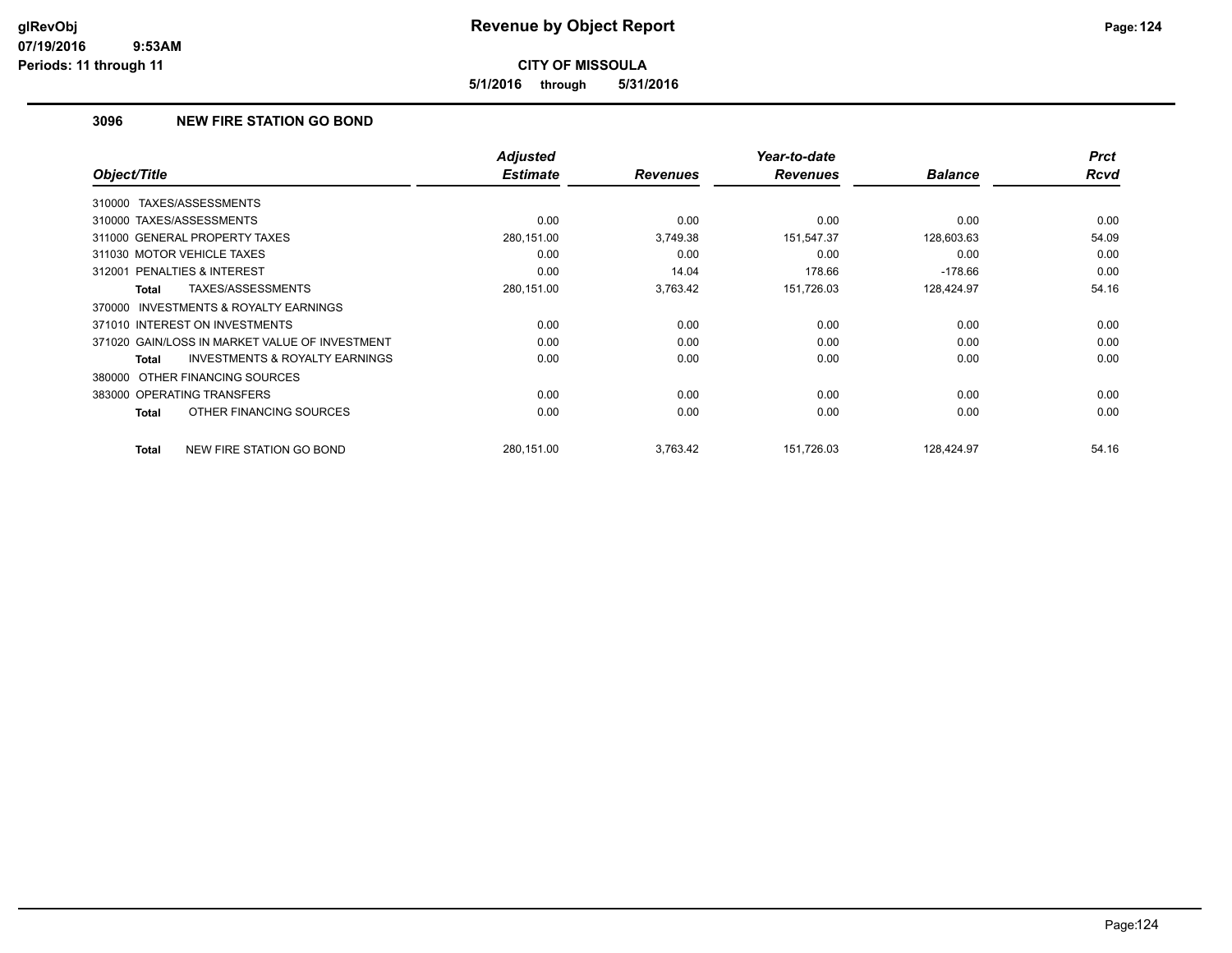**5/1/2016 through 5/31/2016**

# **3096 NEW FIRE STATION GO BOND**

| Object/Title                                        | <b>Adjusted</b><br><b>Estimate</b> | <b>Revenues</b> | Year-to-date<br><b>Revenues</b> | <b>Balance</b> | <b>Prct</b><br><b>Rcvd</b> |
|-----------------------------------------------------|------------------------------------|-----------------|---------------------------------|----------------|----------------------------|
|                                                     |                                    |                 |                                 |                |                            |
| TAXES/ASSESSMENTS<br>310000                         |                                    |                 |                                 |                |                            |
| 310000 TAXES/ASSESSMENTS                            | 0.00                               | 0.00            | 0.00                            | 0.00           | 0.00                       |
| 311000 GENERAL PROPERTY TAXES                       | 280,151.00                         | 3,749.38        | 151,547.37                      | 128,603.63     | 54.09                      |
| 311030 MOTOR VEHICLE TAXES                          | 0.00                               | 0.00            | 0.00                            | 0.00           | 0.00                       |
| <b>PENALTIES &amp; INTEREST</b><br>312001           | 0.00                               | 14.04           | 178.66                          | $-178.66$      | 0.00                       |
| TAXES/ASSESSMENTS<br>Total                          | 280,151.00                         | 3,763.42        | 151,726.03                      | 128,424.97     | 54.16                      |
| <b>INVESTMENTS &amp; ROYALTY EARNINGS</b><br>370000 |                                    |                 |                                 |                |                            |
| 371010 INTEREST ON INVESTMENTS                      | 0.00                               | 0.00            | 0.00                            | 0.00           | 0.00                       |
| 371020 GAIN/LOSS IN MARKET VALUE OF INVESTMENT      | 0.00                               | 0.00            | 0.00                            | 0.00           | 0.00                       |
| <b>INVESTMENTS &amp; ROYALTY EARNINGS</b><br>Total  | 0.00                               | 0.00            | 0.00                            | 0.00           | 0.00                       |
| 380000 OTHER FINANCING SOURCES                      |                                    |                 |                                 |                |                            |
| 383000 OPERATING TRANSFERS                          | 0.00                               | 0.00            | 0.00                            | 0.00           | 0.00                       |
| OTHER FINANCING SOURCES<br>Total                    | 0.00                               | 0.00            | 0.00                            | 0.00           | 0.00                       |
| NEW FIRE STATION GO BOND<br><b>Total</b>            | 280,151.00                         | 3,763.42        | 151,726.03                      | 128,424.97     | 54.16                      |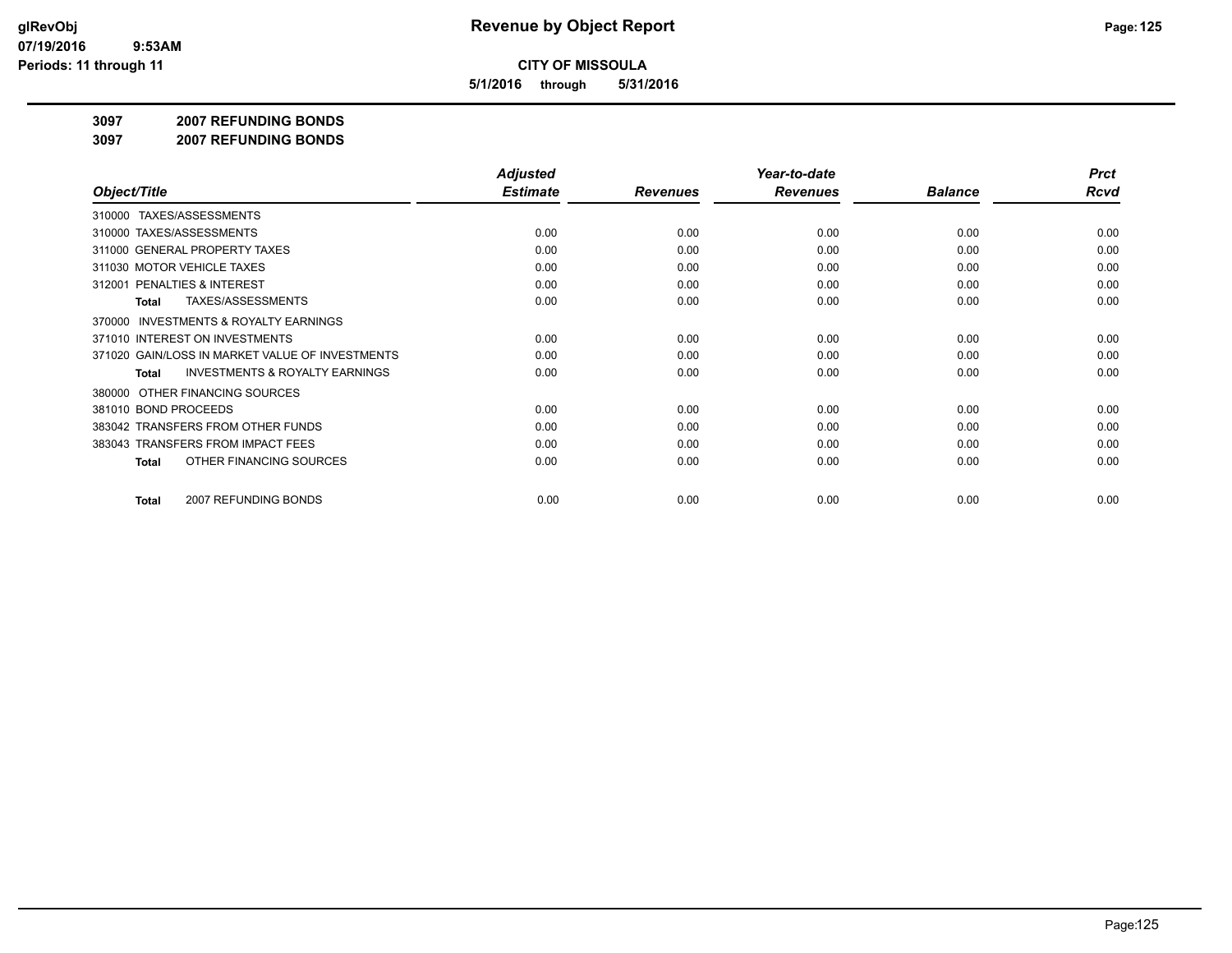**5/1/2016 through 5/31/2016**

**3097 2007 REFUNDING BONDS**

**3097 2007 REFUNDING BONDS**

|                                                     | <b>Adjusted</b> |                 | Year-to-date    |                | <b>Prct</b> |
|-----------------------------------------------------|-----------------|-----------------|-----------------|----------------|-------------|
| Object/Title                                        | <b>Estimate</b> | <b>Revenues</b> | <b>Revenues</b> | <b>Balance</b> | Rcvd        |
| TAXES/ASSESSMENTS<br>310000                         |                 |                 |                 |                |             |
| 310000 TAXES/ASSESSMENTS                            | 0.00            | 0.00            | 0.00            | 0.00           | 0.00        |
| 311000 GENERAL PROPERTY TAXES                       | 0.00            | 0.00            | 0.00            | 0.00           | 0.00        |
| 311030 MOTOR VEHICLE TAXES                          | 0.00            | 0.00            | 0.00            | 0.00           | 0.00        |
| 312001 PENALTIES & INTEREST                         | 0.00            | 0.00            | 0.00            | 0.00           | 0.00        |
| <b>TAXES/ASSESSMENTS</b><br><b>Total</b>            | 0.00            | 0.00            | 0.00            | 0.00           | 0.00        |
| <b>INVESTMENTS &amp; ROYALTY EARNINGS</b><br>370000 |                 |                 |                 |                |             |
| 371010 INTEREST ON INVESTMENTS                      | 0.00            | 0.00            | 0.00            | 0.00           | 0.00        |
| 371020 GAIN/LOSS IN MARKET VALUE OF INVESTMENTS     | 0.00            | 0.00            | 0.00            | 0.00           | 0.00        |
| <b>INVESTMENTS &amp; ROYALTY EARNINGS</b><br>Total  | 0.00            | 0.00            | 0.00            | 0.00           | 0.00        |
| OTHER FINANCING SOURCES<br>380000                   |                 |                 |                 |                |             |
| 381010 BOND PROCEEDS                                | 0.00            | 0.00            | 0.00            | 0.00           | 0.00        |
| 383042 TRANSFERS FROM OTHER FUNDS                   | 0.00            | 0.00            | 0.00            | 0.00           | 0.00        |
| 383043 TRANSFERS FROM IMPACT FEES                   | 0.00            | 0.00            | 0.00            | 0.00           | 0.00        |
| OTHER FINANCING SOURCES<br><b>Total</b>             | 0.00            | 0.00            | 0.00            | 0.00           | 0.00        |
| 2007 REFUNDING BONDS<br><b>Total</b>                | 0.00            | 0.00            | 0.00            | 0.00           | 0.00        |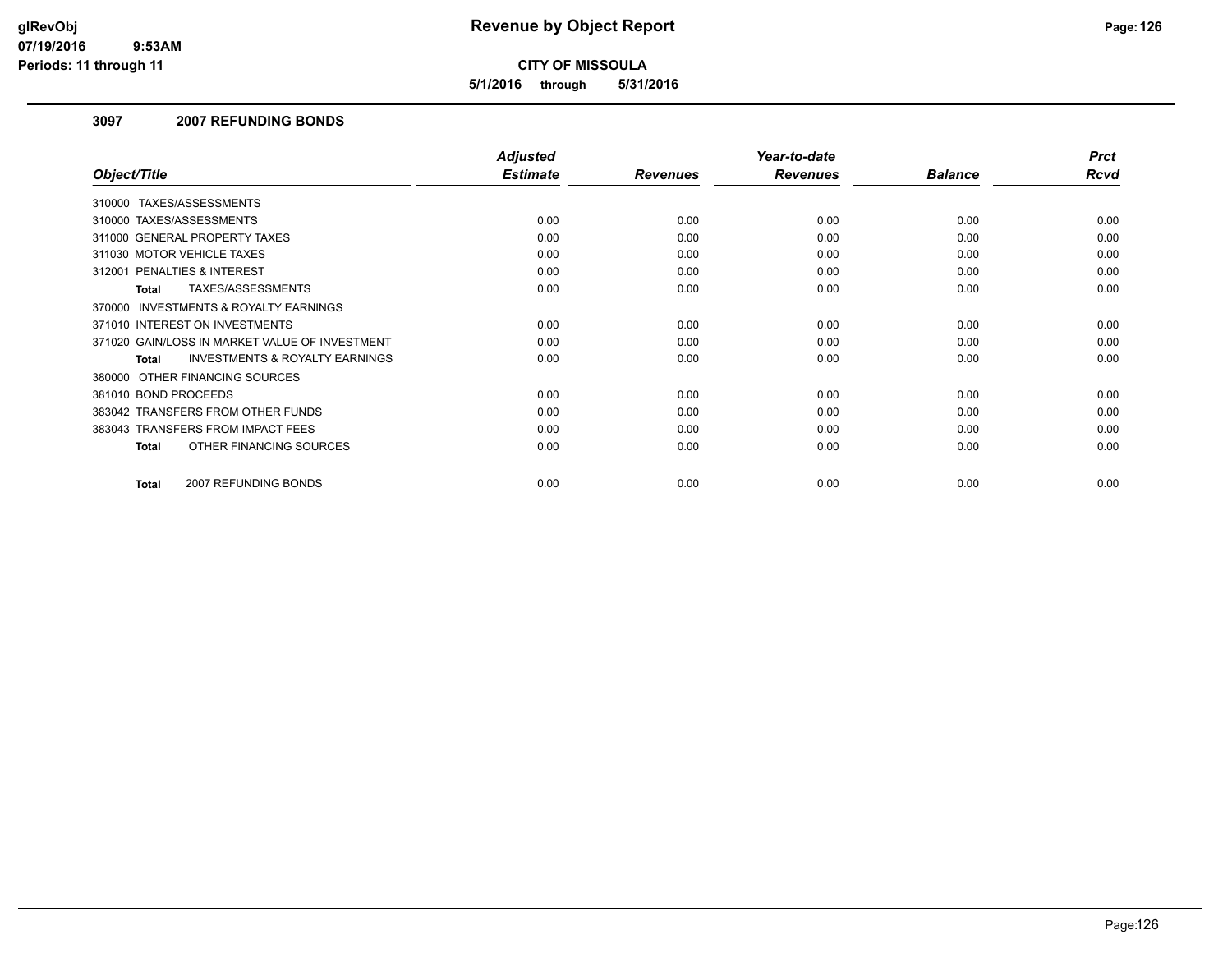**5/1/2016 through 5/31/2016**

### **3097 2007 REFUNDING BONDS**

|                                                     | <b>Adjusted</b> |                 | Year-to-date    |                | <b>Prct</b> |
|-----------------------------------------------------|-----------------|-----------------|-----------------|----------------|-------------|
| Object/Title                                        | <b>Estimate</b> | <b>Revenues</b> | <b>Revenues</b> | <b>Balance</b> | <b>Rcvd</b> |
| 310000 TAXES/ASSESSMENTS                            |                 |                 |                 |                |             |
| 310000 TAXES/ASSESSMENTS                            | 0.00            | 0.00            | 0.00            | 0.00           | 0.00        |
| 311000 GENERAL PROPERTY TAXES                       | 0.00            | 0.00            | 0.00            | 0.00           | 0.00        |
| 311030 MOTOR VEHICLE TAXES                          | 0.00            | 0.00            | 0.00            | 0.00           | 0.00        |
| 312001 PENALTIES & INTEREST                         | 0.00            | 0.00            | 0.00            | 0.00           | 0.00        |
| TAXES/ASSESSMENTS<br><b>Total</b>                   | 0.00            | 0.00            | 0.00            | 0.00           | 0.00        |
| <b>INVESTMENTS &amp; ROYALTY EARNINGS</b><br>370000 |                 |                 |                 |                |             |
| 371010 INTEREST ON INVESTMENTS                      | 0.00            | 0.00            | 0.00            | 0.00           | 0.00        |
| 371020 GAIN/LOSS IN MARKET VALUE OF INVESTMENT      | 0.00            | 0.00            | 0.00            | 0.00           | 0.00        |
| <b>INVESTMENTS &amp; ROYALTY EARNINGS</b><br>Total  | 0.00            | 0.00            | 0.00            | 0.00           | 0.00        |
| 380000 OTHER FINANCING SOURCES                      |                 |                 |                 |                |             |
| 381010 BOND PROCEEDS                                | 0.00            | 0.00            | 0.00            | 0.00           | 0.00        |
| 383042 TRANSFERS FROM OTHER FUNDS                   | 0.00            | 0.00            | 0.00            | 0.00           | 0.00        |
| 383043 TRANSFERS FROM IMPACT FEES                   | 0.00            | 0.00            | 0.00            | 0.00           | 0.00        |
| OTHER FINANCING SOURCES<br><b>Total</b>             | 0.00            | 0.00            | 0.00            | 0.00           | 0.00        |
| 2007 REFUNDING BONDS<br>Total                       | 0.00            | 0.00            | 0.00            | 0.00           | 0.00        |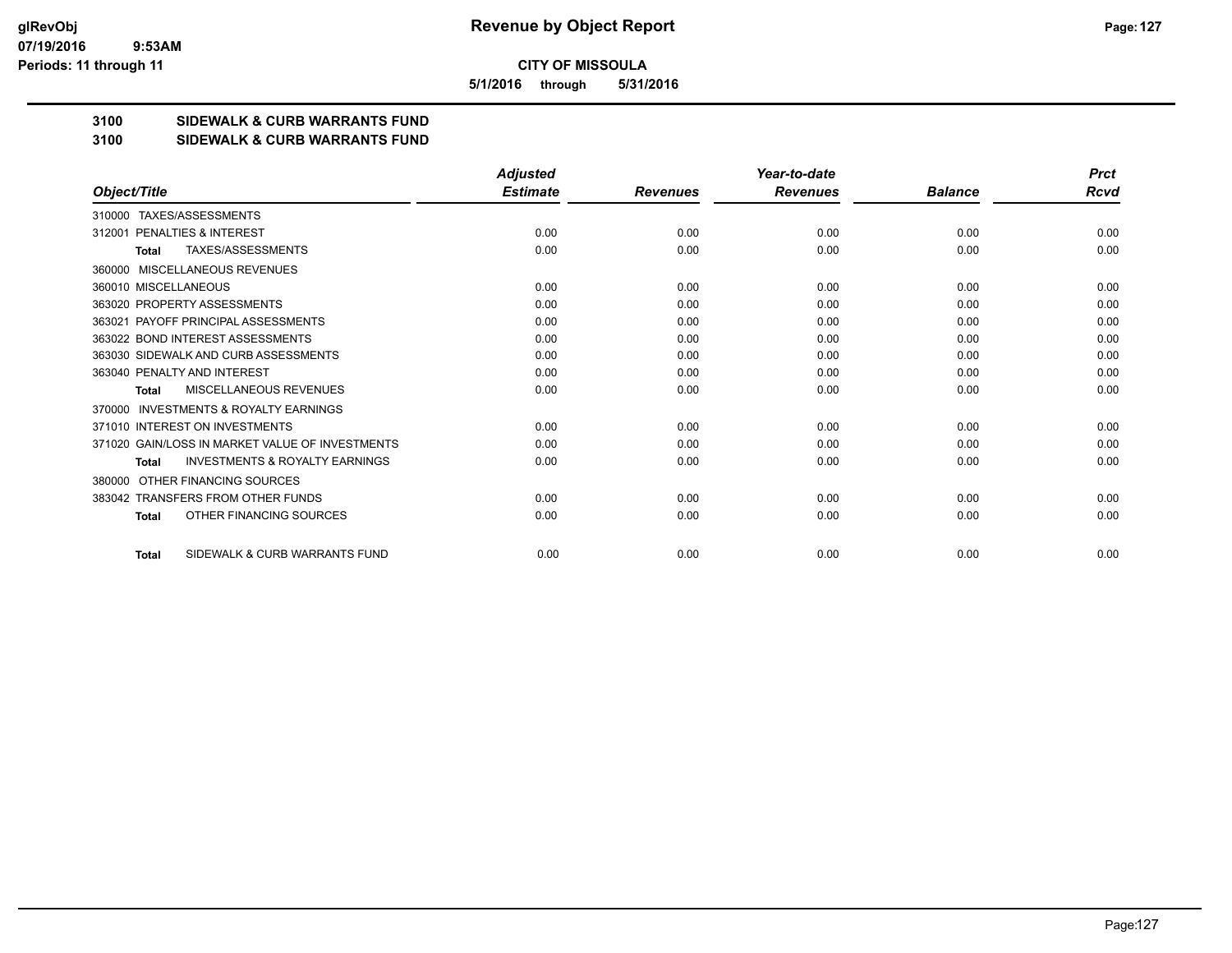**5/1/2016 through 5/31/2016**

# **3100 SIDEWALK & CURB WARRANTS FUND**

#### **3100 SIDEWALK & CURB WARRANTS FUND**

|                                                           | <b>Adjusted</b> |                 | Year-to-date    |                | <b>Prct</b> |
|-----------------------------------------------------------|-----------------|-----------------|-----------------|----------------|-------------|
| Object/Title                                              | <b>Estimate</b> | <b>Revenues</b> | <b>Revenues</b> | <b>Balance</b> | <b>Rcvd</b> |
| TAXES/ASSESSMENTS<br>310000                               |                 |                 |                 |                |             |
| PENALTIES & INTEREST<br>312001                            | 0.00            | 0.00            | 0.00            | 0.00           | 0.00        |
| TAXES/ASSESSMENTS<br><b>Total</b>                         | 0.00            | 0.00            | 0.00            | 0.00           | 0.00        |
| MISCELLANEOUS REVENUES<br>360000                          |                 |                 |                 |                |             |
| 360010 MISCELLANEOUS                                      | 0.00            | 0.00            | 0.00            | 0.00           | 0.00        |
| 363020 PROPERTY ASSESSMENTS                               | 0.00            | 0.00            | 0.00            | 0.00           | 0.00        |
| 363021 PAYOFF PRINCIPAL ASSESSMENTS                       | 0.00            | 0.00            | 0.00            | 0.00           | 0.00        |
| 363022 BOND INTEREST ASSESSMENTS                          | 0.00            | 0.00            | 0.00            | 0.00           | 0.00        |
| 363030 SIDEWALK AND CURB ASSESSMENTS                      | 0.00            | 0.00            | 0.00            | 0.00           | 0.00        |
| 363040 PENALTY AND INTEREST                               | 0.00            | 0.00            | 0.00            | 0.00           | 0.00        |
| MISCELLANEOUS REVENUES<br><b>Total</b>                    | 0.00            | 0.00            | 0.00            | 0.00           | 0.00        |
| <b>INVESTMENTS &amp; ROYALTY EARNINGS</b><br>370000       |                 |                 |                 |                |             |
| 371010 INTEREST ON INVESTMENTS                            | 0.00            | 0.00            | 0.00            | 0.00           | 0.00        |
| 371020 GAIN/LOSS IN MARKET VALUE OF INVESTMENTS           | 0.00            | 0.00            | 0.00            | 0.00           | 0.00        |
| <b>INVESTMENTS &amp; ROYALTY EARNINGS</b><br><b>Total</b> | 0.00            | 0.00            | 0.00            | 0.00           | 0.00        |
| OTHER FINANCING SOURCES<br>380000                         |                 |                 |                 |                |             |
| 383042 TRANSFERS FROM OTHER FUNDS                         | 0.00            | 0.00            | 0.00            | 0.00           | 0.00        |
| OTHER FINANCING SOURCES<br><b>Total</b>                   | 0.00            | 0.00            | 0.00            | 0.00           | 0.00        |
|                                                           |                 |                 |                 |                |             |
| SIDEWALK & CURB WARRANTS FUND<br><b>Total</b>             | 0.00            | 0.00            | 0.00            | 0.00           | 0.00        |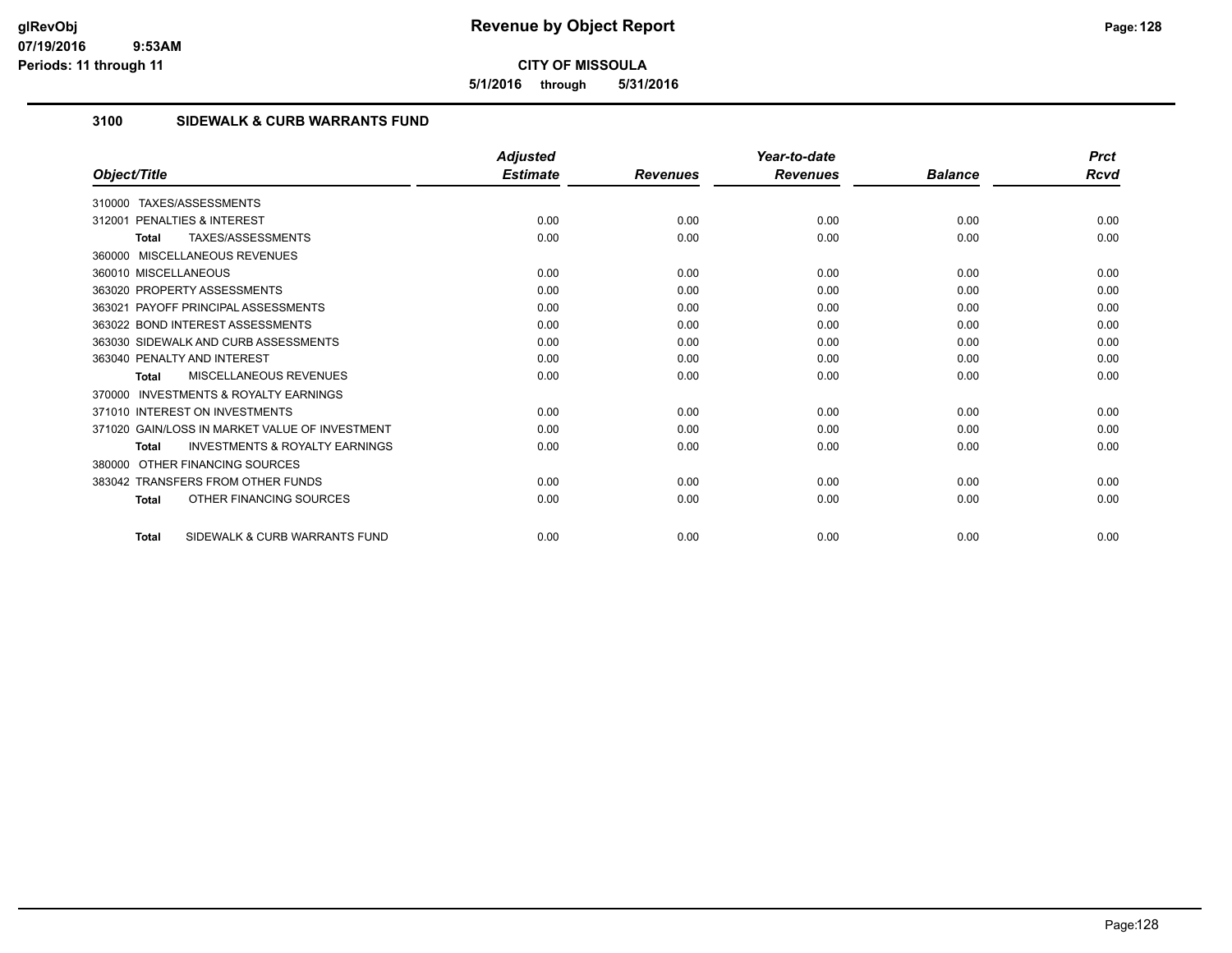**5/1/2016 through 5/31/2016**

## **3100 SIDEWALK & CURB WARRANTS FUND**

|                                                           | <b>Adjusted</b> |                 | Year-to-date    |                | <b>Prct</b> |
|-----------------------------------------------------------|-----------------|-----------------|-----------------|----------------|-------------|
| Object/Title                                              | <b>Estimate</b> | <b>Revenues</b> | <b>Revenues</b> | <b>Balance</b> | Rcvd        |
| TAXES/ASSESSMENTS<br>310000                               |                 |                 |                 |                |             |
| <b>PENALTIES &amp; INTEREST</b><br>312001                 | 0.00            | 0.00            | 0.00            | 0.00           | 0.00        |
| <b>TAXES/ASSESSMENTS</b><br><b>Total</b>                  | 0.00            | 0.00            | 0.00            | 0.00           | 0.00        |
| 360000 MISCELLANEOUS REVENUES                             |                 |                 |                 |                |             |
| 360010 MISCELLANEOUS                                      | 0.00            | 0.00            | 0.00            | 0.00           | 0.00        |
| 363020 PROPERTY ASSESSMENTS                               | 0.00            | 0.00            | 0.00            | 0.00           | 0.00        |
| 363021 PAYOFF PRINCIPAL ASSESSMENTS                       | 0.00            | 0.00            | 0.00            | 0.00           | 0.00        |
| 363022 BOND INTEREST ASSESSMENTS                          | 0.00            | 0.00            | 0.00            | 0.00           | 0.00        |
| 363030 SIDEWALK AND CURB ASSESSMENTS                      | 0.00            | 0.00            | 0.00            | 0.00           | 0.00        |
| 363040 PENALTY AND INTEREST                               | 0.00            | 0.00            | 0.00            | 0.00           | 0.00        |
| <b>MISCELLANEOUS REVENUES</b><br><b>Total</b>             | 0.00            | 0.00            | 0.00            | 0.00           | 0.00        |
| <b>INVESTMENTS &amp; ROYALTY EARNINGS</b><br>370000       |                 |                 |                 |                |             |
| 371010 INTEREST ON INVESTMENTS                            | 0.00            | 0.00            | 0.00            | 0.00           | 0.00        |
| 371020 GAIN/LOSS IN MARKET VALUE OF INVESTMENT            | 0.00            | 0.00            | 0.00            | 0.00           | 0.00        |
| <b>INVESTMENTS &amp; ROYALTY EARNINGS</b><br><b>Total</b> | 0.00            | 0.00            | 0.00            | 0.00           | 0.00        |
| OTHER FINANCING SOURCES<br>380000                         |                 |                 |                 |                |             |
| 383042 TRANSFERS FROM OTHER FUNDS                         | 0.00            | 0.00            | 0.00            | 0.00           | 0.00        |
| OTHER FINANCING SOURCES<br><b>Total</b>                   | 0.00            | 0.00            | 0.00            | 0.00           | 0.00        |
| SIDEWALK & CURB WARRANTS FUND<br><b>Total</b>             | 0.00            | 0.00            | 0.00            | 0.00           | 0.00        |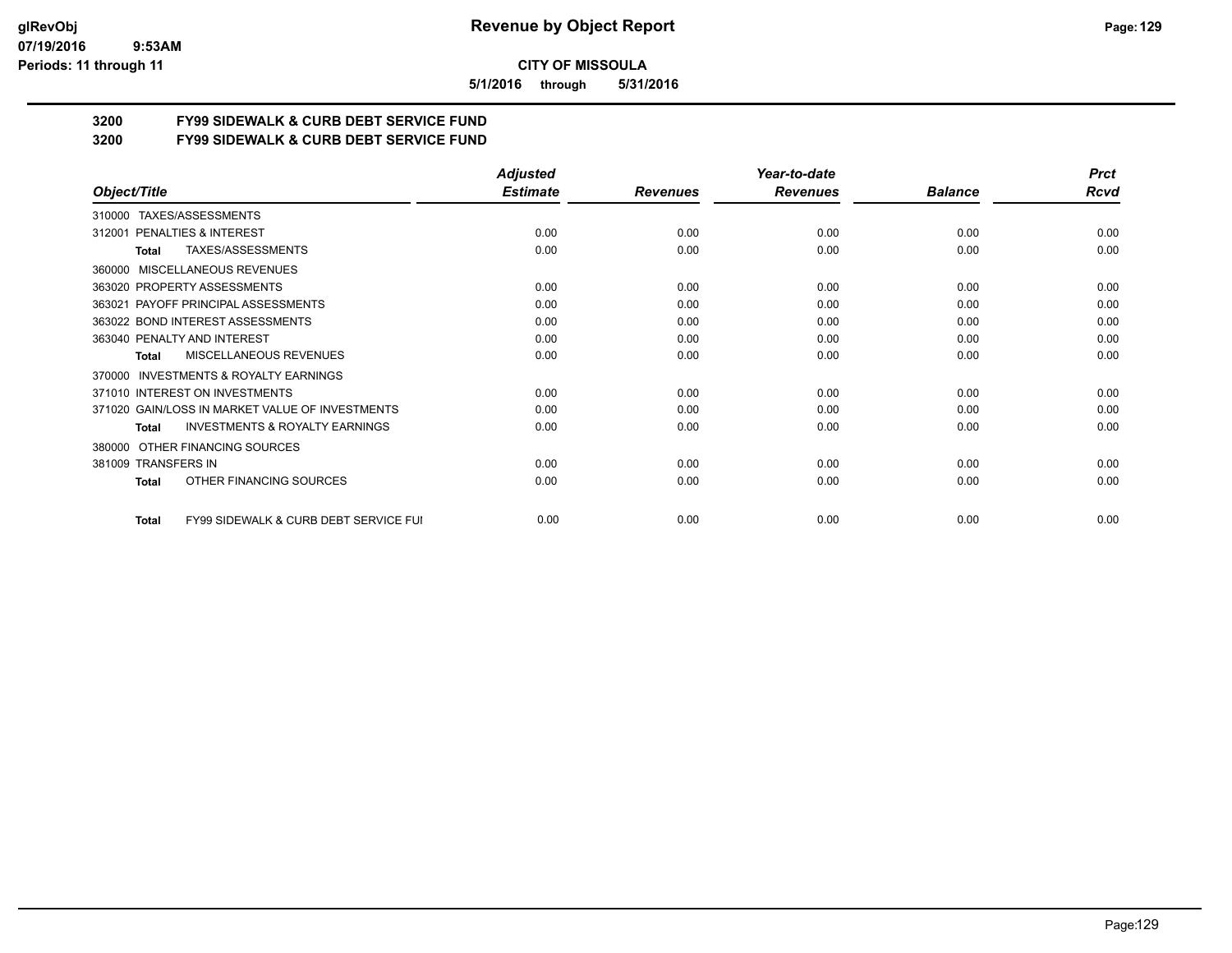#### **07/19/2016 9:53AM Periods: 11 through 11**

**CITY OF MISSOULA**

**5/1/2016 through 5/31/2016**

# **3200 FY99 SIDEWALK & CURB DEBT SERVICE FUND**

**3200 FY99 SIDEWALK & CURB DEBT SERVICE FUND**

|                                                                  | <b>Adjusted</b> |                 | Year-to-date    |                | <b>Prct</b> |
|------------------------------------------------------------------|-----------------|-----------------|-----------------|----------------|-------------|
| Object/Title                                                     | <b>Estimate</b> | <b>Revenues</b> | <b>Revenues</b> | <b>Balance</b> | <b>Rcvd</b> |
| TAXES/ASSESSMENTS<br>310000                                      |                 |                 |                 |                |             |
| PENALTIES & INTEREST<br>312001                                   | 0.00            | 0.00            | 0.00            | 0.00           | 0.00        |
| TAXES/ASSESSMENTS<br>Total                                       | 0.00            | 0.00            | 0.00            | 0.00           | 0.00        |
| <b>MISCELLANEOUS REVENUES</b><br>360000                          |                 |                 |                 |                |             |
| 363020 PROPERTY ASSESSMENTS                                      | 0.00            | 0.00            | 0.00            | 0.00           | 0.00        |
| 363021 PAYOFF PRINCIPAL ASSESSMENTS                              | 0.00            | 0.00            | 0.00            | 0.00           | 0.00        |
| 363022 BOND INTEREST ASSESSMENTS                                 | 0.00            | 0.00            | 0.00            | 0.00           | 0.00        |
| 363040 PENALTY AND INTEREST                                      | 0.00            | 0.00            | 0.00            | 0.00           | 0.00        |
| MISCELLANEOUS REVENUES<br>Total                                  | 0.00            | 0.00            | 0.00            | 0.00           | 0.00        |
| <b>INVESTMENTS &amp; ROYALTY EARNINGS</b><br>370000              |                 |                 |                 |                |             |
| 371010 INTEREST ON INVESTMENTS                                   | 0.00            | 0.00            | 0.00            | 0.00           | 0.00        |
| 371020 GAIN/LOSS IN MARKET VALUE OF INVESTMENTS                  | 0.00            | 0.00            | 0.00            | 0.00           | 0.00        |
| <b>INVESTMENTS &amp; ROYALTY EARNINGS</b><br><b>Total</b>        | 0.00            | 0.00            | 0.00            | 0.00           | 0.00        |
| OTHER FINANCING SOURCES<br>380000                                |                 |                 |                 |                |             |
| 381009 TRANSFERS IN                                              | 0.00            | 0.00            | 0.00            | 0.00           | 0.00        |
| OTHER FINANCING SOURCES<br><b>Total</b>                          | 0.00            | 0.00            | 0.00            | 0.00           | 0.00        |
| <b>FY99 SIDEWALK &amp; CURB DEBT SERVICE FUI</b><br><b>Total</b> | 0.00            | 0.00            | 0.00            | 0.00           | 0.00        |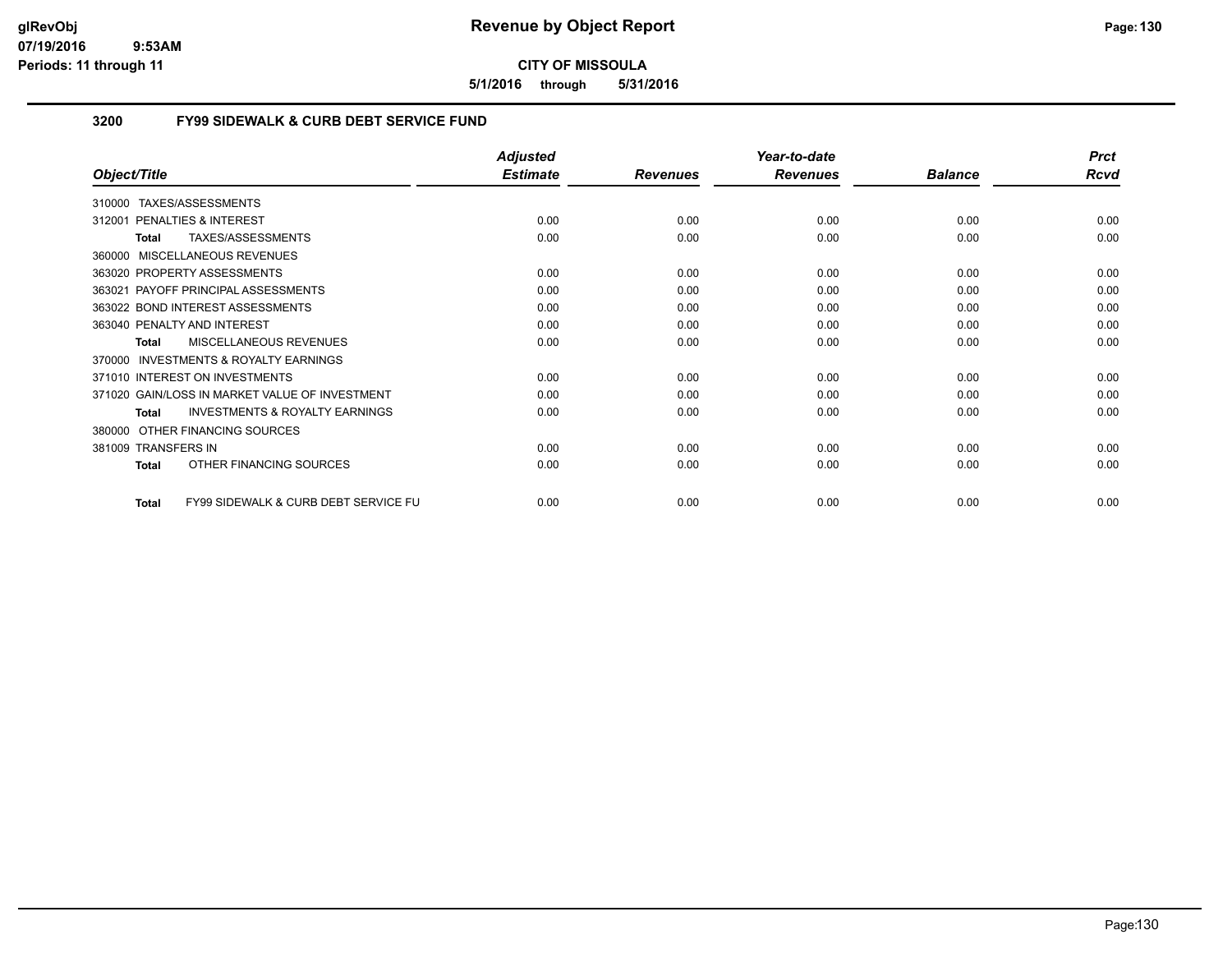**5/1/2016 through 5/31/2016**

# **3200 FY99 SIDEWALK & CURB DEBT SERVICE FUND**

|                                                                 | <b>Adjusted</b> |                 | Year-to-date    |                | <b>Prct</b> |
|-----------------------------------------------------------------|-----------------|-----------------|-----------------|----------------|-------------|
| Object/Title                                                    | <b>Estimate</b> | <b>Revenues</b> | <b>Revenues</b> | <b>Balance</b> | <b>Rcvd</b> |
| TAXES/ASSESSMENTS<br>310000                                     |                 |                 |                 |                |             |
| PENALTIES & INTEREST<br>312001                                  | 0.00            | 0.00            | 0.00            | 0.00           | 0.00        |
| TAXES/ASSESSMENTS<br><b>Total</b>                               | 0.00            | 0.00            | 0.00            | 0.00           | 0.00        |
| 360000 MISCELLANEOUS REVENUES                                   |                 |                 |                 |                |             |
| 363020 PROPERTY ASSESSMENTS                                     | 0.00            | 0.00            | 0.00            | 0.00           | 0.00        |
| 363021 PAYOFF PRINCIPAL ASSESSMENTS                             | 0.00            | 0.00            | 0.00            | 0.00           | 0.00        |
| 363022 BOND INTEREST ASSESSMENTS                                | 0.00            | 0.00            | 0.00            | 0.00           | 0.00        |
| 363040 PENALTY AND INTEREST                                     | 0.00            | 0.00            | 0.00            | 0.00           | 0.00        |
| <b>MISCELLANEOUS REVENUES</b><br><b>Total</b>                   | 0.00            | 0.00            | 0.00            | 0.00           | 0.00        |
| <b>INVESTMENTS &amp; ROYALTY EARNINGS</b><br>370000             |                 |                 |                 |                |             |
| 371010 INTEREST ON INVESTMENTS                                  | 0.00            | 0.00            | 0.00            | 0.00           | 0.00        |
| 371020 GAIN/LOSS IN MARKET VALUE OF INVESTMENT                  | 0.00            | 0.00            | 0.00            | 0.00           | 0.00        |
| <b>INVESTMENTS &amp; ROYALTY EARNINGS</b><br><b>Total</b>       | 0.00            | 0.00            | 0.00            | 0.00           | 0.00        |
| OTHER FINANCING SOURCES<br>380000                               |                 |                 |                 |                |             |
| 381009 TRANSFERS IN                                             | 0.00            | 0.00            | 0.00            | 0.00           | 0.00        |
| OTHER FINANCING SOURCES<br><b>Total</b>                         | 0.00            | 0.00            | 0.00            | 0.00           | 0.00        |
| <b>FY99 SIDEWALK &amp; CURB DEBT SERVICE FU</b><br><b>Total</b> | 0.00            | 0.00            | 0.00            | 0.00           | 0.00        |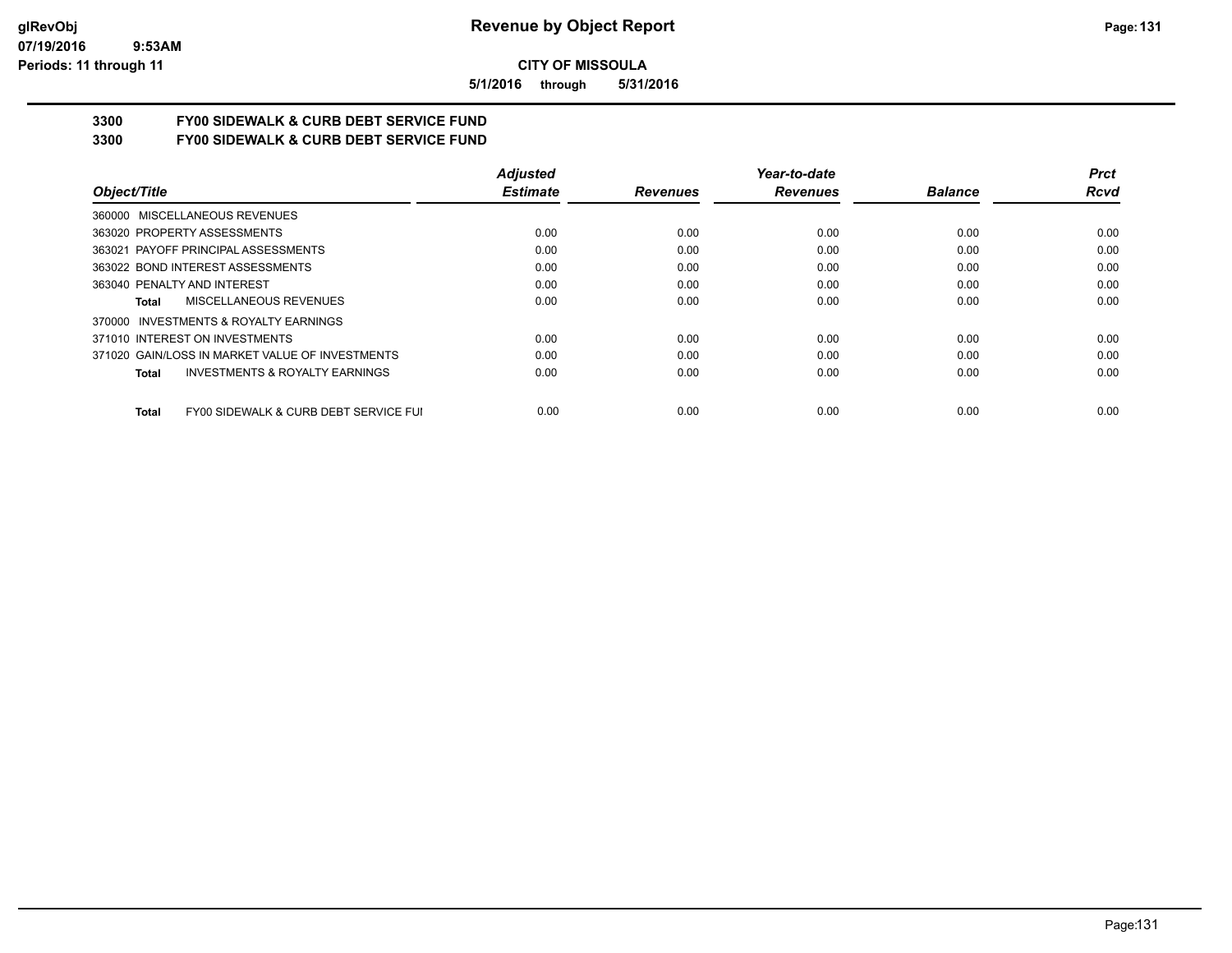#### **07/19/2016 9:53AM Periods: 11 through 11**

# **CITY OF MISSOULA**

**5/1/2016 through 5/31/2016**

# **3300 FY00 SIDEWALK & CURB DEBT SERVICE FUND**

**3300 FY00 SIDEWALK & CURB DEBT SERVICE FUND**

|                                                       | <b>Adjusted</b> |                 | Year-to-date    |                | <b>Prct</b> |
|-------------------------------------------------------|-----------------|-----------------|-----------------|----------------|-------------|
| Object/Title                                          | <b>Estimate</b> | <b>Revenues</b> | <b>Revenues</b> | <b>Balance</b> | <b>Rcvd</b> |
| 360000 MISCELLANEOUS REVENUES                         |                 |                 |                 |                |             |
| 363020 PROPERTY ASSESSMENTS                           | 0.00            | 0.00            | 0.00            | 0.00           | 0.00        |
| 363021 PAYOFF PRINCIPAL ASSESSMENTS                   | 0.00            | 0.00            | 0.00            | 0.00           | 0.00        |
| 363022 BOND INTEREST ASSESSMENTS                      | 0.00            | 0.00            | 0.00            | 0.00           | 0.00        |
| 363040 PENALTY AND INTEREST                           | 0.00            | 0.00            | 0.00            | 0.00           | 0.00        |
| MISCELLANEOUS REVENUES<br>Total                       | 0.00            | 0.00            | 0.00            | 0.00           | 0.00        |
| INVESTMENTS & ROYALTY EARNINGS<br>370000              |                 |                 |                 |                |             |
| 371010 INTEREST ON INVESTMENTS                        | 0.00            | 0.00            | 0.00            | 0.00           | 0.00        |
| 371020 GAIN/LOSS IN MARKET VALUE OF INVESTMENTS       | 0.00            | 0.00            | 0.00            | 0.00           | 0.00        |
| <b>INVESTMENTS &amp; ROYALTY EARNINGS</b><br>Total    | 0.00            | 0.00            | 0.00            | 0.00           | 0.00        |
| FY00 SIDEWALK & CURB DEBT SERVICE FUI<br><b>Total</b> | 0.00            | 0.00            | 0.00            | 0.00           | 0.00        |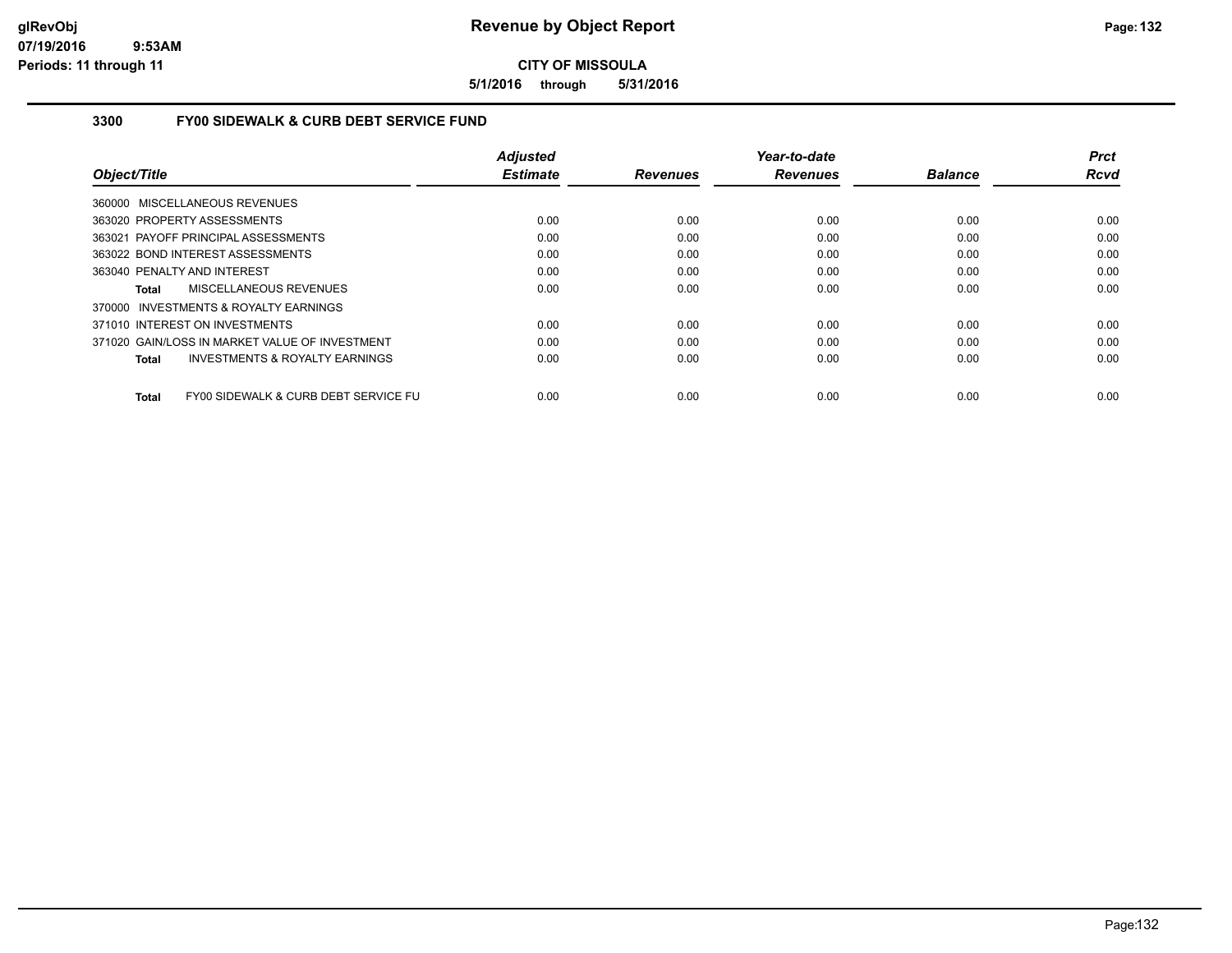**5/1/2016 through 5/31/2016**

## **3300 FY00 SIDEWALK & CURB DEBT SERVICE FUND**

|                                                      | <b>Adjusted</b> |                 | Year-to-date    |                | Prct        |
|------------------------------------------------------|-----------------|-----------------|-----------------|----------------|-------------|
| Object/Title                                         | <b>Estimate</b> | <b>Revenues</b> | <b>Revenues</b> | <b>Balance</b> | <b>Rcvd</b> |
| 360000 MISCELLANEOUS REVENUES                        |                 |                 |                 |                |             |
| 363020 PROPERTY ASSESSMENTS                          | 0.00            | 0.00            | 0.00            | 0.00           | 0.00        |
| 363021 PAYOFF PRINCIPAL ASSESSMENTS                  | 0.00            | 0.00            | 0.00            | 0.00           | 0.00        |
| 363022 BOND INTEREST ASSESSMENTS                     | 0.00            | 0.00            | 0.00            | 0.00           | 0.00        |
| 363040 PENALTY AND INTEREST                          | 0.00            | 0.00            | 0.00            | 0.00           | 0.00        |
| MISCELLANEOUS REVENUES<br>Total                      | 0.00            | 0.00            | 0.00            | 0.00           | 0.00        |
| 370000 INVESTMENTS & ROYALTY EARNINGS                |                 |                 |                 |                |             |
| 371010 INTEREST ON INVESTMENTS                       | 0.00            | 0.00            | 0.00            | 0.00           | 0.00        |
| 371020 GAIN/LOSS IN MARKET VALUE OF INVESTMENT       | 0.00            | 0.00            | 0.00            | 0.00           | 0.00        |
| <b>INVESTMENTS &amp; ROYALTY EARNINGS</b><br>Total   | 0.00            | 0.00            | 0.00            | 0.00           | 0.00        |
| FY00 SIDEWALK & CURB DEBT SERVICE FU<br><b>Total</b> | 0.00            | 0.00            | 0.00            | 0.00           | 0.00        |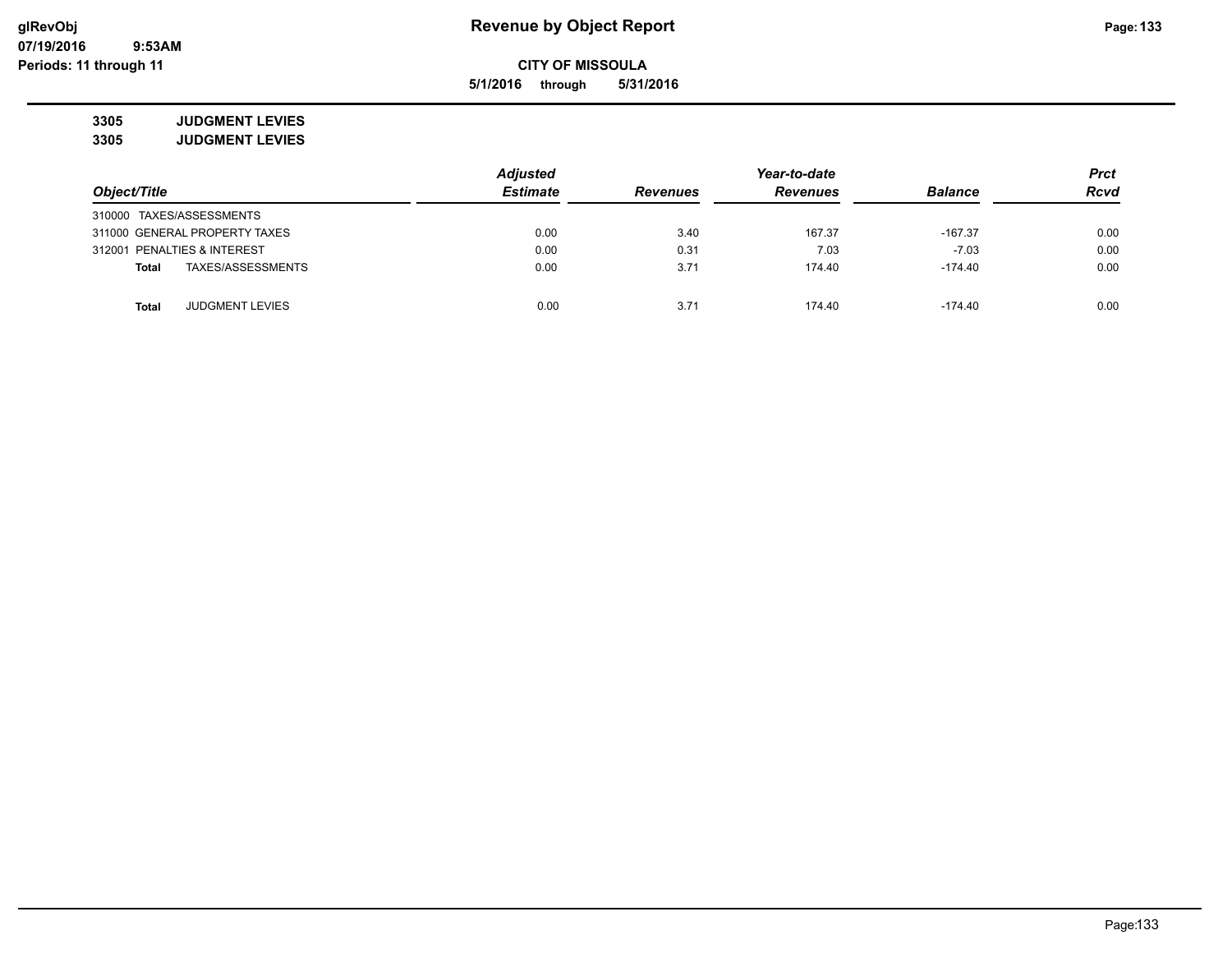**5/1/2016 through 5/31/2016**

**3305 JUDGMENT LEVIES 3305 JUDGMENT LEVIES**

|                             |                               | <b>Adjusted</b> |                 | <b>Prct</b>     |                |             |
|-----------------------------|-------------------------------|-----------------|-----------------|-----------------|----------------|-------------|
| Object/Title                |                               | <b>Estimate</b> | <b>Revenues</b> | <b>Revenues</b> | <b>Balance</b> | <b>Rcvd</b> |
| 310000 TAXES/ASSESSMENTS    |                               |                 |                 |                 |                |             |
|                             | 311000 GENERAL PROPERTY TAXES | 0.00            | 3.40            | 167.37          | $-167.37$      | 0.00        |
| 312001 PENALTIES & INTEREST |                               | 0.00            | 0.31            | 7.03            | $-7.03$        | 0.00        |
| <b>Total</b>                | TAXES/ASSESSMENTS             | 0.00            | 3.71            | 174.40          | $-174.40$      | 0.00        |
| <b>Total</b>                | <b>JUDGMENT LEVIES</b>        | 0.00            | 3.71            | 174.40          | $-174.40$      | 0.00        |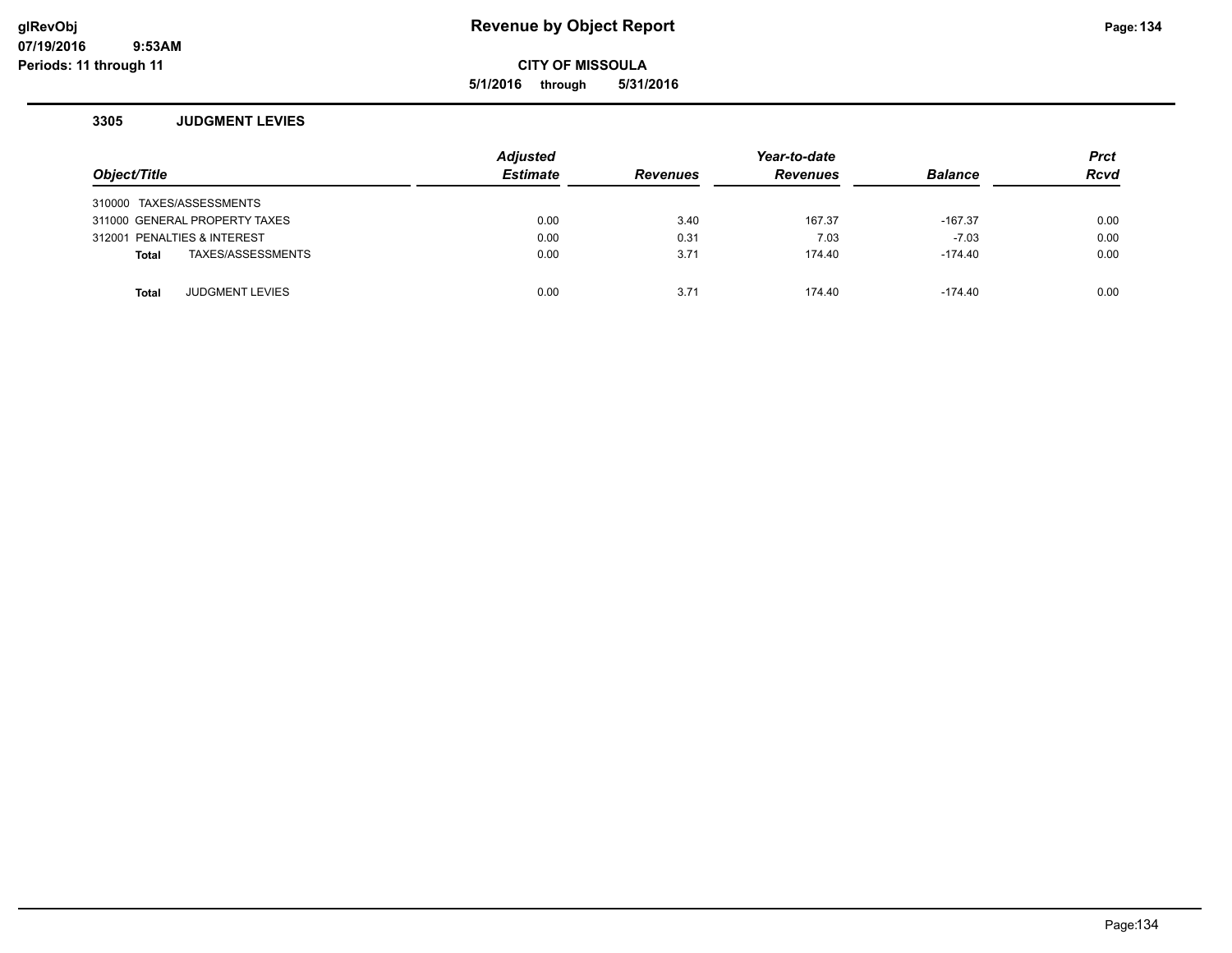# **glRevObj Revenue by Object Report Page:134**

**CITY OF MISSOULA**

**5/1/2016 through 5/31/2016**

#### **3305 JUDGMENT LEVIES**

| Object/Title                      | <b>Adjusted</b><br><b>Estimate</b> | <b>Revenues</b> | Year-to-date<br><b>Revenues</b> | <b>Balance</b> | <b>Prct</b><br><b>Rcvd</b> |
|-----------------------------------|------------------------------------|-----------------|---------------------------------|----------------|----------------------------|
| 310000 TAXES/ASSESSMENTS          |                                    |                 |                                 |                |                            |
| 311000 GENERAL PROPERTY TAXES     | 0.00                               | 3.40            | 167.37                          | $-167.37$      | 0.00                       |
| 312001 PENALTIES & INTEREST       | 0.00                               | 0.31            | 7.03                            | $-7.03$        | 0.00                       |
| TAXES/ASSESSMENTS<br><b>Total</b> | 0.00                               | 3.71            | 174.40                          | $-174.40$      | 0.00                       |
|                                   |                                    |                 |                                 |                |                            |
| <b>JUDGMENT LEVIES</b><br>Total   | 0.00                               | 3.71            | 174.40                          | -174.40        | 0.00                       |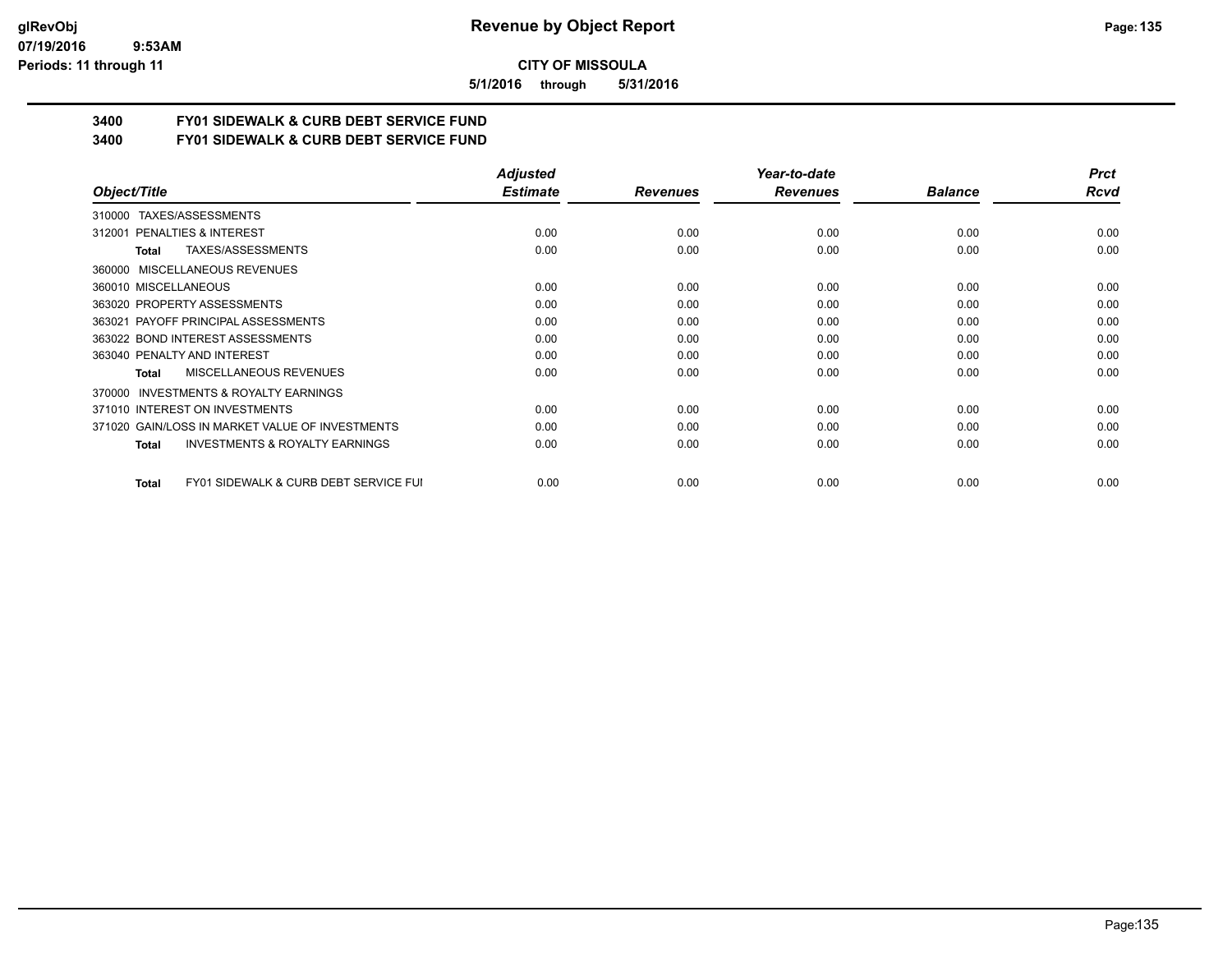#### **07/19/2016 9:53AM Periods: 11 through 11**

**CITY OF MISSOULA**

**5/1/2016 through 5/31/2016**

# **3400 FY01 SIDEWALK & CURB DEBT SERVICE FUND**

**3400 FY01 SIDEWALK & CURB DEBT SERVICE FUND**

|                                                           | <b>Adjusted</b> |                 | Year-to-date    |                | <b>Prct</b> |
|-----------------------------------------------------------|-----------------|-----------------|-----------------|----------------|-------------|
| Object/Title                                              | <b>Estimate</b> | <b>Revenues</b> | <b>Revenues</b> | <b>Balance</b> | Rcvd        |
| 310000 TAXES/ASSESSMENTS                                  |                 |                 |                 |                |             |
| PENALTIES & INTEREST<br>312001                            | 0.00            | 0.00            | 0.00            | 0.00           | 0.00        |
| TAXES/ASSESSMENTS<br>Total                                | 0.00            | 0.00            | 0.00            | 0.00           | 0.00        |
| MISCELLANEOUS REVENUES<br>360000                          |                 |                 |                 |                |             |
| 360010 MISCELLANEOUS                                      | 0.00            | 0.00            | 0.00            | 0.00           | 0.00        |
| 363020 PROPERTY ASSESSMENTS                               | 0.00            | 0.00            | 0.00            | 0.00           | 0.00        |
| 363021 PAYOFF PRINCIPAL ASSESSMENTS                       | 0.00            | 0.00            | 0.00            | 0.00           | 0.00        |
| 363022 BOND INTEREST ASSESSMENTS                          | 0.00            | 0.00            | 0.00            | 0.00           | 0.00        |
| 363040 PENALTY AND INTEREST                               | 0.00            | 0.00            | 0.00            | 0.00           | 0.00        |
| MISCELLANEOUS REVENUES<br>Total                           | 0.00            | 0.00            | 0.00            | 0.00           | 0.00        |
| <b>INVESTMENTS &amp; ROYALTY EARNINGS</b><br>370000       |                 |                 |                 |                |             |
| 371010 INTEREST ON INVESTMENTS                            | 0.00            | 0.00            | 0.00            | 0.00           | 0.00        |
| 371020 GAIN/LOSS IN MARKET VALUE OF INVESTMENTS           | 0.00            | 0.00            | 0.00            | 0.00           | 0.00        |
| <b>INVESTMENTS &amp; ROYALTY EARNINGS</b><br>Total        | 0.00            | 0.00            | 0.00            | 0.00           | 0.00        |
| <b>FY01 SIDEWALK &amp; CURB DEBT SERVICE FUI</b><br>Total | 0.00            | 0.00            | 0.00            | 0.00           | 0.00        |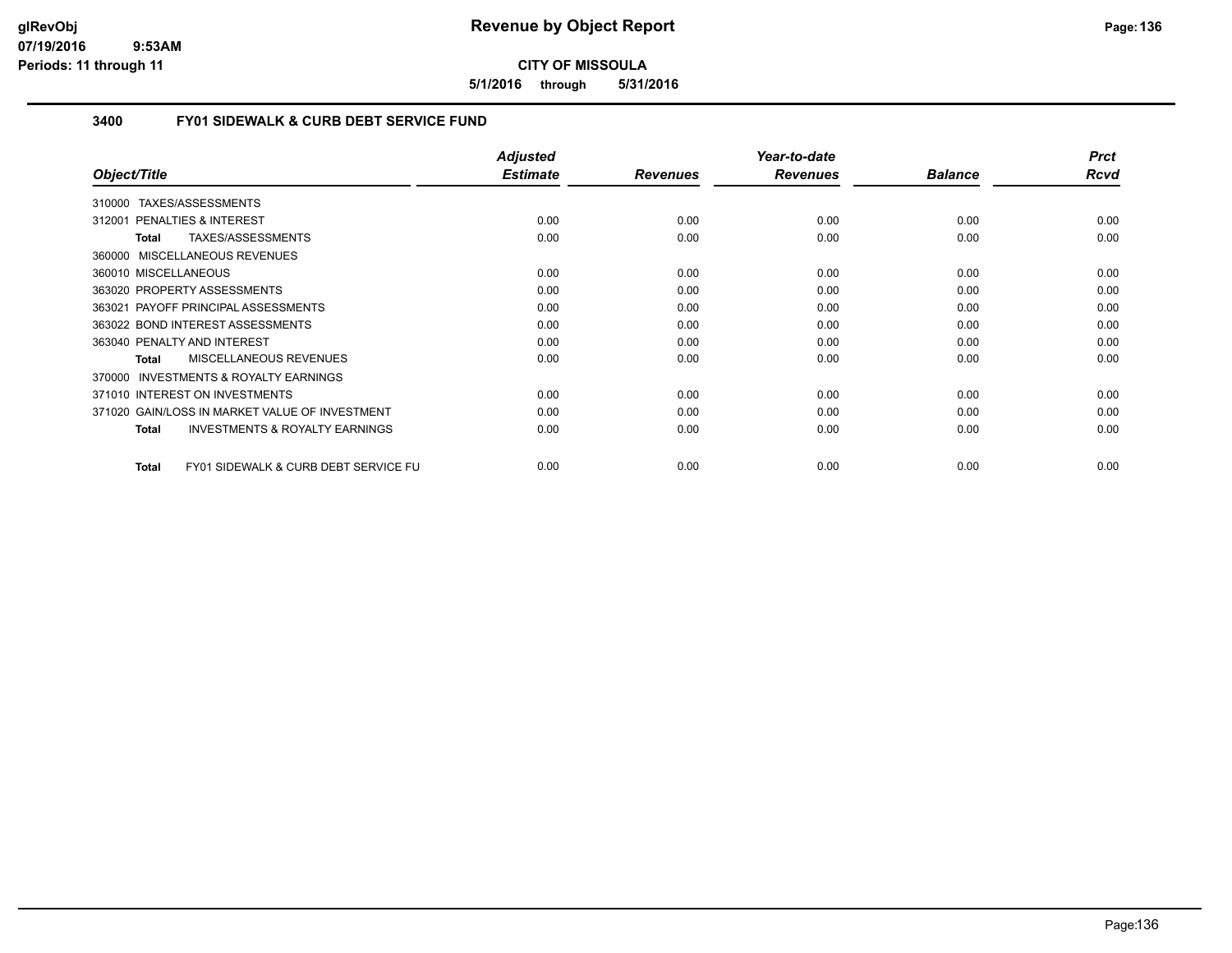**5/1/2016 through 5/31/2016**

# **3400 FY01 SIDEWALK & CURB DEBT SERVICE FUND**

|                                                                 | <b>Adjusted</b> |                 | Year-to-date    |                | <b>Prct</b> |
|-----------------------------------------------------------------|-----------------|-----------------|-----------------|----------------|-------------|
| Object/Title                                                    | <b>Estimate</b> | <b>Revenues</b> | <b>Revenues</b> | <b>Balance</b> | Rcvd        |
| TAXES/ASSESSMENTS<br>310000                                     |                 |                 |                 |                |             |
| 312001 PENALTIES & INTEREST                                     | 0.00            | 0.00            | 0.00            | 0.00           | 0.00        |
| TAXES/ASSESSMENTS<br>Total                                      | 0.00            | 0.00            | 0.00            | 0.00           | 0.00        |
| MISCELLANEOUS REVENUES<br>360000                                |                 |                 |                 |                |             |
| 360010 MISCELLANEOUS                                            | 0.00            | 0.00            | 0.00            | 0.00           | 0.00        |
| 363020 PROPERTY ASSESSMENTS                                     | 0.00            | 0.00            | 0.00            | 0.00           | 0.00        |
| 363021 PAYOFF PRINCIPAL ASSESSMENTS                             | 0.00            | 0.00            | 0.00            | 0.00           | 0.00        |
| 363022 BOND INTEREST ASSESSMENTS                                | 0.00            | 0.00            | 0.00            | 0.00           | 0.00        |
| 363040 PENALTY AND INTEREST                                     | 0.00            | 0.00            | 0.00            | 0.00           | 0.00        |
| MISCELLANEOUS REVENUES<br><b>Total</b>                          | 0.00            | 0.00            | 0.00            | 0.00           | 0.00        |
| INVESTMENTS & ROYALTY EARNINGS<br>370000                        |                 |                 |                 |                |             |
| 371010 INTEREST ON INVESTMENTS                                  | 0.00            | 0.00            | 0.00            | 0.00           | 0.00        |
| 371020 GAIN/LOSS IN MARKET VALUE OF INVESTMENT                  | 0.00            | 0.00            | 0.00            | 0.00           | 0.00        |
| <b>INVESTMENTS &amp; ROYALTY EARNINGS</b><br>Total              | 0.00            | 0.00            | 0.00            | 0.00           | 0.00        |
| <b>FY01 SIDEWALK &amp; CURB DEBT SERVICE FU</b><br><b>Total</b> | 0.00            | 0.00            | 0.00            | 0.00           | 0.00        |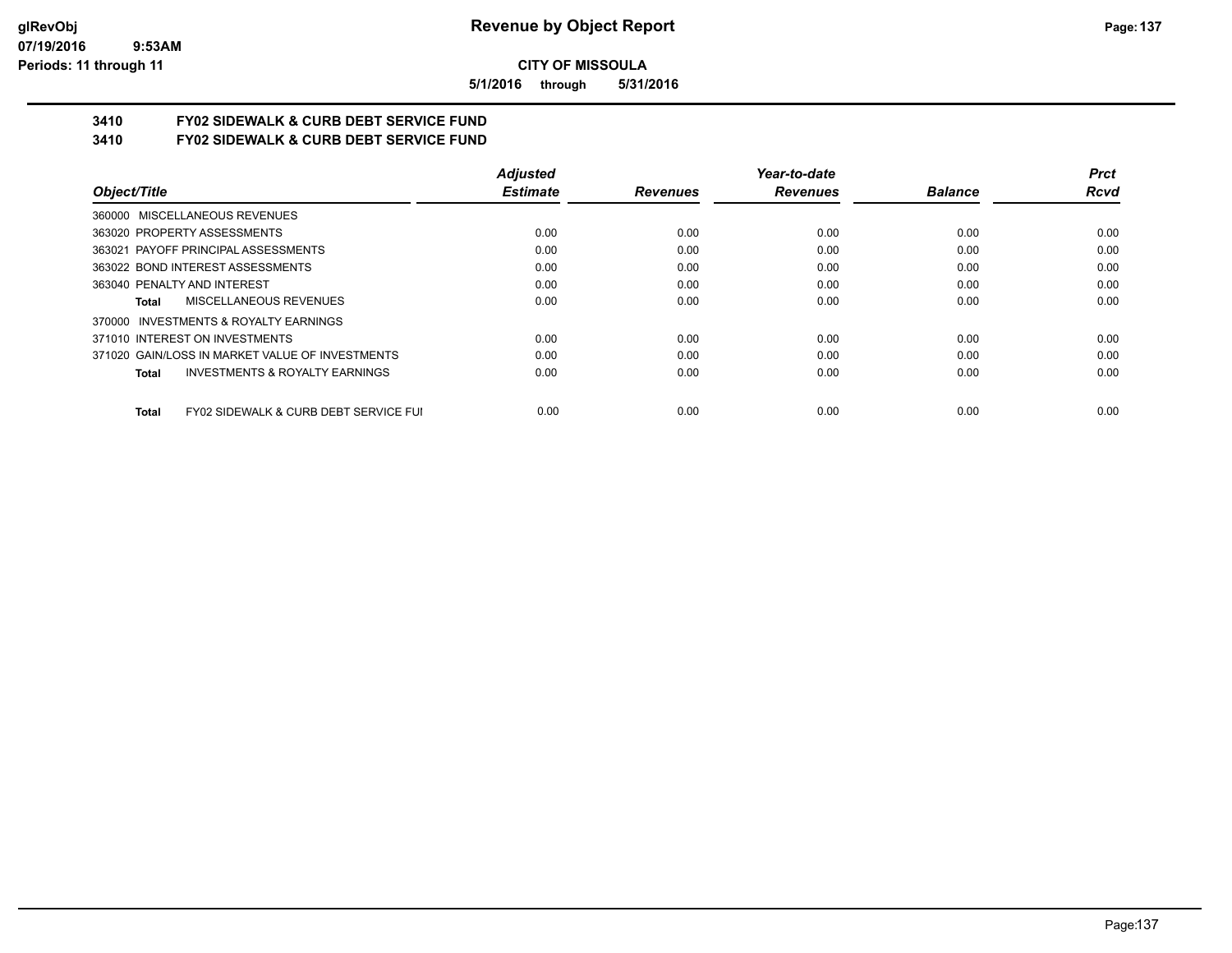**5/1/2016 through 5/31/2016**

# **3410 FY02 SIDEWALK & CURB DEBT SERVICE FUND**

**3410 FY02 SIDEWALK & CURB DEBT SERVICE FUND**

|                                                           | <b>Adjusted</b> |                 | Year-to-date    |                | <b>Prct</b> |
|-----------------------------------------------------------|-----------------|-----------------|-----------------|----------------|-------------|
| Object/Title                                              | <b>Estimate</b> | <b>Revenues</b> | <b>Revenues</b> | <b>Balance</b> | Rcvd        |
| 360000 MISCELLANEOUS REVENUES                             |                 |                 |                 |                |             |
| 363020 PROPERTY ASSESSMENTS                               | 0.00            | 0.00            | 0.00            | 0.00           | 0.00        |
| 363021 PAYOFF PRINCIPAL ASSESSMENTS                       | 0.00            | 0.00            | 0.00            | 0.00           | 0.00        |
| 363022 BOND INTEREST ASSESSMENTS                          | 0.00            | 0.00            | 0.00            | 0.00           | 0.00        |
| 363040 PENALTY AND INTEREST                               | 0.00            | 0.00            | 0.00            | 0.00           | 0.00        |
| MISCELLANEOUS REVENUES<br>Total                           | 0.00            | 0.00            | 0.00            | 0.00           | 0.00        |
| 370000 INVESTMENTS & ROYALTY EARNINGS                     |                 |                 |                 |                |             |
| 371010 INTEREST ON INVESTMENTS                            | 0.00            | 0.00            | 0.00            | 0.00           | 0.00        |
| 371020 GAIN/LOSS IN MARKET VALUE OF INVESTMENTS           | 0.00            | 0.00            | 0.00            | 0.00           | 0.00        |
| <b>INVESTMENTS &amp; ROYALTY EARNINGS</b><br><b>Total</b> | 0.00            | 0.00            | 0.00            | 0.00           | 0.00        |
| FY02 SIDEWALK & CURB DEBT SERVICE FUI<br><b>Total</b>     | 0.00            | 0.00            | 0.00            | 0.00           | 0.00        |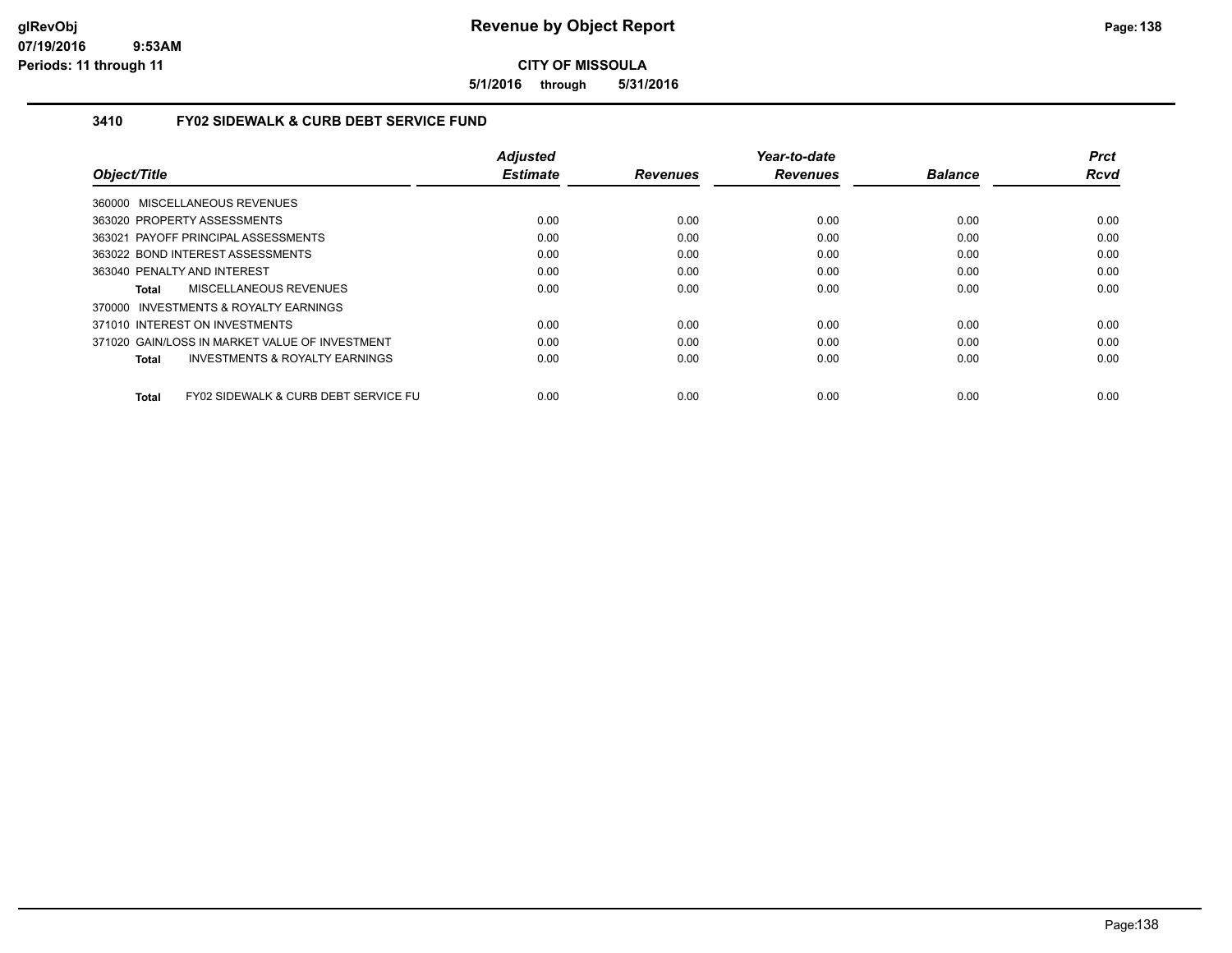**5/1/2016 through 5/31/2016**

# **3410 FY02 SIDEWALK & CURB DEBT SERVICE FUND**

|                                                      | <b>Adjusted</b> |                 | Year-to-date    |                | <b>Prct</b> |
|------------------------------------------------------|-----------------|-----------------|-----------------|----------------|-------------|
| Object/Title                                         | <b>Estimate</b> | <b>Revenues</b> | <b>Revenues</b> | <b>Balance</b> | <b>Rcvd</b> |
| 360000 MISCELLANEOUS REVENUES                        |                 |                 |                 |                |             |
| 363020 PROPERTY ASSESSMENTS                          | 0.00            | 0.00            | 0.00            | 0.00           | 0.00        |
| 363021 PAYOFF PRINCIPAL ASSESSMENTS                  | 0.00            | 0.00            | 0.00            | 0.00           | 0.00        |
| 363022 BOND INTEREST ASSESSMENTS                     | 0.00            | 0.00            | 0.00            | 0.00           | 0.00        |
| 363040 PENALTY AND INTEREST                          | 0.00            | 0.00            | 0.00            | 0.00           | 0.00        |
| MISCELLANEOUS REVENUES<br>Total                      | 0.00            | 0.00            | 0.00            | 0.00           | 0.00        |
| 370000 INVESTMENTS & ROYALTY EARNINGS                |                 |                 |                 |                |             |
| 371010 INTEREST ON INVESTMENTS                       | 0.00            | 0.00            | 0.00            | 0.00           | 0.00        |
| 371020 GAIN/LOSS IN MARKET VALUE OF INVESTMENT       | 0.00            | 0.00            | 0.00            | 0.00           | 0.00        |
| <b>INVESTMENTS &amp; ROYALTY EARNINGS</b><br>Total   | 0.00            | 0.00            | 0.00            | 0.00           | 0.00        |
| FY02 SIDEWALK & CURB DEBT SERVICE FU<br><b>Total</b> | 0.00            | 0.00            | 0.00            | 0.00           | 0.00        |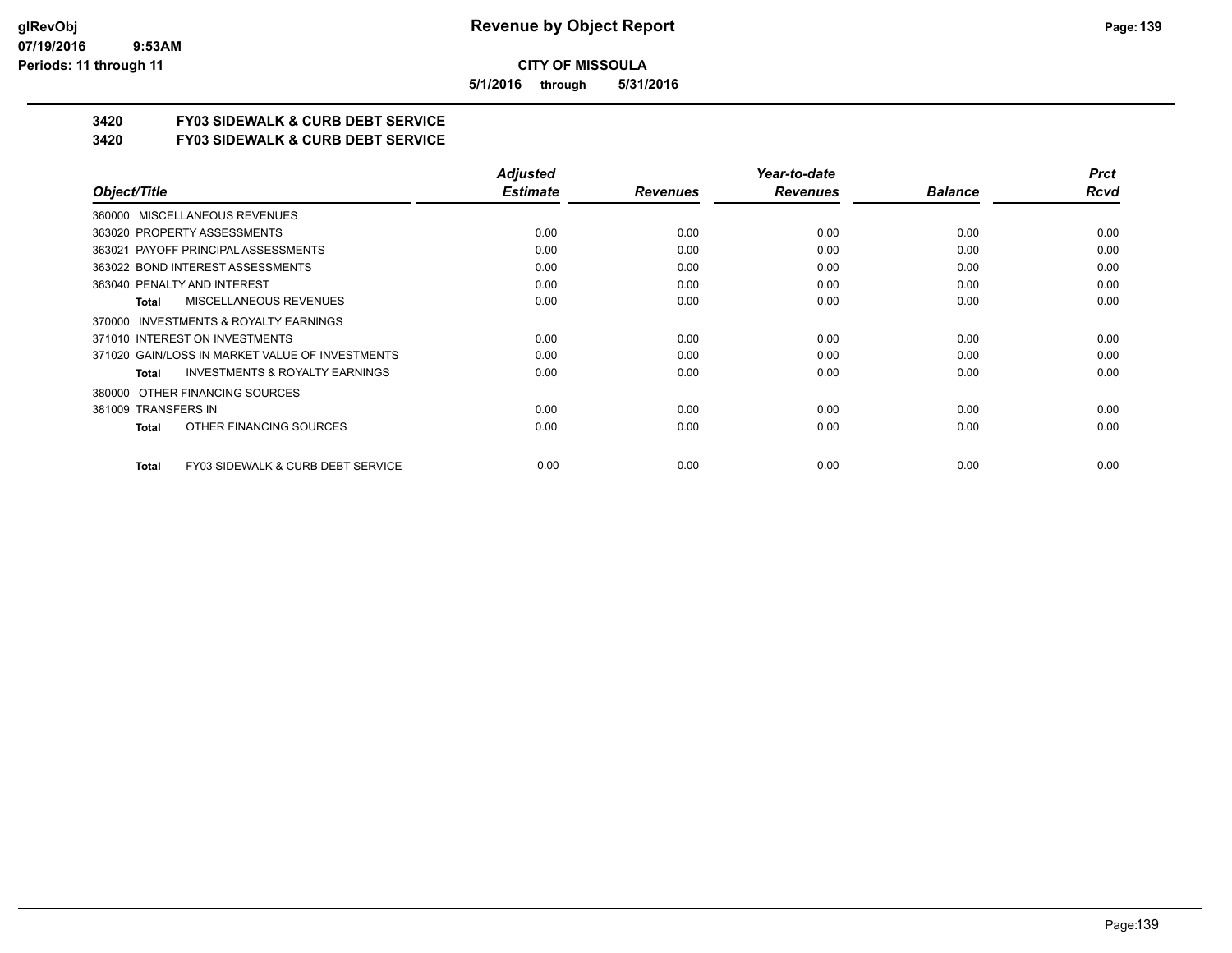**5/1/2016 through 5/31/2016**

# **3420 FY03 SIDEWALK & CURB DEBT SERVICE**

**3420 FY03 SIDEWALK & CURB DEBT SERVICE**

|                                                           | <b>Adjusted</b> |                 | Year-to-date    |                | <b>Prct</b> |
|-----------------------------------------------------------|-----------------|-----------------|-----------------|----------------|-------------|
| Object/Title                                              | <b>Estimate</b> | <b>Revenues</b> | <b>Revenues</b> | <b>Balance</b> | Rcvd        |
| 360000 MISCELLANEOUS REVENUES                             |                 |                 |                 |                |             |
| 363020 PROPERTY ASSESSMENTS                               | 0.00            | 0.00            | 0.00            | 0.00           | 0.00        |
| 363021 PAYOFF PRINCIPAL ASSESSMENTS                       | 0.00            | 0.00            | 0.00            | 0.00           | 0.00        |
| 363022 BOND INTEREST ASSESSMENTS                          | 0.00            | 0.00            | 0.00            | 0.00           | 0.00        |
| 363040 PENALTY AND INTEREST                               | 0.00            | 0.00            | 0.00            | 0.00           | 0.00        |
| MISCELLANEOUS REVENUES<br><b>Total</b>                    | 0.00            | 0.00            | 0.00            | 0.00           | 0.00        |
| 370000 INVESTMENTS & ROYALTY EARNINGS                     |                 |                 |                 |                |             |
| 371010 INTEREST ON INVESTMENTS                            | 0.00            | 0.00            | 0.00            | 0.00           | 0.00        |
| 371020 GAIN/LOSS IN MARKET VALUE OF INVESTMENTS           | 0.00            | 0.00            | 0.00            | 0.00           | 0.00        |
| <b>INVESTMENTS &amp; ROYALTY EARNINGS</b><br><b>Total</b> | 0.00            | 0.00            | 0.00            | 0.00           | 0.00        |
| OTHER FINANCING SOURCES<br>380000                         |                 |                 |                 |                |             |
| 381009 TRANSFERS IN                                       | 0.00            | 0.00            | 0.00            | 0.00           | 0.00        |
| OTHER FINANCING SOURCES<br>Total                          | 0.00            | 0.00            | 0.00            | 0.00           | 0.00        |
| FY03 SIDEWALK & CURB DEBT SERVICE<br><b>Total</b>         | 0.00            | 0.00            | 0.00            | 0.00           | 0.00        |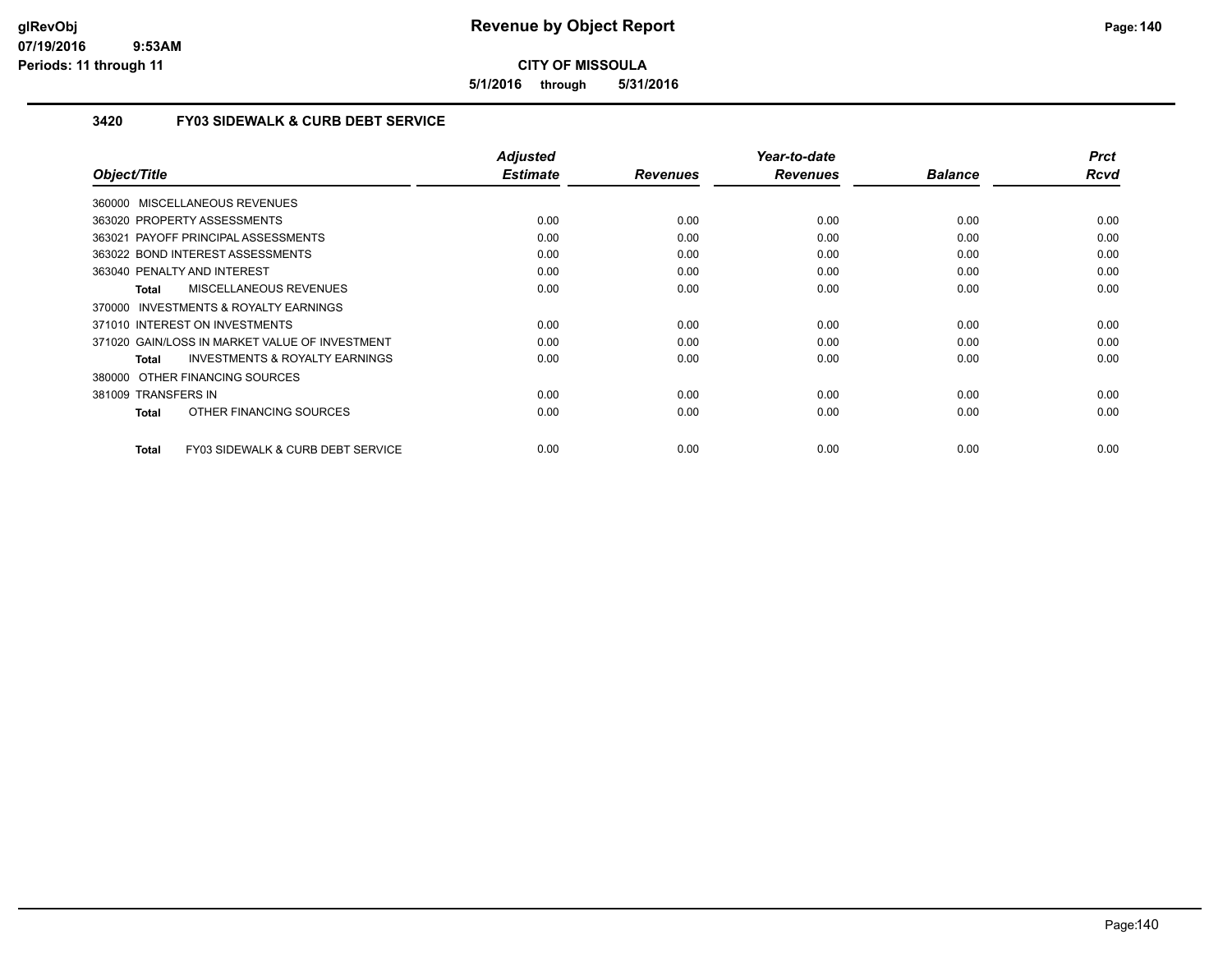**5/1/2016 through 5/31/2016**

## **3420 FY03 SIDEWALK & CURB DEBT SERVICE**

| Object/Title                                       | <b>Adjusted</b><br><b>Estimate</b> | <b>Revenues</b> | Year-to-date<br><b>Revenues</b> | <b>Balance</b> | <b>Prct</b><br><b>Rcvd</b> |
|----------------------------------------------------|------------------------------------|-----------------|---------------------------------|----------------|----------------------------|
| 360000 MISCELLANEOUS REVENUES                      |                                    |                 |                                 |                |                            |
|                                                    |                                    |                 |                                 |                |                            |
| 363020 PROPERTY ASSESSMENTS                        | 0.00                               | 0.00            | 0.00                            | 0.00           | 0.00                       |
| 363021 PAYOFF PRINCIPAL ASSESSMENTS                | 0.00                               | 0.00            | 0.00                            | 0.00           | 0.00                       |
| 363022 BOND INTEREST ASSESSMENTS                   | 0.00                               | 0.00            | 0.00                            | 0.00           | 0.00                       |
| 363040 PENALTY AND INTEREST                        | 0.00                               | 0.00            | 0.00                            | 0.00           | 0.00                       |
| MISCELLANEOUS REVENUES<br>Total                    | 0.00                               | 0.00            | 0.00                            | 0.00           | 0.00                       |
| 370000 INVESTMENTS & ROYALTY EARNINGS              |                                    |                 |                                 |                |                            |
| 371010 INTEREST ON INVESTMENTS                     | 0.00                               | 0.00            | 0.00                            | 0.00           | 0.00                       |
| 371020 GAIN/LOSS IN MARKET VALUE OF INVESTMENT     | 0.00                               | 0.00            | 0.00                            | 0.00           | 0.00                       |
| <b>INVESTMENTS &amp; ROYALTY EARNINGS</b><br>Total | 0.00                               | 0.00            | 0.00                            | 0.00           | 0.00                       |
| 380000 OTHER FINANCING SOURCES                     |                                    |                 |                                 |                |                            |
| 381009 TRANSFERS IN                                | 0.00                               | 0.00            | 0.00                            | 0.00           | 0.00                       |
| OTHER FINANCING SOURCES<br>Total                   | 0.00                               | 0.00            | 0.00                            | 0.00           | 0.00                       |
|                                                    |                                    |                 |                                 |                |                            |
| FY03 SIDEWALK & CURB DEBT SERVICE<br>Total         | 0.00                               | 0.00            | 0.00                            | 0.00           | 0.00                       |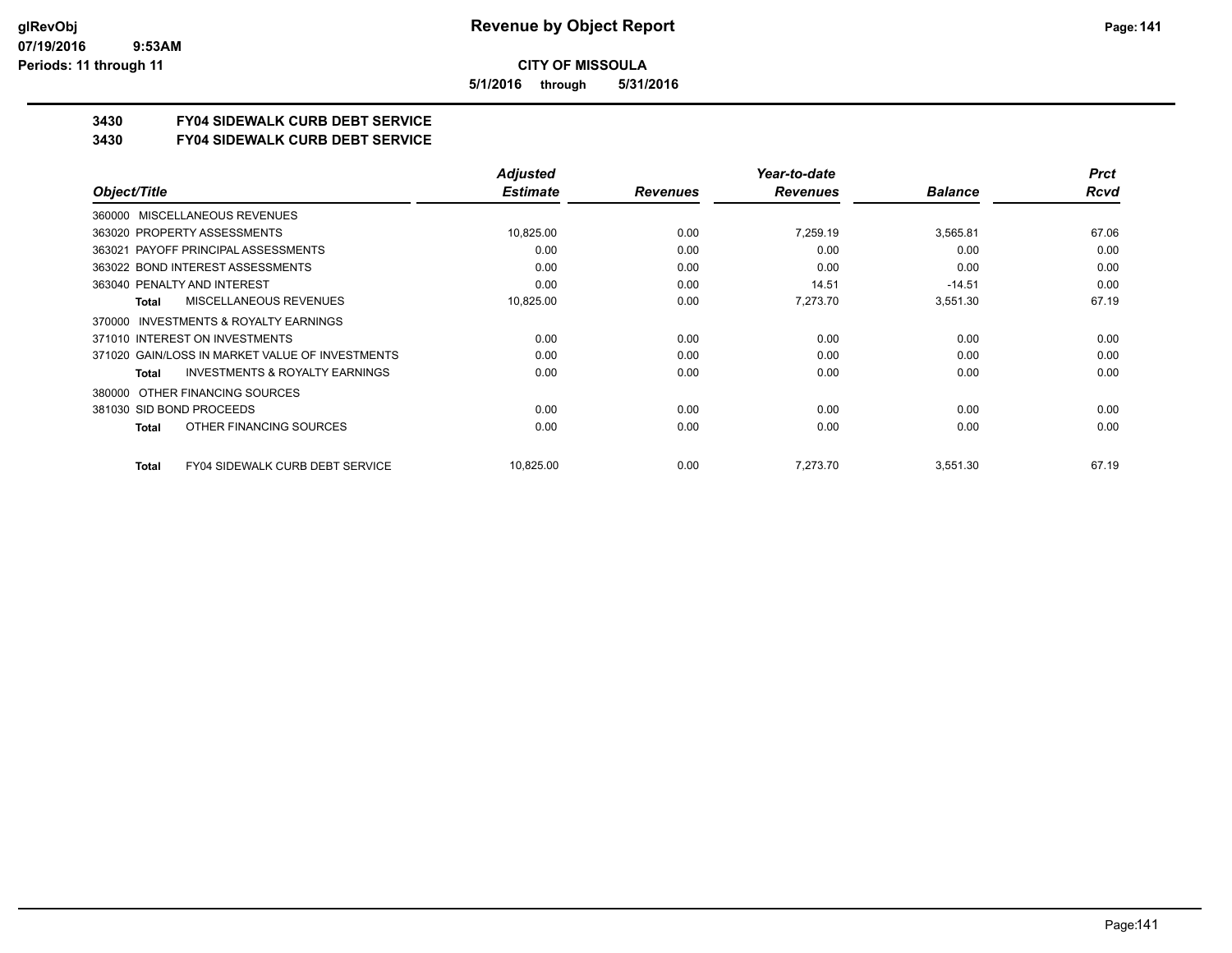**5/1/2016 through 5/31/2016**

# **3430 FY04 SIDEWALK CURB DEBT SERVICE**

#### **3430 FY04 SIDEWALK CURB DEBT SERVICE**

|                                                    | <b>Adjusted</b> |                 | Year-to-date    |                | <b>Prct</b> |
|----------------------------------------------------|-----------------|-----------------|-----------------|----------------|-------------|
| Object/Title                                       | <b>Estimate</b> | <b>Revenues</b> | <b>Revenues</b> | <b>Balance</b> | <b>Rcvd</b> |
| 360000 MISCELLANEOUS REVENUES                      |                 |                 |                 |                |             |
| 363020 PROPERTY ASSESSMENTS                        | 10,825.00       | 0.00            | 7.259.19        | 3,565.81       | 67.06       |
| 363021 PAYOFF PRINCIPAL ASSESSMENTS                | 0.00            | 0.00            | 0.00            | 0.00           | 0.00        |
| 363022 BOND INTEREST ASSESSMENTS                   | 0.00            | 0.00            | 0.00            | 0.00           | 0.00        |
| 363040 PENALTY AND INTEREST                        | 0.00            | 0.00            | 14.51           | $-14.51$       | 0.00        |
| MISCELLANEOUS REVENUES<br>Total                    | 10,825.00       | 0.00            | 7,273.70        | 3,551.30       | 67.19       |
| INVESTMENTS & ROYALTY EARNINGS<br>370000           |                 |                 |                 |                |             |
| 371010 INTEREST ON INVESTMENTS                     | 0.00            | 0.00            | 0.00            | 0.00           | 0.00        |
| 371020 GAIN/LOSS IN MARKET VALUE OF INVESTMENTS    | 0.00            | 0.00            | 0.00            | 0.00           | 0.00        |
| <b>INVESTMENTS &amp; ROYALTY EARNINGS</b><br>Total | 0.00            | 0.00            | 0.00            | 0.00           | 0.00        |
| OTHER FINANCING SOURCES<br>380000                  |                 |                 |                 |                |             |
| 381030 SID BOND PROCEEDS                           | 0.00            | 0.00            | 0.00            | 0.00           | 0.00        |
| OTHER FINANCING SOURCES<br>Total                   | 0.00            | 0.00            | 0.00            | 0.00           | 0.00        |
| <b>FY04 SIDEWALK CURB DEBT SERVICE</b><br>Total    | 10,825.00       | 0.00            | 7.273.70        | 3,551.30       | 67.19       |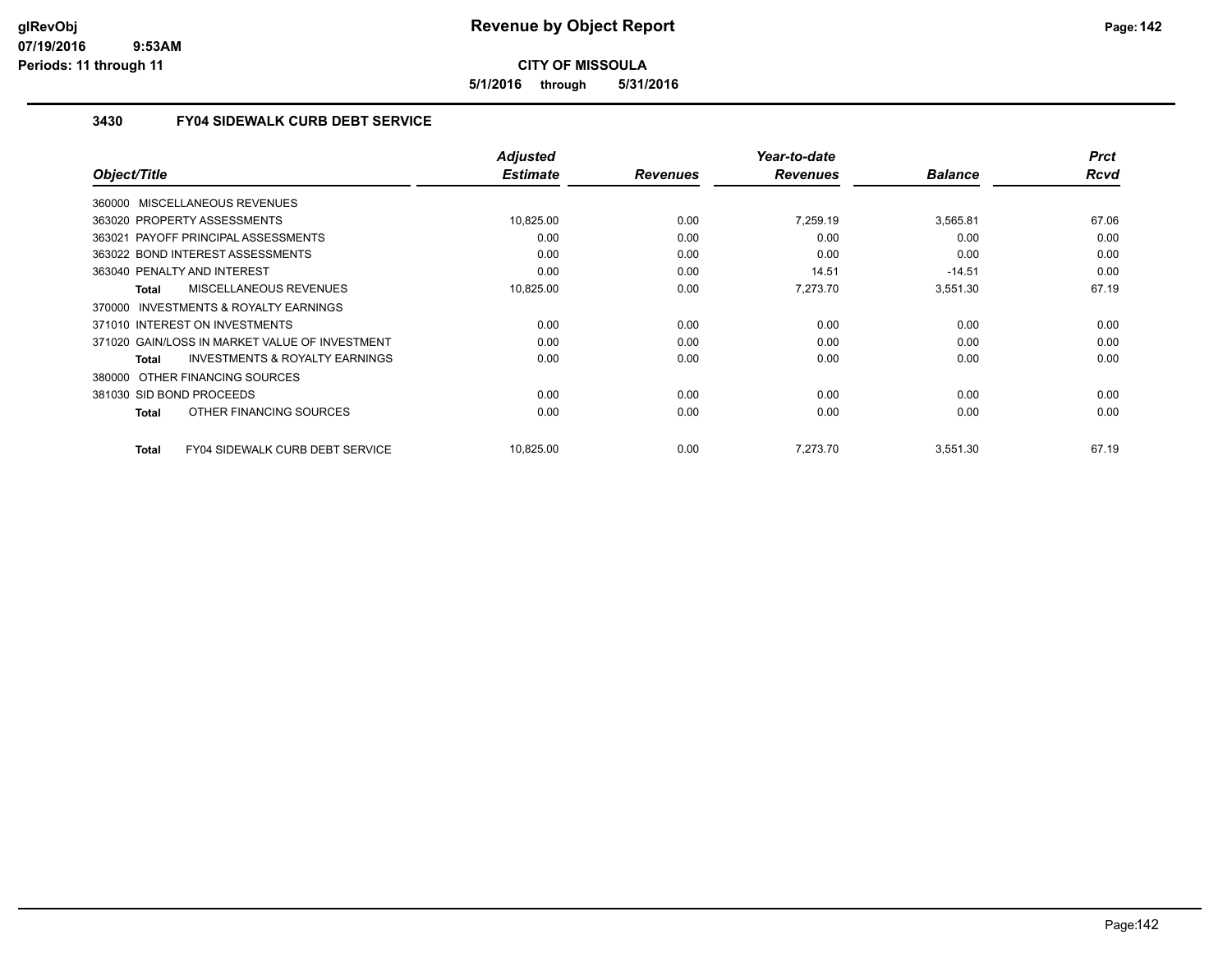**5/1/2016 through 5/31/2016**

# **3430 FY04 SIDEWALK CURB DEBT SERVICE**

|              |                                                | <b>Adjusted</b> |                 | Year-to-date    |                | <b>Prct</b> |
|--------------|------------------------------------------------|-----------------|-----------------|-----------------|----------------|-------------|
| Object/Title |                                                | <b>Estimate</b> | <b>Revenues</b> | <b>Revenues</b> | <b>Balance</b> | Rcvd        |
|              | 360000 MISCELLANEOUS REVENUES                  |                 |                 |                 |                |             |
|              | 363020 PROPERTY ASSESSMENTS                    | 10,825.00       | 0.00            | 7,259.19        | 3,565.81       | 67.06       |
|              | 363021 PAYOFF PRINCIPAL ASSESSMENTS            | 0.00            | 0.00            | 0.00            | 0.00           | 0.00        |
|              | 363022 BOND INTEREST ASSESSMENTS               | 0.00            | 0.00            | 0.00            | 0.00           | 0.00        |
|              | 363040 PENALTY AND INTEREST                    | 0.00            | 0.00            | 14.51           | $-14.51$       | 0.00        |
| Total        | MISCELLANEOUS REVENUES                         | 10,825.00       | 0.00            | 7,273.70        | 3,551.30       | 67.19       |
|              | 370000 INVESTMENTS & ROYALTY EARNINGS          |                 |                 |                 |                |             |
|              | 371010 INTEREST ON INVESTMENTS                 | 0.00            | 0.00            | 0.00            | 0.00           | 0.00        |
|              | 371020 GAIN/LOSS IN MARKET VALUE OF INVESTMENT | 0.00            | 0.00            | 0.00            | 0.00           | 0.00        |
| Total        | <b>INVESTMENTS &amp; ROYALTY EARNINGS</b>      | 0.00            | 0.00            | 0.00            | 0.00           | 0.00        |
|              | 380000 OTHER FINANCING SOURCES                 |                 |                 |                 |                |             |
|              | 381030 SID BOND PROCEEDS                       | 0.00            | 0.00            | 0.00            | 0.00           | 0.00        |
| Total        | OTHER FINANCING SOURCES                        | 0.00            | 0.00            | 0.00            | 0.00           | 0.00        |
| Total        | FY04 SIDEWALK CURB DEBT SERVICE                | 10,825.00       | 0.00            | 7,273.70        | 3,551.30       | 67.19       |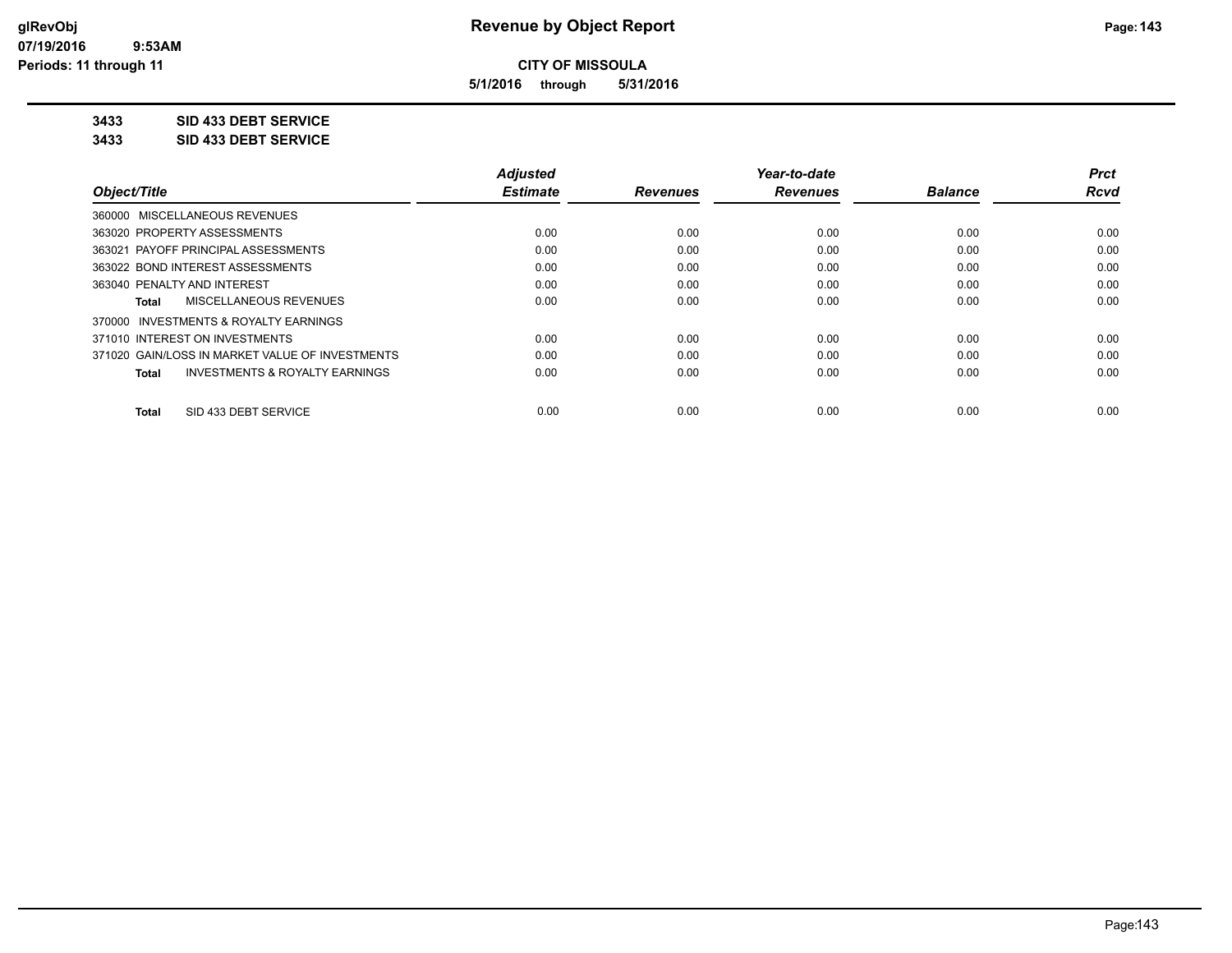**5/1/2016 through 5/31/2016**

**3433 SID 433 DEBT SERVICE**

**3433 SID 433 DEBT SERVICE**

|                                                           | <b>Adjusted</b> |                 | Year-to-date    |                | <b>Prct</b> |
|-----------------------------------------------------------|-----------------|-----------------|-----------------|----------------|-------------|
| Object/Title                                              | <b>Estimate</b> | <b>Revenues</b> | <b>Revenues</b> | <b>Balance</b> | Rcvd        |
| 360000 MISCELLANEOUS REVENUES                             |                 |                 |                 |                |             |
| 363020 PROPERTY ASSESSMENTS                               | 0.00            | 0.00            | 0.00            | 0.00           | 0.00        |
| 363021 PAYOFF PRINCIPAL ASSESSMENTS                       | 0.00            | 0.00            | 0.00            | 0.00           | 0.00        |
| 363022 BOND INTEREST ASSESSMENTS                          | 0.00            | 0.00            | 0.00            | 0.00           | 0.00        |
| 363040 PENALTY AND INTEREST                               | 0.00            | 0.00            | 0.00            | 0.00           | 0.00        |
| MISCELLANEOUS REVENUES<br>Total                           | 0.00            | 0.00            | 0.00            | 0.00           | 0.00        |
| 370000 INVESTMENTS & ROYALTY EARNINGS                     |                 |                 |                 |                |             |
| 371010 INTEREST ON INVESTMENTS                            | 0.00            | 0.00            | 0.00            | 0.00           | 0.00        |
| 371020 GAIN/LOSS IN MARKET VALUE OF INVESTMENTS           | 0.00            | 0.00            | 0.00            | 0.00           | 0.00        |
| <b>INVESTMENTS &amp; ROYALTY EARNINGS</b><br><b>Total</b> | 0.00            | 0.00            | 0.00            | 0.00           | 0.00        |
| SID 433 DEBT SERVICE<br>Total                             | 0.00            | 0.00            | 0.00            | 0.00           | 0.00        |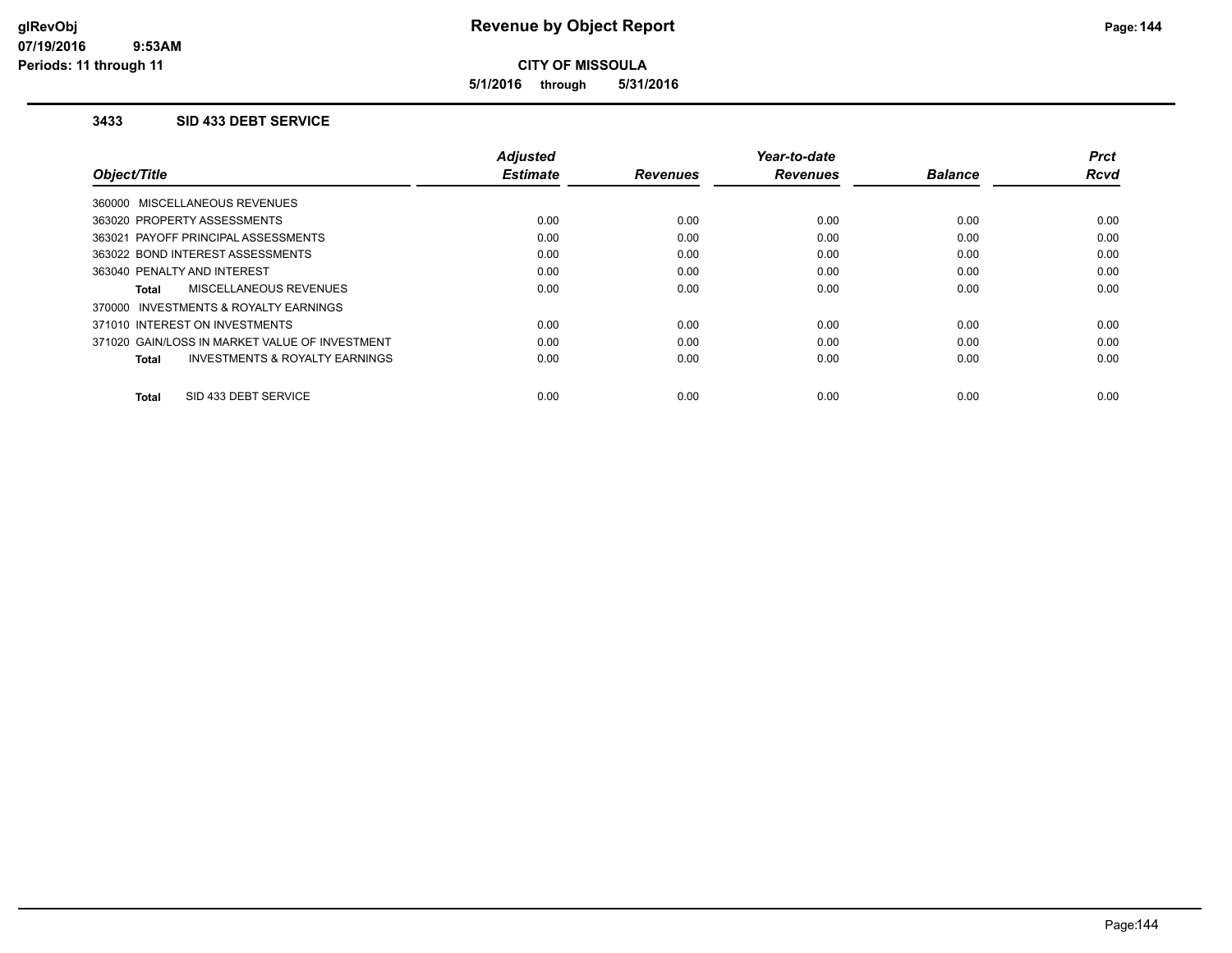**5/1/2016 through 5/31/2016**

#### **3433 SID 433 DEBT SERVICE**

|                                                | Adjusted        |                 | Year-to-date    |                | Prct        |
|------------------------------------------------|-----------------|-----------------|-----------------|----------------|-------------|
| Object/Title                                   | <b>Estimate</b> | <b>Revenues</b> | <b>Revenues</b> | <b>Balance</b> | <b>Rcvd</b> |
| 360000 MISCELLANEOUS REVENUES                  |                 |                 |                 |                |             |
| 363020 PROPERTY ASSESSMENTS                    | 0.00            | 0.00            | 0.00            | 0.00           | 0.00        |
| 363021 PAYOFF PRINCIPAL ASSESSMENTS            | 0.00            | 0.00            | 0.00            | 0.00           | 0.00        |
| 363022 BOND INTEREST ASSESSMENTS               | 0.00            | 0.00            | 0.00            | 0.00           | 0.00        |
| 363040 PENALTY AND INTEREST                    | 0.00            | 0.00            | 0.00            | 0.00           | 0.00        |
| MISCELLANEOUS REVENUES<br><b>Total</b>         | 0.00            | 0.00            | 0.00            | 0.00           | 0.00        |
| 370000 INVESTMENTS & ROYALTY EARNINGS          |                 |                 |                 |                |             |
| 371010 INTEREST ON INVESTMENTS                 | 0.00            | 0.00            | 0.00            | 0.00           | 0.00        |
| 371020 GAIN/LOSS IN MARKET VALUE OF INVESTMENT | 0.00            | 0.00            | 0.00            | 0.00           | 0.00        |
| INVESTMENTS & ROYALTY EARNINGS<br><b>Total</b> | 0.00            | 0.00            | 0.00            | 0.00           | 0.00        |
|                                                |                 |                 |                 |                |             |
| SID 433 DEBT SERVICE<br><b>Total</b>           | 0.00            | 0.00            | 0.00            | 0.00           | 0.00        |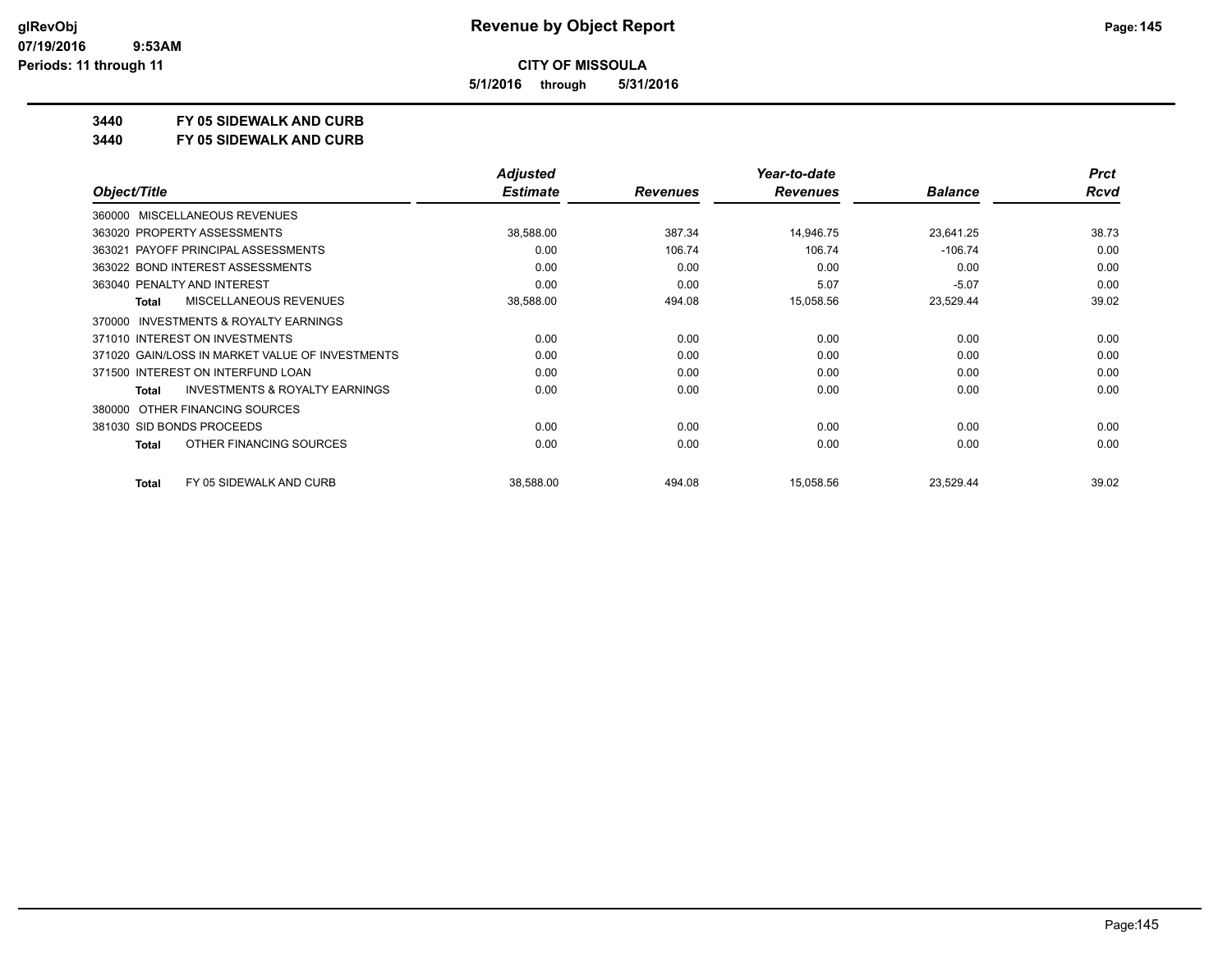**5/1/2016 through 5/31/2016**

## **3440 FY 05 SIDEWALK AND CURB**

**3440 FY 05 SIDEWALK AND CURB**

|                                                           | <b>Adjusted</b> |                 | Year-to-date    |                | <b>Prct</b> |
|-----------------------------------------------------------|-----------------|-----------------|-----------------|----------------|-------------|
| Object/Title                                              | <b>Estimate</b> | <b>Revenues</b> | <b>Revenues</b> | <b>Balance</b> | <b>Rcvd</b> |
| MISCELLANEOUS REVENUES<br>360000                          |                 |                 |                 |                |             |
| 363020 PROPERTY ASSESSMENTS                               | 38,588.00       | 387.34          | 14,946.75       | 23,641.25      | 38.73       |
| 363021 PAYOFF PRINCIPAL ASSESSMENTS                       | 0.00            | 106.74          | 106.74          | $-106.74$      | 0.00        |
| 363022 BOND INTEREST ASSESSMENTS                          | 0.00            | 0.00            | 0.00            | 0.00           | 0.00        |
| 363040 PENALTY AND INTEREST                               | 0.00            | 0.00            | 5.07            | $-5.07$        | 0.00        |
| <b>MISCELLANEOUS REVENUES</b><br><b>Total</b>             | 38,588.00       | 494.08          | 15,058.56       | 23,529.44      | 39.02       |
| <b>INVESTMENTS &amp; ROYALTY EARNINGS</b><br>370000       |                 |                 |                 |                |             |
| 371010 INTEREST ON INVESTMENTS                            | 0.00            | 0.00            | 0.00            | 0.00           | 0.00        |
| 371020 GAIN/LOSS IN MARKET VALUE OF INVESTMENTS           | 0.00            | 0.00            | 0.00            | 0.00           | 0.00        |
| 371500 INTEREST ON INTERFUND LOAN                         | 0.00            | 0.00            | 0.00            | 0.00           | 0.00        |
| <b>INVESTMENTS &amp; ROYALTY EARNINGS</b><br><b>Total</b> | 0.00            | 0.00            | 0.00            | 0.00           | 0.00        |
| OTHER FINANCING SOURCES<br>380000                         |                 |                 |                 |                |             |
| 381030 SID BONDS PROCEEDS                                 | 0.00            | 0.00            | 0.00            | 0.00           | 0.00        |
| OTHER FINANCING SOURCES<br><b>Total</b>                   | 0.00            | 0.00            | 0.00            | 0.00           | 0.00        |
| FY 05 SIDEWALK AND CURB<br><b>Total</b>                   | 38,588.00       | 494.08          | 15,058.56       | 23,529.44      | 39.02       |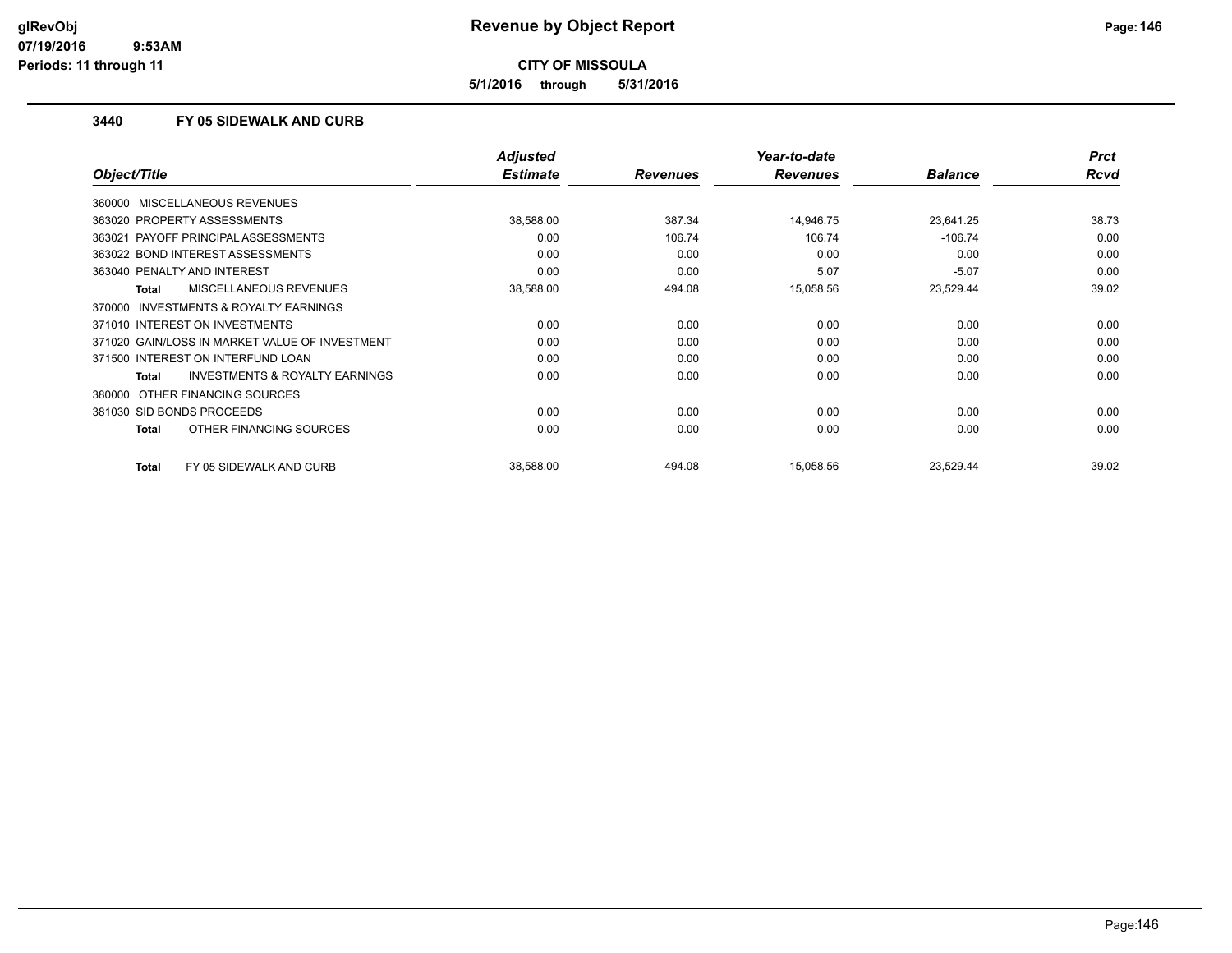**5/1/2016 through 5/31/2016**

### **3440 FY 05 SIDEWALK AND CURB**

|                                                     | <b>Adjusted</b> |                 | Year-to-date    |                | <b>Prct</b> |
|-----------------------------------------------------|-----------------|-----------------|-----------------|----------------|-------------|
| Object/Title                                        | <b>Estimate</b> | <b>Revenues</b> | <b>Revenues</b> | <b>Balance</b> | <b>Rcvd</b> |
| 360000 MISCELLANEOUS REVENUES                       |                 |                 |                 |                |             |
| 363020 PROPERTY ASSESSMENTS                         | 38,588.00       | 387.34          | 14,946.75       | 23,641.25      | 38.73       |
| 363021 PAYOFF PRINCIPAL ASSESSMENTS                 | 0.00            | 106.74          | 106.74          | $-106.74$      | 0.00        |
| 363022 BOND INTEREST ASSESSMENTS                    | 0.00            | 0.00            | 0.00            | 0.00           | 0.00        |
| 363040 PENALTY AND INTEREST                         | 0.00            | 0.00            | 5.07            | $-5.07$        | 0.00        |
| <b>MISCELLANEOUS REVENUES</b><br>Total              | 38,588.00       | 494.08          | 15,058.56       | 23,529.44      | 39.02       |
| <b>INVESTMENTS &amp; ROYALTY EARNINGS</b><br>370000 |                 |                 |                 |                |             |
| 371010 INTEREST ON INVESTMENTS                      | 0.00            | 0.00            | 0.00            | 0.00           | 0.00        |
| 371020 GAIN/LOSS IN MARKET VALUE OF INVESTMENT      | 0.00            | 0.00            | 0.00            | 0.00           | 0.00        |
| 371500 INTEREST ON INTERFUND LOAN                   | 0.00            | 0.00            | 0.00            | 0.00           | 0.00        |
| <b>INVESTMENTS &amp; ROYALTY EARNINGS</b><br>Total  | 0.00            | 0.00            | 0.00            | 0.00           | 0.00        |
| 380000 OTHER FINANCING SOURCES                      |                 |                 |                 |                |             |
| 381030 SID BONDS PROCEEDS                           | 0.00            | 0.00            | 0.00            | 0.00           | 0.00        |
| OTHER FINANCING SOURCES<br>Total                    | 0.00            | 0.00            | 0.00            | 0.00           | 0.00        |
| <b>Total</b><br>FY 05 SIDEWALK AND CURB             | 38,588.00       | 494.08          | 15,058.56       | 23,529.44      | 39.02       |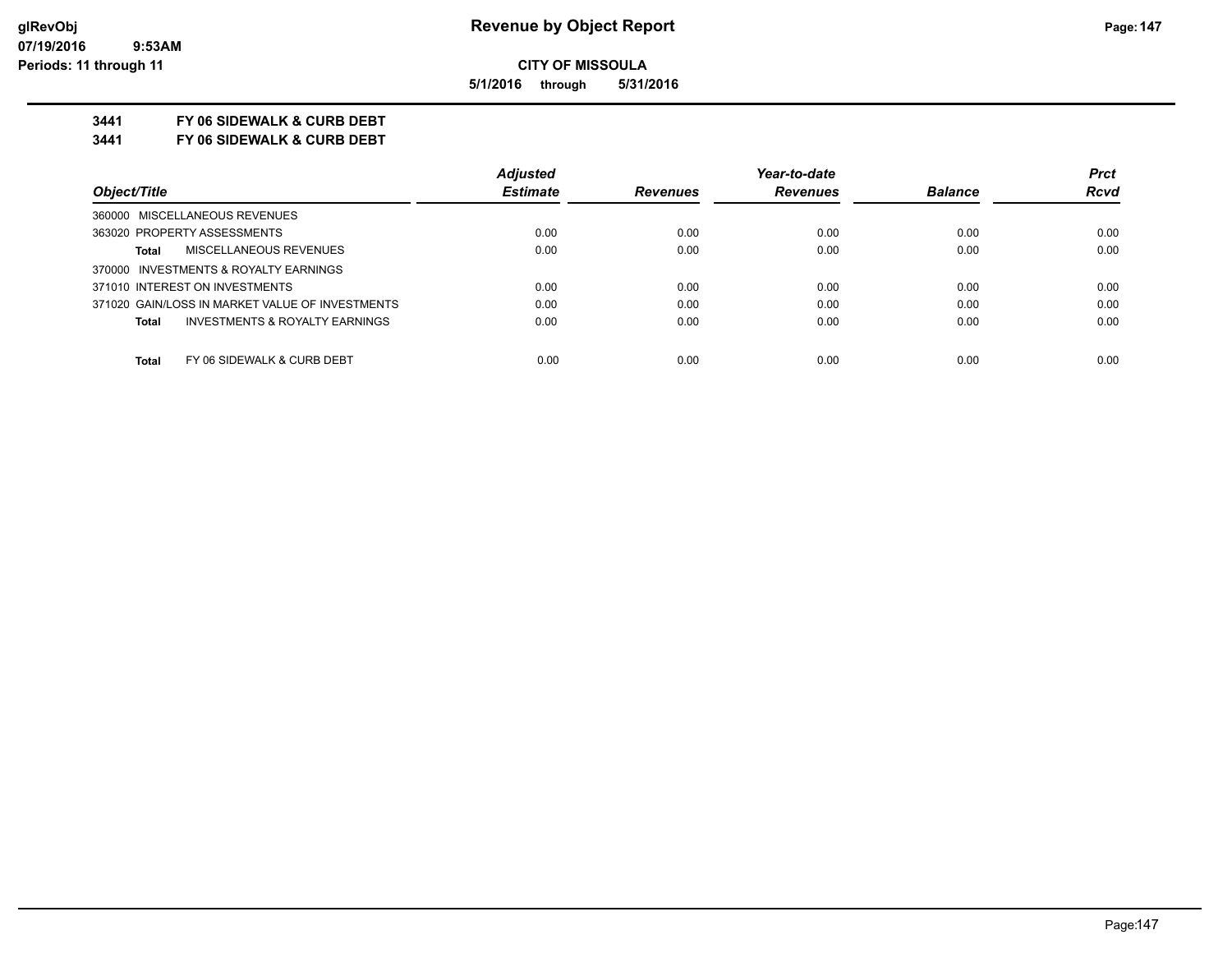**5/1/2016 through 5/31/2016**

## **3441 FY 06 SIDEWALK & CURB DEBT**

**3441 FY 06 SIDEWALK & CURB DEBT**

|                                                    | <b>Adjusted</b> |                 | Year-to-date    |                | <b>Prct</b> |
|----------------------------------------------------|-----------------|-----------------|-----------------|----------------|-------------|
| Object/Title                                       | <b>Estimate</b> | <b>Revenues</b> | <b>Revenues</b> | <b>Balance</b> | <b>Rcvd</b> |
| 360000 MISCELLANEOUS REVENUES                      |                 |                 |                 |                |             |
| 363020 PROPERTY ASSESSMENTS                        | 0.00            | 0.00            | 0.00            | 0.00           | 0.00        |
| MISCELLANEOUS REVENUES<br><b>Total</b>             | 0.00            | 0.00            | 0.00            | 0.00           | 0.00        |
| 370000 INVESTMENTS & ROYALTY EARNINGS              |                 |                 |                 |                |             |
| 371010 INTEREST ON INVESTMENTS                     | 0.00            | 0.00            | 0.00            | 0.00           | 0.00        |
| 371020 GAIN/LOSS IN MARKET VALUE OF INVESTMENTS    | 0.00            | 0.00            | 0.00            | 0.00           | 0.00        |
| <b>INVESTMENTS &amp; ROYALTY EARNINGS</b><br>Total | 0.00            | 0.00            | 0.00            | 0.00           | 0.00        |
| FY 06 SIDEWALK & CURB DEBT<br><b>Total</b>         | 0.00            | 0.00            | 0.00            | 0.00           | 0.00        |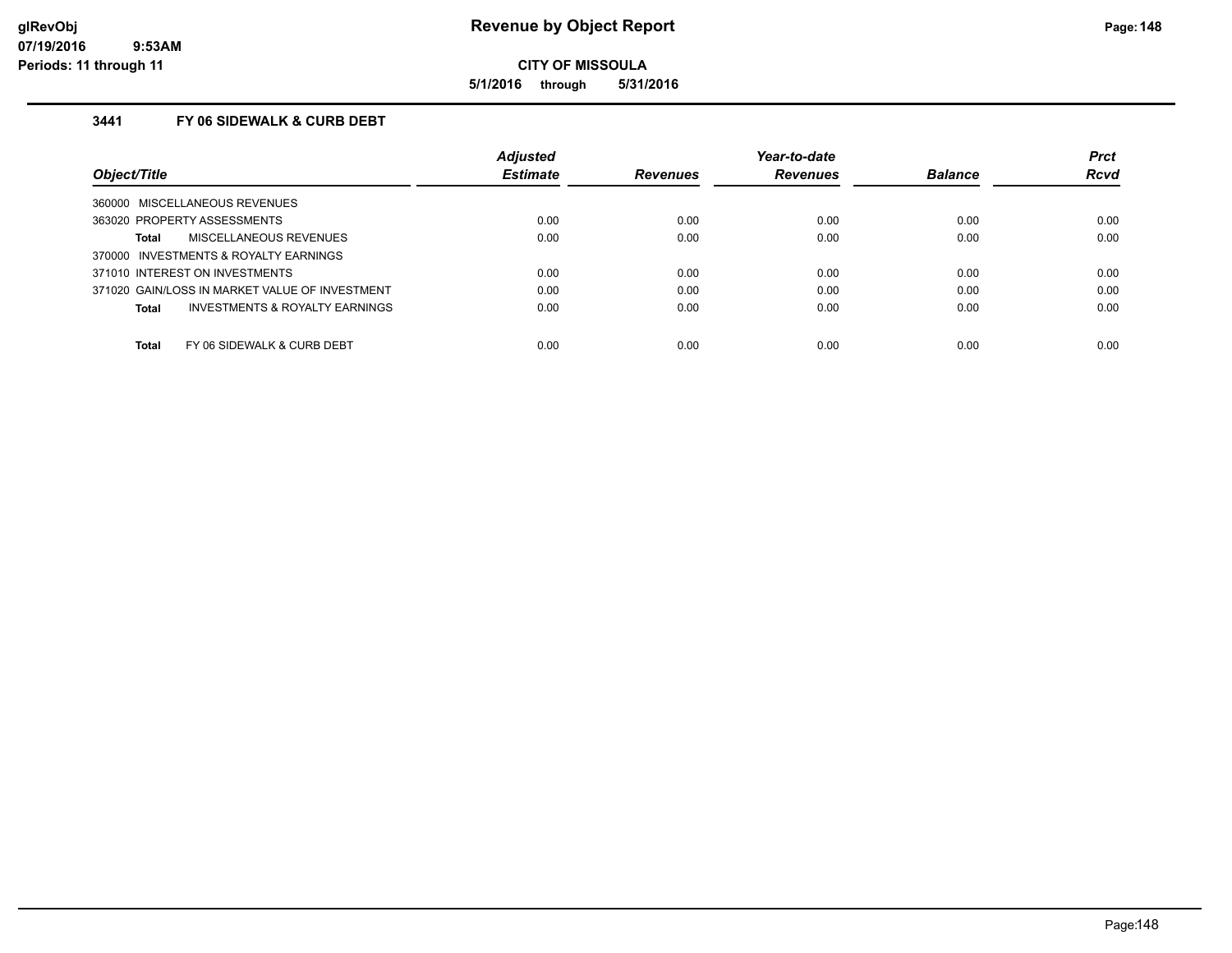**5/1/2016 through 5/31/2016**

## **3441 FY 06 SIDEWALK & CURB DEBT**

|                                                    | <b>Adjusted</b> |                 | Year-to-date    |                | <b>Prct</b> |
|----------------------------------------------------|-----------------|-----------------|-----------------|----------------|-------------|
| Object/Title                                       | <b>Estimate</b> | <b>Revenues</b> | <b>Revenues</b> | <b>Balance</b> | <b>Rcvd</b> |
| MISCELLANEOUS REVENUES<br>360000                   |                 |                 |                 |                |             |
| 363020 PROPERTY ASSESSMENTS                        | 0.00            | 0.00            | 0.00            | 0.00           | 0.00        |
| <b>MISCELLANEOUS REVENUES</b><br>Total             | 0.00            | 0.00            | 0.00            | 0.00           | 0.00        |
| INVESTMENTS & ROYALTY EARNINGS<br>370000           |                 |                 |                 |                |             |
| 371010 INTEREST ON INVESTMENTS                     | 0.00            | 0.00            | 0.00            | 0.00           | 0.00        |
| 371020 GAIN/LOSS IN MARKET VALUE OF INVESTMENT     | 0.00            | 0.00            | 0.00            | 0.00           | 0.00        |
| <b>INVESTMENTS &amp; ROYALTY EARNINGS</b><br>Total | 0.00            | 0.00            | 0.00            | 0.00           | 0.00        |
| Total<br>FY 06 SIDEWALK & CURB DEBT                | 0.00            | 0.00            | 0.00            | 0.00           | 0.00        |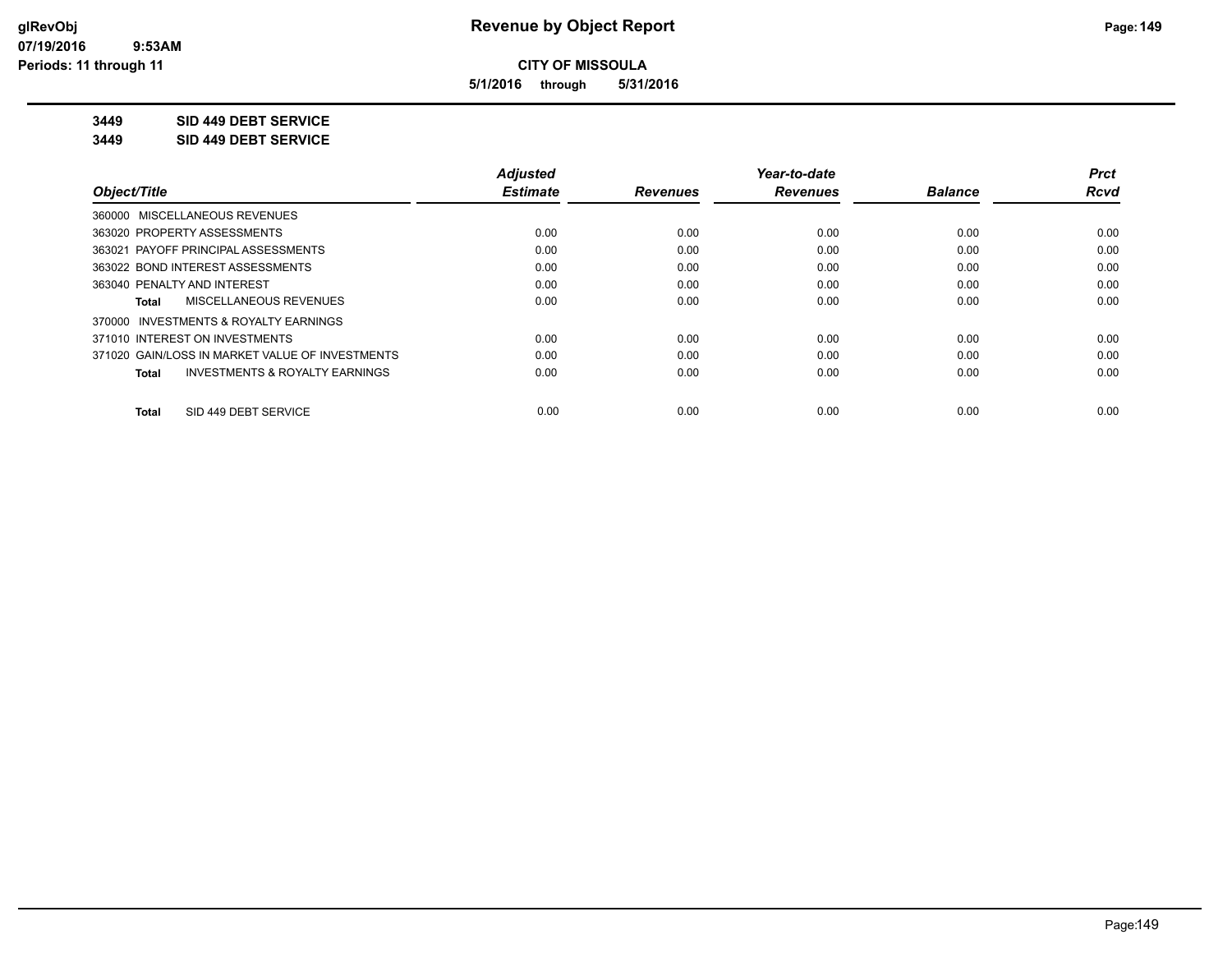**5/1/2016 through 5/31/2016**

## **3449 SID 449 DEBT SERVICE**

**3449 SID 449 DEBT SERVICE**

|                                                    | <b>Adjusted</b> |                 | Year-to-date    |                | <b>Prct</b> |
|----------------------------------------------------|-----------------|-----------------|-----------------|----------------|-------------|
| Object/Title                                       | <b>Estimate</b> | <b>Revenues</b> | <b>Revenues</b> | <b>Balance</b> | <b>Rcvd</b> |
| 360000 MISCELLANEOUS REVENUES                      |                 |                 |                 |                |             |
| 363020 PROPERTY ASSESSMENTS                        | 0.00            | 0.00            | 0.00            | 0.00           | 0.00        |
| 363021 PAYOFF PRINCIPAL ASSESSMENTS                | 0.00            | 0.00            | 0.00            | 0.00           | 0.00        |
| 363022 BOND INTEREST ASSESSMENTS                   | 0.00            | 0.00            | 0.00            | 0.00           | 0.00        |
| 363040 PENALTY AND INTEREST                        | 0.00            | 0.00            | 0.00            | 0.00           | 0.00        |
| MISCELLANEOUS REVENUES<br>Total                    | 0.00            | 0.00            | 0.00            | 0.00           | 0.00        |
| 370000 INVESTMENTS & ROYALTY EARNINGS              |                 |                 |                 |                |             |
| 371010 INTEREST ON INVESTMENTS                     | 0.00            | 0.00            | 0.00            | 0.00           | 0.00        |
| 371020 GAIN/LOSS IN MARKET VALUE OF INVESTMENTS    | 0.00            | 0.00            | 0.00            | 0.00           | 0.00        |
| <b>INVESTMENTS &amp; ROYALTY EARNINGS</b><br>Total | 0.00            | 0.00            | 0.00            | 0.00           | 0.00        |
| SID 449 DEBT SERVICE<br><b>Total</b>               | 0.00            | 0.00            | 0.00            | 0.00           | 0.00        |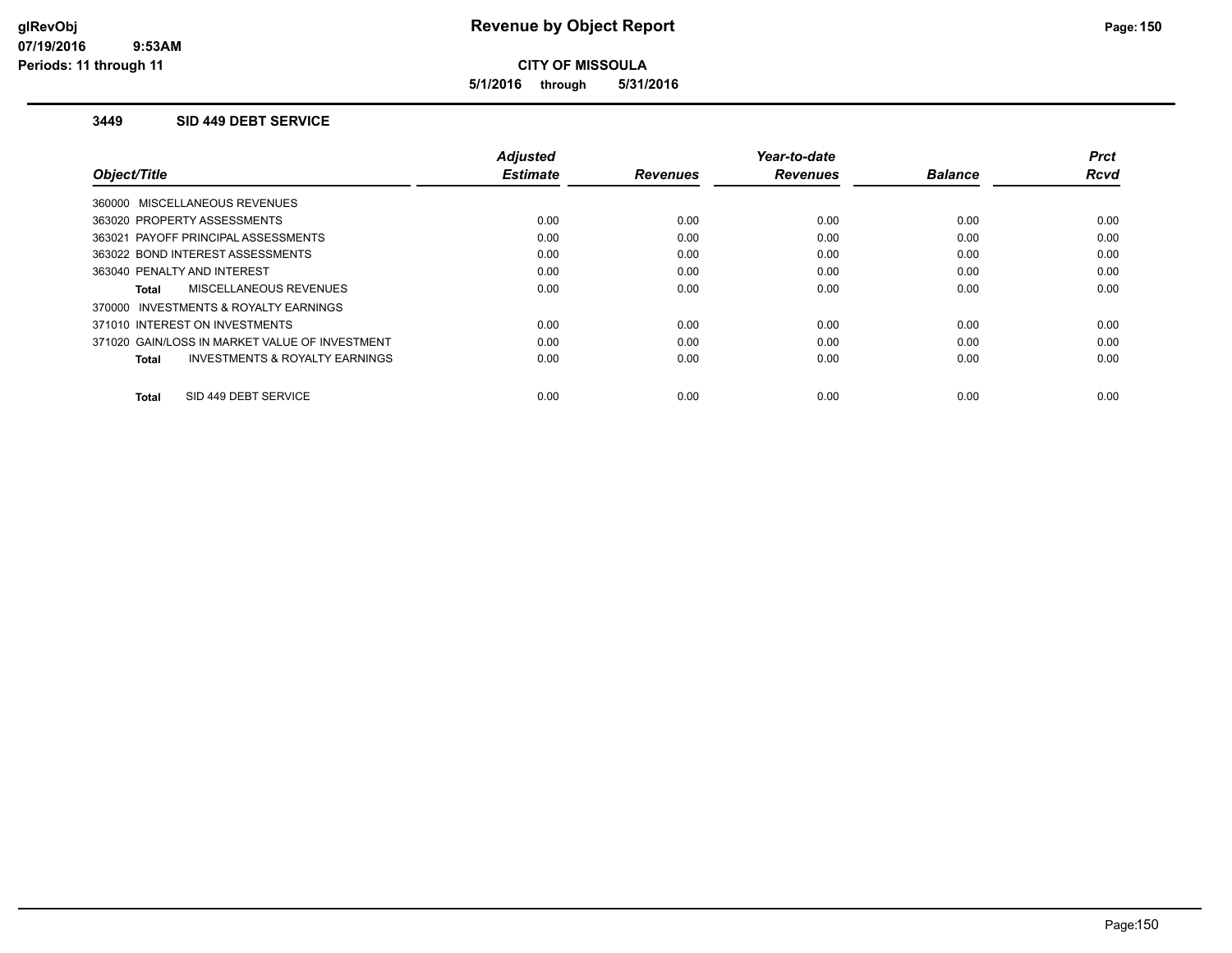**5/1/2016 through 5/31/2016**

### **3449 SID 449 DEBT SERVICE**

|                                                    | <b>Adjusted</b> |                 | Year-to-date    |                | <b>Prct</b> |
|----------------------------------------------------|-----------------|-----------------|-----------------|----------------|-------------|
| Object/Title                                       | <b>Estimate</b> | <b>Revenues</b> | <b>Revenues</b> | <b>Balance</b> | <b>Rcvd</b> |
| 360000 MISCELLANEOUS REVENUES                      |                 |                 |                 |                |             |
| 363020 PROPERTY ASSESSMENTS                        | 0.00            | 0.00            | 0.00            | 0.00           | 0.00        |
| 363021 PAYOFF PRINCIPAL ASSESSMENTS                | 0.00            | 0.00            | 0.00            | 0.00           | 0.00        |
| 363022 BOND INTEREST ASSESSMENTS                   | 0.00            | 0.00            | 0.00            | 0.00           | 0.00        |
| 363040 PENALTY AND INTEREST                        | 0.00            | 0.00            | 0.00            | 0.00           | 0.00        |
| MISCELLANEOUS REVENUES<br>Total                    | 0.00            | 0.00            | 0.00            | 0.00           | 0.00        |
| 370000 INVESTMENTS & ROYALTY EARNINGS              |                 |                 |                 |                |             |
| 371010 INTEREST ON INVESTMENTS                     | 0.00            | 0.00            | 0.00            | 0.00           | 0.00        |
| 371020 GAIN/LOSS IN MARKET VALUE OF INVESTMENT     | 0.00            | 0.00            | 0.00            | 0.00           | 0.00        |
| <b>INVESTMENTS &amp; ROYALTY EARNINGS</b><br>Total | 0.00            | 0.00            | 0.00            | 0.00           | 0.00        |
|                                                    |                 |                 |                 |                |             |
| SID 449 DEBT SERVICE<br>Total                      | 0.00            | 0.00            | 0.00            | 0.00           | 0.00        |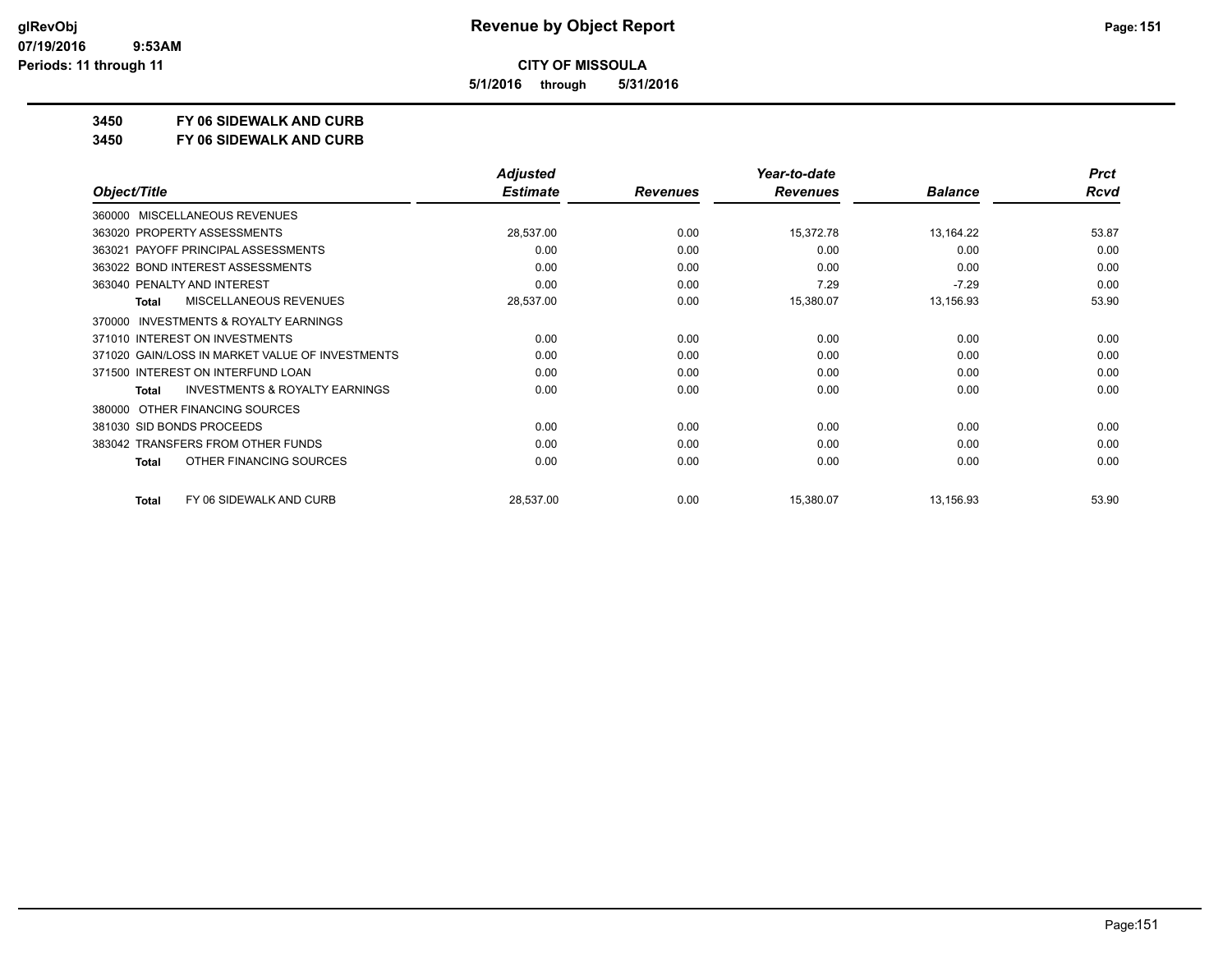**5/1/2016 through 5/31/2016**

**3450 FY 06 SIDEWALK AND CURB**

**3450 FY 06 SIDEWALK AND CURB**

|                                                     | <b>Adjusted</b> |                 | Year-to-date    |                | <b>Prct</b> |
|-----------------------------------------------------|-----------------|-----------------|-----------------|----------------|-------------|
| Object/Title                                        | <b>Estimate</b> | <b>Revenues</b> | <b>Revenues</b> | <b>Balance</b> | <b>Rcvd</b> |
| MISCELLANEOUS REVENUES<br>360000                    |                 |                 |                 |                |             |
| 363020 PROPERTY ASSESSMENTS                         | 28,537.00       | 0.00            | 15,372.78       | 13,164.22      | 53.87       |
| 363021 PAYOFF PRINCIPAL ASSESSMENTS                 | 0.00            | 0.00            | 0.00            | 0.00           | 0.00        |
| 363022 BOND INTEREST ASSESSMENTS                    | 0.00            | 0.00            | 0.00            | 0.00           | 0.00        |
| 363040 PENALTY AND INTEREST                         | 0.00            | 0.00            | 7.29            | $-7.29$        | 0.00        |
| MISCELLANEOUS REVENUES<br>Total                     | 28,537.00       | 0.00            | 15,380.07       | 13,156.93      | 53.90       |
| <b>INVESTMENTS &amp; ROYALTY EARNINGS</b><br>370000 |                 |                 |                 |                |             |
| 371010 INTEREST ON INVESTMENTS                      | 0.00            | 0.00            | 0.00            | 0.00           | 0.00        |
| 371020 GAIN/LOSS IN MARKET VALUE OF INVESTMENTS     | 0.00            | 0.00            | 0.00            | 0.00           | 0.00        |
| 371500 INTEREST ON INTERFUND LOAN                   | 0.00            | 0.00            | 0.00            | 0.00           | 0.00        |
| <b>INVESTMENTS &amp; ROYALTY EARNINGS</b><br>Total  | 0.00            | 0.00            | 0.00            | 0.00           | 0.00        |
| OTHER FINANCING SOURCES<br>380000                   |                 |                 |                 |                |             |
| 381030 SID BONDS PROCEEDS                           | 0.00            | 0.00            | 0.00            | 0.00           | 0.00        |
| 383042 TRANSFERS FROM OTHER FUNDS                   | 0.00            | 0.00            | 0.00            | 0.00           | 0.00        |
| OTHER FINANCING SOURCES<br>Total                    | 0.00            | 0.00            | 0.00            | 0.00           | 0.00        |
| FY 06 SIDEWALK AND CURB<br><b>Total</b>             | 28,537.00       | 0.00            | 15,380.07       | 13,156.93      | 53.90       |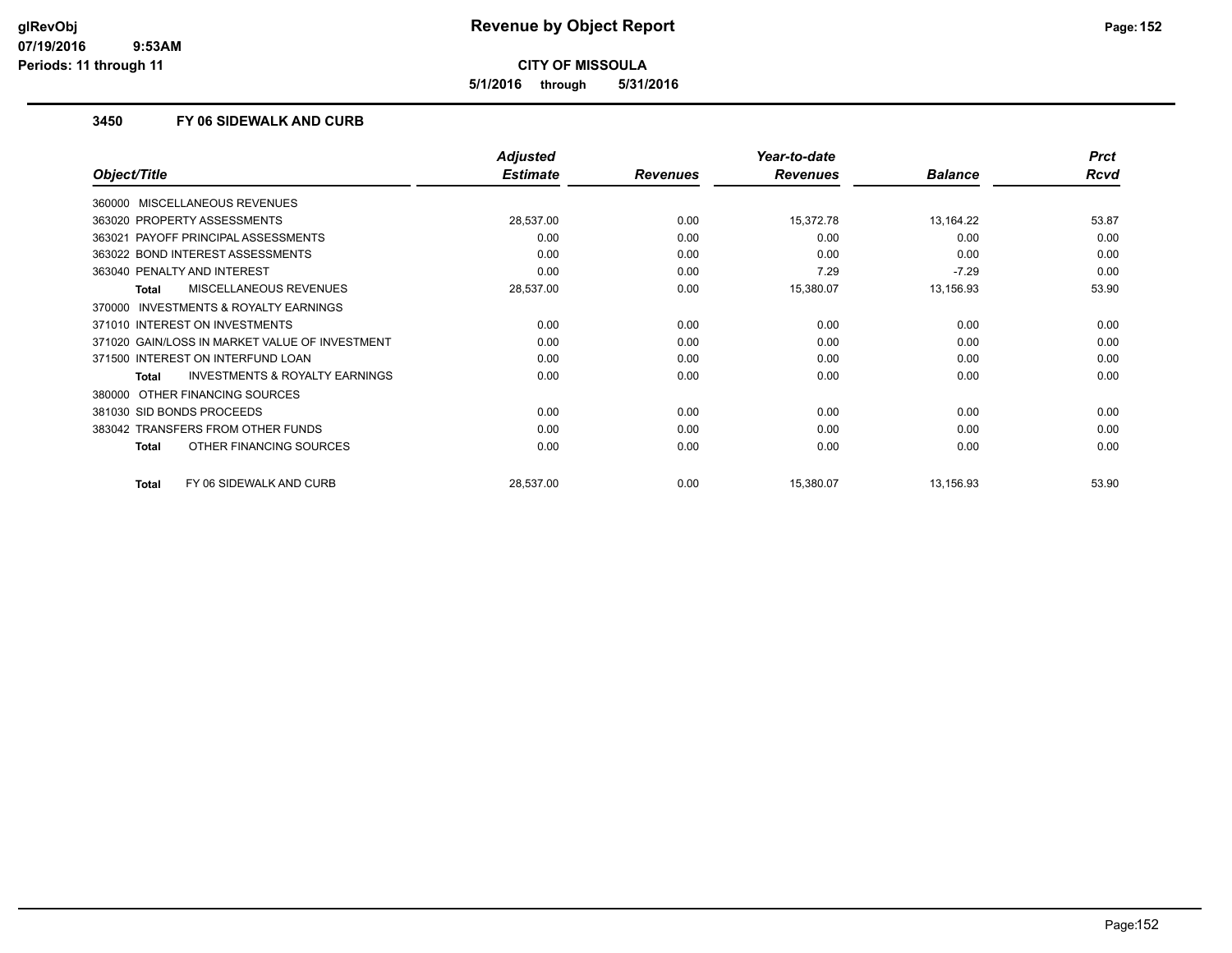**5/1/2016 through 5/31/2016**

### **3450 FY 06 SIDEWALK AND CURB**

|                                                     | <b>Adjusted</b> |                 | Year-to-date    |                | <b>Prct</b> |
|-----------------------------------------------------|-----------------|-----------------|-----------------|----------------|-------------|
| Object/Title                                        | <b>Estimate</b> | <b>Revenues</b> | <b>Revenues</b> | <b>Balance</b> | <b>Rcvd</b> |
| 360000 MISCELLANEOUS REVENUES                       |                 |                 |                 |                |             |
| 363020 PROPERTY ASSESSMENTS                         | 28,537.00       | 0.00            | 15,372.78       | 13,164.22      | 53.87       |
| 363021 PAYOFF PRINCIPAL ASSESSMENTS                 | 0.00            | 0.00            | 0.00            | 0.00           | 0.00        |
| 363022 BOND INTEREST ASSESSMENTS                    | 0.00            | 0.00            | 0.00            | 0.00           | 0.00        |
| 363040 PENALTY AND INTEREST                         | 0.00            | 0.00            | 7.29            | $-7.29$        | 0.00        |
| <b>MISCELLANEOUS REVENUES</b><br><b>Total</b>       | 28,537.00       | 0.00            | 15,380.07       | 13,156.93      | 53.90       |
| <b>INVESTMENTS &amp; ROYALTY EARNINGS</b><br>370000 |                 |                 |                 |                |             |
| 371010 INTEREST ON INVESTMENTS                      | 0.00            | 0.00            | 0.00            | 0.00           | 0.00        |
| 371020 GAIN/LOSS IN MARKET VALUE OF INVESTMENT      | 0.00            | 0.00            | 0.00            | 0.00           | 0.00        |
| 371500 INTEREST ON INTERFUND LOAN                   | 0.00            | 0.00            | 0.00            | 0.00           | 0.00        |
| <b>INVESTMENTS &amp; ROYALTY EARNINGS</b><br>Total  | 0.00            | 0.00            | 0.00            | 0.00           | 0.00        |
| 380000 OTHER FINANCING SOURCES                      |                 |                 |                 |                |             |
| 381030 SID BONDS PROCEEDS                           | 0.00            | 0.00            | 0.00            | 0.00           | 0.00        |
| 383042 TRANSFERS FROM OTHER FUNDS                   | 0.00            | 0.00            | 0.00            | 0.00           | 0.00        |
| OTHER FINANCING SOURCES<br><b>Total</b>             | 0.00            | 0.00            | 0.00            | 0.00           | 0.00        |
| FY 06 SIDEWALK AND CURB<br>Total                    | 28,537.00       | 0.00            | 15,380.07       | 13,156.93      | 53.90       |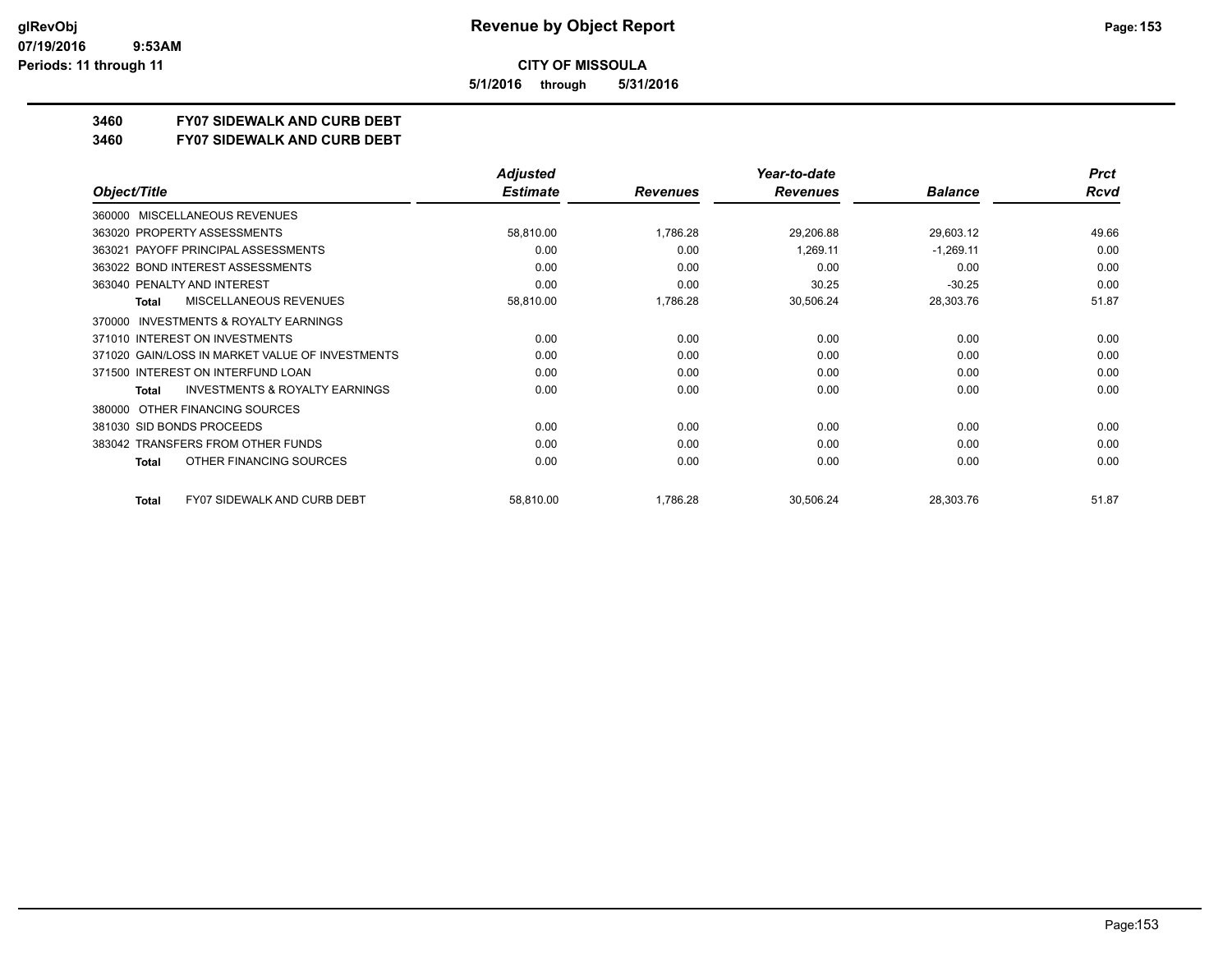**5/1/2016 through 5/31/2016**

## **3460 FY07 SIDEWALK AND CURB DEBT**

#### **3460 FY07 SIDEWALK AND CURB DEBT**

|                                                     | <b>Adjusted</b> |                 | Year-to-date    |                | <b>Prct</b> |
|-----------------------------------------------------|-----------------|-----------------|-----------------|----------------|-------------|
| Object/Title                                        | <b>Estimate</b> | <b>Revenues</b> | <b>Revenues</b> | <b>Balance</b> | Rcvd        |
| <b>MISCELLANEOUS REVENUES</b><br>360000             |                 |                 |                 |                |             |
| 363020 PROPERTY ASSESSMENTS                         | 58,810.00       | 1,786.28        | 29,206.88       | 29,603.12      | 49.66       |
| PAYOFF PRINCIPAL ASSESSMENTS<br>363021              | 0.00            | 0.00            | 1,269.11        | $-1,269.11$    | 0.00        |
| 363022 BOND INTEREST ASSESSMENTS                    | 0.00            | 0.00            | 0.00            | 0.00           | 0.00        |
| 363040 PENALTY AND INTEREST                         | 0.00            | 0.00            | 30.25           | $-30.25$       | 0.00        |
| MISCELLANEOUS REVENUES<br>Total                     | 58,810.00       | 1,786.28        | 30,506.24       | 28,303.76      | 51.87       |
| <b>INVESTMENTS &amp; ROYALTY EARNINGS</b><br>370000 |                 |                 |                 |                |             |
| 371010 INTEREST ON INVESTMENTS                      | 0.00            | 0.00            | 0.00            | 0.00           | 0.00        |
| 371020 GAIN/LOSS IN MARKET VALUE OF INVESTMENTS     | 0.00            | 0.00            | 0.00            | 0.00           | 0.00        |
| 371500 INTEREST ON INTERFUND LOAN                   | 0.00            | 0.00            | 0.00            | 0.00           | 0.00        |
| <b>INVESTMENTS &amp; ROYALTY EARNINGS</b><br>Total  | 0.00            | 0.00            | 0.00            | 0.00           | 0.00        |
| OTHER FINANCING SOURCES<br>380000                   |                 |                 |                 |                |             |
| 381030 SID BONDS PROCEEDS                           | 0.00            | 0.00            | 0.00            | 0.00           | 0.00        |
| 383042 TRANSFERS FROM OTHER FUNDS                   | 0.00            | 0.00            | 0.00            | 0.00           | 0.00        |
| OTHER FINANCING SOURCES<br>Total                    | 0.00            | 0.00            | 0.00            | 0.00           | 0.00        |
| <b>FY07 SIDEWALK AND CURB DEBT</b><br>Total         | 58,810.00       | 1,786.28        | 30,506.24       | 28,303.76      | 51.87       |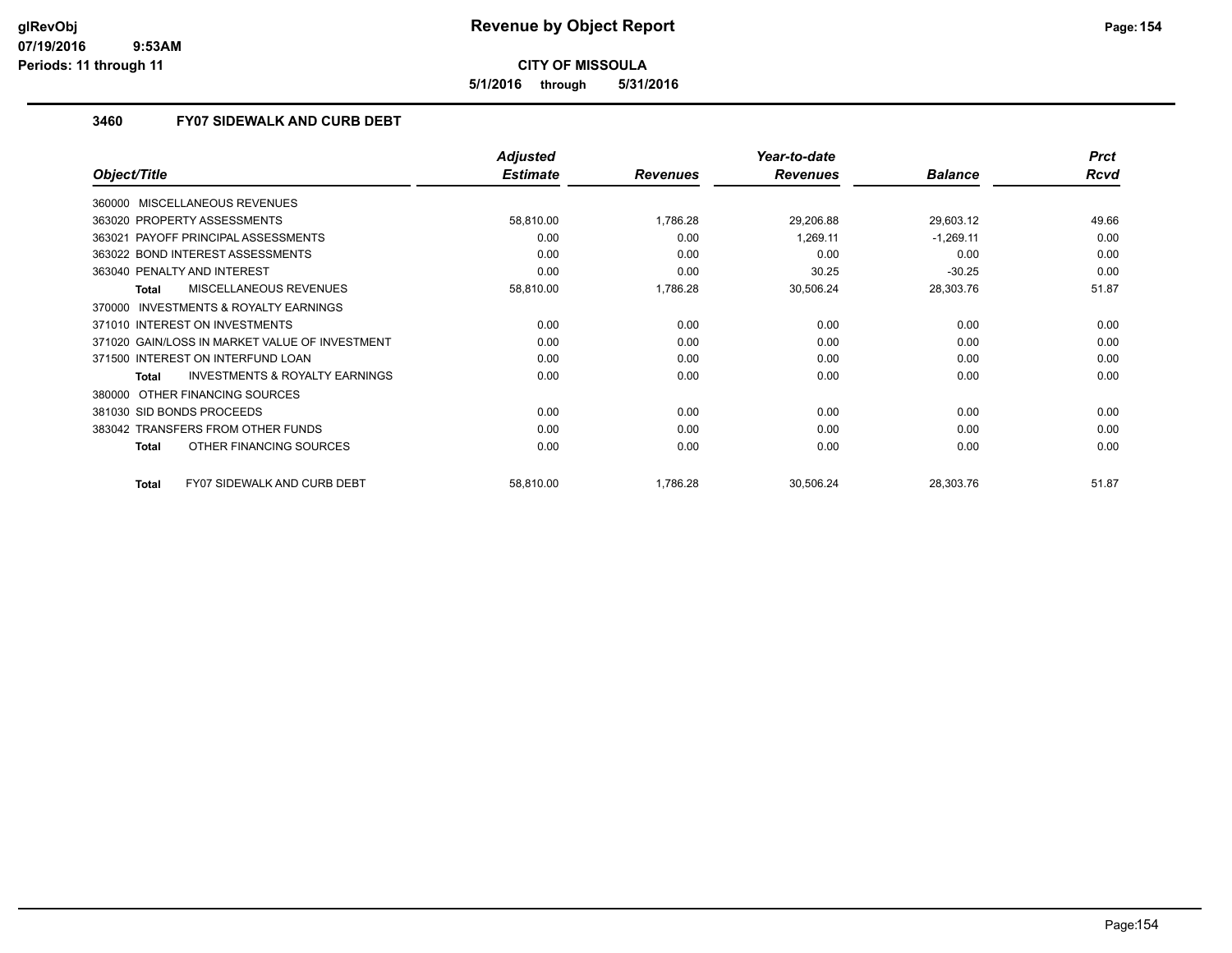**5/1/2016 through 5/31/2016**

### **3460 FY07 SIDEWALK AND CURB DEBT**

|                                                     | <b>Adjusted</b> |                 | Year-to-date    |                | <b>Prct</b> |
|-----------------------------------------------------|-----------------|-----------------|-----------------|----------------|-------------|
| Object/Title                                        | <b>Estimate</b> | <b>Revenues</b> | <b>Revenues</b> | <b>Balance</b> | Rcvd        |
| 360000 MISCELLANEOUS REVENUES                       |                 |                 |                 |                |             |
| 363020 PROPERTY ASSESSMENTS                         | 58,810.00       | 1,786.28        | 29,206.88       | 29,603.12      | 49.66       |
| 363021 PAYOFF PRINCIPAL ASSESSMENTS                 | 0.00            | 0.00            | 1,269.11        | $-1,269.11$    | 0.00        |
| 363022 BOND INTEREST ASSESSMENTS                    | 0.00            | 0.00            | 0.00            | 0.00           | 0.00        |
| 363040 PENALTY AND INTEREST                         | 0.00            | 0.00            | 30.25           | $-30.25$       | 0.00        |
| <b>MISCELLANEOUS REVENUES</b><br><b>Total</b>       | 58,810.00       | 1,786.28        | 30,506.24       | 28,303.76      | 51.87       |
| <b>INVESTMENTS &amp; ROYALTY EARNINGS</b><br>370000 |                 |                 |                 |                |             |
| 371010 INTEREST ON INVESTMENTS                      | 0.00            | 0.00            | 0.00            | 0.00           | 0.00        |
| 371020 GAIN/LOSS IN MARKET VALUE OF INVESTMENT      | 0.00            | 0.00            | 0.00            | 0.00           | 0.00        |
| 371500 INTEREST ON INTERFUND LOAN                   | 0.00            | 0.00            | 0.00            | 0.00           | 0.00        |
| <b>INVESTMENTS &amp; ROYALTY EARNINGS</b><br>Total  | 0.00            | 0.00            | 0.00            | 0.00           | 0.00        |
| 380000 OTHER FINANCING SOURCES                      |                 |                 |                 |                |             |
| 381030 SID BONDS PROCEEDS                           | 0.00            | 0.00            | 0.00            | 0.00           | 0.00        |
| 383042 TRANSFERS FROM OTHER FUNDS                   | 0.00            | 0.00            | 0.00            | 0.00           | 0.00        |
| OTHER FINANCING SOURCES<br><b>Total</b>             | 0.00            | 0.00            | 0.00            | 0.00           | 0.00        |
| <b>FY07 SIDEWALK AND CURB DEBT</b><br><b>Total</b>  | 58,810.00       | 1,786.28        | 30,506.24       | 28,303.76      | 51.87       |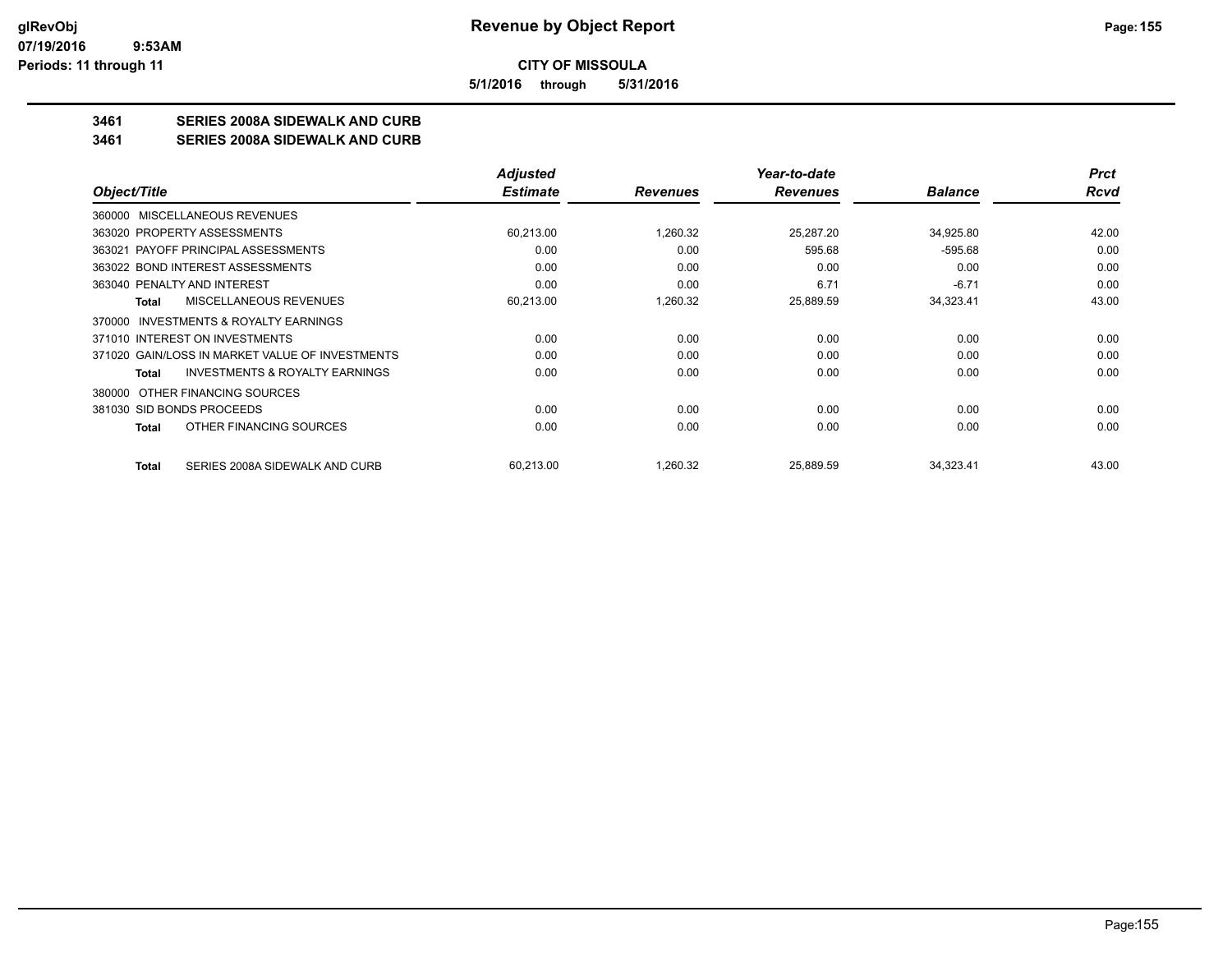**5/1/2016 through 5/31/2016**

## **3461 SERIES 2008A SIDEWALK AND CURB**

**3461 SERIES 2008A SIDEWALK AND CURB**

|                                                    | <b>Adjusted</b> |                 | Year-to-date    |                | <b>Prct</b> |
|----------------------------------------------------|-----------------|-----------------|-----------------|----------------|-------------|
| Object/Title                                       | <b>Estimate</b> | <b>Revenues</b> | <b>Revenues</b> | <b>Balance</b> | Rcvd        |
| 360000 MISCELLANEOUS REVENUES                      |                 |                 |                 |                |             |
| 363020 PROPERTY ASSESSMENTS                        | 60,213.00       | 1,260.32        | 25,287.20       | 34,925.80      | 42.00       |
| 363021 PAYOFF PRINCIPAL ASSESSMENTS                | 0.00            | 0.00            | 595.68          | $-595.68$      | 0.00        |
| 363022 BOND INTEREST ASSESSMENTS                   | 0.00            | 0.00            | 0.00            | 0.00           | 0.00        |
| 363040 PENALTY AND INTEREST                        | 0.00            | 0.00            | 6.71            | $-6.71$        | 0.00        |
| MISCELLANEOUS REVENUES<br>Total                    | 60,213.00       | 1,260.32        | 25,889.59       | 34,323.41      | 43.00       |
| 370000 INVESTMENTS & ROYALTY EARNINGS              |                 |                 |                 |                |             |
| 371010 INTEREST ON INVESTMENTS                     | 0.00            | 0.00            | 0.00            | 0.00           | 0.00        |
| 371020 GAIN/LOSS IN MARKET VALUE OF INVESTMENTS    | 0.00            | 0.00            | 0.00            | 0.00           | 0.00        |
| <b>INVESTMENTS &amp; ROYALTY EARNINGS</b><br>Total | 0.00            | 0.00            | 0.00            | 0.00           | 0.00        |
| OTHER FINANCING SOURCES<br>380000                  |                 |                 |                 |                |             |
| 381030 SID BONDS PROCEEDS                          | 0.00            | 0.00            | 0.00            | 0.00           | 0.00        |
| OTHER FINANCING SOURCES<br>Total                   | 0.00            | 0.00            | 0.00            | 0.00           | 0.00        |
| SERIES 2008A SIDEWALK AND CURB<br><b>Total</b>     | 60,213.00       | 1,260.32        | 25,889.59       | 34,323.41      | 43.00       |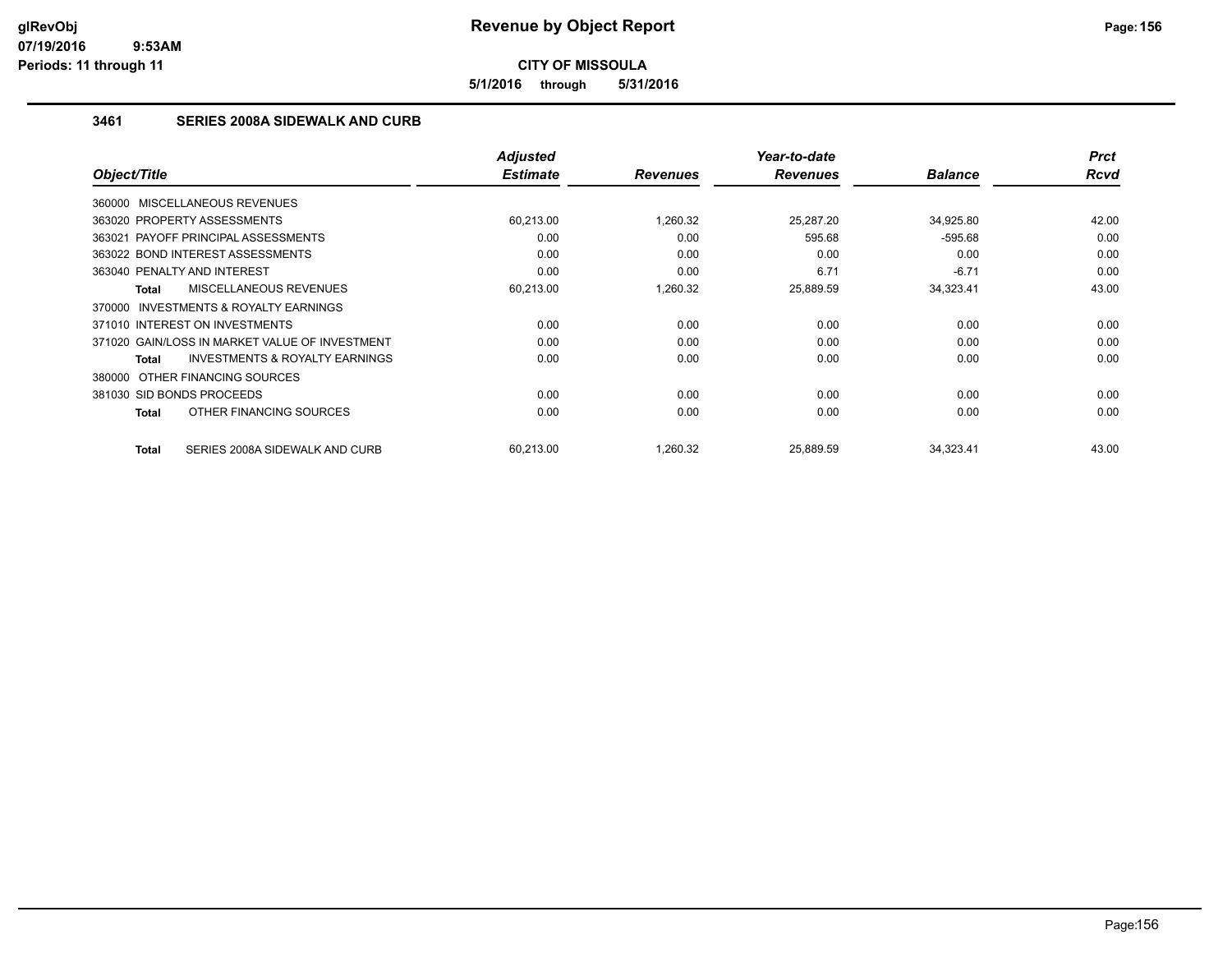**5/1/2016 through 5/31/2016**

## **3461 SERIES 2008A SIDEWALK AND CURB**

|                                                    | <b>Adjusted</b> |                 | Year-to-date    |                | <b>Prct</b> |
|----------------------------------------------------|-----------------|-----------------|-----------------|----------------|-------------|
| Object/Title                                       | <b>Estimate</b> | <b>Revenues</b> | <b>Revenues</b> | <b>Balance</b> | <b>Rcvd</b> |
| 360000 MISCELLANEOUS REVENUES                      |                 |                 |                 |                |             |
| 363020 PROPERTY ASSESSMENTS                        | 60.213.00       | 1,260.32        | 25,287.20       | 34,925.80      | 42.00       |
| 363021 PAYOFF PRINCIPAL ASSESSMENTS                | 0.00            | 0.00            | 595.68          | $-595.68$      | 0.00        |
| 363022 BOND INTEREST ASSESSMENTS                   | 0.00            | 0.00            | 0.00            | 0.00           | 0.00        |
| 363040 PENALTY AND INTEREST                        | 0.00            | 0.00            | 6.71            | $-6.71$        | 0.00        |
| MISCELLANEOUS REVENUES<br>Total                    | 60,213.00       | 1,260.32        | 25,889.59       | 34,323.41      | 43.00       |
| 370000 INVESTMENTS & ROYALTY EARNINGS              |                 |                 |                 |                |             |
| 371010 INTEREST ON INVESTMENTS                     | 0.00            | 0.00            | 0.00            | 0.00           | 0.00        |
| 371020 GAIN/LOSS IN MARKET VALUE OF INVESTMENT     | 0.00            | 0.00            | 0.00            | 0.00           | 0.00        |
| <b>INVESTMENTS &amp; ROYALTY EARNINGS</b><br>Total | 0.00            | 0.00            | 0.00            | 0.00           | 0.00        |
| 380000 OTHER FINANCING SOURCES                     |                 |                 |                 |                |             |
| 381030 SID BONDS PROCEEDS                          | 0.00            | 0.00            | 0.00            | 0.00           | 0.00        |
| OTHER FINANCING SOURCES<br>Total                   | 0.00            | 0.00            | 0.00            | 0.00           | 0.00        |
| SERIES 2008A SIDEWALK AND CURB<br>Total            | 60.213.00       | 1,260.32        | 25.889.59       | 34,323.41      | 43.00       |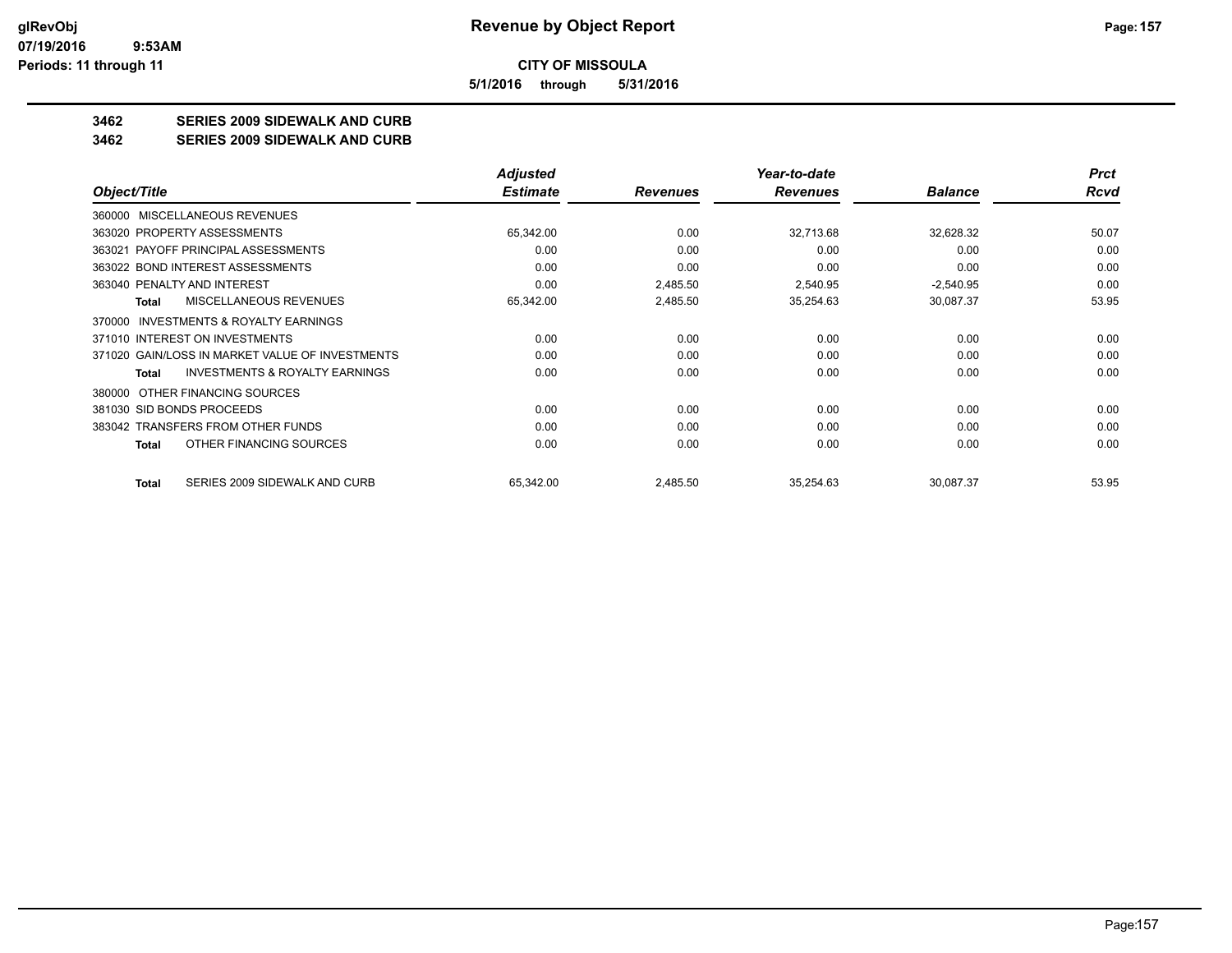**5/1/2016 through 5/31/2016**

## **3462 SERIES 2009 SIDEWALK AND CURB**

**3462 SERIES 2009 SIDEWALK AND CURB**

|                                                           | <b>Adjusted</b> |                 | Year-to-date    |                | <b>Prct</b> |
|-----------------------------------------------------------|-----------------|-----------------|-----------------|----------------|-------------|
| Object/Title                                              | <b>Estimate</b> | <b>Revenues</b> | <b>Revenues</b> | <b>Balance</b> | Rcvd        |
| MISCELLANEOUS REVENUES<br>360000                          |                 |                 |                 |                |             |
| 363020 PROPERTY ASSESSMENTS                               | 65,342.00       | 0.00            | 32,713.68       | 32,628.32      | 50.07       |
| 363021 PAYOFF PRINCIPAL ASSESSMENTS                       | 0.00            | 0.00            | 0.00            | 0.00           | 0.00        |
| 363022 BOND INTEREST ASSESSMENTS                          | 0.00            | 0.00            | 0.00            | 0.00           | 0.00        |
| 363040 PENALTY AND INTEREST                               | 0.00            | 2,485.50        | 2,540.95        | $-2,540.95$    | 0.00        |
| MISCELLANEOUS REVENUES<br>Total                           | 65,342.00       | 2,485.50        | 35,254.63       | 30,087.37      | 53.95       |
| <b>INVESTMENTS &amp; ROYALTY EARNINGS</b><br>370000       |                 |                 |                 |                |             |
| 371010 INTEREST ON INVESTMENTS                            | 0.00            | 0.00            | 0.00            | 0.00           | 0.00        |
| 371020 GAIN/LOSS IN MARKET VALUE OF INVESTMENTS           | 0.00            | 0.00            | 0.00            | 0.00           | 0.00        |
| <b>INVESTMENTS &amp; ROYALTY EARNINGS</b><br><b>Total</b> | 0.00            | 0.00            | 0.00            | 0.00           | 0.00        |
| OTHER FINANCING SOURCES<br>380000                         |                 |                 |                 |                |             |
| 381030 SID BONDS PROCEEDS                                 | 0.00            | 0.00            | 0.00            | 0.00           | 0.00        |
| 383042 TRANSFERS FROM OTHER FUNDS                         | 0.00            | 0.00            | 0.00            | 0.00           | 0.00        |
| OTHER FINANCING SOURCES<br>Total                          | 0.00            | 0.00            | 0.00            | 0.00           | 0.00        |
| SERIES 2009 SIDEWALK AND CURB<br>Total                    | 65,342.00       | 2,485.50        | 35,254.63       | 30,087.37      | 53.95       |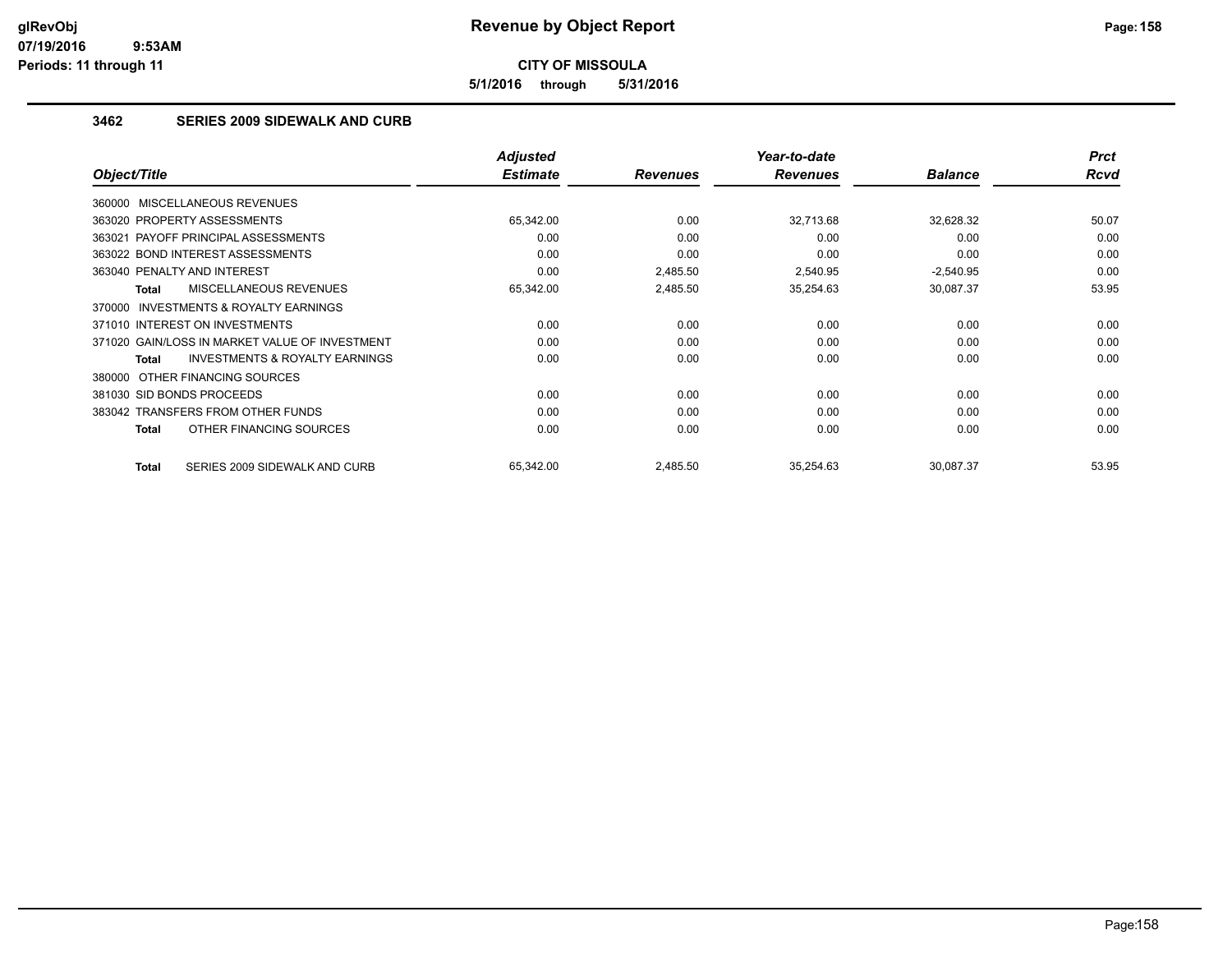**5/1/2016 through 5/31/2016**

## **3462 SERIES 2009 SIDEWALK AND CURB**

|                                                     | <b>Adjusted</b> |                 | Year-to-date    |                | <b>Prct</b> |
|-----------------------------------------------------|-----------------|-----------------|-----------------|----------------|-------------|
| Object/Title                                        | <b>Estimate</b> | <b>Revenues</b> | <b>Revenues</b> | <b>Balance</b> | <b>Rcvd</b> |
| 360000 MISCELLANEOUS REVENUES                       |                 |                 |                 |                |             |
| 363020 PROPERTY ASSESSMENTS                         | 65,342.00       | 0.00            | 32,713.68       | 32,628.32      | 50.07       |
| 363021 PAYOFF PRINCIPAL ASSESSMENTS                 | 0.00            | 0.00            | 0.00            | 0.00           | 0.00        |
| 363022 BOND INTEREST ASSESSMENTS                    | 0.00            | 0.00            | 0.00            | 0.00           | 0.00        |
| 363040 PENALTY AND INTEREST                         | 0.00            | 2,485.50        | 2.540.95        | $-2,540.95$    | 0.00        |
| <b>MISCELLANEOUS REVENUES</b><br>Total              | 65,342.00       | 2,485.50        | 35,254.63       | 30,087.37      | 53.95       |
| <b>INVESTMENTS &amp; ROYALTY EARNINGS</b><br>370000 |                 |                 |                 |                |             |
| 371010 INTEREST ON INVESTMENTS                      | 0.00            | 0.00            | 0.00            | 0.00           | 0.00        |
| 371020 GAIN/LOSS IN MARKET VALUE OF INVESTMENT      | 0.00            | 0.00            | 0.00            | 0.00           | 0.00        |
| <b>INVESTMENTS &amp; ROYALTY EARNINGS</b><br>Total  | 0.00            | 0.00            | 0.00            | 0.00           | 0.00        |
| 380000 OTHER FINANCING SOURCES                      |                 |                 |                 |                |             |
| 381030 SID BONDS PROCEEDS                           | 0.00            | 0.00            | 0.00            | 0.00           | 0.00        |
| 383042 TRANSFERS FROM OTHER FUNDS                   | 0.00            | 0.00            | 0.00            | 0.00           | 0.00        |
| OTHER FINANCING SOURCES<br>Total                    | 0.00            | 0.00            | 0.00            | 0.00           | 0.00        |
| SERIES 2009 SIDEWALK AND CURB<br><b>Total</b>       | 65,342.00       | 2,485.50        | 35,254.63       | 30,087.37      | 53.95       |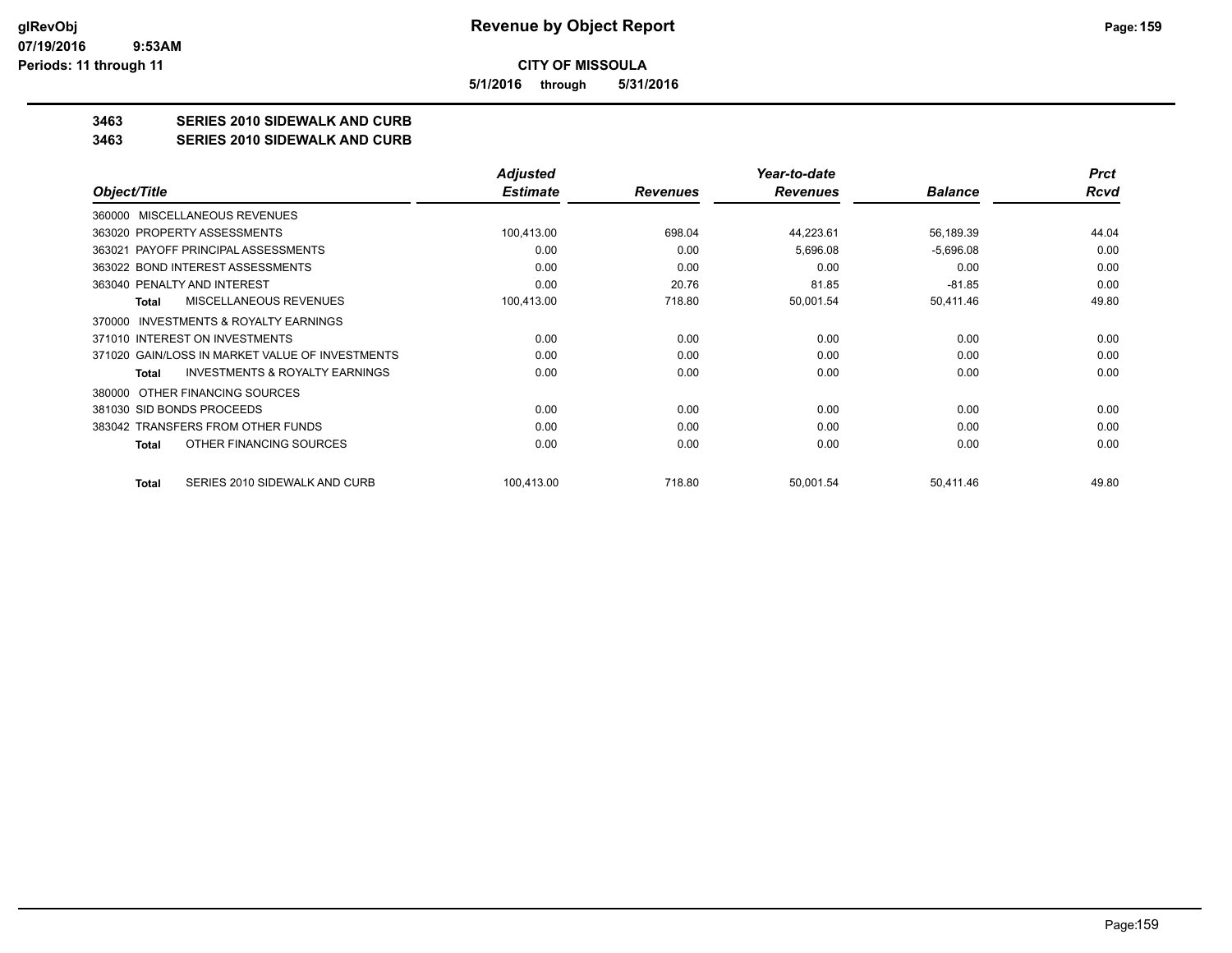**5/1/2016 through 5/31/2016**

## **3463 SERIES 2010 SIDEWALK AND CURB**

**3463 SERIES 2010 SIDEWALK AND CURB**

|                                                     | <b>Adjusted</b> |                 | Year-to-date    |                | <b>Prct</b> |
|-----------------------------------------------------|-----------------|-----------------|-----------------|----------------|-------------|
| Object/Title                                        | <b>Estimate</b> | <b>Revenues</b> | <b>Revenues</b> | <b>Balance</b> | Rcvd        |
| MISCELLANEOUS REVENUES<br>360000                    |                 |                 |                 |                |             |
| 363020 PROPERTY ASSESSMENTS                         | 100.413.00      | 698.04          | 44,223.61       | 56,189.39      | 44.04       |
| 363021 PAYOFF PRINCIPAL ASSESSMENTS                 | 0.00            | 0.00            | 5,696.08        | $-5,696.08$    | 0.00        |
| 363022 BOND INTEREST ASSESSMENTS                    | 0.00            | 0.00            | 0.00            | 0.00           | 0.00        |
| 363040 PENALTY AND INTEREST                         | 0.00            | 20.76           | 81.85           | $-81.85$       | 0.00        |
| MISCELLANEOUS REVENUES<br><b>Total</b>              | 100,413.00      | 718.80          | 50,001.54       | 50,411.46      | 49.80       |
| <b>INVESTMENTS &amp; ROYALTY EARNINGS</b><br>370000 |                 |                 |                 |                |             |
| 371010 INTEREST ON INVESTMENTS                      | 0.00            | 0.00            | 0.00            | 0.00           | 0.00        |
| 371020 GAIN/LOSS IN MARKET VALUE OF INVESTMENTS     | 0.00            | 0.00            | 0.00            | 0.00           | 0.00        |
| INVESTMENTS & ROYALTY EARNINGS<br>Total             | 0.00            | 0.00            | 0.00            | 0.00           | 0.00        |
| OTHER FINANCING SOURCES<br>380000                   |                 |                 |                 |                |             |
| 381030 SID BONDS PROCEEDS                           | 0.00            | 0.00            | 0.00            | 0.00           | 0.00        |
| 383042 TRANSFERS FROM OTHER FUNDS                   | 0.00            | 0.00            | 0.00            | 0.00           | 0.00        |
| OTHER FINANCING SOURCES<br>Total                    | 0.00            | 0.00            | 0.00            | 0.00           | 0.00        |
| SERIES 2010 SIDEWALK AND CURB<br>Total              | 100,413.00      | 718.80          | 50,001.54       | 50,411.46      | 49.80       |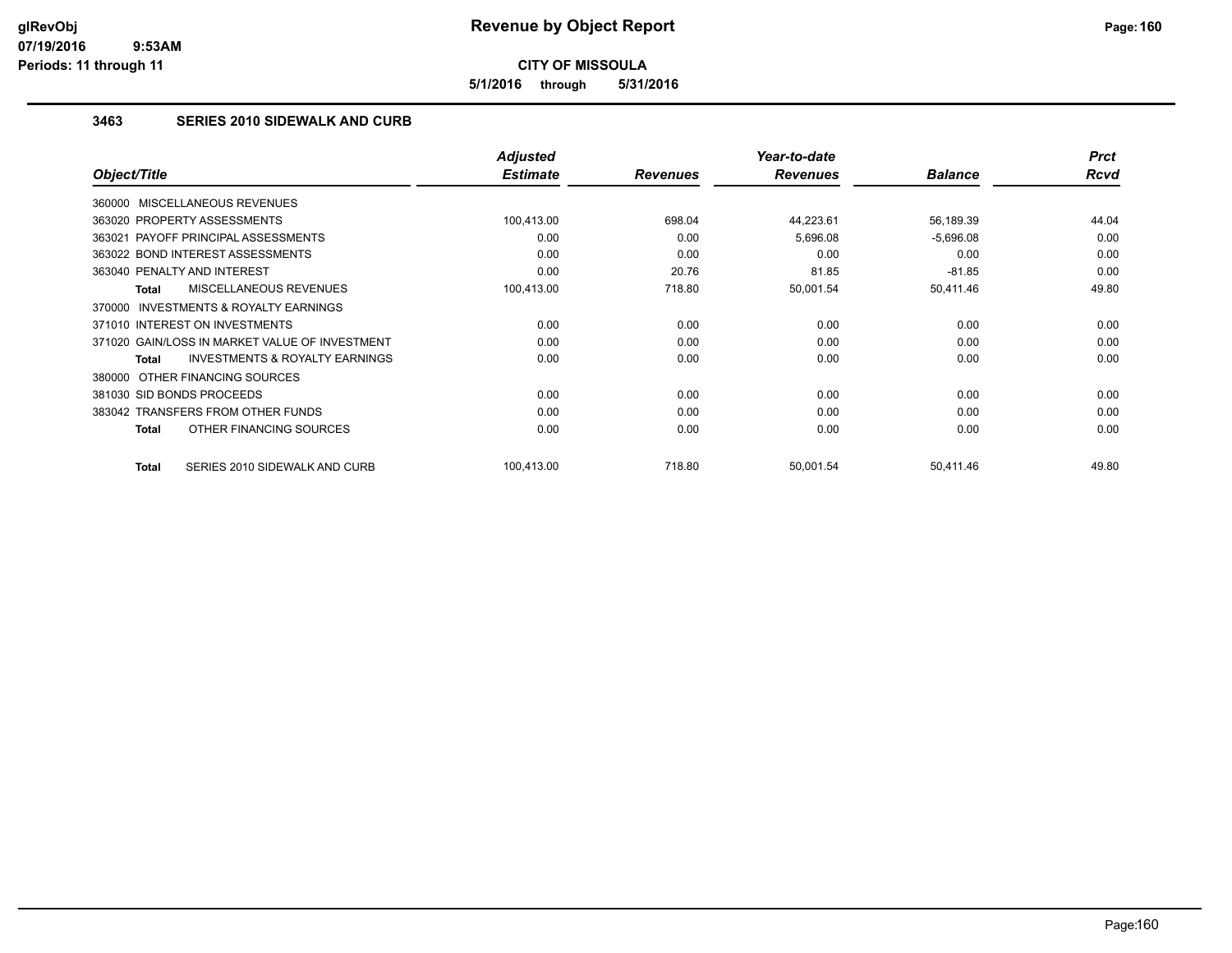**5/1/2016 through 5/31/2016**

## **3463 SERIES 2010 SIDEWALK AND CURB**

|                                                    | <b>Adjusted</b> |                 | Year-to-date    |                | <b>Prct</b> |
|----------------------------------------------------|-----------------|-----------------|-----------------|----------------|-------------|
| Object/Title                                       | <b>Estimate</b> | <b>Revenues</b> | <b>Revenues</b> | <b>Balance</b> | Rcvd        |
| 360000 MISCELLANEOUS REVENUES                      |                 |                 |                 |                |             |
| 363020 PROPERTY ASSESSMENTS                        | 100,413.00      | 698.04          | 44,223.61       | 56,189.39      | 44.04       |
| 363021 PAYOFF PRINCIPAL ASSESSMENTS                | 0.00            | 0.00            | 5,696.08        | $-5,696.08$    | 0.00        |
| 363022 BOND INTEREST ASSESSMENTS                   | 0.00            | 0.00            | 0.00            | 0.00           | 0.00        |
| 363040 PENALTY AND INTEREST                        | 0.00            | 20.76           | 81.85           | $-81.85$       | 0.00        |
| MISCELLANEOUS REVENUES<br>Total                    | 100,413.00      | 718.80          | 50,001.54       | 50,411.46      | 49.80       |
| INVESTMENTS & ROYALTY EARNINGS<br>370000           |                 |                 |                 |                |             |
| 371010 INTEREST ON INVESTMENTS                     | 0.00            | 0.00            | 0.00            | 0.00           | 0.00        |
| 371020 GAIN/LOSS IN MARKET VALUE OF INVESTMENT     | 0.00            | 0.00            | 0.00            | 0.00           | 0.00        |
| <b>INVESTMENTS &amp; ROYALTY EARNINGS</b><br>Total | 0.00            | 0.00            | 0.00            | 0.00           | 0.00        |
| 380000 OTHER FINANCING SOURCES                     |                 |                 |                 |                |             |
| 381030 SID BONDS PROCEEDS                          | 0.00            | 0.00            | 0.00            | 0.00           | 0.00        |
| 383042 TRANSFERS FROM OTHER FUNDS                  | 0.00            | 0.00            | 0.00            | 0.00           | 0.00        |
| OTHER FINANCING SOURCES<br>Total                   | 0.00            | 0.00            | 0.00            | 0.00           | 0.00        |
| <b>Total</b><br>SERIES 2010 SIDEWALK AND CURB      | 100.413.00      | 718.80          | 50,001.54       | 50,411.46      | 49.80       |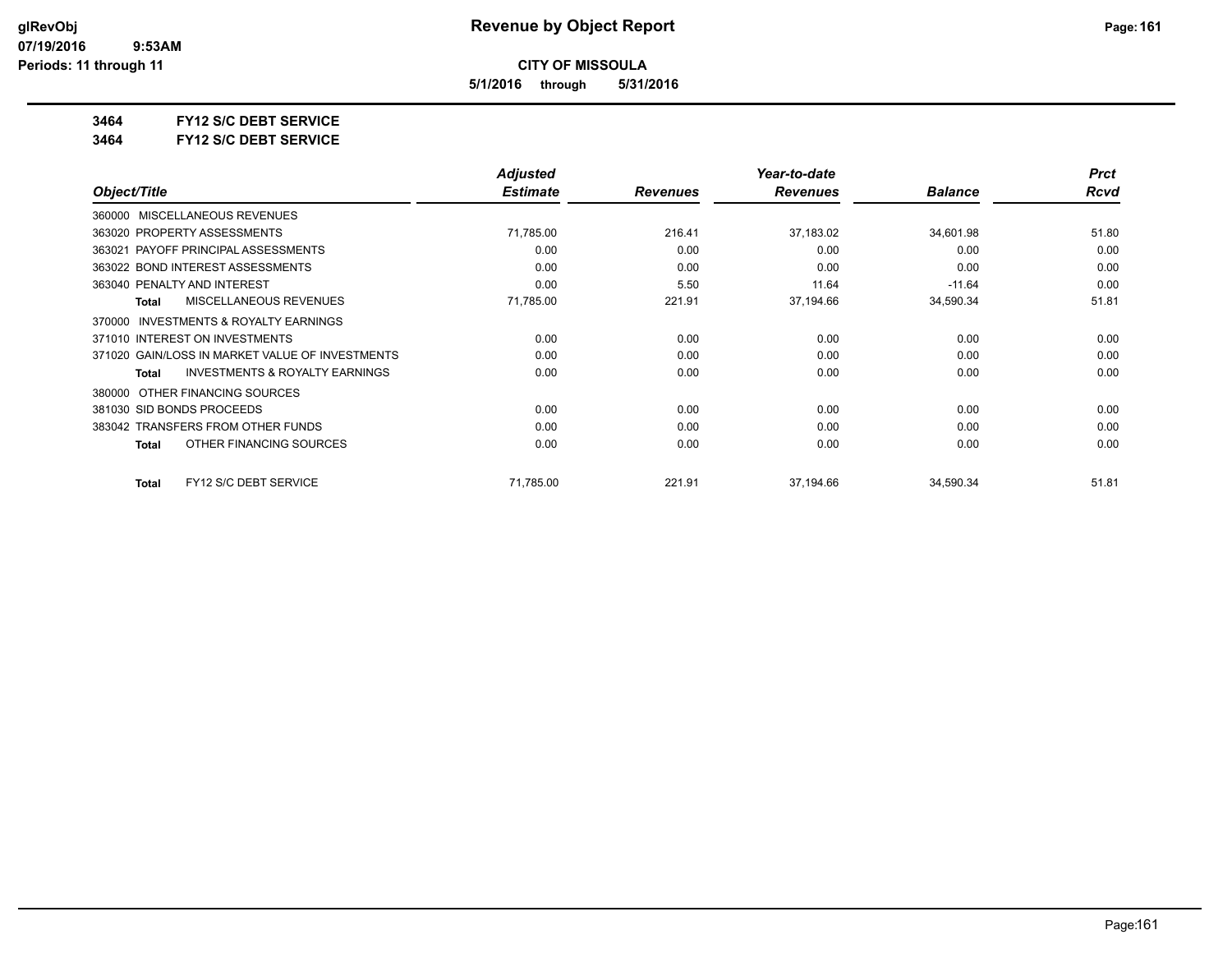**5/1/2016 through 5/31/2016**

**3464 FY12 S/C DEBT SERVICE**

**3464 FY12 S/C DEBT SERVICE**

|                                                    | <b>Adjusted</b> |                 | Year-to-date    |                | <b>Prct</b> |
|----------------------------------------------------|-----------------|-----------------|-----------------|----------------|-------------|
| Object/Title                                       | <b>Estimate</b> | <b>Revenues</b> | <b>Revenues</b> | <b>Balance</b> | Rcvd        |
| MISCELLANEOUS REVENUES<br>360000                   |                 |                 |                 |                |             |
| 363020 PROPERTY ASSESSMENTS                        | 71,785.00       | 216.41          | 37,183.02       | 34,601.98      | 51.80       |
| 363021 PAYOFF PRINCIPAL ASSESSMENTS                | 0.00            | 0.00            | 0.00            | 0.00           | 0.00        |
| 363022 BOND INTEREST ASSESSMENTS                   | 0.00            | 0.00            | 0.00            | 0.00           | 0.00        |
| 363040 PENALTY AND INTEREST                        | 0.00            | 5.50            | 11.64           | $-11.64$       | 0.00        |
| <b>MISCELLANEOUS REVENUES</b><br><b>Total</b>      | 71,785.00       | 221.91          | 37,194.66       | 34,590.34      | 51.81       |
| INVESTMENTS & ROYALTY EARNINGS<br>370000           |                 |                 |                 |                |             |
| 371010 INTEREST ON INVESTMENTS                     | 0.00            | 0.00            | 0.00            | 0.00           | 0.00        |
| 371020 GAIN/LOSS IN MARKET VALUE OF INVESTMENTS    | 0.00            | 0.00            | 0.00            | 0.00           | 0.00        |
| <b>INVESTMENTS &amp; ROYALTY EARNINGS</b><br>Total | 0.00            | 0.00            | 0.00            | 0.00           | 0.00        |
| OTHER FINANCING SOURCES<br>380000                  |                 |                 |                 |                |             |
| 381030 SID BONDS PROCEEDS                          | 0.00            | 0.00            | 0.00            | 0.00           | 0.00        |
| 383042 TRANSFERS FROM OTHER FUNDS                  | 0.00            | 0.00            | 0.00            | 0.00           | 0.00        |
| OTHER FINANCING SOURCES<br>Total                   | 0.00            | 0.00            | 0.00            | 0.00           | 0.00        |
| FY12 S/C DEBT SERVICE<br><b>Total</b>              | 71,785.00       | 221.91          | 37,194.66       | 34,590.34      | 51.81       |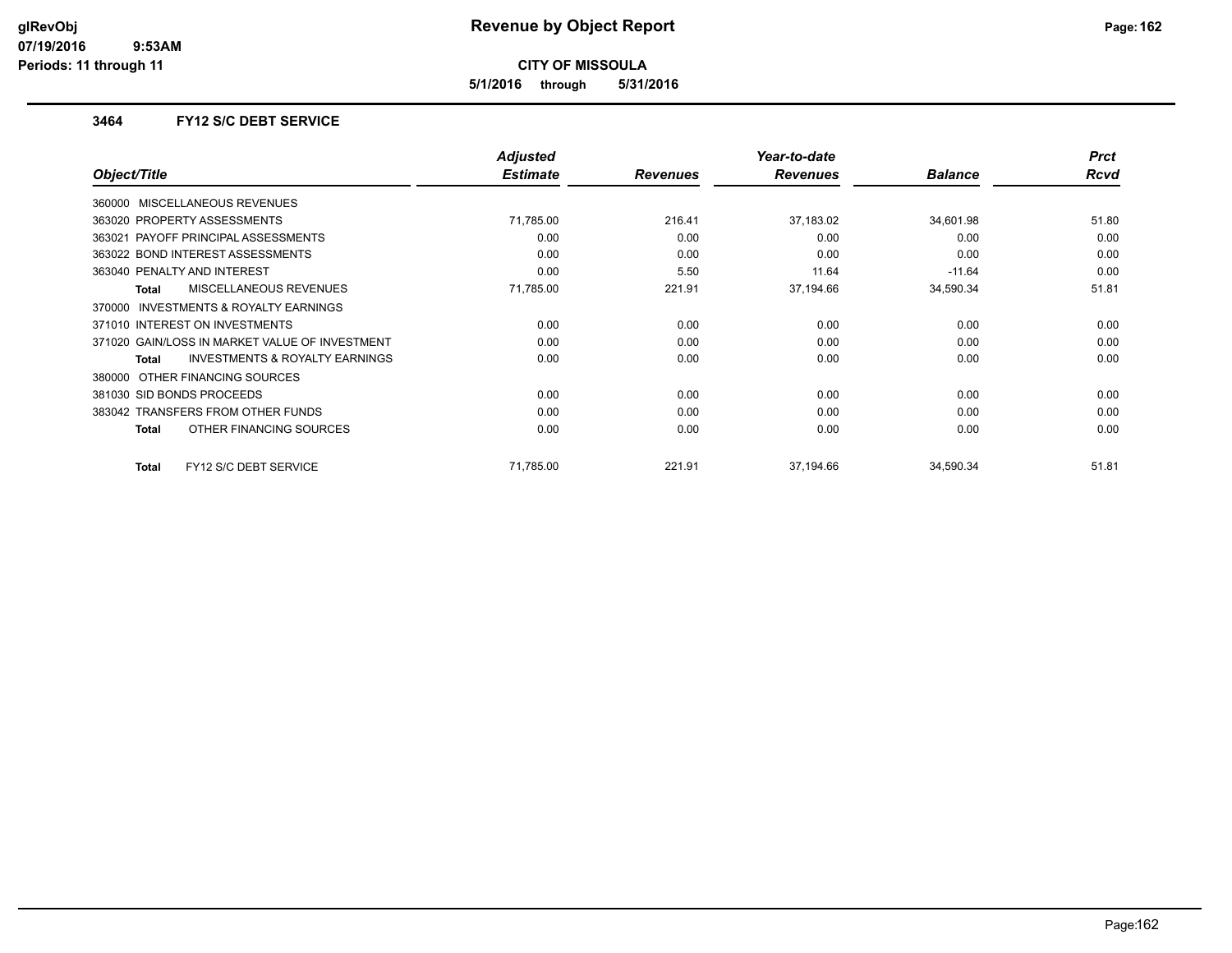**5/1/2016 through 5/31/2016**

### **3464 FY12 S/C DEBT SERVICE**

|                                                     | <b>Adjusted</b> |                 | Year-to-date    |                | <b>Prct</b> |
|-----------------------------------------------------|-----------------|-----------------|-----------------|----------------|-------------|
| Object/Title                                        | <b>Estimate</b> | <b>Revenues</b> | <b>Revenues</b> | <b>Balance</b> | <b>Rcvd</b> |
| 360000 MISCELLANEOUS REVENUES                       |                 |                 |                 |                |             |
| 363020 PROPERTY ASSESSMENTS                         | 71,785.00       | 216.41          | 37,183.02       | 34,601.98      | 51.80       |
| 363021 PAYOFF PRINCIPAL ASSESSMENTS                 | 0.00            | 0.00            | 0.00            | 0.00           | 0.00        |
| 363022 BOND INTEREST ASSESSMENTS                    | 0.00            | 0.00            | 0.00            | 0.00           | 0.00        |
| 363040 PENALTY AND INTEREST                         | 0.00            | 5.50            | 11.64           | $-11.64$       | 0.00        |
| <b>MISCELLANEOUS REVENUES</b><br>Total              | 71,785.00       | 221.91          | 37,194.66       | 34,590.34      | 51.81       |
| <b>INVESTMENTS &amp; ROYALTY EARNINGS</b><br>370000 |                 |                 |                 |                |             |
| 371010 INTEREST ON INVESTMENTS                      | 0.00            | 0.00            | 0.00            | 0.00           | 0.00        |
| 371020 GAIN/LOSS IN MARKET VALUE OF INVESTMENT      | 0.00            | 0.00            | 0.00            | 0.00           | 0.00        |
| <b>INVESTMENTS &amp; ROYALTY EARNINGS</b><br>Total  | 0.00            | 0.00            | 0.00            | 0.00           | 0.00        |
| 380000 OTHER FINANCING SOURCES                      |                 |                 |                 |                |             |
| 381030 SID BONDS PROCEEDS                           | 0.00            | 0.00            | 0.00            | 0.00           | 0.00        |
| 383042 TRANSFERS FROM OTHER FUNDS                   | 0.00            | 0.00            | 0.00            | 0.00           | 0.00        |
| OTHER FINANCING SOURCES<br>Total                    | 0.00            | 0.00            | 0.00            | 0.00           | 0.00        |
| FY12 S/C DEBT SERVICE<br><b>Total</b>               | 71,785.00       | 221.91          | 37,194.66       | 34,590.34      | 51.81       |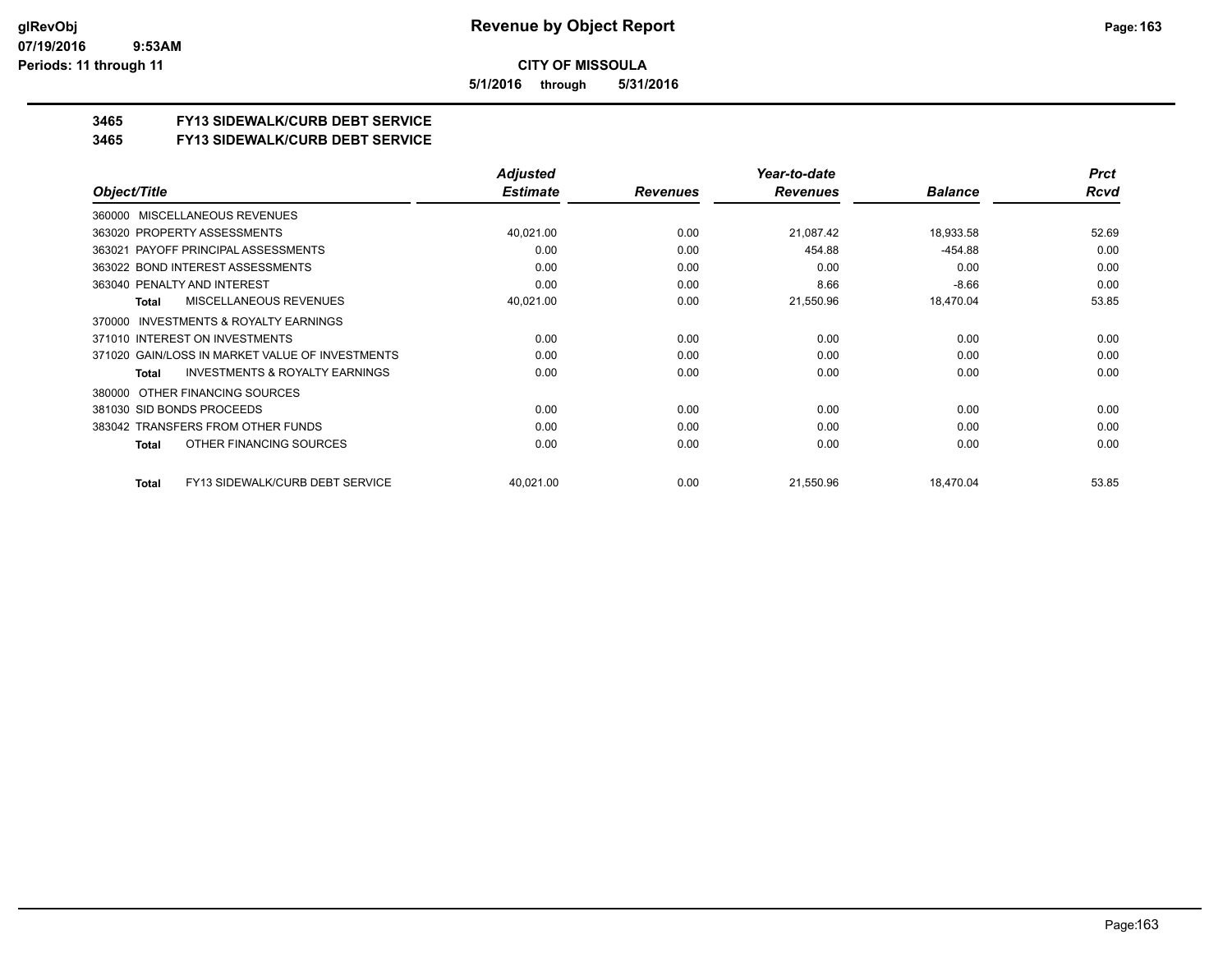**5/1/2016 through 5/31/2016**

## **3465 FY13 SIDEWALK/CURB DEBT SERVICE**

#### **3465 FY13 SIDEWALK/CURB DEBT SERVICE**

|                                                     | <b>Adjusted</b> |                 | Year-to-date    |                | <b>Prct</b> |
|-----------------------------------------------------|-----------------|-----------------|-----------------|----------------|-------------|
| Object/Title                                        | <b>Estimate</b> | <b>Revenues</b> | <b>Revenues</b> | <b>Balance</b> | Rcvd        |
| 360000 MISCELLANEOUS REVENUES                       |                 |                 |                 |                |             |
| 363020 PROPERTY ASSESSMENTS                         | 40,021.00       | 0.00            | 21,087.42       | 18,933.58      | 52.69       |
| PAYOFF PRINCIPAL ASSESSMENTS<br>363021              | 0.00            | 0.00            | 454.88          | $-454.88$      | 0.00        |
| 363022 BOND INTEREST ASSESSMENTS                    | 0.00            | 0.00            | 0.00            | 0.00           | 0.00        |
| 363040 PENALTY AND INTEREST                         | 0.00            | 0.00            | 8.66            | $-8.66$        | 0.00        |
| <b>MISCELLANEOUS REVENUES</b><br>Total              | 40,021.00       | 0.00            | 21,550.96       | 18,470.04      | 53.85       |
| <b>INVESTMENTS &amp; ROYALTY EARNINGS</b><br>370000 |                 |                 |                 |                |             |
| 371010 INTEREST ON INVESTMENTS                      | 0.00            | 0.00            | 0.00            | 0.00           | 0.00        |
| 371020 GAIN/LOSS IN MARKET VALUE OF INVESTMENTS     | 0.00            | 0.00            | 0.00            | 0.00           | 0.00        |
| <b>INVESTMENTS &amp; ROYALTY EARNINGS</b><br>Total  | 0.00            | 0.00            | 0.00            | 0.00           | 0.00        |
| 380000 OTHER FINANCING SOURCES                      |                 |                 |                 |                |             |
| 381030 SID BONDS PROCEEDS                           | 0.00            | 0.00            | 0.00            | 0.00           | 0.00        |
| 383042 TRANSFERS FROM OTHER FUNDS                   | 0.00            | 0.00            | 0.00            | 0.00           | 0.00        |
| OTHER FINANCING SOURCES<br>Total                    | 0.00            | 0.00            | 0.00            | 0.00           | 0.00        |
| FY13 SIDEWALK/CURB DEBT SERVICE<br>Total            | 40,021.00       | 0.00            | 21,550.96       | 18,470.04      | 53.85       |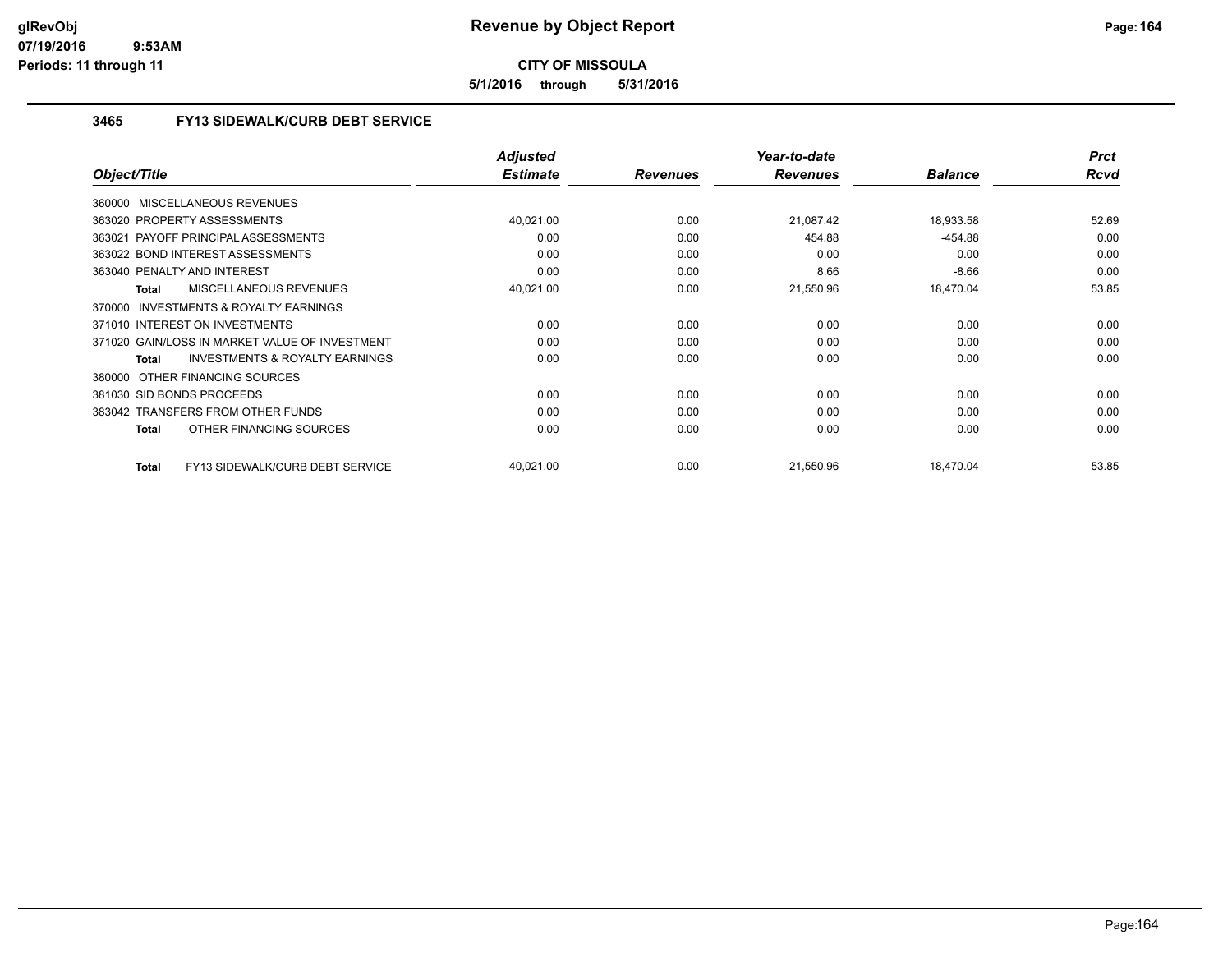**5/1/2016 through 5/31/2016**

## **3465 FY13 SIDEWALK/CURB DEBT SERVICE**

|                                                           | <b>Adjusted</b> |                 | Year-to-date    |                | <b>Prct</b> |
|-----------------------------------------------------------|-----------------|-----------------|-----------------|----------------|-------------|
| Object/Title                                              | <b>Estimate</b> | <b>Revenues</b> | <b>Revenues</b> | <b>Balance</b> | <b>Rcvd</b> |
| 360000 MISCELLANEOUS REVENUES                             |                 |                 |                 |                |             |
| 363020 PROPERTY ASSESSMENTS                               | 40,021.00       | 0.00            | 21,087.42       | 18,933.58      | 52.69       |
| 363021 PAYOFF PRINCIPAL ASSESSMENTS                       | 0.00            | 0.00            | 454.88          | $-454.88$      | 0.00        |
| 363022 BOND INTEREST ASSESSMENTS                          | 0.00            | 0.00            | 0.00            | 0.00           | 0.00        |
| 363040 PENALTY AND INTEREST                               | 0.00            | 0.00            | 8.66            | $-8.66$        | 0.00        |
| MISCELLANEOUS REVENUES<br><b>Total</b>                    | 40,021.00       | 0.00            | 21,550.96       | 18,470.04      | 53.85       |
| 370000 INVESTMENTS & ROYALTY EARNINGS                     |                 |                 |                 |                |             |
| 371010 INTEREST ON INVESTMENTS                            | 0.00            | 0.00            | 0.00            | 0.00           | 0.00        |
| 371020 GAIN/LOSS IN MARKET VALUE OF INVESTMENT            | 0.00            | 0.00            | 0.00            | 0.00           | 0.00        |
| <b>INVESTMENTS &amp; ROYALTY EARNINGS</b><br><b>Total</b> | 0.00            | 0.00            | 0.00            | 0.00           | 0.00        |
| 380000 OTHER FINANCING SOURCES                            |                 |                 |                 |                |             |
| 381030 SID BONDS PROCEEDS                                 | 0.00            | 0.00            | 0.00            | 0.00           | 0.00        |
| 383042 TRANSFERS FROM OTHER FUNDS                         | 0.00            | 0.00            | 0.00            | 0.00           | 0.00        |
| OTHER FINANCING SOURCES<br><b>Total</b>                   | 0.00            | 0.00            | 0.00            | 0.00           | 0.00        |
| FY13 SIDEWALK/CURB DEBT SERVICE<br><b>Total</b>           | 40,021.00       | 0.00            | 21,550.96       | 18,470.04      | 53.85       |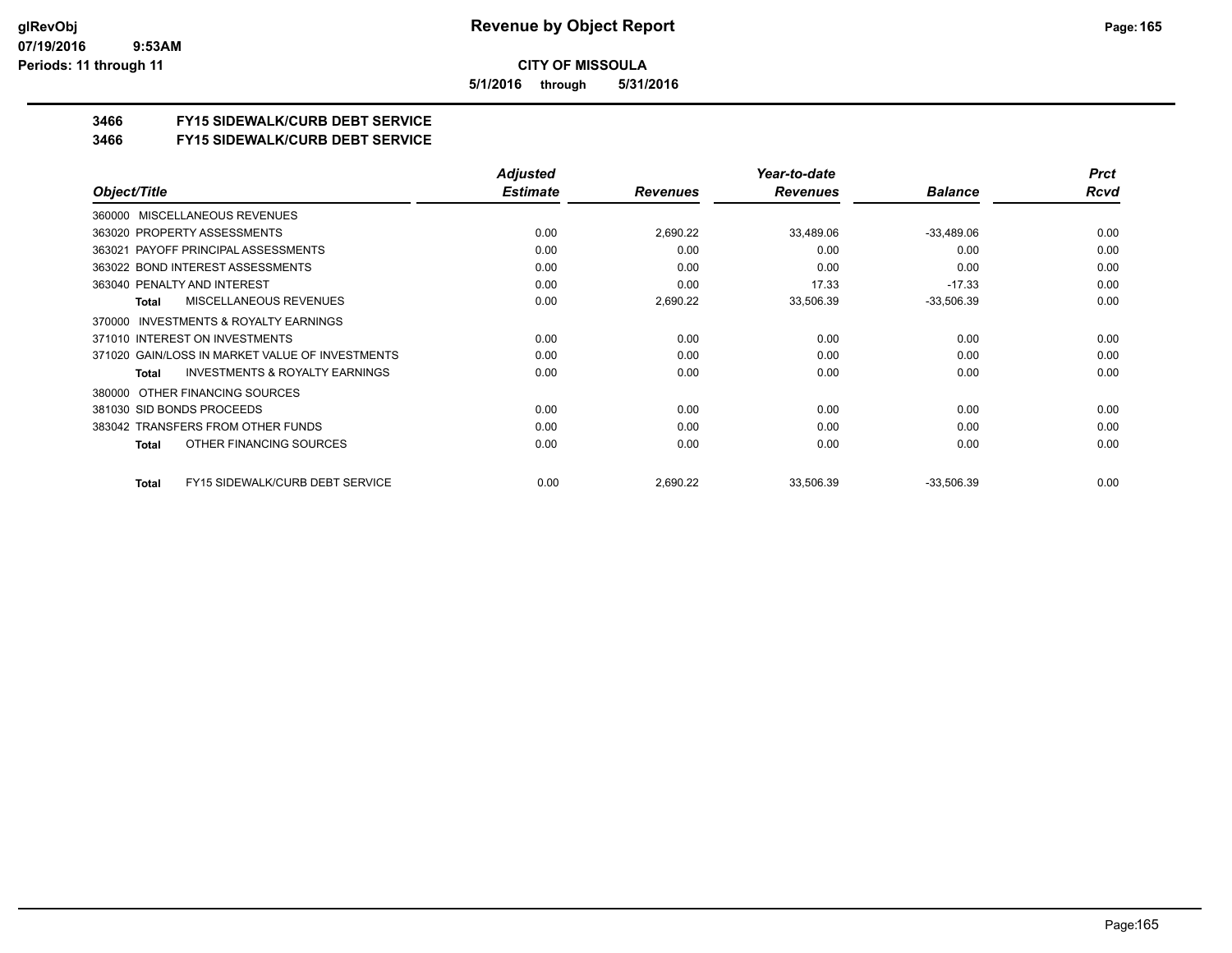**5/1/2016 through 5/31/2016**

## **3466 FY15 SIDEWALK/CURB DEBT SERVICE**

**3466 FY15 SIDEWALK/CURB DEBT SERVICE**

|                                                    | <b>Adjusted</b> |                 | Year-to-date    |                | <b>Prct</b> |
|----------------------------------------------------|-----------------|-----------------|-----------------|----------------|-------------|
| Object/Title                                       | <b>Estimate</b> | <b>Revenues</b> | <b>Revenues</b> | <b>Balance</b> | Rcvd        |
| MISCELLANEOUS REVENUES<br>360000                   |                 |                 |                 |                |             |
| 363020 PROPERTY ASSESSMENTS                        | 0.00            | 2,690.22        | 33,489.06       | $-33,489.06$   | 0.00        |
| 363021 PAYOFF PRINCIPAL ASSESSMENTS                | 0.00            | 0.00            | 0.00            | 0.00           | 0.00        |
| 363022 BOND INTEREST ASSESSMENTS                   | 0.00            | 0.00            | 0.00            | 0.00           | 0.00        |
| 363040 PENALTY AND INTEREST                        | 0.00            | 0.00            | 17.33           | $-17.33$       | 0.00        |
| MISCELLANEOUS REVENUES<br>Total                    | 0.00            | 2,690.22        | 33,506.39       | $-33,506.39$   | 0.00        |
| INVESTMENTS & ROYALTY EARNINGS<br>370000           |                 |                 |                 |                |             |
| 371010 INTEREST ON INVESTMENTS                     | 0.00            | 0.00            | 0.00            | 0.00           | 0.00        |
| 371020 GAIN/LOSS IN MARKET VALUE OF INVESTMENTS    | 0.00            | 0.00            | 0.00            | 0.00           | 0.00        |
| <b>INVESTMENTS &amp; ROYALTY EARNINGS</b><br>Total | 0.00            | 0.00            | 0.00            | 0.00           | 0.00        |
| OTHER FINANCING SOURCES<br>380000                  |                 |                 |                 |                |             |
| 381030 SID BONDS PROCEEDS                          | 0.00            | 0.00            | 0.00            | 0.00           | 0.00        |
| 383042 TRANSFERS FROM OTHER FUNDS                  | 0.00            | 0.00            | 0.00            | 0.00           | 0.00        |
| OTHER FINANCING SOURCES<br>Total                   | 0.00            | 0.00            | 0.00            | 0.00           | 0.00        |
| FY15 SIDEWALK/CURB DEBT SERVICE<br>Total           | 0.00            | 2,690.22        | 33,506.39       | $-33,506.39$   | 0.00        |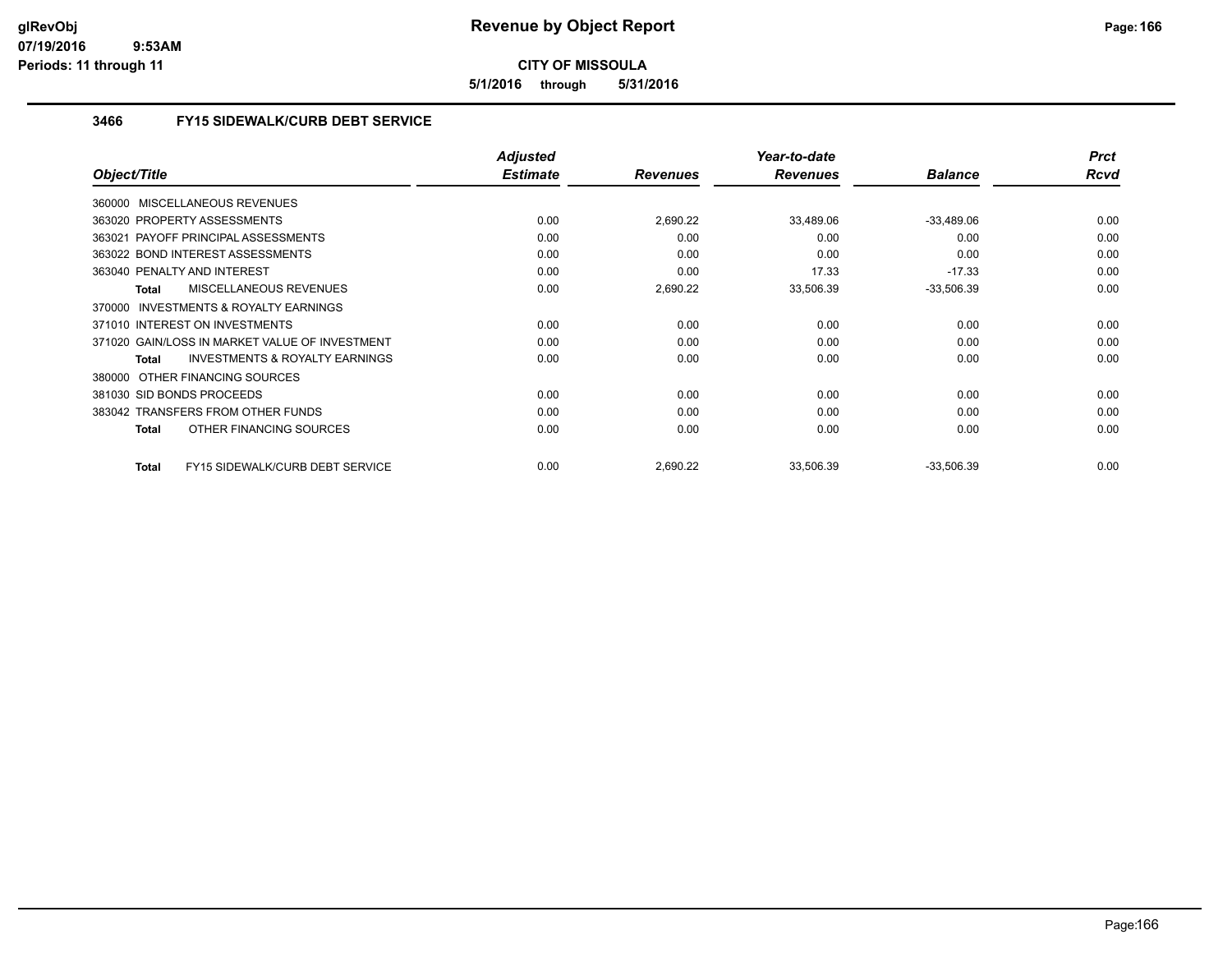**5/1/2016 through 5/31/2016**

## **3466 FY15 SIDEWALK/CURB DEBT SERVICE**

|                                                    | <b>Adjusted</b> |                 | Year-to-date    |                | <b>Prct</b> |
|----------------------------------------------------|-----------------|-----------------|-----------------|----------------|-------------|
| Object/Title                                       | <b>Estimate</b> | <b>Revenues</b> | <b>Revenues</b> | <b>Balance</b> | Rcvd        |
| 360000 MISCELLANEOUS REVENUES                      |                 |                 |                 |                |             |
| 363020 PROPERTY ASSESSMENTS                        | 0.00            | 2,690.22        | 33,489.06       | $-33,489.06$   | 0.00        |
| PAYOFF PRINCIPAL ASSESSMENTS<br>363021             | 0.00            | 0.00            | 0.00            | 0.00           | 0.00        |
| 363022 BOND INTEREST ASSESSMENTS                   | 0.00            | 0.00            | 0.00            | 0.00           | 0.00        |
| 363040 PENALTY AND INTEREST                        | 0.00            | 0.00            | 17.33           | $-17.33$       | 0.00        |
| <b>MISCELLANEOUS REVENUES</b><br><b>Total</b>      | 0.00            | 2,690.22        | 33,506.39       | $-33,506.39$   | 0.00        |
| INVESTMENTS & ROYALTY EARNINGS<br>370000           |                 |                 |                 |                |             |
| 371010 INTEREST ON INVESTMENTS                     | 0.00            | 0.00            | 0.00            | 0.00           | 0.00        |
| 371020 GAIN/LOSS IN MARKET VALUE OF INVESTMENT     | 0.00            | 0.00            | 0.00            | 0.00           | 0.00        |
| <b>INVESTMENTS &amp; ROYALTY EARNINGS</b><br>Total | 0.00            | 0.00            | 0.00            | 0.00           | 0.00        |
| OTHER FINANCING SOURCES<br>380000                  |                 |                 |                 |                |             |
| 381030 SID BONDS PROCEEDS                          | 0.00            | 0.00            | 0.00            | 0.00           | 0.00        |
| 383042 TRANSFERS FROM OTHER FUNDS                  | 0.00            | 0.00            | 0.00            | 0.00           | 0.00        |
| OTHER FINANCING SOURCES<br><b>Total</b>            | 0.00            | 0.00            | 0.00            | 0.00           | 0.00        |
| FY15 SIDEWALK/CURB DEBT SERVICE<br><b>Total</b>    | 0.00            | 2,690.22        | 33,506.39       | $-33,506.39$   | 0.00        |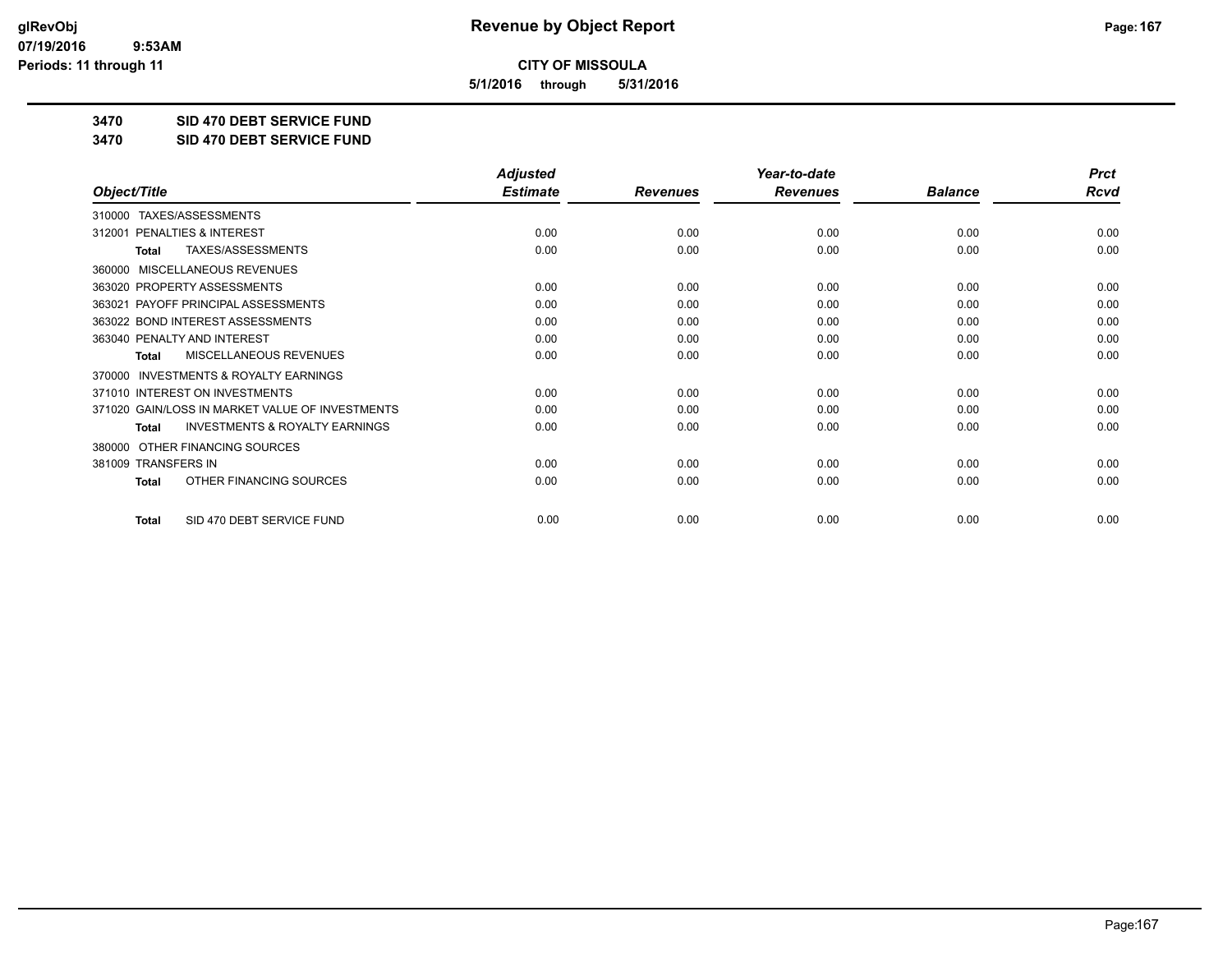**5/1/2016 through 5/31/2016**

**3470 SID 470 DEBT SERVICE FUND**

**3470 SID 470 DEBT SERVICE FUND**

|                                                           | <b>Adjusted</b> |                 | Year-to-date    |                | <b>Prct</b> |
|-----------------------------------------------------------|-----------------|-----------------|-----------------|----------------|-------------|
| Object/Title                                              | <b>Estimate</b> | <b>Revenues</b> | <b>Revenues</b> | <b>Balance</b> | <b>Rcvd</b> |
| TAXES/ASSESSMENTS<br>310000                               |                 |                 |                 |                |             |
| PENALTIES & INTEREST<br>312001                            | 0.00            | 0.00            | 0.00            | 0.00           | 0.00        |
| TAXES/ASSESSMENTS<br>Total                                | 0.00            | 0.00            | 0.00            | 0.00           | 0.00        |
| MISCELLANEOUS REVENUES<br>360000                          |                 |                 |                 |                |             |
| 363020 PROPERTY ASSESSMENTS                               | 0.00            | 0.00            | 0.00            | 0.00           | 0.00        |
| PAYOFF PRINCIPAL ASSESSMENTS<br>363021                    | 0.00            | 0.00            | 0.00            | 0.00           | 0.00        |
| 363022 BOND INTEREST ASSESSMENTS                          | 0.00            | 0.00            | 0.00            | 0.00           | 0.00        |
| 363040 PENALTY AND INTEREST                               | 0.00            | 0.00            | 0.00            | 0.00           | 0.00        |
| MISCELLANEOUS REVENUES<br>Total                           | 0.00            | 0.00            | 0.00            | 0.00           | 0.00        |
| <b>INVESTMENTS &amp; ROYALTY EARNINGS</b><br>370000       |                 |                 |                 |                |             |
| 371010 INTEREST ON INVESTMENTS                            | 0.00            | 0.00            | 0.00            | 0.00           | 0.00        |
| 371020 GAIN/LOSS IN MARKET VALUE OF INVESTMENTS           | 0.00            | 0.00            | 0.00            | 0.00           | 0.00        |
| <b>INVESTMENTS &amp; ROYALTY EARNINGS</b><br><b>Total</b> | 0.00            | 0.00            | 0.00            | 0.00           | 0.00        |
| OTHER FINANCING SOURCES<br>380000                         |                 |                 |                 |                |             |
| 381009 TRANSFERS IN                                       | 0.00            | 0.00            | 0.00            | 0.00           | 0.00        |
| OTHER FINANCING SOURCES<br><b>Total</b>                   | 0.00            | 0.00            | 0.00            | 0.00           | 0.00        |
| SID 470 DEBT SERVICE FUND<br><b>Total</b>                 | 0.00            | 0.00            | 0.00            | 0.00           | 0.00        |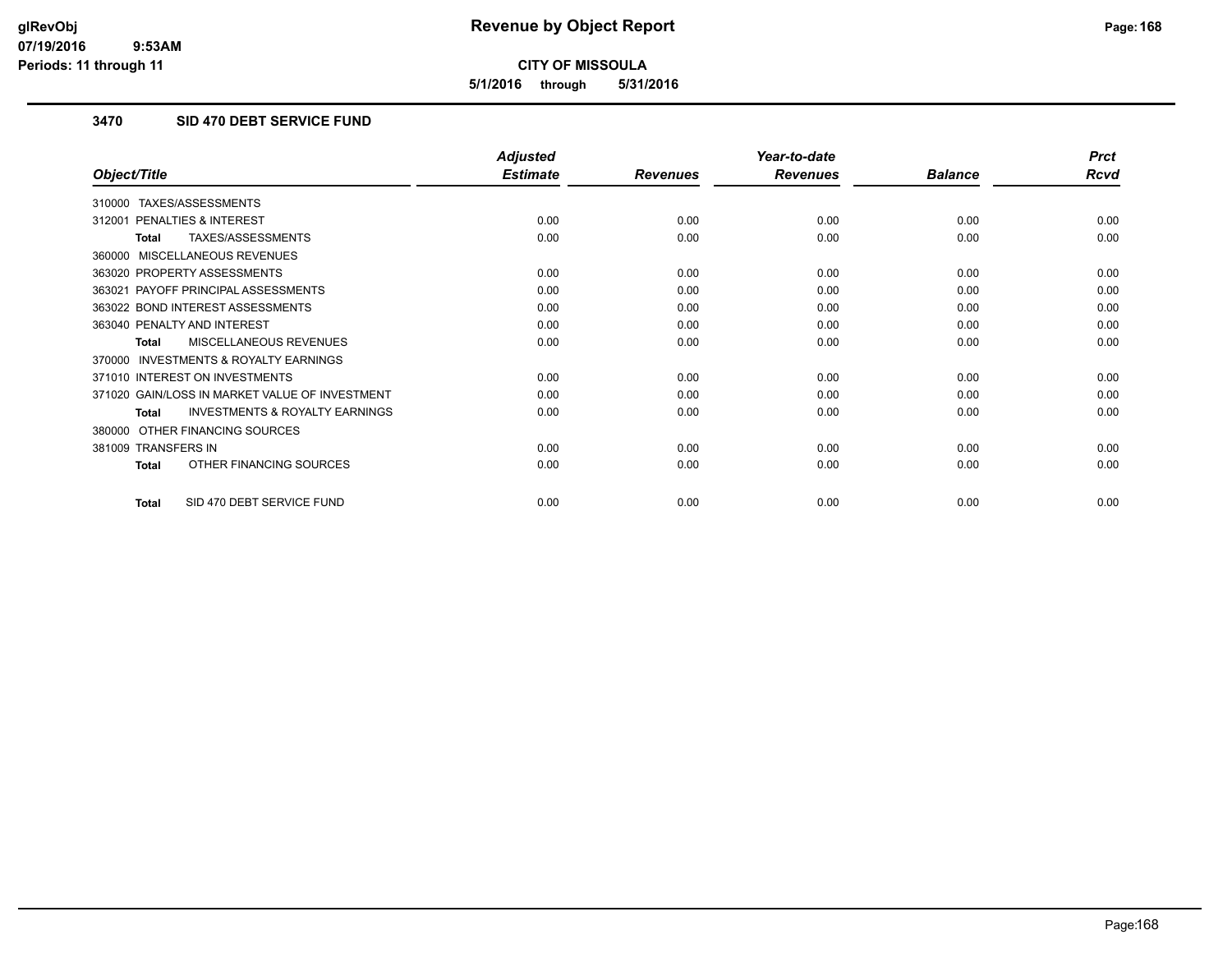**5/1/2016 through 5/31/2016**

## **3470 SID 470 DEBT SERVICE FUND**

|                                                           | <b>Adjusted</b> |                 | Year-to-date    |                | <b>Prct</b> |
|-----------------------------------------------------------|-----------------|-----------------|-----------------|----------------|-------------|
| Object/Title                                              | <b>Estimate</b> | <b>Revenues</b> | <b>Revenues</b> | <b>Balance</b> | <b>Rcvd</b> |
| TAXES/ASSESSMENTS<br>310000                               |                 |                 |                 |                |             |
| 312001 PENALTIES & INTEREST                               | 0.00            | 0.00            | 0.00            | 0.00           | 0.00        |
| TAXES/ASSESSMENTS<br><b>Total</b>                         | 0.00            | 0.00            | 0.00            | 0.00           | 0.00        |
| MISCELLANEOUS REVENUES<br>360000                          |                 |                 |                 |                |             |
| 363020 PROPERTY ASSESSMENTS                               | 0.00            | 0.00            | 0.00            | 0.00           | 0.00        |
| 363021 PAYOFF PRINCIPAL ASSESSMENTS                       | 0.00            | 0.00            | 0.00            | 0.00           | 0.00        |
| 363022 BOND INTEREST ASSESSMENTS                          | 0.00            | 0.00            | 0.00            | 0.00           | 0.00        |
| 363040 PENALTY AND INTEREST                               | 0.00            | 0.00            | 0.00            | 0.00           | 0.00        |
| MISCELLANEOUS REVENUES<br><b>Total</b>                    | 0.00            | 0.00            | 0.00            | 0.00           | 0.00        |
| <b>INVESTMENTS &amp; ROYALTY EARNINGS</b><br>370000       |                 |                 |                 |                |             |
| 371010 INTEREST ON INVESTMENTS                            | 0.00            | 0.00            | 0.00            | 0.00           | 0.00        |
| 371020 GAIN/LOSS IN MARKET VALUE OF INVESTMENT            | 0.00            | 0.00            | 0.00            | 0.00           | 0.00        |
| <b>INVESTMENTS &amp; ROYALTY EARNINGS</b><br><b>Total</b> | 0.00            | 0.00            | 0.00            | 0.00           | 0.00        |
| OTHER FINANCING SOURCES<br>380000                         |                 |                 |                 |                |             |
| 381009 TRANSFERS IN                                       | 0.00            | 0.00            | 0.00            | 0.00           | 0.00        |
| OTHER FINANCING SOURCES<br><b>Total</b>                   | 0.00            | 0.00            | 0.00            | 0.00           | 0.00        |
| SID 470 DEBT SERVICE FUND<br>Total                        | 0.00            | 0.00            | 0.00            | 0.00           | 0.00        |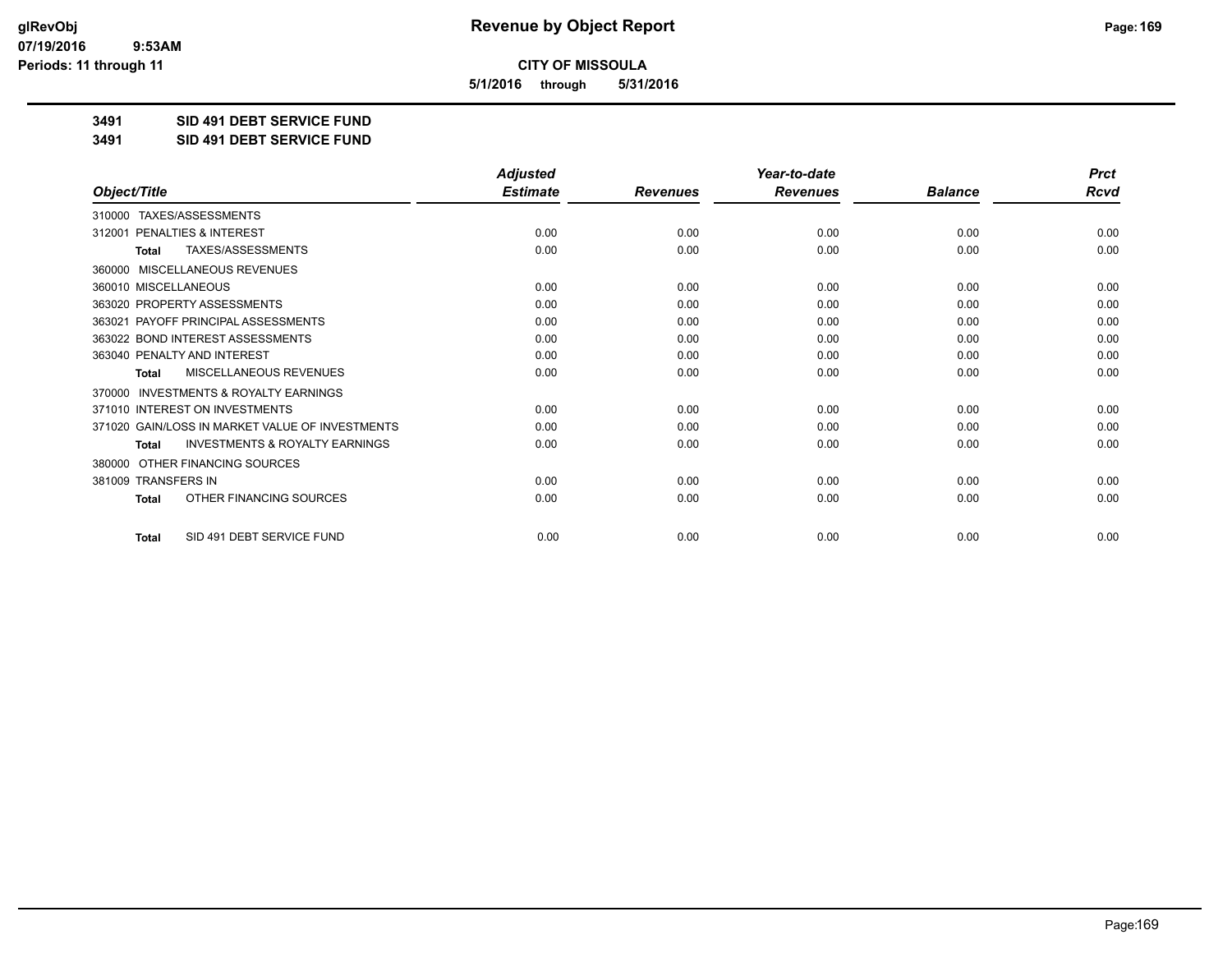**5/1/2016 through 5/31/2016**

**3491 SID 491 DEBT SERVICE FUND**

**3491 SID 491 DEBT SERVICE FUND**

|                                                           | <b>Adjusted</b> |                 | Year-to-date    |                | <b>Prct</b> |
|-----------------------------------------------------------|-----------------|-----------------|-----------------|----------------|-------------|
| Object/Title                                              | <b>Estimate</b> | <b>Revenues</b> | <b>Revenues</b> | <b>Balance</b> | <b>Rcvd</b> |
| TAXES/ASSESSMENTS<br>310000                               |                 |                 |                 |                |             |
| 312001 PENALTIES & INTEREST                               | 0.00            | 0.00            | 0.00            | 0.00           | 0.00        |
| TAXES/ASSESSMENTS<br><b>Total</b>                         | 0.00            | 0.00            | 0.00            | 0.00           | 0.00        |
| MISCELLANEOUS REVENUES<br>360000                          |                 |                 |                 |                |             |
| 360010 MISCELLANEOUS                                      | 0.00            | 0.00            | 0.00            | 0.00           | 0.00        |
| 363020 PROPERTY ASSESSMENTS                               | 0.00            | 0.00            | 0.00            | 0.00           | 0.00        |
| 363021 PAYOFF PRINCIPAL ASSESSMENTS                       | 0.00            | 0.00            | 0.00            | 0.00           | 0.00        |
| 363022 BOND INTEREST ASSESSMENTS                          | 0.00            | 0.00            | 0.00            | 0.00           | 0.00        |
| 363040 PENALTY AND INTEREST                               | 0.00            | 0.00            | 0.00            | 0.00           | 0.00        |
| MISCELLANEOUS REVENUES<br><b>Total</b>                    | 0.00            | 0.00            | 0.00            | 0.00           | 0.00        |
| <b>INVESTMENTS &amp; ROYALTY EARNINGS</b><br>370000       |                 |                 |                 |                |             |
| 371010 INTEREST ON INVESTMENTS                            | 0.00            | 0.00            | 0.00            | 0.00           | 0.00        |
| 371020 GAIN/LOSS IN MARKET VALUE OF INVESTMENTS           | 0.00            | 0.00            | 0.00            | 0.00           | 0.00        |
| <b>INVESTMENTS &amp; ROYALTY EARNINGS</b><br><b>Total</b> | 0.00            | 0.00            | 0.00            | 0.00           | 0.00        |
| OTHER FINANCING SOURCES<br>380000                         |                 |                 |                 |                |             |
| 381009 TRANSFERS IN                                       | 0.00            | 0.00            | 0.00            | 0.00           | 0.00        |
| OTHER FINANCING SOURCES<br>Total                          | 0.00            | 0.00            | 0.00            | 0.00           | 0.00        |
| SID 491 DEBT SERVICE FUND<br><b>Total</b>                 | 0.00            | 0.00            | 0.00            | 0.00           | 0.00        |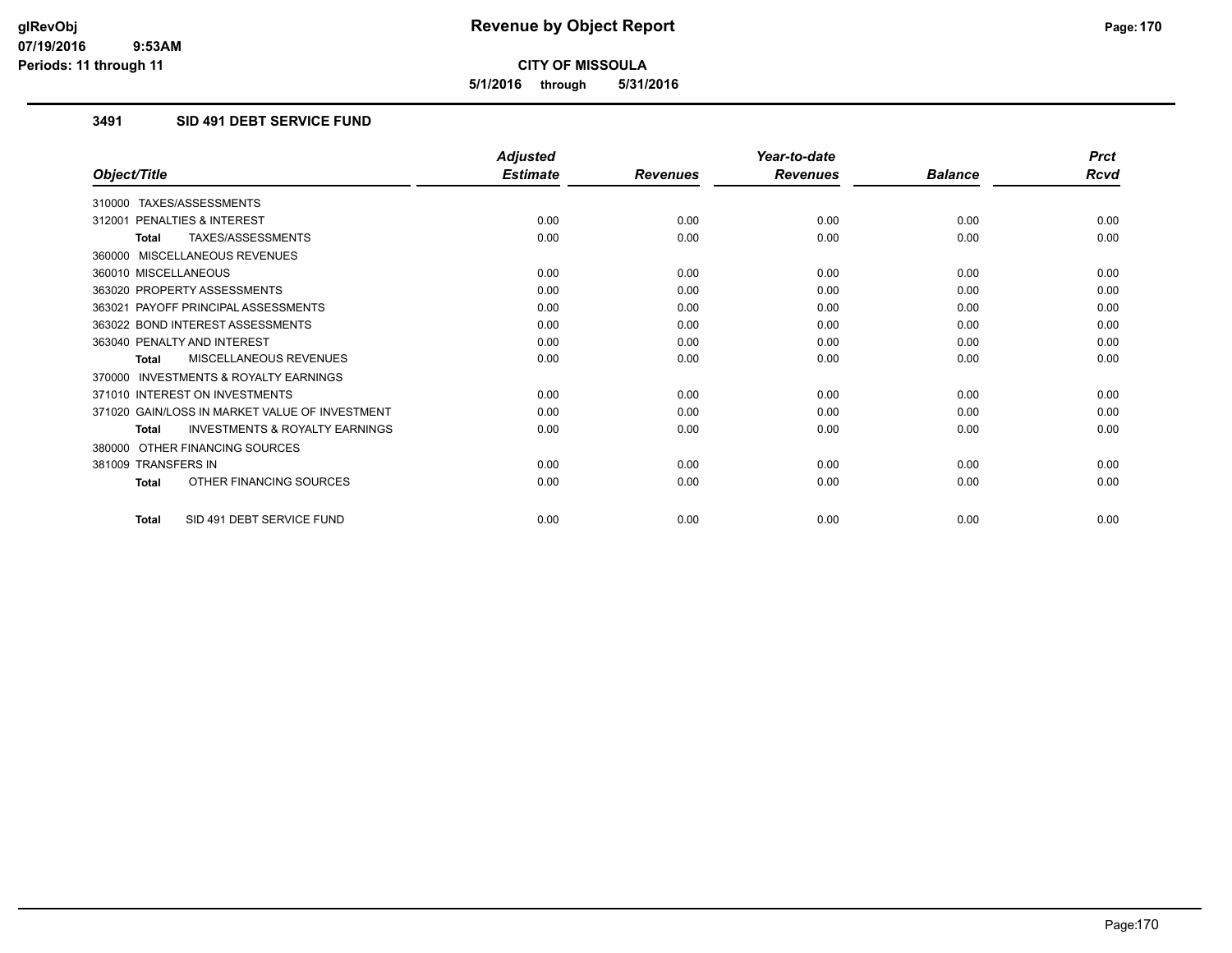**5/1/2016 through 5/31/2016**

## **3491 SID 491 DEBT SERVICE FUND**

|                                                           | <b>Adjusted</b> |                 | Year-to-date    |                | <b>Prct</b> |
|-----------------------------------------------------------|-----------------|-----------------|-----------------|----------------|-------------|
| Object/Title                                              | <b>Estimate</b> | <b>Revenues</b> | <b>Revenues</b> | <b>Balance</b> | <b>Rcvd</b> |
| 310000 TAXES/ASSESSMENTS                                  |                 |                 |                 |                |             |
| PENALTIES & INTEREST<br>312001                            | 0.00            | 0.00            | 0.00            | 0.00           | 0.00        |
| TAXES/ASSESSMENTS<br><b>Total</b>                         | 0.00            | 0.00            | 0.00            | 0.00           | 0.00        |
| 360000 MISCELLANEOUS REVENUES                             |                 |                 |                 |                |             |
| 360010 MISCELLANEOUS                                      | 0.00            | 0.00            | 0.00            | 0.00           | 0.00        |
| 363020 PROPERTY ASSESSMENTS                               | 0.00            | 0.00            | 0.00            | 0.00           | 0.00        |
| 363021 PAYOFF PRINCIPAL ASSESSMENTS                       | 0.00            | 0.00            | 0.00            | 0.00           | 0.00        |
| 363022 BOND INTEREST ASSESSMENTS                          | 0.00            | 0.00            | 0.00            | 0.00           | 0.00        |
| 363040 PENALTY AND INTEREST                               | 0.00            | 0.00            | 0.00            | 0.00           | 0.00        |
| MISCELLANEOUS REVENUES<br><b>Total</b>                    | 0.00            | 0.00            | 0.00            | 0.00           | 0.00        |
| <b>INVESTMENTS &amp; ROYALTY EARNINGS</b><br>370000       |                 |                 |                 |                |             |
| 371010 INTEREST ON INVESTMENTS                            | 0.00            | 0.00            | 0.00            | 0.00           | 0.00        |
| 371020 GAIN/LOSS IN MARKET VALUE OF INVESTMENT            | 0.00            | 0.00            | 0.00            | 0.00           | 0.00        |
| <b>INVESTMENTS &amp; ROYALTY EARNINGS</b><br><b>Total</b> | 0.00            | 0.00            | 0.00            | 0.00           | 0.00        |
| OTHER FINANCING SOURCES<br>380000                         |                 |                 |                 |                |             |
| 381009 TRANSFERS IN                                       | 0.00            | 0.00            | 0.00            | 0.00           | 0.00        |
| OTHER FINANCING SOURCES<br><b>Total</b>                   | 0.00            | 0.00            | 0.00            | 0.00           | 0.00        |
| SID 491 DEBT SERVICE FUND<br><b>Total</b>                 | 0.00            | 0.00            | 0.00            | 0.00           | 0.00        |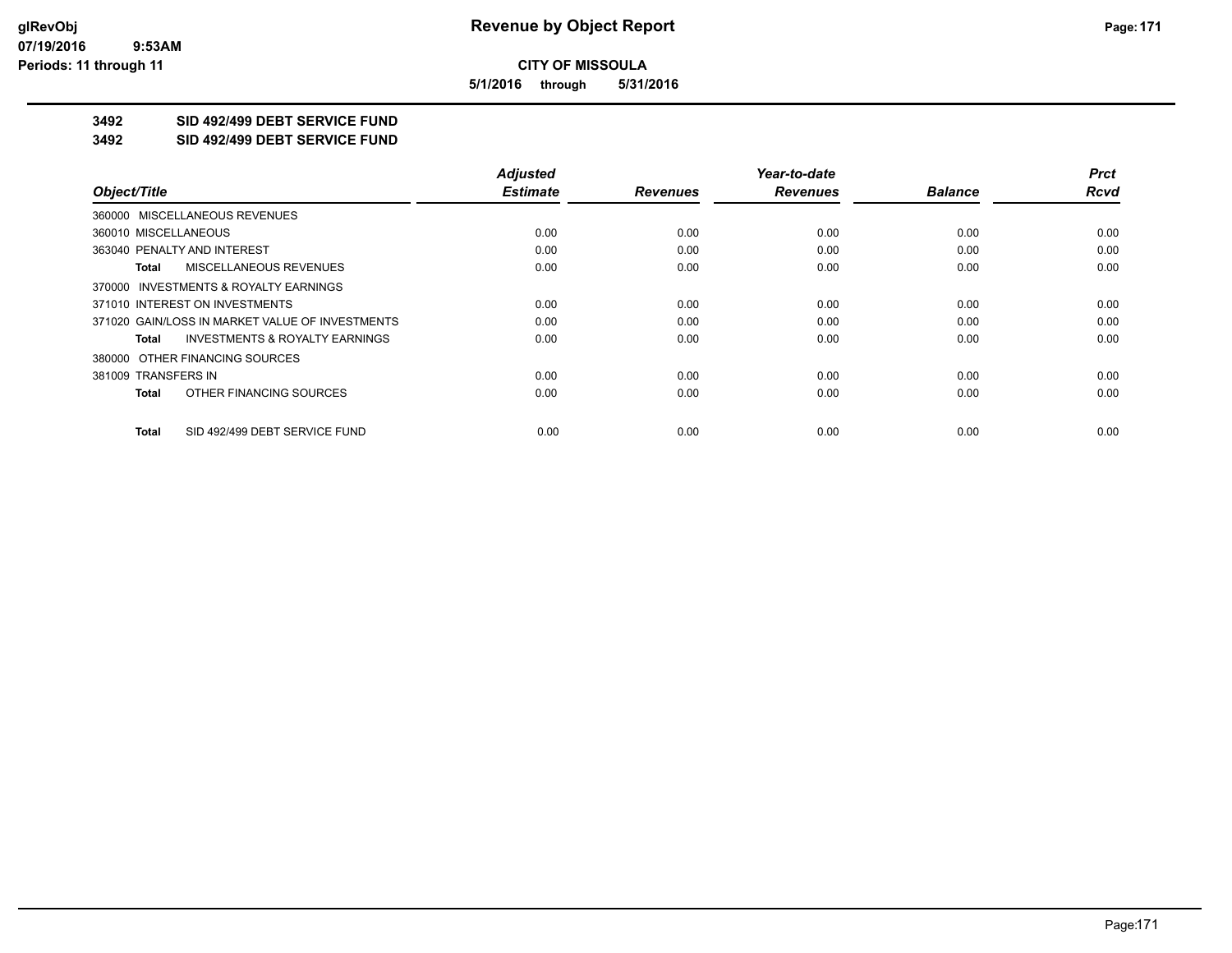**5/1/2016 through 5/31/2016**

## **3492 SID 492/499 DEBT SERVICE FUND**

**3492 SID 492/499 DEBT SERVICE FUND**

|                                                    | <b>Adjusted</b> |                 | Year-to-date    |                | <b>Prct</b> |
|----------------------------------------------------|-----------------|-----------------|-----------------|----------------|-------------|
| Object/Title                                       | <b>Estimate</b> | <b>Revenues</b> | <b>Revenues</b> | <b>Balance</b> | <b>Rcvd</b> |
| 360000 MISCELLANEOUS REVENUES                      |                 |                 |                 |                |             |
| 360010 MISCELLANEOUS                               | 0.00            | 0.00            | 0.00            | 0.00           | 0.00        |
| 363040 PENALTY AND INTEREST                        | 0.00            | 0.00            | 0.00            | 0.00           | 0.00        |
| MISCELLANEOUS REVENUES<br>Total                    | 0.00            | 0.00            | 0.00            | 0.00           | 0.00        |
| 370000 INVESTMENTS & ROYALTY EARNINGS              |                 |                 |                 |                |             |
| 371010 INTEREST ON INVESTMENTS                     | 0.00            | 0.00            | 0.00            | 0.00           | 0.00        |
| 371020 GAIN/LOSS IN MARKET VALUE OF INVESTMENTS    | 0.00            | 0.00            | 0.00            | 0.00           | 0.00        |
| <b>INVESTMENTS &amp; ROYALTY EARNINGS</b><br>Total | 0.00            | 0.00            | 0.00            | 0.00           | 0.00        |
| 380000 OTHER FINANCING SOURCES                     |                 |                 |                 |                |             |
| 381009 TRANSFERS IN                                | 0.00            | 0.00            | 0.00            | 0.00           | 0.00        |
| OTHER FINANCING SOURCES<br>Total                   | 0.00            | 0.00            | 0.00            | 0.00           | 0.00        |
| SID 492/499 DEBT SERVICE FUND<br>Total             | 0.00            | 0.00            | 0.00            | 0.00           | 0.00        |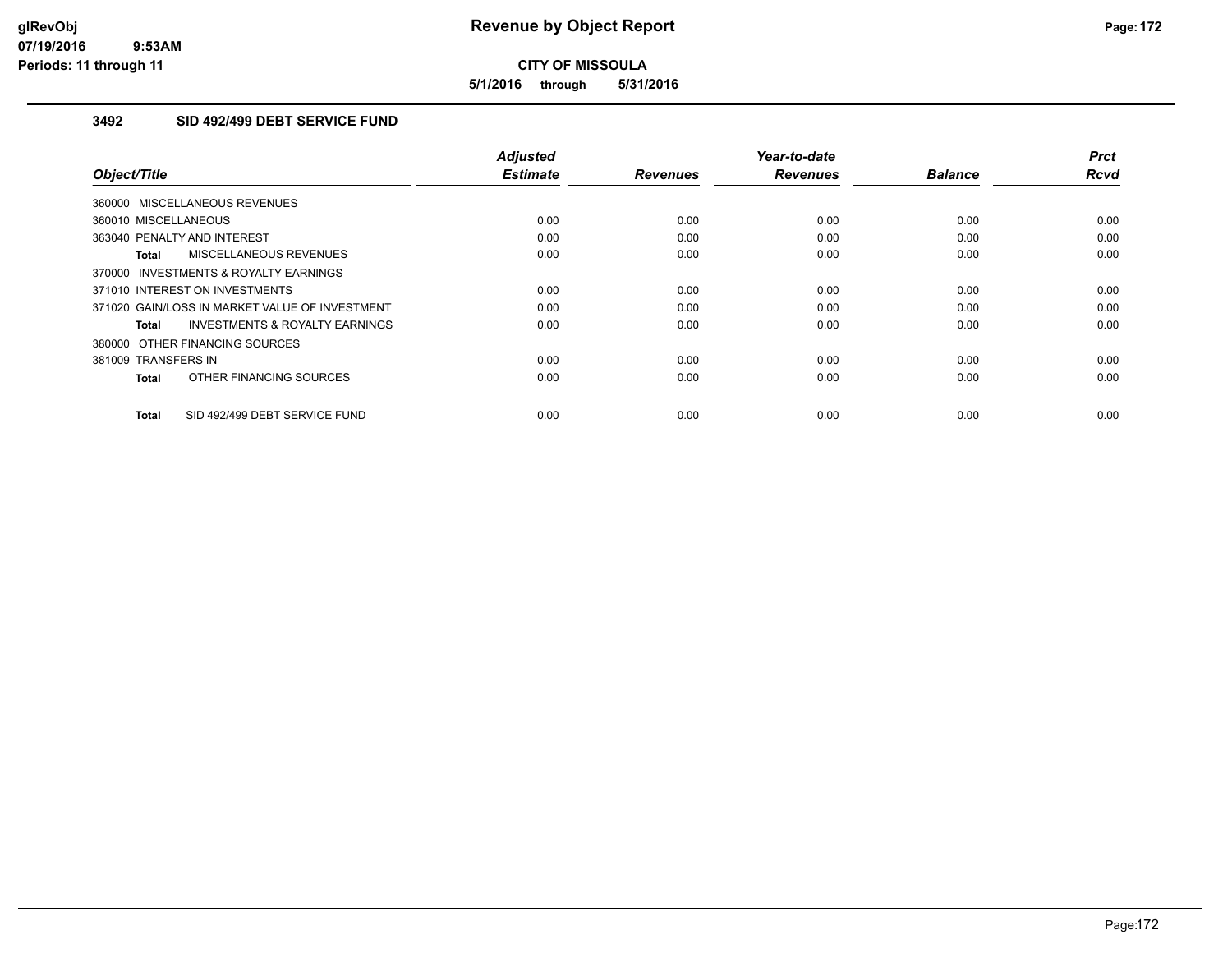**5/1/2016 through 5/31/2016**

## **3492 SID 492/499 DEBT SERVICE FUND**

| Object/Title                                       | <b>Adjusted</b><br><b>Estimate</b> | <b>Revenues</b> | Year-to-date<br><b>Revenues</b> | <b>Balance</b> | <b>Prct</b><br><b>Rcvd</b> |
|----------------------------------------------------|------------------------------------|-----------------|---------------------------------|----------------|----------------------------|
| 360000 MISCELLANEOUS REVENUES                      |                                    |                 |                                 |                |                            |
| 360010 MISCELLANEOUS                               | 0.00                               | 0.00            | 0.00                            | 0.00           | 0.00                       |
| 363040 PENALTY AND INTEREST                        | 0.00                               | 0.00            | 0.00                            | 0.00           | 0.00                       |
| MISCELLANEOUS REVENUES<br>Total                    | 0.00                               | 0.00            | 0.00                            | 0.00           | 0.00                       |
| 370000 INVESTMENTS & ROYALTY EARNINGS              |                                    |                 |                                 |                |                            |
| 371010 INTEREST ON INVESTMENTS                     | 0.00                               | 0.00            | 0.00                            | 0.00           | 0.00                       |
| 371020 GAIN/LOSS IN MARKET VALUE OF INVESTMENT     | 0.00                               | 0.00            | 0.00                            | 0.00           | 0.00                       |
| <b>INVESTMENTS &amp; ROYALTY EARNINGS</b><br>Total | 0.00                               | 0.00            | 0.00                            | 0.00           | 0.00                       |
| 380000 OTHER FINANCING SOURCES                     |                                    |                 |                                 |                |                            |
| 381009 TRANSFERS IN                                | 0.00                               | 0.00            | 0.00                            | 0.00           | 0.00                       |
| OTHER FINANCING SOURCES<br><b>Total</b>            | 0.00                               | 0.00            | 0.00                            | 0.00           | 0.00                       |
| SID 492/499 DEBT SERVICE FUND<br><b>Total</b>      | 0.00                               | 0.00            | 0.00                            | 0.00           | 0.00                       |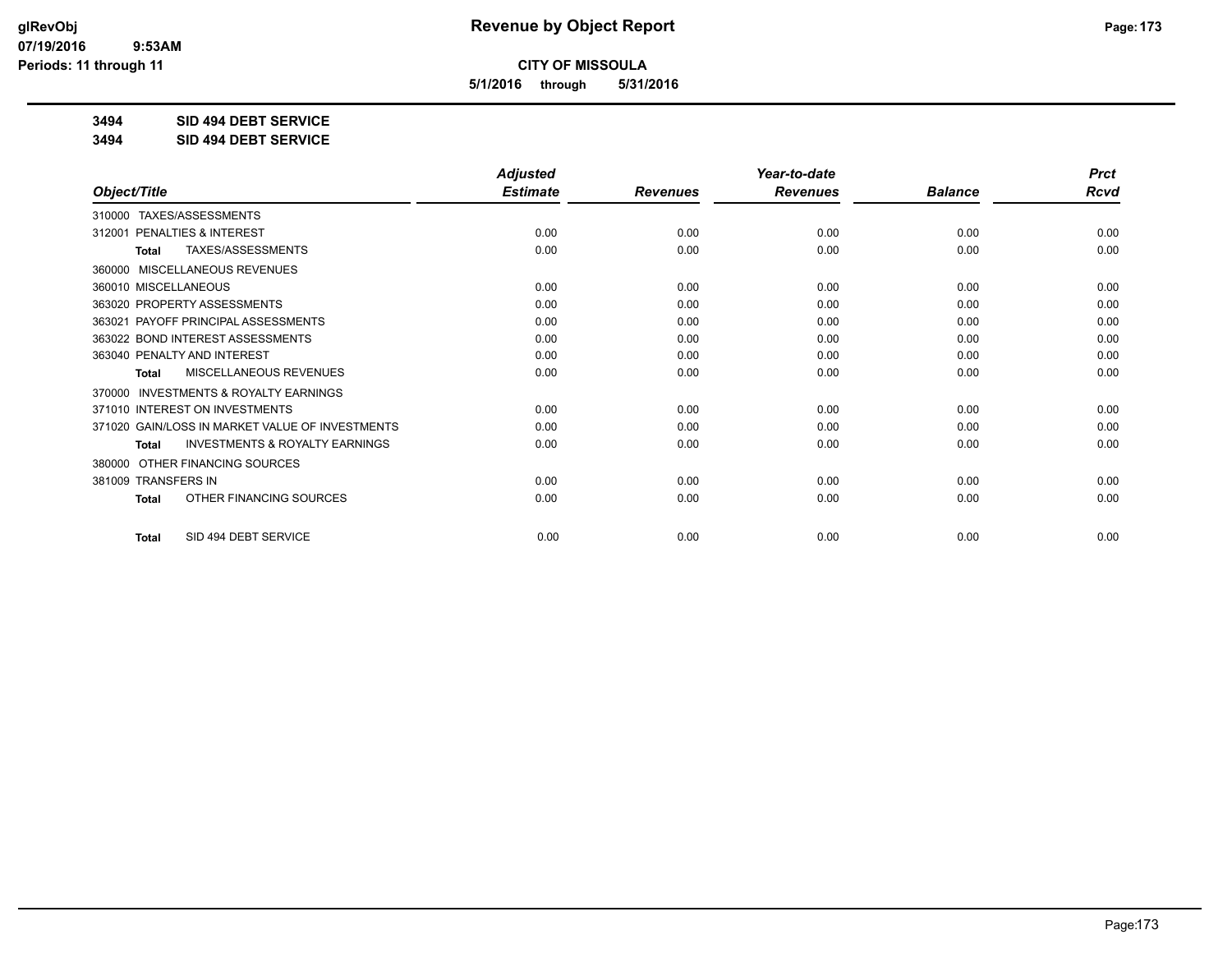**5/1/2016 through 5/31/2016**

**3494 SID 494 DEBT SERVICE**

**3494 SID 494 DEBT SERVICE**

|                                                     | <b>Adjusted</b> |                 | Year-to-date    |                | <b>Prct</b> |
|-----------------------------------------------------|-----------------|-----------------|-----------------|----------------|-------------|
| Object/Title                                        | <b>Estimate</b> | <b>Revenues</b> | <b>Revenues</b> | <b>Balance</b> | <b>Rcvd</b> |
| TAXES/ASSESSMENTS<br>310000                         |                 |                 |                 |                |             |
| PENALTIES & INTEREST<br>312001                      | 0.00            | 0.00            | 0.00            | 0.00           | 0.00        |
| TAXES/ASSESSMENTS<br><b>Total</b>                   | 0.00            | 0.00            | 0.00            | 0.00           | 0.00        |
| MISCELLANEOUS REVENUES<br>360000                    |                 |                 |                 |                |             |
| 360010 MISCELLANEOUS                                | 0.00            | 0.00            | 0.00            | 0.00           | 0.00        |
| 363020 PROPERTY ASSESSMENTS                         | 0.00            | 0.00            | 0.00            | 0.00           | 0.00        |
| 363021 PAYOFF PRINCIPAL ASSESSMENTS                 | 0.00            | 0.00            | 0.00            | 0.00           | 0.00        |
| 363022 BOND INTEREST ASSESSMENTS                    | 0.00            | 0.00            | 0.00            | 0.00           | 0.00        |
| 363040 PENALTY AND INTEREST                         | 0.00            | 0.00            | 0.00            | 0.00           | 0.00        |
| MISCELLANEOUS REVENUES<br>Total                     | 0.00            | 0.00            | 0.00            | 0.00           | 0.00        |
| <b>INVESTMENTS &amp; ROYALTY EARNINGS</b><br>370000 |                 |                 |                 |                |             |
| 371010 INTEREST ON INVESTMENTS                      | 0.00            | 0.00            | 0.00            | 0.00           | 0.00        |
| 371020 GAIN/LOSS IN MARKET VALUE OF INVESTMENTS     | 0.00            | 0.00            | 0.00            | 0.00           | 0.00        |
| <b>INVESTMENTS &amp; ROYALTY EARNINGS</b><br>Total  | 0.00            | 0.00            | 0.00            | 0.00           | 0.00        |
| OTHER FINANCING SOURCES<br>380000                   |                 |                 |                 |                |             |
| 381009 TRANSFERS IN                                 | 0.00            | 0.00            | 0.00            | 0.00           | 0.00        |
| OTHER FINANCING SOURCES<br><b>Total</b>             | 0.00            | 0.00            | 0.00            | 0.00           | 0.00        |
| SID 494 DEBT SERVICE<br><b>Total</b>                | 0.00            | 0.00            | 0.00            | 0.00           | 0.00        |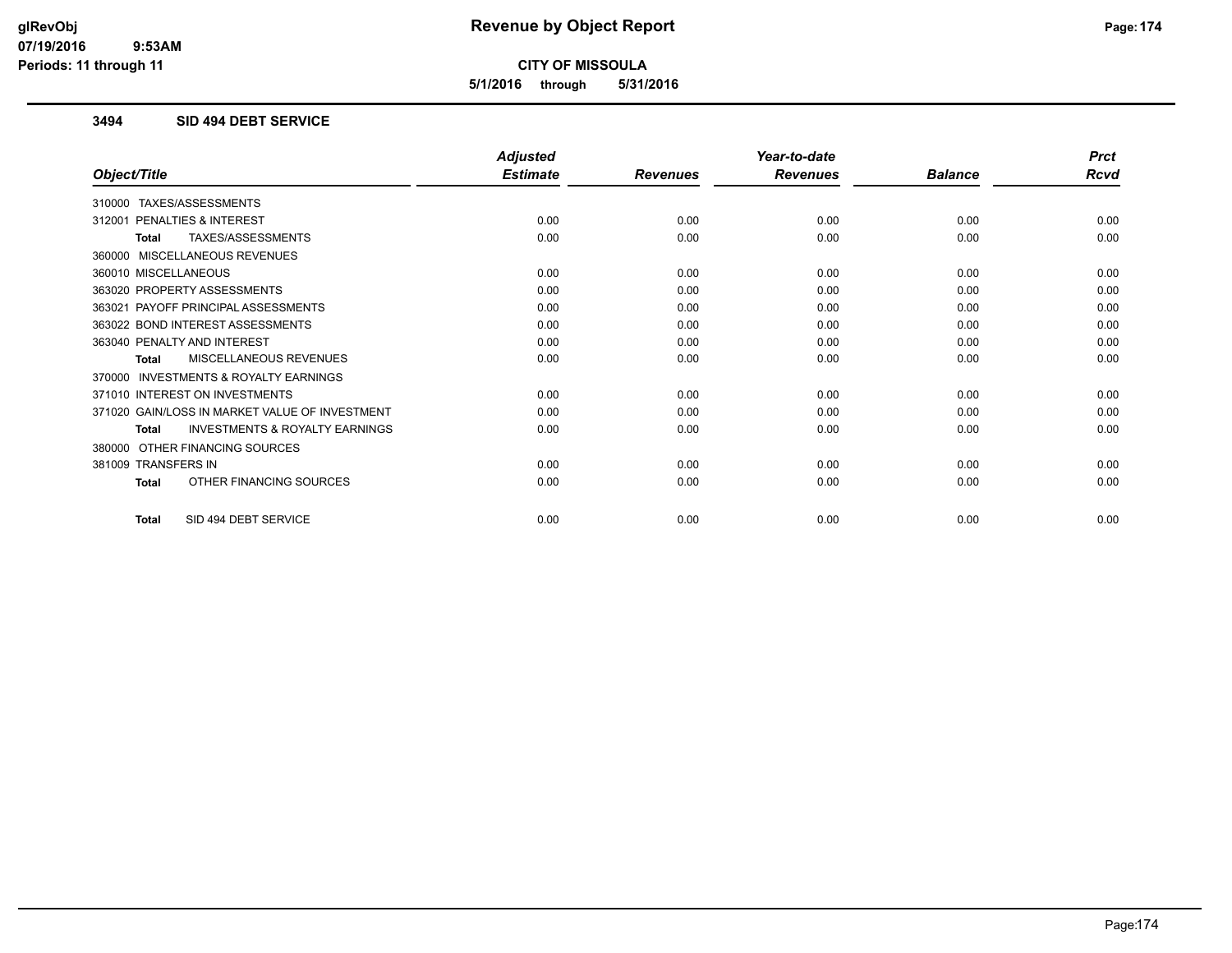**5/1/2016 through 5/31/2016**

### **3494 SID 494 DEBT SERVICE**

|                                                           | <b>Adjusted</b> |                 | Year-to-date    |                | <b>Prct</b> |
|-----------------------------------------------------------|-----------------|-----------------|-----------------|----------------|-------------|
| Object/Title                                              | <b>Estimate</b> | <b>Revenues</b> | <b>Revenues</b> | <b>Balance</b> | <b>Rcvd</b> |
| 310000 TAXES/ASSESSMENTS                                  |                 |                 |                 |                |             |
| 312001 PENALTIES & INTEREST                               | 0.00            | 0.00            | 0.00            | 0.00           | 0.00        |
| TAXES/ASSESSMENTS<br><b>Total</b>                         | 0.00            | 0.00            | 0.00            | 0.00           | 0.00        |
| MISCELLANEOUS REVENUES<br>360000                          |                 |                 |                 |                |             |
| 360010 MISCELLANEOUS                                      | 0.00            | 0.00            | 0.00            | 0.00           | 0.00        |
| 363020 PROPERTY ASSESSMENTS                               | 0.00            | 0.00            | 0.00            | 0.00           | 0.00        |
| 363021 PAYOFF PRINCIPAL ASSESSMENTS                       | 0.00            | 0.00            | 0.00            | 0.00           | 0.00        |
| 363022 BOND INTEREST ASSESSMENTS                          | 0.00            | 0.00            | 0.00            | 0.00           | 0.00        |
| 363040 PENALTY AND INTEREST                               | 0.00            | 0.00            | 0.00            | 0.00           | 0.00        |
| MISCELLANEOUS REVENUES<br><b>Total</b>                    | 0.00            | 0.00            | 0.00            | 0.00           | 0.00        |
| <b>INVESTMENTS &amp; ROYALTY EARNINGS</b><br>370000       |                 |                 |                 |                |             |
| 371010 INTEREST ON INVESTMENTS                            | 0.00            | 0.00            | 0.00            | 0.00           | 0.00        |
| 371020 GAIN/LOSS IN MARKET VALUE OF INVESTMENT            | 0.00            | 0.00            | 0.00            | 0.00           | 0.00        |
| <b>INVESTMENTS &amp; ROYALTY EARNINGS</b><br><b>Total</b> | 0.00            | 0.00            | 0.00            | 0.00           | 0.00        |
| OTHER FINANCING SOURCES<br>380000                         |                 |                 |                 |                |             |
| 381009 TRANSFERS IN                                       | 0.00            | 0.00            | 0.00            | 0.00           | 0.00        |
| OTHER FINANCING SOURCES<br><b>Total</b>                   | 0.00            | 0.00            | 0.00            | 0.00           | 0.00        |
| SID 494 DEBT SERVICE<br><b>Total</b>                      | 0.00            | 0.00            | 0.00            | 0.00           | 0.00        |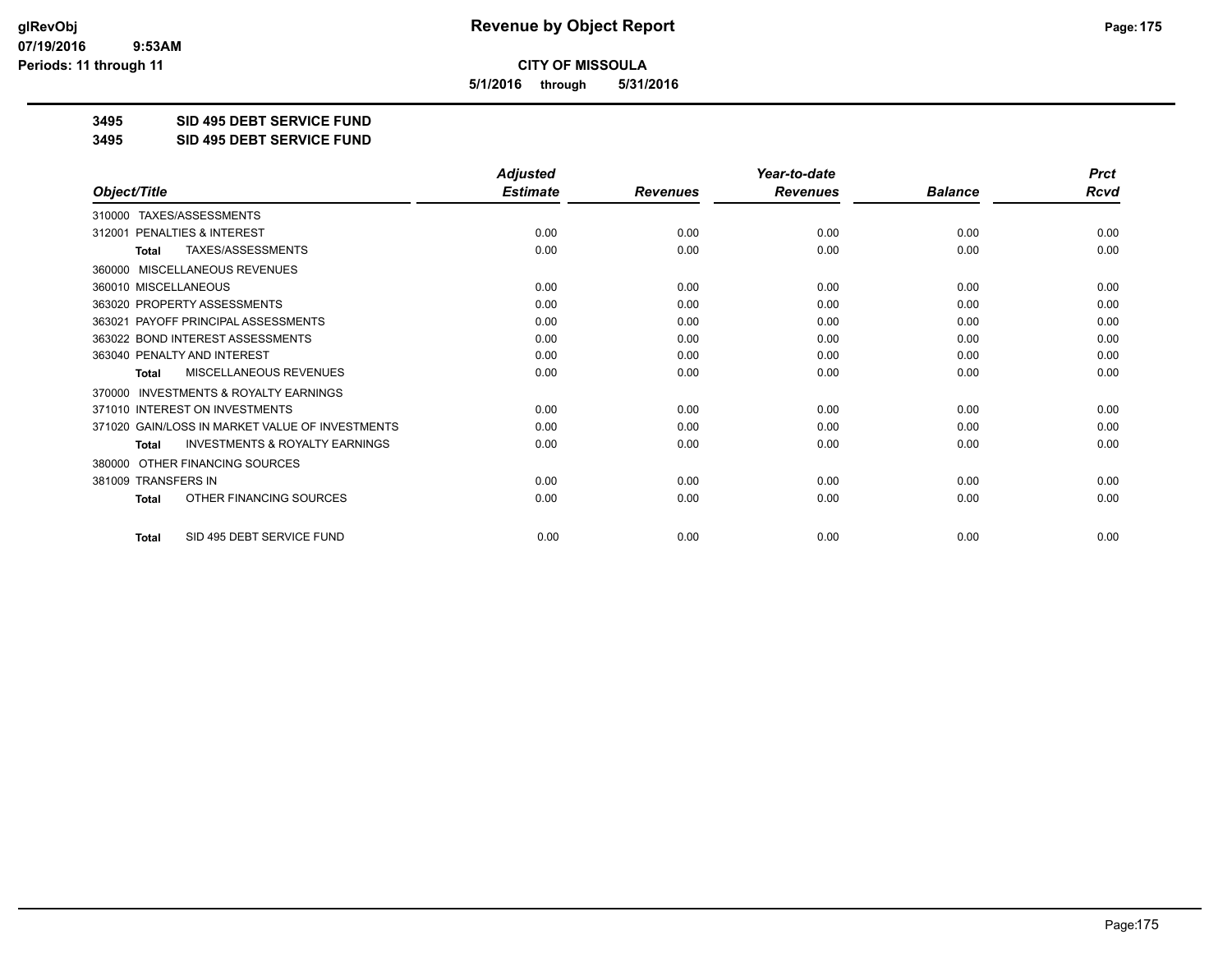**5/1/2016 through 5/31/2016**

**3495 SID 495 DEBT SERVICE FUND**

**3495 SID 495 DEBT SERVICE FUND**

|                                                           | <b>Adjusted</b> |                 | Year-to-date    |                |             |
|-----------------------------------------------------------|-----------------|-----------------|-----------------|----------------|-------------|
| Object/Title                                              | <b>Estimate</b> | <b>Revenues</b> | <b>Revenues</b> | <b>Balance</b> | <b>Rcvd</b> |
| 310000 TAXES/ASSESSMENTS                                  |                 |                 |                 |                |             |
| PENALTIES & INTEREST<br>312001                            | 0.00            | 0.00            | 0.00            | 0.00           | 0.00        |
| <b>TAXES/ASSESSMENTS</b><br><b>Total</b>                  | 0.00            | 0.00            | 0.00            | 0.00           | 0.00        |
| <b>MISCELLANEOUS REVENUES</b><br>360000                   |                 |                 |                 |                |             |
| 360010 MISCELLANEOUS                                      | 0.00            | 0.00            | 0.00            | 0.00           | 0.00        |
| 363020 PROPERTY ASSESSMENTS                               | 0.00            | 0.00            | 0.00            | 0.00           | 0.00        |
| 363021 PAYOFF PRINCIPAL ASSESSMENTS                       | 0.00            | 0.00            | 0.00            | 0.00           | 0.00        |
| 363022 BOND INTEREST ASSESSMENTS                          | 0.00            | 0.00            | 0.00            | 0.00           | 0.00        |
| 363040 PENALTY AND INTEREST                               | 0.00            | 0.00            | 0.00            | 0.00           | 0.00        |
| MISCELLANEOUS REVENUES<br>Total                           | 0.00            | 0.00            | 0.00            | 0.00           | 0.00        |
| <b>INVESTMENTS &amp; ROYALTY EARNINGS</b><br>370000       |                 |                 |                 |                |             |
| 371010 INTEREST ON INVESTMENTS                            | 0.00            | 0.00            | 0.00            | 0.00           | 0.00        |
| 371020 GAIN/LOSS IN MARKET VALUE OF INVESTMENTS           | 0.00            | 0.00            | 0.00            | 0.00           | 0.00        |
| <b>INVESTMENTS &amp; ROYALTY EARNINGS</b><br><b>Total</b> | 0.00            | 0.00            | 0.00            | 0.00           | 0.00        |
| OTHER FINANCING SOURCES<br>380000                         |                 |                 |                 |                |             |
| 381009 TRANSFERS IN                                       | 0.00            | 0.00            | 0.00            | 0.00           | 0.00        |
| OTHER FINANCING SOURCES<br><b>Total</b>                   | 0.00            | 0.00            | 0.00            | 0.00           | 0.00        |
| SID 495 DEBT SERVICE FUND<br><b>Total</b>                 | 0.00            | 0.00            | 0.00            | 0.00           | 0.00        |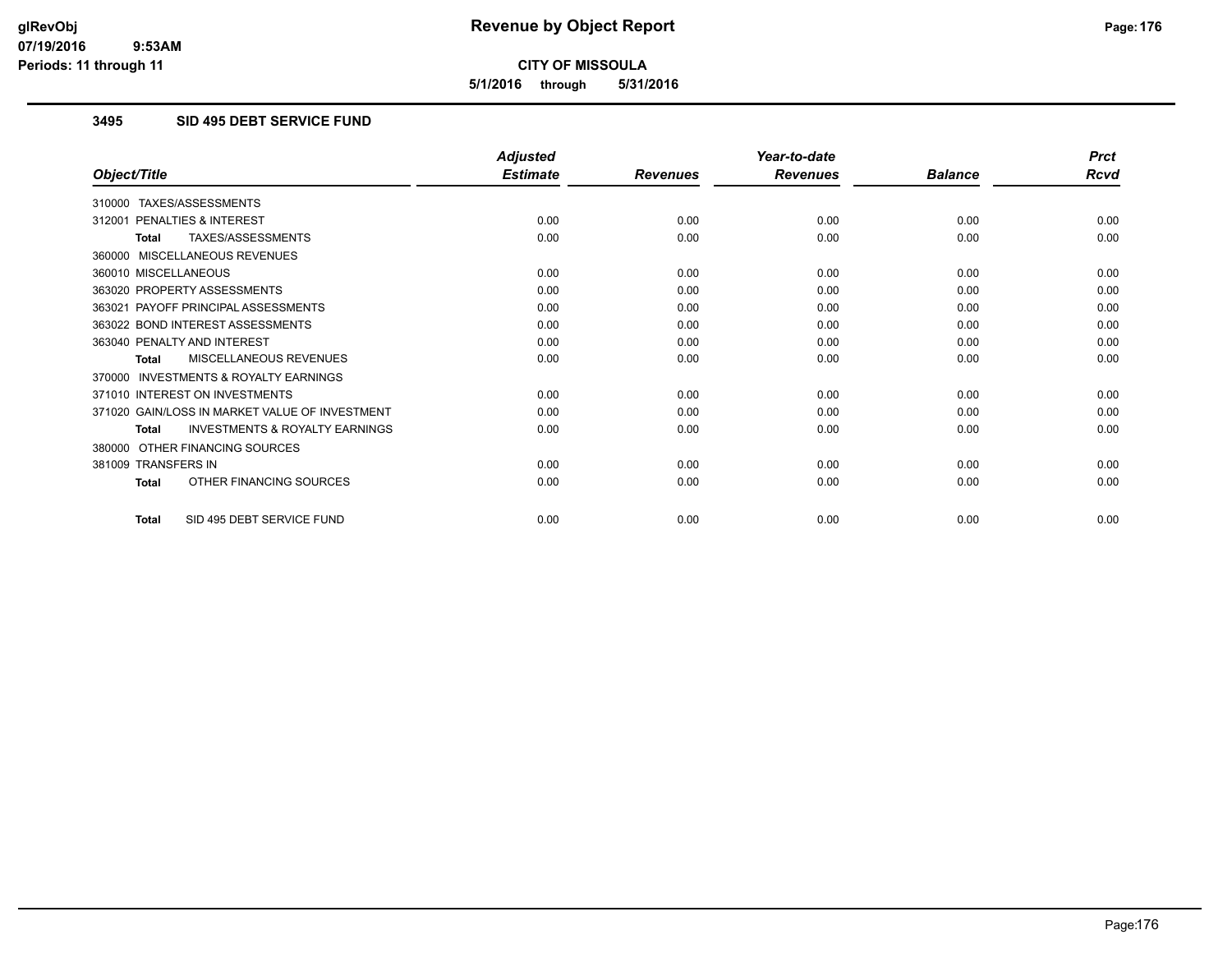**5/1/2016 through 5/31/2016**

## **3495 SID 495 DEBT SERVICE FUND**

|                                                           | <b>Adjusted</b> |                 | Year-to-date    |                | <b>Prct</b> |
|-----------------------------------------------------------|-----------------|-----------------|-----------------|----------------|-------------|
| Object/Title                                              | <b>Estimate</b> | <b>Revenues</b> | <b>Revenues</b> | <b>Balance</b> | <b>Rcvd</b> |
| 310000 TAXES/ASSESSMENTS                                  |                 |                 |                 |                |             |
| 312001 PENALTIES & INTEREST                               | 0.00            | 0.00            | 0.00            | 0.00           | 0.00        |
| TAXES/ASSESSMENTS<br><b>Total</b>                         | 0.00            | 0.00            | 0.00            | 0.00           | 0.00        |
| 360000 MISCELLANEOUS REVENUES                             |                 |                 |                 |                |             |
| 360010 MISCELLANEOUS                                      | 0.00            | 0.00            | 0.00            | 0.00           | 0.00        |
| 363020 PROPERTY ASSESSMENTS                               | 0.00            | 0.00            | 0.00            | 0.00           | 0.00        |
| 363021 PAYOFF PRINCIPAL ASSESSMENTS                       | 0.00            | 0.00            | 0.00            | 0.00           | 0.00        |
| 363022 BOND INTEREST ASSESSMENTS                          | 0.00            | 0.00            | 0.00            | 0.00           | 0.00        |
| 363040 PENALTY AND INTEREST                               | 0.00            | 0.00            | 0.00            | 0.00           | 0.00        |
| MISCELLANEOUS REVENUES<br><b>Total</b>                    | 0.00            | 0.00            | 0.00            | 0.00           | 0.00        |
| <b>INVESTMENTS &amp; ROYALTY EARNINGS</b><br>370000       |                 |                 |                 |                |             |
| 371010 INTEREST ON INVESTMENTS                            | 0.00            | 0.00            | 0.00            | 0.00           | 0.00        |
| 371020 GAIN/LOSS IN MARKET VALUE OF INVESTMENT            | 0.00            | 0.00            | 0.00            | 0.00           | 0.00        |
| <b>INVESTMENTS &amp; ROYALTY EARNINGS</b><br><b>Total</b> | 0.00            | 0.00            | 0.00            | 0.00           | 0.00        |
| OTHER FINANCING SOURCES<br>380000                         |                 |                 |                 |                |             |
| 381009 TRANSFERS IN                                       | 0.00            | 0.00            | 0.00            | 0.00           | 0.00        |
| OTHER FINANCING SOURCES<br><b>Total</b>                   | 0.00            | 0.00            | 0.00            | 0.00           | 0.00        |
| SID 495 DEBT SERVICE FUND<br><b>Total</b>                 | 0.00            | 0.00            | 0.00            | 0.00           | 0.00        |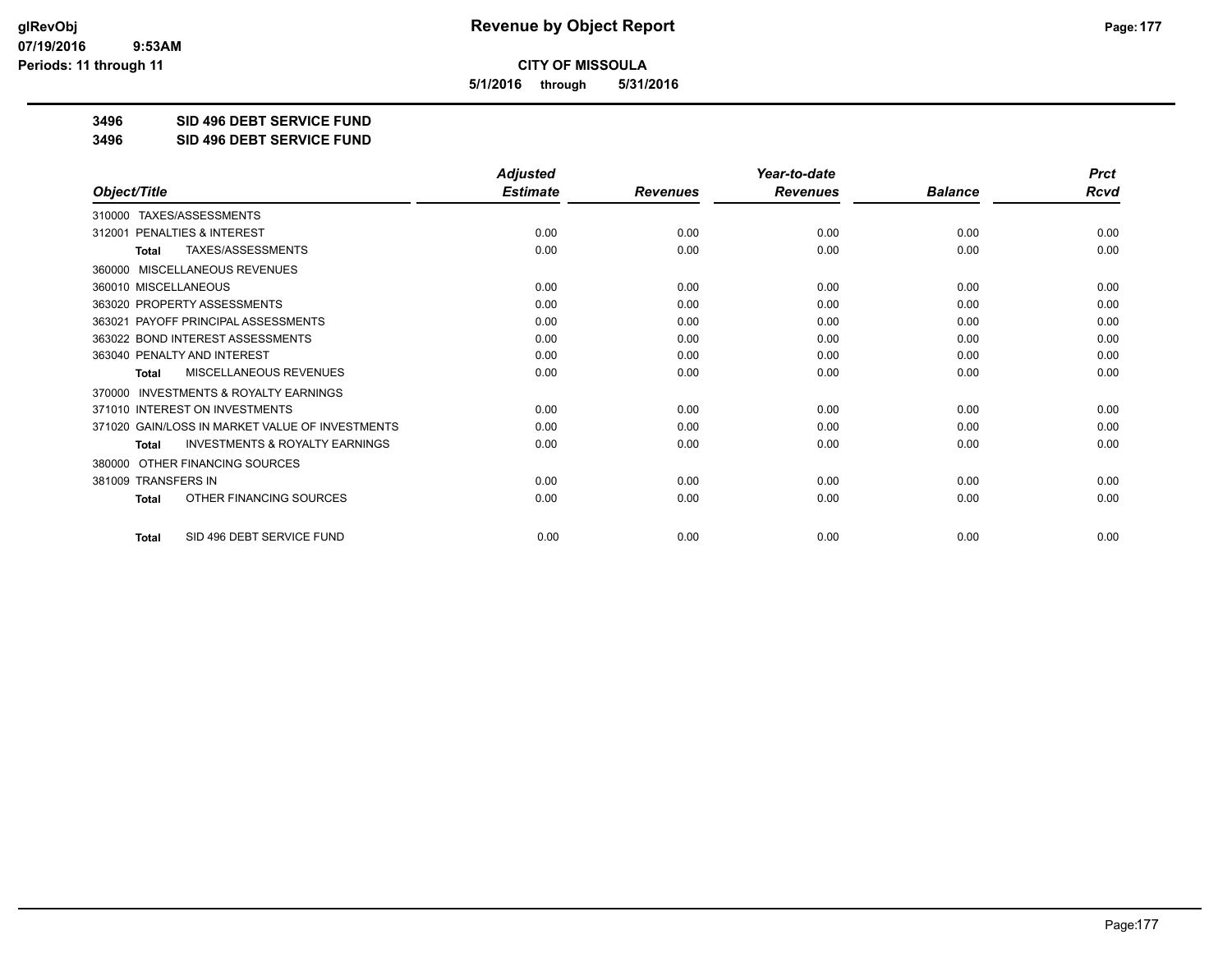**5/1/2016 through 5/31/2016**

**3496 SID 496 DEBT SERVICE FUND**

**3496 SID 496 DEBT SERVICE FUND**

|                                                     | <b>Adjusted</b> |                 | Year-to-date    |                | <b>Prct</b> |
|-----------------------------------------------------|-----------------|-----------------|-----------------|----------------|-------------|
| Object/Title                                        | <b>Estimate</b> | <b>Revenues</b> | <b>Revenues</b> | <b>Balance</b> | <b>Rcvd</b> |
| 310000 TAXES/ASSESSMENTS                            |                 |                 |                 |                |             |
| <b>PENALTIES &amp; INTEREST</b><br>312001           | 0.00            | 0.00            | 0.00            | 0.00           | 0.00        |
| TAXES/ASSESSMENTS<br><b>Total</b>                   | 0.00            | 0.00            | 0.00            | 0.00           | 0.00        |
| MISCELLANEOUS REVENUES<br>360000                    |                 |                 |                 |                |             |
| 360010 MISCELLANEOUS                                | 0.00            | 0.00            | 0.00            | 0.00           | 0.00        |
| 363020 PROPERTY ASSESSMENTS                         | 0.00            | 0.00            | 0.00            | 0.00           | 0.00        |
| 363021 PAYOFF PRINCIPAL ASSESSMENTS                 | 0.00            | 0.00            | 0.00            | 0.00           | 0.00        |
| 363022 BOND INTEREST ASSESSMENTS                    | 0.00            | 0.00            | 0.00            | 0.00           | 0.00        |
| 363040 PENALTY AND INTEREST                         | 0.00            | 0.00            | 0.00            | 0.00           | 0.00        |
| MISCELLANEOUS REVENUES<br><b>Total</b>              | 0.00            | 0.00            | 0.00            | 0.00           | 0.00        |
| <b>INVESTMENTS &amp; ROYALTY EARNINGS</b><br>370000 |                 |                 |                 |                |             |
| 371010 INTEREST ON INVESTMENTS                      | 0.00            | 0.00            | 0.00            | 0.00           | 0.00        |
| 371020 GAIN/LOSS IN MARKET VALUE OF INVESTMENTS     | 0.00            | 0.00            | 0.00            | 0.00           | 0.00        |
| <b>INVESTMENTS &amp; ROYALTY EARNINGS</b><br>Total  | 0.00            | 0.00            | 0.00            | 0.00           | 0.00        |
| OTHER FINANCING SOURCES<br>380000                   |                 |                 |                 |                |             |
| 381009 TRANSFERS IN                                 | 0.00            | 0.00            | 0.00            | 0.00           | 0.00        |
| OTHER FINANCING SOURCES<br>Total                    | 0.00            | 0.00            | 0.00            | 0.00           | 0.00        |
| SID 496 DEBT SERVICE FUND<br><b>Total</b>           | 0.00            | 0.00            | 0.00            | 0.00           | 0.00        |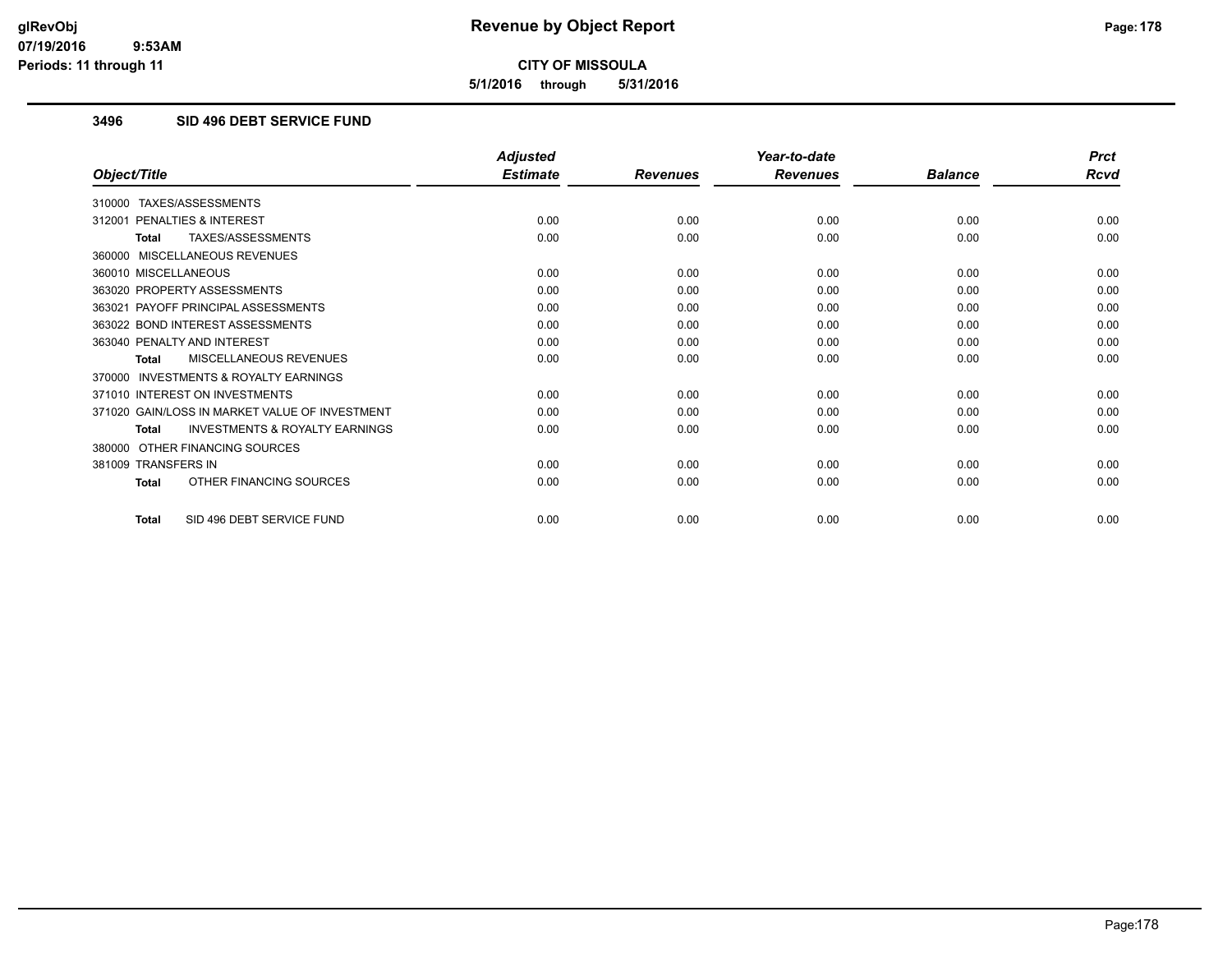**5/1/2016 through 5/31/2016**

## **3496 SID 496 DEBT SERVICE FUND**

|                                                           | <b>Adjusted</b> |                 | Year-to-date    |                | <b>Prct</b> |
|-----------------------------------------------------------|-----------------|-----------------|-----------------|----------------|-------------|
| Object/Title                                              | <b>Estimate</b> | <b>Revenues</b> | <b>Revenues</b> | <b>Balance</b> | <b>Rcvd</b> |
| 310000 TAXES/ASSESSMENTS                                  |                 |                 |                 |                |             |
| PENALTIES & INTEREST<br>312001                            | 0.00            | 0.00            | 0.00            | 0.00           | 0.00        |
| TAXES/ASSESSMENTS<br><b>Total</b>                         | 0.00            | 0.00            | 0.00            | 0.00           | 0.00        |
| 360000 MISCELLANEOUS REVENUES                             |                 |                 |                 |                |             |
| 360010 MISCELLANEOUS                                      | 0.00            | 0.00            | 0.00            | 0.00           | 0.00        |
| 363020 PROPERTY ASSESSMENTS                               | 0.00            | 0.00            | 0.00            | 0.00           | 0.00        |
| 363021 PAYOFF PRINCIPAL ASSESSMENTS                       | 0.00            | 0.00            | 0.00            | 0.00           | 0.00        |
| 363022 BOND INTEREST ASSESSMENTS                          | 0.00            | 0.00            | 0.00            | 0.00           | 0.00        |
| 363040 PENALTY AND INTEREST                               | 0.00            | 0.00            | 0.00            | 0.00           | 0.00        |
| MISCELLANEOUS REVENUES<br><b>Total</b>                    | 0.00            | 0.00            | 0.00            | 0.00           | 0.00        |
| <b>INVESTMENTS &amp; ROYALTY EARNINGS</b><br>370000       |                 |                 |                 |                |             |
| 371010 INTEREST ON INVESTMENTS                            | 0.00            | 0.00            | 0.00            | 0.00           | 0.00        |
| 371020 GAIN/LOSS IN MARKET VALUE OF INVESTMENT            | 0.00            | 0.00            | 0.00            | 0.00           | 0.00        |
| <b>INVESTMENTS &amp; ROYALTY EARNINGS</b><br><b>Total</b> | 0.00            | 0.00            | 0.00            | 0.00           | 0.00        |
| OTHER FINANCING SOURCES<br>380000                         |                 |                 |                 |                |             |
| 381009 TRANSFERS IN                                       | 0.00            | 0.00            | 0.00            | 0.00           | 0.00        |
| OTHER FINANCING SOURCES<br><b>Total</b>                   | 0.00            | 0.00            | 0.00            | 0.00           | 0.00        |
| SID 496 DEBT SERVICE FUND<br><b>Total</b>                 | 0.00            | 0.00            | 0.00            | 0.00           | 0.00        |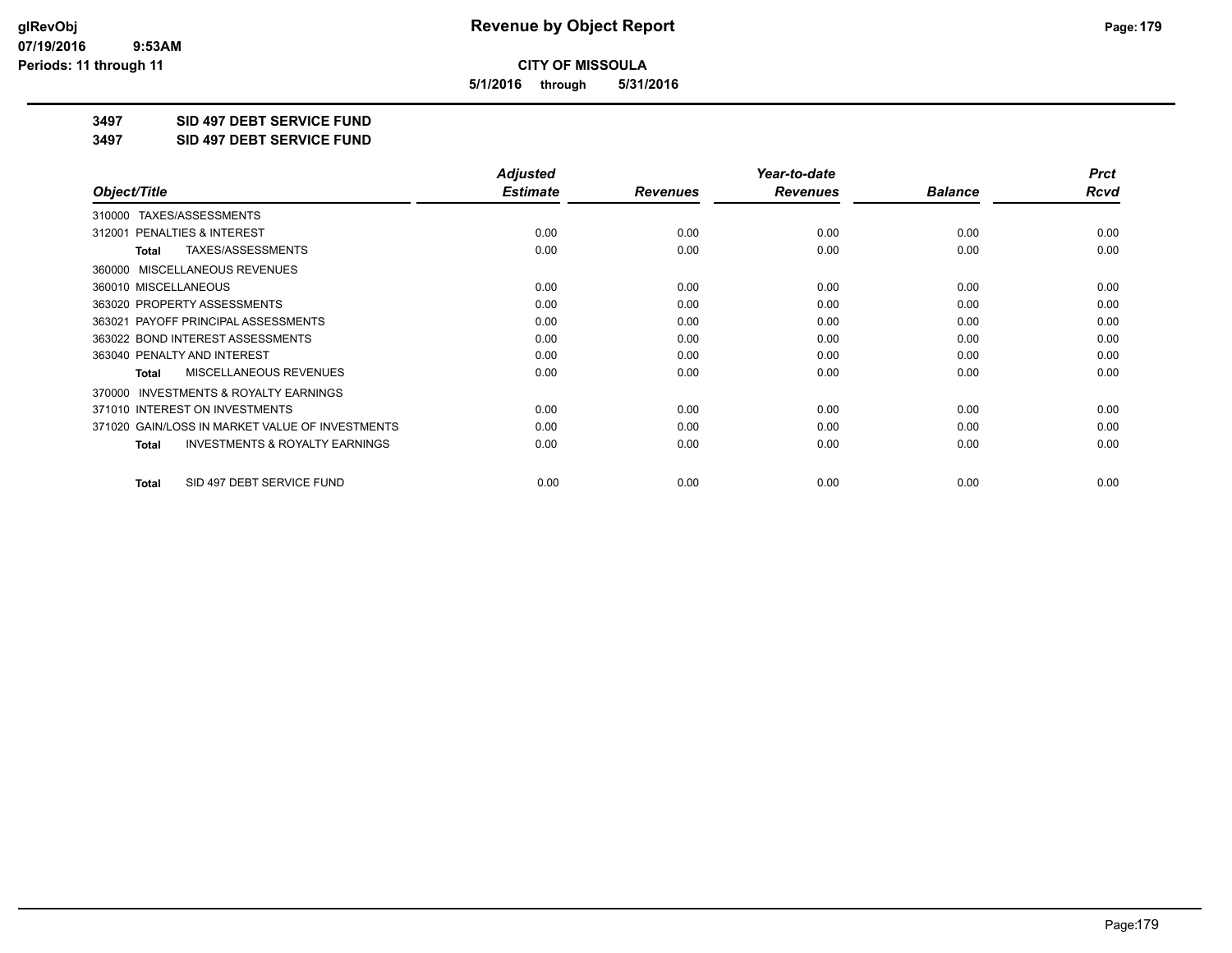**5/1/2016 through 5/31/2016**

**3497 SID 497 DEBT SERVICE FUND**

**3497 SID 497 DEBT SERVICE FUND**

|                                                           | <b>Adjusted</b> |                 | Year-to-date    |                | <b>Prct</b> |
|-----------------------------------------------------------|-----------------|-----------------|-----------------|----------------|-------------|
| Object/Title                                              | <b>Estimate</b> | <b>Revenues</b> | <b>Revenues</b> | <b>Balance</b> | Rcvd        |
| TAXES/ASSESSMENTS<br>310000                               |                 |                 |                 |                |             |
| 312001 PENALTIES & INTEREST                               | 0.00            | 0.00            | 0.00            | 0.00           | 0.00        |
| TAXES/ASSESSMENTS<br><b>Total</b>                         | 0.00            | 0.00            | 0.00            | 0.00           | 0.00        |
| MISCELLANEOUS REVENUES<br>360000                          |                 |                 |                 |                |             |
| 360010 MISCELLANEOUS                                      | 0.00            | 0.00            | 0.00            | 0.00           | 0.00        |
| 363020 PROPERTY ASSESSMENTS                               | 0.00            | 0.00            | 0.00            | 0.00           | 0.00        |
| 363021 PAYOFF PRINCIPAL ASSESSMENTS                       | 0.00            | 0.00            | 0.00            | 0.00           | 0.00        |
| 363022 BOND INTEREST ASSESSMENTS                          | 0.00            | 0.00            | 0.00            | 0.00           | 0.00        |
| 363040 PENALTY AND INTEREST                               | 0.00            | 0.00            | 0.00            | 0.00           | 0.00        |
| MISCELLANEOUS REVENUES<br><b>Total</b>                    | 0.00            | 0.00            | 0.00            | 0.00           | 0.00        |
| <b>INVESTMENTS &amp; ROYALTY EARNINGS</b><br>370000       |                 |                 |                 |                |             |
| 371010 INTEREST ON INVESTMENTS                            | 0.00            | 0.00            | 0.00            | 0.00           | 0.00        |
| 371020 GAIN/LOSS IN MARKET VALUE OF INVESTMENTS           | 0.00            | 0.00            | 0.00            | 0.00           | 0.00        |
| <b>INVESTMENTS &amp; ROYALTY EARNINGS</b><br><b>Total</b> | 0.00            | 0.00            | 0.00            | 0.00           | 0.00        |
| SID 497 DEBT SERVICE FUND<br><b>Total</b>                 | 0.00            | 0.00            | 0.00            | 0.00           | 0.00        |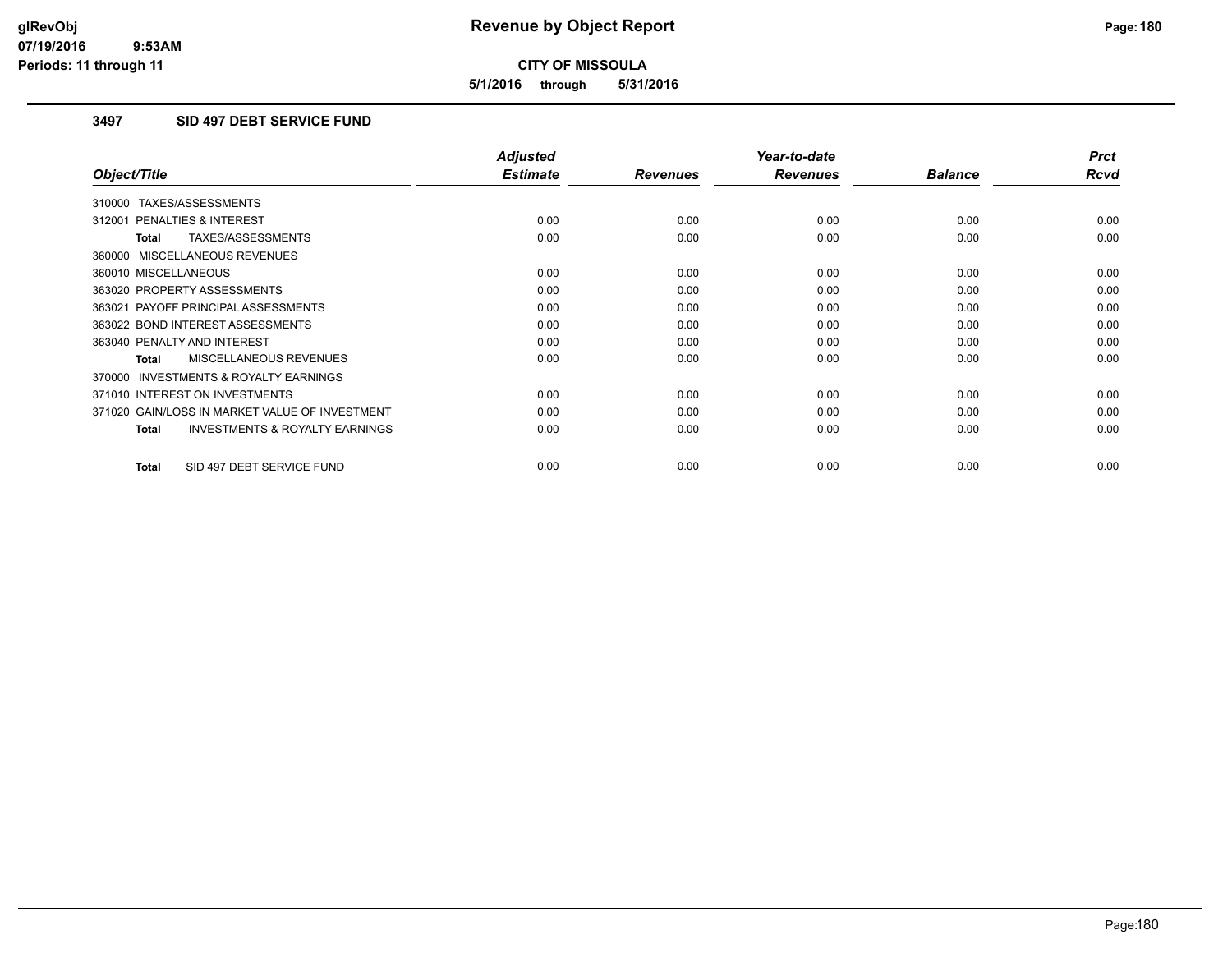**5/1/2016 through 5/31/2016**

## **3497 SID 497 DEBT SERVICE FUND**

|                                                           | <b>Adjusted</b> |                 | Year-to-date    |                | <b>Prct</b> |
|-----------------------------------------------------------|-----------------|-----------------|-----------------|----------------|-------------|
| Object/Title                                              | <b>Estimate</b> | <b>Revenues</b> | <b>Revenues</b> | <b>Balance</b> | <b>Rcvd</b> |
| 310000 TAXES/ASSESSMENTS                                  |                 |                 |                 |                |             |
| 312001 PENALTIES & INTEREST                               | 0.00            | 0.00            | 0.00            | 0.00           | 0.00        |
| TAXES/ASSESSMENTS<br><b>Total</b>                         | 0.00            | 0.00            | 0.00            | 0.00           | 0.00        |
| 360000 MISCELLANEOUS REVENUES                             |                 |                 |                 |                |             |
| 360010 MISCELLANEOUS                                      | 0.00            | 0.00            | 0.00            | 0.00           | 0.00        |
| 363020 PROPERTY ASSESSMENTS                               | 0.00            | 0.00            | 0.00            | 0.00           | 0.00        |
| 363021 PAYOFF PRINCIPAL ASSESSMENTS                       | 0.00            | 0.00            | 0.00            | 0.00           | 0.00        |
| 363022 BOND INTEREST ASSESSMENTS                          | 0.00            | 0.00            | 0.00            | 0.00           | 0.00        |
| 363040 PENALTY AND INTEREST                               | 0.00            | 0.00            | 0.00            | 0.00           | 0.00        |
| MISCELLANEOUS REVENUES<br>Total                           | 0.00            | 0.00            | 0.00            | 0.00           | 0.00        |
| <b>INVESTMENTS &amp; ROYALTY EARNINGS</b><br>370000       |                 |                 |                 |                |             |
| 371010 INTEREST ON INVESTMENTS                            | 0.00            | 0.00            | 0.00            | 0.00           | 0.00        |
| 371020 GAIN/LOSS IN MARKET VALUE OF INVESTMENT            | 0.00            | 0.00            | 0.00            | 0.00           | 0.00        |
| <b>INVESTMENTS &amp; ROYALTY EARNINGS</b><br><b>Total</b> | 0.00            | 0.00            | 0.00            | 0.00           | 0.00        |
|                                                           |                 |                 |                 |                |             |
| SID 497 DEBT SERVICE FUND<br><b>Total</b>                 | 0.00            | 0.00            | 0.00            | 0.00           | 0.00        |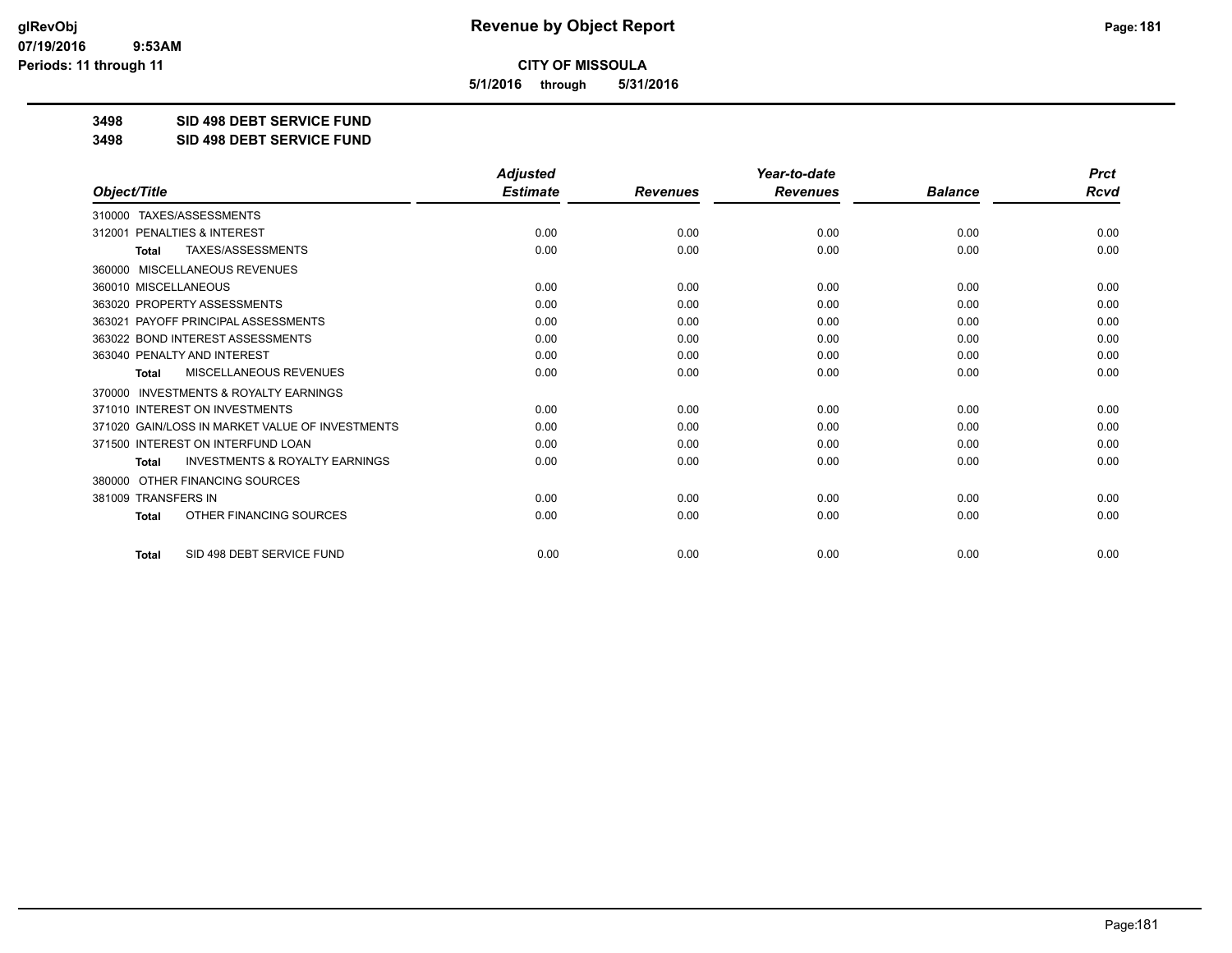**5/1/2016 through 5/31/2016**

**3498 SID 498 DEBT SERVICE FUND**

**3498 SID 498 DEBT SERVICE FUND**

|                                                           | <b>Adjusted</b> |                 | Year-to-date    |                | <b>Prct</b> |
|-----------------------------------------------------------|-----------------|-----------------|-----------------|----------------|-------------|
| Object/Title                                              | <b>Estimate</b> | <b>Revenues</b> | <b>Revenues</b> | <b>Balance</b> | Rcvd        |
| TAXES/ASSESSMENTS<br>310000                               |                 |                 |                 |                |             |
| 312001 PENALTIES & INTEREST                               | 0.00            | 0.00            | 0.00            | 0.00           | 0.00        |
| <b>TAXES/ASSESSMENTS</b><br><b>Total</b>                  | 0.00            | 0.00            | 0.00            | 0.00           | 0.00        |
| MISCELLANEOUS REVENUES<br>360000                          |                 |                 |                 |                |             |
| 360010 MISCELLANEOUS                                      | 0.00            | 0.00            | 0.00            | 0.00           | 0.00        |
| 363020 PROPERTY ASSESSMENTS                               | 0.00            | 0.00            | 0.00            | 0.00           | 0.00        |
| 363021 PAYOFF PRINCIPAL ASSESSMENTS                       | 0.00            | 0.00            | 0.00            | 0.00           | 0.00        |
| 363022 BOND INTEREST ASSESSMENTS                          | 0.00            | 0.00            | 0.00            | 0.00           | 0.00        |
| 363040 PENALTY AND INTEREST                               | 0.00            | 0.00            | 0.00            | 0.00           | 0.00        |
| MISCELLANEOUS REVENUES<br><b>Total</b>                    | 0.00            | 0.00            | 0.00            | 0.00           | 0.00        |
| 370000 INVESTMENTS & ROYALTY EARNINGS                     |                 |                 |                 |                |             |
| 371010 INTEREST ON INVESTMENTS                            | 0.00            | 0.00            | 0.00            | 0.00           | 0.00        |
| 371020 GAIN/LOSS IN MARKET VALUE OF INVESTMENTS           | 0.00            | 0.00            | 0.00            | 0.00           | 0.00        |
| 371500 INTEREST ON INTERFUND LOAN                         | 0.00            | 0.00            | 0.00            | 0.00           | 0.00        |
| <b>INVESTMENTS &amp; ROYALTY EARNINGS</b><br><b>Total</b> | 0.00            | 0.00            | 0.00            | 0.00           | 0.00        |
| OTHER FINANCING SOURCES<br>380000                         |                 |                 |                 |                |             |
| 381009 TRANSFERS IN                                       | 0.00            | 0.00            | 0.00            | 0.00           | 0.00        |
| OTHER FINANCING SOURCES<br><b>Total</b>                   | 0.00            | 0.00            | 0.00            | 0.00           | 0.00        |
| SID 498 DEBT SERVICE FUND<br><b>Total</b>                 | 0.00            | 0.00            | 0.00            | 0.00           | 0.00        |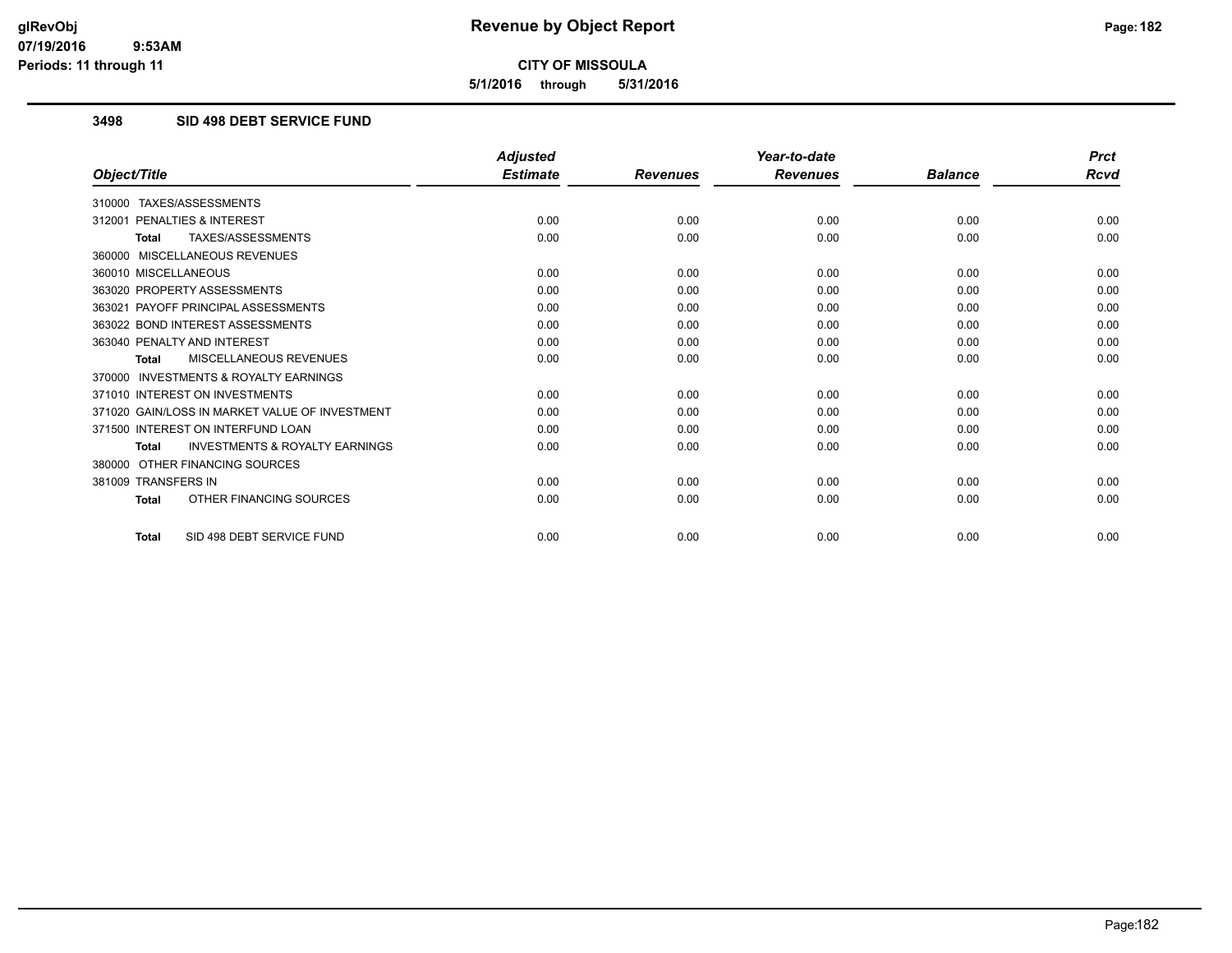**5/1/2016 through 5/31/2016**

## **3498 SID 498 DEBT SERVICE FUND**

|                                                           | <b>Adjusted</b> |                 | Year-to-date    |                | <b>Prct</b> |
|-----------------------------------------------------------|-----------------|-----------------|-----------------|----------------|-------------|
| Object/Title                                              | <b>Estimate</b> | <b>Revenues</b> | <b>Revenues</b> | <b>Balance</b> | Rcvd        |
| TAXES/ASSESSMENTS<br>310000                               |                 |                 |                 |                |             |
| 312001 PENALTIES & INTEREST                               | 0.00            | 0.00            | 0.00            | 0.00           | 0.00        |
| TAXES/ASSESSMENTS<br><b>Total</b>                         | 0.00            | 0.00            | 0.00            | 0.00           | 0.00        |
| 360000 MISCELLANEOUS REVENUES                             |                 |                 |                 |                |             |
| 360010 MISCELLANEOUS                                      | 0.00            | 0.00            | 0.00            | 0.00           | 0.00        |
| 363020 PROPERTY ASSESSMENTS                               | 0.00            | 0.00            | 0.00            | 0.00           | 0.00        |
| 363021 PAYOFF PRINCIPAL ASSESSMENTS                       | 0.00            | 0.00            | 0.00            | 0.00           | 0.00        |
| 363022 BOND INTEREST ASSESSMENTS                          | 0.00            | 0.00            | 0.00            | 0.00           | 0.00        |
| 363040 PENALTY AND INTEREST                               | 0.00            | 0.00            | 0.00            | 0.00           | 0.00        |
| MISCELLANEOUS REVENUES<br><b>Total</b>                    | 0.00            | 0.00            | 0.00            | 0.00           | 0.00        |
| <b>INVESTMENTS &amp; ROYALTY EARNINGS</b><br>370000       |                 |                 |                 |                |             |
| 371010 INTEREST ON INVESTMENTS                            | 0.00            | 0.00            | 0.00            | 0.00           | 0.00        |
| 371020 GAIN/LOSS IN MARKET VALUE OF INVESTMENT            | 0.00            | 0.00            | 0.00            | 0.00           | 0.00        |
| 371500 INTEREST ON INTERFUND LOAN                         | 0.00            | 0.00            | 0.00            | 0.00           | 0.00        |
| <b>INVESTMENTS &amp; ROYALTY EARNINGS</b><br><b>Total</b> | 0.00            | 0.00            | 0.00            | 0.00           | 0.00        |
| OTHER FINANCING SOURCES<br>380000                         |                 |                 |                 |                |             |
| 381009 TRANSFERS IN                                       | 0.00            | 0.00            | 0.00            | 0.00           | 0.00        |
| OTHER FINANCING SOURCES<br>Total                          | 0.00            | 0.00            | 0.00            | 0.00           | 0.00        |
| SID 498 DEBT SERVICE FUND<br>Total                        | 0.00            | 0.00            | 0.00            | 0.00           | 0.00        |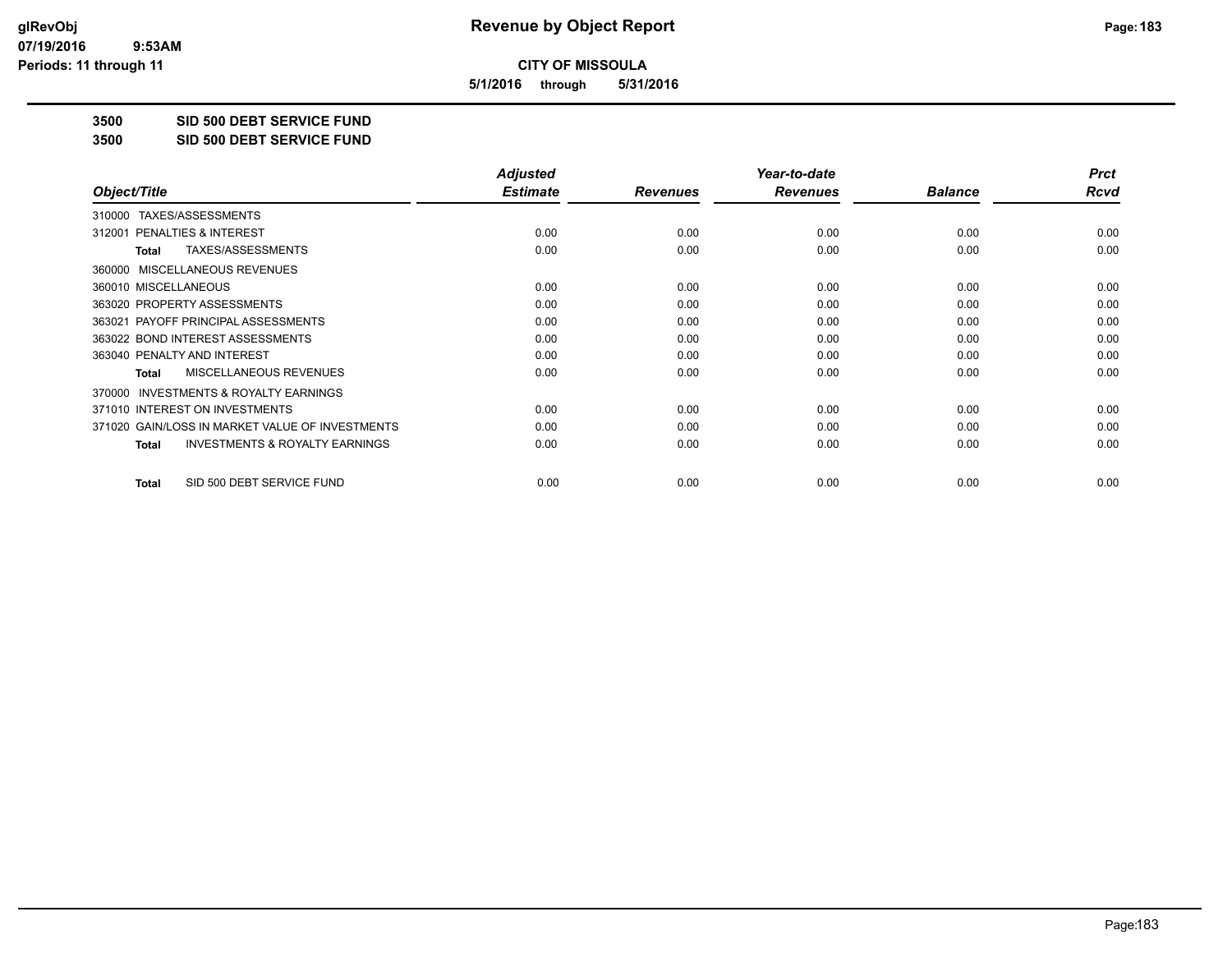**5/1/2016 through 5/31/2016**

**3500 SID 500 DEBT SERVICE FUND**

**3500 SID 500 DEBT SERVICE FUND**

|                                                           | <b>Adjusted</b> |                 | Year-to-date    |                | <b>Prct</b> |
|-----------------------------------------------------------|-----------------|-----------------|-----------------|----------------|-------------|
| Object/Title                                              | <b>Estimate</b> | <b>Revenues</b> | <b>Revenues</b> | <b>Balance</b> | Rcvd        |
| TAXES/ASSESSMENTS<br>310000                               |                 |                 |                 |                |             |
| 312001 PENALTIES & INTEREST                               | 0.00            | 0.00            | 0.00            | 0.00           | 0.00        |
| TAXES/ASSESSMENTS<br>Total                                | 0.00            | 0.00            | 0.00            | 0.00           | 0.00        |
| MISCELLANEOUS REVENUES<br>360000                          |                 |                 |                 |                |             |
| 360010 MISCELLANEOUS                                      | 0.00            | 0.00            | 0.00            | 0.00           | 0.00        |
| 363020 PROPERTY ASSESSMENTS                               | 0.00            | 0.00            | 0.00            | 0.00           | 0.00        |
| 363021 PAYOFF PRINCIPAL ASSESSMENTS                       | 0.00            | 0.00            | 0.00            | 0.00           | 0.00        |
| 363022 BOND INTEREST ASSESSMENTS                          | 0.00            | 0.00            | 0.00            | 0.00           | 0.00        |
| 363040 PENALTY AND INTEREST                               | 0.00            | 0.00            | 0.00            | 0.00           | 0.00        |
| MISCELLANEOUS REVENUES<br><b>Total</b>                    | 0.00            | 0.00            | 0.00            | 0.00           | 0.00        |
| <b>INVESTMENTS &amp; ROYALTY EARNINGS</b><br>370000       |                 |                 |                 |                |             |
| 371010 INTEREST ON INVESTMENTS                            | 0.00            | 0.00            | 0.00            | 0.00           | 0.00        |
| 371020 GAIN/LOSS IN MARKET VALUE OF INVESTMENTS           | 0.00            | 0.00            | 0.00            | 0.00           | 0.00        |
| <b>INVESTMENTS &amp; ROYALTY EARNINGS</b><br><b>Total</b> | 0.00            | 0.00            | 0.00            | 0.00           | 0.00        |
| SID 500 DEBT SERVICE FUND<br><b>Total</b>                 | 0.00            | 0.00            | 0.00            | 0.00           | 0.00        |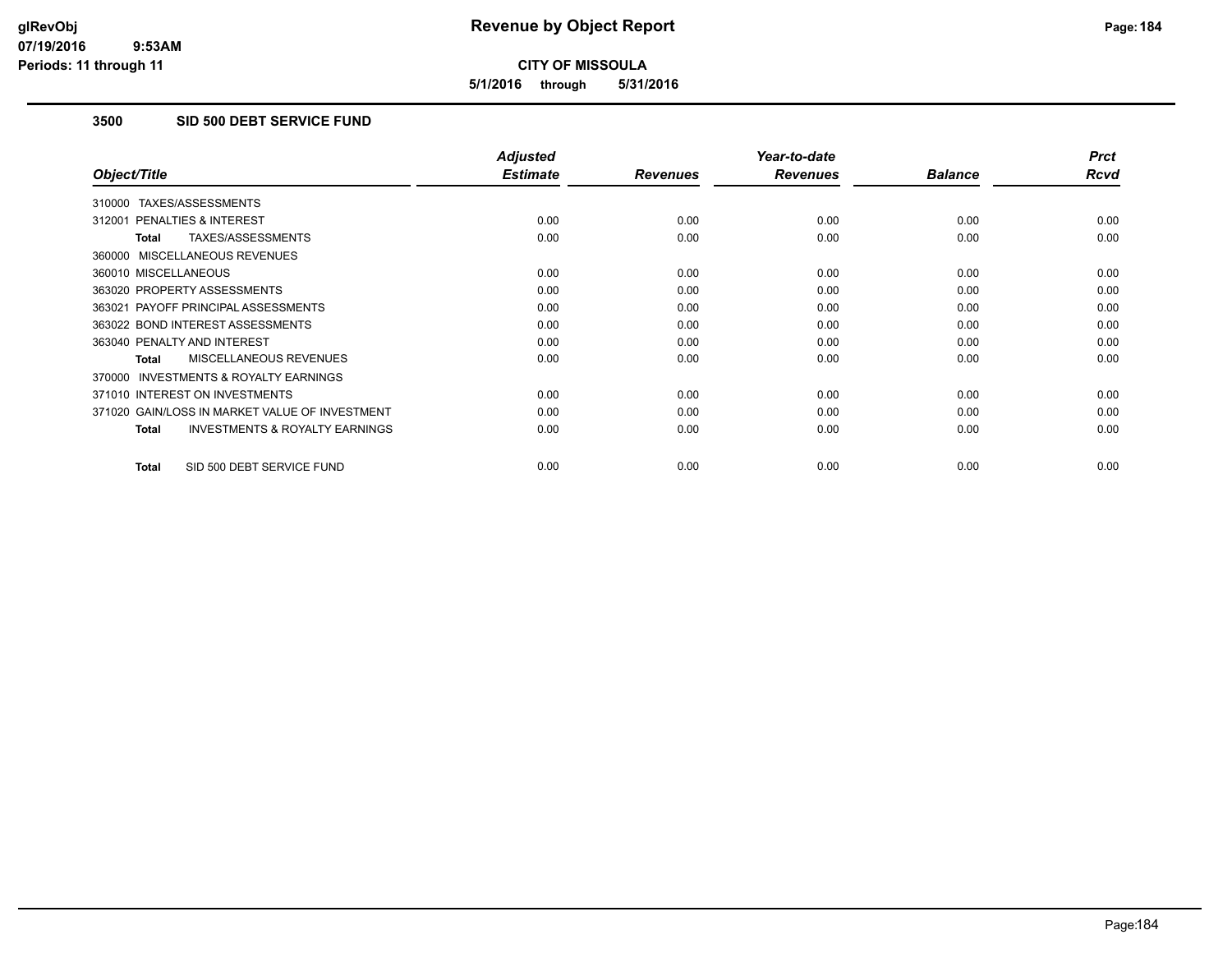**5/1/2016 through 5/31/2016**

## **3500 SID 500 DEBT SERVICE FUND**

|                                                           | <b>Adjusted</b> |                 | Year-to-date    |                | <b>Prct</b> |
|-----------------------------------------------------------|-----------------|-----------------|-----------------|----------------|-------------|
| Object/Title                                              | <b>Estimate</b> | <b>Revenues</b> | <b>Revenues</b> | <b>Balance</b> | <b>Rcvd</b> |
| TAXES/ASSESSMENTS<br>310000                               |                 |                 |                 |                |             |
| 312001 PENALTIES & INTEREST                               | 0.00            | 0.00            | 0.00            | 0.00           | 0.00        |
| TAXES/ASSESSMENTS<br><b>Total</b>                         | 0.00            | 0.00            | 0.00            | 0.00           | 0.00        |
| 360000 MISCELLANEOUS REVENUES                             |                 |                 |                 |                |             |
| 360010 MISCELLANEOUS                                      | 0.00            | 0.00            | 0.00            | 0.00           | 0.00        |
| 363020 PROPERTY ASSESSMENTS                               | 0.00            | 0.00            | 0.00            | 0.00           | 0.00        |
| 363021 PAYOFF PRINCIPAL ASSESSMENTS                       | 0.00            | 0.00            | 0.00            | 0.00           | 0.00        |
| 363022 BOND INTEREST ASSESSMENTS                          | 0.00            | 0.00            | 0.00            | 0.00           | 0.00        |
| 363040 PENALTY AND INTEREST                               | 0.00            | 0.00            | 0.00            | 0.00           | 0.00        |
| <b>MISCELLANEOUS REVENUES</b><br><b>Total</b>             | 0.00            | 0.00            | 0.00            | 0.00           | 0.00        |
| 370000 INVESTMENTS & ROYALTY EARNINGS                     |                 |                 |                 |                |             |
| 371010 INTEREST ON INVESTMENTS                            | 0.00            | 0.00            | 0.00            | 0.00           | 0.00        |
| 371020 GAIN/LOSS IN MARKET VALUE OF INVESTMENT            | 0.00            | 0.00            | 0.00            | 0.00           | 0.00        |
| <b>INVESTMENTS &amp; ROYALTY EARNINGS</b><br><b>Total</b> | 0.00            | 0.00            | 0.00            | 0.00           | 0.00        |
| SID 500 DEBT SERVICE FUND<br><b>Total</b>                 | 0.00            | 0.00            | 0.00            | 0.00           | 0.00        |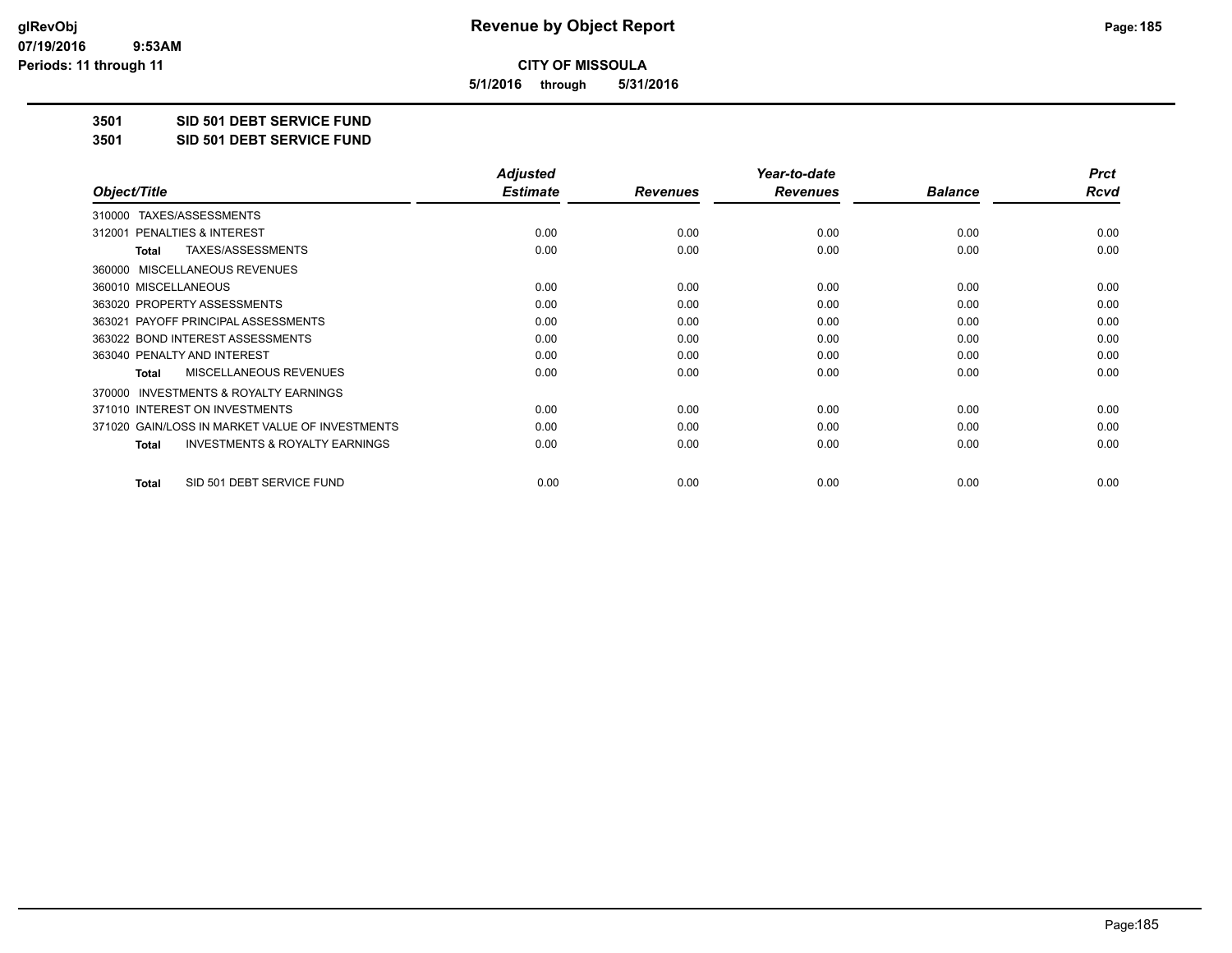**5/1/2016 through 5/31/2016**

**3501 SID 501 DEBT SERVICE FUND**

**3501 SID 501 DEBT SERVICE FUND**

|                                                           | <b>Adjusted</b> |                 | Year-to-date    |                | <b>Prct</b> |
|-----------------------------------------------------------|-----------------|-----------------|-----------------|----------------|-------------|
| Object/Title                                              | <b>Estimate</b> | <b>Revenues</b> | <b>Revenues</b> | <b>Balance</b> | Rcvd        |
| TAXES/ASSESSMENTS<br>310000                               |                 |                 |                 |                |             |
| 312001 PENALTIES & INTEREST                               | 0.00            | 0.00            | 0.00            | 0.00           | 0.00        |
| TAXES/ASSESSMENTS<br>Total                                | 0.00            | 0.00            | 0.00            | 0.00           | 0.00        |
| MISCELLANEOUS REVENUES<br>360000                          |                 |                 |                 |                |             |
| 360010 MISCELLANEOUS                                      | 0.00            | 0.00            | 0.00            | 0.00           | 0.00        |
| 363020 PROPERTY ASSESSMENTS                               | 0.00            | 0.00            | 0.00            | 0.00           | 0.00        |
| 363021 PAYOFF PRINCIPAL ASSESSMENTS                       | 0.00            | 0.00            | 0.00            | 0.00           | 0.00        |
| 363022 BOND INTEREST ASSESSMENTS                          | 0.00            | 0.00            | 0.00            | 0.00           | 0.00        |
| 363040 PENALTY AND INTEREST                               | 0.00            | 0.00            | 0.00            | 0.00           | 0.00        |
| MISCELLANEOUS REVENUES<br><b>Total</b>                    | 0.00            | 0.00            | 0.00            | 0.00           | 0.00        |
| <b>INVESTMENTS &amp; ROYALTY EARNINGS</b><br>370000       |                 |                 |                 |                |             |
| 371010 INTEREST ON INVESTMENTS                            | 0.00            | 0.00            | 0.00            | 0.00           | 0.00        |
| 371020 GAIN/LOSS IN MARKET VALUE OF INVESTMENTS           | 0.00            | 0.00            | 0.00            | 0.00           | 0.00        |
| <b>INVESTMENTS &amp; ROYALTY EARNINGS</b><br><b>Total</b> | 0.00            | 0.00            | 0.00            | 0.00           | 0.00        |
| SID 501 DEBT SERVICE FUND<br><b>Total</b>                 | 0.00            | 0.00            | 0.00            | 0.00           | 0.00        |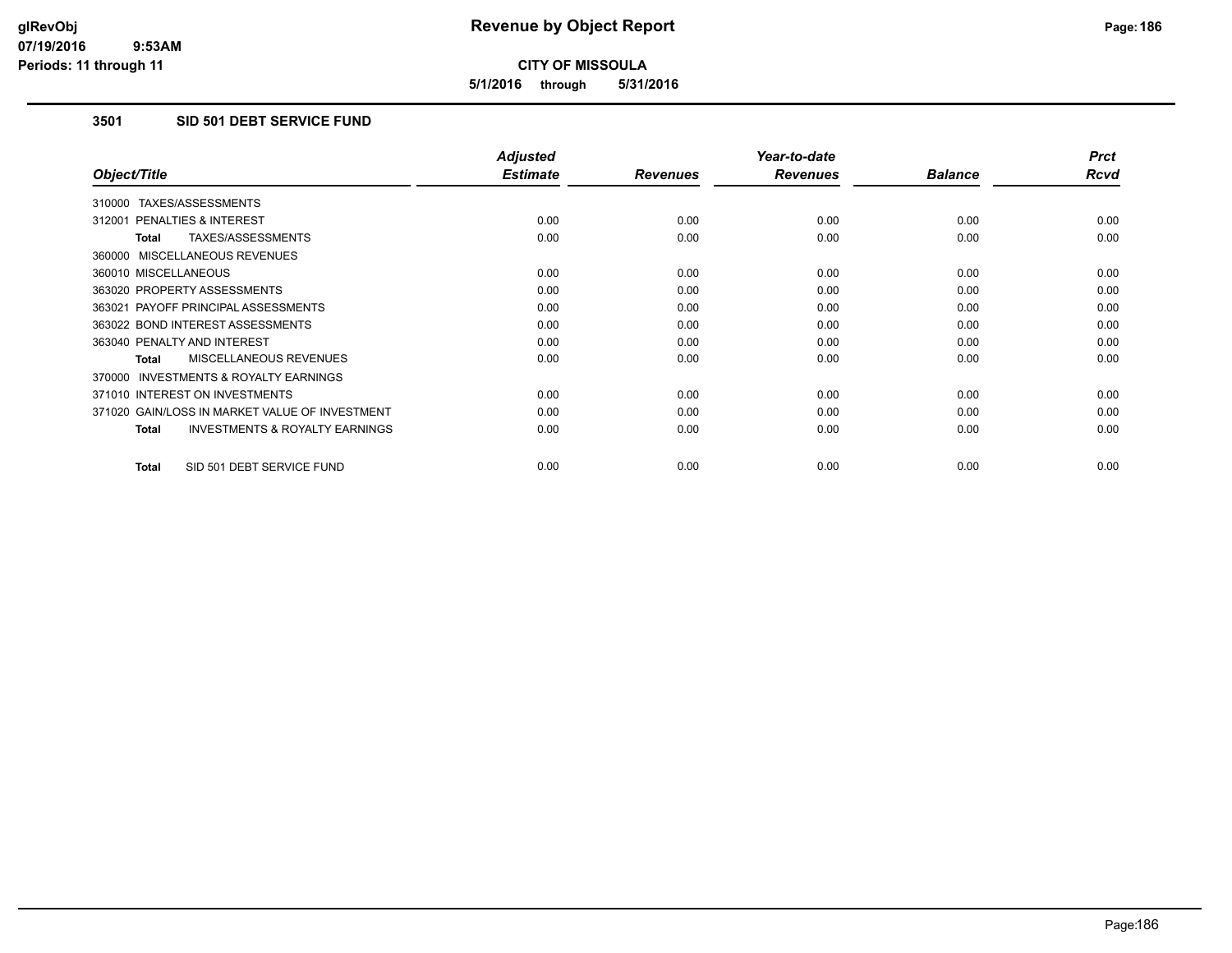**5/1/2016 through 5/31/2016**

## **3501 SID 501 DEBT SERVICE FUND**

|                                                           | <b>Adjusted</b> |                 | Year-to-date    |                | <b>Prct</b> |
|-----------------------------------------------------------|-----------------|-----------------|-----------------|----------------|-------------|
| Object/Title                                              | <b>Estimate</b> | <b>Revenues</b> | <b>Revenues</b> | <b>Balance</b> | <b>Rcvd</b> |
| 310000 TAXES/ASSESSMENTS                                  |                 |                 |                 |                |             |
| 312001 PENALTIES & INTEREST                               | 0.00            | 0.00            | 0.00            | 0.00           | 0.00        |
| <b>TAXES/ASSESSMENTS</b><br><b>Total</b>                  | 0.00            | 0.00            | 0.00            | 0.00           | 0.00        |
| 360000 MISCELLANEOUS REVENUES                             |                 |                 |                 |                |             |
| 360010 MISCELLANEOUS                                      | 0.00            | 0.00            | 0.00            | 0.00           | 0.00        |
| 363020 PROPERTY ASSESSMENTS                               | 0.00            | 0.00            | 0.00            | 0.00           | 0.00        |
| 363021 PAYOFF PRINCIPAL ASSESSMENTS                       | 0.00            | 0.00            | 0.00            | 0.00           | 0.00        |
| 363022 BOND INTEREST ASSESSMENTS                          | 0.00            | 0.00            | 0.00            | 0.00           | 0.00        |
| 363040 PENALTY AND INTEREST                               | 0.00            | 0.00            | 0.00            | 0.00           | 0.00        |
| MISCELLANEOUS REVENUES<br><b>Total</b>                    | 0.00            | 0.00            | 0.00            | 0.00           | 0.00        |
| <b>INVESTMENTS &amp; ROYALTY EARNINGS</b><br>370000       |                 |                 |                 |                |             |
| 371010 INTEREST ON INVESTMENTS                            | 0.00            | 0.00            | 0.00            | 0.00           | 0.00        |
| 371020 GAIN/LOSS IN MARKET VALUE OF INVESTMENT            | 0.00            | 0.00            | 0.00            | 0.00           | 0.00        |
| <b>INVESTMENTS &amp; ROYALTY EARNINGS</b><br><b>Total</b> | 0.00            | 0.00            | 0.00            | 0.00           | 0.00        |
| SID 501 DEBT SERVICE FUND<br><b>Total</b>                 | 0.00            | 0.00            | 0.00            | 0.00           | 0.00        |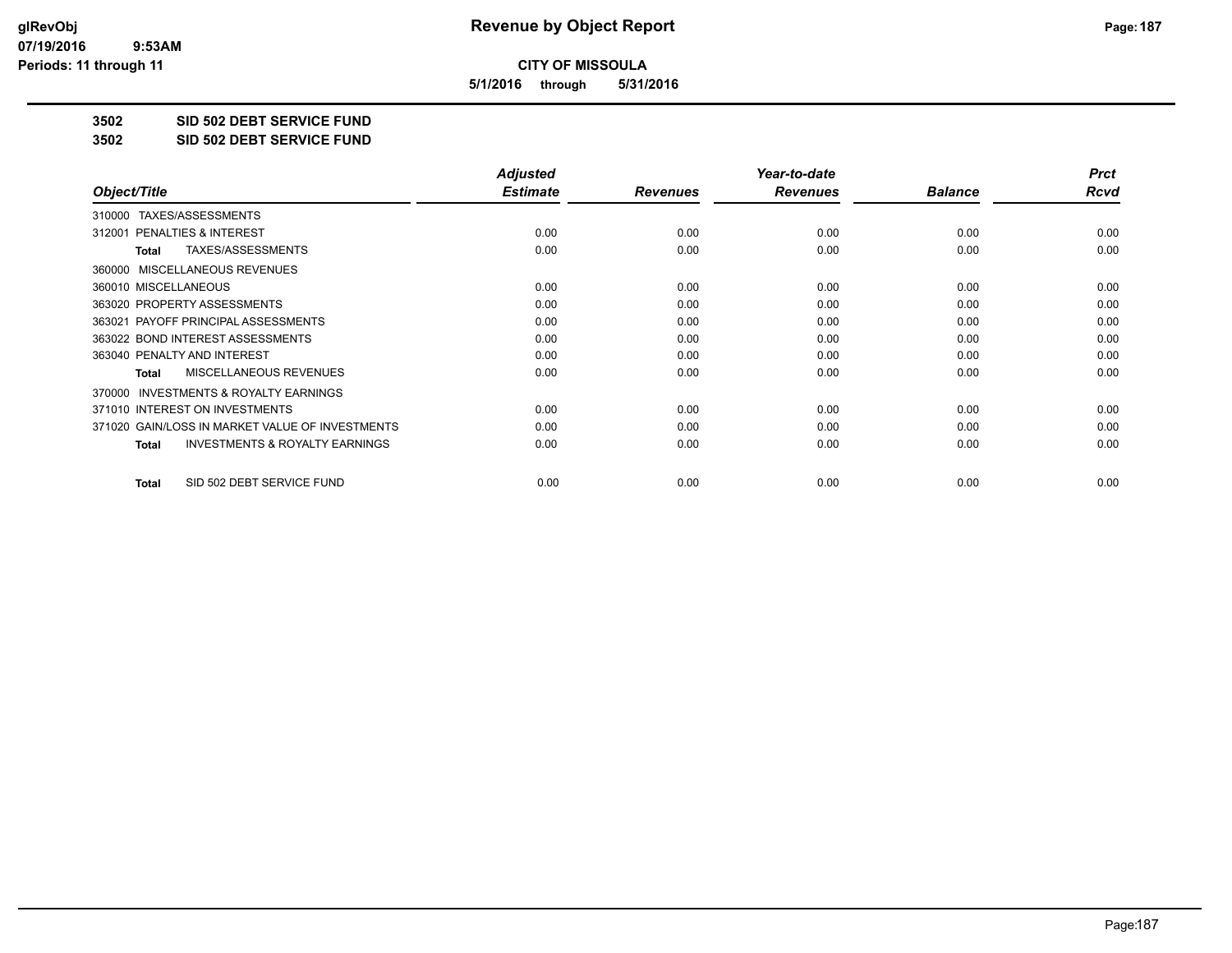**5/1/2016 through 5/31/2016**

**3502 SID 502 DEBT SERVICE FUND**

**3502 SID 502 DEBT SERVICE FUND**

|                                                           | <b>Adjusted</b> |                 | Year-to-date    |                | <b>Prct</b> |
|-----------------------------------------------------------|-----------------|-----------------|-----------------|----------------|-------------|
| Object/Title                                              | <b>Estimate</b> | <b>Revenues</b> | <b>Revenues</b> | <b>Balance</b> | Rcvd        |
| TAXES/ASSESSMENTS<br>310000                               |                 |                 |                 |                |             |
| 312001 PENALTIES & INTEREST                               | 0.00            | 0.00            | 0.00            | 0.00           | 0.00        |
| TAXES/ASSESSMENTS<br><b>Total</b>                         | 0.00            | 0.00            | 0.00            | 0.00           | 0.00        |
| MISCELLANEOUS REVENUES<br>360000                          |                 |                 |                 |                |             |
| 360010 MISCELLANEOUS                                      | 0.00            | 0.00            | 0.00            | 0.00           | 0.00        |
| 363020 PROPERTY ASSESSMENTS                               | 0.00            | 0.00            | 0.00            | 0.00           | 0.00        |
| 363021 PAYOFF PRINCIPAL ASSESSMENTS                       | 0.00            | 0.00            | 0.00            | 0.00           | 0.00        |
| 363022 BOND INTEREST ASSESSMENTS                          | 0.00            | 0.00            | 0.00            | 0.00           | 0.00        |
| 363040 PENALTY AND INTEREST                               | 0.00            | 0.00            | 0.00            | 0.00           | 0.00        |
| <b>MISCELLANEOUS REVENUES</b><br>Total                    | 0.00            | 0.00            | 0.00            | 0.00           | 0.00        |
| <b>INVESTMENTS &amp; ROYALTY EARNINGS</b><br>370000       |                 |                 |                 |                |             |
| 371010 INTEREST ON INVESTMENTS                            | 0.00            | 0.00            | 0.00            | 0.00           | 0.00        |
| 371020 GAIN/LOSS IN MARKET VALUE OF INVESTMENTS           | 0.00            | 0.00            | 0.00            | 0.00           | 0.00        |
| <b>INVESTMENTS &amp; ROYALTY EARNINGS</b><br><b>Total</b> | 0.00            | 0.00            | 0.00            | 0.00           | 0.00        |
| SID 502 DEBT SERVICE FUND<br><b>Total</b>                 | 0.00            | 0.00            | 0.00            | 0.00           | 0.00        |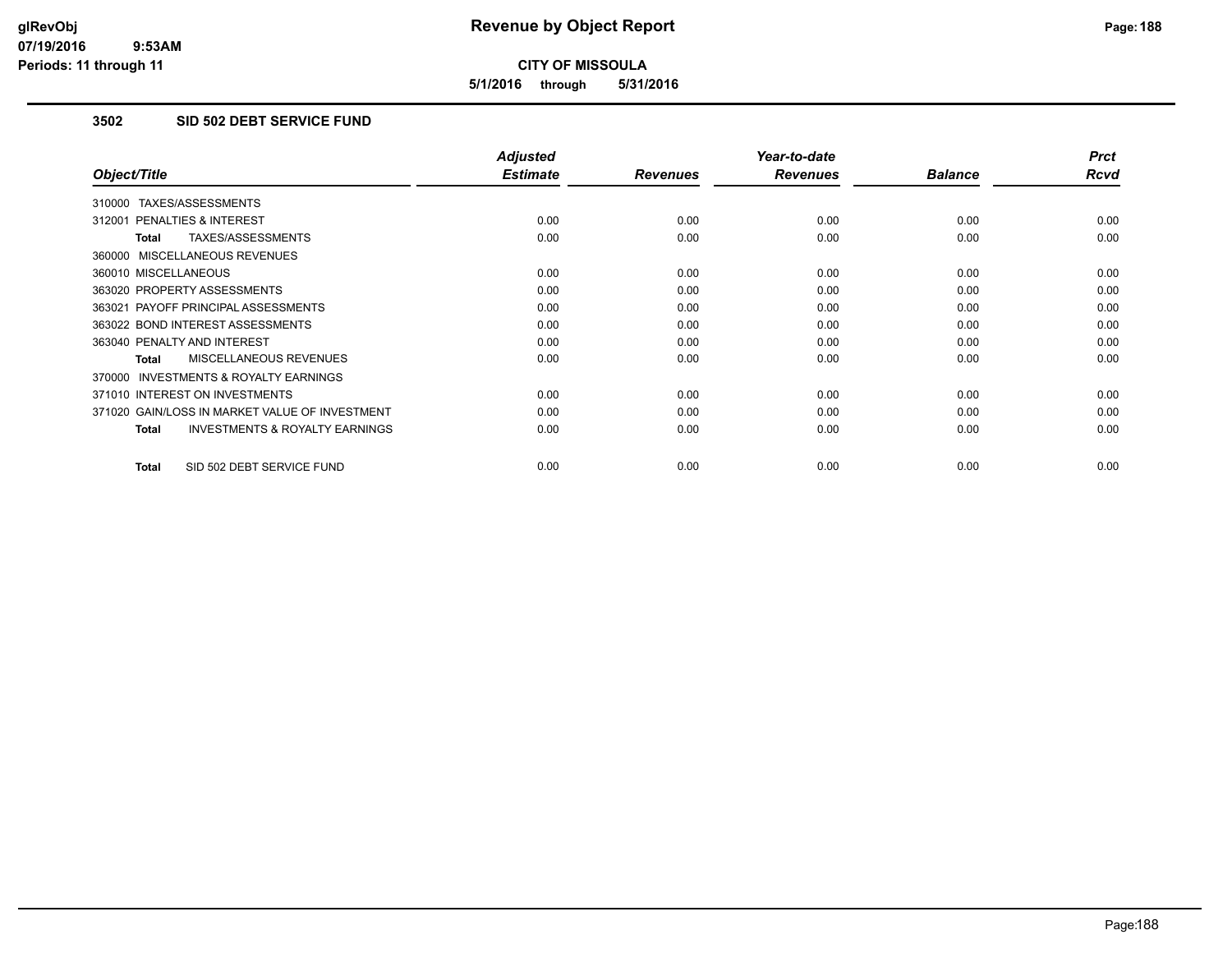**5/1/2016 through 5/31/2016**

## **3502 SID 502 DEBT SERVICE FUND**

|                                                           | <b>Adjusted</b> |                 | Year-to-date    |                | <b>Prct</b> |
|-----------------------------------------------------------|-----------------|-----------------|-----------------|----------------|-------------|
| Object/Title                                              | <b>Estimate</b> | <b>Revenues</b> | <b>Revenues</b> | <b>Balance</b> | <b>Rcvd</b> |
| 310000 TAXES/ASSESSMENTS                                  |                 |                 |                 |                |             |
| 312001 PENALTIES & INTEREST                               | 0.00            | 0.00            | 0.00            | 0.00           | 0.00        |
| TAXES/ASSESSMENTS<br><b>Total</b>                         | 0.00            | 0.00            | 0.00            | 0.00           | 0.00        |
| 360000 MISCELLANEOUS REVENUES                             |                 |                 |                 |                |             |
| 360010 MISCELLANEOUS                                      | 0.00            | 0.00            | 0.00            | 0.00           | 0.00        |
| 363020 PROPERTY ASSESSMENTS                               | 0.00            | 0.00            | 0.00            | 0.00           | 0.00        |
| 363021 PAYOFF PRINCIPAL ASSESSMENTS                       | 0.00            | 0.00            | 0.00            | 0.00           | 0.00        |
| 363022 BOND INTEREST ASSESSMENTS                          | 0.00            | 0.00            | 0.00            | 0.00           | 0.00        |
| 363040 PENALTY AND INTEREST                               | 0.00            | 0.00            | 0.00            | 0.00           | 0.00        |
| MISCELLANEOUS REVENUES<br>Total                           | 0.00            | 0.00            | 0.00            | 0.00           | 0.00        |
| <b>INVESTMENTS &amp; ROYALTY EARNINGS</b><br>370000       |                 |                 |                 |                |             |
| 371010 INTEREST ON INVESTMENTS                            | 0.00            | 0.00            | 0.00            | 0.00           | 0.00        |
| 371020 GAIN/LOSS IN MARKET VALUE OF INVESTMENT            | 0.00            | 0.00            | 0.00            | 0.00           | 0.00        |
| <b>INVESTMENTS &amp; ROYALTY EARNINGS</b><br><b>Total</b> | 0.00            | 0.00            | 0.00            | 0.00           | 0.00        |
| SID 502 DEBT SERVICE FUND<br><b>Total</b>                 | 0.00            | 0.00            | 0.00            | 0.00           | 0.00        |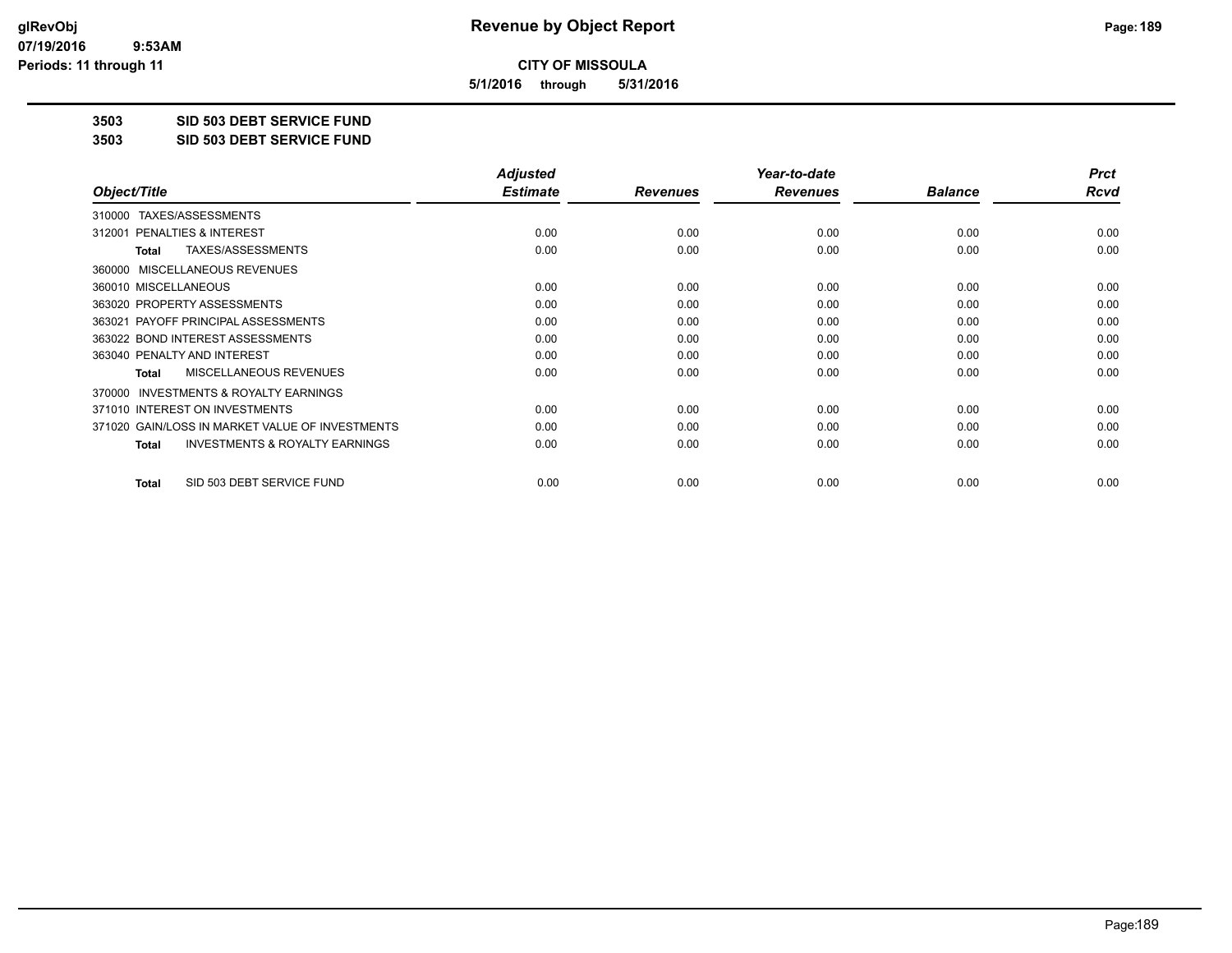**5/1/2016 through 5/31/2016**

**3503 SID 503 DEBT SERVICE FUND**

**3503 SID 503 DEBT SERVICE FUND**

|                                                           | <b>Adjusted</b> |                 | Year-to-date    |                | <b>Prct</b> |
|-----------------------------------------------------------|-----------------|-----------------|-----------------|----------------|-------------|
| Object/Title                                              | <b>Estimate</b> | <b>Revenues</b> | <b>Revenues</b> | <b>Balance</b> | Rcvd        |
| TAXES/ASSESSMENTS<br>310000                               |                 |                 |                 |                |             |
| 312001 PENALTIES & INTEREST                               | 0.00            | 0.00            | 0.00            | 0.00           | 0.00        |
| TAXES/ASSESSMENTS<br>Total                                | 0.00            | 0.00            | 0.00            | 0.00           | 0.00        |
| MISCELLANEOUS REVENUES<br>360000                          |                 |                 |                 |                |             |
| 360010 MISCELLANEOUS                                      | 0.00            | 0.00            | 0.00            | 0.00           | 0.00        |
| 363020 PROPERTY ASSESSMENTS                               | 0.00            | 0.00            | 0.00            | 0.00           | 0.00        |
| 363021 PAYOFF PRINCIPAL ASSESSMENTS                       | 0.00            | 0.00            | 0.00            | 0.00           | 0.00        |
| 363022 BOND INTEREST ASSESSMENTS                          | 0.00            | 0.00            | 0.00            | 0.00           | 0.00        |
| 363040 PENALTY AND INTEREST                               | 0.00            | 0.00            | 0.00            | 0.00           | 0.00        |
| MISCELLANEOUS REVENUES<br><b>Total</b>                    | 0.00            | 0.00            | 0.00            | 0.00           | 0.00        |
| <b>INVESTMENTS &amp; ROYALTY EARNINGS</b><br>370000       |                 |                 |                 |                |             |
| 371010 INTEREST ON INVESTMENTS                            | 0.00            | 0.00            | 0.00            | 0.00           | 0.00        |
| 371020 GAIN/LOSS IN MARKET VALUE OF INVESTMENTS           | 0.00            | 0.00            | 0.00            | 0.00           | 0.00        |
| <b>INVESTMENTS &amp; ROYALTY EARNINGS</b><br><b>Total</b> | 0.00            | 0.00            | 0.00            | 0.00           | 0.00        |
| SID 503 DEBT SERVICE FUND<br>Total                        | 0.00            | 0.00            | 0.00            | 0.00           | 0.00        |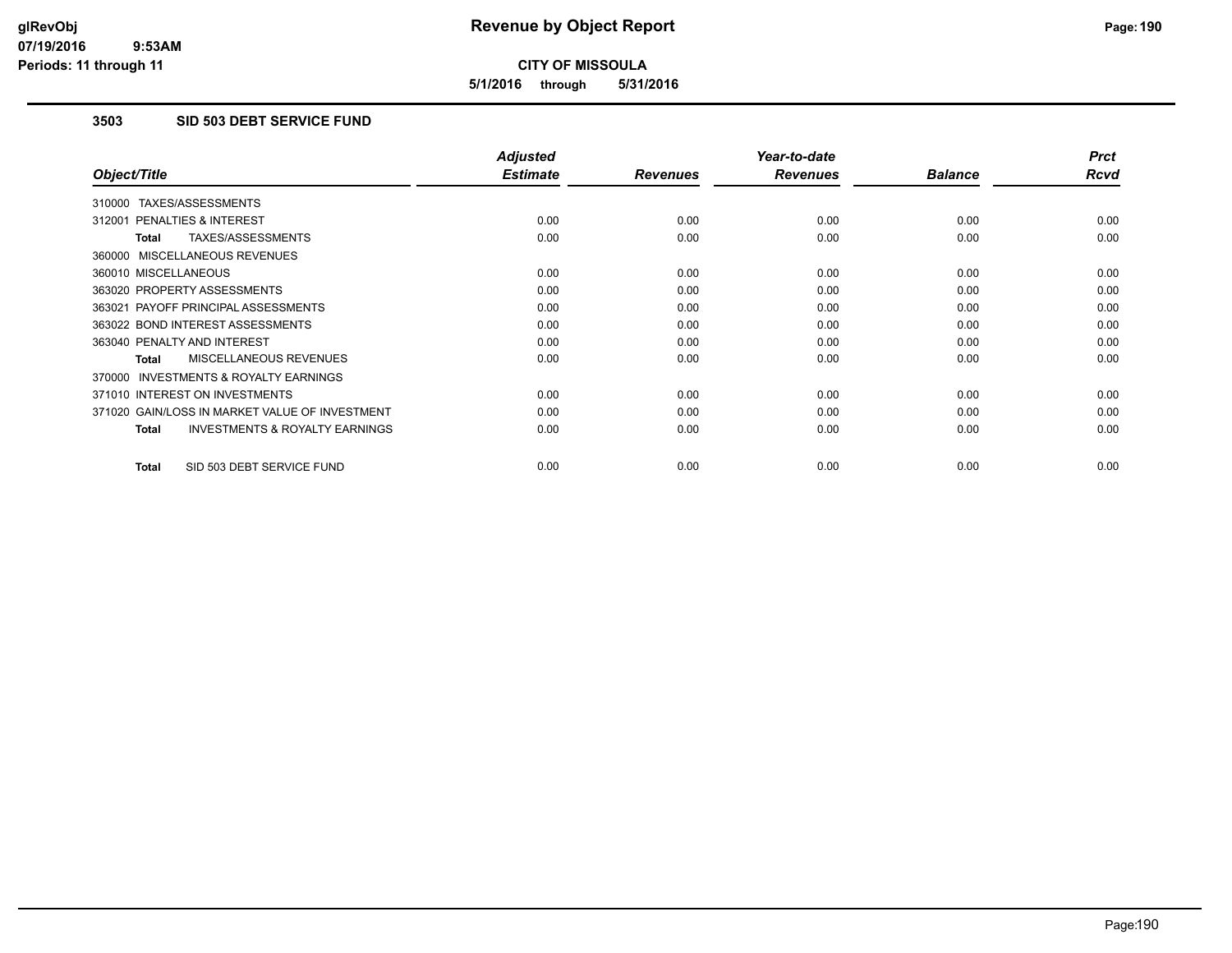**5/1/2016 through 5/31/2016**

## **3503 SID 503 DEBT SERVICE FUND**

|                                                           | <b>Adjusted</b> |                 | Year-to-date    |                | <b>Prct</b> |
|-----------------------------------------------------------|-----------------|-----------------|-----------------|----------------|-------------|
| Object/Title                                              | <b>Estimate</b> | <b>Revenues</b> | <b>Revenues</b> | <b>Balance</b> | <b>Rcvd</b> |
| 310000 TAXES/ASSESSMENTS                                  |                 |                 |                 |                |             |
| 312001 PENALTIES & INTEREST                               | 0.00            | 0.00            | 0.00            | 0.00           | 0.00        |
| TAXES/ASSESSMENTS<br><b>Total</b>                         | 0.00            | 0.00            | 0.00            | 0.00           | 0.00        |
| 360000 MISCELLANEOUS REVENUES                             |                 |                 |                 |                |             |
| 360010 MISCELLANEOUS                                      | 0.00            | 0.00            | 0.00            | 0.00           | 0.00        |
| 363020 PROPERTY ASSESSMENTS                               | 0.00            | 0.00            | 0.00            | 0.00           | 0.00        |
| 363021 PAYOFF PRINCIPAL ASSESSMENTS                       | 0.00            | 0.00            | 0.00            | 0.00           | 0.00        |
| 363022 BOND INTEREST ASSESSMENTS                          | 0.00            | 0.00            | 0.00            | 0.00           | 0.00        |
| 363040 PENALTY AND INTEREST                               | 0.00            | 0.00            | 0.00            | 0.00           | 0.00        |
| MISCELLANEOUS REVENUES<br>Total                           | 0.00            | 0.00            | 0.00            | 0.00           | 0.00        |
| <b>INVESTMENTS &amp; ROYALTY EARNINGS</b><br>370000       |                 |                 |                 |                |             |
| 371010 INTEREST ON INVESTMENTS                            | 0.00            | 0.00            | 0.00            | 0.00           | 0.00        |
| 371020 GAIN/LOSS IN MARKET VALUE OF INVESTMENT            | 0.00            | 0.00            | 0.00            | 0.00           | 0.00        |
| <b>INVESTMENTS &amp; ROYALTY EARNINGS</b><br><b>Total</b> | 0.00            | 0.00            | 0.00            | 0.00           | 0.00        |
| SID 503 DEBT SERVICE FUND<br><b>Total</b>                 | 0.00            | 0.00            | 0.00            | 0.00           | 0.00        |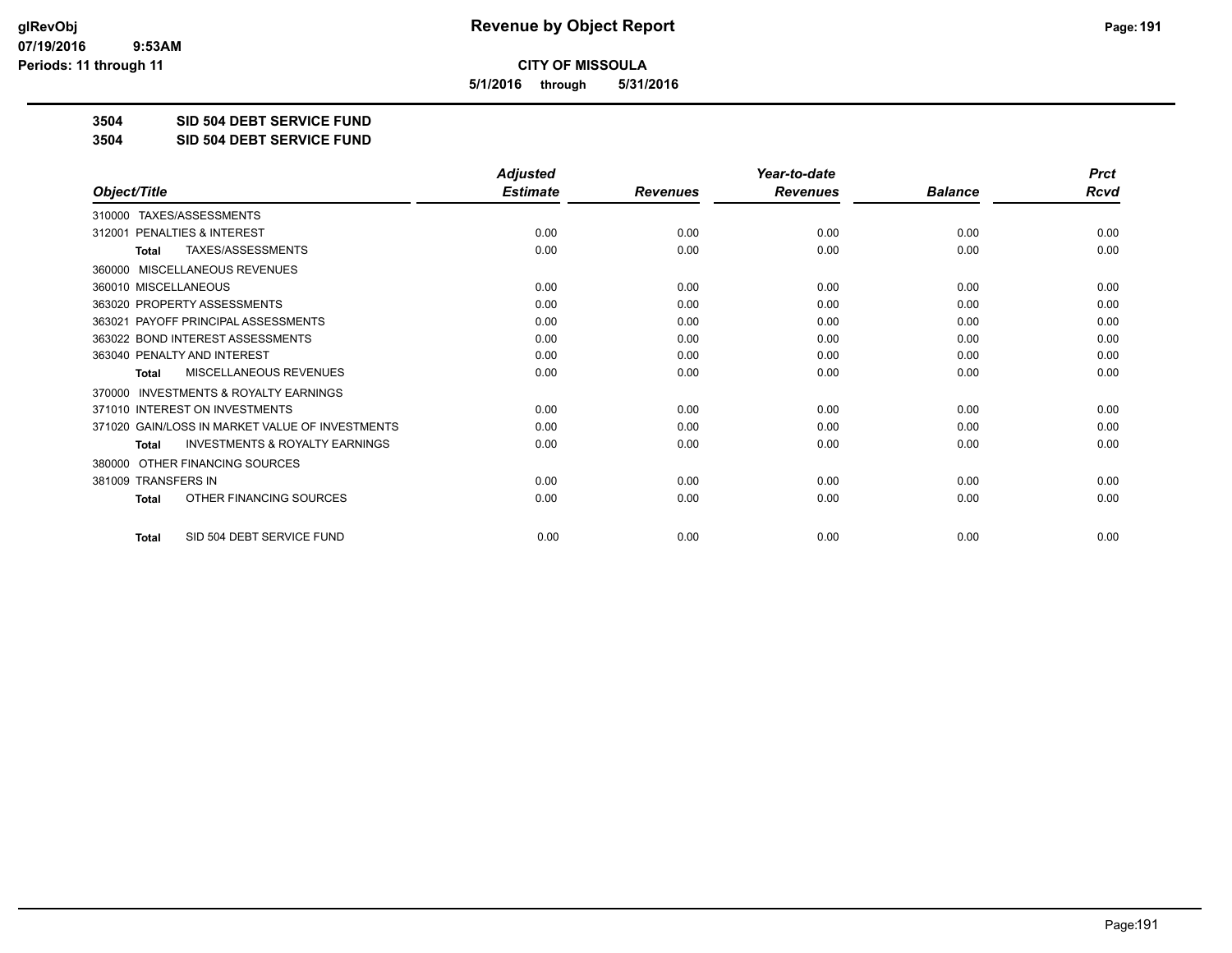**5/1/2016 through 5/31/2016**

**3504 SID 504 DEBT SERVICE FUND**

**3504 SID 504 DEBT SERVICE FUND**

|                                                           | <b>Adjusted</b> |                 | Year-to-date    |                | <b>Prct</b> |
|-----------------------------------------------------------|-----------------|-----------------|-----------------|----------------|-------------|
| Object/Title                                              | <b>Estimate</b> | <b>Revenues</b> | <b>Revenues</b> | <b>Balance</b> | <b>Rcvd</b> |
| TAXES/ASSESSMENTS<br>310000                               |                 |                 |                 |                |             |
| 312001 PENALTIES & INTEREST                               | 0.00            | 0.00            | 0.00            | 0.00           | 0.00        |
| TAXES/ASSESSMENTS<br><b>Total</b>                         | 0.00            | 0.00            | 0.00            | 0.00           | 0.00        |
| MISCELLANEOUS REVENUES<br>360000                          |                 |                 |                 |                |             |
| 360010 MISCELLANEOUS                                      | 0.00            | 0.00            | 0.00            | 0.00           | 0.00        |
| 363020 PROPERTY ASSESSMENTS                               | 0.00            | 0.00            | 0.00            | 0.00           | 0.00        |
| 363021 PAYOFF PRINCIPAL ASSESSMENTS                       | 0.00            | 0.00            | 0.00            | 0.00           | 0.00        |
| 363022 BOND INTEREST ASSESSMENTS                          | 0.00            | 0.00            | 0.00            | 0.00           | 0.00        |
| 363040 PENALTY AND INTEREST                               | 0.00            | 0.00            | 0.00            | 0.00           | 0.00        |
| <b>MISCELLANEOUS REVENUES</b><br><b>Total</b>             | 0.00            | 0.00            | 0.00            | 0.00           | 0.00        |
| <b>INVESTMENTS &amp; ROYALTY EARNINGS</b><br>370000       |                 |                 |                 |                |             |
| 371010 INTEREST ON INVESTMENTS                            | 0.00            | 0.00            | 0.00            | 0.00           | 0.00        |
| 371020 GAIN/LOSS IN MARKET VALUE OF INVESTMENTS           | 0.00            | 0.00            | 0.00            | 0.00           | 0.00        |
| <b>INVESTMENTS &amp; ROYALTY EARNINGS</b><br><b>Total</b> | 0.00            | 0.00            | 0.00            | 0.00           | 0.00        |
| OTHER FINANCING SOURCES<br>380000                         |                 |                 |                 |                |             |
| 381009 TRANSFERS IN                                       | 0.00            | 0.00            | 0.00            | 0.00           | 0.00        |
| OTHER FINANCING SOURCES<br>Total                          | 0.00            | 0.00            | 0.00            | 0.00           | 0.00        |
| SID 504 DEBT SERVICE FUND<br><b>Total</b>                 | 0.00            | 0.00            | 0.00            | 0.00           | 0.00        |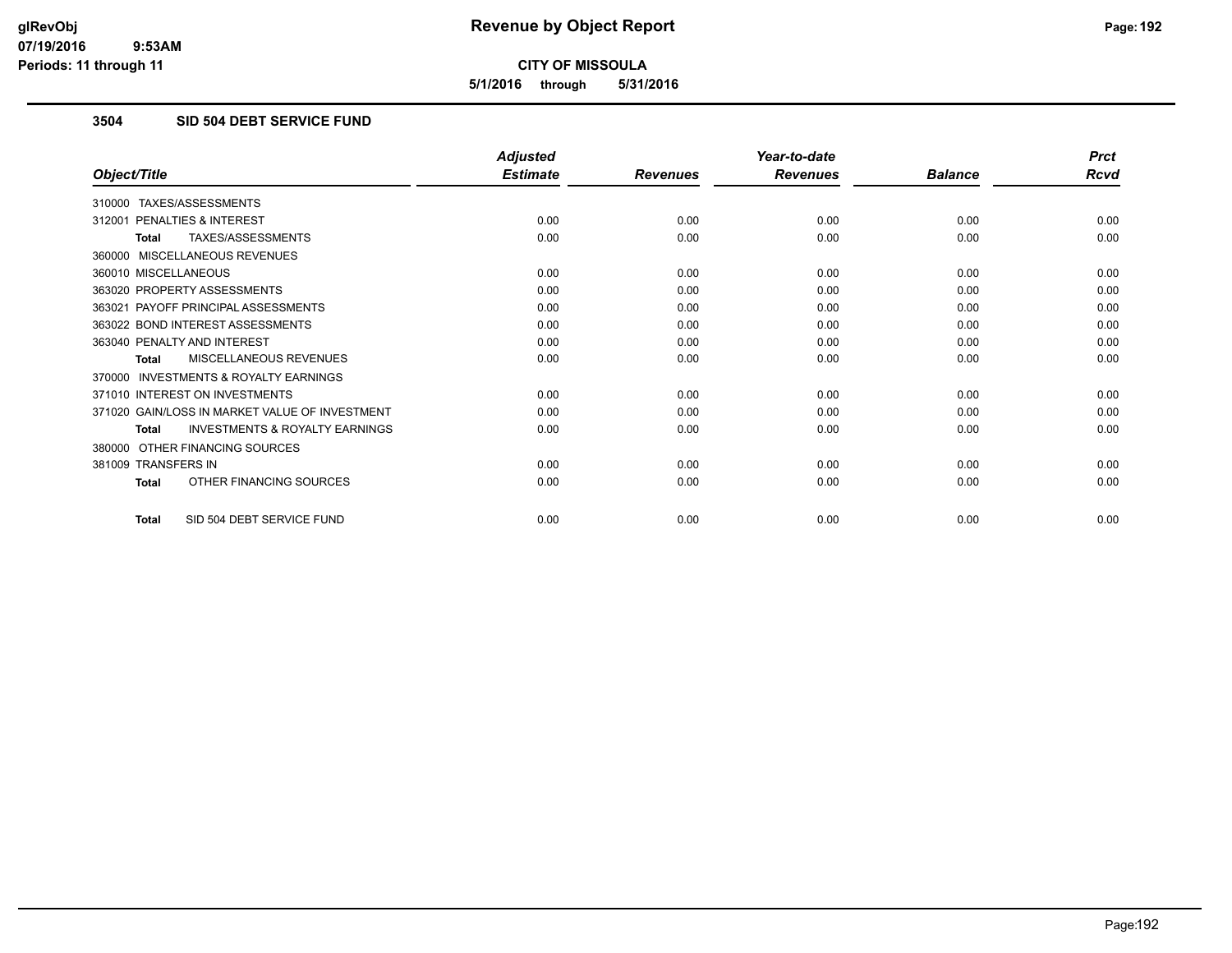**5/1/2016 through 5/31/2016**

## **3504 SID 504 DEBT SERVICE FUND**

|                                                           | <b>Adjusted</b> |                 | Year-to-date    |                | <b>Prct</b> |
|-----------------------------------------------------------|-----------------|-----------------|-----------------|----------------|-------------|
| Object/Title                                              | <b>Estimate</b> | <b>Revenues</b> | <b>Revenues</b> | <b>Balance</b> | <b>Rcvd</b> |
| 310000 TAXES/ASSESSMENTS                                  |                 |                 |                 |                |             |
| 312001 PENALTIES & INTEREST                               | 0.00            | 0.00            | 0.00            | 0.00           | 0.00        |
| TAXES/ASSESSMENTS<br><b>Total</b>                         | 0.00            | 0.00            | 0.00            | 0.00           | 0.00        |
| 360000 MISCELLANEOUS REVENUES                             |                 |                 |                 |                |             |
| 360010 MISCELLANEOUS                                      | 0.00            | 0.00            | 0.00            | 0.00           | 0.00        |
| 363020 PROPERTY ASSESSMENTS                               | 0.00            | 0.00            | 0.00            | 0.00           | 0.00        |
| 363021 PAYOFF PRINCIPAL ASSESSMENTS                       | 0.00            | 0.00            | 0.00            | 0.00           | 0.00        |
| 363022 BOND INTEREST ASSESSMENTS                          | 0.00            | 0.00            | 0.00            | 0.00           | 0.00        |
| 363040 PENALTY AND INTEREST                               | 0.00            | 0.00            | 0.00            | 0.00           | 0.00        |
| MISCELLANEOUS REVENUES<br><b>Total</b>                    | 0.00            | 0.00            | 0.00            | 0.00           | 0.00        |
| <b>INVESTMENTS &amp; ROYALTY EARNINGS</b><br>370000       |                 |                 |                 |                |             |
| 371010 INTEREST ON INVESTMENTS                            | 0.00            | 0.00            | 0.00            | 0.00           | 0.00        |
| 371020 GAIN/LOSS IN MARKET VALUE OF INVESTMENT            | 0.00            | 0.00            | 0.00            | 0.00           | 0.00        |
| <b>INVESTMENTS &amp; ROYALTY EARNINGS</b><br><b>Total</b> | 0.00            | 0.00            | 0.00            | 0.00           | 0.00        |
| OTHER FINANCING SOURCES<br>380000                         |                 |                 |                 |                |             |
| 381009 TRANSFERS IN                                       | 0.00            | 0.00            | 0.00            | 0.00           | 0.00        |
| OTHER FINANCING SOURCES<br><b>Total</b>                   | 0.00            | 0.00            | 0.00            | 0.00           | 0.00        |
| SID 504 DEBT SERVICE FUND<br><b>Total</b>                 | 0.00            | 0.00            | 0.00            | 0.00           | 0.00        |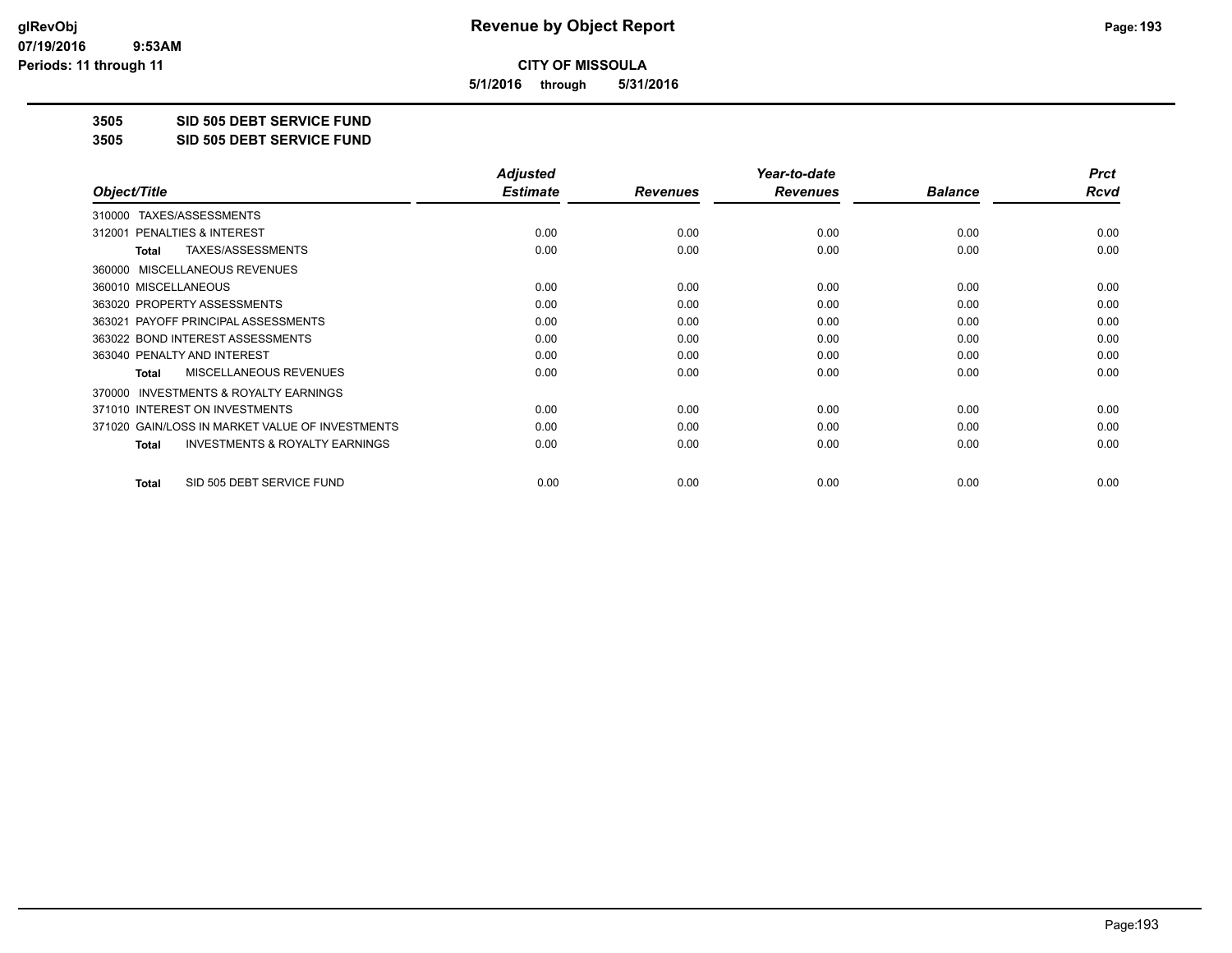**5/1/2016 through 5/31/2016**

**3505 SID 505 DEBT SERVICE FUND**

**3505 SID 505 DEBT SERVICE FUND**

|                                                           | <b>Adjusted</b> |                 | Year-to-date    |                | <b>Prct</b> |
|-----------------------------------------------------------|-----------------|-----------------|-----------------|----------------|-------------|
| Object/Title                                              | <b>Estimate</b> | <b>Revenues</b> | <b>Revenues</b> | <b>Balance</b> | Rcvd        |
| TAXES/ASSESSMENTS<br>310000                               |                 |                 |                 |                |             |
| 312001 PENALTIES & INTEREST                               | 0.00            | 0.00            | 0.00            | 0.00           | 0.00        |
| TAXES/ASSESSMENTS<br><b>Total</b>                         | 0.00            | 0.00            | 0.00            | 0.00           | 0.00        |
| MISCELLANEOUS REVENUES<br>360000                          |                 |                 |                 |                |             |
| 360010 MISCELLANEOUS                                      | 0.00            | 0.00            | 0.00            | 0.00           | 0.00        |
| 363020 PROPERTY ASSESSMENTS                               | 0.00            | 0.00            | 0.00            | 0.00           | 0.00        |
| 363021 PAYOFF PRINCIPAL ASSESSMENTS                       | 0.00            | 0.00            | 0.00            | 0.00           | 0.00        |
| 363022 BOND INTEREST ASSESSMENTS                          | 0.00            | 0.00            | 0.00            | 0.00           | 0.00        |
| 363040 PENALTY AND INTEREST                               | 0.00            | 0.00            | 0.00            | 0.00           | 0.00        |
| MISCELLANEOUS REVENUES<br><b>Total</b>                    | 0.00            | 0.00            | 0.00            | 0.00           | 0.00        |
| <b>INVESTMENTS &amp; ROYALTY EARNINGS</b><br>370000       |                 |                 |                 |                |             |
| 371010 INTEREST ON INVESTMENTS                            | 0.00            | 0.00            | 0.00            | 0.00           | 0.00        |
| 371020 GAIN/LOSS IN MARKET VALUE OF INVESTMENTS           | 0.00            | 0.00            | 0.00            | 0.00           | 0.00        |
| <b>INVESTMENTS &amp; ROYALTY EARNINGS</b><br><b>Total</b> | 0.00            | 0.00            | 0.00            | 0.00           | 0.00        |
| SID 505 DEBT SERVICE FUND<br><b>Total</b>                 | 0.00            | 0.00            | 0.00            | 0.00           | 0.00        |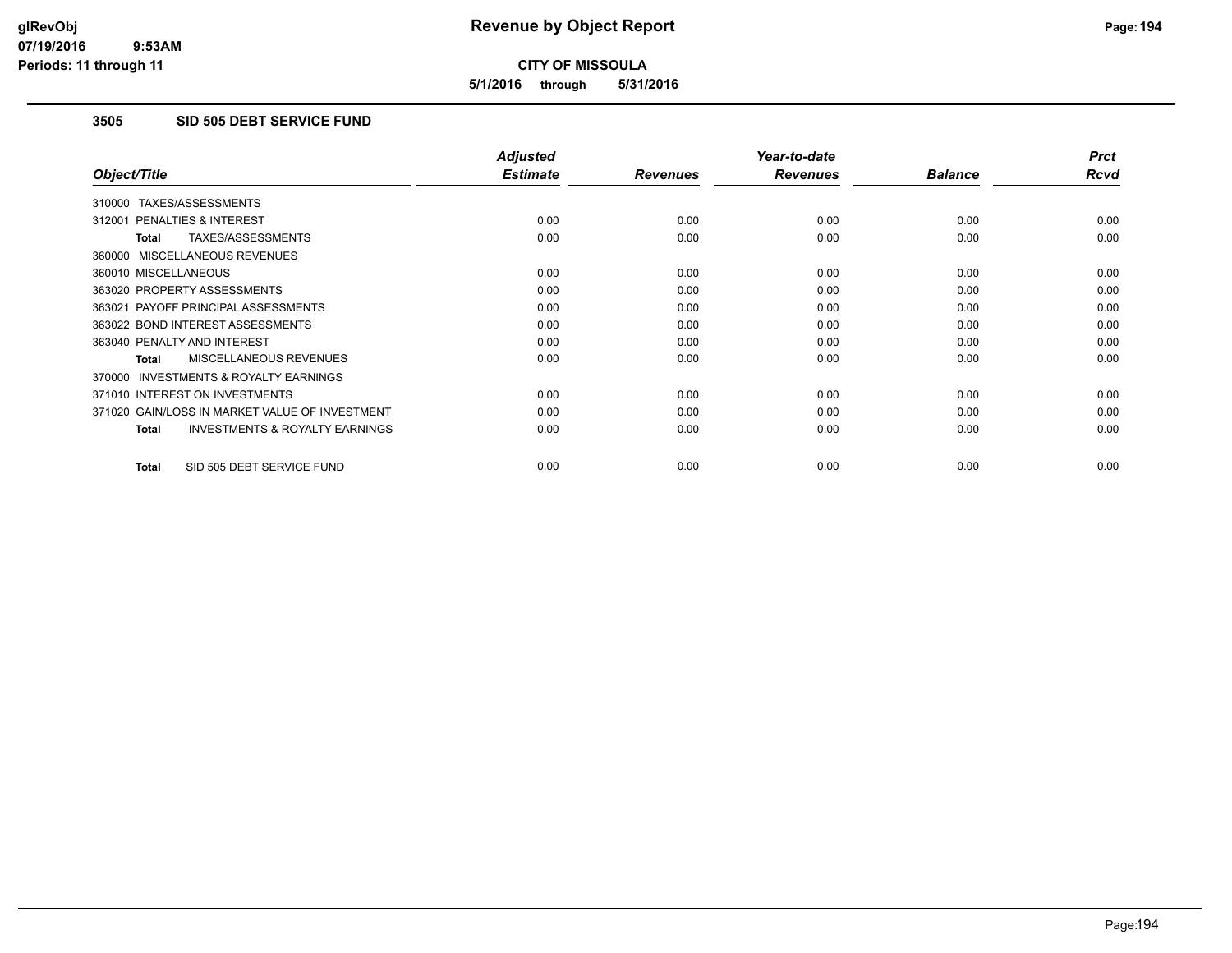**5/1/2016 through 5/31/2016**

## **3505 SID 505 DEBT SERVICE FUND**

|                                                           | <b>Adjusted</b> |                 | Year-to-date    |                | <b>Prct</b> |
|-----------------------------------------------------------|-----------------|-----------------|-----------------|----------------|-------------|
| Object/Title                                              | <b>Estimate</b> | <b>Revenues</b> | <b>Revenues</b> | <b>Balance</b> | <b>Rcvd</b> |
| 310000 TAXES/ASSESSMENTS                                  |                 |                 |                 |                |             |
| 312001 PENALTIES & INTEREST                               | 0.00            | 0.00            | 0.00            | 0.00           | 0.00        |
| <b>TAXES/ASSESSMENTS</b><br><b>Total</b>                  | 0.00            | 0.00            | 0.00            | 0.00           | 0.00        |
| 360000 MISCELLANEOUS REVENUES                             |                 |                 |                 |                |             |
| 360010 MISCELLANEOUS                                      | 0.00            | 0.00            | 0.00            | 0.00           | 0.00        |
| 363020 PROPERTY ASSESSMENTS                               | 0.00            | 0.00            | 0.00            | 0.00           | 0.00        |
| 363021 PAYOFF PRINCIPAL ASSESSMENTS                       | 0.00            | 0.00            | 0.00            | 0.00           | 0.00        |
| 363022 BOND INTEREST ASSESSMENTS                          | 0.00            | 0.00            | 0.00            | 0.00           | 0.00        |
| 363040 PENALTY AND INTEREST                               | 0.00            | 0.00            | 0.00            | 0.00           | 0.00        |
| MISCELLANEOUS REVENUES<br><b>Total</b>                    | 0.00            | 0.00            | 0.00            | 0.00           | 0.00        |
| <b>INVESTMENTS &amp; ROYALTY EARNINGS</b><br>370000       |                 |                 |                 |                |             |
| 371010 INTEREST ON INVESTMENTS                            | 0.00            | 0.00            | 0.00            | 0.00           | 0.00        |
| 371020 GAIN/LOSS IN MARKET VALUE OF INVESTMENT            | 0.00            | 0.00            | 0.00            | 0.00           | 0.00        |
| <b>INVESTMENTS &amp; ROYALTY EARNINGS</b><br><b>Total</b> | 0.00            | 0.00            | 0.00            | 0.00           | 0.00        |
| SID 505 DEBT SERVICE FUND<br><b>Total</b>                 | 0.00            | 0.00            | 0.00            | 0.00           | 0.00        |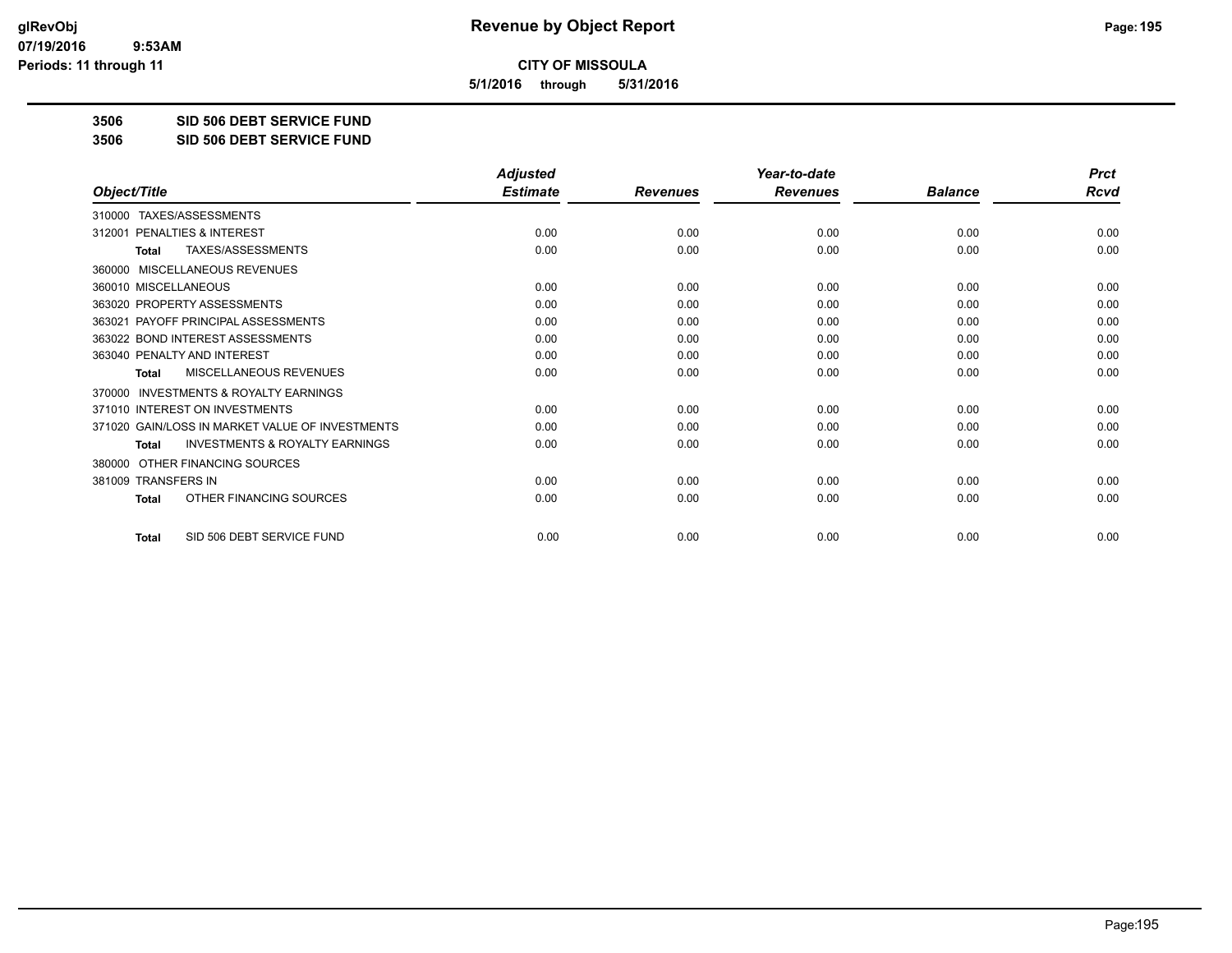**5/1/2016 through 5/31/2016**

**3506 SID 506 DEBT SERVICE FUND**

**3506 SID 506 DEBT SERVICE FUND**

|                                                           | <b>Adjusted</b> |                 | Year-to-date    |                | <b>Prct</b> |
|-----------------------------------------------------------|-----------------|-----------------|-----------------|----------------|-------------|
| Object/Title                                              | <b>Estimate</b> | <b>Revenues</b> | <b>Revenues</b> | <b>Balance</b> | <b>Rcvd</b> |
| TAXES/ASSESSMENTS<br>310000                               |                 |                 |                 |                |             |
| 312001 PENALTIES & INTEREST                               | 0.00            | 0.00            | 0.00            | 0.00           | 0.00        |
| TAXES/ASSESSMENTS<br><b>Total</b>                         | 0.00            | 0.00            | 0.00            | 0.00           | 0.00        |
| MISCELLANEOUS REVENUES<br>360000                          |                 |                 |                 |                |             |
| 360010 MISCELLANEOUS                                      | 0.00            | 0.00            | 0.00            | 0.00           | 0.00        |
| 363020 PROPERTY ASSESSMENTS                               | 0.00            | 0.00            | 0.00            | 0.00           | 0.00        |
| 363021 PAYOFF PRINCIPAL ASSESSMENTS                       | 0.00            | 0.00            | 0.00            | 0.00           | 0.00        |
| 363022 BOND INTEREST ASSESSMENTS                          | 0.00            | 0.00            | 0.00            | 0.00           | 0.00        |
| 363040 PENALTY AND INTEREST                               | 0.00            | 0.00            | 0.00            | 0.00           | 0.00        |
| MISCELLANEOUS REVENUES<br><b>Total</b>                    | 0.00            | 0.00            | 0.00            | 0.00           | 0.00        |
| <b>INVESTMENTS &amp; ROYALTY EARNINGS</b><br>370000       |                 |                 |                 |                |             |
| 371010 INTEREST ON INVESTMENTS                            | 0.00            | 0.00            | 0.00            | 0.00           | 0.00        |
| 371020 GAIN/LOSS IN MARKET VALUE OF INVESTMENTS           | 0.00            | 0.00            | 0.00            | 0.00           | 0.00        |
| <b>INVESTMENTS &amp; ROYALTY EARNINGS</b><br><b>Total</b> | 0.00            | 0.00            | 0.00            | 0.00           | 0.00        |
| OTHER FINANCING SOURCES<br>380000                         |                 |                 |                 |                |             |
| 381009 TRANSFERS IN                                       | 0.00            | 0.00            | 0.00            | 0.00           | 0.00        |
| OTHER FINANCING SOURCES<br><b>Total</b>                   | 0.00            | 0.00            | 0.00            | 0.00           | 0.00        |
| SID 506 DEBT SERVICE FUND<br><b>Total</b>                 | 0.00            | 0.00            | 0.00            | 0.00           | 0.00        |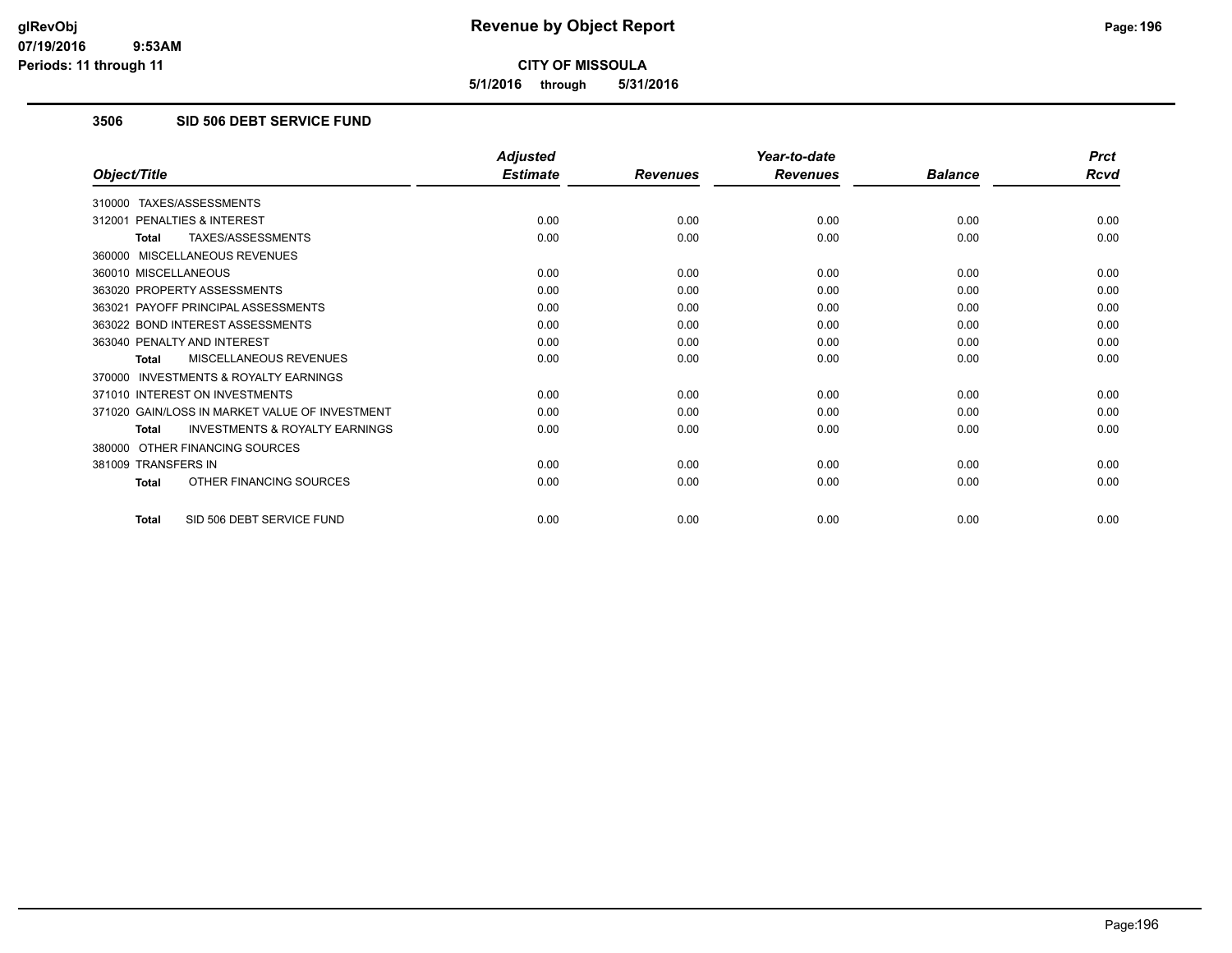**5/1/2016 through 5/31/2016**

## **3506 SID 506 DEBT SERVICE FUND**

|                                                           | <b>Adjusted</b> |                 | Year-to-date    |                | <b>Prct</b> |
|-----------------------------------------------------------|-----------------|-----------------|-----------------|----------------|-------------|
| Object/Title                                              | <b>Estimate</b> | <b>Revenues</b> | <b>Revenues</b> | <b>Balance</b> | <b>Rcvd</b> |
| 310000 TAXES/ASSESSMENTS                                  |                 |                 |                 |                |             |
| 312001 PENALTIES & INTEREST                               | 0.00            | 0.00            | 0.00            | 0.00           | 0.00        |
| TAXES/ASSESSMENTS<br><b>Total</b>                         | 0.00            | 0.00            | 0.00            | 0.00           | 0.00        |
| 360000 MISCELLANEOUS REVENUES                             |                 |                 |                 |                |             |
| 360010 MISCELLANEOUS                                      | 0.00            | 0.00            | 0.00            | 0.00           | 0.00        |
| 363020 PROPERTY ASSESSMENTS                               | 0.00            | 0.00            | 0.00            | 0.00           | 0.00        |
| 363021 PAYOFF PRINCIPAL ASSESSMENTS                       | 0.00            | 0.00            | 0.00            | 0.00           | 0.00        |
| 363022 BOND INTEREST ASSESSMENTS                          | 0.00            | 0.00            | 0.00            | 0.00           | 0.00        |
| 363040 PENALTY AND INTEREST                               | 0.00            | 0.00            | 0.00            | 0.00           | 0.00        |
| MISCELLANEOUS REVENUES<br><b>Total</b>                    | 0.00            | 0.00            | 0.00            | 0.00           | 0.00        |
| <b>INVESTMENTS &amp; ROYALTY EARNINGS</b><br>370000       |                 |                 |                 |                |             |
| 371010 INTEREST ON INVESTMENTS                            | 0.00            | 0.00            | 0.00            | 0.00           | 0.00        |
| 371020 GAIN/LOSS IN MARKET VALUE OF INVESTMENT            | 0.00            | 0.00            | 0.00            | 0.00           | 0.00        |
| <b>INVESTMENTS &amp; ROYALTY EARNINGS</b><br><b>Total</b> | 0.00            | 0.00            | 0.00            | 0.00           | 0.00        |
| OTHER FINANCING SOURCES<br>380000                         |                 |                 |                 |                |             |
| 381009 TRANSFERS IN                                       | 0.00            | 0.00            | 0.00            | 0.00           | 0.00        |
| OTHER FINANCING SOURCES<br><b>Total</b>                   | 0.00            | 0.00            | 0.00            | 0.00           | 0.00        |
| SID 506 DEBT SERVICE FUND<br><b>Total</b>                 | 0.00            | 0.00            | 0.00            | 0.00           | 0.00        |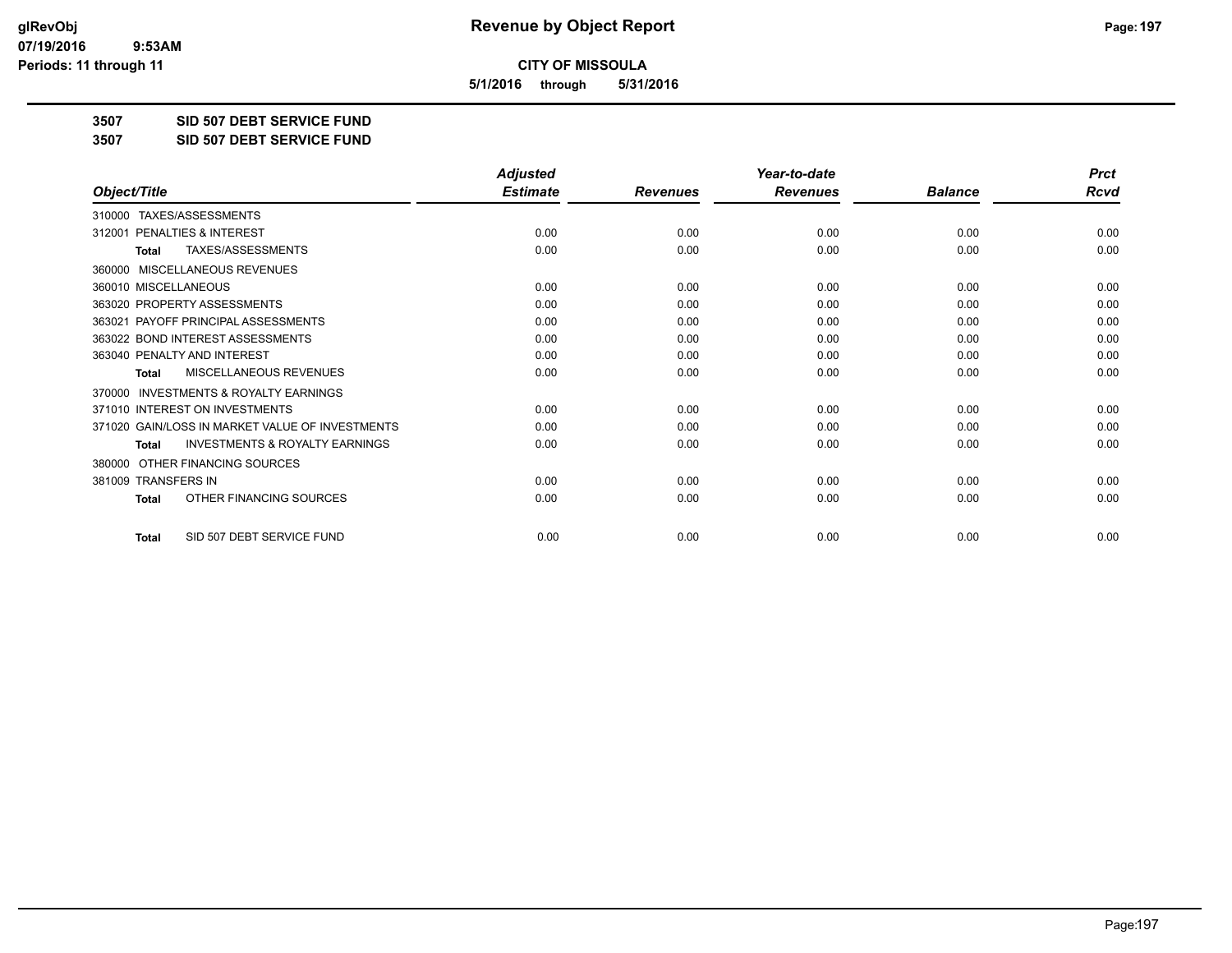**5/1/2016 through 5/31/2016**

**3507 SID 507 DEBT SERVICE FUND**

**3507 SID 507 DEBT SERVICE FUND**

|                                                           | <b>Adjusted</b> |                 | Year-to-date    |                | <b>Prct</b> |
|-----------------------------------------------------------|-----------------|-----------------|-----------------|----------------|-------------|
| Object/Title                                              | <b>Estimate</b> | <b>Revenues</b> | <b>Revenues</b> | <b>Balance</b> | <b>Rcvd</b> |
| TAXES/ASSESSMENTS<br>310000                               |                 |                 |                 |                |             |
| 312001 PENALTIES & INTEREST                               | 0.00            | 0.00            | 0.00            | 0.00           | 0.00        |
| TAXES/ASSESSMENTS<br><b>Total</b>                         | 0.00            | 0.00            | 0.00            | 0.00           | 0.00        |
| MISCELLANEOUS REVENUES<br>360000                          |                 |                 |                 |                |             |
| 360010 MISCELLANEOUS                                      | 0.00            | 0.00            | 0.00            | 0.00           | 0.00        |
| 363020 PROPERTY ASSESSMENTS                               | 0.00            | 0.00            | 0.00            | 0.00           | 0.00        |
| 363021 PAYOFF PRINCIPAL ASSESSMENTS                       | 0.00            | 0.00            | 0.00            | 0.00           | 0.00        |
| 363022 BOND INTEREST ASSESSMENTS                          | 0.00            | 0.00            | 0.00            | 0.00           | 0.00        |
| 363040 PENALTY AND INTEREST                               | 0.00            | 0.00            | 0.00            | 0.00           | 0.00        |
| <b>MISCELLANEOUS REVENUES</b><br><b>Total</b>             | 0.00            | 0.00            | 0.00            | 0.00           | 0.00        |
| <b>INVESTMENTS &amp; ROYALTY EARNINGS</b><br>370000       |                 |                 |                 |                |             |
| 371010 INTEREST ON INVESTMENTS                            | 0.00            | 0.00            | 0.00            | 0.00           | 0.00        |
| 371020 GAIN/LOSS IN MARKET VALUE OF INVESTMENTS           | 0.00            | 0.00            | 0.00            | 0.00           | 0.00        |
| <b>INVESTMENTS &amp; ROYALTY EARNINGS</b><br><b>Total</b> | 0.00            | 0.00            | 0.00            | 0.00           | 0.00        |
| OTHER FINANCING SOURCES<br>380000                         |                 |                 |                 |                |             |
| 381009 TRANSFERS IN                                       | 0.00            | 0.00            | 0.00            | 0.00           | 0.00        |
| OTHER FINANCING SOURCES<br><b>Total</b>                   | 0.00            | 0.00            | 0.00            | 0.00           | 0.00        |
| SID 507 DEBT SERVICE FUND<br><b>Total</b>                 | 0.00            | 0.00            | 0.00            | 0.00           | 0.00        |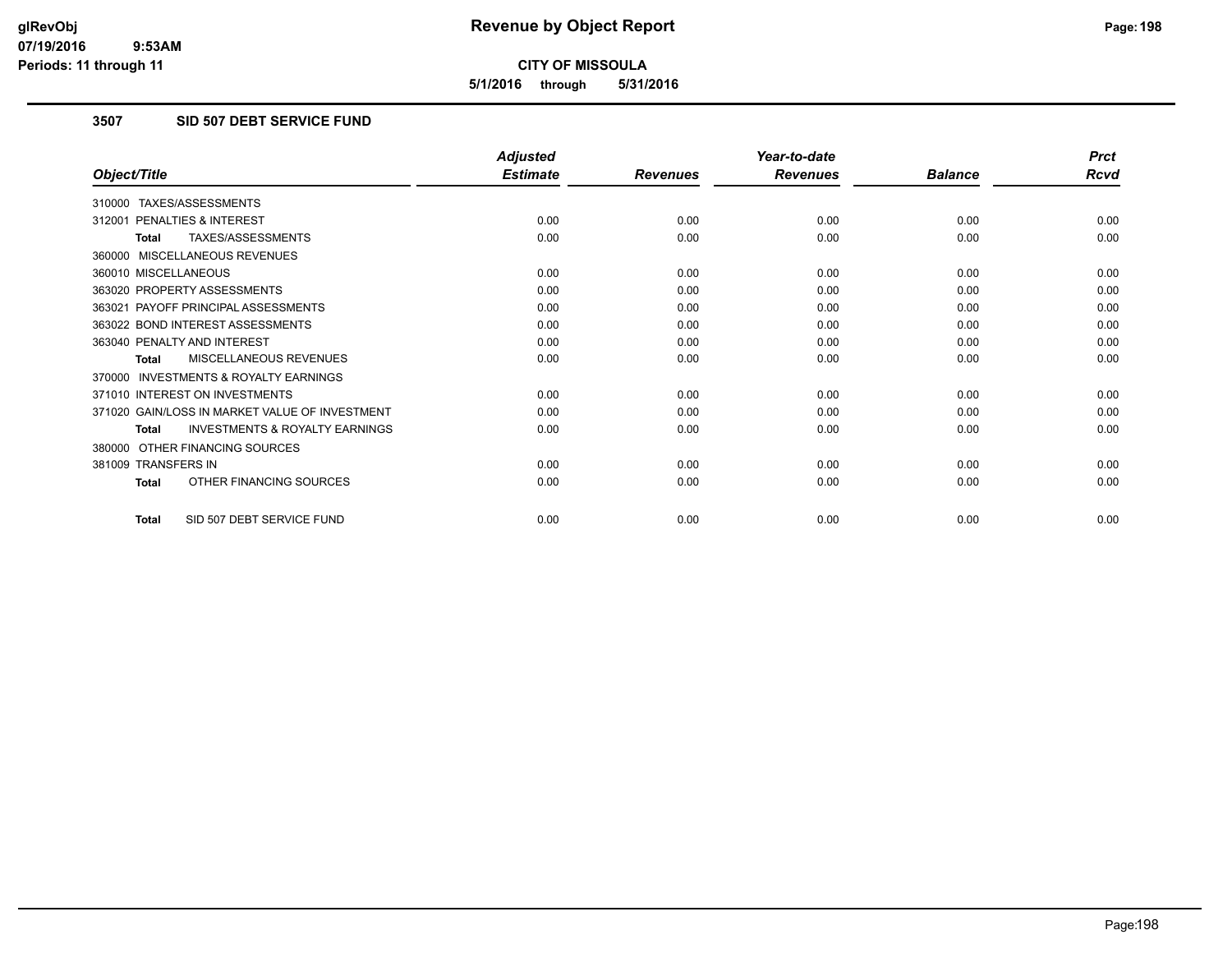**5/1/2016 through 5/31/2016**

# **3507 SID 507 DEBT SERVICE FUND**

|                                                           | <b>Adjusted</b> |                 | Year-to-date    |                | <b>Prct</b> |
|-----------------------------------------------------------|-----------------|-----------------|-----------------|----------------|-------------|
| Object/Title                                              | <b>Estimate</b> | <b>Revenues</b> | <b>Revenues</b> | <b>Balance</b> | <b>Rcvd</b> |
| 310000 TAXES/ASSESSMENTS                                  |                 |                 |                 |                |             |
| 312001 PENALTIES & INTEREST                               | 0.00            | 0.00            | 0.00            | 0.00           | 0.00        |
| TAXES/ASSESSMENTS<br><b>Total</b>                         | 0.00            | 0.00            | 0.00            | 0.00           | 0.00        |
| 360000 MISCELLANEOUS REVENUES                             |                 |                 |                 |                |             |
| 360010 MISCELLANEOUS                                      | 0.00            | 0.00            | 0.00            | 0.00           | 0.00        |
| 363020 PROPERTY ASSESSMENTS                               | 0.00            | 0.00            | 0.00            | 0.00           | 0.00        |
| 363021 PAYOFF PRINCIPAL ASSESSMENTS                       | 0.00            | 0.00            | 0.00            | 0.00           | 0.00        |
| 363022 BOND INTEREST ASSESSMENTS                          | 0.00            | 0.00            | 0.00            | 0.00           | 0.00        |
| 363040 PENALTY AND INTEREST                               | 0.00            | 0.00            | 0.00            | 0.00           | 0.00        |
| MISCELLANEOUS REVENUES<br>Total                           | 0.00            | 0.00            | 0.00            | 0.00           | 0.00        |
| 370000 INVESTMENTS & ROYALTY EARNINGS                     |                 |                 |                 |                |             |
| 371010 INTEREST ON INVESTMENTS                            | 0.00            | 0.00            | 0.00            | 0.00           | 0.00        |
| 371020 GAIN/LOSS IN MARKET VALUE OF INVESTMENT            | 0.00            | 0.00            | 0.00            | 0.00           | 0.00        |
| <b>INVESTMENTS &amp; ROYALTY EARNINGS</b><br><b>Total</b> | 0.00            | 0.00            | 0.00            | 0.00           | 0.00        |
| 380000 OTHER FINANCING SOURCES                            |                 |                 |                 |                |             |
| 381009 TRANSFERS IN                                       | 0.00            | 0.00            | 0.00            | 0.00           | 0.00        |
| OTHER FINANCING SOURCES<br><b>Total</b>                   | 0.00            | 0.00            | 0.00            | 0.00           | 0.00        |
| SID 507 DEBT SERVICE FUND<br><b>Total</b>                 | 0.00            | 0.00            | 0.00            | 0.00           | 0.00        |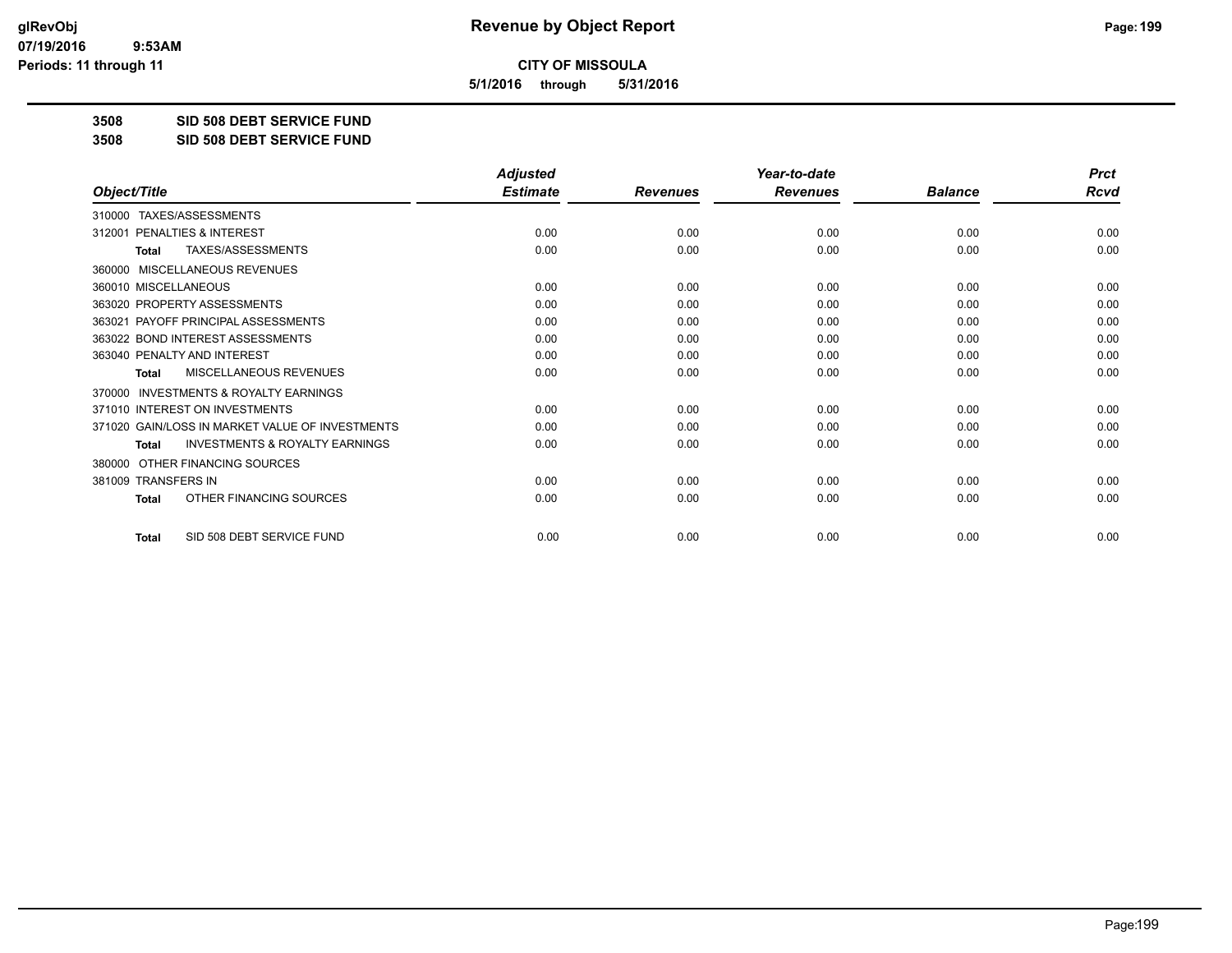**5/1/2016 through 5/31/2016**

**3508 SID 508 DEBT SERVICE FUND**

**3508 SID 508 DEBT SERVICE FUND**

|                                                           | <b>Adjusted</b> |                 | Year-to-date    |                | <b>Prct</b> |
|-----------------------------------------------------------|-----------------|-----------------|-----------------|----------------|-------------|
| Object/Title                                              | <b>Estimate</b> | <b>Revenues</b> | <b>Revenues</b> | <b>Balance</b> | <b>Rcvd</b> |
| TAXES/ASSESSMENTS<br>310000                               |                 |                 |                 |                |             |
| 312001 PENALTIES & INTEREST                               | 0.00            | 0.00            | 0.00            | 0.00           | 0.00        |
| TAXES/ASSESSMENTS<br><b>Total</b>                         | 0.00            | 0.00            | 0.00            | 0.00           | 0.00        |
| MISCELLANEOUS REVENUES<br>360000                          |                 |                 |                 |                |             |
| 360010 MISCELLANEOUS                                      | 0.00            | 0.00            | 0.00            | 0.00           | 0.00        |
| 363020 PROPERTY ASSESSMENTS                               | 0.00            | 0.00            | 0.00            | 0.00           | 0.00        |
| 363021 PAYOFF PRINCIPAL ASSESSMENTS                       | 0.00            | 0.00            | 0.00            | 0.00           | 0.00        |
| 363022 BOND INTEREST ASSESSMENTS                          | 0.00            | 0.00            | 0.00            | 0.00           | 0.00        |
| 363040 PENALTY AND INTEREST                               | 0.00            | 0.00            | 0.00            | 0.00           | 0.00        |
| <b>MISCELLANEOUS REVENUES</b><br><b>Total</b>             | 0.00            | 0.00            | 0.00            | 0.00           | 0.00        |
| <b>INVESTMENTS &amp; ROYALTY EARNINGS</b><br>370000       |                 |                 |                 |                |             |
| 371010 INTEREST ON INVESTMENTS                            | 0.00            | 0.00            | 0.00            | 0.00           | 0.00        |
| 371020 GAIN/LOSS IN MARKET VALUE OF INVESTMENTS           | 0.00            | 0.00            | 0.00            | 0.00           | 0.00        |
| <b>INVESTMENTS &amp; ROYALTY EARNINGS</b><br><b>Total</b> | 0.00            | 0.00            | 0.00            | 0.00           | 0.00        |
| OTHER FINANCING SOURCES<br>380000                         |                 |                 |                 |                |             |
| 381009 TRANSFERS IN                                       | 0.00            | 0.00            | 0.00            | 0.00           | 0.00        |
| OTHER FINANCING SOURCES<br><b>Total</b>                   | 0.00            | 0.00            | 0.00            | 0.00           | 0.00        |
| SID 508 DEBT SERVICE FUND<br><b>Total</b>                 | 0.00            | 0.00            | 0.00            | 0.00           | 0.00        |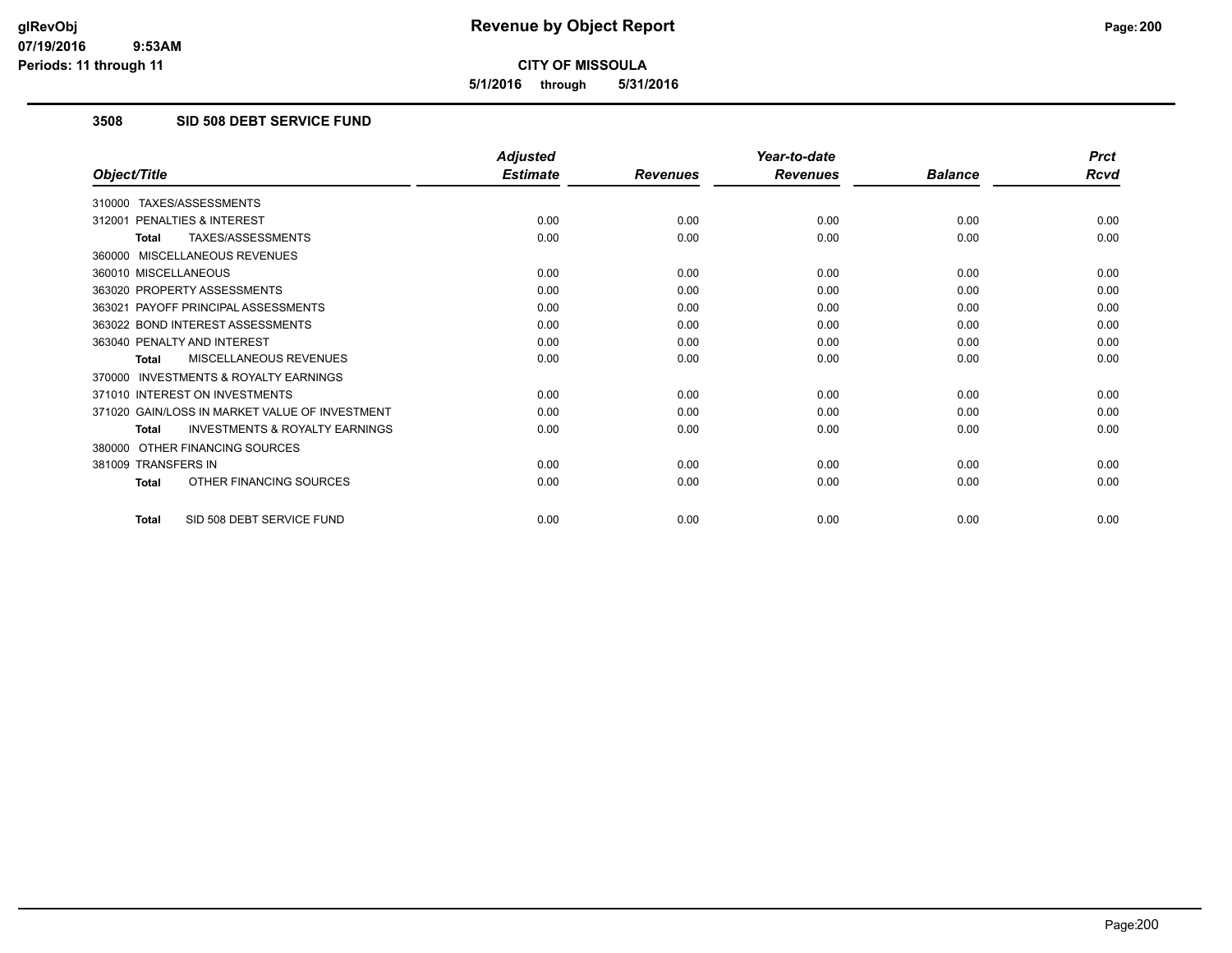**5/1/2016 through 5/31/2016**

### **3508 SID 508 DEBT SERVICE FUND**

|                                                           | <b>Adjusted</b> |                 | Year-to-date    |                | <b>Prct</b> |
|-----------------------------------------------------------|-----------------|-----------------|-----------------|----------------|-------------|
| Object/Title                                              | <b>Estimate</b> | <b>Revenues</b> | <b>Revenues</b> | <b>Balance</b> | <b>Rcvd</b> |
| 310000 TAXES/ASSESSMENTS                                  |                 |                 |                 |                |             |
| 312001 PENALTIES & INTEREST                               | 0.00            | 0.00            | 0.00            | 0.00           | 0.00        |
| TAXES/ASSESSMENTS<br><b>Total</b>                         | 0.00            | 0.00            | 0.00            | 0.00           | 0.00        |
| 360000 MISCELLANEOUS REVENUES                             |                 |                 |                 |                |             |
| 360010 MISCELLANEOUS                                      | 0.00            | 0.00            | 0.00            | 0.00           | 0.00        |
| 363020 PROPERTY ASSESSMENTS                               | 0.00            | 0.00            | 0.00            | 0.00           | 0.00        |
| 363021 PAYOFF PRINCIPAL ASSESSMENTS                       | 0.00            | 0.00            | 0.00            | 0.00           | 0.00        |
| 363022 BOND INTEREST ASSESSMENTS                          | 0.00            | 0.00            | 0.00            | 0.00           | 0.00        |
| 363040 PENALTY AND INTEREST                               | 0.00            | 0.00            | 0.00            | 0.00           | 0.00        |
| MISCELLANEOUS REVENUES<br>Total                           | 0.00            | 0.00            | 0.00            | 0.00           | 0.00        |
| 370000 INVESTMENTS & ROYALTY EARNINGS                     |                 |                 |                 |                |             |
| 371010 INTEREST ON INVESTMENTS                            | 0.00            | 0.00            | 0.00            | 0.00           | 0.00        |
| 371020 GAIN/LOSS IN MARKET VALUE OF INVESTMENT            | 0.00            | 0.00            | 0.00            | 0.00           | 0.00        |
| <b>INVESTMENTS &amp; ROYALTY EARNINGS</b><br><b>Total</b> | 0.00            | 0.00            | 0.00            | 0.00           | 0.00        |
| 380000 OTHER FINANCING SOURCES                            |                 |                 |                 |                |             |
| 381009 TRANSFERS IN                                       | 0.00            | 0.00            | 0.00            | 0.00           | 0.00        |
| OTHER FINANCING SOURCES<br><b>Total</b>                   | 0.00            | 0.00            | 0.00            | 0.00           | 0.00        |
| SID 508 DEBT SERVICE FUND<br><b>Total</b>                 | 0.00            | 0.00            | 0.00            | 0.00           | 0.00        |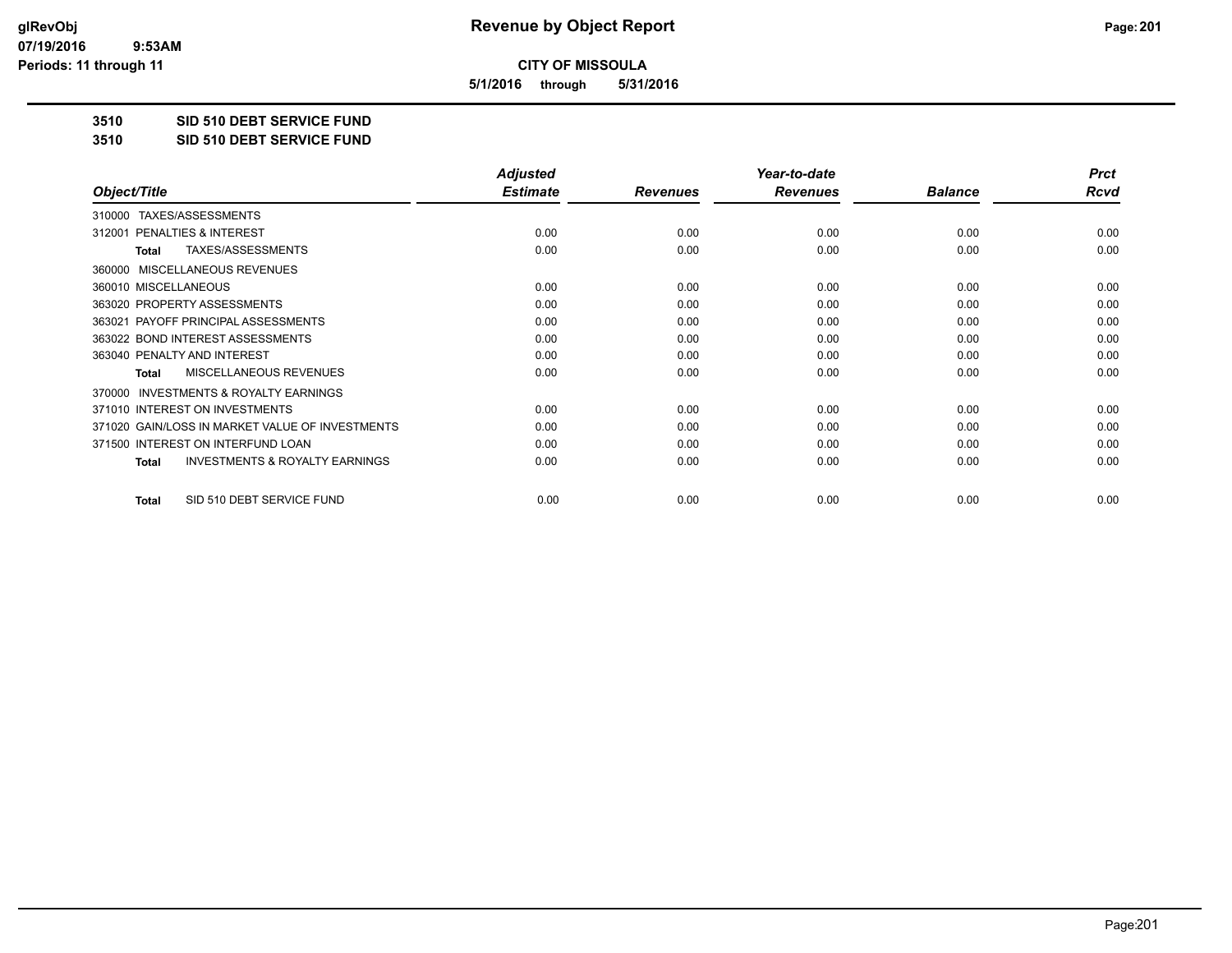**5/1/2016 through 5/31/2016**

**3510 SID 510 DEBT SERVICE FUND**

**3510 SID 510 DEBT SERVICE FUND**

|                                                           | <b>Adjusted</b> |                 | Year-to-date    |                | <b>Prct</b> |
|-----------------------------------------------------------|-----------------|-----------------|-----------------|----------------|-------------|
| Object/Title                                              | <b>Estimate</b> | <b>Revenues</b> | <b>Revenues</b> | <b>Balance</b> | <b>Rcvd</b> |
| TAXES/ASSESSMENTS<br>310000                               |                 |                 |                 |                |             |
| 312001 PENALTIES & INTEREST                               | 0.00            | 0.00            | 0.00            | 0.00           | 0.00        |
| TAXES/ASSESSMENTS<br><b>Total</b>                         | 0.00            | 0.00            | 0.00            | 0.00           | 0.00        |
| <b>MISCELLANEOUS REVENUES</b><br>360000                   |                 |                 |                 |                |             |
| 360010 MISCELLANEOUS                                      | 0.00            | 0.00            | 0.00            | 0.00           | 0.00        |
| 363020 PROPERTY ASSESSMENTS                               | 0.00            | 0.00            | 0.00            | 0.00           | 0.00        |
| 363021 PAYOFF PRINCIPAL ASSESSMENTS                       | 0.00            | 0.00            | 0.00            | 0.00           | 0.00        |
| 363022 BOND INTEREST ASSESSMENTS                          | 0.00            | 0.00            | 0.00            | 0.00           | 0.00        |
| 363040 PENALTY AND INTEREST                               | 0.00            | 0.00            | 0.00            | 0.00           | 0.00        |
| MISCELLANEOUS REVENUES<br><b>Total</b>                    | 0.00            | 0.00            | 0.00            | 0.00           | 0.00        |
| <b>INVESTMENTS &amp; ROYALTY EARNINGS</b><br>370000       |                 |                 |                 |                |             |
| 371010 INTEREST ON INVESTMENTS                            | 0.00            | 0.00            | 0.00            | 0.00           | 0.00        |
| 371020 GAIN/LOSS IN MARKET VALUE OF INVESTMENTS           | 0.00            | 0.00            | 0.00            | 0.00           | 0.00        |
| 371500 INTEREST ON INTERFUND LOAN                         | 0.00            | 0.00            | 0.00            | 0.00           | 0.00        |
| <b>INVESTMENTS &amp; ROYALTY EARNINGS</b><br><b>Total</b> | 0.00            | 0.00            | 0.00            | 0.00           | 0.00        |
| SID 510 DEBT SERVICE FUND<br>Total                        | 0.00            | 0.00            | 0.00            | 0.00           | 0.00        |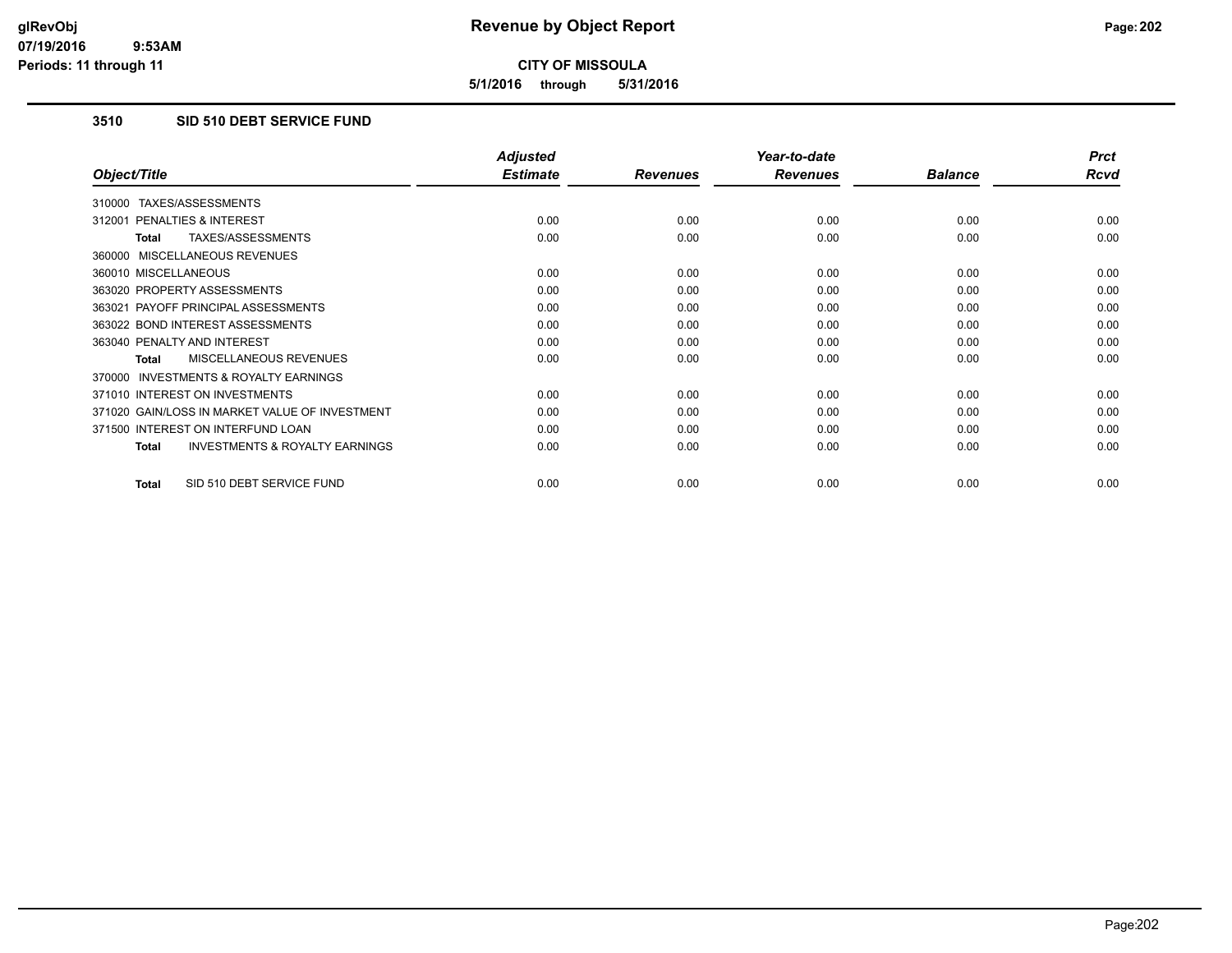**5/1/2016 through 5/31/2016**

# **3510 SID 510 DEBT SERVICE FUND**

|                                                           | <b>Adjusted</b> |                 | Year-to-date    |                | <b>Prct</b> |
|-----------------------------------------------------------|-----------------|-----------------|-----------------|----------------|-------------|
| Object/Title                                              | <b>Estimate</b> | <b>Revenues</b> | <b>Revenues</b> | <b>Balance</b> | Rcvd        |
| TAXES/ASSESSMENTS<br>310000                               |                 |                 |                 |                |             |
| <b>PENALTIES &amp; INTEREST</b><br>312001                 | 0.00            | 0.00            | 0.00            | 0.00           | 0.00        |
| TAXES/ASSESSMENTS<br>Total                                | 0.00            | 0.00            | 0.00            | 0.00           | 0.00        |
| 360000 MISCELLANEOUS REVENUES                             |                 |                 |                 |                |             |
| 360010 MISCELLANEOUS                                      | 0.00            | 0.00            | 0.00            | 0.00           | 0.00        |
| 363020 PROPERTY ASSESSMENTS                               | 0.00            | 0.00            | 0.00            | 0.00           | 0.00        |
| 363021 PAYOFF PRINCIPAL ASSESSMENTS                       | 0.00            | 0.00            | 0.00            | 0.00           | 0.00        |
| 363022 BOND INTEREST ASSESSMENTS                          | 0.00            | 0.00            | 0.00            | 0.00           | 0.00        |
| 363040 PENALTY AND INTEREST                               | 0.00            | 0.00            | 0.00            | 0.00           | 0.00        |
| <b>MISCELLANEOUS REVENUES</b><br><b>Total</b>             | 0.00            | 0.00            | 0.00            | 0.00           | 0.00        |
| <b>INVESTMENTS &amp; ROYALTY EARNINGS</b><br>370000       |                 |                 |                 |                |             |
| 371010 INTEREST ON INVESTMENTS                            | 0.00            | 0.00            | 0.00            | 0.00           | 0.00        |
| 371020 GAIN/LOSS IN MARKET VALUE OF INVESTMENT            | 0.00            | 0.00            | 0.00            | 0.00           | 0.00        |
| 371500 INTEREST ON INTERFUND LOAN                         | 0.00            | 0.00            | 0.00            | 0.00           | 0.00        |
| <b>INVESTMENTS &amp; ROYALTY EARNINGS</b><br><b>Total</b> | 0.00            | 0.00            | 0.00            | 0.00           | 0.00        |
|                                                           |                 |                 |                 |                |             |
| SID 510 DEBT SERVICE FUND<br><b>Total</b>                 | 0.00            | 0.00            | 0.00            | 0.00           | 0.00        |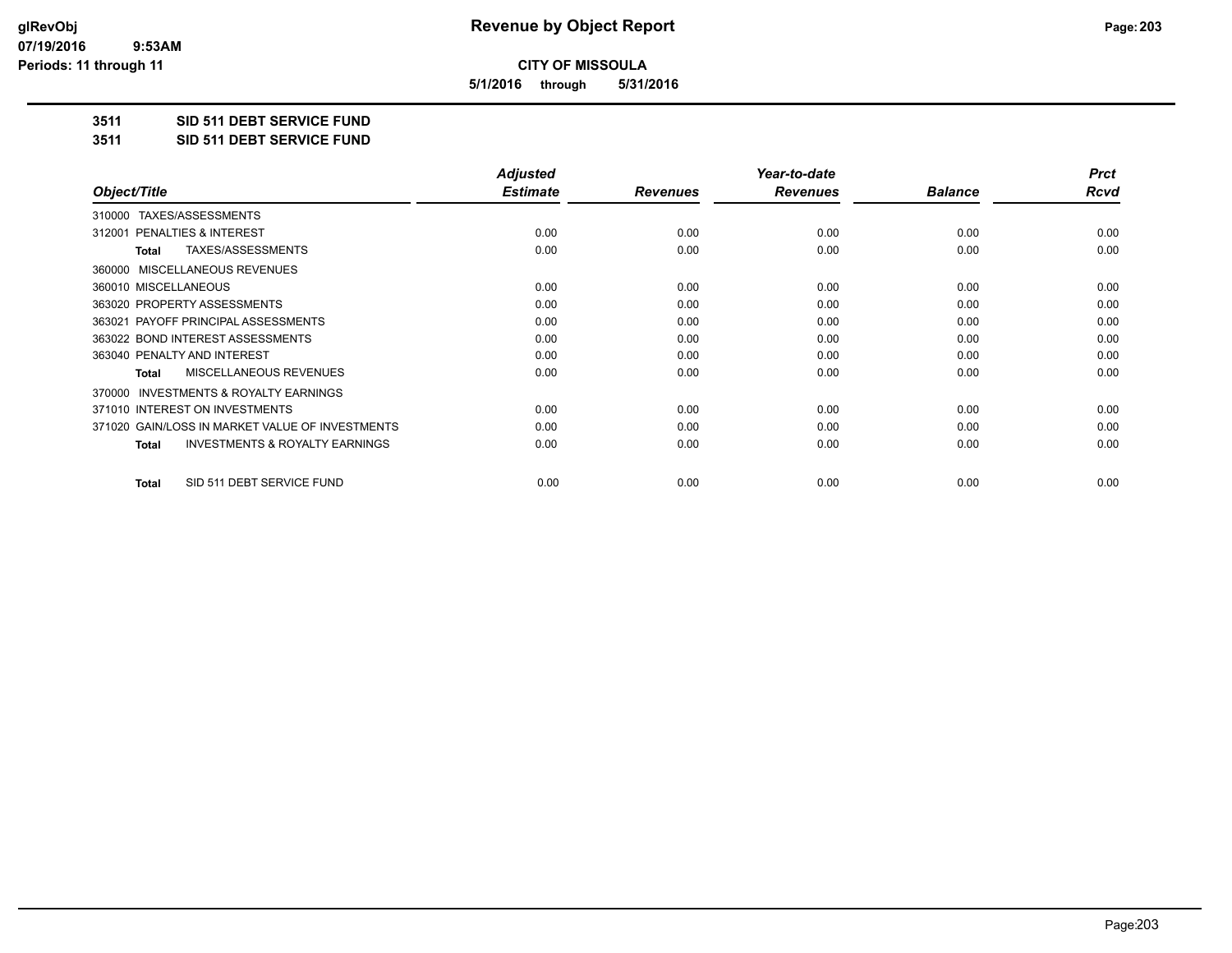**5/1/2016 through 5/31/2016**

### **3511 SID 511 DEBT SERVICE FUND**

**3511 SID 511 DEBT SERVICE FUND**

|                                                           | <b>Adjusted</b> |                 | Year-to-date    |                | <b>Prct</b> |
|-----------------------------------------------------------|-----------------|-----------------|-----------------|----------------|-------------|
| Object/Title                                              | <b>Estimate</b> | <b>Revenues</b> | <b>Revenues</b> | <b>Balance</b> | Rcvd        |
| TAXES/ASSESSMENTS<br>310000                               |                 |                 |                 |                |             |
| <b>PENALTIES &amp; INTEREST</b><br>312001                 | 0.00            | 0.00            | 0.00            | 0.00           | 0.00        |
| TAXES/ASSESSMENTS<br><b>Total</b>                         | 0.00            | 0.00            | 0.00            | 0.00           | 0.00        |
| 360000 MISCELLANEOUS REVENUES                             |                 |                 |                 |                |             |
| 360010 MISCELLANEOUS                                      | 0.00            | 0.00            | 0.00            | 0.00           | 0.00        |
| 363020 PROPERTY ASSESSMENTS                               | 0.00            | 0.00            | 0.00            | 0.00           | 0.00        |
| 363021 PAYOFF PRINCIPAL ASSESSMENTS                       | 0.00            | 0.00            | 0.00            | 0.00           | 0.00        |
| 363022 BOND INTEREST ASSESSMENTS                          | 0.00            | 0.00            | 0.00            | 0.00           | 0.00        |
| 363040 PENALTY AND INTEREST                               | 0.00            | 0.00            | 0.00            | 0.00           | 0.00        |
| MISCELLANEOUS REVENUES<br><b>Total</b>                    | 0.00            | 0.00            | 0.00            | 0.00           | 0.00        |
| 370000 INVESTMENTS & ROYALTY EARNINGS                     |                 |                 |                 |                |             |
| 371010 INTEREST ON INVESTMENTS                            | 0.00            | 0.00            | 0.00            | 0.00           | 0.00        |
| 371020 GAIN/LOSS IN MARKET VALUE OF INVESTMENTS           | 0.00            | 0.00            | 0.00            | 0.00           | 0.00        |
| <b>INVESTMENTS &amp; ROYALTY EARNINGS</b><br><b>Total</b> | 0.00            | 0.00            | 0.00            | 0.00           | 0.00        |
| SID 511 DEBT SERVICE FUND<br>Total                        | 0.00            | 0.00            | 0.00            | 0.00           | 0.00        |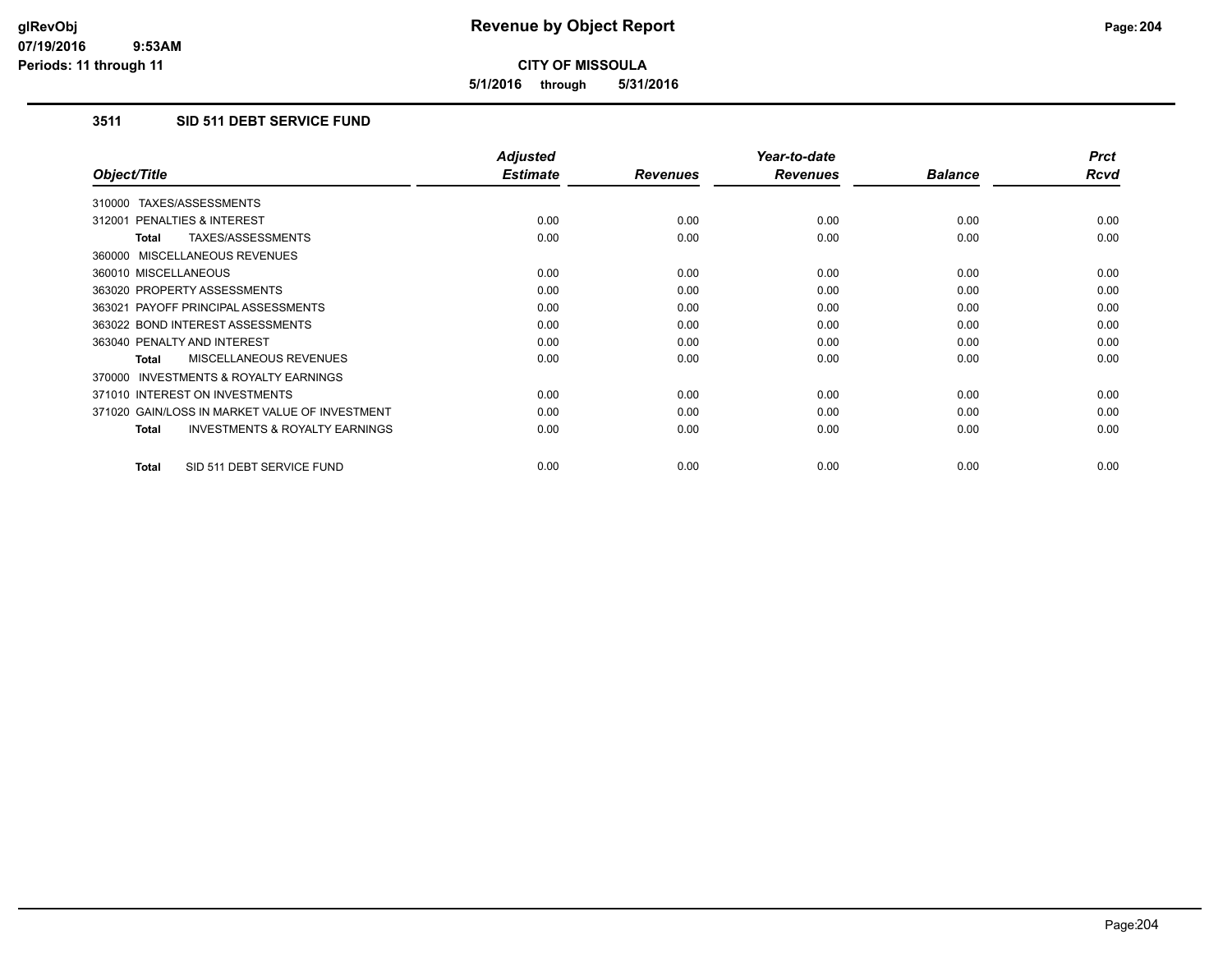**5/1/2016 through 5/31/2016**

# **3511 SID 511 DEBT SERVICE FUND**

|                                                           | <b>Adjusted</b> |                 | Year-to-date    |                | <b>Prct</b> |
|-----------------------------------------------------------|-----------------|-----------------|-----------------|----------------|-------------|
| Object/Title                                              | <b>Estimate</b> | <b>Revenues</b> | <b>Revenues</b> | <b>Balance</b> | <b>Rcvd</b> |
| 310000 TAXES/ASSESSMENTS                                  |                 |                 |                 |                |             |
| 312001 PENALTIES & INTEREST                               | 0.00            | 0.00            | 0.00            | 0.00           | 0.00        |
| TAXES/ASSESSMENTS<br><b>Total</b>                         | 0.00            | 0.00            | 0.00            | 0.00           | 0.00        |
| 360000 MISCELLANEOUS REVENUES                             |                 |                 |                 |                |             |
| 360010 MISCELLANEOUS                                      | 0.00            | 0.00            | 0.00            | 0.00           | 0.00        |
| 363020 PROPERTY ASSESSMENTS                               | 0.00            | 0.00            | 0.00            | 0.00           | 0.00        |
| 363021 PAYOFF PRINCIPAL ASSESSMENTS                       | 0.00            | 0.00            | 0.00            | 0.00           | 0.00        |
| 363022 BOND INTEREST ASSESSMENTS                          | 0.00            | 0.00            | 0.00            | 0.00           | 0.00        |
| 363040 PENALTY AND INTEREST                               | 0.00            | 0.00            | 0.00            | 0.00           | 0.00        |
| MISCELLANEOUS REVENUES<br>Total                           | 0.00            | 0.00            | 0.00            | 0.00           | 0.00        |
| <b>INVESTMENTS &amp; ROYALTY EARNINGS</b><br>370000       |                 |                 |                 |                |             |
| 371010 INTEREST ON INVESTMENTS                            | 0.00            | 0.00            | 0.00            | 0.00           | 0.00        |
| 371020 GAIN/LOSS IN MARKET VALUE OF INVESTMENT            | 0.00            | 0.00            | 0.00            | 0.00           | 0.00        |
| <b>INVESTMENTS &amp; ROYALTY EARNINGS</b><br><b>Total</b> | 0.00            | 0.00            | 0.00            | 0.00           | 0.00        |
| SID 511 DEBT SERVICE FUND<br><b>Total</b>                 | 0.00            | 0.00            | 0.00            | 0.00           | 0.00        |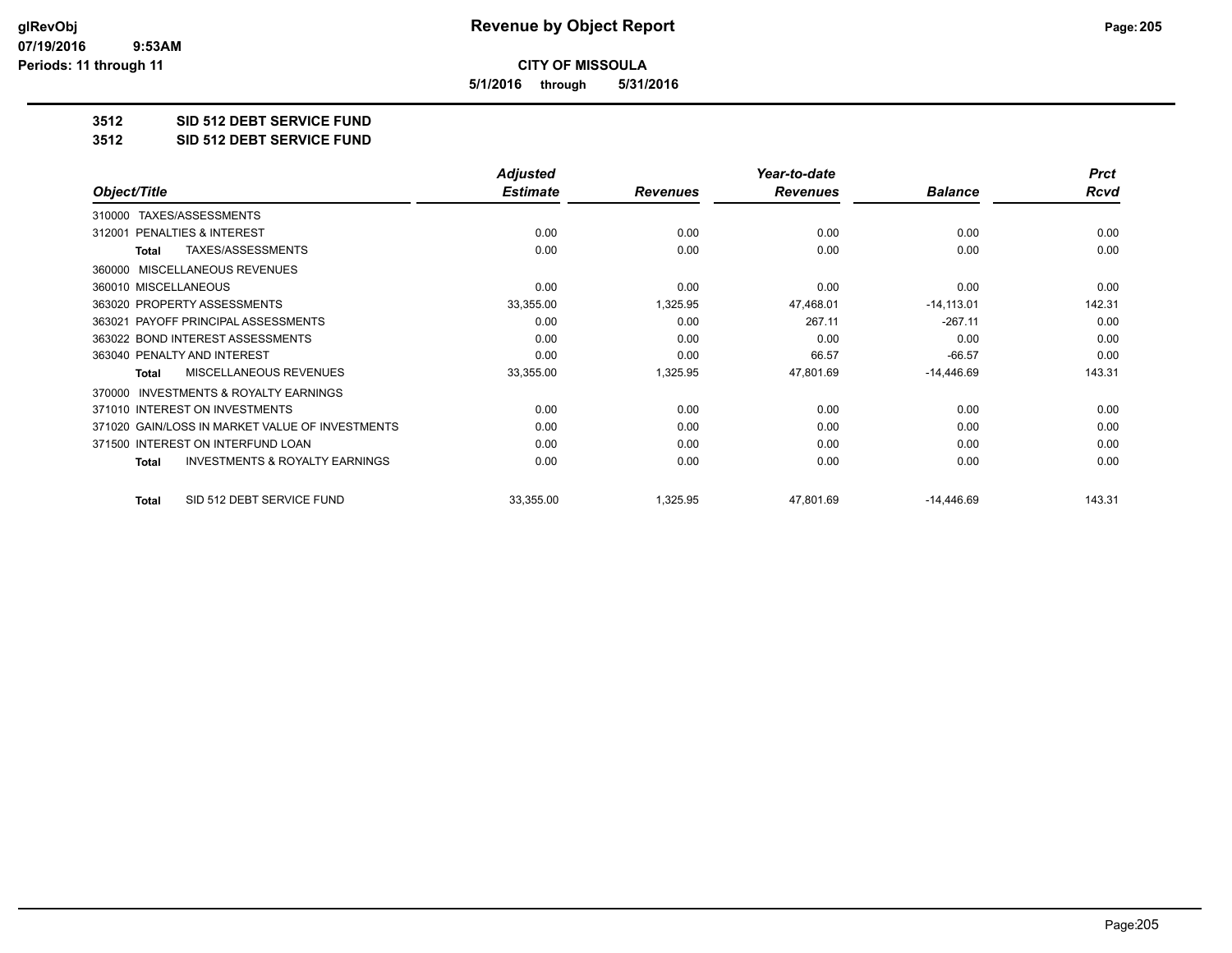**5/1/2016 through 5/31/2016**

### **3512 SID 512 DEBT SERVICE FUND**

**3512 SID 512 DEBT SERVICE FUND**

|                                                           | <b>Adjusted</b> |                 | Year-to-date    |                | <b>Prct</b> |
|-----------------------------------------------------------|-----------------|-----------------|-----------------|----------------|-------------|
| Object/Title                                              | <b>Estimate</b> | <b>Revenues</b> | <b>Revenues</b> | <b>Balance</b> | <b>Rcvd</b> |
| TAXES/ASSESSMENTS<br>310000                               |                 |                 |                 |                |             |
| <b>PENALTIES &amp; INTEREST</b><br>312001                 | 0.00            | 0.00            | 0.00            | 0.00           | 0.00        |
| TAXES/ASSESSMENTS<br><b>Total</b>                         | 0.00            | 0.00            | 0.00            | 0.00           | 0.00        |
| MISCELLANEOUS REVENUES<br>360000                          |                 |                 |                 |                |             |
| 360010 MISCELLANEOUS                                      | 0.00            | 0.00            | 0.00            | 0.00           | 0.00        |
| 363020 PROPERTY ASSESSMENTS                               | 33,355.00       | 1,325.95        | 47,468.01       | $-14,113.01$   | 142.31      |
| 363021 PAYOFF PRINCIPAL ASSESSMENTS                       | 0.00            | 0.00            | 267.11          | $-267.11$      | 0.00        |
| 363022 BOND INTEREST ASSESSMENTS                          | 0.00            | 0.00            | 0.00            | 0.00           | 0.00        |
| 363040 PENALTY AND INTEREST                               | 0.00            | 0.00            | 66.57           | $-66.57$       | 0.00        |
| <b>MISCELLANEOUS REVENUES</b><br><b>Total</b>             | 33,355.00       | 1,325.95        | 47,801.69       | $-14,446.69$   | 143.31      |
| <b>INVESTMENTS &amp; ROYALTY EARNINGS</b><br>370000       |                 |                 |                 |                |             |
| 371010 INTEREST ON INVESTMENTS                            | 0.00            | 0.00            | 0.00            | 0.00           | 0.00        |
| 371020 GAIN/LOSS IN MARKET VALUE OF INVESTMENTS           | 0.00            | 0.00            | 0.00            | 0.00           | 0.00        |
| 371500 INTEREST ON INTERFUND LOAN                         | 0.00            | 0.00            | 0.00            | 0.00           | 0.00        |
| <b>INVESTMENTS &amp; ROYALTY EARNINGS</b><br><b>Total</b> | 0.00            | 0.00            | 0.00            | 0.00           | 0.00        |
| SID 512 DEBT SERVICE FUND<br><b>Total</b>                 | 33,355.00       | 1,325.95        | 47,801.69       | $-14,446.69$   | 143.31      |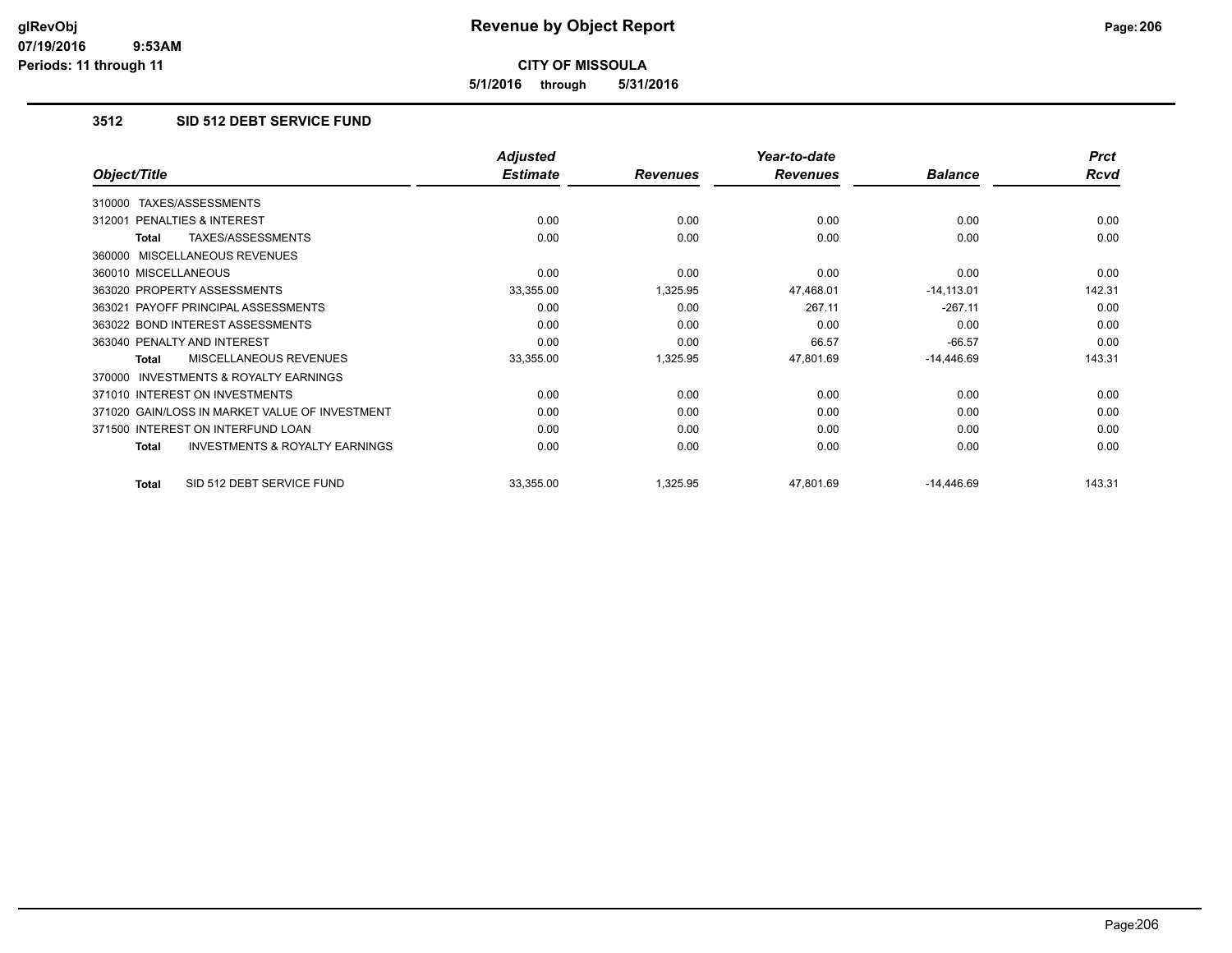**5/1/2016 through 5/31/2016**

## **3512 SID 512 DEBT SERVICE FUND**

| Object/Title                                        | <b>Adjusted</b><br><b>Estimate</b> | <b>Revenues</b> | Year-to-date<br><b>Revenues</b> | <b>Balance</b> | <b>Prct</b><br>Rcvd |
|-----------------------------------------------------|------------------------------------|-----------------|---------------------------------|----------------|---------------------|
|                                                     |                                    |                 |                                 |                |                     |
| TAXES/ASSESSMENTS<br>310000                         |                                    |                 |                                 |                |                     |
| <b>PENALTIES &amp; INTEREST</b><br>312001           | 0.00                               | 0.00            | 0.00                            | 0.00           | 0.00                |
| TAXES/ASSESSMENTS<br>Total                          | 0.00                               | 0.00            | 0.00                            | 0.00           | 0.00                |
| 360000 MISCELLANEOUS REVENUES                       |                                    |                 |                                 |                |                     |
| 360010 MISCELLANEOUS                                | 0.00                               | 0.00            | 0.00                            | 0.00           | 0.00                |
| 363020 PROPERTY ASSESSMENTS                         | 33,355.00                          | 1,325.95        | 47,468.01                       | $-14,113.01$   | 142.31              |
| 363021 PAYOFF PRINCIPAL ASSESSMENTS                 | 0.00                               | 0.00            | 267.11                          | $-267.11$      | 0.00                |
| 363022 BOND INTEREST ASSESSMENTS                    | 0.00                               | 0.00            | 0.00                            | 0.00           | 0.00                |
| 363040 PENALTY AND INTEREST                         | 0.00                               | 0.00            | 66.57                           | $-66.57$       | 0.00                |
| MISCELLANEOUS REVENUES<br>Total                     | 33,355.00                          | 1,325.95        | 47,801.69                       | $-14,446.69$   | 143.31              |
| <b>INVESTMENTS &amp; ROYALTY EARNINGS</b><br>370000 |                                    |                 |                                 |                |                     |
| 371010 INTEREST ON INVESTMENTS                      | 0.00                               | 0.00            | 0.00                            | 0.00           | 0.00                |
| 371020 GAIN/LOSS IN MARKET VALUE OF INVESTMENT      | 0.00                               | 0.00            | 0.00                            | 0.00           | 0.00                |
| 371500 INTEREST ON INTERFUND LOAN                   | 0.00                               | 0.00            | 0.00                            | 0.00           | 0.00                |
| <b>INVESTMENTS &amp; ROYALTY EARNINGS</b><br>Total  | 0.00                               | 0.00            | 0.00                            | 0.00           | 0.00                |
| SID 512 DEBT SERVICE FUND<br><b>Total</b>           | 33,355.00                          | 1,325.95        | 47,801.69                       | $-14,446.69$   | 143.31              |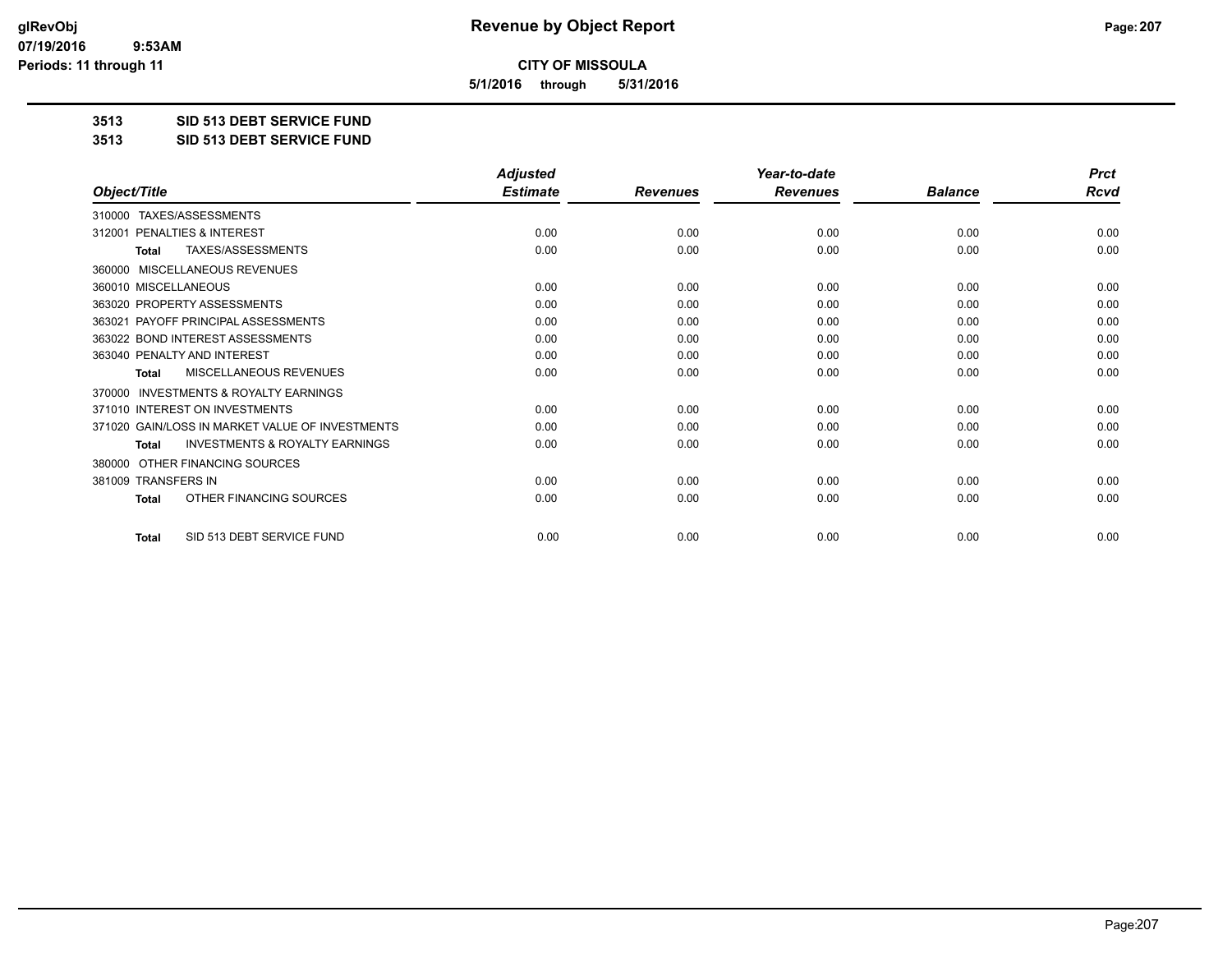**5/1/2016 through 5/31/2016**

**3513 SID 513 DEBT SERVICE FUND**

**3513 SID 513 DEBT SERVICE FUND**

|                                                           | <b>Adjusted</b> |                 | Year-to-date    |                | <b>Prct</b> |
|-----------------------------------------------------------|-----------------|-----------------|-----------------|----------------|-------------|
| Object/Title                                              | <b>Estimate</b> | <b>Revenues</b> | <b>Revenues</b> | <b>Balance</b> | <b>Rcvd</b> |
| TAXES/ASSESSMENTS<br>310000                               |                 |                 |                 |                |             |
| 312001 PENALTIES & INTEREST                               | 0.00            | 0.00            | 0.00            | 0.00           | 0.00        |
| TAXES/ASSESSMENTS<br><b>Total</b>                         | 0.00            | 0.00            | 0.00            | 0.00           | 0.00        |
| MISCELLANEOUS REVENUES<br>360000                          |                 |                 |                 |                |             |
| 360010 MISCELLANEOUS                                      | 0.00            | 0.00            | 0.00            | 0.00           | 0.00        |
| 363020 PROPERTY ASSESSMENTS                               | 0.00            | 0.00            | 0.00            | 0.00           | 0.00        |
| 363021 PAYOFF PRINCIPAL ASSESSMENTS                       | 0.00            | 0.00            | 0.00            | 0.00           | 0.00        |
| 363022 BOND INTEREST ASSESSMENTS                          | 0.00            | 0.00            | 0.00            | 0.00           | 0.00        |
| 363040 PENALTY AND INTEREST                               | 0.00            | 0.00            | 0.00            | 0.00           | 0.00        |
| <b>MISCELLANEOUS REVENUES</b><br><b>Total</b>             | 0.00            | 0.00            | 0.00            | 0.00           | 0.00        |
| <b>INVESTMENTS &amp; ROYALTY EARNINGS</b><br>370000       |                 |                 |                 |                |             |
| 371010 INTEREST ON INVESTMENTS                            | 0.00            | 0.00            | 0.00            | 0.00           | 0.00        |
| 371020 GAIN/LOSS IN MARKET VALUE OF INVESTMENTS           | 0.00            | 0.00            | 0.00            | 0.00           | 0.00        |
| <b>INVESTMENTS &amp; ROYALTY EARNINGS</b><br><b>Total</b> | 0.00            | 0.00            | 0.00            | 0.00           | 0.00        |
| OTHER FINANCING SOURCES<br>380000                         |                 |                 |                 |                |             |
| 381009 TRANSFERS IN                                       | 0.00            | 0.00            | 0.00            | 0.00           | 0.00        |
| OTHER FINANCING SOURCES<br>Total                          | 0.00            | 0.00            | 0.00            | 0.00           | 0.00        |
| SID 513 DEBT SERVICE FUND<br><b>Total</b>                 | 0.00            | 0.00            | 0.00            | 0.00           | 0.00        |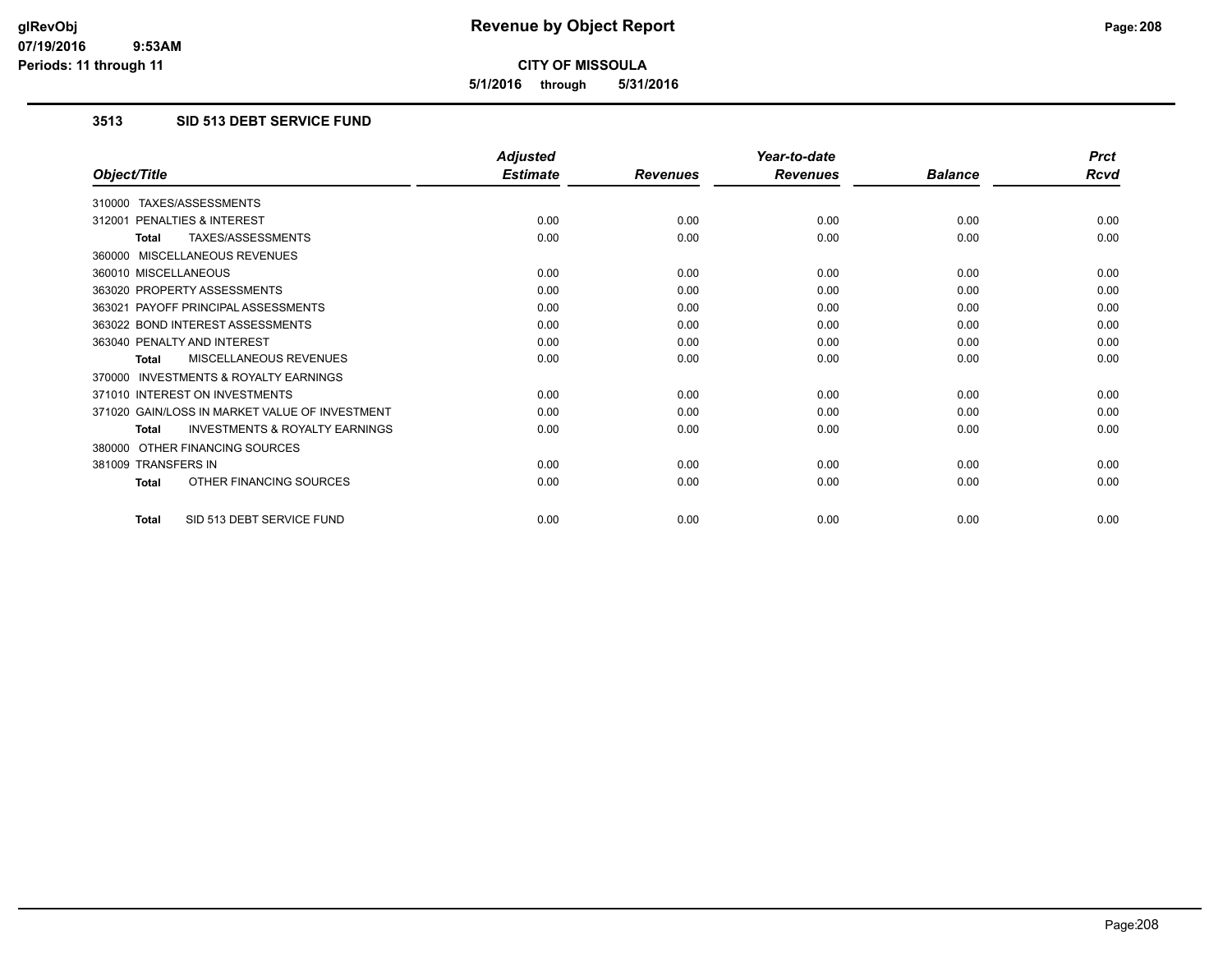**5/1/2016 through 5/31/2016**

## **3513 SID 513 DEBT SERVICE FUND**

|                                                           | <b>Adjusted</b> |                 | Year-to-date    |                | <b>Prct</b> |
|-----------------------------------------------------------|-----------------|-----------------|-----------------|----------------|-------------|
| Object/Title                                              | <b>Estimate</b> | <b>Revenues</b> | <b>Revenues</b> | <b>Balance</b> | <b>Rcvd</b> |
| 310000 TAXES/ASSESSMENTS                                  |                 |                 |                 |                |             |
| 312001 PENALTIES & INTEREST                               | 0.00            | 0.00            | 0.00            | 0.00           | 0.00        |
| TAXES/ASSESSMENTS<br><b>Total</b>                         | 0.00            | 0.00            | 0.00            | 0.00           | 0.00        |
| 360000 MISCELLANEOUS REVENUES                             |                 |                 |                 |                |             |
| 360010 MISCELLANEOUS                                      | 0.00            | 0.00            | 0.00            | 0.00           | 0.00        |
| 363020 PROPERTY ASSESSMENTS                               | 0.00            | 0.00            | 0.00            | 0.00           | 0.00        |
| 363021 PAYOFF PRINCIPAL ASSESSMENTS                       | 0.00            | 0.00            | 0.00            | 0.00           | 0.00        |
| 363022 BOND INTEREST ASSESSMENTS                          | 0.00            | 0.00            | 0.00            | 0.00           | 0.00        |
| 363040 PENALTY AND INTEREST                               | 0.00            | 0.00            | 0.00            | 0.00           | 0.00        |
| MISCELLANEOUS REVENUES<br><b>Total</b>                    | 0.00            | 0.00            | 0.00            | 0.00           | 0.00        |
| <b>INVESTMENTS &amp; ROYALTY EARNINGS</b><br>370000       |                 |                 |                 |                |             |
| 371010 INTEREST ON INVESTMENTS                            | 0.00            | 0.00            | 0.00            | 0.00           | 0.00        |
| 371020 GAIN/LOSS IN MARKET VALUE OF INVESTMENT            | 0.00            | 0.00            | 0.00            | 0.00           | 0.00        |
| <b>INVESTMENTS &amp; ROYALTY EARNINGS</b><br><b>Total</b> | 0.00            | 0.00            | 0.00            | 0.00           | 0.00        |
| 380000 OTHER FINANCING SOURCES                            |                 |                 |                 |                |             |
| 381009 TRANSFERS IN                                       | 0.00            | 0.00            | 0.00            | 0.00           | 0.00        |
| OTHER FINANCING SOURCES<br>Total                          | 0.00            | 0.00            | 0.00            | 0.00           | 0.00        |
| SID 513 DEBT SERVICE FUND<br>Total                        | 0.00            | 0.00            | 0.00            | 0.00           | 0.00        |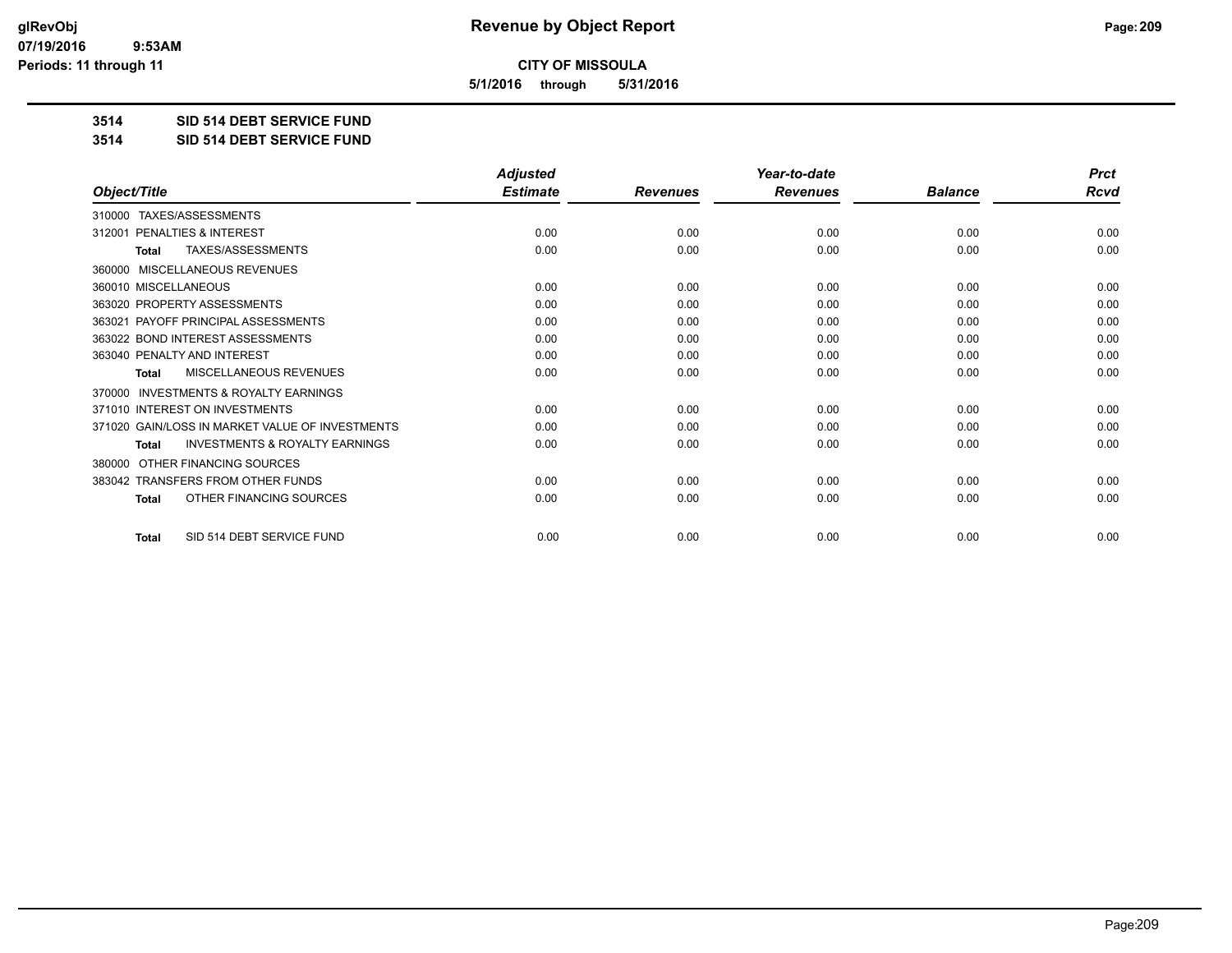**5/1/2016 through 5/31/2016**

**3514 SID 514 DEBT SERVICE FUND**

**3514 SID 514 DEBT SERVICE FUND**

|                                                           | <b>Adjusted</b> |                 | Year-to-date    |                | <b>Prct</b> |
|-----------------------------------------------------------|-----------------|-----------------|-----------------|----------------|-------------|
| Object/Title                                              | <b>Estimate</b> | <b>Revenues</b> | <b>Revenues</b> | <b>Balance</b> | <b>Rcvd</b> |
| TAXES/ASSESSMENTS<br>310000                               |                 |                 |                 |                |             |
| 312001 PENALTIES & INTEREST                               | 0.00            | 0.00            | 0.00            | 0.00           | 0.00        |
| TAXES/ASSESSMENTS<br><b>Total</b>                         | 0.00            | 0.00            | 0.00            | 0.00           | 0.00        |
| <b>MISCELLANEOUS REVENUES</b><br>360000                   |                 |                 |                 |                |             |
| 360010 MISCELLANEOUS                                      | 0.00            | 0.00            | 0.00            | 0.00           | 0.00        |
| 363020 PROPERTY ASSESSMENTS                               | 0.00            | 0.00            | 0.00            | 0.00           | 0.00        |
| 363021 PAYOFF PRINCIPAL ASSESSMENTS                       | 0.00            | 0.00            | 0.00            | 0.00           | 0.00        |
| 363022 BOND INTEREST ASSESSMENTS                          | 0.00            | 0.00            | 0.00            | 0.00           | 0.00        |
| 363040 PENALTY AND INTEREST                               | 0.00            | 0.00            | 0.00            | 0.00           | 0.00        |
| <b>MISCELLANEOUS REVENUES</b><br><b>Total</b>             | 0.00            | 0.00            | 0.00            | 0.00           | 0.00        |
| <b>INVESTMENTS &amp; ROYALTY EARNINGS</b><br>370000       |                 |                 |                 |                |             |
| 371010 INTEREST ON INVESTMENTS                            | 0.00            | 0.00            | 0.00            | 0.00           | 0.00        |
| 371020 GAIN/LOSS IN MARKET VALUE OF INVESTMENTS           | 0.00            | 0.00            | 0.00            | 0.00           | 0.00        |
| <b>INVESTMENTS &amp; ROYALTY EARNINGS</b><br><b>Total</b> | 0.00            | 0.00            | 0.00            | 0.00           | 0.00        |
| OTHER FINANCING SOURCES<br>380000                         |                 |                 |                 |                |             |
| 383042 TRANSFERS FROM OTHER FUNDS                         | 0.00            | 0.00            | 0.00            | 0.00           | 0.00        |
| OTHER FINANCING SOURCES<br><b>Total</b>                   | 0.00            | 0.00            | 0.00            | 0.00           | 0.00        |
| SID 514 DEBT SERVICE FUND<br><b>Total</b>                 | 0.00            | 0.00            | 0.00            | 0.00           | 0.00        |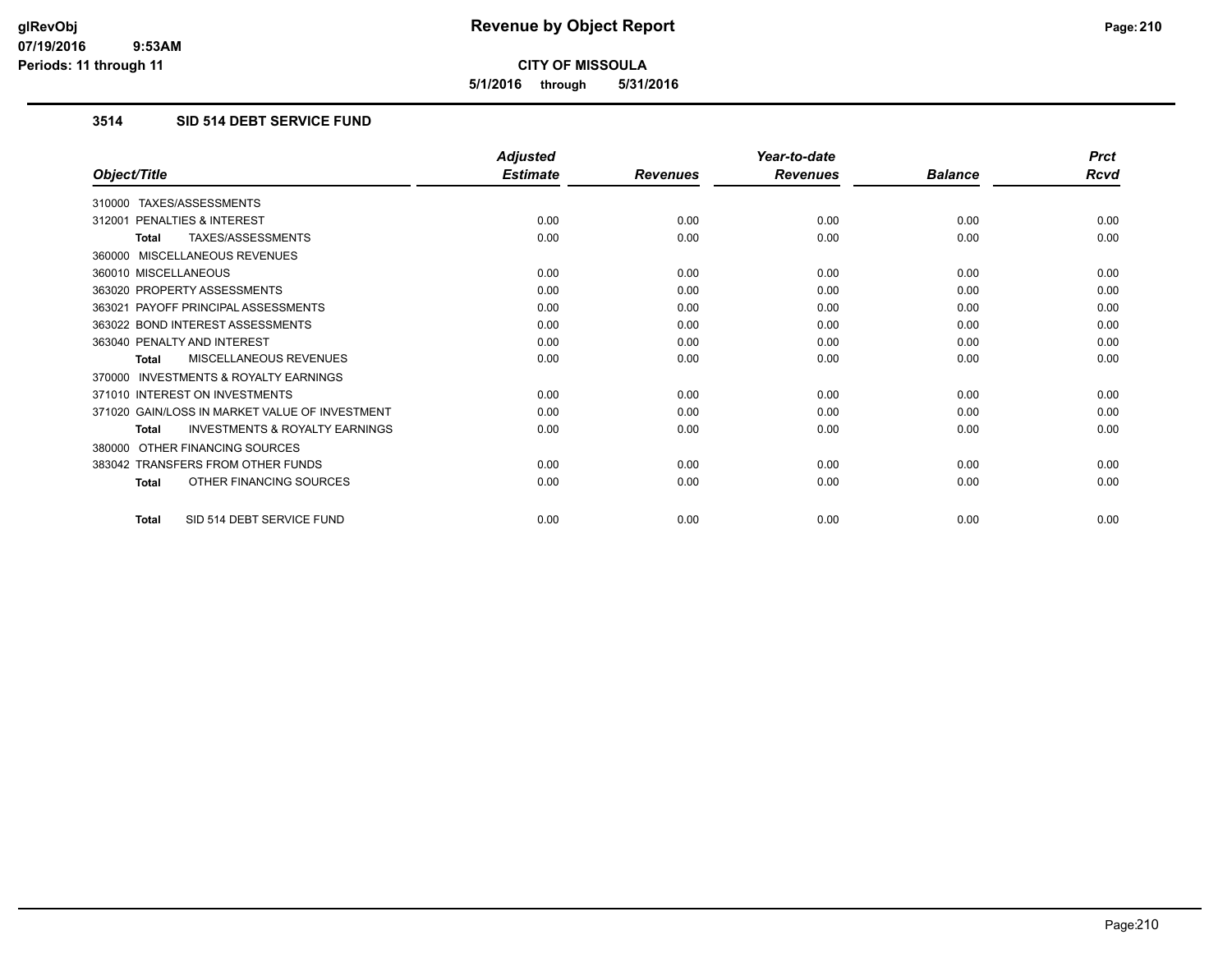**5/1/2016 through 5/31/2016**

# **3514 SID 514 DEBT SERVICE FUND**

|                                                           | <b>Adjusted</b> |                 | Year-to-date    |                | <b>Prct</b> |
|-----------------------------------------------------------|-----------------|-----------------|-----------------|----------------|-------------|
| Object/Title                                              | <b>Estimate</b> | <b>Revenues</b> | <b>Revenues</b> | <b>Balance</b> | Rcvd        |
| 310000 TAXES/ASSESSMENTS                                  |                 |                 |                 |                |             |
| 312001 PENALTIES & INTEREST                               | 0.00            | 0.00            | 0.00            | 0.00           | 0.00        |
| <b>TAXES/ASSESSMENTS</b><br><b>Total</b>                  | 0.00            | 0.00            | 0.00            | 0.00           | 0.00        |
| 360000 MISCELLANEOUS REVENUES                             |                 |                 |                 |                |             |
| 360010 MISCELLANEOUS                                      | 0.00            | 0.00            | 0.00            | 0.00           | 0.00        |
| 363020 PROPERTY ASSESSMENTS                               | 0.00            | 0.00            | 0.00            | 0.00           | 0.00        |
| 363021 PAYOFF PRINCIPAL ASSESSMENTS                       | 0.00            | 0.00            | 0.00            | 0.00           | 0.00        |
| 363022 BOND INTEREST ASSESSMENTS                          | 0.00            | 0.00            | 0.00            | 0.00           | 0.00        |
| 363040 PENALTY AND INTEREST                               | 0.00            | 0.00            | 0.00            | 0.00           | 0.00        |
| MISCELLANEOUS REVENUES<br><b>Total</b>                    | 0.00            | 0.00            | 0.00            | 0.00           | 0.00        |
| <b>INVESTMENTS &amp; ROYALTY EARNINGS</b><br>370000       |                 |                 |                 |                |             |
| 371010 INTEREST ON INVESTMENTS                            | 0.00            | 0.00            | 0.00            | 0.00           | 0.00        |
| 371020 GAIN/LOSS IN MARKET VALUE OF INVESTMENT            | 0.00            | 0.00            | 0.00            | 0.00           | 0.00        |
| <b>INVESTMENTS &amp; ROYALTY EARNINGS</b><br><b>Total</b> | 0.00            | 0.00            | 0.00            | 0.00           | 0.00        |
| OTHER FINANCING SOURCES<br>380000                         |                 |                 |                 |                |             |
| 383042 TRANSFERS FROM OTHER FUNDS                         | 0.00            | 0.00            | 0.00            | 0.00           | 0.00        |
| OTHER FINANCING SOURCES<br><b>Total</b>                   | 0.00            | 0.00            | 0.00            | 0.00           | 0.00        |
| SID 514 DEBT SERVICE FUND<br><b>Total</b>                 | 0.00            | 0.00            | 0.00            | 0.00           | 0.00        |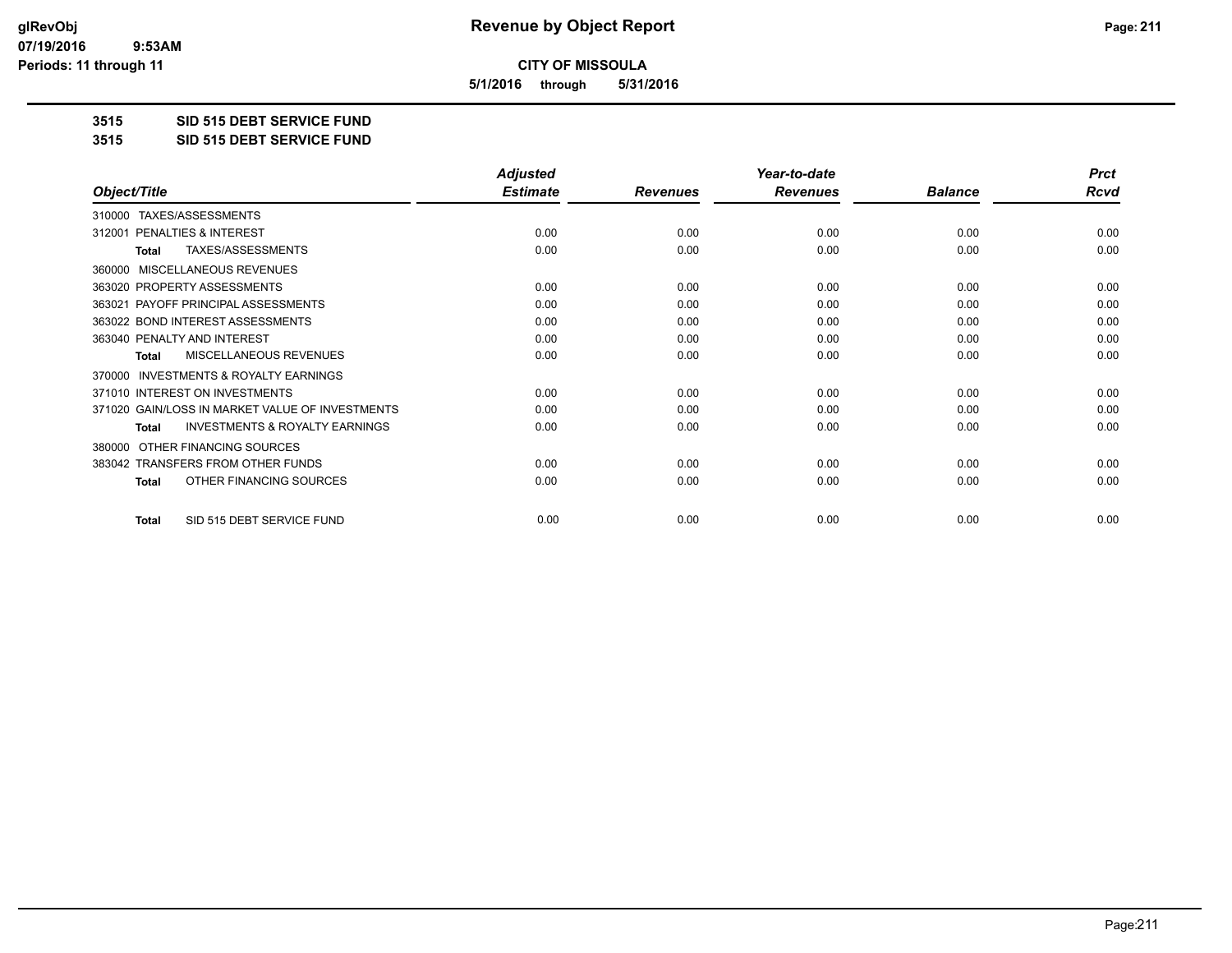**5/1/2016 through 5/31/2016**

**3515 SID 515 DEBT SERVICE FUND**

**3515 SID 515 DEBT SERVICE FUND**

|                                                           | <b>Adjusted</b> |                 | Year-to-date    |                | <b>Prct</b> |
|-----------------------------------------------------------|-----------------|-----------------|-----------------|----------------|-------------|
| Object/Title                                              | <b>Estimate</b> | <b>Revenues</b> | <b>Revenues</b> | <b>Balance</b> | <b>Rcvd</b> |
| TAXES/ASSESSMENTS<br>310000                               |                 |                 |                 |                |             |
| PENALTIES & INTEREST<br>312001                            | 0.00            | 0.00            | 0.00            | 0.00           | 0.00        |
| TAXES/ASSESSMENTS<br>Total                                | 0.00            | 0.00            | 0.00            | 0.00           | 0.00        |
| MISCELLANEOUS REVENUES<br>360000                          |                 |                 |                 |                |             |
| 363020 PROPERTY ASSESSMENTS                               | 0.00            | 0.00            | 0.00            | 0.00           | 0.00        |
| 363021 PAYOFF PRINCIPAL ASSESSMENTS                       | 0.00            | 0.00            | 0.00            | 0.00           | 0.00        |
| 363022 BOND INTEREST ASSESSMENTS                          | 0.00            | 0.00            | 0.00            | 0.00           | 0.00        |
| 363040 PENALTY AND INTEREST                               | 0.00            | 0.00            | 0.00            | 0.00           | 0.00        |
| MISCELLANEOUS REVENUES<br><b>Total</b>                    | 0.00            | 0.00            | 0.00            | 0.00           | 0.00        |
| <b>INVESTMENTS &amp; ROYALTY EARNINGS</b><br>370000       |                 |                 |                 |                |             |
| 371010 INTEREST ON INVESTMENTS                            | 0.00            | 0.00            | 0.00            | 0.00           | 0.00        |
| 371020 GAIN/LOSS IN MARKET VALUE OF INVESTMENTS           | 0.00            | 0.00            | 0.00            | 0.00           | 0.00        |
| <b>INVESTMENTS &amp; ROYALTY EARNINGS</b><br><b>Total</b> | 0.00            | 0.00            | 0.00            | 0.00           | 0.00        |
| OTHER FINANCING SOURCES<br>380000                         |                 |                 |                 |                |             |
| 383042 TRANSFERS FROM OTHER FUNDS                         | 0.00            | 0.00            | 0.00            | 0.00           | 0.00        |
| OTHER FINANCING SOURCES<br><b>Total</b>                   | 0.00            | 0.00            | 0.00            | 0.00           | 0.00        |
|                                                           |                 |                 |                 |                |             |
| SID 515 DEBT SERVICE FUND<br><b>Total</b>                 | 0.00            | 0.00            | 0.00            | 0.00           | 0.00        |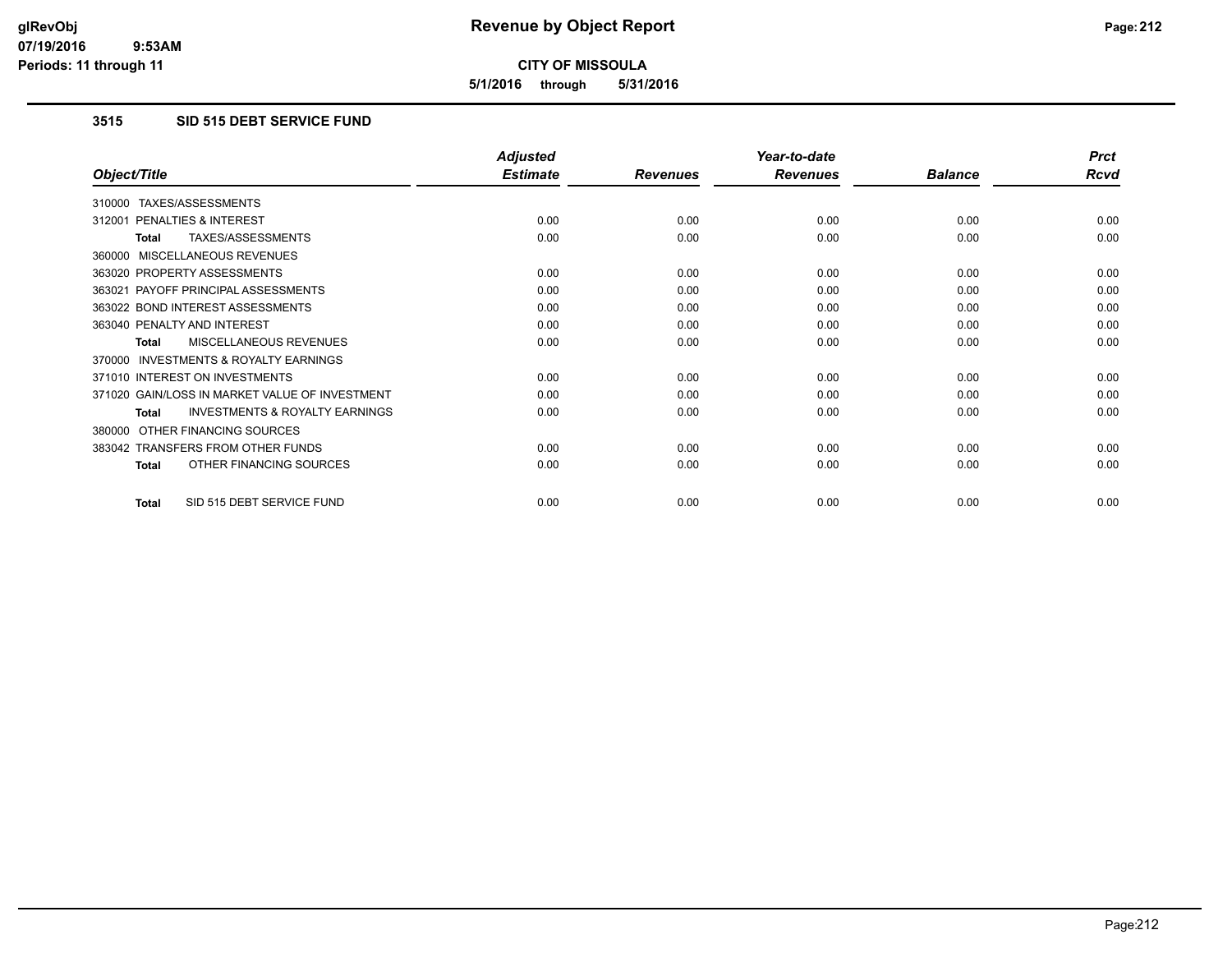**5/1/2016 through 5/31/2016**

# **3515 SID 515 DEBT SERVICE FUND**

|                                                           | <b>Adjusted</b> |                 | Year-to-date    |                | <b>Prct</b> |
|-----------------------------------------------------------|-----------------|-----------------|-----------------|----------------|-------------|
| Object/Title                                              | <b>Estimate</b> | <b>Revenues</b> | <b>Revenues</b> | <b>Balance</b> | <b>Rcvd</b> |
| TAXES/ASSESSMENTS<br>310000                               |                 |                 |                 |                |             |
| 312001 PENALTIES & INTEREST                               | 0.00            | 0.00            | 0.00            | 0.00           | 0.00        |
| TAXES/ASSESSMENTS<br><b>Total</b>                         | 0.00            | 0.00            | 0.00            | 0.00           | 0.00        |
| MISCELLANEOUS REVENUES<br>360000                          |                 |                 |                 |                |             |
| 363020 PROPERTY ASSESSMENTS                               | 0.00            | 0.00            | 0.00            | 0.00           | 0.00        |
| 363021 PAYOFF PRINCIPAL ASSESSMENTS                       | 0.00            | 0.00            | 0.00            | 0.00           | 0.00        |
| 363022 BOND INTEREST ASSESSMENTS                          | 0.00            | 0.00            | 0.00            | 0.00           | 0.00        |
| 363040 PENALTY AND INTEREST                               | 0.00            | 0.00            | 0.00            | 0.00           | 0.00        |
| MISCELLANEOUS REVENUES<br><b>Total</b>                    | 0.00            | 0.00            | 0.00            | 0.00           | 0.00        |
| <b>INVESTMENTS &amp; ROYALTY EARNINGS</b><br>370000       |                 |                 |                 |                |             |
| 371010 INTEREST ON INVESTMENTS                            | 0.00            | 0.00            | 0.00            | 0.00           | 0.00        |
| 371020 GAIN/LOSS IN MARKET VALUE OF INVESTMENT            | 0.00            | 0.00            | 0.00            | 0.00           | 0.00        |
| <b>INVESTMENTS &amp; ROYALTY EARNINGS</b><br><b>Total</b> | 0.00            | 0.00            | 0.00            | 0.00           | 0.00        |
| OTHER FINANCING SOURCES<br>380000                         |                 |                 |                 |                |             |
| 383042 TRANSFERS FROM OTHER FUNDS                         | 0.00            | 0.00            | 0.00            | 0.00           | 0.00        |
| OTHER FINANCING SOURCES<br><b>Total</b>                   | 0.00            | 0.00            | 0.00            | 0.00           | 0.00        |
| SID 515 DEBT SERVICE FUND<br>Total                        | 0.00            | 0.00            | 0.00            | 0.00           | 0.00        |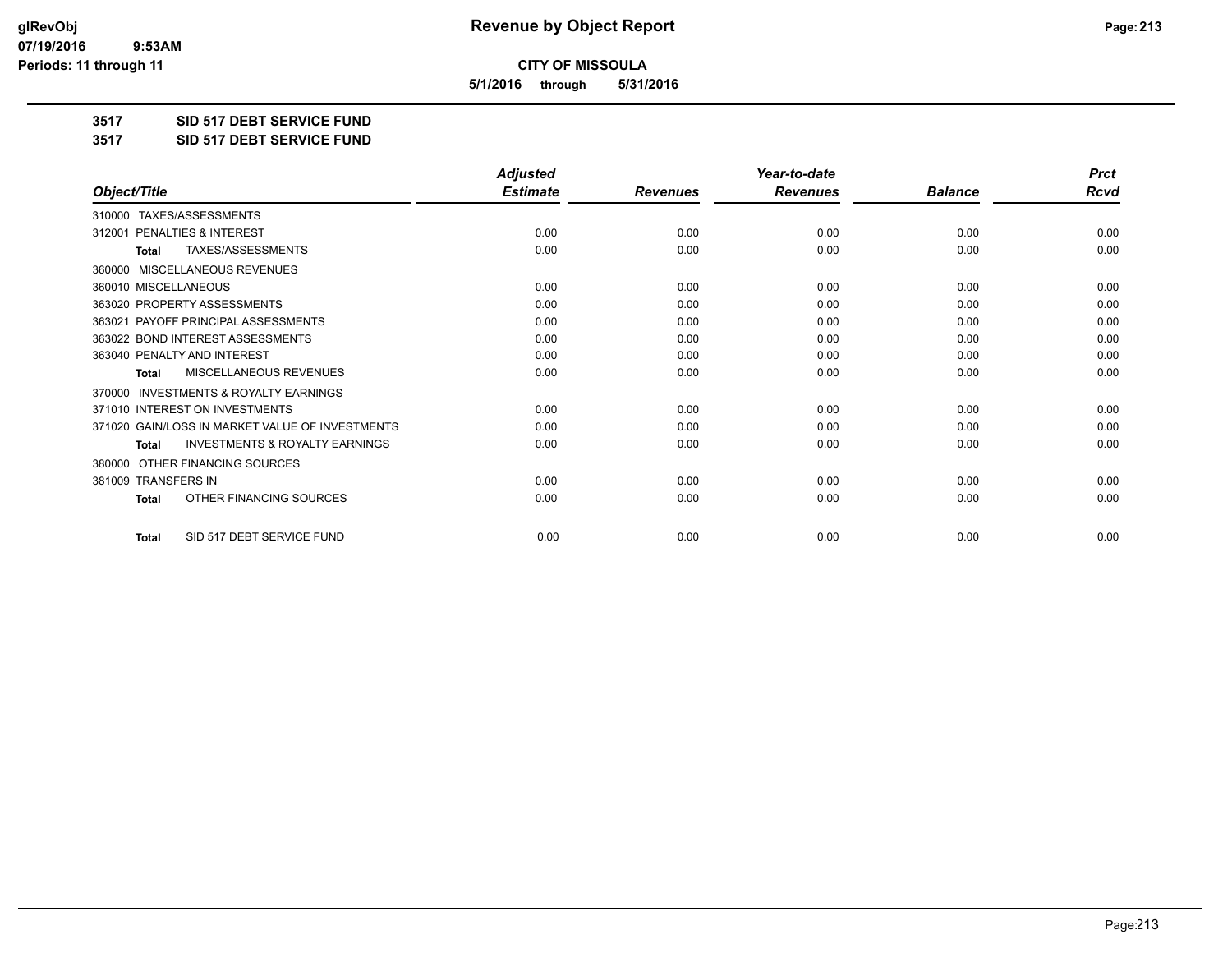**5/1/2016 through 5/31/2016**

**3517 SID 517 DEBT SERVICE FUND**

**3517 SID 517 DEBT SERVICE FUND**

|                                                           | <b>Adjusted</b> |                 | Year-to-date    |                | <b>Prct</b> |
|-----------------------------------------------------------|-----------------|-----------------|-----------------|----------------|-------------|
| Object/Title                                              | <b>Estimate</b> | <b>Revenues</b> | <b>Revenues</b> | <b>Balance</b> | Rcvd        |
| TAXES/ASSESSMENTS<br>310000                               |                 |                 |                 |                |             |
| PENALTIES & INTEREST<br>312001                            | 0.00            | 0.00            | 0.00            | 0.00           | 0.00        |
| TAXES/ASSESSMENTS<br><b>Total</b>                         | 0.00            | 0.00            | 0.00            | 0.00           | 0.00        |
| MISCELLANEOUS REVENUES<br>360000                          |                 |                 |                 |                |             |
| 360010 MISCELLANEOUS                                      | 0.00            | 0.00            | 0.00            | 0.00           | 0.00        |
| 363020 PROPERTY ASSESSMENTS                               | 0.00            | 0.00            | 0.00            | 0.00           | 0.00        |
| 363021 PAYOFF PRINCIPAL ASSESSMENTS                       | 0.00            | 0.00            | 0.00            | 0.00           | 0.00        |
| 363022 BOND INTEREST ASSESSMENTS                          | 0.00            | 0.00            | 0.00            | 0.00           | 0.00        |
| 363040 PENALTY AND INTEREST                               | 0.00            | 0.00            | 0.00            | 0.00           | 0.00        |
| <b>MISCELLANEOUS REVENUES</b><br>Total                    | 0.00            | 0.00            | 0.00            | 0.00           | 0.00        |
| <b>INVESTMENTS &amp; ROYALTY EARNINGS</b><br>370000       |                 |                 |                 |                |             |
| 371010 INTEREST ON INVESTMENTS                            | 0.00            | 0.00            | 0.00            | 0.00           | 0.00        |
| 371020 GAIN/LOSS IN MARKET VALUE OF INVESTMENTS           | 0.00            | 0.00            | 0.00            | 0.00           | 0.00        |
| <b>INVESTMENTS &amp; ROYALTY EARNINGS</b><br><b>Total</b> | 0.00            | 0.00            | 0.00            | 0.00           | 0.00        |
| OTHER FINANCING SOURCES<br>380000                         |                 |                 |                 |                |             |
| 381009 TRANSFERS IN                                       | 0.00            | 0.00            | 0.00            | 0.00           | 0.00        |
| OTHER FINANCING SOURCES<br><b>Total</b>                   | 0.00            | 0.00            | 0.00            | 0.00           | 0.00        |
| SID 517 DEBT SERVICE FUND<br><b>Total</b>                 | 0.00            | 0.00            | 0.00            | 0.00           | 0.00        |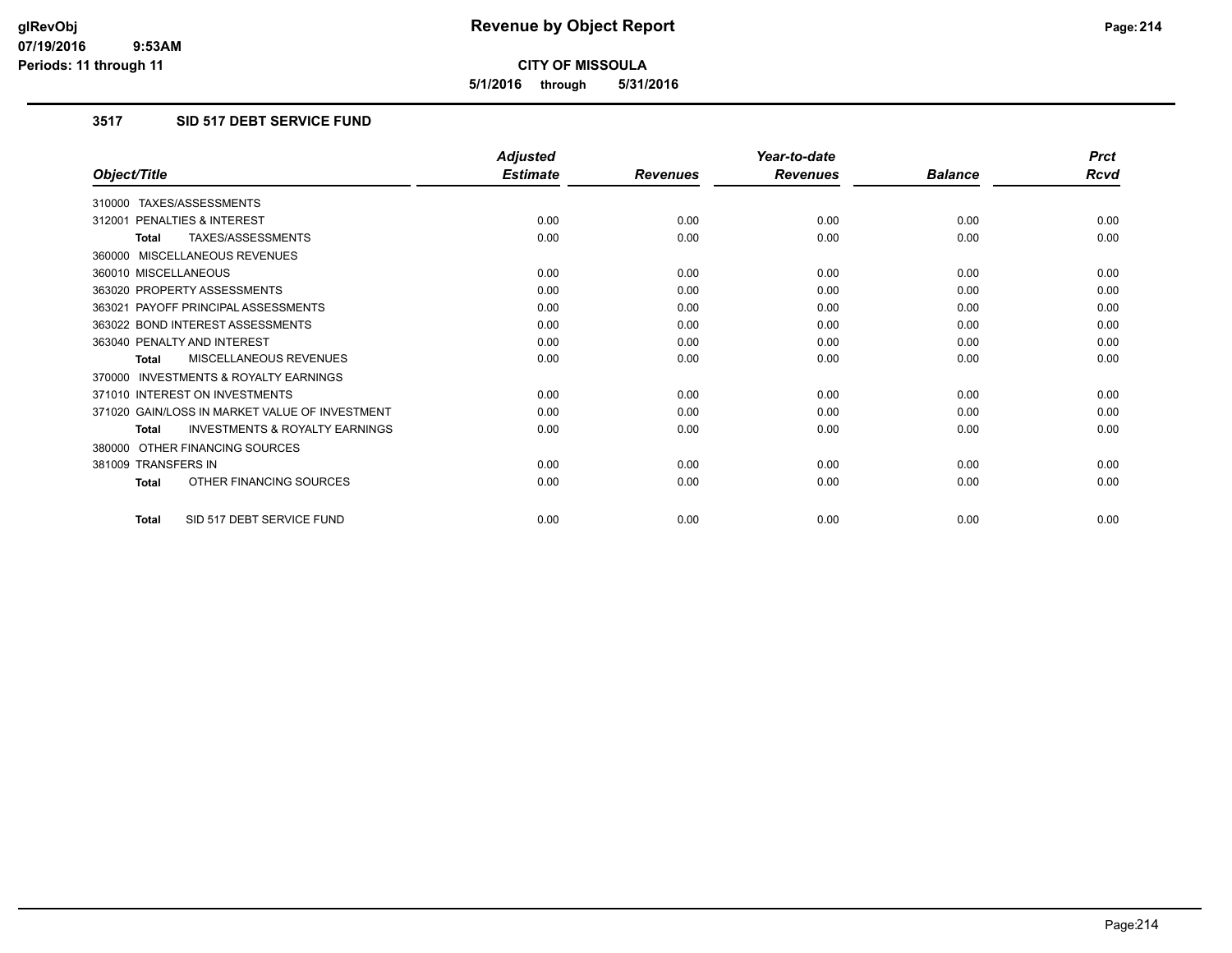**5/1/2016 through 5/31/2016**

# **3517 SID 517 DEBT SERVICE FUND**

|                                                           | <b>Adjusted</b> |                 | Year-to-date    |                | <b>Prct</b> |
|-----------------------------------------------------------|-----------------|-----------------|-----------------|----------------|-------------|
| Object/Title                                              | <b>Estimate</b> | <b>Revenues</b> | <b>Revenues</b> | <b>Balance</b> | <b>Rcvd</b> |
| 310000 TAXES/ASSESSMENTS                                  |                 |                 |                 |                |             |
| 312001 PENALTIES & INTEREST                               | 0.00            | 0.00            | 0.00            | 0.00           | 0.00        |
| TAXES/ASSESSMENTS<br><b>Total</b>                         | 0.00            | 0.00            | 0.00            | 0.00           | 0.00        |
| 360000 MISCELLANEOUS REVENUES                             |                 |                 |                 |                |             |
| 360010 MISCELLANEOUS                                      | 0.00            | 0.00            | 0.00            | 0.00           | 0.00        |
| 363020 PROPERTY ASSESSMENTS                               | 0.00            | 0.00            | 0.00            | 0.00           | 0.00        |
| 363021 PAYOFF PRINCIPAL ASSESSMENTS                       | 0.00            | 0.00            | 0.00            | 0.00           | 0.00        |
| 363022 BOND INTEREST ASSESSMENTS                          | 0.00            | 0.00            | 0.00            | 0.00           | 0.00        |
| 363040 PENALTY AND INTEREST                               | 0.00            | 0.00            | 0.00            | 0.00           | 0.00        |
| MISCELLANEOUS REVENUES<br><b>Total</b>                    | 0.00            | 0.00            | 0.00            | 0.00           | 0.00        |
| <b>INVESTMENTS &amp; ROYALTY EARNINGS</b><br>370000       |                 |                 |                 |                |             |
| 371010 INTEREST ON INVESTMENTS                            | 0.00            | 0.00            | 0.00            | 0.00           | 0.00        |
| 371020 GAIN/LOSS IN MARKET VALUE OF INVESTMENT            | 0.00            | 0.00            | 0.00            | 0.00           | 0.00        |
| <b>INVESTMENTS &amp; ROYALTY EARNINGS</b><br><b>Total</b> | 0.00            | 0.00            | 0.00            | 0.00           | 0.00        |
| 380000 OTHER FINANCING SOURCES                            |                 |                 |                 |                |             |
| 381009 TRANSFERS IN                                       | 0.00            | 0.00            | 0.00            | 0.00           | 0.00        |
| OTHER FINANCING SOURCES<br>Total                          | 0.00            | 0.00            | 0.00            | 0.00           | 0.00        |
| SID 517 DEBT SERVICE FUND<br>Total                        | 0.00            | 0.00            | 0.00            | 0.00           | 0.00        |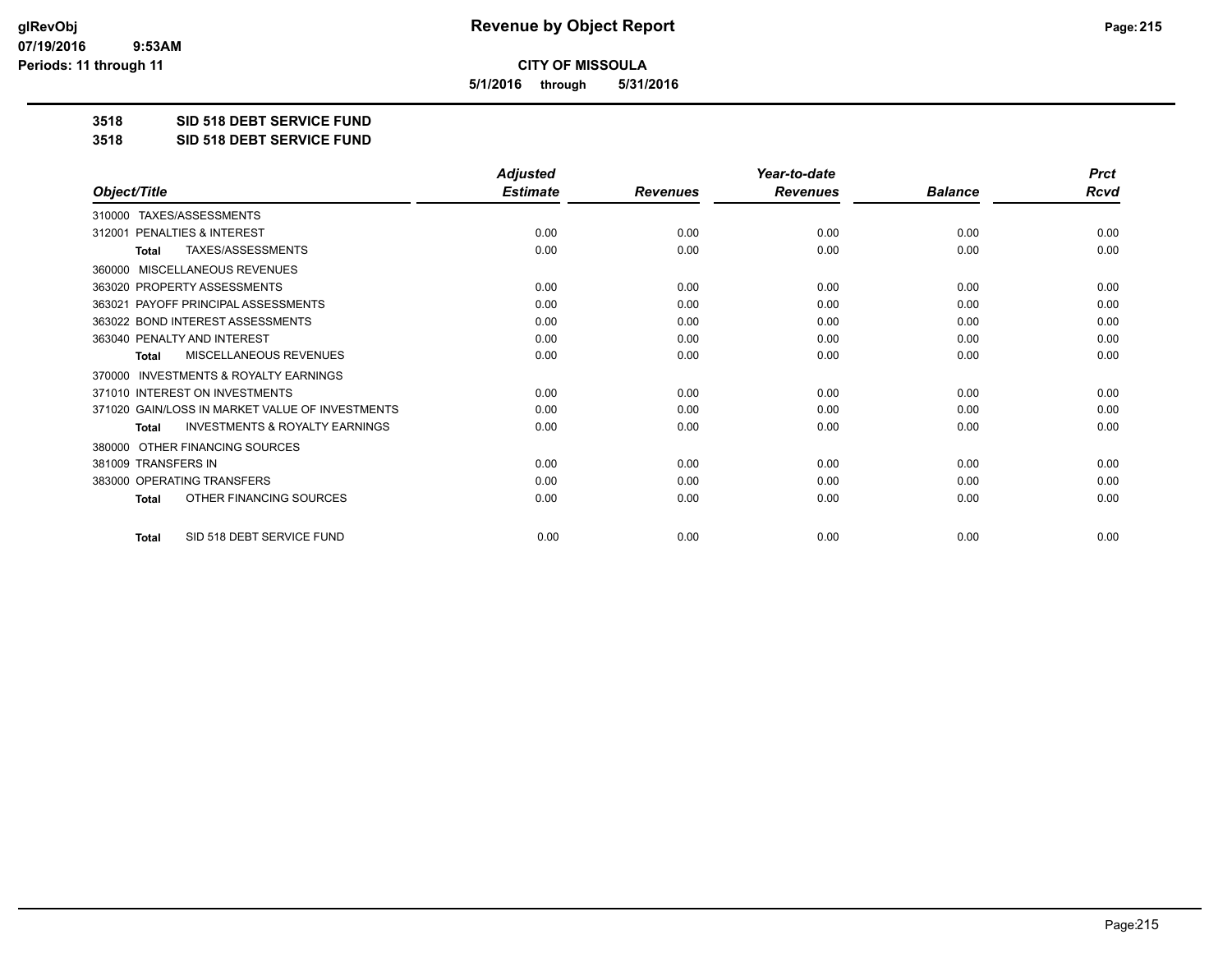**5/1/2016 through 5/31/2016**

**3518 SID 518 DEBT SERVICE FUND**

**3518 SID 518 DEBT SERVICE FUND**

|                                                           | <b>Adjusted</b> |                 | Year-to-date    |                | <b>Prct</b> |
|-----------------------------------------------------------|-----------------|-----------------|-----------------|----------------|-------------|
| Object/Title                                              | <b>Estimate</b> | <b>Revenues</b> | <b>Revenues</b> | <b>Balance</b> | <b>Rcvd</b> |
| 310000 TAXES/ASSESSMENTS                                  |                 |                 |                 |                |             |
| PENALTIES & INTEREST<br>312001                            | 0.00            | 0.00            | 0.00            | 0.00           | 0.00        |
| TAXES/ASSESSMENTS<br><b>Total</b>                         | 0.00            | 0.00            | 0.00            | 0.00           | 0.00        |
| <b>MISCELLANEOUS REVENUES</b><br>360000                   |                 |                 |                 |                |             |
| 363020 PROPERTY ASSESSMENTS                               | 0.00            | 0.00            | 0.00            | 0.00           | 0.00        |
| 363021 PAYOFF PRINCIPAL ASSESSMENTS                       | 0.00            | 0.00            | 0.00            | 0.00           | 0.00        |
| 363022 BOND INTEREST ASSESSMENTS                          | 0.00            | 0.00            | 0.00            | 0.00           | 0.00        |
| 363040 PENALTY AND INTEREST                               | 0.00            | 0.00            | 0.00            | 0.00           | 0.00        |
| MISCELLANEOUS REVENUES<br><b>Total</b>                    | 0.00            | 0.00            | 0.00            | 0.00           | 0.00        |
| <b>INVESTMENTS &amp; ROYALTY EARNINGS</b><br>370000       |                 |                 |                 |                |             |
| 371010 INTEREST ON INVESTMENTS                            | 0.00            | 0.00            | 0.00            | 0.00           | 0.00        |
| 371020 GAIN/LOSS IN MARKET VALUE OF INVESTMENTS           | 0.00            | 0.00            | 0.00            | 0.00           | 0.00        |
| <b>INVESTMENTS &amp; ROYALTY EARNINGS</b><br><b>Total</b> | 0.00            | 0.00            | 0.00            | 0.00           | 0.00        |
| OTHER FINANCING SOURCES<br>380000                         |                 |                 |                 |                |             |
| 381009 TRANSFERS IN                                       | 0.00            | 0.00            | 0.00            | 0.00           | 0.00        |
| 383000 OPERATING TRANSFERS                                | 0.00            | 0.00            | 0.00            | 0.00           | 0.00        |
| OTHER FINANCING SOURCES<br><b>Total</b>                   | 0.00            | 0.00            | 0.00            | 0.00           | 0.00        |
| SID 518 DEBT SERVICE FUND<br><b>Total</b>                 | 0.00            | 0.00            | 0.00            | 0.00           | 0.00        |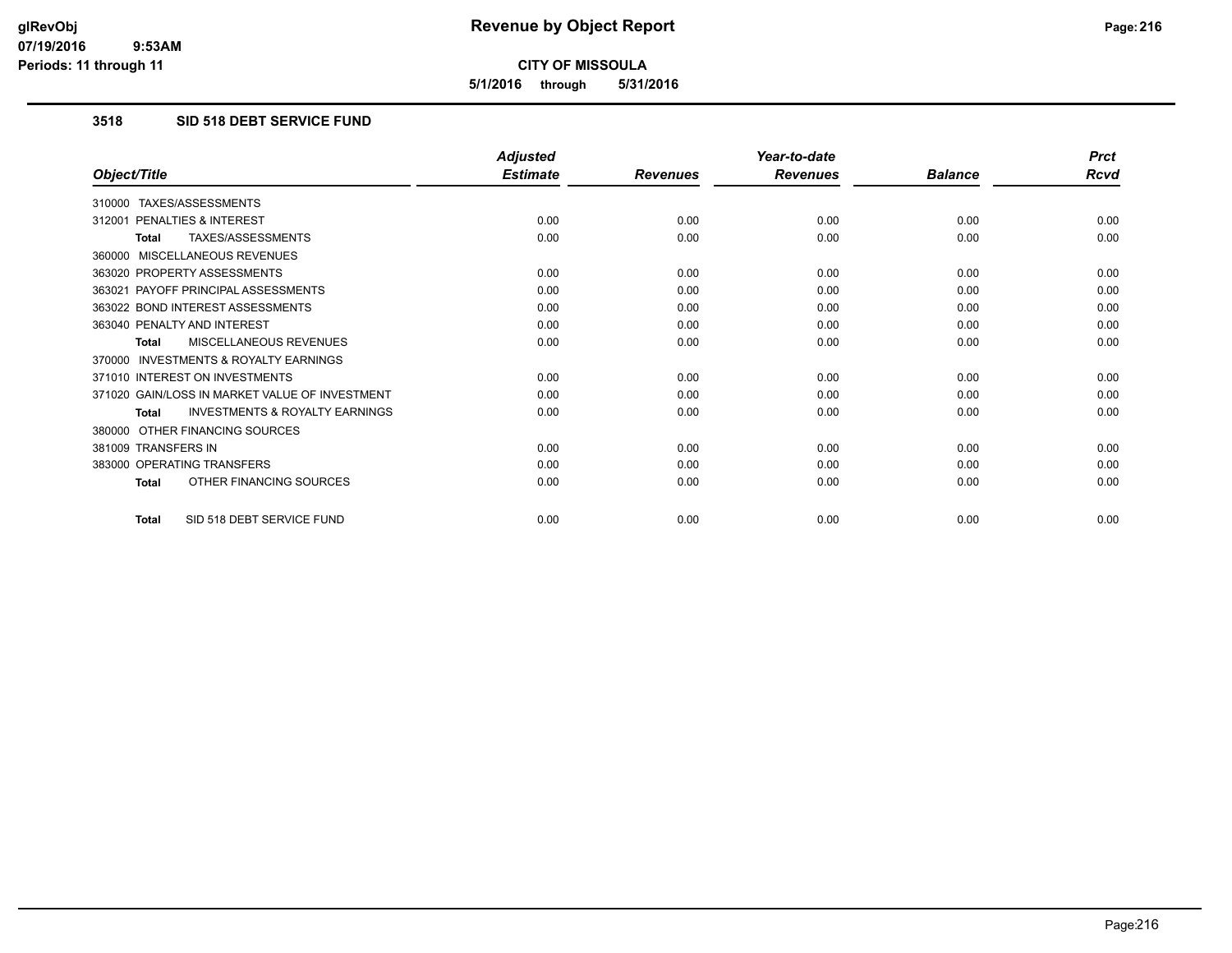**5/1/2016 through 5/31/2016**

## **3518 SID 518 DEBT SERVICE FUND**

|                                                           | <b>Adjusted</b> |                 | Year-to-date    |                | <b>Prct</b> |
|-----------------------------------------------------------|-----------------|-----------------|-----------------|----------------|-------------|
| Object/Title                                              | <b>Estimate</b> | <b>Revenues</b> | <b>Revenues</b> | <b>Balance</b> | <b>Rcvd</b> |
| 310000 TAXES/ASSESSMENTS                                  |                 |                 |                 |                |             |
| 312001 PENALTIES & INTEREST                               | 0.00            | 0.00            | 0.00            | 0.00           | 0.00        |
| <b>TAXES/ASSESSMENTS</b><br><b>Total</b>                  | 0.00            | 0.00            | 0.00            | 0.00           | 0.00        |
| 360000 MISCELLANEOUS REVENUES                             |                 |                 |                 |                |             |
| 363020 PROPERTY ASSESSMENTS                               | 0.00            | 0.00            | 0.00            | 0.00           | 0.00        |
| 363021 PAYOFF PRINCIPAL ASSESSMENTS                       | 0.00            | 0.00            | 0.00            | 0.00           | 0.00        |
| 363022 BOND INTEREST ASSESSMENTS                          | 0.00            | 0.00            | 0.00            | 0.00           | 0.00        |
| 363040 PENALTY AND INTEREST                               | 0.00            | 0.00            | 0.00            | 0.00           | 0.00        |
| MISCELLANEOUS REVENUES<br><b>Total</b>                    | 0.00            | 0.00            | 0.00            | 0.00           | 0.00        |
| <b>INVESTMENTS &amp; ROYALTY EARNINGS</b><br>370000       |                 |                 |                 |                |             |
| 371010 INTEREST ON INVESTMENTS                            | 0.00            | 0.00            | 0.00            | 0.00           | 0.00        |
| 371020 GAIN/LOSS IN MARKET VALUE OF INVESTMENT            | 0.00            | 0.00            | 0.00            | 0.00           | 0.00        |
| <b>INVESTMENTS &amp; ROYALTY EARNINGS</b><br><b>Total</b> | 0.00            | 0.00            | 0.00            | 0.00           | 0.00        |
| 380000 OTHER FINANCING SOURCES                            |                 |                 |                 |                |             |
| 381009 TRANSFERS IN                                       | 0.00            | 0.00            | 0.00            | 0.00           | 0.00        |
| 383000 OPERATING TRANSFERS                                | 0.00            | 0.00            | 0.00            | 0.00           | 0.00        |
| OTHER FINANCING SOURCES<br><b>Total</b>                   | 0.00            | 0.00            | 0.00            | 0.00           | 0.00        |
| SID 518 DEBT SERVICE FUND<br><b>Total</b>                 | 0.00            | 0.00            | 0.00            | 0.00           | 0.00        |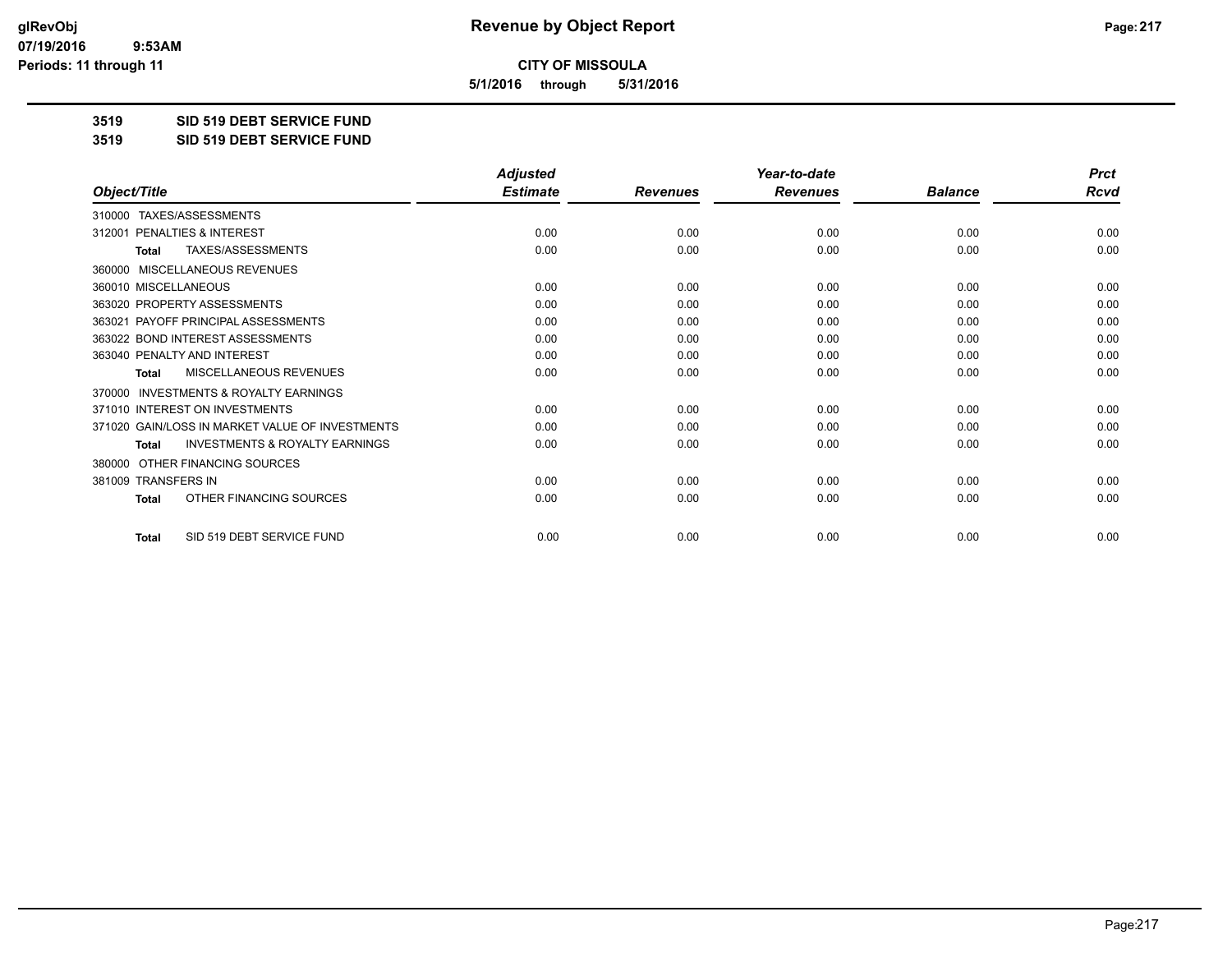**5/1/2016 through 5/31/2016**

**3519 SID 519 DEBT SERVICE FUND**

**3519 SID 519 DEBT SERVICE FUND**

|                                                     | <b>Adjusted</b> |                 | Year-to-date    |                | <b>Prct</b> |
|-----------------------------------------------------|-----------------|-----------------|-----------------|----------------|-------------|
| Object/Title                                        | <b>Estimate</b> | <b>Revenues</b> | <b>Revenues</b> | <b>Balance</b> | <b>Rcvd</b> |
| 310000 TAXES/ASSESSMENTS                            |                 |                 |                 |                |             |
| <b>PENALTIES &amp; INTEREST</b><br>312001           | 0.00            | 0.00            | 0.00            | 0.00           | 0.00        |
| TAXES/ASSESSMENTS<br><b>Total</b>                   | 0.00            | 0.00            | 0.00            | 0.00           | 0.00        |
| MISCELLANEOUS REVENUES<br>360000                    |                 |                 |                 |                |             |
| 360010 MISCELLANEOUS                                | 0.00            | 0.00            | 0.00            | 0.00           | 0.00        |
| 363020 PROPERTY ASSESSMENTS                         | 0.00            | 0.00            | 0.00            | 0.00           | 0.00        |
| 363021 PAYOFF PRINCIPAL ASSESSMENTS                 | 0.00            | 0.00            | 0.00            | 0.00           | 0.00        |
| 363022 BOND INTEREST ASSESSMENTS                    | 0.00            | 0.00            | 0.00            | 0.00           | 0.00        |
| 363040 PENALTY AND INTEREST                         | 0.00            | 0.00            | 0.00            | 0.00           | 0.00        |
| MISCELLANEOUS REVENUES<br><b>Total</b>              | 0.00            | 0.00            | 0.00            | 0.00           | 0.00        |
| <b>INVESTMENTS &amp; ROYALTY EARNINGS</b><br>370000 |                 |                 |                 |                |             |
| 371010 INTEREST ON INVESTMENTS                      | 0.00            | 0.00            | 0.00            | 0.00           | 0.00        |
| 371020 GAIN/LOSS IN MARKET VALUE OF INVESTMENTS     | 0.00            | 0.00            | 0.00            | 0.00           | 0.00        |
| <b>INVESTMENTS &amp; ROYALTY EARNINGS</b><br>Total  | 0.00            | 0.00            | 0.00            | 0.00           | 0.00        |
| OTHER FINANCING SOURCES<br>380000                   |                 |                 |                 |                |             |
| 381009 TRANSFERS IN                                 | 0.00            | 0.00            | 0.00            | 0.00           | 0.00        |
| OTHER FINANCING SOURCES<br>Total                    | 0.00            | 0.00            | 0.00            | 0.00           | 0.00        |
| SID 519 DEBT SERVICE FUND<br><b>Total</b>           | 0.00            | 0.00            | 0.00            | 0.00           | 0.00        |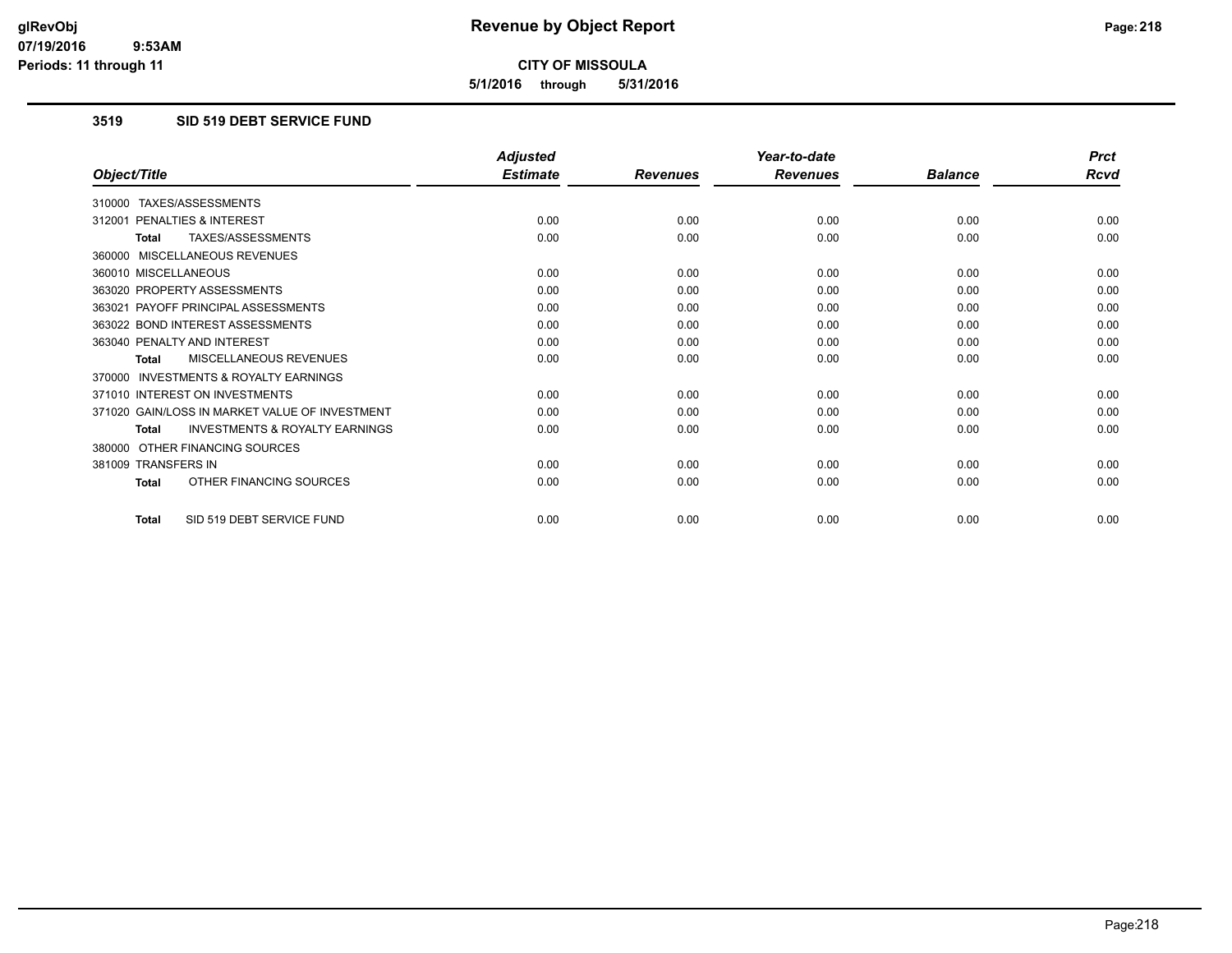**5/1/2016 through 5/31/2016**

#### **3519 SID 519 DEBT SERVICE FUND**

|                                                           | <b>Adjusted</b> |                 | Year-to-date    |                | <b>Prct</b> |
|-----------------------------------------------------------|-----------------|-----------------|-----------------|----------------|-------------|
| Object/Title                                              | <b>Estimate</b> | <b>Revenues</b> | <b>Revenues</b> | <b>Balance</b> | <b>Rcvd</b> |
| 310000 TAXES/ASSESSMENTS                                  |                 |                 |                 |                |             |
| 312001 PENALTIES & INTEREST                               | 0.00            | 0.00            | 0.00            | 0.00           | 0.00        |
| TAXES/ASSESSMENTS<br><b>Total</b>                         | 0.00            | 0.00            | 0.00            | 0.00           | 0.00        |
| 360000 MISCELLANEOUS REVENUES                             |                 |                 |                 |                |             |
| 360010 MISCELLANEOUS                                      | 0.00            | 0.00            | 0.00            | 0.00           | 0.00        |
| 363020 PROPERTY ASSESSMENTS                               | 0.00            | 0.00            | 0.00            | 0.00           | 0.00        |
| 363021 PAYOFF PRINCIPAL ASSESSMENTS                       | 0.00            | 0.00            | 0.00            | 0.00           | 0.00        |
| 363022 BOND INTEREST ASSESSMENTS                          | 0.00            | 0.00            | 0.00            | 0.00           | 0.00        |
| 363040 PENALTY AND INTEREST                               | 0.00            | 0.00            | 0.00            | 0.00           | 0.00        |
| MISCELLANEOUS REVENUES<br><b>Total</b>                    | 0.00            | 0.00            | 0.00            | 0.00           | 0.00        |
| <b>INVESTMENTS &amp; ROYALTY EARNINGS</b><br>370000       |                 |                 |                 |                |             |
| 371010 INTEREST ON INVESTMENTS                            | 0.00            | 0.00            | 0.00            | 0.00           | 0.00        |
| 371020 GAIN/LOSS IN MARKET VALUE OF INVESTMENT            | 0.00            | 0.00            | 0.00            | 0.00           | 0.00        |
| <b>INVESTMENTS &amp; ROYALTY EARNINGS</b><br><b>Total</b> | 0.00            | 0.00            | 0.00            | 0.00           | 0.00        |
| 380000 OTHER FINANCING SOURCES                            |                 |                 |                 |                |             |
| 381009 TRANSFERS IN                                       | 0.00            | 0.00            | 0.00            | 0.00           | 0.00        |
| OTHER FINANCING SOURCES<br>Total                          | 0.00            | 0.00            | 0.00            | 0.00           | 0.00        |
| SID 519 DEBT SERVICE FUND<br>Total                        | 0.00            | 0.00            | 0.00            | 0.00           | 0.00        |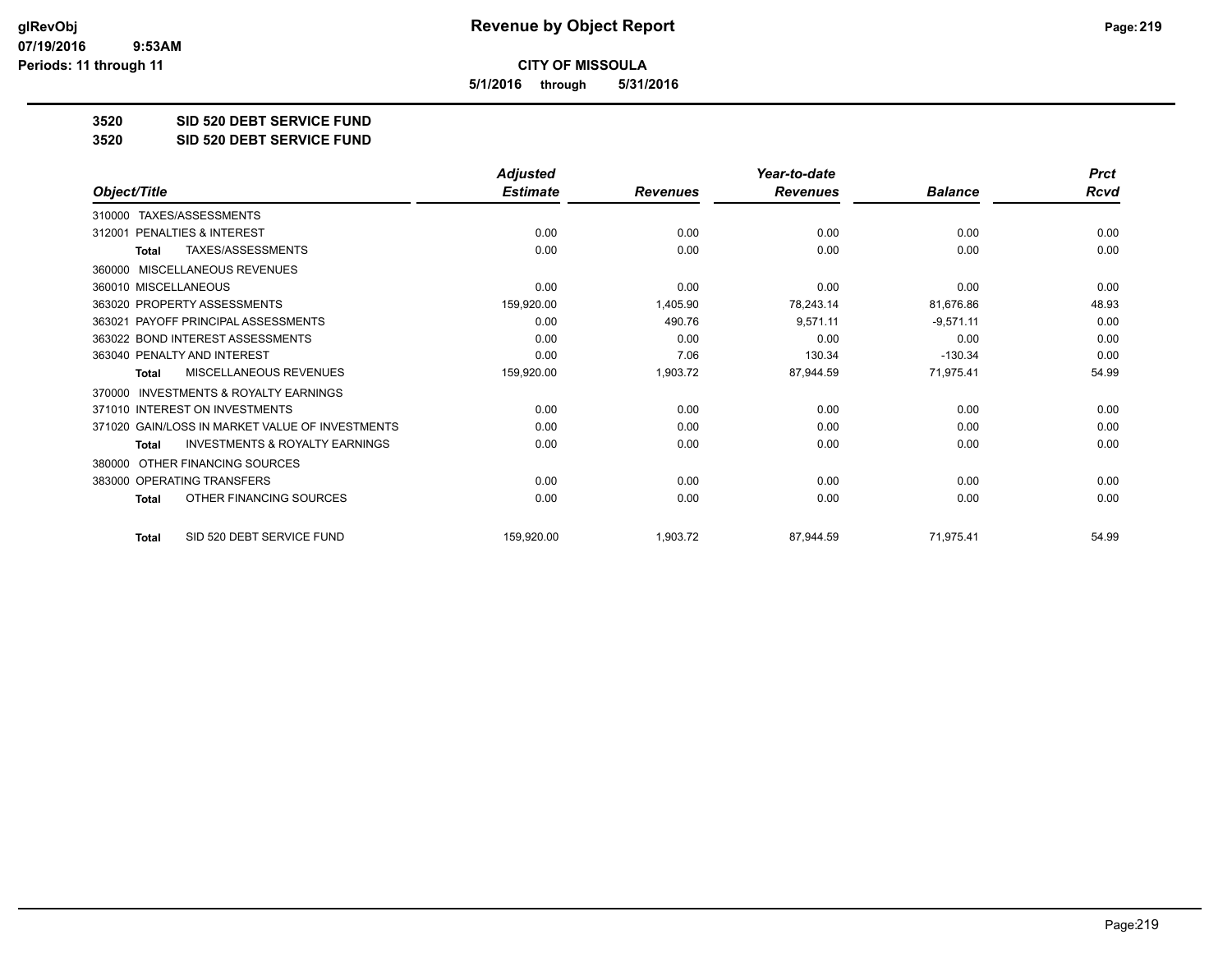**5/1/2016 through 5/31/2016**

**3520 SID 520 DEBT SERVICE FUND**

**3520 SID 520 DEBT SERVICE FUND**

|                                                           | <b>Adjusted</b> |                 | Year-to-date    |                | <b>Prct</b> |
|-----------------------------------------------------------|-----------------|-----------------|-----------------|----------------|-------------|
| Object/Title                                              | <b>Estimate</b> | <b>Revenues</b> | <b>Revenues</b> | <b>Balance</b> | <b>Rcvd</b> |
| TAXES/ASSESSMENTS<br>310000                               |                 |                 |                 |                |             |
| 312001 PENALTIES & INTEREST                               | 0.00            | 0.00            | 0.00            | 0.00           | 0.00        |
| <b>TAXES/ASSESSMENTS</b><br><b>Total</b>                  | 0.00            | 0.00            | 0.00            | 0.00           | 0.00        |
| MISCELLANEOUS REVENUES<br>360000                          |                 |                 |                 |                |             |
| 360010 MISCELLANEOUS                                      | 0.00            | 0.00            | 0.00            | 0.00           | 0.00        |
| 363020 PROPERTY ASSESSMENTS                               | 159,920.00      | 1,405.90        | 78,243.14       | 81,676.86      | 48.93       |
| 363021 PAYOFF PRINCIPAL ASSESSMENTS                       | 0.00            | 490.76          | 9,571.11        | $-9,571.11$    | 0.00        |
| 363022 BOND INTEREST ASSESSMENTS                          | 0.00            | 0.00            | 0.00            | 0.00           | 0.00        |
| 363040 PENALTY AND INTEREST                               | 0.00            | 7.06            | 130.34          | $-130.34$      | 0.00        |
| MISCELLANEOUS REVENUES<br><b>Total</b>                    | 159,920.00      | 1,903.72        | 87,944.59       | 71,975.41      | 54.99       |
| <b>INVESTMENTS &amp; ROYALTY EARNINGS</b><br>370000       |                 |                 |                 |                |             |
| 371010 INTEREST ON INVESTMENTS                            | 0.00            | 0.00            | 0.00            | 0.00           | 0.00        |
| 371020 GAIN/LOSS IN MARKET VALUE OF INVESTMENTS           | 0.00            | 0.00            | 0.00            | 0.00           | 0.00        |
| <b>INVESTMENTS &amp; ROYALTY EARNINGS</b><br><b>Total</b> | 0.00            | 0.00            | 0.00            | 0.00           | 0.00        |
| OTHER FINANCING SOURCES<br>380000                         |                 |                 |                 |                |             |
| 383000 OPERATING TRANSFERS                                | 0.00            | 0.00            | 0.00            | 0.00           | 0.00        |
| OTHER FINANCING SOURCES<br><b>Total</b>                   | 0.00            | 0.00            | 0.00            | 0.00           | 0.00        |
| SID 520 DEBT SERVICE FUND<br><b>Total</b>                 | 159,920.00      | 1,903.72        | 87,944.59       | 71,975.41      | 54.99       |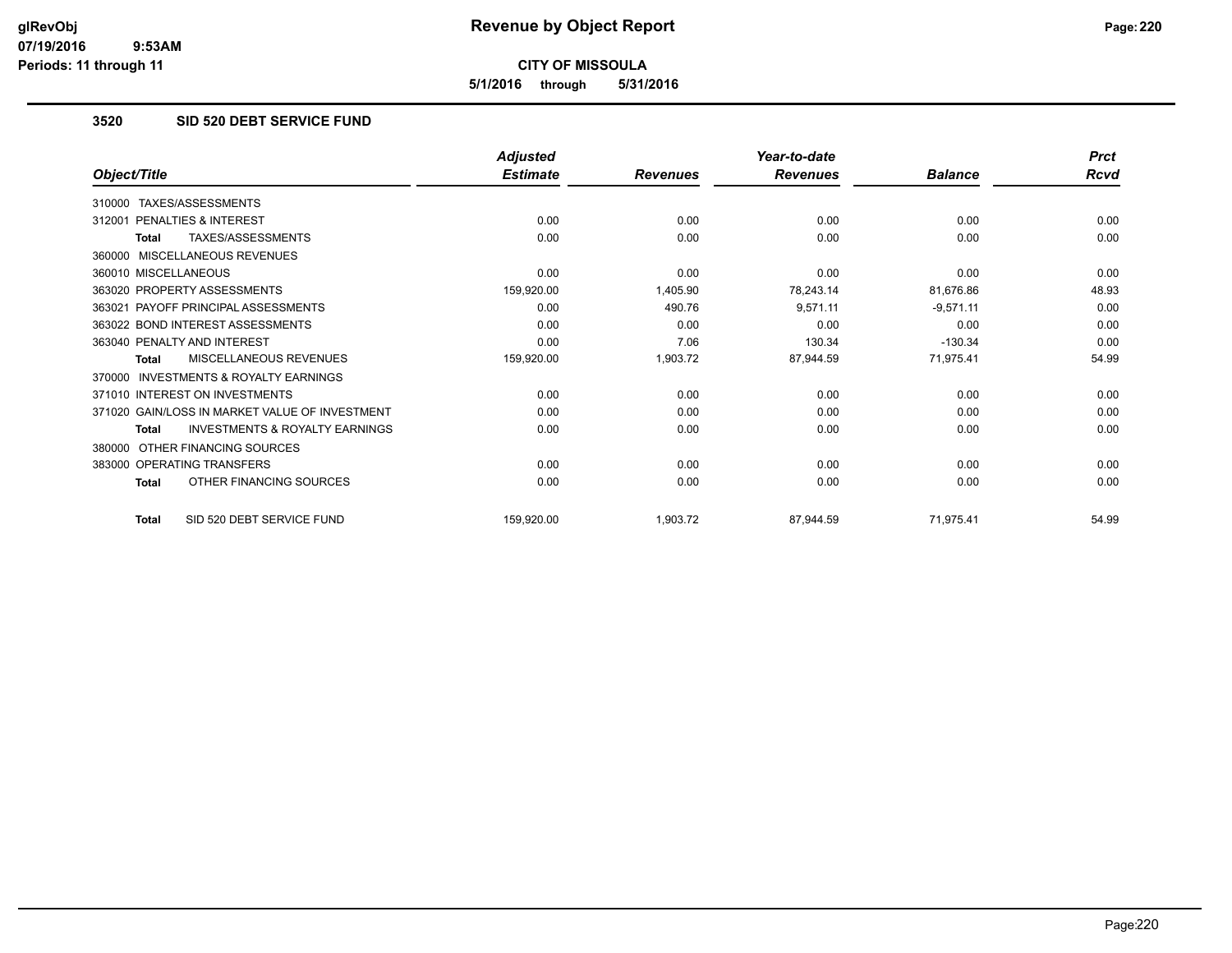**5/1/2016 through 5/31/2016**

### **3520 SID 520 DEBT SERVICE FUND**

|                                                           | <b>Adjusted</b> |                 | Year-to-date    |                | <b>Prct</b> |
|-----------------------------------------------------------|-----------------|-----------------|-----------------|----------------|-------------|
| Object/Title                                              | <b>Estimate</b> | <b>Revenues</b> | <b>Revenues</b> | <b>Balance</b> | <b>Rcvd</b> |
| 310000 TAXES/ASSESSMENTS                                  |                 |                 |                 |                |             |
| PENALTIES & INTEREST<br>312001                            | 0.00            | 0.00            | 0.00            | 0.00           | 0.00        |
| TAXES/ASSESSMENTS<br><b>Total</b>                         | 0.00            | 0.00            | 0.00            | 0.00           | 0.00        |
| 360000 MISCELLANEOUS REVENUES                             |                 |                 |                 |                |             |
| 360010 MISCELLANEOUS                                      | 0.00            | 0.00            | 0.00            | 0.00           | 0.00        |
| 363020 PROPERTY ASSESSMENTS                               | 159,920.00      | 1,405.90        | 78,243.14       | 81,676.86      | 48.93       |
| 363021 PAYOFF PRINCIPAL ASSESSMENTS                       | 0.00            | 490.76          | 9,571.11        | $-9,571.11$    | 0.00        |
| 363022 BOND INTEREST ASSESSMENTS                          | 0.00            | 0.00            | 0.00            | 0.00           | 0.00        |
| 363040 PENALTY AND INTEREST                               | 0.00            | 7.06            | 130.34          | $-130.34$      | 0.00        |
| MISCELLANEOUS REVENUES<br><b>Total</b>                    | 159,920.00      | 1,903.72        | 87,944.59       | 71,975.41      | 54.99       |
| INVESTMENTS & ROYALTY EARNINGS<br>370000                  |                 |                 |                 |                |             |
| 371010 INTEREST ON INVESTMENTS                            | 0.00            | 0.00            | 0.00            | 0.00           | 0.00        |
| 371020 GAIN/LOSS IN MARKET VALUE OF INVESTMENT            | 0.00            | 0.00            | 0.00            | 0.00           | 0.00        |
| <b>INVESTMENTS &amp; ROYALTY EARNINGS</b><br><b>Total</b> | 0.00            | 0.00            | 0.00            | 0.00           | 0.00        |
| OTHER FINANCING SOURCES<br>380000                         |                 |                 |                 |                |             |
| 383000 OPERATING TRANSFERS                                | 0.00            | 0.00            | 0.00            | 0.00           | 0.00        |
| OTHER FINANCING SOURCES<br><b>Total</b>                   | 0.00            | 0.00            | 0.00            | 0.00           | 0.00        |
| SID 520 DEBT SERVICE FUND<br><b>Total</b>                 | 159,920.00      | 1,903.72        | 87,944.59       | 71,975.41      | 54.99       |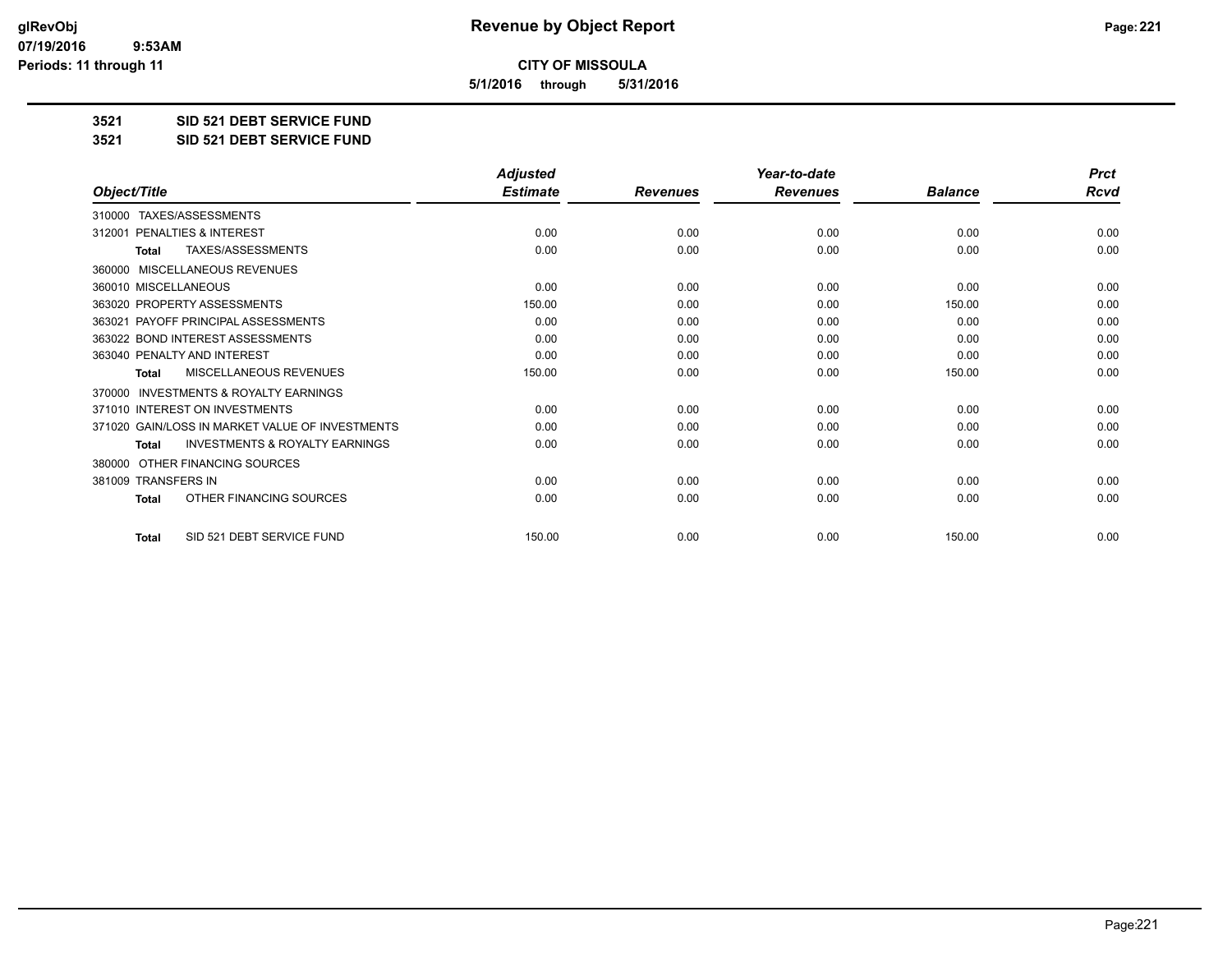**5/1/2016 through 5/31/2016**

**3521 SID 521 DEBT SERVICE FUND**

**3521 SID 521 DEBT SERVICE FUND**

|                                                           | <b>Adjusted</b> |                 | Year-to-date    |                | <b>Prct</b> |
|-----------------------------------------------------------|-----------------|-----------------|-----------------|----------------|-------------|
| Object/Title                                              | <b>Estimate</b> | <b>Revenues</b> | <b>Revenues</b> | <b>Balance</b> | <b>Rcvd</b> |
| TAXES/ASSESSMENTS<br>310000                               |                 |                 |                 |                |             |
| 312001 PENALTIES & INTEREST                               | 0.00            | 0.00            | 0.00            | 0.00           | 0.00        |
| TAXES/ASSESSMENTS<br><b>Total</b>                         | 0.00            | 0.00            | 0.00            | 0.00           | 0.00        |
| MISCELLANEOUS REVENUES<br>360000                          |                 |                 |                 |                |             |
| 360010 MISCELLANEOUS                                      | 0.00            | 0.00            | 0.00            | 0.00           | 0.00        |
| 363020 PROPERTY ASSESSMENTS                               | 150.00          | 0.00            | 0.00            | 150.00         | 0.00        |
| 363021 PAYOFF PRINCIPAL ASSESSMENTS                       | 0.00            | 0.00            | 0.00            | 0.00           | 0.00        |
| 363022 BOND INTEREST ASSESSMENTS                          | 0.00            | 0.00            | 0.00            | 0.00           | 0.00        |
| 363040 PENALTY AND INTEREST                               | 0.00            | 0.00            | 0.00            | 0.00           | 0.00        |
| <b>MISCELLANEOUS REVENUES</b><br><b>Total</b>             | 150.00          | 0.00            | 0.00            | 150.00         | 0.00        |
| <b>INVESTMENTS &amp; ROYALTY EARNINGS</b><br>370000       |                 |                 |                 |                |             |
| 371010 INTEREST ON INVESTMENTS                            | 0.00            | 0.00            | 0.00            | 0.00           | 0.00        |
| 371020 GAIN/LOSS IN MARKET VALUE OF INVESTMENTS           | 0.00            | 0.00            | 0.00            | 0.00           | 0.00        |
| <b>INVESTMENTS &amp; ROYALTY EARNINGS</b><br><b>Total</b> | 0.00            | 0.00            | 0.00            | 0.00           | 0.00        |
| OTHER FINANCING SOURCES<br>380000                         |                 |                 |                 |                |             |
| 381009 TRANSFERS IN                                       | 0.00            | 0.00            | 0.00            | 0.00           | 0.00        |
| OTHER FINANCING SOURCES<br><b>Total</b>                   | 0.00            | 0.00            | 0.00            | 0.00           | 0.00        |
| SID 521 DEBT SERVICE FUND<br><b>Total</b>                 | 150.00          | 0.00            | 0.00            | 150.00         | 0.00        |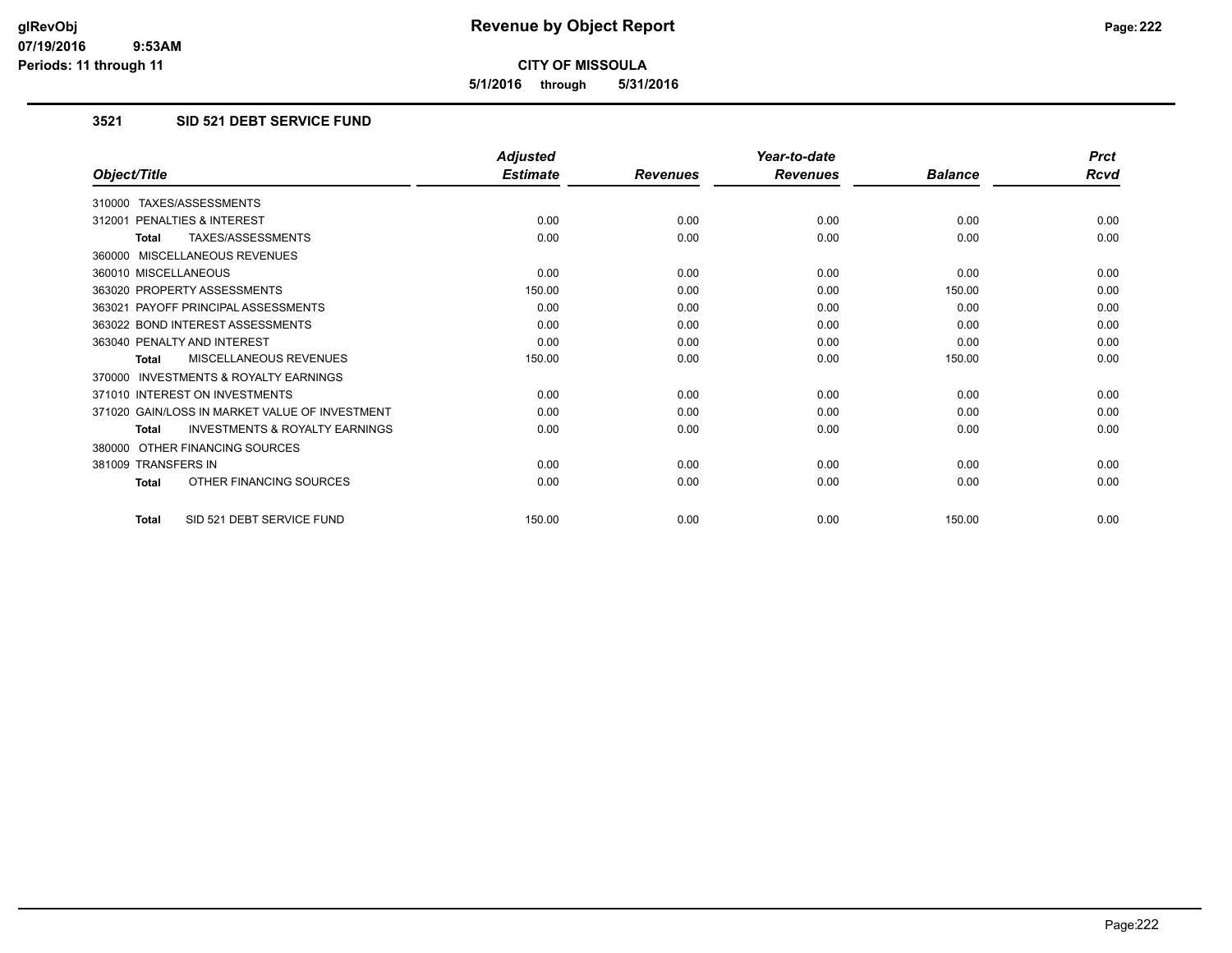**5/1/2016 through 5/31/2016**

### **3521 SID 521 DEBT SERVICE FUND**

|                                                           | <b>Adjusted</b> |                 | Year-to-date    |                | <b>Prct</b> |
|-----------------------------------------------------------|-----------------|-----------------|-----------------|----------------|-------------|
| Object/Title                                              | <b>Estimate</b> | <b>Revenues</b> | <b>Revenues</b> | <b>Balance</b> | Rcvd        |
| 310000 TAXES/ASSESSMENTS                                  |                 |                 |                 |                |             |
| PENALTIES & INTEREST<br>312001                            | 0.00            | 0.00            | 0.00            | 0.00           | 0.00        |
| TAXES/ASSESSMENTS<br>Total                                | 0.00            | 0.00            | 0.00            | 0.00           | 0.00        |
| 360000 MISCELLANEOUS REVENUES                             |                 |                 |                 |                |             |
| 360010 MISCELLANEOUS                                      | 0.00            | 0.00            | 0.00            | 0.00           | 0.00        |
| 363020 PROPERTY ASSESSMENTS                               | 150.00          | 0.00            | 0.00            | 150.00         | 0.00        |
| 363021 PAYOFF PRINCIPAL ASSESSMENTS                       | 0.00            | 0.00            | 0.00            | 0.00           | 0.00        |
| 363022 BOND INTEREST ASSESSMENTS                          | 0.00            | 0.00            | 0.00            | 0.00           | 0.00        |
| 363040 PENALTY AND INTEREST                               | 0.00            | 0.00            | 0.00            | 0.00           | 0.00        |
| <b>MISCELLANEOUS REVENUES</b><br><b>Total</b>             | 150.00          | 0.00            | 0.00            | 150.00         | 0.00        |
| 370000 INVESTMENTS & ROYALTY EARNINGS                     |                 |                 |                 |                |             |
| 371010 INTEREST ON INVESTMENTS                            | 0.00            | 0.00            | 0.00            | 0.00           | 0.00        |
| 371020 GAIN/LOSS IN MARKET VALUE OF INVESTMENT            | 0.00            | 0.00            | 0.00            | 0.00           | 0.00        |
| <b>INVESTMENTS &amp; ROYALTY EARNINGS</b><br><b>Total</b> | 0.00            | 0.00            | 0.00            | 0.00           | 0.00        |
| 380000 OTHER FINANCING SOURCES                            |                 |                 |                 |                |             |
| 381009 TRANSFERS IN                                       | 0.00            | 0.00            | 0.00            | 0.00           | 0.00        |
| OTHER FINANCING SOURCES<br>Total                          | 0.00            | 0.00            | 0.00            | 0.00           | 0.00        |
| SID 521 DEBT SERVICE FUND<br><b>Total</b>                 | 150.00          | 0.00            | 0.00            | 150.00         | 0.00        |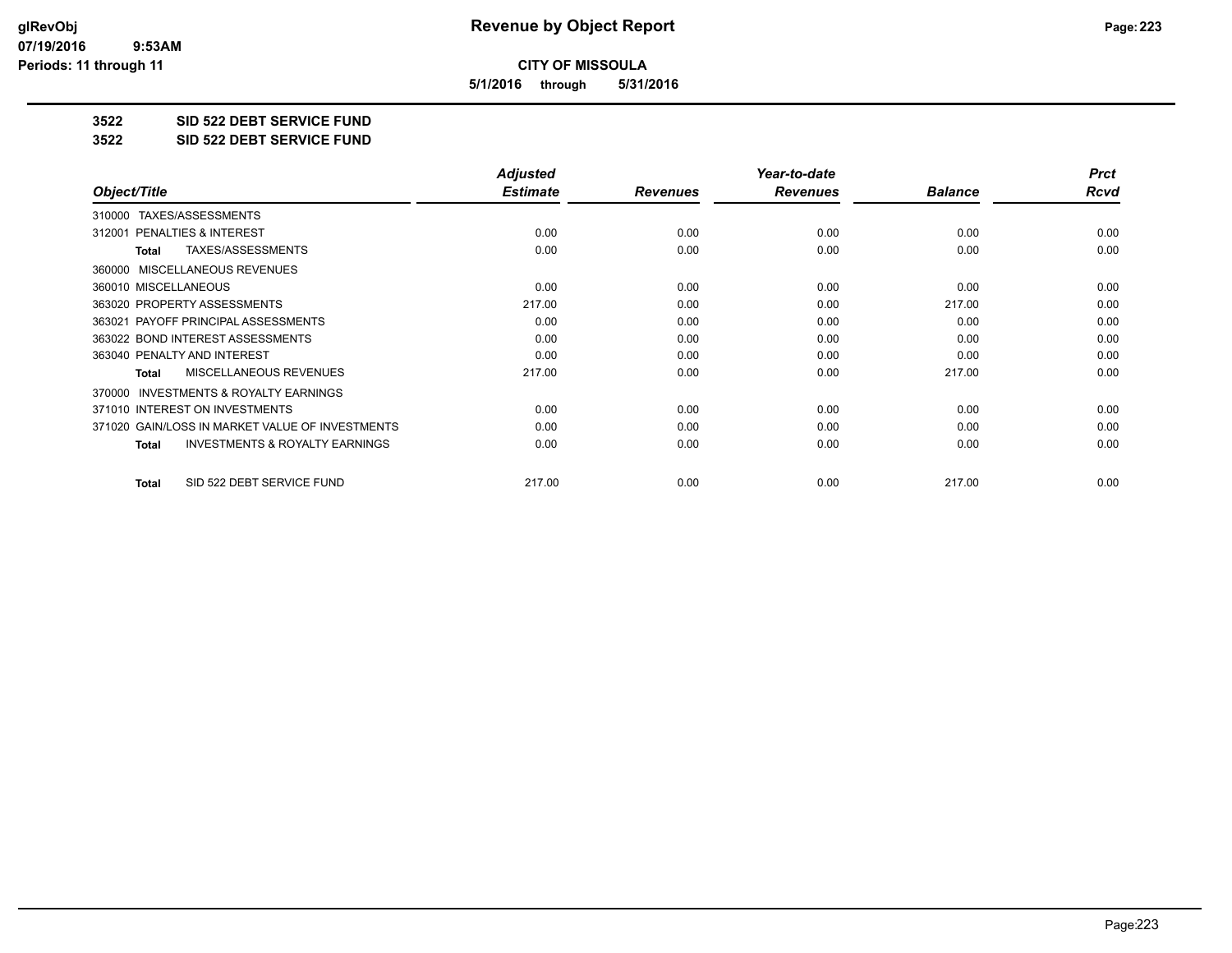**5/1/2016 through 5/31/2016**

**3522 SID 522 DEBT SERVICE FUND**

**3522 SID 522 DEBT SERVICE FUND**

|                                                           | <b>Adjusted</b> |                 | Year-to-date    |                | <b>Prct</b> |
|-----------------------------------------------------------|-----------------|-----------------|-----------------|----------------|-------------|
| Object/Title                                              | <b>Estimate</b> | <b>Revenues</b> | <b>Revenues</b> | <b>Balance</b> | Rcvd        |
| TAXES/ASSESSMENTS<br>310000                               |                 |                 |                 |                |             |
| 312001 PENALTIES & INTEREST                               | 0.00            | 0.00            | 0.00            | 0.00           | 0.00        |
| TAXES/ASSESSMENTS<br>Total                                | 0.00            | 0.00            | 0.00            | 0.00           | 0.00        |
| MISCELLANEOUS REVENUES<br>360000                          |                 |                 |                 |                |             |
| 360010 MISCELLANEOUS                                      | 0.00            | 0.00            | 0.00            | 0.00           | 0.00        |
| 363020 PROPERTY ASSESSMENTS                               | 217.00          | 0.00            | 0.00            | 217.00         | 0.00        |
| 363021 PAYOFF PRINCIPAL ASSESSMENTS                       | 0.00            | 0.00            | 0.00            | 0.00           | 0.00        |
| 363022 BOND INTEREST ASSESSMENTS                          | 0.00            | 0.00            | 0.00            | 0.00           | 0.00        |
| 363040 PENALTY AND INTEREST                               | 0.00            | 0.00            | 0.00            | 0.00           | 0.00        |
| <b>MISCELLANEOUS REVENUES</b><br>Total                    | 217.00          | 0.00            | 0.00            | 217.00         | 0.00        |
| <b>INVESTMENTS &amp; ROYALTY EARNINGS</b><br>370000       |                 |                 |                 |                |             |
| 371010 INTEREST ON INVESTMENTS                            | 0.00            | 0.00            | 0.00            | 0.00           | 0.00        |
| 371020 GAIN/LOSS IN MARKET VALUE OF INVESTMENTS           | 0.00            | 0.00            | 0.00            | 0.00           | 0.00        |
| <b>INVESTMENTS &amp; ROYALTY EARNINGS</b><br><b>Total</b> | 0.00            | 0.00            | 0.00            | 0.00           | 0.00        |
| SID 522 DEBT SERVICE FUND<br>Total                        | 217.00          | 0.00            | 0.00            | 217.00         | 0.00        |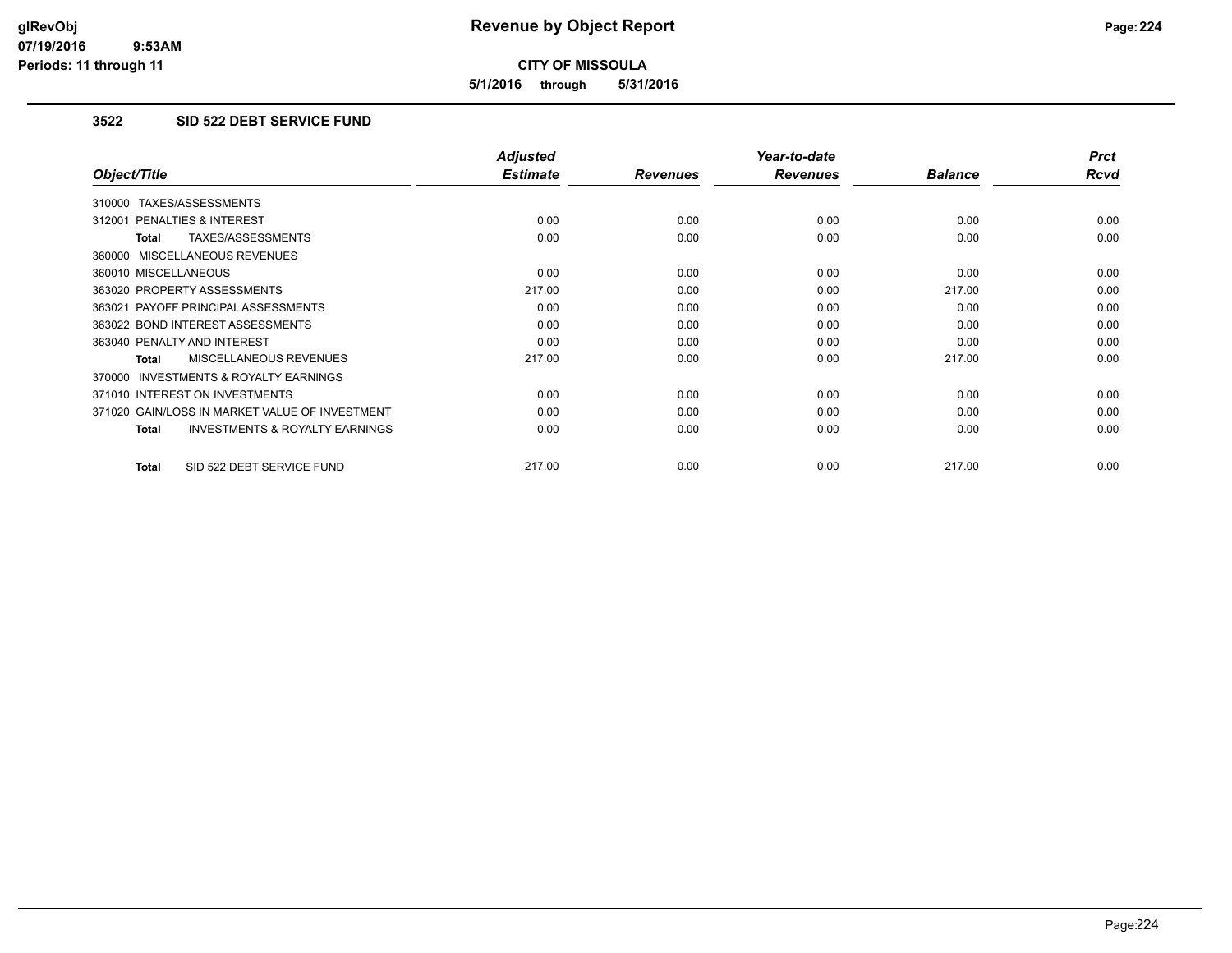**5/1/2016 through 5/31/2016**

#### **3522 SID 522 DEBT SERVICE FUND**

|                                                           | <b>Adjusted</b> |                 | Year-to-date    |                | <b>Prct</b> |
|-----------------------------------------------------------|-----------------|-----------------|-----------------|----------------|-------------|
| Object/Title                                              | <b>Estimate</b> | <b>Revenues</b> | <b>Revenues</b> | <b>Balance</b> | <b>Rcvd</b> |
| 310000 TAXES/ASSESSMENTS                                  |                 |                 |                 |                |             |
| 312001 PENALTIES & INTEREST                               | 0.00            | 0.00            | 0.00            | 0.00           | 0.00        |
| TAXES/ASSESSMENTS<br><b>Total</b>                         | 0.00            | 0.00            | 0.00            | 0.00           | 0.00        |
| 360000 MISCELLANEOUS REVENUES                             |                 |                 |                 |                |             |
| 360010 MISCELLANEOUS                                      | 0.00            | 0.00            | 0.00            | 0.00           | 0.00        |
| 363020 PROPERTY ASSESSMENTS                               | 217.00          | 0.00            | 0.00            | 217.00         | 0.00        |
| 363021 PAYOFF PRINCIPAL ASSESSMENTS                       | 0.00            | 0.00            | 0.00            | 0.00           | 0.00        |
| 363022 BOND INTEREST ASSESSMENTS                          | 0.00            | 0.00            | 0.00            | 0.00           | 0.00        |
| 363040 PENALTY AND INTEREST                               | 0.00            | 0.00            | 0.00            | 0.00           | 0.00        |
| <b>MISCELLANEOUS REVENUES</b><br><b>Total</b>             | 217.00          | 0.00            | 0.00            | 217.00         | 0.00        |
| <b>INVESTMENTS &amp; ROYALTY EARNINGS</b><br>370000       |                 |                 |                 |                |             |
| 371010 INTEREST ON INVESTMENTS                            | 0.00            | 0.00            | 0.00            | 0.00           | 0.00        |
| 371020 GAIN/LOSS IN MARKET VALUE OF INVESTMENT            | 0.00            | 0.00            | 0.00            | 0.00           | 0.00        |
| <b>INVESTMENTS &amp; ROYALTY EARNINGS</b><br><b>Total</b> | 0.00            | 0.00            | 0.00            | 0.00           | 0.00        |
| SID 522 DEBT SERVICE FUND<br><b>Total</b>                 | 217.00          | 0.00            | 0.00            | 217.00         | 0.00        |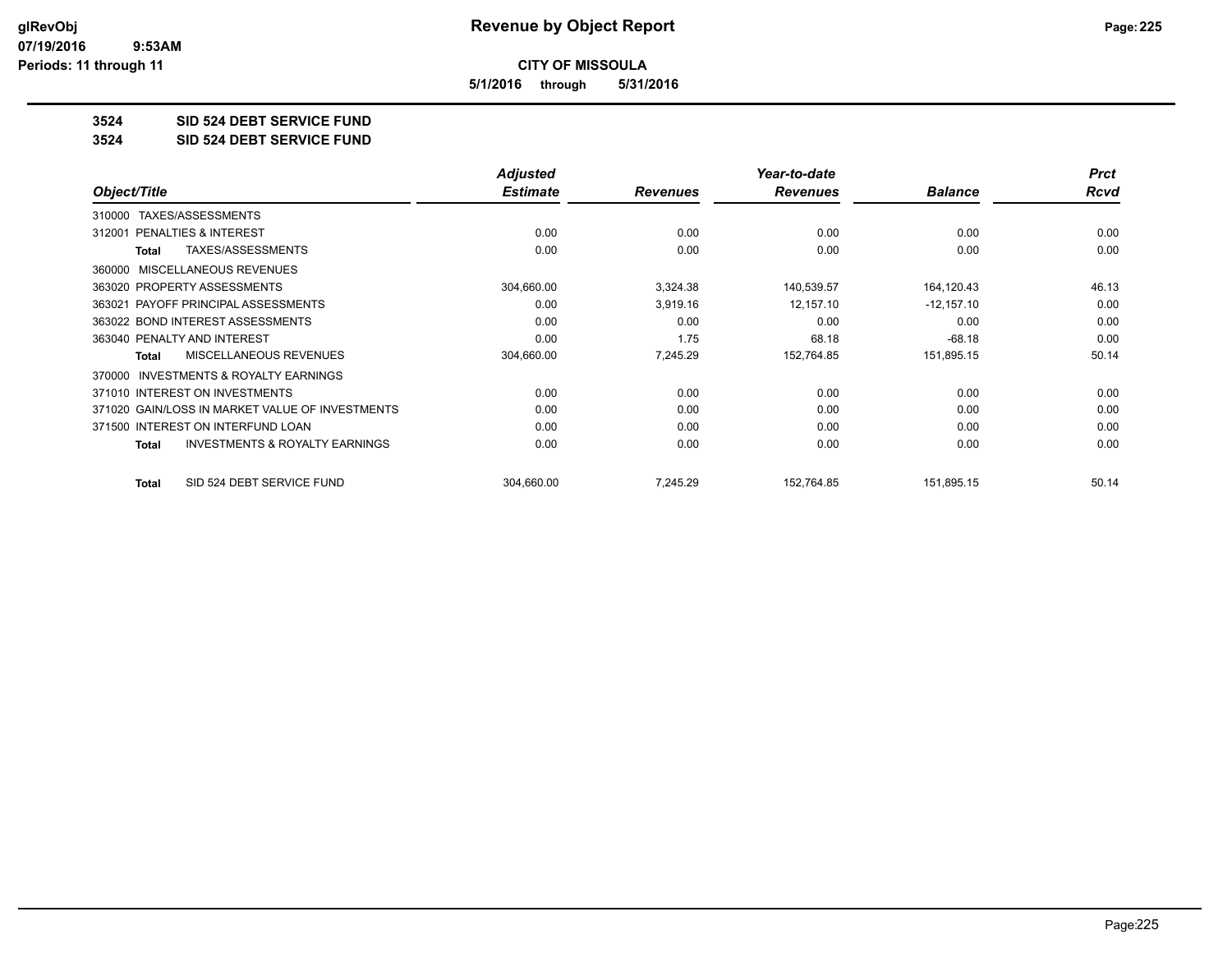**5/1/2016 through 5/31/2016**

**3524 SID 524 DEBT SERVICE FUND**

**3524 SID 524 DEBT SERVICE FUND**

|                                                     | <b>Adjusted</b> |                 | Year-to-date    |                | <b>Prct</b> |
|-----------------------------------------------------|-----------------|-----------------|-----------------|----------------|-------------|
| Object/Title                                        | <b>Estimate</b> | <b>Revenues</b> | <b>Revenues</b> | <b>Balance</b> | <b>Rcvd</b> |
| TAXES/ASSESSMENTS<br>310000                         |                 |                 |                 |                |             |
| PENALTIES & INTEREST<br>312001                      | 0.00            | 0.00            | 0.00            | 0.00           | 0.00        |
| TAXES/ASSESSMENTS<br>Total                          | 0.00            | 0.00            | 0.00            | 0.00           | 0.00        |
| MISCELLANEOUS REVENUES<br>360000                    |                 |                 |                 |                |             |
| 363020 PROPERTY ASSESSMENTS                         | 304,660.00      | 3,324.38        | 140,539.57      | 164,120.43     | 46.13       |
| 363021 PAYOFF PRINCIPAL ASSESSMENTS                 | 0.00            | 3,919.16        | 12,157.10       | $-12,157.10$   | 0.00        |
| 363022 BOND INTEREST ASSESSMENTS                    | 0.00            | 0.00            | 0.00            | 0.00           | 0.00        |
| 363040 PENALTY AND INTEREST                         | 0.00            | 1.75            | 68.18           | $-68.18$       | 0.00        |
| <b>MISCELLANEOUS REVENUES</b><br>Total              | 304,660.00      | 7,245.29        | 152,764.85      | 151,895.15     | 50.14       |
| <b>INVESTMENTS &amp; ROYALTY EARNINGS</b><br>370000 |                 |                 |                 |                |             |
| 371010 INTEREST ON INVESTMENTS                      | 0.00            | 0.00            | 0.00            | 0.00           | 0.00        |
| 371020 GAIN/LOSS IN MARKET VALUE OF INVESTMENTS     | 0.00            | 0.00            | 0.00            | 0.00           | 0.00        |
| 371500 INTEREST ON INTERFUND LOAN                   | 0.00            | 0.00            | 0.00            | 0.00           | 0.00        |
| <b>INVESTMENTS &amp; ROYALTY EARNINGS</b><br>Total  | 0.00            | 0.00            | 0.00            | 0.00           | 0.00        |
| SID 524 DEBT SERVICE FUND<br><b>Total</b>           | 304,660.00      | 7,245.29        | 152,764.85      | 151,895.15     | 50.14       |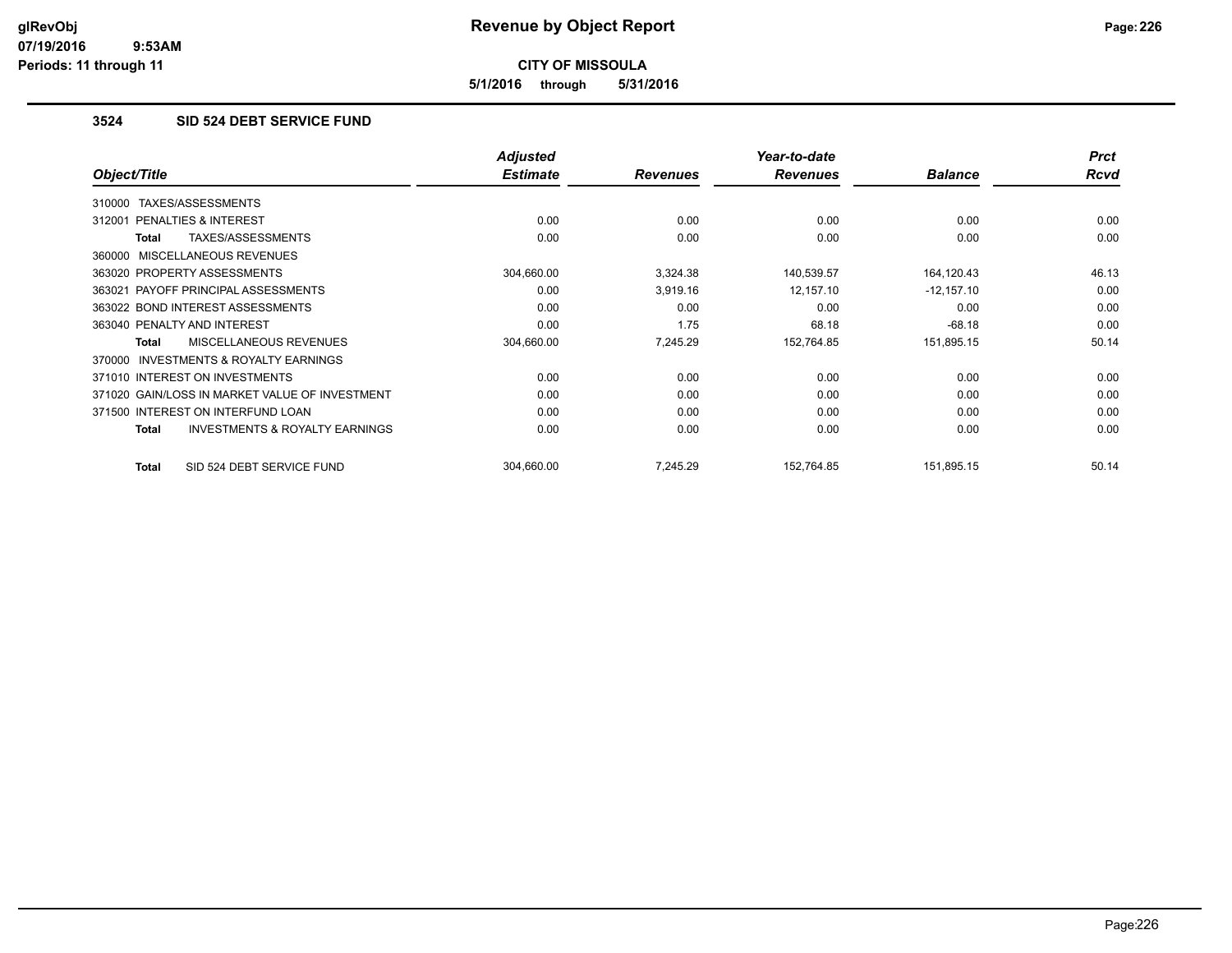**5/1/2016 through 5/31/2016**

#### **3524 SID 524 DEBT SERVICE FUND**

|                                                     | <b>Adjusted</b> |                 | Year-to-date    |                | <b>Prct</b> |
|-----------------------------------------------------|-----------------|-----------------|-----------------|----------------|-------------|
| Object/Title                                        | <b>Estimate</b> | <b>Revenues</b> | <b>Revenues</b> | <b>Balance</b> | <b>Rcvd</b> |
| TAXES/ASSESSMENTS<br>310000                         |                 |                 |                 |                |             |
| 312001 PENALTIES & INTEREST                         | 0.00            | 0.00            | 0.00            | 0.00           | 0.00        |
| TAXES/ASSESSMENTS<br>Total                          | 0.00            | 0.00            | 0.00            | 0.00           | 0.00        |
| 360000 MISCELLANEOUS REVENUES                       |                 |                 |                 |                |             |
| 363020 PROPERTY ASSESSMENTS                         | 304,660.00      | 3,324.38        | 140,539.57      | 164,120.43     | 46.13       |
| 363021 PAYOFF PRINCIPAL ASSESSMENTS                 | 0.00            | 3,919.16        | 12,157.10       | $-12,157.10$   | 0.00        |
| 363022 BOND INTEREST ASSESSMENTS                    | 0.00            | 0.00            | 0.00            | 0.00           | 0.00        |
| 363040 PENALTY AND INTEREST                         | 0.00            | 1.75            | 68.18           | $-68.18$       | 0.00        |
| <b>MISCELLANEOUS REVENUES</b><br><b>Total</b>       | 304,660.00      | 7,245.29        | 152,764.85      | 151,895.15     | 50.14       |
| <b>INVESTMENTS &amp; ROYALTY EARNINGS</b><br>370000 |                 |                 |                 |                |             |
| 371010 INTEREST ON INVESTMENTS                      | 0.00            | 0.00            | 0.00            | 0.00           | 0.00        |
| 371020 GAIN/LOSS IN MARKET VALUE OF INVESTMENT      | 0.00            | 0.00            | 0.00            | 0.00           | 0.00        |
| 371500 INTEREST ON INTERFUND LOAN                   | 0.00            | 0.00            | 0.00            | 0.00           | 0.00        |
| <b>INVESTMENTS &amp; ROYALTY EARNINGS</b><br>Total  | 0.00            | 0.00            | 0.00            | 0.00           | 0.00        |
| SID 524 DEBT SERVICE FUND<br>Total                  | 304,660.00      | 7.245.29        | 152,764.85      | 151,895.15     | 50.14       |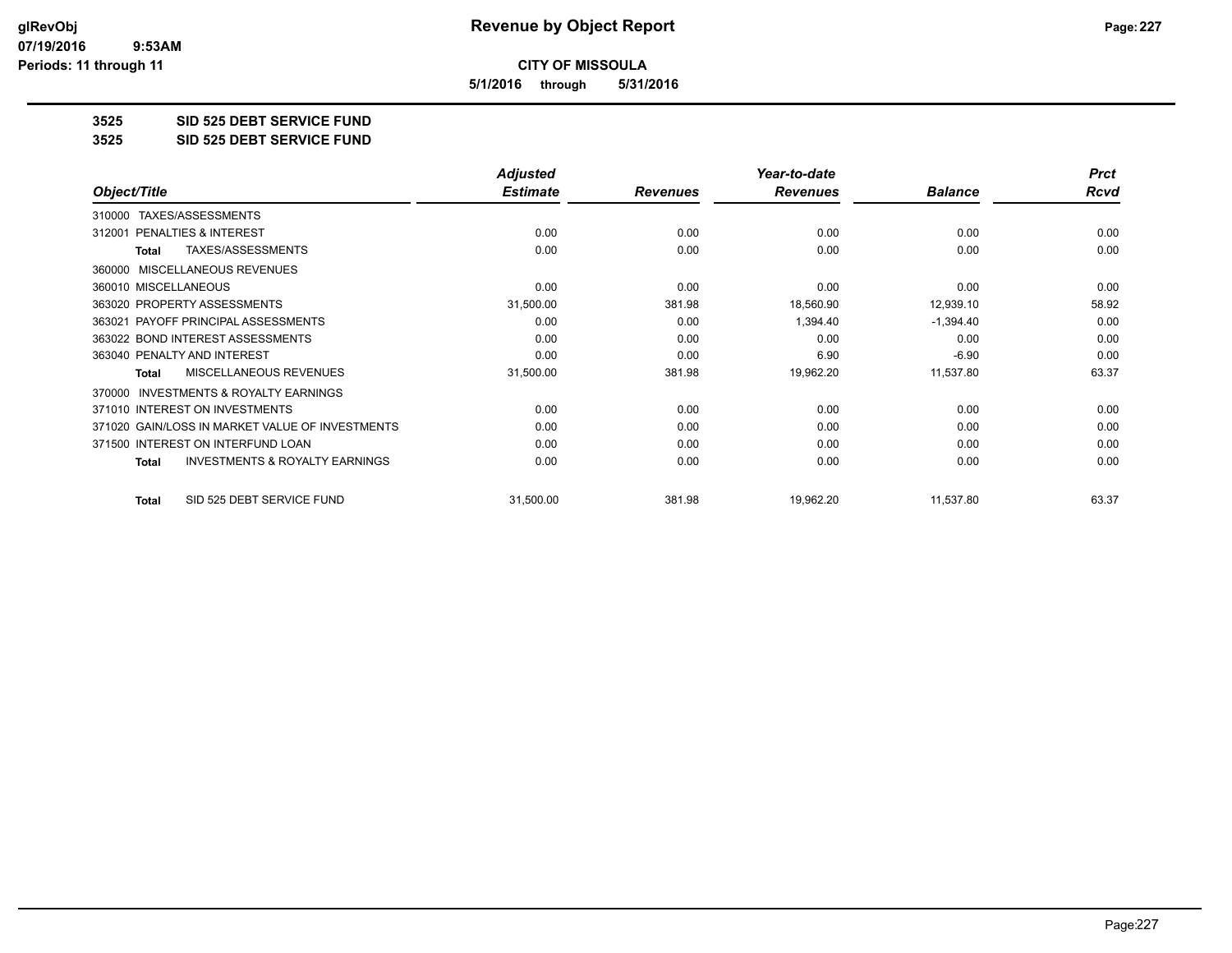**5/1/2016 through 5/31/2016**

**3525 SID 525 DEBT SERVICE FUND**

**3525 SID 525 DEBT SERVICE FUND**

|                                                           | <b>Adjusted</b> |                 | Year-to-date    |                | <b>Prct</b> |
|-----------------------------------------------------------|-----------------|-----------------|-----------------|----------------|-------------|
| Object/Title                                              | <b>Estimate</b> | <b>Revenues</b> | <b>Revenues</b> | <b>Balance</b> | <b>Rcvd</b> |
| TAXES/ASSESSMENTS<br>310000                               |                 |                 |                 |                |             |
| <b>PENALTIES &amp; INTEREST</b><br>312001                 | 0.00            | 0.00            | 0.00            | 0.00           | 0.00        |
| TAXES/ASSESSMENTS<br><b>Total</b>                         | 0.00            | 0.00            | 0.00            | 0.00           | 0.00        |
| MISCELLANEOUS REVENUES<br>360000                          |                 |                 |                 |                |             |
| 360010 MISCELLANEOUS                                      | 0.00            | 0.00            | 0.00            | 0.00           | 0.00        |
| 363020 PROPERTY ASSESSMENTS                               | 31,500.00       | 381.98          | 18,560.90       | 12,939.10      | 58.92       |
| 363021 PAYOFF PRINCIPAL ASSESSMENTS                       | 0.00            | 0.00            | 1,394.40        | $-1,394.40$    | 0.00        |
| 363022 BOND INTEREST ASSESSMENTS                          | 0.00            | 0.00            | 0.00            | 0.00           | 0.00        |
| 363040 PENALTY AND INTEREST                               | 0.00            | 0.00            | 6.90            | $-6.90$        | 0.00        |
| <b>MISCELLANEOUS REVENUES</b><br><b>Total</b>             | 31,500.00       | 381.98          | 19,962.20       | 11,537.80      | 63.37       |
| <b>INVESTMENTS &amp; ROYALTY EARNINGS</b><br>370000       |                 |                 |                 |                |             |
| 371010 INTEREST ON INVESTMENTS                            | 0.00            | 0.00            | 0.00            | 0.00           | 0.00        |
| 371020 GAIN/LOSS IN MARKET VALUE OF INVESTMENTS           | 0.00            | 0.00            | 0.00            | 0.00           | 0.00        |
| 371500 INTEREST ON INTERFUND LOAN                         | 0.00            | 0.00            | 0.00            | 0.00           | 0.00        |
| <b>INVESTMENTS &amp; ROYALTY EARNINGS</b><br><b>Total</b> | 0.00            | 0.00            | 0.00            | 0.00           | 0.00        |
| SID 525 DEBT SERVICE FUND<br><b>Total</b>                 | 31,500.00       | 381.98          | 19,962.20       | 11,537.80      | 63.37       |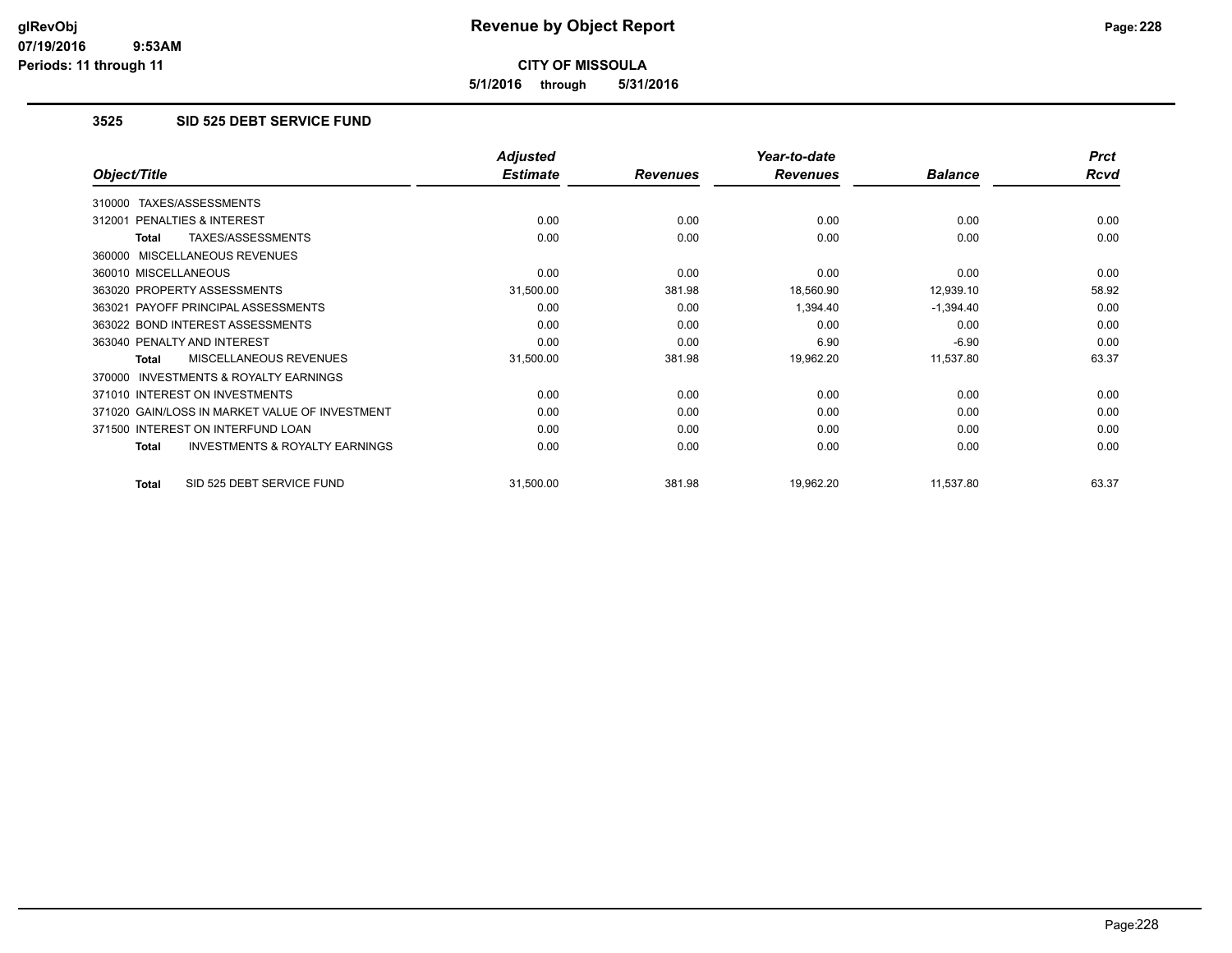**5/1/2016 through 5/31/2016**

### **3525 SID 525 DEBT SERVICE FUND**

|                                                    | <b>Adjusted</b> |                 | Year-to-date    |                | <b>Prct</b> |
|----------------------------------------------------|-----------------|-----------------|-----------------|----------------|-------------|
| Object/Title                                       | <b>Estimate</b> | <b>Revenues</b> | <b>Revenues</b> | <b>Balance</b> | Rcvd        |
| TAXES/ASSESSMENTS<br>310000                        |                 |                 |                 |                |             |
| 312001 PENALTIES & INTEREST                        | 0.00            | 0.00            | 0.00            | 0.00           | 0.00        |
| TAXES/ASSESSMENTS<br>Total                         | 0.00            | 0.00            | 0.00            | 0.00           | 0.00        |
| 360000 MISCELLANEOUS REVENUES                      |                 |                 |                 |                |             |
| 360010 MISCELLANEOUS                               | 0.00            | 0.00            | 0.00            | 0.00           | 0.00        |
| 363020 PROPERTY ASSESSMENTS                        | 31,500.00       | 381.98          | 18,560.90       | 12,939.10      | 58.92       |
| 363021 PAYOFF PRINCIPAL ASSESSMENTS                | 0.00            | 0.00            | 1,394.40        | $-1,394.40$    | 0.00        |
| 363022 BOND INTEREST ASSESSMENTS                   | 0.00            | 0.00            | 0.00            | 0.00           | 0.00        |
| 363040 PENALTY AND INTEREST                        | 0.00            | 0.00            | 6.90            | $-6.90$        | 0.00        |
| <b>MISCELLANEOUS REVENUES</b><br>Total             | 31,500.00       | 381.98          | 19,962.20       | 11,537.80      | 63.37       |
| 370000 INVESTMENTS & ROYALTY EARNINGS              |                 |                 |                 |                |             |
| 371010 INTEREST ON INVESTMENTS                     | 0.00            | 0.00            | 0.00            | 0.00           | 0.00        |
| 371020 GAIN/LOSS IN MARKET VALUE OF INVESTMENT     | 0.00            | 0.00            | 0.00            | 0.00           | 0.00        |
| 371500 INTEREST ON INTERFUND LOAN                  | 0.00            | 0.00            | 0.00            | 0.00           | 0.00        |
| <b>INVESTMENTS &amp; ROYALTY EARNINGS</b><br>Total | 0.00            | 0.00            | 0.00            | 0.00           | 0.00        |
| SID 525 DEBT SERVICE FUND<br>Total                 | 31,500.00       | 381.98          | 19,962.20       | 11,537.80      | 63.37       |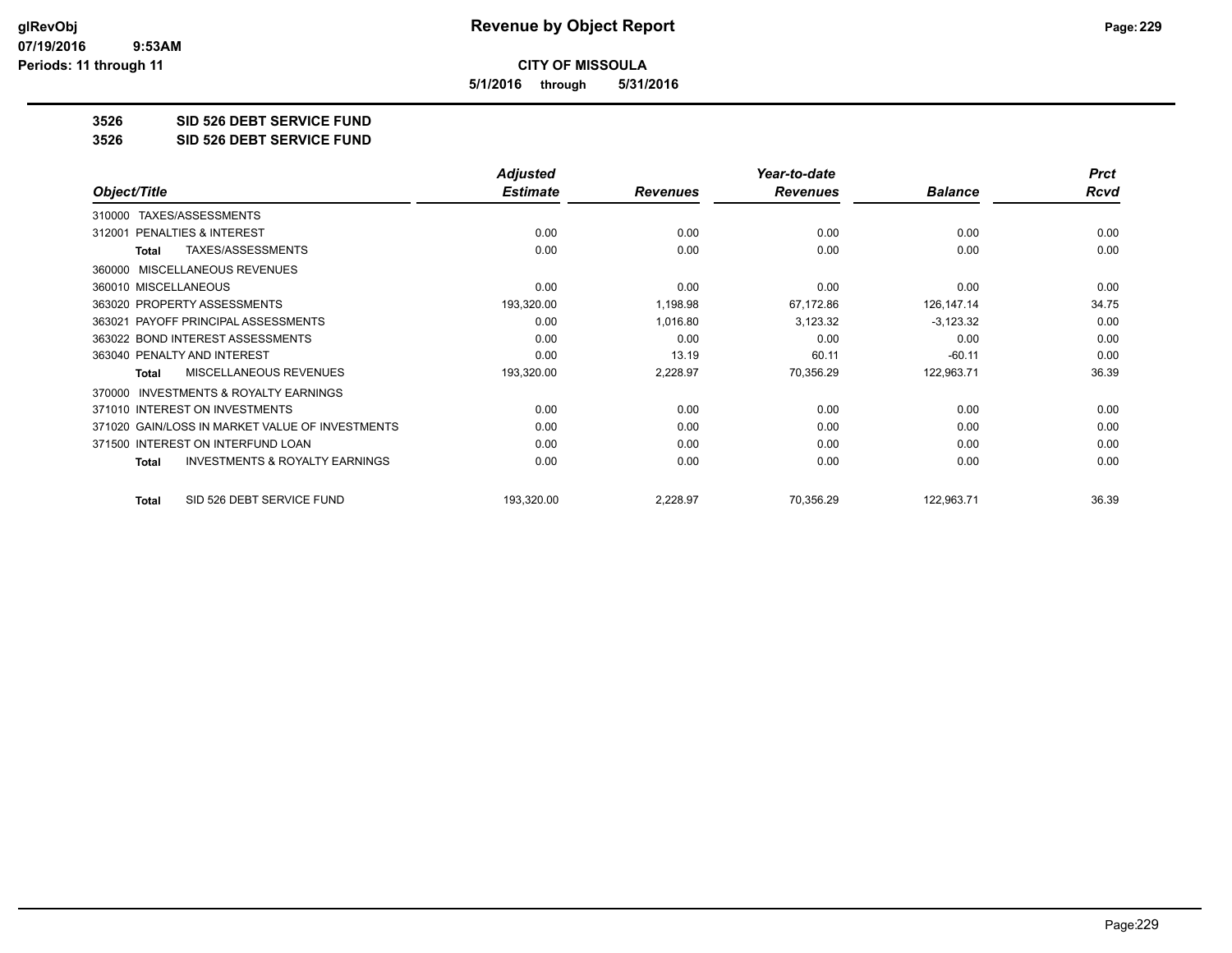**5/1/2016 through 5/31/2016**

#### **3526 SID 526 DEBT SERVICE FUND**

**3526 SID 526 DEBT SERVICE FUND**

|                                                           | <b>Adjusted</b> |                 | Year-to-date    |                | <b>Prct</b> |
|-----------------------------------------------------------|-----------------|-----------------|-----------------|----------------|-------------|
| Object/Title                                              | <b>Estimate</b> | <b>Revenues</b> | <b>Revenues</b> | <b>Balance</b> | <b>Rcvd</b> |
| TAXES/ASSESSMENTS<br>310000                               |                 |                 |                 |                |             |
| PENALTIES & INTEREST<br>312001                            | 0.00            | 0.00            | 0.00            | 0.00           | 0.00        |
| TAXES/ASSESSMENTS<br><b>Total</b>                         | 0.00            | 0.00            | 0.00            | 0.00           | 0.00        |
| MISCELLANEOUS REVENUES<br>360000                          |                 |                 |                 |                |             |
| 360010 MISCELLANEOUS                                      | 0.00            | 0.00            | 0.00            | 0.00           | 0.00        |
| 363020 PROPERTY ASSESSMENTS                               | 193,320.00      | 1,198.98        | 67,172.86       | 126,147.14     | 34.75       |
| 363021 PAYOFF PRINCIPAL ASSESSMENTS                       | 0.00            | 1,016.80        | 3,123.32        | $-3,123.32$    | 0.00        |
| 363022 BOND INTEREST ASSESSMENTS                          | 0.00            | 0.00            | 0.00            | 0.00           | 0.00        |
| 363040 PENALTY AND INTEREST                               | 0.00            | 13.19           | 60.11           | $-60.11$       | 0.00        |
| <b>MISCELLANEOUS REVENUES</b><br><b>Total</b>             | 193,320.00      | 2,228.97        | 70,356.29       | 122,963.71     | 36.39       |
| <b>INVESTMENTS &amp; ROYALTY EARNINGS</b><br>370000       |                 |                 |                 |                |             |
| 371010 INTEREST ON INVESTMENTS                            | 0.00            | 0.00            | 0.00            | 0.00           | 0.00        |
| 371020 GAIN/LOSS IN MARKET VALUE OF INVESTMENTS           | 0.00            | 0.00            | 0.00            | 0.00           | 0.00        |
| 371500 INTEREST ON INTERFUND LOAN                         | 0.00            | 0.00            | 0.00            | 0.00           | 0.00        |
| <b>INVESTMENTS &amp; ROYALTY EARNINGS</b><br><b>Total</b> | 0.00            | 0.00            | 0.00            | 0.00           | 0.00        |
| SID 526 DEBT SERVICE FUND<br><b>Total</b>                 | 193,320.00      | 2,228.97        | 70,356.29       | 122,963.71     | 36.39       |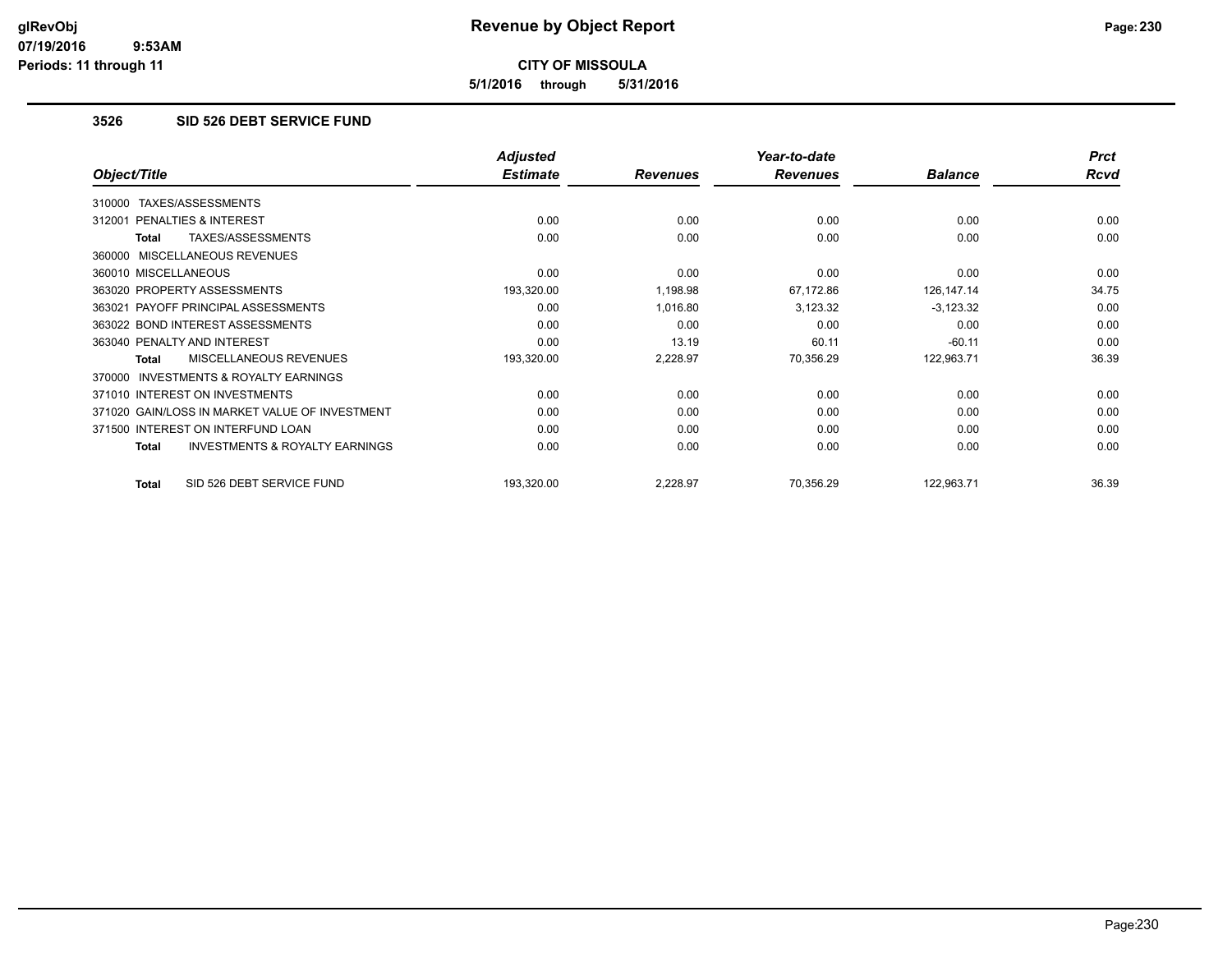**5/1/2016 through 5/31/2016**

#### **3526 SID 526 DEBT SERVICE FUND**

|                                                           | <b>Adjusted</b> |                 | Year-to-date    |                | <b>Prct</b> |
|-----------------------------------------------------------|-----------------|-----------------|-----------------|----------------|-------------|
| Object/Title                                              | <b>Estimate</b> | <b>Revenues</b> | <b>Revenues</b> | <b>Balance</b> | Rcvd        |
| TAXES/ASSESSMENTS<br>310000                               |                 |                 |                 |                |             |
| 312001 PENALTIES & INTEREST                               | 0.00            | 0.00            | 0.00            | 0.00           | 0.00        |
| TAXES/ASSESSMENTS<br>Total                                | 0.00            | 0.00            | 0.00            | 0.00           | 0.00        |
| 360000 MISCELLANEOUS REVENUES                             |                 |                 |                 |                |             |
| 360010 MISCELLANEOUS                                      | 0.00            | 0.00            | 0.00            | 0.00           | 0.00        |
| 363020 PROPERTY ASSESSMENTS                               | 193,320.00      | 1,198.98        | 67,172.86       | 126,147.14     | 34.75       |
| 363021 PAYOFF PRINCIPAL ASSESSMENTS                       | 0.00            | 1,016.80        | 3,123.32        | $-3,123.32$    | 0.00        |
| 363022 BOND INTEREST ASSESSMENTS                          | 0.00            | 0.00            | 0.00            | 0.00           | 0.00        |
| 363040 PENALTY AND INTEREST                               | 0.00            | 13.19           | 60.11           | $-60.11$       | 0.00        |
| MISCELLANEOUS REVENUES<br>Total                           | 193,320.00      | 2,228.97        | 70,356.29       | 122,963.71     | 36.39       |
| <b>INVESTMENTS &amp; ROYALTY EARNINGS</b><br>370000       |                 |                 |                 |                |             |
| 371010 INTEREST ON INVESTMENTS                            | 0.00            | 0.00            | 0.00            | 0.00           | 0.00        |
| 371020 GAIN/LOSS IN MARKET VALUE OF INVESTMENT            | 0.00            | 0.00            | 0.00            | 0.00           | 0.00        |
| 371500 INTEREST ON INTERFUND LOAN                         | 0.00            | 0.00            | 0.00            | 0.00           | 0.00        |
| <b>INVESTMENTS &amp; ROYALTY EARNINGS</b><br><b>Total</b> | 0.00            | 0.00            | 0.00            | 0.00           | 0.00        |
| SID 526 DEBT SERVICE FUND<br><b>Total</b>                 | 193,320.00      | 2,228.97        | 70,356.29       | 122,963.71     | 36.39       |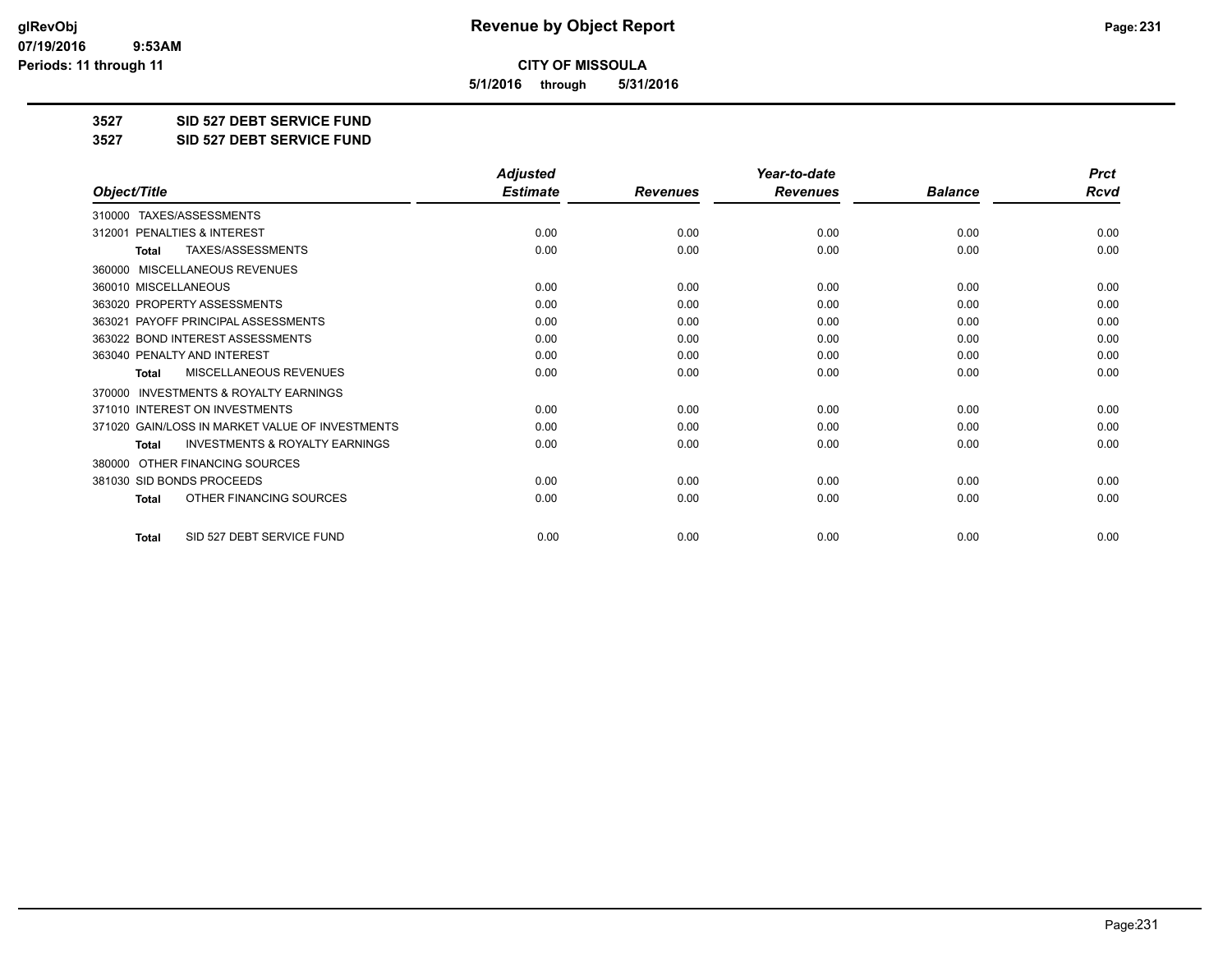**5/1/2016 through 5/31/2016**

**3527 SID 527 DEBT SERVICE FUND**

**3527 SID 527 DEBT SERVICE FUND**

|                                                           | <b>Adjusted</b> |                 | Year-to-date    |                | <b>Prct</b> |
|-----------------------------------------------------------|-----------------|-----------------|-----------------|----------------|-------------|
| Object/Title                                              | <b>Estimate</b> | <b>Revenues</b> | <b>Revenues</b> | <b>Balance</b> | <b>Rcvd</b> |
| TAXES/ASSESSMENTS<br>310000                               |                 |                 |                 |                |             |
| 312001 PENALTIES & INTEREST                               | 0.00            | 0.00            | 0.00            | 0.00           | 0.00        |
| <b>TAXES/ASSESSMENTS</b><br><b>Total</b>                  | 0.00            | 0.00            | 0.00            | 0.00           | 0.00        |
| MISCELLANEOUS REVENUES<br>360000                          |                 |                 |                 |                |             |
| 360010 MISCELLANEOUS                                      | 0.00            | 0.00            | 0.00            | 0.00           | 0.00        |
| 363020 PROPERTY ASSESSMENTS                               | 0.00            | 0.00            | 0.00            | 0.00           | 0.00        |
| 363021 PAYOFF PRINCIPAL ASSESSMENTS                       | 0.00            | 0.00            | 0.00            | 0.00           | 0.00        |
| 363022 BOND INTEREST ASSESSMENTS                          | 0.00            | 0.00            | 0.00            | 0.00           | 0.00        |
| 363040 PENALTY AND INTEREST                               | 0.00            | 0.00            | 0.00            | 0.00           | 0.00        |
| <b>MISCELLANEOUS REVENUES</b><br><b>Total</b>             | 0.00            | 0.00            | 0.00            | 0.00           | 0.00        |
| <b>INVESTMENTS &amp; ROYALTY EARNINGS</b><br>370000       |                 |                 |                 |                |             |
| 371010 INTEREST ON INVESTMENTS                            | 0.00            | 0.00            | 0.00            | 0.00           | 0.00        |
| 371020 GAIN/LOSS IN MARKET VALUE OF INVESTMENTS           | 0.00            | 0.00            | 0.00            | 0.00           | 0.00        |
| <b>INVESTMENTS &amp; ROYALTY EARNINGS</b><br><b>Total</b> | 0.00            | 0.00            | 0.00            | 0.00           | 0.00        |
| OTHER FINANCING SOURCES<br>380000                         |                 |                 |                 |                |             |
| 381030 SID BONDS PROCEEDS                                 | 0.00            | 0.00            | 0.00            | 0.00           | 0.00        |
| OTHER FINANCING SOURCES<br><b>Total</b>                   | 0.00            | 0.00            | 0.00            | 0.00           | 0.00        |
| SID 527 DEBT SERVICE FUND<br><b>Total</b>                 | 0.00            | 0.00            | 0.00            | 0.00           | 0.00        |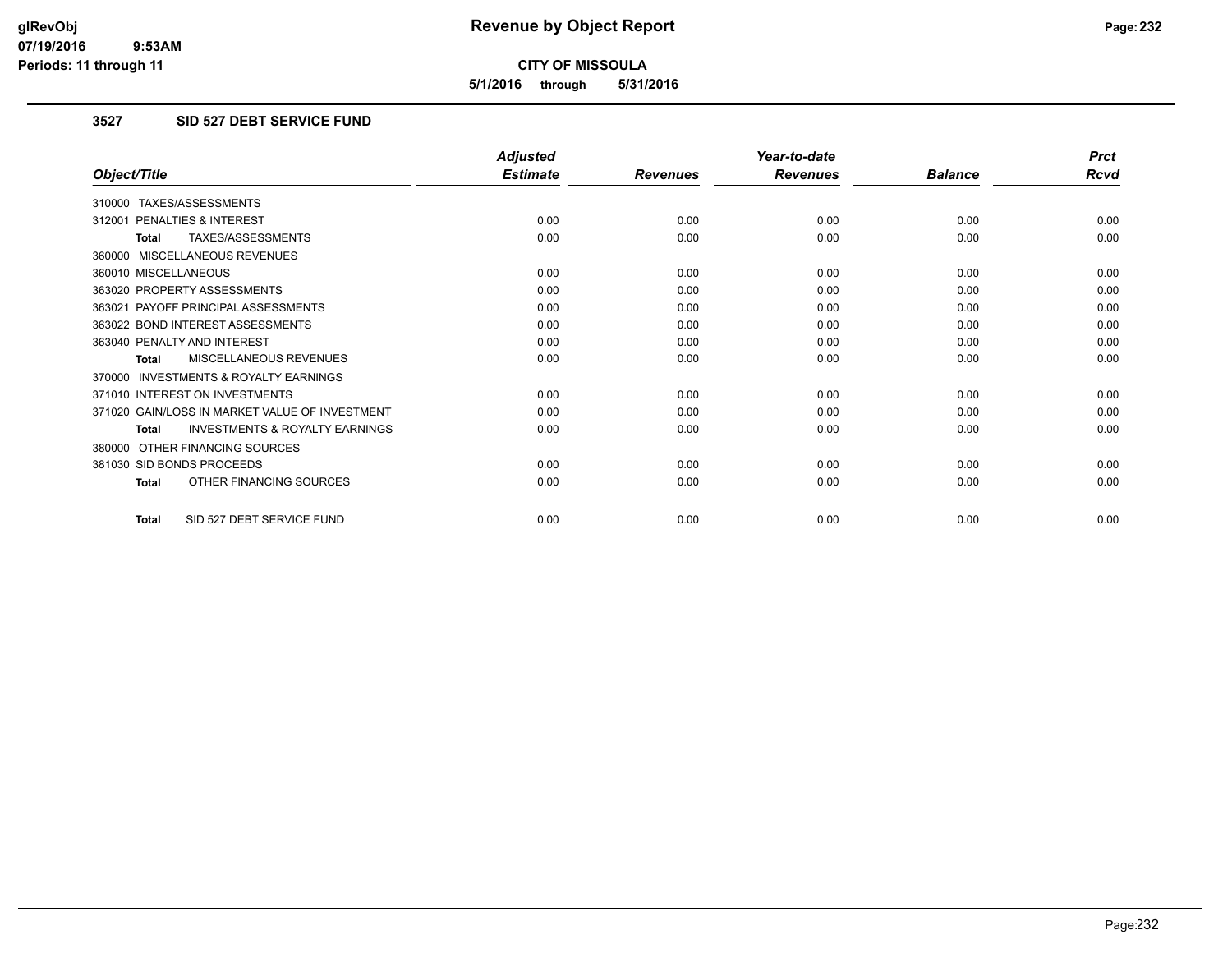**5/1/2016 through 5/31/2016**

### **3527 SID 527 DEBT SERVICE FUND**

|                                                           | <b>Adjusted</b> |                 | Year-to-date    |                | <b>Prct</b> |
|-----------------------------------------------------------|-----------------|-----------------|-----------------|----------------|-------------|
| Object/Title                                              | <b>Estimate</b> | <b>Revenues</b> | <b>Revenues</b> | <b>Balance</b> | <b>Rcvd</b> |
| 310000 TAXES/ASSESSMENTS                                  |                 |                 |                 |                |             |
| 312001 PENALTIES & INTEREST                               | 0.00            | 0.00            | 0.00            | 0.00           | 0.00        |
| TAXES/ASSESSMENTS<br><b>Total</b>                         | 0.00            | 0.00            | 0.00            | 0.00           | 0.00        |
| 360000 MISCELLANEOUS REVENUES                             |                 |                 |                 |                |             |
| 360010 MISCELLANEOUS                                      | 0.00            | 0.00            | 0.00            | 0.00           | 0.00        |
| 363020 PROPERTY ASSESSMENTS                               | 0.00            | 0.00            | 0.00            | 0.00           | 0.00        |
| 363021 PAYOFF PRINCIPAL ASSESSMENTS                       | 0.00            | 0.00            | 0.00            | 0.00           | 0.00        |
| 363022 BOND INTEREST ASSESSMENTS                          | 0.00            | 0.00            | 0.00            | 0.00           | 0.00        |
| 363040 PENALTY AND INTEREST                               | 0.00            | 0.00            | 0.00            | 0.00           | 0.00        |
| MISCELLANEOUS REVENUES<br>Total                           | 0.00            | 0.00            | 0.00            | 0.00           | 0.00        |
| 370000 INVESTMENTS & ROYALTY EARNINGS                     |                 |                 |                 |                |             |
| 371010 INTEREST ON INVESTMENTS                            | 0.00            | 0.00            | 0.00            | 0.00           | 0.00        |
| 371020 GAIN/LOSS IN MARKET VALUE OF INVESTMENT            | 0.00            | 0.00            | 0.00            | 0.00           | 0.00        |
| <b>INVESTMENTS &amp; ROYALTY EARNINGS</b><br><b>Total</b> | 0.00            | 0.00            | 0.00            | 0.00           | 0.00        |
| 380000 OTHER FINANCING SOURCES                            |                 |                 |                 |                |             |
| 381030 SID BONDS PROCEEDS                                 | 0.00            | 0.00            | 0.00            | 0.00           | 0.00        |
| OTHER FINANCING SOURCES<br><b>Total</b>                   | 0.00            | 0.00            | 0.00            | 0.00           | 0.00        |
| SID 527 DEBT SERVICE FUND<br><b>Total</b>                 | 0.00            | 0.00            | 0.00            | 0.00           | 0.00        |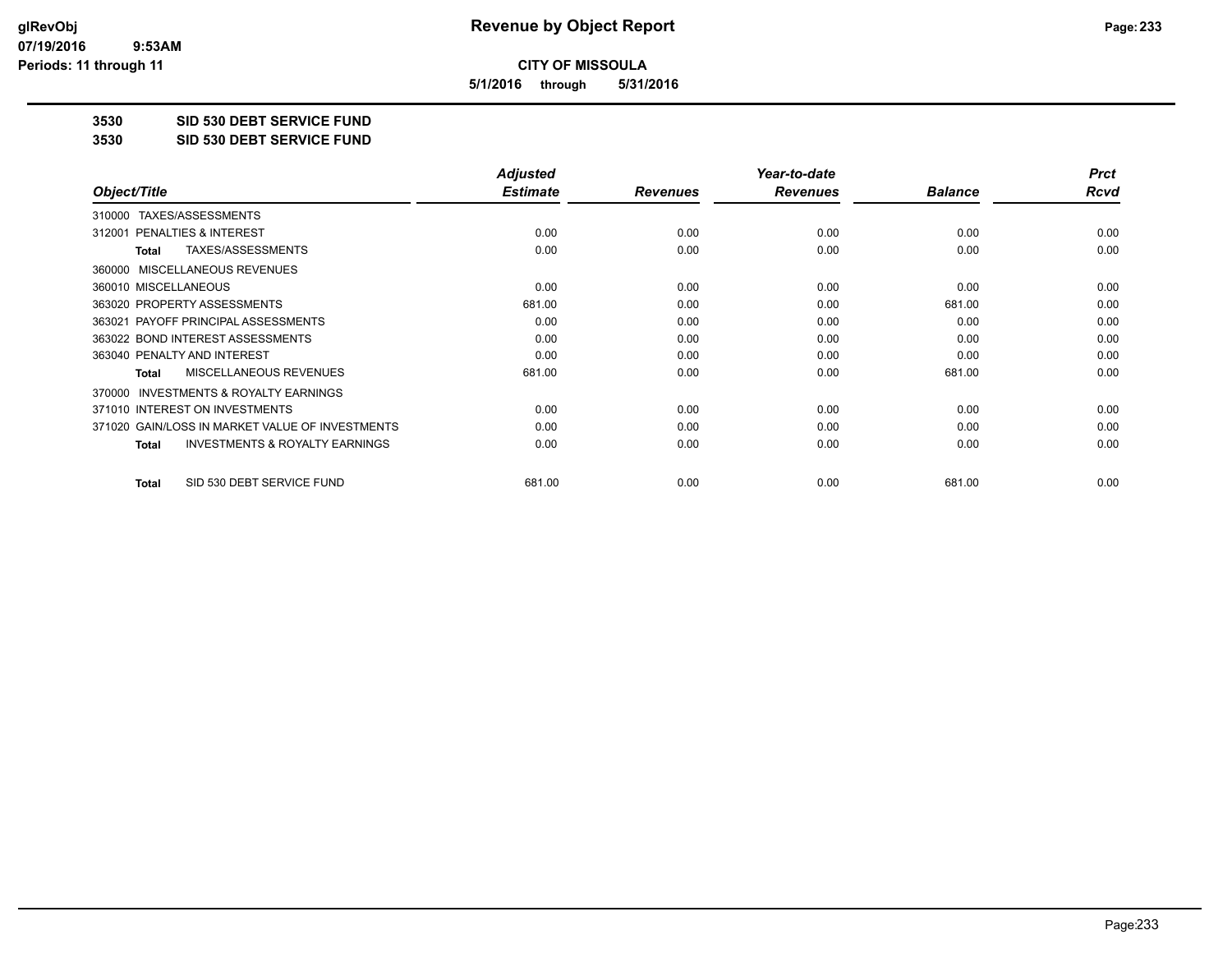**5/1/2016 through 5/31/2016**

**3530 SID 530 DEBT SERVICE FUND**

**3530 SID 530 DEBT SERVICE FUND**

|                                                    | <b>Adjusted</b> |                 | Year-to-date    |                | <b>Prct</b> |
|----------------------------------------------------|-----------------|-----------------|-----------------|----------------|-------------|
| Object/Title                                       | <b>Estimate</b> | <b>Revenues</b> | <b>Revenues</b> | <b>Balance</b> | Rcvd        |
| TAXES/ASSESSMENTS<br>310000                        |                 |                 |                 |                |             |
| PENALTIES & INTEREST<br>312001                     | 0.00            | 0.00            | 0.00            | 0.00           | 0.00        |
| TAXES/ASSESSMENTS<br>Total                         | 0.00            | 0.00            | 0.00            | 0.00           | 0.00        |
| 360000 MISCELLANEOUS REVENUES                      |                 |                 |                 |                |             |
| 360010 MISCELLANEOUS                               | 0.00            | 0.00            | 0.00            | 0.00           | 0.00        |
| 363020 PROPERTY ASSESSMENTS                        | 681.00          | 0.00            | 0.00            | 681.00         | 0.00        |
| 363021 PAYOFF PRINCIPAL ASSESSMENTS                | 0.00            | 0.00            | 0.00            | 0.00           | 0.00        |
| 363022 BOND INTEREST ASSESSMENTS                   | 0.00            | 0.00            | 0.00            | 0.00           | 0.00        |
| 363040 PENALTY AND INTEREST                        | 0.00            | 0.00            | 0.00            | 0.00           | 0.00        |
| MISCELLANEOUS REVENUES<br>Total                    | 681.00          | 0.00            | 0.00            | 681.00         | 0.00        |
| 370000 INVESTMENTS & ROYALTY EARNINGS              |                 |                 |                 |                |             |
| 371010 INTEREST ON INVESTMENTS                     | 0.00            | 0.00            | 0.00            | 0.00           | 0.00        |
| 371020 GAIN/LOSS IN MARKET VALUE OF INVESTMENTS    | 0.00            | 0.00            | 0.00            | 0.00           | 0.00        |
| <b>INVESTMENTS &amp; ROYALTY EARNINGS</b><br>Total | 0.00            | 0.00            | 0.00            | 0.00           | 0.00        |
| SID 530 DEBT SERVICE FUND<br><b>Total</b>          | 681.00          | 0.00            | 0.00            | 681.00         | 0.00        |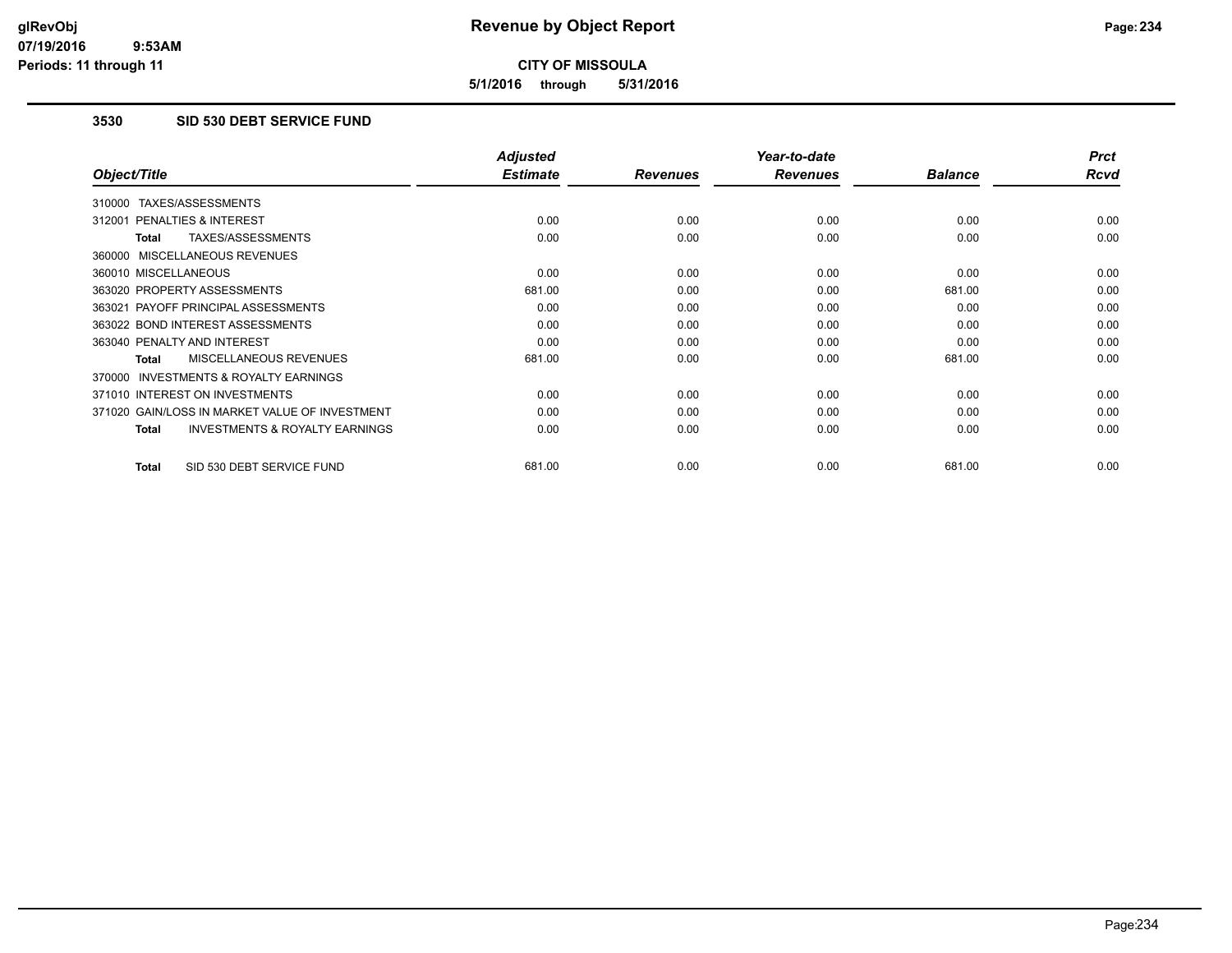**5/1/2016 through 5/31/2016**

### **3530 SID 530 DEBT SERVICE FUND**

|                                                           | <b>Adjusted</b> |                 | Year-to-date    |                | <b>Prct</b> |
|-----------------------------------------------------------|-----------------|-----------------|-----------------|----------------|-------------|
| Object/Title                                              | <b>Estimate</b> | <b>Revenues</b> | <b>Revenues</b> | <b>Balance</b> | <b>Rcvd</b> |
| 310000 TAXES/ASSESSMENTS                                  |                 |                 |                 |                |             |
| 312001 PENALTIES & INTEREST                               | 0.00            | 0.00            | 0.00            | 0.00           | 0.00        |
| <b>TAXES/ASSESSMENTS</b><br><b>Total</b>                  | 0.00            | 0.00            | 0.00            | 0.00           | 0.00        |
| 360000 MISCELLANEOUS REVENUES                             |                 |                 |                 |                |             |
| 360010 MISCELLANEOUS                                      | 0.00            | 0.00            | 0.00            | 0.00           | 0.00        |
| 363020 PROPERTY ASSESSMENTS                               | 681.00          | 0.00            | 0.00            | 681.00         | 0.00        |
| 363021 PAYOFF PRINCIPAL ASSESSMENTS                       | 0.00            | 0.00            | 0.00            | 0.00           | 0.00        |
| 363022 BOND INTEREST ASSESSMENTS                          | 0.00            | 0.00            | 0.00            | 0.00           | 0.00        |
| 363040 PENALTY AND INTEREST                               | 0.00            | 0.00            | 0.00            | 0.00           | 0.00        |
| MISCELLANEOUS REVENUES<br><b>Total</b>                    | 681.00          | 0.00            | 0.00            | 681.00         | 0.00        |
| <b>INVESTMENTS &amp; ROYALTY EARNINGS</b><br>370000       |                 |                 |                 |                |             |
| 371010 INTEREST ON INVESTMENTS                            | 0.00            | 0.00            | 0.00            | 0.00           | 0.00        |
| 371020 GAIN/LOSS IN MARKET VALUE OF INVESTMENT            | 0.00            | 0.00            | 0.00            | 0.00           | 0.00        |
| <b>INVESTMENTS &amp; ROYALTY EARNINGS</b><br><b>Total</b> | 0.00            | 0.00            | 0.00            | 0.00           | 0.00        |
| SID 530 DEBT SERVICE FUND<br><b>Total</b>                 | 681.00          | 0.00            | 0.00            | 681.00         | 0.00        |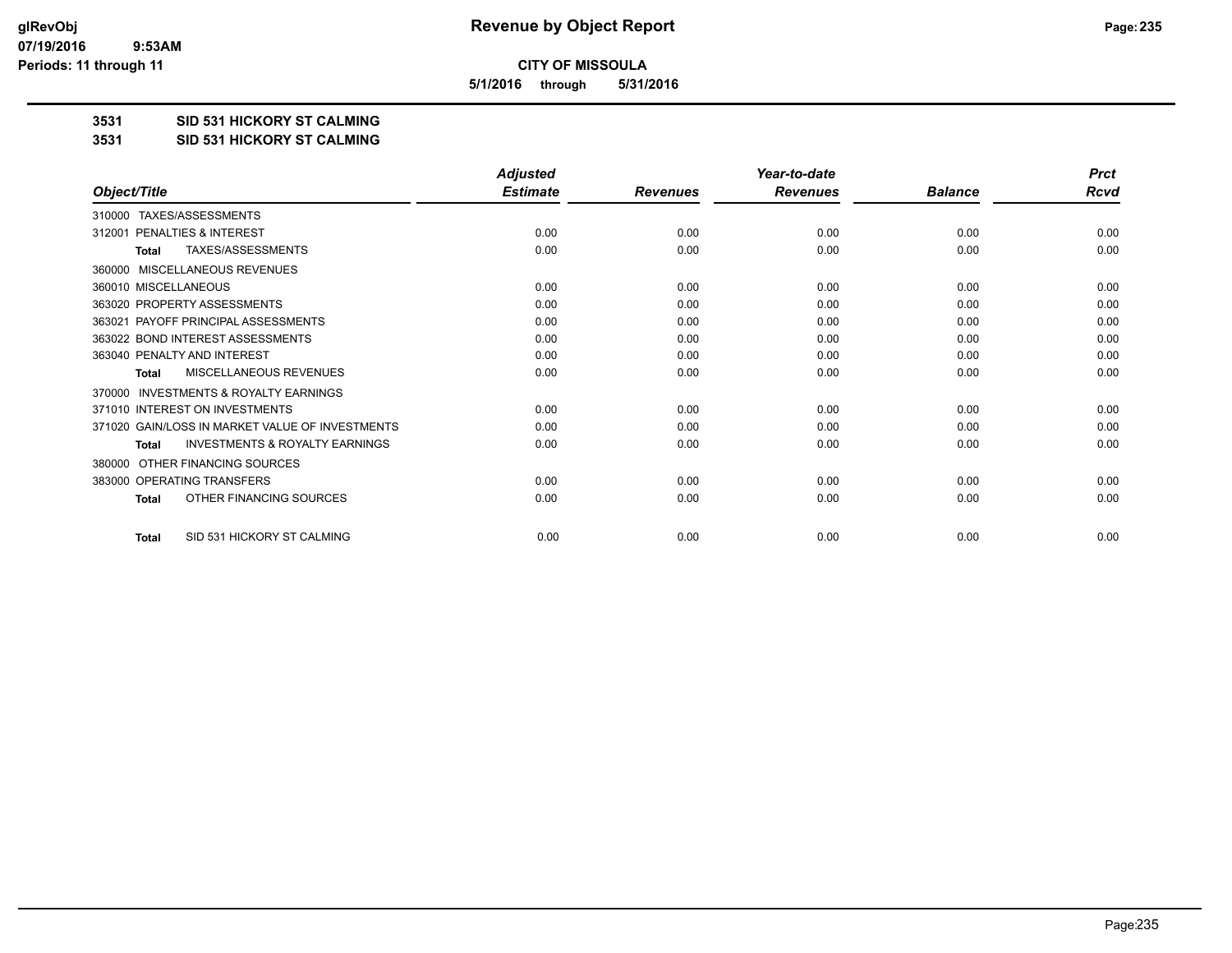**5/1/2016 through 5/31/2016**

#### **3531 SID 531 HICKORY ST CALMING**

#### **3531 SID 531 HICKORY ST CALMING**

|                                                     | <b>Adjusted</b> |                 | Year-to-date    |                | <b>Prct</b> |
|-----------------------------------------------------|-----------------|-----------------|-----------------|----------------|-------------|
| Object/Title                                        | <b>Estimate</b> | <b>Revenues</b> | <b>Revenues</b> | <b>Balance</b> | Rcvd        |
| TAXES/ASSESSMENTS<br>310000                         |                 |                 |                 |                |             |
| PENALTIES & INTEREST<br>312001                      | 0.00            | 0.00            | 0.00            | 0.00           | 0.00        |
| TAXES/ASSESSMENTS<br><b>Total</b>                   | 0.00            | 0.00            | 0.00            | 0.00           | 0.00        |
| MISCELLANEOUS REVENUES<br>360000                    |                 |                 |                 |                |             |
| 360010 MISCELLANEOUS                                | 0.00            | 0.00            | 0.00            | 0.00           | 0.00        |
| 363020 PROPERTY ASSESSMENTS                         | 0.00            | 0.00            | 0.00            | 0.00           | 0.00        |
| 363021 PAYOFF PRINCIPAL ASSESSMENTS                 | 0.00            | 0.00            | 0.00            | 0.00           | 0.00        |
| 363022 BOND INTEREST ASSESSMENTS                    | 0.00            | 0.00            | 0.00            | 0.00           | 0.00        |
| 363040 PENALTY AND INTEREST                         | 0.00            | 0.00            | 0.00            | 0.00           | 0.00        |
| MISCELLANEOUS REVENUES<br>Total                     | 0.00            | 0.00            | 0.00            | 0.00           | 0.00        |
| <b>INVESTMENTS &amp; ROYALTY EARNINGS</b><br>370000 |                 |                 |                 |                |             |
| 371010 INTEREST ON INVESTMENTS                      | 0.00            | 0.00            | 0.00            | 0.00           | 0.00        |
| 371020 GAIN/LOSS IN MARKET VALUE OF INVESTMENTS     | 0.00            | 0.00            | 0.00            | 0.00           | 0.00        |
| <b>INVESTMENTS &amp; ROYALTY EARNINGS</b><br>Total  | 0.00            | 0.00            | 0.00            | 0.00           | 0.00        |
| OTHER FINANCING SOURCES<br>380000                   |                 |                 |                 |                |             |
| 383000 OPERATING TRANSFERS                          | 0.00            | 0.00            | 0.00            | 0.00           | 0.00        |
| OTHER FINANCING SOURCES<br><b>Total</b>             | 0.00            | 0.00            | 0.00            | 0.00           | 0.00        |
| SID 531 HICKORY ST CALMING<br><b>Total</b>          | 0.00            | 0.00            | 0.00            | 0.00           | 0.00        |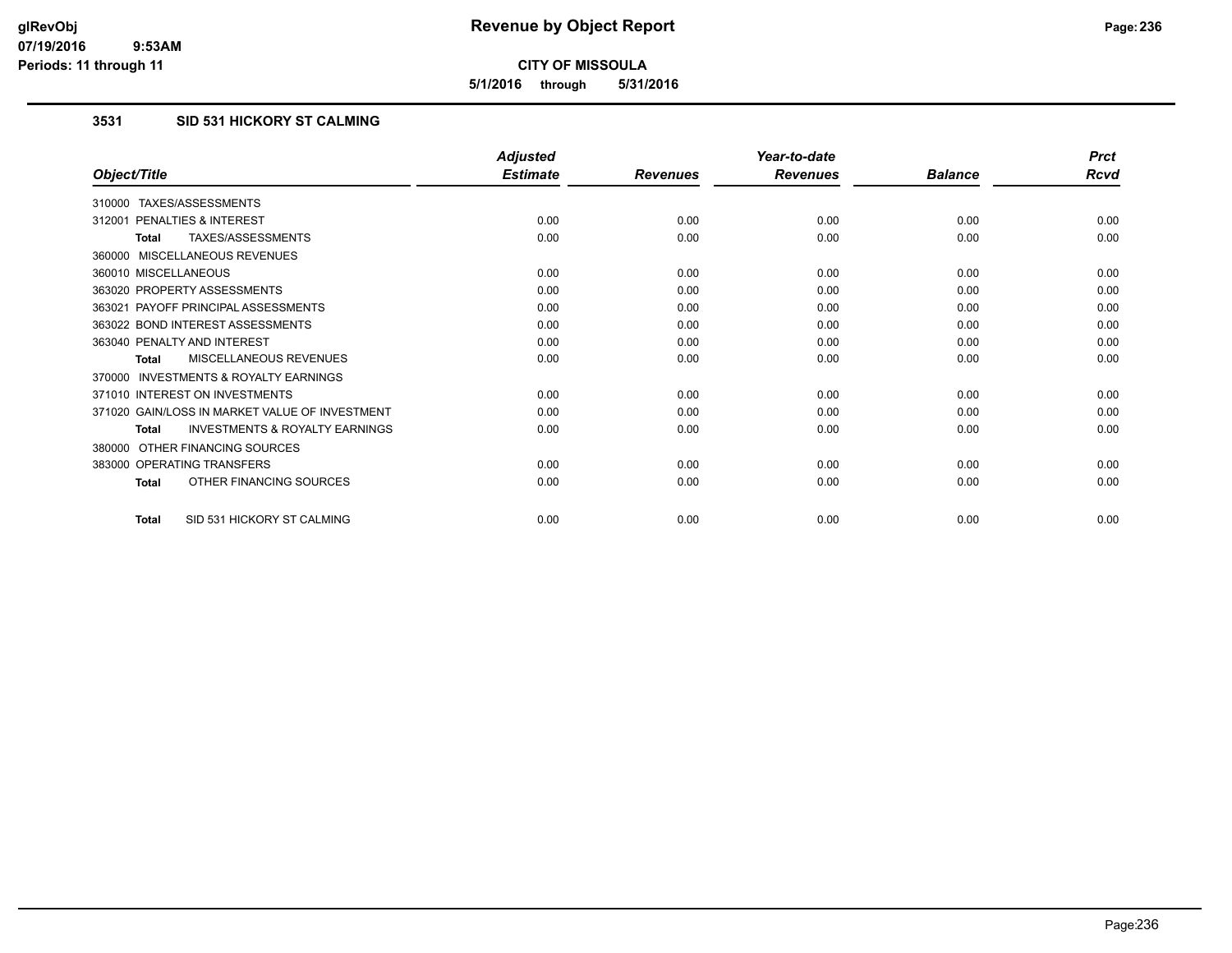**5/1/2016 through 5/31/2016**

## **3531 SID 531 HICKORY ST CALMING**

|                                                           | <b>Adjusted</b> |                 | Year-to-date    |                | <b>Prct</b> |
|-----------------------------------------------------------|-----------------|-----------------|-----------------|----------------|-------------|
| Object/Title                                              | <b>Estimate</b> | <b>Revenues</b> | <b>Revenues</b> | <b>Balance</b> | <b>Rcvd</b> |
| 310000 TAXES/ASSESSMENTS                                  |                 |                 |                 |                |             |
| 312001 PENALTIES & INTEREST                               | 0.00            | 0.00            | 0.00            | 0.00           | 0.00        |
| <b>TAXES/ASSESSMENTS</b><br><b>Total</b>                  | 0.00            | 0.00            | 0.00            | 0.00           | 0.00        |
| 360000 MISCELLANEOUS REVENUES                             |                 |                 |                 |                |             |
| 360010 MISCELLANEOUS                                      | 0.00            | 0.00            | 0.00            | 0.00           | 0.00        |
| 363020 PROPERTY ASSESSMENTS                               | 0.00            | 0.00            | 0.00            | 0.00           | 0.00        |
| 363021 PAYOFF PRINCIPAL ASSESSMENTS                       | 0.00            | 0.00            | 0.00            | 0.00           | 0.00        |
| 363022 BOND INTEREST ASSESSMENTS                          | 0.00            | 0.00            | 0.00            | 0.00           | 0.00        |
| 363040 PENALTY AND INTEREST                               | 0.00            | 0.00            | 0.00            | 0.00           | 0.00        |
| <b>MISCELLANEOUS REVENUES</b><br><b>Total</b>             | 0.00            | 0.00            | 0.00            | 0.00           | 0.00        |
| 370000 INVESTMENTS & ROYALTY EARNINGS                     |                 |                 |                 |                |             |
| 371010 INTEREST ON INVESTMENTS                            | 0.00            | 0.00            | 0.00            | 0.00           | 0.00        |
| 371020 GAIN/LOSS IN MARKET VALUE OF INVESTMENT            | 0.00            | 0.00            | 0.00            | 0.00           | 0.00        |
| <b>INVESTMENTS &amp; ROYALTY EARNINGS</b><br><b>Total</b> | 0.00            | 0.00            | 0.00            | 0.00           | 0.00        |
| OTHER FINANCING SOURCES<br>380000                         |                 |                 |                 |                |             |
| 383000 OPERATING TRANSFERS                                | 0.00            | 0.00            | 0.00            | 0.00           | 0.00        |
| OTHER FINANCING SOURCES<br><b>Total</b>                   | 0.00            | 0.00            | 0.00            | 0.00           | 0.00        |
| SID 531 HICKORY ST CALMING<br><b>Total</b>                | 0.00            | 0.00            | 0.00            | 0.00           | 0.00        |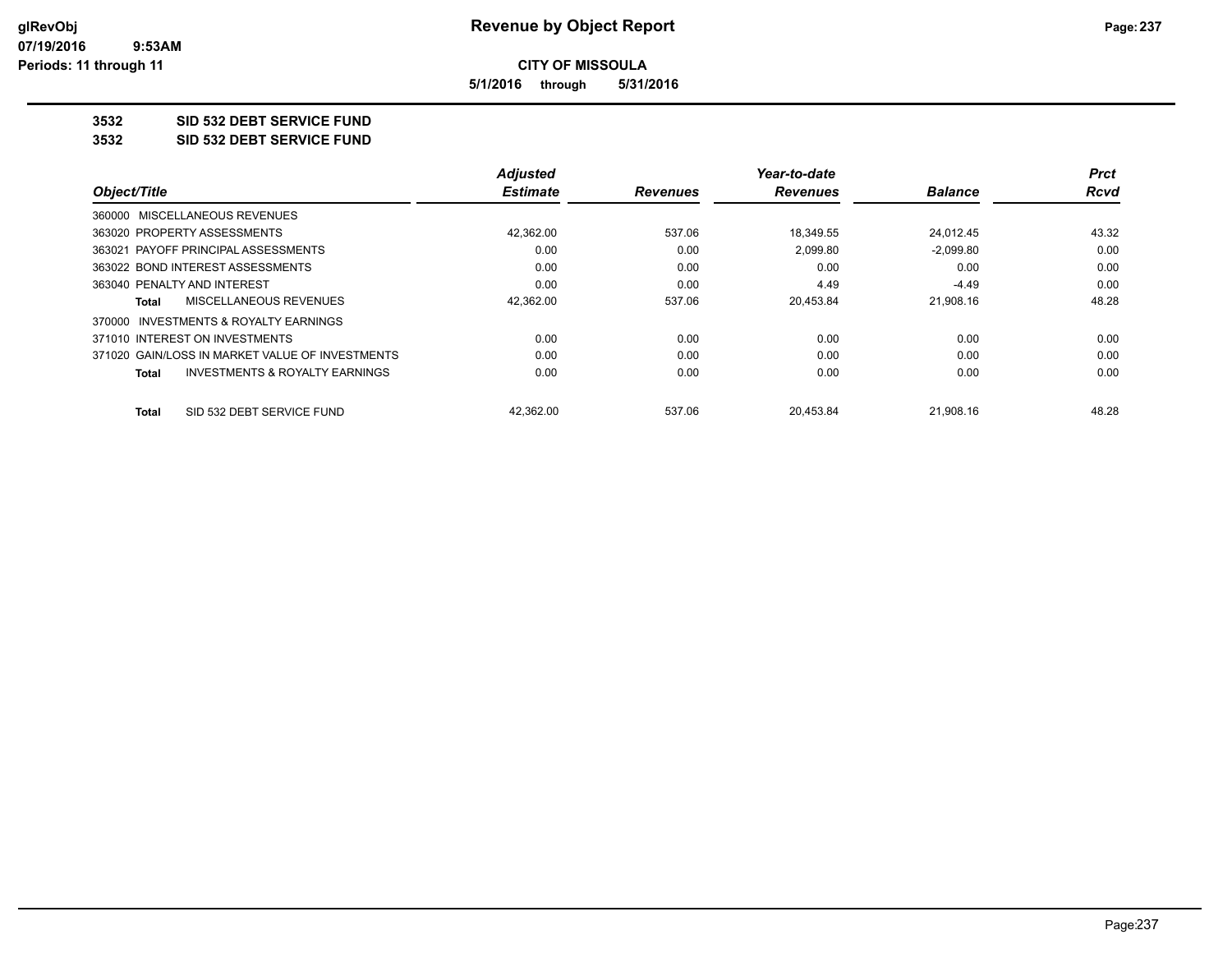**5/1/2016 through 5/31/2016**

**3532 SID 532 DEBT SERVICE FUND**

**3532 SID 532 DEBT SERVICE FUND**

|                                                           | <b>Adjusted</b> |                 | Year-to-date    |                | <b>Prct</b> |
|-----------------------------------------------------------|-----------------|-----------------|-----------------|----------------|-------------|
| Object/Title                                              | <b>Estimate</b> | <b>Revenues</b> | <b>Revenues</b> | <b>Balance</b> | <b>Rcvd</b> |
| 360000 MISCELLANEOUS REVENUES                             |                 |                 |                 |                |             |
| 363020 PROPERTY ASSESSMENTS                               | 42,362.00       | 537.06          | 18.349.55       | 24.012.45      | 43.32       |
| 363021 PAYOFF PRINCIPAL ASSESSMENTS                       | 0.00            | 0.00            | 2.099.80        | $-2.099.80$    | 0.00        |
| 363022 BOND INTEREST ASSESSMENTS                          | 0.00            | 0.00            | 0.00            | 0.00           | 0.00        |
| 363040 PENALTY AND INTEREST                               | 0.00            | 0.00            | 4.49            | $-4.49$        | 0.00        |
| MISCELLANEOUS REVENUES<br>Total                           | 42,362.00       | 537.06          | 20.453.84       | 21.908.16      | 48.28       |
| 370000 INVESTMENTS & ROYALTY EARNINGS                     |                 |                 |                 |                |             |
| 371010 INTEREST ON INVESTMENTS                            | 0.00            | 0.00            | 0.00            | 0.00           | 0.00        |
| 371020 GAIN/LOSS IN MARKET VALUE OF INVESTMENTS           | 0.00            | 0.00            | 0.00            | 0.00           | 0.00        |
| <b>INVESTMENTS &amp; ROYALTY EARNINGS</b><br><b>Total</b> | 0.00            | 0.00            | 0.00            | 0.00           | 0.00        |
| SID 532 DEBT SERVICE FUND<br>Total                        | 42,362.00       | 537.06          | 20.453.84       | 21,908.16      | 48.28       |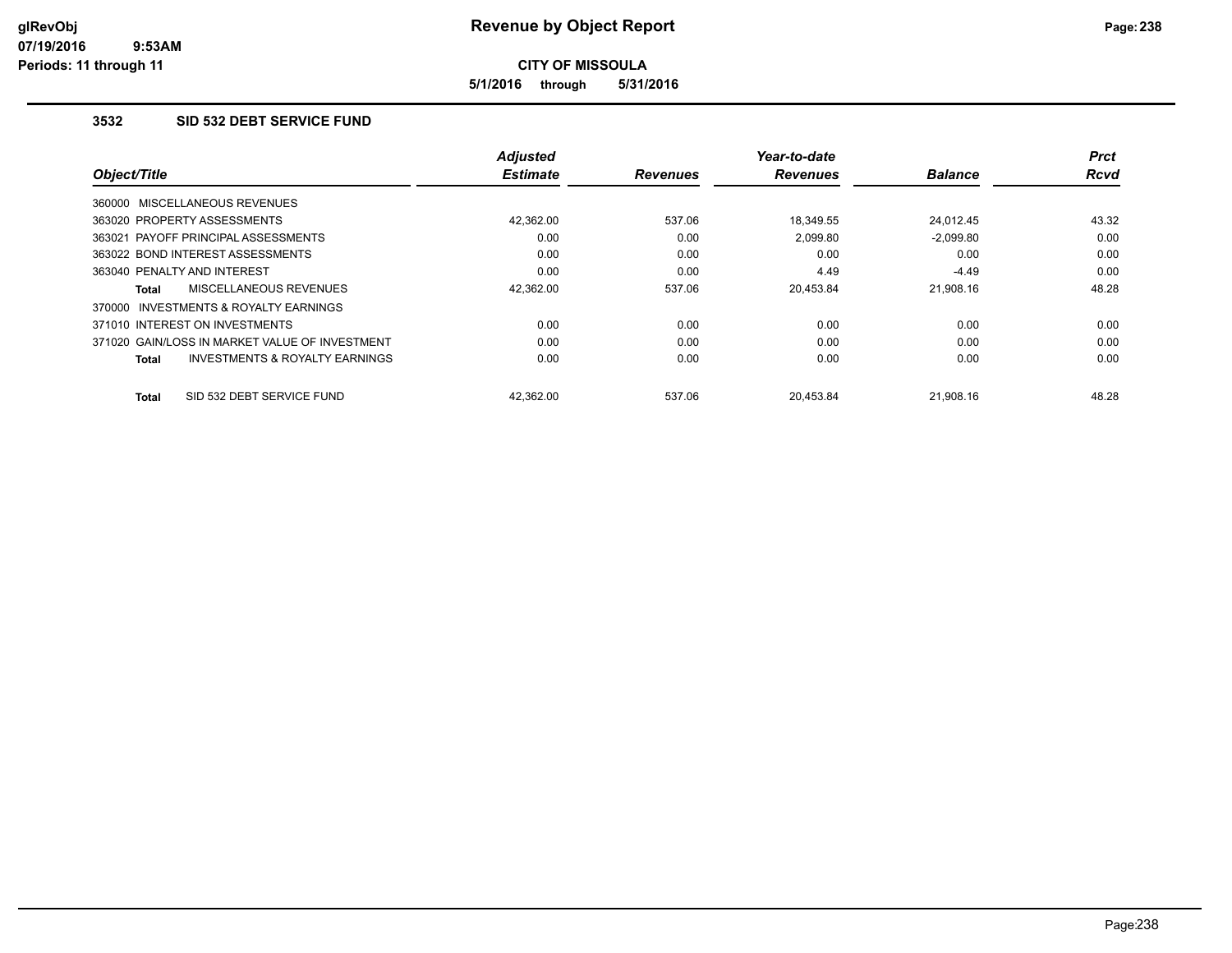**5/1/2016 through 5/31/2016**

#### **3532 SID 532 DEBT SERVICE FUND**

|                                                           | <b>Adjusted</b> |                 | Year-to-date    |                | Prct        |
|-----------------------------------------------------------|-----------------|-----------------|-----------------|----------------|-------------|
| Object/Title                                              | <b>Estimate</b> | <b>Revenues</b> | <b>Revenues</b> | <b>Balance</b> | <b>Rcvd</b> |
| 360000 MISCELLANEOUS REVENUES                             |                 |                 |                 |                |             |
| 363020 PROPERTY ASSESSMENTS                               | 42.362.00       | 537.06          | 18.349.55       | 24.012.45      | 43.32       |
| 363021 PAYOFF PRINCIPAL ASSESSMENTS                       | 0.00            | 0.00            | 2.099.80        | $-2.099.80$    | 0.00        |
| 363022 BOND INTEREST ASSESSMENTS                          | 0.00            | 0.00            | 0.00            | 0.00           | 0.00        |
| 363040 PENALTY AND INTEREST                               | 0.00            | 0.00            | 4.49            | $-4.49$        | 0.00        |
| MISCELLANEOUS REVENUES<br>Total                           | 42,362.00       | 537.06          | 20,453.84       | 21.908.16      | 48.28       |
| 370000 INVESTMENTS & ROYALTY EARNINGS                     |                 |                 |                 |                |             |
| 371010 INTEREST ON INVESTMENTS                            | 0.00            | 0.00            | 0.00            | 0.00           | 0.00        |
| 371020 GAIN/LOSS IN MARKET VALUE OF INVESTMENT            | 0.00            | 0.00            | 0.00            | 0.00           | 0.00        |
| <b>INVESTMENTS &amp; ROYALTY EARNINGS</b><br><b>Total</b> | 0.00            | 0.00            | 0.00            | 0.00           | 0.00        |
| SID 532 DEBT SERVICE FUND<br><b>Total</b>                 | 42.362.00       | 537.06          | 20.453.84       | 21.908.16      | 48.28       |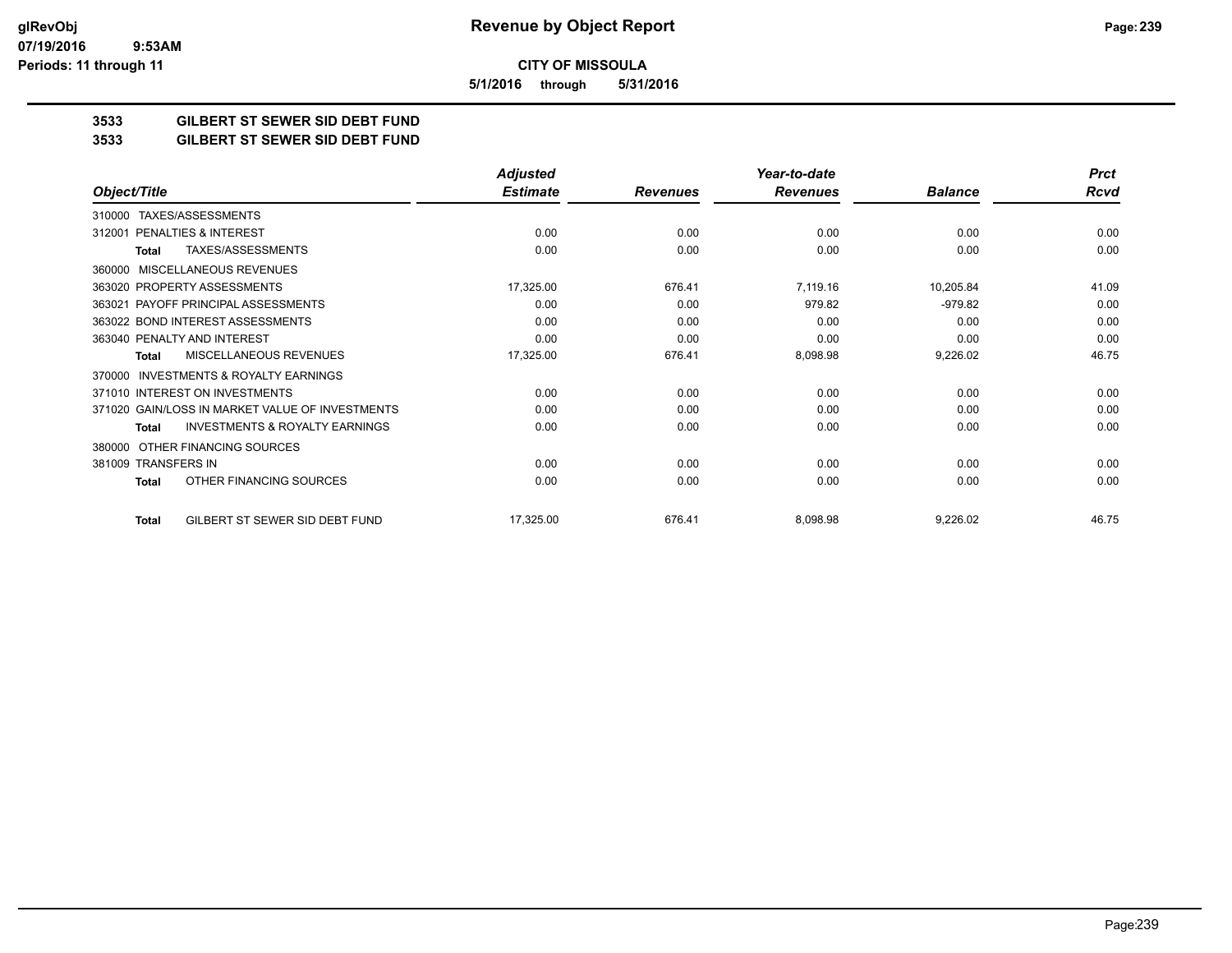**CITY OF MISSOULA 5/1/2016 through 5/31/2016**

**3533 GILBERT ST SEWER SID DEBT FUND**

**3533 GILBERT ST SEWER SID DEBT FUND**

|                                                           | <b>Adjusted</b> |                 | Year-to-date    |                | <b>Prct</b> |
|-----------------------------------------------------------|-----------------|-----------------|-----------------|----------------|-------------|
| Object/Title                                              | <b>Estimate</b> | <b>Revenues</b> | <b>Revenues</b> | <b>Balance</b> | <b>Rcvd</b> |
| TAXES/ASSESSMENTS<br>310000                               |                 |                 |                 |                |             |
| PENALTIES & INTEREST<br>312001                            | 0.00            | 0.00            | 0.00            | 0.00           | 0.00        |
| TAXES/ASSESSMENTS<br>Total                                | 0.00            | 0.00            | 0.00            | 0.00           | 0.00        |
| <b>MISCELLANEOUS REVENUES</b><br>360000                   |                 |                 |                 |                |             |
| 363020 PROPERTY ASSESSMENTS                               | 17,325.00       | 676.41          | 7,119.16        | 10,205.84      | 41.09       |
| 363021 PAYOFF PRINCIPAL ASSESSMENTS                       | 0.00            | 0.00            | 979.82          | $-979.82$      | 0.00        |
| 363022 BOND INTEREST ASSESSMENTS                          | 0.00            | 0.00            | 0.00            | 0.00           | 0.00        |
| 363040 PENALTY AND INTEREST                               | 0.00            | 0.00            | 0.00            | 0.00           | 0.00        |
| MISCELLANEOUS REVENUES<br>Total                           | 17,325.00       | 676.41          | 8,098.98        | 9,226.02       | 46.75       |
| <b>INVESTMENTS &amp; ROYALTY EARNINGS</b><br>370000       |                 |                 |                 |                |             |
| 371010 INTEREST ON INVESTMENTS                            | 0.00            | 0.00            | 0.00            | 0.00           | 0.00        |
| 371020 GAIN/LOSS IN MARKET VALUE OF INVESTMENTS           | 0.00            | 0.00            | 0.00            | 0.00           | 0.00        |
| <b>INVESTMENTS &amp; ROYALTY EARNINGS</b><br><b>Total</b> | 0.00            | 0.00            | 0.00            | 0.00           | 0.00        |
| OTHER FINANCING SOURCES<br>380000                         |                 |                 |                 |                |             |
| 381009 TRANSFERS IN                                       | 0.00            | 0.00            | 0.00            | 0.00           | 0.00        |
| OTHER FINANCING SOURCES<br><b>Total</b>                   | 0.00            | 0.00            | 0.00            | 0.00           | 0.00        |
| GILBERT ST SEWER SID DEBT FUND<br><b>Total</b>            | 17,325.00       | 676.41          | 8,098.98        | 9,226.02       | 46.75       |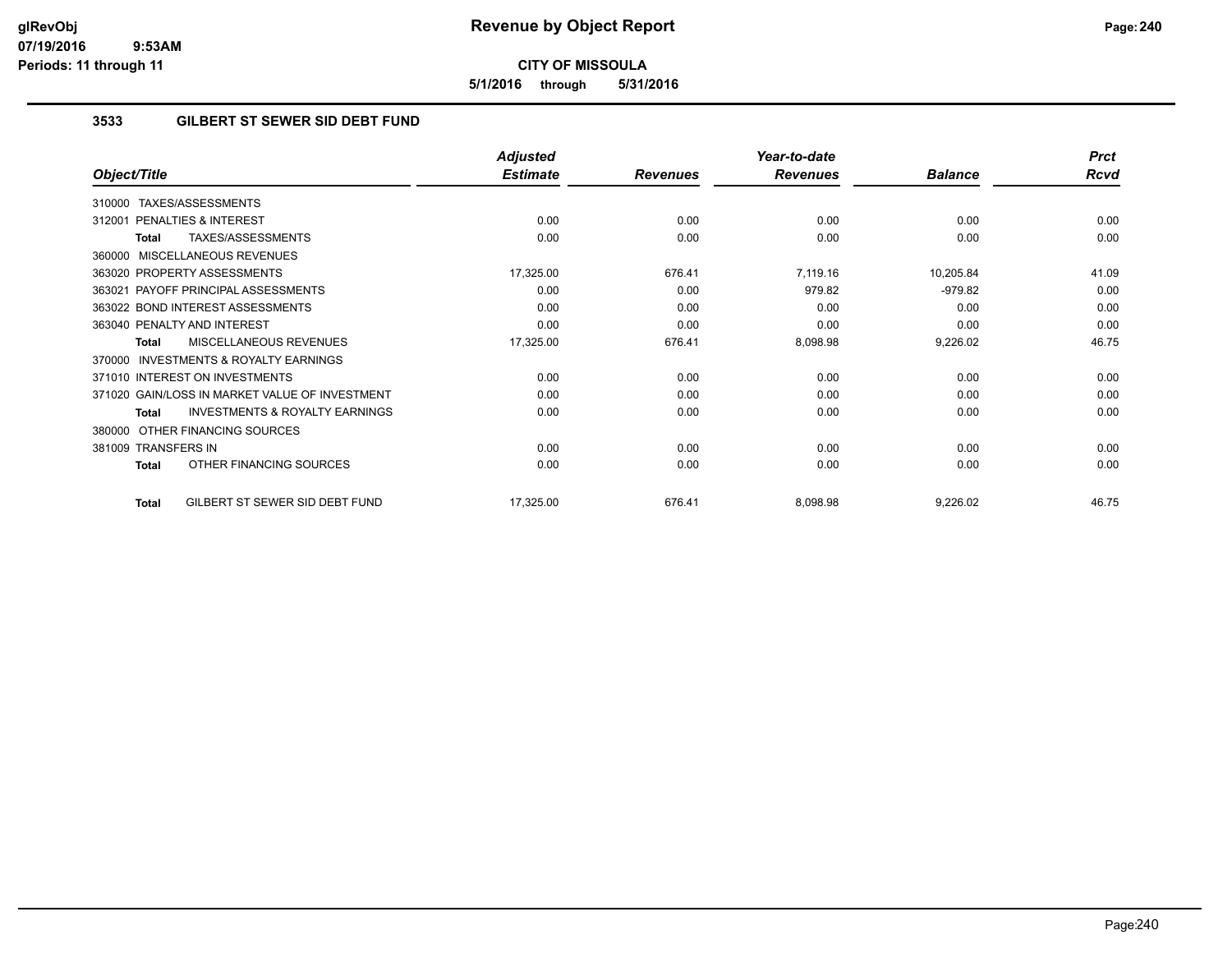**5/1/2016 through 5/31/2016**

### **3533 GILBERT ST SEWER SID DEBT FUND**

|                                                           | <b>Adjusted</b> |                 | Year-to-date    |                | <b>Prct</b> |
|-----------------------------------------------------------|-----------------|-----------------|-----------------|----------------|-------------|
| Object/Title                                              | <b>Estimate</b> | <b>Revenues</b> | <b>Revenues</b> | <b>Balance</b> | <b>Rcvd</b> |
| TAXES/ASSESSMENTS<br>310000                               |                 |                 |                 |                |             |
| PENALTIES & INTEREST<br>312001                            | 0.00            | 0.00            | 0.00            | 0.00           | 0.00        |
| TAXES/ASSESSMENTS<br>Total                                | 0.00            | 0.00            | 0.00            | 0.00           | 0.00        |
| MISCELLANEOUS REVENUES<br>360000                          |                 |                 |                 |                |             |
| 363020 PROPERTY ASSESSMENTS                               | 17,325.00       | 676.41          | 7,119.16        | 10,205.84      | 41.09       |
| 363021 PAYOFF PRINCIPAL ASSESSMENTS                       | 0.00            | 0.00            | 979.82          | $-979.82$      | 0.00        |
| 363022 BOND INTEREST ASSESSMENTS                          | 0.00            | 0.00            | 0.00            | 0.00           | 0.00        |
| 363040 PENALTY AND INTEREST                               | 0.00            | 0.00            | 0.00            | 0.00           | 0.00        |
| MISCELLANEOUS REVENUES<br><b>Total</b>                    | 17,325.00       | 676.41          | 8,098.98        | 9,226.02       | 46.75       |
| <b>INVESTMENTS &amp; ROYALTY EARNINGS</b><br>370000       |                 |                 |                 |                |             |
| 371010 INTEREST ON INVESTMENTS                            | 0.00            | 0.00            | 0.00            | 0.00           | 0.00        |
| 371020 GAIN/LOSS IN MARKET VALUE OF INVESTMENT            | 0.00            | 0.00            | 0.00            | 0.00           | 0.00        |
| <b>INVESTMENTS &amp; ROYALTY EARNINGS</b><br><b>Total</b> | 0.00            | 0.00            | 0.00            | 0.00           | 0.00        |
| OTHER FINANCING SOURCES<br>380000                         |                 |                 |                 |                |             |
| 381009 TRANSFERS IN                                       | 0.00            | 0.00            | 0.00            | 0.00           | 0.00        |
| OTHER FINANCING SOURCES<br><b>Total</b>                   | 0.00            | 0.00            | 0.00            | 0.00           | 0.00        |
| GILBERT ST SEWER SID DEBT FUND<br><b>Total</b>            | 17,325.00       | 676.41          | 8,098.98        | 9,226.02       | 46.75       |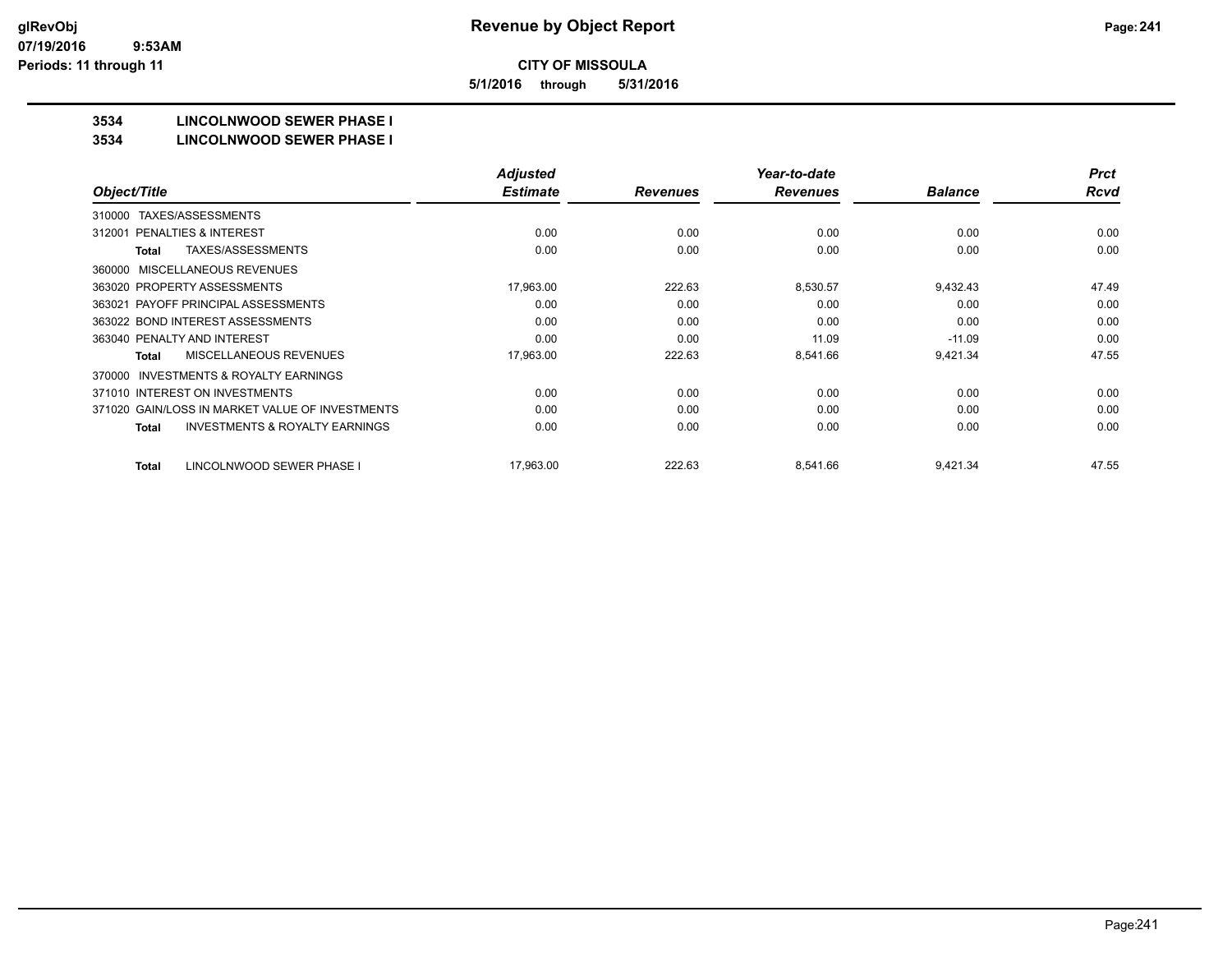**5/1/2016 through 5/31/2016**

## **3534 LINCOLNWOOD SEWER PHASE I**

#### **3534 LINCOLNWOOD SEWER PHASE I**

|                                                           | <b>Adjusted</b> |                 | Year-to-date    |                | <b>Prct</b> |
|-----------------------------------------------------------|-----------------|-----------------|-----------------|----------------|-------------|
| Object/Title                                              | <b>Estimate</b> | <b>Revenues</b> | <b>Revenues</b> | <b>Balance</b> | <b>Rcvd</b> |
| TAXES/ASSESSMENTS<br>310000                               |                 |                 |                 |                |             |
| <b>PENALTIES &amp; INTEREST</b><br>312001                 | 0.00            | 0.00            | 0.00            | 0.00           | 0.00        |
| TAXES/ASSESSMENTS<br><b>Total</b>                         | 0.00            | 0.00            | 0.00            | 0.00           | 0.00        |
| MISCELLANEOUS REVENUES<br>360000                          |                 |                 |                 |                |             |
| 363020 PROPERTY ASSESSMENTS                               | 17,963.00       | 222.63          | 8,530.57        | 9,432.43       | 47.49       |
| 363021 PAYOFF PRINCIPAL ASSESSMENTS                       | 0.00            | 0.00            | 0.00            | 0.00           | 0.00        |
| 363022 BOND INTEREST ASSESSMENTS                          | 0.00            | 0.00            | 0.00            | 0.00           | 0.00        |
| 363040 PENALTY AND INTEREST                               | 0.00            | 0.00            | 11.09           | $-11.09$       | 0.00        |
| <b>MISCELLANEOUS REVENUES</b><br><b>Total</b>             | 17,963.00       | 222.63          | 8,541.66        | 9,421.34       | 47.55       |
| <b>INVESTMENTS &amp; ROYALTY EARNINGS</b><br>370000       |                 |                 |                 |                |             |
| 371010 INTEREST ON INVESTMENTS                            | 0.00            | 0.00            | 0.00            | 0.00           | 0.00        |
| 371020 GAIN/LOSS IN MARKET VALUE OF INVESTMENTS           | 0.00            | 0.00            | 0.00            | 0.00           | 0.00        |
| <b>INVESTMENTS &amp; ROYALTY EARNINGS</b><br><b>Total</b> | 0.00            | 0.00            | 0.00            | 0.00           | 0.00        |
| LINCOLNWOOD SEWER PHASE I<br><b>Total</b>                 | 17,963.00       | 222.63          | 8,541.66        | 9,421.34       | 47.55       |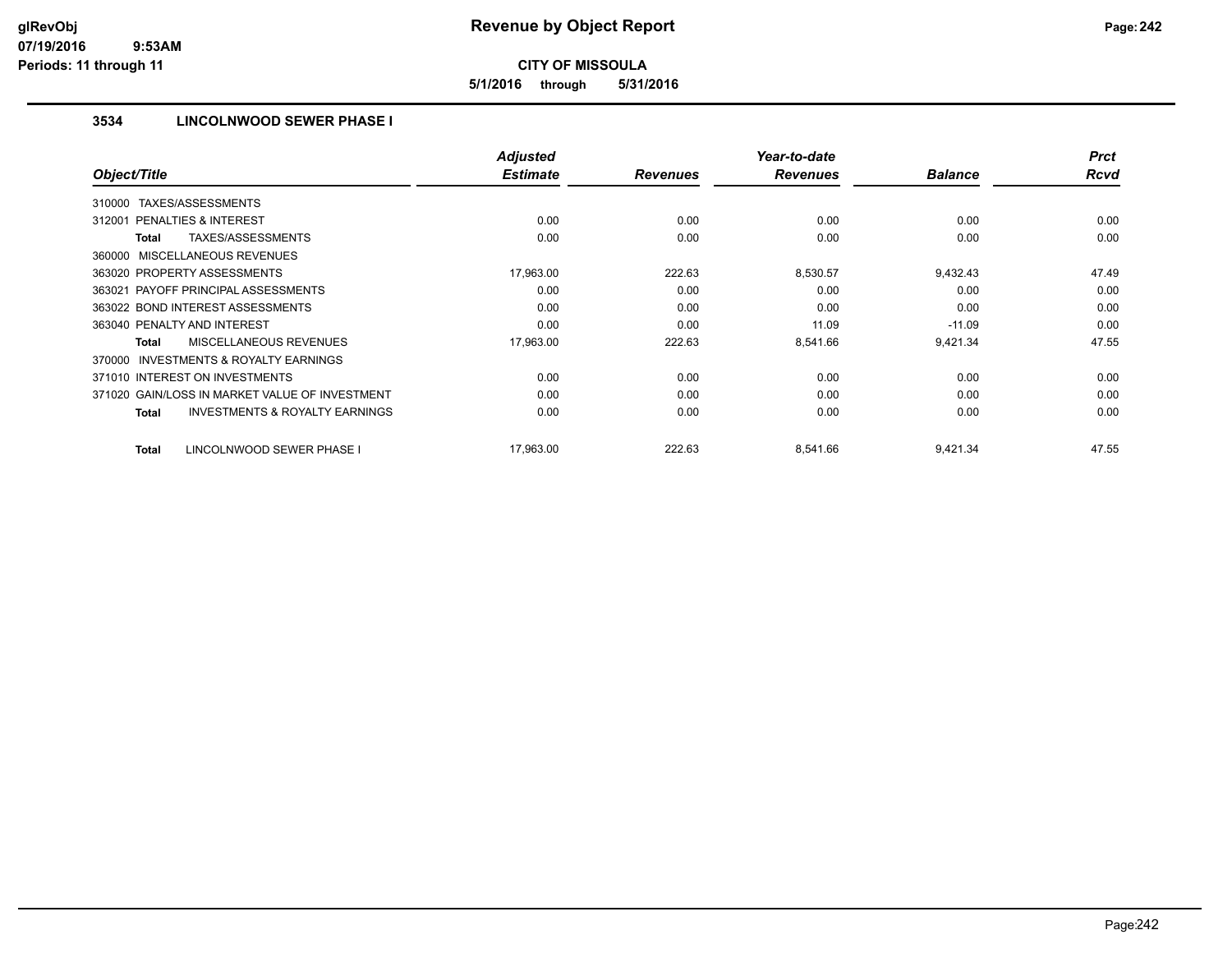**5/1/2016 through 5/31/2016**

### **3534 LINCOLNWOOD SEWER PHASE I**

|                                                           | <b>Adjusted</b> |                 | Year-to-date    |                | <b>Prct</b> |
|-----------------------------------------------------------|-----------------|-----------------|-----------------|----------------|-------------|
| Object/Title                                              | <b>Estimate</b> | <b>Revenues</b> | <b>Revenues</b> | <b>Balance</b> | <b>Rcvd</b> |
| TAXES/ASSESSMENTS<br>310000                               |                 |                 |                 |                |             |
| 312001 PENALTIES & INTEREST                               | 0.00            | 0.00            | 0.00            | 0.00           | 0.00        |
| <b>TAXES/ASSESSMENTS</b><br><b>Total</b>                  | 0.00            | 0.00            | 0.00            | 0.00           | 0.00        |
| 360000 MISCELLANEOUS REVENUES                             |                 |                 |                 |                |             |
| 363020 PROPERTY ASSESSMENTS                               | 17,963.00       | 222.63          | 8,530.57        | 9,432.43       | 47.49       |
| 363021 PAYOFF PRINCIPAL ASSESSMENTS                       | 0.00            | 0.00            | 0.00            | 0.00           | 0.00        |
| 363022 BOND INTEREST ASSESSMENTS                          | 0.00            | 0.00            | 0.00            | 0.00           | 0.00        |
| 363040 PENALTY AND INTEREST                               | 0.00            | 0.00            | 11.09           | $-11.09$       | 0.00        |
| MISCELLANEOUS REVENUES<br><b>Total</b>                    | 17,963.00       | 222.63          | 8,541.66        | 9,421.34       | 47.55       |
| <b>INVESTMENTS &amp; ROYALTY EARNINGS</b><br>370000       |                 |                 |                 |                |             |
| 371010 INTEREST ON INVESTMENTS                            | 0.00            | 0.00            | 0.00            | 0.00           | 0.00        |
| 371020 GAIN/LOSS IN MARKET VALUE OF INVESTMENT            | 0.00            | 0.00            | 0.00            | 0.00           | 0.00        |
| <b>INVESTMENTS &amp; ROYALTY EARNINGS</b><br><b>Total</b> | 0.00            | 0.00            | 0.00            | 0.00           | 0.00        |
| LINCOLNWOOD SEWER PHASE I<br><b>Total</b>                 | 17,963.00       | 222.63          | 8,541.66        | 9,421.34       | 47.55       |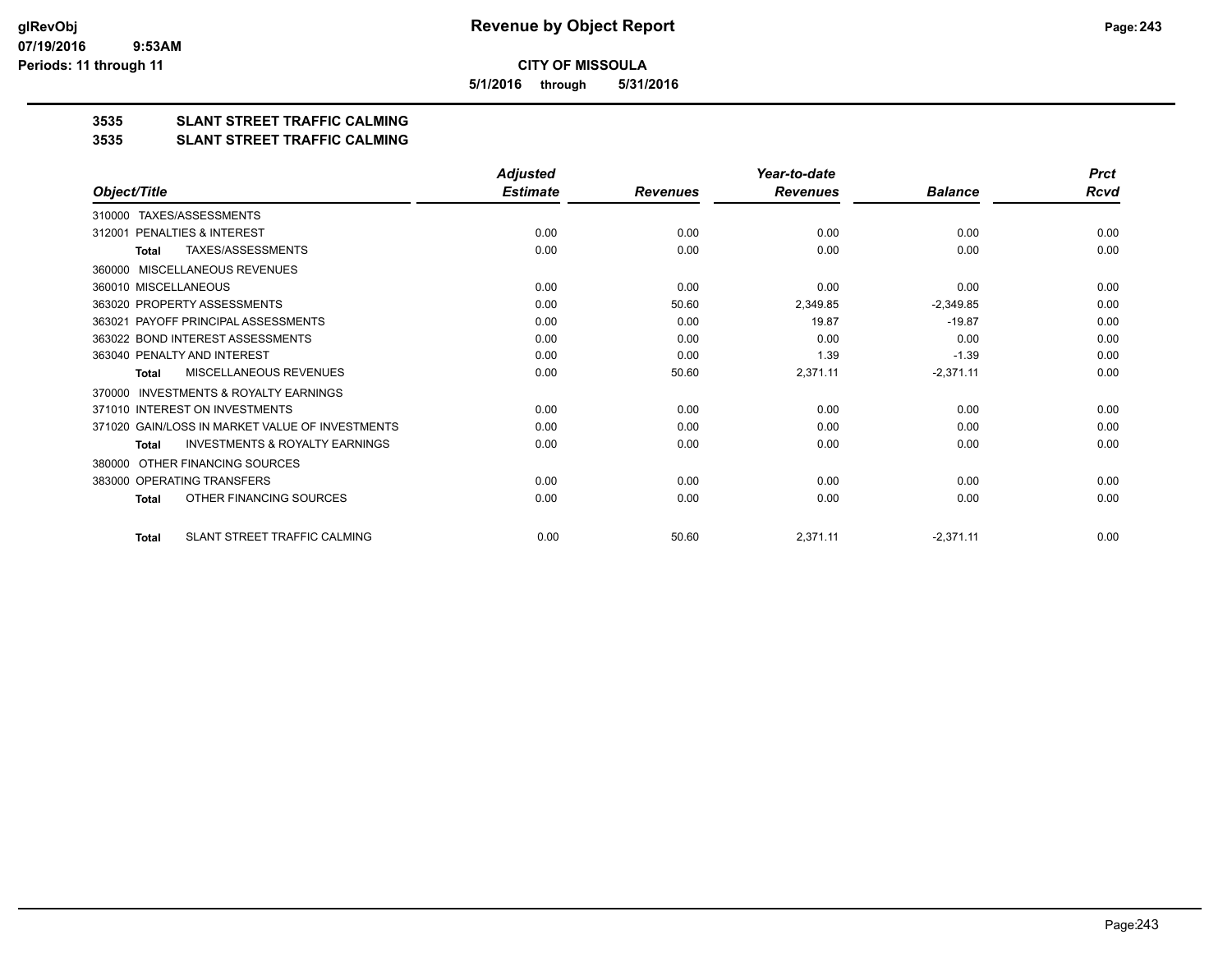**5/1/2016 through 5/31/2016**

## **3535 SLANT STREET TRAFFIC CALMING**

#### **3535 SLANT STREET TRAFFIC CALMING**

|                                                           | <b>Adjusted</b> |                 | Year-to-date    |                | <b>Prct</b> |
|-----------------------------------------------------------|-----------------|-----------------|-----------------|----------------|-------------|
| Object/Title                                              | <b>Estimate</b> | <b>Revenues</b> | <b>Revenues</b> | <b>Balance</b> | Rcvd        |
| TAXES/ASSESSMENTS<br>310000                               |                 |                 |                 |                |             |
| 312001 PENALTIES & INTEREST                               | 0.00            | 0.00            | 0.00            | 0.00           | 0.00        |
| TAXES/ASSESSMENTS<br><b>Total</b>                         | 0.00            | 0.00            | 0.00            | 0.00           | 0.00        |
| MISCELLANEOUS REVENUES<br>360000                          |                 |                 |                 |                |             |
| 360010 MISCELLANEOUS                                      | 0.00            | 0.00            | 0.00            | 0.00           | 0.00        |
| 363020 PROPERTY ASSESSMENTS                               | 0.00            | 50.60           | 2,349.85        | $-2,349.85$    | 0.00        |
| 363021 PAYOFF PRINCIPAL ASSESSMENTS                       | 0.00            | 0.00            | 19.87           | $-19.87$       | 0.00        |
| 363022 BOND INTEREST ASSESSMENTS                          | 0.00            | 0.00            | 0.00            | 0.00           | 0.00        |
| 363040 PENALTY AND INTEREST                               | 0.00            | 0.00            | 1.39            | $-1.39$        | 0.00        |
| MISCELLANEOUS REVENUES<br><b>Total</b>                    | 0.00            | 50.60           | 2,371.11        | $-2,371.11$    | 0.00        |
| <b>INVESTMENTS &amp; ROYALTY EARNINGS</b><br>370000       |                 |                 |                 |                |             |
| 371010 INTEREST ON INVESTMENTS                            | 0.00            | 0.00            | 0.00            | 0.00           | 0.00        |
| 371020 GAIN/LOSS IN MARKET VALUE OF INVESTMENTS           | 0.00            | 0.00            | 0.00            | 0.00           | 0.00        |
| <b>INVESTMENTS &amp; ROYALTY EARNINGS</b><br><b>Total</b> | 0.00            | 0.00            | 0.00            | 0.00           | 0.00        |
| OTHER FINANCING SOURCES<br>380000                         |                 |                 |                 |                |             |
| 383000 OPERATING TRANSFERS                                | 0.00            | 0.00            | 0.00            | 0.00           | 0.00        |
| OTHER FINANCING SOURCES<br>Total                          | 0.00            | 0.00            | 0.00            | 0.00           | 0.00        |
| SLANT STREET TRAFFIC CALMING<br><b>Total</b>              | 0.00            | 50.60           | 2,371.11        | $-2,371.11$    | 0.00        |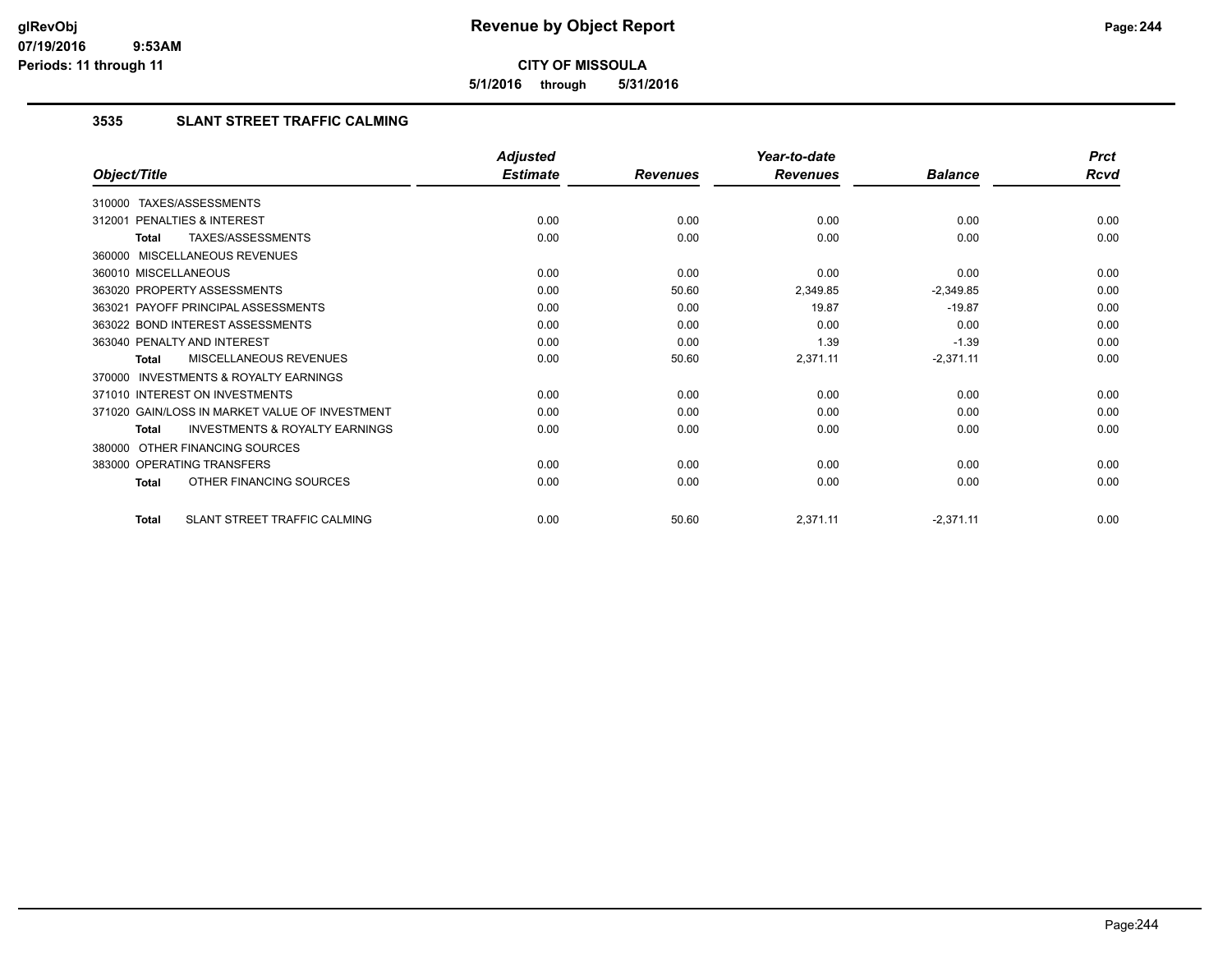**5/1/2016 through 5/31/2016**

### **3535 SLANT STREET TRAFFIC CALMING**

|                                                           | <b>Adjusted</b> |                 | Year-to-date    |                | <b>Prct</b> |
|-----------------------------------------------------------|-----------------|-----------------|-----------------|----------------|-------------|
| Object/Title                                              | <b>Estimate</b> | <b>Revenues</b> | <b>Revenues</b> | <b>Balance</b> | <b>Rcvd</b> |
| 310000 TAXES/ASSESSMENTS                                  |                 |                 |                 |                |             |
| PENALTIES & INTEREST<br>312001                            | 0.00            | 0.00            | 0.00            | 0.00           | 0.00        |
| TAXES/ASSESSMENTS<br>Total                                | 0.00            | 0.00            | 0.00            | 0.00           | 0.00        |
| 360000 MISCELLANEOUS REVENUES                             |                 |                 |                 |                |             |
| 360010 MISCELLANEOUS                                      | 0.00            | 0.00            | 0.00            | 0.00           | 0.00        |
| 363020 PROPERTY ASSESSMENTS                               | 0.00            | 50.60           | 2,349.85        | $-2,349.85$    | 0.00        |
| 363021 PAYOFF PRINCIPAL ASSESSMENTS                       | 0.00            | 0.00            | 19.87           | $-19.87$       | 0.00        |
| 363022 BOND INTEREST ASSESSMENTS                          | 0.00            | 0.00            | 0.00            | 0.00           | 0.00        |
| 363040 PENALTY AND INTEREST                               | 0.00            | 0.00            | 1.39            | $-1.39$        | 0.00        |
| MISCELLANEOUS REVENUES<br><b>Total</b>                    | 0.00            | 50.60           | 2,371.11        | $-2,371.11$    | 0.00        |
| 370000 INVESTMENTS & ROYALTY EARNINGS                     |                 |                 |                 |                |             |
| 371010 INTEREST ON INVESTMENTS                            | 0.00            | 0.00            | 0.00            | 0.00           | 0.00        |
| 371020 GAIN/LOSS IN MARKET VALUE OF INVESTMENT            | 0.00            | 0.00            | 0.00            | 0.00           | 0.00        |
| <b>INVESTMENTS &amp; ROYALTY EARNINGS</b><br><b>Total</b> | 0.00            | 0.00            | 0.00            | 0.00           | 0.00        |
| 380000 OTHER FINANCING SOURCES                            |                 |                 |                 |                |             |
| 383000 OPERATING TRANSFERS                                | 0.00            | 0.00            | 0.00            | 0.00           | 0.00        |
| OTHER FINANCING SOURCES<br>Total                          | 0.00            | 0.00            | 0.00            | 0.00           | 0.00        |
| SLANT STREET TRAFFIC CALMING<br><b>Total</b>              | 0.00            | 50.60           | 2,371.11        | $-2,371.11$    | 0.00        |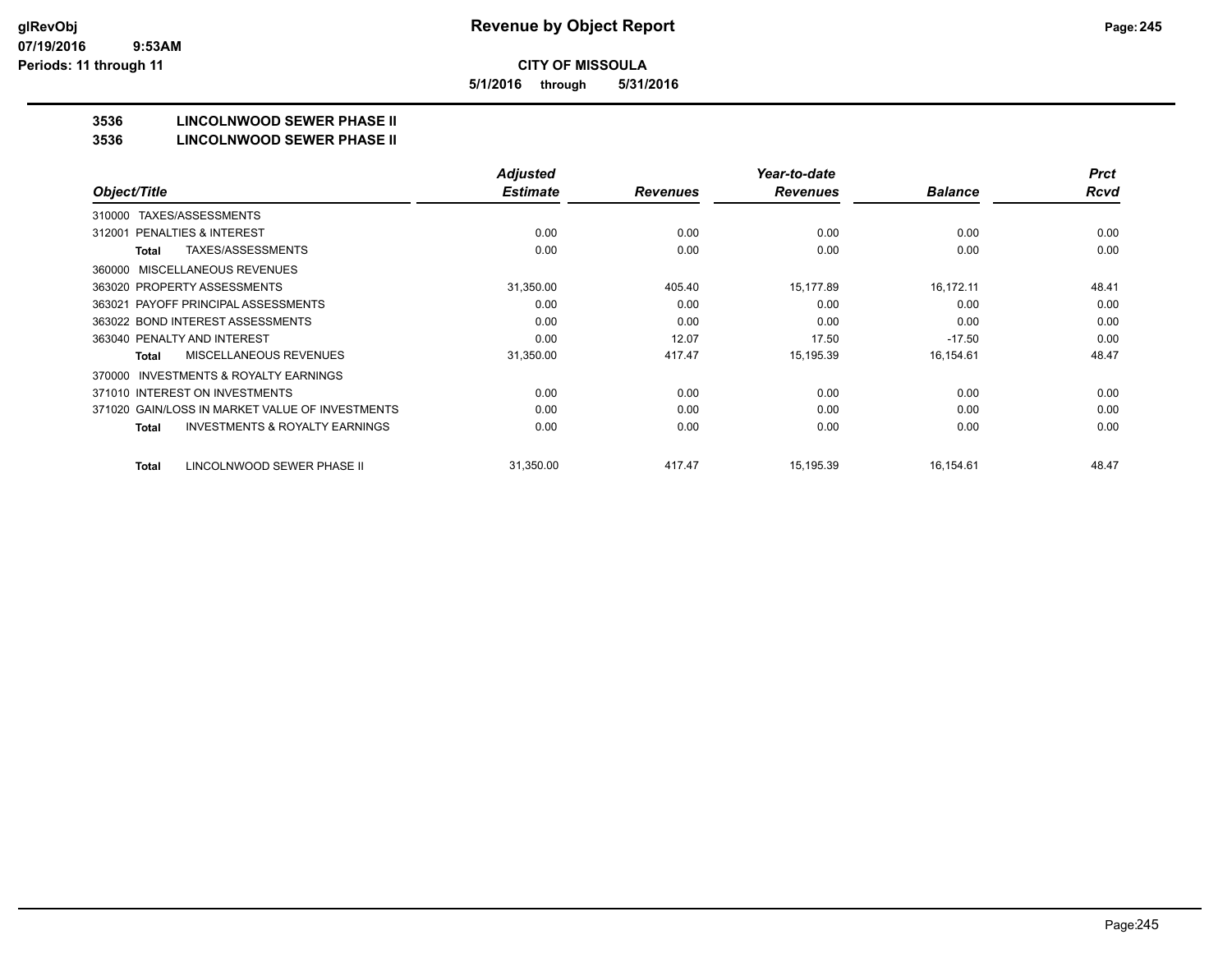**5/1/2016 through 5/31/2016**

## **3536 LINCOLNWOOD SEWER PHASE II**

#### **3536 LINCOLNWOOD SEWER PHASE II**

|                                                    | <b>Adjusted</b> |                 | Year-to-date    |                | <b>Prct</b> |
|----------------------------------------------------|-----------------|-----------------|-----------------|----------------|-------------|
| Object/Title                                       | <b>Estimate</b> | <b>Revenues</b> | <b>Revenues</b> | <b>Balance</b> | <b>Rcvd</b> |
| TAXES/ASSESSMENTS<br>310000                        |                 |                 |                 |                |             |
| PENALTIES & INTEREST<br>312001                     | 0.00            | 0.00            | 0.00            | 0.00           | 0.00        |
| TAXES/ASSESSMENTS<br>Total                         | 0.00            | 0.00            | 0.00            | 0.00           | 0.00        |
| MISCELLANEOUS REVENUES<br>360000                   |                 |                 |                 |                |             |
| 363020 PROPERTY ASSESSMENTS                        | 31,350.00       | 405.40          | 15,177.89       | 16,172.11      | 48.41       |
| 363021 PAYOFF PRINCIPAL ASSESSMENTS                | 0.00            | 0.00            | 0.00            | 0.00           | 0.00        |
| 363022 BOND INTEREST ASSESSMENTS                   | 0.00            | 0.00            | 0.00            | 0.00           | 0.00        |
| 363040 PENALTY AND INTEREST                        | 0.00            | 12.07           | 17.50           | $-17.50$       | 0.00        |
| MISCELLANEOUS REVENUES<br>Total                    | 31,350.00       | 417.47          | 15,195.39       | 16,154.61      | 48.47       |
| INVESTMENTS & ROYALTY EARNINGS<br>370000           |                 |                 |                 |                |             |
| 371010 INTEREST ON INVESTMENTS                     | 0.00            | 0.00            | 0.00            | 0.00           | 0.00        |
| 371020 GAIN/LOSS IN MARKET VALUE OF INVESTMENTS    | 0.00            | 0.00            | 0.00            | 0.00           | 0.00        |
| <b>INVESTMENTS &amp; ROYALTY EARNINGS</b><br>Total | 0.00            | 0.00            | 0.00            | 0.00           | 0.00        |
|                                                    |                 |                 |                 |                |             |
| LINCOLNWOOD SEWER PHASE II<br>Total                | 31,350.00       | 417.47          | 15,195.39       | 16,154.61      | 48.47       |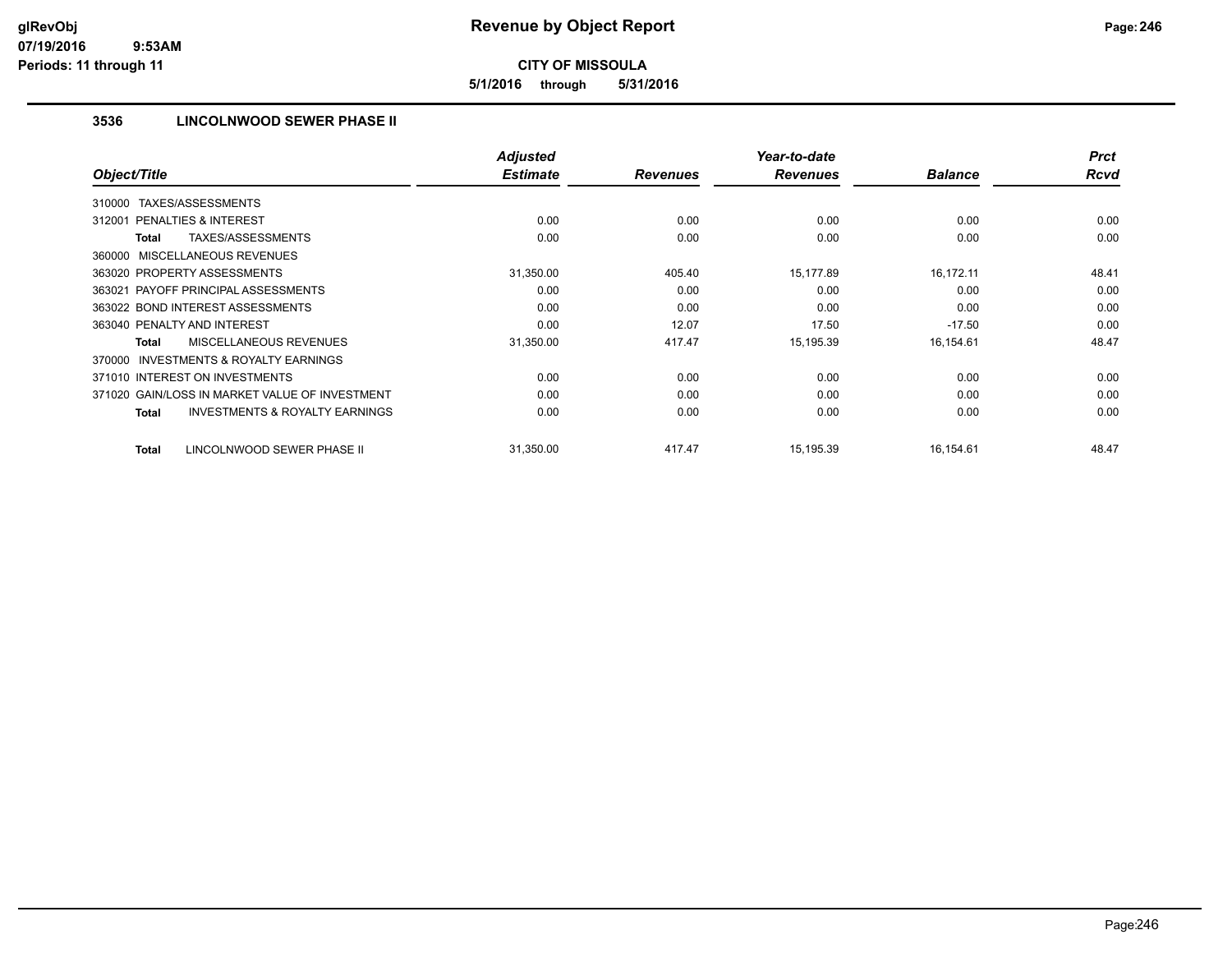**5/1/2016 through 5/31/2016**

## **3536 LINCOLNWOOD SEWER PHASE II**

|                                                           | <b>Adjusted</b> |                 | Year-to-date    |                | <b>Prct</b> |
|-----------------------------------------------------------|-----------------|-----------------|-----------------|----------------|-------------|
| Object/Title                                              | <b>Estimate</b> | <b>Revenues</b> | <b>Revenues</b> | <b>Balance</b> | <b>Rcvd</b> |
| TAXES/ASSESSMENTS<br>310000                               |                 |                 |                 |                |             |
| PENALTIES & INTEREST<br>312001                            | 0.00            | 0.00            | 0.00            | 0.00           | 0.00        |
| TAXES/ASSESSMENTS<br>Total                                | 0.00            | 0.00            | 0.00            | 0.00           | 0.00        |
| 360000 MISCELLANEOUS REVENUES                             |                 |                 |                 |                |             |
| 363020 PROPERTY ASSESSMENTS                               | 31,350.00       | 405.40          | 15,177.89       | 16,172.11      | 48.41       |
| 363021 PAYOFF PRINCIPAL ASSESSMENTS                       | 0.00            | 0.00            | 0.00            | 0.00           | 0.00        |
| 363022 BOND INTEREST ASSESSMENTS                          | 0.00            | 0.00            | 0.00            | 0.00           | 0.00        |
| 363040 PENALTY AND INTEREST                               | 0.00            | 12.07           | 17.50           | $-17.50$       | 0.00        |
| MISCELLANEOUS REVENUES<br><b>Total</b>                    | 31,350.00       | 417.47          | 15,195.39       | 16,154.61      | 48.47       |
| <b>INVESTMENTS &amp; ROYALTY EARNINGS</b><br>370000       |                 |                 |                 |                |             |
| 371010 INTEREST ON INVESTMENTS                            | 0.00            | 0.00            | 0.00            | 0.00           | 0.00        |
| 371020 GAIN/LOSS IN MARKET VALUE OF INVESTMENT            | 0.00            | 0.00            | 0.00            | 0.00           | 0.00        |
| <b>INVESTMENTS &amp; ROYALTY EARNINGS</b><br><b>Total</b> | 0.00            | 0.00            | 0.00            | 0.00           | 0.00        |
| LINCOLNWOOD SEWER PHASE II<br><b>Total</b>                | 31,350.00       | 417.47          | 15,195.39       | 16,154.61      | 48.47       |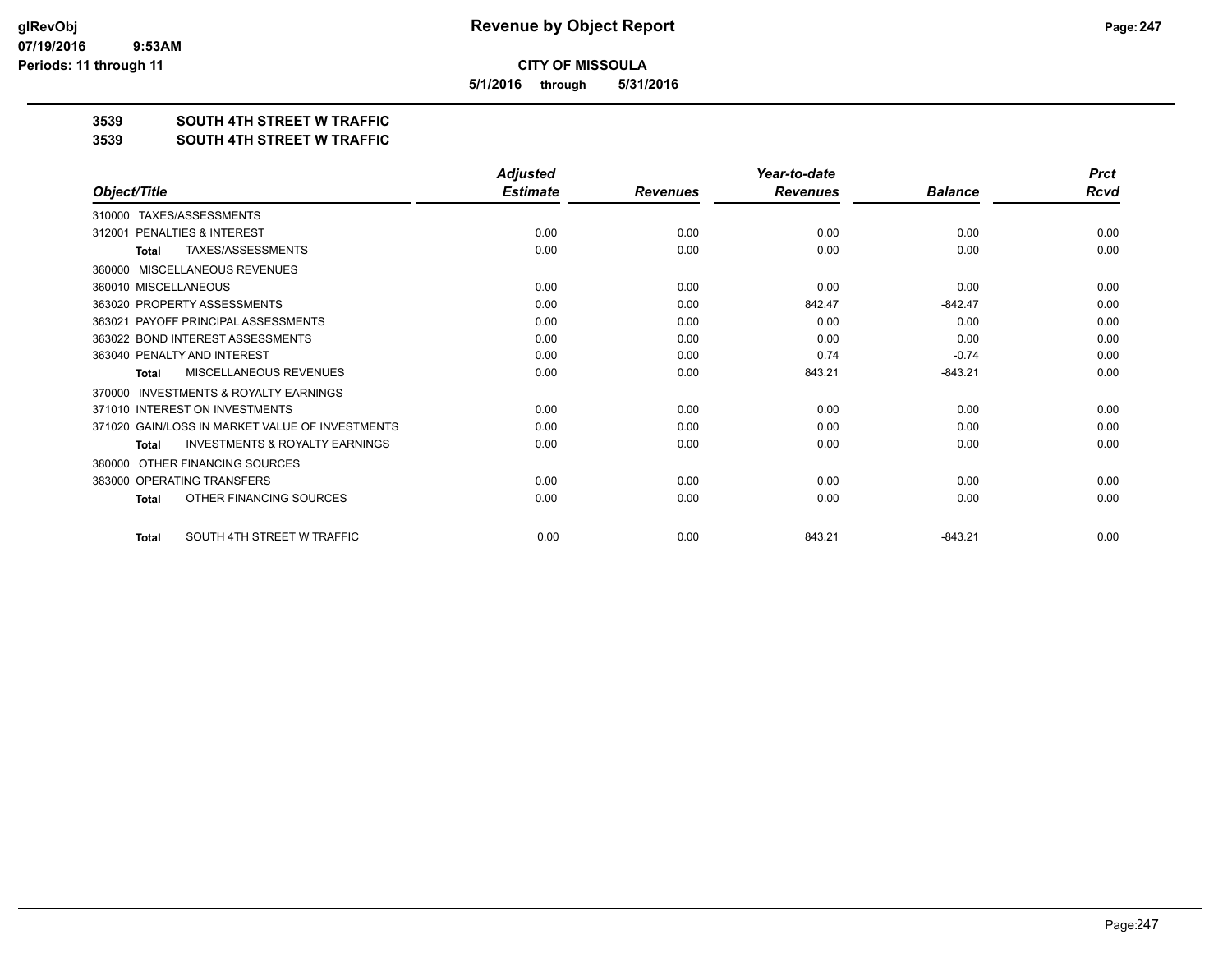**5/1/2016 through 5/31/2016**

#### **3539 SOUTH 4TH STREET W TRAFFIC**

#### **3539 SOUTH 4TH STREET W TRAFFIC**

|                                                     | <b>Adjusted</b> |                 | Year-to-date    |                | <b>Prct</b> |
|-----------------------------------------------------|-----------------|-----------------|-----------------|----------------|-------------|
| Object/Title                                        | <b>Estimate</b> | <b>Revenues</b> | <b>Revenues</b> | <b>Balance</b> | Rcvd        |
| TAXES/ASSESSMENTS<br>310000                         |                 |                 |                 |                |             |
| PENALTIES & INTEREST<br>312001                      | 0.00            | 0.00            | 0.00            | 0.00           | 0.00        |
| TAXES/ASSESSMENTS<br><b>Total</b>                   | 0.00            | 0.00            | 0.00            | 0.00           | 0.00        |
| MISCELLANEOUS REVENUES<br>360000                    |                 |                 |                 |                |             |
| 360010 MISCELLANEOUS                                | 0.00            | 0.00            | 0.00            | 0.00           | 0.00        |
| 363020 PROPERTY ASSESSMENTS                         | 0.00            | 0.00            | 842.47          | $-842.47$      | 0.00        |
| PAYOFF PRINCIPAL ASSESSMENTS<br>363021              | 0.00            | 0.00            | 0.00            | 0.00           | 0.00        |
| 363022 BOND INTEREST ASSESSMENTS                    | 0.00            | 0.00            | 0.00            | 0.00           | 0.00        |
| 363040 PENALTY AND INTEREST                         | 0.00            | 0.00            | 0.74            | $-0.74$        | 0.00        |
| MISCELLANEOUS REVENUES<br>Total                     | 0.00            | 0.00            | 843.21          | $-843.21$      | 0.00        |
| <b>INVESTMENTS &amp; ROYALTY EARNINGS</b><br>370000 |                 |                 |                 |                |             |
| 371010 INTEREST ON INVESTMENTS                      | 0.00            | 0.00            | 0.00            | 0.00           | 0.00        |
| 371020 GAIN/LOSS IN MARKET VALUE OF INVESTMENTS     | 0.00            | 0.00            | 0.00            | 0.00           | 0.00        |
| <b>INVESTMENTS &amp; ROYALTY EARNINGS</b><br>Total  | 0.00            | 0.00            | 0.00            | 0.00           | 0.00        |
| OTHER FINANCING SOURCES<br>380000                   |                 |                 |                 |                |             |
| 383000 OPERATING TRANSFERS                          | 0.00            | 0.00            | 0.00            | 0.00           | 0.00        |
| OTHER FINANCING SOURCES<br><b>Total</b>             | 0.00            | 0.00            | 0.00            | 0.00           | 0.00        |
| SOUTH 4TH STREET W TRAFFIC<br><b>Total</b>          | 0.00            | 0.00            | 843.21          | $-843.21$      | 0.00        |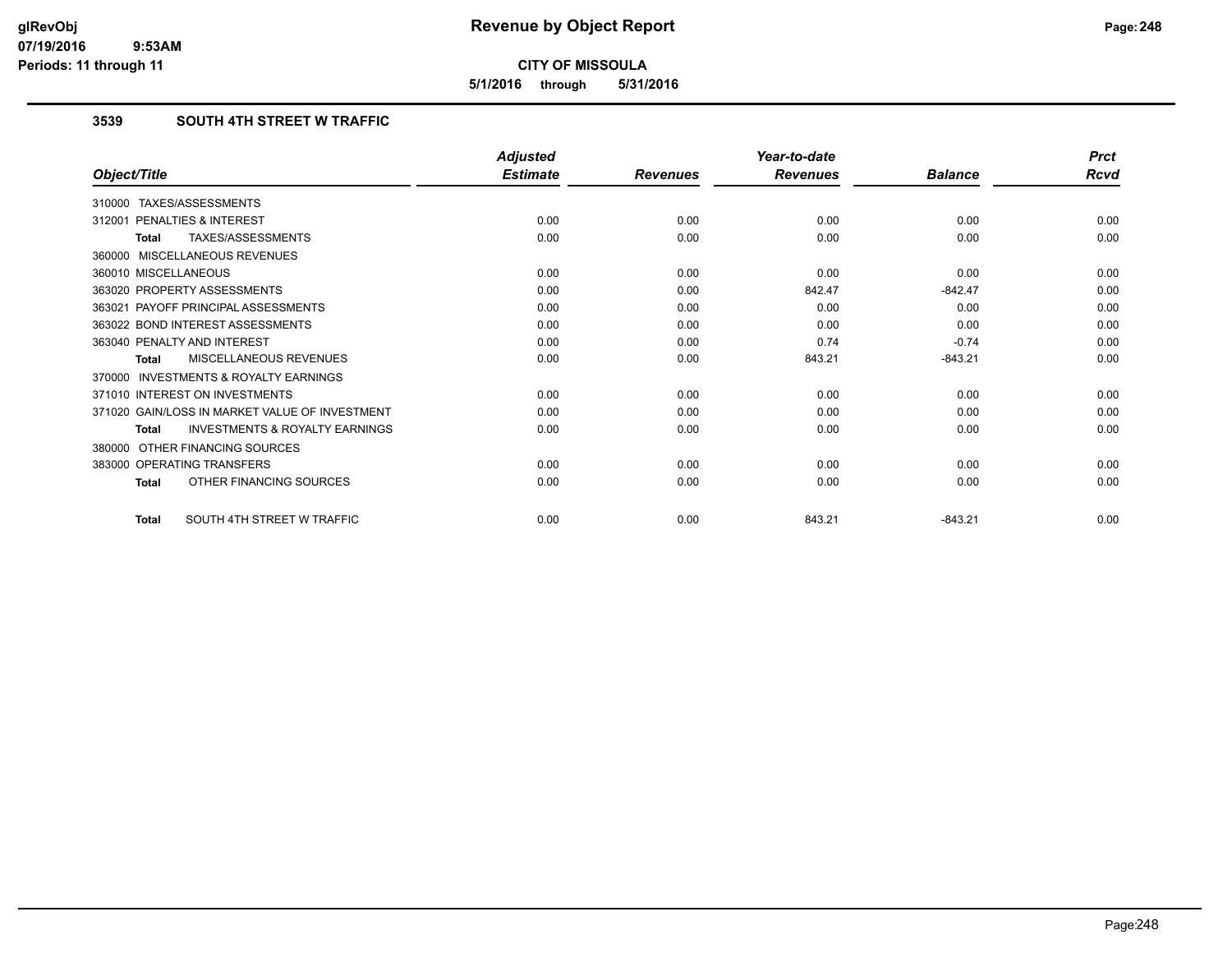**5/1/2016 through 5/31/2016**

## **3539 SOUTH 4TH STREET W TRAFFIC**

|                                                           | <b>Adjusted</b> |                 | Year-to-date    |                | <b>Prct</b> |
|-----------------------------------------------------------|-----------------|-----------------|-----------------|----------------|-------------|
| Object/Title                                              | <b>Estimate</b> | <b>Revenues</b> | <b>Revenues</b> | <b>Balance</b> | <b>Rcvd</b> |
| 310000 TAXES/ASSESSMENTS                                  |                 |                 |                 |                |             |
| PENALTIES & INTEREST<br>312001                            | 0.00            | 0.00            | 0.00            | 0.00           | 0.00        |
| TAXES/ASSESSMENTS<br><b>Total</b>                         | 0.00            | 0.00            | 0.00            | 0.00           | 0.00        |
| 360000 MISCELLANEOUS REVENUES                             |                 |                 |                 |                |             |
| 360010 MISCELLANEOUS                                      | 0.00            | 0.00            | 0.00            | 0.00           | 0.00        |
| 363020 PROPERTY ASSESSMENTS                               | 0.00            | 0.00            | 842.47          | $-842.47$      | 0.00        |
| 363021 PAYOFF PRINCIPAL ASSESSMENTS                       | 0.00            | 0.00            | 0.00            | 0.00           | 0.00        |
| 363022 BOND INTEREST ASSESSMENTS                          | 0.00            | 0.00            | 0.00            | 0.00           | 0.00        |
| 363040 PENALTY AND INTEREST                               | 0.00            | 0.00            | 0.74            | $-0.74$        | 0.00        |
| MISCELLANEOUS REVENUES<br><b>Total</b>                    | 0.00            | 0.00            | 843.21          | $-843.21$      | 0.00        |
| <b>INVESTMENTS &amp; ROYALTY EARNINGS</b><br>370000       |                 |                 |                 |                |             |
| 371010 INTEREST ON INVESTMENTS                            | 0.00            | 0.00            | 0.00            | 0.00           | 0.00        |
| 371020 GAIN/LOSS IN MARKET VALUE OF INVESTMENT            | 0.00            | 0.00            | 0.00            | 0.00           | 0.00        |
| <b>INVESTMENTS &amp; ROYALTY EARNINGS</b><br><b>Total</b> | 0.00            | 0.00            | 0.00            | 0.00           | 0.00        |
| OTHER FINANCING SOURCES<br>380000                         |                 |                 |                 |                |             |
| 383000 OPERATING TRANSFERS                                | 0.00            | 0.00            | 0.00            | 0.00           | 0.00        |
| OTHER FINANCING SOURCES<br><b>Total</b>                   | 0.00            | 0.00            | 0.00            | 0.00           | 0.00        |
| SOUTH 4TH STREET W TRAFFIC<br><b>Total</b>                | 0.00            | 0.00            | 843.21          | $-843.21$      | 0.00        |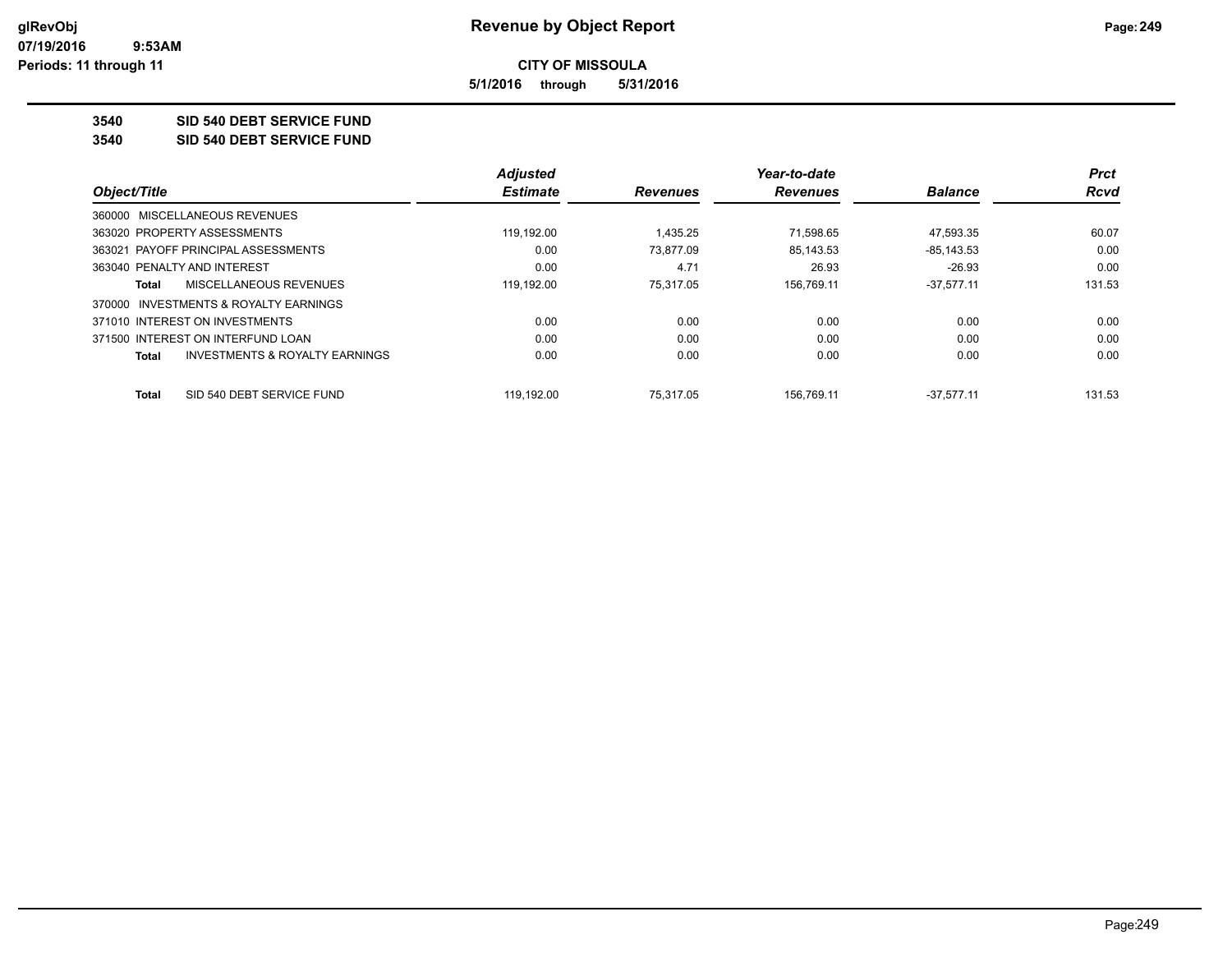**5/1/2016 through 5/31/2016**

**3540 SID 540 DEBT SERVICE FUND**

**3540 SID 540 DEBT SERVICE FUND**

|                                                    | <b>Adjusted</b> |                 | Year-to-date    |                | <b>Prct</b> |
|----------------------------------------------------|-----------------|-----------------|-----------------|----------------|-------------|
| Object/Title                                       | <b>Estimate</b> | <b>Revenues</b> | <b>Revenues</b> | <b>Balance</b> | <b>Rcvd</b> |
| 360000 MISCELLANEOUS REVENUES                      |                 |                 |                 |                |             |
| 363020 PROPERTY ASSESSMENTS                        | 119.192.00      | 1.435.25        | 71.598.65       | 47.593.35      | 60.07       |
| 363021 PAYOFF PRINCIPAL ASSESSMENTS                | 0.00            | 73.877.09       | 85,143.53       | $-85, 143.53$  | 0.00        |
| 363040 PENALTY AND INTEREST                        | 0.00            | 4.71            | 26.93           | $-26.93$       | 0.00        |
| MISCELLANEOUS REVENUES<br>Total                    | 119,192.00      | 75.317.05       | 156,769.11      | $-37,577.11$   | 131.53      |
| 370000 INVESTMENTS & ROYALTY EARNINGS              |                 |                 |                 |                |             |
| 371010 INTEREST ON INVESTMENTS                     | 0.00            | 0.00            | 0.00            | 0.00           | 0.00        |
| 371500 INTEREST ON INTERFUND LOAN                  | 0.00            | 0.00            | 0.00            | 0.00           | 0.00        |
| <b>INVESTMENTS &amp; ROYALTY EARNINGS</b><br>Total | 0.00            | 0.00            | 0.00            | 0.00           | 0.00        |
| SID 540 DEBT SERVICE FUND<br>Total                 | 119.192.00      | 75.317.05       | 156.769.11      | $-37.577.11$   | 131.53      |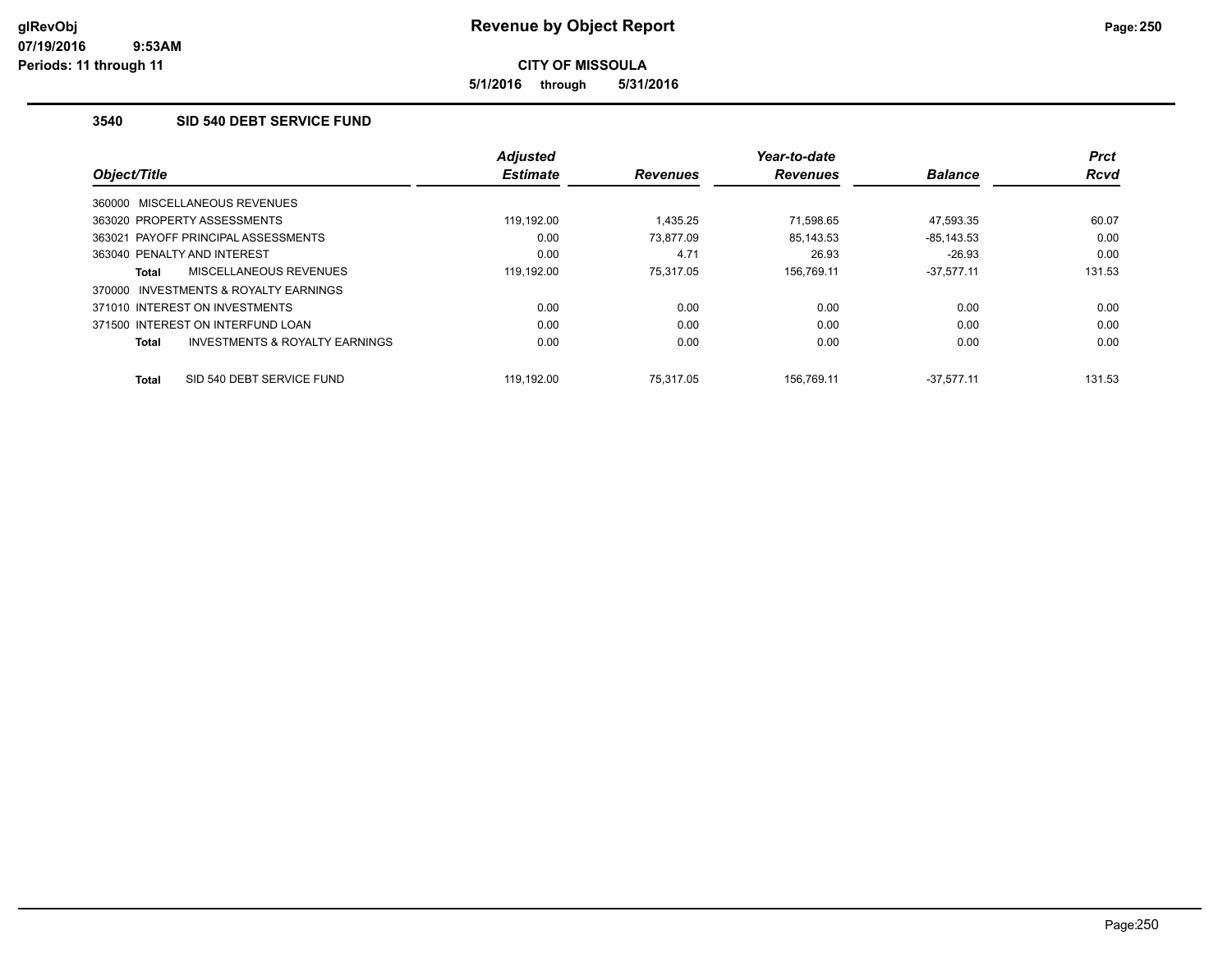**5/1/2016 through 5/31/2016**

### **3540 SID 540 DEBT SERVICE FUND**

|                                                           | <b>Adjusted</b> |                 | Year-to-date    |                | <b>Prct</b> |
|-----------------------------------------------------------|-----------------|-----------------|-----------------|----------------|-------------|
| Object/Title                                              | <b>Estimate</b> | <b>Revenues</b> | <b>Revenues</b> | <b>Balance</b> | <b>Rcvd</b> |
| 360000 MISCELLANEOUS REVENUES                             |                 |                 |                 |                |             |
| 363020 PROPERTY ASSESSMENTS                               | 119.192.00      | 1.435.25        | 71.598.65       | 47.593.35      | 60.07       |
| 363021 PAYOFF PRINCIPAL ASSESSMENTS                       | 0.00            | 73,877.09       | 85,143.53       | $-85, 143.53$  | 0.00        |
| 363040 PENALTY AND INTEREST                               | 0.00            | 4.71            | 26.93           | $-26.93$       | 0.00        |
| MISCELLANEOUS REVENUES<br><b>Total</b>                    | 119.192.00      | 75.317.05       | 156.769.11      | $-37.577.11$   | 131.53      |
| INVESTMENTS & ROYALTY EARNINGS<br>370000                  |                 |                 |                 |                |             |
| 371010 INTEREST ON INVESTMENTS                            | 0.00            | 0.00            | 0.00            | 0.00           | 0.00        |
| 371500 INTEREST ON INTERFUND LOAN                         | 0.00            | 0.00            | 0.00            | 0.00           | 0.00        |
| <b>INVESTMENTS &amp; ROYALTY EARNINGS</b><br><b>Total</b> | 0.00            | 0.00            | 0.00            | 0.00           | 0.00        |
| SID 540 DEBT SERVICE FUND<br><b>Total</b>                 | 119.192.00      | 75.317.05       | 156.769.11      | $-37.577.11$   | 131.53      |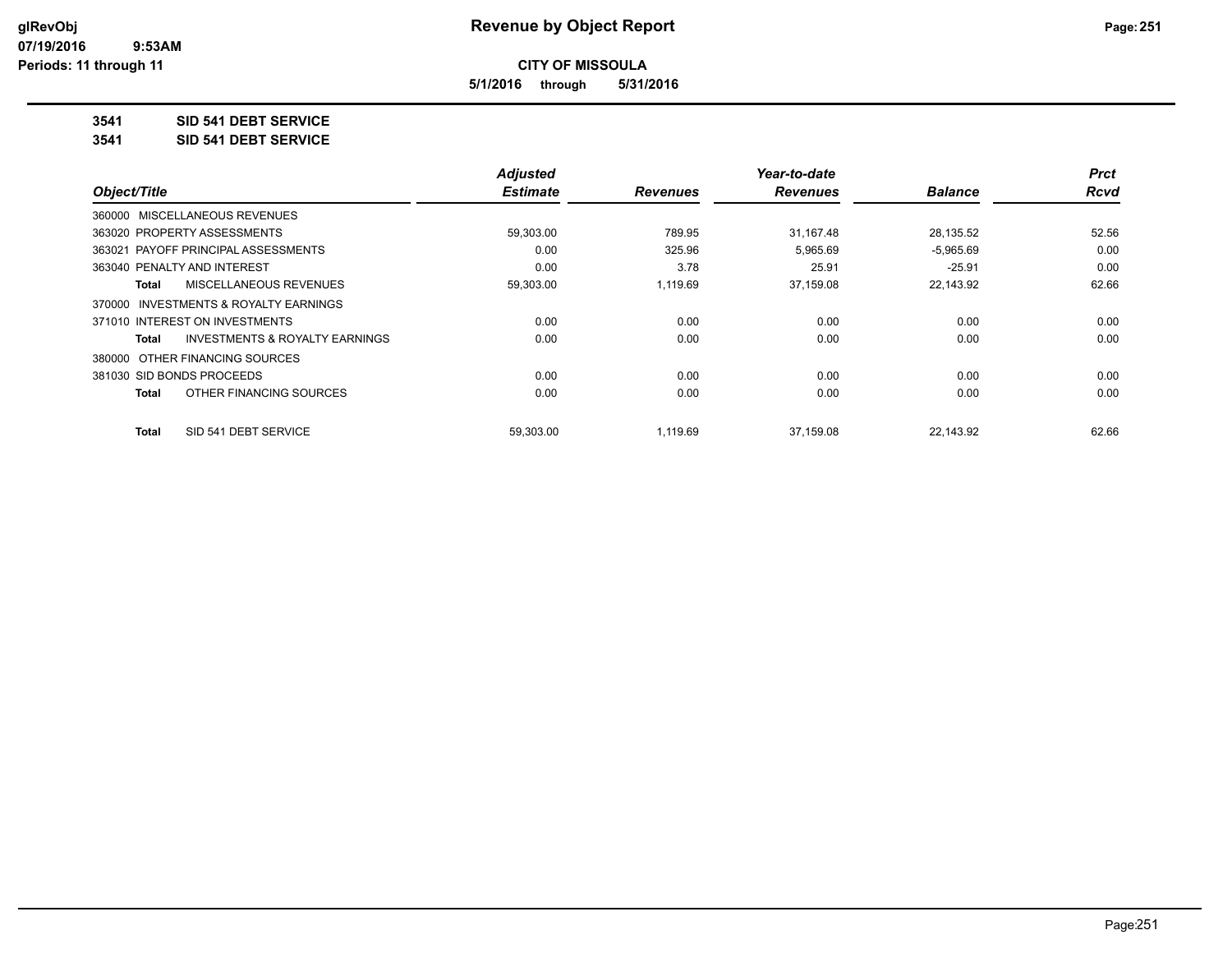**5/1/2016 through 5/31/2016**

**3541 SID 541 DEBT SERVICE**

**3541 SID 541 DEBT SERVICE**

|                                         | <b>Adjusted</b> |                 | Year-to-date    |                | <b>Prct</b> |
|-----------------------------------------|-----------------|-----------------|-----------------|----------------|-------------|
| Object/Title                            | <b>Estimate</b> | <b>Revenues</b> | <b>Revenues</b> | <b>Balance</b> | <b>Rcvd</b> |
| 360000 MISCELLANEOUS REVENUES           |                 |                 |                 |                |             |
| 363020 PROPERTY ASSESSMENTS             | 59,303.00       | 789.95          | 31,167.48       | 28,135.52      | 52.56       |
| 363021 PAYOFF PRINCIPAL ASSESSMENTS     | 0.00            | 325.96          | 5,965.69        | $-5,965.69$    | 0.00        |
| 363040 PENALTY AND INTEREST             | 0.00            | 3.78            | 25.91           | $-25.91$       | 0.00        |
| MISCELLANEOUS REVENUES<br>Total         | 59,303.00       | 1.119.69        | 37,159.08       | 22,143.92      | 62.66       |
| 370000 INVESTMENTS & ROYALTY EARNINGS   |                 |                 |                 |                |             |
| 371010 INTEREST ON INVESTMENTS          | 0.00            | 0.00            | 0.00            | 0.00           | 0.00        |
| INVESTMENTS & ROYALTY EARNINGS<br>Total | 0.00            | 0.00            | 0.00            | 0.00           | 0.00        |
| 380000 OTHER FINANCING SOURCES          |                 |                 |                 |                |             |
| 381030 SID BONDS PROCEEDS               | 0.00            | 0.00            | 0.00            | 0.00           | 0.00        |
| OTHER FINANCING SOURCES<br>Total        | 0.00            | 0.00            | 0.00            | 0.00           | 0.00        |
| SID 541 DEBT SERVICE<br><b>Total</b>    | 59.303.00       | 1.119.69        | 37.159.08       | 22.143.92      | 62.66       |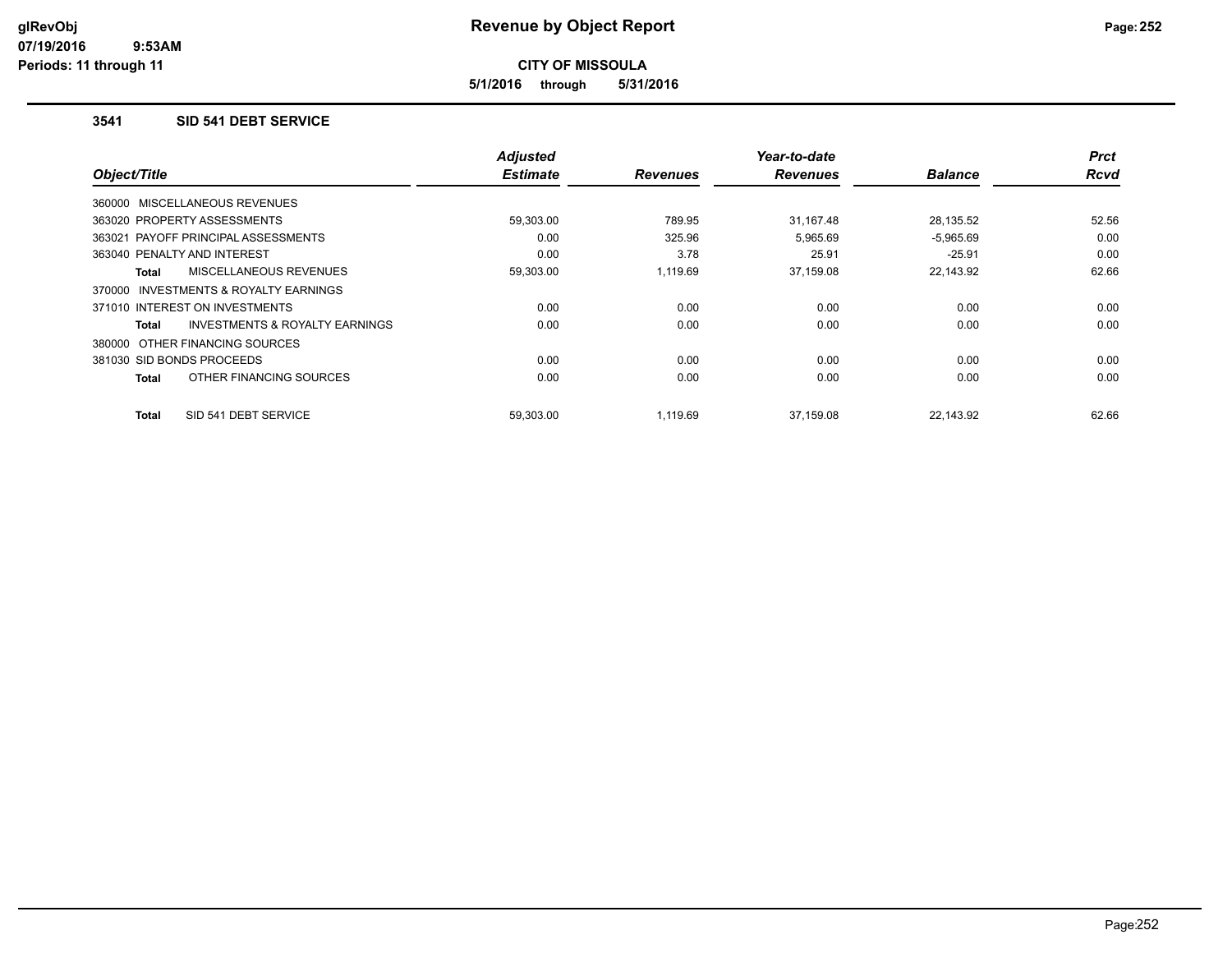**5/1/2016 through 5/31/2016**

#### **3541 SID 541 DEBT SERVICE**

| Object/Title                             | <b>Adjusted</b><br><b>Estimate</b> | <b>Revenues</b> | Year-to-date<br><b>Revenues</b> | <b>Balance</b> | <b>Prct</b><br>Rcvd |
|------------------------------------------|------------------------------------|-----------------|---------------------------------|----------------|---------------------|
| 360000 MISCELLANEOUS REVENUES            |                                    |                 |                                 |                |                     |
| 363020 PROPERTY ASSESSMENTS              | 59,303.00                          | 789.95          | 31,167.48                       | 28,135.52      | 52.56               |
| 363021 PAYOFF PRINCIPAL ASSESSMENTS      | 0.00                               | 325.96          | 5,965.69                        | $-5,965.69$    | 0.00                |
| 363040 PENALTY AND INTEREST              | 0.00                               | 3.78            | 25.91                           | $-25.91$       | 0.00                |
| MISCELLANEOUS REVENUES<br>Total          | 59,303.00                          | 1,119.69        | 37,159.08                       | 22,143.92      | 62.66               |
| INVESTMENTS & ROYALTY EARNINGS<br>370000 |                                    |                 |                                 |                |                     |
| 371010 INTEREST ON INVESTMENTS           | 0.00                               | 0.00            | 0.00                            | 0.00           | 0.00                |
| INVESTMENTS & ROYALTY EARNINGS<br>Total  | 0.00                               | 0.00            | 0.00                            | 0.00           | 0.00                |
| 380000 OTHER FINANCING SOURCES           |                                    |                 |                                 |                |                     |
| 381030 SID BONDS PROCEEDS                | 0.00                               | 0.00            | 0.00                            | 0.00           | 0.00                |
| OTHER FINANCING SOURCES<br>Total         | 0.00                               | 0.00            | 0.00                            | 0.00           | 0.00                |
| SID 541 DEBT SERVICE<br><b>Total</b>     | 59,303.00                          | 1,119.69        | 37,159.08                       | 22,143.92      | 62.66               |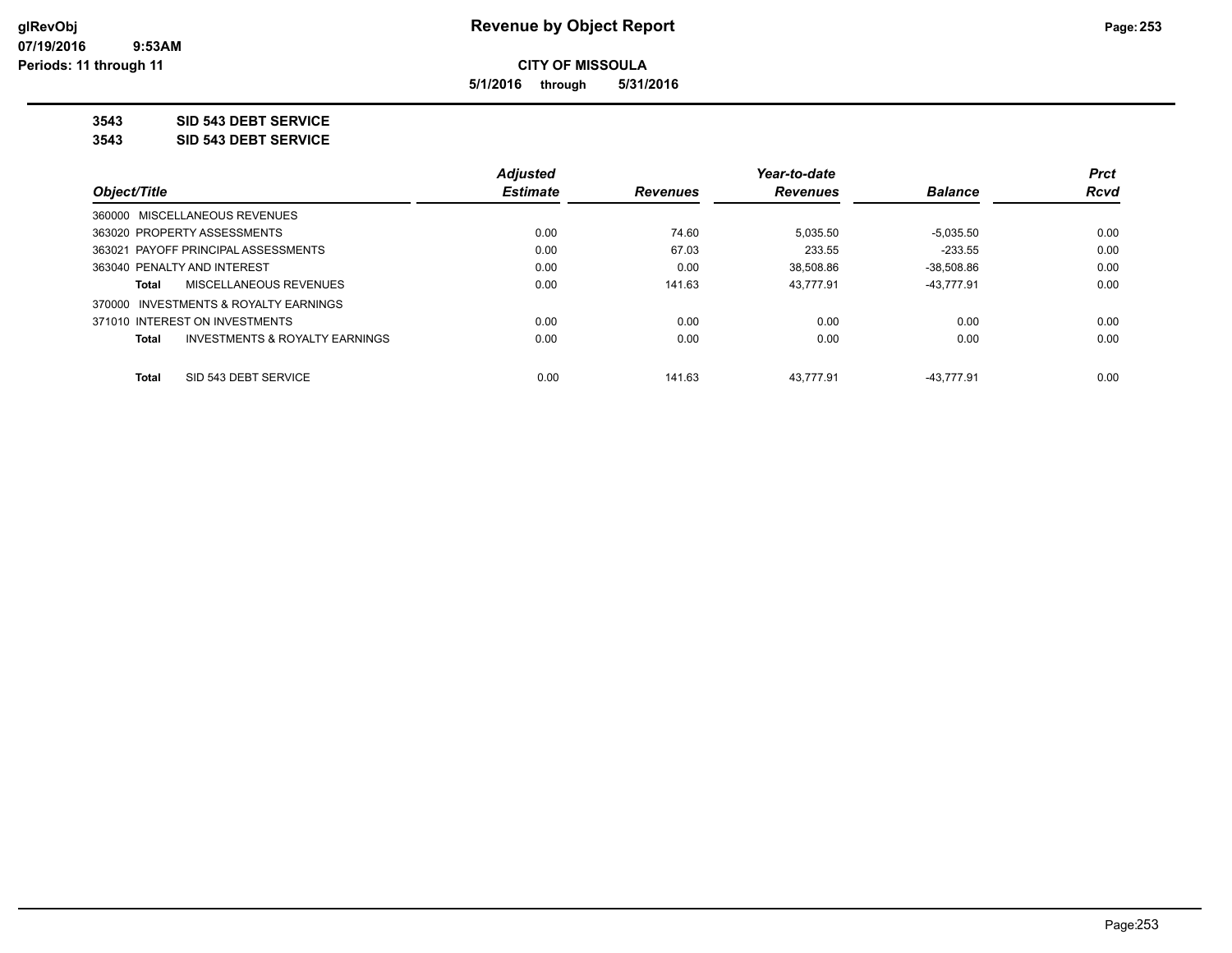**5/1/2016 through 5/31/2016**

**3543 SID 543 DEBT SERVICE**

**3543 SID 543 DEBT SERVICE**

|                                                           | <b>Adjusted</b> |                 | Year-to-date    |                | <b>Prct</b> |
|-----------------------------------------------------------|-----------------|-----------------|-----------------|----------------|-------------|
| Object/Title                                              | <b>Estimate</b> | <b>Revenues</b> | <b>Revenues</b> | <b>Balance</b> | Rcvd        |
| 360000 MISCELLANEOUS REVENUES                             |                 |                 |                 |                |             |
| 363020 PROPERTY ASSESSMENTS                               | 0.00            | 74.60           | 5,035.50        | $-5,035.50$    | 0.00        |
| 363021 PAYOFF PRINCIPAL ASSESSMENTS                       | 0.00            | 67.03           | 233.55          | $-233.55$      | 0.00        |
| 363040 PENALTY AND INTEREST                               | 0.00            | 0.00            | 38,508.86       | $-38.508.86$   | 0.00        |
| MISCELLANEOUS REVENUES<br>Total                           | 0.00            | 141.63          | 43.777.91       | -43.777.91     | 0.00        |
| 370000 INVESTMENTS & ROYALTY EARNINGS                     |                 |                 |                 |                |             |
| 371010 INTEREST ON INVESTMENTS                            | 0.00            | 0.00            | 0.00            | 0.00           | 0.00        |
| <b>INVESTMENTS &amp; ROYALTY EARNINGS</b><br><b>Total</b> | 0.00            | 0.00            | 0.00            | 0.00           | 0.00        |
| SID 543 DEBT SERVICE<br><b>Total</b>                      | 0.00            | 141.63          | 43.777.91       | $-43.777.91$   | 0.00        |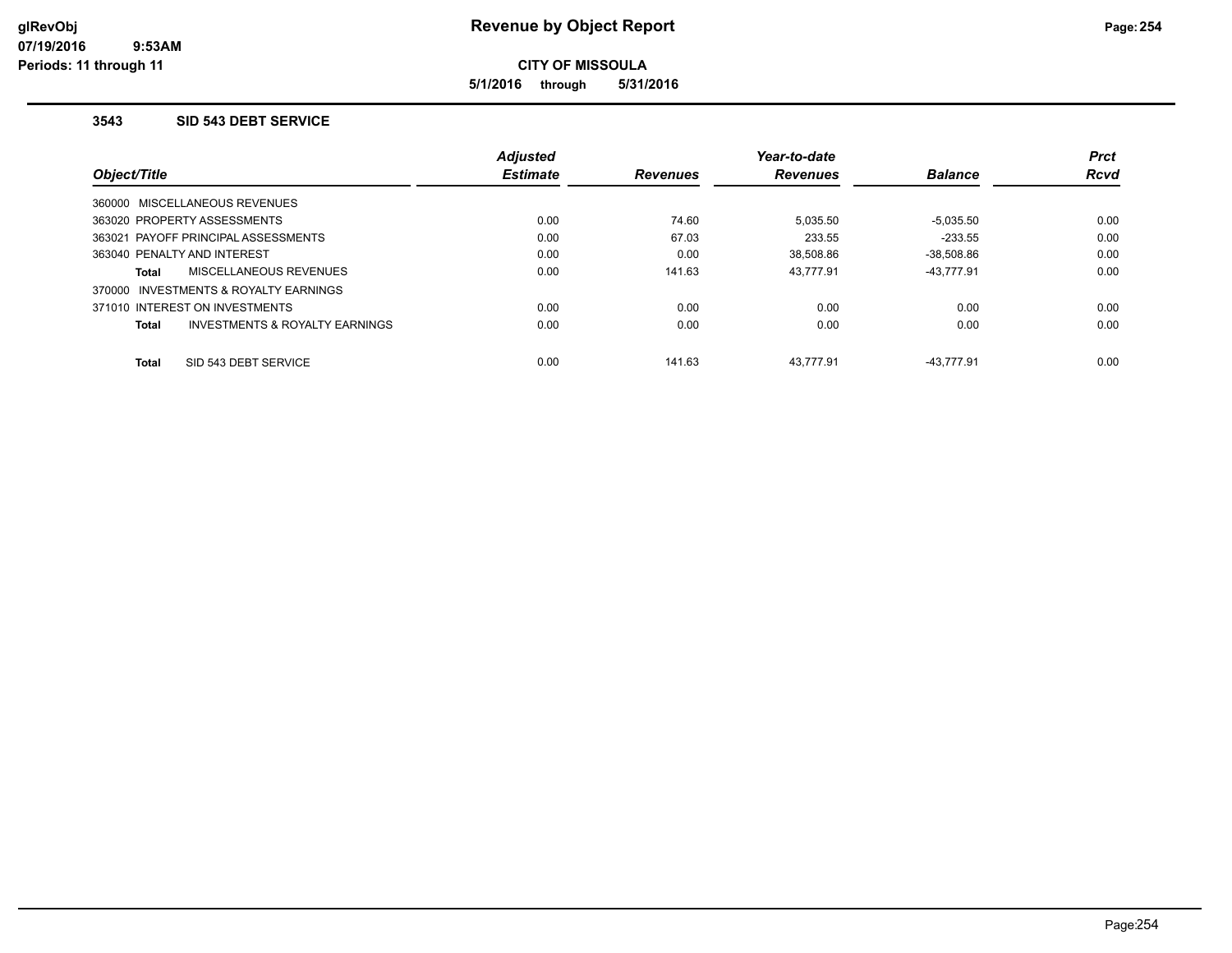**5/1/2016 through 5/31/2016**

#### **3543 SID 543 DEBT SERVICE**

|                                                           | <b>Adjusted</b> |                 | Year-to-date    |                | <b>Prct</b> |
|-----------------------------------------------------------|-----------------|-----------------|-----------------|----------------|-------------|
| Object/Title                                              | <b>Estimate</b> | <b>Revenues</b> | <b>Revenues</b> | <b>Balance</b> | <b>Rcvd</b> |
| 360000 MISCELLANEOUS REVENUES                             |                 |                 |                 |                |             |
| 363020 PROPERTY ASSESSMENTS                               | 0.00            | 74.60           | 5,035.50        | $-5,035.50$    | 0.00        |
| 363021 PAYOFF PRINCIPAL ASSESSMENTS                       | 0.00            | 67.03           | 233.55          | $-233.55$      | 0.00        |
| 363040 PENALTY AND INTEREST                               | 0.00            | 0.00            | 38.508.86       | $-38.508.86$   | 0.00        |
| <b>MISCELLANEOUS REVENUES</b><br>Total                    | 0.00            | 141.63          | 43.777.91       | $-43.777.91$   | 0.00        |
| 370000 INVESTMENTS & ROYALTY EARNINGS                     |                 |                 |                 |                |             |
| 371010 INTEREST ON INVESTMENTS                            | 0.00            | 0.00            | 0.00            | 0.00           | 0.00        |
| <b>INVESTMENTS &amp; ROYALTY EARNINGS</b><br><b>Total</b> | 0.00            | 0.00            | 0.00            | 0.00           | 0.00        |
| SID 543 DEBT SERVICE<br><b>Total</b>                      | 0.00            | 141.63          | 43.777.91       | $-43.777.91$   | 0.00        |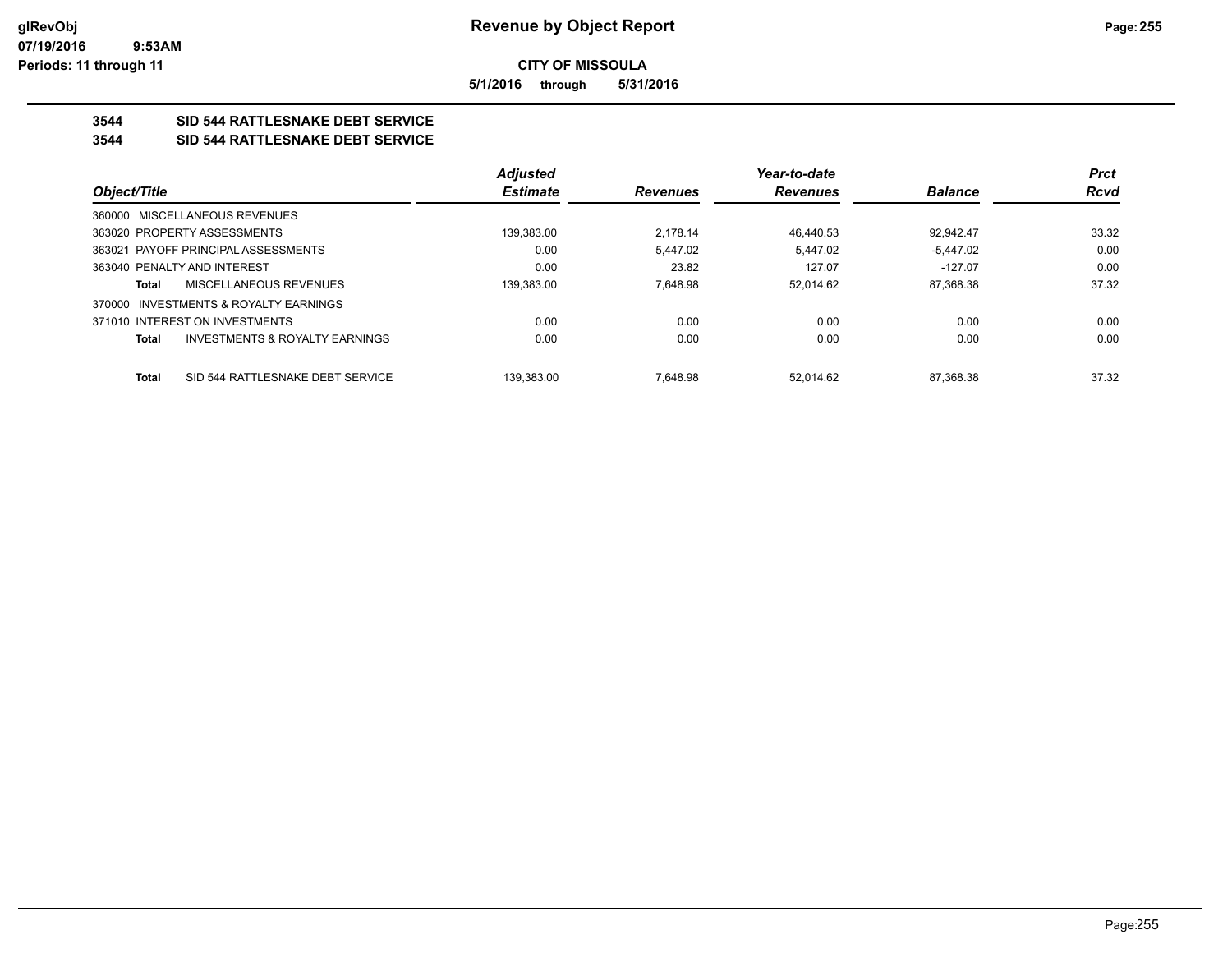**5/1/2016 through 5/31/2016**

## **3544 SID 544 RATTLESNAKE DEBT SERVICE**

#### **3544 SID 544 RATTLESNAKE DEBT SERVICE**

|                                                           | <b>Adjusted</b> |                 | Year-to-date    |                | <b>Prct</b> |
|-----------------------------------------------------------|-----------------|-----------------|-----------------|----------------|-------------|
| Object/Title                                              | <b>Estimate</b> | <b>Revenues</b> | <b>Revenues</b> | <b>Balance</b> | <b>Rcvd</b> |
| 360000 MISCELLANEOUS REVENUES                             |                 |                 |                 |                |             |
| 363020 PROPERTY ASSESSMENTS                               | 139.383.00      | 2.178.14        | 46.440.53       | 92.942.47      | 33.32       |
| 363021 PAYOFF PRINCIPAL ASSESSMENTS                       | 0.00            | 5.447.02        | 5.447.02        | $-5.447.02$    | 0.00        |
| 363040 PENALTY AND INTEREST                               | 0.00            | 23.82           | 127.07          | $-127.07$      | 0.00        |
| MISCELLANEOUS REVENUES<br>Total                           | 139.383.00      | 7.648.98        | 52.014.62       | 87.368.38      | 37.32       |
| INVESTMENTS & ROYALTY EARNINGS<br>370000                  |                 |                 |                 |                |             |
| 371010 INTEREST ON INVESTMENTS                            | 0.00            | 0.00            | 0.00            | 0.00           | 0.00        |
| <b>INVESTMENTS &amp; ROYALTY EARNINGS</b><br><b>Total</b> | 0.00            | 0.00            | 0.00            | 0.00           | 0.00        |
|                                                           |                 |                 |                 |                |             |
| SID 544 RATTLESNAKE DEBT SERVICE<br><b>Total</b>          | 139.383.00      | 7.648.98        | 52.014.62       | 87.368.38      | 37.32       |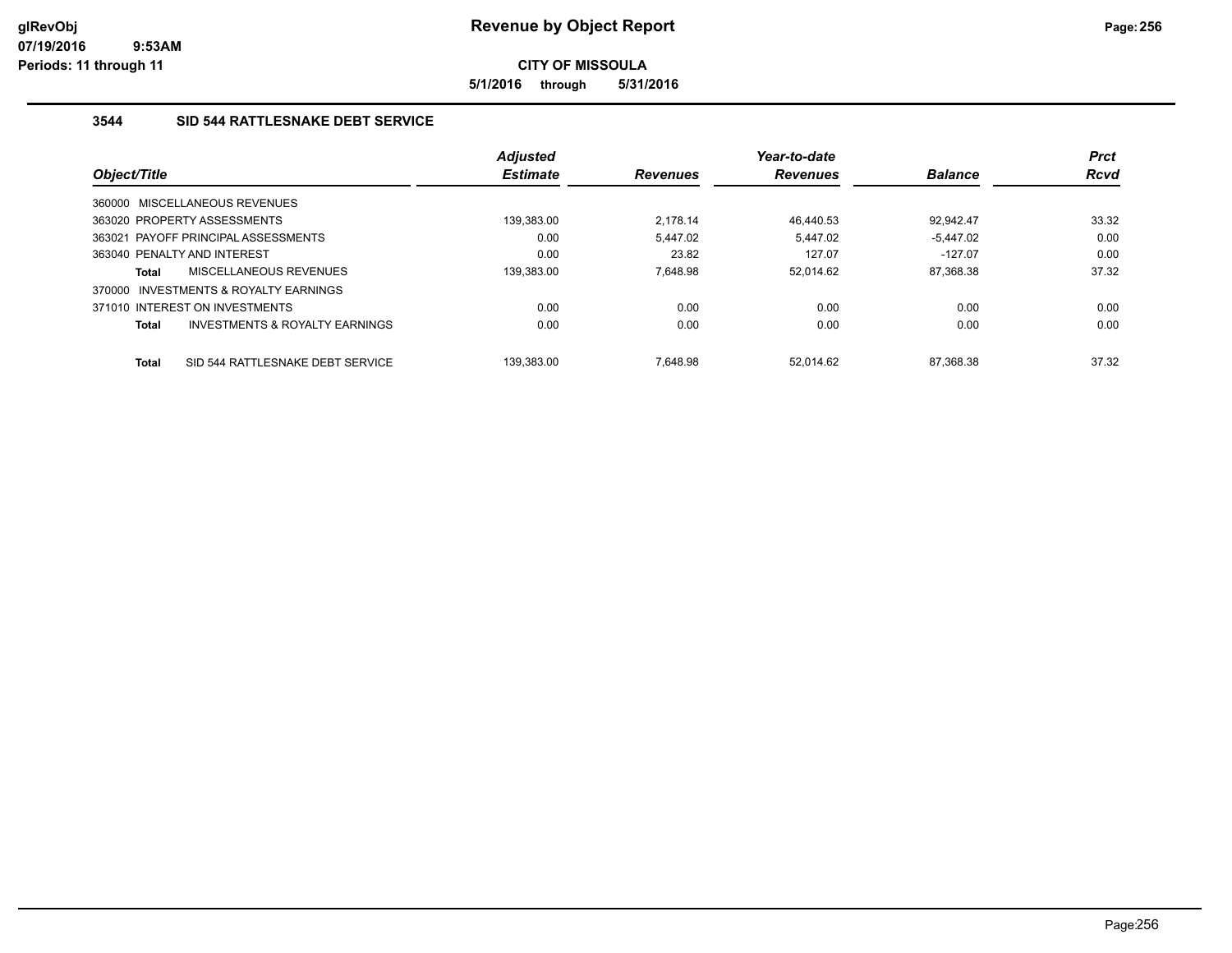**5/1/2016 through 5/31/2016**

## **3544 SID 544 RATTLESNAKE DEBT SERVICE**

|                                          |                                           | <b>Adjusted</b> |                 | Year-to-date    |                | <b>Prct</b> |
|------------------------------------------|-------------------------------------------|-----------------|-----------------|-----------------|----------------|-------------|
| Object/Title                             |                                           | <b>Estimate</b> | <b>Revenues</b> | <b>Revenues</b> | <b>Balance</b> | <b>Rcvd</b> |
| 360000 MISCELLANEOUS REVENUES            |                                           |                 |                 |                 |                |             |
| 363020 PROPERTY ASSESSMENTS              |                                           | 139,383.00      | 2.178.14        | 46.440.53       | 92.942.47      | 33.32       |
| 363021 PAYOFF PRINCIPAL ASSESSMENTS      |                                           | 0.00            | 5.447.02        | 5.447.02        | $-5.447.02$    | 0.00        |
| 363040 PENALTY AND INTEREST              |                                           | 0.00            | 23.82           | 127.07          | $-127.07$      | 0.00        |
| <b>Total</b>                             | <b>MISCELLANEOUS REVENUES</b>             | 139,383.00      | 7.648.98        | 52.014.62       | 87,368.38      | 37.32       |
| INVESTMENTS & ROYALTY EARNINGS<br>370000 |                                           |                 |                 |                 |                |             |
| 371010 INTEREST ON INVESTMENTS           |                                           | 0.00            | 0.00            | 0.00            | 0.00           | 0.00        |
| <b>Total</b>                             | <b>INVESTMENTS &amp; ROYALTY EARNINGS</b> | 0.00            | 0.00            | 0.00            | 0.00           | 0.00        |
| <b>Total</b>                             | SID 544 RATTLESNAKE DEBT SERVICE          | 139.383.00      | 7.648.98        | 52.014.62       | 87.368.38      | 37.32       |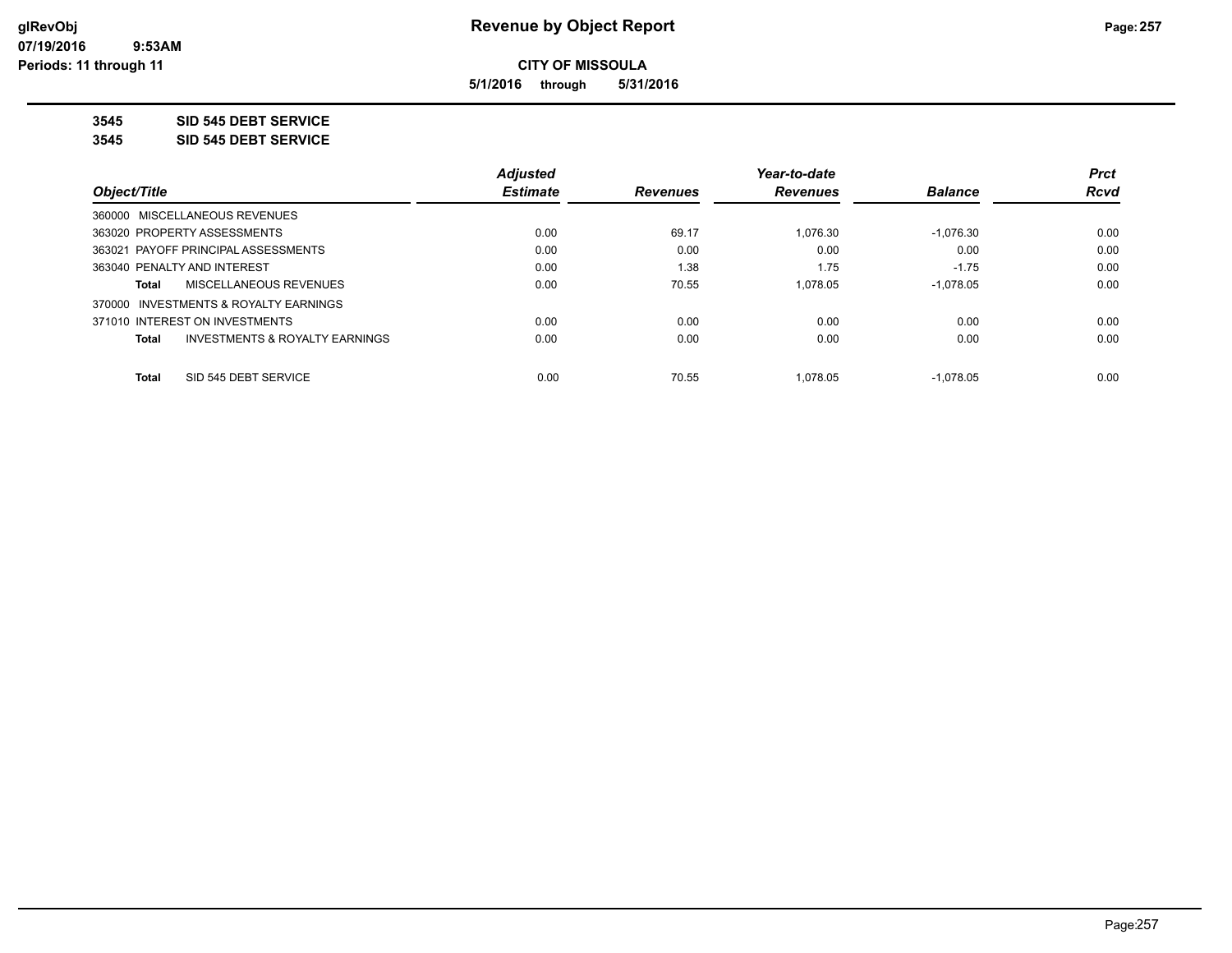**5/1/2016 through 5/31/2016**

**3545 SID 545 DEBT SERVICE**

**3545 SID 545 DEBT SERVICE**

|                                                | <b>Adjusted</b> |                 | Year-to-date    |                | <b>Prct</b> |
|------------------------------------------------|-----------------|-----------------|-----------------|----------------|-------------|
| Object/Title                                   | <b>Estimate</b> | <b>Revenues</b> | <b>Revenues</b> | <b>Balance</b> | <b>Rcvd</b> |
| 360000 MISCELLANEOUS REVENUES                  |                 |                 |                 |                |             |
| 363020 PROPERTY ASSESSMENTS                    | 0.00            | 69.17           | 1.076.30        | $-1.076.30$    | 0.00        |
| 363021 PAYOFF PRINCIPAL ASSESSMENTS            | 0.00            | 0.00            | 0.00            | 0.00           | 0.00        |
| 363040 PENALTY AND INTEREST                    | 0.00            | 1.38            | 1.75            | $-1.75$        | 0.00        |
| MISCELLANEOUS REVENUES<br>Total                | 0.00            | 70.55           | 1.078.05        | $-1.078.05$    | 0.00        |
| 370000 INVESTMENTS & ROYALTY EARNINGS          |                 |                 |                 |                |             |
| 371010 INTEREST ON INVESTMENTS                 | 0.00            | 0.00            | 0.00            | 0.00           | 0.00        |
| INVESTMENTS & ROYALTY EARNINGS<br><b>Total</b> | 0.00            | 0.00            | 0.00            | 0.00           | 0.00        |
| SID 545 DEBT SERVICE<br><b>Total</b>           | 0.00            | 70.55           | 1.078.05        | $-1.078.05$    | 0.00        |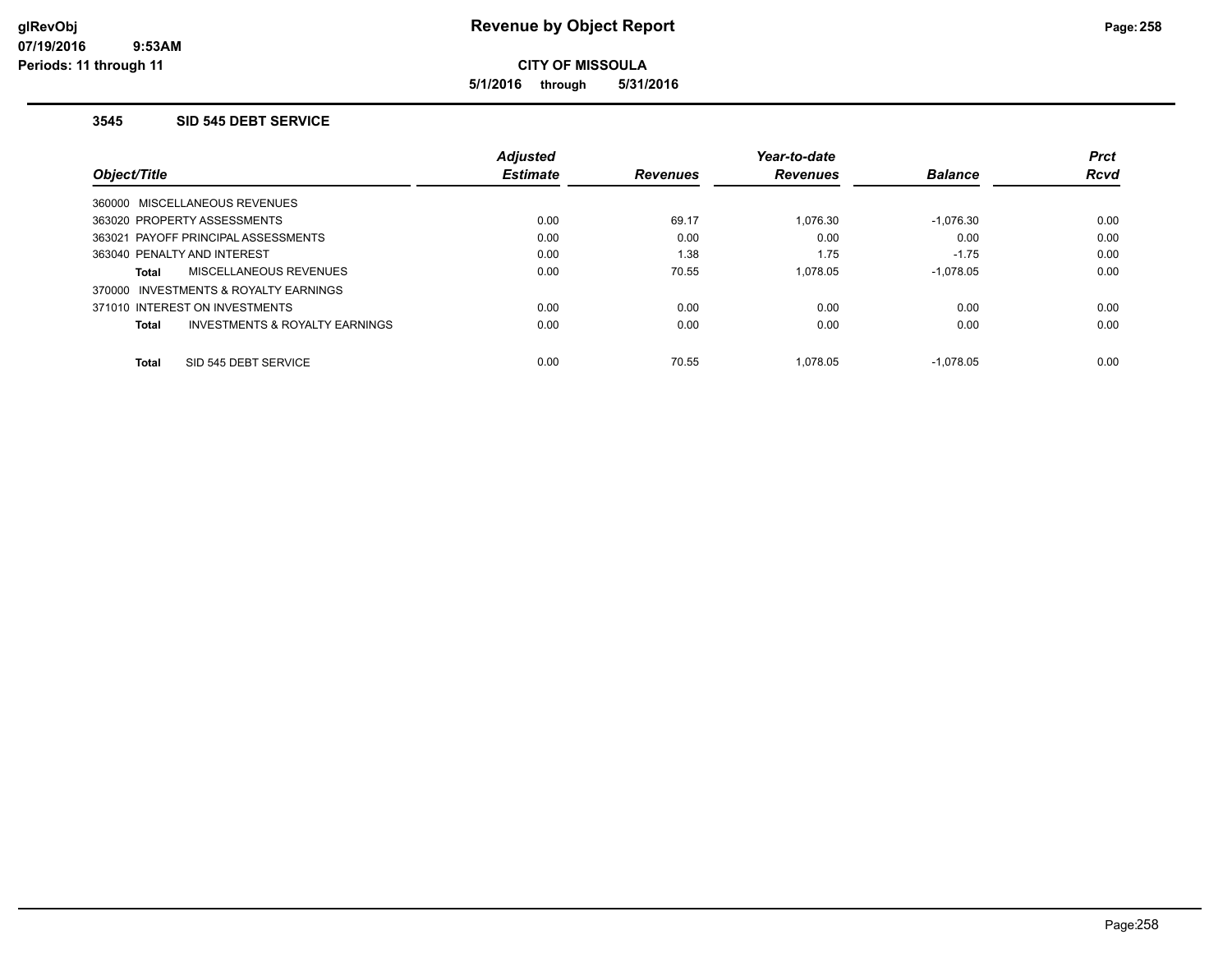**5/1/2016 through 5/31/2016**

#### **3545 SID 545 DEBT SERVICE**

|                                                    | <b>Adjusted</b> |                 | Year-to-date    |                | <b>Prct</b> |
|----------------------------------------------------|-----------------|-----------------|-----------------|----------------|-------------|
| <b>Object/Title</b>                                | <b>Estimate</b> | <b>Revenues</b> | <b>Revenues</b> | <b>Balance</b> | <b>Rcvd</b> |
| 360000 MISCELLANEOUS REVENUES                      |                 |                 |                 |                |             |
| 363020 PROPERTY ASSESSMENTS                        | 0.00            | 69.17           | 1.076.30        | $-1.076.30$    | 0.00        |
| 363021 PAYOFF PRINCIPAL ASSESSMENTS                | 0.00            | 0.00            | 0.00            | 0.00           | 0.00        |
| 363040 PENALTY AND INTEREST                        | 0.00            | 1.38            | 1.75            | $-1.75$        | 0.00        |
| MISCELLANEOUS REVENUES<br>Total                    | 0.00            | 70.55           | 1.078.05        | $-1.078.05$    | 0.00        |
| INVESTMENTS & ROYALTY EARNINGS<br>370000           |                 |                 |                 |                |             |
| 371010 INTEREST ON INVESTMENTS                     | 0.00            | 0.00            | 0.00            | 0.00           | 0.00        |
| <b>INVESTMENTS &amp; ROYALTY EARNINGS</b><br>Total | 0.00            | 0.00            | 0.00            | 0.00           | 0.00        |
| SID 545 DEBT SERVICE<br><b>Total</b>               | 0.00            | 70.55           | 1.078.05        | $-1.078.05$    | 0.00        |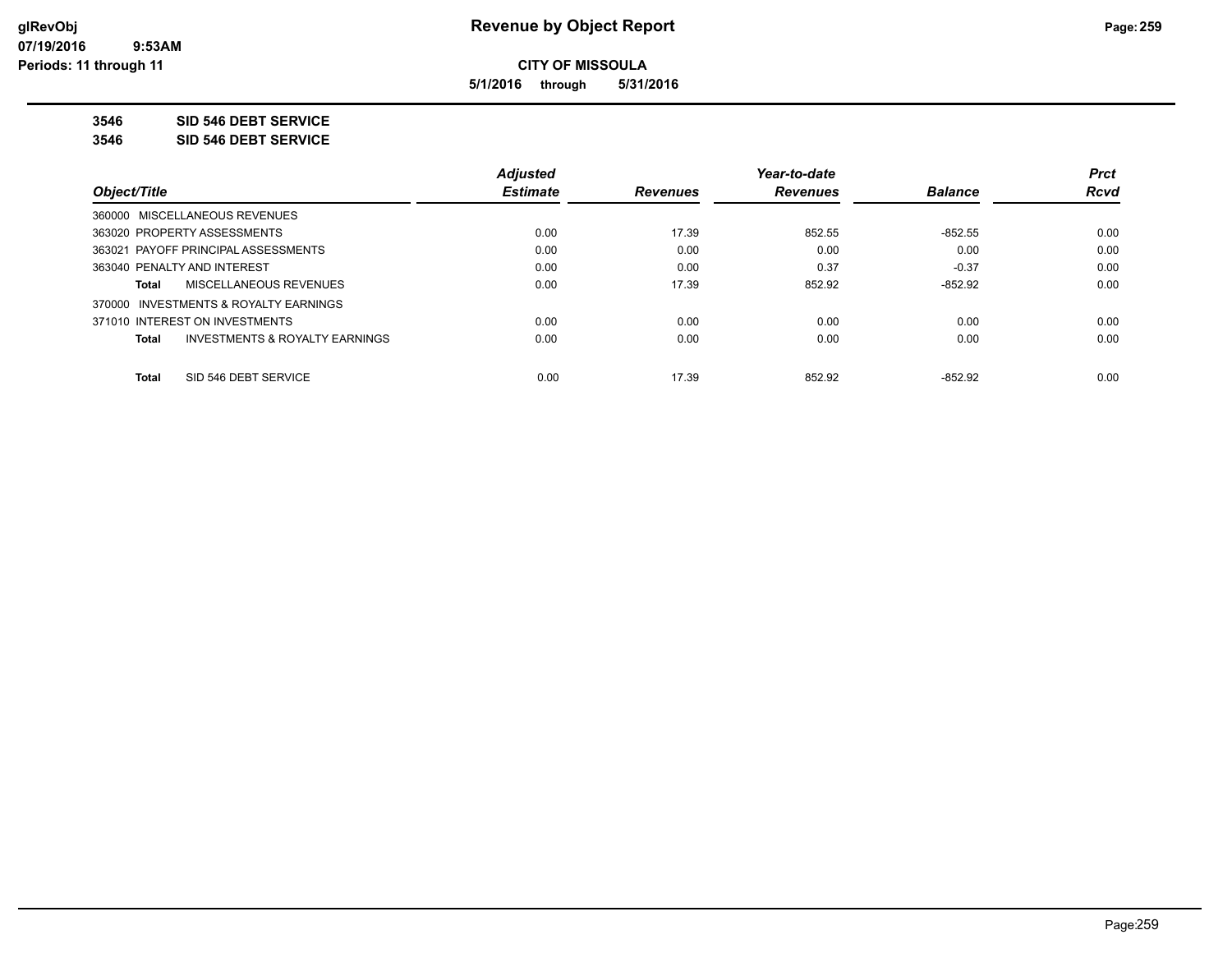**5/1/2016 through 5/31/2016**

**3546 SID 546 DEBT SERVICE**

**3546 SID 546 DEBT SERVICE**

|                                                    | <b>Adjusted</b> |                 | Year-to-date    |                | <b>Prct</b> |
|----------------------------------------------------|-----------------|-----------------|-----------------|----------------|-------------|
| Object/Title                                       | <b>Estimate</b> | <b>Revenues</b> | <b>Revenues</b> | <b>Balance</b> | <b>Rcvd</b> |
| 360000 MISCELLANEOUS REVENUES                      |                 |                 |                 |                |             |
| 363020 PROPERTY ASSESSMENTS                        | 0.00            | 17.39           | 852.55          | $-852.55$      | 0.00        |
| 363021 PAYOFF PRINCIPAL ASSESSMENTS                | 0.00            | 0.00            | 0.00            | 0.00           | 0.00        |
| 363040 PENALTY AND INTEREST                        | 0.00            | 0.00            | 0.37            | $-0.37$        | 0.00        |
| MISCELLANEOUS REVENUES<br>Total                    | 0.00            | 17.39           | 852.92          | $-852.92$      | 0.00        |
| 370000 INVESTMENTS & ROYALTY EARNINGS              |                 |                 |                 |                |             |
| 371010 INTEREST ON INVESTMENTS                     | 0.00            | 0.00            | 0.00            | 0.00           | 0.00        |
| <b>INVESTMENTS &amp; ROYALTY EARNINGS</b><br>Total | 0.00            | 0.00            | 0.00            | 0.00           | 0.00        |
| SID 546 DEBT SERVICE<br><b>Total</b>               | 0.00            | 17.39           | 852.92          | $-852.92$      | 0.00        |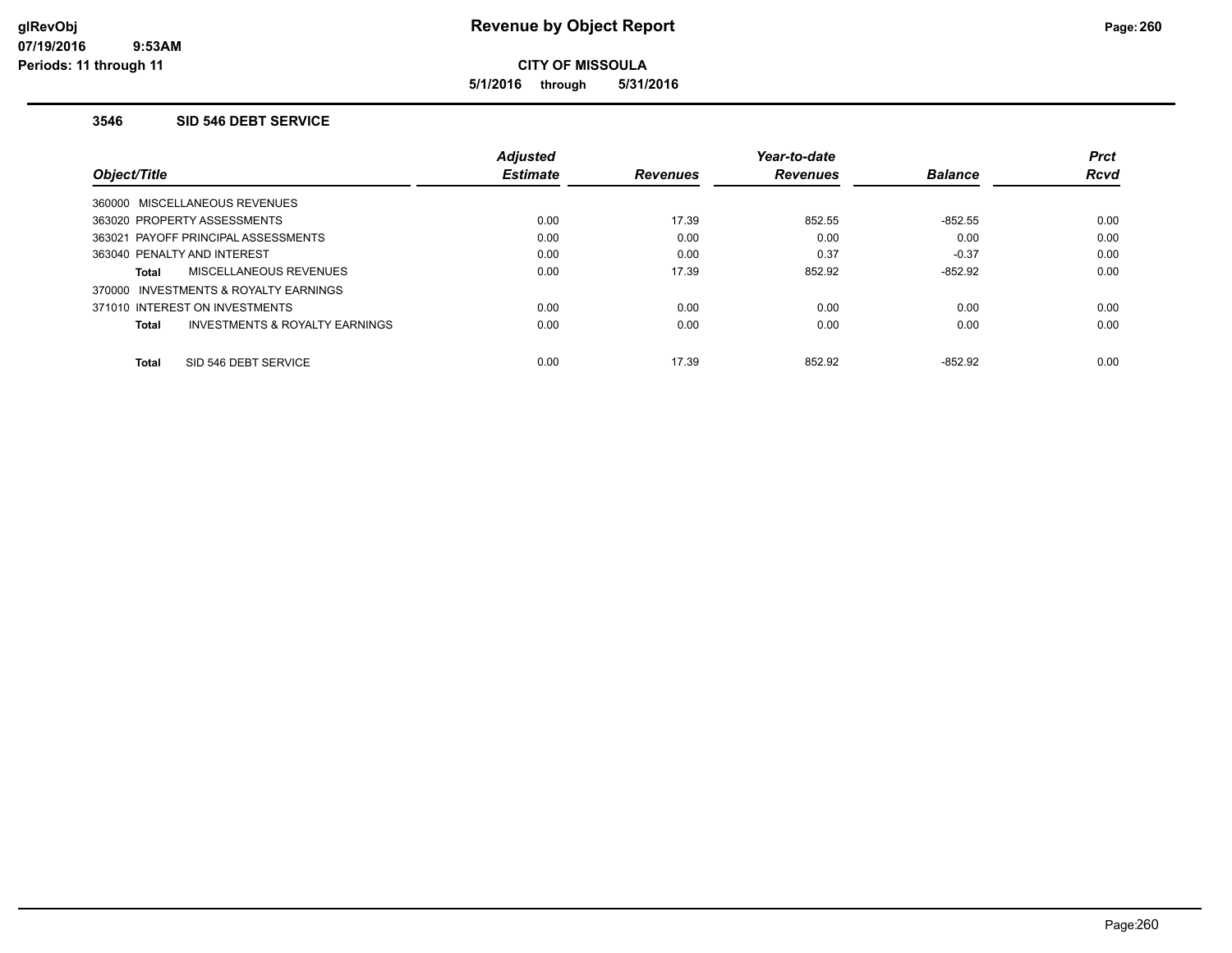**5/1/2016 through 5/31/2016**

#### **3546 SID 546 DEBT SERVICE**

|                                          | Adjusted        |                 | Year-to-date    |                | <b>Prct</b> |
|------------------------------------------|-----------------|-----------------|-----------------|----------------|-------------|
| Object/Title                             | <b>Estimate</b> | <b>Revenues</b> | <b>Revenues</b> | <b>Balance</b> | <b>Rcvd</b> |
| 360000 MISCELLANEOUS REVENUES            |                 |                 |                 |                |             |
| 363020 PROPERTY ASSESSMENTS              | 0.00            | 17.39           | 852.55          | $-852.55$      | 0.00        |
| 363021 PAYOFF PRINCIPAL ASSESSMENTS      | 0.00            | 0.00            | 0.00            | 0.00           | 0.00        |
| 363040 PENALTY AND INTEREST              | 0.00            | 0.00            | 0.37            | $-0.37$        | 0.00        |
| MISCELLANEOUS REVENUES<br>Total          | 0.00            | 17.39           | 852.92          | $-852.92$      | 0.00        |
| INVESTMENTS & ROYALTY EARNINGS<br>370000 |                 |                 |                 |                |             |
| 371010 INTEREST ON INVESTMENTS           | 0.00            | 0.00            | 0.00            | 0.00           | 0.00        |
| INVESTMENTS & ROYALTY EARNINGS<br>Total  | 0.00            | 0.00            | 0.00            | 0.00           | 0.00        |
| SID 546 DEBT SERVICE<br><b>Total</b>     | 0.00            | 17.39           | 852.92          | $-852.92$      | 0.00        |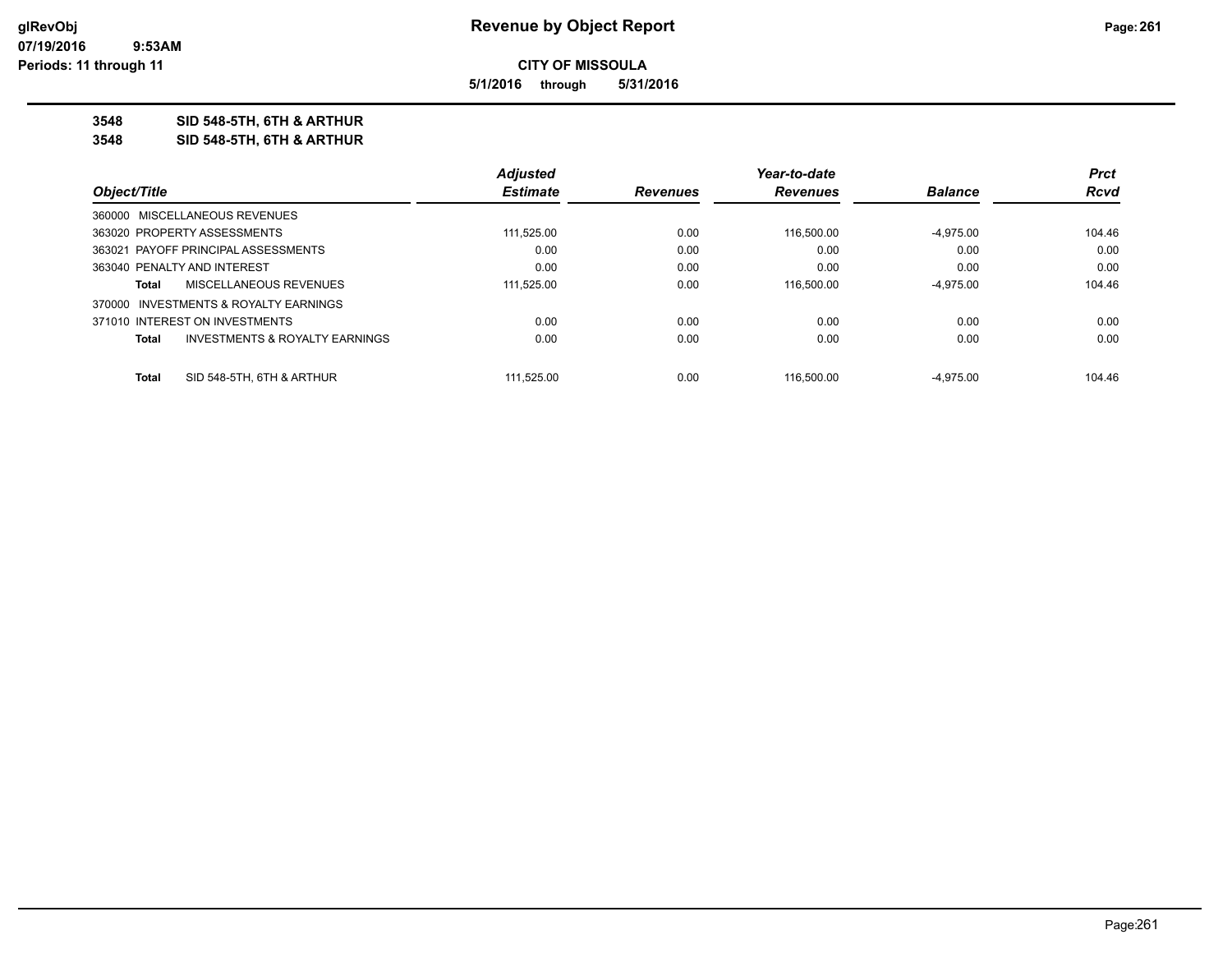**5/1/2016 through 5/31/2016**

### **3548 SID 548-5TH, 6TH & ARTHUR**

**3548 SID 548-5TH, 6TH & ARTHUR**

|                                                           | <b>Adjusted</b> |                 | Year-to-date    |                | <b>Prct</b> |
|-----------------------------------------------------------|-----------------|-----------------|-----------------|----------------|-------------|
| Object/Title                                              | <b>Estimate</b> | <b>Revenues</b> | <b>Revenues</b> | <b>Balance</b> | Rcvd        |
| 360000 MISCELLANEOUS REVENUES                             |                 |                 |                 |                |             |
| 363020 PROPERTY ASSESSMENTS                               | 111,525.00      | 0.00            | 116.500.00      | $-4,975.00$    | 104.46      |
| 363021 PAYOFF PRINCIPAL ASSESSMENTS                       | 0.00            | 0.00            | 0.00            | 0.00           | 0.00        |
| 363040 PENALTY AND INTEREST                               | 0.00            | 0.00            | 0.00            | 0.00           | 0.00        |
| MISCELLANEOUS REVENUES<br>Total                           | 111,525.00      | 0.00            | 116.500.00      | $-4.975.00$    | 104.46      |
| 370000 INVESTMENTS & ROYALTY EARNINGS                     |                 |                 |                 |                |             |
| 371010 INTEREST ON INVESTMENTS                            | 0.00            | 0.00            | 0.00            | 0.00           | 0.00        |
| <b>INVESTMENTS &amp; ROYALTY EARNINGS</b><br><b>Total</b> | 0.00            | 0.00            | 0.00            | 0.00           | 0.00        |
|                                                           |                 |                 |                 |                |             |
| SID 548-5TH, 6TH & ARTHUR<br><b>Total</b>                 | 111.525.00      | 0.00            | 116.500.00      | -4.975.00      | 104.46      |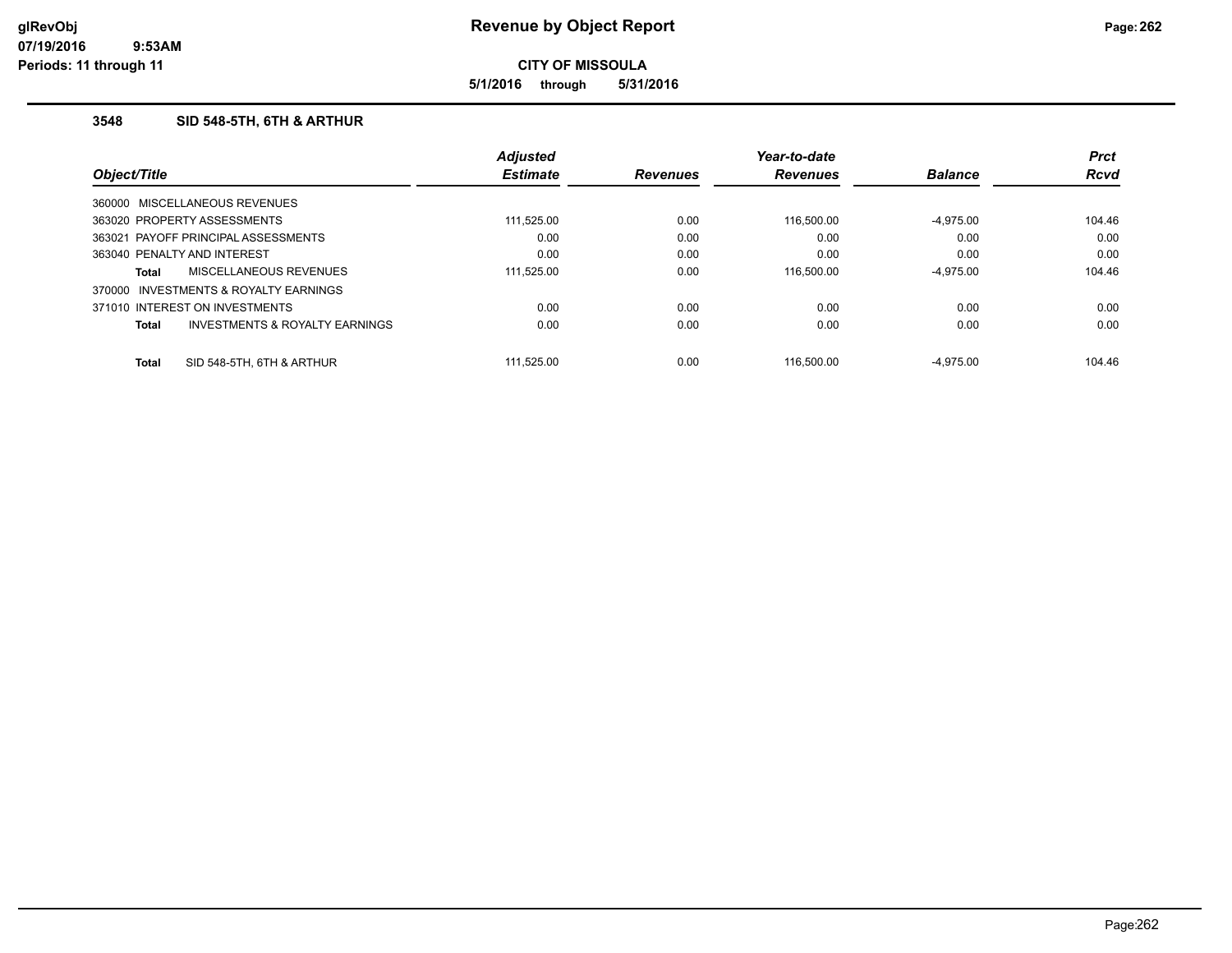**5/1/2016 through 5/31/2016**

### **3548 SID 548-5TH, 6TH & ARTHUR**

|              |                                           | <b>Adjusted</b> |                 | Year-to-date    |                | <b>Prct</b> |
|--------------|-------------------------------------------|-----------------|-----------------|-----------------|----------------|-------------|
| Object/Title |                                           | <b>Estimate</b> | <b>Revenues</b> | <b>Revenues</b> | <b>Balance</b> | <b>Rcvd</b> |
|              | 360000 MISCELLANEOUS REVENUES             |                 |                 |                 |                |             |
|              | 363020 PROPERTY ASSESSMENTS               | 111.525.00      | 0.00            | 116,500.00      | $-4.975.00$    | 104.46      |
|              | 363021 PAYOFF PRINCIPAL ASSESSMENTS       | 0.00            | 0.00            | 0.00            | 0.00           | 0.00        |
|              | 363040 PENALTY AND INTEREST               | 0.00            | 0.00            | 0.00            | 0.00           | 0.00        |
| Total        | <b>MISCELLANEOUS REVENUES</b>             | 111.525.00      | 0.00            | 116,500.00      | $-4.975.00$    | 104.46      |
| 370000       | INVESTMENTS & ROYALTY EARNINGS            |                 |                 |                 |                |             |
|              | 371010 INTEREST ON INVESTMENTS            | 0.00            | 0.00            | 0.00            | 0.00           | 0.00        |
| Total        | <b>INVESTMENTS &amp; ROYALTY EARNINGS</b> | 0.00            | 0.00            | 0.00            | 0.00           | 0.00        |
| <b>Total</b> | SID 548-5TH, 6TH & ARTHUR                 | 111.525.00      | 0.00            | 116.500.00      | $-4.975.00$    | 104.46      |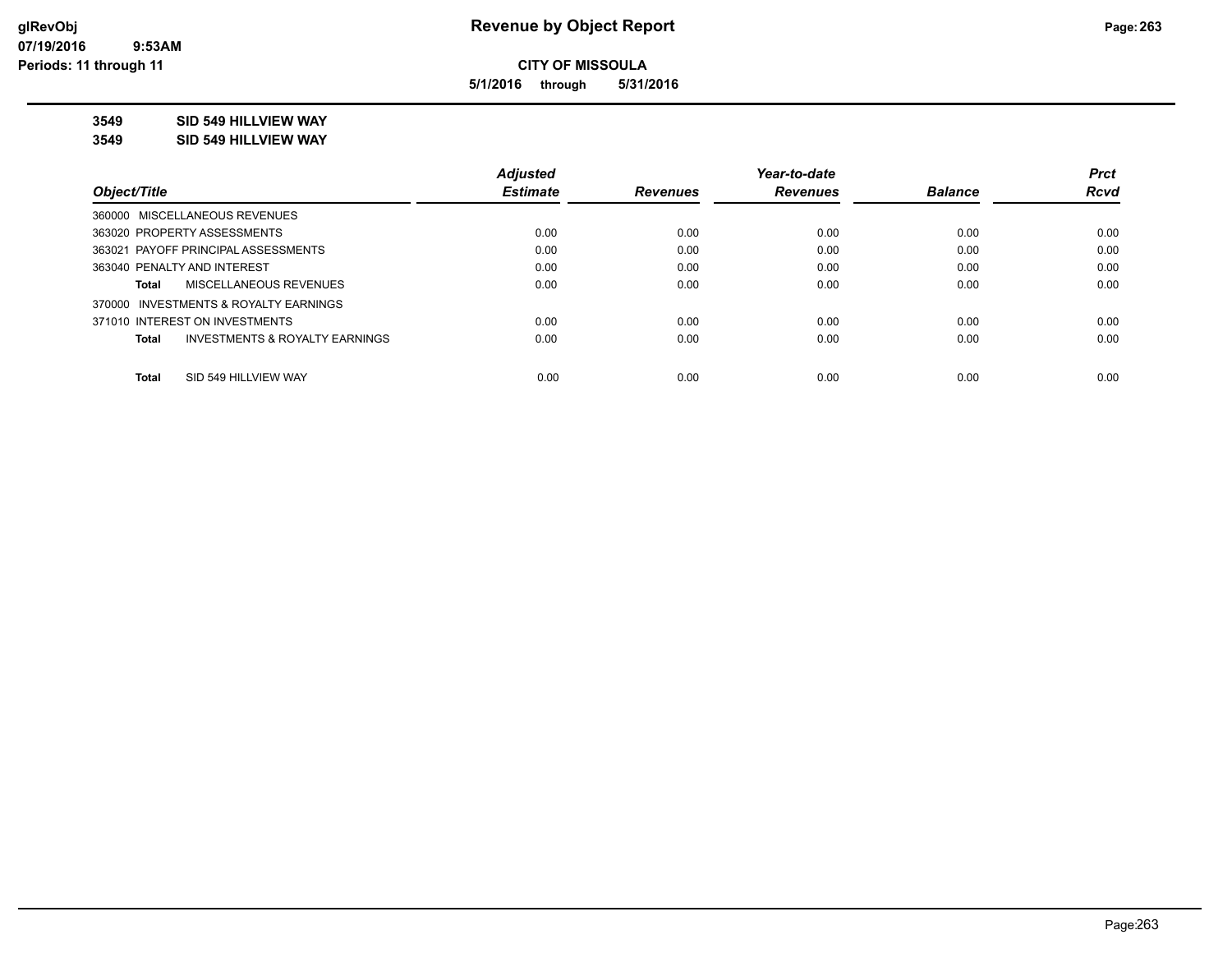**5/1/2016 through 5/31/2016**

**3549 SID 549 HILLVIEW WAY**

**3549 SID 549 HILLVIEW WAY**

|                                                | <b>Adjusted</b> |                 | Year-to-date    |                | <b>Prct</b> |
|------------------------------------------------|-----------------|-----------------|-----------------|----------------|-------------|
| Object/Title                                   | <b>Estimate</b> | <b>Revenues</b> | <b>Revenues</b> | <b>Balance</b> | Rcvd        |
| 360000 MISCELLANEOUS REVENUES                  |                 |                 |                 |                |             |
| 363020 PROPERTY ASSESSMENTS                    | 0.00            | 0.00            | 0.00            | 0.00           | 0.00        |
| 363021 PAYOFF PRINCIPAL ASSESSMENTS            | 0.00            | 0.00            | 0.00            | 0.00           | 0.00        |
| 363040 PENALTY AND INTEREST                    | 0.00            | 0.00            | 0.00            | 0.00           | 0.00        |
| MISCELLANEOUS REVENUES<br>Total                | 0.00            | 0.00            | 0.00            | 0.00           | 0.00        |
| 370000 INVESTMENTS & ROYALTY EARNINGS          |                 |                 |                 |                |             |
| 371010 INTEREST ON INVESTMENTS                 | 0.00            | 0.00            | 0.00            | 0.00           | 0.00        |
| INVESTMENTS & ROYALTY EARNINGS<br><b>Total</b> | 0.00            | 0.00            | 0.00            | 0.00           | 0.00        |
| SID 549 HILLVIEW WAY<br><b>Total</b>           | 0.00            | 0.00            | 0.00            | 0.00           | 0.00        |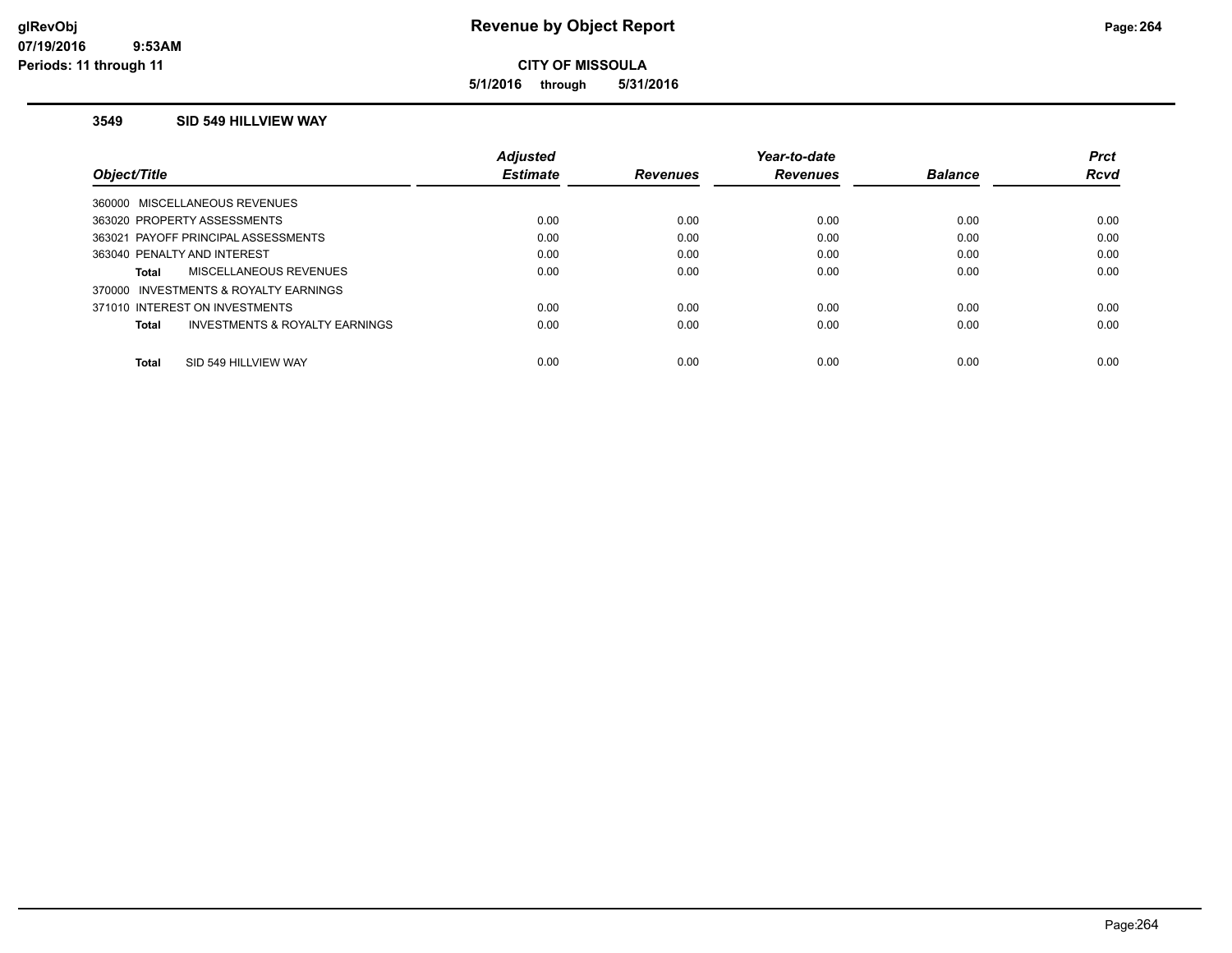**5/1/2016 through 5/31/2016**

#### **3549 SID 549 HILLVIEW WAY**

|                                         | <b>Adiusted</b> |                 | Year-to-date    |                | <b>Prct</b> |
|-----------------------------------------|-----------------|-----------------|-----------------|----------------|-------------|
| Object/Title                            | <b>Estimate</b> | <b>Revenues</b> | <b>Revenues</b> | <b>Balance</b> | <b>Rcvd</b> |
| 360000 MISCELLANEOUS REVENUES           |                 |                 |                 |                |             |
| 363020 PROPERTY ASSESSMENTS             | 0.00            | 0.00            | 0.00            | 0.00           | 0.00        |
| 363021 PAYOFF PRINCIPAL ASSESSMENTS     | 0.00            | 0.00            | 0.00            | 0.00           | 0.00        |
| 363040 PENALTY AND INTEREST             | 0.00            | 0.00            | 0.00            | 0.00           | 0.00        |
| MISCELLANEOUS REVENUES<br>Total         | 0.00            | 0.00            | 0.00            | 0.00           | 0.00        |
| 370000 INVESTMENTS & ROYALTY EARNINGS   |                 |                 |                 |                |             |
| 371010 INTEREST ON INVESTMENTS          | 0.00            | 0.00            | 0.00            | 0.00           | 0.00        |
| INVESTMENTS & ROYALTY EARNINGS<br>Total | 0.00            | 0.00            | 0.00            | 0.00           | 0.00        |
| SID 549 HILLVIEW WAY<br><b>Total</b>    | 0.00            | 0.00            | 0.00            | 0.00           | 0.00        |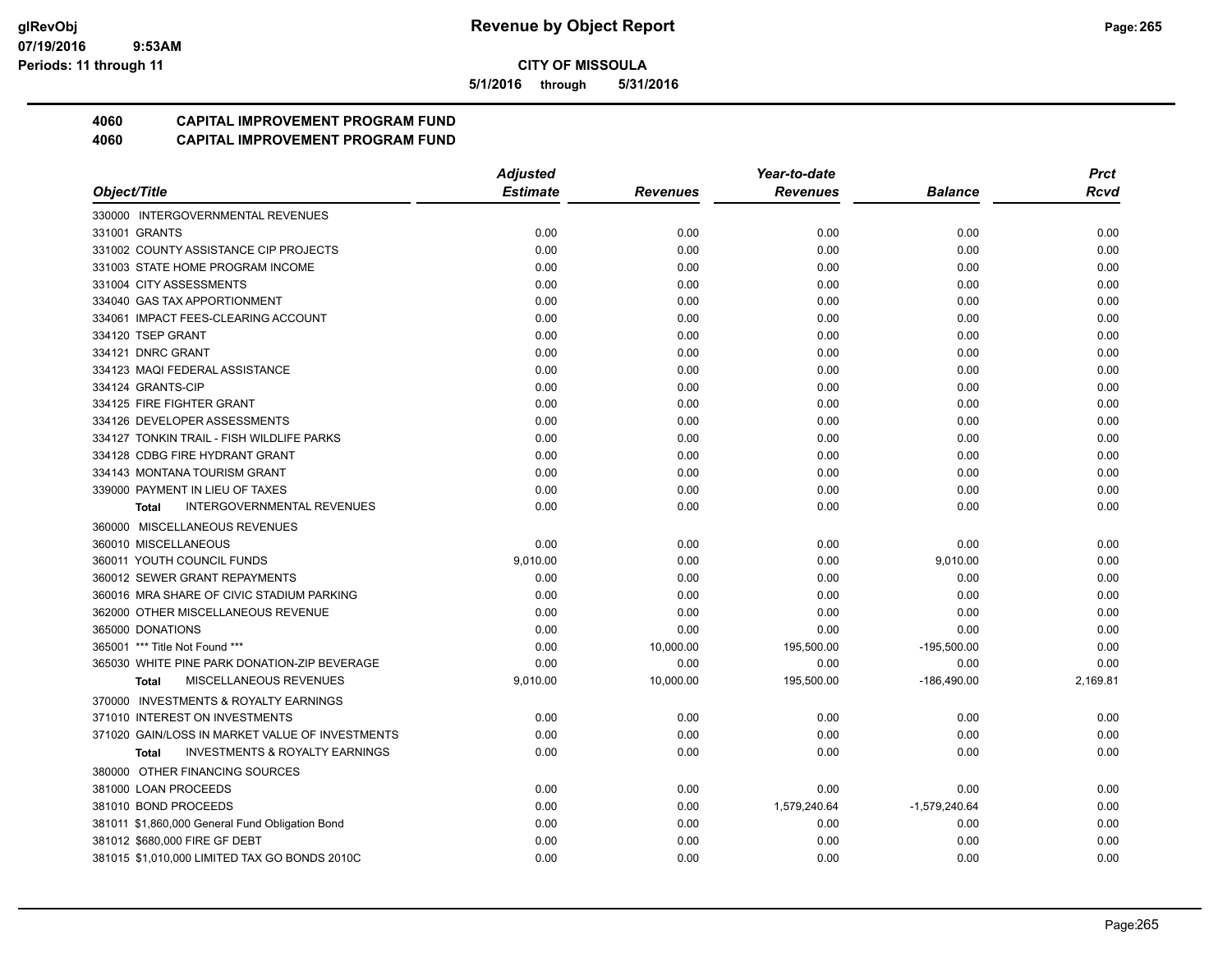**5/1/2016 through 5/31/2016**

## **4060 CAPITAL IMPROVEMENT PROGRAM FUND**

|                                                           | <b>Adjusted</b> |                 | Year-to-date    |                | <b>Prct</b> |
|-----------------------------------------------------------|-----------------|-----------------|-----------------|----------------|-------------|
| Object/Title                                              | <b>Estimate</b> | <b>Revenues</b> | <b>Revenues</b> | <b>Balance</b> | <b>Rcvd</b> |
| 330000 INTERGOVERNMENTAL REVENUES                         |                 |                 |                 |                |             |
| 331001 GRANTS                                             | 0.00            | 0.00            | 0.00            | 0.00           | 0.00        |
| 331002 COUNTY ASSISTANCE CIP PROJECTS                     | 0.00            | 0.00            | 0.00            | 0.00           | 0.00        |
| 331003 STATE HOME PROGRAM INCOME                          | 0.00            | 0.00            | 0.00            | 0.00           | 0.00        |
| 331004 CITY ASSESSMENTS                                   | 0.00            | 0.00            | 0.00            | 0.00           | 0.00        |
| 334040 GAS TAX APPORTIONMENT                              | 0.00            | 0.00            | 0.00            | 0.00           | 0.00        |
| 334061 IMPACT FEES-CLEARING ACCOUNT                       | 0.00            | 0.00            | 0.00            | 0.00           | 0.00        |
| 334120 TSEP GRANT                                         | 0.00            | 0.00            | 0.00            | 0.00           | 0.00        |
| 334121 DNRC GRANT                                         | 0.00            | 0.00            | 0.00            | 0.00           | 0.00        |
| 334123 MAQI FEDERAL ASSISTANCE                            | 0.00            | 0.00            | 0.00            | 0.00           | 0.00        |
| 334124 GRANTS-CIP                                         | 0.00            | 0.00            | 0.00            | 0.00           | 0.00        |
| 334125 FIRE FIGHTER GRANT                                 | 0.00            | 0.00            | 0.00            | 0.00           | 0.00        |
| 334126 DEVELOPER ASSESSMENTS                              | 0.00            | 0.00            | 0.00            | 0.00           | 0.00        |
| 334127 TONKIN TRAIL - FISH WILDLIFE PARKS                 | 0.00            | 0.00            | 0.00            | 0.00           | 0.00        |
| 334128 CDBG FIRE HYDRANT GRANT                            | 0.00            | 0.00            | 0.00            | 0.00           | 0.00        |
| 334143 MONTANA TOURISM GRANT                              | 0.00            | 0.00            | 0.00            | 0.00           | 0.00        |
| 339000 PAYMENT IN LIEU OF TAXES                           | 0.00            | 0.00            | 0.00            | 0.00           | 0.00        |
| <b>INTERGOVERNMENTAL REVENUES</b><br><b>Total</b>         | 0.00            | 0.00            | 0.00            | 0.00           | 0.00        |
| 360000 MISCELLANEOUS REVENUES                             |                 |                 |                 |                |             |
| 360010 MISCELLANEOUS                                      | 0.00            | 0.00            | 0.00            | 0.00           | 0.00        |
| 360011 YOUTH COUNCIL FUNDS                                | 9,010.00        | 0.00            | 0.00            | 9,010.00       | 0.00        |
| 360012 SEWER GRANT REPAYMENTS                             | 0.00            | 0.00            | 0.00            | 0.00           | 0.00        |
| 360016 MRA SHARE OF CIVIC STADIUM PARKING                 | 0.00            | 0.00            | 0.00            | 0.00           | 0.00        |
| 362000 OTHER MISCELLANEOUS REVENUE                        | 0.00            | 0.00            | 0.00            | 0.00           | 0.00        |
| 365000 DONATIONS                                          | 0.00            | 0.00            | 0.00            | 0.00           | 0.00        |
| 365001 *** Title Not Found ***                            | 0.00            | 10,000.00       | 195,500.00      | $-195,500.00$  | 0.00        |
| 365030 WHITE PINE PARK DONATION-ZIP BEVERAGE              | 0.00            | 0.00            | 0.00            | 0.00           | 0.00        |
| MISCELLANEOUS REVENUES<br>Total                           | 9,010.00        | 10,000.00       | 195,500.00      | $-186,490.00$  | 2,169.81    |
| 370000 INVESTMENTS & ROYALTY EARNINGS                     |                 |                 |                 |                |             |
| 371010 INTEREST ON INVESTMENTS                            | 0.00            | 0.00            | 0.00            | 0.00           | 0.00        |
| 371020 GAIN/LOSS IN MARKET VALUE OF INVESTMENTS           | 0.00            | 0.00            | 0.00            | 0.00           | 0.00        |
| <b>INVESTMENTS &amp; ROYALTY EARNINGS</b><br><b>Total</b> | 0.00            | 0.00            | 0.00            | 0.00           | 0.00        |
| 380000 OTHER FINANCING SOURCES                            |                 |                 |                 |                |             |
| 381000 LOAN PROCEEDS                                      | 0.00            | 0.00            | 0.00            | 0.00           | 0.00        |
| 381010 BOND PROCEEDS                                      | 0.00            | 0.00            | 1,579,240.64    | -1,579,240.64  | 0.00        |
| 381011 \$1,860,000 General Fund Obligation Bond           | 0.00            | 0.00            | 0.00            | 0.00           | 0.00        |
| 381012 \$680,000 FIRE GF DEBT                             | 0.00            | 0.00            | 0.00            | 0.00           | 0.00        |
| 381015 \$1,010,000 LIMITED TAX GO BONDS 2010C             | 0.00            | 0.00            | 0.00            | 0.00           | 0.00        |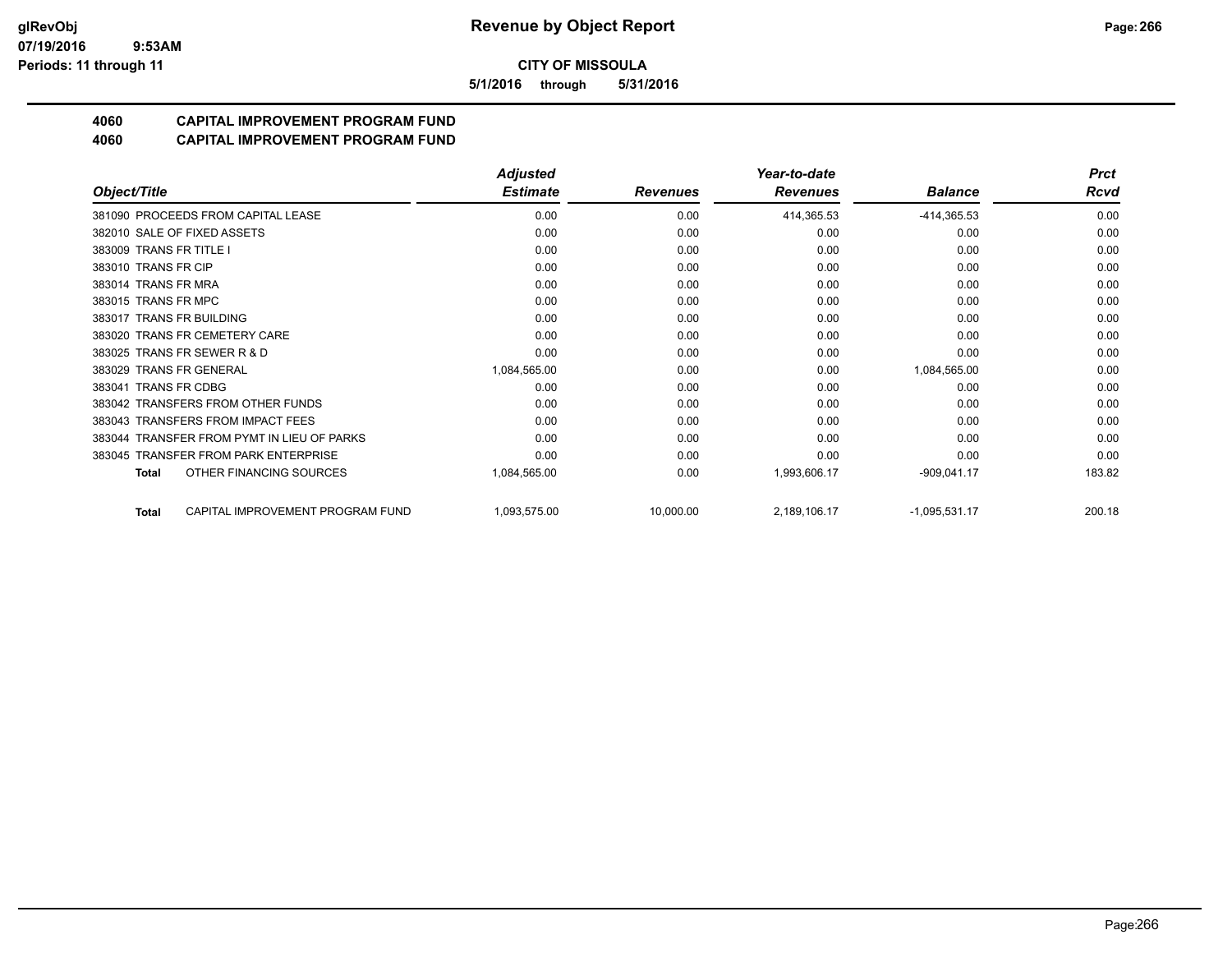**5/1/2016 through 5/31/2016**

## **4060 CAPITAL IMPROVEMENT PROGRAM FUND**

|                                                  | <b>Adjusted</b> |                 | Year-to-date    |                 |             |
|--------------------------------------------------|-----------------|-----------------|-----------------|-----------------|-------------|
| Object/Title                                     | <b>Estimate</b> | <b>Revenues</b> | <b>Revenues</b> | <b>Balance</b>  | <b>Rcvd</b> |
| 381090 PROCEEDS FROM CAPITAL LEASE               | 0.00            | 0.00            | 414,365.53      | $-414,365.53$   | 0.00        |
| 382010 SALE OF FIXED ASSETS                      | 0.00            | 0.00            | 0.00            | 0.00            | 0.00        |
| 383009 TRANS FR TITLE I                          | 0.00            | 0.00            | 0.00            | 0.00            | 0.00        |
| 383010 TRANS FR CIP                              | 0.00            | 0.00            | 0.00            | 0.00            | 0.00        |
| 383014 TRANS FR MRA                              | 0.00            | 0.00            | 0.00            | 0.00            | 0.00        |
| 383015 TRANS FR MPC                              | 0.00            | 0.00            | 0.00            | 0.00            | 0.00        |
| 383017 TRANS FR BUILDING                         | 0.00            | 0.00            | 0.00            | 0.00            | 0.00        |
| 383020 TRANS FR CEMETERY CARE                    | 0.00            | 0.00            | 0.00            | 0.00            | 0.00        |
| 383025 TRANS FR SEWER R & D                      | 0.00            | 0.00            | 0.00            | 0.00            | 0.00        |
| 383029 TRANS FR GENERAL                          | 1,084,565.00    | 0.00            | 0.00            | 1,084,565.00    | 0.00        |
| <b>TRANS FR CDBG</b><br>383041                   | 0.00            | 0.00            | 0.00            | 0.00            | 0.00        |
| 383042 TRANSFERS FROM OTHER FUNDS                | 0.00            | 0.00            | 0.00            | 0.00            | 0.00        |
| 383043 TRANSFERS FROM IMPACT FEES                | 0.00            | 0.00            | 0.00            | 0.00            | 0.00        |
| 383044 TRANSFER FROM PYMT IN LIEU OF PARKS       | 0.00            | 0.00            | 0.00            | 0.00            | 0.00        |
| 383045 TRANSFER FROM PARK ENTERPRISE             | 0.00            | 0.00            | 0.00            | 0.00            | 0.00        |
| OTHER FINANCING SOURCES<br><b>Total</b>          | 1,084,565.00    | 0.00            | 1,993,606.17    | $-909,041.17$   | 183.82      |
| CAPITAL IMPROVEMENT PROGRAM FUND<br><b>Total</b> | 1,093,575.00    | 10,000.00       | 2,189,106.17    | $-1,095,531.17$ | 200.18      |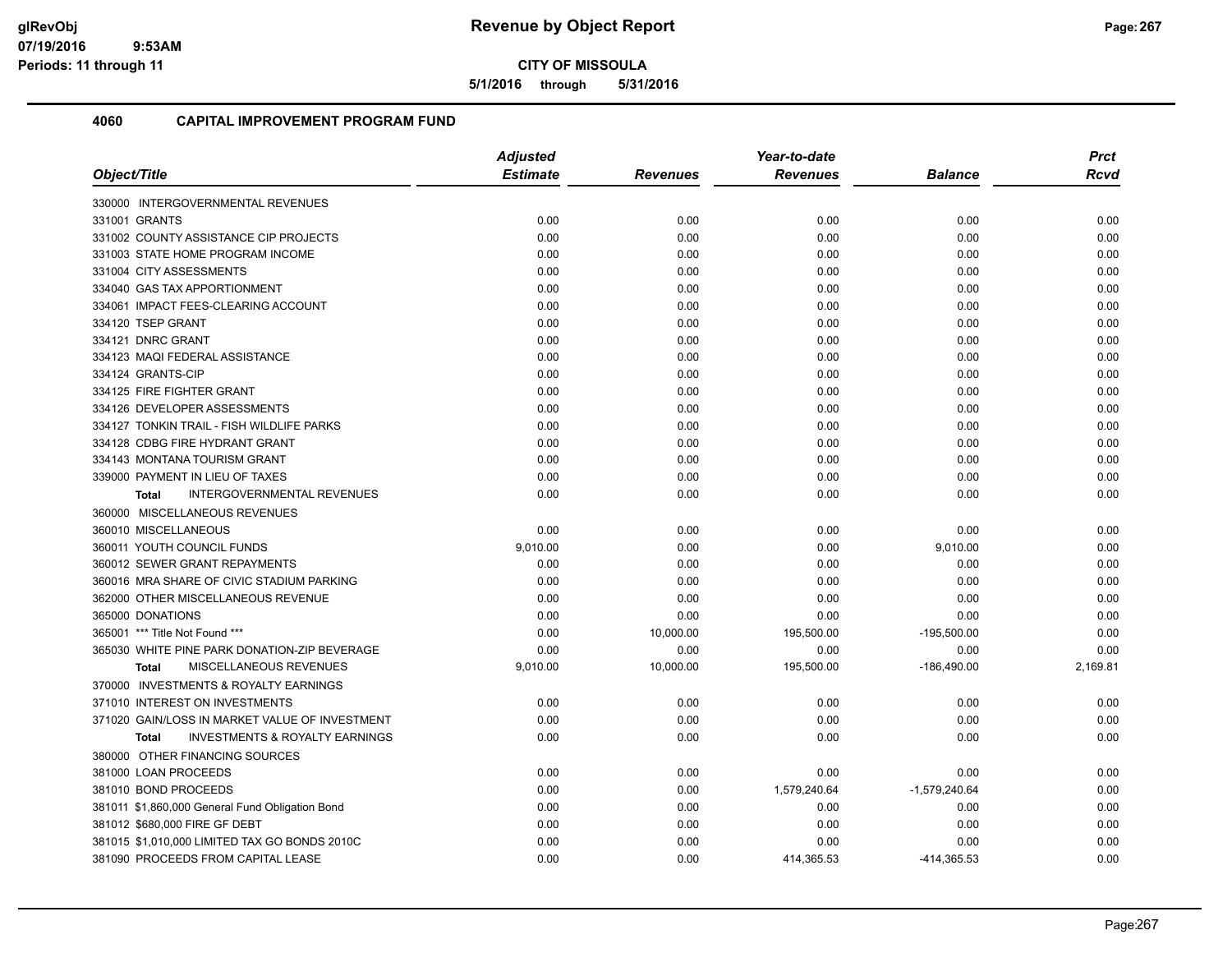**5/1/2016 through 5/31/2016**

|                                                           | <b>Adjusted</b> |                 | Year-to-date    |                 | <b>Prct</b> |
|-----------------------------------------------------------|-----------------|-----------------|-----------------|-----------------|-------------|
| Object/Title                                              | <b>Estimate</b> | <b>Revenues</b> | <b>Revenues</b> | <b>Balance</b>  | <b>Rcvd</b> |
| 330000 INTERGOVERNMENTAL REVENUES                         |                 |                 |                 |                 |             |
| 331001 GRANTS                                             | 0.00            | 0.00            | 0.00            | 0.00            | 0.00        |
| 331002 COUNTY ASSISTANCE CIP PROJECTS                     | 0.00            | 0.00            | 0.00            | 0.00            | 0.00        |
| 331003 STATE HOME PROGRAM INCOME                          | 0.00            | 0.00            | 0.00            | 0.00            | 0.00        |
| 331004 CITY ASSESSMENTS                                   | 0.00            | 0.00            | 0.00            | 0.00            | 0.00        |
| 334040 GAS TAX APPORTIONMENT                              | 0.00            | 0.00            | 0.00            | 0.00            | 0.00        |
| 334061 IMPACT FEES-CLEARING ACCOUNT                       | 0.00            | 0.00            | 0.00            | 0.00            | 0.00        |
| 334120 TSEP GRANT                                         | 0.00            | 0.00            | 0.00            | 0.00            | 0.00        |
| 334121 DNRC GRANT                                         | 0.00            | 0.00            | 0.00            | 0.00            | 0.00        |
| 334123 MAQI FEDERAL ASSISTANCE                            | 0.00            | 0.00            | 0.00            | 0.00            | 0.00        |
| 334124 GRANTS-CIP                                         | 0.00            | 0.00            | 0.00            | 0.00            | 0.00        |
| 334125 FIRE FIGHTER GRANT                                 | 0.00            | 0.00            | 0.00            | 0.00            | 0.00        |
| 334126 DEVELOPER ASSESSMENTS                              | 0.00            | 0.00            | 0.00            | 0.00            | 0.00        |
| 334127 TONKIN TRAIL - FISH WILDLIFE PARKS                 | 0.00            | 0.00            | 0.00            | 0.00            | 0.00        |
| 334128 CDBG FIRE HYDRANT GRANT                            | 0.00            | 0.00            | 0.00            | 0.00            | 0.00        |
| 334143 MONTANA TOURISM GRANT                              | 0.00            | 0.00            | 0.00            | 0.00            | 0.00        |
| 339000 PAYMENT IN LIEU OF TAXES                           | 0.00            | 0.00            | 0.00            | 0.00            | 0.00        |
| INTERGOVERNMENTAL REVENUES<br><b>Total</b>                | 0.00            | 0.00            | 0.00            | 0.00            | 0.00        |
| 360000 MISCELLANEOUS REVENUES                             |                 |                 |                 |                 |             |
| 360010 MISCELLANEOUS                                      | 0.00            | 0.00            | 0.00            | 0.00            | 0.00        |
| 360011 YOUTH COUNCIL FUNDS                                | 9,010.00        | 0.00            | 0.00            | 9,010.00        | 0.00        |
| 360012 SEWER GRANT REPAYMENTS                             | 0.00            | 0.00            | 0.00            | 0.00            | 0.00        |
| 360016 MRA SHARE OF CIVIC STADIUM PARKING                 | 0.00            | 0.00            | 0.00            | 0.00            | 0.00        |
| 362000 OTHER MISCELLANEOUS REVENUE                        | 0.00            | 0.00            | 0.00            | 0.00            | 0.00        |
| 365000 DONATIONS                                          | 0.00            | 0.00            | 0.00            | 0.00            | 0.00        |
| 365001 *** Title Not Found ***                            | 0.00            | 10,000.00       | 195,500.00      | $-195,500.00$   | 0.00        |
| 365030 WHITE PINE PARK DONATION-ZIP BEVERAGE              | 0.00            | 0.00            | 0.00            | 0.00            | 0.00        |
| MISCELLANEOUS REVENUES<br><b>Total</b>                    | 9,010.00        | 10,000.00       | 195,500.00      | $-186,490.00$   | 2,169.81    |
| 370000 INVESTMENTS & ROYALTY EARNINGS                     |                 |                 |                 |                 |             |
| 371010 INTEREST ON INVESTMENTS                            | 0.00            | 0.00            | 0.00            | 0.00            | 0.00        |
| 371020 GAIN/LOSS IN MARKET VALUE OF INVESTMENT            | 0.00            | 0.00            | 0.00            | 0.00            | 0.00        |
| <b>INVESTMENTS &amp; ROYALTY EARNINGS</b><br><b>Total</b> | 0.00            | 0.00            | 0.00            | 0.00            | 0.00        |
| 380000 OTHER FINANCING SOURCES                            |                 |                 |                 |                 |             |
| 381000 LOAN PROCEEDS                                      | 0.00            | 0.00            | 0.00            | 0.00            | 0.00        |
| 381010 BOND PROCEEDS                                      | 0.00            | 0.00            | 1,579,240.64    | $-1,579,240.64$ | 0.00        |
| 381011 \$1,860,000 General Fund Obligation Bond           | 0.00            | 0.00            | 0.00            | 0.00            | 0.00        |
| 381012 \$680,000 FIRE GF DEBT                             | 0.00            | 0.00            | 0.00            | 0.00            | 0.00        |
| 381015 \$1,010,000 LIMITED TAX GO BONDS 2010C             | 0.00            | 0.00            | 0.00            | 0.00            | 0.00        |
| 381090 PROCEEDS FROM CAPITAL LEASE                        | 0.00            | 0.00            | 414,365.53      | -414,365.53     | 0.00        |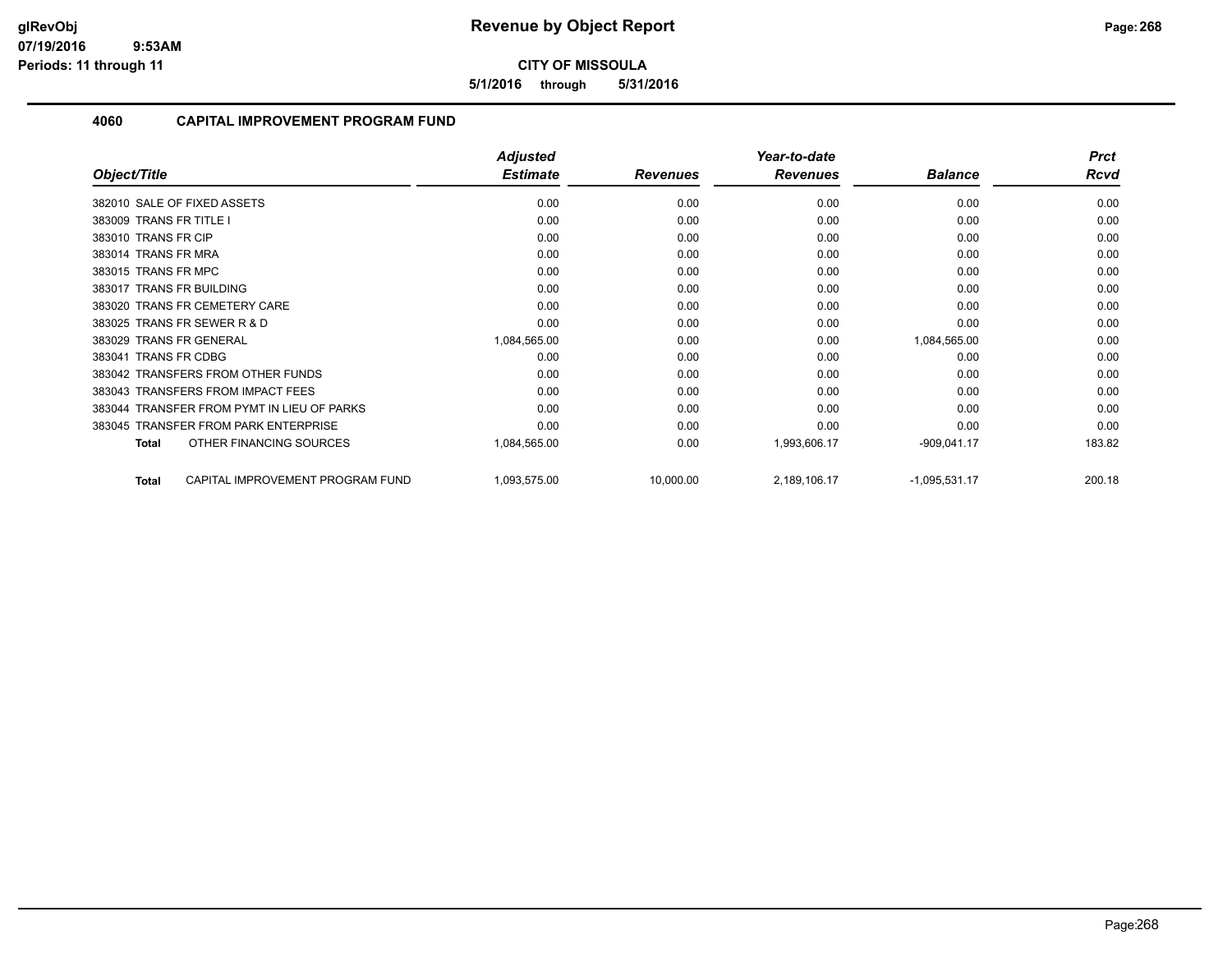**5/1/2016 through 5/31/2016**

|                                            | <b>Adjusted</b> |                 | Year-to-date    |                 | <b>Prct</b> |
|--------------------------------------------|-----------------|-----------------|-----------------|-----------------|-------------|
| Object/Title                               | <b>Estimate</b> | <b>Revenues</b> | <b>Revenues</b> | <b>Balance</b>  | <b>Rcvd</b> |
| 382010 SALE OF FIXED ASSETS                | 0.00            | 0.00            | 0.00            | 0.00            | 0.00        |
| 383009 TRANS FR TITLE I                    | 0.00            | 0.00            | 0.00            | 0.00            | 0.00        |
| 383010 TRANS FR CIP                        | 0.00            | 0.00            | 0.00            | 0.00            | 0.00        |
| 383014 TRANS FR MRA                        | 0.00            | 0.00            | 0.00            | 0.00            | 0.00        |
| 383015 TRANS FR MPC                        | 0.00            | 0.00            | 0.00            | 0.00            | 0.00        |
| 383017 TRANS FR BUILDING                   | 0.00            | 0.00            | 0.00            | 0.00            | 0.00        |
| 383020 TRANS FR CEMETERY CARE              | 0.00            | 0.00            | 0.00            | 0.00            | 0.00        |
| 383025 TRANS FR SEWER R & D                | 0.00            | 0.00            | 0.00            | 0.00            | 0.00        |
| 383029 TRANS FR GENERAL                    | 1,084,565.00    | 0.00            | 0.00            | 1,084,565.00    | 0.00        |
| 383041 TRANS FR CDBG                       | 0.00            | 0.00            | 0.00            | 0.00            | 0.00        |
| 383042 TRANSFERS FROM OTHER FUNDS          | 0.00            | 0.00            | 0.00            | 0.00            | 0.00        |
| 383043 TRANSFERS FROM IMPACT FEES          | 0.00            | 0.00            | 0.00            | 0.00            | 0.00        |
| 383044 TRANSFER FROM PYMT IN LIEU OF PARKS | 0.00            | 0.00            | 0.00            | 0.00            | 0.00        |
| 383045 TRANSFER FROM PARK ENTERPRISE       | 0.00            | 0.00            | 0.00            | 0.00            | 0.00        |
| OTHER FINANCING SOURCES<br><b>Total</b>    | 1,084,565.00    | 0.00            | 1,993,606.17    | $-909,041.17$   | 183.82      |
| CAPITAL IMPROVEMENT PROGRAM FUND<br>Total  | 1,093,575.00    | 10,000.00       | 2,189,106.17    | $-1,095,531.17$ | 200.18      |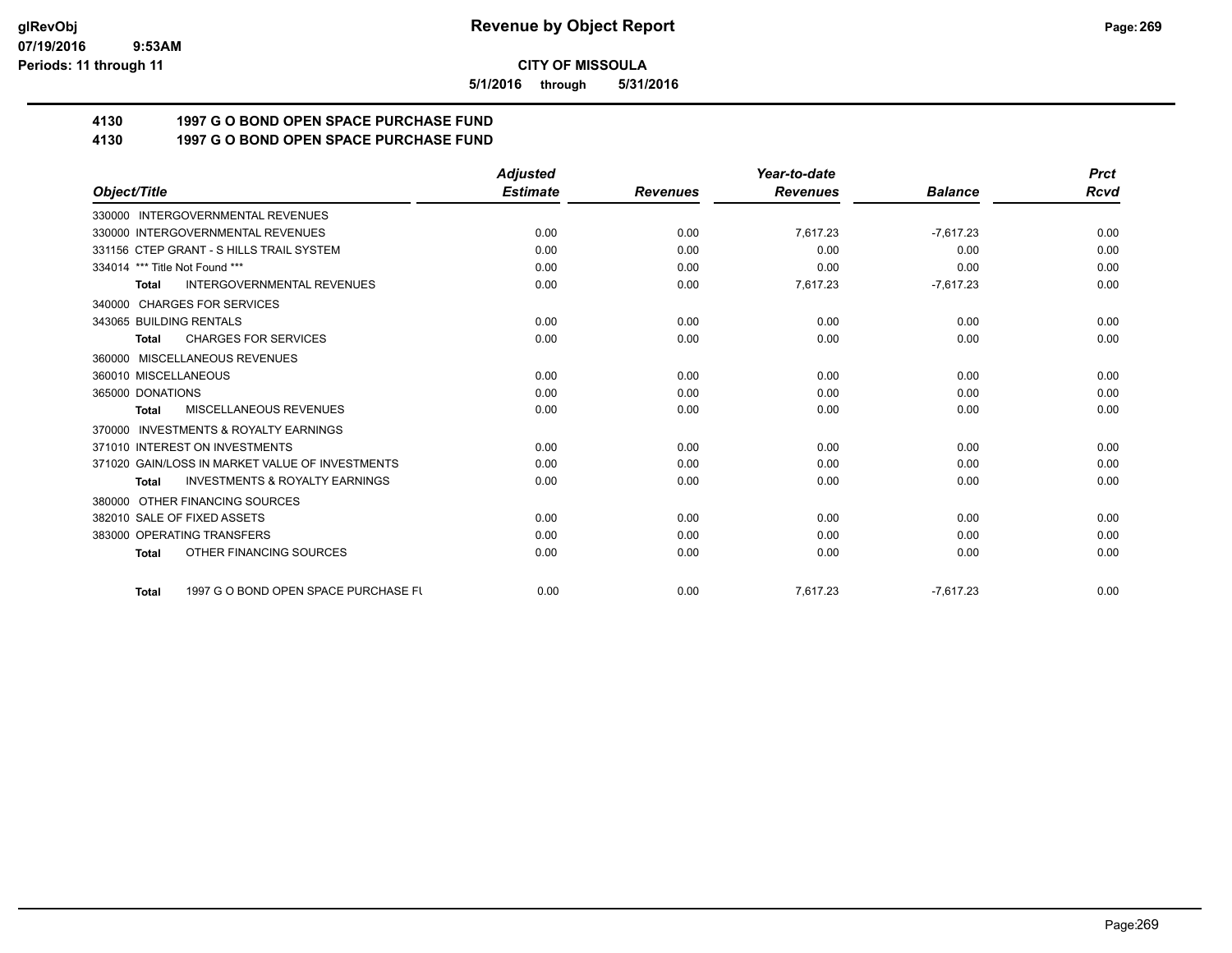**5/1/2016 through 5/31/2016**

## **4130 1997 G O BOND OPEN SPACE PURCHASE FUND**

## **4130 1997 G O BOND OPEN SPACE PURCHASE FUND**

|                                                      | <b>Adjusted</b> |                 | Year-to-date    |                | <b>Prct</b> |
|------------------------------------------------------|-----------------|-----------------|-----------------|----------------|-------------|
| Object/Title                                         | <b>Estimate</b> | <b>Revenues</b> | <b>Revenues</b> | <b>Balance</b> | Rcvd        |
| 330000 INTERGOVERNMENTAL REVENUES                    |                 |                 |                 |                |             |
| 330000 INTERGOVERNMENTAL REVENUES                    | 0.00            | 0.00            | 7,617.23        | $-7,617.23$    | 0.00        |
| 331156 CTEP GRANT - S HILLS TRAIL SYSTEM             | 0.00            | 0.00            | 0.00            | 0.00           | 0.00        |
| 334014 *** Title Not Found ***                       | 0.00            | 0.00            | 0.00            | 0.00           | 0.00        |
| <b>INTERGOVERNMENTAL REVENUES</b><br><b>Total</b>    | 0.00            | 0.00            | 7,617.23        | $-7,617.23$    | 0.00        |
| <b>CHARGES FOR SERVICES</b><br>340000                |                 |                 |                 |                |             |
| 343065 BUILDING RENTALS                              | 0.00            | 0.00            | 0.00            | 0.00           | 0.00        |
| <b>CHARGES FOR SERVICES</b><br><b>Total</b>          | 0.00            | 0.00            | 0.00            | 0.00           | 0.00        |
| 360000 MISCELLANEOUS REVENUES                        |                 |                 |                 |                |             |
| 360010 MISCELLANEOUS                                 | 0.00            | 0.00            | 0.00            | 0.00           | 0.00        |
| 365000 DONATIONS                                     | 0.00            | 0.00            | 0.00            | 0.00           | 0.00        |
| <b>MISCELLANEOUS REVENUES</b><br><b>Total</b>        | 0.00            | 0.00            | 0.00            | 0.00           | 0.00        |
| <b>INVESTMENTS &amp; ROYALTY EARNINGS</b><br>370000  |                 |                 |                 |                |             |
| 371010 INTEREST ON INVESTMENTS                       | 0.00            | 0.00            | 0.00            | 0.00           | 0.00        |
| 371020 GAIN/LOSS IN MARKET VALUE OF INVESTMENTS      | 0.00            | 0.00            | 0.00            | 0.00           | 0.00        |
| <b>INVESTMENTS &amp; ROYALTY EARNINGS</b><br>Total   | 0.00            | 0.00            | 0.00            | 0.00           | 0.00        |
| OTHER FINANCING SOURCES<br>380000                    |                 |                 |                 |                |             |
| 382010 SALE OF FIXED ASSETS                          | 0.00            | 0.00            | 0.00            | 0.00           | 0.00        |
| 383000 OPERATING TRANSFERS                           | 0.00            | 0.00            | 0.00            | 0.00           | 0.00        |
| OTHER FINANCING SOURCES<br><b>Total</b>              | 0.00            | 0.00            | 0.00            | 0.00           | 0.00        |
| 1997 G O BOND OPEN SPACE PURCHASE FU<br><b>Total</b> | 0.00            | 0.00            | 7,617.23        | $-7,617.23$    | 0.00        |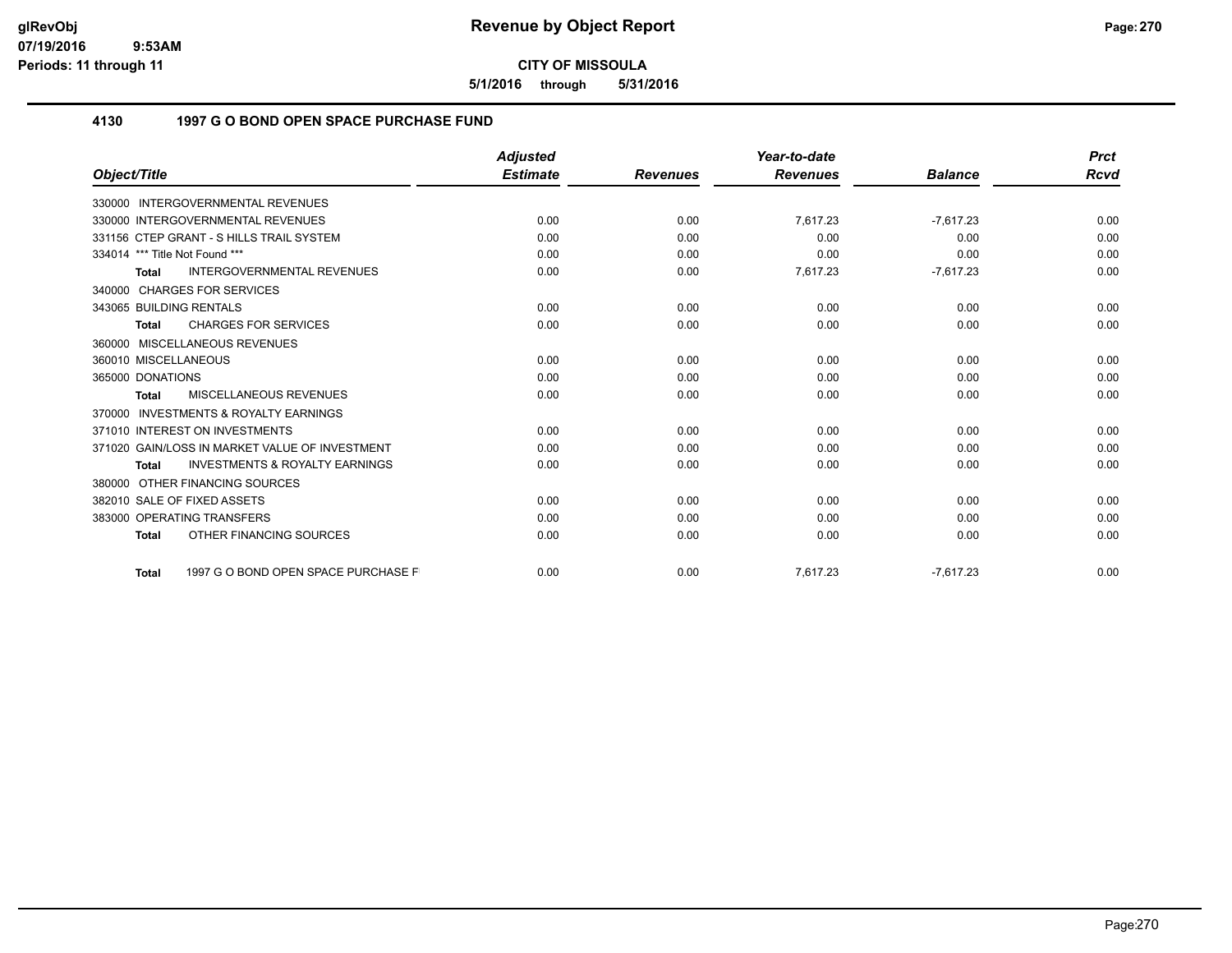**5/1/2016 through 5/31/2016**

### **4130 1997 G O BOND OPEN SPACE PURCHASE FUND**

|                                                           | <b>Adjusted</b> |                 | Year-to-date    |                | <b>Prct</b> |
|-----------------------------------------------------------|-----------------|-----------------|-----------------|----------------|-------------|
| Object/Title                                              | <b>Estimate</b> | <b>Revenues</b> | <b>Revenues</b> | <b>Balance</b> | Rcvd        |
| 330000 INTERGOVERNMENTAL REVENUES                         |                 |                 |                 |                |             |
| 330000 INTERGOVERNMENTAL REVENUES                         | 0.00            | 0.00            | 7,617.23        | $-7.617.23$    | 0.00        |
| 331156 CTEP GRANT - S HILLS TRAIL SYSTEM                  | 0.00            | 0.00            | 0.00            | 0.00           | 0.00        |
| 334014 *** Title Not Found ***                            | 0.00            | 0.00            | 0.00            | 0.00           | 0.00        |
| <b>INTERGOVERNMENTAL REVENUES</b><br><b>Total</b>         | 0.00            | 0.00            | 7,617.23        | $-7,617.23$    | 0.00        |
| 340000 CHARGES FOR SERVICES                               |                 |                 |                 |                |             |
| 343065 BUILDING RENTALS                                   | 0.00            | 0.00            | 0.00            | 0.00           | 0.00        |
| <b>CHARGES FOR SERVICES</b><br><b>Total</b>               | 0.00            | 0.00            | 0.00            | 0.00           | 0.00        |
| 360000 MISCELLANEOUS REVENUES                             |                 |                 |                 |                |             |
| 360010 MISCELLANEOUS                                      | 0.00            | 0.00            | 0.00            | 0.00           | 0.00        |
| 365000 DONATIONS                                          | 0.00            | 0.00            | 0.00            | 0.00           | 0.00        |
| <b>MISCELLANEOUS REVENUES</b><br><b>Total</b>             | 0.00            | 0.00            | 0.00            | 0.00           | 0.00        |
| <b>INVESTMENTS &amp; ROYALTY EARNINGS</b><br>370000       |                 |                 |                 |                |             |
| 371010 INTEREST ON INVESTMENTS                            | 0.00            | 0.00            | 0.00            | 0.00           | 0.00        |
| 371020 GAIN/LOSS IN MARKET VALUE OF INVESTMENT            | 0.00            | 0.00            | 0.00            | 0.00           | 0.00        |
| <b>INVESTMENTS &amp; ROYALTY EARNINGS</b><br><b>Total</b> | 0.00            | 0.00            | 0.00            | 0.00           | 0.00        |
| 380000 OTHER FINANCING SOURCES                            |                 |                 |                 |                |             |
| 382010 SALE OF FIXED ASSETS                               | 0.00            | 0.00            | 0.00            | 0.00           | 0.00        |
| 383000 OPERATING TRANSFERS                                | 0.00            | 0.00            | 0.00            | 0.00           | 0.00        |
| OTHER FINANCING SOURCES<br><b>Total</b>                   | 0.00            | 0.00            | 0.00            | 0.00           | 0.00        |
| 1997 G O BOND OPEN SPACE PURCHASE F<br><b>Total</b>       | 0.00            | 0.00            | 7.617.23        | $-7.617.23$    | 0.00        |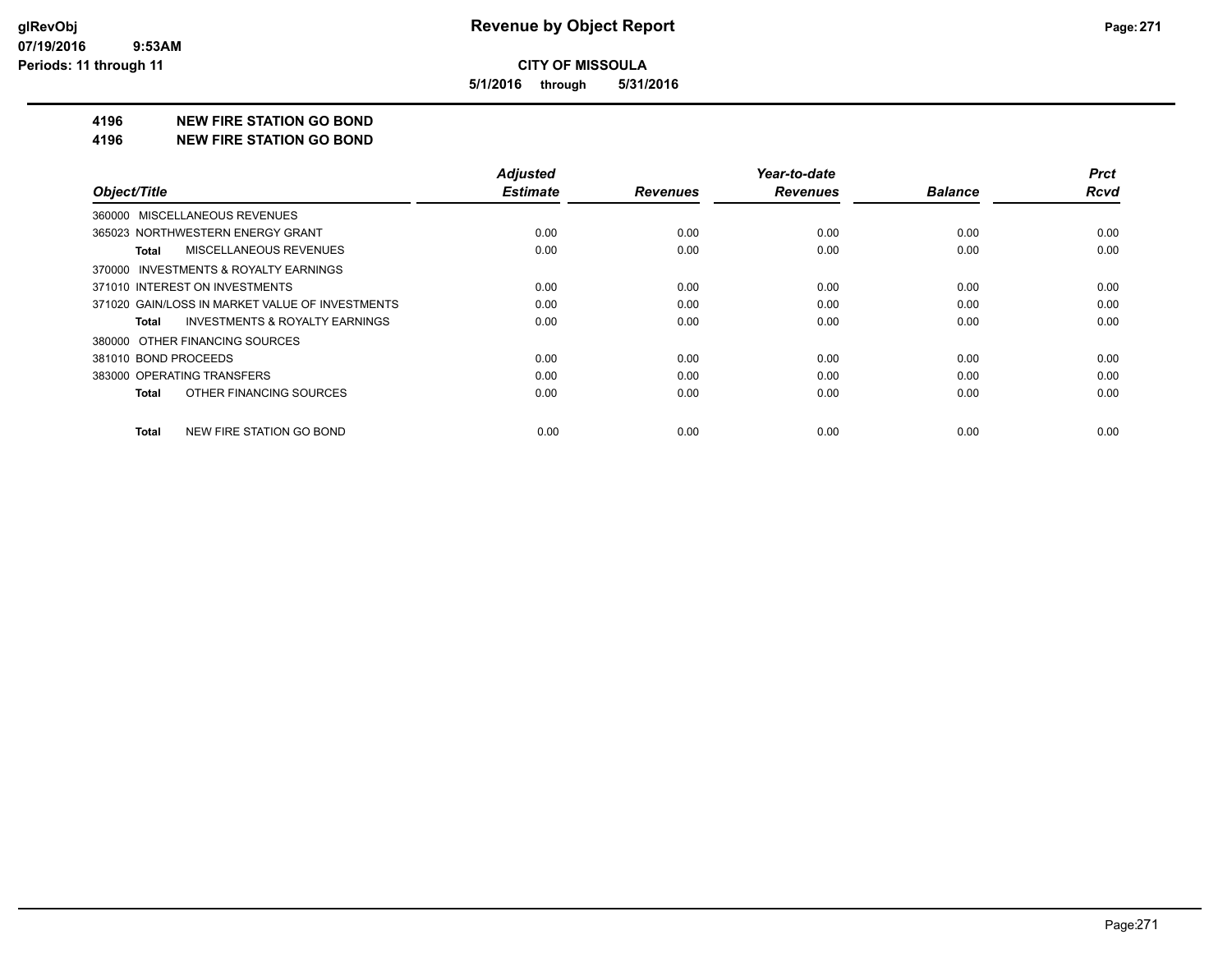**5/1/2016 through 5/31/2016**

#### **4196 NEW FIRE STATION GO BOND**

#### **4196 NEW FIRE STATION GO BOND**

| Object/Title                                       | <b>Adjusted</b><br><b>Estimate</b> | <b>Revenues</b> | Year-to-date<br><b>Revenues</b> | <b>Balance</b> | <b>Prct</b><br><b>Rcvd</b> |
|----------------------------------------------------|------------------------------------|-----------------|---------------------------------|----------------|----------------------------|
|                                                    |                                    |                 |                                 |                |                            |
| 360000 MISCELLANEOUS REVENUES                      |                                    |                 |                                 |                |                            |
| 365023 NORTHWESTERN ENERGY GRANT                   | 0.00                               | 0.00            | 0.00                            | 0.00           | 0.00                       |
| <b>MISCELLANEOUS REVENUES</b><br>Total             | 0.00                               | 0.00            | 0.00                            | 0.00           | 0.00                       |
| 370000 INVESTMENTS & ROYALTY EARNINGS              |                                    |                 |                                 |                |                            |
| 371010 INTEREST ON INVESTMENTS                     | 0.00                               | 0.00            | 0.00                            | 0.00           | 0.00                       |
| 371020 GAIN/LOSS IN MARKET VALUE OF INVESTMENTS    | 0.00                               | 0.00            | 0.00                            | 0.00           | 0.00                       |
| <b>INVESTMENTS &amp; ROYALTY EARNINGS</b><br>Total | 0.00                               | 0.00            | 0.00                            | 0.00           | 0.00                       |
| 380000 OTHER FINANCING SOURCES                     |                                    |                 |                                 |                |                            |
| 381010 BOND PROCEEDS                               | 0.00                               | 0.00            | 0.00                            | 0.00           | 0.00                       |
| 383000 OPERATING TRANSFERS                         | 0.00                               | 0.00            | 0.00                            | 0.00           | 0.00                       |
| OTHER FINANCING SOURCES<br>Total                   | 0.00                               | 0.00            | 0.00                            | 0.00           | 0.00                       |
| NEW FIRE STATION GO BOND<br>Total                  | 0.00                               | 0.00            | 0.00                            | 0.00           | 0.00                       |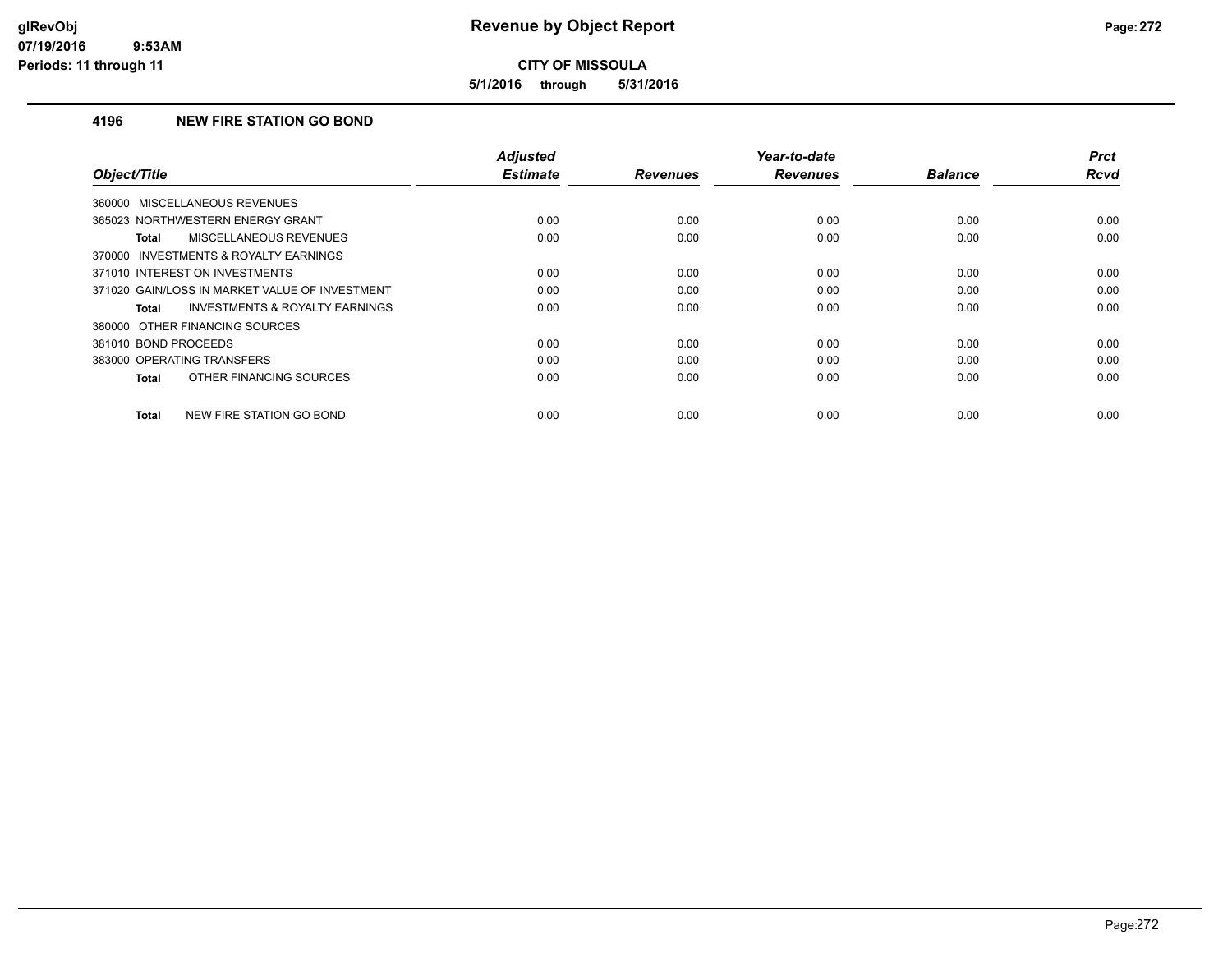**5/1/2016 through 5/31/2016**

### **4196 NEW FIRE STATION GO BOND**

| Object/Title                                              | <b>Adjusted</b><br><b>Estimate</b> | <b>Revenues</b> | Year-to-date<br><b>Revenues</b> | <b>Balance</b> | <b>Prct</b><br>Rcvd |
|-----------------------------------------------------------|------------------------------------|-----------------|---------------------------------|----------------|---------------------|
|                                                           |                                    |                 |                                 |                |                     |
| 360000 MISCELLANEOUS REVENUES                             |                                    |                 |                                 |                |                     |
| 365023 NORTHWESTERN ENERGY GRANT                          | 0.00                               | 0.00            | 0.00                            | 0.00           | 0.00                |
| MISCELLANEOUS REVENUES<br><b>Total</b>                    | 0.00                               | 0.00            | 0.00                            | 0.00           | 0.00                |
| 370000 INVESTMENTS & ROYALTY EARNINGS                     |                                    |                 |                                 |                |                     |
| 371010 INTEREST ON INVESTMENTS                            | 0.00                               | 0.00            | 0.00                            | 0.00           | 0.00                |
| 371020 GAIN/LOSS IN MARKET VALUE OF INVESTMENT            | 0.00                               | 0.00            | 0.00                            | 0.00           | 0.00                |
| <b>INVESTMENTS &amp; ROYALTY EARNINGS</b><br><b>Total</b> | 0.00                               | 0.00            | 0.00                            | 0.00           | 0.00                |
| 380000 OTHER FINANCING SOURCES                            |                                    |                 |                                 |                |                     |
| 381010 BOND PROCEEDS                                      | 0.00                               | 0.00            | 0.00                            | 0.00           | 0.00                |
| 383000 OPERATING TRANSFERS                                | 0.00                               | 0.00            | 0.00                            | 0.00           | 0.00                |
| OTHER FINANCING SOURCES<br><b>Total</b>                   | 0.00                               | 0.00            | 0.00                            | 0.00           | 0.00                |
| NEW FIRE STATION GO BOND<br><b>Total</b>                  | 0.00                               | 0.00            | 0.00                            | 0.00           | 0.00                |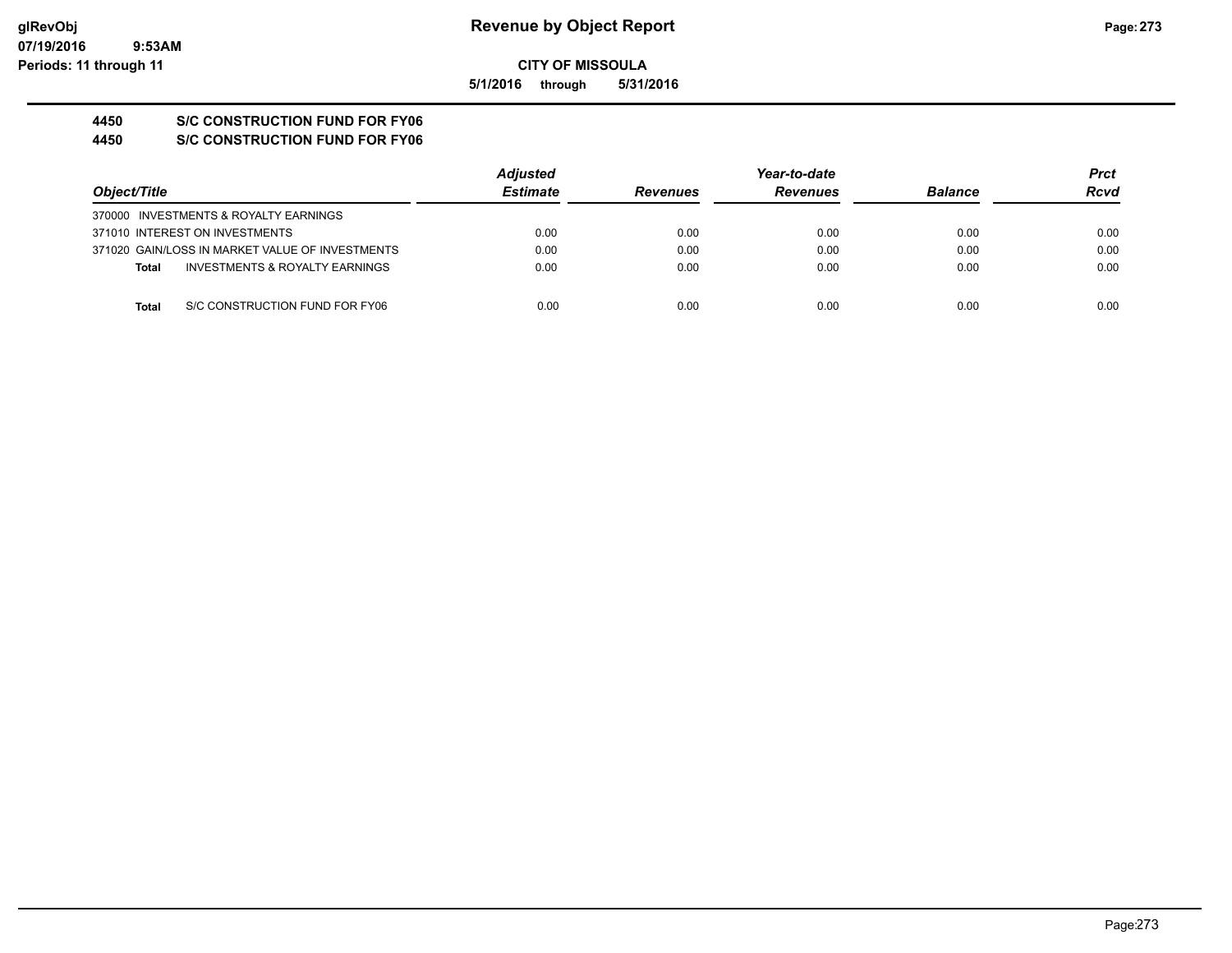**5/1/2016 through 5/31/2016**

## **4450 S/C CONSTRUCTION FUND FOR FY06**

**4450 S/C CONSTRUCTION FUND FOR FY06**

|              |                                                 | <b>Adjusted</b> |                 | Year-to-date    |                |      |
|--------------|-------------------------------------------------|-----------------|-----------------|-----------------|----------------|------|
| Object/Title |                                                 | <b>Estimate</b> | <b>Revenues</b> | <b>Revenues</b> | <b>Balance</b> | Rcvd |
|              | 370000 INVESTMENTS & ROYALTY EARNINGS           |                 |                 |                 |                |      |
|              | 371010 INTEREST ON INVESTMENTS                  | 0.00            | 0.00            | 0.00            | 0.00           | 0.00 |
|              | 371020 GAIN/LOSS IN MARKET VALUE OF INVESTMENTS | 0.00            | 0.00            | 0.00            | 0.00           | 0.00 |
| <b>Total</b> | INVESTMENTS & ROYALTY EARNINGS                  | 0.00            | 0.00            | 0.00            | 0.00           | 0.00 |
| Total        | S/C CONSTRUCTION FUND FOR FY06                  | 0.00            | 0.00            | 0.00            | 0.00           | 0.00 |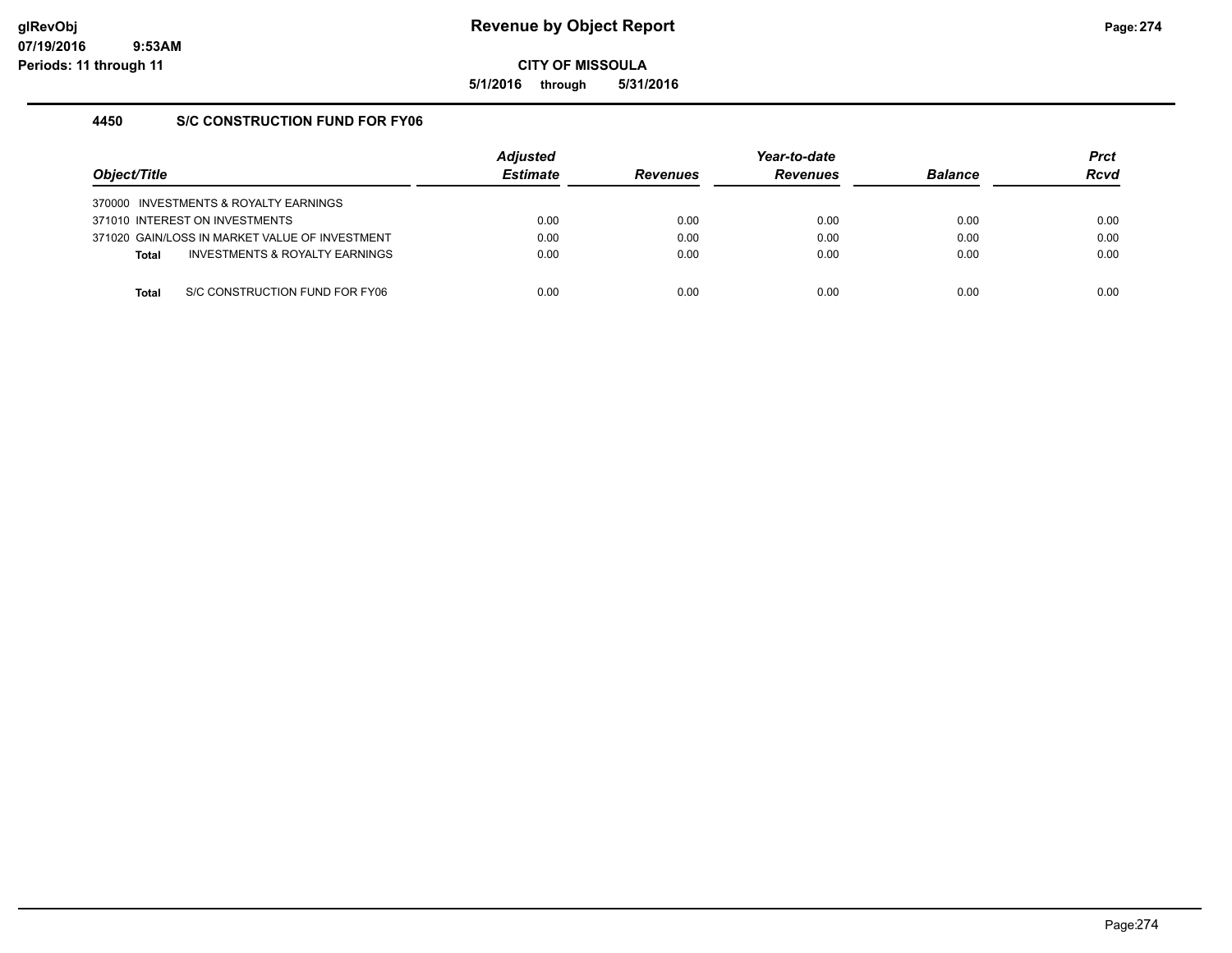**5/1/2016 through 5/31/2016**

### **4450 S/C CONSTRUCTION FUND FOR FY06**

| Obiect/Title |                                                | <b>Adjusted</b><br><b>Estimate</b> | <b>Revenues</b> | Year-to-date<br><b>Revenues</b> | <b>Balance</b> | <b>Prct</b><br><b>Rcvd</b> |
|--------------|------------------------------------------------|------------------------------------|-----------------|---------------------------------|----------------|----------------------------|
|              | 370000 INVESTMENTS & ROYALTY EARNINGS          |                                    |                 |                                 |                |                            |
|              | 371010 INTEREST ON INVESTMENTS                 | 0.00                               | 0.00            | 0.00                            | 0.00           | 0.00                       |
|              | 371020 GAIN/LOSS IN MARKET VALUE OF INVESTMENT | 0.00                               | 0.00            | 0.00                            | 0.00           | 0.00                       |
| <b>Total</b> | INVESTMENTS & ROYALTY EARNINGS                 | 0.00                               | 0.00            | 0.00                            | 0.00           | 0.00                       |
|              |                                                |                                    |                 |                                 |                |                            |
| Total        | S/C CONSTRUCTION FUND FOR FY06                 | 0.00                               | 0.00            | 0.00                            | 0.00           | 0.00                       |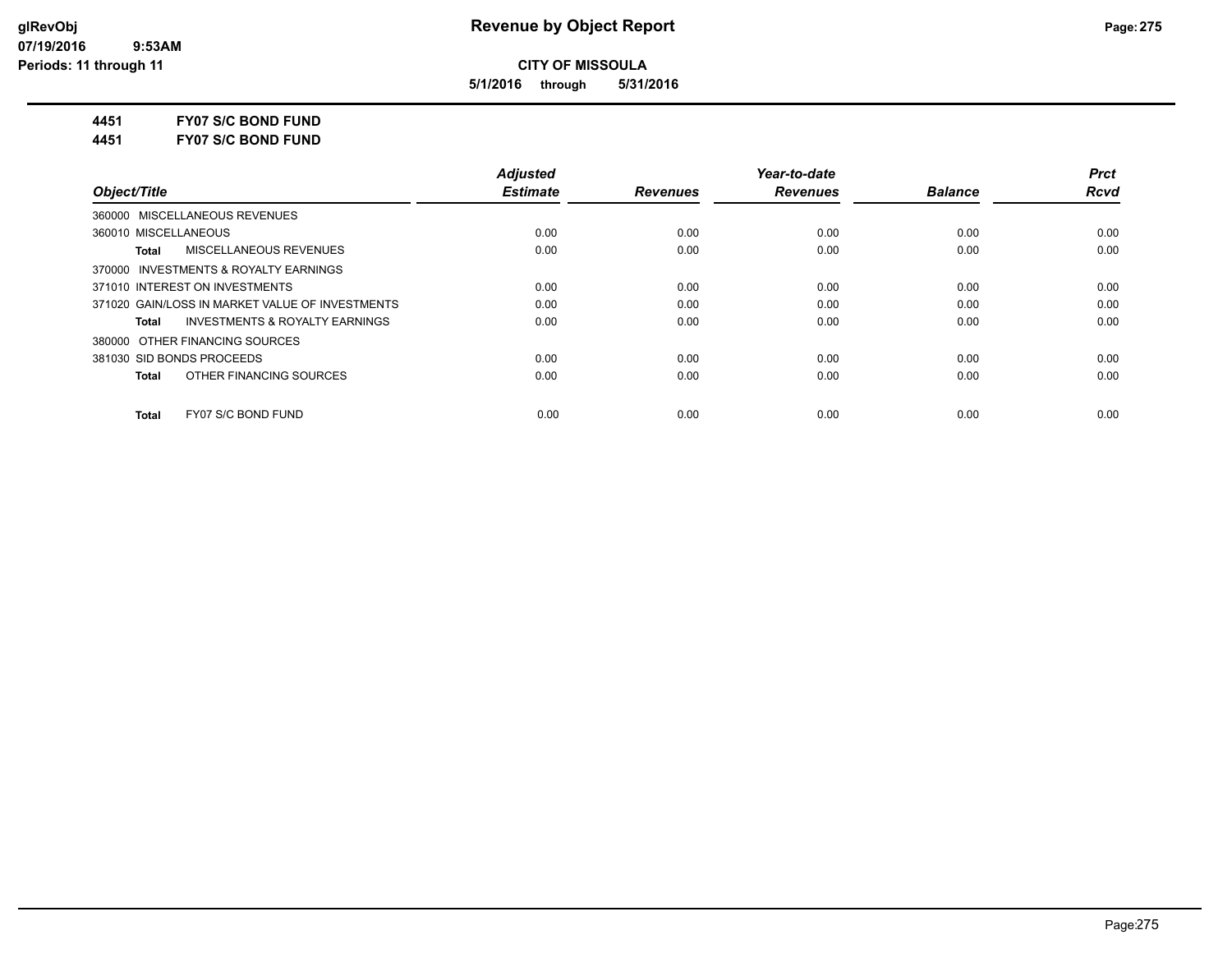**5/1/2016 through 5/31/2016**

**4451 FY07 S/C BOND FUND**

**4451 FY07 S/C BOND FUND**

|                                                    | <b>Adjusted</b> |                 | Year-to-date    |                | <b>Prct</b> |
|----------------------------------------------------|-----------------|-----------------|-----------------|----------------|-------------|
| Object/Title                                       | <b>Estimate</b> | <b>Revenues</b> | <b>Revenues</b> | <b>Balance</b> | <b>Rcvd</b> |
| 360000 MISCELLANEOUS REVENUES                      |                 |                 |                 |                |             |
| 360010 MISCELLANEOUS                               | 0.00            | 0.00            | 0.00            | 0.00           | 0.00        |
| MISCELLANEOUS REVENUES<br><b>Total</b>             | 0.00            | 0.00            | 0.00            | 0.00           | 0.00        |
| 370000 INVESTMENTS & ROYALTY EARNINGS              |                 |                 |                 |                |             |
| 371010 INTEREST ON INVESTMENTS                     | 0.00            | 0.00            | 0.00            | 0.00           | 0.00        |
| 371020 GAIN/LOSS IN MARKET VALUE OF INVESTMENTS    | 0.00            | 0.00            | 0.00            | 0.00           | 0.00        |
| <b>INVESTMENTS &amp; ROYALTY EARNINGS</b><br>Total | 0.00            | 0.00            | 0.00            | 0.00           | 0.00        |
| 380000 OTHER FINANCING SOURCES                     |                 |                 |                 |                |             |
| 381030 SID BONDS PROCEEDS                          | 0.00            | 0.00            | 0.00            | 0.00           | 0.00        |
| OTHER FINANCING SOURCES<br><b>Total</b>            | 0.00            | 0.00            | 0.00            | 0.00           | 0.00        |
| FY07 S/C BOND FUND<br><b>Total</b>                 | 0.00            | 0.00            | 0.00            | 0.00           | 0.00        |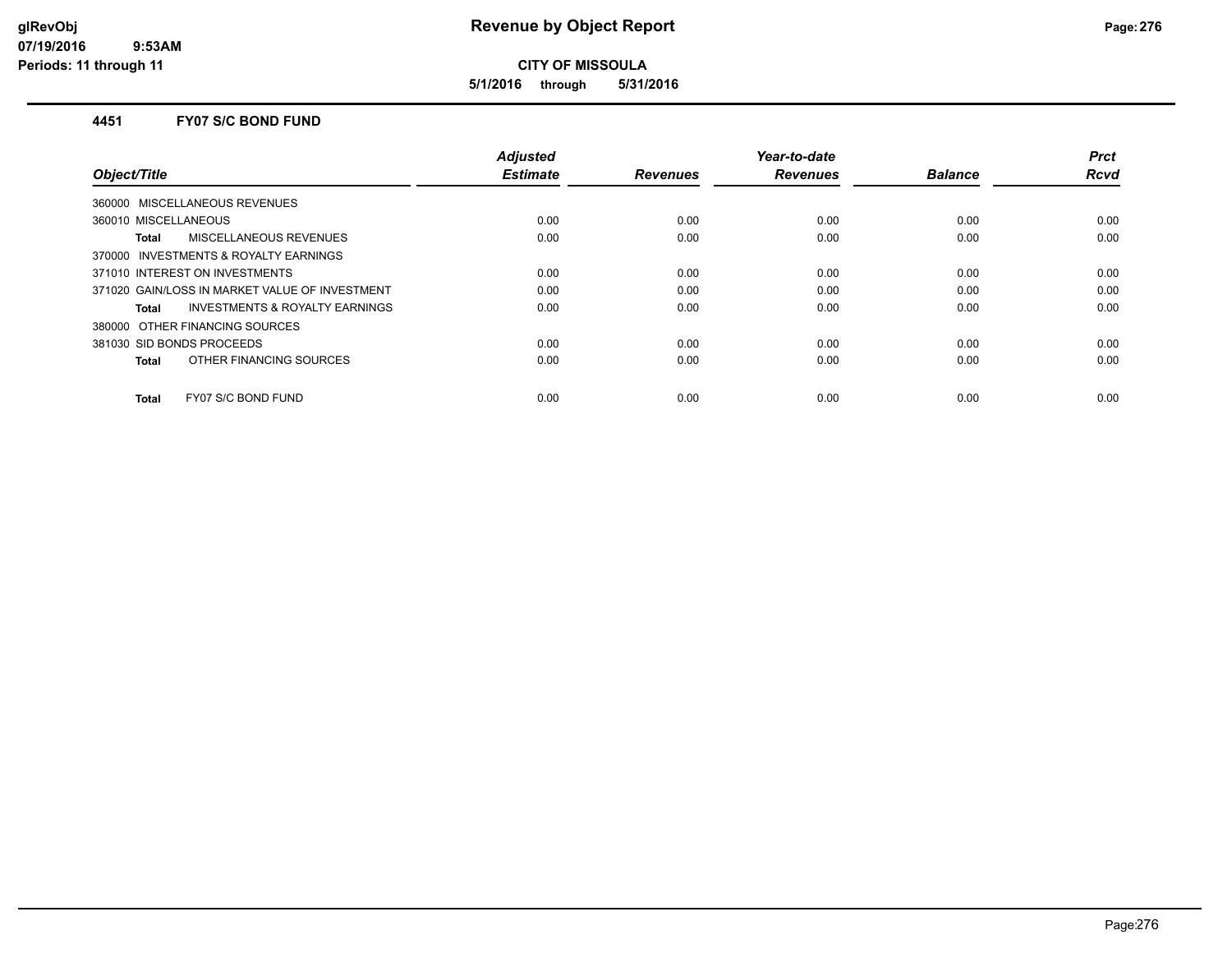**5/1/2016 through 5/31/2016**

#### **4451 FY07 S/C BOND FUND**

| Object/Title                                       | <b>Adjusted</b><br><b>Estimate</b> | <b>Revenues</b> | Year-to-date<br><b>Revenues</b> | <b>Balance</b> | <b>Prct</b><br>Rcvd |
|----------------------------------------------------|------------------------------------|-----------------|---------------------------------|----------------|---------------------|
| 360000 MISCELLANEOUS REVENUES                      |                                    |                 |                                 |                |                     |
| 360010 MISCELLANEOUS                               | 0.00                               | 0.00            | 0.00                            | 0.00           | 0.00                |
| <b>MISCELLANEOUS REVENUES</b><br>Total             | 0.00                               | 0.00            | 0.00                            | 0.00           | 0.00                |
| 370000 INVESTMENTS & ROYALTY EARNINGS              |                                    |                 |                                 |                |                     |
| 371010 INTEREST ON INVESTMENTS                     | 0.00                               | 0.00            | 0.00                            | 0.00           | 0.00                |
| 371020 GAIN/LOSS IN MARKET VALUE OF INVESTMENT     | 0.00                               | 0.00            | 0.00                            | 0.00           | 0.00                |
| <b>INVESTMENTS &amp; ROYALTY EARNINGS</b><br>Total | 0.00                               | 0.00            | 0.00                            | 0.00           | 0.00                |
| 380000 OTHER FINANCING SOURCES                     |                                    |                 |                                 |                |                     |
| 381030 SID BONDS PROCEEDS                          | 0.00                               | 0.00            | 0.00                            | 0.00           | 0.00                |
| OTHER FINANCING SOURCES<br><b>Total</b>            | 0.00                               | 0.00            | 0.00                            | 0.00           | 0.00                |
| FY07 S/C BOND FUND<br><b>Total</b>                 | 0.00                               | 0.00            | 0.00                            | 0.00           | 0.00                |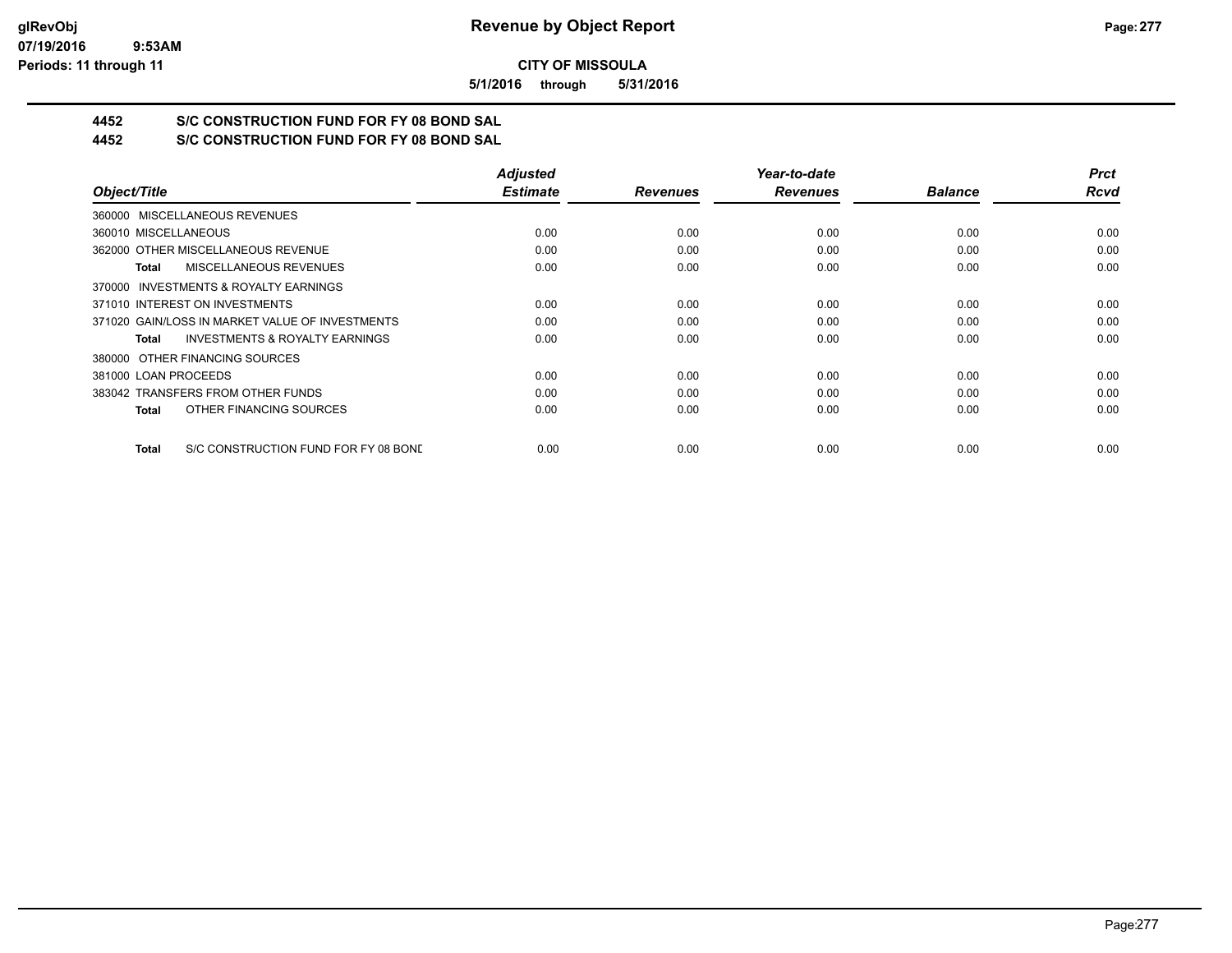**5/1/2016 through 5/31/2016**

## **4452 S/C CONSTRUCTION FUND FOR FY 08 BOND SAL**

**4452 S/C CONSTRUCTION FUND FOR FY 08 BOND SAL**

|                                                      | <b>Adjusted</b> |                 | Year-to-date    |                | <b>Prct</b> |
|------------------------------------------------------|-----------------|-----------------|-----------------|----------------|-------------|
| Object/Title                                         | <b>Estimate</b> | <b>Revenues</b> | <b>Revenues</b> | <b>Balance</b> | <b>Rcvd</b> |
| 360000 MISCELLANEOUS REVENUES                        |                 |                 |                 |                |             |
| 360010 MISCELLANEOUS                                 | 0.00            | 0.00            | 0.00            | 0.00           | 0.00        |
| 362000 OTHER MISCELLANEOUS REVENUE                   | 0.00            | 0.00            | 0.00            | 0.00           | 0.00        |
| <b>MISCELLANEOUS REVENUES</b><br>Total               | 0.00            | 0.00            | 0.00            | 0.00           | 0.00        |
| 370000 INVESTMENTS & ROYALTY EARNINGS                |                 |                 |                 |                |             |
| 371010 INTEREST ON INVESTMENTS                       | 0.00            | 0.00            | 0.00            | 0.00           | 0.00        |
| 371020 GAIN/LOSS IN MARKET VALUE OF INVESTMENTS      | 0.00            | 0.00            | 0.00            | 0.00           | 0.00        |
| <b>INVESTMENTS &amp; ROYALTY EARNINGS</b><br>Total   | 0.00            | 0.00            | 0.00            | 0.00           | 0.00        |
| 380000 OTHER FINANCING SOURCES                       |                 |                 |                 |                |             |
| 381000 LOAN PROCEEDS                                 | 0.00            | 0.00            | 0.00            | 0.00           | 0.00        |
| 383042 TRANSFERS FROM OTHER FUNDS                    | 0.00            | 0.00            | 0.00            | 0.00           | 0.00        |
| OTHER FINANCING SOURCES<br>Total                     | 0.00            | 0.00            | 0.00            | 0.00           | 0.00        |
| S/C CONSTRUCTION FUND FOR FY 08 BONE<br><b>Total</b> | 0.00            | 0.00            | 0.00            | 0.00           | 0.00        |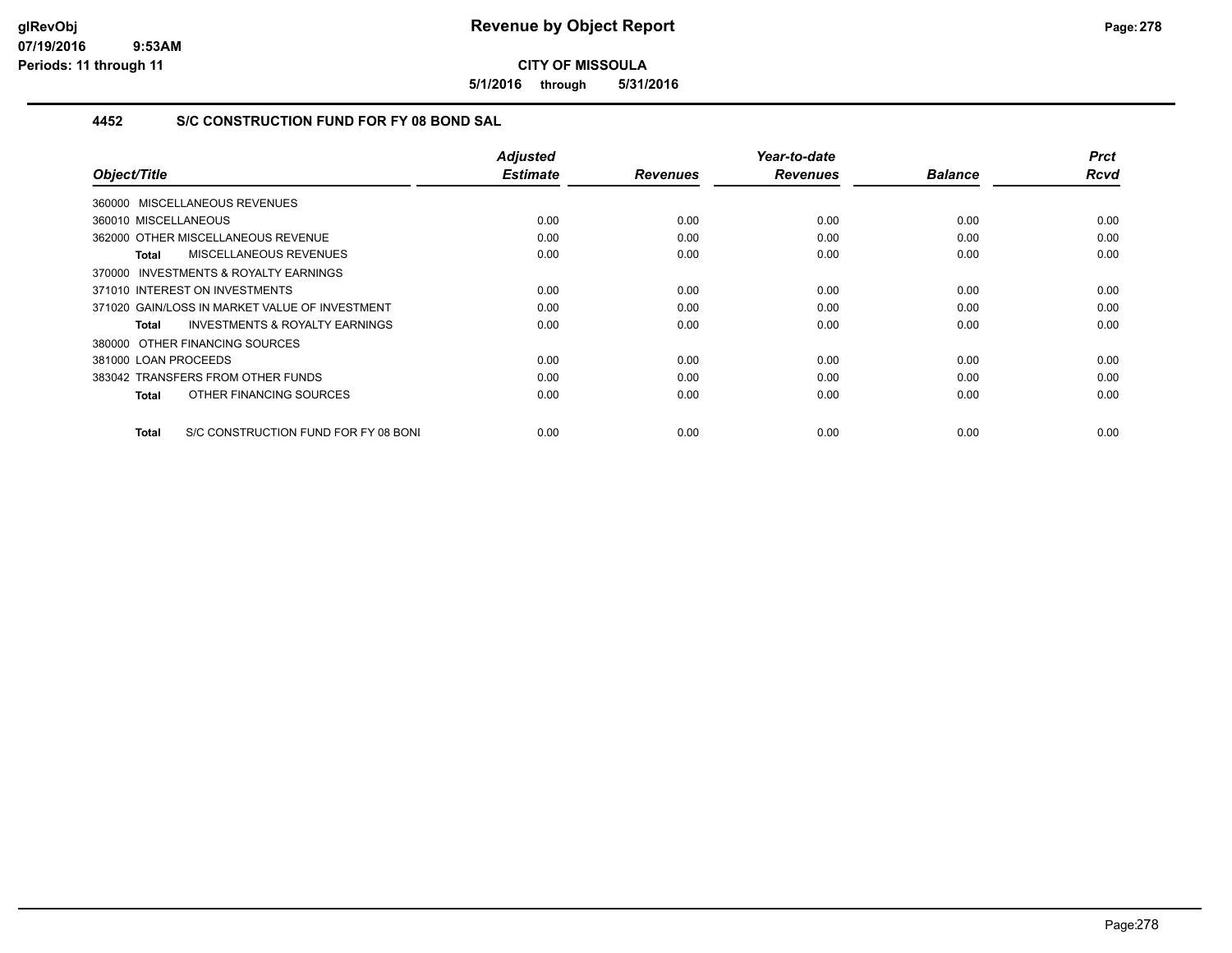**5/1/2016 through 5/31/2016**

## **4452 S/C CONSTRUCTION FUND FOR FY 08 BOND SAL**

| Object/Title                                        | <b>Adjusted</b><br><b>Estimate</b> | <b>Revenues</b> | Year-to-date<br><b>Revenues</b> | <b>Balance</b> | <b>Prct</b><br><b>Rcvd</b> |
|-----------------------------------------------------|------------------------------------|-----------------|---------------------------------|----------------|----------------------------|
|                                                     |                                    |                 |                                 |                |                            |
| 360000 MISCELLANEOUS REVENUES                       |                                    |                 |                                 |                |                            |
| 360010 MISCELLANEOUS                                | 0.00                               | 0.00            | 0.00                            | 0.00           | 0.00                       |
| 362000 OTHER MISCELLANEOUS REVENUE                  | 0.00                               | 0.00            | 0.00                            | 0.00           | 0.00                       |
| MISCELLANEOUS REVENUES<br>Total                     | 0.00                               | 0.00            | 0.00                            | 0.00           | 0.00                       |
| <b>INVESTMENTS &amp; ROYALTY EARNINGS</b><br>370000 |                                    |                 |                                 |                |                            |
| 371010 INTEREST ON INVESTMENTS                      | 0.00                               | 0.00            | 0.00                            | 0.00           | 0.00                       |
| 371020 GAIN/LOSS IN MARKET VALUE OF INVESTMENT      | 0.00                               | 0.00            | 0.00                            | 0.00           | 0.00                       |
| <b>INVESTMENTS &amp; ROYALTY EARNINGS</b><br>Total  | 0.00                               | 0.00            | 0.00                            | 0.00           | 0.00                       |
| 380000 OTHER FINANCING SOURCES                      |                                    |                 |                                 |                |                            |
| 381000 LOAN PROCEEDS                                | 0.00                               | 0.00            | 0.00                            | 0.00           | 0.00                       |
| 383042 TRANSFERS FROM OTHER FUNDS                   | 0.00                               | 0.00            | 0.00                            | 0.00           | 0.00                       |
| OTHER FINANCING SOURCES<br>Total                    | 0.00                               | 0.00            | 0.00                            | 0.00           | 0.00                       |
|                                                     |                                    |                 |                                 |                |                            |
| S/C CONSTRUCTION FUND FOR FY 08 BONI<br>Total       | 0.00                               | 0.00            | 0.00                            | 0.00           | 0.00                       |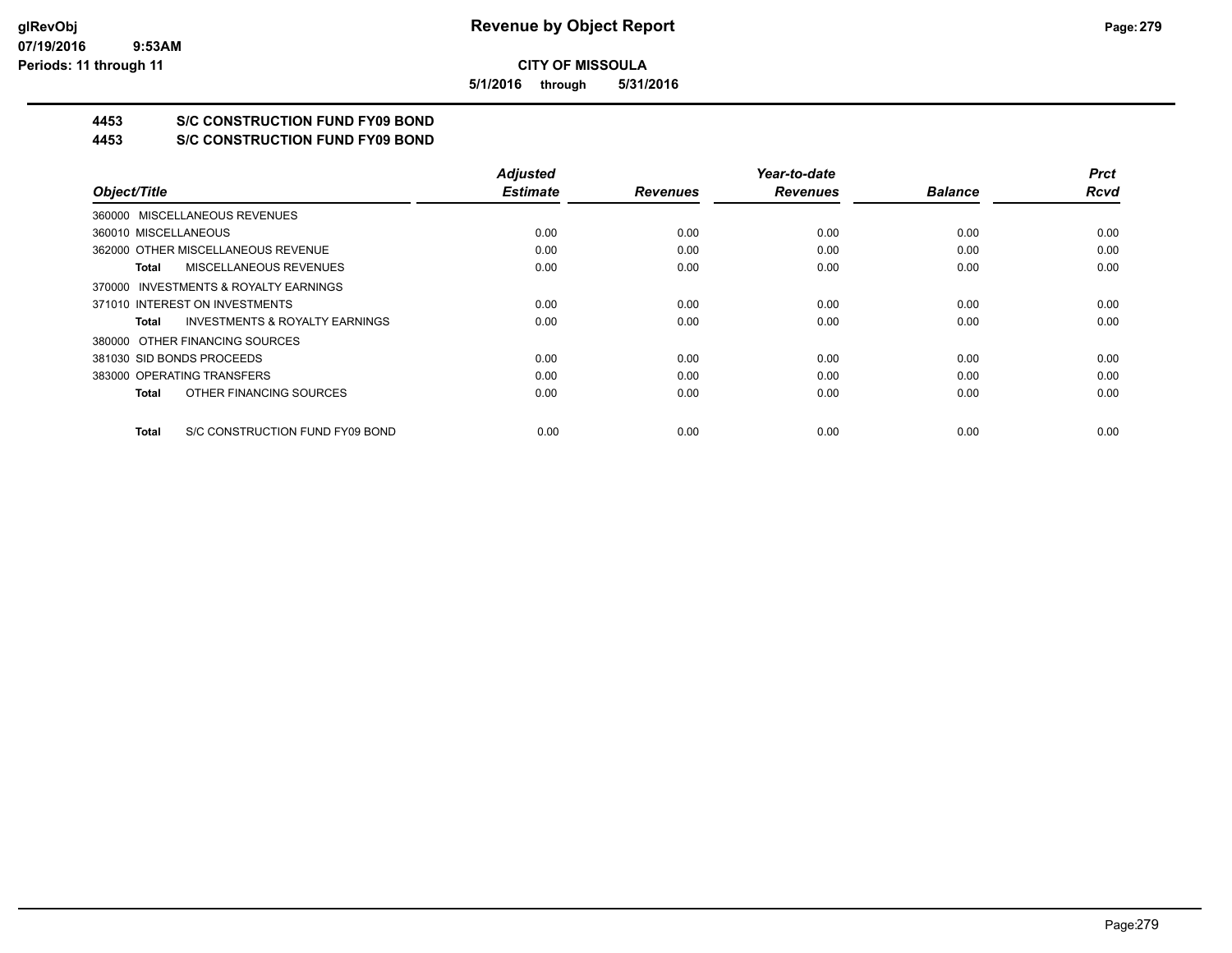**5/1/2016 through 5/31/2016**

## **4453 S/C CONSTRUCTION FUND FY09 BOND**

**4453 S/C CONSTRUCTION FUND FY09 BOND**

|                                                    | <b>Adjusted</b> |                 | Year-to-date    |                | <b>Prct</b> |
|----------------------------------------------------|-----------------|-----------------|-----------------|----------------|-------------|
| Object/Title                                       | <b>Estimate</b> | <b>Revenues</b> | <b>Revenues</b> | <b>Balance</b> | <b>Rcvd</b> |
| 360000 MISCELLANEOUS REVENUES                      |                 |                 |                 |                |             |
| 360010 MISCELLANEOUS                               | 0.00            | 0.00            | 0.00            | 0.00           | 0.00        |
| 362000 OTHER MISCELLANEOUS REVENUE                 | 0.00            | 0.00            | 0.00            | 0.00           | 0.00        |
| MISCELLANEOUS REVENUES<br>Total                    | 0.00            | 0.00            | 0.00            | 0.00           | 0.00        |
| 370000 INVESTMENTS & ROYALTY EARNINGS              |                 |                 |                 |                |             |
| 371010 INTEREST ON INVESTMENTS                     | 0.00            | 0.00            | 0.00            | 0.00           | 0.00        |
| <b>INVESTMENTS &amp; ROYALTY EARNINGS</b><br>Total | 0.00            | 0.00            | 0.00            | 0.00           | 0.00        |
| 380000 OTHER FINANCING SOURCES                     |                 |                 |                 |                |             |
| 381030 SID BONDS PROCEEDS                          | 0.00            | 0.00            | 0.00            | 0.00           | 0.00        |
| 383000 OPERATING TRANSFERS                         | 0.00            | 0.00            | 0.00            | 0.00           | 0.00        |
| OTHER FINANCING SOURCES<br>Total                   | 0.00            | 0.00            | 0.00            | 0.00           | 0.00        |
| S/C CONSTRUCTION FUND FY09 BOND<br>Total           | 0.00            | 0.00            | 0.00            | 0.00           | 0.00        |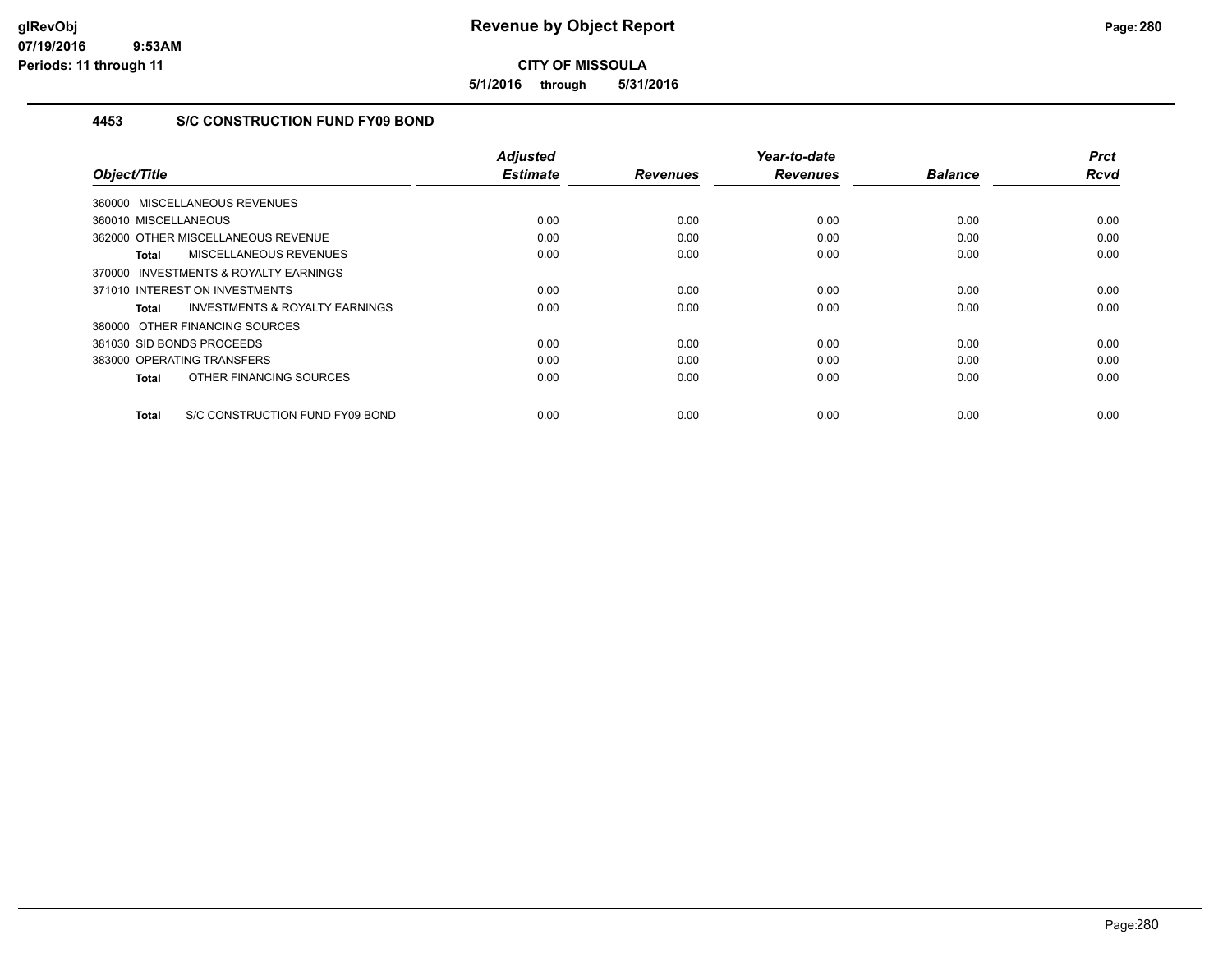**5/1/2016 through 5/31/2016**

## **4453 S/C CONSTRUCTION FUND FY09 BOND**

|                                                    | <b>Adjusted</b><br><b>Estimate</b> |                 | Year-to-date    |                | <b>Prct</b><br><b>Rcvd</b> |
|----------------------------------------------------|------------------------------------|-----------------|-----------------|----------------|----------------------------|
| Object/Title                                       |                                    | <b>Revenues</b> | <b>Revenues</b> | <b>Balance</b> |                            |
| 360000 MISCELLANEOUS REVENUES                      |                                    |                 |                 |                |                            |
| 360010 MISCELLANEOUS                               | 0.00                               | 0.00            | 0.00            | 0.00           | 0.00                       |
| 362000 OTHER MISCELLANEOUS REVENUE                 | 0.00                               | 0.00            | 0.00            | 0.00           | 0.00                       |
| MISCELLANEOUS REVENUES<br>Total                    | 0.00                               | 0.00            | 0.00            | 0.00           | 0.00                       |
| 370000 INVESTMENTS & ROYALTY EARNINGS              |                                    |                 |                 |                |                            |
| 371010 INTEREST ON INVESTMENTS                     | 0.00                               | 0.00            | 0.00            | 0.00           | 0.00                       |
| <b>INVESTMENTS &amp; ROYALTY EARNINGS</b><br>Total | 0.00                               | 0.00            | 0.00            | 0.00           | 0.00                       |
| 380000 OTHER FINANCING SOURCES                     |                                    |                 |                 |                |                            |
| 381030 SID BONDS PROCEEDS                          | 0.00                               | 0.00            | 0.00            | 0.00           | 0.00                       |
| 383000 OPERATING TRANSFERS                         | 0.00                               | 0.00            | 0.00            | 0.00           | 0.00                       |
| OTHER FINANCING SOURCES<br>Total                   | 0.00                               | 0.00            | 0.00            | 0.00           | 0.00                       |
| S/C CONSTRUCTION FUND FY09 BOND<br><b>Total</b>    | 0.00                               | 0.00            | 0.00            | 0.00           | 0.00                       |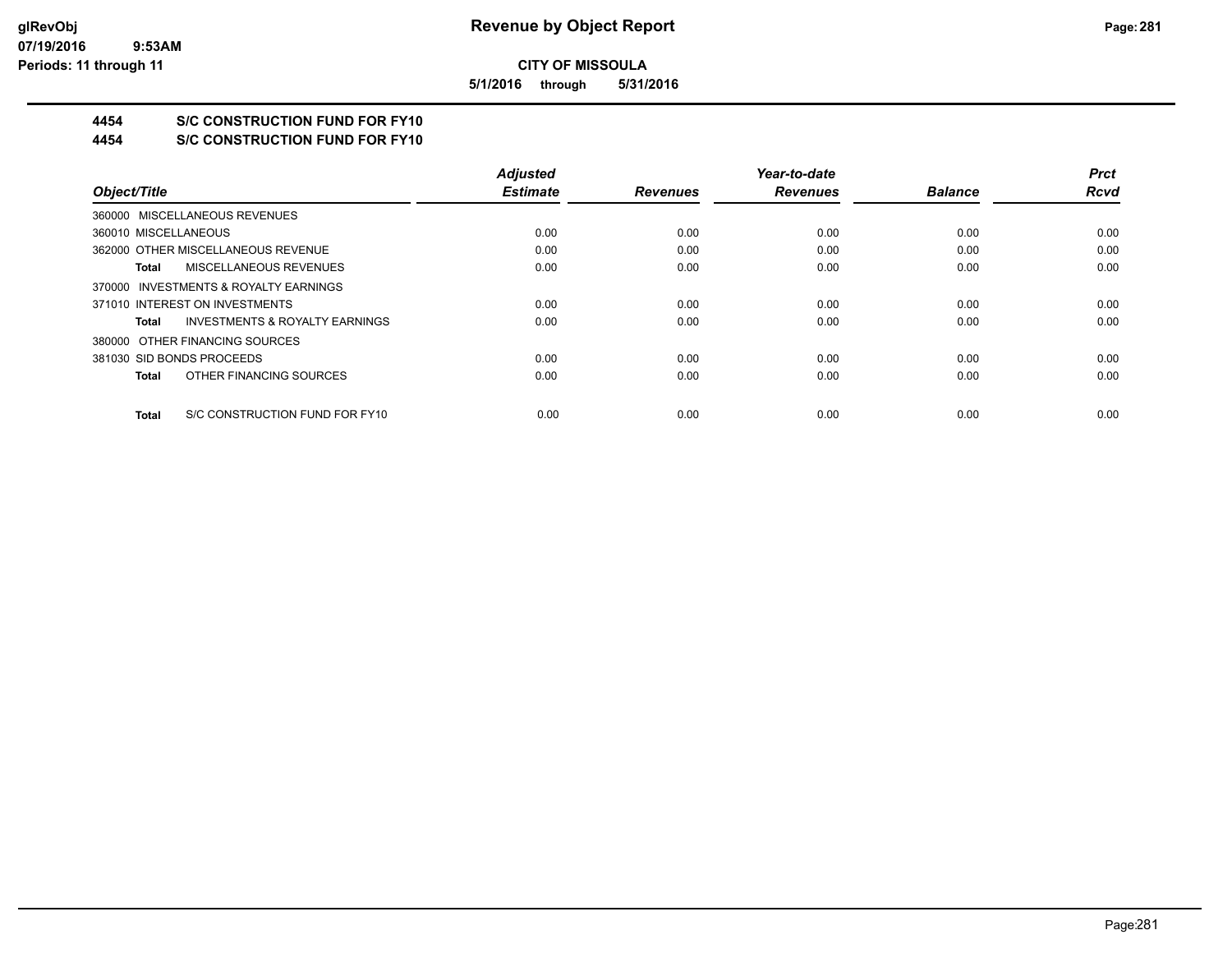**5/1/2016 through 5/31/2016**

## **4454 S/C CONSTRUCTION FUND FOR FY10**

**4454 S/C CONSTRUCTION FUND FOR FY10**

|                                                    | <b>Adjusted</b> |                 | Year-to-date    |                | <b>Prct</b> |
|----------------------------------------------------|-----------------|-----------------|-----------------|----------------|-------------|
| Object/Title                                       | <b>Estimate</b> | <b>Revenues</b> | <b>Revenues</b> | <b>Balance</b> | <b>Rcvd</b> |
| 360000 MISCELLANEOUS REVENUES                      |                 |                 |                 |                |             |
| 360010 MISCELLANEOUS                               | 0.00            | 0.00            | 0.00            | 0.00           | 0.00        |
| 362000 OTHER MISCELLANEOUS REVENUE                 | 0.00            | 0.00            | 0.00            | 0.00           | 0.00        |
| MISCELLANEOUS REVENUES<br>Total                    | 0.00            | 0.00            | 0.00            | 0.00           | 0.00        |
| 370000 INVESTMENTS & ROYALTY EARNINGS              |                 |                 |                 |                |             |
| 371010 INTEREST ON INVESTMENTS                     | 0.00            | 0.00            | 0.00            | 0.00           | 0.00        |
| <b>INVESTMENTS &amp; ROYALTY EARNINGS</b><br>Total | 0.00            | 0.00            | 0.00            | 0.00           | 0.00        |
| 380000 OTHER FINANCING SOURCES                     |                 |                 |                 |                |             |
| 381030 SID BONDS PROCEEDS                          | 0.00            | 0.00            | 0.00            | 0.00           | 0.00        |
| OTHER FINANCING SOURCES<br>Total                   | 0.00            | 0.00            | 0.00            | 0.00           | 0.00        |
| S/C CONSTRUCTION FUND FOR FY10<br>Total            | 0.00            | 0.00            | 0.00            | 0.00           | 0.00        |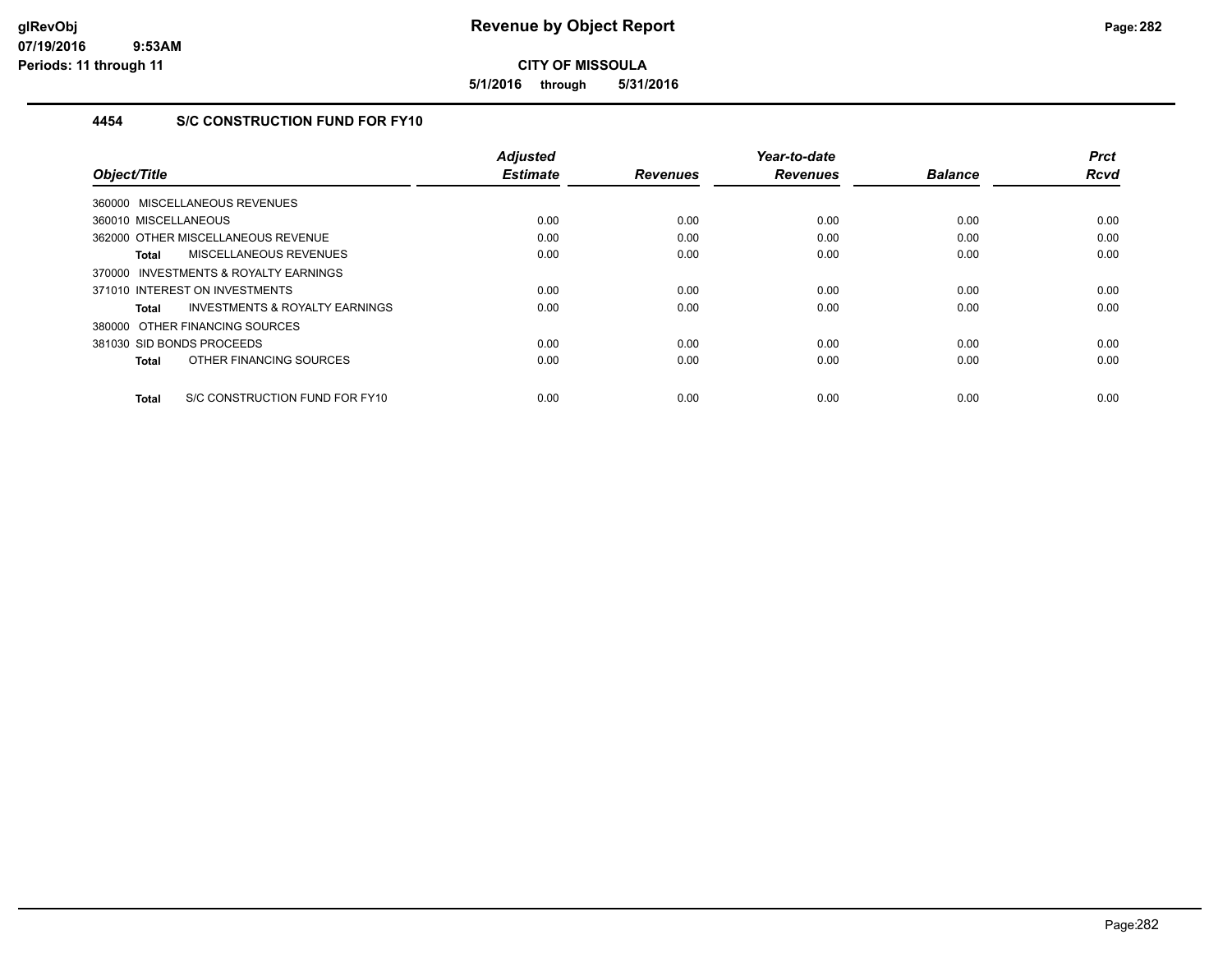**5/1/2016 through 5/31/2016**

## **4454 S/C CONSTRUCTION FUND FOR FY10**

| Object/Title                                       | <b>Adjusted</b><br><b>Estimate</b> | <b>Revenues</b> | Year-to-date<br><b>Revenues</b> | <b>Balance</b> | <b>Prct</b><br><b>Rcvd</b> |
|----------------------------------------------------|------------------------------------|-----------------|---------------------------------|----------------|----------------------------|
|                                                    |                                    |                 |                                 |                |                            |
| 360000 MISCELLANEOUS REVENUES                      |                                    |                 |                                 |                |                            |
| 360010 MISCELLANEOUS                               | 0.00                               | 0.00            | 0.00                            | 0.00           | 0.00                       |
| 362000 OTHER MISCELLANEOUS REVENUE                 | 0.00                               | 0.00            | 0.00                            | 0.00           | 0.00                       |
| MISCELLANEOUS REVENUES<br>Total                    | 0.00                               | 0.00            | 0.00                            | 0.00           | 0.00                       |
| INVESTMENTS & ROYALTY EARNINGS<br>370000           |                                    |                 |                                 |                |                            |
| 371010 INTEREST ON INVESTMENTS                     | 0.00                               | 0.00            | 0.00                            | 0.00           | 0.00                       |
| <b>INVESTMENTS &amp; ROYALTY EARNINGS</b><br>Total | 0.00                               | 0.00            | 0.00                            | 0.00           | 0.00                       |
| 380000 OTHER FINANCING SOURCES                     |                                    |                 |                                 |                |                            |
| 381030 SID BONDS PROCEEDS                          | 0.00                               | 0.00            | 0.00                            | 0.00           | 0.00                       |
| OTHER FINANCING SOURCES<br>Total                   | 0.00                               | 0.00            | 0.00                            | 0.00           | 0.00                       |
|                                                    |                                    |                 |                                 |                |                            |
| S/C CONSTRUCTION FUND FOR FY10<br>Total            | 0.00                               | 0.00            | 0.00                            | 0.00           | 0.00                       |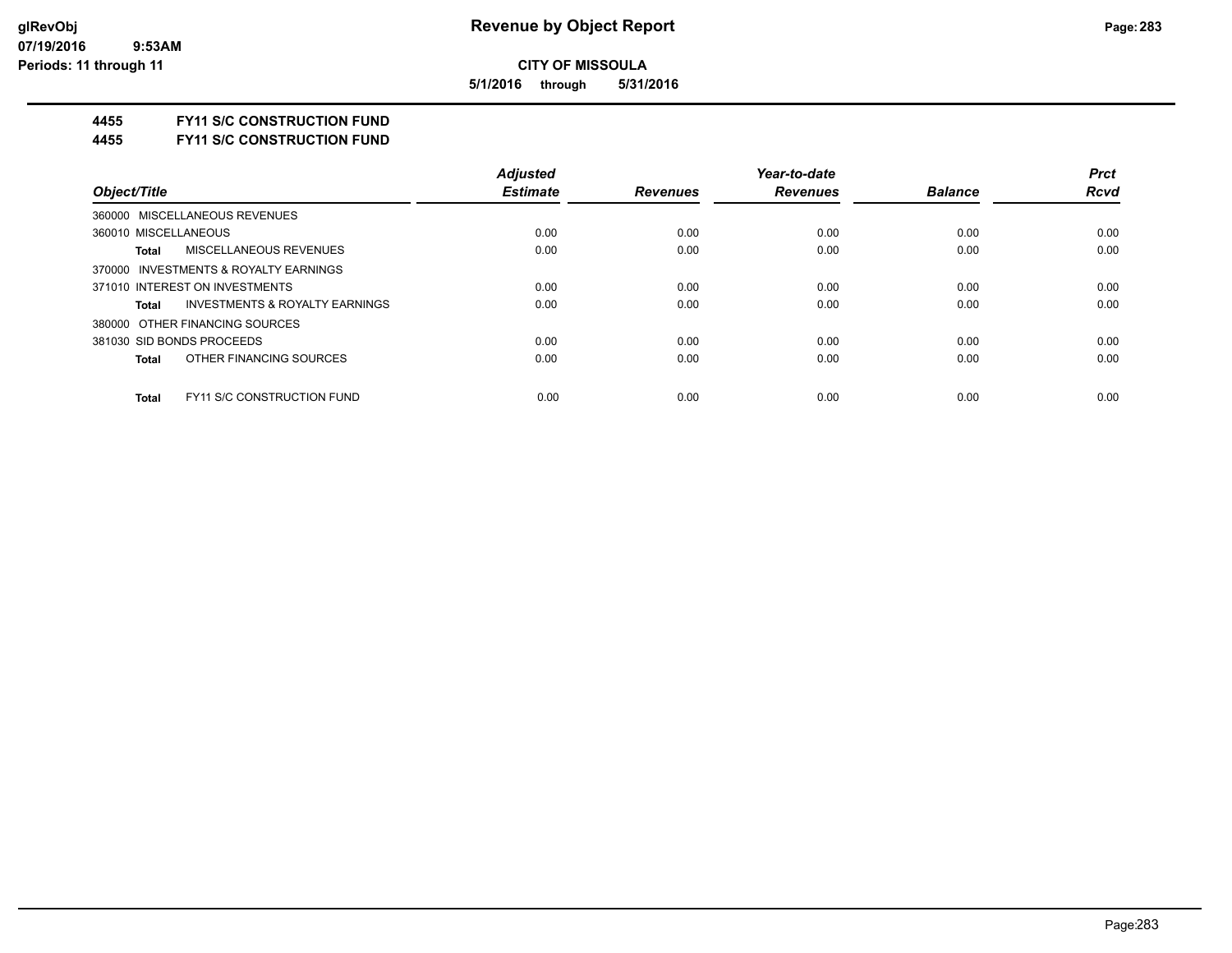**5/1/2016 through 5/31/2016**

#### **4455 FY11 S/C CONSTRUCTION FUND**

**4455 FY11 S/C CONSTRUCTION FUND**

|                                                    | <b>Adjusted</b> |                 | Year-to-date    |                | <b>Prct</b> |
|----------------------------------------------------|-----------------|-----------------|-----------------|----------------|-------------|
| Object/Title                                       | <b>Estimate</b> | <b>Revenues</b> | <b>Revenues</b> | <b>Balance</b> | Rcvd        |
| 360000 MISCELLANEOUS REVENUES                      |                 |                 |                 |                |             |
| 360010 MISCELLANEOUS                               | 0.00            | 0.00            | 0.00            | 0.00           | 0.00        |
| MISCELLANEOUS REVENUES<br><b>Total</b>             | 0.00            | 0.00            | 0.00            | 0.00           | 0.00        |
| 370000 INVESTMENTS & ROYALTY EARNINGS              |                 |                 |                 |                |             |
| 371010 INTEREST ON INVESTMENTS                     | 0.00            | 0.00            | 0.00            | 0.00           | 0.00        |
| <b>INVESTMENTS &amp; ROYALTY EARNINGS</b><br>Total | 0.00            | 0.00            | 0.00            | 0.00           | 0.00        |
| 380000 OTHER FINANCING SOURCES                     |                 |                 |                 |                |             |
| 381030 SID BONDS PROCEEDS                          | 0.00            | 0.00            | 0.00            | 0.00           | 0.00        |
| OTHER FINANCING SOURCES<br><b>Total</b>            | 0.00            | 0.00            | 0.00            | 0.00           | 0.00        |
| <b>FY11 S/C CONSTRUCTION FUND</b><br><b>Total</b>  | 0.00            | 0.00            | 0.00            | 0.00           | 0.00        |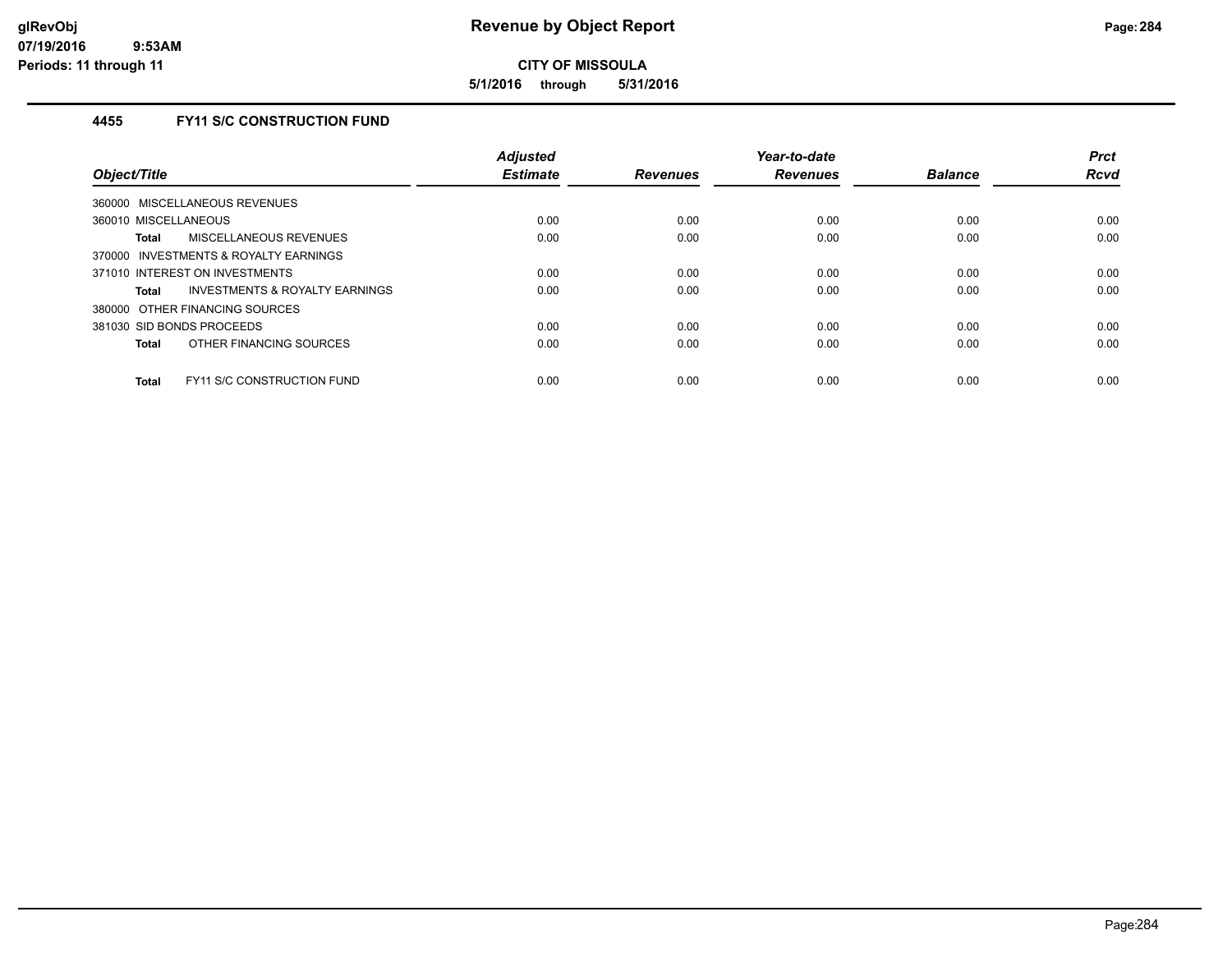**5/1/2016 through 5/31/2016**

## **4455 FY11 S/C CONSTRUCTION FUND**

| Object/Title                                       | <b>Adjusted</b><br><b>Estimate</b> | <b>Revenues</b> | Year-to-date<br><b>Revenues</b> | <b>Balance</b> | <b>Prct</b><br><b>Rcvd</b> |
|----------------------------------------------------|------------------------------------|-----------------|---------------------------------|----------------|----------------------------|
| 360000 MISCELLANEOUS REVENUES                      |                                    |                 |                                 |                |                            |
| 360010 MISCELLANEOUS                               | 0.00                               | 0.00            | 0.00                            | 0.00           | 0.00                       |
| MISCELLANEOUS REVENUES<br>Total                    | 0.00                               | 0.00            | 0.00                            | 0.00           | 0.00                       |
| 370000 INVESTMENTS & ROYALTY EARNINGS              |                                    |                 |                                 |                |                            |
| 371010 INTEREST ON INVESTMENTS                     | 0.00                               | 0.00            | 0.00                            | 0.00           | 0.00                       |
| <b>INVESTMENTS &amp; ROYALTY EARNINGS</b><br>Total | 0.00                               | 0.00            | 0.00                            | 0.00           | 0.00                       |
| 380000 OTHER FINANCING SOURCES                     |                                    |                 |                                 |                |                            |
| 381030 SID BONDS PROCEEDS                          | 0.00                               | 0.00            | 0.00                            | 0.00           | 0.00                       |
| OTHER FINANCING SOURCES<br><b>Total</b>            | 0.00                               | 0.00            | 0.00                            | 0.00           | 0.00                       |
| <b>FY11 S/C CONSTRUCTION FUND</b><br><b>Total</b>  | 0.00                               | 0.00            | 0.00                            | 0.00           | 0.00                       |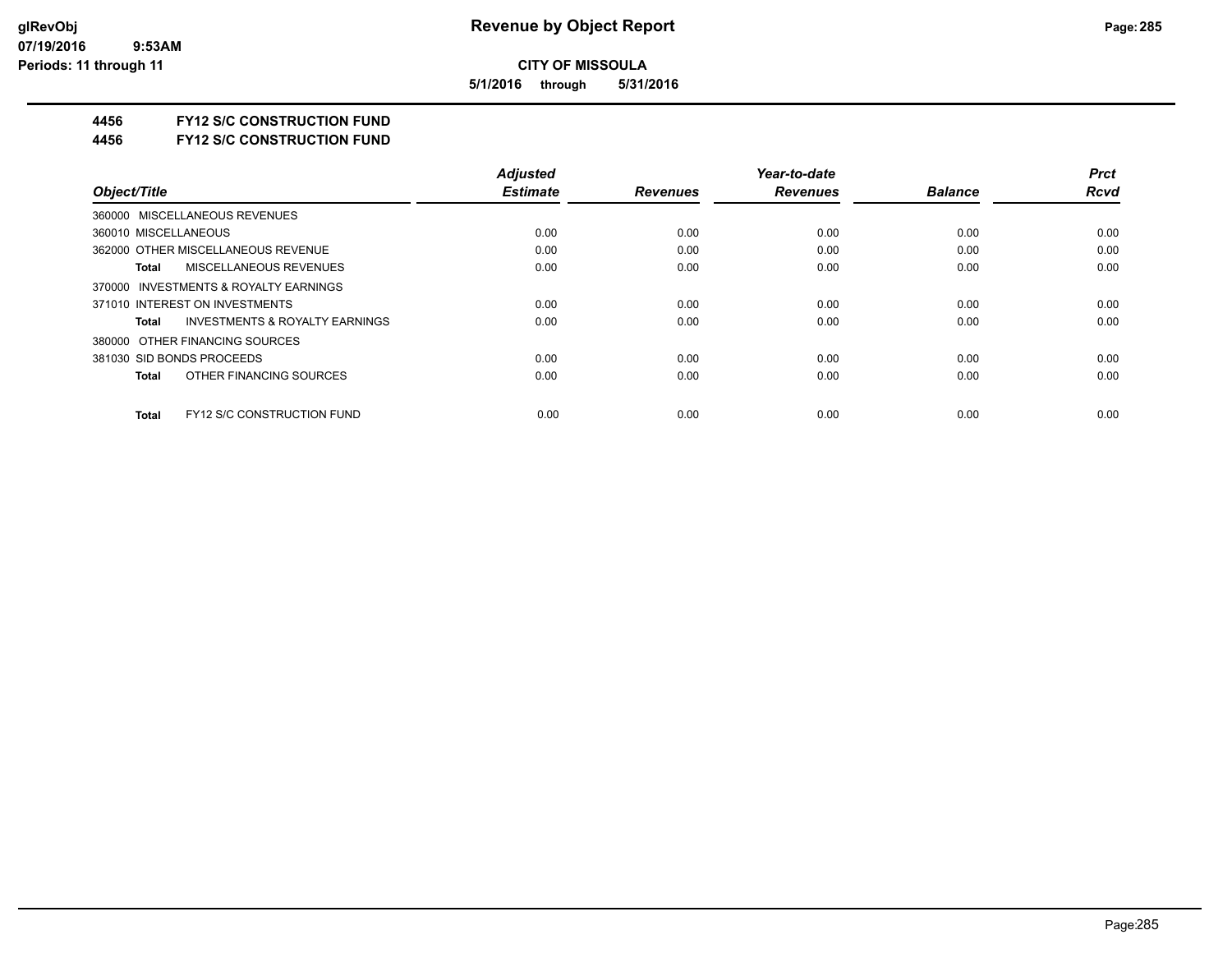**5/1/2016 through 5/31/2016**

#### **4456 FY12 S/C CONSTRUCTION FUND**

**4456 FY12 S/C CONSTRUCTION FUND**

|                                                    | <b>Adjusted</b> |                 | Year-to-date    |                | <b>Prct</b> |
|----------------------------------------------------|-----------------|-----------------|-----------------|----------------|-------------|
| Object/Title                                       | <b>Estimate</b> | <b>Revenues</b> | <b>Revenues</b> | <b>Balance</b> | <b>Rcvd</b> |
| 360000 MISCELLANEOUS REVENUES                      |                 |                 |                 |                |             |
| 360010 MISCELLANEOUS                               | 0.00            | 0.00            | 0.00            | 0.00           | 0.00        |
| 362000 OTHER MISCELLANEOUS REVENUE                 | 0.00            | 0.00            | 0.00            | 0.00           | 0.00        |
| <b>MISCELLANEOUS REVENUES</b><br>Total             | 0.00            | 0.00            | 0.00            | 0.00           | 0.00        |
| 370000 INVESTMENTS & ROYALTY EARNINGS              |                 |                 |                 |                |             |
| 371010 INTEREST ON INVESTMENTS                     | 0.00            | 0.00            | 0.00            | 0.00           | 0.00        |
| <b>INVESTMENTS &amp; ROYALTY EARNINGS</b><br>Total | 0.00            | 0.00            | 0.00            | 0.00           | 0.00        |
| 380000 OTHER FINANCING SOURCES                     |                 |                 |                 |                |             |
| 381030 SID BONDS PROCEEDS                          | 0.00            | 0.00            | 0.00            | 0.00           | 0.00        |
| OTHER FINANCING SOURCES<br>Total                   | 0.00            | 0.00            | 0.00            | 0.00           | 0.00        |
| <b>FY12 S/C CONSTRUCTION FUND</b><br><b>Total</b>  | 0.00            | 0.00            | 0.00            | 0.00           | 0.00        |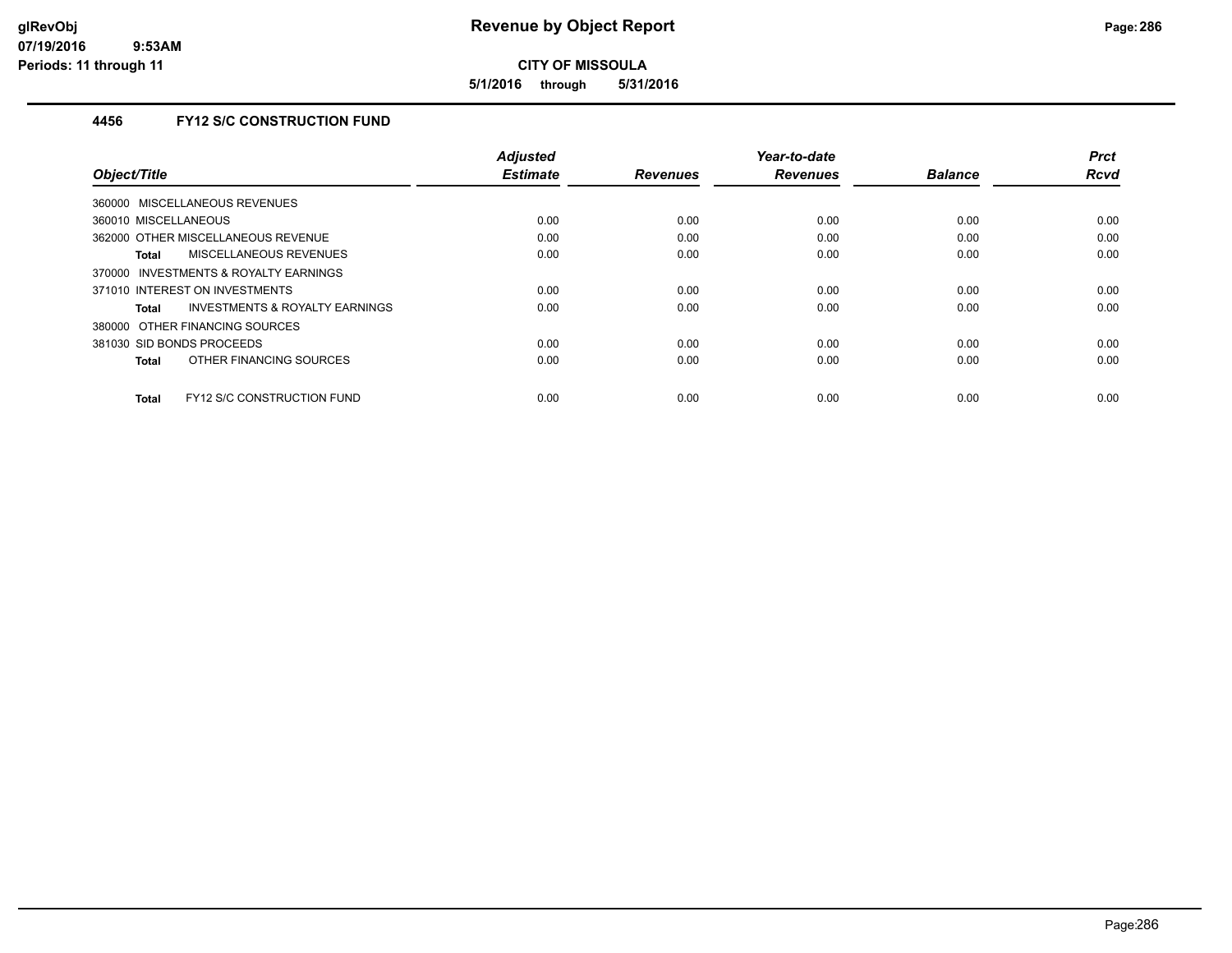**5/1/2016 through 5/31/2016**

## **4456 FY12 S/C CONSTRUCTION FUND**

|                                                    | <b>Adjusted</b><br><b>Estimate</b> |                 | Year-to-date    | <b>Balance</b> | <b>Prct</b><br><b>Rcvd</b> |
|----------------------------------------------------|------------------------------------|-----------------|-----------------|----------------|----------------------------|
| Object/Title                                       |                                    | <b>Revenues</b> | <b>Revenues</b> |                |                            |
| 360000 MISCELLANEOUS REVENUES                      |                                    |                 |                 |                |                            |
| 360010 MISCELLANEOUS                               | 0.00                               | 0.00            | 0.00            | 0.00           | 0.00                       |
| 362000 OTHER MISCELLANEOUS REVENUE                 | 0.00                               | 0.00            | 0.00            | 0.00           | 0.00                       |
| <b>MISCELLANEOUS REVENUES</b><br>Total             | 0.00                               | 0.00            | 0.00            | 0.00           | 0.00                       |
| INVESTMENTS & ROYALTY EARNINGS<br>370000           |                                    |                 |                 |                |                            |
| 371010 INTEREST ON INVESTMENTS                     | 0.00                               | 0.00            | 0.00            | 0.00           | 0.00                       |
| <b>INVESTMENTS &amp; ROYALTY EARNINGS</b><br>Total | 0.00                               | 0.00            | 0.00            | 0.00           | 0.00                       |
| 380000 OTHER FINANCING SOURCES                     |                                    |                 |                 |                |                            |
| 381030 SID BONDS PROCEEDS                          | 0.00                               | 0.00            | 0.00            | 0.00           | 0.00                       |
| OTHER FINANCING SOURCES<br>Total                   | 0.00                               | 0.00            | 0.00            | 0.00           | 0.00                       |
|                                                    |                                    |                 |                 |                |                            |
| <b>FY12 S/C CONSTRUCTION FUND</b><br>Total         | 0.00                               | 0.00            | 0.00            | 0.00           | 0.00                       |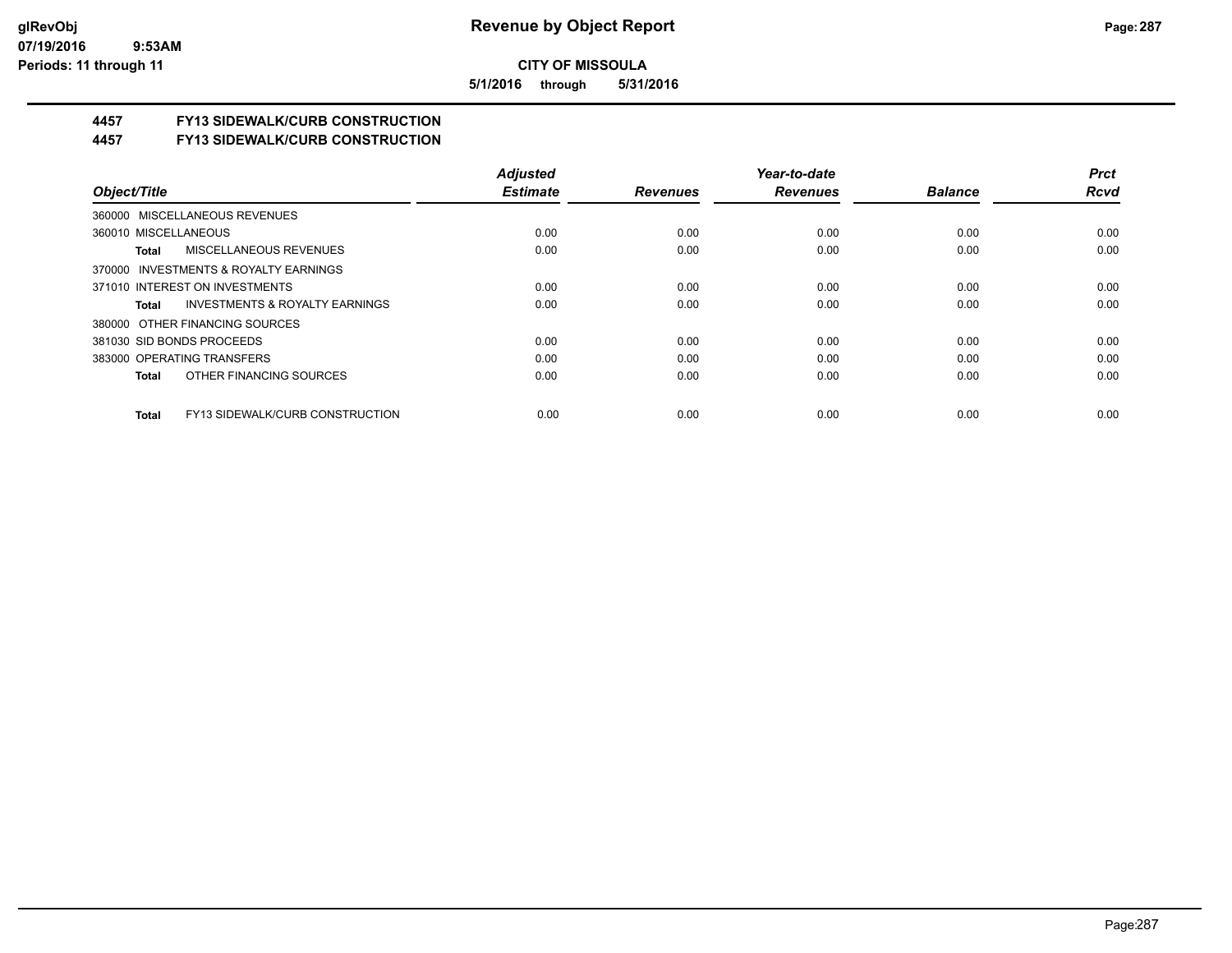**5/1/2016 through 5/31/2016**

## **4457 FY13 SIDEWALK/CURB CONSTRUCTION**

**4457 FY13 SIDEWALK/CURB CONSTRUCTION**

|                                                    | <b>Adjusted</b> |                 | Year-to-date    |                | <b>Prct</b> |
|----------------------------------------------------|-----------------|-----------------|-----------------|----------------|-------------|
| Object/Title                                       | <b>Estimate</b> | <b>Revenues</b> | <b>Revenues</b> | <b>Balance</b> | <b>Rcvd</b> |
| 360000 MISCELLANEOUS REVENUES                      |                 |                 |                 |                |             |
| 360010 MISCELLANEOUS                               | 0.00            | 0.00            | 0.00            | 0.00           | 0.00        |
| MISCELLANEOUS REVENUES<br>Total                    | 0.00            | 0.00            | 0.00            | 0.00           | 0.00        |
| 370000 INVESTMENTS & ROYALTY EARNINGS              |                 |                 |                 |                |             |
| 371010 INTEREST ON INVESTMENTS                     | 0.00            | 0.00            | 0.00            | 0.00           | 0.00        |
| <b>INVESTMENTS &amp; ROYALTY EARNINGS</b><br>Total | 0.00            | 0.00            | 0.00            | 0.00           | 0.00        |
| 380000 OTHER FINANCING SOURCES                     |                 |                 |                 |                |             |
| 381030 SID BONDS PROCEEDS                          | 0.00            | 0.00            | 0.00            | 0.00           | 0.00        |
| 383000 OPERATING TRANSFERS                         | 0.00            | 0.00            | 0.00            | 0.00           | 0.00        |
| OTHER FINANCING SOURCES<br>Total                   | 0.00            | 0.00            | 0.00            | 0.00           | 0.00        |
| <b>FY13 SIDEWALK/CURB CONSTRUCTION</b><br>Total    | 0.00            | 0.00            | 0.00            | 0.00           | 0.00        |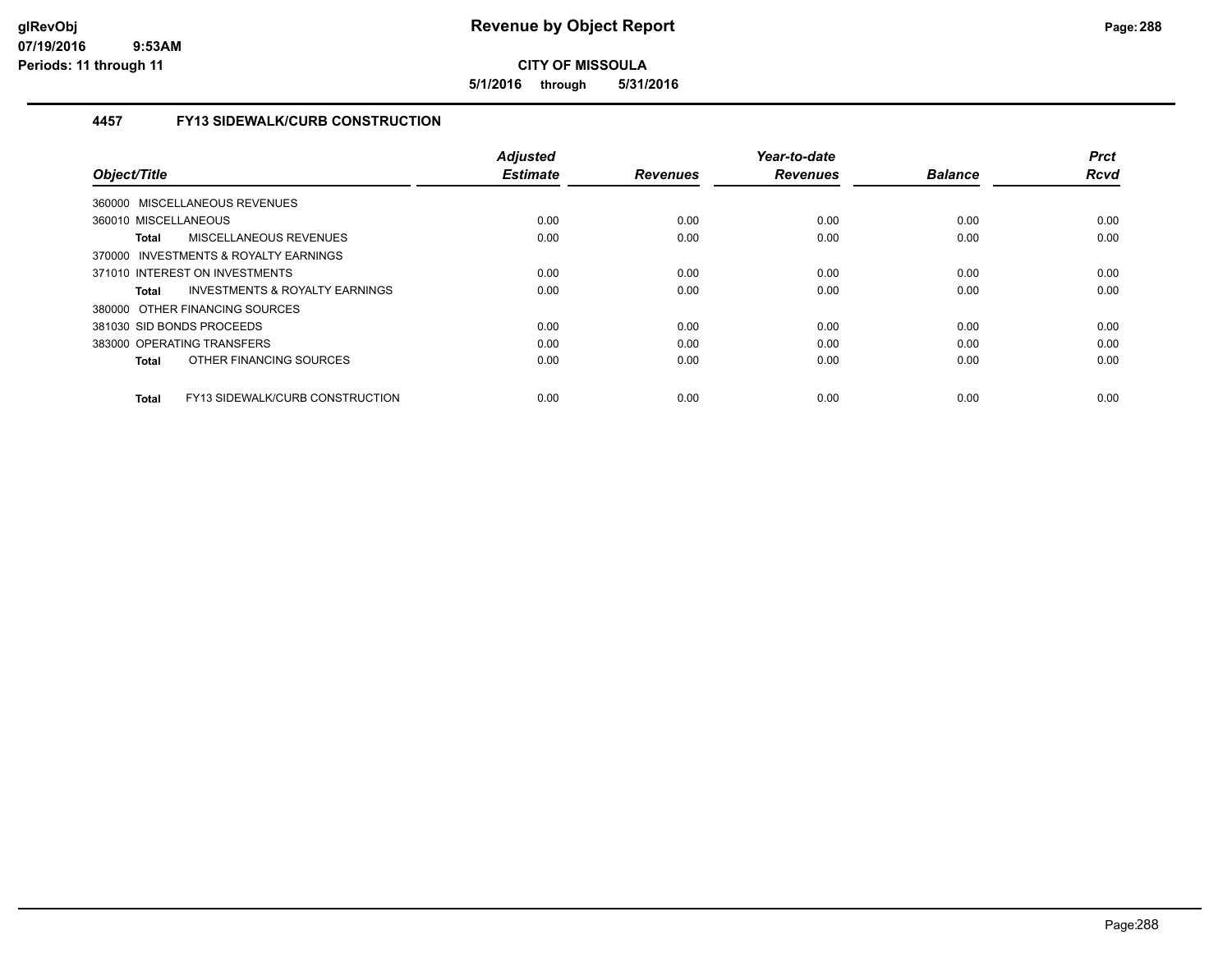**5/1/2016 through 5/31/2016**

### **4457 FY13 SIDEWALK/CURB CONSTRUCTION**

| Object/Title                                    | <b>Adjusted</b><br><b>Estimate</b> | <b>Revenues</b> | Year-to-date<br><b>Revenues</b> | <b>Balance</b> | <b>Prct</b><br><b>Rcvd</b> |
|-------------------------------------------------|------------------------------------|-----------------|---------------------------------|----------------|----------------------------|
| 360000 MISCELLANEOUS REVENUES                   |                                    |                 |                                 |                |                            |
| 360010 MISCELLANEOUS                            | 0.00                               | 0.00            | 0.00                            | 0.00           | 0.00                       |
| MISCELLANEOUS REVENUES<br><b>Total</b>          | 0.00                               | 0.00            | 0.00                            | 0.00           | 0.00                       |
| 370000 INVESTMENTS & ROYALTY EARNINGS           |                                    |                 |                                 |                |                            |
| 371010 INTEREST ON INVESTMENTS                  | 0.00                               | 0.00            | 0.00                            | 0.00           | 0.00                       |
| INVESTMENTS & ROYALTY EARNINGS<br>Total         | 0.00                               | 0.00            | 0.00                            | 0.00           | 0.00                       |
| 380000 OTHER FINANCING SOURCES                  |                                    |                 |                                 |                |                            |
| 381030 SID BONDS PROCEEDS                       | 0.00                               | 0.00            | 0.00                            | 0.00           | 0.00                       |
| 383000 OPERATING TRANSFERS                      | 0.00                               | 0.00            | 0.00                            | 0.00           | 0.00                       |
| OTHER FINANCING SOURCES<br><b>Total</b>         | 0.00                               | 0.00            | 0.00                            | 0.00           | 0.00                       |
| FY13 SIDEWALK/CURB CONSTRUCTION<br><b>Total</b> | 0.00                               | 0.00            | 0.00                            | 0.00           | 0.00                       |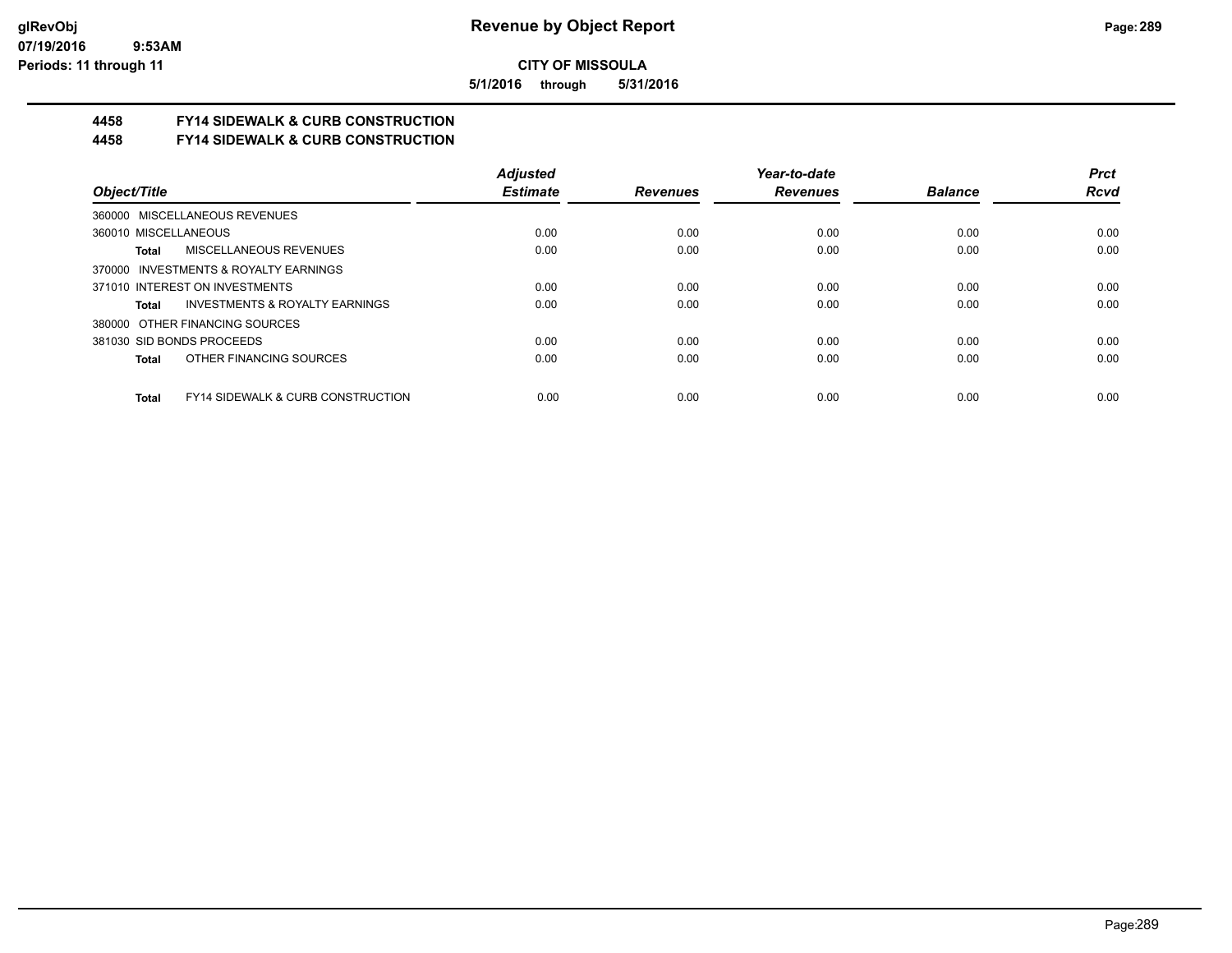**5/1/2016 through 5/31/2016**

## **4458 FY14 SIDEWALK & CURB CONSTRUCTION**

**4458 FY14 SIDEWALK & CURB CONSTRUCTION**

|                                                              | <b>Adjusted</b> |                 | Year-to-date    |                | <b>Prct</b> |
|--------------------------------------------------------------|-----------------|-----------------|-----------------|----------------|-------------|
| Object/Title                                                 | <b>Estimate</b> | <b>Revenues</b> | <b>Revenues</b> | <b>Balance</b> | <b>Rcvd</b> |
| 360000 MISCELLANEOUS REVENUES                                |                 |                 |                 |                |             |
| 360010 MISCELLANEOUS                                         | 0.00            | 0.00            | 0.00            | 0.00           | 0.00        |
| <b>MISCELLANEOUS REVENUES</b><br>Total                       | 0.00            | 0.00            | 0.00            | 0.00           | 0.00        |
| 370000 INVESTMENTS & ROYALTY EARNINGS                        |                 |                 |                 |                |             |
| 371010 INTEREST ON INVESTMENTS                               | 0.00            | 0.00            | 0.00            | 0.00           | 0.00        |
| INVESTMENTS & ROYALTY EARNINGS<br>Total                      | 0.00            | 0.00            | 0.00            | 0.00           | 0.00        |
| 380000 OTHER FINANCING SOURCES                               |                 |                 |                 |                |             |
| 381030 SID BONDS PROCEEDS                                    | 0.00            | 0.00            | 0.00            | 0.00           | 0.00        |
| OTHER FINANCING SOURCES<br><b>Total</b>                      | 0.00            | 0.00            | 0.00            | 0.00           | 0.00        |
|                                                              |                 |                 |                 |                |             |
| <b>FY14 SIDEWALK &amp; CURB CONSTRUCTION</b><br><b>Total</b> | 0.00            | 0.00            | 0.00            | 0.00           | 0.00        |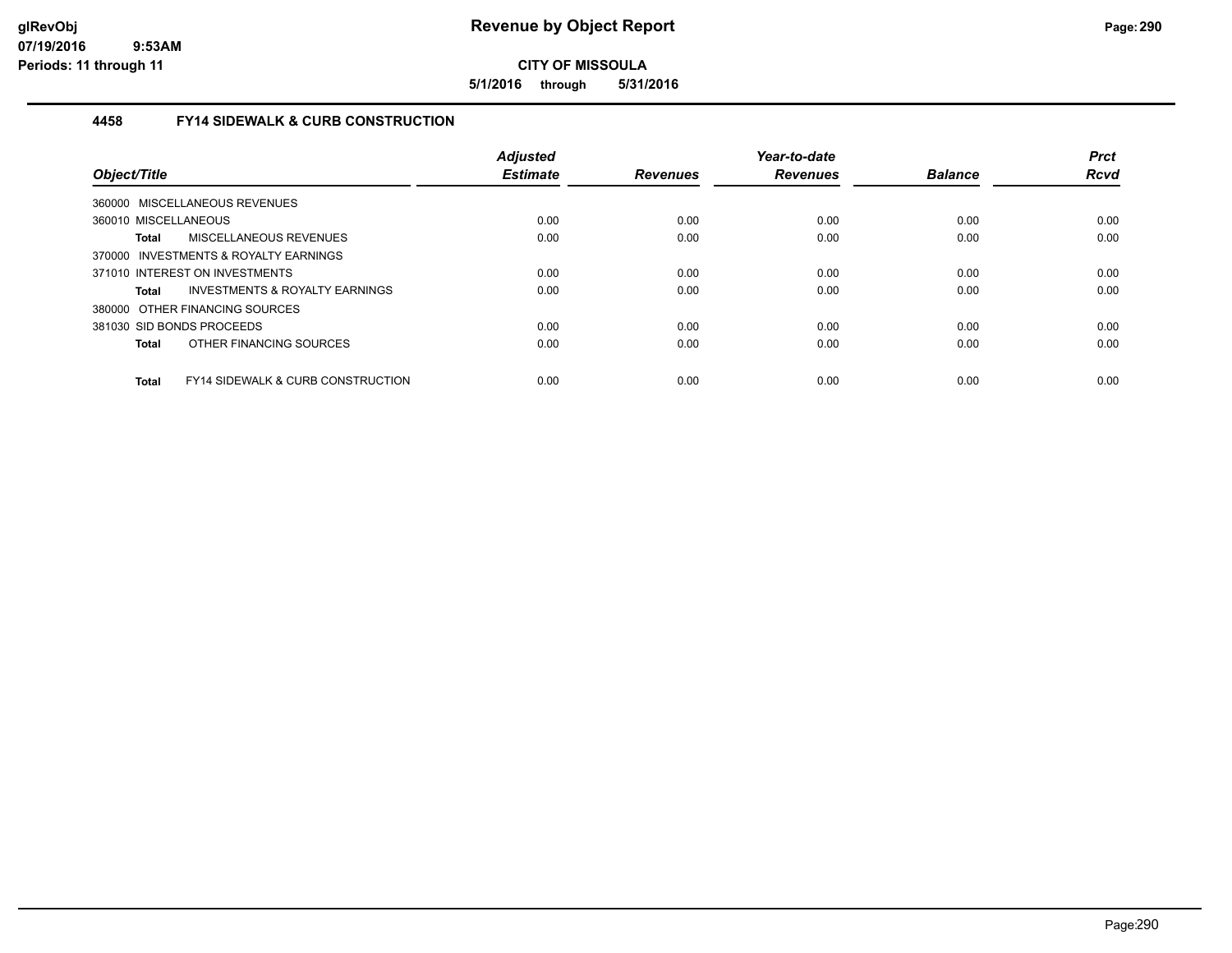**5/1/2016 through 5/31/2016**

## **4458 FY14 SIDEWALK & CURB CONSTRUCTION**

| Object/Title              |                                              | <b>Adjusted</b><br><b>Estimate</b> | <b>Revenues</b> | Year-to-date<br><b>Revenues</b> | <b>Balance</b> | <b>Prct</b><br><b>Rcvd</b> |
|---------------------------|----------------------------------------------|------------------------------------|-----------------|---------------------------------|----------------|----------------------------|
|                           | 360000 MISCELLANEOUS REVENUES                |                                    |                 |                                 |                |                            |
| 360010 MISCELLANEOUS      |                                              | 0.00                               | 0.00            | 0.00                            | 0.00           | 0.00                       |
| Total                     | MISCELLANEOUS REVENUES                       | 0.00                               | 0.00            | 0.00                            | 0.00           | 0.00                       |
|                           | 370000 INVESTMENTS & ROYALTY EARNINGS        |                                    |                 |                                 |                |                            |
|                           | 371010 INTEREST ON INVESTMENTS               | 0.00                               | 0.00            | 0.00                            | 0.00           | 0.00                       |
| <b>Total</b>              | INVESTMENTS & ROYALTY EARNINGS               | 0.00                               | 0.00            | 0.00                            | 0.00           | 0.00                       |
|                           | 380000 OTHER FINANCING SOURCES               |                                    |                 |                                 |                |                            |
| 381030 SID BONDS PROCEEDS |                                              | 0.00                               | 0.00            | 0.00                            | 0.00           | 0.00                       |
| <b>Total</b>              | OTHER FINANCING SOURCES                      | 0.00                               | 0.00            | 0.00                            | 0.00           | 0.00                       |
| <b>Total</b>              | <b>FY14 SIDEWALK &amp; CURB CONSTRUCTION</b> | 0.00                               | 0.00            | 0.00                            | 0.00           | 0.00                       |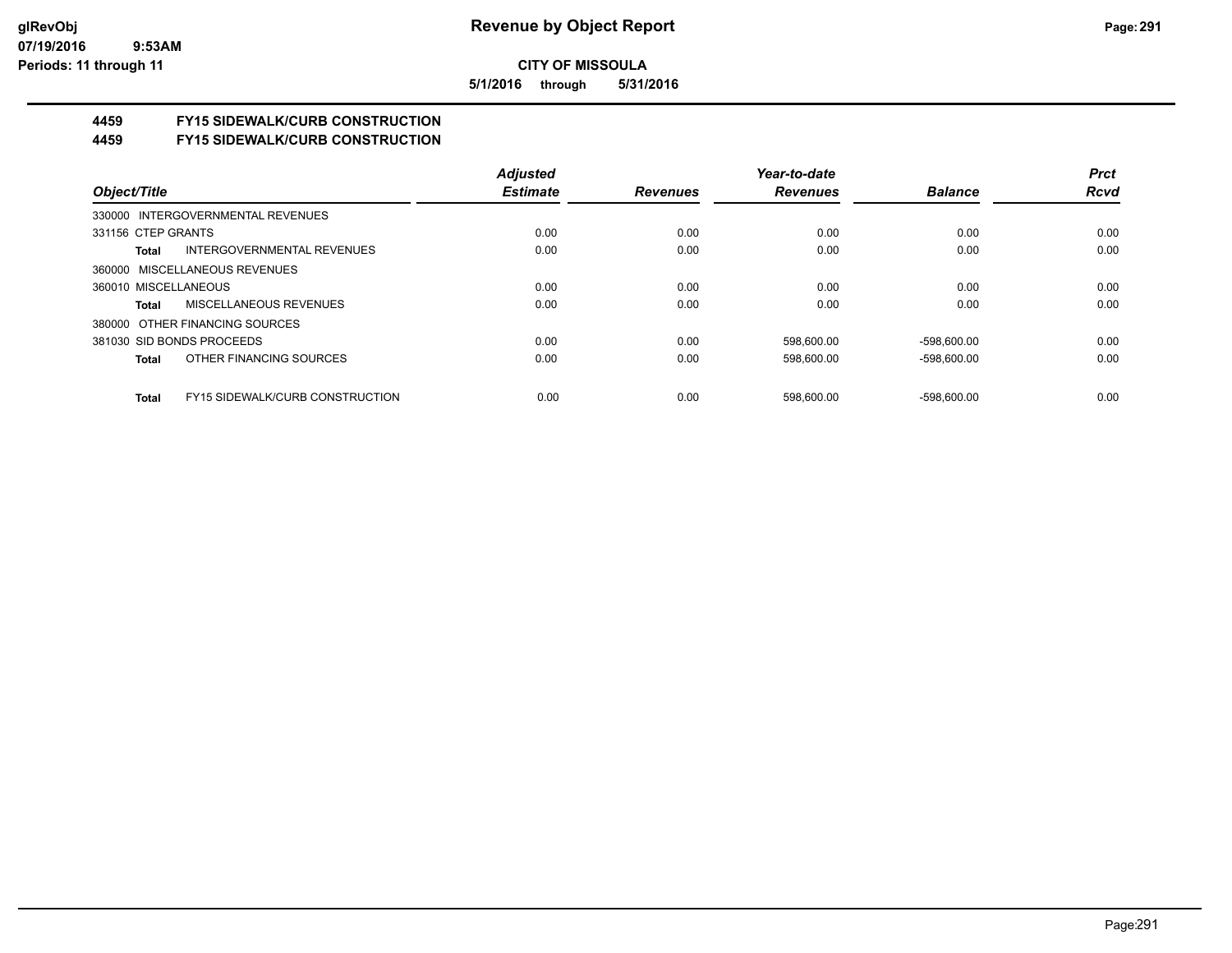**5/1/2016 through 5/31/2016**

# **4459 FY15 SIDEWALK/CURB CONSTRUCTION**

**4459 FY15 SIDEWALK/CURB CONSTRUCTION**

|                                     |                                        | <b>Adjusted</b> |                 | Year-to-date    |                | <b>Prct</b> |
|-------------------------------------|----------------------------------------|-----------------|-----------------|-----------------|----------------|-------------|
| Object/Title                        |                                        | <b>Estimate</b> | <b>Revenues</b> | <b>Revenues</b> | <b>Balance</b> | <b>Rcvd</b> |
| 330000 INTERGOVERNMENTAL REVENUES   |                                        |                 |                 |                 |                |             |
| 331156 CTEP GRANTS                  |                                        | 0.00            | 0.00            | 0.00            | 0.00           | 0.00        |
| INTERGOVERNMENTAL REVENUES<br>Total |                                        | 0.00            | 0.00            | 0.00            | 0.00           | 0.00        |
| 360000 MISCELLANEOUS REVENUES       |                                        |                 |                 |                 |                |             |
| 360010 MISCELLANEOUS                |                                        | 0.00            | 0.00            | 0.00            | 0.00           | 0.00        |
| MISCELLANEOUS REVENUES<br>Total     |                                        | 0.00            | 0.00            | 0.00            | 0.00           | 0.00        |
| 380000 OTHER FINANCING SOURCES      |                                        |                 |                 |                 |                |             |
| 381030 SID BONDS PROCEEDS           |                                        | 0.00            | 0.00            | 598.600.00      | -598.600.00    | 0.00        |
| OTHER FINANCING SOURCES<br>Total    |                                        | 0.00            | 0.00            | 598.600.00      | -598.600.00    | 0.00        |
| Total                               | <b>FY15 SIDEWALK/CURB CONSTRUCTION</b> | 0.00            | 0.00            | 598.600.00      | -598.600.00    | 0.00        |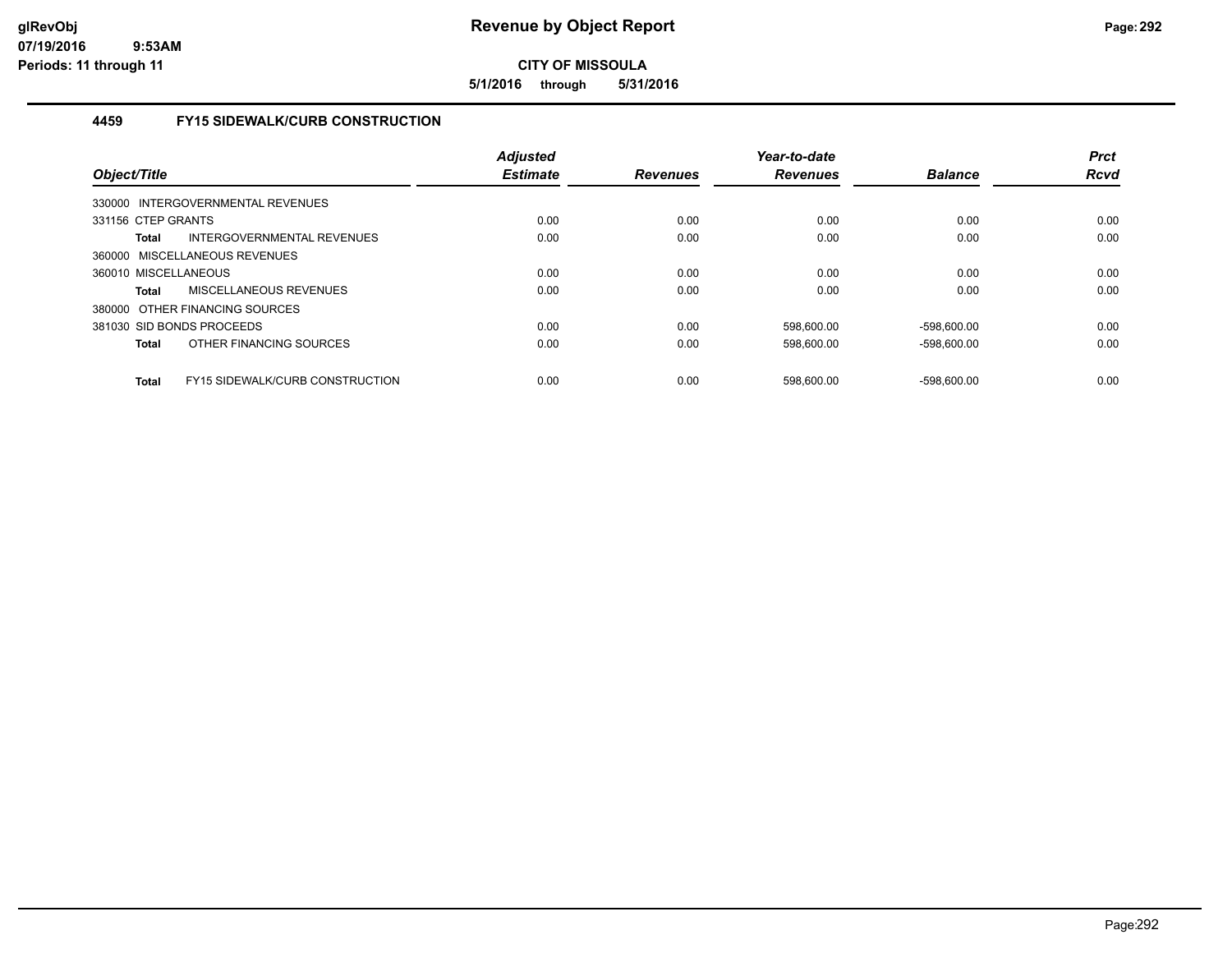**5/1/2016 through 5/31/2016**

## **4459 FY15 SIDEWALK/CURB CONSTRUCTION**

| Object/Title              |                                   | <b>Adjusted</b><br><b>Estimate</b> | <b>Revenues</b> | Year-to-date<br><b>Revenues</b> | <b>Balance</b> | <b>Prct</b><br><b>Rcvd</b> |
|---------------------------|-----------------------------------|------------------------------------|-----------------|---------------------------------|----------------|----------------------------|
|                           | 330000 INTERGOVERNMENTAL REVENUES |                                    |                 |                                 |                |                            |
| 331156 CTEP GRANTS        |                                   | 0.00                               | 0.00            | 0.00                            | 0.00           | 0.00                       |
| Total                     | INTERGOVERNMENTAL REVENUES        | 0.00                               | 0.00            | 0.00                            | 0.00           | 0.00                       |
|                           | 360000 MISCELLANEOUS REVENUES     |                                    |                 |                                 |                |                            |
| 360010 MISCELLANEOUS      |                                   | 0.00                               | 0.00            | 0.00                            | 0.00           | 0.00                       |
| Total                     | <b>MISCELLANEOUS REVENUES</b>     | 0.00                               | 0.00            | 0.00                            | 0.00           | 0.00                       |
|                           | 380000 OTHER FINANCING SOURCES    |                                    |                 |                                 |                |                            |
| 381030 SID BONDS PROCEEDS |                                   | 0.00                               | 0.00            | 598.600.00                      | -598.600.00    | 0.00                       |
| Total                     | OTHER FINANCING SOURCES           | 0.00                               | 0.00            | 598,600.00                      | $-598.600.00$  | 0.00                       |
| <b>Total</b>              | FY15 SIDEWALK/CURB CONSTRUCTION   | 0.00                               | 0.00            | 598.600.00                      | $-598.600.00$  | 0.00                       |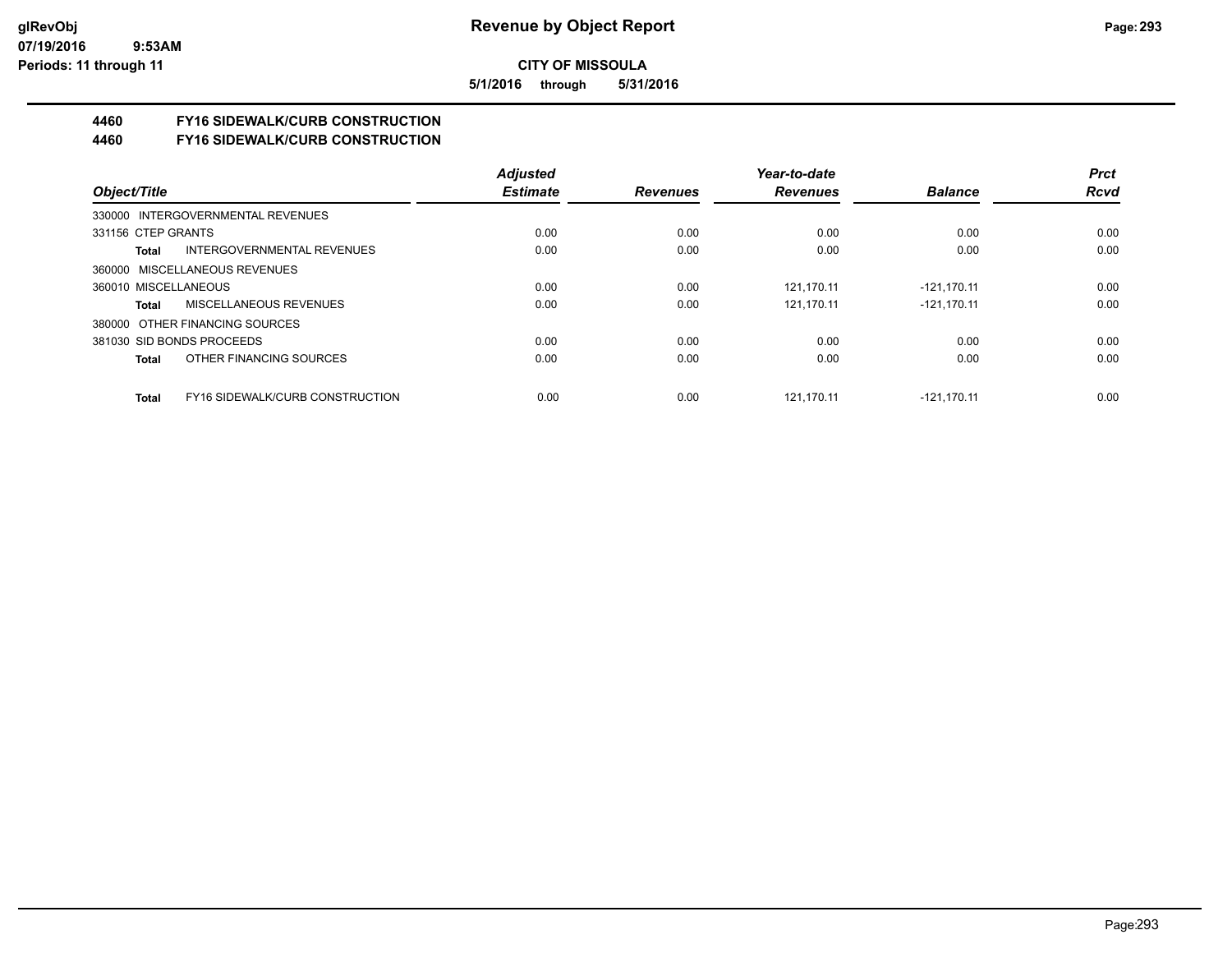**5/1/2016 through 5/31/2016**

# **4460 FY16 SIDEWALK/CURB CONSTRUCTION**

**4460 FY16 SIDEWALK/CURB CONSTRUCTION**

|                                                 | <b>Adjusted</b> |                 | Year-to-date    |                | <b>Prct</b> |
|-------------------------------------------------|-----------------|-----------------|-----------------|----------------|-------------|
| Object/Title                                    | <b>Estimate</b> | <b>Revenues</b> | <b>Revenues</b> | <b>Balance</b> | <b>Rcvd</b> |
| 330000 INTERGOVERNMENTAL REVENUES               |                 |                 |                 |                |             |
| 331156 CTEP GRANTS                              | 0.00            | 0.00            | 0.00            | 0.00           | 0.00        |
| INTERGOVERNMENTAL REVENUES<br>Total             | 0.00            | 0.00            | 0.00            | 0.00           | 0.00        |
| 360000 MISCELLANEOUS REVENUES                   |                 |                 |                 |                |             |
| 360010 MISCELLANEOUS                            | 0.00            | 0.00            | 121.170.11      | $-121.170.11$  | 0.00        |
| MISCELLANEOUS REVENUES<br>Total                 | 0.00            | 0.00            | 121.170.11      | $-121.170.11$  | 0.00        |
| 380000 OTHER FINANCING SOURCES                  |                 |                 |                 |                |             |
| 381030 SID BONDS PROCEEDS                       | 0.00            | 0.00            | 0.00            | 0.00           | 0.00        |
| OTHER FINANCING SOURCES<br>Total                | 0.00            | 0.00            | 0.00            | 0.00           | 0.00        |
| FY16 SIDEWALK/CURB CONSTRUCTION<br><b>Total</b> | 0.00            | 0.00            | 121.170.11      | $-121.170.11$  | 0.00        |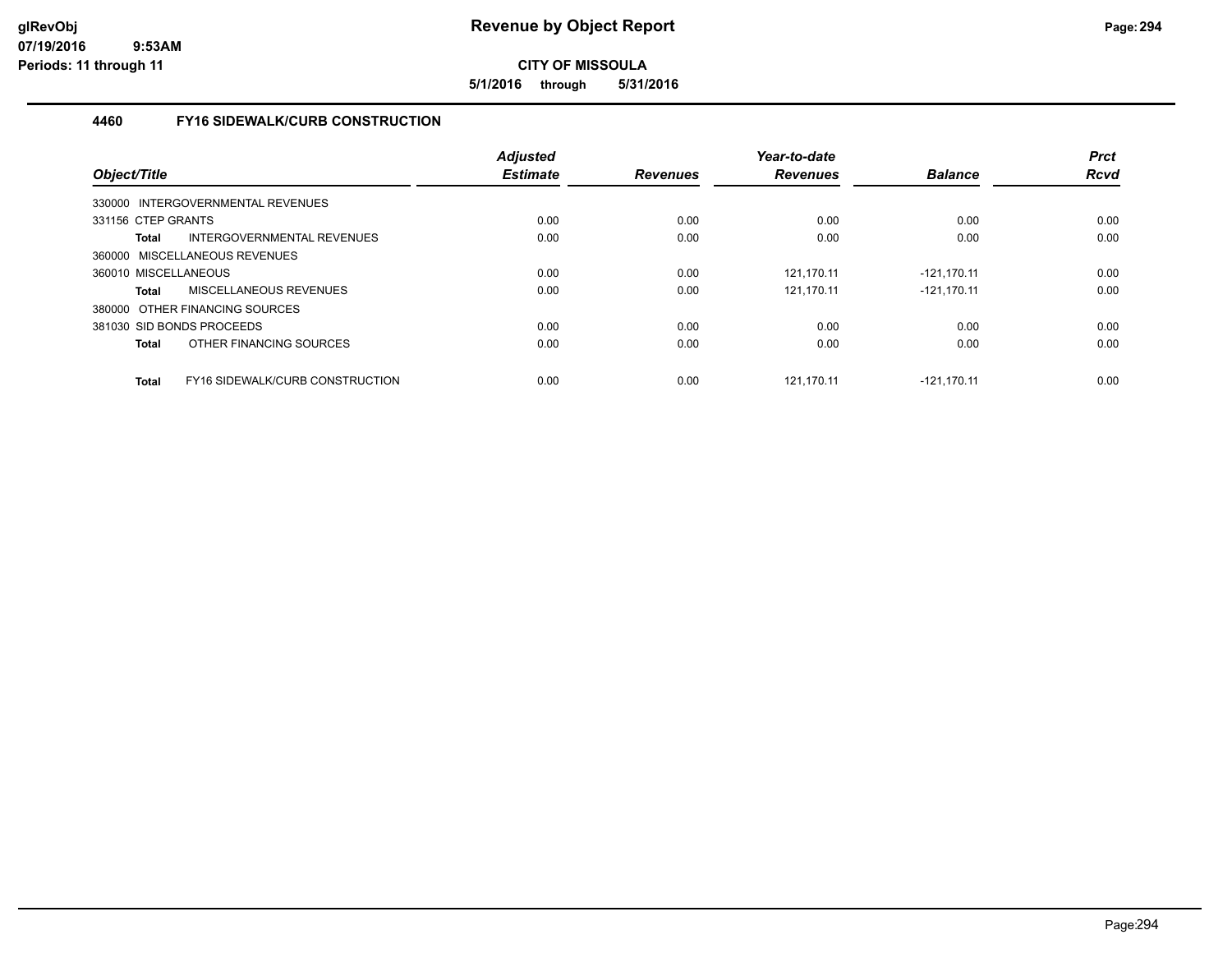**5/1/2016 through 5/31/2016**

## **4460 FY16 SIDEWALK/CURB CONSTRUCTION**

| Object/Title         |                                        | <b>Adjusted</b><br><b>Estimate</b> | <b>Revenues</b> | Year-to-date<br><b>Revenues</b> | <b>Balance</b> | <b>Prct</b><br><b>Rcvd</b> |
|----------------------|----------------------------------------|------------------------------------|-----------------|---------------------------------|----------------|----------------------------|
|                      | 330000 INTERGOVERNMENTAL REVENUES      |                                    |                 |                                 |                |                            |
| 331156 CTEP GRANTS   |                                        | 0.00                               | 0.00            | 0.00                            | 0.00           | 0.00                       |
| Total                | INTERGOVERNMENTAL REVENUES             | 0.00                               | 0.00            | 0.00                            | 0.00           | 0.00                       |
|                      | 360000 MISCELLANEOUS REVENUES          |                                    |                 |                                 |                |                            |
| 360010 MISCELLANEOUS |                                        | 0.00                               | 0.00            | 121.170.11                      | -121.170.11    | 0.00                       |
| Total                | MISCELLANEOUS REVENUES                 | 0.00                               | 0.00            | 121.170.11                      | $-121.170.11$  | 0.00                       |
|                      | 380000 OTHER FINANCING SOURCES         |                                    |                 |                                 |                |                            |
|                      | 381030 SID BONDS PROCEEDS              | 0.00                               | 0.00            | 0.00                            | 0.00           | 0.00                       |
| Total                | OTHER FINANCING SOURCES                | 0.00                               | 0.00            | 0.00                            | 0.00           | 0.00                       |
| <b>Total</b>         | <b>FY16 SIDEWALK/CURB CONSTRUCTION</b> | 0.00                               | 0.00            | 121.170.11                      | $-121.170.11$  | 0.00                       |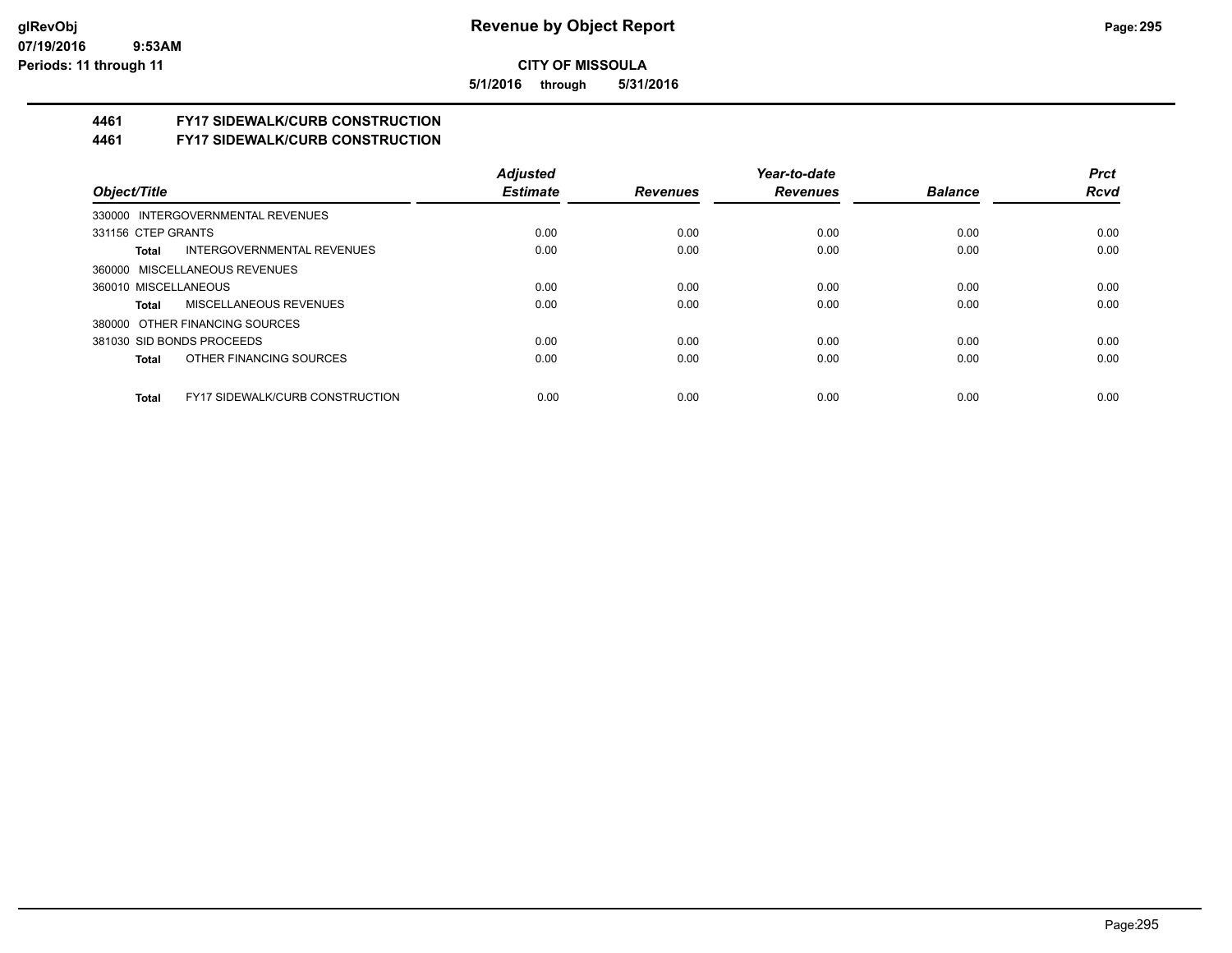**5/1/2016 through 5/31/2016**

# **4461 FY17 SIDEWALK/CURB CONSTRUCTION**

**4461 FY17 SIDEWALK/CURB CONSTRUCTION**

|                                                 | <b>Adjusted</b> |                 | Year-to-date    |                | <b>Prct</b> |
|-------------------------------------------------|-----------------|-----------------|-----------------|----------------|-------------|
| Object/Title                                    | <b>Estimate</b> | <b>Revenues</b> | <b>Revenues</b> | <b>Balance</b> | <b>Rcvd</b> |
| 330000 INTERGOVERNMENTAL REVENUES               |                 |                 |                 |                |             |
| 331156 CTEP GRANTS                              | 0.00            | 0.00            | 0.00            | 0.00           | 0.00        |
| INTERGOVERNMENTAL REVENUES<br>Total             | 0.00            | 0.00            | 0.00            | 0.00           | 0.00        |
| 360000 MISCELLANEOUS REVENUES                   |                 |                 |                 |                |             |
| 360010 MISCELLANEOUS                            | 0.00            | 0.00            | 0.00            | 0.00           | 0.00        |
| MISCELLANEOUS REVENUES<br>Total                 | 0.00            | 0.00            | 0.00            | 0.00           | 0.00        |
| 380000 OTHER FINANCING SOURCES                  |                 |                 |                 |                |             |
| 381030 SID BONDS PROCEEDS                       | 0.00            | 0.00            | 0.00            | 0.00           | 0.00        |
| OTHER FINANCING SOURCES<br>Total                | 0.00            | 0.00            | 0.00            | 0.00           | 0.00        |
|                                                 |                 |                 |                 |                |             |
| <b>FY17 SIDEWALK/CURB CONSTRUCTION</b><br>Total | 0.00            | 0.00            | 0.00            | 0.00           | 0.00        |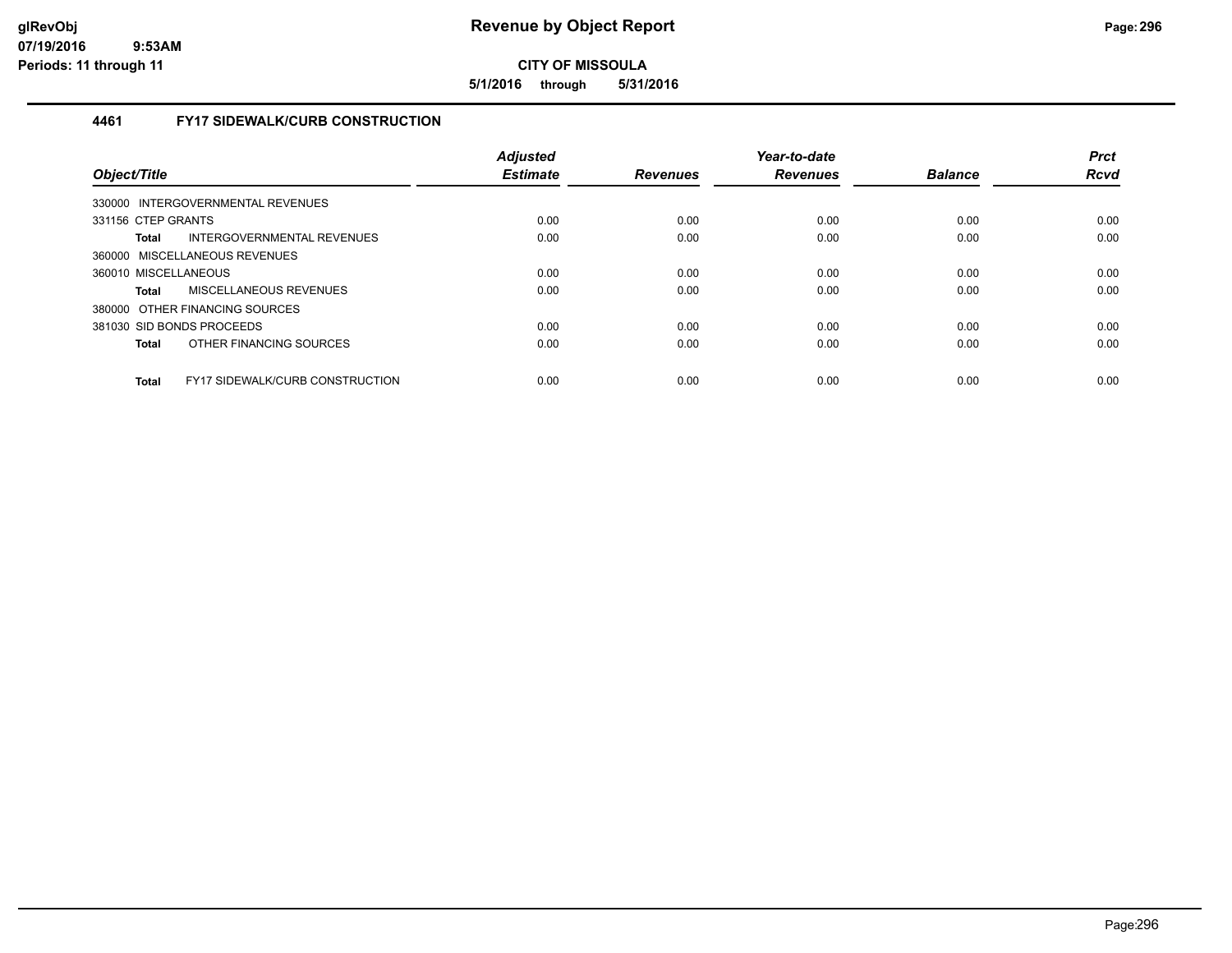**5/1/2016 through 5/31/2016**

## **4461 FY17 SIDEWALK/CURB CONSTRUCTION**

| Object/Title         |                                        | <b>Adjusted</b><br><b>Estimate</b> | <b>Revenues</b> | Year-to-date<br><b>Revenues</b> | <b>Balance</b> | <b>Prct</b><br><b>Rcvd</b> |
|----------------------|----------------------------------------|------------------------------------|-----------------|---------------------------------|----------------|----------------------------|
|                      | 330000 INTERGOVERNMENTAL REVENUES      |                                    |                 |                                 |                |                            |
| 331156 CTEP GRANTS   |                                        | 0.00                               | 0.00            | 0.00                            | 0.00           | 0.00                       |
| Total                | INTERGOVERNMENTAL REVENUES             | 0.00                               | 0.00            | 0.00                            | 0.00           | 0.00                       |
|                      | 360000 MISCELLANEOUS REVENUES          |                                    |                 |                                 |                |                            |
| 360010 MISCELLANEOUS |                                        | 0.00                               | 0.00            | 0.00                            | 0.00           | 0.00                       |
| Total                | MISCELLANEOUS REVENUES                 | 0.00                               | 0.00            | 0.00                            | 0.00           | 0.00                       |
|                      | 380000 OTHER FINANCING SOURCES         |                                    |                 |                                 |                |                            |
|                      | 381030 SID BONDS PROCEEDS              | 0.00                               | 0.00            | 0.00                            | 0.00           | 0.00                       |
| Total                | OTHER FINANCING SOURCES                | 0.00                               | 0.00            | 0.00                            | 0.00           | 0.00                       |
| Total                | <b>FY17 SIDEWALK/CURB CONSTRUCTION</b> | 0.00                               | 0.00            | 0.00                            | 0.00           | 0.00                       |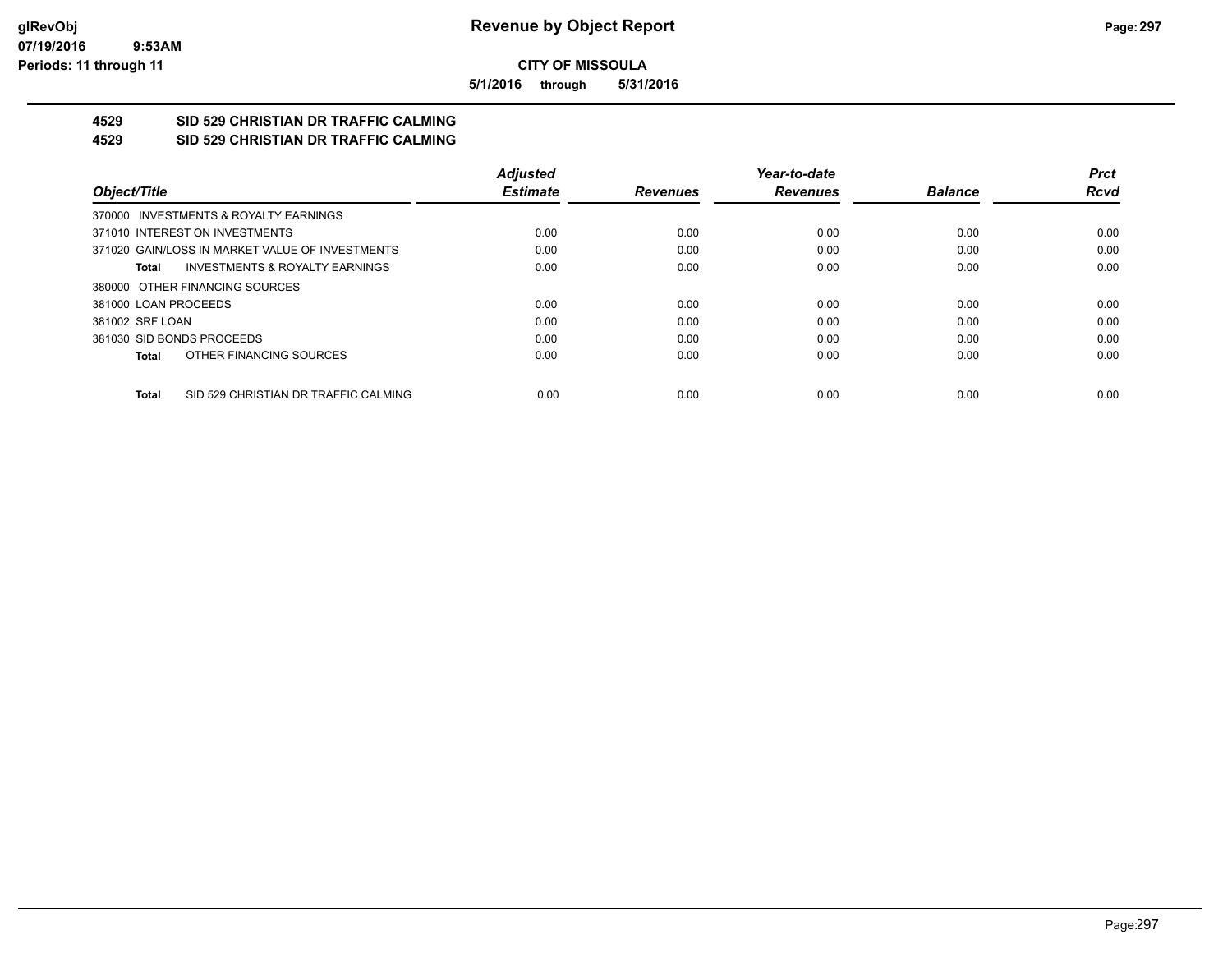**5/1/2016 through 5/31/2016**

#### **4529 SID 529 CHRISTIAN DR TRAFFIC CALMING 4529 SID 529 CHRISTIAN DR TRAFFIC CALMING**

|                                                      | <b>Adjusted</b> |                 | Year-to-date    |                | <b>Prct</b> |
|------------------------------------------------------|-----------------|-----------------|-----------------|----------------|-------------|
| Object/Title                                         | <b>Estimate</b> | <b>Revenues</b> | <b>Revenues</b> | <b>Balance</b> | <b>Rcvd</b> |
| 370000 INVESTMENTS & ROYALTY EARNINGS                |                 |                 |                 |                |             |
| 371010 INTEREST ON INVESTMENTS                       | 0.00            | 0.00            | 0.00            | 0.00           | 0.00        |
| 371020 GAIN/LOSS IN MARKET VALUE OF INVESTMENTS      | 0.00            | 0.00            | 0.00            | 0.00           | 0.00        |
| <b>INVESTMENTS &amp; ROYALTY EARNINGS</b><br>Total   | 0.00            | 0.00            | 0.00            | 0.00           | 0.00        |
| 380000 OTHER FINANCING SOURCES                       |                 |                 |                 |                |             |
| 381000 LOAN PROCEEDS                                 | 0.00            | 0.00            | 0.00            | 0.00           | 0.00        |
| 381002 SRF LOAN                                      | 0.00            | 0.00            | 0.00            | 0.00           | 0.00        |
| 381030 SID BONDS PROCEEDS                            | 0.00            | 0.00            | 0.00            | 0.00           | 0.00        |
| OTHER FINANCING SOURCES<br>Total                     | 0.00            | 0.00            | 0.00            | 0.00           | 0.00        |
| SID 529 CHRISTIAN DR TRAFFIC CALMING<br><b>Total</b> | 0.00            | 0.00            | 0.00            | 0.00           | 0.00        |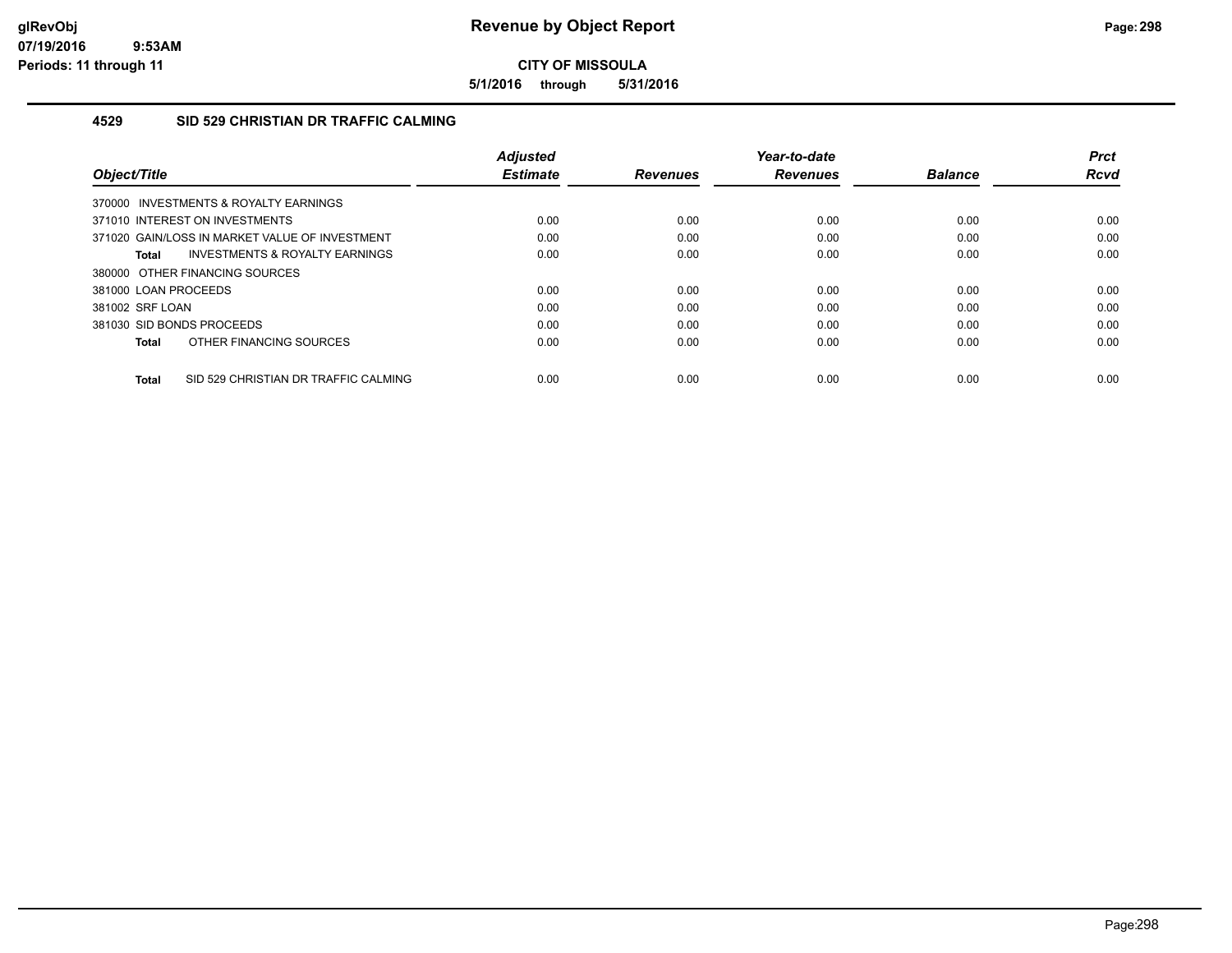**5/1/2016 through 5/31/2016**

## **4529 SID 529 CHRISTIAN DR TRAFFIC CALMING**

| Object/Title                                         | <b>Adjusted</b><br><b>Estimate</b> | <b>Revenues</b> | Year-to-date<br><b>Revenues</b> | <b>Balance</b> | <b>Prct</b><br>Rcvd |
|------------------------------------------------------|------------------------------------|-----------------|---------------------------------|----------------|---------------------|
| 370000 INVESTMENTS & ROYALTY EARNINGS                |                                    |                 |                                 |                |                     |
| 371010 INTEREST ON INVESTMENTS                       | 0.00                               | 0.00            | 0.00                            | 0.00           | 0.00                |
| 371020 GAIN/LOSS IN MARKET VALUE OF INVESTMENT       | 0.00                               | 0.00            | 0.00                            | 0.00           | 0.00                |
| <b>INVESTMENTS &amp; ROYALTY EARNINGS</b><br>Total   | 0.00                               | 0.00            | 0.00                            | 0.00           | 0.00                |
| 380000 OTHER FINANCING SOURCES                       |                                    |                 |                                 |                |                     |
| 381000 LOAN PROCEEDS                                 | 0.00                               | 0.00            | 0.00                            | 0.00           | 0.00                |
| 381002 SRF LOAN                                      | 0.00                               | 0.00            | 0.00                            | 0.00           | 0.00                |
| 381030 SID BONDS PROCEEDS                            | 0.00                               | 0.00            | 0.00                            | 0.00           | 0.00                |
| OTHER FINANCING SOURCES<br><b>Total</b>              | 0.00                               | 0.00            | 0.00                            | 0.00           | 0.00                |
| SID 529 CHRISTIAN DR TRAFFIC CALMING<br><b>Total</b> | 0.00                               | 0.00            | 0.00                            | 0.00           | 0.00                |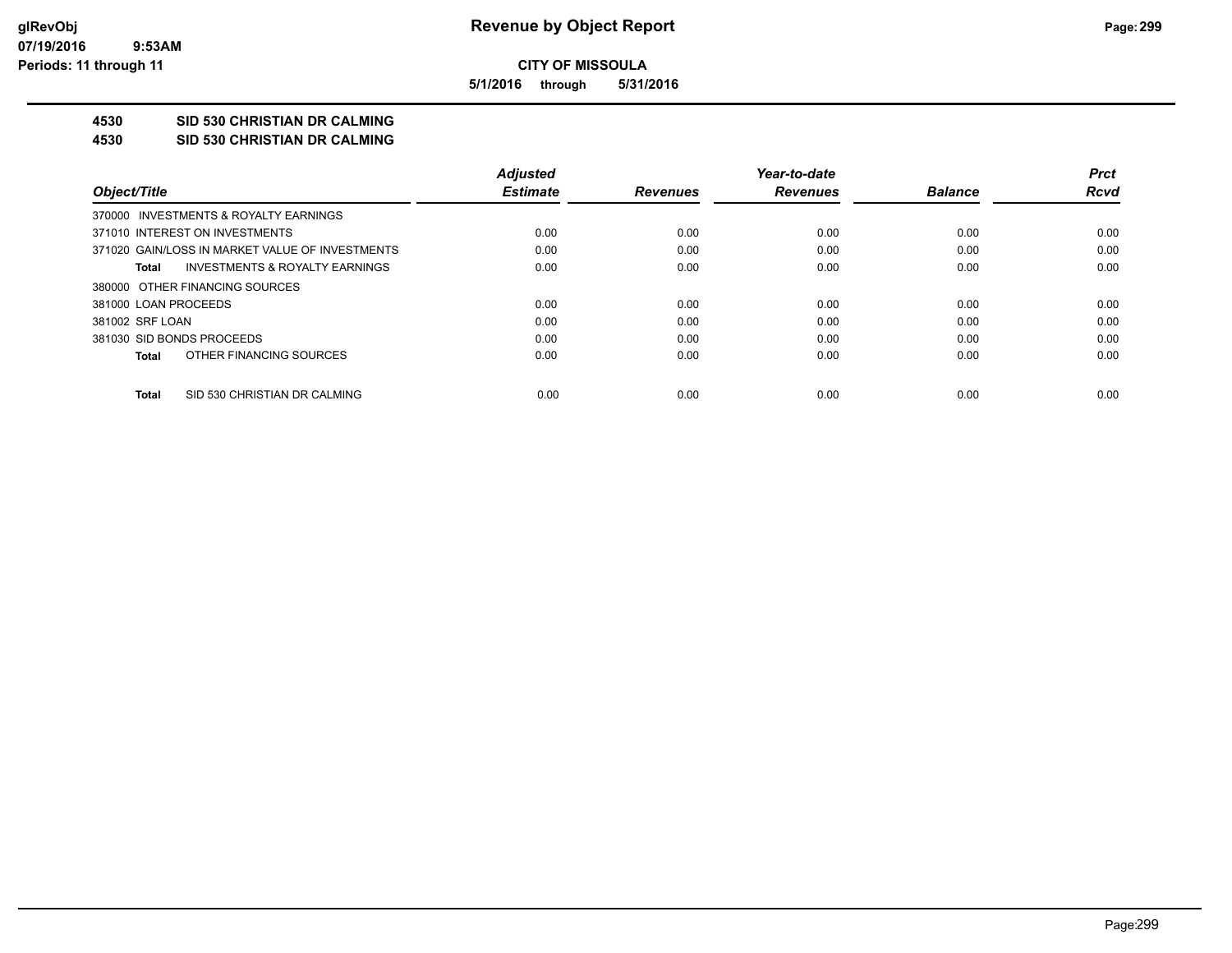**5/1/2016 through 5/31/2016**

## **4530 SID 530 CHRISTIAN DR CALMING**

**4530 SID 530 CHRISTIAN DR CALMING**

|                                                 | <b>Adjusted</b> |                 | Year-to-date    |                | <b>Prct</b> |
|-------------------------------------------------|-----------------|-----------------|-----------------|----------------|-------------|
| Object/Title                                    | <b>Estimate</b> | <b>Revenues</b> | <b>Revenues</b> | <b>Balance</b> | Rcvd        |
| 370000 INVESTMENTS & ROYALTY EARNINGS           |                 |                 |                 |                |             |
| 371010 INTEREST ON INVESTMENTS                  | 0.00            | 0.00            | 0.00            | 0.00           | 0.00        |
| 371020 GAIN/LOSS IN MARKET VALUE OF INVESTMENTS | 0.00            | 0.00            | 0.00            | 0.00           | 0.00        |
| INVESTMENTS & ROYALTY EARNINGS<br>Total         | 0.00            | 0.00            | 0.00            | 0.00           | 0.00        |
| 380000 OTHER FINANCING SOURCES                  |                 |                 |                 |                |             |
| 381000 LOAN PROCEEDS                            | 0.00            | 0.00            | 0.00            | 0.00           | 0.00        |
| 381002 SRF LOAN                                 | 0.00            | 0.00            | 0.00            | 0.00           | 0.00        |
| 381030 SID BONDS PROCEEDS                       | 0.00            | 0.00            | 0.00            | 0.00           | 0.00        |
| OTHER FINANCING SOURCES<br>Total                | 0.00            | 0.00            | 0.00            | 0.00           | 0.00        |
| SID 530 CHRISTIAN DR CALMING<br>Total           | 0.00            | 0.00            | 0.00            | 0.00           | 0.00        |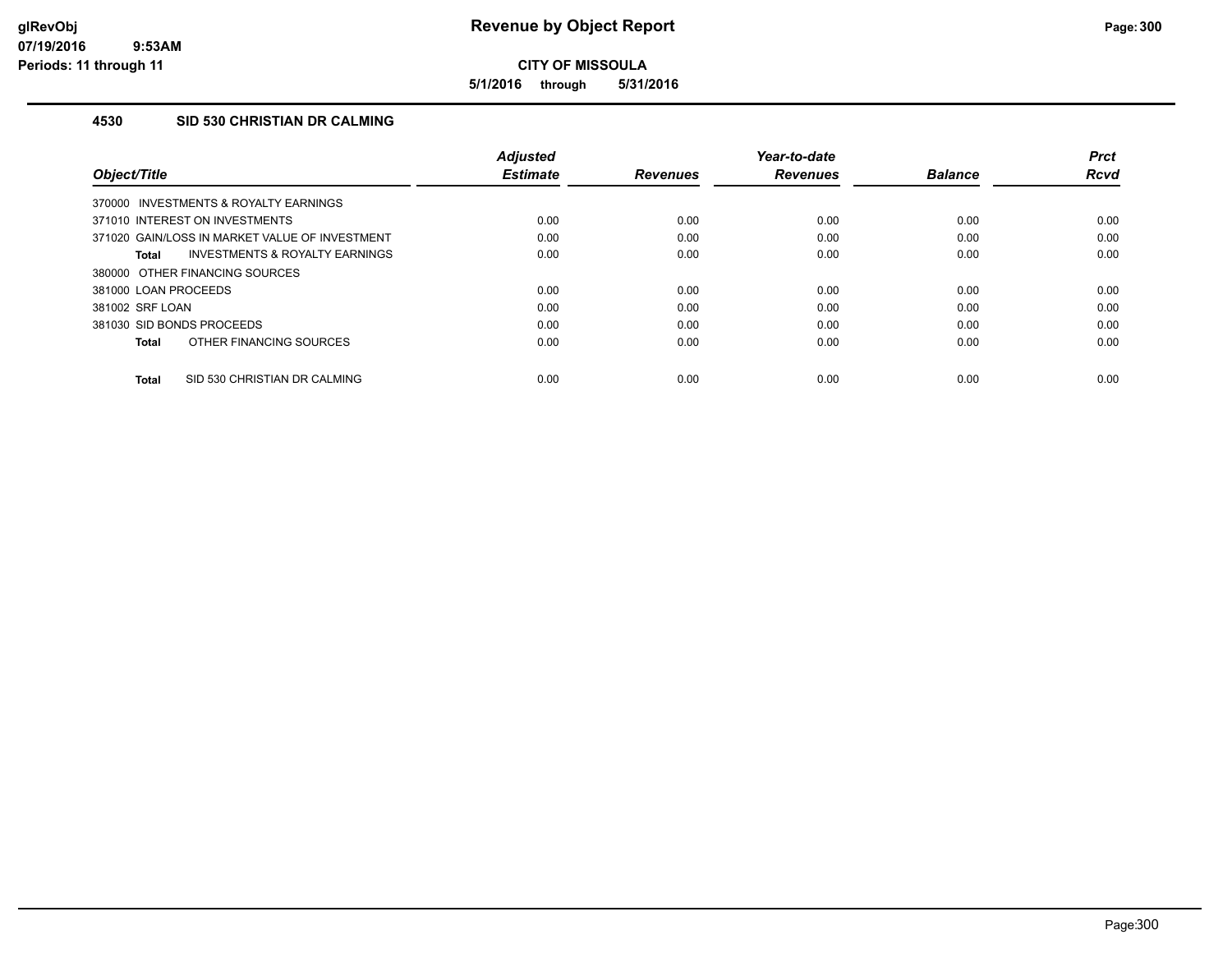**5/1/2016 through 5/31/2016**

## **4530 SID 530 CHRISTIAN DR CALMING**

| Object/Title                                   | <b>Adjusted</b><br><b>Estimate</b> | <b>Revenues</b> | Year-to-date<br><b>Revenues</b> | <b>Balance</b> | <b>Prct</b><br>Rcvd |
|------------------------------------------------|------------------------------------|-----------------|---------------------------------|----------------|---------------------|
| 370000 INVESTMENTS & ROYALTY EARNINGS          |                                    |                 |                                 |                |                     |
| 371010 INTEREST ON INVESTMENTS                 | 0.00                               | 0.00            | 0.00                            | 0.00           | 0.00                |
| 371020 GAIN/LOSS IN MARKET VALUE OF INVESTMENT | 0.00                               | 0.00            | 0.00                            | 0.00           | 0.00                |
| INVESTMENTS & ROYALTY EARNINGS<br>Total        | 0.00                               | 0.00            | 0.00                            | 0.00           | 0.00                |
| 380000 OTHER FINANCING SOURCES                 |                                    |                 |                                 |                |                     |
| 381000 LOAN PROCEEDS                           | 0.00                               | 0.00            | 0.00                            | 0.00           | 0.00                |
| 381002 SRF LOAN                                | 0.00                               | 0.00            | 0.00                            | 0.00           | 0.00                |
| 381030 SID BONDS PROCEEDS                      | 0.00                               | 0.00            | 0.00                            | 0.00           | 0.00                |
| OTHER FINANCING SOURCES<br><b>Total</b>        | 0.00                               | 0.00            | 0.00                            | 0.00           | 0.00                |
| SID 530 CHRISTIAN DR CALMING<br><b>Total</b>   | 0.00                               | 0.00            | 0.00                            | 0.00           | 0.00                |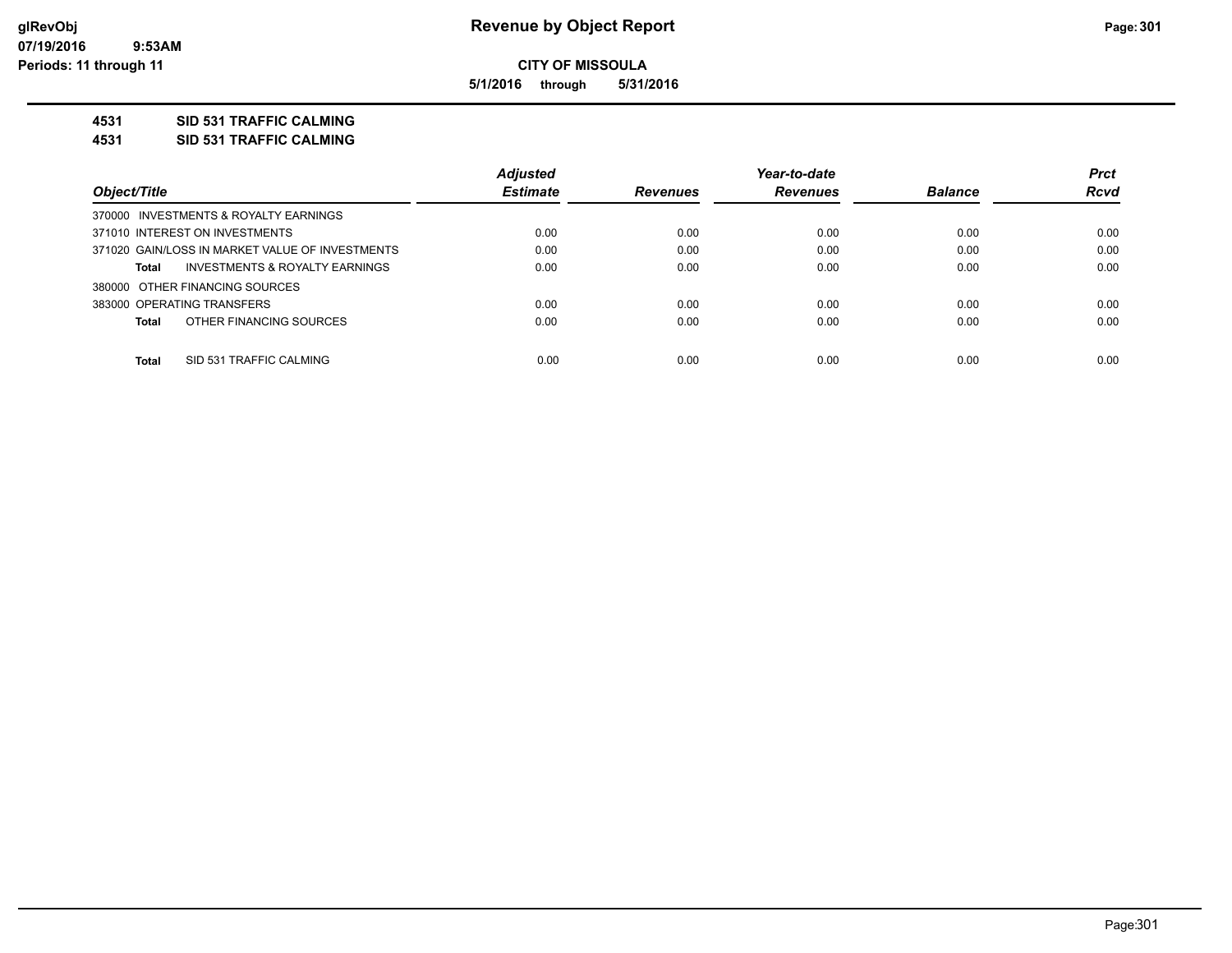**5/1/2016 through 5/31/2016**

### **4531 SID 531 TRAFFIC CALMING**

**4531 SID 531 TRAFFIC CALMING**

|                                                 | <b>Adjusted</b> |                 | Year-to-date    |                | <b>Prct</b> |
|-------------------------------------------------|-----------------|-----------------|-----------------|----------------|-------------|
| Object/Title                                    | <b>Estimate</b> | <b>Revenues</b> | <b>Revenues</b> | <b>Balance</b> | <b>Rcvd</b> |
| 370000 INVESTMENTS & ROYALTY EARNINGS           |                 |                 |                 |                |             |
| 371010 INTEREST ON INVESTMENTS                  | 0.00            | 0.00            | 0.00            | 0.00           | 0.00        |
| 371020 GAIN/LOSS IN MARKET VALUE OF INVESTMENTS | 0.00            | 0.00            | 0.00            | 0.00           | 0.00        |
| INVESTMENTS & ROYALTY EARNINGS<br>Total         | 0.00            | 0.00            | 0.00            | 0.00           | 0.00        |
| 380000 OTHER FINANCING SOURCES                  |                 |                 |                 |                |             |
| 383000 OPERATING TRANSFERS                      | 0.00            | 0.00            | 0.00            | 0.00           | 0.00        |
| OTHER FINANCING SOURCES<br>Total                | 0.00            | 0.00            | 0.00            | 0.00           | 0.00        |
| <b>Total</b><br>SID 531 TRAFFIC CALMING         | 0.00            | 0.00            | 0.00            | 0.00           | 0.00        |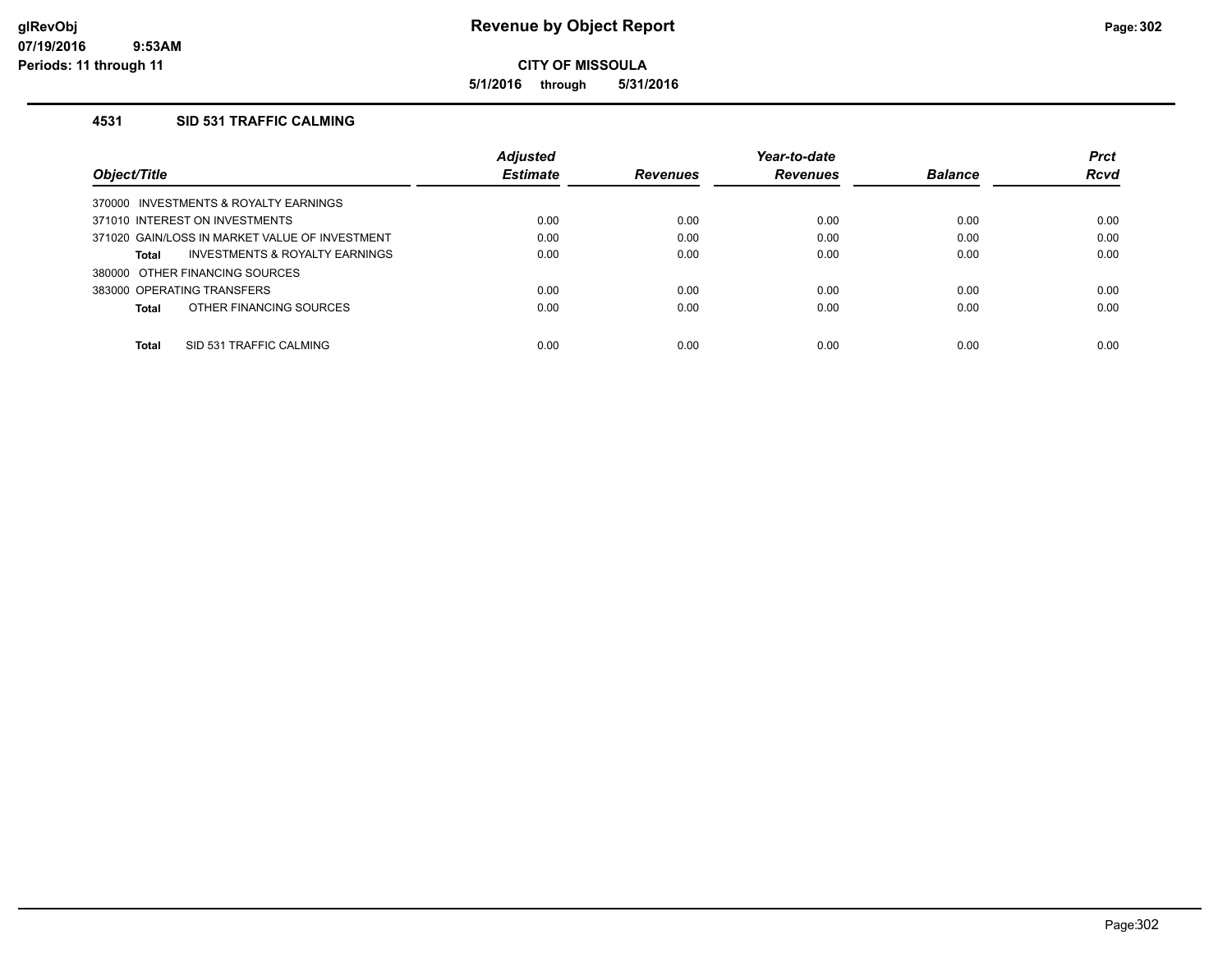**5/1/2016 through 5/31/2016**

## **4531 SID 531 TRAFFIC CALMING**

|                                                    | <b>Adjusted</b> |                 | Year-to-date    |                | <b>Prct</b> |
|----------------------------------------------------|-----------------|-----------------|-----------------|----------------|-------------|
| Object/Title                                       | <b>Estimate</b> | <b>Revenues</b> | <b>Revenues</b> | <b>Balance</b> | <b>Rcvd</b> |
| 370000 INVESTMENTS & ROYALTY EARNINGS              |                 |                 |                 |                |             |
| 371010 INTEREST ON INVESTMENTS                     | 0.00            | 0.00            | 0.00            | 0.00           | 0.00        |
| 371020 GAIN/LOSS IN MARKET VALUE OF INVESTMENT     | 0.00            | 0.00            | 0.00            | 0.00           | 0.00        |
| <b>INVESTMENTS &amp; ROYALTY EARNINGS</b><br>Total | 0.00            | 0.00            | 0.00            | 0.00           | 0.00        |
| 380000 OTHER FINANCING SOURCES                     |                 |                 |                 |                |             |
| 383000 OPERATING TRANSFERS                         | 0.00            | 0.00            | 0.00            | 0.00           | 0.00        |
| OTHER FINANCING SOURCES<br>Total                   | 0.00            | 0.00            | 0.00            | 0.00           | 0.00        |
|                                                    |                 |                 |                 |                |             |
| <b>Total</b><br>SID 531 TRAFFIC CALMING            | 0.00            | 0.00            | 0.00            | 0.00           | 0.00        |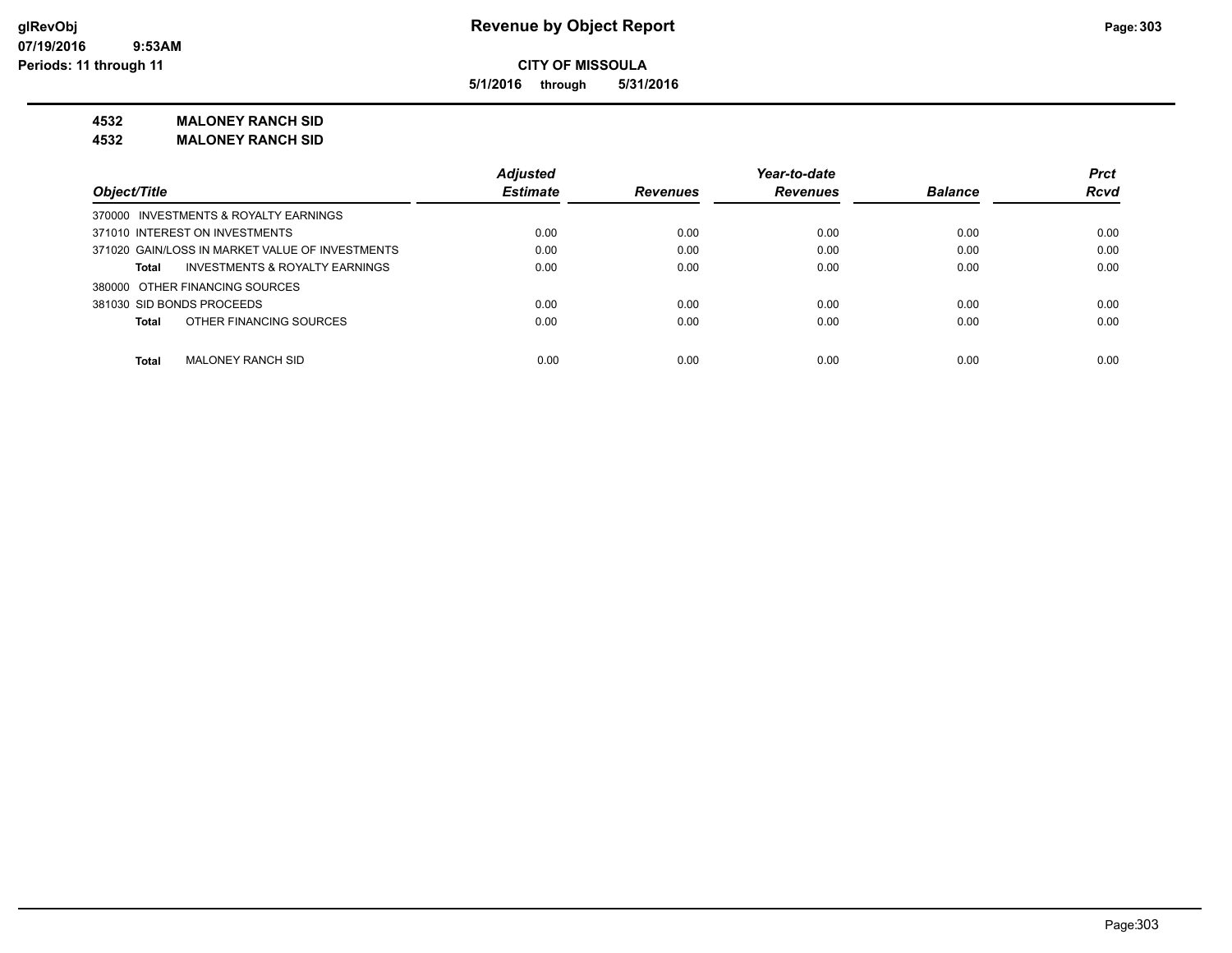**5/1/2016 through 5/31/2016**

**4532 MALONEY RANCH SID**

**4532 MALONEY RANCH SID**

|                                                    | <b>Adjusted</b> |                 | Year-to-date    |                | <b>Prct</b> |
|----------------------------------------------------|-----------------|-----------------|-----------------|----------------|-------------|
| Object/Title                                       | <b>Estimate</b> | <b>Revenues</b> | <b>Revenues</b> | <b>Balance</b> | <b>Rcvd</b> |
| 370000 INVESTMENTS & ROYALTY EARNINGS              |                 |                 |                 |                |             |
| 371010 INTEREST ON INVESTMENTS                     | 0.00            | 0.00            | 0.00            | 0.00           | 0.00        |
| 371020 GAIN/LOSS IN MARKET VALUE OF INVESTMENTS    | 0.00            | 0.00            | 0.00            | 0.00           | 0.00        |
| <b>INVESTMENTS &amp; ROYALTY EARNINGS</b><br>Total | 0.00            | 0.00            | 0.00            | 0.00           | 0.00        |
| 380000 OTHER FINANCING SOURCES                     |                 |                 |                 |                |             |
| 381030 SID BONDS PROCEEDS                          | 0.00            | 0.00            | 0.00            | 0.00           | 0.00        |
| OTHER FINANCING SOURCES<br><b>Total</b>            | 0.00            | 0.00            | 0.00            | 0.00           | 0.00        |
| <b>Total</b><br>MALONEY RANCH SID                  | 0.00            | 0.00            | 0.00            | 0.00           | 0.00        |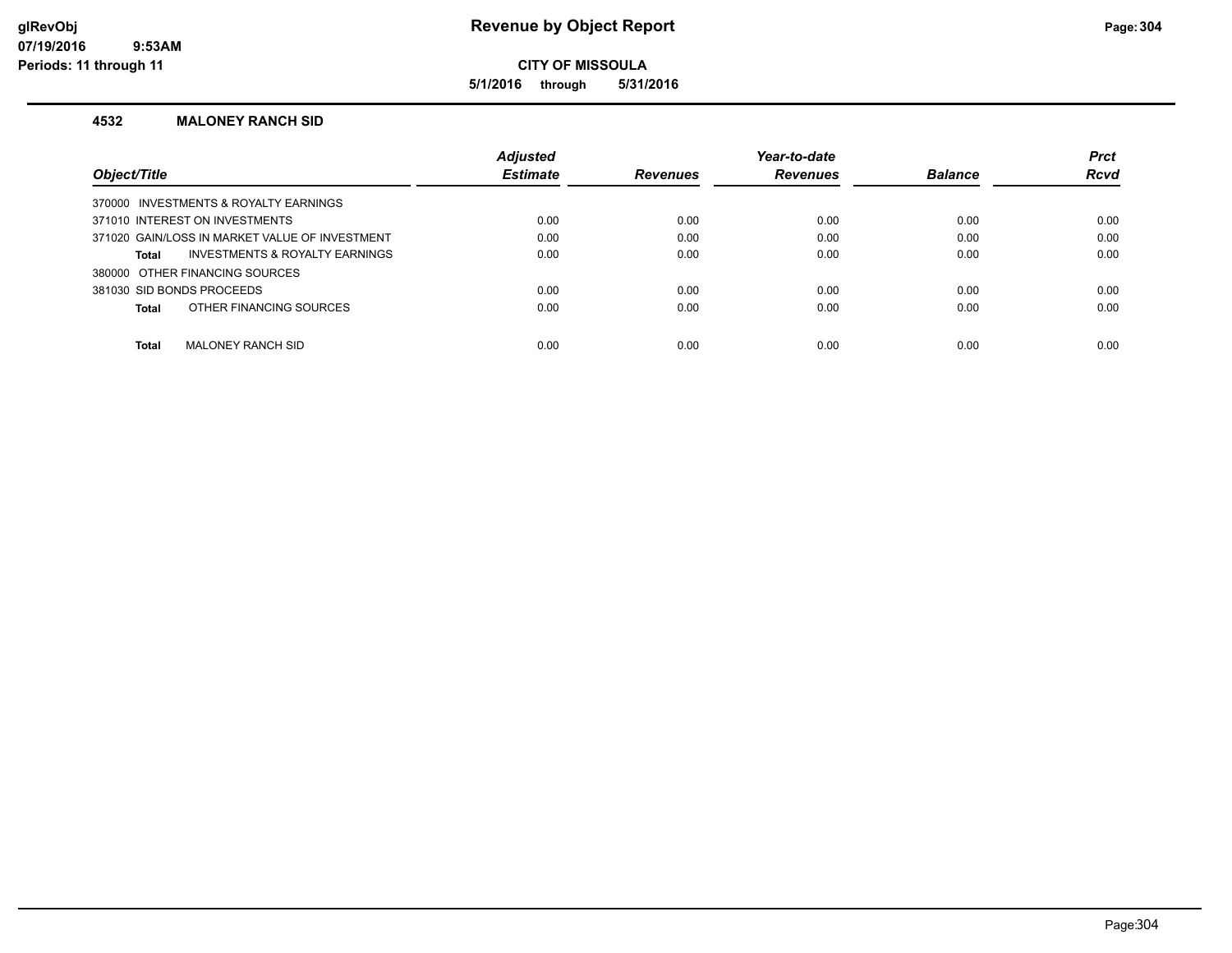## **glRevObj Revenue by Object Report Page:304**

## **CITY OF MISSOULA**

**5/1/2016 through 5/31/2016**

### **4532 MALONEY RANCH SID**

|                                                | <b>Adjusted</b> |                 | Year-to-date    |                | <b>Prct</b> |
|------------------------------------------------|-----------------|-----------------|-----------------|----------------|-------------|
| <b>Object/Title</b>                            | <b>Estimate</b> | <b>Revenues</b> | <b>Revenues</b> | <b>Balance</b> | <b>Rcvd</b> |
| 370000 INVESTMENTS & ROYALTY EARNINGS          |                 |                 |                 |                |             |
| 371010 INTEREST ON INVESTMENTS                 | 0.00            | 0.00            | 0.00            | 0.00           | 0.00        |
| 371020 GAIN/LOSS IN MARKET VALUE OF INVESTMENT | 0.00            | 0.00            | 0.00            | 0.00           | 0.00        |
| INVESTMENTS & ROYALTY EARNINGS<br>Total        | 0.00            | 0.00            | 0.00            | 0.00           | 0.00        |
| 380000 OTHER FINANCING SOURCES                 |                 |                 |                 |                |             |
| 381030 SID BONDS PROCEEDS                      | 0.00            | 0.00            | 0.00            | 0.00           | 0.00        |
| OTHER FINANCING SOURCES<br>Total               | 0.00            | 0.00            | 0.00            | 0.00           | 0.00        |
|                                                |                 |                 |                 |                |             |
| Total<br><b>MALONEY RANCH SID</b>              | 0.00            | 0.00            | 0.00            | 0.00           | 0.00        |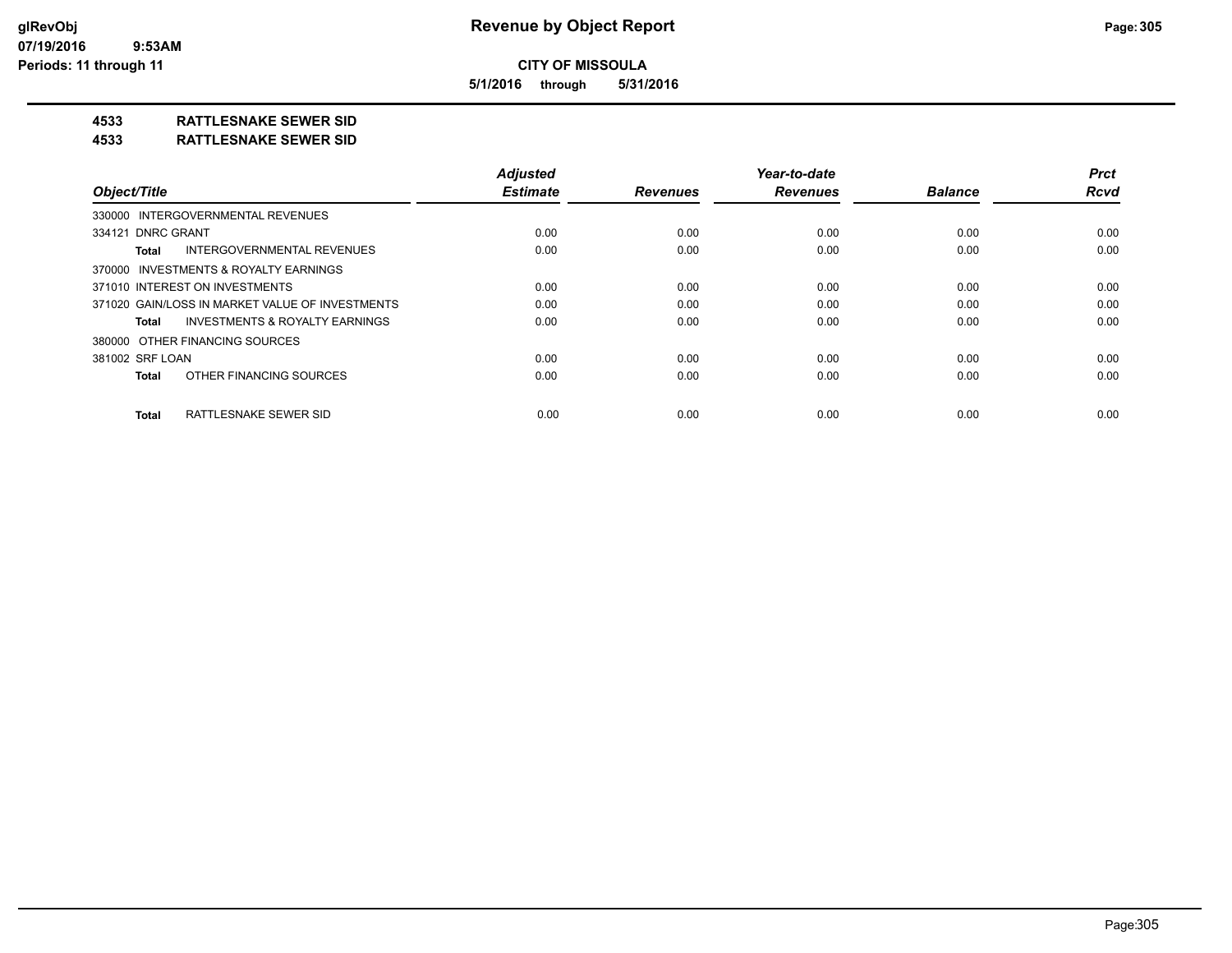**5/1/2016 through 5/31/2016**

## **4533 RATTLESNAKE SEWER SID**

#### **4533 RATTLESNAKE SEWER SID**

| Object/Title                                       | <b>Adjusted</b><br><b>Estimate</b> | <b>Revenues</b> | Year-to-date<br><b>Revenues</b> | <b>Balance</b> | <b>Prct</b><br><b>Rcvd</b> |
|----------------------------------------------------|------------------------------------|-----------------|---------------------------------|----------------|----------------------------|
|                                                    |                                    |                 |                                 |                |                            |
| 330000 INTERGOVERNMENTAL REVENUES                  |                                    |                 |                                 |                |                            |
| 334121 DNRC GRANT                                  | 0.00                               | 0.00            | 0.00                            | 0.00           | 0.00                       |
| INTERGOVERNMENTAL REVENUES<br><b>Total</b>         | 0.00                               | 0.00            | 0.00                            | 0.00           | 0.00                       |
| 370000 INVESTMENTS & ROYALTY EARNINGS              |                                    |                 |                                 |                |                            |
| 371010 INTEREST ON INVESTMENTS                     | 0.00                               | 0.00            | 0.00                            | 0.00           | 0.00                       |
| 371020 GAIN/LOSS IN MARKET VALUE OF INVESTMENTS    | 0.00                               | 0.00            | 0.00                            | 0.00           | 0.00                       |
| <b>INVESTMENTS &amp; ROYALTY EARNINGS</b><br>Total | 0.00                               | 0.00            | 0.00                            | 0.00           | 0.00                       |
| 380000 OTHER FINANCING SOURCES                     |                                    |                 |                                 |                |                            |
| 381002 SRF LOAN                                    | 0.00                               | 0.00            | 0.00                            | 0.00           | 0.00                       |
| OTHER FINANCING SOURCES<br><b>Total</b>            | 0.00                               | 0.00            | 0.00                            | 0.00           | 0.00                       |
| RATTLESNAKE SEWER SID<br><b>Total</b>              | 0.00                               | 0.00            | 0.00                            | 0.00           | 0.00                       |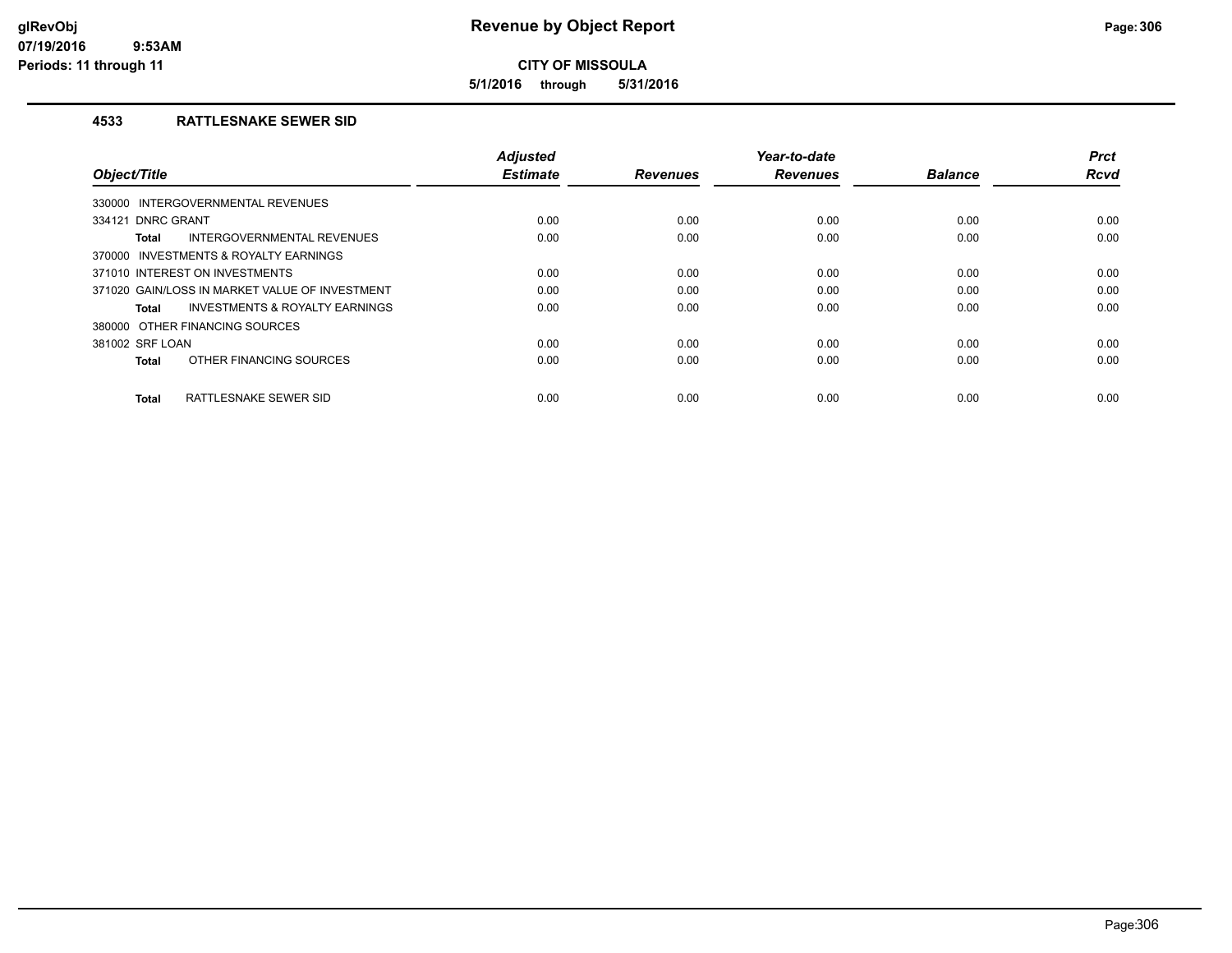**5/1/2016 through 5/31/2016**

## **4533 RATTLESNAKE SEWER SID**

| Object/Title                                   | <b>Adjusted</b><br><b>Estimate</b> | <b>Revenues</b> | Year-to-date<br><b>Revenues</b> | <b>Balance</b> | <b>Prct</b><br><b>Rcvd</b> |
|------------------------------------------------|------------------------------------|-----------------|---------------------------------|----------------|----------------------------|
| INTERGOVERNMENTAL REVENUES<br>330000           |                                    |                 |                                 |                |                            |
| 334121 DNRC GRANT                              | 0.00                               | 0.00            | 0.00                            | 0.00           | 0.00                       |
| INTERGOVERNMENTAL REVENUES<br>Total            | 0.00                               | 0.00            | 0.00                            | 0.00           | 0.00                       |
| 370000 INVESTMENTS & ROYALTY EARNINGS          |                                    |                 |                                 |                |                            |
| 371010 INTEREST ON INVESTMENTS                 | 0.00                               | 0.00            | 0.00                            | 0.00           | 0.00                       |
| 371020 GAIN/LOSS IN MARKET VALUE OF INVESTMENT | 0.00                               | 0.00            | 0.00                            | 0.00           | 0.00                       |
| INVESTMENTS & ROYALTY EARNINGS<br>Total        | 0.00                               | 0.00            | 0.00                            | 0.00           | 0.00                       |
| 380000 OTHER FINANCING SOURCES                 |                                    |                 |                                 |                |                            |
| 381002 SRF LOAN                                | 0.00                               | 0.00            | 0.00                            | 0.00           | 0.00                       |
| OTHER FINANCING SOURCES<br><b>Total</b>        | 0.00                               | 0.00            | 0.00                            | 0.00           | 0.00                       |
| RATTLESNAKE SEWER SID<br><b>Total</b>          | 0.00                               | 0.00            | 0.00                            | 0.00           | 0.00                       |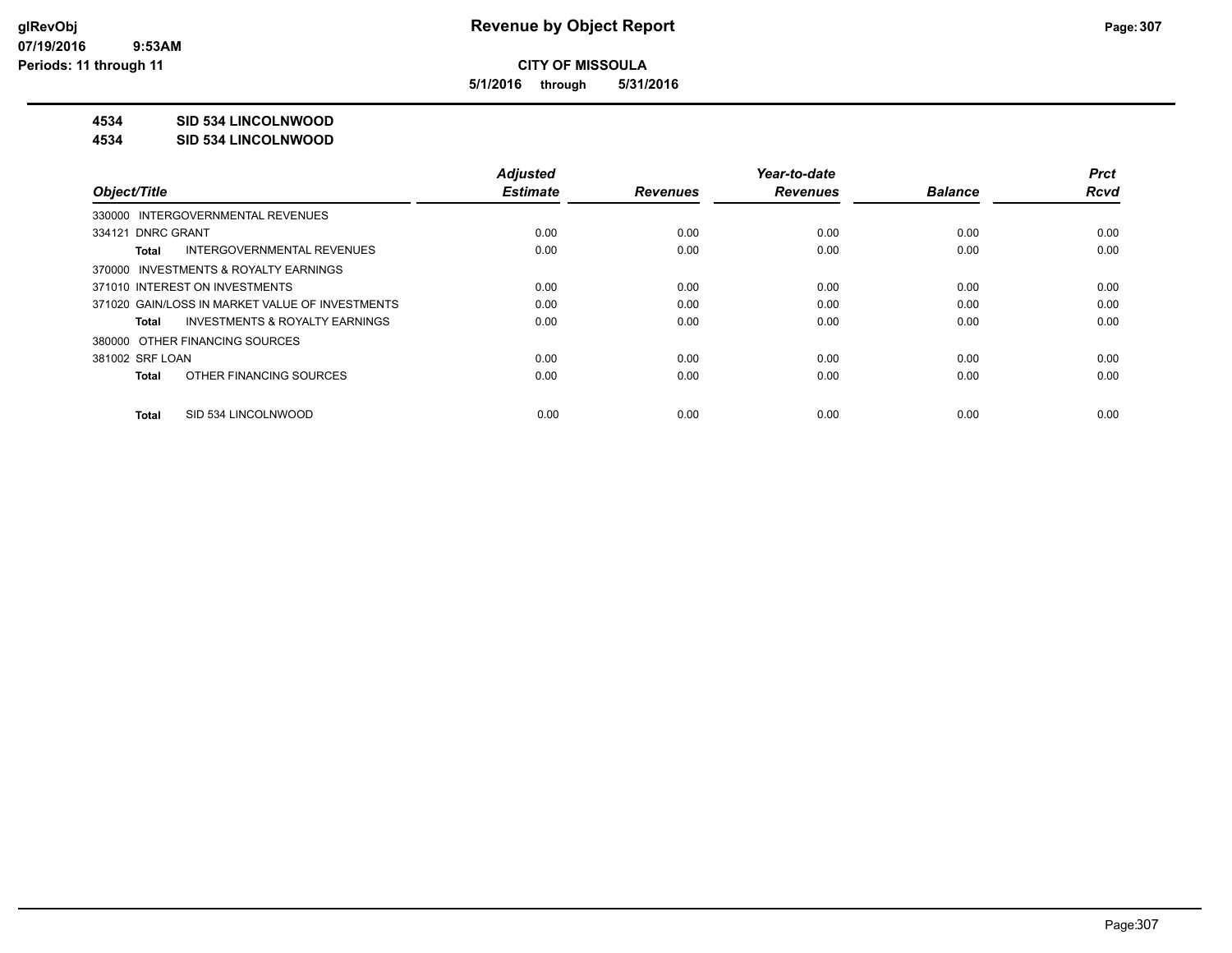**5/1/2016 through 5/31/2016**

## **4534 SID 534 LINCOLNWOOD**

#### **4534 SID 534 LINCOLNWOOD**

|                                                    | <b>Adjusted</b> |                 | Year-to-date    |                | <b>Prct</b> |
|----------------------------------------------------|-----------------|-----------------|-----------------|----------------|-------------|
| Object/Title                                       | <b>Estimate</b> | <b>Revenues</b> | <b>Revenues</b> | <b>Balance</b> | <b>Rcvd</b> |
| 330000 INTERGOVERNMENTAL REVENUES                  |                 |                 |                 |                |             |
| 334121 DNRC GRANT                                  | 0.00            | 0.00            | 0.00            | 0.00           | 0.00        |
| INTERGOVERNMENTAL REVENUES<br>Total                | 0.00            | 0.00            | 0.00            | 0.00           | 0.00        |
| 370000 INVESTMENTS & ROYALTY EARNINGS              |                 |                 |                 |                |             |
| 371010 INTEREST ON INVESTMENTS                     | 0.00            | 0.00            | 0.00            | 0.00           | 0.00        |
| 371020 GAIN/LOSS IN MARKET VALUE OF INVESTMENTS    | 0.00            | 0.00            | 0.00            | 0.00           | 0.00        |
| <b>INVESTMENTS &amp; ROYALTY EARNINGS</b><br>Total | 0.00            | 0.00            | 0.00            | 0.00           | 0.00        |
| 380000 OTHER FINANCING SOURCES                     |                 |                 |                 |                |             |
| 381002 SRF LOAN                                    | 0.00            | 0.00            | 0.00            | 0.00           | 0.00        |
| OTHER FINANCING SOURCES<br>Total                   | 0.00            | 0.00            | 0.00            | 0.00           | 0.00        |
| SID 534 LINCOLNWOOD<br>Total                       | 0.00            | 0.00            | 0.00            | 0.00           | 0.00        |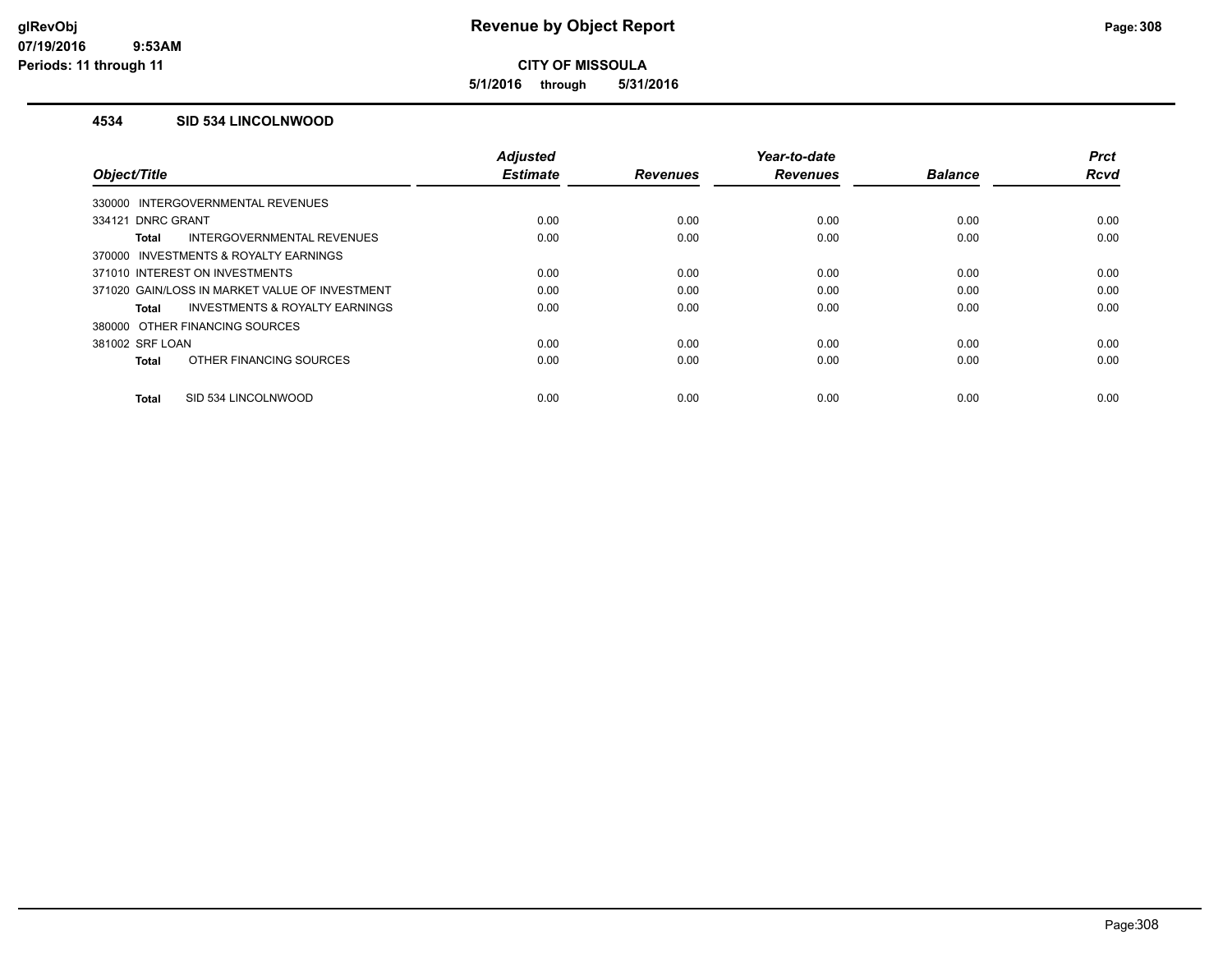**5/1/2016 through 5/31/2016**

### **4534 SID 534 LINCOLNWOOD**

|                                                    | <b>Adjusted</b> |                 | Year-to-date    |                | <b>Prct</b> |
|----------------------------------------------------|-----------------|-----------------|-----------------|----------------|-------------|
| Object/Title                                       | <b>Estimate</b> | <b>Revenues</b> | <b>Revenues</b> | <b>Balance</b> | Rcvd        |
| 330000 INTERGOVERNMENTAL REVENUES                  |                 |                 |                 |                |             |
| 334121 DNRC GRANT                                  | 0.00            | 0.00            | 0.00            | 0.00           | 0.00        |
| INTERGOVERNMENTAL REVENUES<br>Total                | 0.00            | 0.00            | 0.00            | 0.00           | 0.00        |
| 370000 INVESTMENTS & ROYALTY EARNINGS              |                 |                 |                 |                |             |
| 371010 INTEREST ON INVESTMENTS                     | 0.00            | 0.00            | 0.00            | 0.00           | 0.00        |
| 371020 GAIN/LOSS IN MARKET VALUE OF INVESTMENT     | 0.00            | 0.00            | 0.00            | 0.00           | 0.00        |
| <b>INVESTMENTS &amp; ROYALTY EARNINGS</b><br>Total | 0.00            | 0.00            | 0.00            | 0.00           | 0.00        |
| 380000 OTHER FINANCING SOURCES                     |                 |                 |                 |                |             |
| 381002 SRF LOAN                                    | 0.00            | 0.00            | 0.00            | 0.00           | 0.00        |
| OTHER FINANCING SOURCES<br><b>Total</b>            | 0.00            | 0.00            | 0.00            | 0.00           | 0.00        |
|                                                    |                 |                 |                 |                |             |
| SID 534 LINCOLNWOOD<br><b>Total</b>                | 0.00            | 0.00            | 0.00            | 0.00           | 0.00        |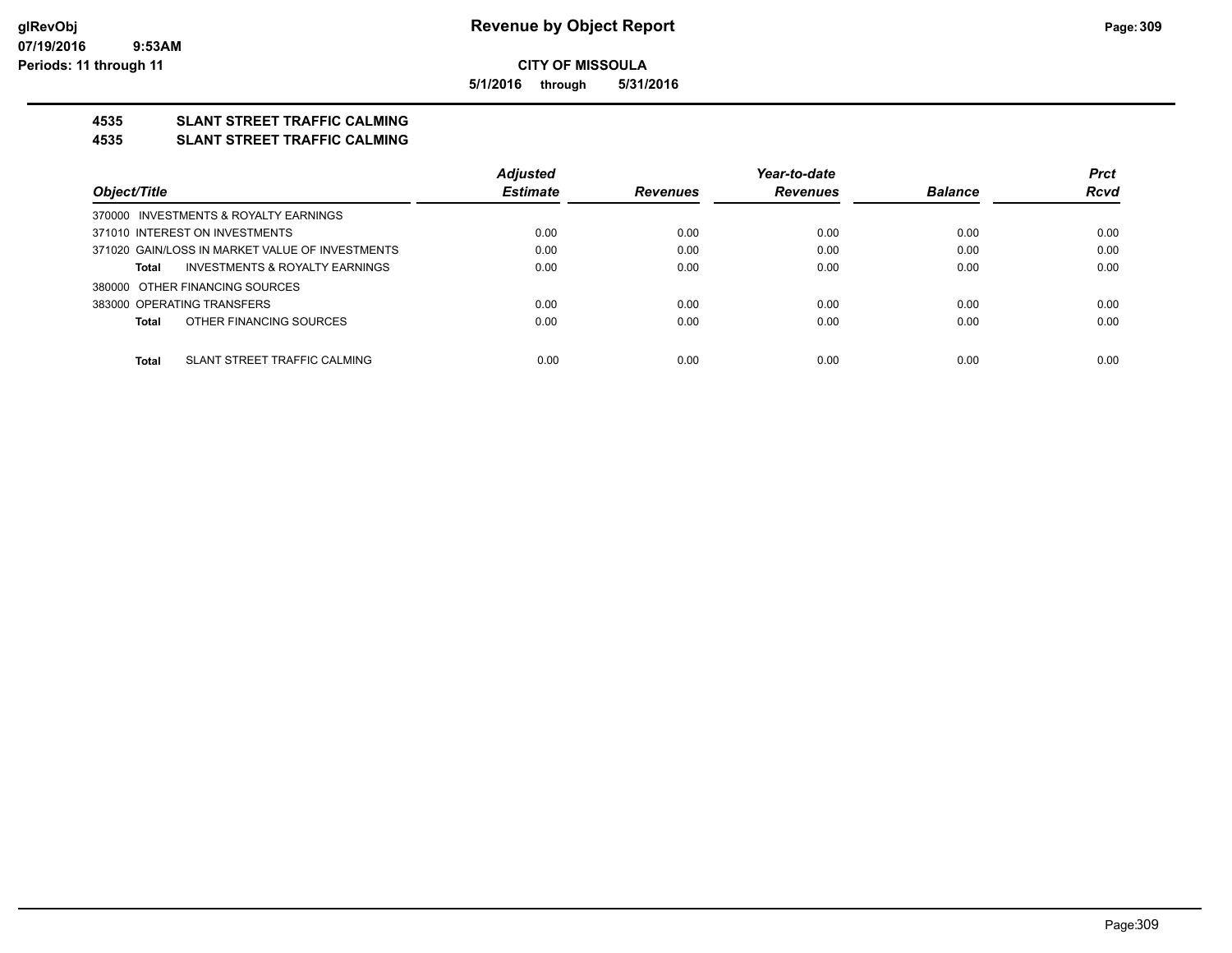**5/1/2016 through 5/31/2016**

## **4535 SLANT STREET TRAFFIC CALMING**

#### **4535 SLANT STREET TRAFFIC CALMING**

|                                                 | <b>Adjusted</b> |                 | Year-to-date    |                | <b>Prct</b> |
|-------------------------------------------------|-----------------|-----------------|-----------------|----------------|-------------|
| Object/Title                                    | <b>Estimate</b> | <b>Revenues</b> | <b>Revenues</b> | <b>Balance</b> | <b>Rcvd</b> |
| 370000 INVESTMENTS & ROYALTY EARNINGS           |                 |                 |                 |                |             |
| 371010 INTEREST ON INVESTMENTS                  | 0.00            | 0.00            | 0.00            | 0.00           | 0.00        |
| 371020 GAIN/LOSS IN MARKET VALUE OF INVESTMENTS | 0.00            | 0.00            | 0.00            | 0.00           | 0.00        |
| INVESTMENTS & ROYALTY EARNINGS<br>Total         | 0.00            | 0.00            | 0.00            | 0.00           | 0.00        |
| 380000 OTHER FINANCING SOURCES                  |                 |                 |                 |                |             |
| 383000 OPERATING TRANSFERS                      | 0.00            | 0.00            | 0.00            | 0.00           | 0.00        |
| OTHER FINANCING SOURCES<br>Total                | 0.00            | 0.00            | 0.00            | 0.00           | 0.00        |
|                                                 |                 |                 |                 |                |             |
| SLANT STREET TRAFFIC CALMING<br><b>Total</b>    | 0.00            | 0.00            | 0.00            | 0.00           | 0.00        |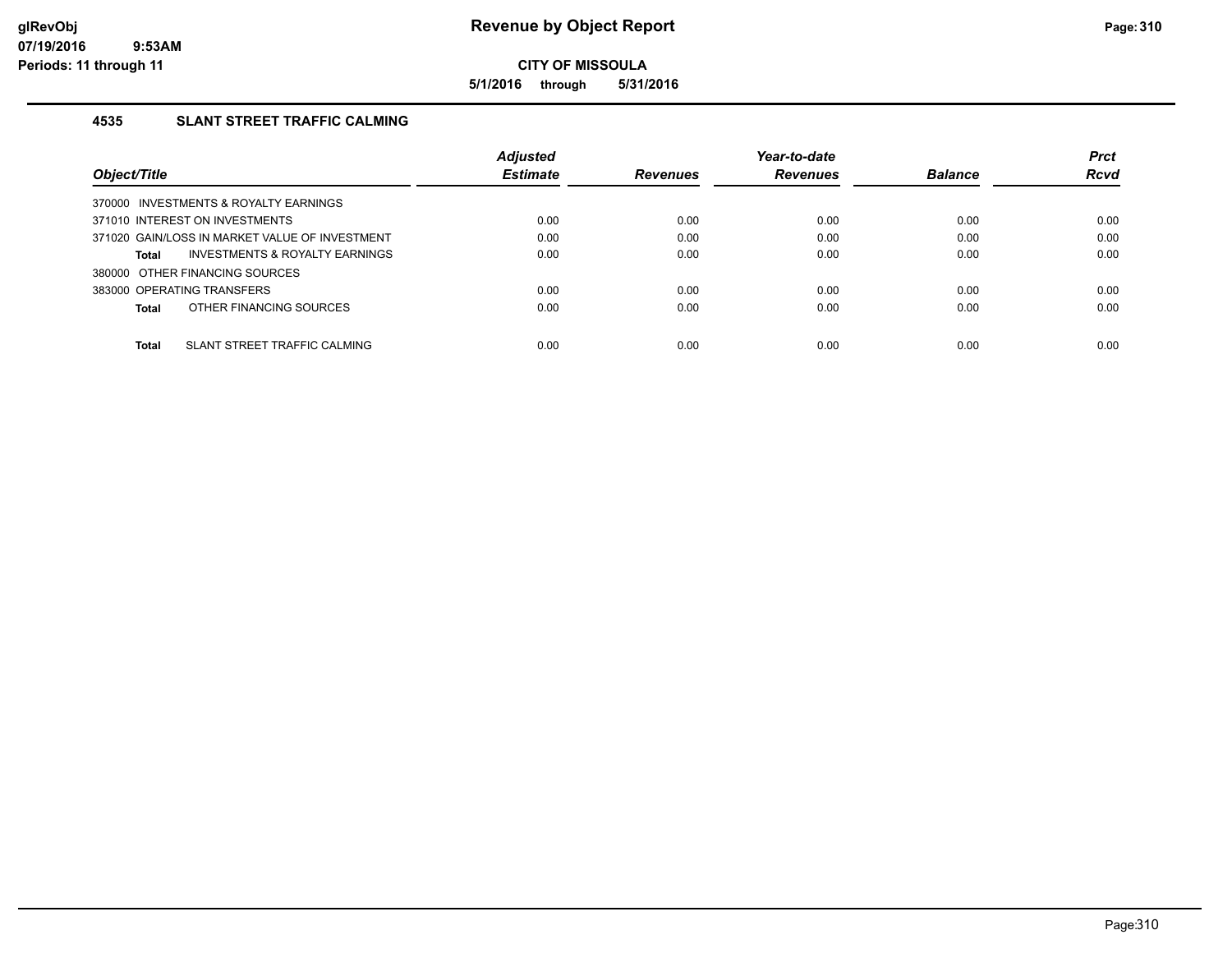**5/1/2016 through 5/31/2016**

## **4535 SLANT STREET TRAFFIC CALMING**

|                                                    | <b>Adjusted</b> |                 | Year-to-date    |                | <b>Prct</b> |
|----------------------------------------------------|-----------------|-----------------|-----------------|----------------|-------------|
| Object/Title                                       | <b>Estimate</b> | <b>Revenues</b> | <b>Revenues</b> | <b>Balance</b> | <b>Rcvd</b> |
| 370000 INVESTMENTS & ROYALTY EARNINGS              |                 |                 |                 |                |             |
| 371010 INTEREST ON INVESTMENTS                     | 0.00            | 0.00            | 0.00            | 0.00           | 0.00        |
| 371020 GAIN/LOSS IN MARKET VALUE OF INVESTMENT     | 0.00            | 0.00            | 0.00            | 0.00           | 0.00        |
| <b>INVESTMENTS &amp; ROYALTY EARNINGS</b><br>Total | 0.00            | 0.00            | 0.00            | 0.00           | 0.00        |
| 380000 OTHER FINANCING SOURCES                     |                 |                 |                 |                |             |
| 383000 OPERATING TRANSFERS                         | 0.00            | 0.00            | 0.00            | 0.00           | 0.00        |
| OTHER FINANCING SOURCES<br>Total                   | 0.00            | 0.00            | 0.00            | 0.00           | 0.00        |
|                                                    |                 |                 |                 |                |             |
| SLANT STREET TRAFFIC CALMING<br>Total              | 0.00            | 0.00            | 0.00            | 0.00           | 0.00        |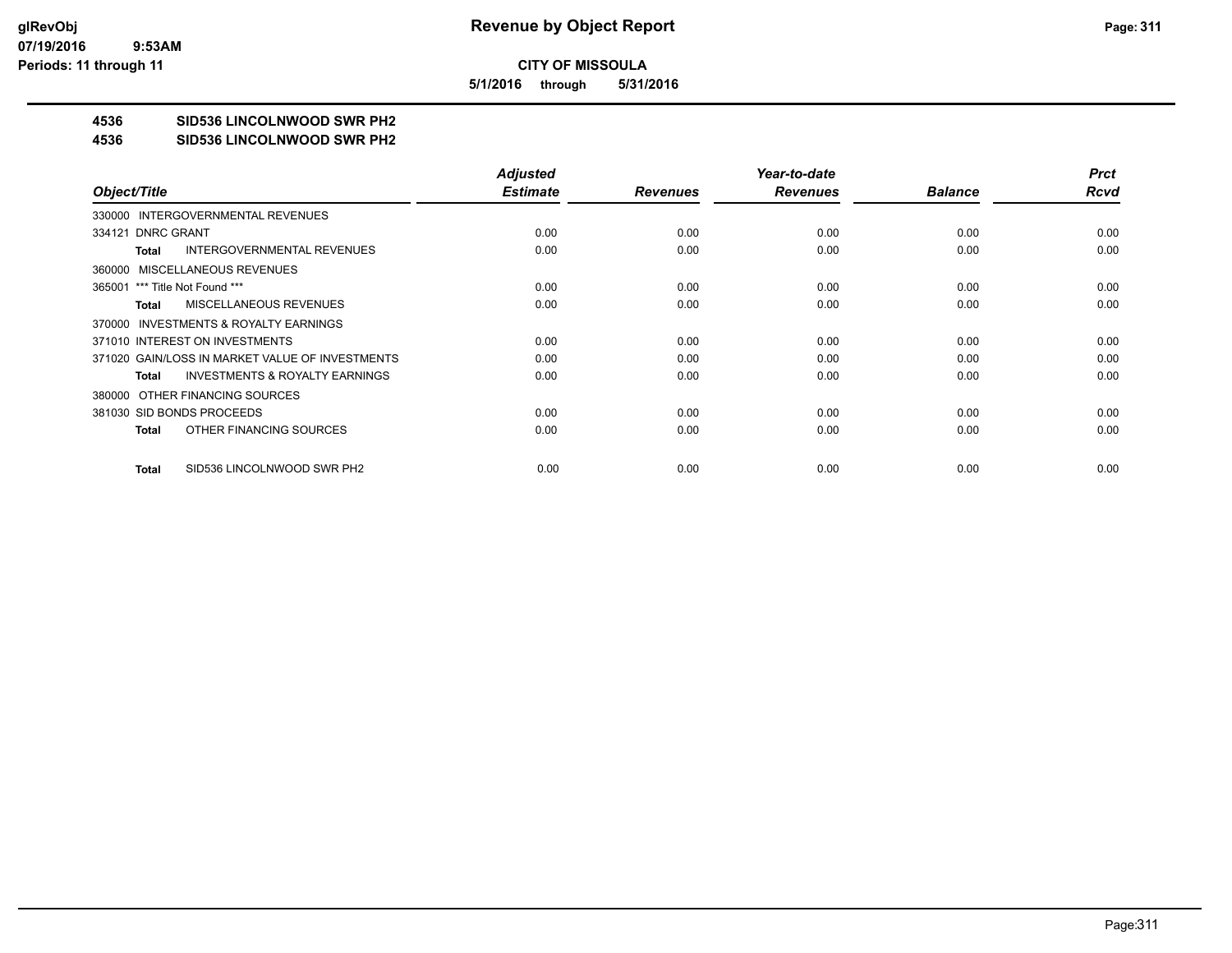**5/1/2016 through 5/31/2016**

## **4536 SID536 LINCOLNWOOD SWR PH2**

#### **4536 SID536 LINCOLNWOOD SWR PH2**

|                                                    | <b>Adjusted</b> |                 | Year-to-date    |                | <b>Prct</b> |
|----------------------------------------------------|-----------------|-----------------|-----------------|----------------|-------------|
| Object/Title                                       | <b>Estimate</b> | <b>Revenues</b> | <b>Revenues</b> | <b>Balance</b> | Rcvd        |
| 330000 INTERGOVERNMENTAL REVENUES                  |                 |                 |                 |                |             |
| 334121 DNRC GRANT                                  | 0.00            | 0.00            | 0.00            | 0.00           | 0.00        |
| <b>INTERGOVERNMENTAL REVENUES</b><br>Total         | 0.00            | 0.00            | 0.00            | 0.00           | 0.00        |
| 360000 MISCELLANEOUS REVENUES                      |                 |                 |                 |                |             |
| 365001 *** Title Not Found ***                     | 0.00            | 0.00            | 0.00            | 0.00           | 0.00        |
| <b>MISCELLANEOUS REVENUES</b><br>Total             | 0.00            | 0.00            | 0.00            | 0.00           | 0.00        |
| 370000 INVESTMENTS & ROYALTY EARNINGS              |                 |                 |                 |                |             |
| 371010 INTEREST ON INVESTMENTS                     | 0.00            | 0.00            | 0.00            | 0.00           | 0.00        |
| 371020 GAIN/LOSS IN MARKET VALUE OF INVESTMENTS    | 0.00            | 0.00            | 0.00            | 0.00           | 0.00        |
| <b>INVESTMENTS &amp; ROYALTY EARNINGS</b><br>Total | 0.00            | 0.00            | 0.00            | 0.00           | 0.00        |
| 380000 OTHER FINANCING SOURCES                     |                 |                 |                 |                |             |
| 381030 SID BONDS PROCEEDS                          | 0.00            | 0.00            | 0.00            | 0.00           | 0.00        |
| OTHER FINANCING SOURCES<br>Total                   | 0.00            | 0.00            | 0.00            | 0.00           | 0.00        |
|                                                    |                 |                 |                 |                |             |
| SID536 LINCOLNWOOD SWR PH2<br>Total                | 0.00            | 0.00            | 0.00            | 0.00           | 0.00        |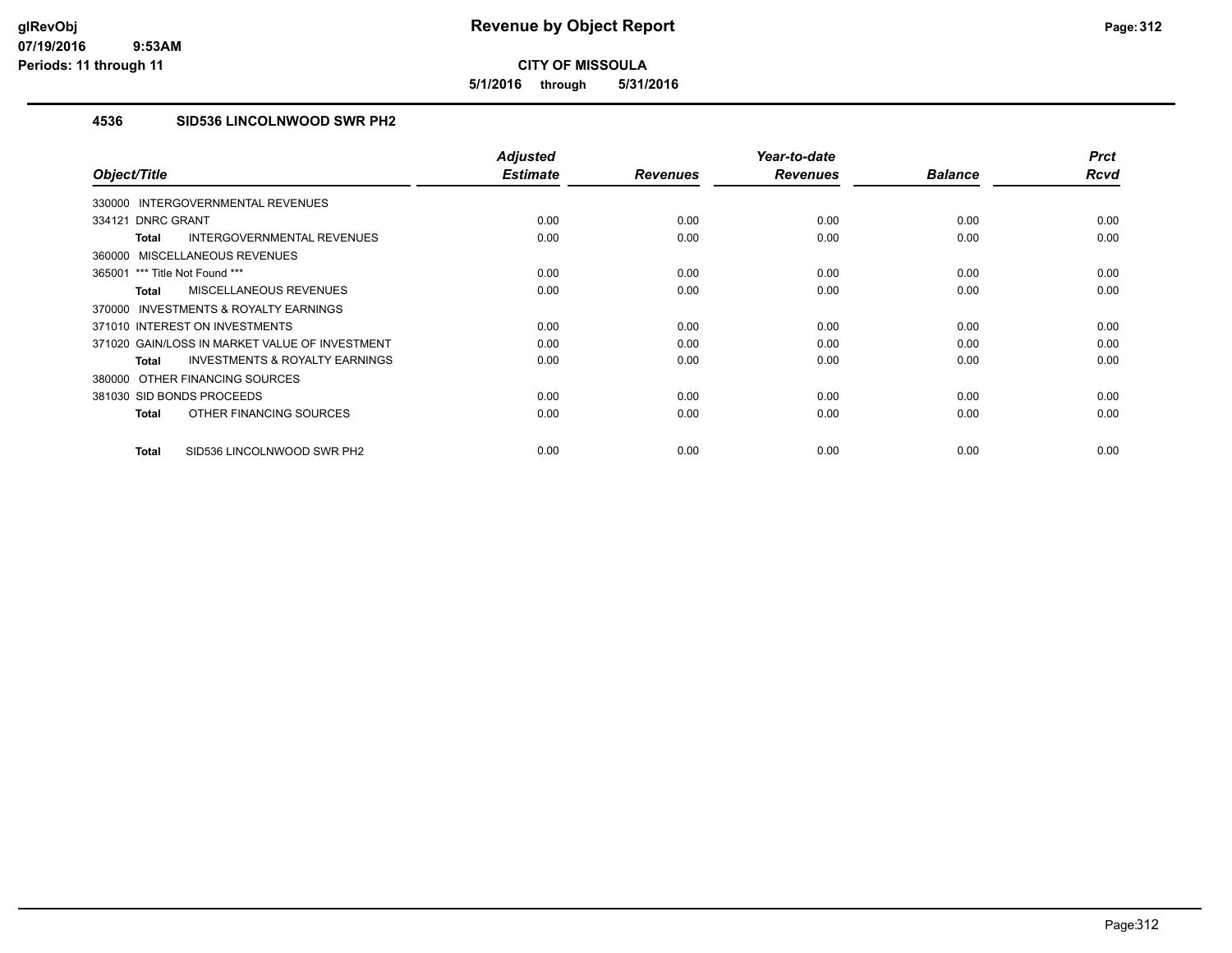**5/1/2016 through 5/31/2016**

## **4536 SID536 LINCOLNWOOD SWR PH2**

| Object/Title                                              | <b>Adjusted</b><br><b>Estimate</b> | <b>Revenues</b> | Year-to-date<br><b>Revenues</b> | <b>Balance</b> | <b>Prct</b><br><b>Rcvd</b> |
|-----------------------------------------------------------|------------------------------------|-----------------|---------------------------------|----------------|----------------------------|
|                                                           |                                    |                 |                                 |                |                            |
| 330000 INTERGOVERNMENTAL REVENUES                         |                                    |                 |                                 |                |                            |
| 334121 DNRC GRANT                                         | 0.00                               | 0.00            | 0.00                            | 0.00           | 0.00                       |
| INTERGOVERNMENTAL REVENUES<br><b>Total</b>                | 0.00                               | 0.00            | 0.00                            | 0.00           | 0.00                       |
| 360000 MISCELLANEOUS REVENUES                             |                                    |                 |                                 |                |                            |
| 365001 *** Title Not Found ***                            | 0.00                               | 0.00            | 0.00                            | 0.00           | 0.00                       |
| <b>MISCELLANEOUS REVENUES</b><br><b>Total</b>             | 0.00                               | 0.00            | 0.00                            | 0.00           | 0.00                       |
| 370000 INVESTMENTS & ROYALTY EARNINGS                     |                                    |                 |                                 |                |                            |
| 371010 INTEREST ON INVESTMENTS                            | 0.00                               | 0.00            | 0.00                            | 0.00           | 0.00                       |
| 371020 GAIN/LOSS IN MARKET VALUE OF INVESTMENT            | 0.00                               | 0.00            | 0.00                            | 0.00           | 0.00                       |
| <b>INVESTMENTS &amp; ROYALTY EARNINGS</b><br><b>Total</b> | 0.00                               | 0.00            | 0.00                            | 0.00           | 0.00                       |
| 380000 OTHER FINANCING SOURCES                            |                                    |                 |                                 |                |                            |
| 381030 SID BONDS PROCEEDS                                 | 0.00                               | 0.00            | 0.00                            | 0.00           | 0.00                       |
| OTHER FINANCING SOURCES<br><b>Total</b>                   | 0.00                               | 0.00            | 0.00                            | 0.00           | 0.00                       |
| SID536 LINCOLNWOOD SWR PH2<br><b>Total</b>                | 0.00                               | 0.00            | 0.00                            | 0.00           | 0.00                       |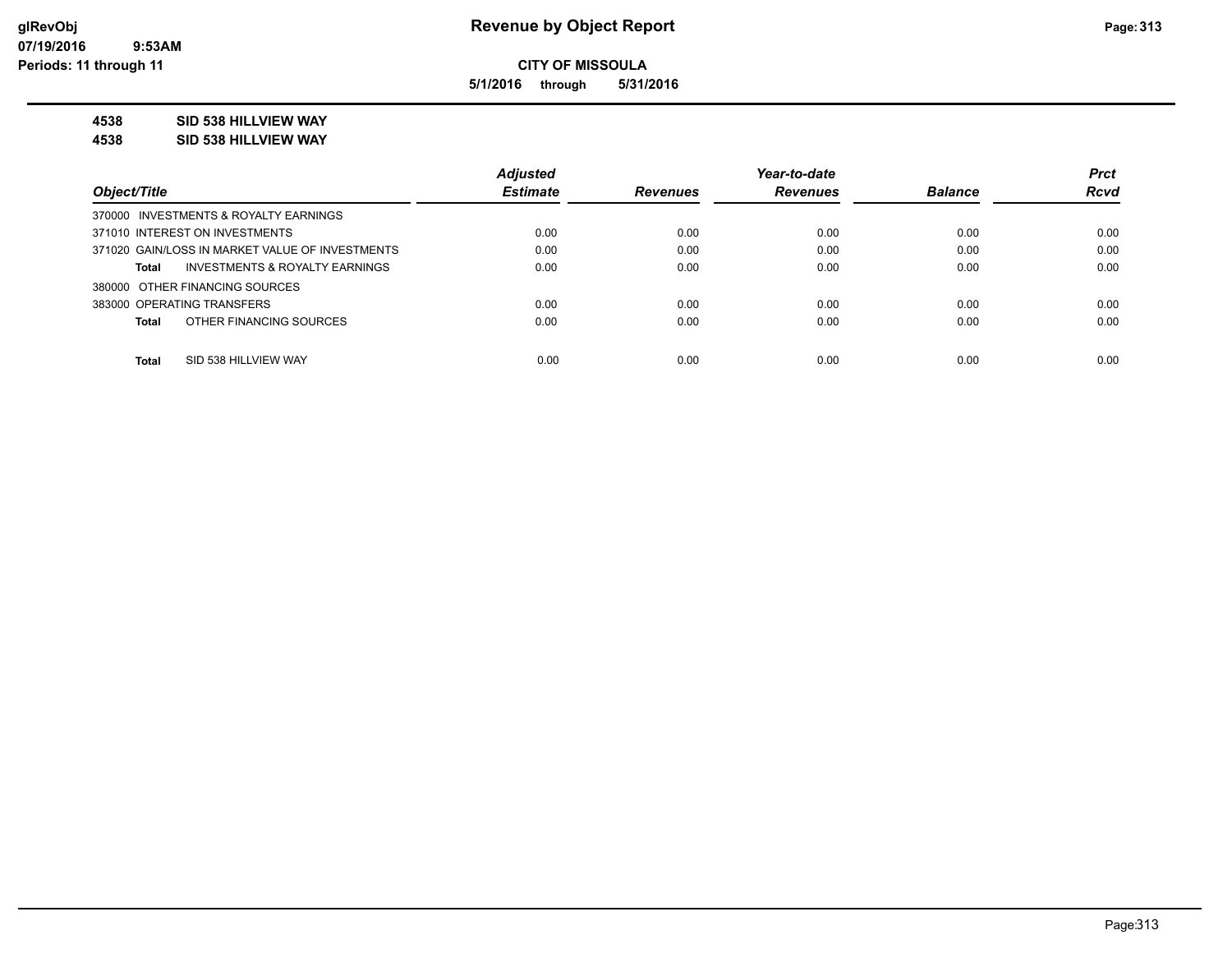**5/1/2016 through 5/31/2016**

## **4538 SID 538 HILLVIEW WAY**

**4538 SID 538 HILLVIEW WAY**

|                                                    | <b>Adjusted</b> |                 | Year-to-date    |                | <b>Prct</b> |
|----------------------------------------------------|-----------------|-----------------|-----------------|----------------|-------------|
| Object/Title                                       | <b>Estimate</b> | <b>Revenues</b> | <b>Revenues</b> | <b>Balance</b> | <b>Rcvd</b> |
| 370000 INVESTMENTS & ROYALTY EARNINGS              |                 |                 |                 |                |             |
| 371010 INTEREST ON INVESTMENTS                     | 0.00            | 0.00            | 0.00            | 0.00           | 0.00        |
| 371020 GAIN/LOSS IN MARKET VALUE OF INVESTMENTS    | 0.00            | 0.00            | 0.00            | 0.00           | 0.00        |
| <b>INVESTMENTS &amp; ROYALTY EARNINGS</b><br>Total | 0.00            | 0.00            | 0.00            | 0.00           | 0.00        |
| 380000 OTHER FINANCING SOURCES                     |                 |                 |                 |                |             |
| 383000 OPERATING TRANSFERS                         | 0.00            | 0.00            | 0.00            | 0.00           | 0.00        |
| OTHER FINANCING SOURCES<br><b>Total</b>            | 0.00            | 0.00            | 0.00            | 0.00           | 0.00        |
|                                                    |                 |                 |                 |                |             |
| <b>Total</b><br>SID 538 HILLVIEW WAY               | 0.00            | 0.00            | 0.00            | 0.00           | 0.00        |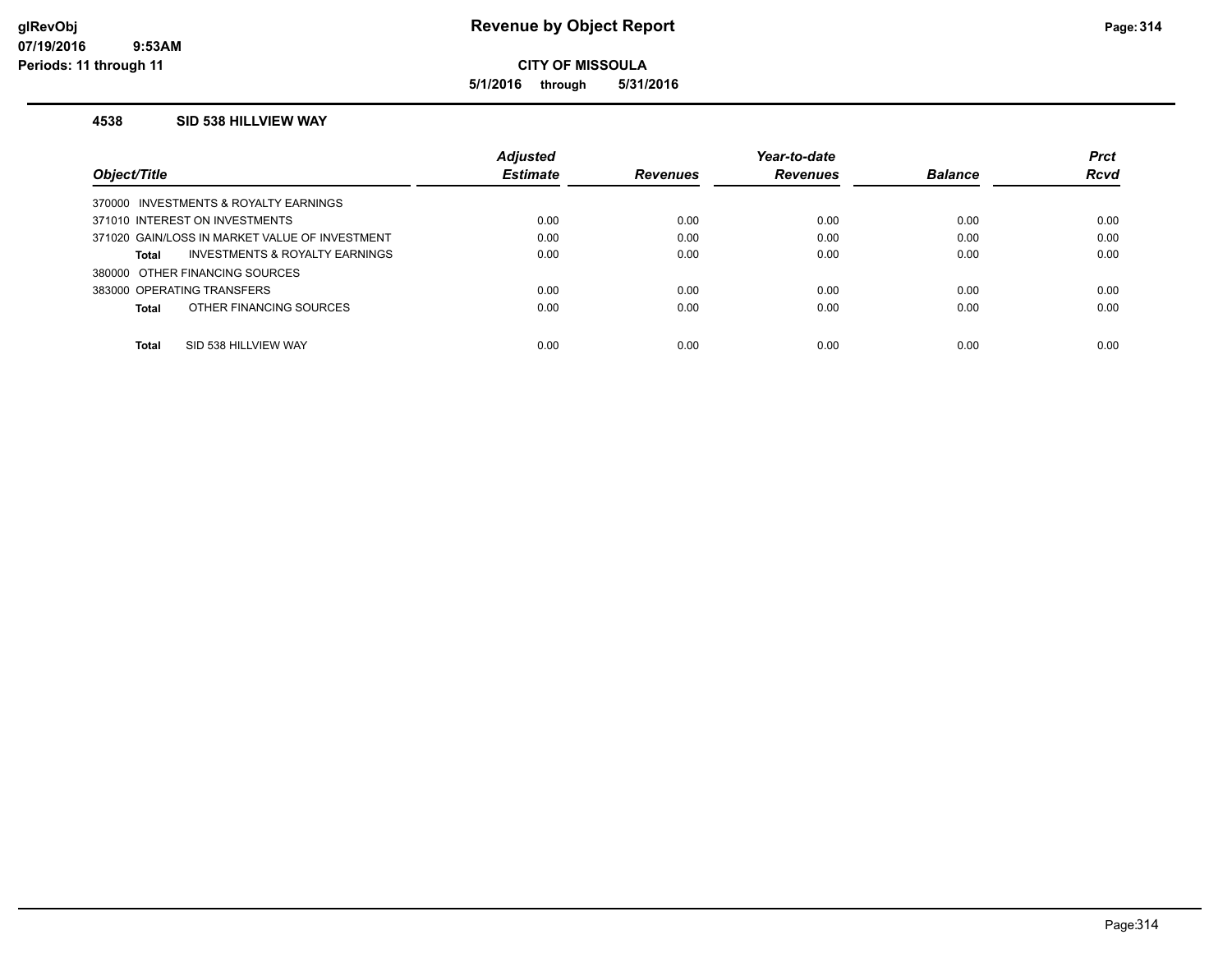**5/1/2016 through 5/31/2016**

#### **4538 SID 538 HILLVIEW WAY**

|                                                | <b>Adjusted</b> |                 | Year-to-date    |                | <b>Prct</b> |
|------------------------------------------------|-----------------|-----------------|-----------------|----------------|-------------|
| Object/Title                                   | <b>Estimate</b> | <b>Revenues</b> | <b>Revenues</b> | <b>Balance</b> | <b>Rcvd</b> |
| 370000 INVESTMENTS & ROYALTY EARNINGS          |                 |                 |                 |                |             |
| 371010 INTEREST ON INVESTMENTS                 | 0.00            | 0.00            | 0.00            | 0.00           | 0.00        |
| 371020 GAIN/LOSS IN MARKET VALUE OF INVESTMENT | 0.00            | 0.00            | 0.00            | 0.00           | 0.00        |
| INVESTMENTS & ROYALTY EARNINGS<br>Total        | 0.00            | 0.00            | 0.00            | 0.00           | 0.00        |
| 380000 OTHER FINANCING SOURCES                 |                 |                 |                 |                |             |
| 383000 OPERATING TRANSFERS                     | 0.00            | 0.00            | 0.00            | 0.00           | 0.00        |
| OTHER FINANCING SOURCES<br>Total               | 0.00            | 0.00            | 0.00            | 0.00           | 0.00        |
|                                                |                 |                 |                 |                |             |
| Total<br>SID 538 HILLVIEW WAY                  | 0.00            | 0.00            | 0.00            | 0.00           | 0.00        |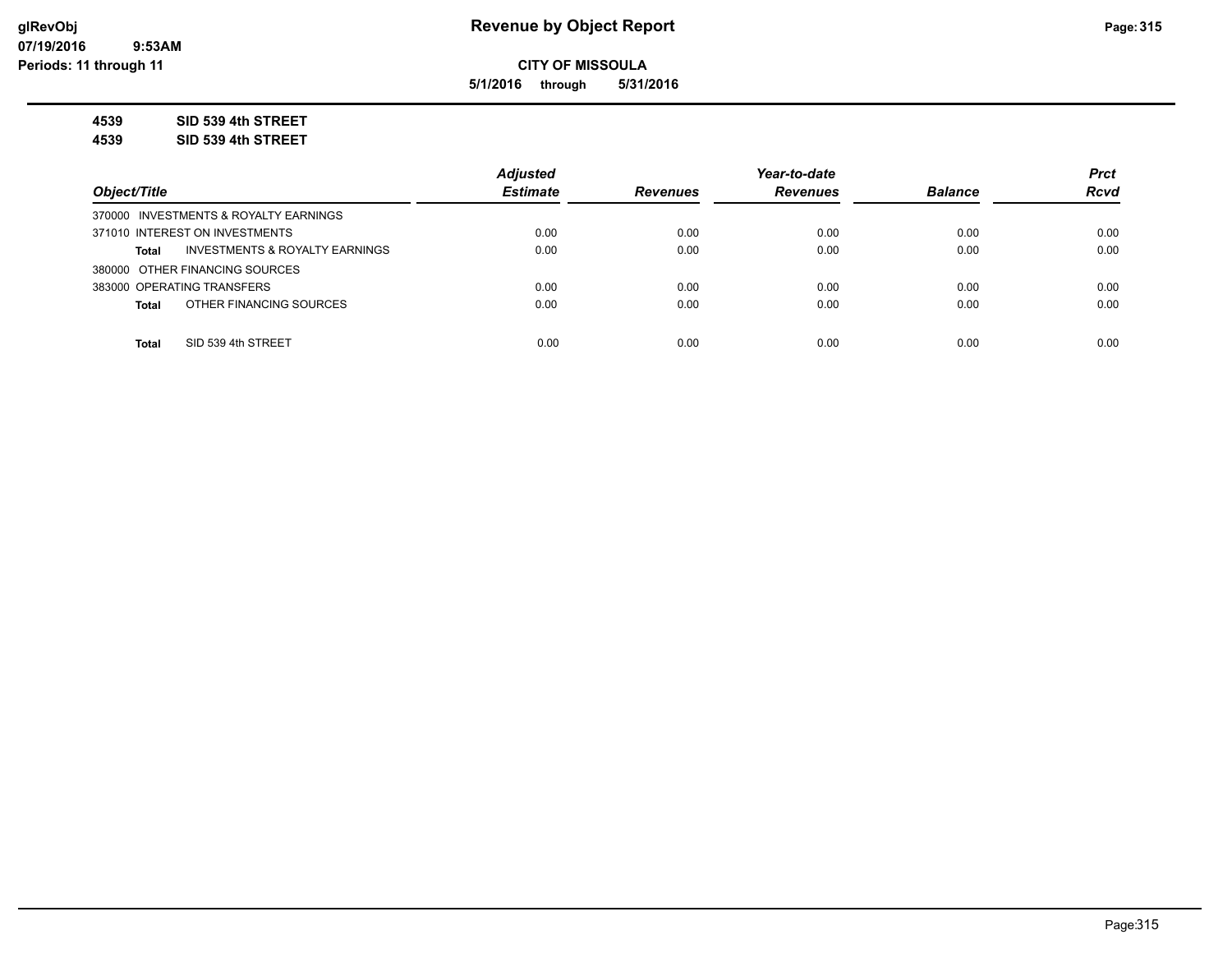**5/1/2016 through 5/31/2016**

**4539 SID 539 4th STREET**

**4539 SID 539 4th STREET**

|                                         | <b>Adjusted</b> |                 | Year-to-date    |                | <b>Prct</b> |
|-----------------------------------------|-----------------|-----------------|-----------------|----------------|-------------|
| Object/Title                            | <b>Estimate</b> | <b>Revenues</b> | <b>Revenues</b> | <b>Balance</b> | <b>Rcvd</b> |
| 370000 INVESTMENTS & ROYALTY EARNINGS   |                 |                 |                 |                |             |
| 371010 INTEREST ON INVESTMENTS          | 0.00            | 0.00            | 0.00            | 0.00           | 0.00        |
| INVESTMENTS & ROYALTY EARNINGS<br>Total | 0.00            | 0.00            | 0.00            | 0.00           | 0.00        |
| 380000 OTHER FINANCING SOURCES          |                 |                 |                 |                |             |
| 383000 OPERATING TRANSFERS              | 0.00            | 0.00            | 0.00            | 0.00           | 0.00        |
| OTHER FINANCING SOURCES<br>Total        | 0.00            | 0.00            | 0.00            | 0.00           | 0.00        |
|                                         |                 |                 |                 |                |             |
| SID 539 4th STREET<br><b>Total</b>      | 0.00            | 0.00            | 0.00            | 0.00           | 0.00        |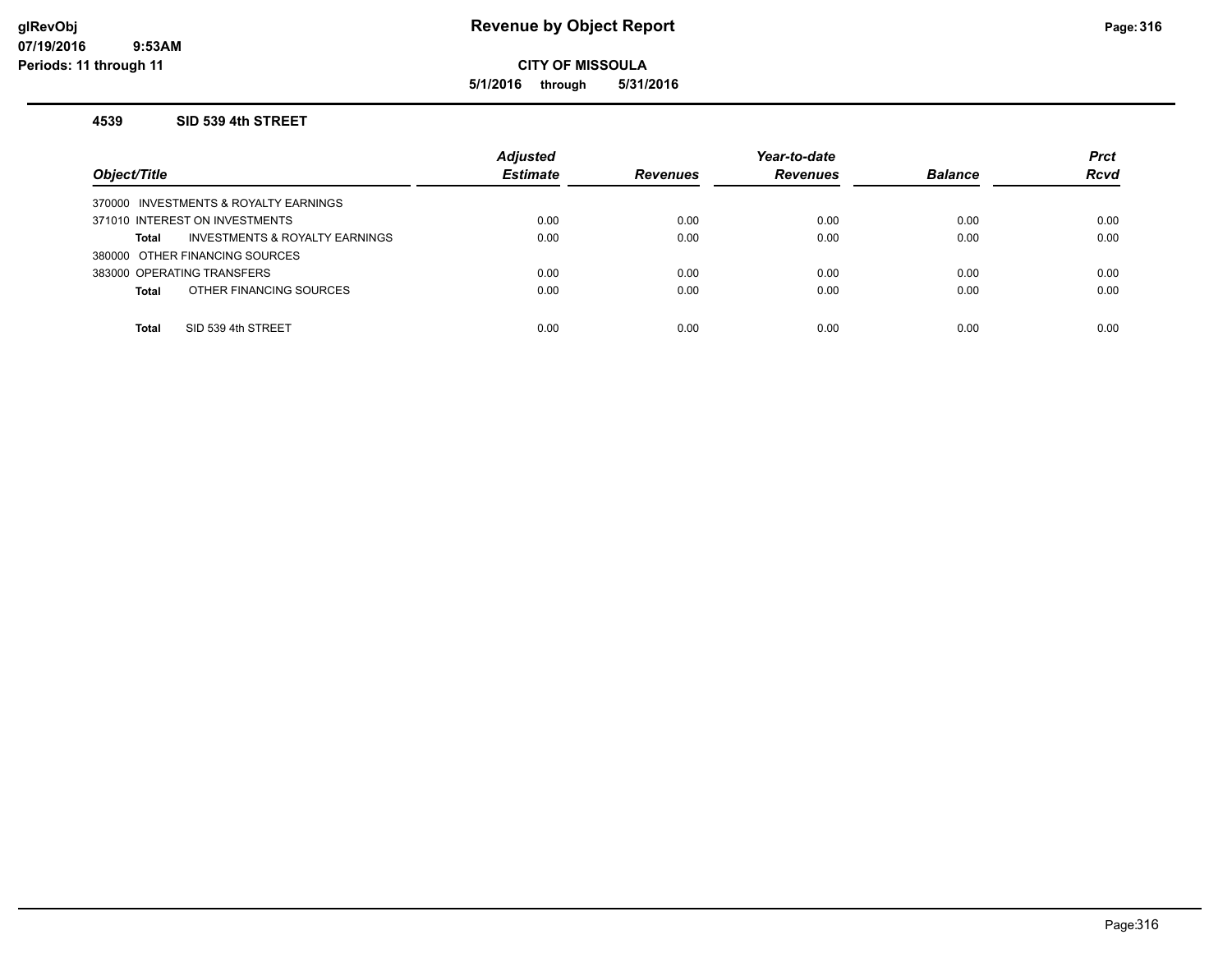## **glRevObj Revenue by Object Report Page:316**

**CITY OF MISSOULA**

**5/1/2016 through 5/31/2016**

#### **4539 SID 539 4th STREET**

| Object/Title                                   | <b>Adjusted</b><br><b>Estimate</b> | <b>Revenues</b> | Year-to-date<br><b>Revenues</b> | <b>Balance</b> | <b>Prct</b><br><b>Rcvd</b> |
|------------------------------------------------|------------------------------------|-----------------|---------------------------------|----------------|----------------------------|
| 370000 INVESTMENTS & ROYALTY EARNINGS          |                                    |                 |                                 |                |                            |
| 371010 INTEREST ON INVESTMENTS                 | 0.00                               | 0.00            | 0.00                            | 0.00           | 0.00                       |
| INVESTMENTS & ROYALTY EARNINGS<br><b>Total</b> | 0.00                               | 0.00            | 0.00                            | 0.00           | 0.00                       |
| 380000 OTHER FINANCING SOURCES                 |                                    |                 |                                 |                |                            |
| 383000 OPERATING TRANSFERS                     | 0.00                               | 0.00            | 0.00                            | 0.00           | 0.00                       |
| OTHER FINANCING SOURCES<br><b>Total</b>        | 0.00                               | 0.00            | 0.00                            | 0.00           | 0.00                       |
|                                                |                                    |                 |                                 |                |                            |
| SID 539 4th STREET<br><b>Total</b>             | 0.00                               | 0.00            | 0.00                            | 0.00           | 0.00                       |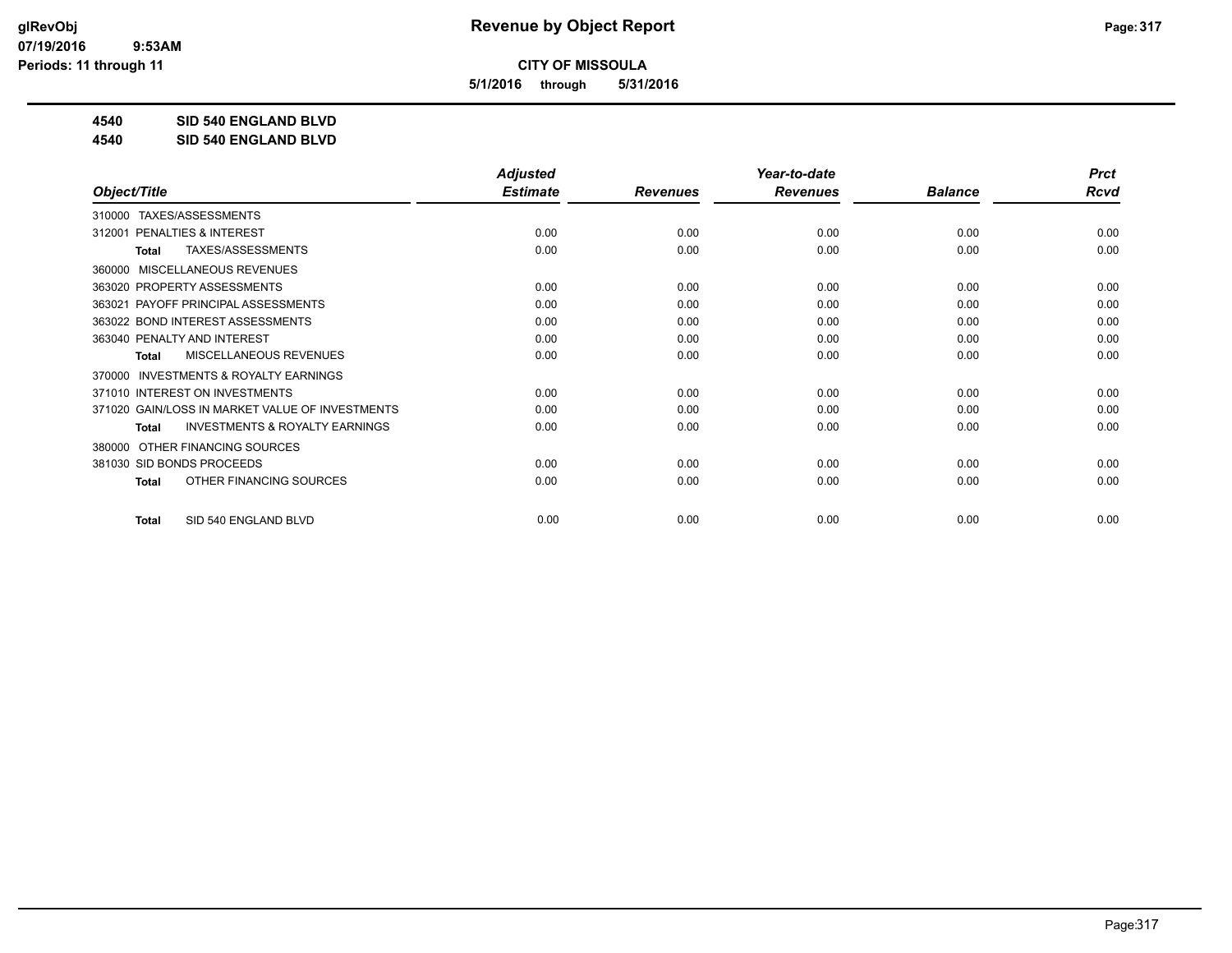**5/1/2016 through 5/31/2016**

**4540 SID 540 ENGLAND BLVD**

**4540 SID 540 ENGLAND BLVD**

|                                                           | <b>Adjusted</b> |                 | Year-to-date    |                | <b>Prct</b> |
|-----------------------------------------------------------|-----------------|-----------------|-----------------|----------------|-------------|
| Object/Title                                              | <b>Estimate</b> | <b>Revenues</b> | <b>Revenues</b> | <b>Balance</b> | <b>Rcvd</b> |
| TAXES/ASSESSMENTS<br>310000                               |                 |                 |                 |                |             |
| PENALTIES & INTEREST<br>312001                            | 0.00            | 0.00            | 0.00            | 0.00           | 0.00        |
| TAXES/ASSESSMENTS<br>Total                                | 0.00            | 0.00            | 0.00            | 0.00           | 0.00        |
| MISCELLANEOUS REVENUES<br>360000                          |                 |                 |                 |                |             |
| 363020 PROPERTY ASSESSMENTS                               | 0.00            | 0.00            | 0.00            | 0.00           | 0.00        |
| PAYOFF PRINCIPAL ASSESSMENTS<br>363021                    | 0.00            | 0.00            | 0.00            | 0.00           | 0.00        |
| 363022 BOND INTEREST ASSESSMENTS                          | 0.00            | 0.00            | 0.00            | 0.00           | 0.00        |
| 363040 PENALTY AND INTEREST                               | 0.00            | 0.00            | 0.00            | 0.00           | 0.00        |
| MISCELLANEOUS REVENUES<br><b>Total</b>                    | 0.00            | 0.00            | 0.00            | 0.00           | 0.00        |
| INVESTMENTS & ROYALTY EARNINGS<br>370000                  |                 |                 |                 |                |             |
| 371010 INTEREST ON INVESTMENTS                            | 0.00            | 0.00            | 0.00            | 0.00           | 0.00        |
| 371020 GAIN/LOSS IN MARKET VALUE OF INVESTMENTS           | 0.00            | 0.00            | 0.00            | 0.00           | 0.00        |
| <b>INVESTMENTS &amp; ROYALTY EARNINGS</b><br><b>Total</b> | 0.00            | 0.00            | 0.00            | 0.00           | 0.00        |
| OTHER FINANCING SOURCES<br>380000                         |                 |                 |                 |                |             |
| 381030 SID BONDS PROCEEDS                                 | 0.00            | 0.00            | 0.00            | 0.00           | 0.00        |
| OTHER FINANCING SOURCES<br><b>Total</b>                   | 0.00            | 0.00            | 0.00            | 0.00           | 0.00        |
| SID 540 ENGLAND BLVD<br><b>Total</b>                      | 0.00            | 0.00            | 0.00            | 0.00           | 0.00        |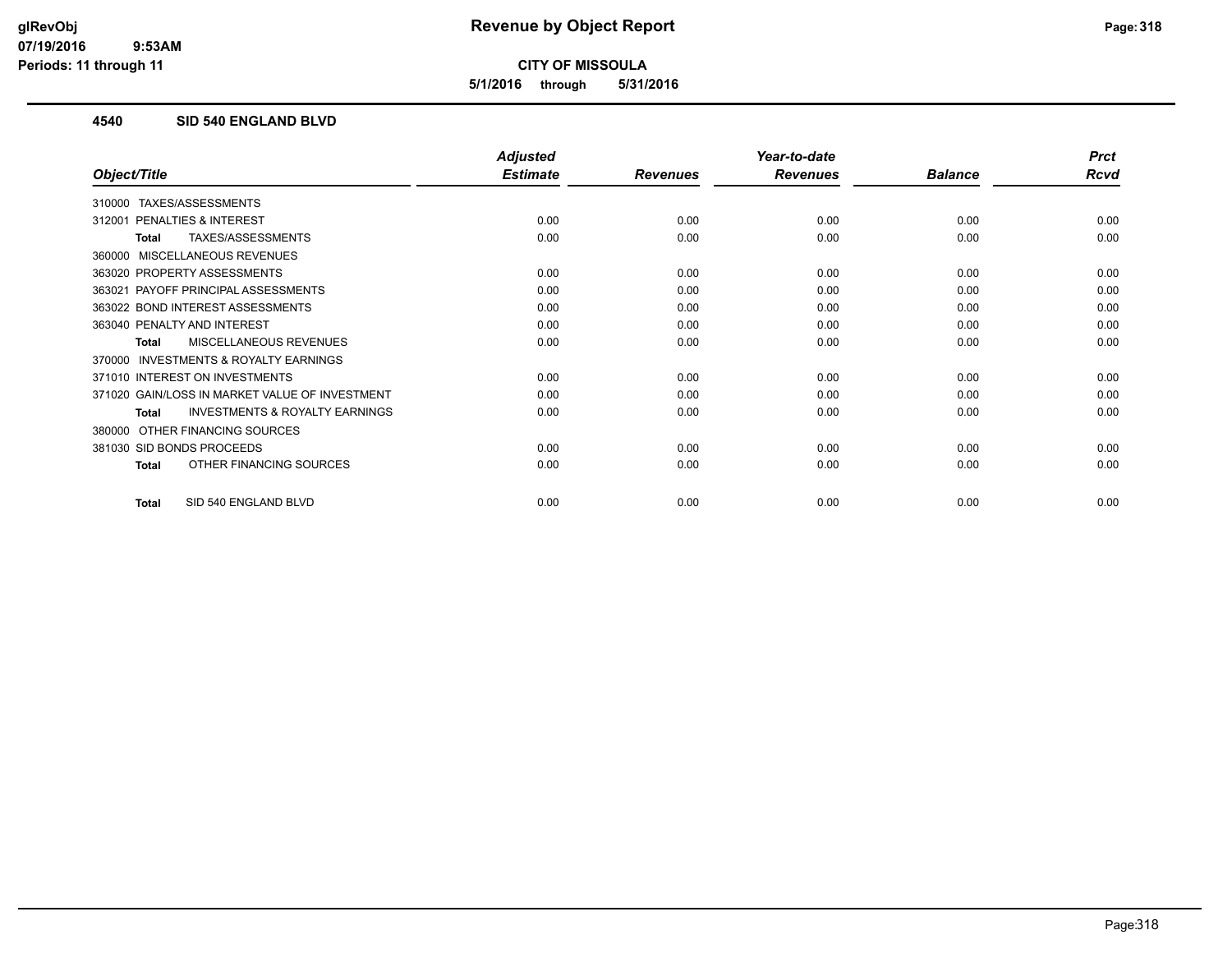**5/1/2016 through 5/31/2016**

## **4540 SID 540 ENGLAND BLVD**

|                                                           | <b>Adjusted</b> |                 | Year-to-date    |                | <b>Prct</b> |
|-----------------------------------------------------------|-----------------|-----------------|-----------------|----------------|-------------|
| Object/Title                                              | <b>Estimate</b> | <b>Revenues</b> | <b>Revenues</b> | <b>Balance</b> | <b>Rcvd</b> |
| TAXES/ASSESSMENTS<br>310000                               |                 |                 |                 |                |             |
| <b>PENALTIES &amp; INTEREST</b><br>312001                 | 0.00            | 0.00            | 0.00            | 0.00           | 0.00        |
| TAXES/ASSESSMENTS<br>Total                                | 0.00            | 0.00            | 0.00            | 0.00           | 0.00        |
| MISCELLANEOUS REVENUES<br>360000                          |                 |                 |                 |                |             |
| 363020 PROPERTY ASSESSMENTS                               | 0.00            | 0.00            | 0.00            | 0.00           | 0.00        |
| PAYOFF PRINCIPAL ASSESSMENTS<br>363021                    | 0.00            | 0.00            | 0.00            | 0.00           | 0.00        |
| 363022 BOND INTEREST ASSESSMENTS                          | 0.00            | 0.00            | 0.00            | 0.00           | 0.00        |
| 363040 PENALTY AND INTEREST                               | 0.00            | 0.00            | 0.00            | 0.00           | 0.00        |
| <b>MISCELLANEOUS REVENUES</b><br>Total                    | 0.00            | 0.00            | 0.00            | 0.00           | 0.00        |
| INVESTMENTS & ROYALTY EARNINGS<br>370000                  |                 |                 |                 |                |             |
| 371010 INTEREST ON INVESTMENTS                            | 0.00            | 0.00            | 0.00            | 0.00           | 0.00        |
| 371020 GAIN/LOSS IN MARKET VALUE OF INVESTMENT            | 0.00            | 0.00            | 0.00            | 0.00           | 0.00        |
| <b>INVESTMENTS &amp; ROYALTY EARNINGS</b><br><b>Total</b> | 0.00            | 0.00            | 0.00            | 0.00           | 0.00        |
| OTHER FINANCING SOURCES<br>380000                         |                 |                 |                 |                |             |
| 381030 SID BONDS PROCEEDS                                 | 0.00            | 0.00            | 0.00            | 0.00           | 0.00        |
| OTHER FINANCING SOURCES<br>Total                          | 0.00            | 0.00            | 0.00            | 0.00           | 0.00        |
| SID 540 ENGLAND BLVD<br><b>Total</b>                      | 0.00            | 0.00            | 0.00            | 0.00           | 0.00        |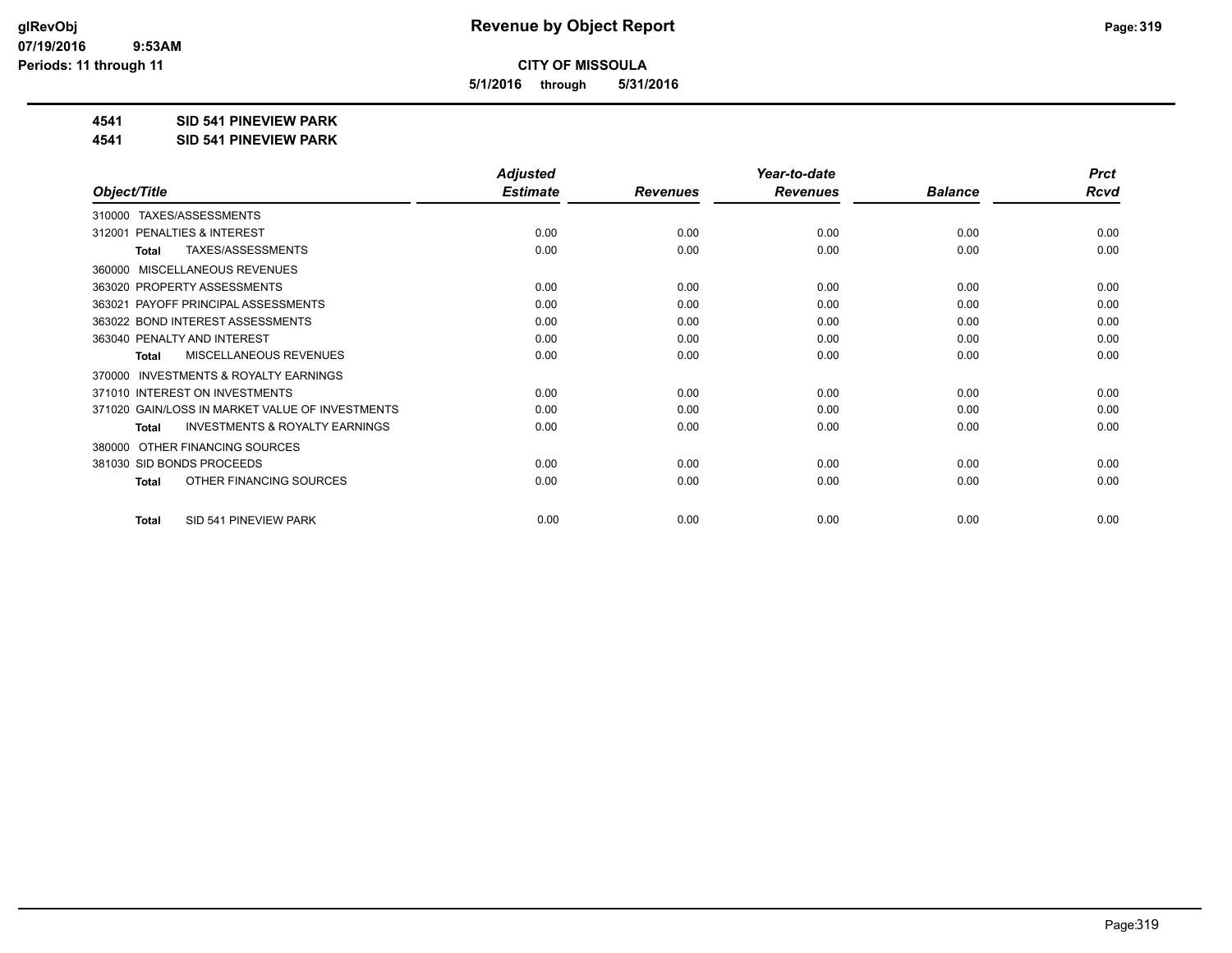**5/1/2016 through 5/31/2016**

### **4541 SID 541 PINEVIEW PARK**

**4541 SID 541 PINEVIEW PARK**

|                                                           | <b>Adjusted</b> |                 | Year-to-date    |                | <b>Prct</b> |
|-----------------------------------------------------------|-----------------|-----------------|-----------------|----------------|-------------|
| Object/Title                                              | <b>Estimate</b> | <b>Revenues</b> | <b>Revenues</b> | <b>Balance</b> | <b>Rcvd</b> |
| TAXES/ASSESSMENTS<br>310000                               |                 |                 |                 |                |             |
| PENALTIES & INTEREST<br>312001                            | 0.00            | 0.00            | 0.00            | 0.00           | 0.00        |
| TAXES/ASSESSMENTS<br>Total                                | 0.00            | 0.00            | 0.00            | 0.00           | 0.00        |
| MISCELLANEOUS REVENUES<br>360000                          |                 |                 |                 |                |             |
| 363020 PROPERTY ASSESSMENTS                               | 0.00            | 0.00            | 0.00            | 0.00           | 0.00        |
| PAYOFF PRINCIPAL ASSESSMENTS<br>363021                    | 0.00            | 0.00            | 0.00            | 0.00           | 0.00        |
| 363022 BOND INTEREST ASSESSMENTS                          | 0.00            | 0.00            | 0.00            | 0.00           | 0.00        |
| 363040 PENALTY AND INTEREST                               | 0.00            | 0.00            | 0.00            | 0.00           | 0.00        |
| MISCELLANEOUS REVENUES<br><b>Total</b>                    | 0.00            | 0.00            | 0.00            | 0.00           | 0.00        |
| INVESTMENTS & ROYALTY EARNINGS<br>370000                  |                 |                 |                 |                |             |
| 371010 INTEREST ON INVESTMENTS                            | 0.00            | 0.00            | 0.00            | 0.00           | 0.00        |
| 371020 GAIN/LOSS IN MARKET VALUE OF INVESTMENTS           | 0.00            | 0.00            | 0.00            | 0.00           | 0.00        |
| <b>INVESTMENTS &amp; ROYALTY EARNINGS</b><br><b>Total</b> | 0.00            | 0.00            | 0.00            | 0.00           | 0.00        |
| OTHER FINANCING SOURCES<br>380000                         |                 |                 |                 |                |             |
| 381030 SID BONDS PROCEEDS                                 | 0.00            | 0.00            | 0.00            | 0.00           | 0.00        |
| OTHER FINANCING SOURCES<br><b>Total</b>                   | 0.00            | 0.00            | 0.00            | 0.00           | 0.00        |
| SID 541 PINEVIEW PARK<br><b>Total</b>                     | 0.00            | 0.00            | 0.00            | 0.00           | 0.00        |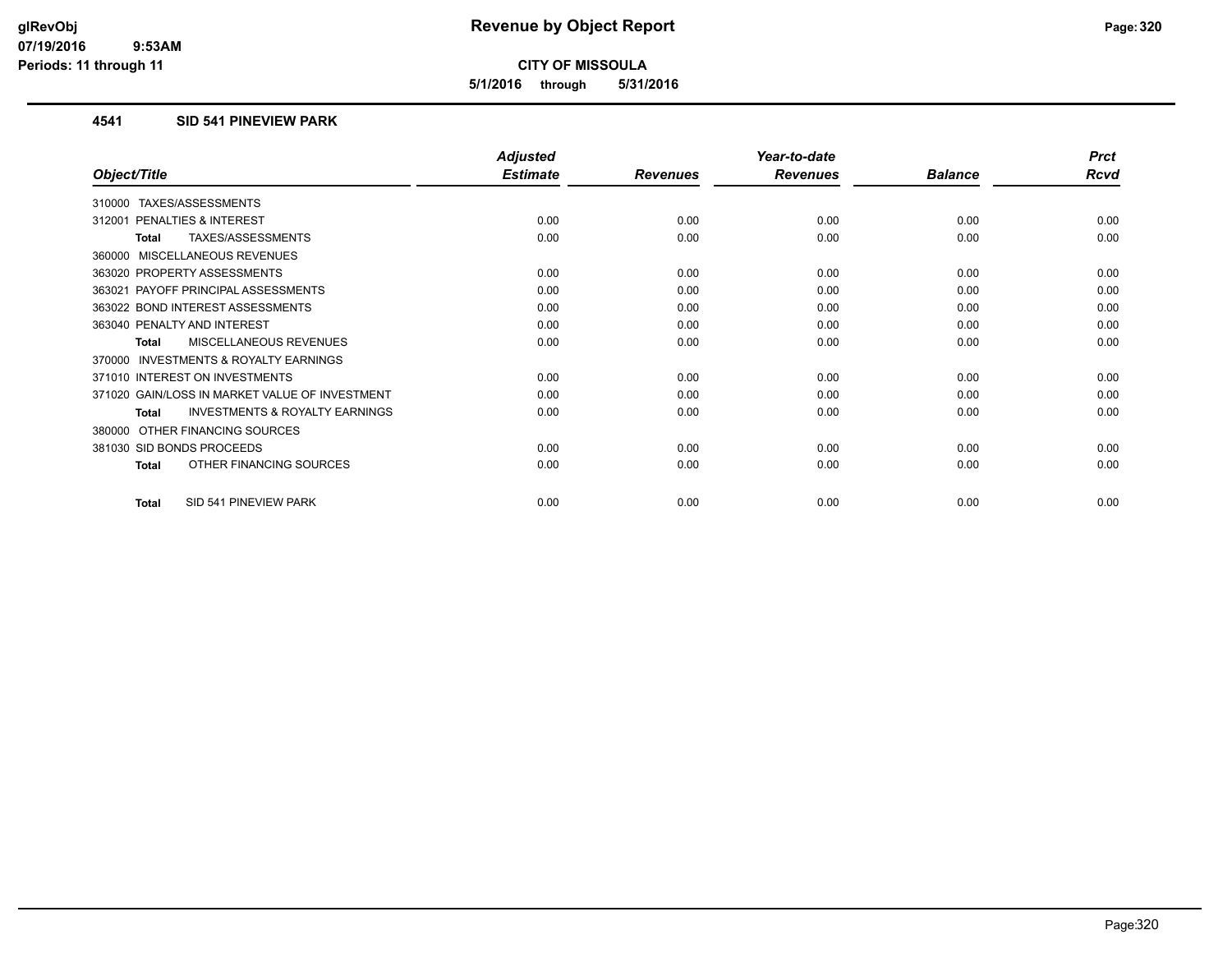**5/1/2016 through 5/31/2016**

### **4541 SID 541 PINEVIEW PARK**

|                                                           | <b>Adjusted</b> |                 | Year-to-date    |                | <b>Prct</b> |
|-----------------------------------------------------------|-----------------|-----------------|-----------------|----------------|-------------|
| Object/Title                                              | <b>Estimate</b> | <b>Revenues</b> | <b>Revenues</b> | <b>Balance</b> | <b>Rcvd</b> |
| TAXES/ASSESSMENTS<br>310000                               |                 |                 |                 |                |             |
| 312001 PENALTIES & INTEREST                               | 0.00            | 0.00            | 0.00            | 0.00           | 0.00        |
| TAXES/ASSESSMENTS<br><b>Total</b>                         | 0.00            | 0.00            | 0.00            | 0.00           | 0.00        |
| 360000 MISCELLANEOUS REVENUES                             |                 |                 |                 |                |             |
| 363020 PROPERTY ASSESSMENTS                               | 0.00            | 0.00            | 0.00            | 0.00           | 0.00        |
| 363021 PAYOFF PRINCIPAL ASSESSMENTS                       | 0.00            | 0.00            | 0.00            | 0.00           | 0.00        |
| 363022 BOND INTEREST ASSESSMENTS                          | 0.00            | 0.00            | 0.00            | 0.00           | 0.00        |
| 363040 PENALTY AND INTEREST                               | 0.00            | 0.00            | 0.00            | 0.00           | 0.00        |
| <b>MISCELLANEOUS REVENUES</b><br><b>Total</b>             | 0.00            | 0.00            | 0.00            | 0.00           | 0.00        |
| <b>INVESTMENTS &amp; ROYALTY EARNINGS</b><br>370000       |                 |                 |                 |                |             |
| 371010 INTEREST ON INVESTMENTS                            | 0.00            | 0.00            | 0.00            | 0.00           | 0.00        |
| 371020 GAIN/LOSS IN MARKET VALUE OF INVESTMENT            | 0.00            | 0.00            | 0.00            | 0.00           | 0.00        |
| <b>INVESTMENTS &amp; ROYALTY EARNINGS</b><br><b>Total</b> | 0.00            | 0.00            | 0.00            | 0.00           | 0.00        |
| OTHER FINANCING SOURCES<br>380000                         |                 |                 |                 |                |             |
| 381030 SID BONDS PROCEEDS                                 | 0.00            | 0.00            | 0.00            | 0.00           | 0.00        |
| OTHER FINANCING SOURCES<br><b>Total</b>                   | 0.00            | 0.00            | 0.00            | 0.00           | 0.00        |
| SID 541 PINEVIEW PARK<br><b>Total</b>                     | 0.00            | 0.00            | 0.00            | 0.00           | 0.00        |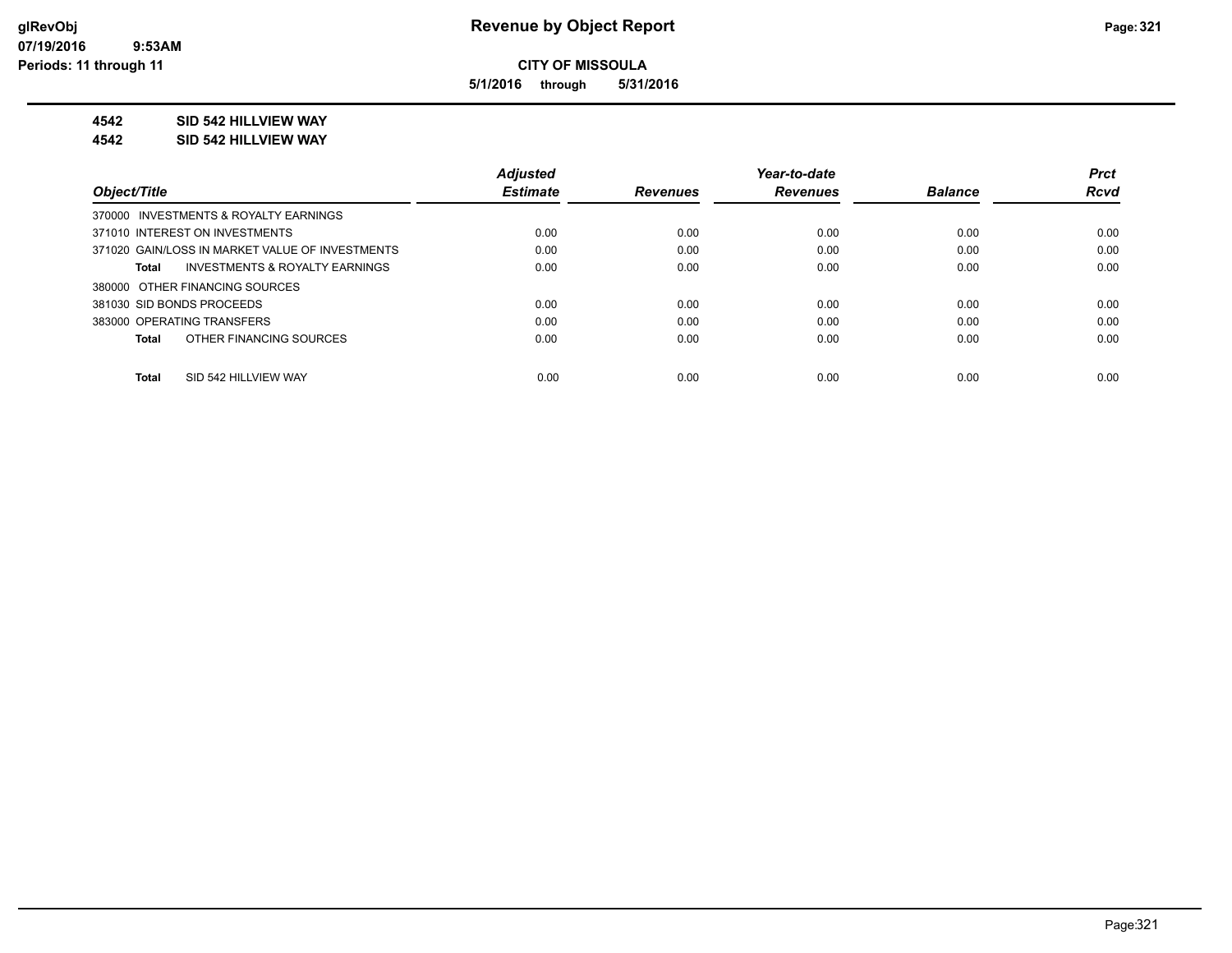**5/1/2016 through 5/31/2016**

### **4542 SID 542 HILLVIEW WAY**

#### **4542 SID 542 HILLVIEW WAY**

|                                                    | <b>Adjusted</b> |                 | Year-to-date    |                | <b>Prct</b> |
|----------------------------------------------------|-----------------|-----------------|-----------------|----------------|-------------|
| Object/Title                                       | <b>Estimate</b> | <b>Revenues</b> | <b>Revenues</b> | <b>Balance</b> | <b>Rcvd</b> |
| 370000 INVESTMENTS & ROYALTY EARNINGS              |                 |                 |                 |                |             |
| 371010 INTEREST ON INVESTMENTS                     | 0.00            | 0.00            | 0.00            | 0.00           | 0.00        |
| 371020 GAIN/LOSS IN MARKET VALUE OF INVESTMENTS    | 0.00            | 0.00            | 0.00            | 0.00           | 0.00        |
| <b>INVESTMENTS &amp; ROYALTY EARNINGS</b><br>Total | 0.00            | 0.00            | 0.00            | 0.00           | 0.00        |
| 380000 OTHER FINANCING SOURCES                     |                 |                 |                 |                |             |
| 381030 SID BONDS PROCEEDS                          | 0.00            | 0.00            | 0.00            | 0.00           | 0.00        |
| 383000 OPERATING TRANSFERS                         | 0.00            | 0.00            | 0.00            | 0.00           | 0.00        |
| OTHER FINANCING SOURCES<br>Total                   | 0.00            | 0.00            | 0.00            | 0.00           | 0.00        |
|                                                    |                 |                 |                 |                |             |
| SID 542 HILLVIEW WAY<br><b>Total</b>               | 0.00            | 0.00            | 0.00            | 0.00           | 0.00        |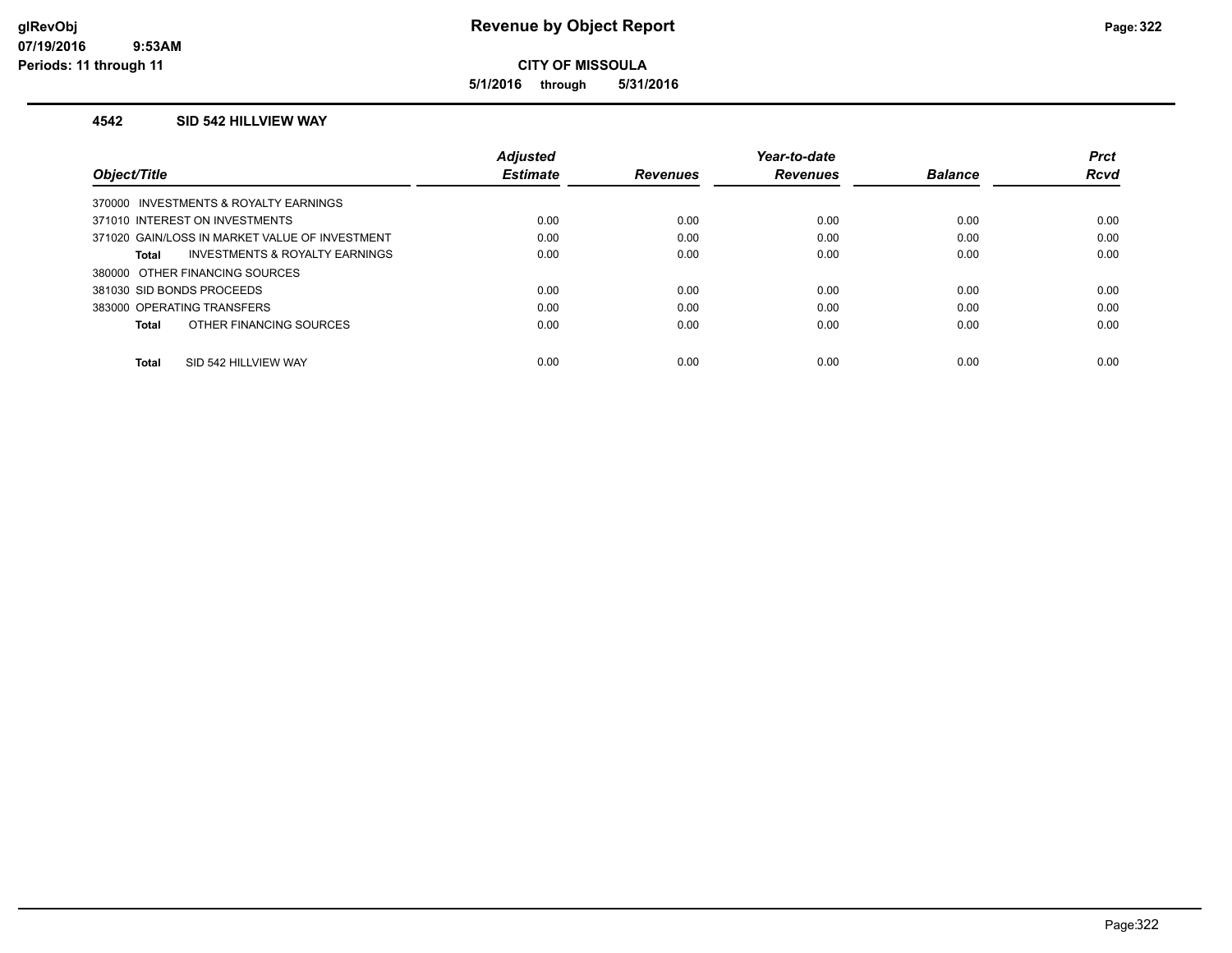**5/1/2016 through 5/31/2016**

### **4542 SID 542 HILLVIEW WAY**

|                                                    | <b>Adjusted</b> |                 | Year-to-date    |                | <b>Prct</b> |
|----------------------------------------------------|-----------------|-----------------|-----------------|----------------|-------------|
| Object/Title                                       | <b>Estimate</b> | <b>Revenues</b> | <b>Revenues</b> | <b>Balance</b> | <b>Rcvd</b> |
| 370000 INVESTMENTS & ROYALTY EARNINGS              |                 |                 |                 |                |             |
| 371010 INTEREST ON INVESTMENTS                     | 0.00            | 0.00            | 0.00            | 0.00           | 0.00        |
| 371020 GAIN/LOSS IN MARKET VALUE OF INVESTMENT     | 0.00            | 0.00            | 0.00            | 0.00           | 0.00        |
| <b>INVESTMENTS &amp; ROYALTY EARNINGS</b><br>Total | 0.00            | 0.00            | 0.00            | 0.00           | 0.00        |
| 380000 OTHER FINANCING SOURCES                     |                 |                 |                 |                |             |
| 381030 SID BONDS PROCEEDS                          | 0.00            | 0.00            | 0.00            | 0.00           | 0.00        |
| 383000 OPERATING TRANSFERS                         | 0.00            | 0.00            | 0.00            | 0.00           | 0.00        |
| OTHER FINANCING SOURCES<br>Total                   | 0.00            | 0.00            | 0.00            | 0.00           | 0.00        |
| SID 542 HILLVIEW WAY<br>Total                      | 0.00            | 0.00            | 0.00            | 0.00           | 0.00        |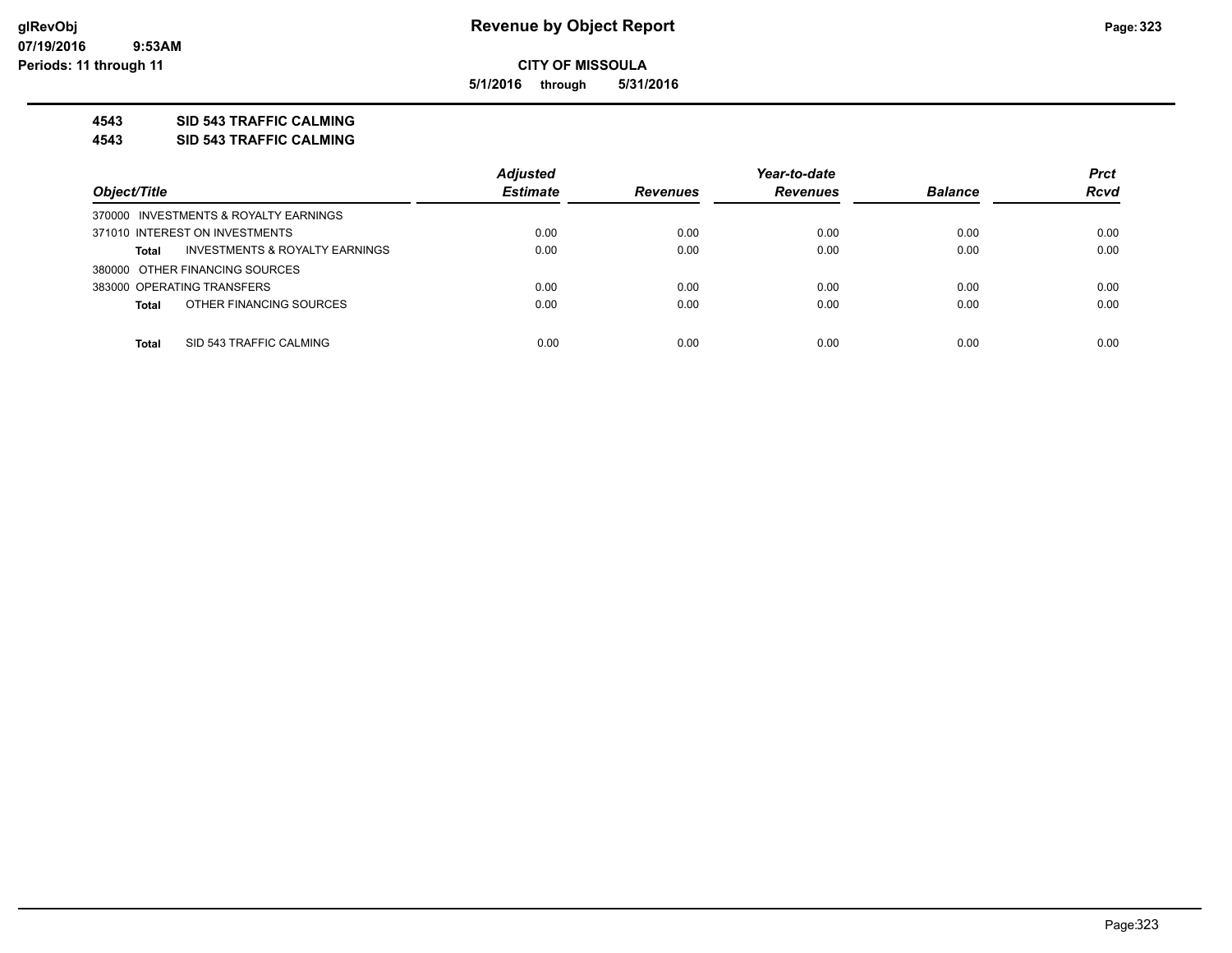**5/1/2016 through 5/31/2016**

### **4543 SID 543 TRAFFIC CALMING**

**4543 SID 543 TRAFFIC CALMING**

|                                                | <b>Adjusted</b> |                 | Year-to-date    |                | <b>Prct</b> |
|------------------------------------------------|-----------------|-----------------|-----------------|----------------|-------------|
| Object/Title                                   | <b>Estimate</b> | <b>Revenues</b> | <b>Revenues</b> | <b>Balance</b> | <b>Rcvd</b> |
| 370000 INVESTMENTS & ROYALTY EARNINGS          |                 |                 |                 |                |             |
| 371010 INTEREST ON INVESTMENTS                 | 0.00            | 0.00            | 0.00            | 0.00           | 0.00        |
| INVESTMENTS & ROYALTY EARNINGS<br><b>Total</b> | 0.00            | 0.00            | 0.00            | 0.00           | 0.00        |
| 380000 OTHER FINANCING SOURCES                 |                 |                 |                 |                |             |
| 383000 OPERATING TRANSFERS                     | 0.00            | 0.00            | 0.00            | 0.00           | 0.00        |
| OTHER FINANCING SOURCES<br><b>Total</b>        | 0.00            | 0.00            | 0.00            | 0.00           | 0.00        |
|                                                |                 |                 |                 |                |             |
| SID 543 TRAFFIC CALMING<br><b>Total</b>        | 0.00            | 0.00            | 0.00            | 0.00           | 0.00        |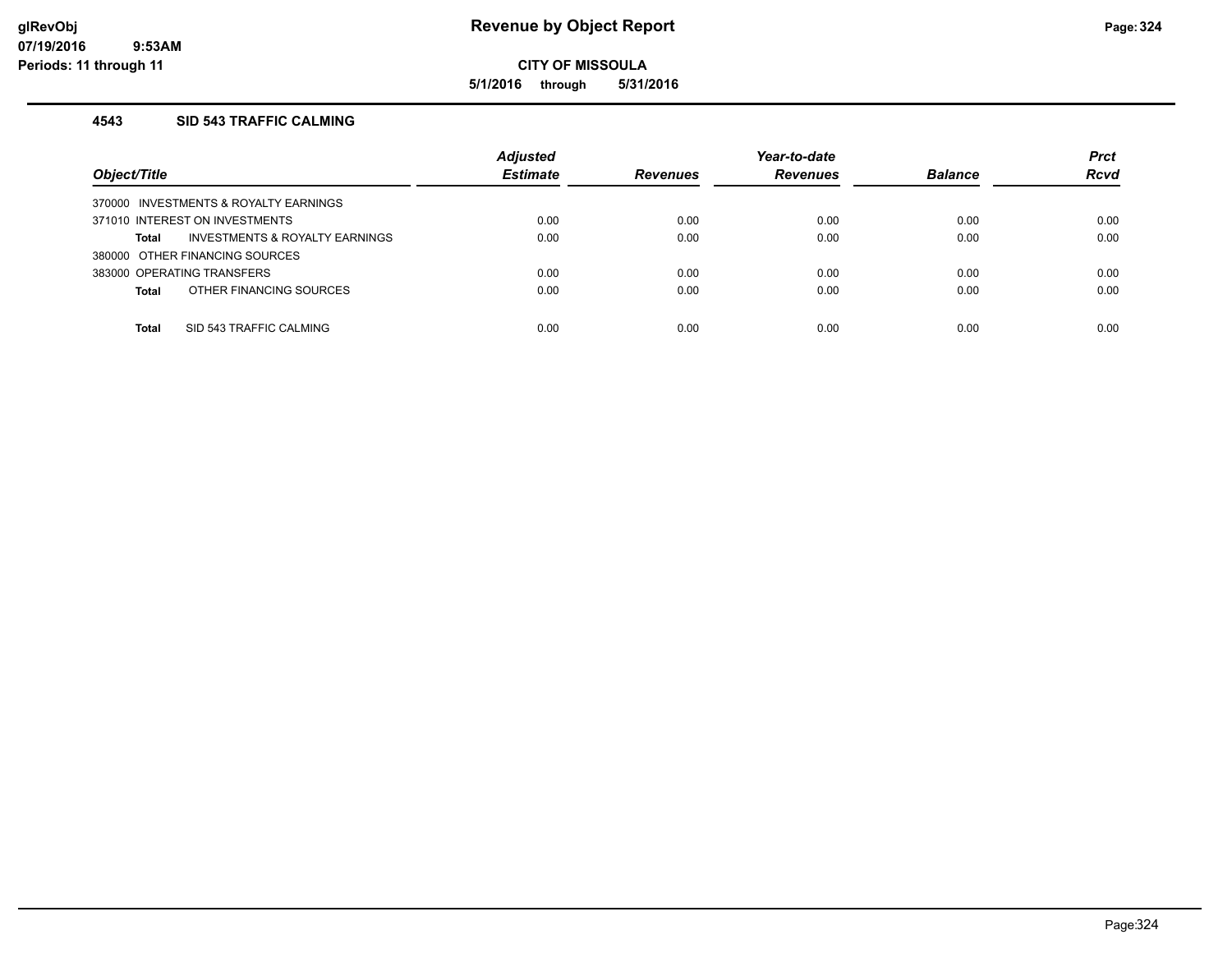**5/1/2016 through 5/31/2016**

## **4543 SID 543 TRAFFIC CALMING**

| Object/Title                            | <b>Adjusted</b><br><b>Estimate</b> | <b>Revenues</b> | Year-to-date<br><b>Revenues</b> | <b>Balance</b> | <b>Prct</b><br><b>Rcvd</b> |
|-----------------------------------------|------------------------------------|-----------------|---------------------------------|----------------|----------------------------|
| 370000 INVESTMENTS & ROYALTY EARNINGS   |                                    |                 |                                 |                |                            |
| 371010 INTEREST ON INVESTMENTS          | 0.00                               | 0.00            | 0.00                            | 0.00           | 0.00                       |
| INVESTMENTS & ROYALTY EARNINGS<br>Total | 0.00                               | 0.00            | 0.00                            | 0.00           | 0.00                       |
| 380000 OTHER FINANCING SOURCES          |                                    |                 |                                 |                |                            |
| 383000 OPERATING TRANSFERS              | 0.00                               | 0.00            | 0.00                            | 0.00           | 0.00                       |
| OTHER FINANCING SOURCES<br><b>Total</b> | 0.00                               | 0.00            | 0.00                            | 0.00           | 0.00                       |
|                                         |                                    |                 |                                 |                |                            |
| SID 543 TRAFFIC CALMING<br>Total        | 0.00                               | 0.00            | 0.00                            | 0.00           | 0.00                       |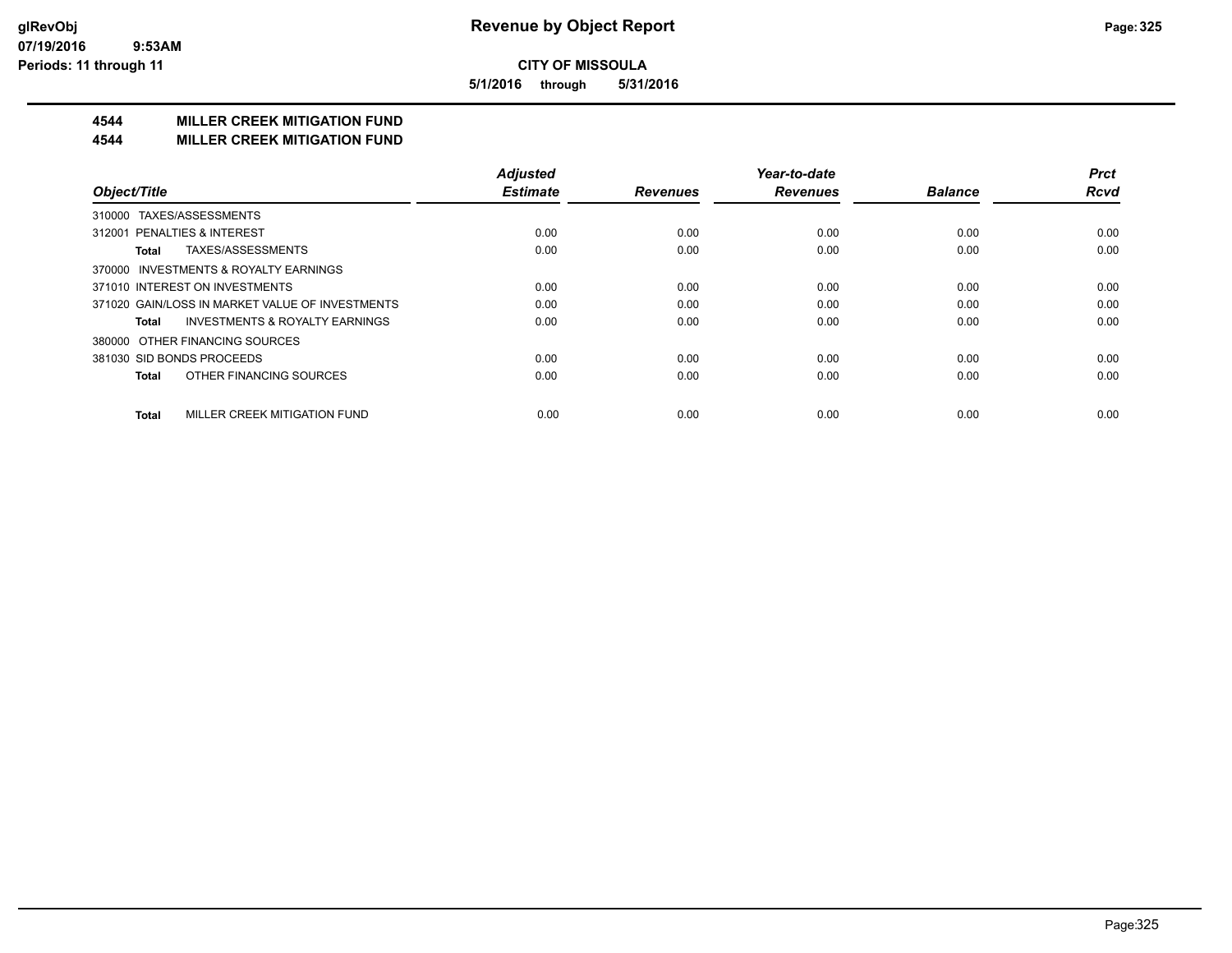**5/1/2016 through 5/31/2016**

# **4544 MILLER CREEK MITIGATION FUND**

#### **4544 MILLER CREEK MITIGATION FUND**

|                                                    | <b>Adjusted</b> |                 | Year-to-date    |                | <b>Prct</b> |
|----------------------------------------------------|-----------------|-----------------|-----------------|----------------|-------------|
| Object/Title                                       | <b>Estimate</b> | <b>Revenues</b> | <b>Revenues</b> | <b>Balance</b> | <b>Rcvd</b> |
| TAXES/ASSESSMENTS<br>310000                        |                 |                 |                 |                |             |
| 312001 PENALTIES & INTEREST                        | 0.00            | 0.00            | 0.00            | 0.00           | 0.00        |
| TAXES/ASSESSMENTS<br>Total                         | 0.00            | 0.00            | 0.00            | 0.00           | 0.00        |
| 370000 INVESTMENTS & ROYALTY EARNINGS              |                 |                 |                 |                |             |
| 371010 INTEREST ON INVESTMENTS                     | 0.00            | 0.00            | 0.00            | 0.00           | 0.00        |
| 371020 GAIN/LOSS IN MARKET VALUE OF INVESTMENTS    | 0.00            | 0.00            | 0.00            | 0.00           | 0.00        |
| <b>INVESTMENTS &amp; ROYALTY EARNINGS</b><br>Total | 0.00            | 0.00            | 0.00            | 0.00           | 0.00        |
| OTHER FINANCING SOURCES<br>380000                  |                 |                 |                 |                |             |
| 381030 SID BONDS PROCEEDS                          | 0.00            | 0.00            | 0.00            | 0.00           | 0.00        |
| OTHER FINANCING SOURCES<br><b>Total</b>            | 0.00            | 0.00            | 0.00            | 0.00           | 0.00        |
| MILLER CREEK MITIGATION FUND<br><b>Total</b>       | 0.00            | 0.00            | 0.00            | 0.00           | 0.00        |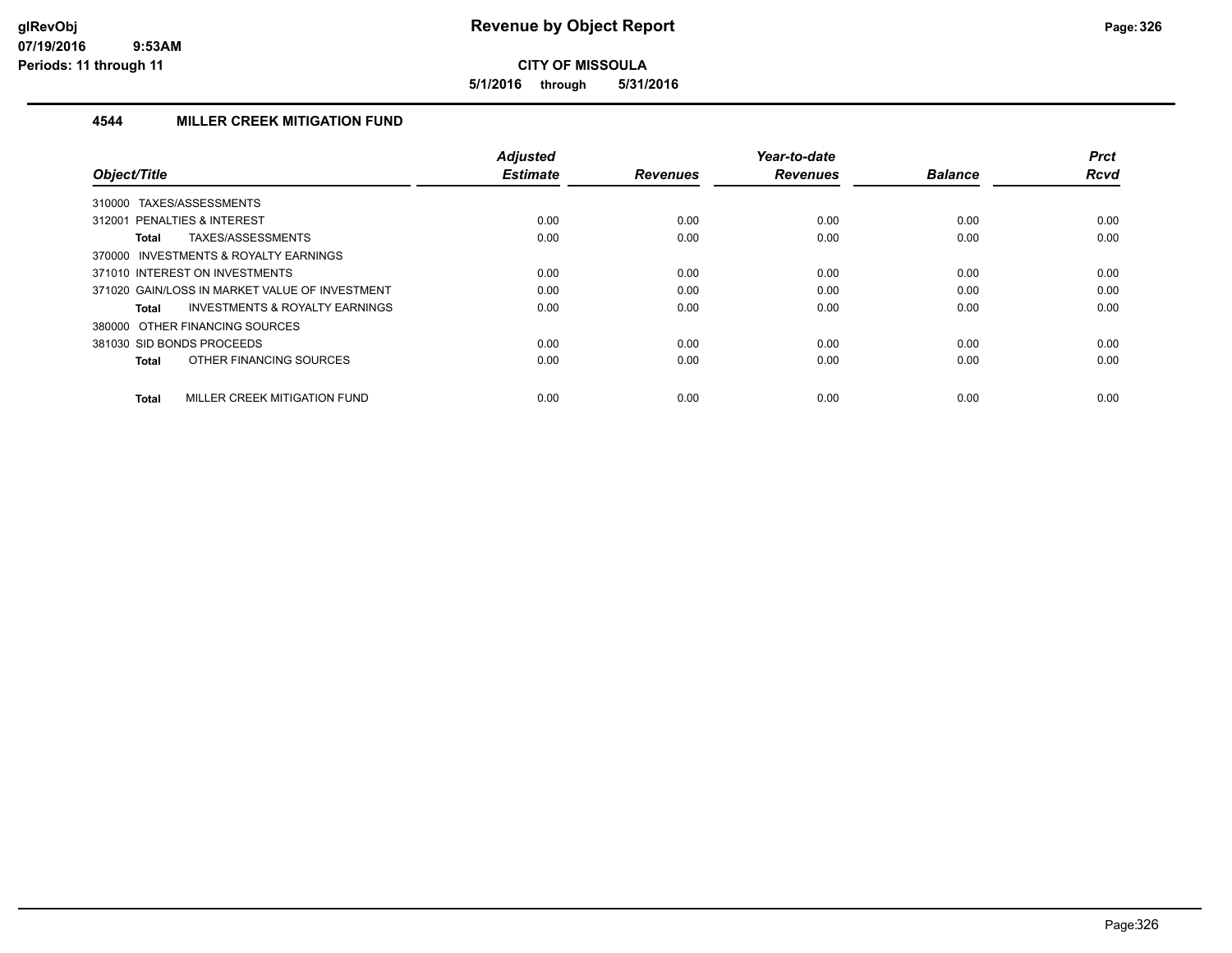**5/1/2016 through 5/31/2016**

#### **4544 MILLER CREEK MITIGATION FUND**

| Object/Title                                       | <b>Adjusted</b><br><b>Estimate</b> | <b>Revenues</b> | Year-to-date<br><b>Revenues</b> | <b>Balance</b> | <b>Prct</b><br><b>Rcvd</b> |
|----------------------------------------------------|------------------------------------|-----------------|---------------------------------|----------------|----------------------------|
|                                                    |                                    |                 |                                 |                |                            |
| TAXES/ASSESSMENTS<br>310000                        |                                    |                 |                                 |                |                            |
| 312001 PENALTIES & INTEREST                        | 0.00                               | 0.00            | 0.00                            | 0.00           | 0.00                       |
| TAXES/ASSESSMENTS<br>Total                         | 0.00                               | 0.00            | 0.00                            | 0.00           | 0.00                       |
| 370000 INVESTMENTS & ROYALTY EARNINGS              |                                    |                 |                                 |                |                            |
| 371010 INTEREST ON INVESTMENTS                     | 0.00                               | 0.00            | 0.00                            | 0.00           | 0.00                       |
| 371020 GAIN/LOSS IN MARKET VALUE OF INVESTMENT     | 0.00                               | 0.00            | 0.00                            | 0.00           | 0.00                       |
| <b>INVESTMENTS &amp; ROYALTY EARNINGS</b><br>Total | 0.00                               | 0.00            | 0.00                            | 0.00           | 0.00                       |
| 380000 OTHER FINANCING SOURCES                     |                                    |                 |                                 |                |                            |
| 381030 SID BONDS PROCEEDS                          | 0.00                               | 0.00            | 0.00                            | 0.00           | 0.00                       |
| OTHER FINANCING SOURCES<br>Total                   | 0.00                               | 0.00            | 0.00                            | 0.00           | 0.00                       |
|                                                    |                                    |                 |                                 |                |                            |
| MILLER CREEK MITIGATION FUND<br><b>Total</b>       | 0.00                               | 0.00            | 0.00                            | 0.00           | 0.00                       |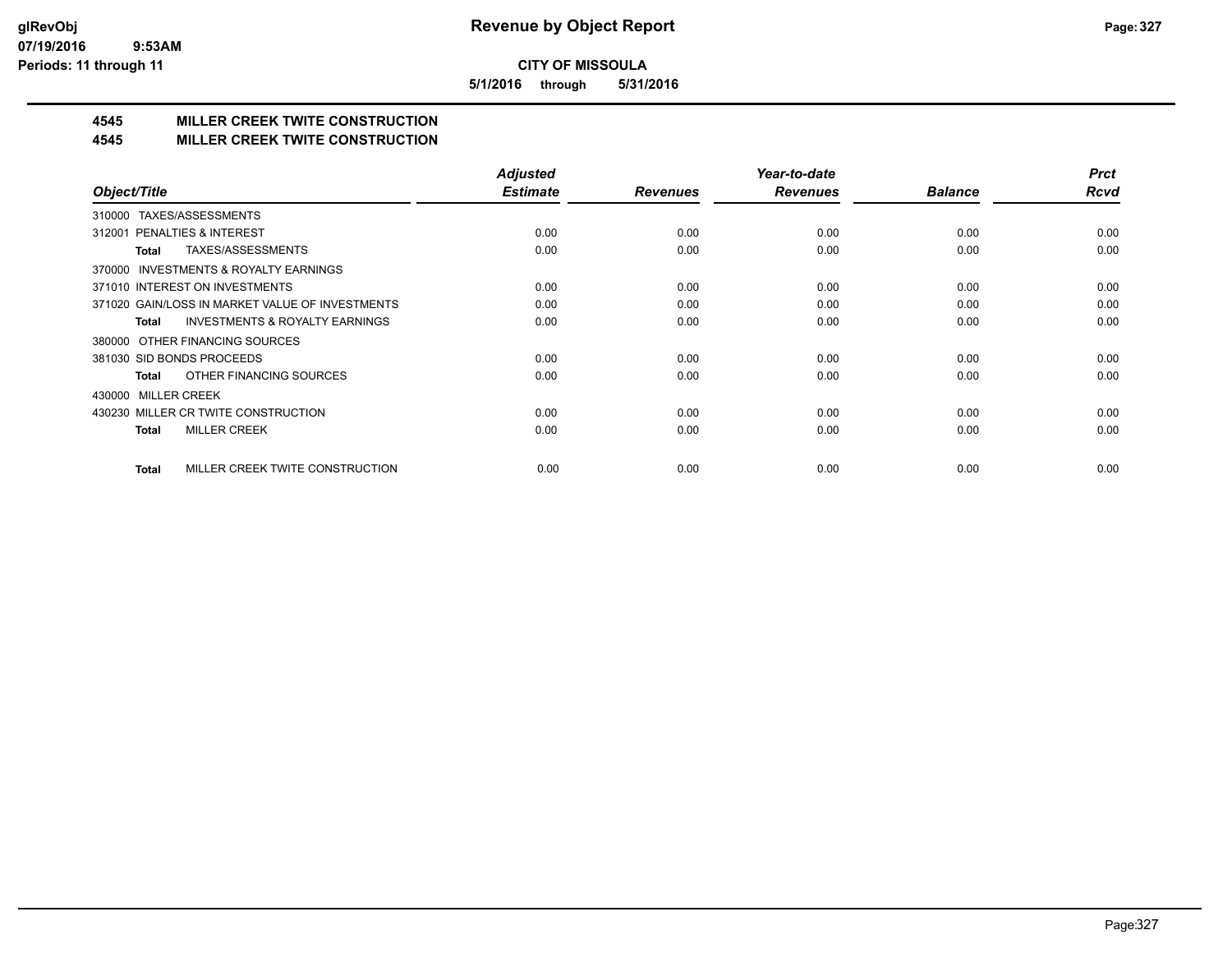**5/1/2016 through 5/31/2016**

# **4545 MILLER CREEK TWITE CONSTRUCTION**

#### **4545 MILLER CREEK TWITE CONSTRUCTION**

|                                                     | <b>Adjusted</b> |                 | Year-to-date    |                | <b>Prct</b> |
|-----------------------------------------------------|-----------------|-----------------|-----------------|----------------|-------------|
| Object/Title                                        | <b>Estimate</b> | <b>Revenues</b> | <b>Revenues</b> | <b>Balance</b> | <b>Rcvd</b> |
| TAXES/ASSESSMENTS<br>310000                         |                 |                 |                 |                |             |
| 312001 PENALTIES & INTEREST                         | 0.00            | 0.00            | 0.00            | 0.00           | 0.00        |
| TAXES/ASSESSMENTS<br>Total                          | 0.00            | 0.00            | 0.00            | 0.00           | 0.00        |
| <b>INVESTMENTS &amp; ROYALTY EARNINGS</b><br>370000 |                 |                 |                 |                |             |
| 371010 INTEREST ON INVESTMENTS                      | 0.00            | 0.00            | 0.00            | 0.00           | 0.00        |
| 371020 GAIN/LOSS IN MARKET VALUE OF INVESTMENTS     | 0.00            | 0.00            | 0.00            | 0.00           | 0.00        |
| <b>INVESTMENTS &amp; ROYALTY EARNINGS</b><br>Total  | 0.00            | 0.00            | 0.00            | 0.00           | 0.00        |
| 380000 OTHER FINANCING SOURCES                      |                 |                 |                 |                |             |
| 381030 SID BONDS PROCEEDS                           | 0.00            | 0.00            | 0.00            | 0.00           | 0.00        |
| OTHER FINANCING SOURCES<br>Total                    | 0.00            | 0.00            | 0.00            | 0.00           | 0.00        |
| <b>MILLER CREEK</b><br>430000                       |                 |                 |                 |                |             |
| 430230 MILLER CR TWITE CONSTRUCTION                 | 0.00            | 0.00            | 0.00            | 0.00           | 0.00        |
| <b>MILLER CREEK</b><br>Total                        | 0.00            | 0.00            | 0.00            | 0.00           | 0.00        |
|                                                     |                 |                 |                 |                |             |
| MILLER CREEK TWITE CONSTRUCTION<br><b>Total</b>     | 0.00            | 0.00            | 0.00            | 0.00           | 0.00        |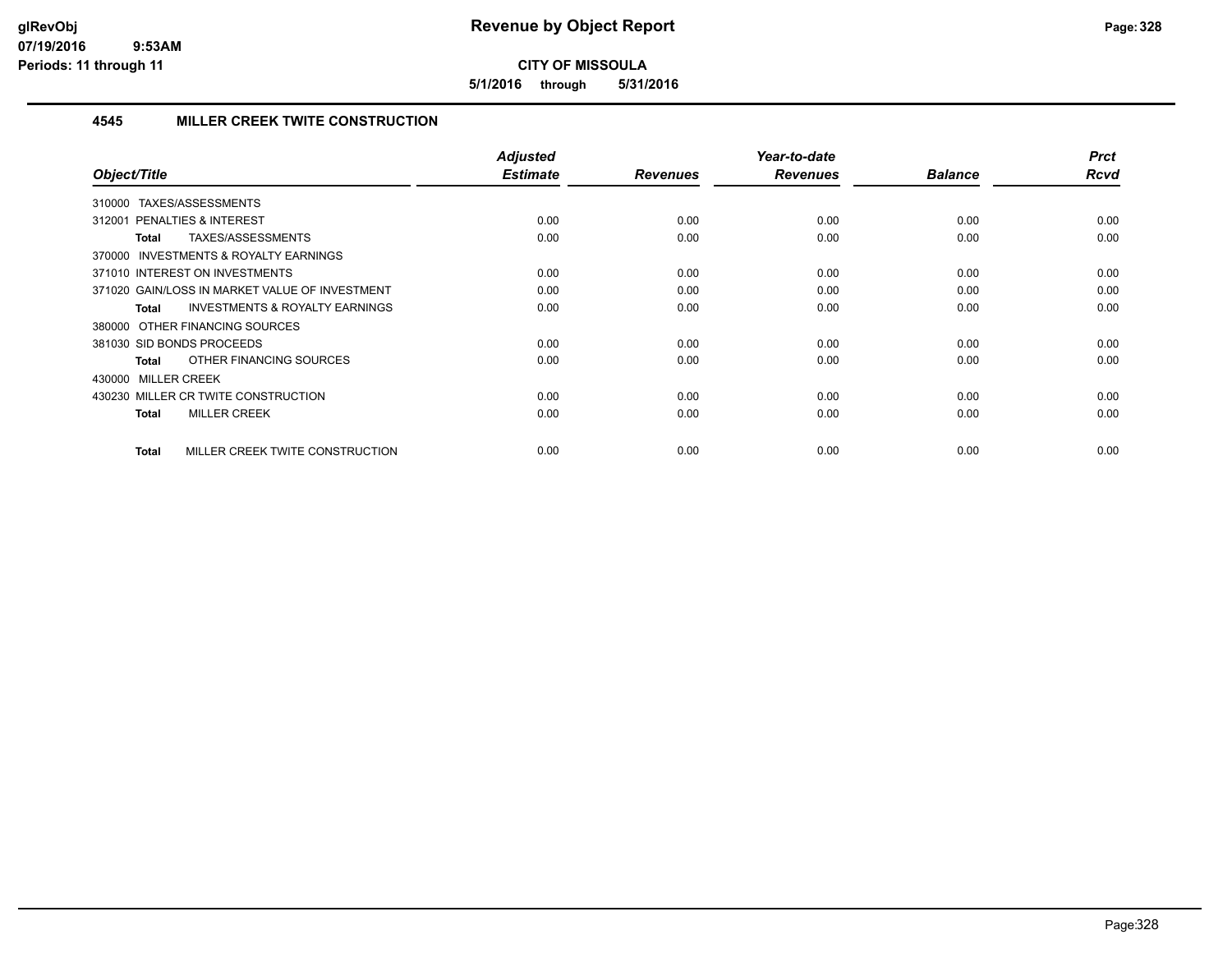**5/1/2016 through 5/31/2016**

#### **4545 MILLER CREEK TWITE CONSTRUCTION**

| Object/Title                                              | <b>Adjusted</b><br><b>Estimate</b> | <b>Revenues</b> | Year-to-date<br><b>Revenues</b> | <b>Balance</b> | <b>Prct</b><br><b>Rcvd</b> |
|-----------------------------------------------------------|------------------------------------|-----------------|---------------------------------|----------------|----------------------------|
| TAXES/ASSESSMENTS<br>310000                               |                                    |                 |                                 |                |                            |
| PENALTIES & INTEREST<br>312001                            | 0.00                               | 0.00            | 0.00                            | 0.00           | 0.00                       |
| TAXES/ASSESSMENTS<br><b>Total</b>                         | 0.00                               | 0.00            | 0.00                            | 0.00           | 0.00                       |
| INVESTMENTS & ROYALTY EARNINGS<br>370000                  |                                    |                 |                                 |                |                            |
| 371010 INTEREST ON INVESTMENTS                            | 0.00                               | 0.00            | 0.00                            | 0.00           | 0.00                       |
| 371020 GAIN/LOSS IN MARKET VALUE OF INVESTMENT            | 0.00                               | 0.00            | 0.00                            | 0.00           | 0.00                       |
| <b>INVESTMENTS &amp; ROYALTY EARNINGS</b><br><b>Total</b> | 0.00                               | 0.00            | 0.00                            | 0.00           | 0.00                       |
| 380000 OTHER FINANCING SOURCES                            |                                    |                 |                                 |                |                            |
| 381030 SID BONDS PROCEEDS                                 | 0.00                               | 0.00            | 0.00                            | 0.00           | 0.00                       |
| OTHER FINANCING SOURCES<br>Total                          | 0.00                               | 0.00            | 0.00                            | 0.00           | 0.00                       |
| 430000 MILLER CREEK                                       |                                    |                 |                                 |                |                            |
| 430230 MILLER CR TWITE CONSTRUCTION                       | 0.00                               | 0.00            | 0.00                            | 0.00           | 0.00                       |
| <b>MILLER CREEK</b><br><b>Total</b>                       | 0.00                               | 0.00            | 0.00                            | 0.00           | 0.00                       |
| MILLER CREEK TWITE CONSTRUCTION<br><b>Total</b>           | 0.00                               | 0.00            | 0.00                            | 0.00           | 0.00                       |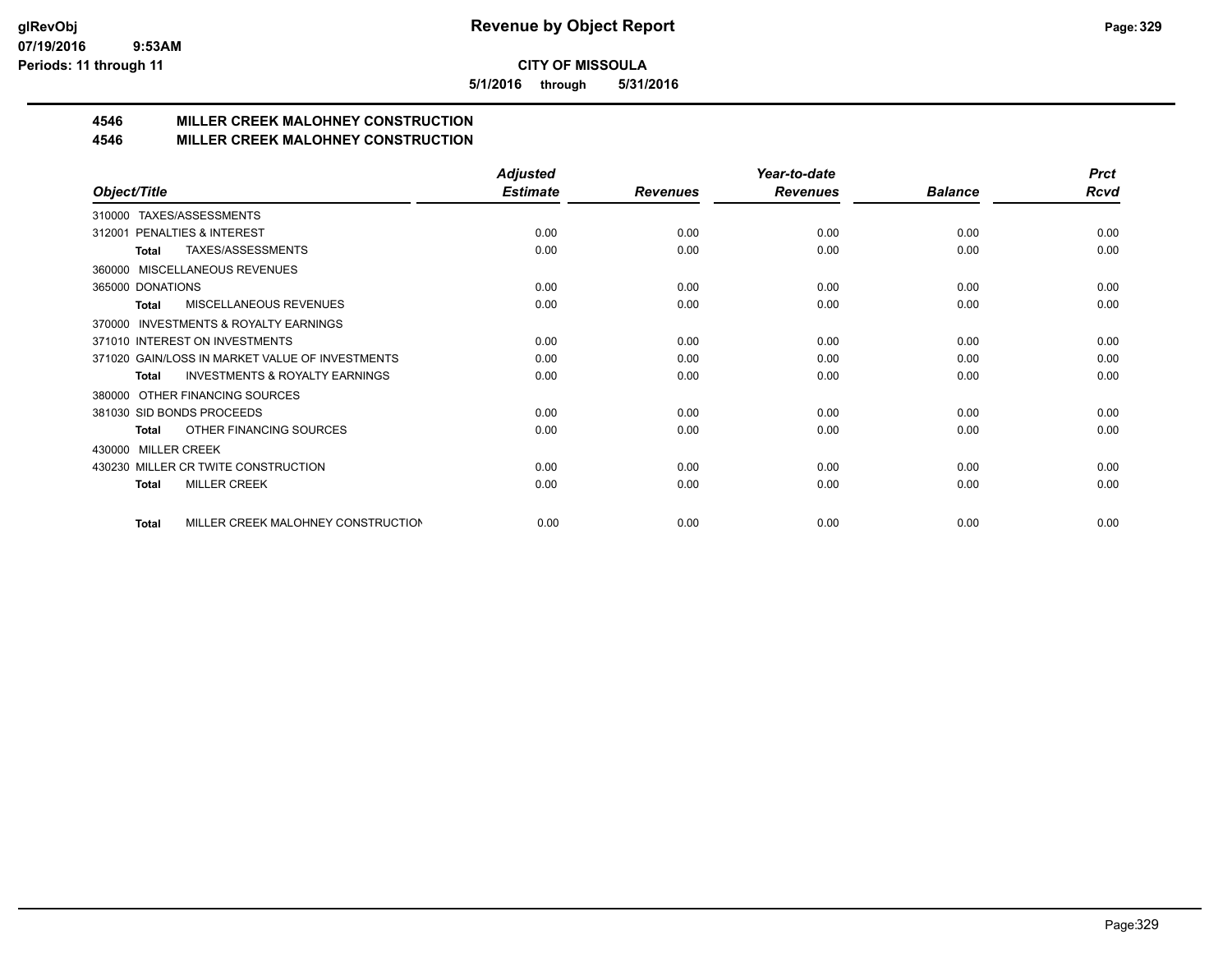**5/1/2016 through 5/31/2016**

# **4546 MILLER CREEK MALOHNEY CONSTRUCTION**

#### **4546 MILLER CREEK MALOHNEY CONSTRUCTION**

|                                                           | <b>Adjusted</b> |                 | Year-to-date    |                | <b>Prct</b> |
|-----------------------------------------------------------|-----------------|-----------------|-----------------|----------------|-------------|
| Object/Title                                              | <b>Estimate</b> | <b>Revenues</b> | <b>Revenues</b> | <b>Balance</b> | Rcvd        |
| TAXES/ASSESSMENTS<br>310000                               |                 |                 |                 |                |             |
| PENALTIES & INTEREST<br>312001                            | 0.00            | 0.00            | 0.00            | 0.00           | 0.00        |
| TAXES/ASSESSMENTS<br>Total                                | 0.00            | 0.00            | 0.00            | 0.00           | 0.00        |
| MISCELLANEOUS REVENUES<br>360000                          |                 |                 |                 |                |             |
| 365000 DONATIONS                                          | 0.00            | 0.00            | 0.00            | 0.00           | 0.00        |
| <b>MISCELLANEOUS REVENUES</b><br><b>Total</b>             | 0.00            | 0.00            | 0.00            | 0.00           | 0.00        |
| <b>INVESTMENTS &amp; ROYALTY EARNINGS</b><br>370000       |                 |                 |                 |                |             |
| 371010 INTEREST ON INVESTMENTS                            | 0.00            | 0.00            | 0.00            | 0.00           | 0.00        |
| 371020 GAIN/LOSS IN MARKET VALUE OF INVESTMENTS           | 0.00            | 0.00            | 0.00            | 0.00           | 0.00        |
| <b>INVESTMENTS &amp; ROYALTY EARNINGS</b><br><b>Total</b> | 0.00            | 0.00            | 0.00            | 0.00           | 0.00        |
| OTHER FINANCING SOURCES<br>380000                         |                 |                 |                 |                |             |
| 381030 SID BONDS PROCEEDS                                 | 0.00            | 0.00            | 0.00            | 0.00           | 0.00        |
| OTHER FINANCING SOURCES<br>Total                          | 0.00            | 0.00            | 0.00            | 0.00           | 0.00        |
| <b>MILLER CREEK</b><br>430000                             |                 |                 |                 |                |             |
| 430230 MILLER CR TWITE CONSTRUCTION                       | 0.00            | 0.00            | 0.00            | 0.00           | 0.00        |
| <b>MILLER CREEK</b><br><b>Total</b>                       | 0.00            | 0.00            | 0.00            | 0.00           | 0.00        |
|                                                           |                 |                 |                 |                |             |
| MILLER CREEK MALOHNEY CONSTRUCTION<br>Total               | 0.00            | 0.00            | 0.00            | 0.00           | 0.00        |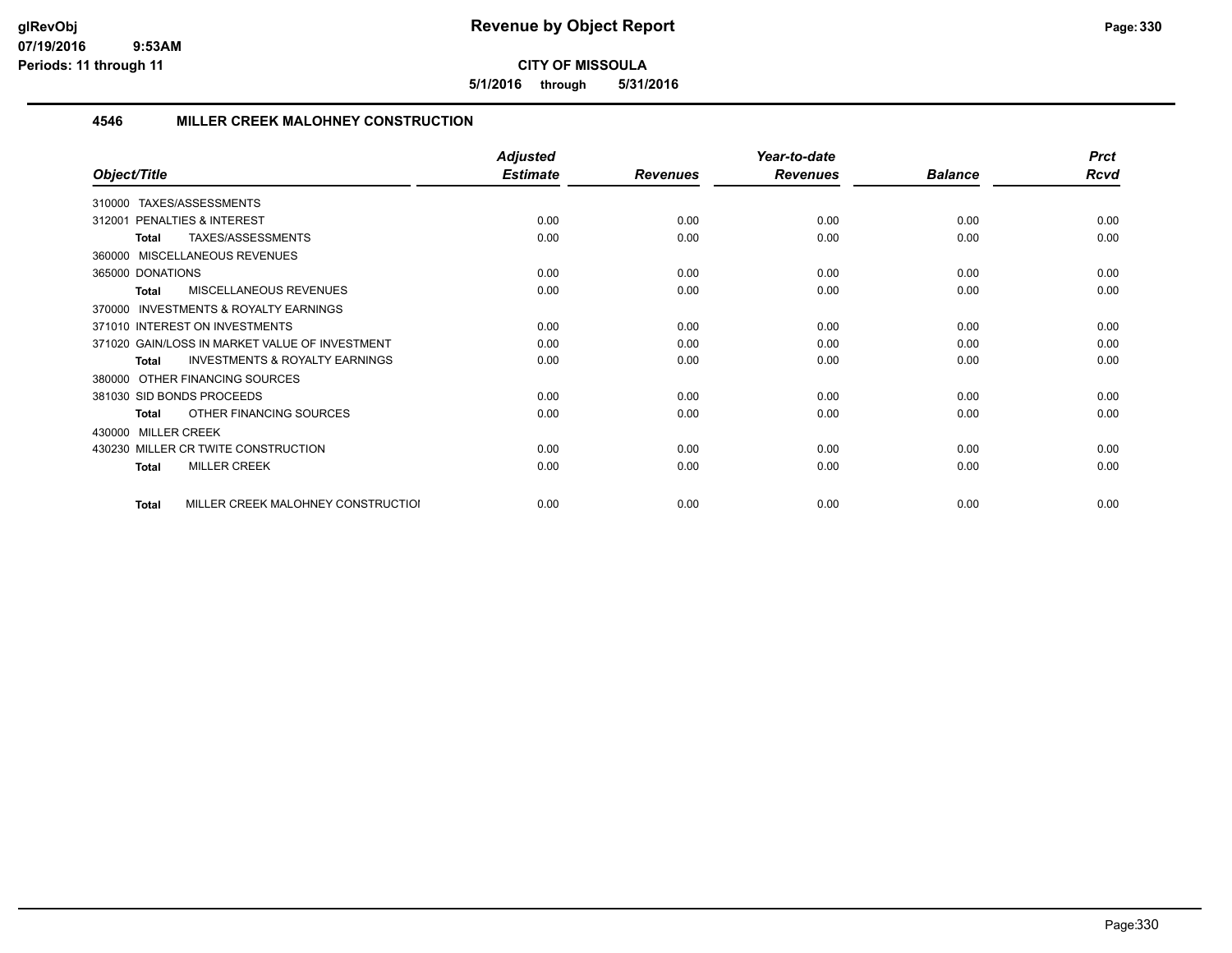**5/1/2016 through 5/31/2016**

#### **4546 MILLER CREEK MALOHNEY CONSTRUCTION**

|                                                           | <b>Adjusted</b> |                 | Year-to-date    |                | <b>Prct</b> |
|-----------------------------------------------------------|-----------------|-----------------|-----------------|----------------|-------------|
| Object/Title                                              | <b>Estimate</b> | <b>Revenues</b> | <b>Revenues</b> | <b>Balance</b> | <b>Rcvd</b> |
| TAXES/ASSESSMENTS<br>310000                               |                 |                 |                 |                |             |
| PENALTIES & INTEREST<br>312001                            | 0.00            | 0.00            | 0.00            | 0.00           | 0.00        |
| TAXES/ASSESSMENTS<br><b>Total</b>                         | 0.00            | 0.00            | 0.00            | 0.00           | 0.00        |
| 360000 MISCELLANEOUS REVENUES                             |                 |                 |                 |                |             |
| 365000 DONATIONS                                          | 0.00            | 0.00            | 0.00            | 0.00           | 0.00        |
| <b>MISCELLANEOUS REVENUES</b><br><b>Total</b>             | 0.00            | 0.00            | 0.00            | 0.00           | 0.00        |
| INVESTMENTS & ROYALTY EARNINGS<br>370000                  |                 |                 |                 |                |             |
| 371010 INTEREST ON INVESTMENTS                            | 0.00            | 0.00            | 0.00            | 0.00           | 0.00        |
| 371020 GAIN/LOSS IN MARKET VALUE OF INVESTMENT            | 0.00            | 0.00            | 0.00            | 0.00           | 0.00        |
| <b>INVESTMENTS &amp; ROYALTY EARNINGS</b><br><b>Total</b> | 0.00            | 0.00            | 0.00            | 0.00           | 0.00        |
| 380000 OTHER FINANCING SOURCES                            |                 |                 |                 |                |             |
| 381030 SID BONDS PROCEEDS                                 | 0.00            | 0.00            | 0.00            | 0.00           | 0.00        |
| OTHER FINANCING SOURCES<br><b>Total</b>                   | 0.00            | 0.00            | 0.00            | 0.00           | 0.00        |
| 430000 MILLER CREEK                                       |                 |                 |                 |                |             |
| 430230 MILLER CR TWITE CONSTRUCTION                       | 0.00            | 0.00            | 0.00            | 0.00           | 0.00        |
| <b>MILLER CREEK</b><br>Total                              | 0.00            | 0.00            | 0.00            | 0.00           | 0.00        |
| MILLER CREEK MALOHNEY CONSTRUCTIOI<br><b>Total</b>        | 0.00            | 0.00            | 0.00            | 0.00           | 0.00        |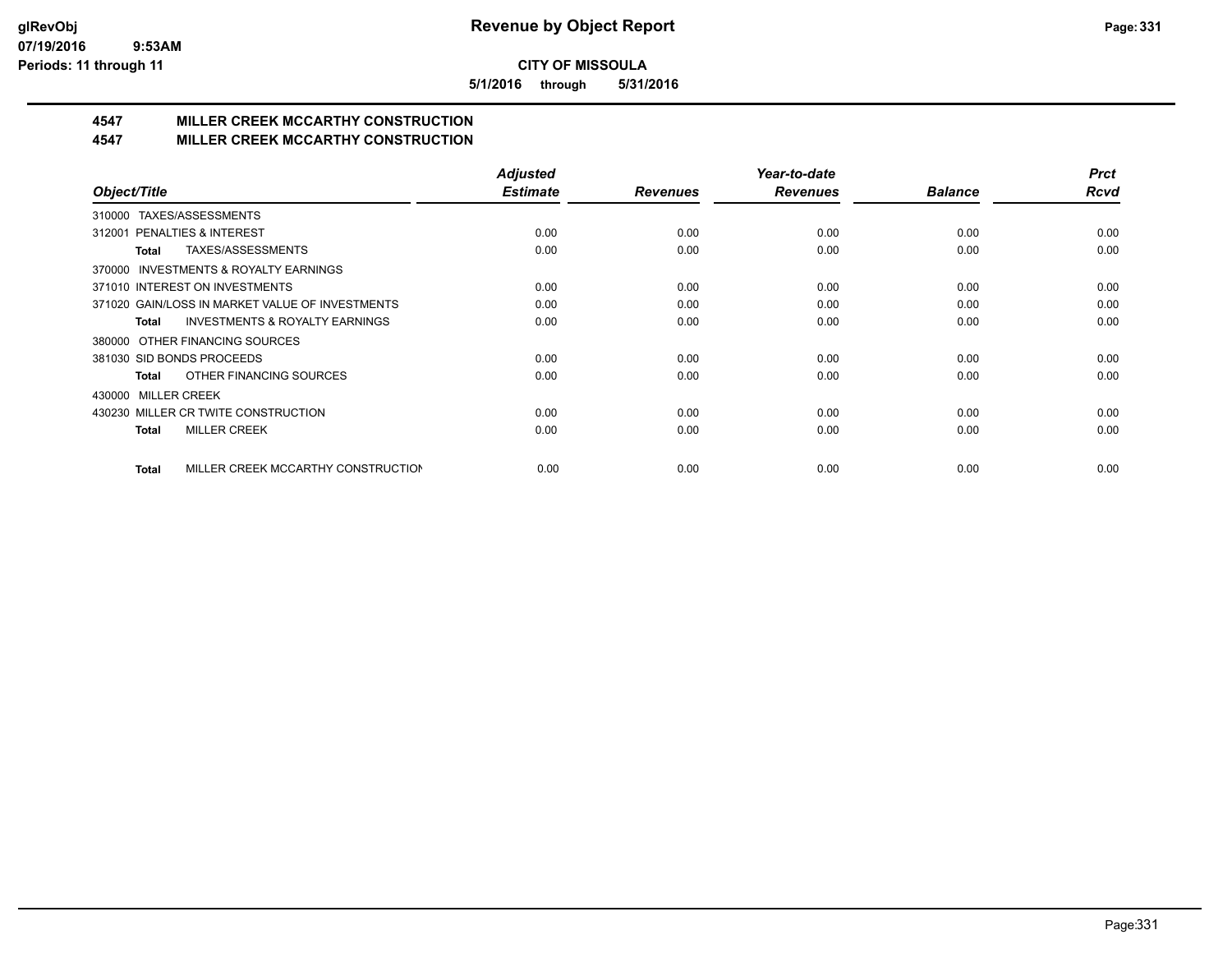**5/1/2016 through 5/31/2016**

# **4547 MILLER CREEK MCCARTHY CONSTRUCTION**

#### **4547 MILLER CREEK MCCARTHY CONSTRUCTION**

|                                                    | <b>Adjusted</b> |                 | Year-to-date    |                | <b>Prct</b> |
|----------------------------------------------------|-----------------|-----------------|-----------------|----------------|-------------|
| Object/Title                                       | <b>Estimate</b> | <b>Revenues</b> | <b>Revenues</b> | <b>Balance</b> | <b>Rcvd</b> |
| TAXES/ASSESSMENTS<br>310000                        |                 |                 |                 |                |             |
| PENALTIES & INTEREST<br>312001                     | 0.00            | 0.00            | 0.00            | 0.00           | 0.00        |
| TAXES/ASSESSMENTS<br>Total                         | 0.00            | 0.00            | 0.00            | 0.00           | 0.00        |
| INVESTMENTS & ROYALTY EARNINGS<br>370000           |                 |                 |                 |                |             |
| 371010 INTEREST ON INVESTMENTS                     | 0.00            | 0.00            | 0.00            | 0.00           | 0.00        |
| 371020 GAIN/LOSS IN MARKET VALUE OF INVESTMENTS    | 0.00            | 0.00            | 0.00            | 0.00           | 0.00        |
| <b>INVESTMENTS &amp; ROYALTY EARNINGS</b><br>Total | 0.00            | 0.00            | 0.00            | 0.00           | 0.00        |
| OTHER FINANCING SOURCES<br>380000                  |                 |                 |                 |                |             |
| 381030 SID BONDS PROCEEDS                          | 0.00            | 0.00            | 0.00            | 0.00           | 0.00        |
| OTHER FINANCING SOURCES<br>Total                   | 0.00            | 0.00            | 0.00            | 0.00           | 0.00        |
| <b>MILLER CREEK</b><br>430000                      |                 |                 |                 |                |             |
| 430230 MILLER CR TWITE CONSTRUCTION                | 0.00            | 0.00            | 0.00            | 0.00           | 0.00        |
| <b>MILLER CREEK</b><br><b>Total</b>                | 0.00            | 0.00            | 0.00            | 0.00           | 0.00        |
|                                                    |                 |                 |                 |                |             |
| MILLER CREEK MCCARTHY CONSTRUCTION<br><b>Total</b> | 0.00            | 0.00            | 0.00            | 0.00           | 0.00        |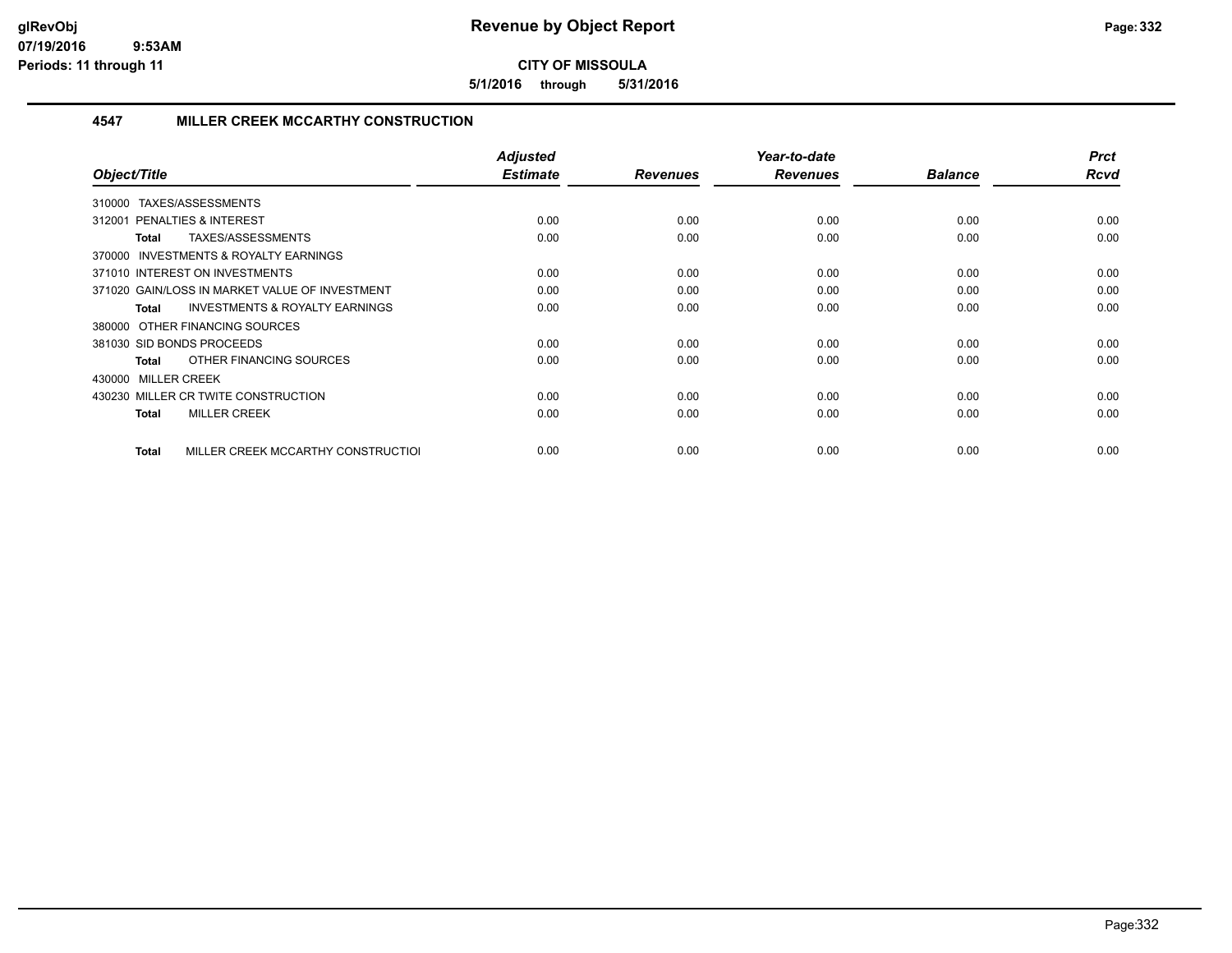**5/1/2016 through 5/31/2016**

#### **4547 MILLER CREEK MCCARTHY CONSTRUCTION**

| Object/Title                                              | <b>Adjusted</b><br><b>Estimate</b> | <b>Revenues</b> | Year-to-date<br><b>Revenues</b> | <b>Balance</b> | <b>Prct</b><br><b>Rcvd</b> |
|-----------------------------------------------------------|------------------------------------|-----------------|---------------------------------|----------------|----------------------------|
| TAXES/ASSESSMENTS<br>310000                               |                                    |                 |                                 |                |                            |
| 312001 PENALTIES & INTEREST                               | 0.00                               | 0.00            | 0.00                            | 0.00           | 0.00                       |
| TAXES/ASSESSMENTS<br>Total                                | 0.00                               | 0.00            | 0.00                            | 0.00           | 0.00                       |
| INVESTMENTS & ROYALTY EARNINGS<br>370000                  |                                    |                 |                                 |                |                            |
| 371010 INTEREST ON INVESTMENTS                            | 0.00                               | 0.00            | 0.00                            | 0.00           | 0.00                       |
| 371020 GAIN/LOSS IN MARKET VALUE OF INVESTMENT            | 0.00                               | 0.00            | 0.00                            | 0.00           | 0.00                       |
| <b>INVESTMENTS &amp; ROYALTY EARNINGS</b><br><b>Total</b> | 0.00                               | 0.00            | 0.00                            | 0.00           | 0.00                       |
| 380000 OTHER FINANCING SOURCES                            |                                    |                 |                                 |                |                            |
| 381030 SID BONDS PROCEEDS                                 | 0.00                               | 0.00            | 0.00                            | 0.00           | 0.00                       |
| OTHER FINANCING SOURCES<br>Total                          | 0.00                               | 0.00            | 0.00                            | 0.00           | 0.00                       |
| 430000 MILLER CREEK                                       |                                    |                 |                                 |                |                            |
| 430230 MILLER CR TWITE CONSTRUCTION                       | 0.00                               | 0.00            | 0.00                            | 0.00           | 0.00                       |
| <b>MILLER CREEK</b><br><b>Total</b>                       | 0.00                               | 0.00            | 0.00                            | 0.00           | 0.00                       |
|                                                           |                                    |                 |                                 |                |                            |
| MILLER CREEK MCCARTHY CONSTRUCTIOL<br><b>Total</b>        | 0.00                               | 0.00            | 0.00                            | 0.00           | 0.00                       |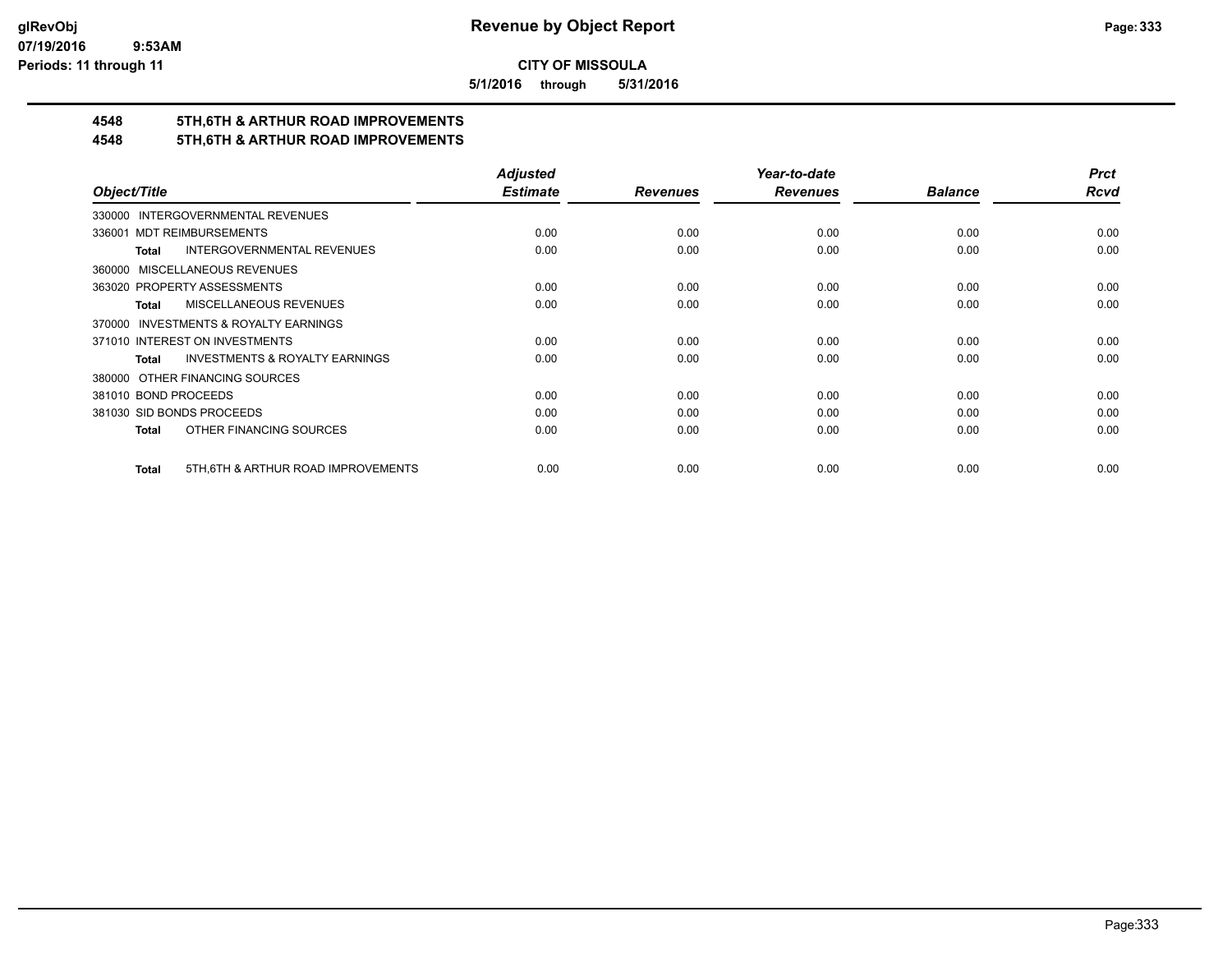**5/1/2016 through 5/31/2016**

# **4548 5TH,6TH & ARTHUR ROAD IMPROVEMENTS**

### **4548 5TH,6TH & ARTHUR ROAD IMPROVEMENTS**

|                                                           | <b>Adjusted</b> |                 | Year-to-date    |                | <b>Prct</b> |
|-----------------------------------------------------------|-----------------|-----------------|-----------------|----------------|-------------|
| Object/Title                                              | <b>Estimate</b> | <b>Revenues</b> | <b>Revenues</b> | <b>Balance</b> | <b>Rcvd</b> |
| 330000 INTERGOVERNMENTAL REVENUES                         |                 |                 |                 |                |             |
| <b>MDT REIMBURSEMENTS</b><br>336001                       | 0.00            | 0.00            | 0.00            | 0.00           | 0.00        |
| <b>INTERGOVERNMENTAL REVENUES</b><br><b>Total</b>         | 0.00            | 0.00            | 0.00            | 0.00           | 0.00        |
| 360000 MISCELLANEOUS REVENUES                             |                 |                 |                 |                |             |
| 363020 PROPERTY ASSESSMENTS                               | 0.00            | 0.00            | 0.00            | 0.00           | 0.00        |
| MISCELLANEOUS REVENUES<br>Total                           | 0.00            | 0.00            | 0.00            | 0.00           | 0.00        |
| 370000 INVESTMENTS & ROYALTY EARNINGS                     |                 |                 |                 |                |             |
| 371010 INTEREST ON INVESTMENTS                            | 0.00            | 0.00            | 0.00            | 0.00           | 0.00        |
| <b>INVESTMENTS &amp; ROYALTY EARNINGS</b><br><b>Total</b> | 0.00            | 0.00            | 0.00            | 0.00           | 0.00        |
| 380000 OTHER FINANCING SOURCES                            |                 |                 |                 |                |             |
| 381010 BOND PROCEEDS                                      | 0.00            | 0.00            | 0.00            | 0.00           | 0.00        |
| 381030 SID BONDS PROCEEDS                                 | 0.00            | 0.00            | 0.00            | 0.00           | 0.00        |
| OTHER FINANCING SOURCES<br>Total                          | 0.00            | 0.00            | 0.00            | 0.00           | 0.00        |
|                                                           |                 |                 |                 |                |             |
| 5TH, 6TH & ARTHUR ROAD IMPROVEMENTS<br><b>Total</b>       | 0.00            | 0.00            | 0.00            | 0.00           | 0.00        |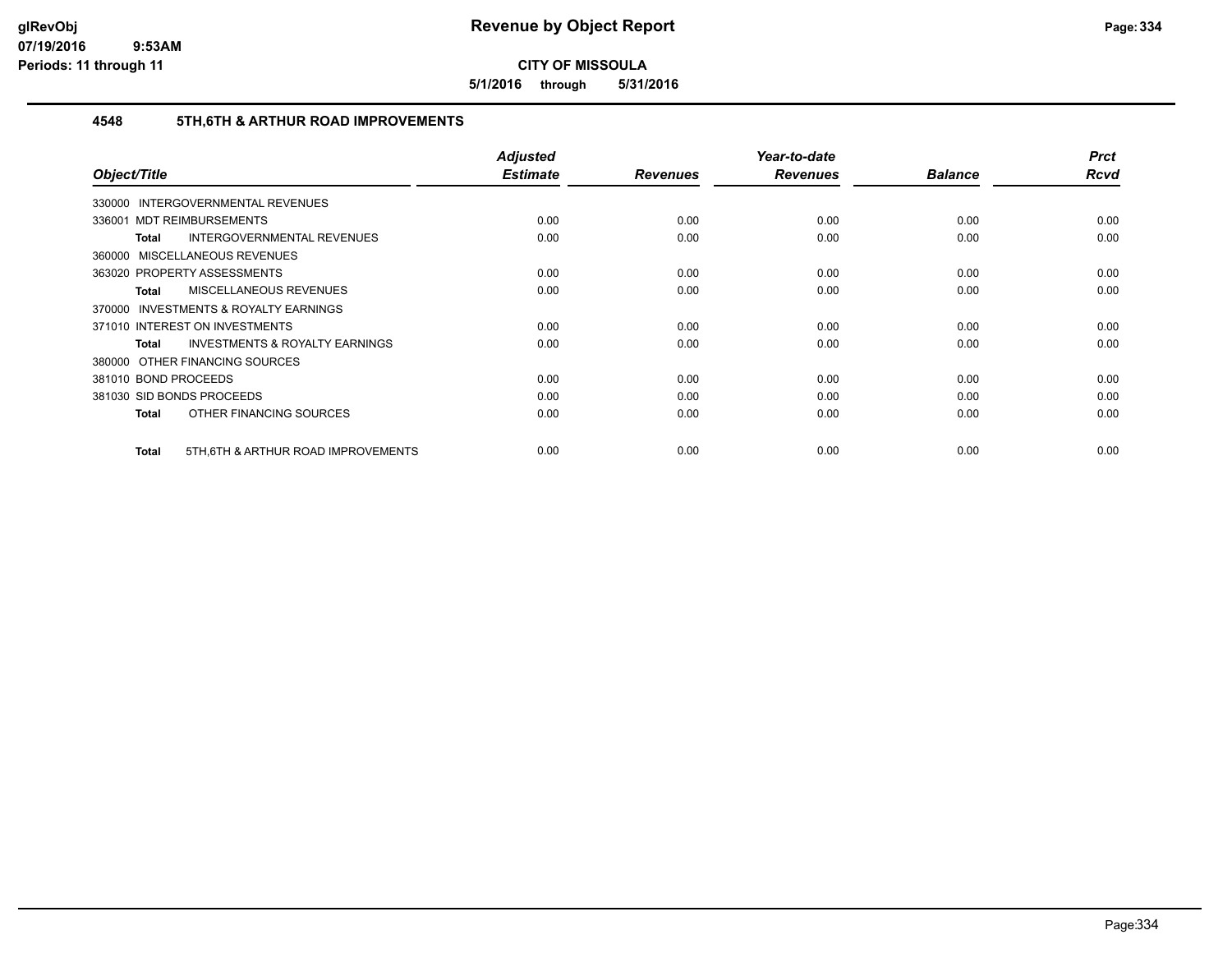**5/1/2016 through 5/31/2016**

#### **4548 5TH,6TH & ARTHUR ROAD IMPROVEMENTS**

| Object/Title                                       | <b>Adjusted</b><br><b>Estimate</b> | <b>Revenues</b> | Year-to-date<br><b>Revenues</b> | <b>Balance</b> | <b>Prct</b><br><b>Rcvd</b> |
|----------------------------------------------------|------------------------------------|-----------------|---------------------------------|----------------|----------------------------|
| <b>INTERGOVERNMENTAL REVENUES</b><br>330000        |                                    |                 |                                 |                |                            |
| 336001 MDT REIMBURSEMENTS                          | 0.00                               | 0.00            | 0.00                            | 0.00           | 0.00                       |
| <b>INTERGOVERNMENTAL REVENUES</b><br>Total         | 0.00                               | 0.00            | 0.00                            | 0.00           | 0.00                       |
| 360000 MISCELLANEOUS REVENUES                      |                                    |                 |                                 |                |                            |
| 363020 PROPERTY ASSESSMENTS                        | 0.00                               | 0.00            | 0.00                            | 0.00           | 0.00                       |
| <b>MISCELLANEOUS REVENUES</b><br>Total             | 0.00                               | 0.00            | 0.00                            | 0.00           | 0.00                       |
| 370000 INVESTMENTS & ROYALTY EARNINGS              |                                    |                 |                                 |                |                            |
| 371010 INTEREST ON INVESTMENTS                     | 0.00                               | 0.00            | 0.00                            | 0.00           | 0.00                       |
| <b>INVESTMENTS &amp; ROYALTY EARNINGS</b><br>Total | 0.00                               | 0.00            | 0.00                            | 0.00           | 0.00                       |
| 380000 OTHER FINANCING SOURCES                     |                                    |                 |                                 |                |                            |
| 381010 BOND PROCEEDS                               | 0.00                               | 0.00            | 0.00                            | 0.00           | 0.00                       |
| 381030 SID BONDS PROCEEDS                          | 0.00                               | 0.00            | 0.00                            | 0.00           | 0.00                       |
| OTHER FINANCING SOURCES<br>Total                   | 0.00                               | 0.00            | 0.00                            | 0.00           | 0.00                       |
| 5TH, 6TH & ARTHUR ROAD IMPROVEMENTS<br>Total       | 0.00                               | 0.00            | 0.00                            | 0.00           | 0.00                       |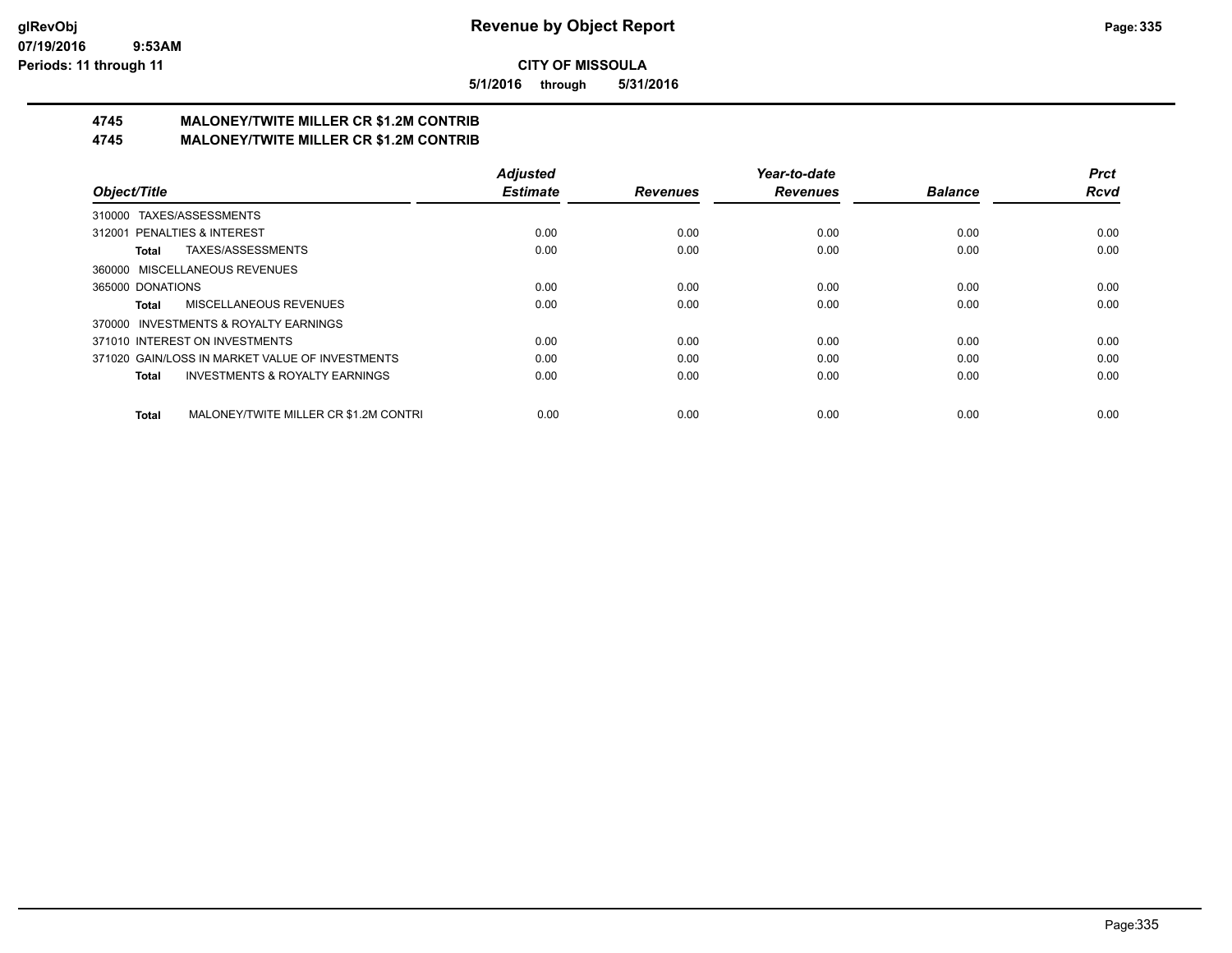**5/1/2016 through 5/31/2016**

# **4745 MALONEY/TWITE MILLER CR \$1.2M CONTRIB**

**4745 MALONEY/TWITE MILLER CR \$1.2M CONTRIB**

|                                                           | <b>Adjusted</b> |                 | Year-to-date    |                | <b>Prct</b> |
|-----------------------------------------------------------|-----------------|-----------------|-----------------|----------------|-------------|
| Object/Title                                              | <b>Estimate</b> | <b>Revenues</b> | <b>Revenues</b> | <b>Balance</b> | <b>Rcvd</b> |
| 310000 TAXES/ASSESSMENTS                                  |                 |                 |                 |                |             |
| 312001 PENALTIES & INTEREST                               | 0.00            | 0.00            | 0.00            | 0.00           | 0.00        |
| TAXES/ASSESSMENTS<br>Total                                | 0.00            | 0.00            | 0.00            | 0.00           | 0.00        |
| 360000 MISCELLANEOUS REVENUES                             |                 |                 |                 |                |             |
| 365000 DONATIONS                                          | 0.00            | 0.00            | 0.00            | 0.00           | 0.00        |
| MISCELLANEOUS REVENUES<br>Total                           | 0.00            | 0.00            | 0.00            | 0.00           | 0.00        |
| 370000 INVESTMENTS & ROYALTY EARNINGS                     |                 |                 |                 |                |             |
| 371010 INTEREST ON INVESTMENTS                            | 0.00            | 0.00            | 0.00            | 0.00           | 0.00        |
| 371020 GAIN/LOSS IN MARKET VALUE OF INVESTMENTS           | 0.00            | 0.00            | 0.00            | 0.00           | 0.00        |
| <b>INVESTMENTS &amp; ROYALTY EARNINGS</b><br><b>Total</b> | 0.00            | 0.00            | 0.00            | 0.00           | 0.00        |
| MALONEY/TWITE MILLER CR \$1.2M CONTRI<br><b>Total</b>     | 0.00            | 0.00            | 0.00            | 0.00           | 0.00        |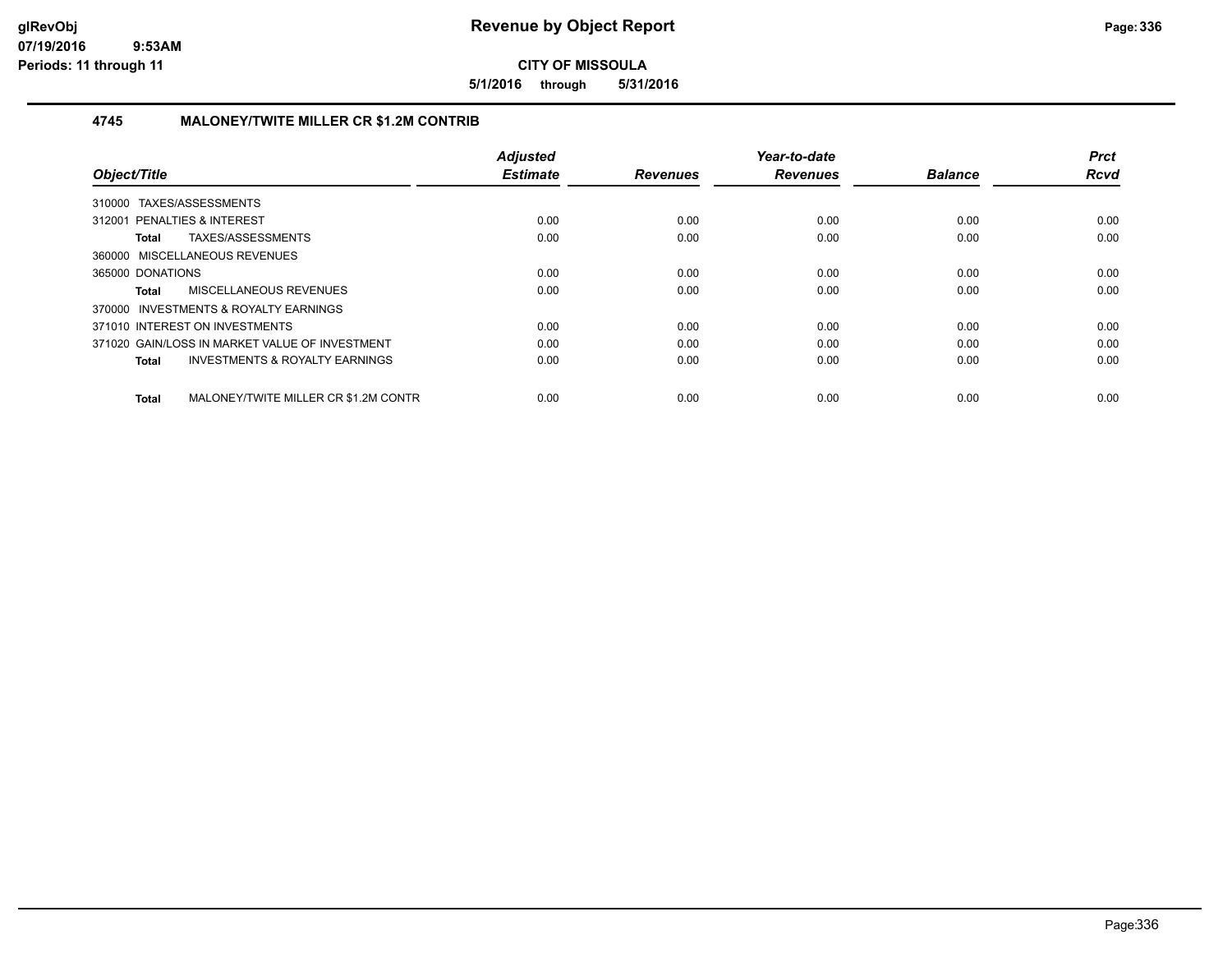**5/1/2016 through 5/31/2016**

#### **4745 MALONEY/TWITE MILLER CR \$1.2M CONTRIB**

|                                                           | <b>Adjusted</b> |                 | Year-to-date    |                | <b>Prct</b> |
|-----------------------------------------------------------|-----------------|-----------------|-----------------|----------------|-------------|
| Object/Title                                              | <b>Estimate</b> | <b>Revenues</b> | <b>Revenues</b> | <b>Balance</b> | <b>Rcvd</b> |
| 310000 TAXES/ASSESSMENTS                                  |                 |                 |                 |                |             |
| 312001 PENALTIES & INTEREST                               | 0.00            | 0.00            | 0.00            | 0.00           | 0.00        |
| TAXES/ASSESSMENTS<br>Total                                | 0.00            | 0.00            | 0.00            | 0.00           | 0.00        |
| 360000 MISCELLANEOUS REVENUES                             |                 |                 |                 |                |             |
| 365000 DONATIONS                                          | 0.00            | 0.00            | 0.00            | 0.00           | 0.00        |
| MISCELLANEOUS REVENUES<br>Total                           | 0.00            | 0.00            | 0.00            | 0.00           | 0.00        |
| 370000 INVESTMENTS & ROYALTY EARNINGS                     |                 |                 |                 |                |             |
| 371010 INTEREST ON INVESTMENTS                            | 0.00            | 0.00            | 0.00            | 0.00           | 0.00        |
| 371020 GAIN/LOSS IN MARKET VALUE OF INVESTMENT            | 0.00            | 0.00            | 0.00            | 0.00           | 0.00        |
| <b>INVESTMENTS &amp; ROYALTY EARNINGS</b><br><b>Total</b> | 0.00            | 0.00            | 0.00            | 0.00           | 0.00        |
|                                                           |                 |                 |                 |                |             |
| MALONEY/TWITE MILLER CR \$1.2M CONTR<br>Total             | 0.00            | 0.00            | 0.00            | 0.00           | 0.00        |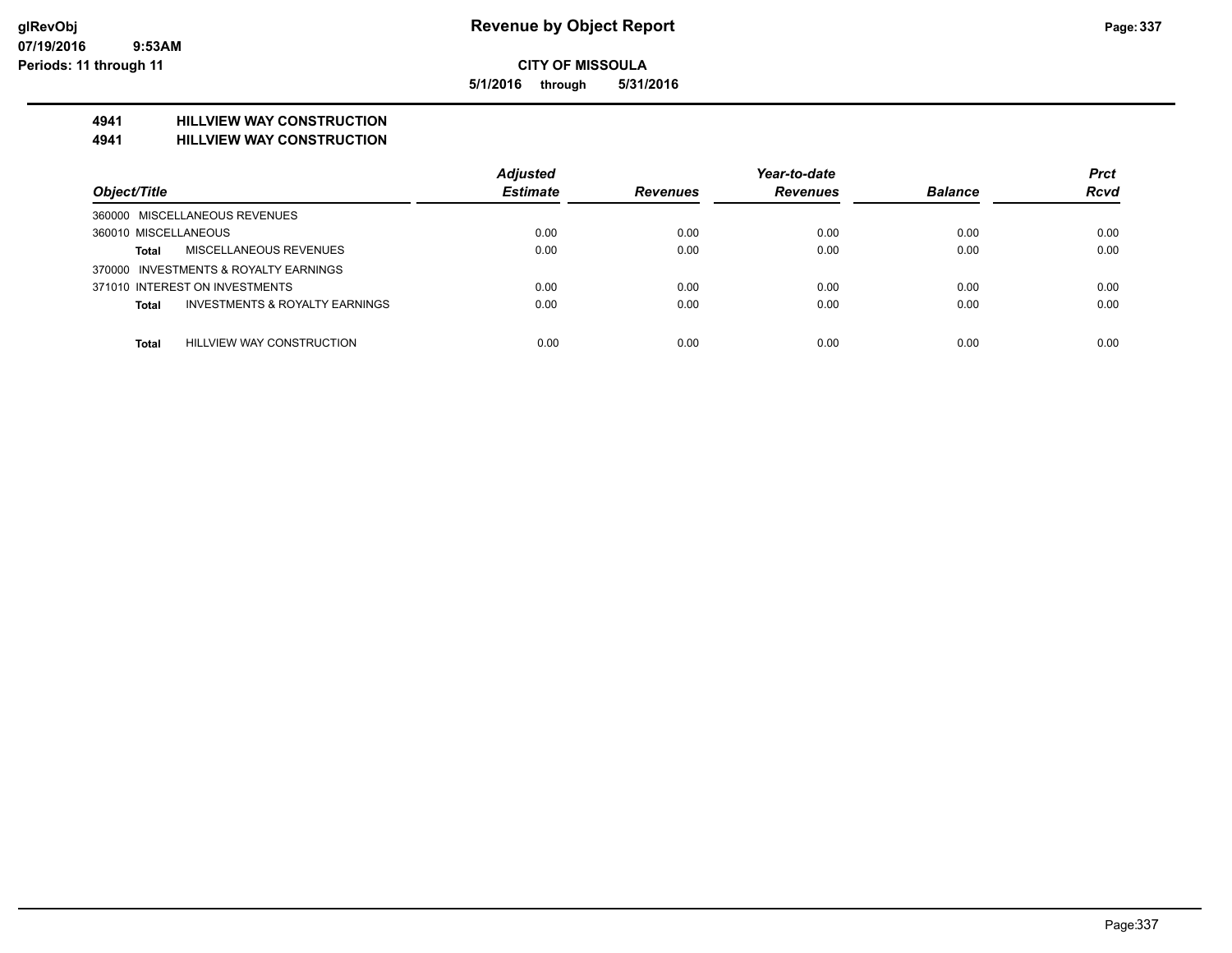**5/1/2016 through 5/31/2016**

### **4941 HILLVIEW WAY CONSTRUCTION**

#### **4941 HILLVIEW WAY CONSTRUCTION**

|                                                           | <b>Adjusted</b> |                 | Year-to-date    |                | <b>Prct</b> |
|-----------------------------------------------------------|-----------------|-----------------|-----------------|----------------|-------------|
| Object/Title                                              | <b>Estimate</b> | <b>Revenues</b> | <b>Revenues</b> | <b>Balance</b> | <b>Rcvd</b> |
| 360000 MISCELLANEOUS REVENUES                             |                 |                 |                 |                |             |
| 360010 MISCELLANEOUS                                      | 0.00            | 0.00            | 0.00            | 0.00           | 0.00        |
| <b>MISCELLANEOUS REVENUES</b><br><b>Total</b>             | 0.00            | 0.00            | 0.00            | 0.00           | 0.00        |
| 370000 INVESTMENTS & ROYALTY EARNINGS                     |                 |                 |                 |                |             |
| 371010 INTEREST ON INVESTMENTS                            | 0.00            | 0.00            | 0.00            | 0.00           | 0.00        |
| <b>INVESTMENTS &amp; ROYALTY EARNINGS</b><br><b>Total</b> | 0.00            | 0.00            | 0.00            | 0.00           | 0.00        |
|                                                           |                 |                 |                 |                |             |
| <b>HILLVIEW WAY CONSTRUCTION</b><br><b>Total</b>          | 0.00            | 0.00            | 0.00            | 0.00           | 0.00        |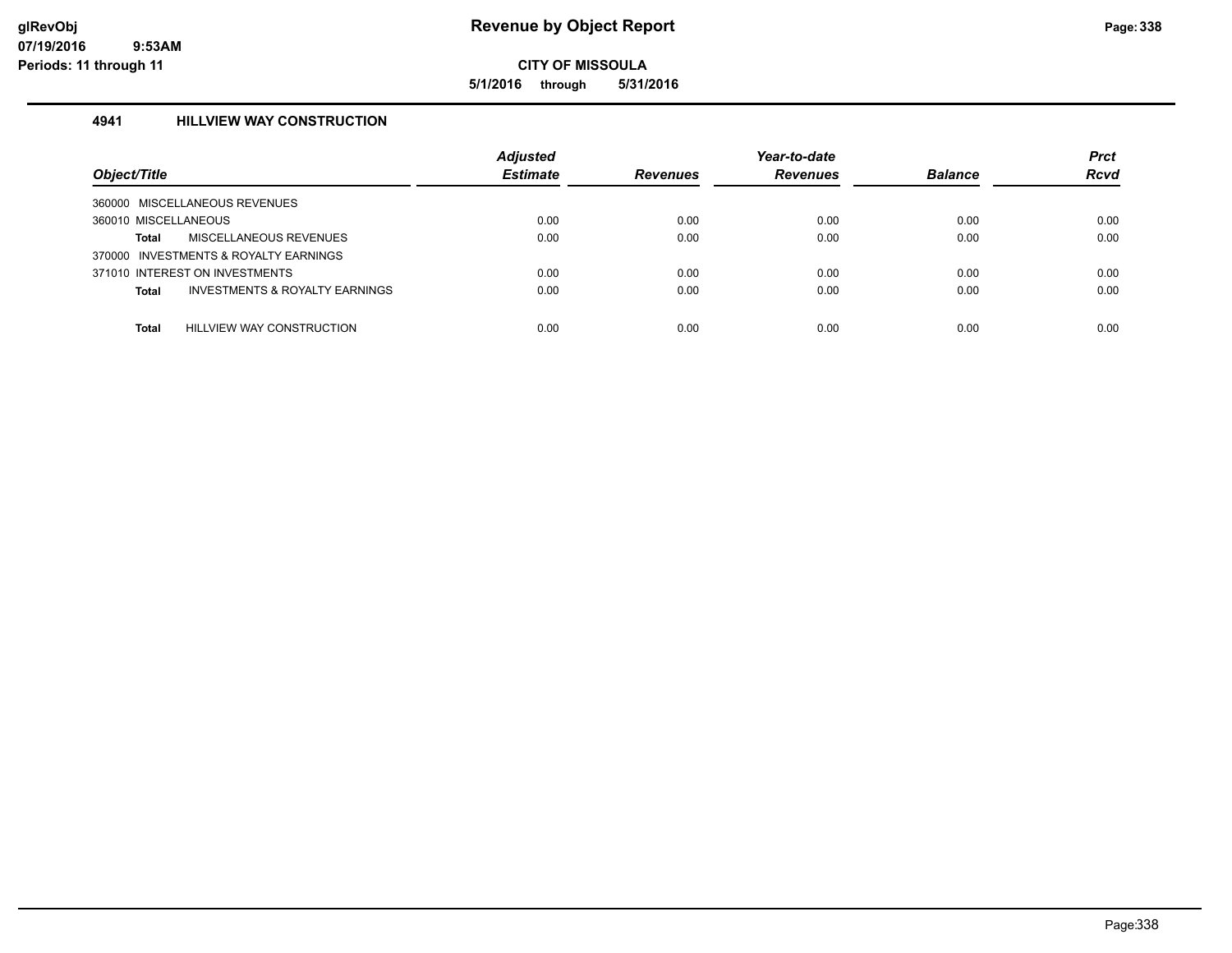**5/1/2016 through 5/31/2016**

#### **4941 HILLVIEW WAY CONSTRUCTION**

| Object/Title                                   | <b>Adjusted</b><br><b>Estimate</b> | Revenues | Year-to-date<br><b>Revenues</b> | <b>Balance</b> | <b>Prct</b><br><b>Rcvd</b> |
|------------------------------------------------|------------------------------------|----------|---------------------------------|----------------|----------------------------|
| 360000 MISCELLANEOUS REVENUES                  |                                    |          |                                 |                |                            |
| 360010 MISCELLANEOUS                           | 0.00                               | 0.00     | 0.00                            | 0.00           | 0.00                       |
| MISCELLANEOUS REVENUES<br>Total                | 0.00                               | 0.00     | 0.00                            | 0.00           | 0.00                       |
| 370000 INVESTMENTS & ROYALTY EARNINGS          |                                    |          |                                 |                |                            |
| 371010 INTEREST ON INVESTMENTS                 | 0.00                               | 0.00     | 0.00                            | 0.00           | 0.00                       |
| INVESTMENTS & ROYALTY EARNINGS<br><b>Total</b> | 0.00                               | 0.00     | 0.00                            | 0.00           | 0.00                       |
|                                                |                                    |          |                                 |                |                            |
| HILLVIEW WAY CONSTRUCTION<br>Total             | 0.00                               | 0.00     | 0.00                            | 0.00           | 0.00                       |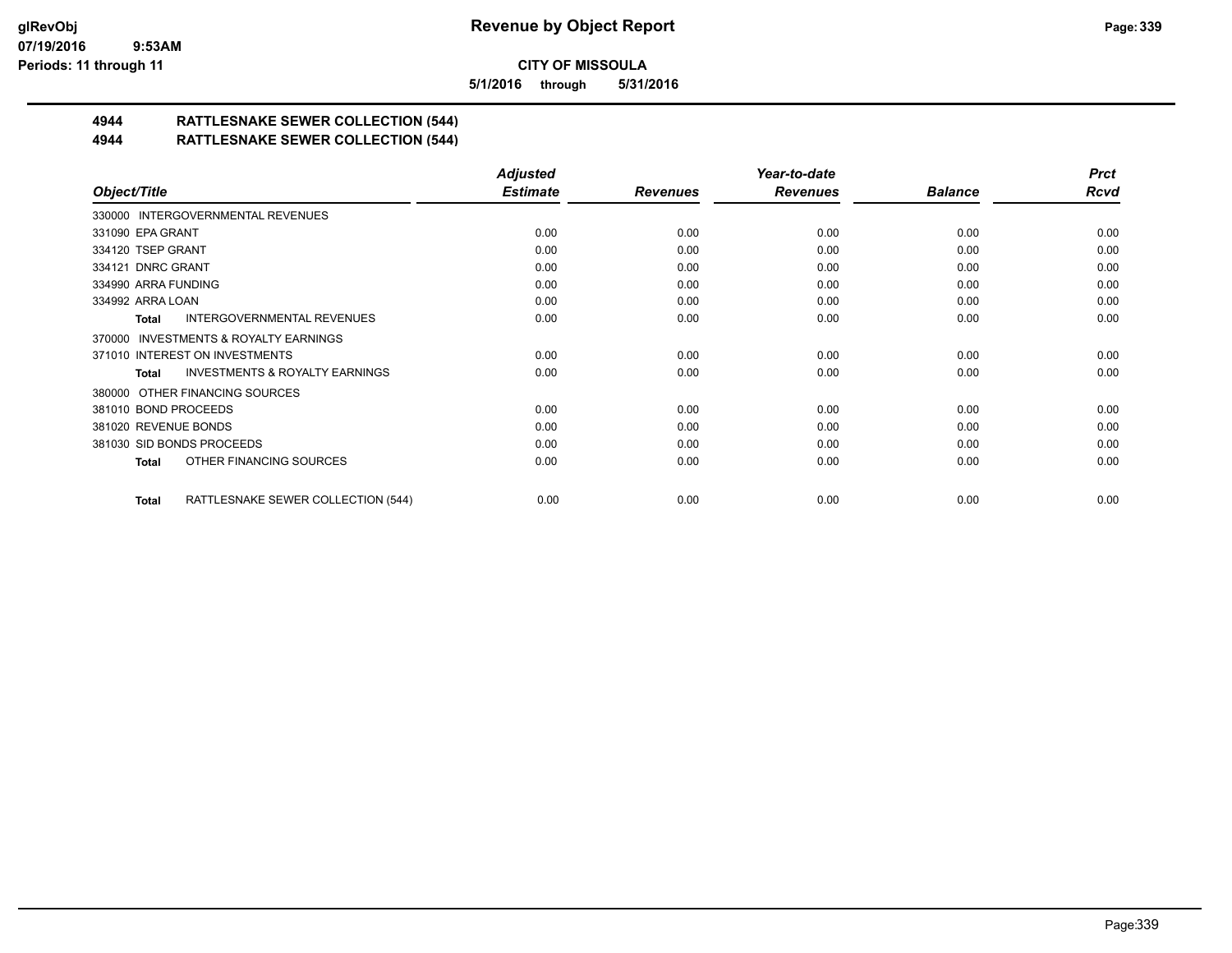**5/1/2016 through 5/31/2016**

# **4944 RATTLESNAKE SEWER COLLECTION (544)**

#### **4944 RATTLESNAKE SEWER COLLECTION (544)**

|                                                     | <b>Adjusted</b> |                 | Year-to-date    |                | <b>Prct</b> |
|-----------------------------------------------------|-----------------|-----------------|-----------------|----------------|-------------|
| Object/Title                                        | <b>Estimate</b> | <b>Revenues</b> | <b>Revenues</b> | <b>Balance</b> | <b>Rcvd</b> |
| 330000 INTERGOVERNMENTAL REVENUES                   |                 |                 |                 |                |             |
| 331090 EPA GRANT                                    | 0.00            | 0.00            | 0.00            | 0.00           | 0.00        |
| 334120 TSEP GRANT                                   | 0.00            | 0.00            | 0.00            | 0.00           | 0.00        |
| 334121 DNRC GRANT                                   | 0.00            | 0.00            | 0.00            | 0.00           | 0.00        |
| 334990 ARRA FUNDING                                 | 0.00            | 0.00            | 0.00            | 0.00           | 0.00        |
| 334992 ARRA LOAN                                    | 0.00            | 0.00            | 0.00            | 0.00           | 0.00        |
| INTERGOVERNMENTAL REVENUES<br>Total                 | 0.00            | 0.00            | 0.00            | 0.00           | 0.00        |
| <b>INVESTMENTS &amp; ROYALTY EARNINGS</b><br>370000 |                 |                 |                 |                |             |
| 371010 INTEREST ON INVESTMENTS                      | 0.00            | 0.00            | 0.00            | 0.00           | 0.00        |
| <b>INVESTMENTS &amp; ROYALTY EARNINGS</b><br>Total  | 0.00            | 0.00            | 0.00            | 0.00           | 0.00        |
| 380000 OTHER FINANCING SOURCES                      |                 |                 |                 |                |             |
| 381010 BOND PROCEEDS                                | 0.00            | 0.00            | 0.00            | 0.00           | 0.00        |
| 381020 REVENUE BONDS                                | 0.00            | 0.00            | 0.00            | 0.00           | 0.00        |
| 381030 SID BONDS PROCEEDS                           | 0.00            | 0.00            | 0.00            | 0.00           | 0.00        |
| OTHER FINANCING SOURCES<br>Total                    | 0.00            | 0.00            | 0.00            | 0.00           | 0.00        |
| RATTLESNAKE SEWER COLLECTION (544)<br>Total         | 0.00            | 0.00            | 0.00            | 0.00           | 0.00        |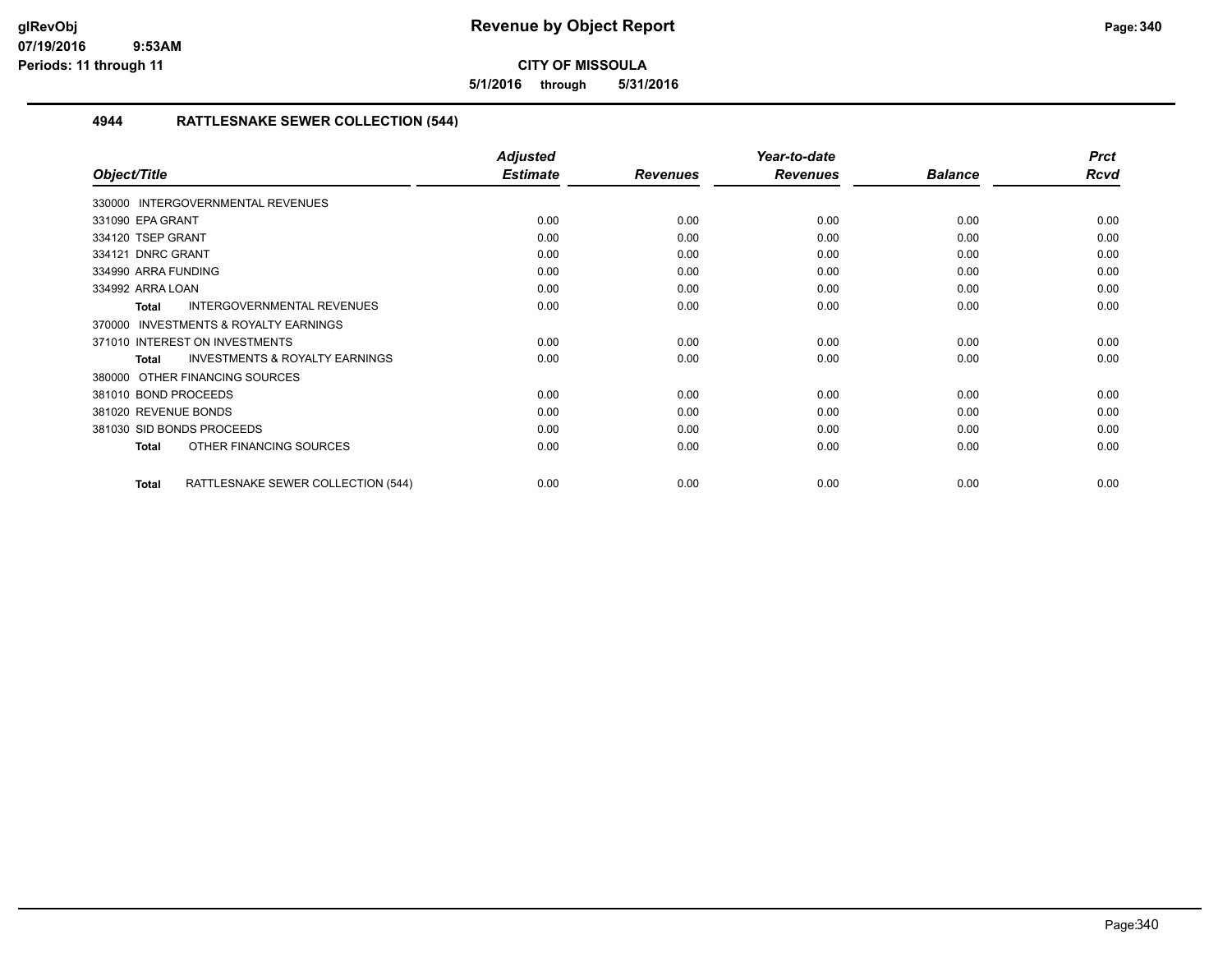**5/1/2016 through 5/31/2016**

#### **4944 RATTLESNAKE SEWER COLLECTION (544)**

|                                                           | <b>Adjusted</b> |                 | Year-to-date    |                | <b>Prct</b> |
|-----------------------------------------------------------|-----------------|-----------------|-----------------|----------------|-------------|
| Object/Title                                              | <b>Estimate</b> | <b>Revenues</b> | <b>Revenues</b> | <b>Balance</b> | <b>Rcvd</b> |
| 330000 INTERGOVERNMENTAL REVENUES                         |                 |                 |                 |                |             |
| 331090 EPA GRANT                                          | 0.00            | 0.00            | 0.00            | 0.00           | 0.00        |
| 334120 TSEP GRANT                                         | 0.00            | 0.00            | 0.00            | 0.00           | 0.00        |
| 334121 DNRC GRANT                                         | 0.00            | 0.00            | 0.00            | 0.00           | 0.00        |
| 334990 ARRA FUNDING                                       | 0.00            | 0.00            | 0.00            | 0.00           | 0.00        |
| 334992 ARRA LOAN                                          | 0.00            | 0.00            | 0.00            | 0.00           | 0.00        |
| INTERGOVERNMENTAL REVENUES<br><b>Total</b>                | 0.00            | 0.00            | 0.00            | 0.00           | 0.00        |
| <b>INVESTMENTS &amp; ROYALTY EARNINGS</b><br>370000       |                 |                 |                 |                |             |
| 371010 INTEREST ON INVESTMENTS                            | 0.00            | 0.00            | 0.00            | 0.00           | 0.00        |
| <b>INVESTMENTS &amp; ROYALTY EARNINGS</b><br><b>Total</b> | 0.00            | 0.00            | 0.00            | 0.00           | 0.00        |
| OTHER FINANCING SOURCES<br>380000                         |                 |                 |                 |                |             |
| 381010 BOND PROCEEDS                                      | 0.00            | 0.00            | 0.00            | 0.00           | 0.00        |
| 381020 REVENUE BONDS                                      | 0.00            | 0.00            | 0.00            | 0.00           | 0.00        |
| 381030 SID BONDS PROCEEDS                                 | 0.00            | 0.00            | 0.00            | 0.00           | 0.00        |
| OTHER FINANCING SOURCES<br><b>Total</b>                   | 0.00            | 0.00            | 0.00            | 0.00           | 0.00        |
| RATTLESNAKE SEWER COLLECTION (544)<br>Total               | 0.00            | 0.00            | 0.00            | 0.00           | 0.00        |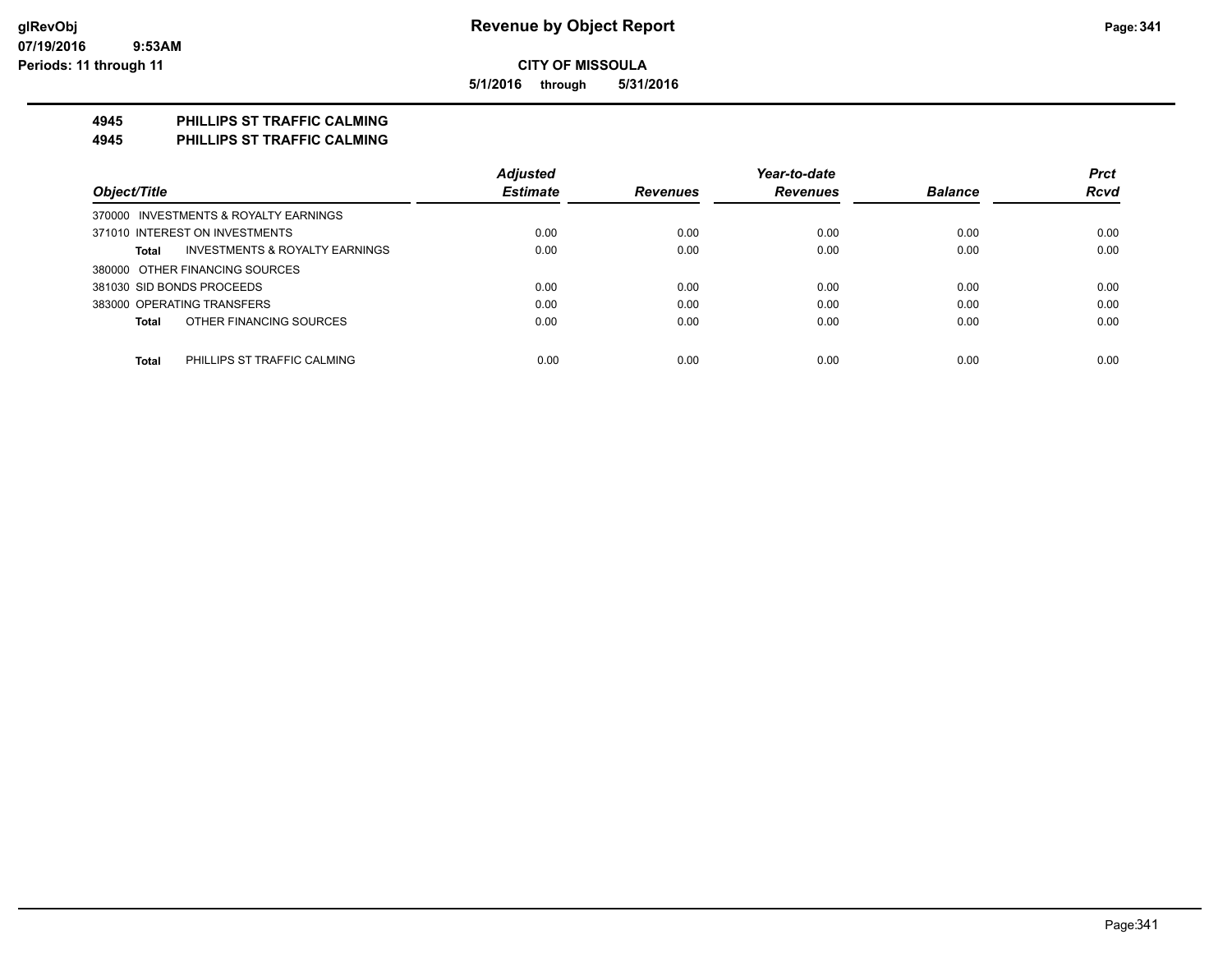**5/1/2016 through 5/31/2016**

#### **4945 PHILLIPS ST TRAFFIC CALMING**

**4945 PHILLIPS ST TRAFFIC CALMING**

|                                             | <b>Adjusted</b> |                 | Year-to-date    |                | <b>Prct</b> |
|---------------------------------------------|-----------------|-----------------|-----------------|----------------|-------------|
| Object/Title                                | <b>Estimate</b> | <b>Revenues</b> | <b>Revenues</b> | <b>Balance</b> | <b>Rcvd</b> |
| 370000 INVESTMENTS & ROYALTY EARNINGS       |                 |                 |                 |                |             |
| 371010 INTEREST ON INVESTMENTS              | 0.00            | 0.00            | 0.00            | 0.00           | 0.00        |
| INVESTMENTS & ROYALTY EARNINGS<br>Total     | 0.00            | 0.00            | 0.00            | 0.00           | 0.00        |
| 380000 OTHER FINANCING SOURCES              |                 |                 |                 |                |             |
| 381030 SID BONDS PROCEEDS                   | 0.00            | 0.00            | 0.00            | 0.00           | 0.00        |
| 383000 OPERATING TRANSFERS                  | 0.00            | 0.00            | 0.00            | 0.00           | 0.00        |
| OTHER FINANCING SOURCES<br>Total            | 0.00            | 0.00            | 0.00            | 0.00           | 0.00        |
| <b>Total</b><br>PHILLIPS ST TRAFFIC CALMING | 0.00            | 0.00            | 0.00            | 0.00           | 0.00        |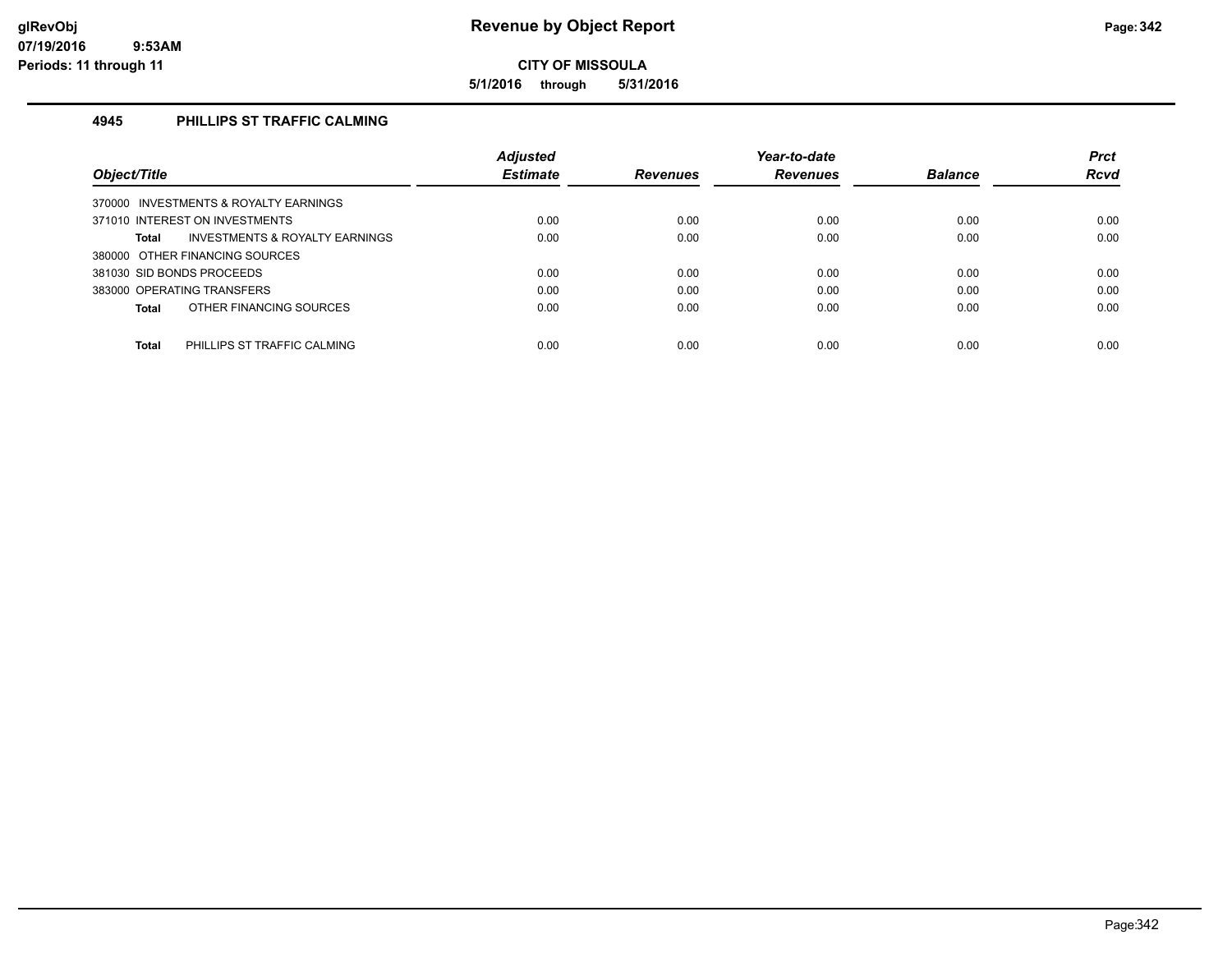**5/1/2016 through 5/31/2016**

#### **4945 PHILLIPS ST TRAFFIC CALMING**

|                                                    | <b>Adjusted</b> |                 | Year-to-date    |                | <b>Prct</b> |
|----------------------------------------------------|-----------------|-----------------|-----------------|----------------|-------------|
| Object/Title                                       | <b>Estimate</b> | <b>Revenues</b> | <b>Revenues</b> | <b>Balance</b> | <b>Rcvd</b> |
| 370000 INVESTMENTS & ROYALTY EARNINGS              |                 |                 |                 |                |             |
| 371010 INTEREST ON INVESTMENTS                     | 0.00            | 0.00            | 0.00            | 0.00           | 0.00        |
| <b>INVESTMENTS &amp; ROYALTY EARNINGS</b><br>Total | 0.00            | 0.00            | 0.00            | 0.00           | 0.00        |
| 380000 OTHER FINANCING SOURCES                     |                 |                 |                 |                |             |
| 381030 SID BONDS PROCEEDS                          | 0.00            | 0.00            | 0.00            | 0.00           | 0.00        |
| 383000 OPERATING TRANSFERS                         | 0.00            | 0.00            | 0.00            | 0.00           | 0.00        |
| OTHER FINANCING SOURCES<br>Total                   | 0.00            | 0.00            | 0.00            | 0.00           | 0.00        |
|                                                    |                 |                 |                 |                |             |
| <b>Total</b><br>PHILLIPS ST TRAFFIC CALMING        | 0.00            | 0.00            | 0.00            | 0.00           | 0.00        |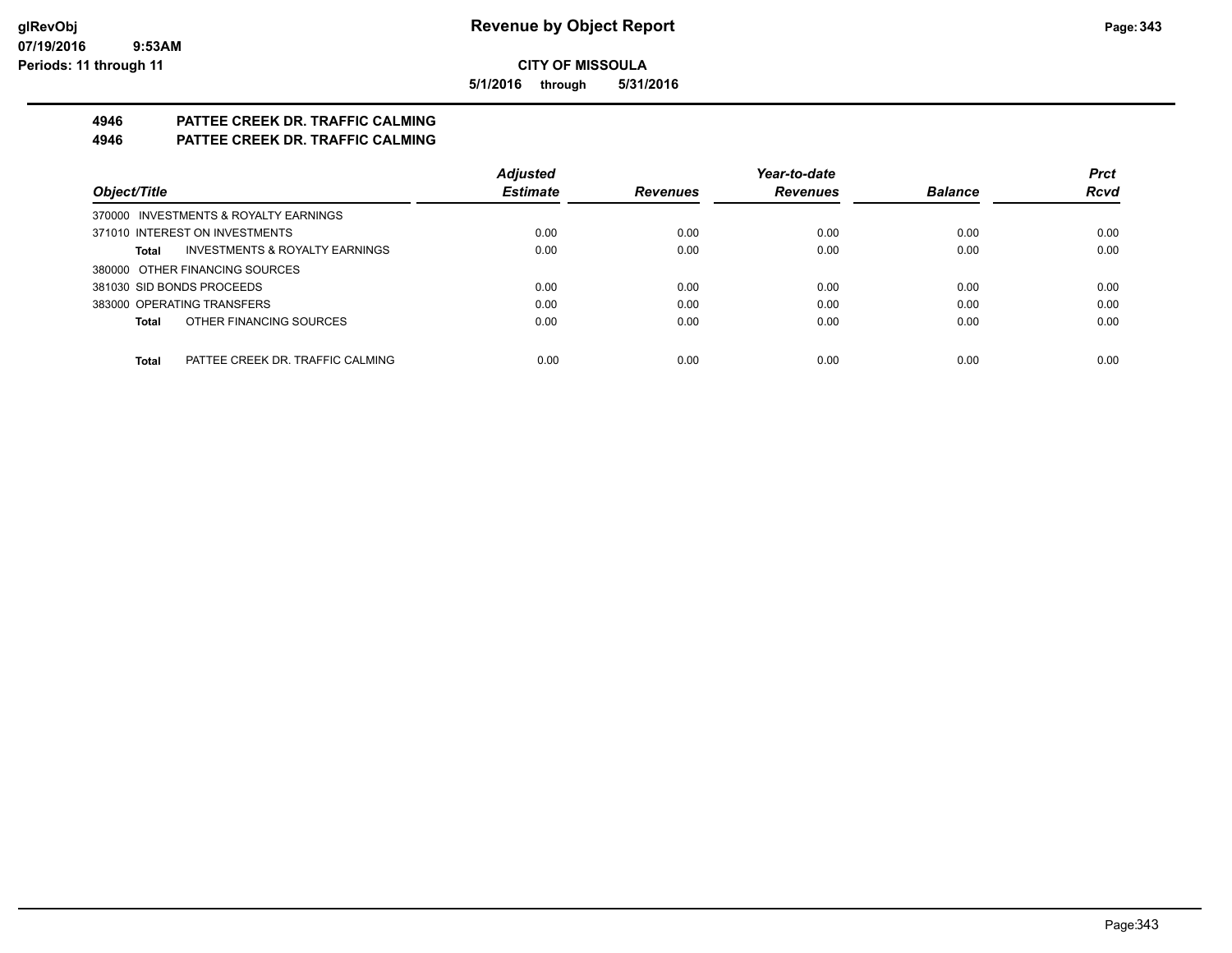**5/1/2016 through 5/31/2016**

# **4946 PATTEE CREEK DR. TRAFFIC CALMING**

**4946 PATTEE CREEK DR. TRAFFIC CALMING**

|                                                    | <b>Adjusted</b> |                 | Year-to-date    |                | <b>Prct</b> |
|----------------------------------------------------|-----------------|-----------------|-----------------|----------------|-------------|
| Object/Title                                       | <b>Estimate</b> | <b>Revenues</b> | <b>Revenues</b> | <b>Balance</b> | <b>Rcvd</b> |
| 370000 INVESTMENTS & ROYALTY EARNINGS              |                 |                 |                 |                |             |
| 371010 INTEREST ON INVESTMENTS                     | 0.00            | 0.00            | 0.00            | 0.00           | 0.00        |
| <b>INVESTMENTS &amp; ROYALTY EARNINGS</b><br>Total | 0.00            | 0.00            | 0.00            | 0.00           | 0.00        |
| 380000 OTHER FINANCING SOURCES                     |                 |                 |                 |                |             |
| 381030 SID BONDS PROCEEDS                          | 0.00            | 0.00            | 0.00            | 0.00           | 0.00        |
| 383000 OPERATING TRANSFERS                         | 0.00            | 0.00            | 0.00            | 0.00           | 0.00        |
| OTHER FINANCING SOURCES<br>Total                   | 0.00            | 0.00            | 0.00            | 0.00           | 0.00        |
|                                                    |                 |                 |                 |                |             |
| Total<br>PATTEE CREEK DR. TRAFFIC CALMING          | 0.00            | 0.00            | 0.00            | 0.00           | 0.00        |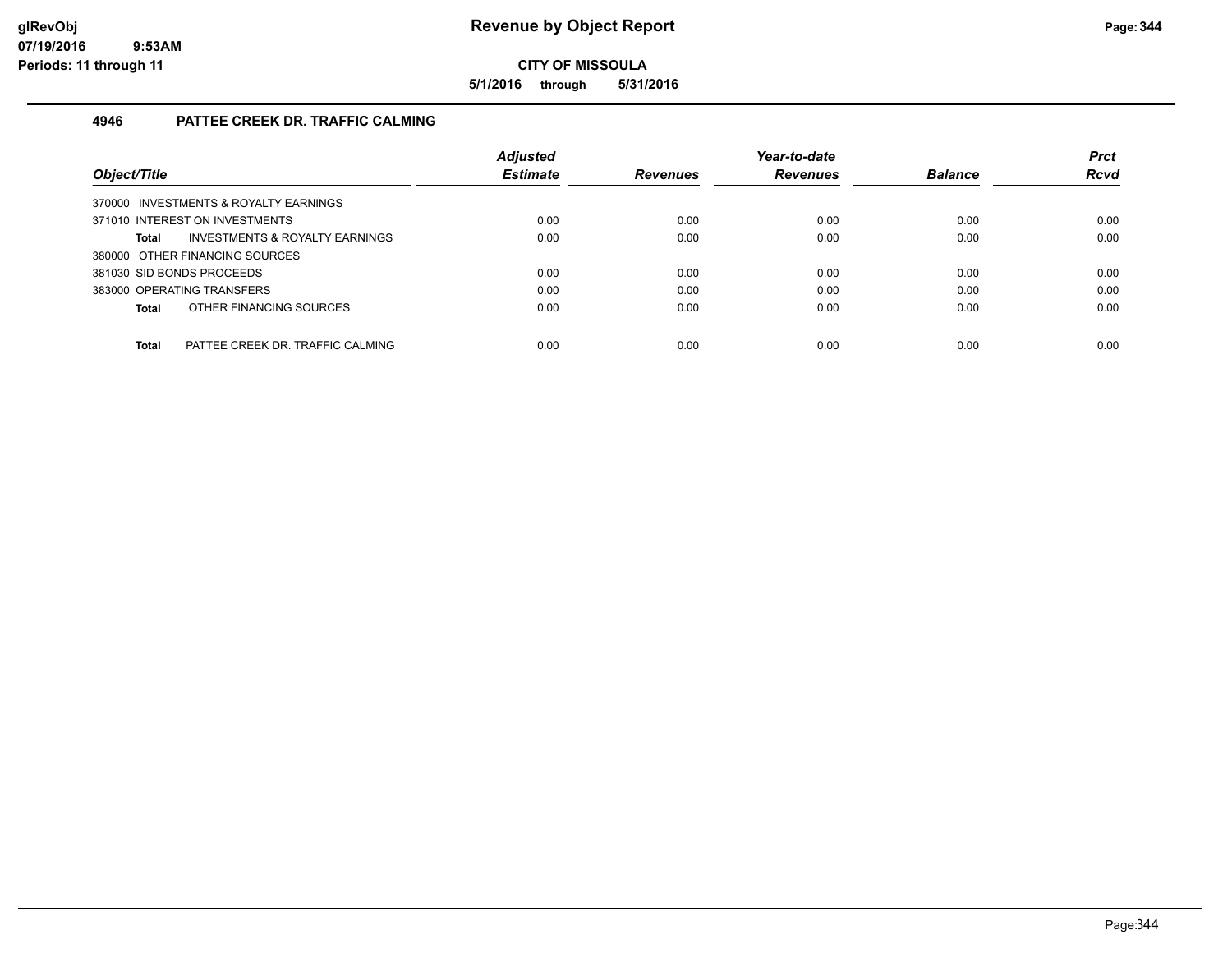**5/1/2016 through 5/31/2016**

#### **4946 PATTEE CREEK DR. TRAFFIC CALMING**

| Object/Title                                     | <b>Adjusted</b><br><b>Estimate</b> | <b>Revenues</b> | Year-to-date<br><b>Revenues</b> | <b>Balance</b> | <b>Prct</b><br><b>Rcvd</b> |
|--------------------------------------------------|------------------------------------|-----------------|---------------------------------|----------------|----------------------------|
|                                                  |                                    |                 |                                 |                |                            |
| 370000 INVESTMENTS & ROYALTY EARNINGS            |                                    |                 |                                 |                |                            |
| 371010 INTEREST ON INVESTMENTS                   | 0.00                               | 0.00            | 0.00                            | 0.00           | 0.00                       |
| INVESTMENTS & ROYALTY EARNINGS<br>Total          | 0.00                               | 0.00            | 0.00                            | 0.00           | 0.00                       |
| 380000 OTHER FINANCING SOURCES                   |                                    |                 |                                 |                |                            |
| 381030 SID BONDS PROCEEDS                        | 0.00                               | 0.00            | 0.00                            | 0.00           | 0.00                       |
| 383000 OPERATING TRANSFERS                       | 0.00                               | 0.00            | 0.00                            | 0.00           | 0.00                       |
| OTHER FINANCING SOURCES<br>Total                 | 0.00                               | 0.00            | 0.00                            | 0.00           | 0.00                       |
|                                                  |                                    |                 |                                 |                |                            |
| <b>Total</b><br>PATTEE CREEK DR. TRAFFIC CALMING | 0.00                               | 0.00            | 0.00                            | 0.00           | 0.00                       |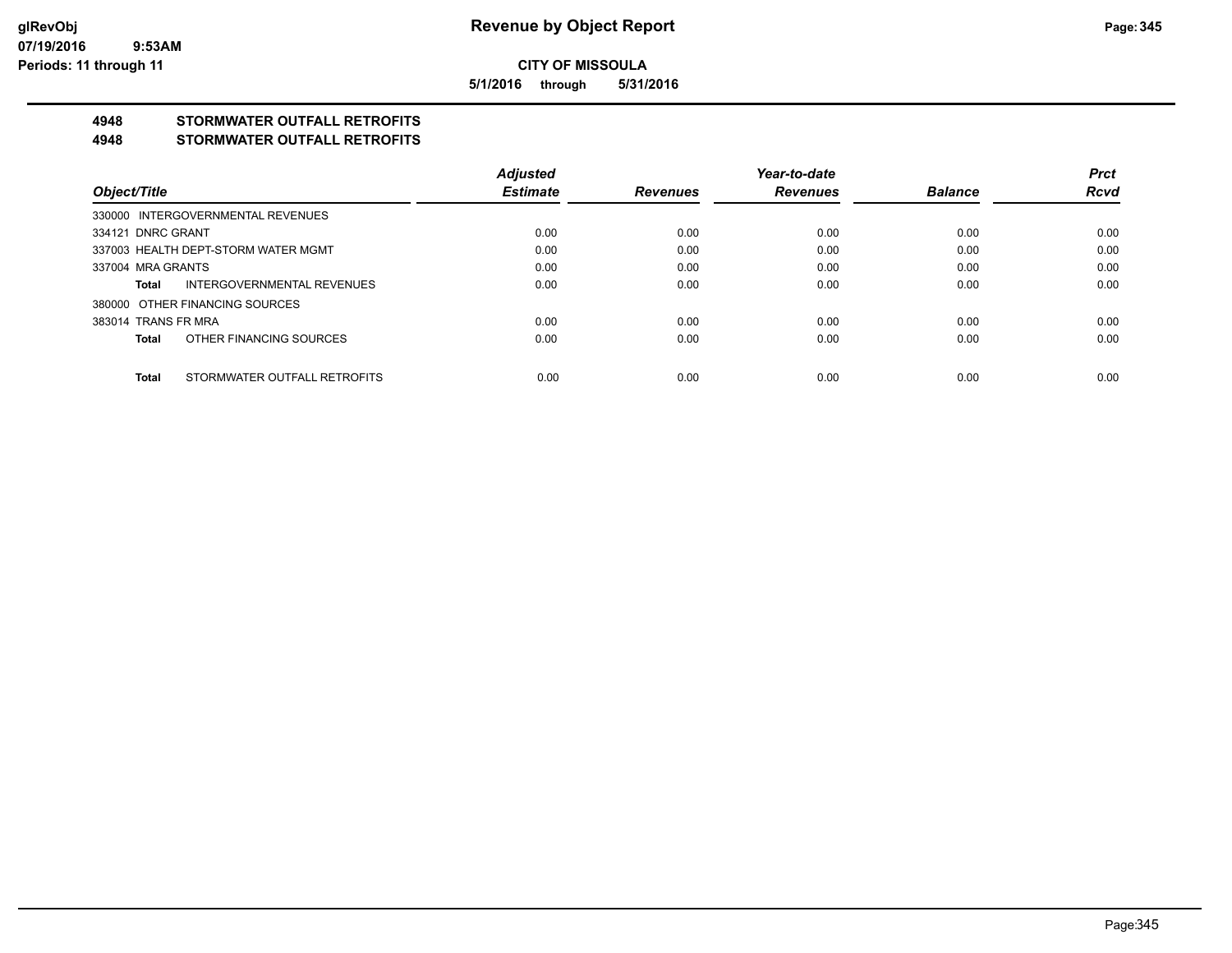**5/1/2016 through 5/31/2016**

### **4948 STORMWATER OUTFALL RETROFITS**

#### **4948 STORMWATER OUTFALL RETROFITS**

|                                       | <b>Adjusted</b> |                 | Year-to-date    |                | <b>Prct</b> |
|---------------------------------------|-----------------|-----------------|-----------------|----------------|-------------|
| Object/Title                          | <b>Estimate</b> | <b>Revenues</b> | <b>Revenues</b> | <b>Balance</b> | <b>Rcvd</b> |
| 330000 INTERGOVERNMENTAL REVENUES     |                 |                 |                 |                |             |
| 334121 DNRC GRANT                     | 0.00            | 0.00            | 0.00            | 0.00           | 0.00        |
| 337003 HEALTH DEPT-STORM WATER MGMT   | 0.00            | 0.00            | 0.00            | 0.00           | 0.00        |
| 337004 MRA GRANTS                     | 0.00            | 0.00            | 0.00            | 0.00           | 0.00        |
| INTERGOVERNMENTAL REVENUES<br>Total   | 0.00            | 0.00            | 0.00            | 0.00           | 0.00        |
| 380000 OTHER FINANCING SOURCES        |                 |                 |                 |                |             |
| 383014 TRANS FR MRA                   | 0.00            | 0.00            | 0.00            | 0.00           | 0.00        |
| OTHER FINANCING SOURCES<br>Total      | 0.00            | 0.00            | 0.00            | 0.00           | 0.00        |
|                                       |                 |                 |                 |                |             |
| STORMWATER OUTFALL RETROFITS<br>Total | 0.00            | 0.00            | 0.00            | 0.00           | 0.00        |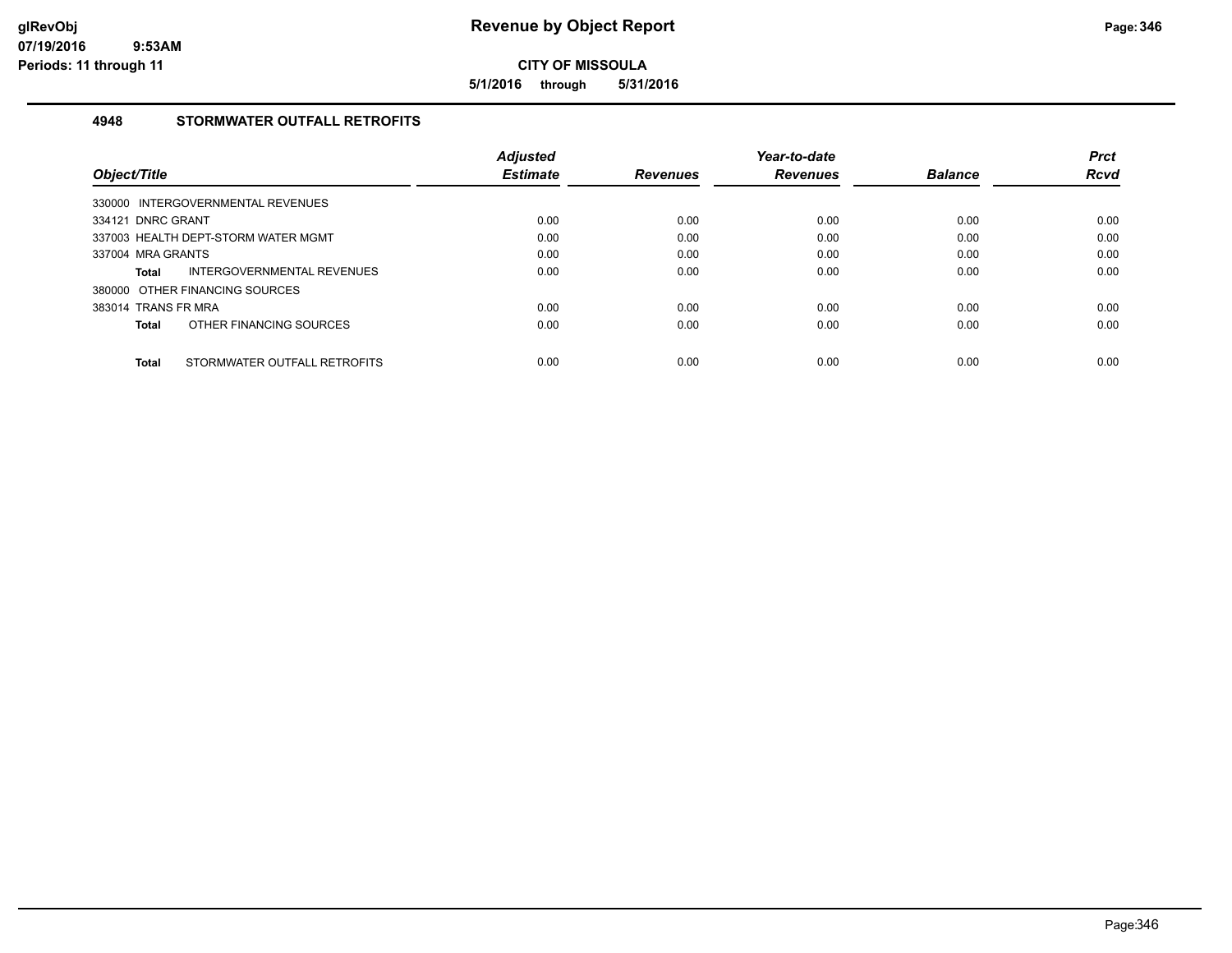**5/1/2016 through 5/31/2016**

#### **4948 STORMWATER OUTFALL RETROFITS**

|                     |                                     | <b>Adjusted</b> |                 | Year-to-date    |                | <b>Prct</b> |
|---------------------|-------------------------------------|-----------------|-----------------|-----------------|----------------|-------------|
| Object/Title        |                                     | <b>Estimate</b> | <b>Revenues</b> | <b>Revenues</b> | <b>Balance</b> | <b>Rcvd</b> |
|                     | 330000 INTERGOVERNMENTAL REVENUES   |                 |                 |                 |                |             |
| 334121 DNRC GRANT   |                                     | 0.00            | 0.00            | 0.00            | 0.00           | 0.00        |
|                     | 337003 HEALTH DEPT-STORM WATER MGMT | 0.00            | 0.00            | 0.00            | 0.00           | 0.00        |
| 337004 MRA GRANTS   |                                     | 0.00            | 0.00            | 0.00            | 0.00           | 0.00        |
| Total               | INTERGOVERNMENTAL REVENUES          | 0.00            | 0.00            | 0.00            | 0.00           | 0.00        |
|                     | 380000 OTHER FINANCING SOURCES      |                 |                 |                 |                |             |
| 383014 TRANS FR MRA |                                     | 0.00            | 0.00            | 0.00            | 0.00           | 0.00        |
| Total               | OTHER FINANCING SOURCES             | 0.00            | 0.00            | 0.00            | 0.00           | 0.00        |
| <b>Total</b>        | STORMWATER OUTFALL RETROFITS        | 0.00            | 0.00            | 0.00            | 0.00           | 0.00        |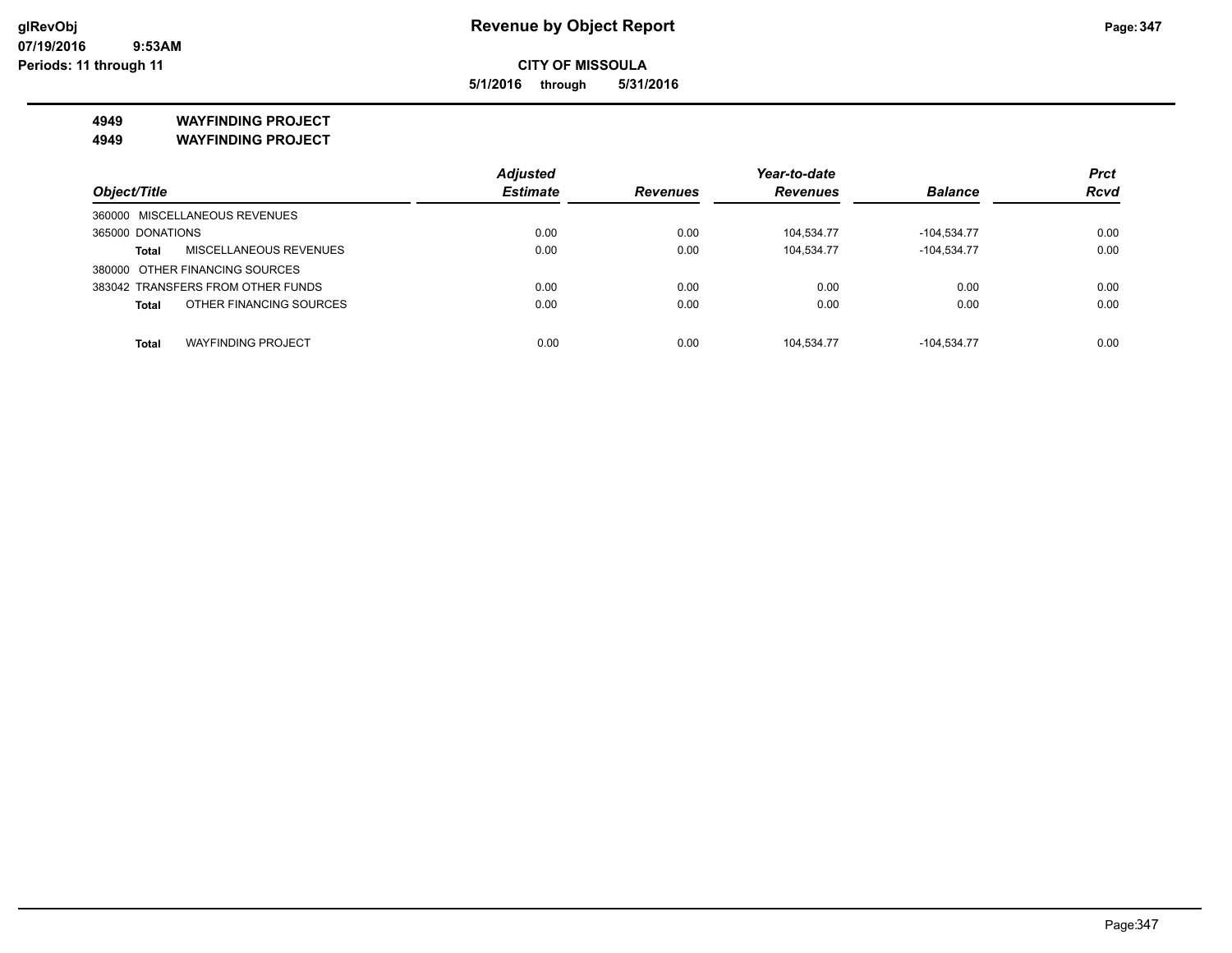**5/1/2016 through 5/31/2016**

**4949 WAYFINDING PROJECT**

**4949 WAYFINDING PROJECT**

|                                               | <b>Adjusted</b> |                 | Year-to-date    |                |             |
|-----------------------------------------------|-----------------|-----------------|-----------------|----------------|-------------|
| Object/Title                                  | <b>Estimate</b> | <b>Revenues</b> | <b>Revenues</b> | <b>Balance</b> | <b>Rcvd</b> |
| 360000 MISCELLANEOUS REVENUES                 |                 |                 |                 |                |             |
| 365000 DONATIONS                              | 0.00            | 0.00            | 104,534.77      | $-104,534.77$  | 0.00        |
| <b>MISCELLANEOUS REVENUES</b><br><b>Total</b> | 0.00            | 0.00            | 104.534.77      | $-104.534.77$  | 0.00        |
| 380000 OTHER FINANCING SOURCES                |                 |                 |                 |                |             |
| 383042 TRANSFERS FROM OTHER FUNDS             | 0.00            | 0.00            | 0.00            | 0.00           | 0.00        |
| OTHER FINANCING SOURCES<br><b>Total</b>       | 0.00            | 0.00            | 0.00            | 0.00           | 0.00        |
|                                               |                 |                 |                 |                |             |
| <b>WAYFINDING PROJECT</b><br><b>Total</b>     | 0.00            | 0.00            | 104.534.77      | $-104.534.77$  | 0.00        |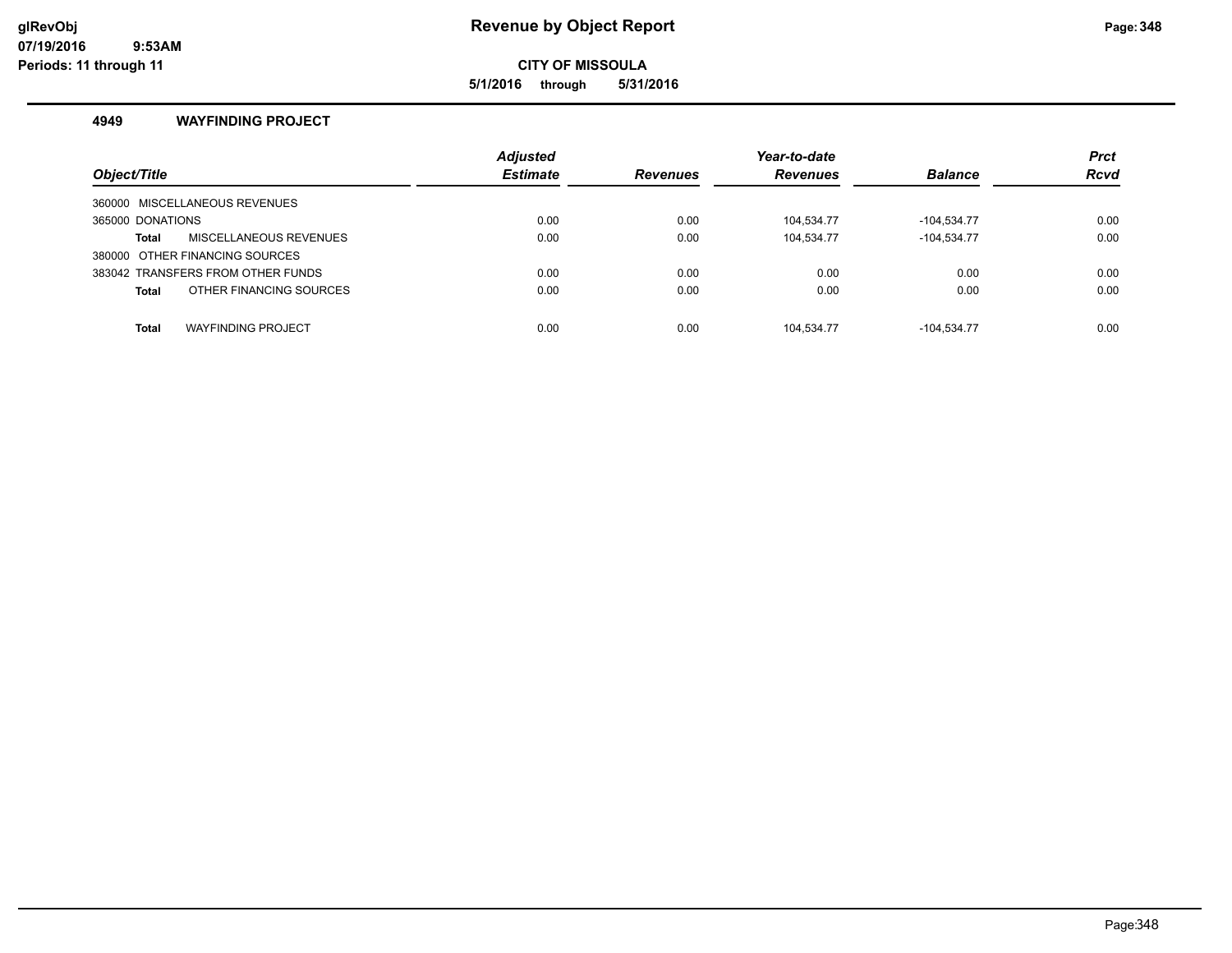#### **glRevObj Revenue by Object Report Page:348**

**CITY OF MISSOULA**

**5/1/2016 through 5/31/2016**

#### **4949 WAYFINDING PROJECT**

| Object/Title                              | <b>Adjusted</b><br><b>Estimate</b> | <b>Revenues</b> | Year-to-date<br><b>Revenues</b> | <b>Balance</b> | <b>Prct</b><br><b>Rcvd</b> |
|-------------------------------------------|------------------------------------|-----------------|---------------------------------|----------------|----------------------------|
| 360000 MISCELLANEOUS REVENUES             |                                    |                 |                                 |                |                            |
| 365000 DONATIONS                          | 0.00                               | 0.00            | 104.534.77                      | -104.534.77    | 0.00                       |
| <b>MISCELLANEOUS REVENUES</b><br>Total    | 0.00                               | 0.00            | 104.534.77                      | $-104.534.77$  | 0.00                       |
| 380000 OTHER FINANCING SOURCES            |                                    |                 |                                 |                |                            |
| 383042 TRANSFERS FROM OTHER FUNDS         | 0.00                               | 0.00            | 0.00                            | 0.00           | 0.00                       |
| OTHER FINANCING SOURCES<br><b>Total</b>   | 0.00                               | 0.00            | 0.00                            | 0.00           | 0.00                       |
|                                           |                                    |                 |                                 |                |                            |
| <b>WAYFINDING PROJECT</b><br><b>Total</b> | 0.00                               | 0.00            | 104.534.77                      | $-104.534.77$  | 0.00                       |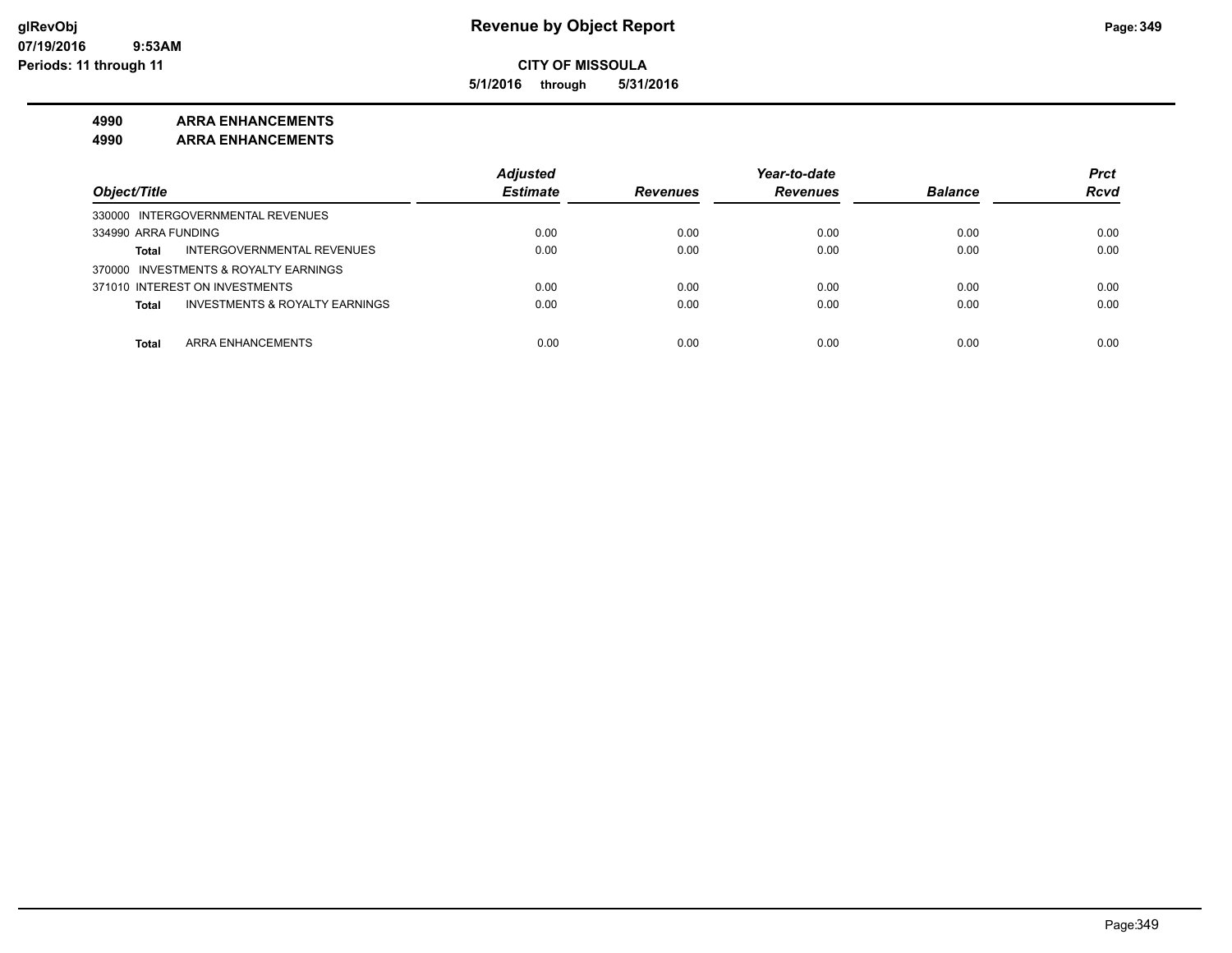**5/1/2016 through 5/31/2016**

#### **4990 ARRA ENHANCEMENTS**

**4990 ARRA ENHANCEMENTS**

|                                                           | <b>Adjusted</b> |                 | Year-to-date    |                | <b>Prct</b> |
|-----------------------------------------------------------|-----------------|-----------------|-----------------|----------------|-------------|
| Object/Title                                              | <b>Estimate</b> | <b>Revenues</b> | <b>Revenues</b> | <b>Balance</b> | <b>Rcvd</b> |
| 330000 INTERGOVERNMENTAL REVENUES                         |                 |                 |                 |                |             |
| 334990 ARRA FUNDING                                       | 0.00            | 0.00            | 0.00            | 0.00           | 0.00        |
| INTERGOVERNMENTAL REVENUES<br><b>Total</b>                | 0.00            | 0.00            | 0.00            | 0.00           | 0.00        |
| 370000 INVESTMENTS & ROYALTY EARNINGS                     |                 |                 |                 |                |             |
| 371010 INTEREST ON INVESTMENTS                            | 0.00            | 0.00            | 0.00            | 0.00           | 0.00        |
| <b>INVESTMENTS &amp; ROYALTY EARNINGS</b><br><b>Total</b> | 0.00            | 0.00            | 0.00            | 0.00           | 0.00        |
|                                                           |                 |                 |                 |                |             |
| ARRA ENHANCEMENTS<br><b>Total</b>                         | 0.00            | 0.00            | 0.00            | 0.00           | 0.00        |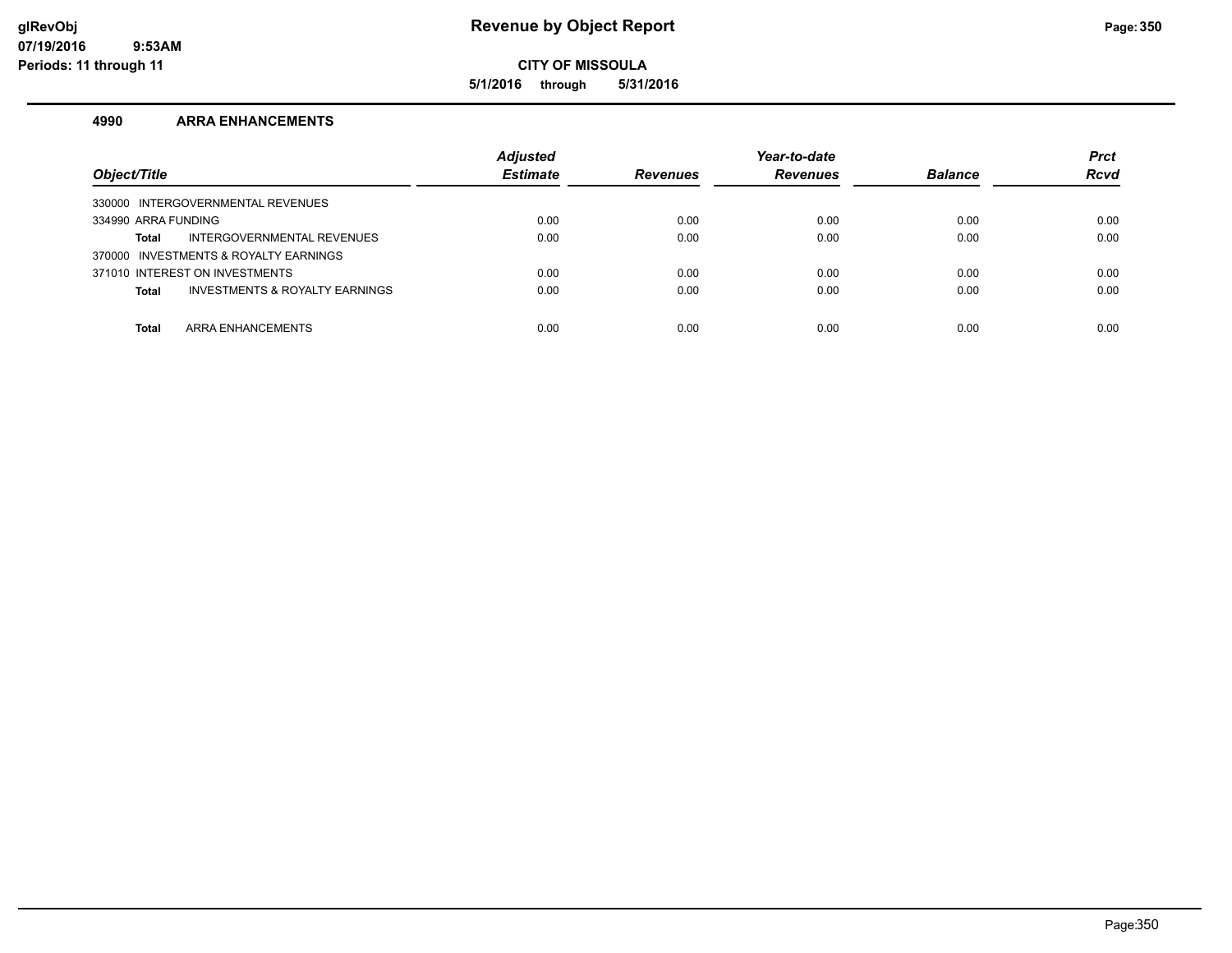**5/1/2016 through 5/31/2016**

#### **4990 ARRA ENHANCEMENTS**

| Object/Title                                   | <b>Adjusted</b><br><b>Estimate</b> | <b>Revenues</b> | Year-to-date<br><b>Revenues</b> | <b>Balance</b> | <b>Prct</b><br><b>Rcvd</b> |
|------------------------------------------------|------------------------------------|-----------------|---------------------------------|----------------|----------------------------|
| 330000 INTERGOVERNMENTAL REVENUES              |                                    |                 |                                 |                |                            |
| 334990 ARRA FUNDING                            | 0.00                               | 0.00            | 0.00                            | 0.00           | 0.00                       |
| INTERGOVERNMENTAL REVENUES<br>Total            | 0.00                               | 0.00            | 0.00                            | 0.00           | 0.00                       |
| 370000 INVESTMENTS & ROYALTY EARNINGS          |                                    |                 |                                 |                |                            |
| 371010 INTEREST ON INVESTMENTS                 | 0.00                               | 0.00            | 0.00                            | 0.00           | 0.00                       |
| INVESTMENTS & ROYALTY EARNINGS<br><b>Total</b> | 0.00                               | 0.00            | 0.00                            | 0.00           | 0.00                       |
|                                                |                                    |                 |                                 |                |                            |
| ARRA ENHANCEMENTS<br><b>Total</b>              | 0.00                               | 0.00            | 0.00                            | 0.00           | 0.00                       |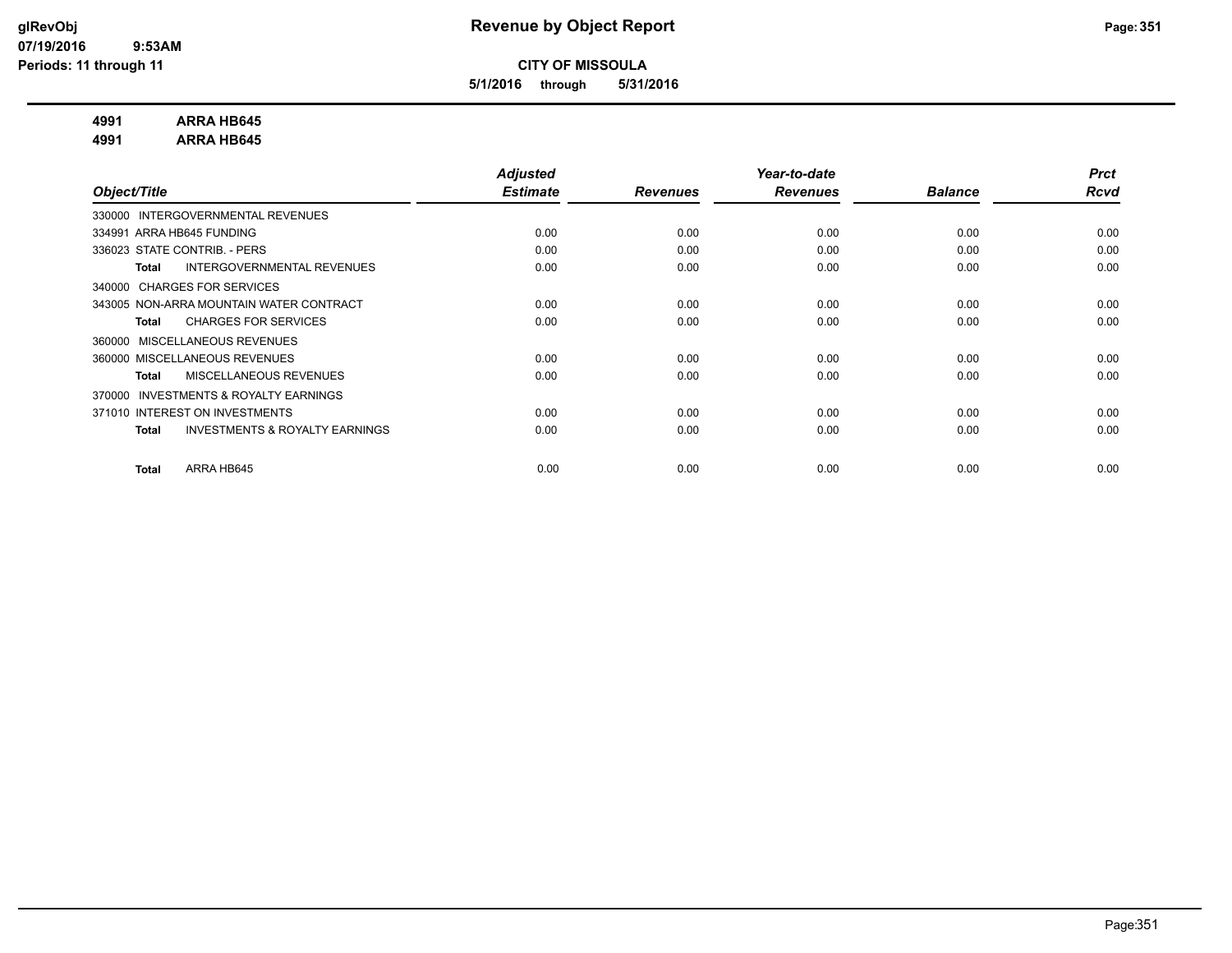**5/1/2016 through 5/31/2016**

#### **4991 ARRA HB645**

**4991 ARRA HB645**

|                                                           | <b>Adjusted</b> |                 | Year-to-date    |                | <b>Prct</b> |
|-----------------------------------------------------------|-----------------|-----------------|-----------------|----------------|-------------|
| Object/Title                                              | <b>Estimate</b> | <b>Revenues</b> | <b>Revenues</b> | <b>Balance</b> | <b>Rcvd</b> |
| INTERGOVERNMENTAL REVENUES<br>330000                      |                 |                 |                 |                |             |
| 334991 ARRA HB645 FUNDING                                 | 0.00            | 0.00            | 0.00            | 0.00           | 0.00        |
| 336023 STATE CONTRIB. - PERS                              | 0.00            | 0.00            | 0.00            | 0.00           | 0.00        |
| <b>INTERGOVERNMENTAL REVENUES</b><br><b>Total</b>         | 0.00            | 0.00            | 0.00            | 0.00           | 0.00        |
| 340000 CHARGES FOR SERVICES                               |                 |                 |                 |                |             |
| 343005 NON-ARRA MOUNTAIN WATER CONTRACT                   | 0.00            | 0.00            | 0.00            | 0.00           | 0.00        |
| <b>CHARGES FOR SERVICES</b><br><b>Total</b>               | 0.00            | 0.00            | 0.00            | 0.00           | 0.00        |
| MISCELLANEOUS REVENUES<br>360000                          |                 |                 |                 |                |             |
| 360000 MISCELLANEOUS REVENUES                             | 0.00            | 0.00            | 0.00            | 0.00           | 0.00        |
| MISCELLANEOUS REVENUES<br>Total                           | 0.00            | 0.00            | 0.00            | 0.00           | 0.00        |
| <b>INVESTMENTS &amp; ROYALTY EARNINGS</b><br>370000       |                 |                 |                 |                |             |
| 371010 INTEREST ON INVESTMENTS                            | 0.00            | 0.00            | 0.00            | 0.00           | 0.00        |
| <b>INVESTMENTS &amp; ROYALTY EARNINGS</b><br><b>Total</b> | 0.00            | 0.00            | 0.00            | 0.00           | 0.00        |
|                                                           |                 |                 |                 |                |             |
| ARRA HB645<br><b>Total</b>                                | 0.00            | 0.00            | 0.00            | 0.00           | 0.00        |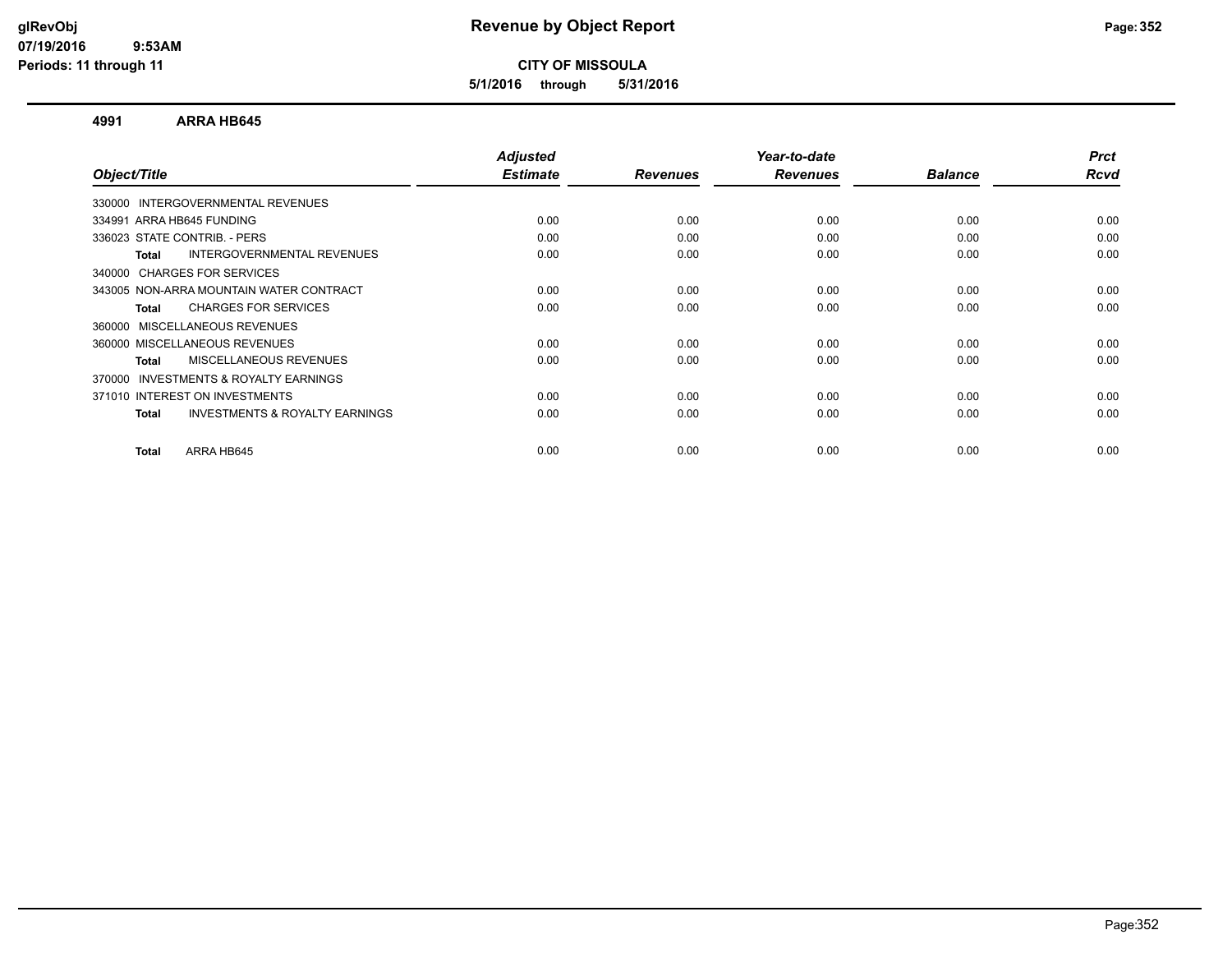**5/1/2016 through 5/31/2016**

#### **4991 ARRA HB645**

| Object/Title                                              | <b>Adjusted</b><br><b>Estimate</b> | <b>Revenues</b> | Year-to-date<br><b>Revenues</b> | <b>Balance</b> | <b>Prct</b><br>Rcvd |
|-----------------------------------------------------------|------------------------------------|-----------------|---------------------------------|----------------|---------------------|
|                                                           |                                    |                 |                                 |                |                     |
| 330000 INTERGOVERNMENTAL REVENUES                         |                                    |                 |                                 |                |                     |
| 334991 ARRA HB645 FUNDING                                 | 0.00                               | 0.00            | 0.00                            | 0.00           | 0.00                |
| 336023 STATE CONTRIB. - PERS                              | 0.00                               | 0.00            | 0.00                            | 0.00           | 0.00                |
| INTERGOVERNMENTAL REVENUES<br>Total                       | 0.00                               | 0.00            | 0.00                            | 0.00           | 0.00                |
| 340000 CHARGES FOR SERVICES                               |                                    |                 |                                 |                |                     |
| 343005 NON-ARRA MOUNTAIN WATER CONTRACT                   | 0.00                               | 0.00            | 0.00                            | 0.00           | 0.00                |
| <b>CHARGES FOR SERVICES</b><br>Total                      | 0.00                               | 0.00            | 0.00                            | 0.00           | 0.00                |
| 360000 MISCELLANEOUS REVENUES                             |                                    |                 |                                 |                |                     |
| 360000 MISCELLANEOUS REVENUES                             | 0.00                               | 0.00            | 0.00                            | 0.00           | 0.00                |
| <b>MISCELLANEOUS REVENUES</b><br>Total                    | 0.00                               | 0.00            | 0.00                            | 0.00           | 0.00                |
| <b>INVESTMENTS &amp; ROYALTY EARNINGS</b><br>370000       |                                    |                 |                                 |                |                     |
| 371010 INTEREST ON INVESTMENTS                            | 0.00                               | 0.00            | 0.00                            | 0.00           | 0.00                |
| <b>INVESTMENTS &amp; ROYALTY EARNINGS</b><br><b>Total</b> | 0.00                               | 0.00            | 0.00                            | 0.00           | 0.00                |
| ARRA HB645<br>Total                                       | 0.00                               | 0.00            | 0.00                            | 0.00           | 0.00                |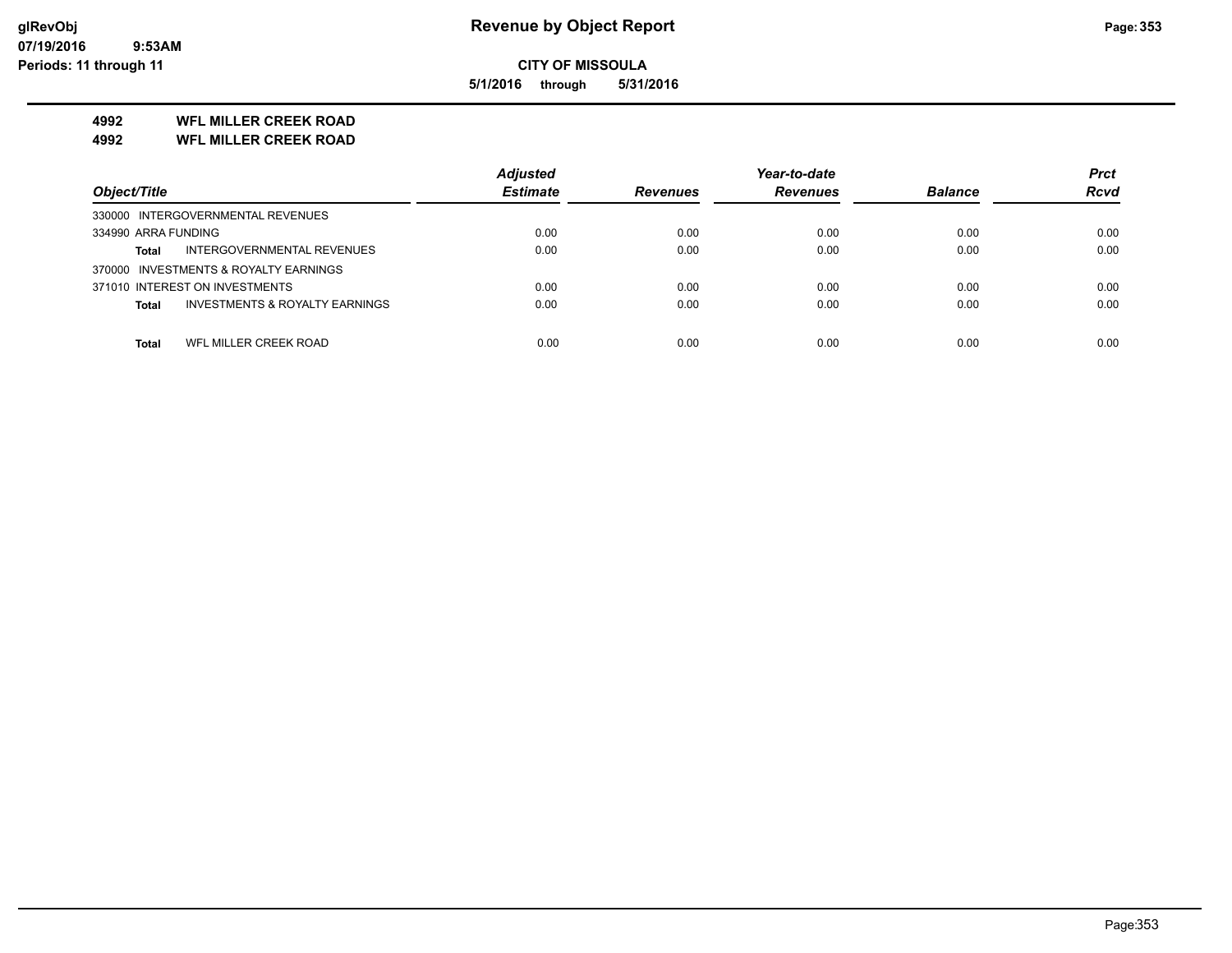**5/1/2016 through 5/31/2016**

### **4992 WFL MILLER CREEK ROAD**

**4992 WFL MILLER CREEK ROAD**

|                                                           | <b>Adjusted</b> |                 | Year-to-date    |                | <b>Prct</b> |
|-----------------------------------------------------------|-----------------|-----------------|-----------------|----------------|-------------|
| Object/Title                                              | <b>Estimate</b> | <b>Revenues</b> | <b>Revenues</b> | <b>Balance</b> | <b>Rcvd</b> |
| 330000 INTERGOVERNMENTAL REVENUES                         |                 |                 |                 |                |             |
| 334990 ARRA FUNDING                                       | 0.00            | 0.00            | 0.00            | 0.00           | 0.00        |
| INTERGOVERNMENTAL REVENUES<br>Total                       | 0.00            | 0.00            | 0.00            | 0.00           | 0.00        |
| 370000 INVESTMENTS & ROYALTY EARNINGS                     |                 |                 |                 |                |             |
| 371010 INTEREST ON INVESTMENTS                            | 0.00            | 0.00            | 0.00            | 0.00           | 0.00        |
| <b>INVESTMENTS &amp; ROYALTY EARNINGS</b><br><b>Total</b> | 0.00            | 0.00            | 0.00            | 0.00           | 0.00        |
|                                                           |                 |                 |                 |                |             |
| WFL MILLER CREEK ROAD<br>Total                            | 0.00            | 0.00            | 0.00            | 0.00           | 0.00        |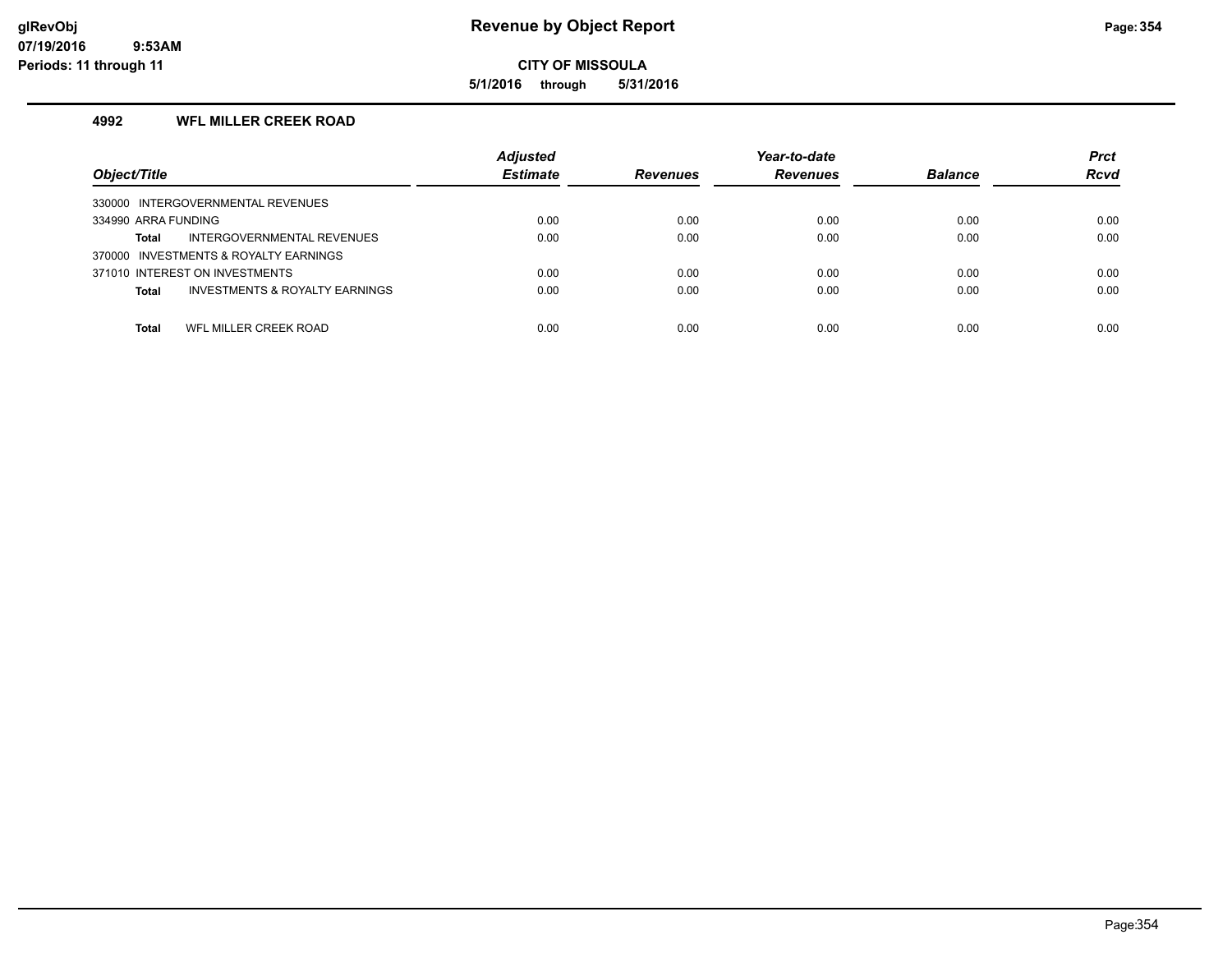**5/1/2016 through 5/31/2016**

#### **4992 WFL MILLER CREEK ROAD**

| Object/Title                                              | <b>Adjusted</b><br><b>Estimate</b> | <b>Revenues</b> | Year-to-date<br><b>Revenues</b> | <b>Balance</b> | <b>Prct</b><br><b>Rcvd</b> |
|-----------------------------------------------------------|------------------------------------|-----------------|---------------------------------|----------------|----------------------------|
| 330000 INTERGOVERNMENTAL REVENUES                         |                                    |                 |                                 |                |                            |
| 334990 ARRA FUNDING                                       | 0.00                               | 0.00            | 0.00                            | 0.00           | 0.00                       |
| INTERGOVERNMENTAL REVENUES<br>Total                       | 0.00                               | 0.00            | 0.00                            | 0.00           | 0.00                       |
| 370000 INVESTMENTS & ROYALTY EARNINGS                     |                                    |                 |                                 |                |                            |
| 371010 INTEREST ON INVESTMENTS                            | 0.00                               | 0.00            | 0.00                            | 0.00           | 0.00                       |
| <b>INVESTMENTS &amp; ROYALTY EARNINGS</b><br><b>Total</b> | 0.00                               | 0.00            | 0.00                            | 0.00           | 0.00                       |
|                                                           |                                    |                 |                                 |                |                            |
| WFL MILLER CREEK ROAD<br>Total                            | 0.00                               | 0.00            | 0.00                            | 0.00           | 0.00                       |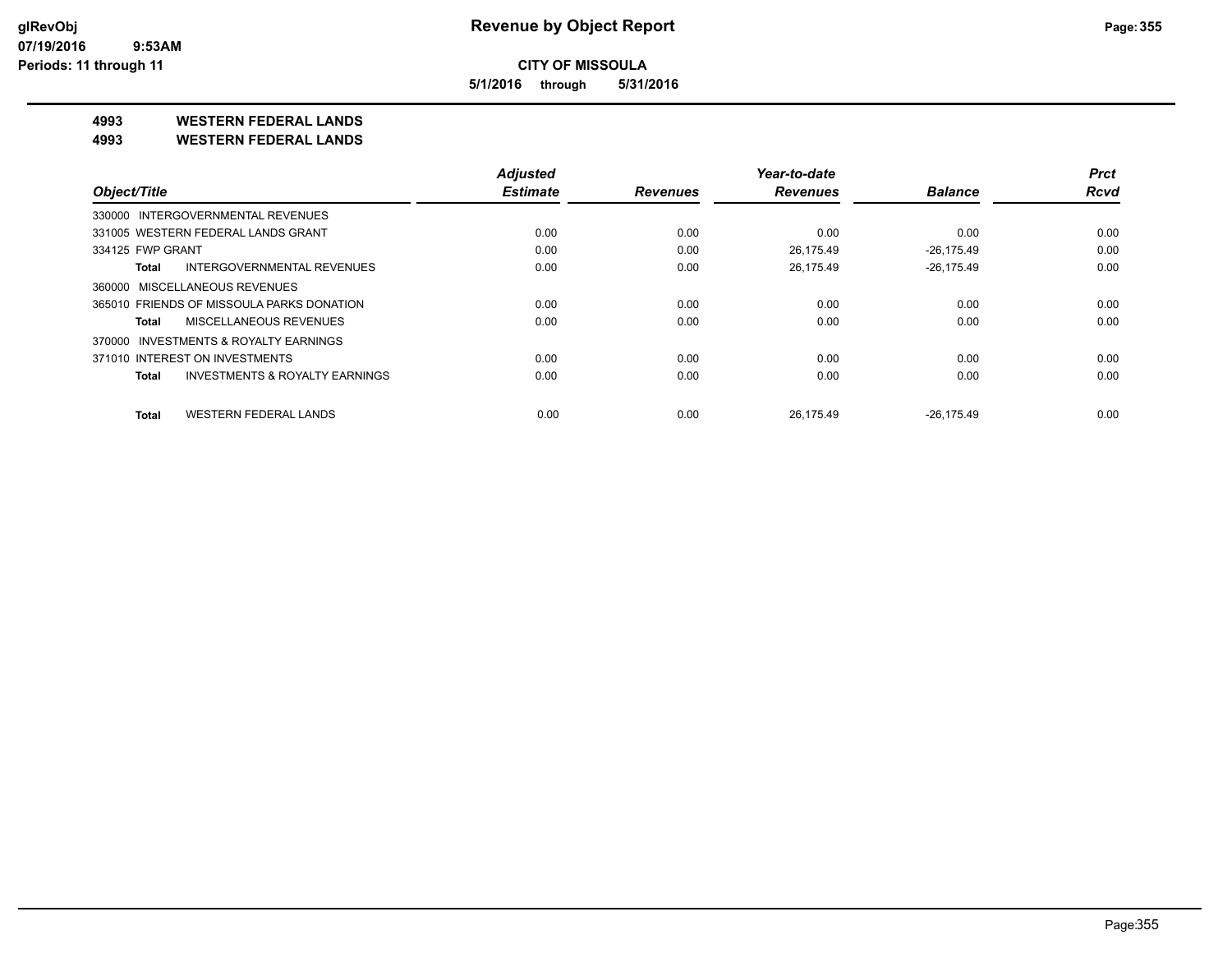**5/1/2016 through 5/31/2016**

**4993 WESTERN FEDERAL LANDS**

**4993 WESTERN FEDERAL LANDS**

|                                            | <b>Adjusted</b> |                 | Year-to-date    |                | <b>Prct</b> |
|--------------------------------------------|-----------------|-----------------|-----------------|----------------|-------------|
| Object/Title                               | <b>Estimate</b> | <b>Revenues</b> | <b>Revenues</b> | <b>Balance</b> | <b>Rcvd</b> |
| 330000 INTERGOVERNMENTAL REVENUES          |                 |                 |                 |                |             |
| 331005 WESTERN FEDERAL LANDS GRANT         | 0.00            | 0.00            | 0.00            | 0.00           | 0.00        |
| 334125 FWP GRANT                           | 0.00            | 0.00            | 26.175.49       | $-26.175.49$   | 0.00        |
| <b>INTERGOVERNMENTAL REVENUES</b><br>Total | 0.00            | 0.00            | 26.175.49       | $-26.175.49$   | 0.00        |
| 360000 MISCELLANEOUS REVENUES              |                 |                 |                 |                |             |
| 365010 FRIENDS OF MISSOULA PARKS DONATION  | 0.00            | 0.00            | 0.00            | 0.00           | 0.00        |
| MISCELLANEOUS REVENUES<br>Total            | 0.00            | 0.00            | 0.00            | 0.00           | 0.00        |
| INVESTMENTS & ROYALTY EARNINGS<br>370000   |                 |                 |                 |                |             |
| 371010 INTEREST ON INVESTMENTS             | 0.00            | 0.00            | 0.00            | 0.00           | 0.00        |
| INVESTMENTS & ROYALTY EARNINGS<br>Total    | 0.00            | 0.00            | 0.00            | 0.00           | 0.00        |
| <b>WESTERN FEDERAL LANDS</b><br>Total      | 0.00            | 0.00            | 26.175.49       | $-26.175.49$   | 0.00        |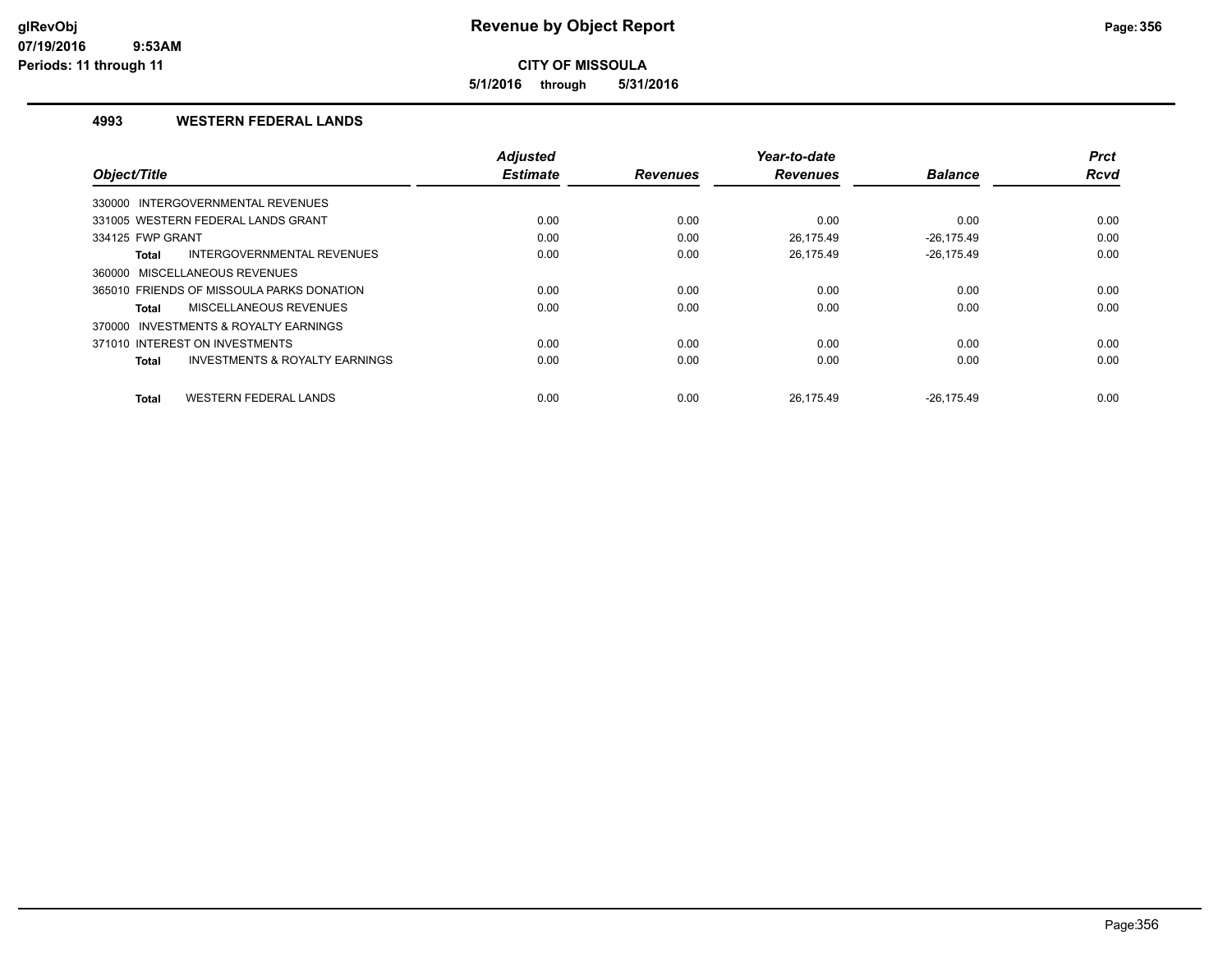**5/1/2016 through 5/31/2016**

#### **4993 WESTERN FEDERAL LANDS**

|                                                    | <b>Adjusted</b> |                 | Year-to-date    |                | <b>Prct</b> |
|----------------------------------------------------|-----------------|-----------------|-----------------|----------------|-------------|
| Object/Title                                       | <b>Estimate</b> | <b>Revenues</b> | <b>Revenues</b> | <b>Balance</b> | <b>Rcvd</b> |
| 330000 INTERGOVERNMENTAL REVENUES                  |                 |                 |                 |                |             |
| 331005 WESTERN FEDERAL LANDS GRANT                 | 0.00            | 0.00            | 0.00            | 0.00           | 0.00        |
| 334125 FWP GRANT                                   | 0.00            | 0.00            | 26.175.49       | $-26.175.49$   | 0.00        |
| INTERGOVERNMENTAL REVENUES<br>Total                | 0.00            | 0.00            | 26.175.49       | $-26.175.49$   | 0.00        |
| 360000 MISCELLANEOUS REVENUES                      |                 |                 |                 |                |             |
| 365010 FRIENDS OF MISSOULA PARKS DONATION          | 0.00            | 0.00            | 0.00            | 0.00           | 0.00        |
| MISCELLANEOUS REVENUES<br>Total                    | 0.00            | 0.00            | 0.00            | 0.00           | 0.00        |
| 370000 INVESTMENTS & ROYALTY EARNINGS              |                 |                 |                 |                |             |
| 371010 INTEREST ON INVESTMENTS                     | 0.00            | 0.00            | 0.00            | 0.00           | 0.00        |
| <b>INVESTMENTS &amp; ROYALTY EARNINGS</b><br>Total | 0.00            | 0.00            | 0.00            | 0.00           | 0.00        |
|                                                    |                 |                 |                 |                |             |
| <b>WESTERN FEDERAL LANDS</b><br><b>Total</b>       | 0.00            | 0.00            | 26.175.49       | $-26.175.49$   | 0.00        |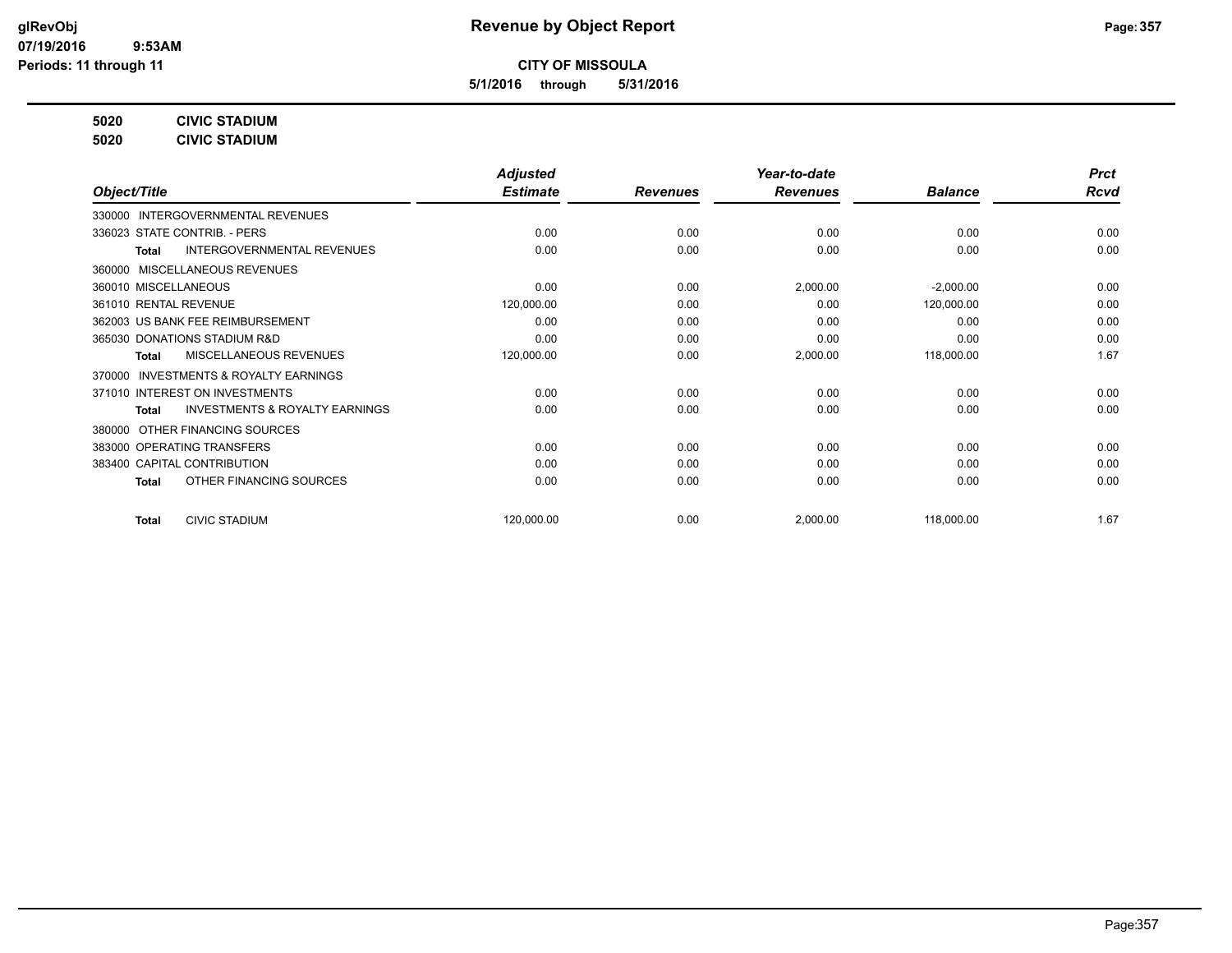**5/1/2016 through 5/31/2016**

**5020 CIVIC STADIUM**

**5020 CIVIC STADIUM**

|                                           | <b>Adjusted</b>      |                 | Year-to-date    |                | <b>Prct</b> |
|-------------------------------------------|----------------------|-----------------|-----------------|----------------|-------------|
|                                           | <b>Estimate</b>      | <b>Revenues</b> | <b>Revenues</b> | <b>Balance</b> | <b>Rcvd</b> |
| <b>INTERGOVERNMENTAL REVENUES</b>         |                      |                 |                 |                |             |
| 336023 STATE CONTRIB. - PERS              | 0.00                 | 0.00            | 0.00            | 0.00           | 0.00        |
| <b>INTERGOVERNMENTAL REVENUES</b>         | 0.00                 | 0.00            | 0.00            | 0.00           | 0.00        |
| MISCELLANEOUS REVENUES                    |                      |                 |                 |                |             |
| 360010 MISCELLANEOUS                      | 0.00                 | 0.00            | 2,000.00        | $-2,000.00$    | 0.00        |
| 361010 RENTAL REVENUE                     | 120,000.00           | 0.00            | 0.00            | 120,000.00     | 0.00        |
| 362003 US BANK FEE REIMBURSEMENT          | 0.00                 | 0.00            | 0.00            | 0.00           | 0.00        |
| 365030 DONATIONS STADIUM R&D              | 0.00                 | 0.00            | 0.00            | 0.00           | 0.00        |
| <b>MISCELLANEOUS REVENUES</b>             | 120,000.00           | 0.00            | 2,000.00        | 118,000.00     | 1.67        |
| <b>INVESTMENTS &amp; ROYALTY EARNINGS</b> |                      |                 |                 |                |             |
| 371010 INTEREST ON INVESTMENTS            | 0.00                 | 0.00            | 0.00            | 0.00           | 0.00        |
| <b>INVESTMENTS &amp; ROYALTY EARNINGS</b> | 0.00                 | 0.00            | 0.00            | 0.00           | 0.00        |
| OTHER FINANCING SOURCES                   |                      |                 |                 |                |             |
| 383000 OPERATING TRANSFERS                | 0.00                 | 0.00            | 0.00            | 0.00           | 0.00        |
| 383400 CAPITAL CONTRIBUTION               | 0.00                 | 0.00            | 0.00            | 0.00           | 0.00        |
| OTHER FINANCING SOURCES                   | 0.00                 | 0.00            | 0.00            | 0.00           | 0.00        |
|                                           |                      |                 |                 |                | 1.67        |
|                                           | <b>CIVIC STADIUM</b> | 120,000.00      | 0.00            | 2,000.00       | 118,000.00  |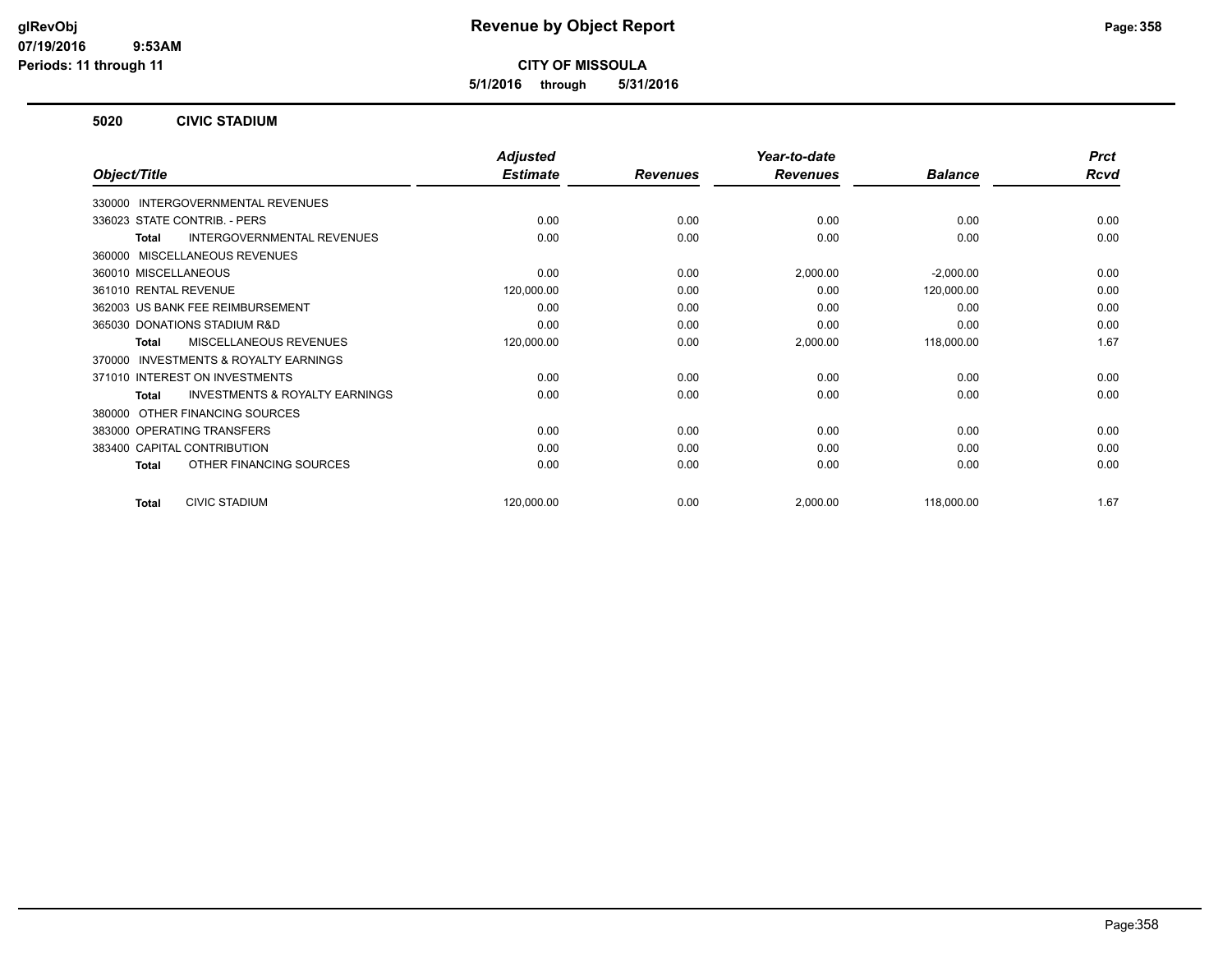**5/1/2016 through 5/31/2016**

#### **5020 CIVIC STADIUM**

|                                                           | <b>Adjusted</b> |                 | Year-to-date    |                | <b>Prct</b> |
|-----------------------------------------------------------|-----------------|-----------------|-----------------|----------------|-------------|
| Object/Title                                              | <b>Estimate</b> | <b>Revenues</b> | <b>Revenues</b> | <b>Balance</b> | <b>Rcvd</b> |
| INTERGOVERNMENTAL REVENUES<br>330000                      |                 |                 |                 |                |             |
| 336023 STATE CONTRIB. - PERS                              | 0.00            | 0.00            | 0.00            | 0.00           | 0.00        |
| <b>INTERGOVERNMENTAL REVENUES</b><br><b>Total</b>         | 0.00            | 0.00            | 0.00            | 0.00           | 0.00        |
| MISCELLANEOUS REVENUES<br>360000                          |                 |                 |                 |                |             |
| 360010 MISCELLANEOUS                                      | 0.00            | 0.00            | 2,000.00        | $-2,000.00$    | 0.00        |
| 361010 RENTAL REVENUE                                     | 120,000.00      | 0.00            | 0.00            | 120,000.00     | 0.00        |
| 362003 US BANK FEE REIMBURSEMENT                          | 0.00            | 0.00            | 0.00            | 0.00           | 0.00        |
| 365030 DONATIONS STADIUM R&D                              | 0.00            | 0.00            | 0.00            | 0.00           | 0.00        |
| MISCELLANEOUS REVENUES<br><b>Total</b>                    | 120,000.00      | 0.00            | 2,000.00        | 118,000.00     | 1.67        |
| <b>INVESTMENTS &amp; ROYALTY EARNINGS</b><br>370000       |                 |                 |                 |                |             |
| 371010 INTEREST ON INVESTMENTS                            | 0.00            | 0.00            | 0.00            | 0.00           | 0.00        |
| <b>INVESTMENTS &amp; ROYALTY EARNINGS</b><br><b>Total</b> | 0.00            | 0.00            | 0.00            | 0.00           | 0.00        |
| OTHER FINANCING SOURCES<br>380000                         |                 |                 |                 |                |             |
| 383000 OPERATING TRANSFERS                                | 0.00            | 0.00            | 0.00            | 0.00           | 0.00        |
| 383400 CAPITAL CONTRIBUTION                               | 0.00            | 0.00            | 0.00            | 0.00           | 0.00        |
| OTHER FINANCING SOURCES<br><b>Total</b>                   | 0.00            | 0.00            | 0.00            | 0.00           | 0.00        |
| <b>CIVIC STADIUM</b><br><b>Total</b>                      | 120,000.00      | 0.00            | 2,000.00        | 118,000.00     | 1.67        |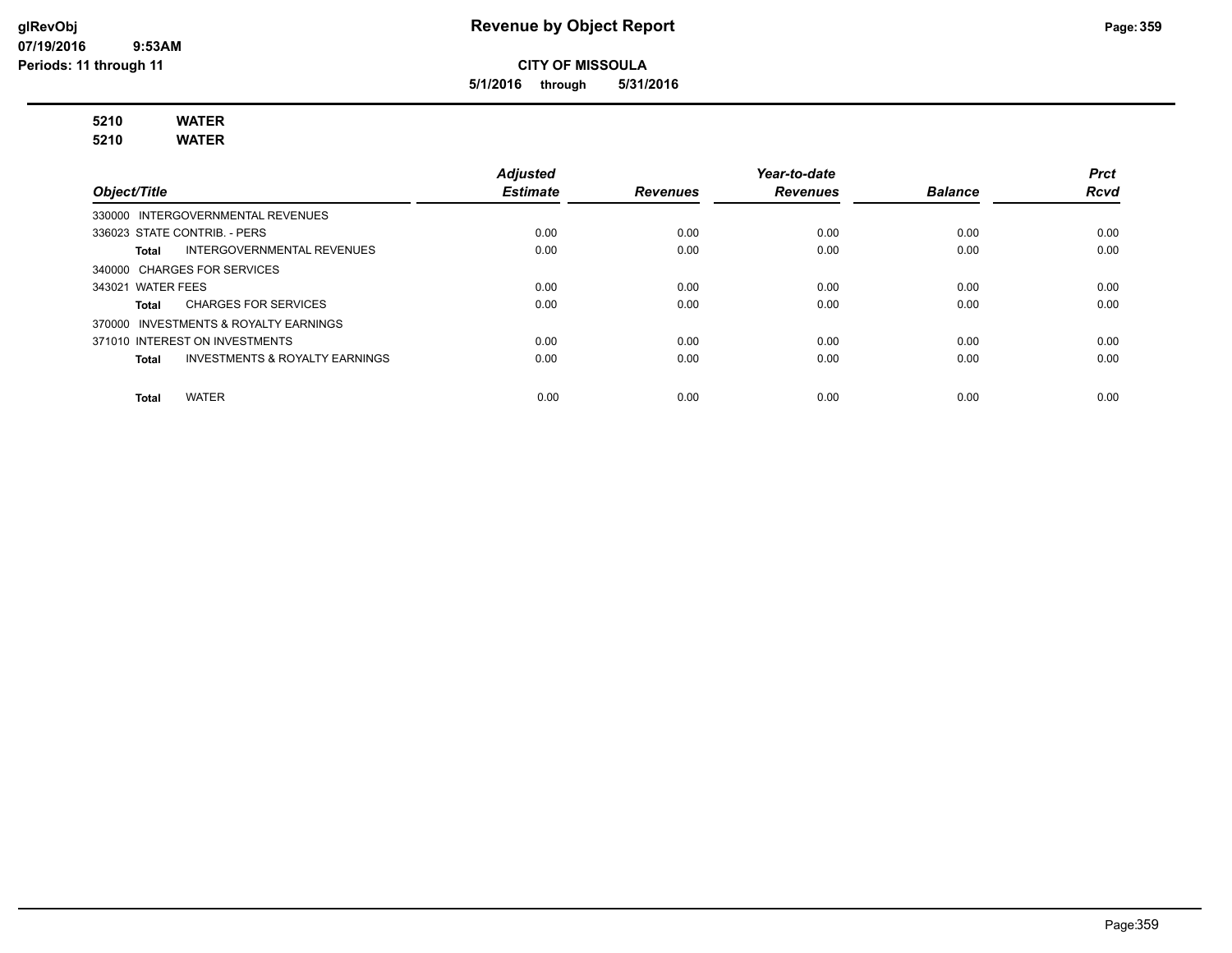**5/1/2016 through 5/31/2016**

# **5210 WATER**

**5210 WATER**

|                                                    | <b>Adjusted</b> |                 | Year-to-date    |                | <b>Prct</b> |
|----------------------------------------------------|-----------------|-----------------|-----------------|----------------|-------------|
| Object/Title                                       | <b>Estimate</b> | <b>Revenues</b> | <b>Revenues</b> | <b>Balance</b> | <b>Rcvd</b> |
| 330000 INTERGOVERNMENTAL REVENUES                  |                 |                 |                 |                |             |
| 336023 STATE CONTRIB. - PERS                       | 0.00            | 0.00            | 0.00            | 0.00           | 0.00        |
| <b>INTERGOVERNMENTAL REVENUES</b><br>Total         | 0.00            | 0.00            | 0.00            | 0.00           | 0.00        |
| 340000 CHARGES FOR SERVICES                        |                 |                 |                 |                |             |
| 343021 WATER FEES                                  | 0.00            | 0.00            | 0.00            | 0.00           | 0.00        |
| <b>CHARGES FOR SERVICES</b><br>Total               | 0.00            | 0.00            | 0.00            | 0.00           | 0.00        |
| 370000 INVESTMENTS & ROYALTY EARNINGS              |                 |                 |                 |                |             |
| 371010 INTEREST ON INVESTMENTS                     | 0.00            | 0.00            | 0.00            | 0.00           | 0.00        |
| <b>INVESTMENTS &amp; ROYALTY EARNINGS</b><br>Total | 0.00            | 0.00            | 0.00            | 0.00           | 0.00        |
|                                                    |                 |                 |                 |                |             |
| <b>WATER</b><br><b>Total</b>                       | 0.00            | 0.00            | 0.00            | 0.00           | 0.00        |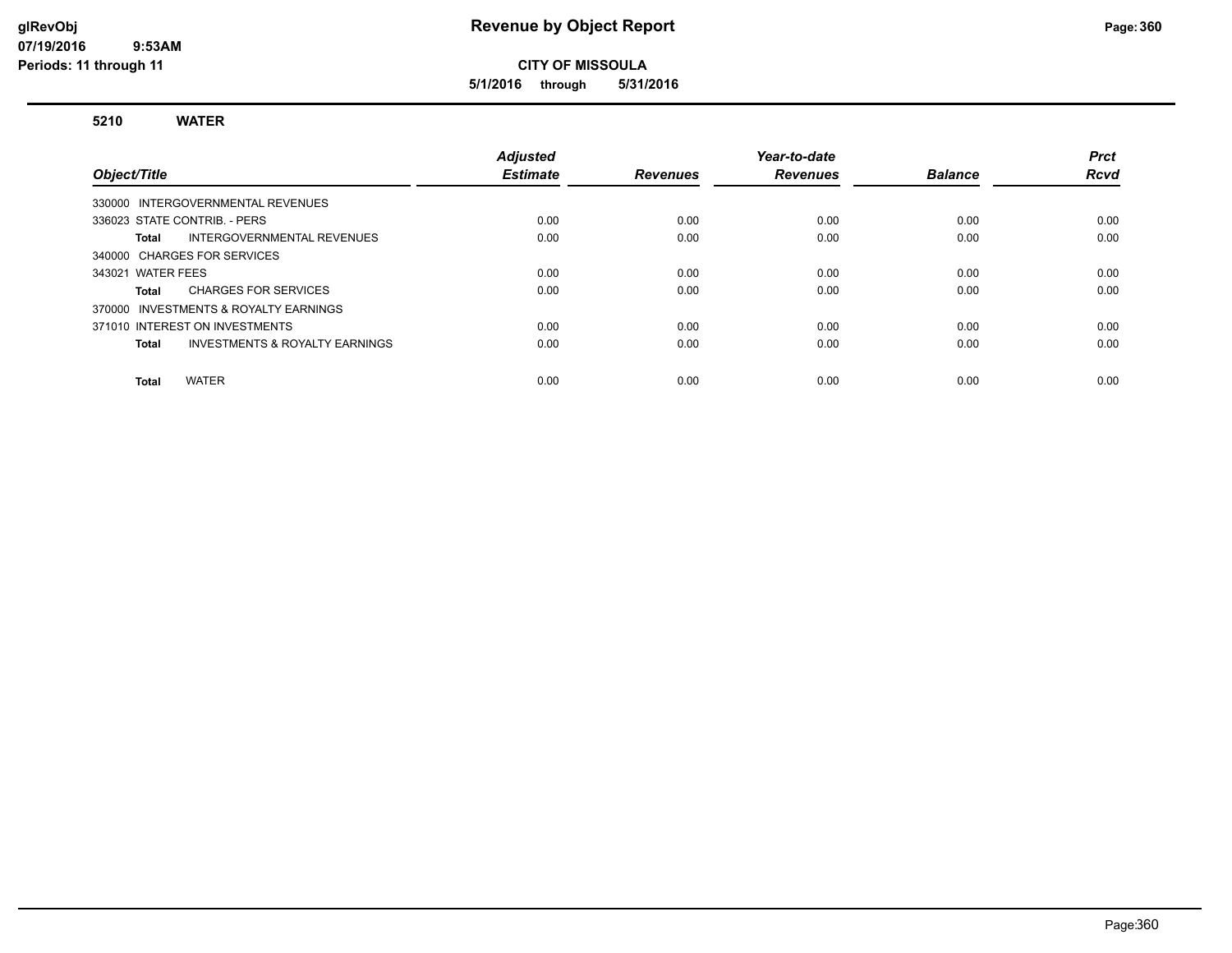**5/1/2016 through 5/31/2016**

#### **5210 WATER**

| Object/Title                          |                                           | Adjusted<br><b>Estimate</b> | <b>Revenues</b> | Year-to-date<br><b>Revenues</b> | <b>Balance</b> | <b>Prct</b><br><b>Rcvd</b> |
|---------------------------------------|-------------------------------------------|-----------------------------|-----------------|---------------------------------|----------------|----------------------------|
| 330000 INTERGOVERNMENTAL REVENUES     |                                           |                             |                 |                                 |                |                            |
| 336023 STATE CONTRIB. - PERS          |                                           | 0.00                        | 0.00            | 0.00                            | 0.00           | 0.00                       |
| Total                                 | INTERGOVERNMENTAL REVENUES                | 0.00                        | 0.00            | 0.00                            | 0.00           | 0.00                       |
| 340000 CHARGES FOR SERVICES           |                                           |                             |                 |                                 |                |                            |
| 343021 WATER FEES                     |                                           | 0.00                        | 0.00            | 0.00                            | 0.00           | 0.00                       |
| Total                                 | <b>CHARGES FOR SERVICES</b>               | 0.00                        | 0.00            | 0.00                            | 0.00           | 0.00                       |
| 370000 INVESTMENTS & ROYALTY EARNINGS |                                           |                             |                 |                                 |                |                            |
| 371010 INTEREST ON INVESTMENTS        |                                           | 0.00                        | 0.00            | 0.00                            | 0.00           | 0.00                       |
| Total                                 | <b>INVESTMENTS &amp; ROYALTY EARNINGS</b> | 0.00                        | 0.00            | 0.00                            | 0.00           | 0.00                       |
| <b>WATER</b><br><b>Total</b>          |                                           | 0.00                        | 0.00            | 0.00                            | 0.00           | 0.00                       |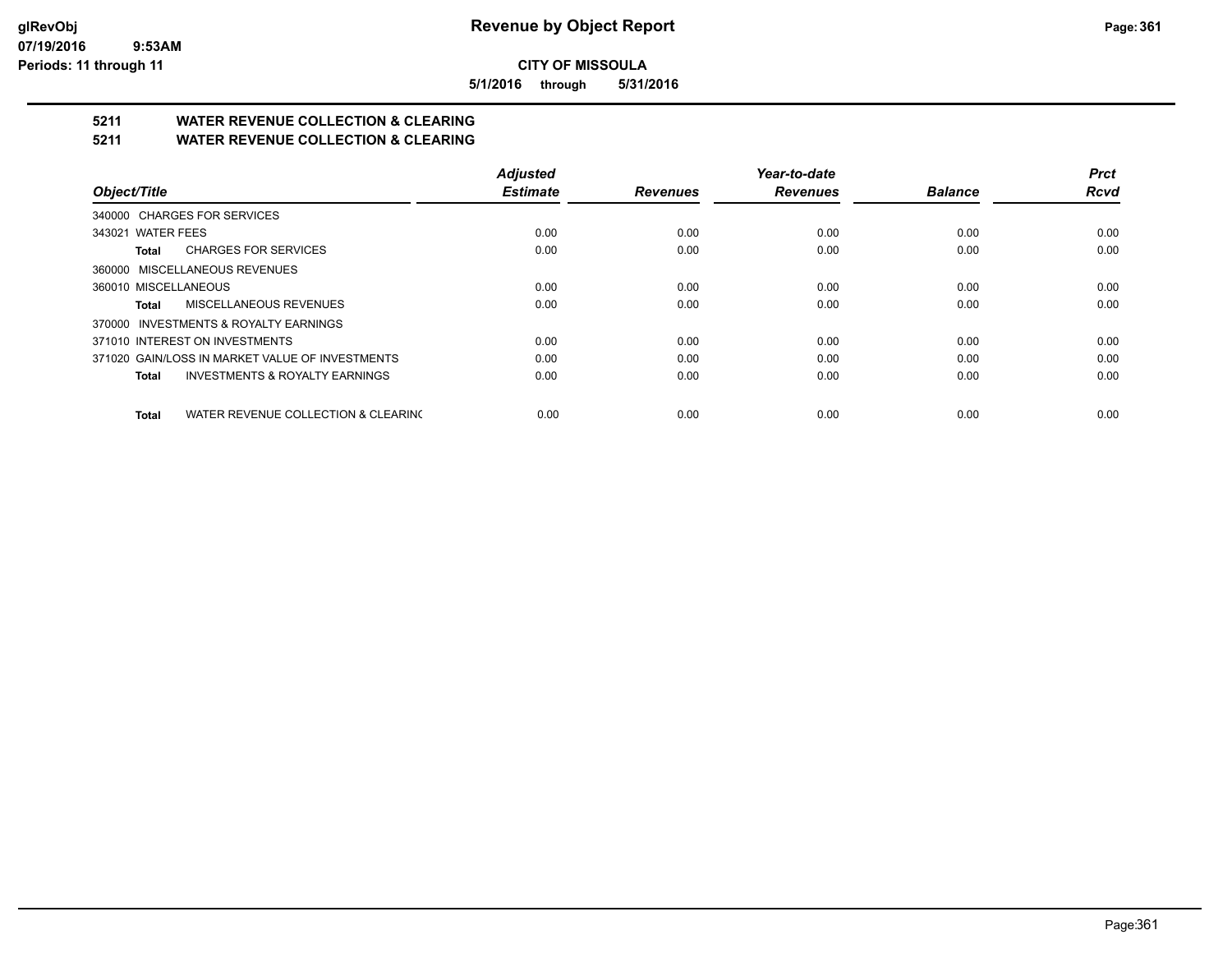**5/1/2016 through 5/31/2016**

## **5211 WATER REVENUE COLLECTION & CLEARING**

**5211 WATER REVENUE COLLECTION & CLEARING**

|                                                     | <b>Adjusted</b> |                 | Year-to-date    |                | <b>Prct</b> |
|-----------------------------------------------------|-----------------|-----------------|-----------------|----------------|-------------|
| Object/Title                                        | <b>Estimate</b> | <b>Revenues</b> | <b>Revenues</b> | <b>Balance</b> | <b>Rcvd</b> |
| 340000 CHARGES FOR SERVICES                         |                 |                 |                 |                |             |
| 343021 WATER FEES                                   | 0.00            | 0.00            | 0.00            | 0.00           | 0.00        |
| <b>CHARGES FOR SERVICES</b><br>Total                | 0.00            | 0.00            | 0.00            | 0.00           | 0.00        |
| 360000 MISCELLANEOUS REVENUES                       |                 |                 |                 |                |             |
| 360010 MISCELLANEOUS                                | 0.00            | 0.00            | 0.00            | 0.00           | 0.00        |
| MISCELLANEOUS REVENUES<br>Total                     | 0.00            | 0.00            | 0.00            | 0.00           | 0.00        |
| 370000 INVESTMENTS & ROYALTY EARNINGS               |                 |                 |                 |                |             |
| 371010 INTEREST ON INVESTMENTS                      | 0.00            | 0.00            | 0.00            | 0.00           | 0.00        |
| 371020 GAIN/LOSS IN MARKET VALUE OF INVESTMENTS     | 0.00            | 0.00            | 0.00            | 0.00           | 0.00        |
| <b>INVESTMENTS &amp; ROYALTY EARNINGS</b><br>Total  | 0.00            | 0.00            | 0.00            | 0.00           | 0.00        |
| WATER REVENUE COLLECTION & CLEARING<br><b>Total</b> | 0.00            | 0.00            | 0.00            | 0.00           | 0.00        |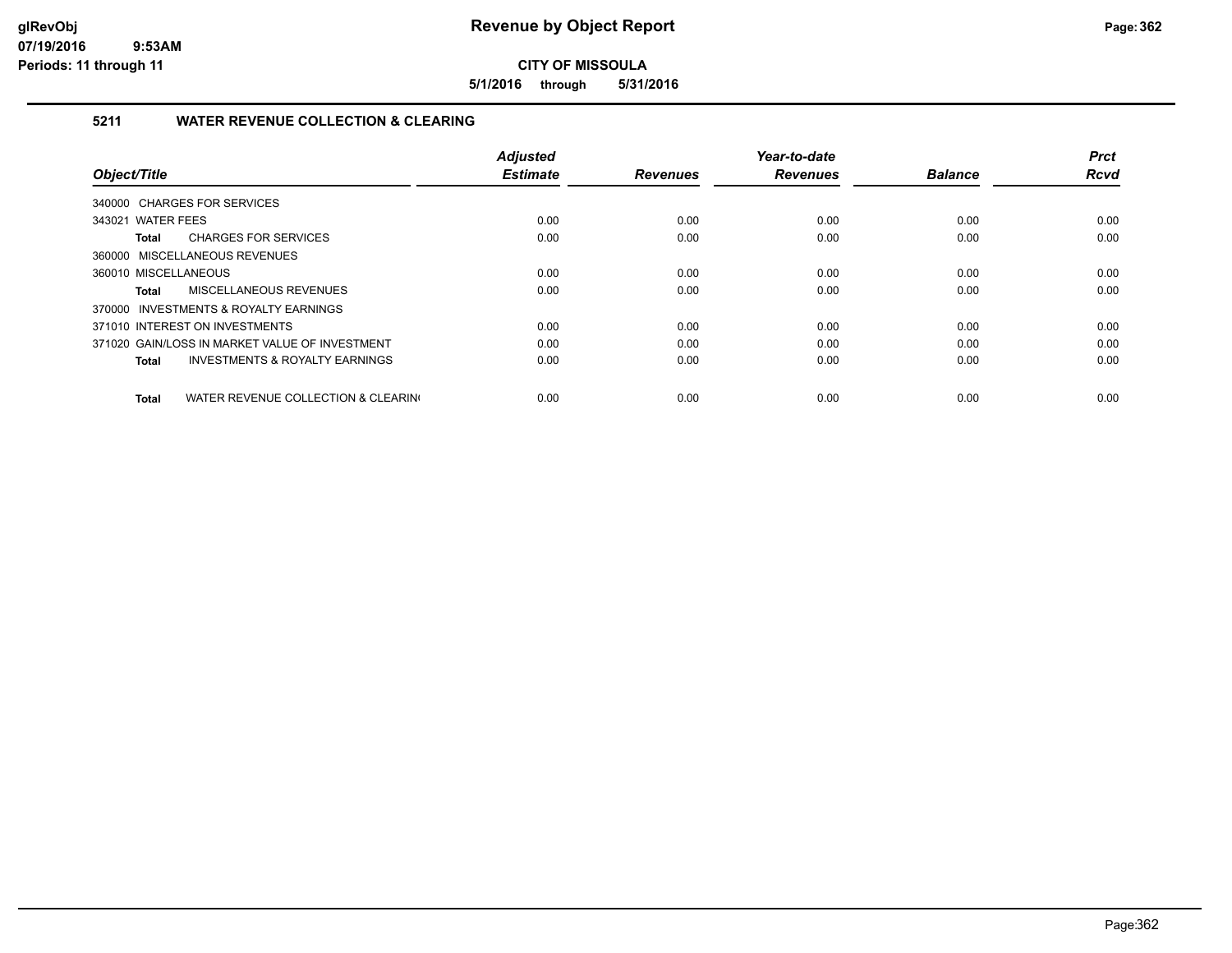**5/1/2016 through 5/31/2016**

## **5211 WATER REVENUE COLLECTION & CLEARING**

|                                                     | <b>Adjusted</b> |                 | Year-to-date    |                | <b>Prct</b> |
|-----------------------------------------------------|-----------------|-----------------|-----------------|----------------|-------------|
| Object/Title                                        | <b>Estimate</b> | <b>Revenues</b> | <b>Revenues</b> | <b>Balance</b> | <b>Rcvd</b> |
| 340000 CHARGES FOR SERVICES                         |                 |                 |                 |                |             |
| 343021 WATER FEES                                   | 0.00            | 0.00            | 0.00            | 0.00           | 0.00        |
| <b>CHARGES FOR SERVICES</b><br>Total                | 0.00            | 0.00            | 0.00            | 0.00           | 0.00        |
| 360000 MISCELLANEOUS REVENUES                       |                 |                 |                 |                |             |
| 360010 MISCELLANEOUS                                | 0.00            | 0.00            | 0.00            | 0.00           | 0.00        |
| MISCELLANEOUS REVENUES<br><b>Total</b>              | 0.00            | 0.00            | 0.00            | 0.00           | 0.00        |
| 370000 INVESTMENTS & ROYALTY EARNINGS               |                 |                 |                 |                |             |
| 371010 INTEREST ON INVESTMENTS                      | 0.00            | 0.00            | 0.00            | 0.00           | 0.00        |
| 371020 GAIN/LOSS IN MARKET VALUE OF INVESTMENT      | 0.00            | 0.00            | 0.00            | 0.00           | 0.00        |
| <b>INVESTMENTS &amp; ROYALTY EARNINGS</b><br>Total  | 0.00            | 0.00            | 0.00            | 0.00           | 0.00        |
|                                                     |                 |                 |                 |                |             |
| WATER REVENUE COLLECTION & CLEARING<br><b>Total</b> | 0.00            | 0.00            | 0.00            | 0.00           | 0.00        |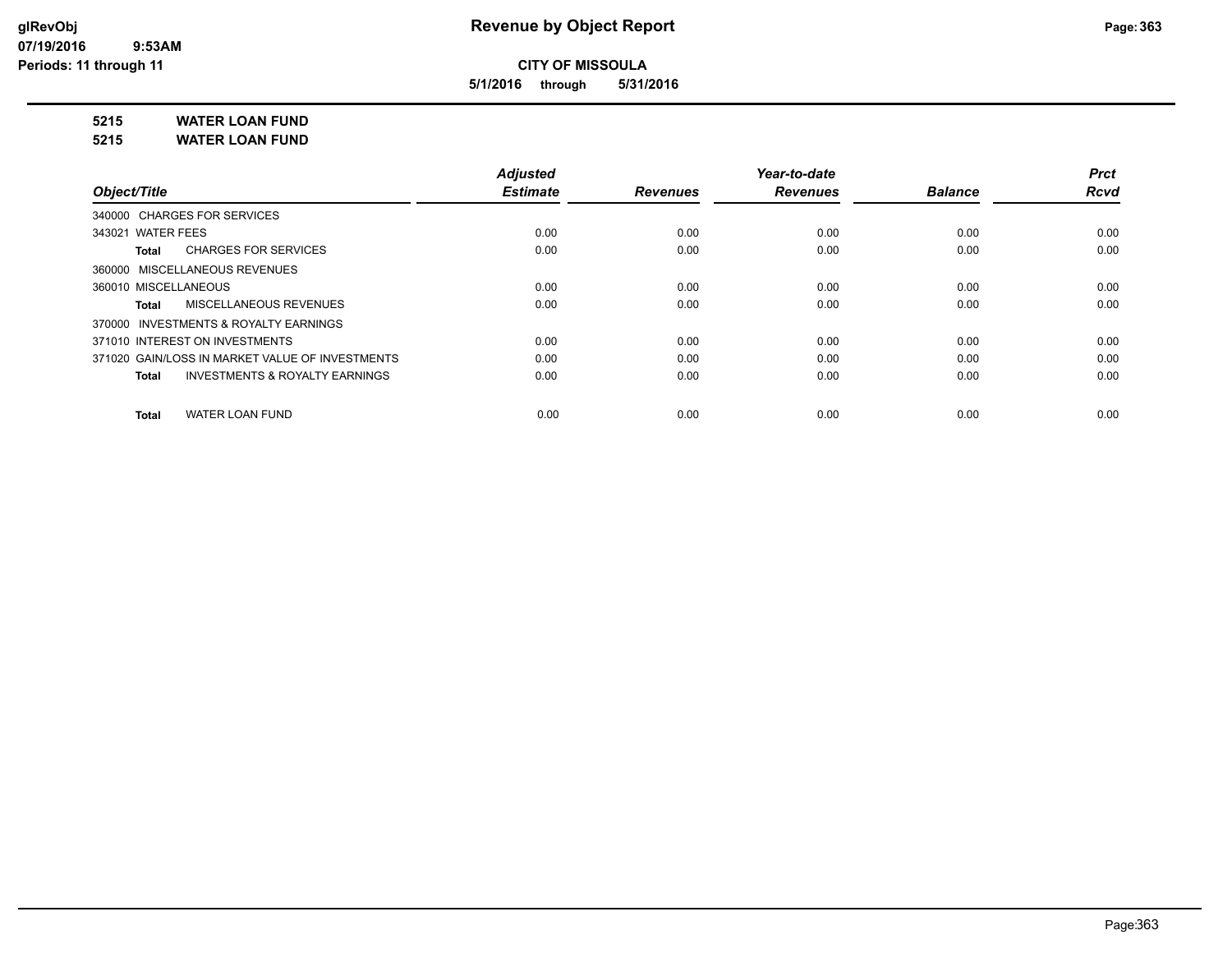**5/1/2016 through 5/31/2016**

**5215 WATER LOAN FUND**

**5215 WATER LOAN FUND**

|                                                    | <b>Adjusted</b> |                 | Year-to-date    |                | <b>Prct</b> |
|----------------------------------------------------|-----------------|-----------------|-----------------|----------------|-------------|
| Object/Title                                       | <b>Estimate</b> | <b>Revenues</b> | <b>Revenues</b> | <b>Balance</b> | <b>Rcvd</b> |
| 340000 CHARGES FOR SERVICES                        |                 |                 |                 |                |             |
| 343021 WATER FEES                                  | 0.00            | 0.00            | 0.00            | 0.00           | 0.00        |
| <b>CHARGES FOR SERVICES</b><br>Total               | 0.00            | 0.00            | 0.00            | 0.00           | 0.00        |
| 360000 MISCELLANEOUS REVENUES                      |                 |                 |                 |                |             |
| 360010 MISCELLANEOUS                               | 0.00            | 0.00            | 0.00            | 0.00           | 0.00        |
| <b>MISCELLANEOUS REVENUES</b><br>Total             | 0.00            | 0.00            | 0.00            | 0.00           | 0.00        |
| 370000 INVESTMENTS & ROYALTY EARNINGS              |                 |                 |                 |                |             |
| 371010 INTEREST ON INVESTMENTS                     | 0.00            | 0.00            | 0.00            | 0.00           | 0.00        |
| 371020 GAIN/LOSS IN MARKET VALUE OF INVESTMENTS    | 0.00            | 0.00            | 0.00            | 0.00           | 0.00        |
| <b>INVESTMENTS &amp; ROYALTY EARNINGS</b><br>Total | 0.00            | 0.00            | 0.00            | 0.00           | 0.00        |
| <b>WATER LOAN FUND</b><br>Total                    | 0.00            | 0.00            | 0.00            | 0.00           | 0.00        |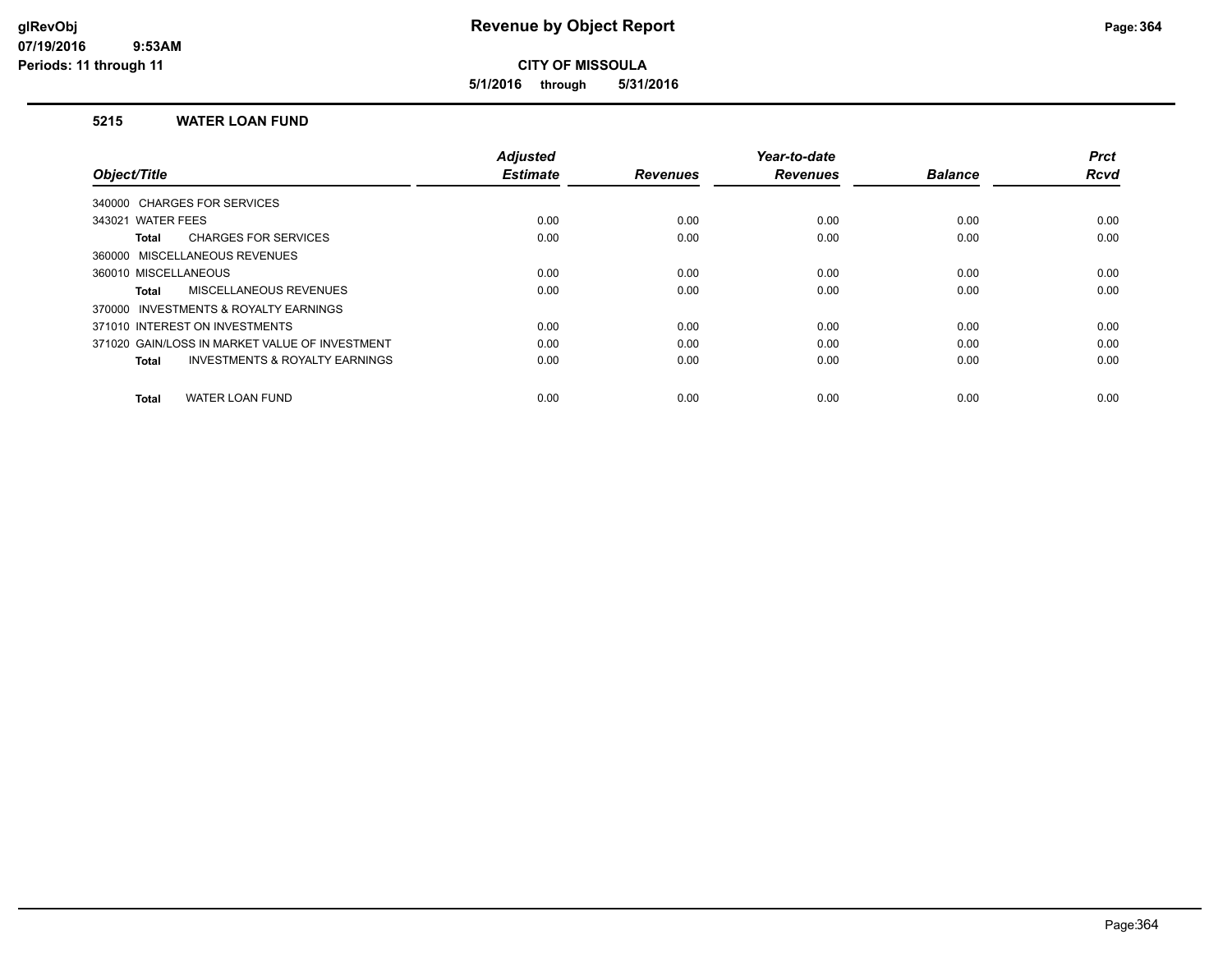**5/1/2016 through 5/31/2016**

### **5215 WATER LOAN FUND**

|                                                           | <b>Adjusted</b> |                 | Year-to-date    |                | <b>Prct</b> |
|-----------------------------------------------------------|-----------------|-----------------|-----------------|----------------|-------------|
| Object/Title                                              | <b>Estimate</b> | <b>Revenues</b> | <b>Revenues</b> | <b>Balance</b> | <b>Rcvd</b> |
| 340000 CHARGES FOR SERVICES                               |                 |                 |                 |                |             |
| 343021 WATER FEES                                         | 0.00            | 0.00            | 0.00            | 0.00           | 0.00        |
| <b>CHARGES FOR SERVICES</b><br>Total                      | 0.00            | 0.00            | 0.00            | 0.00           | 0.00        |
| 360000 MISCELLANEOUS REVENUES                             |                 |                 |                 |                |             |
| 360010 MISCELLANEOUS                                      | 0.00            | 0.00            | 0.00            | 0.00           | 0.00        |
| <b>MISCELLANEOUS REVENUES</b><br><b>Total</b>             | 0.00            | 0.00            | 0.00            | 0.00           | 0.00        |
| INVESTMENTS & ROYALTY EARNINGS<br>370000                  |                 |                 |                 |                |             |
| 371010 INTEREST ON INVESTMENTS                            | 0.00            | 0.00            | 0.00            | 0.00           | 0.00        |
| 371020 GAIN/LOSS IN MARKET VALUE OF INVESTMENT            | 0.00            | 0.00            | 0.00            | 0.00           | 0.00        |
| <b>INVESTMENTS &amp; ROYALTY EARNINGS</b><br><b>Total</b> | 0.00            | 0.00            | 0.00            | 0.00           | 0.00        |
|                                                           |                 |                 |                 |                |             |
| <b>WATER LOAN FUND</b><br><b>Total</b>                    | 0.00            | 0.00            | 0.00            | 0.00           | 0.00        |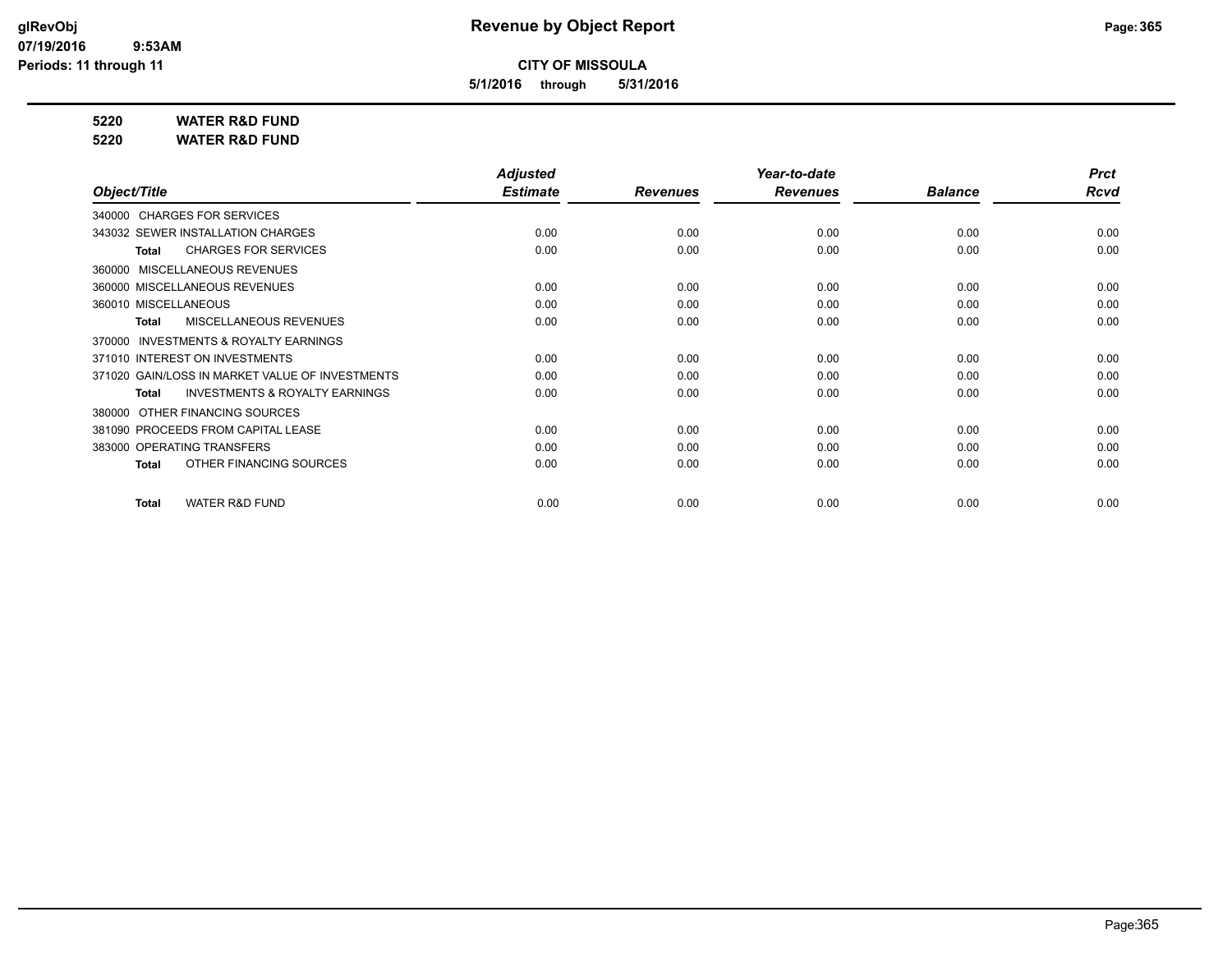**5/1/2016 through 5/31/2016**

**5220 WATER R&D FUND**

**5220 WATER R&D FUND**

|                                                           | <b>Adjusted</b> |                 | Year-to-date    |                | <b>Prct</b> |
|-----------------------------------------------------------|-----------------|-----------------|-----------------|----------------|-------------|
| Object/Title                                              | <b>Estimate</b> | <b>Revenues</b> | <b>Revenues</b> | <b>Balance</b> | Rcvd        |
| 340000 CHARGES FOR SERVICES                               |                 |                 |                 |                |             |
| 343032 SEWER INSTALLATION CHARGES                         | 0.00            | 0.00            | 0.00            | 0.00           | 0.00        |
| <b>CHARGES FOR SERVICES</b><br><b>Total</b>               | 0.00            | 0.00            | 0.00            | 0.00           | 0.00        |
| 360000 MISCELLANEOUS REVENUES                             |                 |                 |                 |                |             |
| 360000 MISCELLANEOUS REVENUES                             | 0.00            | 0.00            | 0.00            | 0.00           | 0.00        |
| 360010 MISCELLANEOUS                                      | 0.00            | 0.00            | 0.00            | 0.00           | 0.00        |
| MISCELLANEOUS REVENUES<br>Total                           | 0.00            | 0.00            | 0.00            | 0.00           | 0.00        |
| INVESTMENTS & ROYALTY EARNINGS<br>370000                  |                 |                 |                 |                |             |
| 371010 INTEREST ON INVESTMENTS                            | 0.00            | 0.00            | 0.00            | 0.00           | 0.00        |
| 371020 GAIN/LOSS IN MARKET VALUE OF INVESTMENTS           | 0.00            | 0.00            | 0.00            | 0.00           | 0.00        |
| <b>INVESTMENTS &amp; ROYALTY EARNINGS</b><br><b>Total</b> | 0.00            | 0.00            | 0.00            | 0.00           | 0.00        |
| OTHER FINANCING SOURCES<br>380000                         |                 |                 |                 |                |             |
| 381090 PROCEEDS FROM CAPITAL LEASE                        | 0.00            | 0.00            | 0.00            | 0.00           | 0.00        |
| 383000 OPERATING TRANSFERS                                | 0.00            | 0.00            | 0.00            | 0.00           | 0.00        |
| OTHER FINANCING SOURCES<br><b>Total</b>                   | 0.00            | 0.00            | 0.00            | 0.00           | 0.00        |
| <b>WATER R&amp;D FUND</b><br><b>Total</b>                 | 0.00            | 0.00            | 0.00            | 0.00           | 0.00        |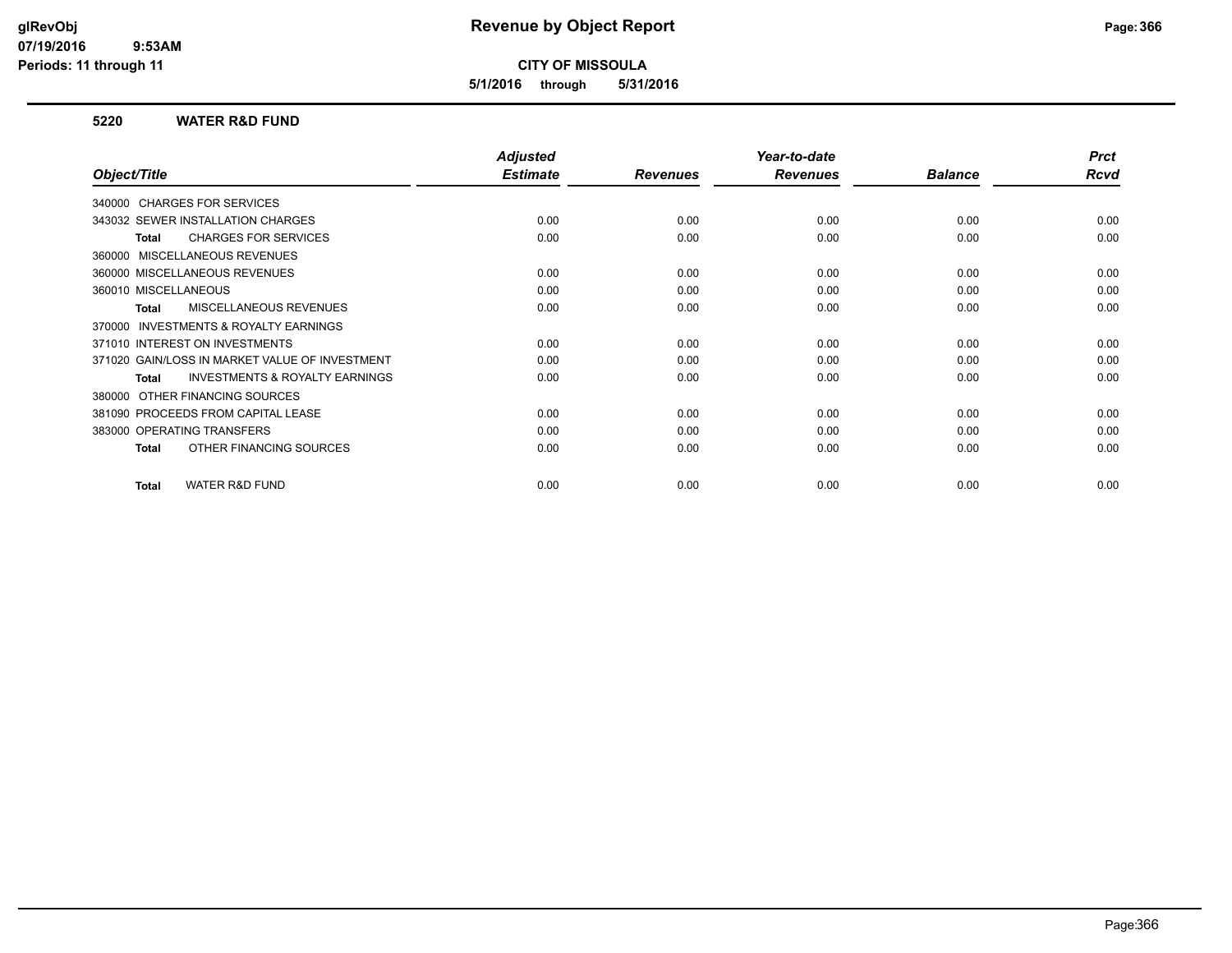**5/1/2016 through 5/31/2016**

### **5220 WATER R&D FUND**

|                                                           | <b>Adjusted</b> |                 | Year-to-date    |                | <b>Prct</b> |
|-----------------------------------------------------------|-----------------|-----------------|-----------------|----------------|-------------|
| Object/Title                                              | <b>Estimate</b> | <b>Revenues</b> | <b>Revenues</b> | <b>Balance</b> | Rcvd        |
| 340000 CHARGES FOR SERVICES                               |                 |                 |                 |                |             |
| 343032 SEWER INSTALLATION CHARGES                         | 0.00            | 0.00            | 0.00            | 0.00           | 0.00        |
| <b>CHARGES FOR SERVICES</b><br><b>Total</b>               | 0.00            | 0.00            | 0.00            | 0.00           | 0.00        |
| 360000 MISCELLANEOUS REVENUES                             |                 |                 |                 |                |             |
| 360000 MISCELLANEOUS REVENUES                             | 0.00            | 0.00            | 0.00            | 0.00           | 0.00        |
| 360010 MISCELLANEOUS                                      | 0.00            | 0.00            | 0.00            | 0.00           | 0.00        |
| <b>MISCELLANEOUS REVENUES</b><br><b>Total</b>             | 0.00            | 0.00            | 0.00            | 0.00           | 0.00        |
| <b>INVESTMENTS &amp; ROYALTY EARNINGS</b><br>370000       |                 |                 |                 |                |             |
| 371010 INTEREST ON INVESTMENTS                            | 0.00            | 0.00            | 0.00            | 0.00           | 0.00        |
| 371020 GAIN/LOSS IN MARKET VALUE OF INVESTMENT            | 0.00            | 0.00            | 0.00            | 0.00           | 0.00        |
| <b>INVESTMENTS &amp; ROYALTY EARNINGS</b><br><b>Total</b> | 0.00            | 0.00            | 0.00            | 0.00           | 0.00        |
| 380000 OTHER FINANCING SOURCES                            |                 |                 |                 |                |             |
| 381090 PROCEEDS FROM CAPITAL LEASE                        | 0.00            | 0.00            | 0.00            | 0.00           | 0.00        |
| 383000 OPERATING TRANSFERS                                | 0.00            | 0.00            | 0.00            | 0.00           | 0.00        |
| OTHER FINANCING SOURCES<br><b>Total</b>                   | 0.00            | 0.00            | 0.00            | 0.00           | 0.00        |
|                                                           |                 |                 |                 |                |             |
| <b>WATER R&amp;D FUND</b><br><b>Total</b>                 | 0.00            | 0.00            | 0.00            | 0.00           | 0.00        |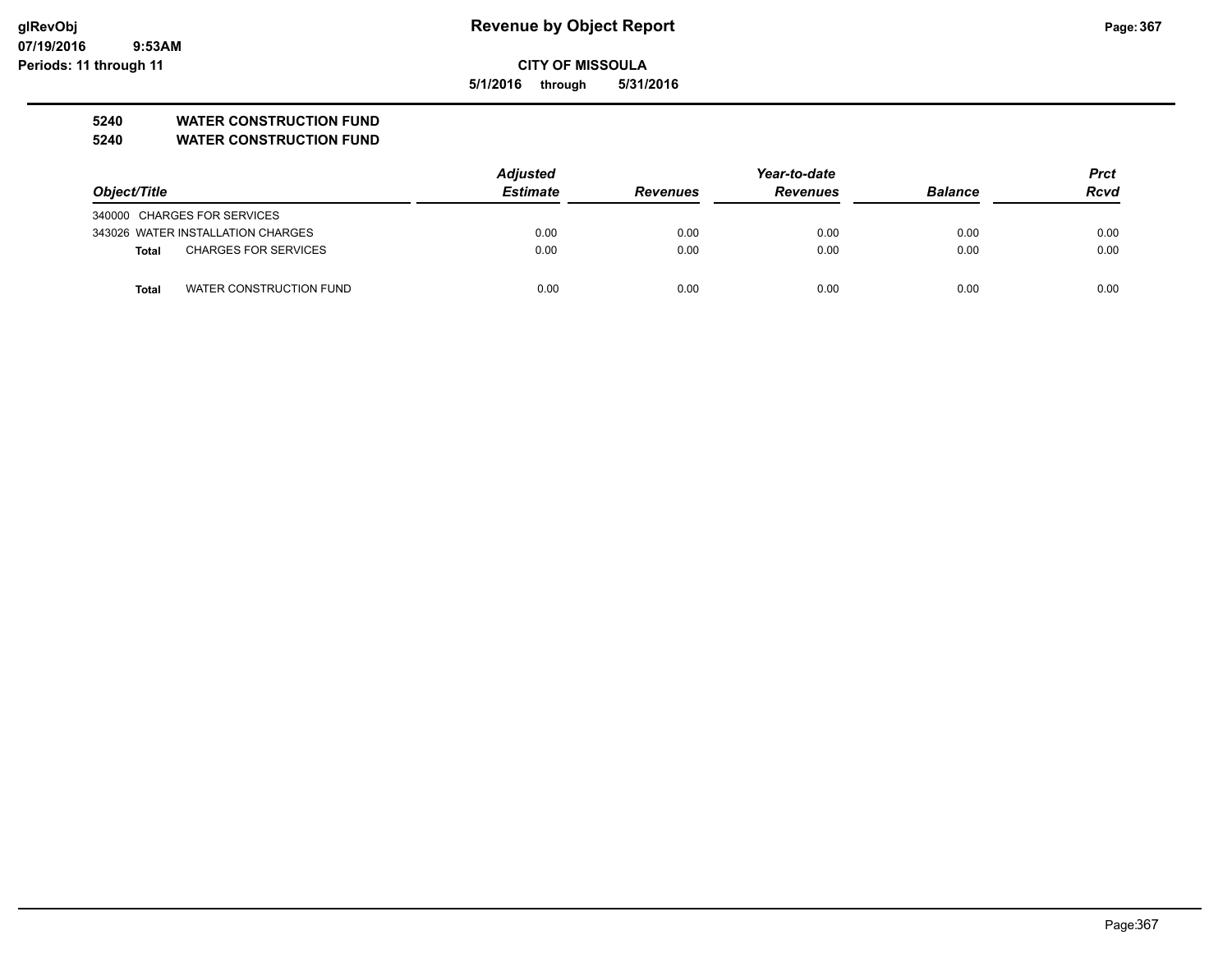**07/19/2016 9:53AM Periods: 11 through 11**

## **CITY OF MISSOULA**

**5/1/2016 through 5/31/2016**

## **5240 WATER CONSTRUCTION FUND**

**5240 WATER CONSTRUCTION FUND**

|                             |                                   | <b>Adjusted</b> | Year-to-date    |                 |                | <b>Prct</b> |
|-----------------------------|-----------------------------------|-----------------|-----------------|-----------------|----------------|-------------|
| Object/Title                |                                   | <b>Estimate</b> | <b>Revenues</b> | <b>Revenues</b> | <b>Balance</b> | <b>Rcvd</b> |
| 340000 CHARGES FOR SERVICES |                                   |                 |                 |                 |                |             |
|                             | 343026 WATER INSTALLATION CHARGES | 0.00            | 0.00            | 0.00            | 0.00           | 0.00        |
| Total                       | <b>CHARGES FOR SERVICES</b>       | 0.00            | 0.00            | 0.00            | 0.00           | 0.00        |
| <b>Total</b>                | WATER CONSTRUCTION FUND           | 0.00            | 0.00            | 0.00            | 0.00           | 0.00        |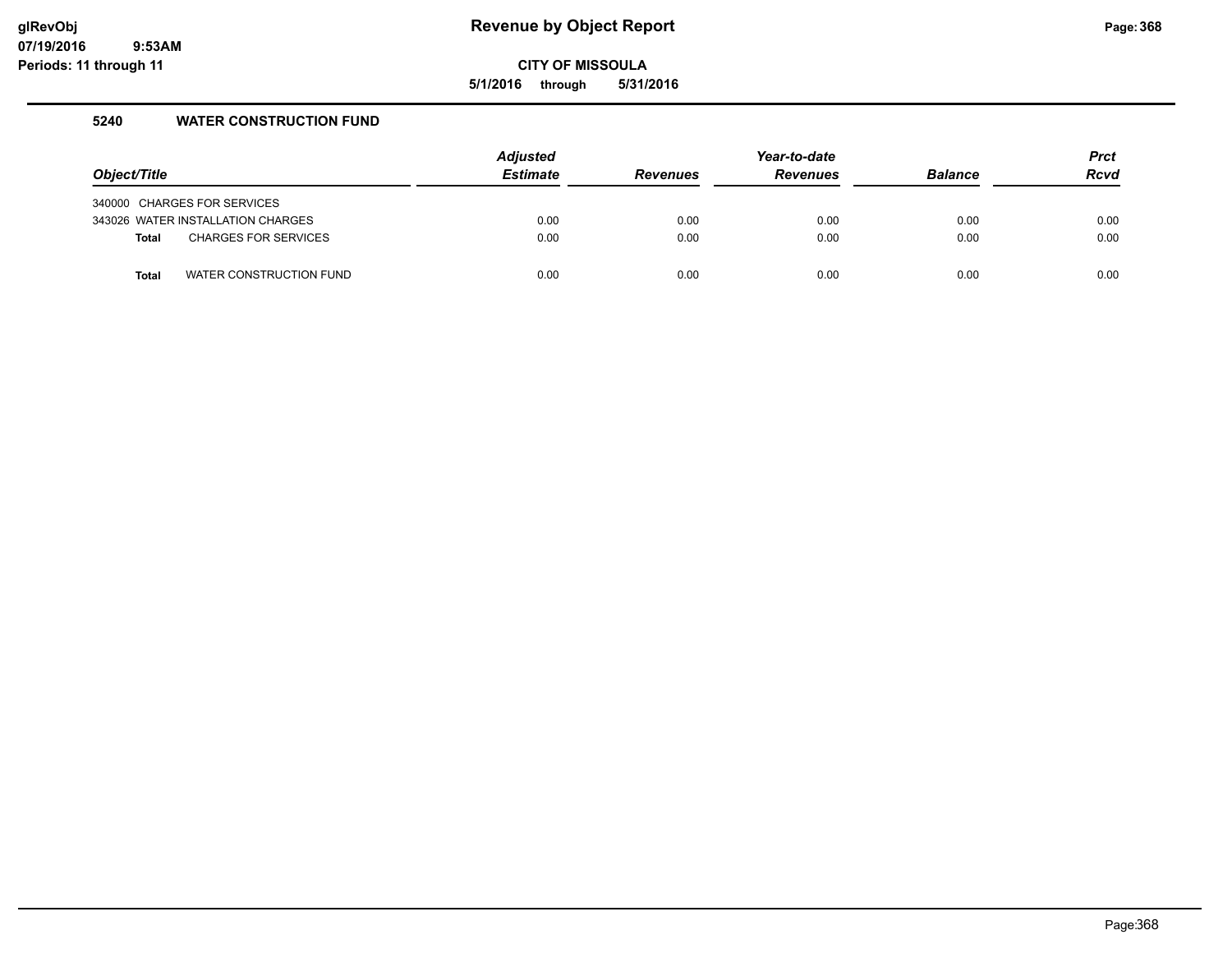**5/1/2016 through 5/31/2016**

## **5240 WATER CONSTRUCTION FUND**

| Object/Title |                                   | <b>Adjusted</b><br><b>Estimate</b> | <b>Revenues</b> | Year-to-date<br><b>Revenues</b> | <b>Balance</b> | <b>Prct</b><br><b>Rcvd</b> |
|--------------|-----------------------------------|------------------------------------|-----------------|---------------------------------|----------------|----------------------------|
|              |                                   |                                    |                 |                                 |                |                            |
|              | 340000 CHARGES FOR SERVICES       |                                    |                 |                                 |                |                            |
|              | 343026 WATER INSTALLATION CHARGES | 0.00                               | 0.00            | 0.00                            | 0.00           | 0.00                       |
| <b>Total</b> | <b>CHARGES FOR SERVICES</b>       | 0.00                               | 0.00            | 0.00                            | 0.00           | 0.00                       |
| <b>Total</b> | WATER CONSTRUCTION FUND           | 0.00                               | 0.00            | 0.00                            | 0.00           | 0.00                       |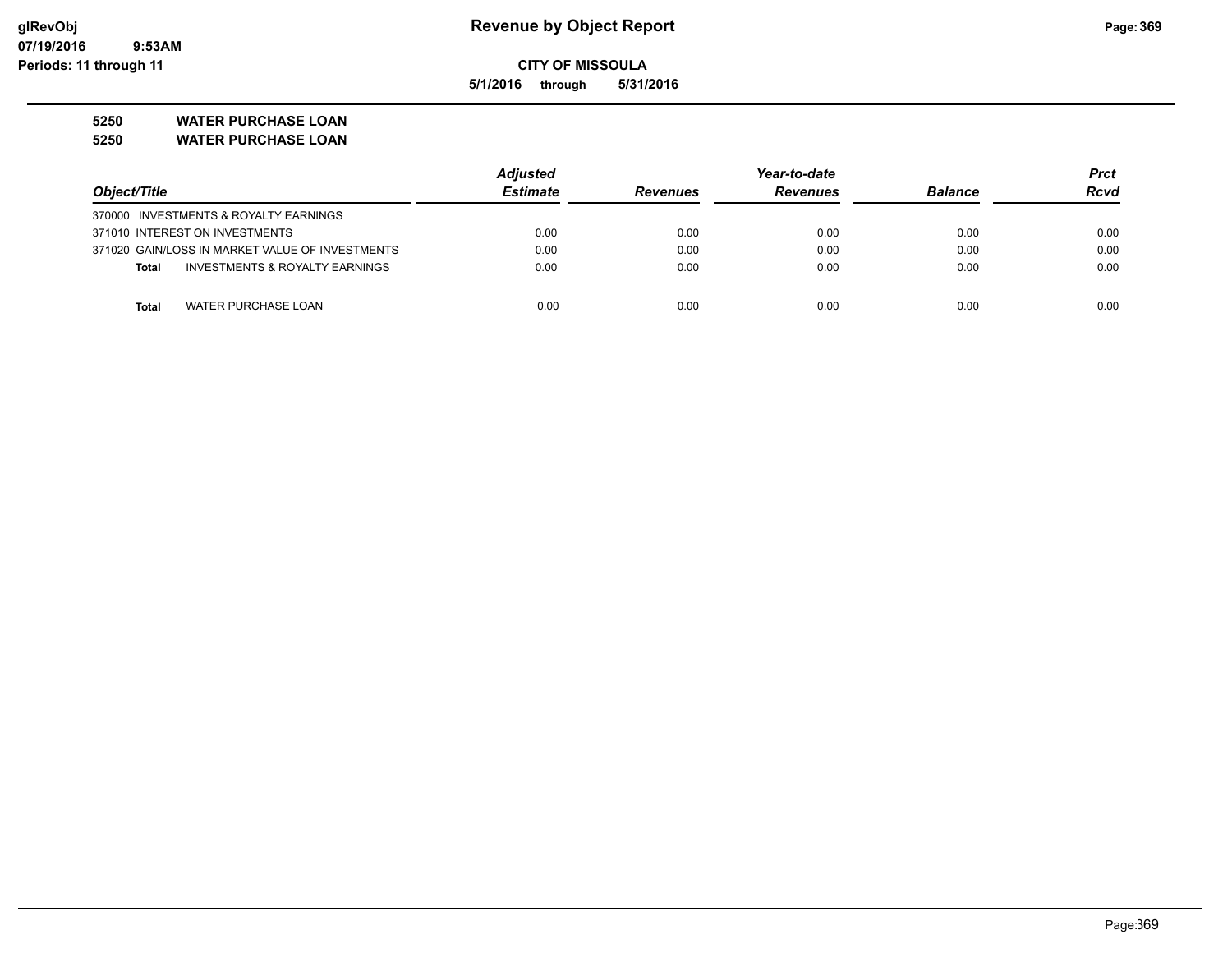**5/1/2016 through 5/31/2016**

**5250 WATER PURCHASE LOAN**

| <b>WATER PURCHASE LOAN</b><br>5250 |  |  |
|------------------------------------|--|--|
|------------------------------------|--|--|

|                                                 | <b>Adjusted</b> |                 | Year-to-date    |                |             |
|-------------------------------------------------|-----------------|-----------------|-----------------|----------------|-------------|
| Object/Title                                    | <b>Estimate</b> | <b>Revenues</b> | <b>Revenues</b> | <b>Balance</b> | <b>Rcvd</b> |
| 370000 INVESTMENTS & ROYALTY EARNINGS           |                 |                 |                 |                |             |
| 371010 INTEREST ON INVESTMENTS                  | 0.00            | 0.00            | 0.00            | 0.00           | 0.00        |
| 371020 GAIN/LOSS IN MARKET VALUE OF INVESTMENTS | 0.00            | 0.00            | 0.00            | 0.00           | 0.00        |
| INVESTMENTS & ROYALTY EARNINGS<br>Total         | 0.00            | 0.00            | 0.00            | 0.00           | 0.00        |
|                                                 |                 |                 |                 |                |             |
| WATER PURCHASE LOAN<br>Total                    | 0.00            | 0.00            | 0.00            | 0.00           | 0.00        |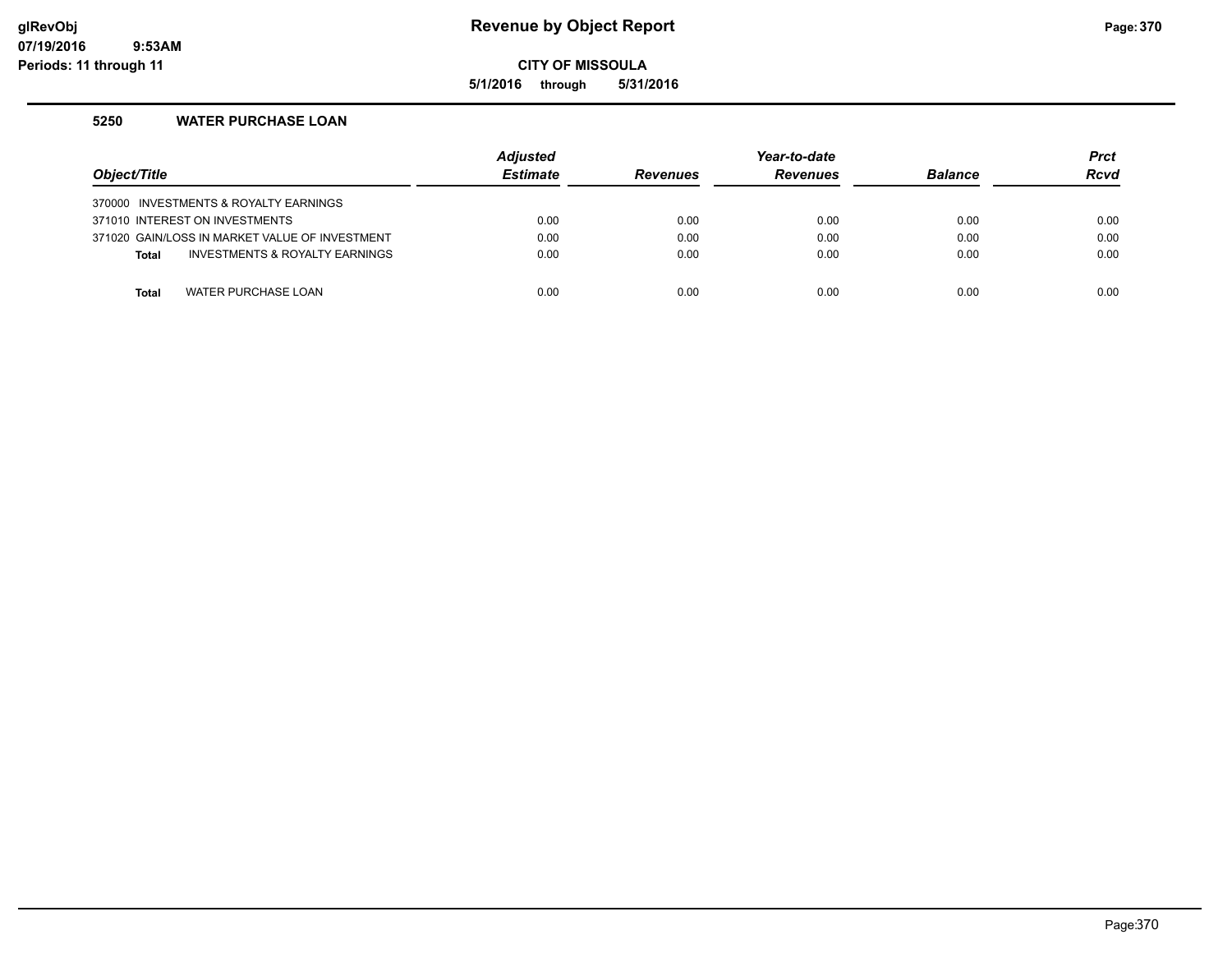## **glRevObj Revenue by Object Report Page:370**

**CITY OF MISSOULA**

**5/1/2016 through 5/31/2016**

## **5250 WATER PURCHASE LOAN**

| Object/Title |                                                | <b>Adjusted</b><br><b>Estimate</b> | <b>Revenues</b> | Year-to-date<br><b>Revenues</b> | <b>Balance</b> | <b>Prct</b><br><b>Rcvd</b> |
|--------------|------------------------------------------------|------------------------------------|-----------------|---------------------------------|----------------|----------------------------|
|              | 370000 INVESTMENTS & ROYALTY EARNINGS          |                                    |                 |                                 |                |                            |
|              | 371010 INTEREST ON INVESTMENTS                 | 0.00                               | 0.00            | 0.00                            | 0.00           | 0.00                       |
|              | 371020 GAIN/LOSS IN MARKET VALUE OF INVESTMENT | 0.00                               | 0.00            | 0.00                            | 0.00           | 0.00                       |
| <b>Total</b> | INVESTMENTS & ROYALTY EARNINGS                 | 0.00                               | 0.00            | 0.00                            | 0.00           | 0.00                       |
|              |                                                |                                    |                 |                                 |                |                            |
| <b>Total</b> | WATER PURCHASE LOAN                            | 0.00                               | 0.00            | 0.00                            | 0.00           | 0.00                       |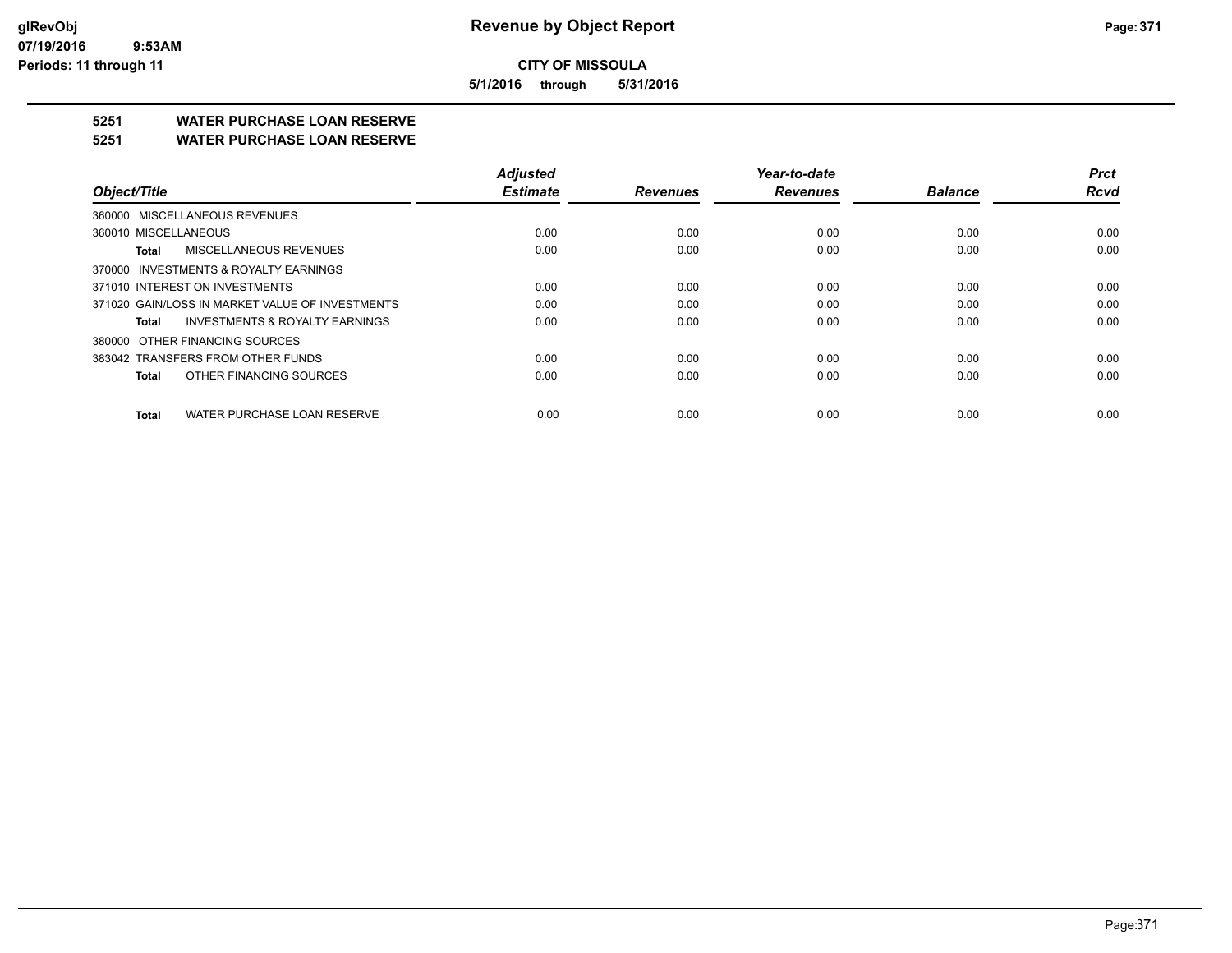**5/1/2016 through 5/31/2016**

## **5251 WATER PURCHASE LOAN RESERVE**

### **5251 WATER PURCHASE LOAN RESERVE**

| Object/Title                                       | <b>Adjusted</b><br><b>Estimate</b> | <b>Revenues</b> | Year-to-date<br><b>Revenues</b> | <b>Balance</b> | <b>Prct</b><br><b>Rcvd</b> |
|----------------------------------------------------|------------------------------------|-----------------|---------------------------------|----------------|----------------------------|
|                                                    |                                    |                 |                                 |                |                            |
| 360000 MISCELLANEOUS REVENUES                      |                                    |                 |                                 |                |                            |
| 360010 MISCELLANEOUS                               | 0.00                               | 0.00            | 0.00                            | 0.00           | 0.00                       |
| MISCELLANEOUS REVENUES<br>Total                    | 0.00                               | 0.00            | 0.00                            | 0.00           | 0.00                       |
| 370000 INVESTMENTS & ROYALTY EARNINGS              |                                    |                 |                                 |                |                            |
| 371010 INTEREST ON INVESTMENTS                     | 0.00                               | 0.00            | 0.00                            | 0.00           | 0.00                       |
| 371020 GAIN/LOSS IN MARKET VALUE OF INVESTMENTS    | 0.00                               | 0.00            | 0.00                            | 0.00           | 0.00                       |
| <b>INVESTMENTS &amp; ROYALTY EARNINGS</b><br>Total | 0.00                               | 0.00            | 0.00                            | 0.00           | 0.00                       |
| 380000 OTHER FINANCING SOURCES                     |                                    |                 |                                 |                |                            |
| 383042 TRANSFERS FROM OTHER FUNDS                  | 0.00                               | 0.00            | 0.00                            | 0.00           | 0.00                       |
| OTHER FINANCING SOURCES<br>Total                   | 0.00                               | 0.00            | 0.00                            | 0.00           | 0.00                       |
| WATER PURCHASE LOAN RESERVE<br>Total               | 0.00                               | 0.00            | 0.00                            | 0.00           | 0.00                       |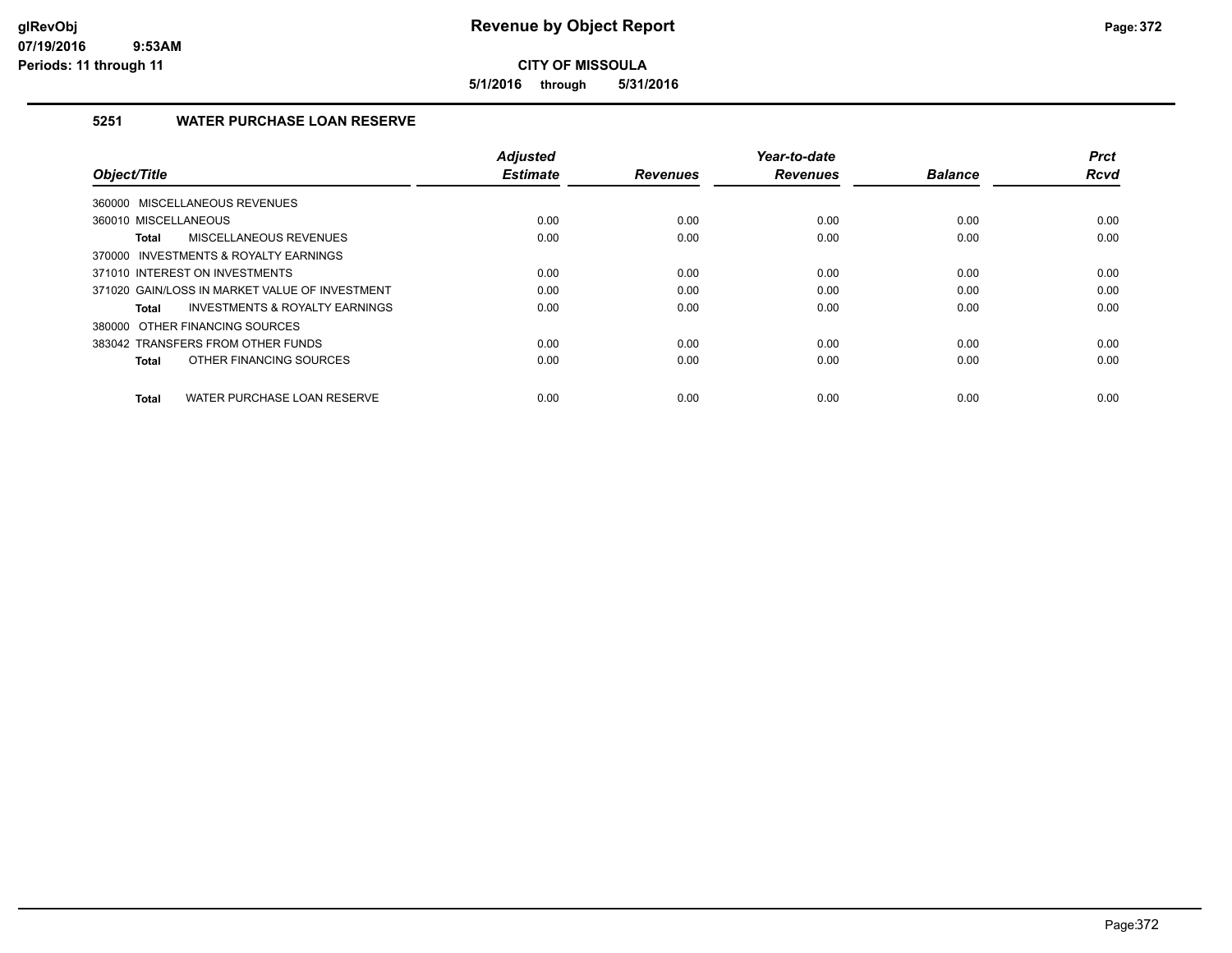**5/1/2016 through 5/31/2016**

## **5251 WATER PURCHASE LOAN RESERVE**

| Object/Title                                       | <b>Adjusted</b><br><b>Estimate</b> | <b>Revenues</b> | Year-to-date<br><b>Revenues</b> | <b>Balance</b> | <b>Prct</b><br><b>Rcvd</b> |
|----------------------------------------------------|------------------------------------|-----------------|---------------------------------|----------------|----------------------------|
|                                                    |                                    |                 |                                 |                |                            |
| 360000 MISCELLANEOUS REVENUES                      |                                    |                 |                                 |                |                            |
| 360010 MISCELLANEOUS                               | 0.00                               | 0.00            | 0.00                            | 0.00           | 0.00                       |
| MISCELLANEOUS REVENUES<br>Total                    | 0.00                               | 0.00            | 0.00                            | 0.00           | 0.00                       |
| 370000 INVESTMENTS & ROYALTY EARNINGS              |                                    |                 |                                 |                |                            |
| 371010 INTEREST ON INVESTMENTS                     | 0.00                               | 0.00            | 0.00                            | 0.00           | 0.00                       |
| 371020 GAIN/LOSS IN MARKET VALUE OF INVESTMENT     | 0.00                               | 0.00            | 0.00                            | 0.00           | 0.00                       |
| <b>INVESTMENTS &amp; ROYALTY EARNINGS</b><br>Total | 0.00                               | 0.00            | 0.00                            | 0.00           | 0.00                       |
| 380000 OTHER FINANCING SOURCES                     |                                    |                 |                                 |                |                            |
| 383042 TRANSFERS FROM OTHER FUNDS                  | 0.00                               | 0.00            | 0.00                            | 0.00           | 0.00                       |
| OTHER FINANCING SOURCES<br>Total                   | 0.00                               | 0.00            | 0.00                            | 0.00           | 0.00                       |
|                                                    |                                    |                 |                                 |                |                            |
| WATER PURCHASE LOAN RESERVE<br>Total               | 0.00                               | 0.00            | 0.00                            | 0.00           | 0.00                       |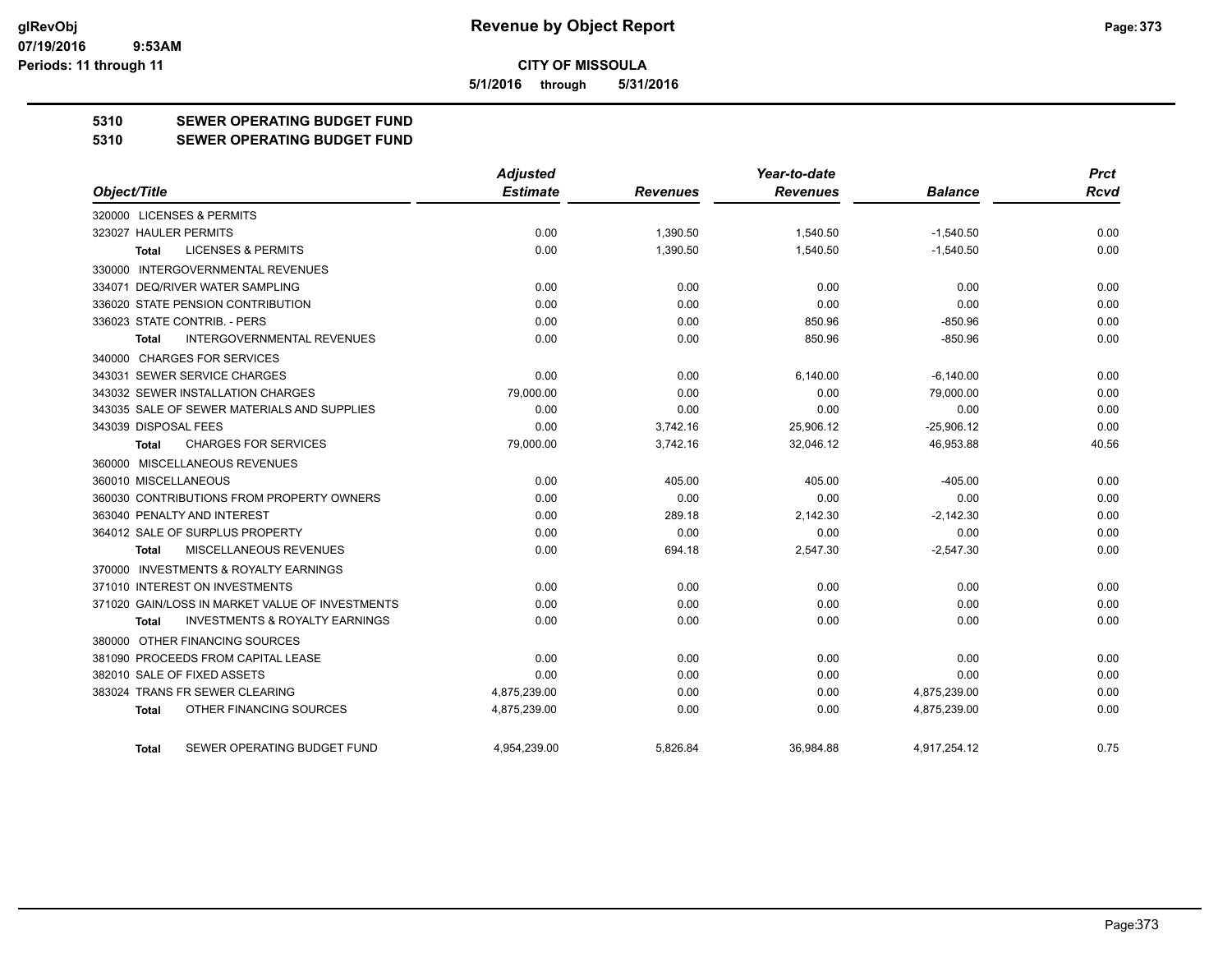**5/1/2016 through 5/31/2016**

## **5310 SEWER OPERATING BUDGET FUND**

#### **5310 SEWER OPERATING BUDGET FUND**

|                                                    | <b>Adjusted</b> |                 | Year-to-date    |                | <b>Prct</b> |
|----------------------------------------------------|-----------------|-----------------|-----------------|----------------|-------------|
| Object/Title                                       | <b>Estimate</b> | <b>Revenues</b> | <b>Revenues</b> | <b>Balance</b> | <b>Rcvd</b> |
| 320000 LICENSES & PERMITS                          |                 |                 |                 |                |             |
| 323027 HAULER PERMITS                              | 0.00            | 1.390.50        | 1.540.50        | $-1,540.50$    | 0.00        |
| <b>LICENSES &amp; PERMITS</b><br><b>Total</b>      | 0.00            | 1,390.50        | 1,540.50        | $-1,540.50$    | 0.00        |
| <b>INTERGOVERNMENTAL REVENUES</b><br>330000        |                 |                 |                 |                |             |
| 334071 DEQ/RIVER WATER SAMPLING                    | 0.00            | 0.00            | 0.00            | 0.00           | 0.00        |
| 336020 STATE PENSION CONTRIBUTION                  | 0.00            | 0.00            | 0.00            | 0.00           | 0.00        |
| 336023 STATE CONTRIB. - PERS                       | 0.00            | 0.00            | 850.96          | $-850.96$      | 0.00        |
| <b>INTERGOVERNMENTAL REVENUES</b><br>Total         | 0.00            | 0.00            | 850.96          | $-850.96$      | 0.00        |
| 340000 CHARGES FOR SERVICES                        |                 |                 |                 |                |             |
| 343031 SEWER SERVICE CHARGES                       | 0.00            | 0.00            | 6,140.00        | $-6,140.00$    | 0.00        |
| 343032 SEWER INSTALLATION CHARGES                  | 79,000.00       | 0.00            | 0.00            | 79,000.00      | 0.00        |
| 343035 SALE OF SEWER MATERIALS AND SUPPLIES        | 0.00            | 0.00            | 0.00            | 0.00           | 0.00        |
| 343039 DISPOSAL FEES                               | 0.00            | 3,742.16        | 25,906.12       | $-25,906.12$   | 0.00        |
| <b>CHARGES FOR SERVICES</b><br>Total               | 79,000.00       | 3,742.16        | 32,046.12       | 46,953.88      | 40.56       |
| 360000 MISCELLANEOUS REVENUES                      |                 |                 |                 |                |             |
| 360010 MISCELLANEOUS                               | 0.00            | 405.00          | 405.00          | $-405.00$      | 0.00        |
| 360030 CONTRIBUTIONS FROM PROPERTY OWNERS          | 0.00            | 0.00            | 0.00            | 0.00           | 0.00        |
| 363040 PENALTY AND INTEREST                        | 0.00            | 289.18          | 2,142.30        | $-2,142.30$    | 0.00        |
| 364012 SALE OF SURPLUS PROPERTY                    | 0.00            | 0.00            | 0.00            | 0.00           | 0.00        |
| MISCELLANEOUS REVENUES<br>Total                    | 0.00            | 694.18          | 2,547.30        | $-2,547.30$    | 0.00        |
| 370000 INVESTMENTS & ROYALTY EARNINGS              |                 |                 |                 |                |             |
| 371010 INTEREST ON INVESTMENTS                     | 0.00            | 0.00            | 0.00            | 0.00           | 0.00        |
| 371020 GAIN/LOSS IN MARKET VALUE OF INVESTMENTS    | 0.00            | 0.00            | 0.00            | 0.00           | 0.00        |
| <b>INVESTMENTS &amp; ROYALTY EARNINGS</b><br>Total | 0.00            | 0.00            | 0.00            | 0.00           | 0.00        |
| 380000 OTHER FINANCING SOURCES                     |                 |                 |                 |                |             |
| 381090 PROCEEDS FROM CAPITAL LEASE                 | 0.00            | 0.00            | 0.00            | 0.00           | 0.00        |
| 382010 SALE OF FIXED ASSETS                        | 0.00            | 0.00            | 0.00            | 0.00           | 0.00        |
| 383024 TRANS FR SEWER CLEARING                     | 4,875,239.00    | 0.00            | 0.00            | 4,875,239.00   | 0.00        |
| OTHER FINANCING SOURCES<br><b>Total</b>            | 4,875,239.00    | 0.00            | 0.00            | 4,875,239.00   | 0.00        |
| SEWER OPERATING BUDGET FUND<br>Total               | 4.954.239.00    | 5.826.84        | 36.984.88       | 4.917.254.12   | 0.75        |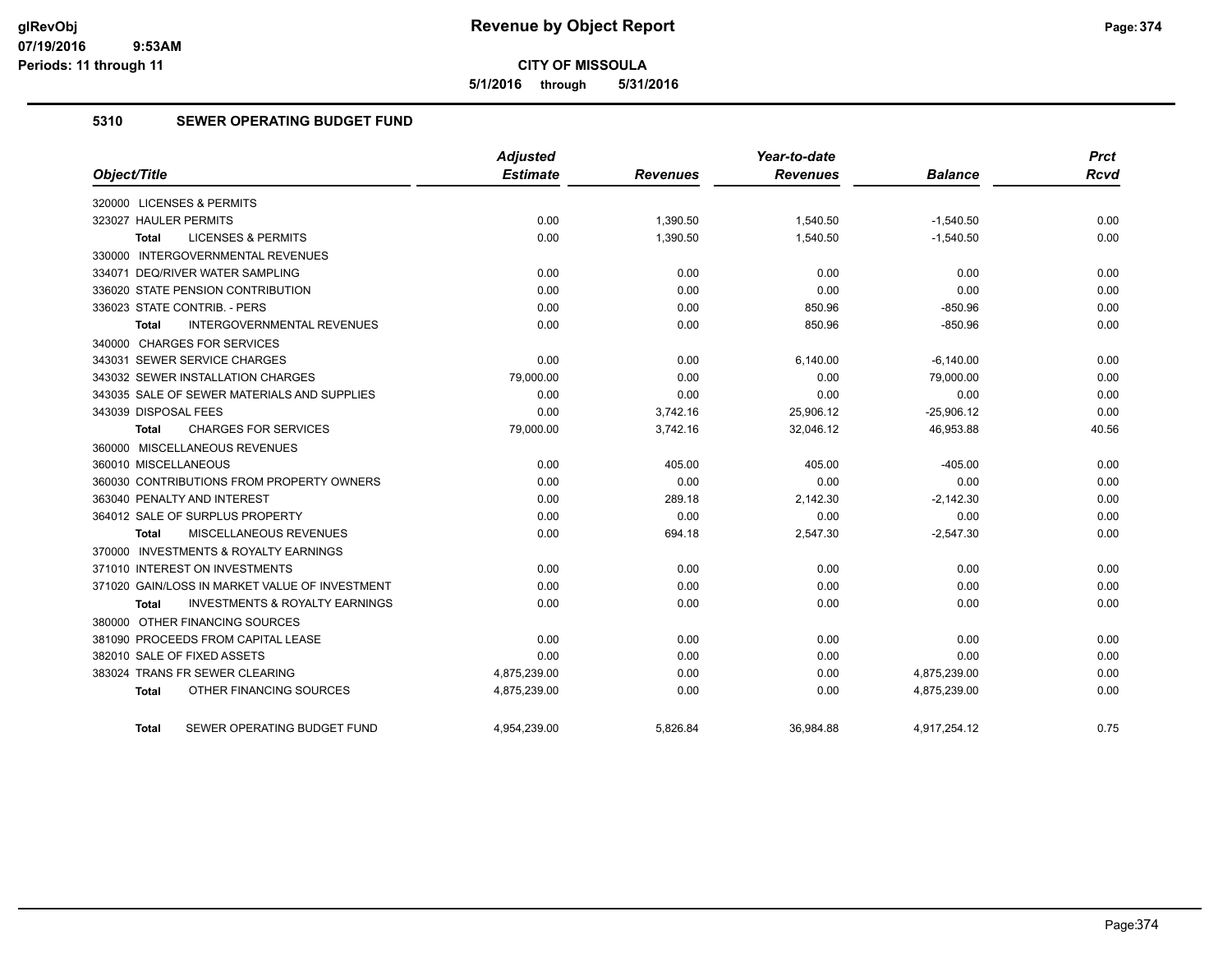**5/1/2016 through 5/31/2016**

## **5310 SEWER OPERATING BUDGET FUND**

|                                                           | Adjusted        |                 | Year-to-date    |                | <b>Prct</b> |
|-----------------------------------------------------------|-----------------|-----------------|-----------------|----------------|-------------|
| Object/Title                                              | <b>Estimate</b> | <b>Revenues</b> | <b>Revenues</b> | <b>Balance</b> | <b>Rcvd</b> |
| 320000 LICENSES & PERMITS                                 |                 |                 |                 |                |             |
| 323027 HAULER PERMITS                                     | 0.00            | 1,390.50        | 1,540.50        | $-1,540.50$    | 0.00        |
| <b>LICENSES &amp; PERMITS</b><br><b>Total</b>             | 0.00            | 1,390.50        | 1,540.50        | $-1,540.50$    | 0.00        |
| 330000 INTERGOVERNMENTAL REVENUES                         |                 |                 |                 |                |             |
| 334071 DEQ/RIVER WATER SAMPLING                           | 0.00            | 0.00            | 0.00            | 0.00           | 0.00        |
| 336020 STATE PENSION CONTRIBUTION                         | 0.00            | 0.00            | 0.00            | 0.00           | 0.00        |
| 336023 STATE CONTRIB. - PERS                              | 0.00            | 0.00            | 850.96          | $-850.96$      | 0.00        |
| <b>INTERGOVERNMENTAL REVENUES</b><br><b>Total</b>         | 0.00            | 0.00            | 850.96          | $-850.96$      | 0.00        |
| 340000 CHARGES FOR SERVICES                               |                 |                 |                 |                |             |
| 343031 SEWER SERVICE CHARGES                              | 0.00            | 0.00            | 6,140.00        | $-6,140.00$    | 0.00        |
| 343032 SEWER INSTALLATION CHARGES                         | 79,000.00       | 0.00            | 0.00            | 79,000.00      | 0.00        |
| 343035 SALE OF SEWER MATERIALS AND SUPPLIES               | 0.00            | 0.00            | 0.00            | 0.00           | 0.00        |
| 343039 DISPOSAL FEES                                      | 0.00            | 3,742.16        | 25,906.12       | $-25,906.12$   | 0.00        |
| <b>CHARGES FOR SERVICES</b><br><b>Total</b>               | 79,000.00       | 3,742.16        | 32,046.12       | 46,953.88      | 40.56       |
| 360000 MISCELLANEOUS REVENUES                             |                 |                 |                 |                |             |
| 360010 MISCELLANEOUS                                      | 0.00            | 405.00          | 405.00          | $-405.00$      | 0.00        |
| 360030 CONTRIBUTIONS FROM PROPERTY OWNERS                 | 0.00            | 0.00            | 0.00            | 0.00           | 0.00        |
| 363040 PENALTY AND INTEREST                               | 0.00            | 289.18          | 2.142.30        | $-2,142.30$    | 0.00        |
| 364012 SALE OF SURPLUS PROPERTY                           | 0.00            | 0.00            | 0.00            | 0.00           | 0.00        |
| MISCELLANEOUS REVENUES<br>Total                           | 0.00            | 694.18          | 2,547.30        | $-2,547.30$    | 0.00        |
| 370000 INVESTMENTS & ROYALTY EARNINGS                     |                 |                 |                 |                |             |
| 371010 INTEREST ON INVESTMENTS                            | 0.00            | 0.00            | 0.00            | 0.00           | 0.00        |
| 371020 GAIN/LOSS IN MARKET VALUE OF INVESTMENT            | 0.00            | 0.00            | 0.00            | 0.00           | 0.00        |
| <b>INVESTMENTS &amp; ROYALTY EARNINGS</b><br><b>Total</b> | 0.00            | 0.00            | 0.00            | 0.00           | 0.00        |
| 380000 OTHER FINANCING SOURCES                            |                 |                 |                 |                |             |
| 381090 PROCEEDS FROM CAPITAL LEASE                        | 0.00            | 0.00            | 0.00            | 0.00           | 0.00        |
| 382010 SALE OF FIXED ASSETS                               | 0.00            | 0.00            | 0.00            | 0.00           | 0.00        |
| 383024 TRANS FR SEWER CLEARING                            | 4,875,239.00    | 0.00            | 0.00            | 4,875,239.00   | 0.00        |
| OTHER FINANCING SOURCES<br>Total                          | 4,875,239.00    | 0.00            | 0.00            | 4,875,239.00   | 0.00        |
| SEWER OPERATING BUDGET FUND<br>Total                      | 4,954,239.00    | 5.826.84        | 36,984.88       | 4,917,254.12   | 0.75        |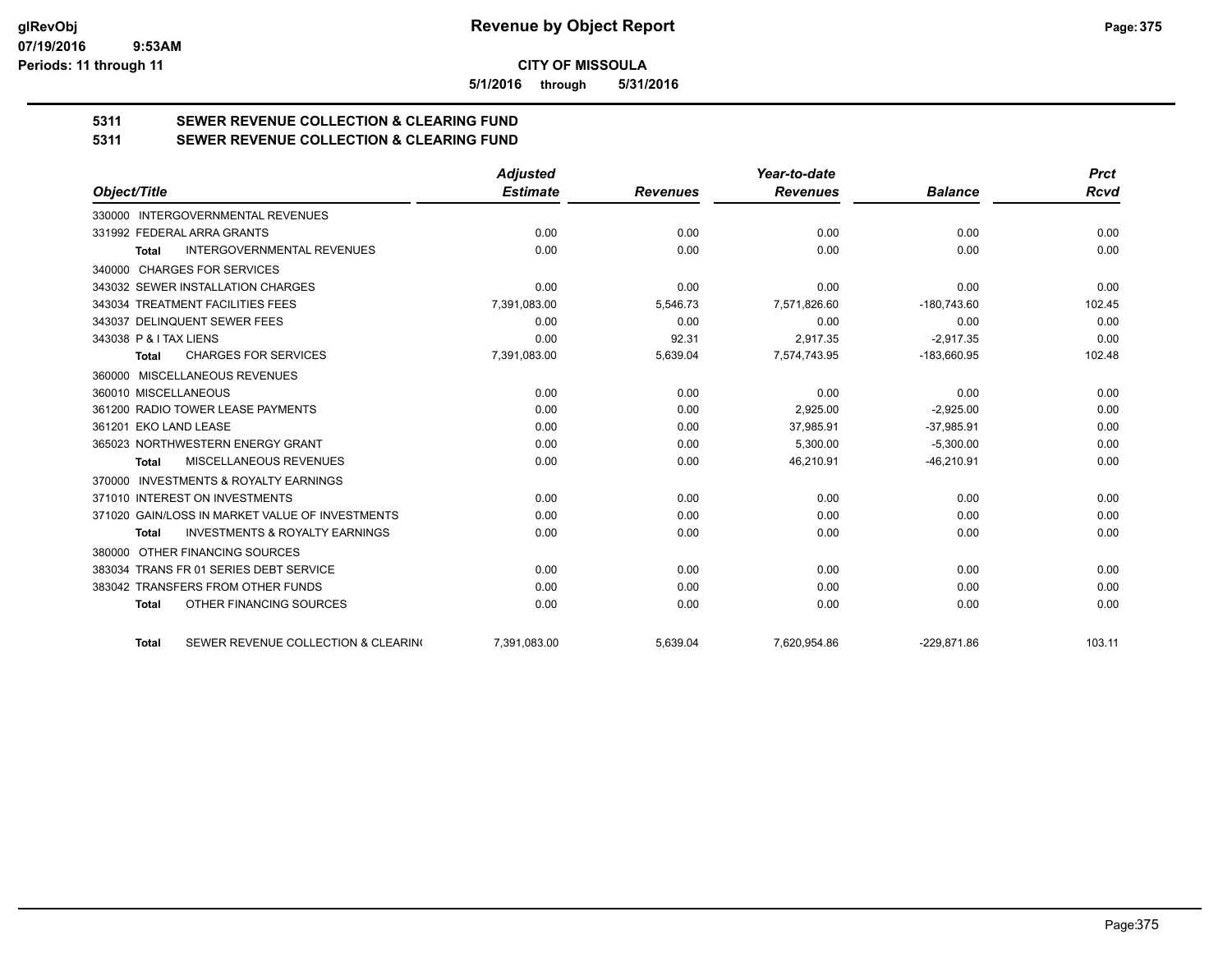**5/1/2016 through 5/31/2016**

# **5311 SEWER REVENUE COLLECTION & CLEARING FUND**

**5311 SEWER REVENUE COLLECTION & CLEARING FUND**

|                                                           | <b>Adjusted</b> |                 | Year-to-date    |                | <b>Prct</b> |
|-----------------------------------------------------------|-----------------|-----------------|-----------------|----------------|-------------|
| Object/Title                                              | <b>Estimate</b> | <b>Revenues</b> | <b>Revenues</b> | <b>Balance</b> | <b>Rcvd</b> |
| 330000 INTERGOVERNMENTAL REVENUES                         |                 |                 |                 |                |             |
| 331992 FEDERAL ARRA GRANTS                                | 0.00            | 0.00            | 0.00            | 0.00           | 0.00        |
| <b>INTERGOVERNMENTAL REVENUES</b><br><b>Total</b>         | 0.00            | 0.00            | 0.00            | 0.00           | 0.00        |
| 340000 CHARGES FOR SERVICES                               |                 |                 |                 |                |             |
| 343032 SEWER INSTALLATION CHARGES                         | 0.00            | 0.00            | 0.00            | 0.00           | 0.00        |
| 343034 TREATMENT FACILITIES FEES                          | 7,391,083.00    | 5.546.73        | 7.571.826.60    | $-180.743.60$  | 102.45      |
| 343037 DELINQUENT SEWER FEES                              | 0.00            | 0.00            | 0.00            | 0.00           | 0.00        |
| 343038 P & I TAX LIENS                                    | 0.00            | 92.31           | 2,917.35        | $-2,917.35$    | 0.00        |
| <b>CHARGES FOR SERVICES</b><br><b>Total</b>               | 7,391,083.00    | 5,639.04        | 7,574,743.95    | $-183,660.95$  | 102.48      |
| MISCELLANEOUS REVENUES<br>360000                          |                 |                 |                 |                |             |
| 360010 MISCELLANEOUS                                      | 0.00            | 0.00            | 0.00            | 0.00           | 0.00        |
| 361200 RADIO TOWER LEASE PAYMENTS                         | 0.00            | 0.00            | 2,925.00        | $-2,925.00$    | 0.00        |
| 361201 EKO LAND LEASE                                     | 0.00            | 0.00            | 37,985.91       | $-37,985.91$   | 0.00        |
| 365023 NORTHWESTERN ENERGY GRANT                          | 0.00            | 0.00            | 5,300.00        | $-5,300.00$    | 0.00        |
| MISCELLANEOUS REVENUES<br><b>Total</b>                    | 0.00            | 0.00            | 46,210.91       | $-46,210.91$   | 0.00        |
| 370000 INVESTMENTS & ROYALTY EARNINGS                     |                 |                 |                 |                |             |
| 371010 INTEREST ON INVESTMENTS                            | 0.00            | 0.00            | 0.00            | 0.00           | 0.00        |
| 371020 GAIN/LOSS IN MARKET VALUE OF INVESTMENTS           | 0.00            | 0.00            | 0.00            | 0.00           | 0.00        |
| <b>INVESTMENTS &amp; ROYALTY EARNINGS</b><br><b>Total</b> | 0.00            | 0.00            | 0.00            | 0.00           | 0.00        |
| OTHER FINANCING SOURCES<br>380000                         |                 |                 |                 |                |             |
| 383034 TRANS FR 01 SERIES DEBT SERVICE                    | 0.00            | 0.00            | 0.00            | 0.00           | 0.00        |
| 383042 TRANSFERS FROM OTHER FUNDS                         | 0.00            | 0.00            | 0.00            | 0.00           | 0.00        |
| OTHER FINANCING SOURCES<br><b>Total</b>                   | 0.00            | 0.00            | 0.00            | 0.00           | 0.00        |
| SEWER REVENUE COLLECTION & CLEARING<br><b>Total</b>       | 7,391,083.00    | 5,639.04        | 7,620,954.86    | $-229.871.86$  | 103.11      |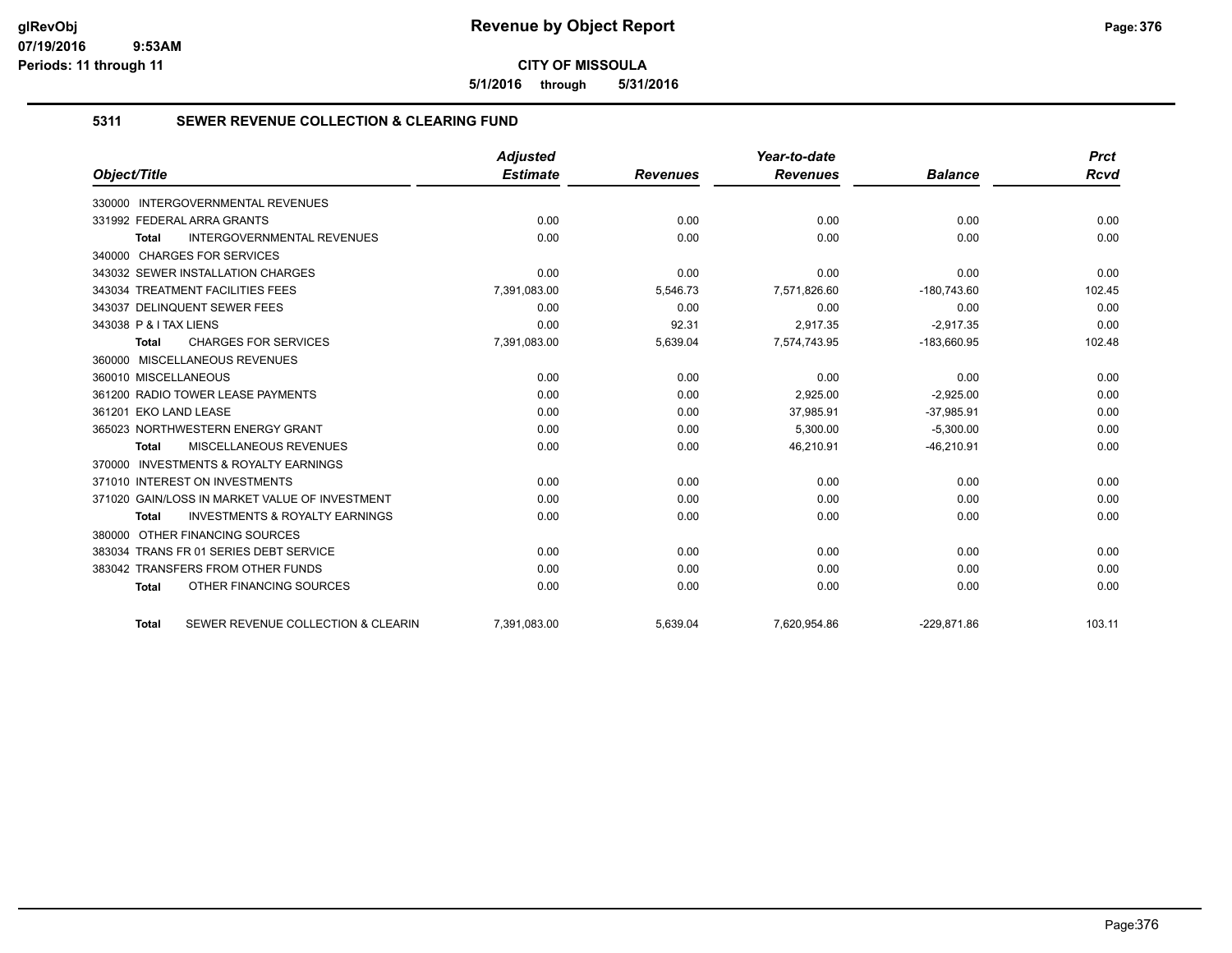**5/1/2016 through 5/31/2016**

## **5311 SEWER REVENUE COLLECTION & CLEARING FUND**

|                                                           | <b>Adjusted</b> |                 | Year-to-date    |                | <b>Prct</b> |
|-----------------------------------------------------------|-----------------|-----------------|-----------------|----------------|-------------|
| Object/Title                                              | <b>Estimate</b> | <b>Revenues</b> | <b>Revenues</b> | <b>Balance</b> | Rcvd        |
| <b>INTERGOVERNMENTAL REVENUES</b><br>330000               |                 |                 |                 |                |             |
| 331992 FEDERAL ARRA GRANTS                                | 0.00            | 0.00            | 0.00            | 0.00           | 0.00        |
| <b>INTERGOVERNMENTAL REVENUES</b><br><b>Total</b>         | 0.00            | 0.00            | 0.00            | 0.00           | 0.00        |
| 340000 CHARGES FOR SERVICES                               |                 |                 |                 |                |             |
| 343032 SEWER INSTALLATION CHARGES                         | 0.00            | 0.00            | 0.00            | 0.00           | 0.00        |
| 343034 TREATMENT FACILITIES FEES                          | 7,391,083.00    | 5,546.73        | 7,571,826.60    | $-180,743.60$  | 102.45      |
| 343037 DELINQUENT SEWER FEES                              | 0.00            | 0.00            | 0.00            | 0.00           | 0.00        |
| 343038 P & I TAX LIENS                                    | 0.00            | 92.31           | 2,917.35        | $-2,917.35$    | 0.00        |
| <b>CHARGES FOR SERVICES</b><br><b>Total</b>               | 7,391,083.00    | 5,639.04        | 7,574,743.95    | $-183,660.95$  | 102.48      |
| 360000 MISCELLANEOUS REVENUES                             |                 |                 |                 |                |             |
| 360010 MISCELLANEOUS                                      | 0.00            | 0.00            | 0.00            | 0.00           | 0.00        |
| 361200 RADIO TOWER LEASE PAYMENTS                         | 0.00            | 0.00            | 2,925.00        | $-2,925.00$    | 0.00        |
| 361201 EKO LAND LEASE                                     | 0.00            | 0.00            | 37,985.91       | $-37,985.91$   | 0.00        |
| 365023 NORTHWESTERN ENERGY GRANT                          | 0.00            | 0.00            | 5.300.00        | $-5,300.00$    | 0.00        |
| MISCELLANEOUS REVENUES<br><b>Total</b>                    | 0.00            | 0.00            | 46,210.91       | $-46,210.91$   | 0.00        |
| <b>INVESTMENTS &amp; ROYALTY EARNINGS</b><br>370000       |                 |                 |                 |                |             |
| 371010 INTEREST ON INVESTMENTS                            | 0.00            | 0.00            | 0.00            | 0.00           | 0.00        |
| 371020 GAIN/LOSS IN MARKET VALUE OF INVESTMENT            | 0.00            | 0.00            | 0.00            | 0.00           | 0.00        |
| <b>INVESTMENTS &amp; ROYALTY EARNINGS</b><br><b>Total</b> | 0.00            | 0.00            | 0.00            | 0.00           | 0.00        |
| OTHER FINANCING SOURCES<br>380000                         |                 |                 |                 |                |             |
| 383034 TRANS FR 01 SERIES DEBT SERVICE                    | 0.00            | 0.00            | 0.00            | 0.00           | 0.00        |
| 383042 TRANSFERS FROM OTHER FUNDS                         | 0.00            | 0.00            | 0.00            | 0.00           | 0.00        |
| OTHER FINANCING SOURCES<br><b>Total</b>                   | 0.00            | 0.00            | 0.00            | 0.00           | 0.00        |
| SEWER REVENUE COLLECTION & CLEARIN<br><b>Total</b>        | 7,391,083.00    | 5,639.04        | 7,620,954.86    | $-229,871.86$  | 103.11      |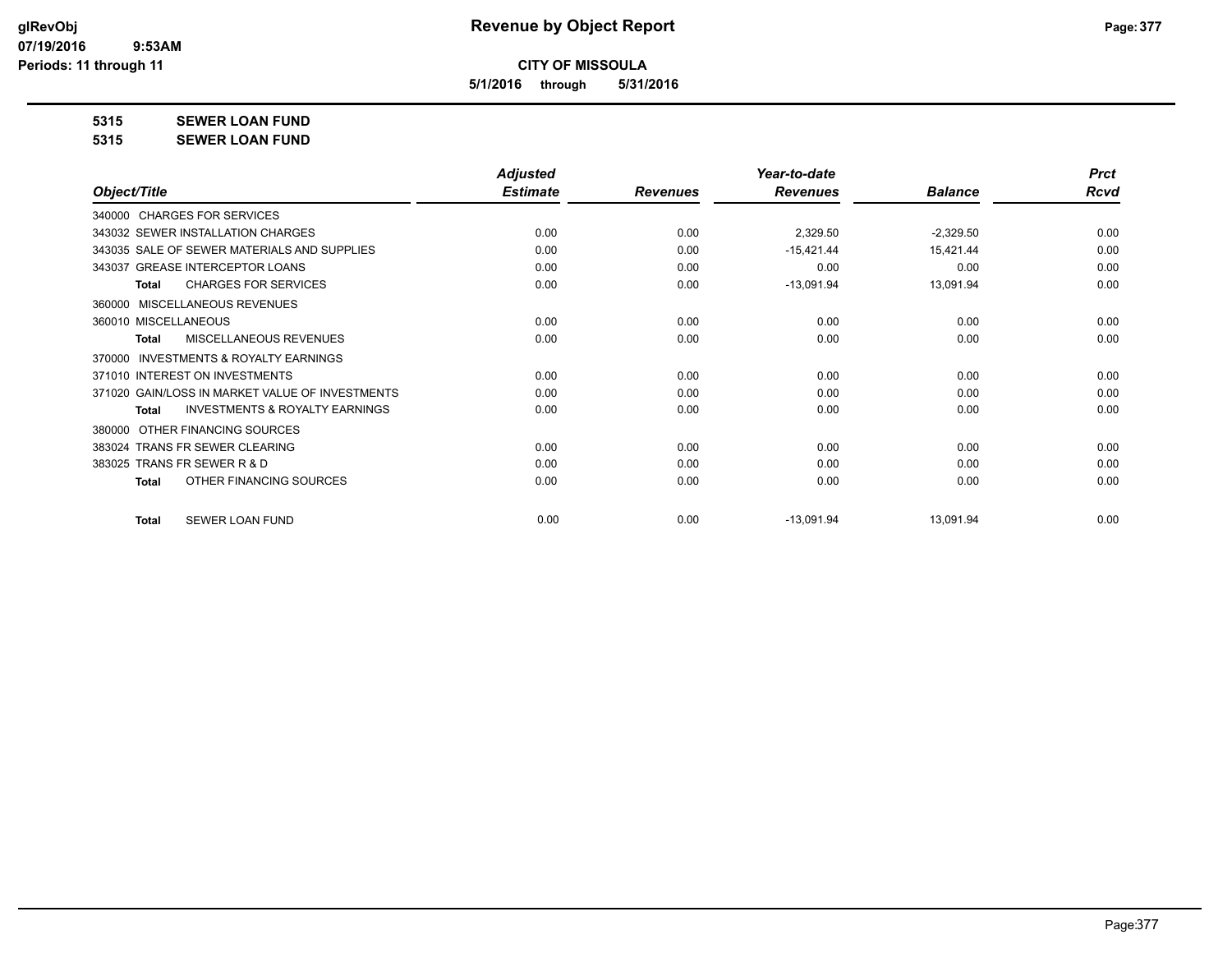**5/1/2016 through 5/31/2016**

**5315 SEWER LOAN FUND**

**5315 SEWER LOAN FUND**

|                                                           | <b>Adjusted</b> |                 | Year-to-date    |                | <b>Prct</b> |
|-----------------------------------------------------------|-----------------|-----------------|-----------------|----------------|-------------|
| Object/Title                                              | <b>Estimate</b> | <b>Revenues</b> | <b>Revenues</b> | <b>Balance</b> | <b>Rcvd</b> |
| 340000 CHARGES FOR SERVICES                               |                 |                 |                 |                |             |
| 343032 SEWER INSTALLATION CHARGES                         | 0.00            | 0.00            | 2,329.50        | $-2,329.50$    | 0.00        |
| 343035 SALE OF SEWER MATERIALS AND SUPPLIES               | 0.00            | 0.00            | $-15,421.44$    | 15,421.44      | 0.00        |
| 343037 GREASE INTERCEPTOR LOANS                           | 0.00            | 0.00            | 0.00            | 0.00           | 0.00        |
| <b>CHARGES FOR SERVICES</b><br><b>Total</b>               | 0.00            | 0.00            | $-13,091.94$    | 13,091.94      | 0.00        |
| MISCELLANEOUS REVENUES<br>360000                          |                 |                 |                 |                |             |
| 360010 MISCELLANEOUS                                      | 0.00            | 0.00            | 0.00            | 0.00           | 0.00        |
| MISCELLANEOUS REVENUES<br><b>Total</b>                    | 0.00            | 0.00            | 0.00            | 0.00           | 0.00        |
| <b>INVESTMENTS &amp; ROYALTY EARNINGS</b><br>370000       |                 |                 |                 |                |             |
| 371010 INTEREST ON INVESTMENTS                            | 0.00            | 0.00            | 0.00            | 0.00           | 0.00        |
| 371020 GAIN/LOSS IN MARKET VALUE OF INVESTMENTS           | 0.00            | 0.00            | 0.00            | 0.00           | 0.00        |
| <b>INVESTMENTS &amp; ROYALTY EARNINGS</b><br><b>Total</b> | 0.00            | 0.00            | 0.00            | 0.00           | 0.00        |
| OTHER FINANCING SOURCES<br>380000                         |                 |                 |                 |                |             |
| 383024 TRANS FR SEWER CLEARING                            | 0.00            | 0.00            | 0.00            | 0.00           | 0.00        |
| 383025 TRANS FR SEWER R & D                               | 0.00            | 0.00            | 0.00            | 0.00           | 0.00        |
| OTHER FINANCING SOURCES<br><b>Total</b>                   | 0.00            | 0.00            | 0.00            | 0.00           | 0.00        |
|                                                           |                 |                 |                 |                |             |
| <b>SEWER LOAN FUND</b><br><b>Total</b>                    | 0.00            | 0.00            | $-13,091.94$    | 13,091.94      | 0.00        |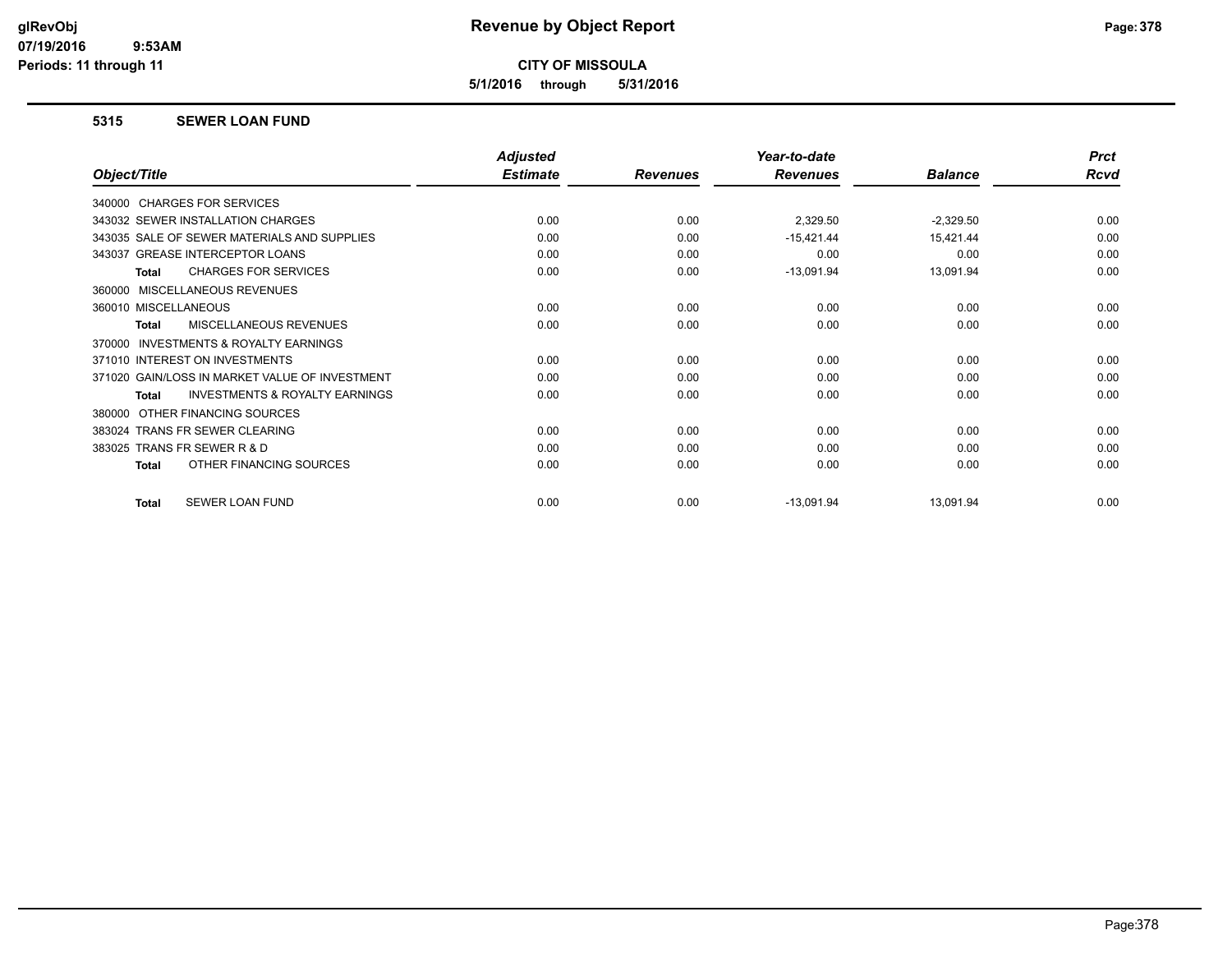**5/1/2016 through 5/31/2016**

### **5315 SEWER LOAN FUND**

|                                                    | <b>Adjusted</b> |                 | Year-to-date    |                | <b>Prct</b> |
|----------------------------------------------------|-----------------|-----------------|-----------------|----------------|-------------|
| Object/Title                                       | <b>Estimate</b> | <b>Revenues</b> | <b>Revenues</b> | <b>Balance</b> | <b>Rcvd</b> |
| 340000 CHARGES FOR SERVICES                        |                 |                 |                 |                |             |
| 343032 SEWER INSTALLATION CHARGES                  | 0.00            | 0.00            | 2,329.50        | $-2,329.50$    | 0.00        |
| 343035 SALE OF SEWER MATERIALS AND SUPPLIES        | 0.00            | 0.00            | $-15,421.44$    | 15,421.44      | 0.00        |
| 343037 GREASE INTERCEPTOR LOANS                    | 0.00            | 0.00            | 0.00            | 0.00           | 0.00        |
| <b>CHARGES FOR SERVICES</b><br><b>Total</b>        | 0.00            | 0.00            | $-13,091.94$    | 13,091.94      | 0.00        |
| 360000 MISCELLANEOUS REVENUES                      |                 |                 |                 |                |             |
| 360010 MISCELLANEOUS                               | 0.00            | 0.00            | 0.00            | 0.00           | 0.00        |
| MISCELLANEOUS REVENUES<br><b>Total</b>             | 0.00            | 0.00            | 0.00            | 0.00           | 0.00        |
| INVESTMENTS & ROYALTY EARNINGS<br>370000           |                 |                 |                 |                |             |
| 371010 INTEREST ON INVESTMENTS                     | 0.00            | 0.00            | 0.00            | 0.00           | 0.00        |
| 371020 GAIN/LOSS IN MARKET VALUE OF INVESTMENT     | 0.00            | 0.00            | 0.00            | 0.00           | 0.00        |
| <b>INVESTMENTS &amp; ROYALTY EARNINGS</b><br>Total | 0.00            | 0.00            | 0.00            | 0.00           | 0.00        |
| OTHER FINANCING SOURCES<br>380000                  |                 |                 |                 |                |             |
| 383024 TRANS FR SEWER CLEARING                     | 0.00            | 0.00            | 0.00            | 0.00           | 0.00        |
| 383025 TRANS FR SEWER R & D                        | 0.00            | 0.00            | 0.00            | 0.00           | 0.00        |
| OTHER FINANCING SOURCES<br><b>Total</b>            | 0.00            | 0.00            | 0.00            | 0.00           | 0.00        |
| SEWER LOAN FUND<br><b>Total</b>                    | 0.00            | 0.00            | $-13,091.94$    | 13,091.94      | 0.00        |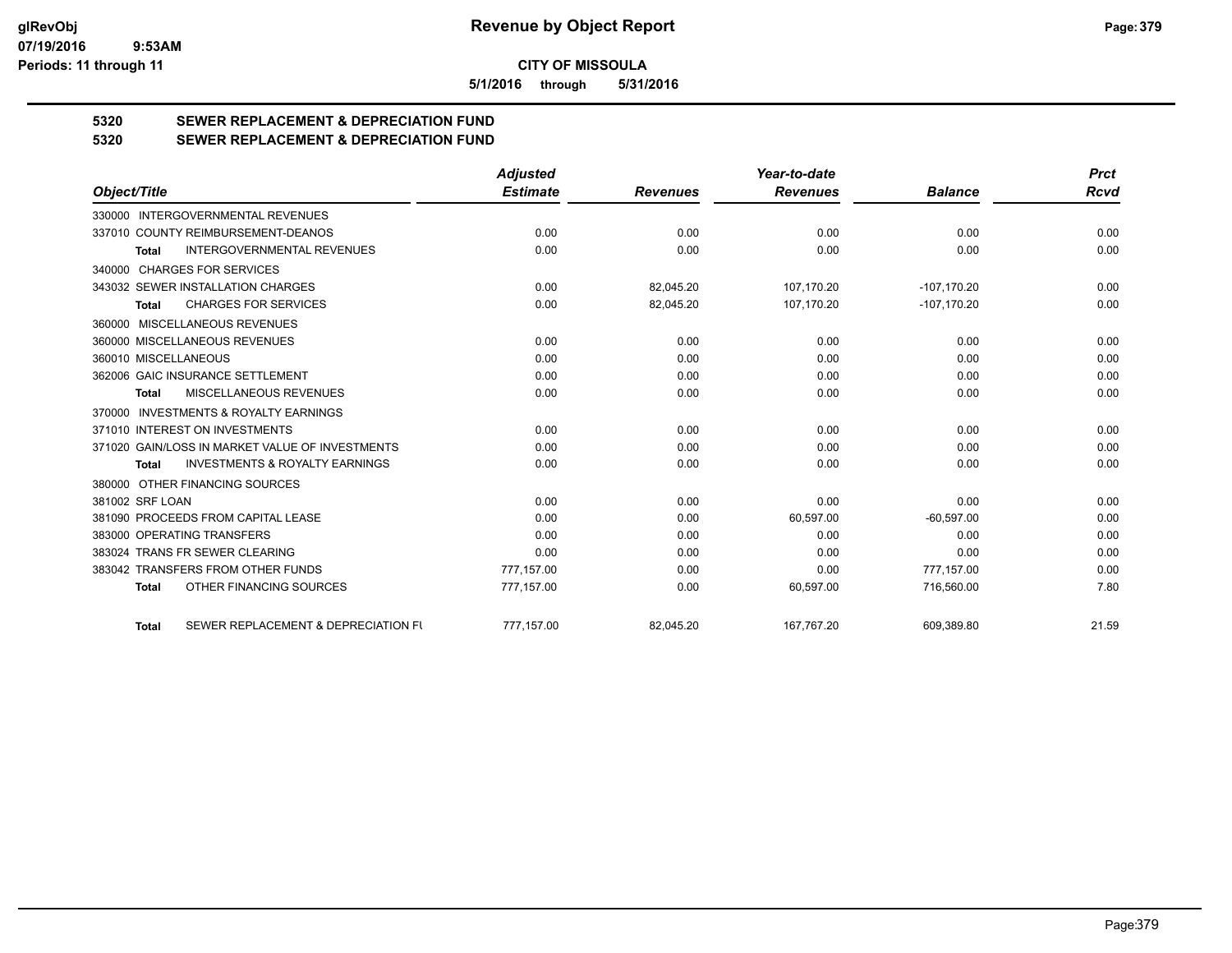**5/1/2016 through 5/31/2016**

# **5320 SEWER REPLACEMENT & DEPRECIATION FUND**

**5320 SEWER REPLACEMENT & DEPRECIATION FUND**

|                                                           | <b>Adjusted</b> |                 | Year-to-date    |                | <b>Prct</b> |
|-----------------------------------------------------------|-----------------|-----------------|-----------------|----------------|-------------|
| Object/Title                                              | <b>Estimate</b> | <b>Revenues</b> | <b>Revenues</b> | <b>Balance</b> | Rcvd        |
| 330000 INTERGOVERNMENTAL REVENUES                         |                 |                 |                 |                |             |
| 337010 COUNTY REIMBURSEMENT-DEANOS                        | 0.00            | 0.00            | 0.00            | 0.00           | 0.00        |
| <b>INTERGOVERNMENTAL REVENUES</b><br><b>Total</b>         | 0.00            | 0.00            | 0.00            | 0.00           | 0.00        |
| 340000 CHARGES FOR SERVICES                               |                 |                 |                 |                |             |
| 343032 SEWER INSTALLATION CHARGES                         | 0.00            | 82,045.20       | 107,170.20      | $-107,170.20$  | 0.00        |
| <b>CHARGES FOR SERVICES</b><br>Total                      | 0.00            | 82,045.20       | 107,170.20      | $-107, 170.20$ | 0.00        |
| 360000 MISCELLANEOUS REVENUES                             |                 |                 |                 |                |             |
| 360000 MISCELLANEOUS REVENUES                             | 0.00            | 0.00            | 0.00            | 0.00           | 0.00        |
| 360010 MISCELLANEOUS                                      | 0.00            | 0.00            | 0.00            | 0.00           | 0.00        |
| 362006 GAIC INSURANCE SETTLEMENT                          | 0.00            | 0.00            | 0.00            | 0.00           | 0.00        |
| MISCELLANEOUS REVENUES<br><b>Total</b>                    | 0.00            | 0.00            | 0.00            | 0.00           | 0.00        |
| 370000 INVESTMENTS & ROYALTY EARNINGS                     |                 |                 |                 |                |             |
| 371010 INTEREST ON INVESTMENTS                            | 0.00            | 0.00            | 0.00            | 0.00           | 0.00        |
| 371020 GAIN/LOSS IN MARKET VALUE OF INVESTMENTS           | 0.00            | 0.00            | 0.00            | 0.00           | 0.00        |
| <b>INVESTMENTS &amp; ROYALTY EARNINGS</b><br><b>Total</b> | 0.00            | 0.00            | 0.00            | 0.00           | 0.00        |
| 380000 OTHER FINANCING SOURCES                            |                 |                 |                 |                |             |
| 381002 SRF LOAN                                           | 0.00            | 0.00            | 0.00            | 0.00           | 0.00        |
| 381090 PROCEEDS FROM CAPITAL LEASE                        | 0.00            | 0.00            | 60,597.00       | $-60,597.00$   | 0.00        |
| 383000 OPERATING TRANSFERS                                | 0.00            | 0.00            | 0.00            | 0.00           | 0.00        |
| 383024 TRANS FR SEWER CLEARING                            | 0.00            | 0.00            | 0.00            | 0.00           | 0.00        |
| 383042 TRANSFERS FROM OTHER FUNDS                         | 777.157.00      | 0.00            | 0.00            | 777,157.00     | 0.00        |
| OTHER FINANCING SOURCES<br><b>Total</b>                   | 777,157.00      | 0.00            | 60,597.00       | 716,560.00     | 7.80        |
| SEWER REPLACEMENT & DEPRECIATION FU<br><b>Total</b>       | 777,157.00      | 82,045.20       | 167,767.20      | 609,389.80     | 21.59       |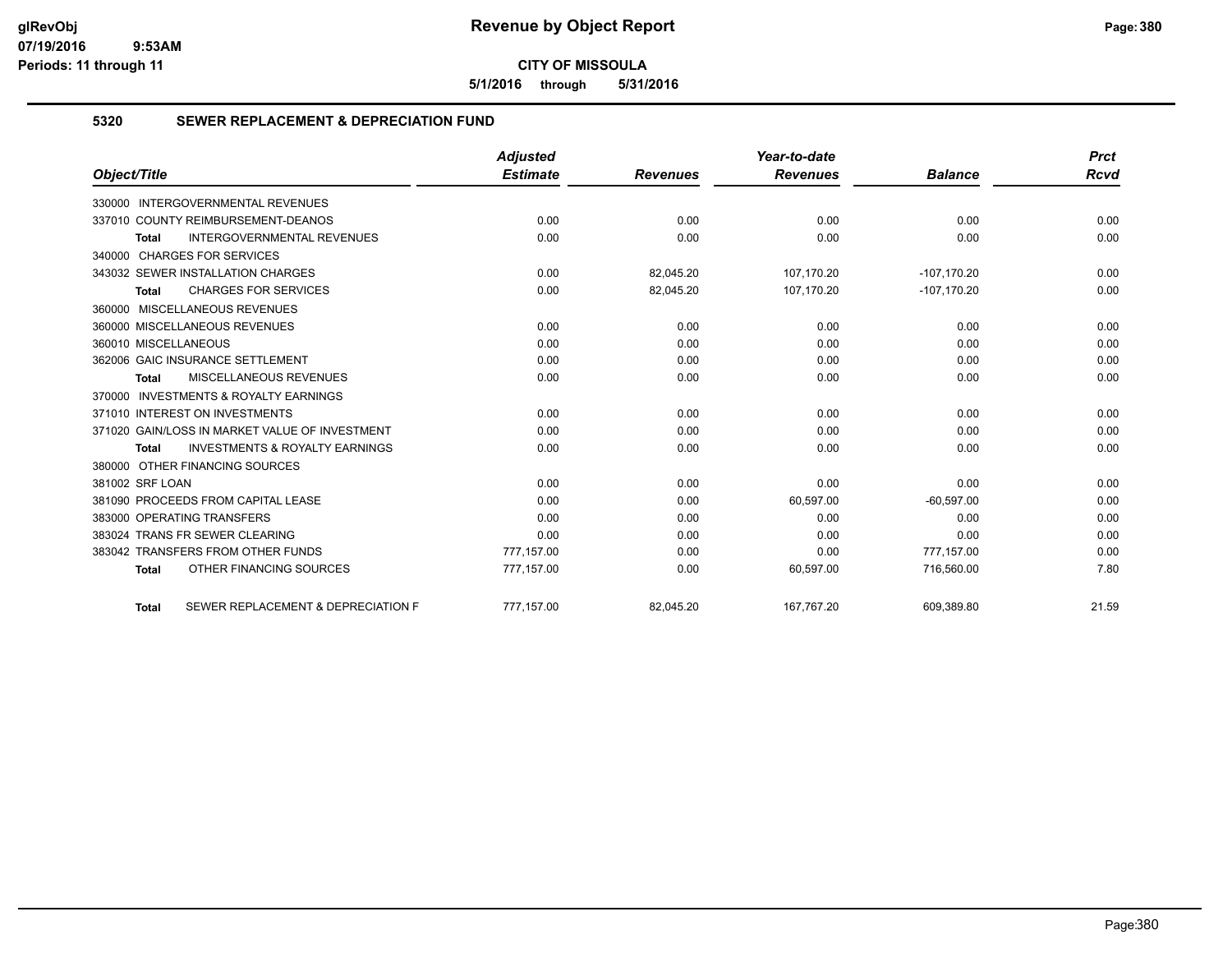**5/1/2016 through 5/31/2016**

## **5320 SEWER REPLACEMENT & DEPRECIATION FUND**

|                                                           | <b>Adjusted</b> |                 | Year-to-date    |                | <b>Prct</b> |
|-----------------------------------------------------------|-----------------|-----------------|-----------------|----------------|-------------|
| Object/Title                                              | <b>Estimate</b> | <b>Revenues</b> | <b>Revenues</b> | <b>Balance</b> | <b>Rcvd</b> |
| 330000 INTERGOVERNMENTAL REVENUES                         |                 |                 |                 |                |             |
| 337010 COUNTY REIMBURSEMENT-DEANOS                        | 0.00            | 0.00            | 0.00            | 0.00           | 0.00        |
| <b>INTERGOVERNMENTAL REVENUES</b><br><b>Total</b>         | 0.00            | 0.00            | 0.00            | 0.00           | 0.00        |
| 340000 CHARGES FOR SERVICES                               |                 |                 |                 |                |             |
| 343032 SEWER INSTALLATION CHARGES                         | 0.00            | 82.045.20       | 107,170.20      | $-107, 170.20$ | 0.00        |
| <b>CHARGES FOR SERVICES</b><br>Total                      | 0.00            | 82,045.20       | 107,170.20      | $-107,170.20$  | 0.00        |
| 360000 MISCELLANEOUS REVENUES                             |                 |                 |                 |                |             |
| 360000 MISCELLANEOUS REVENUES                             | 0.00            | 0.00            | 0.00            | 0.00           | 0.00        |
| 360010 MISCELLANEOUS                                      | 0.00            | 0.00            | 0.00            | 0.00           | 0.00        |
| 362006 GAIC INSURANCE SETTLEMENT                          | 0.00            | 0.00            | 0.00            | 0.00           | 0.00        |
| <b>MISCELLANEOUS REVENUES</b><br><b>Total</b>             | 0.00            | 0.00            | 0.00            | 0.00           | 0.00        |
| 370000 INVESTMENTS & ROYALTY EARNINGS                     |                 |                 |                 |                |             |
| 371010 INTEREST ON INVESTMENTS                            | 0.00            | 0.00            | 0.00            | 0.00           | 0.00        |
| 371020 GAIN/LOSS IN MARKET VALUE OF INVESTMENT            | 0.00            | 0.00            | 0.00            | 0.00           | 0.00        |
| <b>INVESTMENTS &amp; ROYALTY EARNINGS</b><br><b>Total</b> | 0.00            | 0.00            | 0.00            | 0.00           | 0.00        |
| 380000 OTHER FINANCING SOURCES                            |                 |                 |                 |                |             |
| 381002 SRF LOAN                                           | 0.00            | 0.00            | 0.00            | 0.00           | 0.00        |
| 381090 PROCEEDS FROM CAPITAL LEASE                        | 0.00            | 0.00            | 60,597.00       | $-60,597.00$   | 0.00        |
| 383000 OPERATING TRANSFERS                                | 0.00            | 0.00            | 0.00            | 0.00           | 0.00        |
| 383024 TRANS FR SEWER CLEARING                            | 0.00            | 0.00            | 0.00            | 0.00           | 0.00        |
| 383042 TRANSFERS FROM OTHER FUNDS                         | 777,157.00      | 0.00            | 0.00            | 777,157.00     | 0.00        |
| OTHER FINANCING SOURCES<br><b>Total</b>                   | 777,157.00      | 0.00            | 60,597.00       | 716,560.00     | 7.80        |
| SEWER REPLACEMENT & DEPRECIATION F<br><b>Total</b>        | 777.157.00      | 82.045.20       | 167.767.20      | 609.389.80     | 21.59       |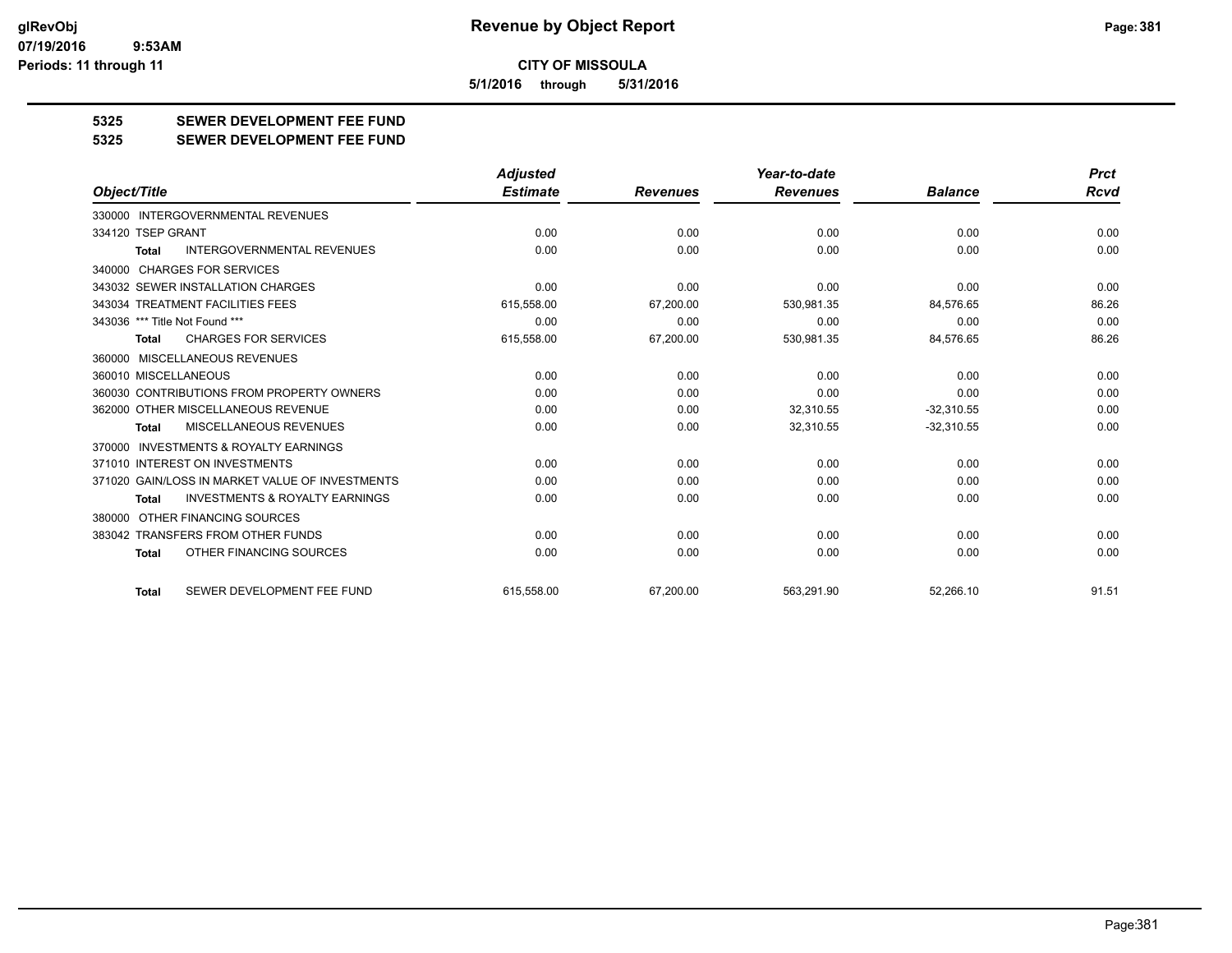**5/1/2016 through 5/31/2016**

## **5325 SEWER DEVELOPMENT FEE FUND**

**5325 SEWER DEVELOPMENT FEE FUND**

|                                                    | <b>Adjusted</b> |                 | Year-to-date    |                | <b>Prct</b> |
|----------------------------------------------------|-----------------|-----------------|-----------------|----------------|-------------|
| Object/Title                                       | <b>Estimate</b> | <b>Revenues</b> | <b>Revenues</b> | <b>Balance</b> | <b>Rcvd</b> |
| 330000 INTERGOVERNMENTAL REVENUES                  |                 |                 |                 |                |             |
| 334120 TSEP GRANT                                  | 0.00            | 0.00            | 0.00            | 0.00           | 0.00        |
| <b>INTERGOVERNMENTAL REVENUES</b><br><b>Total</b>  | 0.00            | 0.00            | 0.00            | 0.00           | 0.00        |
| 340000 CHARGES FOR SERVICES                        |                 |                 |                 |                |             |
| 343032 SEWER INSTALLATION CHARGES                  | 0.00            | 0.00            | 0.00            | 0.00           | 0.00        |
| 343034 TREATMENT FACILITIES FEES                   | 615,558.00      | 67,200.00       | 530,981.35      | 84,576.65      | 86.26       |
| 343036 *** Title Not Found ***                     | 0.00            | 0.00            | 0.00            | 0.00           | 0.00        |
| <b>CHARGES FOR SERVICES</b><br>Total               | 615,558.00      | 67,200.00       | 530,981.35      | 84,576.65      | 86.26       |
| 360000 MISCELLANEOUS REVENUES                      |                 |                 |                 |                |             |
| 360010 MISCELLANEOUS                               | 0.00            | 0.00            | 0.00            | 0.00           | 0.00        |
| 360030 CONTRIBUTIONS FROM PROPERTY OWNERS          | 0.00            | 0.00            | 0.00            | 0.00           | 0.00        |
| 362000 OTHER MISCELLANEOUS REVENUE                 | 0.00            | 0.00            | 32,310.55       | $-32,310.55$   | 0.00        |
| MISCELLANEOUS REVENUES<br><b>Total</b>             | 0.00            | 0.00            | 32,310.55       | $-32,310.55$   | 0.00        |
| INVESTMENTS & ROYALTY EARNINGS<br>370000           |                 |                 |                 |                |             |
| 371010 INTEREST ON INVESTMENTS                     | 0.00            | 0.00            | 0.00            | 0.00           | 0.00        |
| 371020 GAIN/LOSS IN MARKET VALUE OF INVESTMENTS    | 0.00            | 0.00            | 0.00            | 0.00           | 0.00        |
| <b>INVESTMENTS &amp; ROYALTY EARNINGS</b><br>Total | 0.00            | 0.00            | 0.00            | 0.00           | 0.00        |
| 380000 OTHER FINANCING SOURCES                     |                 |                 |                 |                |             |
| 383042 TRANSFERS FROM OTHER FUNDS                  | 0.00            | 0.00            | 0.00            | 0.00           | 0.00        |
| OTHER FINANCING SOURCES<br>Total                   | 0.00            | 0.00            | 0.00            | 0.00           | 0.00        |
| SEWER DEVELOPMENT FEE FUND<br><b>Total</b>         | 615.558.00      | 67.200.00       | 563.291.90      | 52.266.10      | 91.51       |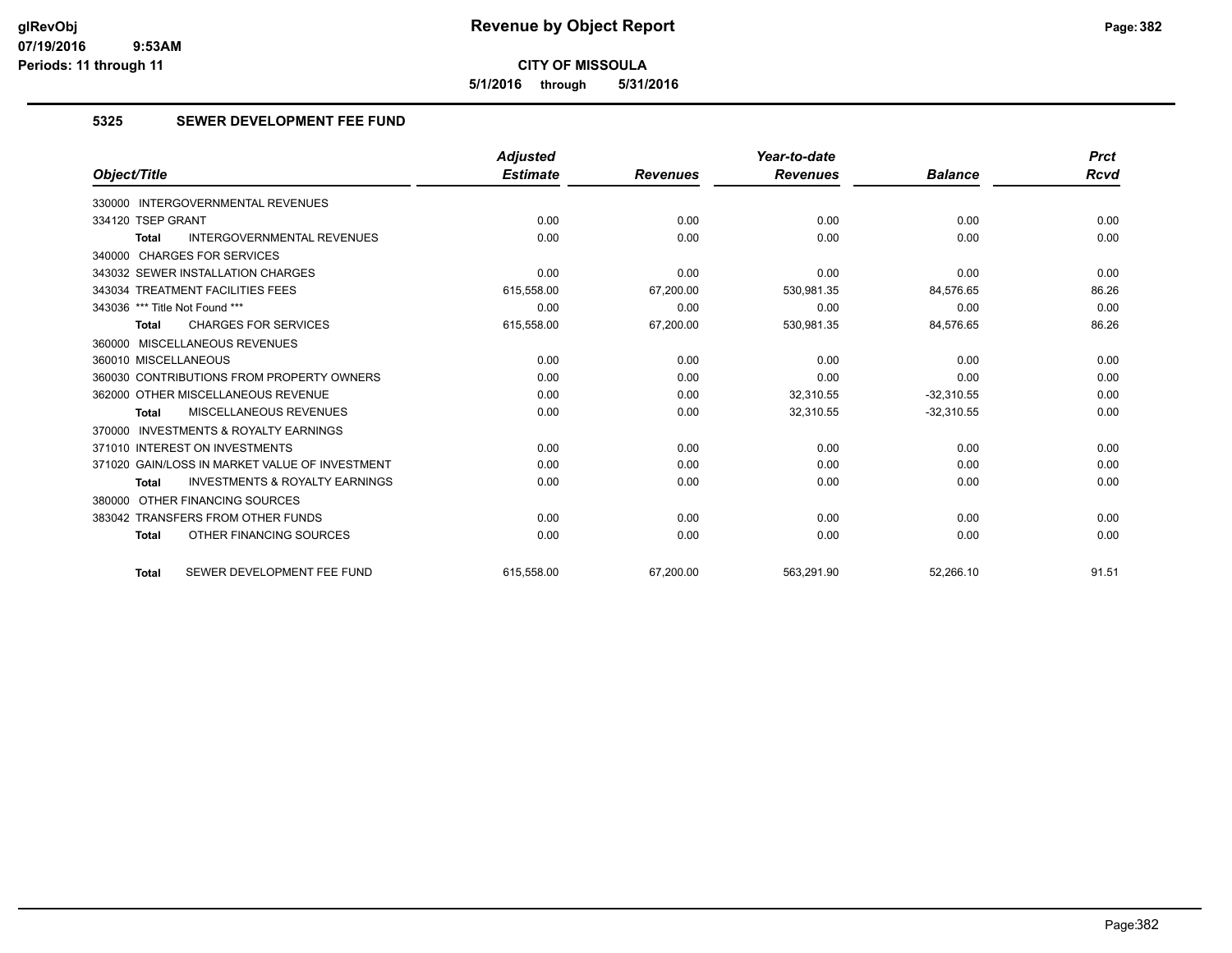**5/1/2016 through 5/31/2016**

## **5325 SEWER DEVELOPMENT FEE FUND**

|                                                           | <b>Adjusted</b> |                 | Year-to-date    |                | <b>Prct</b> |
|-----------------------------------------------------------|-----------------|-----------------|-----------------|----------------|-------------|
| Object/Title                                              | <b>Estimate</b> | <b>Revenues</b> | <b>Revenues</b> | <b>Balance</b> | <b>Rcvd</b> |
| 330000 INTERGOVERNMENTAL REVENUES                         |                 |                 |                 |                |             |
| 334120 TSEP GRANT                                         | 0.00            | 0.00            | 0.00            | 0.00           | 0.00        |
| <b>INTERGOVERNMENTAL REVENUES</b><br><b>Total</b>         | 0.00            | 0.00            | 0.00            | 0.00           | 0.00        |
| 340000 CHARGES FOR SERVICES                               |                 |                 |                 |                |             |
| 343032 SEWER INSTALLATION CHARGES                         | 0.00            | 0.00            | 0.00            | 0.00           | 0.00        |
| 343034 TREATMENT FACILITIES FEES                          | 615,558.00      | 67,200.00       | 530,981.35      | 84,576.65      | 86.26       |
| 343036 *** Title Not Found ***                            | 0.00            | 0.00            | 0.00            | 0.00           | 0.00        |
| <b>CHARGES FOR SERVICES</b><br><b>Total</b>               | 615,558.00      | 67,200.00       | 530,981.35      | 84,576.65      | 86.26       |
| 360000 MISCELLANEOUS REVENUES                             |                 |                 |                 |                |             |
| 360010 MISCELLANEOUS                                      | 0.00            | 0.00            | 0.00            | 0.00           | 0.00        |
| 360030 CONTRIBUTIONS FROM PROPERTY OWNERS                 | 0.00            | 0.00            | 0.00            | 0.00           | 0.00        |
| 362000 OTHER MISCELLANEOUS REVENUE                        | 0.00            | 0.00            | 32.310.55       | $-32.310.55$   | 0.00        |
| <b>MISCELLANEOUS REVENUES</b><br><b>Total</b>             | 0.00            | 0.00            | 32,310.55       | $-32,310.55$   | 0.00        |
| 370000 INVESTMENTS & ROYALTY EARNINGS                     |                 |                 |                 |                |             |
| 371010 INTEREST ON INVESTMENTS                            | 0.00            | 0.00            | 0.00            | 0.00           | 0.00        |
| 371020 GAIN/LOSS IN MARKET VALUE OF INVESTMENT            | 0.00            | 0.00            | 0.00            | 0.00           | 0.00        |
| <b>INVESTMENTS &amp; ROYALTY EARNINGS</b><br><b>Total</b> | 0.00            | 0.00            | 0.00            | 0.00           | 0.00        |
| 380000 OTHER FINANCING SOURCES                            |                 |                 |                 |                |             |
| 383042 TRANSFERS FROM OTHER FUNDS                         | 0.00            | 0.00            | 0.00            | 0.00           | 0.00        |
| OTHER FINANCING SOURCES<br><b>Total</b>                   | 0.00            | 0.00            | 0.00            | 0.00           | 0.00        |
| SEWER DEVELOPMENT FEE FUND<br><b>Total</b>                | 615.558.00      | 67.200.00       | 563,291.90      | 52,266.10      | 91.51       |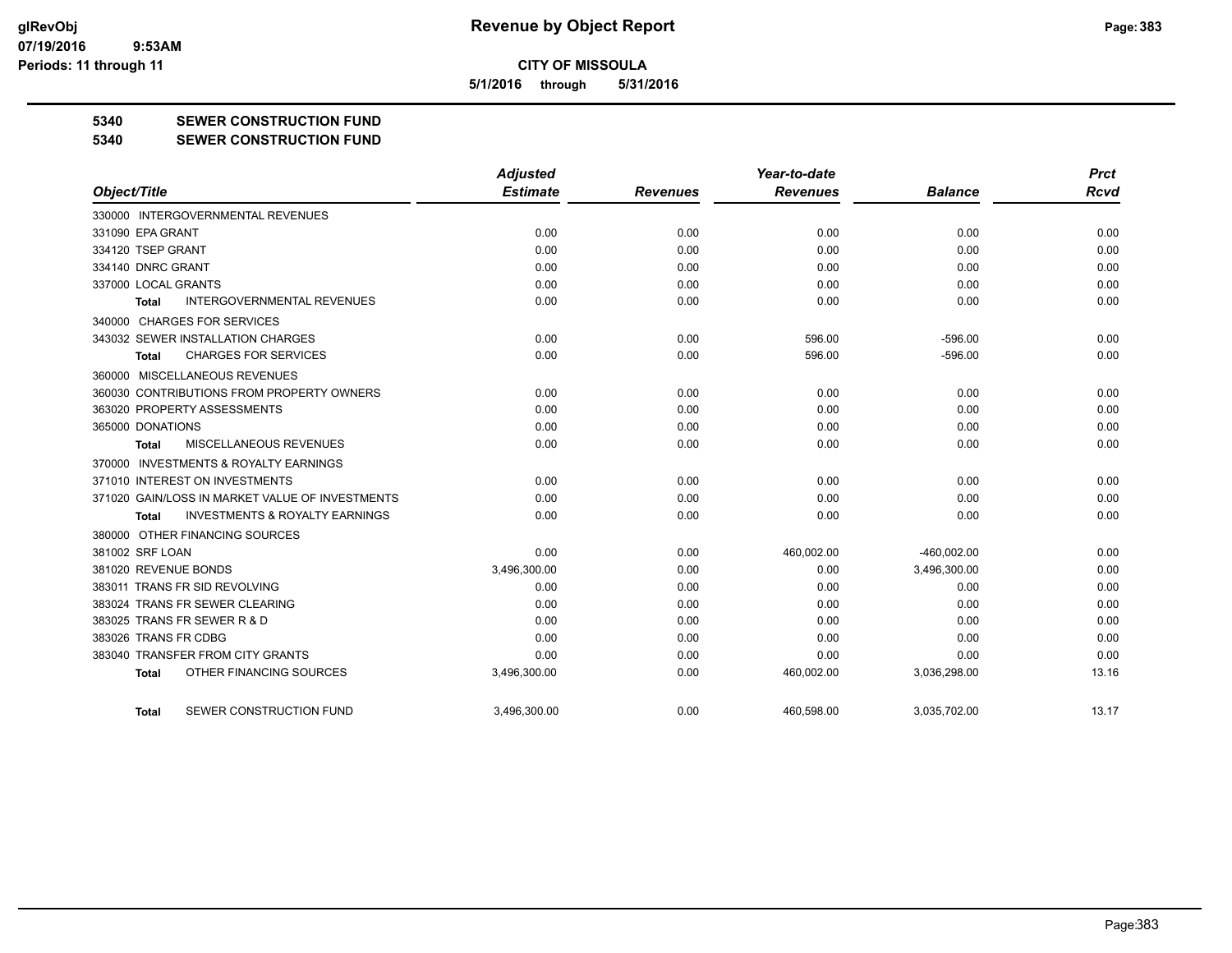**5/1/2016 through 5/31/2016**

## **5340 SEWER CONSTRUCTION FUND**

**5340 SEWER CONSTRUCTION FUND**

|                                                     | <b>Adjusted</b> |                 | Year-to-date    |                | <b>Prct</b> |
|-----------------------------------------------------|-----------------|-----------------|-----------------|----------------|-------------|
| Object/Title                                        | <b>Estimate</b> | <b>Revenues</b> | <b>Revenues</b> | <b>Balance</b> | <b>Rcvd</b> |
| 330000 INTERGOVERNMENTAL REVENUES                   |                 |                 |                 |                |             |
| 331090 EPA GRANT                                    | 0.00            | 0.00            | 0.00            | 0.00           | 0.00        |
| 334120 TSEP GRANT                                   | 0.00            | 0.00            | 0.00            | 0.00           | 0.00        |
| 334140 DNRC GRANT                                   | 0.00            | 0.00            | 0.00            | 0.00           | 0.00        |
| 337000 LOCAL GRANTS                                 | 0.00            | 0.00            | 0.00            | 0.00           | 0.00        |
| <b>INTERGOVERNMENTAL REVENUES</b><br><b>Total</b>   | 0.00            | 0.00            | 0.00            | 0.00           | 0.00        |
| 340000 CHARGES FOR SERVICES                         |                 |                 |                 |                |             |
| 343032 SEWER INSTALLATION CHARGES                   | 0.00            | 0.00            | 596.00          | $-596.00$      | 0.00        |
| <b>CHARGES FOR SERVICES</b><br>Total                | 0.00            | 0.00            | 596.00          | $-596.00$      | 0.00        |
| 360000 MISCELLANEOUS REVENUES                       |                 |                 |                 |                |             |
| 360030 CONTRIBUTIONS FROM PROPERTY OWNERS           | 0.00            | 0.00            | 0.00            | 0.00           | 0.00        |
| 363020 PROPERTY ASSESSMENTS                         | 0.00            | 0.00            | 0.00            | 0.00           | 0.00        |
| 365000 DONATIONS                                    | 0.00            | 0.00            | 0.00            | 0.00           | 0.00        |
| MISCELLANEOUS REVENUES<br>Total                     | 0.00            | 0.00            | 0.00            | 0.00           | 0.00        |
| <b>INVESTMENTS &amp; ROYALTY EARNINGS</b><br>370000 |                 |                 |                 |                |             |
| 371010 INTEREST ON INVESTMENTS                      | 0.00            | 0.00            | 0.00            | 0.00           | 0.00        |
| 371020 GAIN/LOSS IN MARKET VALUE OF INVESTMENTS     | 0.00            | 0.00            | 0.00            | 0.00           | 0.00        |
| <b>INVESTMENTS &amp; ROYALTY EARNINGS</b><br>Total  | 0.00            | 0.00            | 0.00            | 0.00           | 0.00        |
| 380000 OTHER FINANCING SOURCES                      |                 |                 |                 |                |             |
| 381002 SRF LOAN                                     | 0.00            | 0.00            | 460,002.00      | $-460,002.00$  | 0.00        |
| 381020 REVENUE BONDS                                | 3,496,300.00    | 0.00            | 0.00            | 3,496,300.00   | 0.00        |
| 383011 TRANS FR SID REVOLVING                       | 0.00            | 0.00            | 0.00            | 0.00           | 0.00        |
| 383024 TRANS FR SEWER CLEARING                      | 0.00            | 0.00            | 0.00            | 0.00           | 0.00        |
| 383025 TRANS FR SEWER R & D                         | 0.00            | 0.00            | 0.00            | 0.00           | 0.00        |
| 383026 TRANS FR CDBG                                | 0.00            | 0.00            | 0.00            | 0.00           | 0.00        |
| 383040 TRANSFER FROM CITY GRANTS                    | 0.00            | 0.00            | 0.00            | 0.00           | 0.00        |
| OTHER FINANCING SOURCES<br><b>Total</b>             | 3,496,300.00    | 0.00            | 460,002.00      | 3,036,298.00   | 13.16       |
| SEWER CONSTRUCTION FUND<br>Total                    | 3.496.300.00    | 0.00            | 460,598.00      | 3,035,702.00   | 13.17       |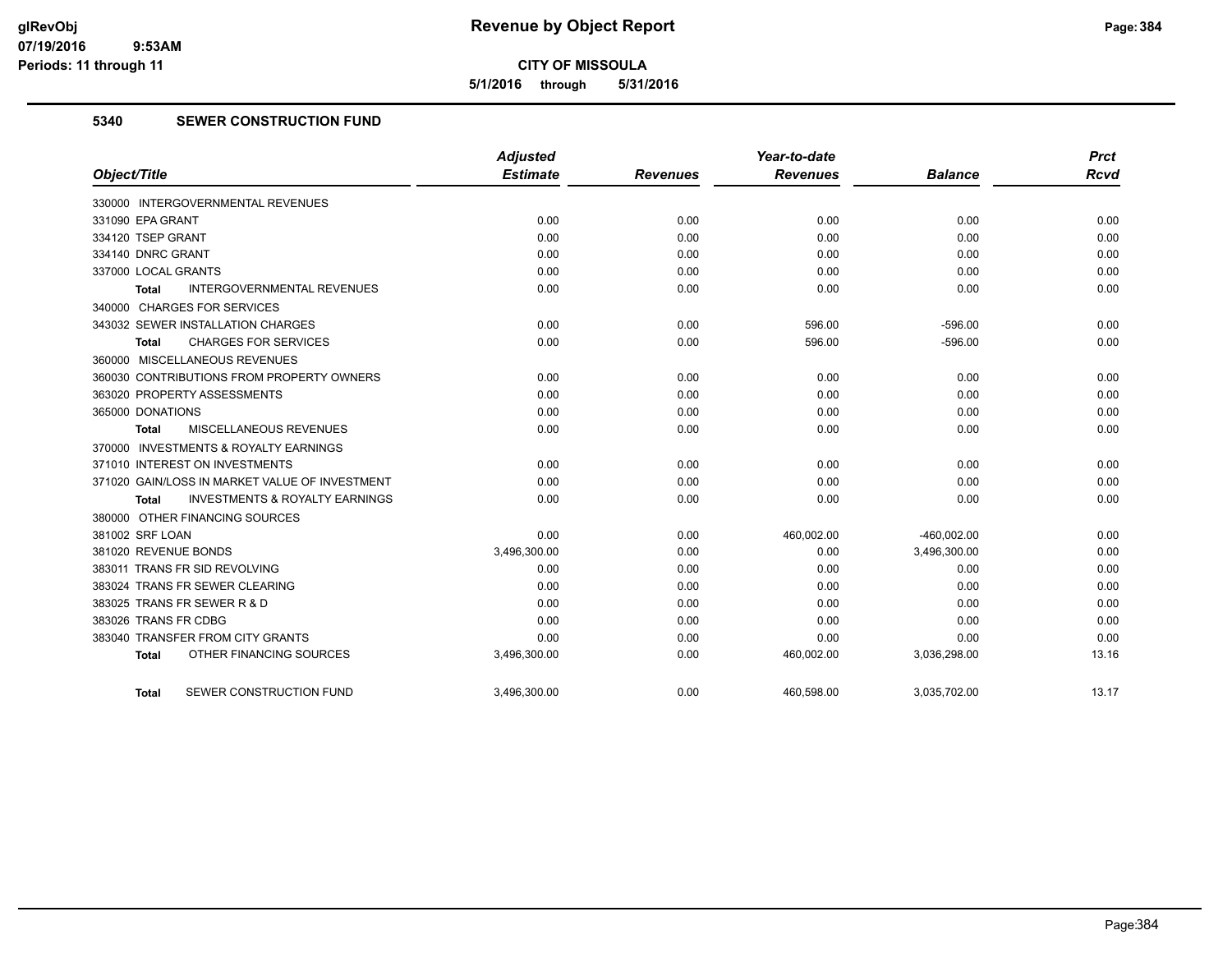**5/1/2016 through 5/31/2016**

## **5340 SEWER CONSTRUCTION FUND**

|                                                    | <b>Adjusted</b> |                 | Year-to-date    |                | <b>Prct</b> |
|----------------------------------------------------|-----------------|-----------------|-----------------|----------------|-------------|
| Object/Title                                       | <b>Estimate</b> | <b>Revenues</b> | <b>Revenues</b> | <b>Balance</b> | <b>Rcvd</b> |
| 330000 INTERGOVERNMENTAL REVENUES                  |                 |                 |                 |                |             |
| 331090 EPA GRANT                                   | 0.00            | 0.00            | 0.00            | 0.00           | 0.00        |
| 334120 TSEP GRANT                                  | 0.00            | 0.00            | 0.00            | 0.00           | 0.00        |
| 334140 DNRC GRANT                                  | 0.00            | 0.00            | 0.00            | 0.00           | 0.00        |
| 337000 LOCAL GRANTS                                | 0.00            | 0.00            | 0.00            | 0.00           | 0.00        |
| <b>INTERGOVERNMENTAL REVENUES</b><br>Total         | 0.00            | 0.00            | 0.00            | 0.00           | 0.00        |
| 340000 CHARGES FOR SERVICES                        |                 |                 |                 |                |             |
| 343032 SEWER INSTALLATION CHARGES                  | 0.00            | 0.00            | 596.00          | $-596.00$      | 0.00        |
| <b>CHARGES FOR SERVICES</b><br>Total               | 0.00            | 0.00            | 596.00          | $-596.00$      | 0.00        |
| 360000 MISCELLANEOUS REVENUES                      |                 |                 |                 |                |             |
| 360030 CONTRIBUTIONS FROM PROPERTY OWNERS          | 0.00            | 0.00            | 0.00            | 0.00           | 0.00        |
| 363020 PROPERTY ASSESSMENTS                        | 0.00            | 0.00            | 0.00            | 0.00           | 0.00        |
| 365000 DONATIONS                                   | 0.00            | 0.00            | 0.00            | 0.00           | 0.00        |
| <b>MISCELLANEOUS REVENUES</b><br><b>Total</b>      | 0.00            | 0.00            | 0.00            | 0.00           | 0.00        |
| 370000 INVESTMENTS & ROYALTY EARNINGS              |                 |                 |                 |                |             |
| 371010 INTEREST ON INVESTMENTS                     | 0.00            | 0.00            | 0.00            | 0.00           | 0.00        |
| 371020 GAIN/LOSS IN MARKET VALUE OF INVESTMENT     | 0.00            | 0.00            | 0.00            | 0.00           | 0.00        |
| <b>INVESTMENTS &amp; ROYALTY EARNINGS</b><br>Total | 0.00            | 0.00            | 0.00            | 0.00           | 0.00        |
| 380000 OTHER FINANCING SOURCES                     |                 |                 |                 |                |             |
| 381002 SRF LOAN                                    | 0.00            | 0.00            | 460,002.00      | $-460,002.00$  | 0.00        |
| 381020 REVENUE BONDS                               | 3,496,300.00    | 0.00            | 0.00            | 3,496,300.00   | 0.00        |
| 383011 TRANS FR SID REVOLVING                      | 0.00            | 0.00            | 0.00            | 0.00           | 0.00        |
| 383024 TRANS FR SEWER CLEARING                     | 0.00            | 0.00            | 0.00            | 0.00           | 0.00        |
| 383025 TRANS FR SEWER R & D                        | 0.00            | 0.00            | 0.00            | 0.00           | 0.00        |
| 383026 TRANS FR CDBG                               | 0.00            | 0.00            | 0.00            | 0.00           | 0.00        |
| 383040 TRANSFER FROM CITY GRANTS                   | 0.00            | 0.00            | 0.00            | 0.00           | 0.00        |
| OTHER FINANCING SOURCES<br><b>Total</b>            | 3,496,300.00    | 0.00            | 460,002.00      | 3,036,298.00   | 13.16       |
| SEWER CONSTRUCTION FUND<br>Total                   | 3,496,300.00    | 0.00            | 460,598.00      | 3,035,702.00   | 13.17       |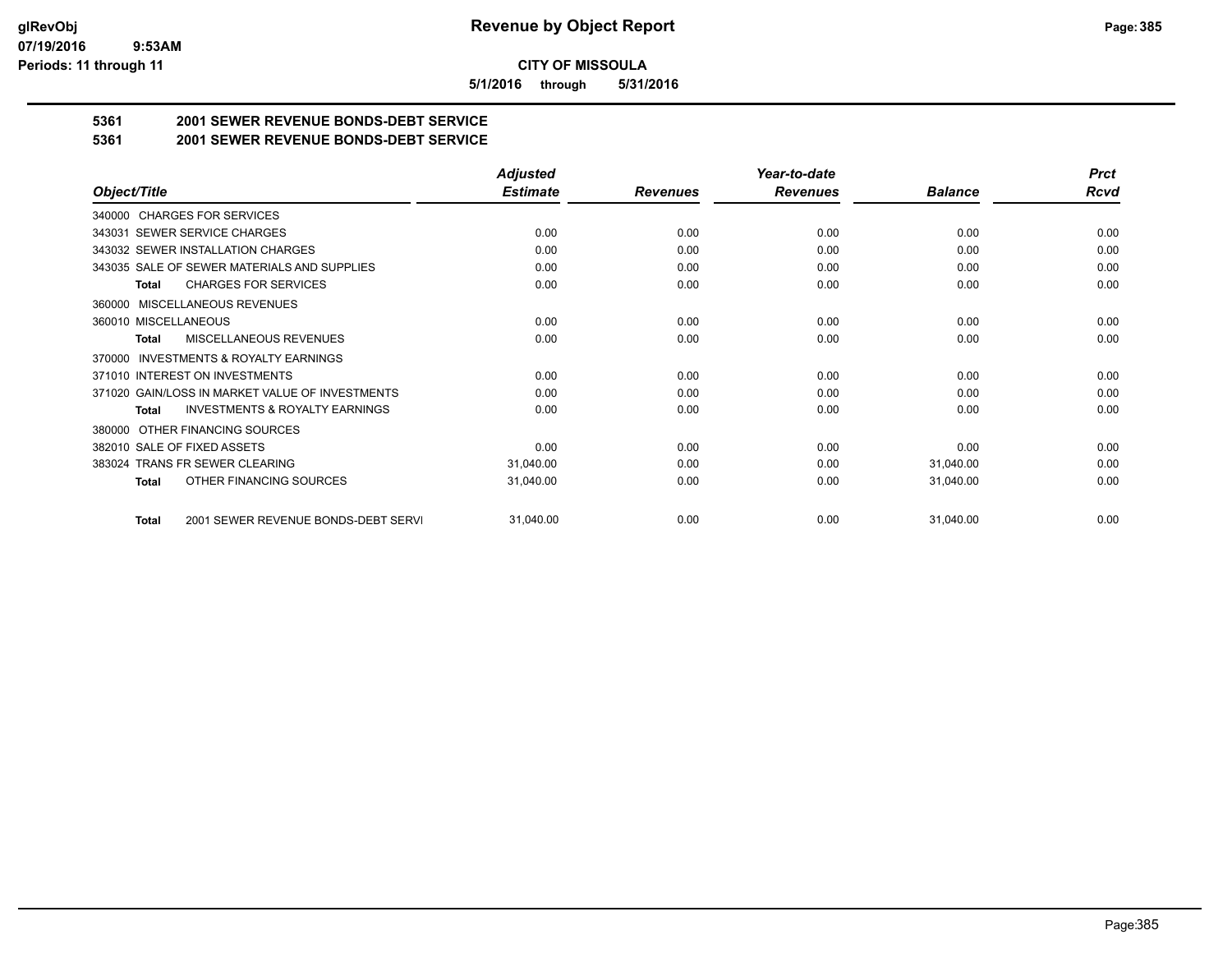**5/1/2016 through 5/31/2016**

## **5361 2001 SEWER REVENUE BONDS-DEBT SERVICE**

**5361 2001 SEWER REVENUE BONDS-DEBT SERVICE**

|                                                           | <b>Adjusted</b> |                 | Year-to-date    |                |             |
|-----------------------------------------------------------|-----------------|-----------------|-----------------|----------------|-------------|
| Object/Title                                              | <b>Estimate</b> | <b>Revenues</b> | <b>Revenues</b> | <b>Balance</b> | <b>Rcvd</b> |
| 340000 CHARGES FOR SERVICES                               |                 |                 |                 |                |             |
| 343031 SEWER SERVICE CHARGES                              | 0.00            | 0.00            | 0.00            | 0.00           | 0.00        |
| 343032 SEWER INSTALLATION CHARGES                         | 0.00            | 0.00            | 0.00            | 0.00           | 0.00        |
| 343035 SALE OF SEWER MATERIALS AND SUPPLIES               | 0.00            | 0.00            | 0.00            | 0.00           | 0.00        |
| <b>CHARGES FOR SERVICES</b><br><b>Total</b>               | 0.00            | 0.00            | 0.00            | 0.00           | 0.00        |
| MISCELLANEOUS REVENUES<br>360000                          |                 |                 |                 |                |             |
| 360010 MISCELLANEOUS                                      | 0.00            | 0.00            | 0.00            | 0.00           | 0.00        |
| <b>MISCELLANEOUS REVENUES</b><br><b>Total</b>             | 0.00            | 0.00            | 0.00            | 0.00           | 0.00        |
| <b>INVESTMENTS &amp; ROYALTY EARNINGS</b><br>370000       |                 |                 |                 |                |             |
| 371010 INTEREST ON INVESTMENTS                            | 0.00            | 0.00            | 0.00            | 0.00           | 0.00        |
| 371020 GAIN/LOSS IN MARKET VALUE OF INVESTMENTS           | 0.00            | 0.00            | 0.00            | 0.00           | 0.00        |
| <b>INVESTMENTS &amp; ROYALTY EARNINGS</b><br><b>Total</b> | 0.00            | 0.00            | 0.00            | 0.00           | 0.00        |
| OTHER FINANCING SOURCES<br>380000                         |                 |                 |                 |                |             |
| 382010 SALE OF FIXED ASSETS                               | 0.00            | 0.00            | 0.00            | 0.00           | 0.00        |
| 383024 TRANS FR SEWER CLEARING                            | 31,040.00       | 0.00            | 0.00            | 31,040.00      | 0.00        |
| OTHER FINANCING SOURCES<br><b>Total</b>                   | 31,040.00       | 0.00            | 0.00            | 31,040.00      | 0.00        |
| 2001 SEWER REVENUE BONDS-DEBT SERVI<br><b>Total</b>       | 31,040.00       | 0.00            | 0.00            | 31,040.00      | 0.00        |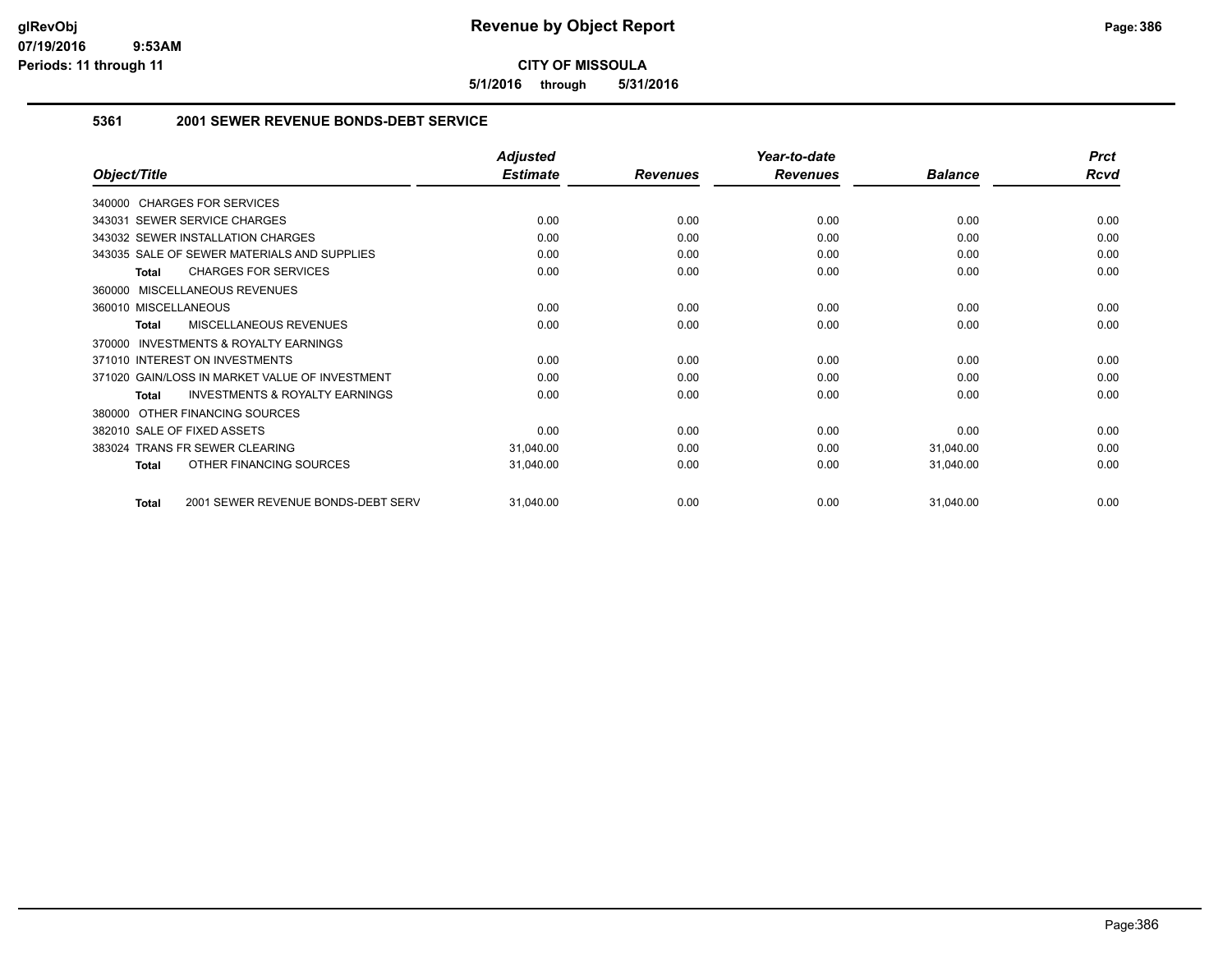**5/1/2016 through 5/31/2016**

## **5361 2001 SEWER REVENUE BONDS-DEBT SERVICE**

|                                                     | <b>Adjusted</b> |                 | Year-to-date    |                | <b>Prct</b> |
|-----------------------------------------------------|-----------------|-----------------|-----------------|----------------|-------------|
| Object/Title                                        | <b>Estimate</b> | <b>Revenues</b> | <b>Revenues</b> | <b>Balance</b> | <b>Rcvd</b> |
| 340000 CHARGES FOR SERVICES                         |                 |                 |                 |                |             |
| <b>SEWER SERVICE CHARGES</b><br>343031              | 0.00            | 0.00            | 0.00            | 0.00           | 0.00        |
| 343032 SEWER INSTALLATION CHARGES                   | 0.00            | 0.00            | 0.00            | 0.00           | 0.00        |
| 343035 SALE OF SEWER MATERIALS AND SUPPLIES         | 0.00            | 0.00            | 0.00            | 0.00           | 0.00        |
| <b>CHARGES FOR SERVICES</b><br><b>Total</b>         | 0.00            | 0.00            | 0.00            | 0.00           | 0.00        |
| 360000 MISCELLANEOUS REVENUES                       |                 |                 |                 |                |             |
| 360010 MISCELLANEOUS                                | 0.00            | 0.00            | 0.00            | 0.00           | 0.00        |
| <b>MISCELLANEOUS REVENUES</b><br>Total              | 0.00            | 0.00            | 0.00            | 0.00           | 0.00        |
| <b>INVESTMENTS &amp; ROYALTY EARNINGS</b><br>370000 |                 |                 |                 |                |             |
| 371010 INTEREST ON INVESTMENTS                      | 0.00            | 0.00            | 0.00            | 0.00           | 0.00        |
| 371020 GAIN/LOSS IN MARKET VALUE OF INVESTMENT      | 0.00            | 0.00            | 0.00            | 0.00           | 0.00        |
| <b>INVESTMENTS &amp; ROYALTY EARNINGS</b><br>Total  | 0.00            | 0.00            | 0.00            | 0.00           | 0.00        |
| OTHER FINANCING SOURCES<br>380000                   |                 |                 |                 |                |             |
| 382010 SALE OF FIXED ASSETS                         | 0.00            | 0.00            | 0.00            | 0.00           | 0.00        |
| <b>TRANS FR SEWER CLEARING</b><br>383024            | 31,040.00       | 0.00            | 0.00            | 31,040.00      | 0.00        |
| OTHER FINANCING SOURCES<br><b>Total</b>             | 31,040.00       | 0.00            | 0.00            | 31,040.00      | 0.00        |
| 2001 SEWER REVENUE BONDS-DEBT SERV<br><b>Total</b>  | 31,040.00       | 0.00            | 0.00            | 31,040.00      | 0.00        |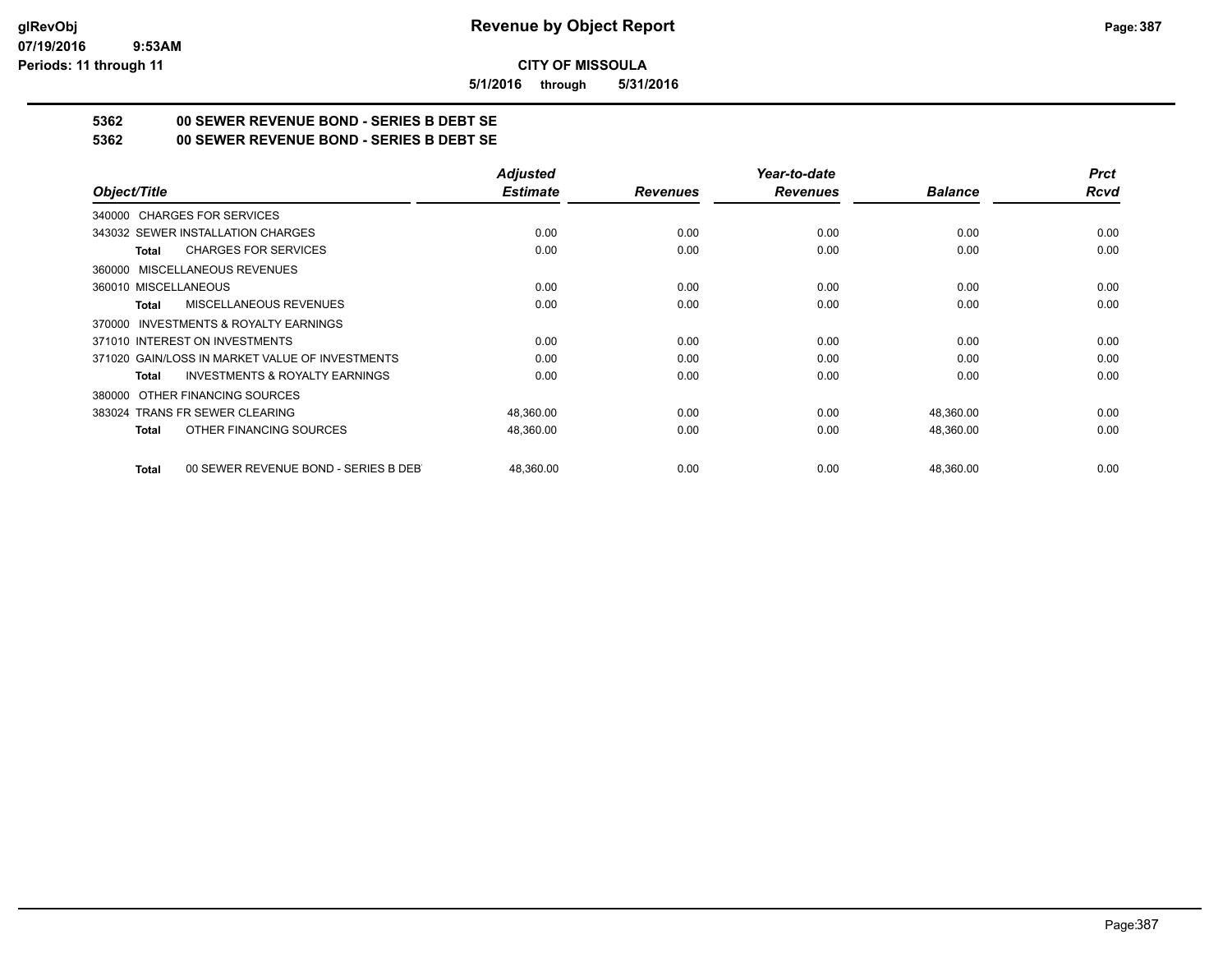**5/1/2016 through 5/31/2016**

## **5362 00 SEWER REVENUE BOND - SERIES B DEBT SE**

**5362 00 SEWER REVENUE BOND - SERIES B DEBT SE**

|                                                           | <b>Adjusted</b> |                 | Year-to-date    |                | <b>Prct</b> |
|-----------------------------------------------------------|-----------------|-----------------|-----------------|----------------|-------------|
| Object/Title                                              | <b>Estimate</b> | <b>Revenues</b> | <b>Revenues</b> | <b>Balance</b> | <b>Rcvd</b> |
| 340000 CHARGES FOR SERVICES                               |                 |                 |                 |                |             |
| 343032 SEWER INSTALLATION CHARGES                         | 0.00            | 0.00            | 0.00            | 0.00           | 0.00        |
| <b>CHARGES FOR SERVICES</b><br><b>Total</b>               | 0.00            | 0.00            | 0.00            | 0.00           | 0.00        |
| 360000 MISCELLANEOUS REVENUES                             |                 |                 |                 |                |             |
| 360010 MISCELLANEOUS                                      | 0.00            | 0.00            | 0.00            | 0.00           | 0.00        |
| <b>MISCELLANEOUS REVENUES</b><br>Total                    | 0.00            | 0.00            | 0.00            | 0.00           | 0.00        |
| 370000 INVESTMENTS & ROYALTY EARNINGS                     |                 |                 |                 |                |             |
| 371010 INTEREST ON INVESTMENTS                            | 0.00            | 0.00            | 0.00            | 0.00           | 0.00        |
| 371020 GAIN/LOSS IN MARKET VALUE OF INVESTMENTS           | 0.00            | 0.00            | 0.00            | 0.00           | 0.00        |
| <b>INVESTMENTS &amp; ROYALTY EARNINGS</b><br><b>Total</b> | 0.00            | 0.00            | 0.00            | 0.00           | 0.00        |
| 380000 OTHER FINANCING SOURCES                            |                 |                 |                 |                |             |
| 383024 TRANS FR SEWER CLEARING                            | 48,360.00       | 0.00            | 0.00            | 48,360.00      | 0.00        |
| OTHER FINANCING SOURCES<br><b>Total</b>                   | 48,360.00       | 0.00            | 0.00            | 48,360.00      | 0.00        |
| 00 SEWER REVENUE BOND - SERIES B DEB<br><b>Total</b>      | 48,360.00       | 0.00            | 0.00            | 48,360.00      | 0.00        |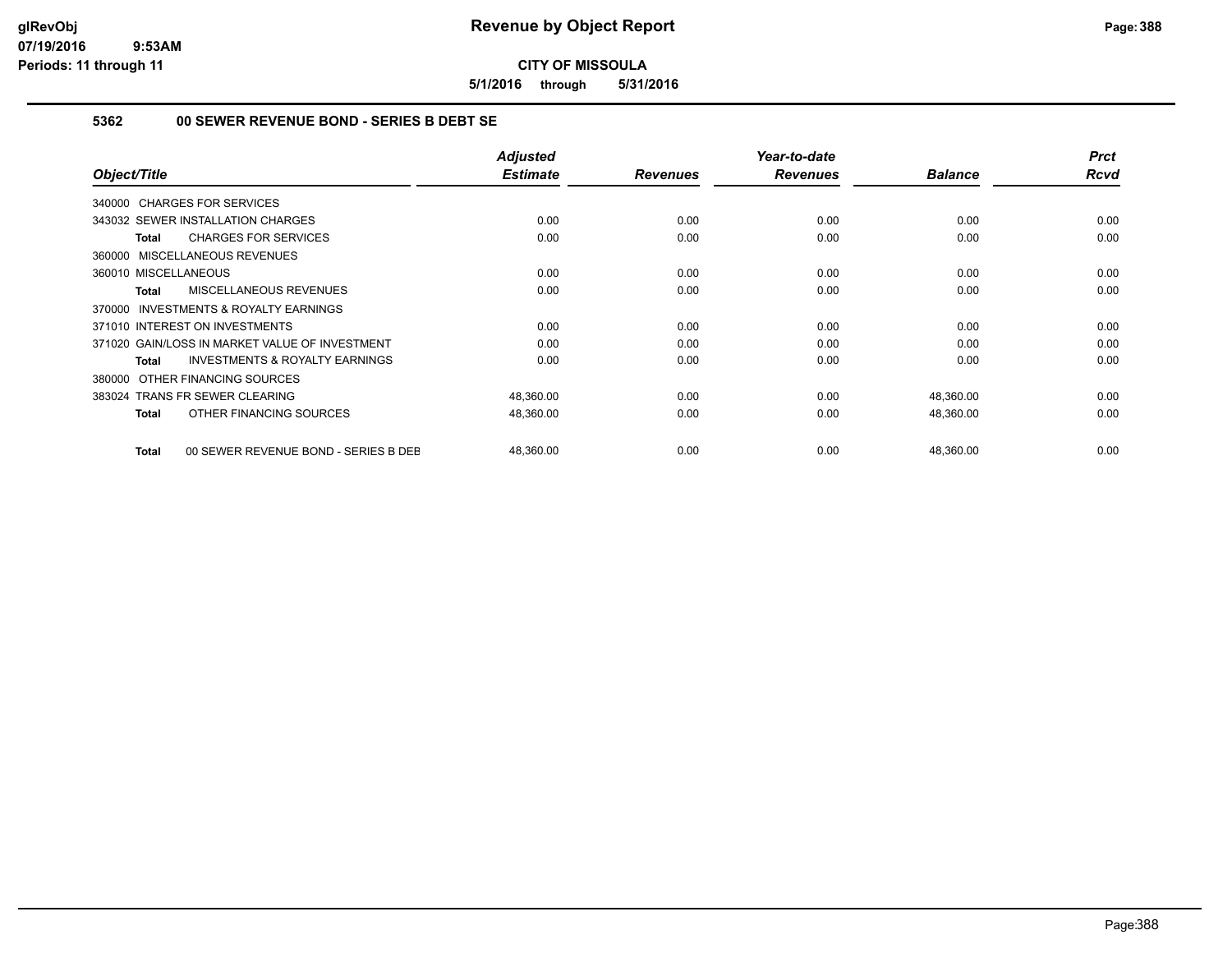**5/1/2016 through 5/31/2016**

## **5362 00 SEWER REVENUE BOND - SERIES B DEBT SE**

| Object/Title                                              | <b>Adjusted</b><br><b>Estimate</b> | <b>Revenues</b> | Year-to-date<br><b>Revenues</b> | <b>Balance</b> | <b>Prct</b><br><b>Rcvd</b> |
|-----------------------------------------------------------|------------------------------------|-----------------|---------------------------------|----------------|----------------------------|
| 340000 CHARGES FOR SERVICES                               |                                    |                 |                                 |                |                            |
| 343032 SEWER INSTALLATION CHARGES                         | 0.00                               | 0.00            | 0.00                            | 0.00           | 0.00                       |
| <b>CHARGES FOR SERVICES</b><br>Total                      | 0.00                               | 0.00            | 0.00                            | 0.00           | 0.00                       |
| 360000 MISCELLANEOUS REVENUES                             |                                    |                 |                                 |                |                            |
| 360010 MISCELLANEOUS                                      | 0.00                               | 0.00            | 0.00                            | 0.00           | 0.00                       |
| MISCELLANEOUS REVENUES<br><b>Total</b>                    | 0.00                               | 0.00            | 0.00                            | 0.00           | 0.00                       |
| <b>INVESTMENTS &amp; ROYALTY EARNINGS</b><br>370000       |                                    |                 |                                 |                |                            |
| 371010 INTEREST ON INVESTMENTS                            | 0.00                               | 0.00            | 0.00                            | 0.00           | 0.00                       |
| 371020 GAIN/LOSS IN MARKET VALUE OF INVESTMENT            | 0.00                               | 0.00            | 0.00                            | 0.00           | 0.00                       |
| <b>INVESTMENTS &amp; ROYALTY EARNINGS</b><br><b>Total</b> | 0.00                               | 0.00            | 0.00                            | 0.00           | 0.00                       |
| OTHER FINANCING SOURCES<br>380000                         |                                    |                 |                                 |                |                            |
| 383024 TRANS FR SEWER CLEARING                            | 48,360.00                          | 0.00            | 0.00                            | 48,360.00      | 0.00                       |
| OTHER FINANCING SOURCES<br><b>Total</b>                   | 48,360.00                          | 0.00            | 0.00                            | 48,360.00      | 0.00                       |
| 00 SEWER REVENUE BOND - SERIES B DEE<br><b>Total</b>      | 48,360.00                          | 0.00            | 0.00                            | 48,360.00      | 0.00                       |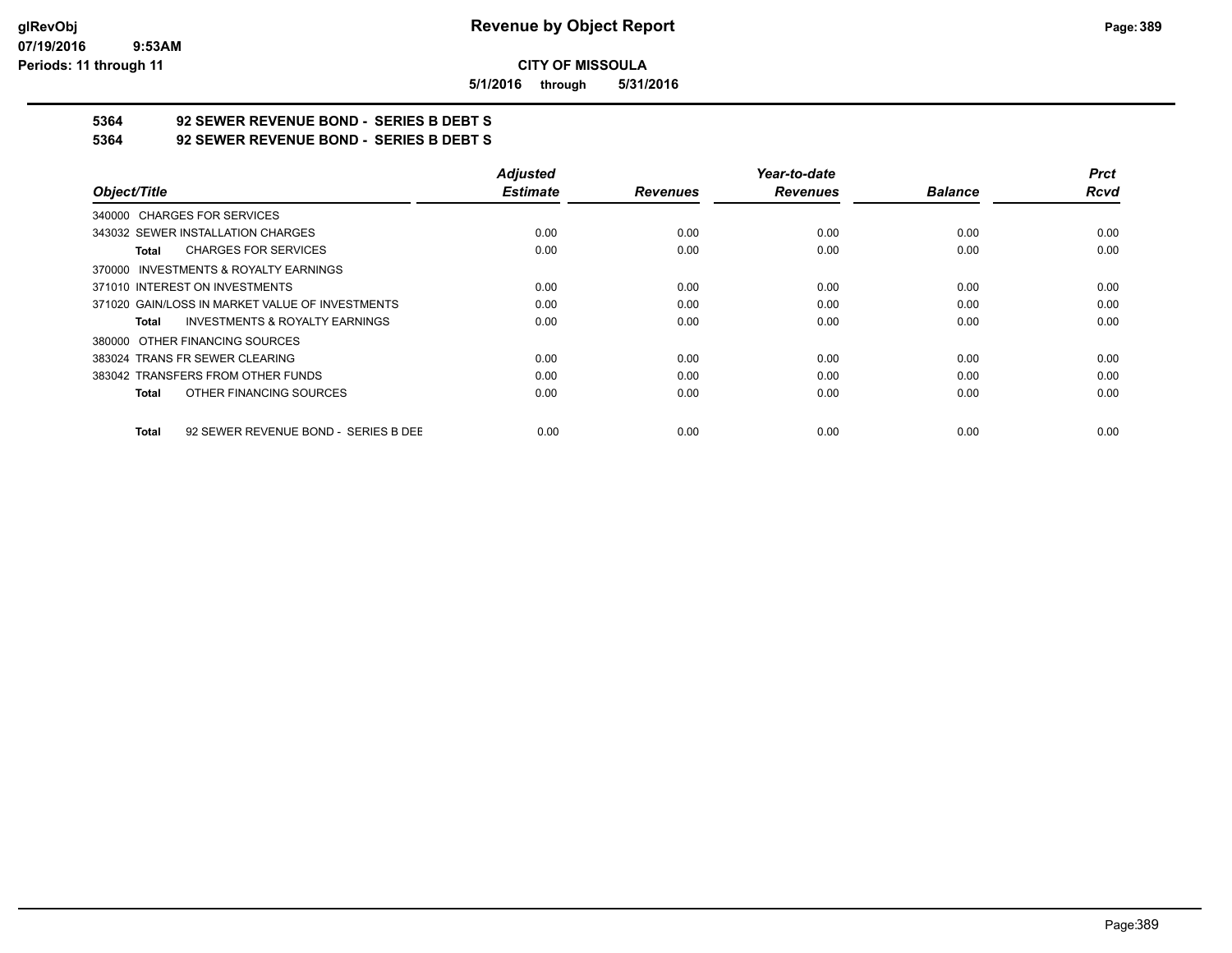**5/1/2016 through 5/31/2016**

## **5364 92 SEWER REVENUE BOND - SERIES B DEBT S**

**5364 92 SEWER REVENUE BOND - SERIES B DEBT S**

|                                                      | <b>Adjusted</b> |                 | Year-to-date    |                | <b>Prct</b> |
|------------------------------------------------------|-----------------|-----------------|-----------------|----------------|-------------|
| Object/Title                                         | <b>Estimate</b> | <b>Revenues</b> | <b>Revenues</b> | <b>Balance</b> | <b>Rcvd</b> |
| 340000 CHARGES FOR SERVICES                          |                 |                 |                 |                |             |
| 343032 SEWER INSTALLATION CHARGES                    | 0.00            | 0.00            | 0.00            | 0.00           | 0.00        |
| <b>CHARGES FOR SERVICES</b><br>Total                 | 0.00            | 0.00            | 0.00            | 0.00           | 0.00        |
| 370000 INVESTMENTS & ROYALTY EARNINGS                |                 |                 |                 |                |             |
| 371010 INTEREST ON INVESTMENTS                       | 0.00            | 0.00            | 0.00            | 0.00           | 0.00        |
| 371020 GAIN/LOSS IN MARKET VALUE OF INVESTMENTS      | 0.00            | 0.00            | 0.00            | 0.00           | 0.00        |
| <b>INVESTMENTS &amp; ROYALTY EARNINGS</b><br>Total   | 0.00            | 0.00            | 0.00            | 0.00           | 0.00        |
| 380000 OTHER FINANCING SOURCES                       |                 |                 |                 |                |             |
| 383024 TRANS FR SEWER CLEARING                       | 0.00            | 0.00            | 0.00            | 0.00           | 0.00        |
| 383042 TRANSFERS FROM OTHER FUNDS                    | 0.00            | 0.00            | 0.00            | 0.00           | 0.00        |
| OTHER FINANCING SOURCES<br><b>Total</b>              | 0.00            | 0.00            | 0.00            | 0.00           | 0.00        |
| 92 SEWER REVENUE BOND - SERIES B DEE<br><b>Total</b> | 0.00            | 0.00            | 0.00            | 0.00           | 0.00        |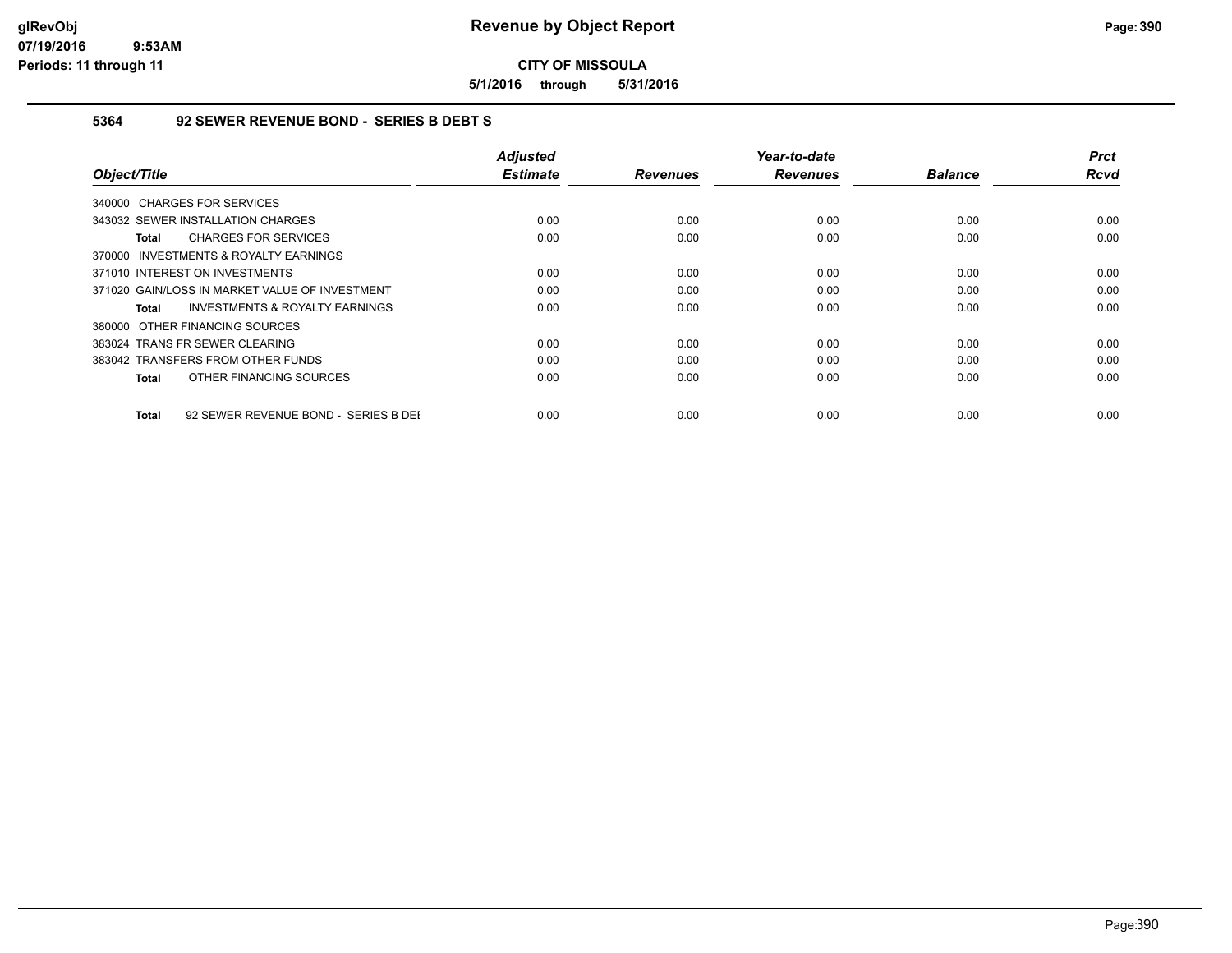**5/1/2016 through 5/31/2016**

## **5364 92 SEWER REVENUE BOND - SERIES B DEBT S**

| Object/Title                                         | <b>Adjusted</b><br><b>Estimate</b> | <b>Revenues</b> | Year-to-date<br><b>Revenues</b> | <b>Balance</b> | <b>Prct</b><br><b>Rcvd</b> |
|------------------------------------------------------|------------------------------------|-----------------|---------------------------------|----------------|----------------------------|
| 340000 CHARGES FOR SERVICES                          |                                    |                 |                                 |                |                            |
| 343032 SEWER INSTALLATION CHARGES                    | 0.00                               | 0.00            | 0.00                            | 0.00           | 0.00                       |
| <b>CHARGES FOR SERVICES</b><br>Total                 | 0.00                               | 0.00            | 0.00                            | 0.00           | 0.00                       |
| 370000 INVESTMENTS & ROYALTY EARNINGS                |                                    |                 |                                 |                |                            |
| 371010 INTEREST ON INVESTMENTS                       | 0.00                               | 0.00            | 0.00                            | 0.00           | 0.00                       |
| 371020 GAIN/LOSS IN MARKET VALUE OF INVESTMENT       | 0.00                               | 0.00            | 0.00                            | 0.00           | 0.00                       |
| <b>INVESTMENTS &amp; ROYALTY EARNINGS</b><br>Total   | 0.00                               | 0.00            | 0.00                            | 0.00           | 0.00                       |
| 380000 OTHER FINANCING SOURCES                       |                                    |                 |                                 |                |                            |
| 383024 TRANS FR SEWER CLEARING                       | 0.00                               | 0.00            | 0.00                            | 0.00           | 0.00                       |
| 383042 TRANSFERS FROM OTHER FUNDS                    | 0.00                               | 0.00            | 0.00                            | 0.00           | 0.00                       |
| OTHER FINANCING SOURCES<br>Total                     | 0.00                               | 0.00            | 0.00                            | 0.00           | 0.00                       |
| 92 SEWER REVENUE BOND - SERIES B DEI<br><b>Total</b> | 0.00                               | 0.00            | 0.00                            | 0.00           | 0.00                       |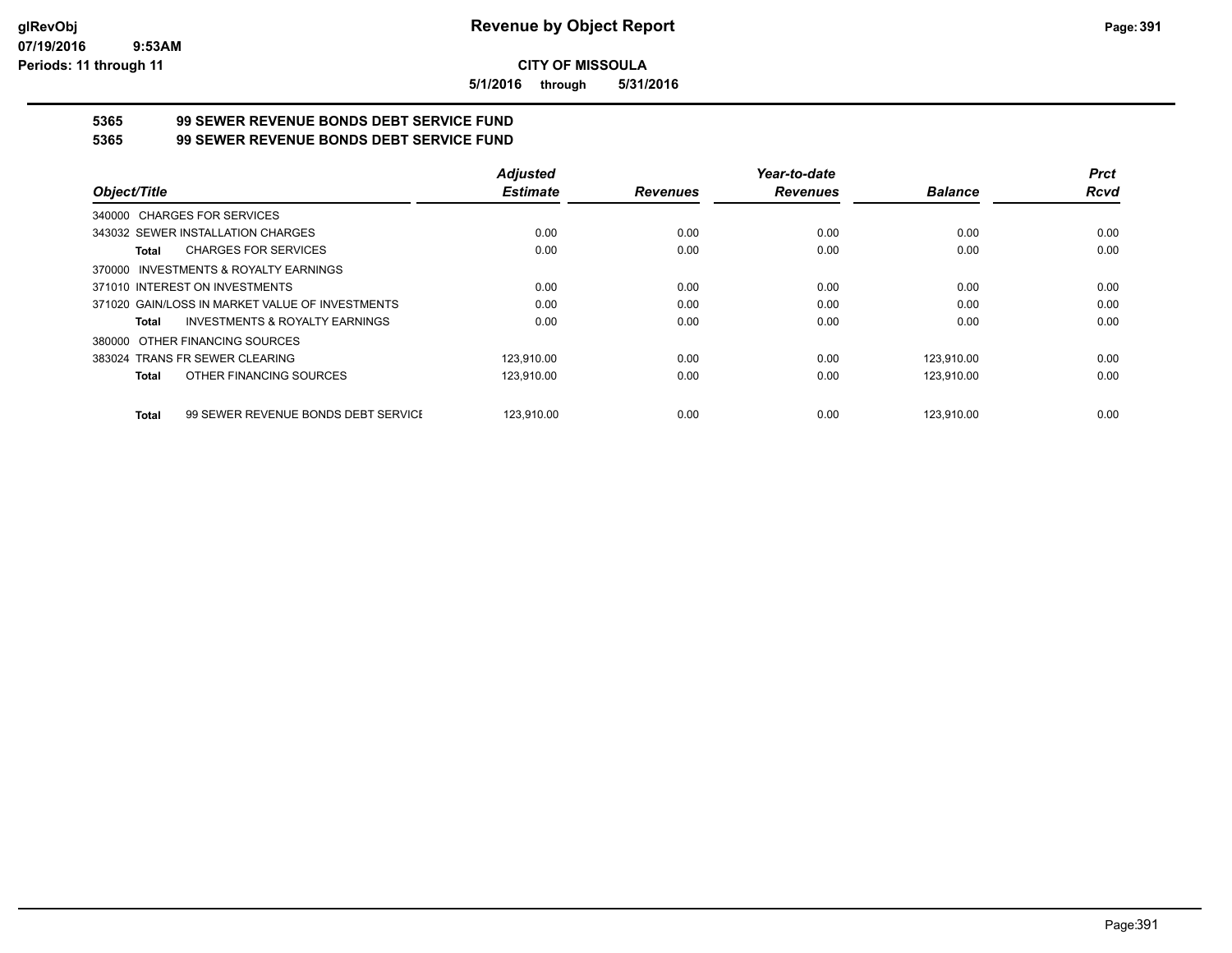**5/1/2016 through 5/31/2016**

# **5365 99 SEWER REVENUE BONDS DEBT SERVICE FUND**

**5365 99 SEWER REVENUE BONDS DEBT SERVICE FUND**

|                                                     | <b>Adjusted</b> |                 | Year-to-date    |                | <b>Prct</b> |
|-----------------------------------------------------|-----------------|-----------------|-----------------|----------------|-------------|
| Object/Title                                        | <b>Estimate</b> | <b>Revenues</b> | <b>Revenues</b> | <b>Balance</b> | <b>Rcvd</b> |
| 340000 CHARGES FOR SERVICES                         |                 |                 |                 |                |             |
| 343032 SEWER INSTALLATION CHARGES                   | 0.00            | 0.00            | 0.00            | 0.00           | 0.00        |
| <b>CHARGES FOR SERVICES</b><br>Total                | 0.00            | 0.00            | 0.00            | 0.00           | 0.00        |
| INVESTMENTS & ROYALTY EARNINGS<br>370000            |                 |                 |                 |                |             |
| 371010 INTEREST ON INVESTMENTS                      | 0.00            | 0.00            | 0.00            | 0.00           | 0.00        |
| 371020 GAIN/LOSS IN MARKET VALUE OF INVESTMENTS     | 0.00            | 0.00            | 0.00            | 0.00           | 0.00        |
| <b>INVESTMENTS &amp; ROYALTY EARNINGS</b><br>Total  | 0.00            | 0.00            | 0.00            | 0.00           | 0.00        |
| OTHER FINANCING SOURCES<br>380000                   |                 |                 |                 |                |             |
| 383024 TRANS FR SEWER CLEARING                      | 123.910.00      | 0.00            | 0.00            | 123.910.00     | 0.00        |
| OTHER FINANCING SOURCES<br><b>Total</b>             | 123.910.00      | 0.00            | 0.00            | 123.910.00     | 0.00        |
| 99 SEWER REVENUE BONDS DEBT SERVICE<br><b>Total</b> | 123.910.00      | 0.00            | 0.00            | 123.910.00     | 0.00        |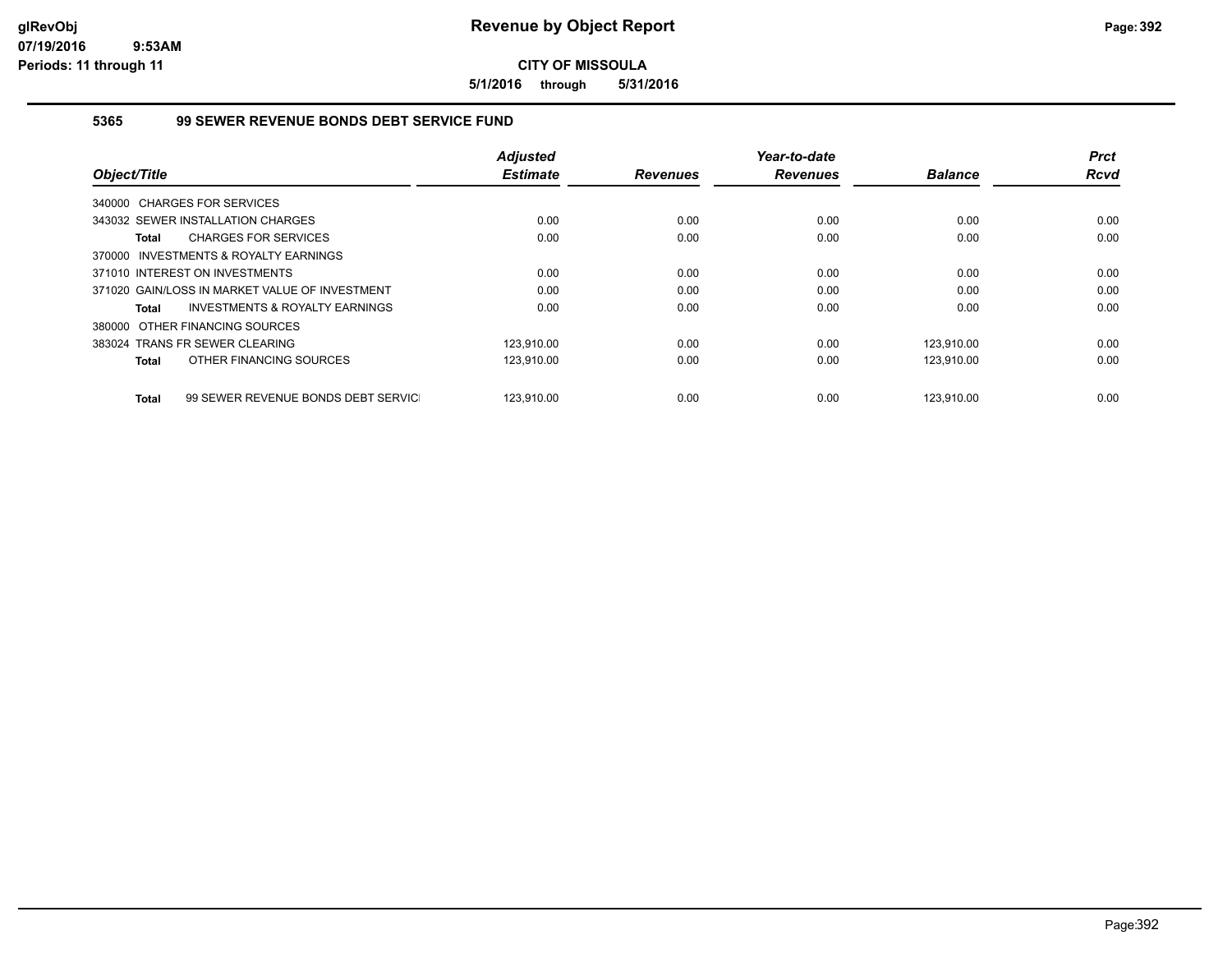**5/1/2016 through 5/31/2016**

#### **5365 99 SEWER REVENUE BONDS DEBT SERVICE FUND**

| Object/Title                                       | <b>Adjusted</b><br><b>Estimate</b> | <b>Revenues</b> | Year-to-date<br><b>Revenues</b> | <b>Balance</b> | <b>Prct</b><br><b>Rcvd</b> |
|----------------------------------------------------|------------------------------------|-----------------|---------------------------------|----------------|----------------------------|
| 340000 CHARGES FOR SERVICES                        |                                    |                 |                                 |                |                            |
| 343032 SEWER INSTALLATION CHARGES                  | 0.00                               | 0.00            | 0.00                            | 0.00           | 0.00                       |
| <b>CHARGES FOR SERVICES</b><br><b>Total</b>        | 0.00                               | 0.00            | 0.00                            | 0.00           | 0.00                       |
| 370000 INVESTMENTS & ROYALTY EARNINGS              |                                    |                 |                                 |                |                            |
| 371010 INTEREST ON INVESTMENTS                     | 0.00                               | 0.00            | 0.00                            | 0.00           | 0.00                       |
| 371020 GAIN/LOSS IN MARKET VALUE OF INVESTMENT     | 0.00                               | 0.00            | 0.00                            | 0.00           | 0.00                       |
| INVESTMENTS & ROYALTY EARNINGS<br>Total            | 0.00                               | 0.00            | 0.00                            | 0.00           | 0.00                       |
| 380000 OTHER FINANCING SOURCES                     |                                    |                 |                                 |                |                            |
| 383024 TRANS FR SEWER CLEARING                     | 123.910.00                         | 0.00            | 0.00                            | 123.910.00     | 0.00                       |
| OTHER FINANCING SOURCES<br><b>Total</b>            | 123,910.00                         | 0.00            | 0.00                            | 123,910.00     | 0.00                       |
|                                                    |                                    |                 |                                 |                |                            |
| 99 SEWER REVENUE BONDS DEBT SERVIC<br><b>Total</b> | 123.910.00                         | 0.00            | 0.00                            | 123.910.00     | 0.00                       |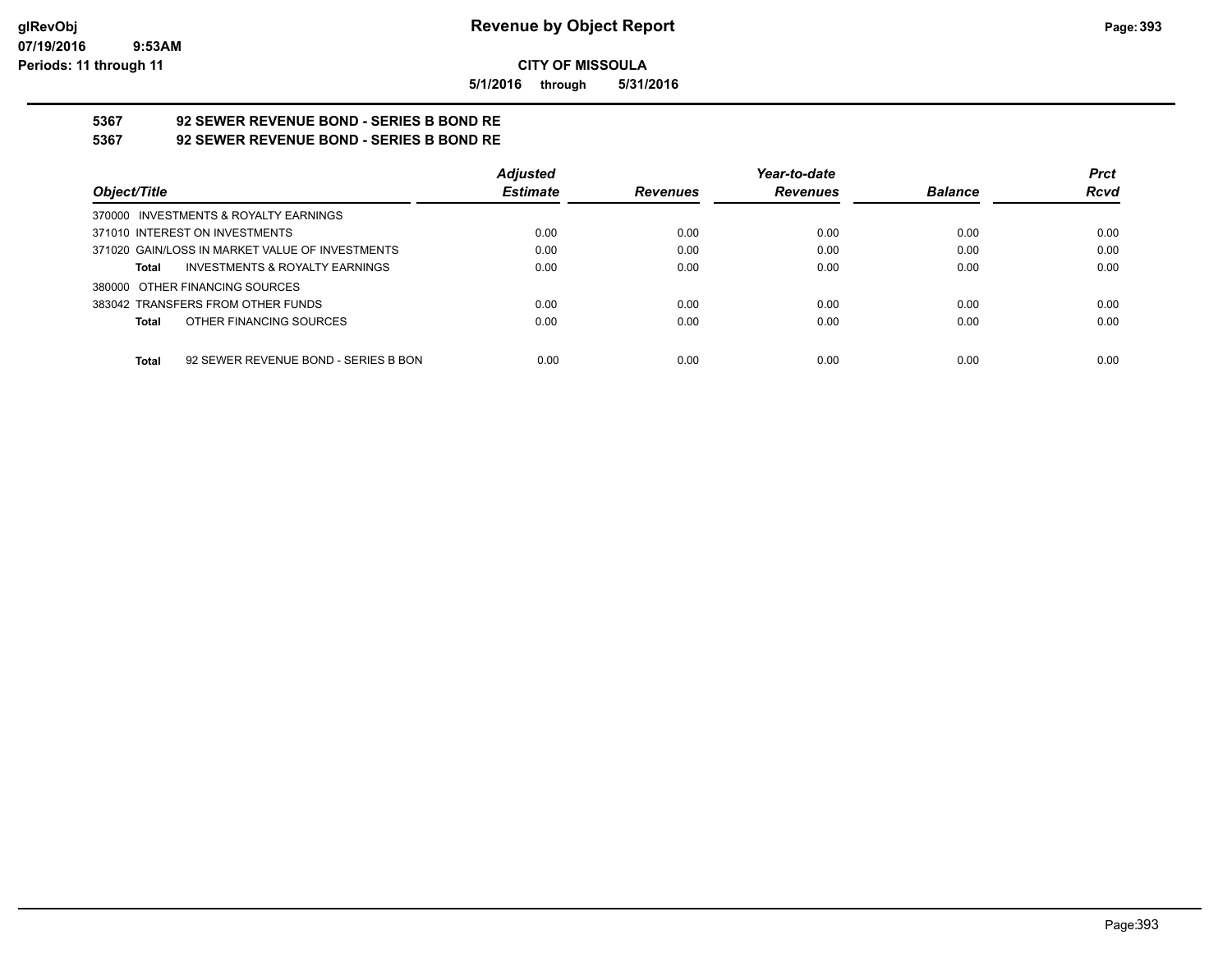**5/1/2016 through 5/31/2016**

# **5367 92 SEWER REVENUE BOND - SERIES B BOND RE**

**5367 92 SEWER REVENUE BOND - SERIES B BOND RE**

|                                                      | <b>Adjusted</b> |                 | Year-to-date    |                | <b>Prct</b> |
|------------------------------------------------------|-----------------|-----------------|-----------------|----------------|-------------|
| Object/Title                                         | <b>Estimate</b> | <b>Revenues</b> | <b>Revenues</b> | <b>Balance</b> | <b>Rcvd</b> |
| 370000 INVESTMENTS & ROYALTY EARNINGS                |                 |                 |                 |                |             |
| 371010 INTEREST ON INVESTMENTS                       | 0.00            | 0.00            | 0.00            | 0.00           | 0.00        |
| 371020 GAIN/LOSS IN MARKET VALUE OF INVESTMENTS      | 0.00            | 0.00            | 0.00            | 0.00           | 0.00        |
| <b>INVESTMENTS &amp; ROYALTY EARNINGS</b><br>Total   | 0.00            | 0.00            | 0.00            | 0.00           | 0.00        |
| 380000 OTHER FINANCING SOURCES                       |                 |                 |                 |                |             |
| 383042 TRANSFERS FROM OTHER FUNDS                    | 0.00            | 0.00            | 0.00            | 0.00           | 0.00        |
| OTHER FINANCING SOURCES<br>Total                     | 0.00            | 0.00            | 0.00            | 0.00           | 0.00        |
|                                                      |                 |                 |                 |                |             |
| 92 SEWER REVENUE BOND - SERIES B BON<br><b>Total</b> | 0.00            | 0.00            | 0.00            | 0.00           | 0.00        |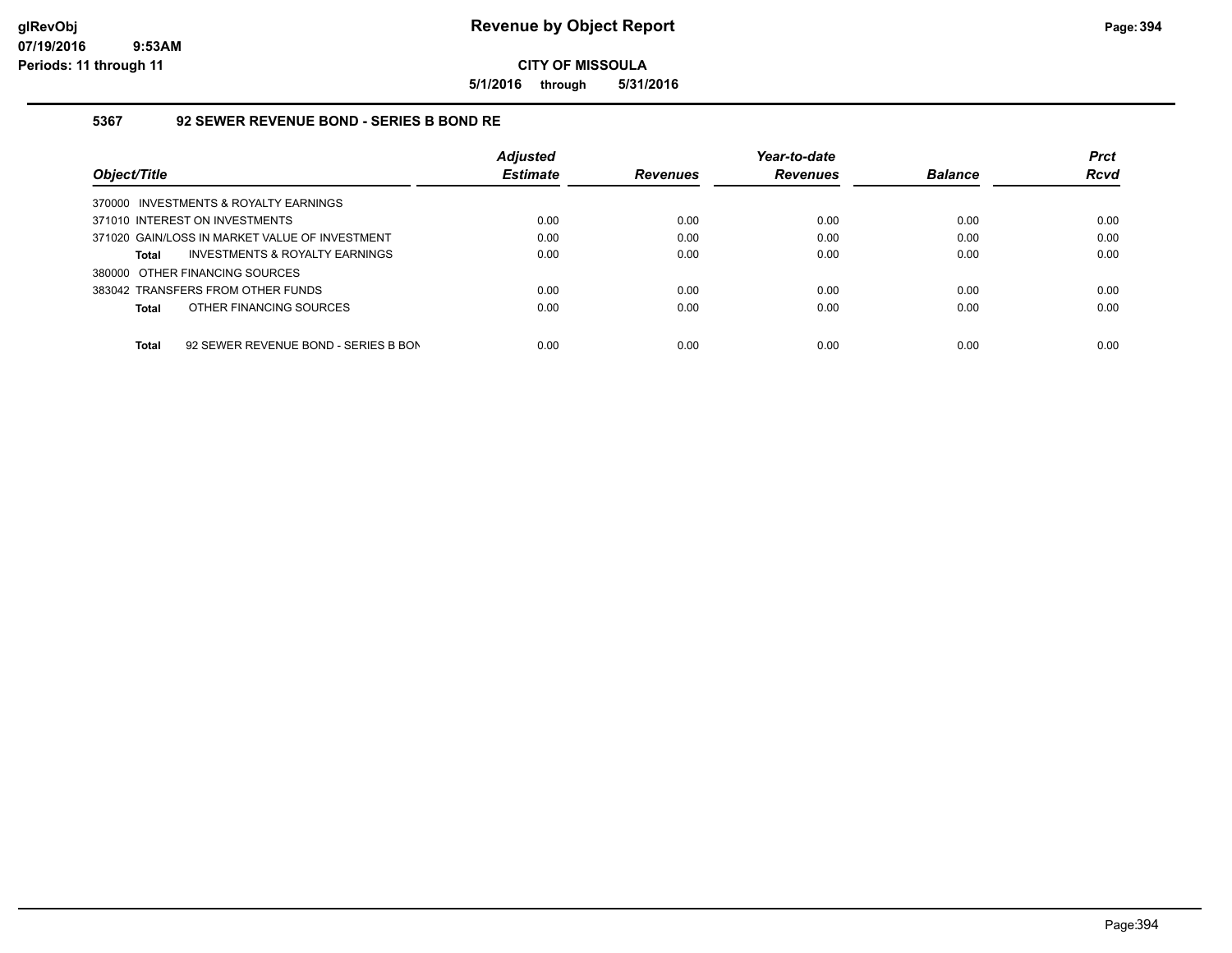**5/1/2016 through 5/31/2016**

#### **5367 92 SEWER REVENUE BOND - SERIES B BOND RE**

|                                                      | <b>Adjusted</b> |                 | Year-to-date    |                | <b>Prct</b> |
|------------------------------------------------------|-----------------|-----------------|-----------------|----------------|-------------|
| Object/Title                                         | <b>Estimate</b> | <b>Revenues</b> | <b>Revenues</b> | <b>Balance</b> | <b>Rcvd</b> |
| 370000 INVESTMENTS & ROYALTY EARNINGS                |                 |                 |                 |                |             |
| 371010 INTEREST ON INVESTMENTS                       | 0.00            | 0.00            | 0.00            | 0.00           | 0.00        |
| 371020 GAIN/LOSS IN MARKET VALUE OF INVESTMENT       | 0.00            | 0.00            | 0.00            | 0.00           | 0.00        |
| INVESTMENTS & ROYALTY EARNINGS<br><b>Total</b>       | 0.00            | 0.00            | 0.00            | 0.00           | 0.00        |
| 380000 OTHER FINANCING SOURCES                       |                 |                 |                 |                |             |
| 383042 TRANSFERS FROM OTHER FUNDS                    | 0.00            | 0.00            | 0.00            | 0.00           | 0.00        |
| OTHER FINANCING SOURCES<br><b>Total</b>              | 0.00            | 0.00            | 0.00            | 0.00           | 0.00        |
|                                                      |                 |                 |                 |                |             |
| <b>Total</b><br>92 SEWER REVENUE BOND - SERIES B BON | 0.00            | 0.00            | 0.00            | 0.00           | 0.00        |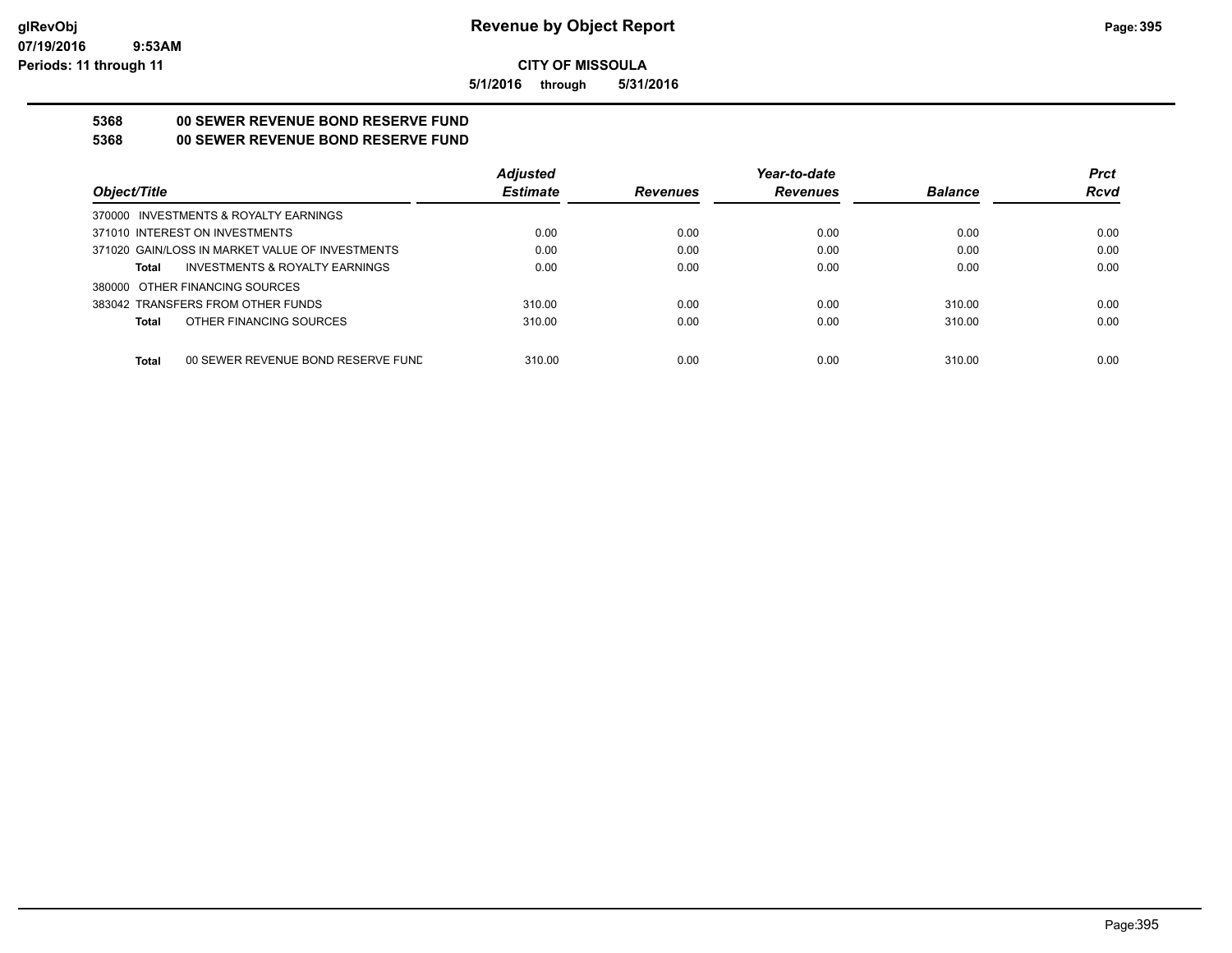**5/1/2016 through 5/31/2016**

## **5368 00 SEWER REVENUE BOND RESERVE FUND**

**5368 00 SEWER REVENUE BOND RESERVE FUND**

|                                                    | <b>Adjusted</b> |                 | Year-to-date    |                | <b>Prct</b> |
|----------------------------------------------------|-----------------|-----------------|-----------------|----------------|-------------|
| Object/Title                                       | <b>Estimate</b> | <b>Revenues</b> | <b>Revenues</b> | <b>Balance</b> | <b>Rcvd</b> |
| 370000 INVESTMENTS & ROYALTY EARNINGS              |                 |                 |                 |                |             |
| 371010 INTEREST ON INVESTMENTS                     | 0.00            | 0.00            | 0.00            | 0.00           | 0.00        |
| 371020 GAIN/LOSS IN MARKET VALUE OF INVESTMENTS    | 0.00            | 0.00            | 0.00            | 0.00           | 0.00        |
| <b>INVESTMENTS &amp; ROYALTY EARNINGS</b><br>Total | 0.00            | 0.00            | 0.00            | 0.00           | 0.00        |
| 380000 OTHER FINANCING SOURCES                     |                 |                 |                 |                |             |
| 383042 TRANSFERS FROM OTHER FUNDS                  | 310.00          | 0.00            | 0.00            | 310.00         | 0.00        |
| OTHER FINANCING SOURCES<br>Total                   | 310.00          | 0.00            | 0.00            | 310.00         | 0.00        |
|                                                    |                 |                 |                 |                |             |
| <b>Total</b><br>00 SEWER REVENUE BOND RESERVE FUND | 310.00          | 0.00            | 0.00            | 310.00         | 0.00        |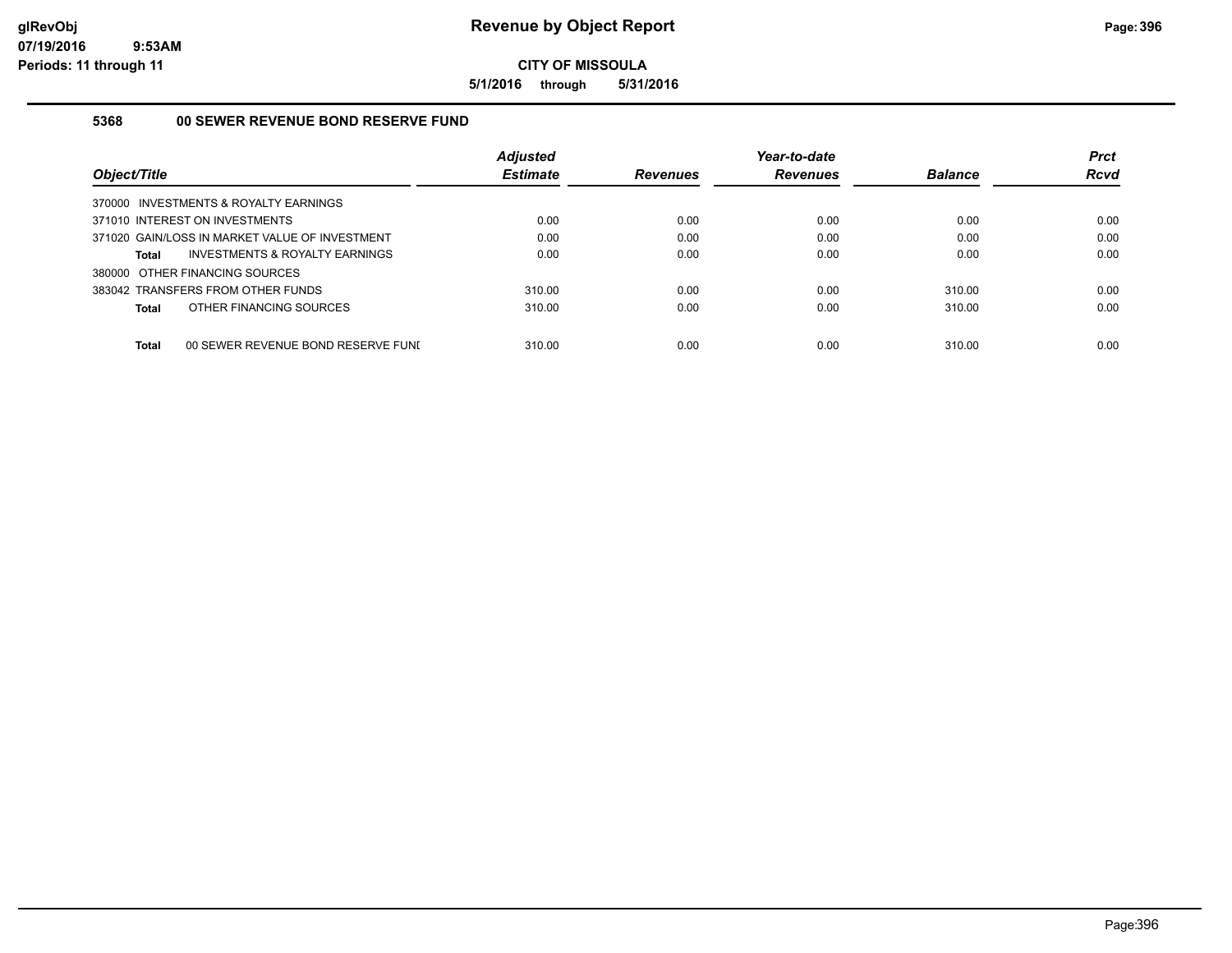**5/1/2016 through 5/31/2016**

## **5368 00 SEWER REVENUE BOND RESERVE FUND**

| Object/Title                                       | <b>Adjusted</b><br><b>Estimate</b> | <b>Revenues</b> | Year-to-date<br><b>Revenues</b> | <b>Balance</b> | <b>Prct</b><br><b>Rcvd</b> |
|----------------------------------------------------|------------------------------------|-----------------|---------------------------------|----------------|----------------------------|
| 370000 INVESTMENTS & ROYALTY EARNINGS              |                                    |                 |                                 |                |                            |
| 371010 INTEREST ON INVESTMENTS                     | 0.00                               | 0.00            | 0.00                            | 0.00           | 0.00                       |
| 371020 GAIN/LOSS IN MARKET VALUE OF INVESTMENT     | 0.00                               | 0.00            | 0.00                            | 0.00           | 0.00                       |
| INVESTMENTS & ROYALTY EARNINGS<br>Total            | 0.00                               | 0.00            | 0.00                            | 0.00           | 0.00                       |
| 380000 OTHER FINANCING SOURCES                     |                                    |                 |                                 |                |                            |
| 383042 TRANSFERS FROM OTHER FUNDS                  | 310.00                             | 0.00            | 0.00                            | 310.00         | 0.00                       |
| OTHER FINANCING SOURCES<br>Total                   | 310.00                             | 0.00            | 0.00                            | 310.00         | 0.00                       |
| <b>Total</b><br>00 SEWER REVENUE BOND RESERVE FUNI | 310.00                             | 0.00            | 0.00                            | 310.00         | 0.00                       |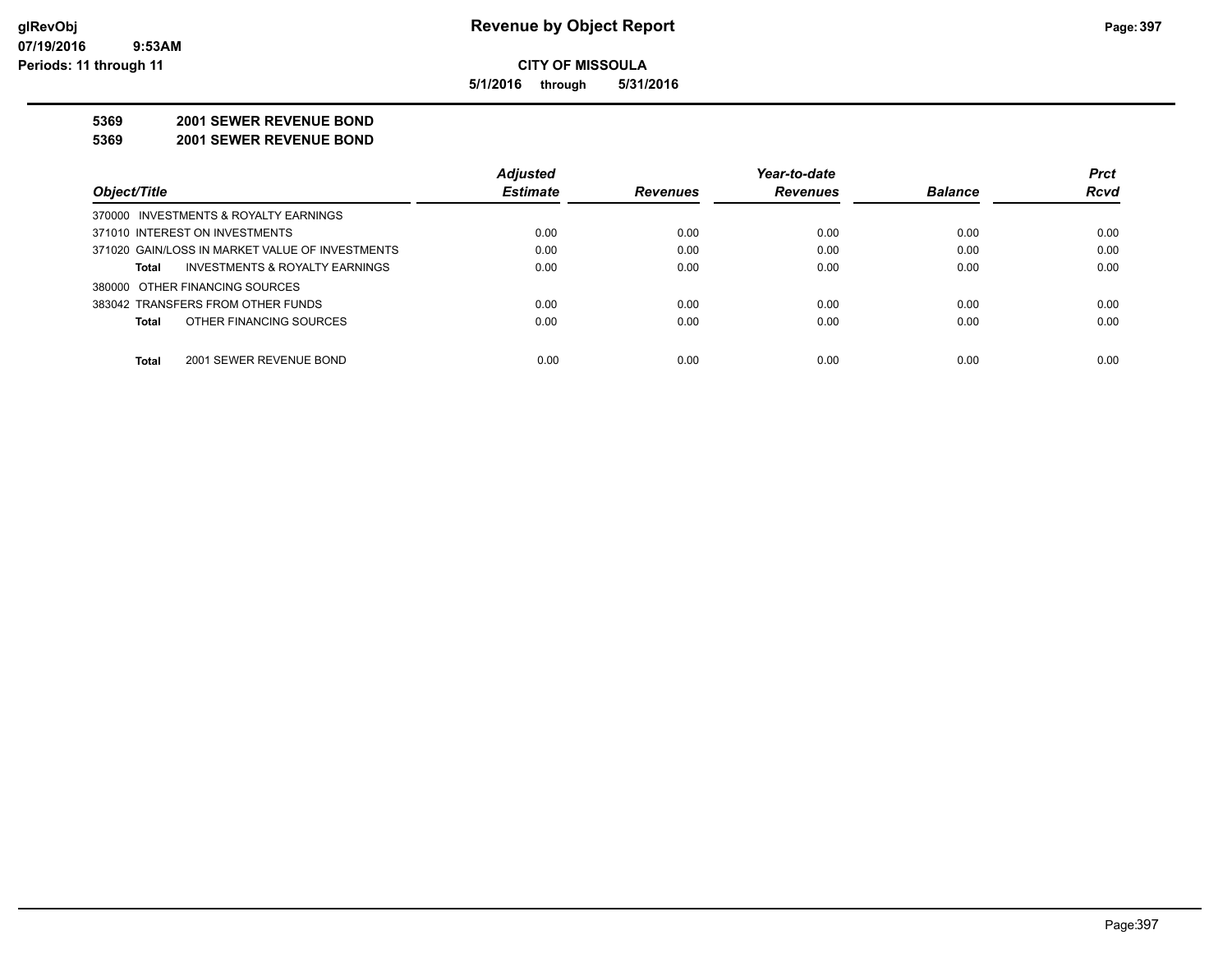**5/1/2016 through 5/31/2016**

#### **5369 2001 SEWER REVENUE BOND**

**5369 2001 SEWER REVENUE BOND**

|                                                 | <b>Adjusted</b> |                 | Year-to-date    |                | <b>Prct</b> |
|-------------------------------------------------|-----------------|-----------------|-----------------|----------------|-------------|
| Object/Title                                    | <b>Estimate</b> | <b>Revenues</b> | <b>Revenues</b> | <b>Balance</b> | <b>Rcvd</b> |
| 370000 INVESTMENTS & ROYALTY EARNINGS           |                 |                 |                 |                |             |
| 371010 INTEREST ON INVESTMENTS                  | 0.00            | 0.00            | 0.00            | 0.00           | 0.00        |
| 371020 GAIN/LOSS IN MARKET VALUE OF INVESTMENTS | 0.00            | 0.00            | 0.00            | 0.00           | 0.00        |
| INVESTMENTS & ROYALTY EARNINGS<br>Total         | 0.00            | 0.00            | 0.00            | 0.00           | 0.00        |
| 380000 OTHER FINANCING SOURCES                  |                 |                 |                 |                |             |
| 383042 TRANSFERS FROM OTHER FUNDS               | 0.00            | 0.00            | 0.00            | 0.00           | 0.00        |
| OTHER FINANCING SOURCES<br>Total                | 0.00            | 0.00            | 0.00            | 0.00           | 0.00        |
|                                                 |                 |                 |                 |                |             |
| <b>Total</b><br>2001 SEWER REVENUE BOND         | 0.00            | 0.00            | 0.00            | 0.00           | 0.00        |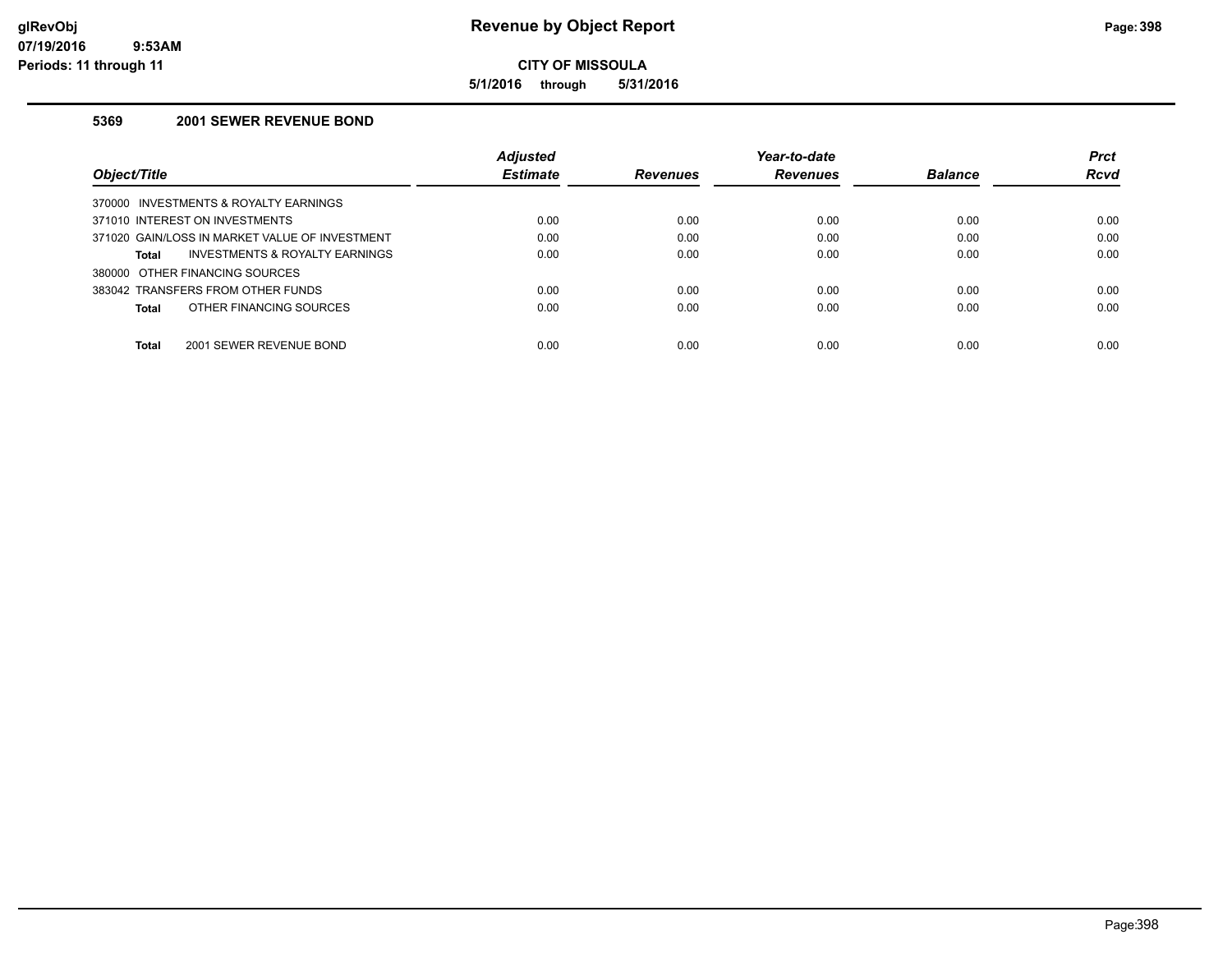**5/1/2016 through 5/31/2016**

### **5369 2001 SEWER REVENUE BOND**

|                                                | <b>Adjusted</b> |                 | Year-to-date    |                | <b>Prct</b> |
|------------------------------------------------|-----------------|-----------------|-----------------|----------------|-------------|
| Object/Title                                   | <b>Estimate</b> | <b>Revenues</b> | <b>Revenues</b> | <b>Balance</b> | <b>Rcvd</b> |
| 370000 INVESTMENTS & ROYALTY EARNINGS          |                 |                 |                 |                |             |
| 371010 INTEREST ON INVESTMENTS                 | 0.00            | 0.00            | 0.00            | 0.00           | 0.00        |
| 371020 GAIN/LOSS IN MARKET VALUE OF INVESTMENT | 0.00            | 0.00            | 0.00            | 0.00           | 0.00        |
| INVESTMENTS & ROYALTY EARNINGS<br>Total        | 0.00            | 0.00            | 0.00            | 0.00           | 0.00        |
| 380000 OTHER FINANCING SOURCES                 |                 |                 |                 |                |             |
| 383042 TRANSFERS FROM OTHER FUNDS              | 0.00            | 0.00            | 0.00            | 0.00           | 0.00        |
| OTHER FINANCING SOURCES<br><b>Total</b>        | 0.00            | 0.00            | 0.00            | 0.00           | 0.00        |
| <b>Total</b><br>2001 SEWER REVENUE BOND        | 0.00            | 0.00            | 0.00            | 0.00           | 0.00        |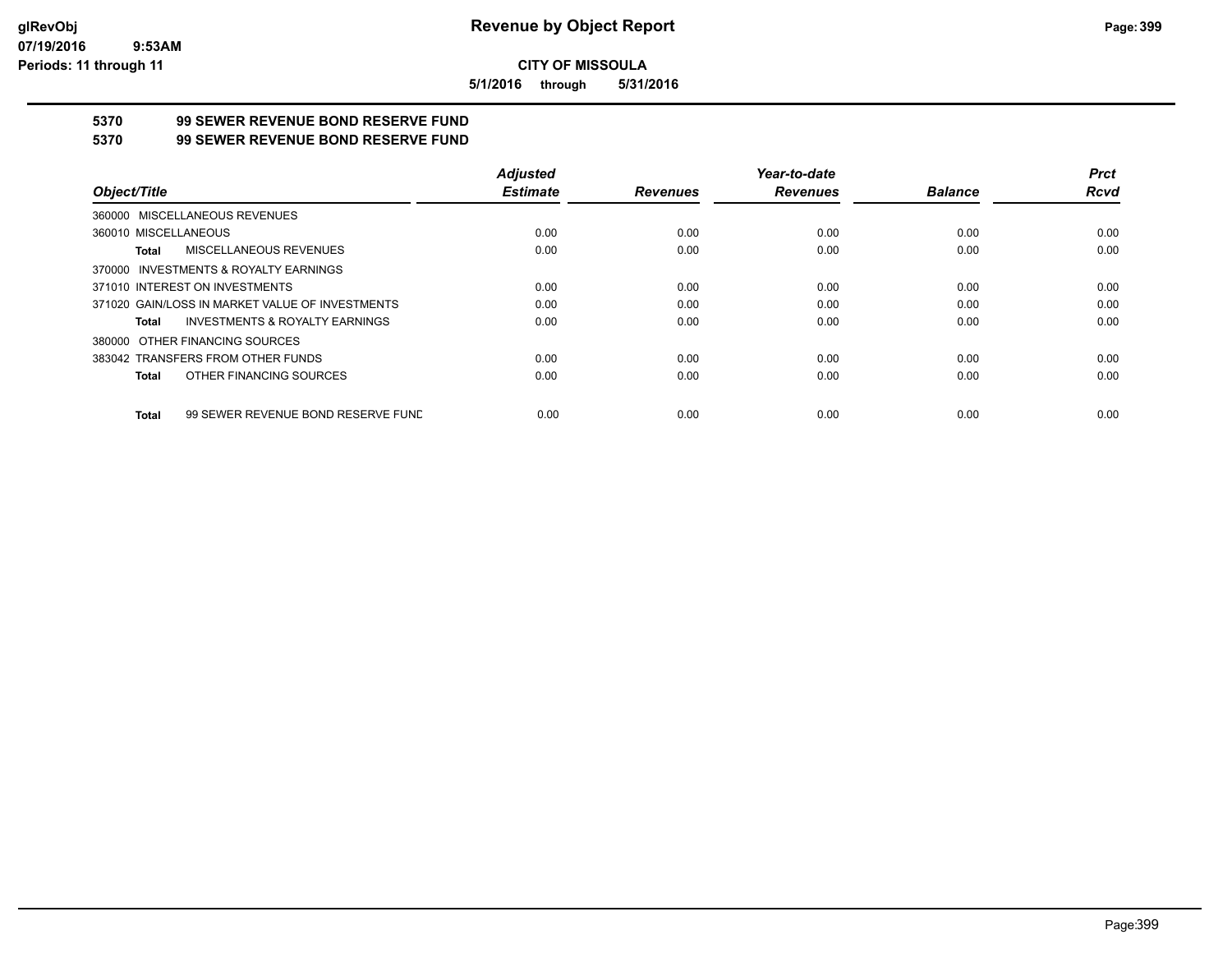**5/1/2016 through 5/31/2016**

## **5370 99 SEWER REVENUE BOND RESERVE FUND**

### **5370 99 SEWER REVENUE BOND RESERVE FUND**

|                                                    | <b>Adjusted</b> |                 | Year-to-date    |                | <b>Prct</b> |
|----------------------------------------------------|-----------------|-----------------|-----------------|----------------|-------------|
| Object/Title                                       | <b>Estimate</b> | <b>Revenues</b> | <b>Revenues</b> | <b>Balance</b> | <b>Rcvd</b> |
| 360000 MISCELLANEOUS REVENUES                      |                 |                 |                 |                |             |
| 360010 MISCELLANEOUS                               | 0.00            | 0.00            | 0.00            | 0.00           | 0.00        |
| MISCELLANEOUS REVENUES<br>Total                    | 0.00            | 0.00            | 0.00            | 0.00           | 0.00        |
| 370000 INVESTMENTS & ROYALTY EARNINGS              |                 |                 |                 |                |             |
| 371010 INTEREST ON INVESTMENTS                     | 0.00            | 0.00            | 0.00            | 0.00           | 0.00        |
| 371020 GAIN/LOSS IN MARKET VALUE OF INVESTMENTS    | 0.00            | 0.00            | 0.00            | 0.00           | 0.00        |
| <b>INVESTMENTS &amp; ROYALTY EARNINGS</b><br>Total | 0.00            | 0.00            | 0.00            | 0.00           | 0.00        |
| 380000 OTHER FINANCING SOURCES                     |                 |                 |                 |                |             |
| 383042 TRANSFERS FROM OTHER FUNDS                  | 0.00            | 0.00            | 0.00            | 0.00           | 0.00        |
| OTHER FINANCING SOURCES<br>Total                   | 0.00            | 0.00            | 0.00            | 0.00           | 0.00        |
| 99 SEWER REVENUE BOND RESERVE FUND<br><b>Total</b> | 0.00            | 0.00            | 0.00            | 0.00           | 0.00        |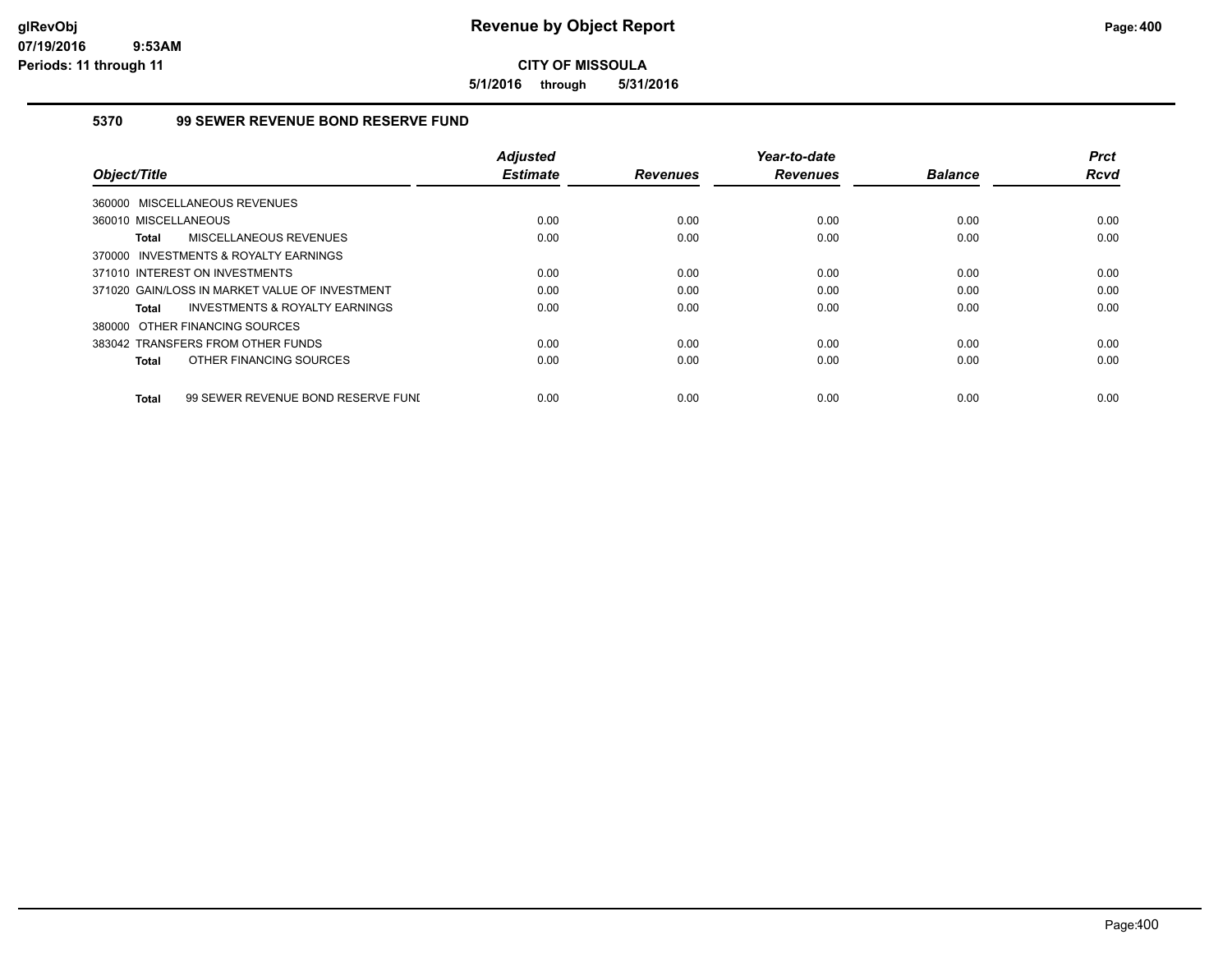**5/1/2016 through 5/31/2016**

## **5370 99 SEWER REVENUE BOND RESERVE FUND**

| Object/Title                                       | <b>Adjusted</b><br><b>Estimate</b> | <b>Revenues</b> | Year-to-date<br><b>Revenues</b> | <b>Balance</b> | <b>Prct</b><br><b>Rcvd</b> |
|----------------------------------------------------|------------------------------------|-----------------|---------------------------------|----------------|----------------------------|
| 360000 MISCELLANEOUS REVENUES                      |                                    |                 |                                 |                |                            |
|                                                    |                                    |                 |                                 |                |                            |
| 360010 MISCELLANEOUS                               | 0.00                               | 0.00            | 0.00                            | 0.00           | 0.00                       |
| MISCELLANEOUS REVENUES<br><b>Total</b>             | 0.00                               | 0.00            | 0.00                            | 0.00           | 0.00                       |
| 370000 INVESTMENTS & ROYALTY EARNINGS              |                                    |                 |                                 |                |                            |
| 371010 INTEREST ON INVESTMENTS                     | 0.00                               | 0.00            | 0.00                            | 0.00           | 0.00                       |
| 371020 GAIN/LOSS IN MARKET VALUE OF INVESTMENT     | 0.00                               | 0.00            | 0.00                            | 0.00           | 0.00                       |
| INVESTMENTS & ROYALTY EARNINGS<br><b>Total</b>     | 0.00                               | 0.00            | 0.00                            | 0.00           | 0.00                       |
| 380000 OTHER FINANCING SOURCES                     |                                    |                 |                                 |                |                            |
| 383042 TRANSFERS FROM OTHER FUNDS                  | 0.00                               | 0.00            | 0.00                            | 0.00           | 0.00                       |
| OTHER FINANCING SOURCES<br><b>Total</b>            | 0.00                               | 0.00            | 0.00                            | 0.00           | 0.00                       |
| 99 SEWER REVENUE BOND RESERVE FUNI<br><b>Total</b> | 0.00                               | 0.00            | 0.00                            | 0.00           | 0.00                       |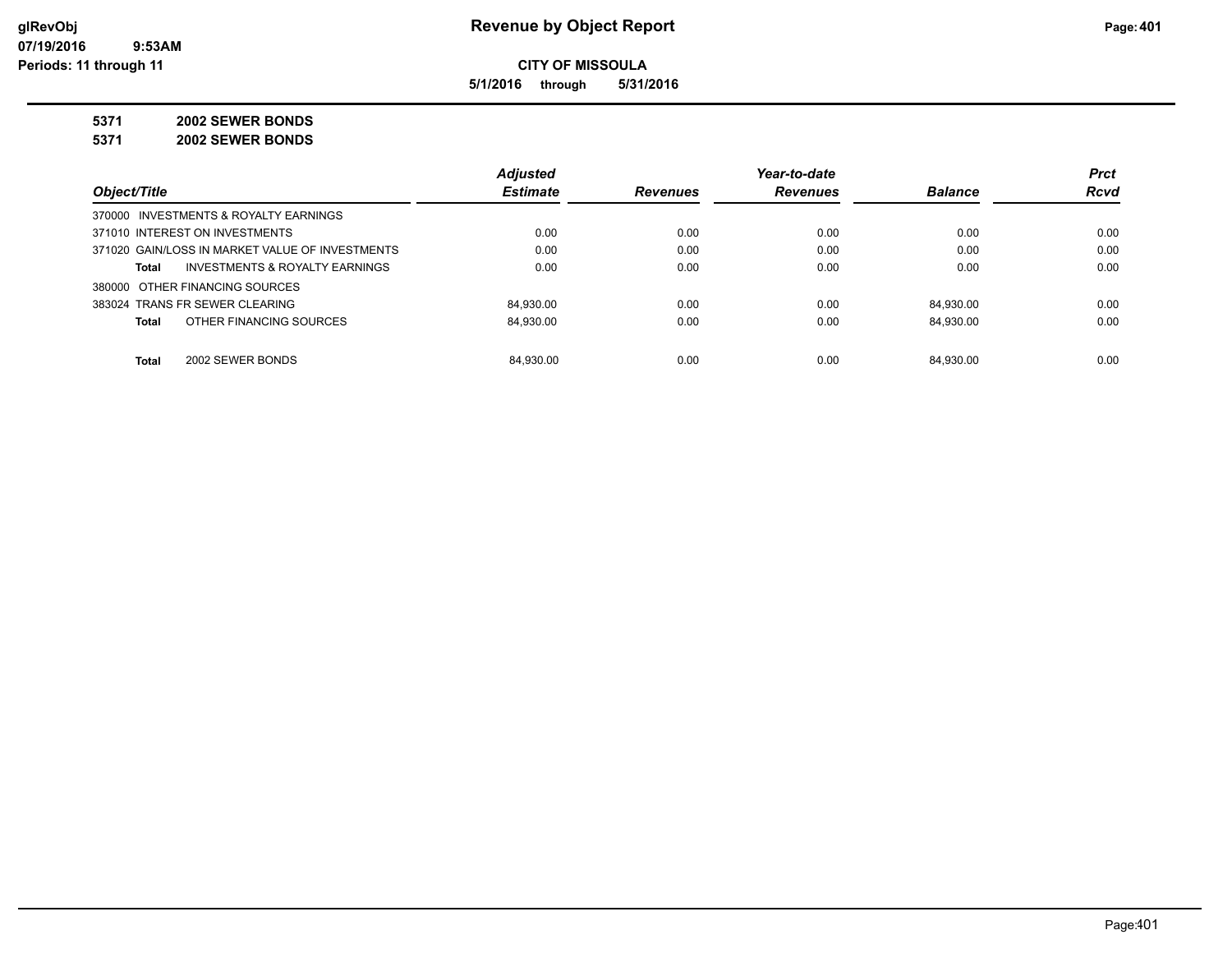**5/1/2016 through 5/31/2016**

**5371 2002 SEWER BONDS**

**5371 2002 SEWER BONDS**

|                                                 | <b>Adjusted</b> |                 | Year-to-date    |                | <b>Prct</b> |
|-------------------------------------------------|-----------------|-----------------|-----------------|----------------|-------------|
| Object/Title                                    | <b>Estimate</b> | <b>Revenues</b> | <b>Revenues</b> | <b>Balance</b> | <b>Rcvd</b> |
| 370000 INVESTMENTS & ROYALTY EARNINGS           |                 |                 |                 |                |             |
| 371010 INTEREST ON INVESTMENTS                  | 0.00            | 0.00            | 0.00            | 0.00           | 0.00        |
| 371020 GAIN/LOSS IN MARKET VALUE OF INVESTMENTS | 0.00            | 0.00            | 0.00            | 0.00           | 0.00        |
| INVESTMENTS & ROYALTY EARNINGS<br>Total         | 0.00            | 0.00            | 0.00            | 0.00           | 0.00        |
| 380000 OTHER FINANCING SOURCES                  |                 |                 |                 |                |             |
| 383024 TRANS FR SEWER CLEARING                  | 84.930.00       | 0.00            | 0.00            | 84.930.00      | 0.00        |
| OTHER FINANCING SOURCES<br>Total                | 84.930.00       | 0.00            | 0.00            | 84.930.00      | 0.00        |
|                                                 |                 |                 |                 |                |             |
| <b>Total</b><br>2002 SEWER BONDS                | 84.930.00       | 0.00            | 0.00            | 84.930.00      | 0.00        |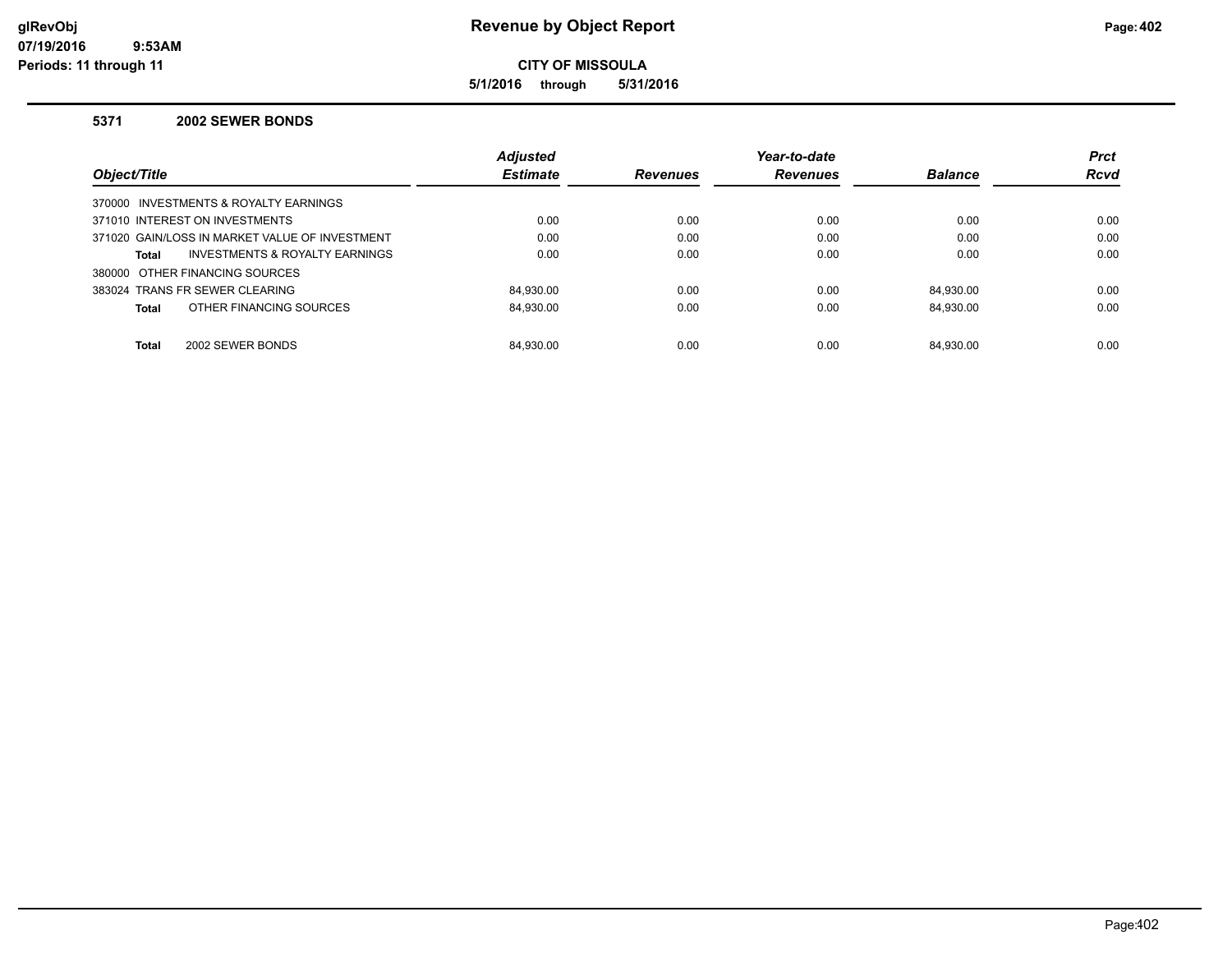## **glRevObj Revenue by Object Report Page:402**

**CITY OF MISSOULA**

**5/1/2016 through 5/31/2016**

#### **5371 2002 SEWER BONDS**

|                                                    | <b>Adjusted</b> |                 | Year-to-date    |                | <b>Prct</b> |
|----------------------------------------------------|-----------------|-----------------|-----------------|----------------|-------------|
| Object/Title                                       | <b>Estimate</b> | <b>Revenues</b> | <b>Revenues</b> | <b>Balance</b> | <b>Rcvd</b> |
| 370000 INVESTMENTS & ROYALTY EARNINGS              |                 |                 |                 |                |             |
| 371010 INTEREST ON INVESTMENTS                     | 0.00            | 0.00            | 0.00            | 0.00           | 0.00        |
| 371020 GAIN/LOSS IN MARKET VALUE OF INVESTMENT     | 0.00            | 0.00            | 0.00            | 0.00           | 0.00        |
| <b>INVESTMENTS &amp; ROYALTY EARNINGS</b><br>Total | 0.00            | 0.00            | 0.00            | 0.00           | 0.00        |
| 380000 OTHER FINANCING SOURCES                     |                 |                 |                 |                |             |
| 383024 TRANS FR SEWER CLEARING                     | 84.930.00       | 0.00            | 0.00            | 84.930.00      | 0.00        |
| OTHER FINANCING SOURCES<br><b>Total</b>            | 84.930.00       | 0.00            | 0.00            | 84.930.00      | 0.00        |
|                                                    |                 |                 |                 |                |             |
| <b>Total</b><br>2002 SEWER BONDS                   | 84.930.00       | 0.00            | 0.00            | 84.930.00      | 0.00        |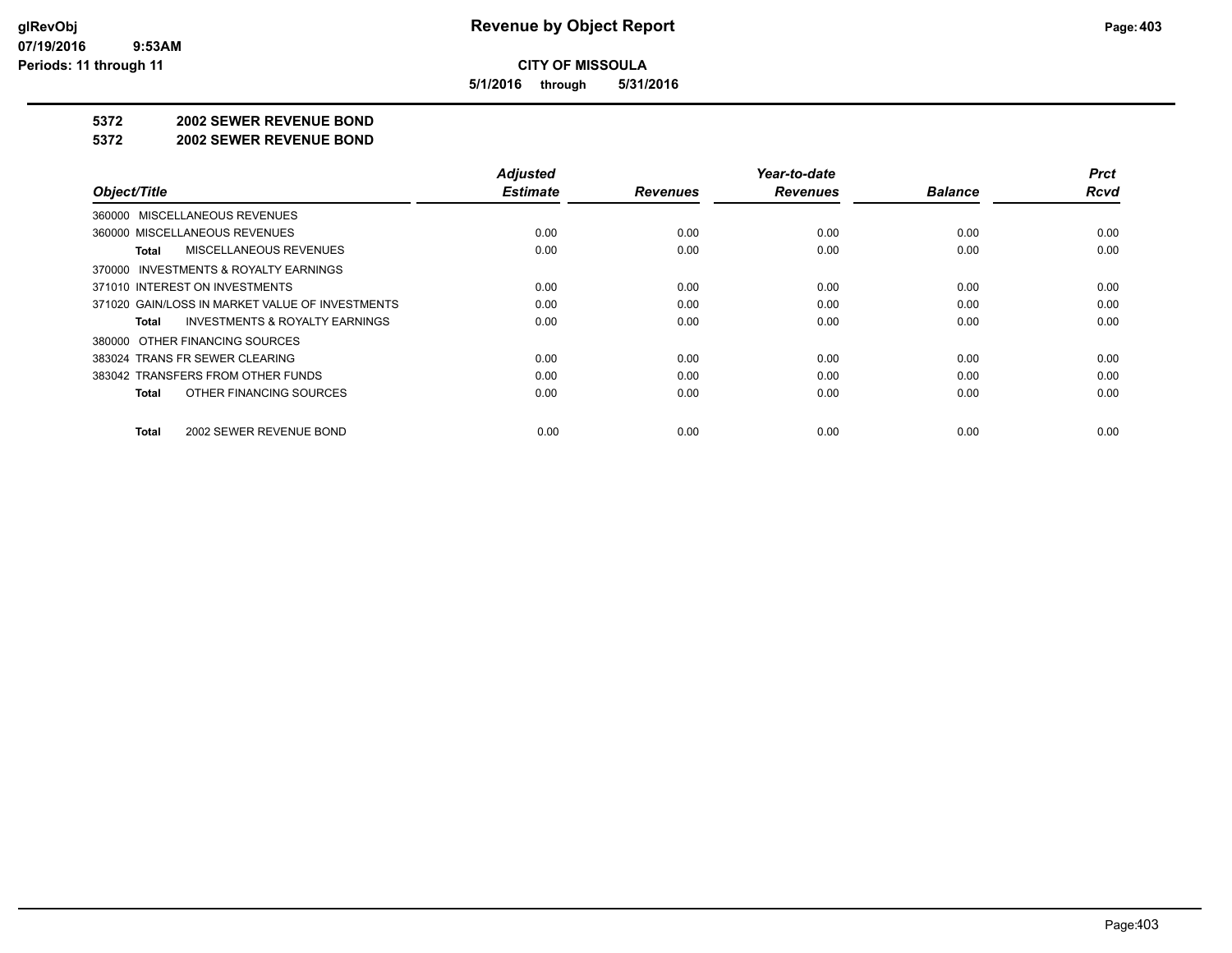**5/1/2016 through 5/31/2016**

#### **5372 2002 SEWER REVENUE BOND**

#### **5372 2002 SEWER REVENUE BOND**

| Object/Title                                       | <b>Adjusted</b><br><b>Estimate</b> | <b>Revenues</b> | Year-to-date<br><b>Revenues</b> | <b>Balance</b> | <b>Prct</b><br><b>Rcvd</b> |
|----------------------------------------------------|------------------------------------|-----------------|---------------------------------|----------------|----------------------------|
|                                                    |                                    |                 |                                 |                |                            |
| 360000 MISCELLANEOUS REVENUES                      |                                    |                 |                                 |                |                            |
| 360000 MISCELLANEOUS REVENUES                      | 0.00                               | 0.00            | 0.00                            | 0.00           | 0.00                       |
| MISCELLANEOUS REVENUES<br>Total                    | 0.00                               | 0.00            | 0.00                            | 0.00           | 0.00                       |
| 370000 INVESTMENTS & ROYALTY EARNINGS              |                                    |                 |                                 |                |                            |
| 371010 INTEREST ON INVESTMENTS                     | 0.00                               | 0.00            | 0.00                            | 0.00           | 0.00                       |
| 371020 GAIN/LOSS IN MARKET VALUE OF INVESTMENTS    | 0.00                               | 0.00            | 0.00                            | 0.00           | 0.00                       |
| <b>INVESTMENTS &amp; ROYALTY EARNINGS</b><br>Total | 0.00                               | 0.00            | 0.00                            | 0.00           | 0.00                       |
| 380000 OTHER FINANCING SOURCES                     |                                    |                 |                                 |                |                            |
| 383024 TRANS FR SEWER CLEARING                     | 0.00                               | 0.00            | 0.00                            | 0.00           | 0.00                       |
| 383042 TRANSFERS FROM OTHER FUNDS                  | 0.00                               | 0.00            | 0.00                            | 0.00           | 0.00                       |
| OTHER FINANCING SOURCES<br>Total                   | 0.00                               | 0.00            | 0.00                            | 0.00           | 0.00                       |
| 2002 SEWER REVENUE BOND<br>Total                   | 0.00                               | 0.00            | 0.00                            | 0.00           | 0.00                       |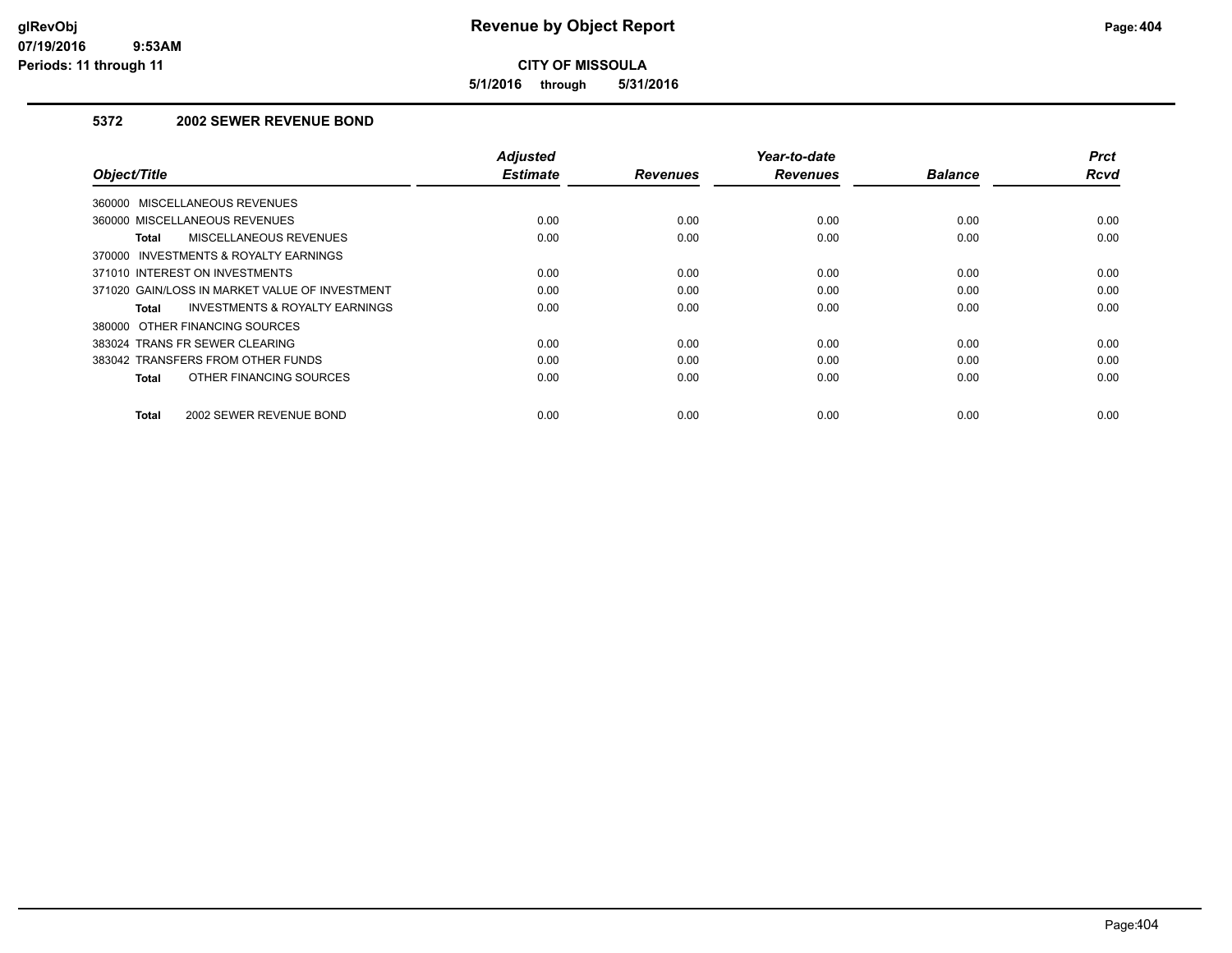**5/1/2016 through 5/31/2016**

## **5372 2002 SEWER REVENUE BOND**

| Object/Title                                       | <b>Adjusted</b><br><b>Estimate</b> | <b>Revenues</b> | Year-to-date<br><b>Revenues</b> | <b>Balance</b> | <b>Prct</b><br>Rcvd |
|----------------------------------------------------|------------------------------------|-----------------|---------------------------------|----------------|---------------------|
| 360000 MISCELLANEOUS REVENUES                      |                                    |                 |                                 |                |                     |
| 360000 MISCELLANEOUS REVENUES                      | 0.00                               | 0.00            | 0.00                            | 0.00           | 0.00                |
| <b>MISCELLANEOUS REVENUES</b><br>Total             | 0.00                               | 0.00            | 0.00                            | 0.00           | 0.00                |
| 370000 INVESTMENTS & ROYALTY EARNINGS              |                                    |                 |                                 |                |                     |
| 371010 INTEREST ON INVESTMENTS                     | 0.00                               | 0.00            | 0.00                            | 0.00           | 0.00                |
| 371020 GAIN/LOSS IN MARKET VALUE OF INVESTMENT     | 0.00                               | 0.00            | 0.00                            | 0.00           | 0.00                |
| <b>INVESTMENTS &amp; ROYALTY EARNINGS</b><br>Total | 0.00                               | 0.00            | 0.00                            | 0.00           | 0.00                |
| 380000 OTHER FINANCING SOURCES                     |                                    |                 |                                 |                |                     |
| 383024 TRANS FR SEWER CLEARING                     | 0.00                               | 0.00            | 0.00                            | 0.00           | 0.00                |
| 383042 TRANSFERS FROM OTHER FUNDS                  | 0.00                               | 0.00            | 0.00                            | 0.00           | 0.00                |
| OTHER FINANCING SOURCES<br>Total                   | 0.00                               | 0.00            | 0.00                            | 0.00           | 0.00                |
| <b>Total</b><br>2002 SEWER REVENUE BOND            | 0.00                               | 0.00            | 0.00                            | 0.00           | 0.00                |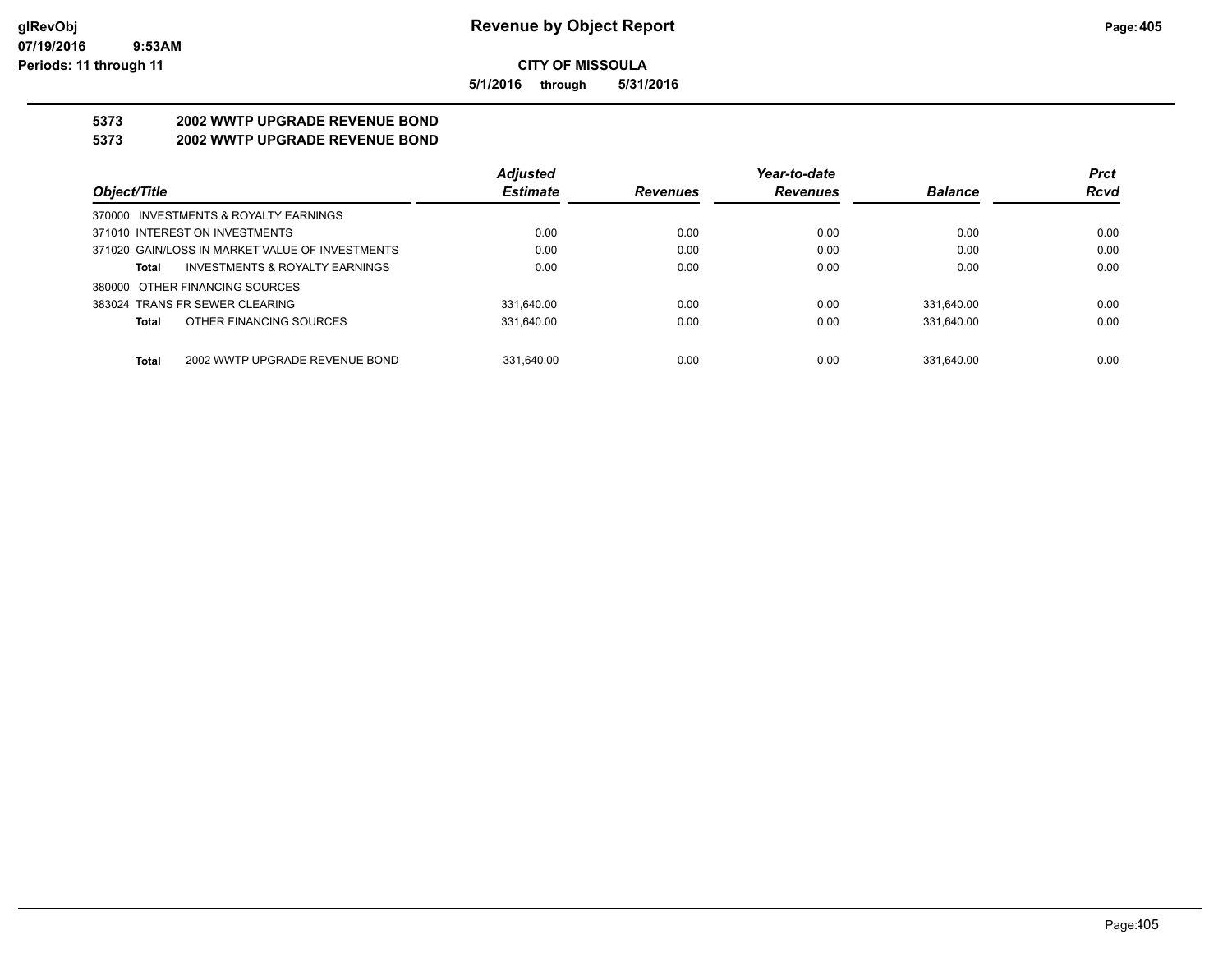**5/1/2016 through 5/31/2016**

# **5373 2002 WWTP UPGRADE REVENUE BOND**

## **5373 2002 WWTP UPGRADE REVENUE BOND**

|                                                 | <b>Adjusted</b> |                 | Year-to-date    |                | <b>Prct</b> |
|-------------------------------------------------|-----------------|-----------------|-----------------|----------------|-------------|
| Object/Title                                    | <b>Estimate</b> | <b>Revenues</b> | <b>Revenues</b> | <b>Balance</b> | <b>Rcvd</b> |
| 370000 INVESTMENTS & ROYALTY EARNINGS           |                 |                 |                 |                |             |
| 371010 INTEREST ON INVESTMENTS                  | 0.00            | 0.00            | 0.00            | 0.00           | 0.00        |
| 371020 GAIN/LOSS IN MARKET VALUE OF INVESTMENTS | 0.00            | 0.00            | 0.00            | 0.00           | 0.00        |
| INVESTMENTS & ROYALTY EARNINGS<br>Total         | 0.00            | 0.00            | 0.00            | 0.00           | 0.00        |
| 380000 OTHER FINANCING SOURCES                  |                 |                 |                 |                |             |
| 383024 TRANS FR SEWER CLEARING                  | 331.640.00      | 0.00            | 0.00            | 331.640.00     | 0.00        |
| OTHER FINANCING SOURCES<br>Total                | 331.640.00      | 0.00            | 0.00            | 331.640.00     | 0.00        |
|                                                 |                 |                 |                 |                |             |
| 2002 WWTP UPGRADE REVENUE BOND<br><b>Total</b>  | 331.640.00      | 0.00            | 0.00            | 331.640.00     | 0.00        |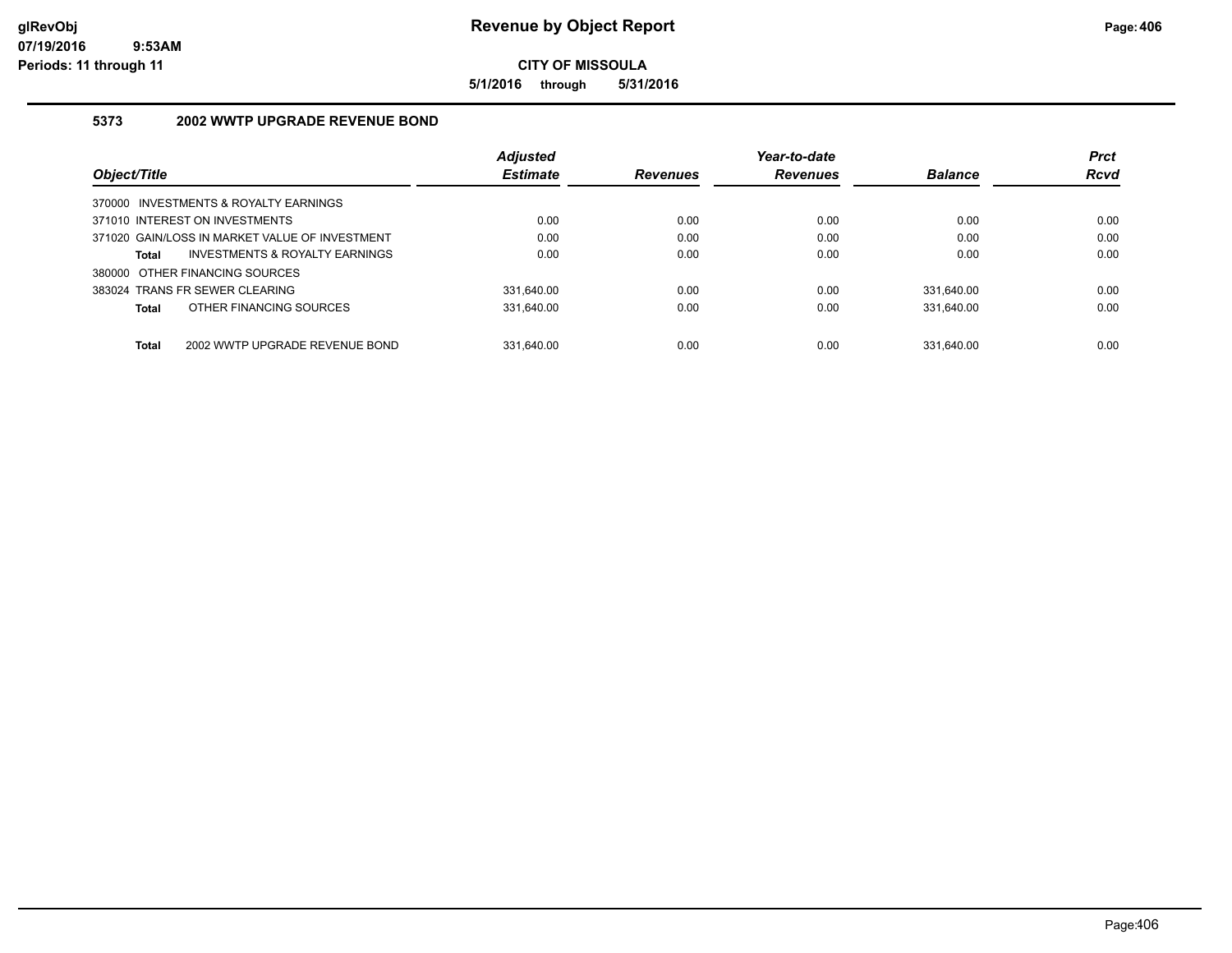**5/1/2016 through 5/31/2016**

## **5373 2002 WWTP UPGRADE REVENUE BOND**

|                                                | <b>Adjusted</b> |                 | Year-to-date    |                | <b>Prct</b> |
|------------------------------------------------|-----------------|-----------------|-----------------|----------------|-------------|
| Object/Title                                   | <b>Estimate</b> | <b>Revenues</b> | <b>Revenues</b> | <b>Balance</b> | <b>Rcvd</b> |
| 370000 INVESTMENTS & ROYALTY EARNINGS          |                 |                 |                 |                |             |
| 371010 INTEREST ON INVESTMENTS                 | 0.00            | 0.00            | 0.00            | 0.00           | 0.00        |
| 371020 GAIN/LOSS IN MARKET VALUE OF INVESTMENT | 0.00            | 0.00            | 0.00            | 0.00           | 0.00        |
| INVESTMENTS & ROYALTY EARNINGS<br>Total        | 0.00            | 0.00            | 0.00            | 0.00           | 0.00        |
| 380000 OTHER FINANCING SOURCES                 |                 |                 |                 |                |             |
| 383024 TRANS FR SEWER CLEARING                 | 331.640.00      | 0.00            | 0.00            | 331.640.00     | 0.00        |
| OTHER FINANCING SOURCES<br>Total               | 331.640.00      | 0.00            | 0.00            | 331.640.00     | 0.00        |
| <b>Total</b><br>2002 WWTP UPGRADE REVENUE BOND | 331.640.00      | 0.00            | 0.00            | 331.640.00     | 0.00        |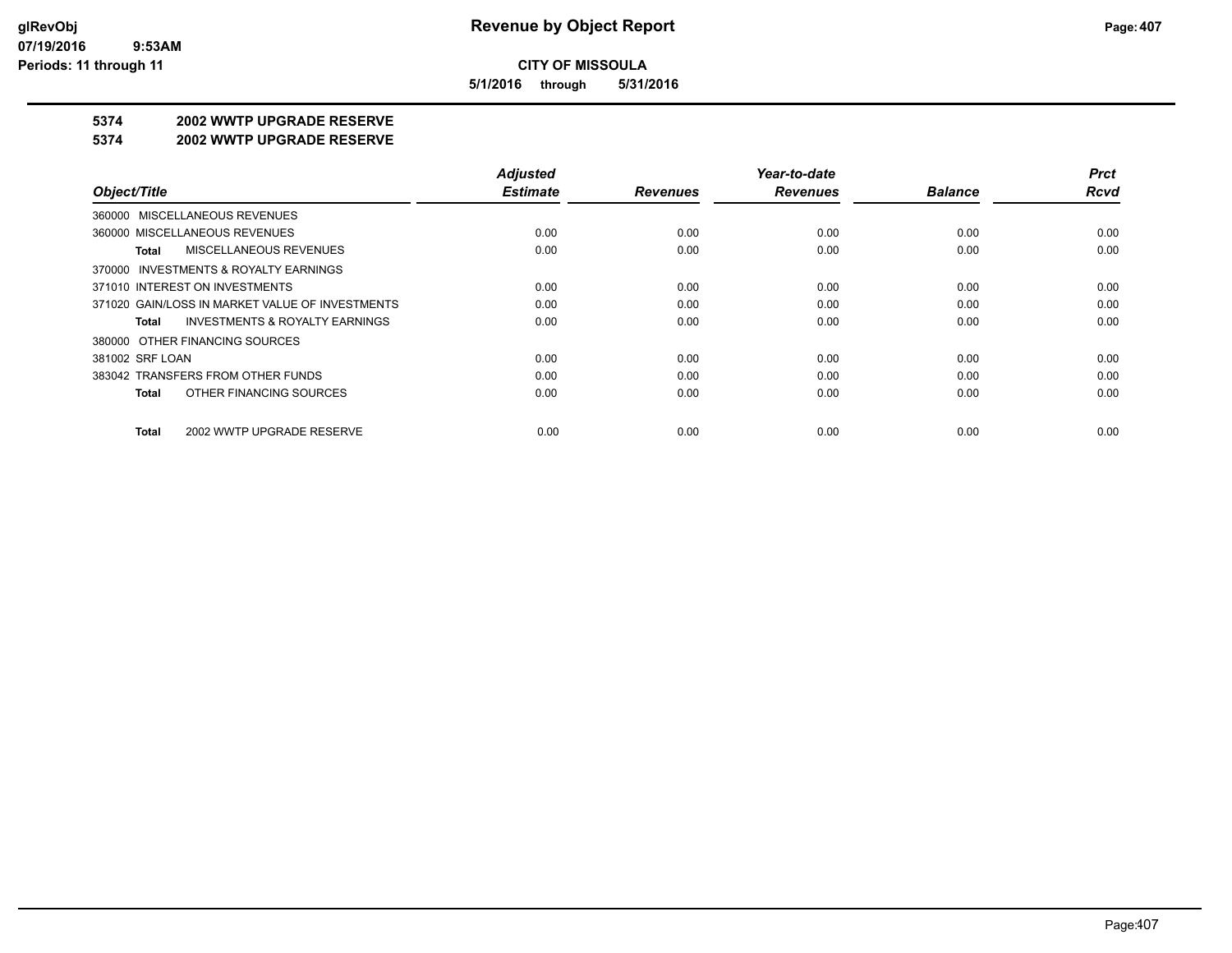**5/1/2016 through 5/31/2016**

#### **5374 2002 WWTP UPGRADE RESERVE**

#### **5374 2002 WWTP UPGRADE RESERVE**

|                                                    | <b>Adjusted</b> |                 | Year-to-date    |                | <b>Prct</b> |
|----------------------------------------------------|-----------------|-----------------|-----------------|----------------|-------------|
| Object/Title                                       | <b>Estimate</b> | <b>Revenues</b> | <b>Revenues</b> | <b>Balance</b> | Rcvd        |
| 360000 MISCELLANEOUS REVENUES                      |                 |                 |                 |                |             |
| 360000 MISCELLANEOUS REVENUES                      | 0.00            | 0.00            | 0.00            | 0.00           | 0.00        |
| MISCELLANEOUS REVENUES<br>Total                    | 0.00            | 0.00            | 0.00            | 0.00           | 0.00        |
| 370000 INVESTMENTS & ROYALTY EARNINGS              |                 |                 |                 |                |             |
| 371010 INTEREST ON INVESTMENTS                     | 0.00            | 0.00            | 0.00            | 0.00           | 0.00        |
| 371020 GAIN/LOSS IN MARKET VALUE OF INVESTMENTS    | 0.00            | 0.00            | 0.00            | 0.00           | 0.00        |
| <b>INVESTMENTS &amp; ROYALTY EARNINGS</b><br>Total | 0.00            | 0.00            | 0.00            | 0.00           | 0.00        |
| 380000 OTHER FINANCING SOURCES                     |                 |                 |                 |                |             |
| 381002 SRF LOAN                                    | 0.00            | 0.00            | 0.00            | 0.00           | 0.00        |
| 383042 TRANSFERS FROM OTHER FUNDS                  | 0.00            | 0.00            | 0.00            | 0.00           | 0.00        |
| OTHER FINANCING SOURCES<br>Total                   | 0.00            | 0.00            | 0.00            | 0.00           | 0.00        |
| 2002 WWTP UPGRADE RESERVE<br>Total                 | 0.00            | 0.00            | 0.00            | 0.00           | 0.00        |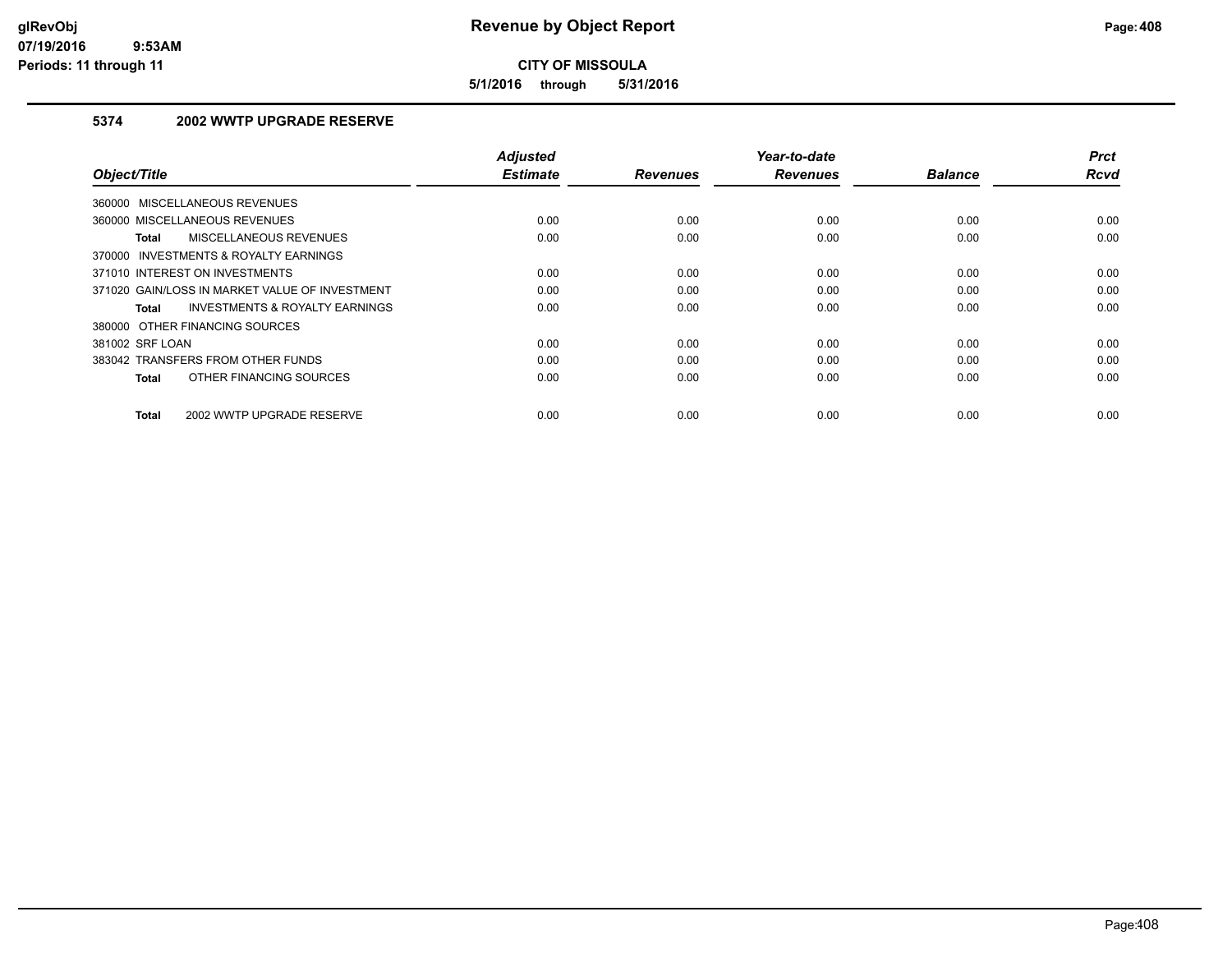**5/1/2016 through 5/31/2016**

## **5374 2002 WWTP UPGRADE RESERVE**

| Object/Title                                       | <b>Adjusted</b><br><b>Estimate</b> | <b>Revenues</b> | Year-to-date<br><b>Revenues</b> | <b>Balance</b> | <b>Prct</b><br><b>Rcvd</b> |
|----------------------------------------------------|------------------------------------|-----------------|---------------------------------|----------------|----------------------------|
| 360000 MISCELLANEOUS REVENUES                      |                                    |                 |                                 |                |                            |
| 360000 MISCELLANEOUS REVENUES                      | 0.00                               | 0.00            | 0.00                            | 0.00           | 0.00                       |
| MISCELLANEOUS REVENUES<br>Total                    | 0.00                               | 0.00            | 0.00                            | 0.00           | 0.00                       |
| 370000 INVESTMENTS & ROYALTY EARNINGS              |                                    |                 |                                 |                |                            |
| 371010 INTEREST ON INVESTMENTS                     | 0.00                               | 0.00            | 0.00                            | 0.00           | 0.00                       |
| 371020 GAIN/LOSS IN MARKET VALUE OF INVESTMENT     | 0.00                               | 0.00            | 0.00                            | 0.00           | 0.00                       |
| <b>INVESTMENTS &amp; ROYALTY EARNINGS</b><br>Total | 0.00                               | 0.00            | 0.00                            | 0.00           | 0.00                       |
| 380000 OTHER FINANCING SOURCES                     |                                    |                 |                                 |                |                            |
| 381002 SRF LOAN                                    | 0.00                               | 0.00            | 0.00                            | 0.00           | 0.00                       |
| 383042 TRANSFERS FROM OTHER FUNDS                  | 0.00                               | 0.00            | 0.00                            | 0.00           | 0.00                       |
| OTHER FINANCING SOURCES<br>Total                   | 0.00                               | 0.00            | 0.00                            | 0.00           | 0.00                       |
| 2002 WWTP UPGRADE RESERVE<br>Total                 | 0.00                               | 0.00            | 0.00                            | 0.00           | 0.00                       |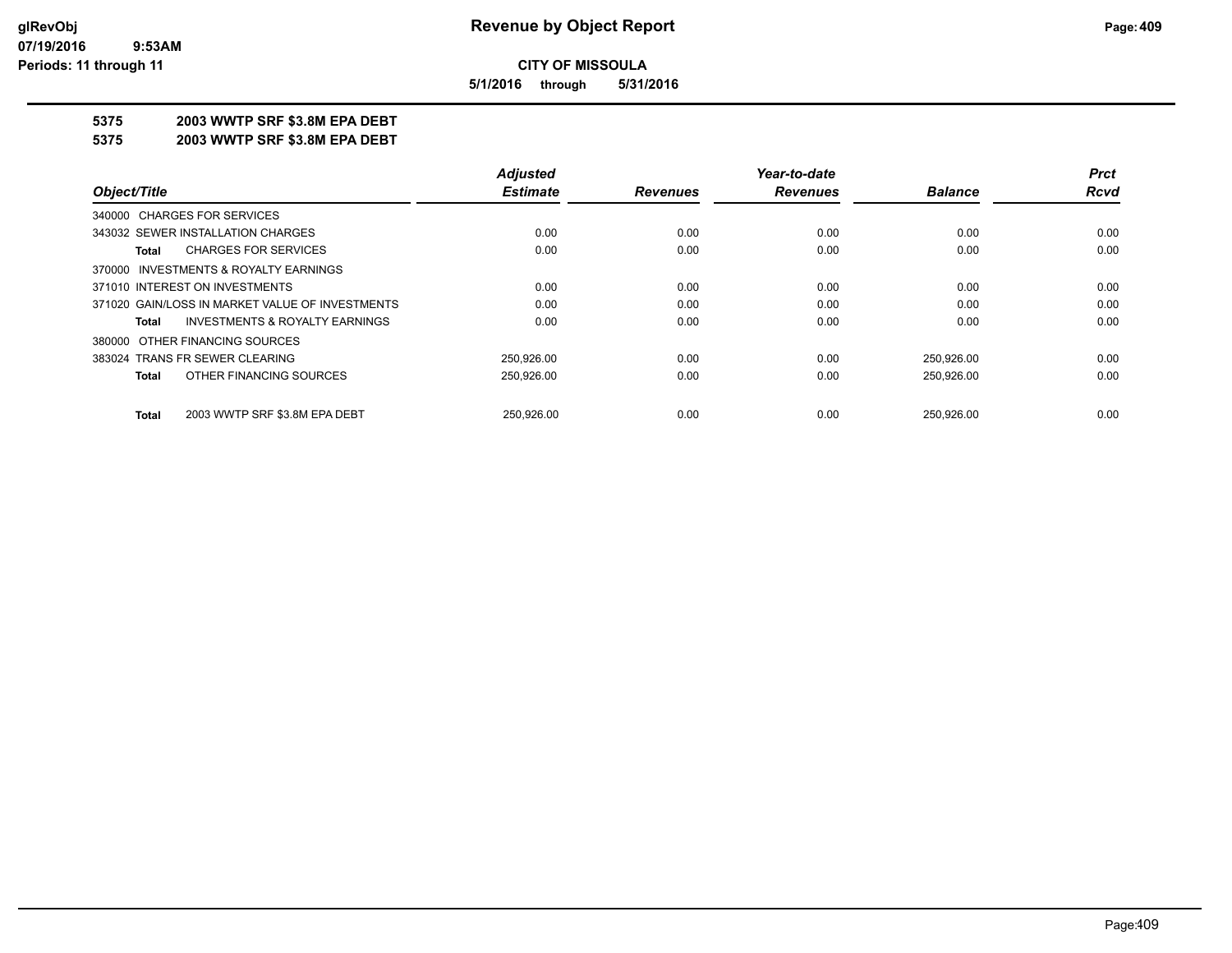**5/1/2016 through 5/31/2016**

## **5375 2003 WWTP SRF \$3.8M EPA DEBT**

**5375 2003 WWTP SRF \$3.8M EPA DEBT**

|                                                 | <b>Adjusted</b> |                 | Year-to-date    |                | <b>Prct</b> |
|-------------------------------------------------|-----------------|-----------------|-----------------|----------------|-------------|
| Object/Title                                    | <b>Estimate</b> | <b>Revenues</b> | <b>Revenues</b> | <b>Balance</b> | <b>Rcvd</b> |
| 340000 CHARGES FOR SERVICES                     |                 |                 |                 |                |             |
| 343032 SEWER INSTALLATION CHARGES               | 0.00            | 0.00            | 0.00            | 0.00           | 0.00        |
| <b>CHARGES FOR SERVICES</b><br>Total            | 0.00            | 0.00            | 0.00            | 0.00           | 0.00        |
| 370000 INVESTMENTS & ROYALTY EARNINGS           |                 |                 |                 |                |             |
| 371010 INTEREST ON INVESTMENTS                  | 0.00            | 0.00            | 0.00            | 0.00           | 0.00        |
| 371020 GAIN/LOSS IN MARKET VALUE OF INVESTMENTS | 0.00            | 0.00            | 0.00            | 0.00           | 0.00        |
| INVESTMENTS & ROYALTY EARNINGS<br>Total         | 0.00            | 0.00            | 0.00            | 0.00           | 0.00        |
| 380000 OTHER FINANCING SOURCES                  |                 |                 |                 |                |             |
| 383024 TRANS FR SEWER CLEARING                  | 250.926.00      | 0.00            | 0.00            | 250.926.00     | 0.00        |
| OTHER FINANCING SOURCES<br><b>Total</b>         | 250.926.00      | 0.00            | 0.00            | 250,926.00     | 0.00        |
| 2003 WWTP SRF \$3.8M EPA DEBT<br><b>Total</b>   | 250.926.00      | 0.00            | 0.00            | 250.926.00     | 0.00        |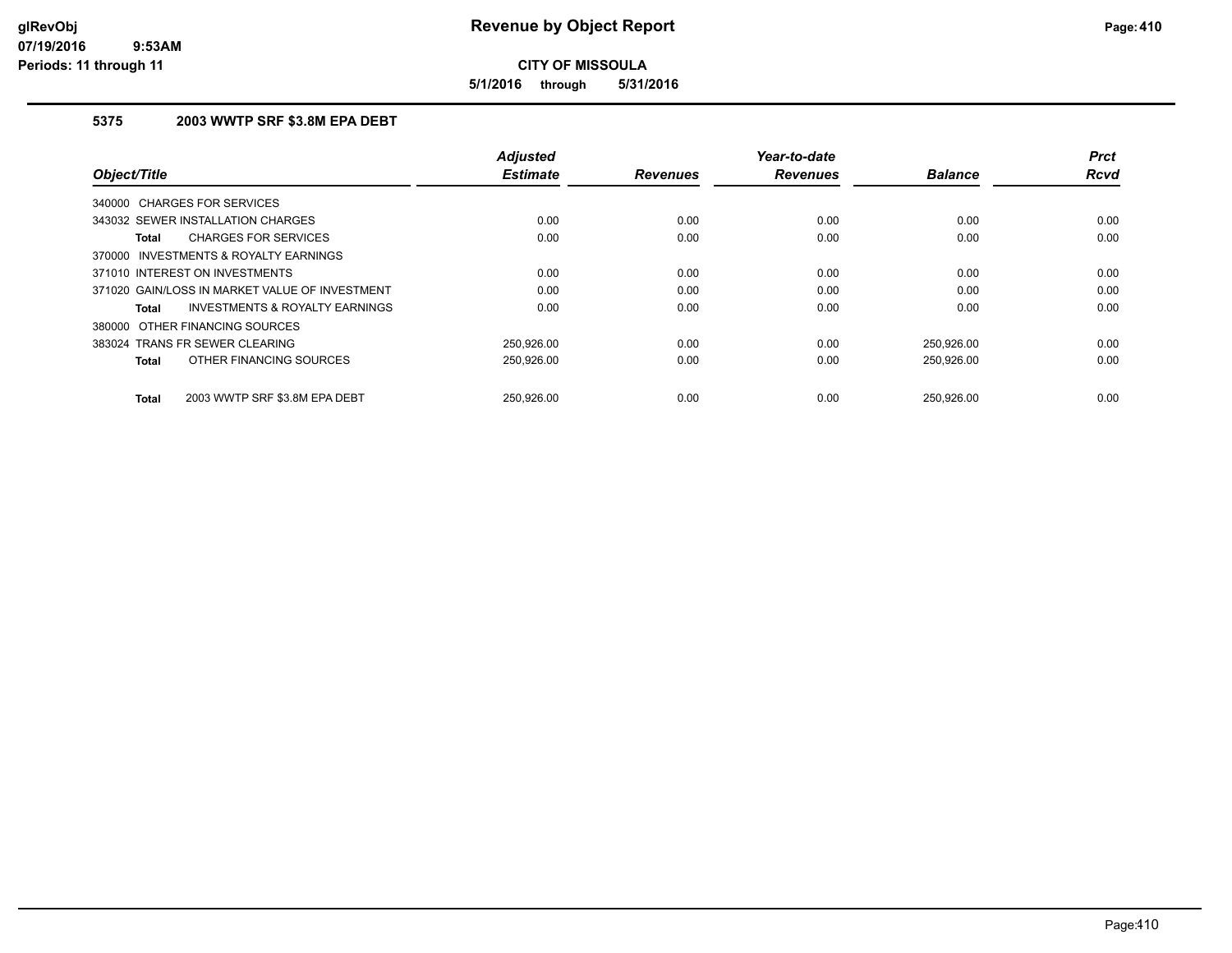**5/1/2016 through 5/31/2016**

## **5375 2003 WWTP SRF \$3.8M EPA DEBT**

| Object/Title                                       | <b>Adjusted</b><br><b>Estimate</b> | <b>Revenues</b> | Year-to-date<br><b>Revenues</b> | <b>Balance</b> | <b>Prct</b><br><b>Rcvd</b> |
|----------------------------------------------------|------------------------------------|-----------------|---------------------------------|----------------|----------------------------|
|                                                    |                                    |                 |                                 |                |                            |
| <b>CHARGES FOR SERVICES</b><br>340000              |                                    |                 |                                 |                |                            |
| 343032 SEWER INSTALLATION CHARGES                  | 0.00                               | 0.00            | 0.00                            | 0.00           | 0.00                       |
| <b>CHARGES FOR SERVICES</b><br>Total               | 0.00                               | 0.00            | 0.00                            | 0.00           | 0.00                       |
| INVESTMENTS & ROYALTY EARNINGS<br>370000           |                                    |                 |                                 |                |                            |
| 371010 INTEREST ON INVESTMENTS                     | 0.00                               | 0.00            | 0.00                            | 0.00           | 0.00                       |
| 371020 GAIN/LOSS IN MARKET VALUE OF INVESTMENT     | 0.00                               | 0.00            | 0.00                            | 0.00           | 0.00                       |
| <b>INVESTMENTS &amp; ROYALTY EARNINGS</b><br>Total | 0.00                               | 0.00            | 0.00                            | 0.00           | 0.00                       |
| OTHER FINANCING SOURCES<br>380000                  |                                    |                 |                                 |                |                            |
| 383024 TRANS FR SEWER CLEARING                     | 250.926.00                         | 0.00            | 0.00                            | 250,926.00     | 0.00                       |
| OTHER FINANCING SOURCES<br><b>Total</b>            | 250,926.00                         | 0.00            | 0.00                            | 250,926.00     | 0.00                       |
| 2003 WWTP SRF \$3.8M EPA DEBT<br><b>Total</b>      | 250.926.00                         | 0.00            | 0.00                            | 250.926.00     | 0.00                       |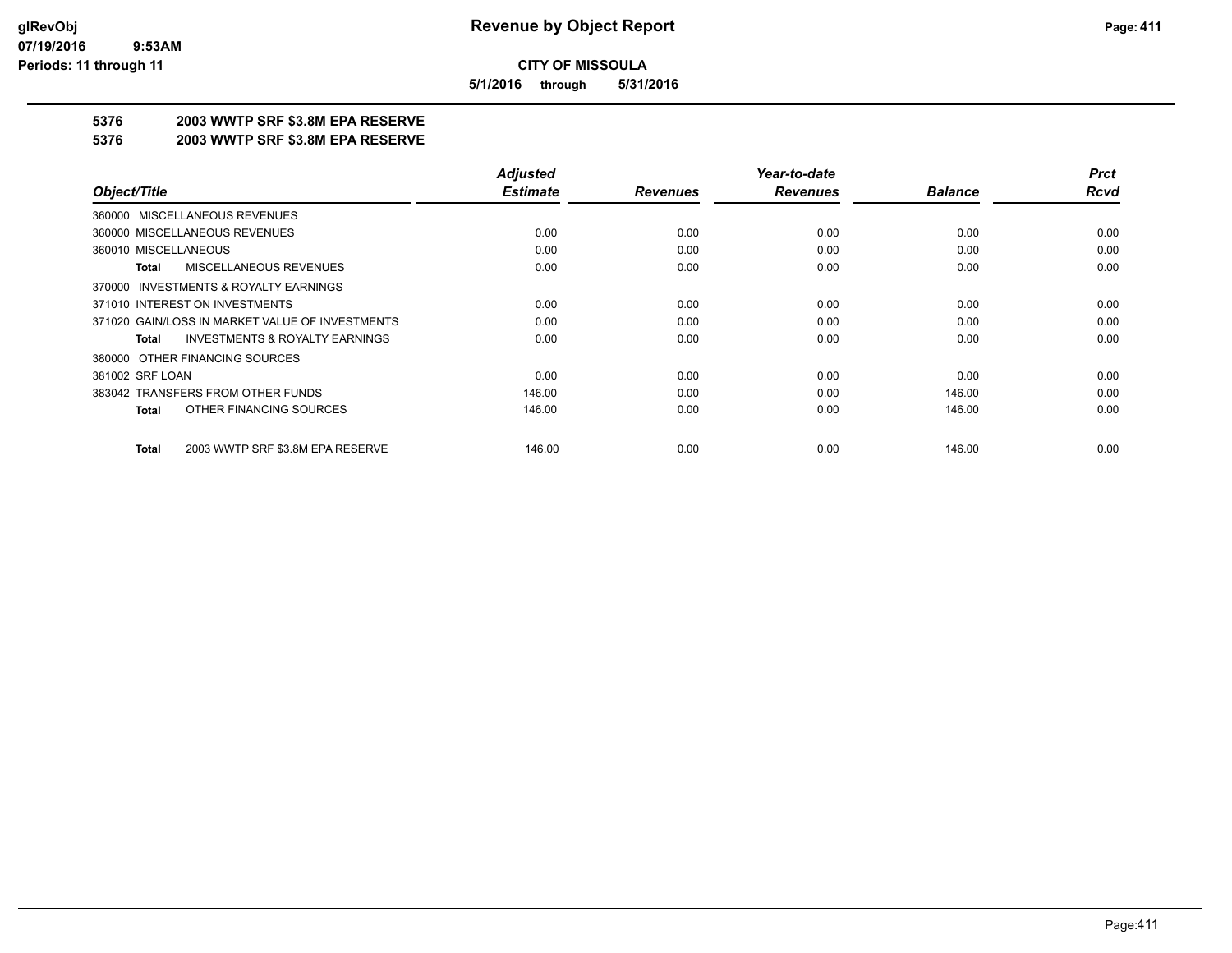**5/1/2016 through 5/31/2016**

## **5376 2003 WWTP SRF \$3.8M EPA RESERVE**

#### **5376 2003 WWTP SRF \$3.8M EPA RESERVE**

|                                                    | <b>Adjusted</b> |                 | Year-to-date    |                | <b>Prct</b> |
|----------------------------------------------------|-----------------|-----------------|-----------------|----------------|-------------|
| Object/Title                                       | <b>Estimate</b> | <b>Revenues</b> | <b>Revenues</b> | <b>Balance</b> | <b>Rcvd</b> |
| 360000 MISCELLANEOUS REVENUES                      |                 |                 |                 |                |             |
| 360000 MISCELLANEOUS REVENUES                      | 0.00            | 0.00            | 0.00            | 0.00           | 0.00        |
| 360010 MISCELLANEOUS                               | 0.00            | 0.00            | 0.00            | 0.00           | 0.00        |
| MISCELLANEOUS REVENUES<br>Total                    | 0.00            | 0.00            | 0.00            | 0.00           | 0.00        |
| 370000 INVESTMENTS & ROYALTY EARNINGS              |                 |                 |                 |                |             |
| 371010 INTEREST ON INVESTMENTS                     | 0.00            | 0.00            | 0.00            | 0.00           | 0.00        |
| 371020 GAIN/LOSS IN MARKET VALUE OF INVESTMENTS    | 0.00            | 0.00            | 0.00            | 0.00           | 0.00        |
| <b>INVESTMENTS &amp; ROYALTY EARNINGS</b><br>Total | 0.00            | 0.00            | 0.00            | 0.00           | 0.00        |
| 380000 OTHER FINANCING SOURCES                     |                 |                 |                 |                |             |
| 381002 SRF LOAN                                    | 0.00            | 0.00            | 0.00            | 0.00           | 0.00        |
| 383042 TRANSFERS FROM OTHER FUNDS                  | 146.00          | 0.00            | 0.00            | 146.00         | 0.00        |
| OTHER FINANCING SOURCES<br><b>Total</b>            | 146.00          | 0.00            | 0.00            | 146.00         | 0.00        |
| 2003 WWTP SRF \$3.8M EPA RESERVE<br><b>Total</b>   | 146.00          | 0.00            | 0.00            | 146.00         | 0.00        |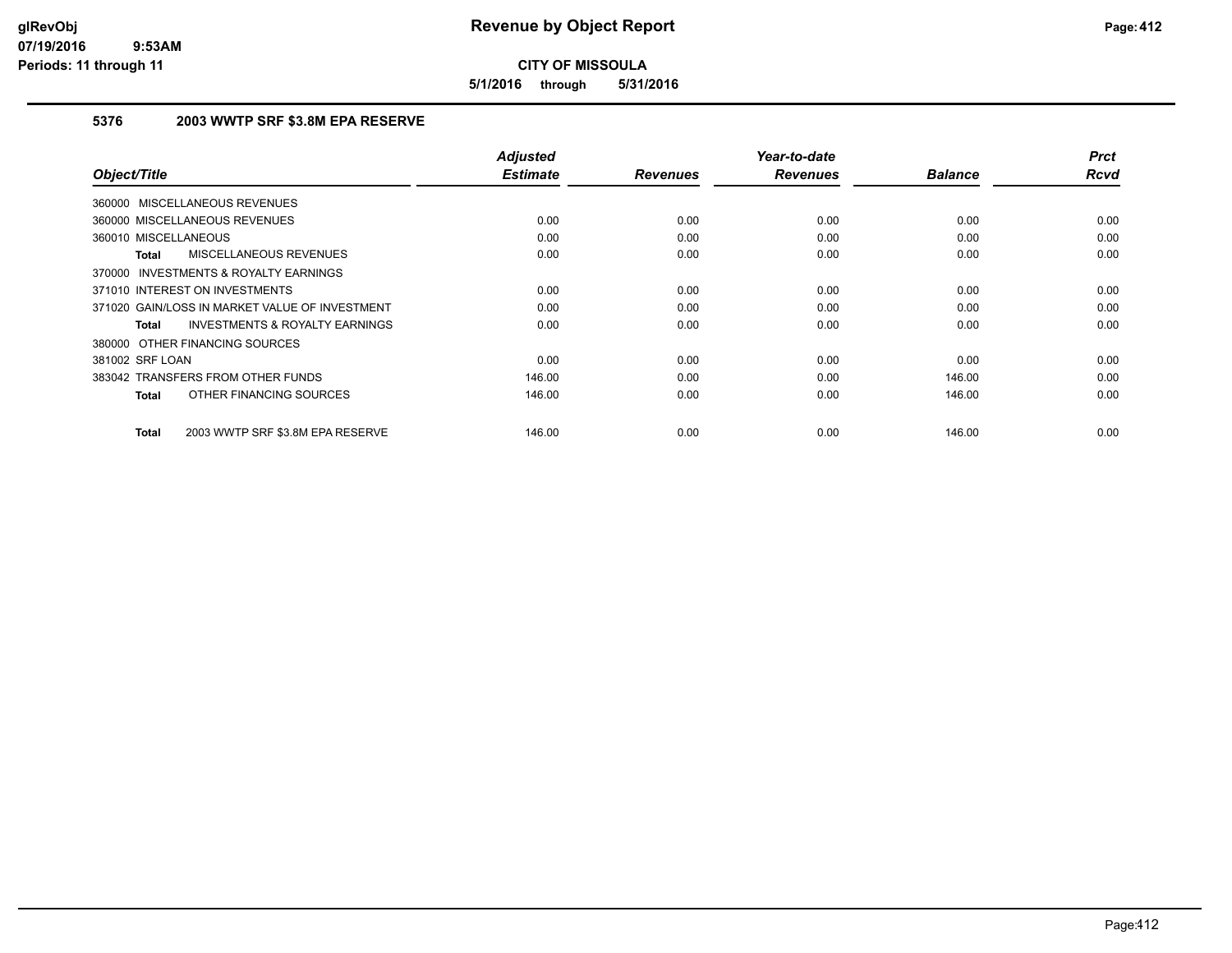**5/1/2016 through 5/31/2016**

## **5376 2003 WWTP SRF \$3.8M EPA RESERVE**

| Object/Title                                              | <b>Adjusted</b><br><b>Estimate</b> | <b>Revenues</b> | Year-to-date<br><b>Revenues</b> | <b>Balance</b> | <b>Prct</b><br><b>Rcvd</b> |
|-----------------------------------------------------------|------------------------------------|-----------------|---------------------------------|----------------|----------------------------|
| 360000 MISCELLANEOUS REVENUES                             |                                    |                 |                                 |                |                            |
|                                                           |                                    |                 |                                 |                |                            |
| 360000 MISCELLANEOUS REVENUES                             | 0.00                               | 0.00            | 0.00                            | 0.00           | 0.00                       |
| 360010 MISCELLANEOUS                                      | 0.00                               | 0.00            | 0.00                            | 0.00           | 0.00                       |
| <b>MISCELLANEOUS REVENUES</b><br><b>Total</b>             | 0.00                               | 0.00            | 0.00                            | 0.00           | 0.00                       |
| INVESTMENTS & ROYALTY EARNINGS<br>370000                  |                                    |                 |                                 |                |                            |
| 371010 INTEREST ON INVESTMENTS                            | 0.00                               | 0.00            | 0.00                            | 0.00           | 0.00                       |
| 371020 GAIN/LOSS IN MARKET VALUE OF INVESTMENT            | 0.00                               | 0.00            | 0.00                            | 0.00           | 0.00                       |
| <b>INVESTMENTS &amp; ROYALTY EARNINGS</b><br><b>Total</b> | 0.00                               | 0.00            | 0.00                            | 0.00           | 0.00                       |
| 380000 OTHER FINANCING SOURCES                            |                                    |                 |                                 |                |                            |
| 381002 SRF LOAN                                           | 0.00                               | 0.00            | 0.00                            | 0.00           | 0.00                       |
| 383042 TRANSFERS FROM OTHER FUNDS                         | 146.00                             | 0.00            | 0.00                            | 146.00         | 0.00                       |
| OTHER FINANCING SOURCES<br><b>Total</b>                   | 146.00                             | 0.00            | 0.00                            | 146.00         | 0.00                       |
| 2003 WWTP SRF \$3.8M EPA RESERVE<br><b>Total</b>          | 146.00                             | 0.00            | 0.00                            | 146.00         | 0.00                       |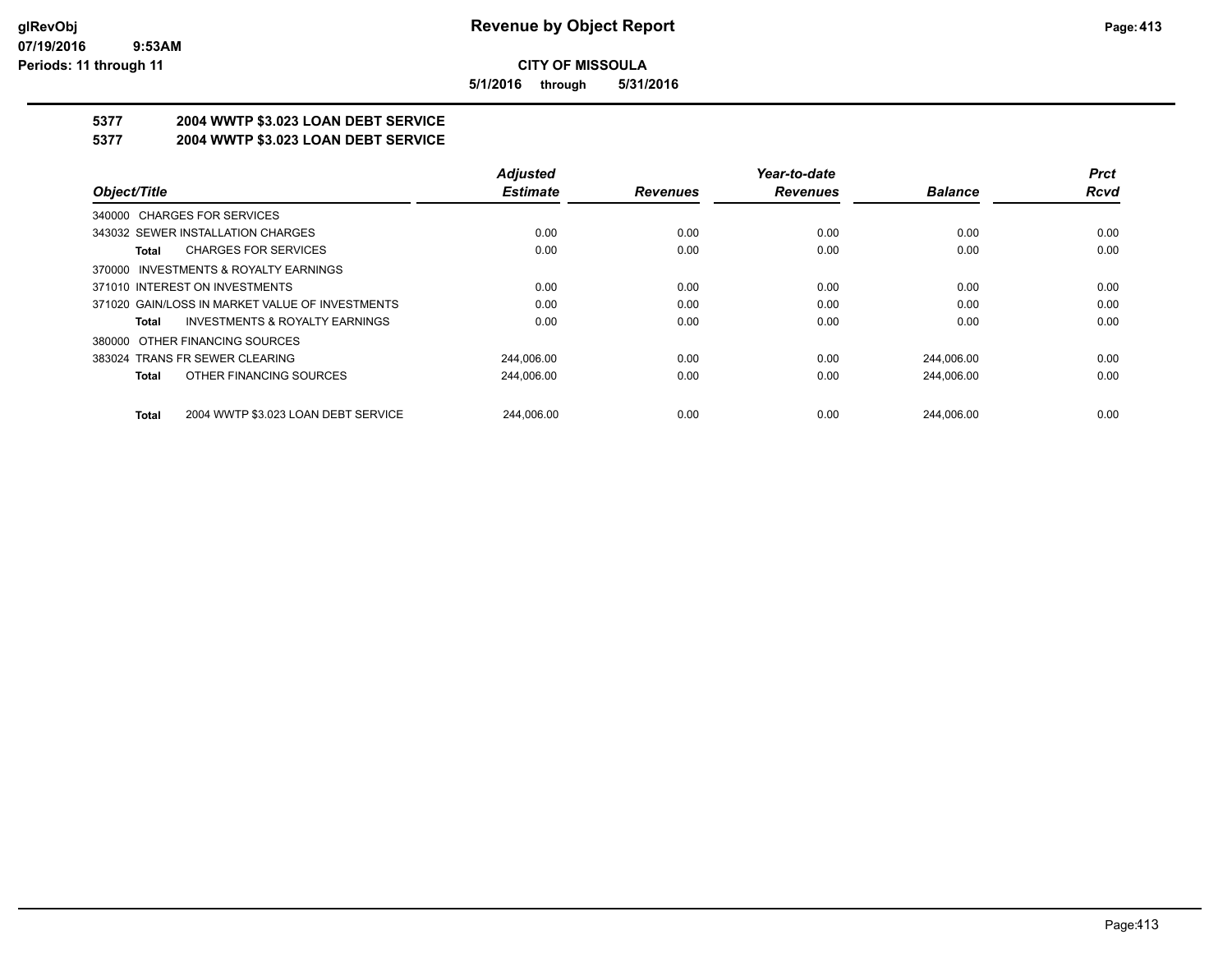**5/1/2016 through 5/31/2016**

# **5377 2004 WWTP \$3.023 LOAN DEBT SERVICE**

## **5377 2004 WWTP \$3.023 LOAN DEBT SERVICE**

|                                                     | <b>Adjusted</b> |                 | Year-to-date    |                | <b>Prct</b> |
|-----------------------------------------------------|-----------------|-----------------|-----------------|----------------|-------------|
| Object/Title                                        | <b>Estimate</b> | <b>Revenues</b> | <b>Revenues</b> | <b>Balance</b> | <b>Rcvd</b> |
| 340000 CHARGES FOR SERVICES                         |                 |                 |                 |                |             |
| 343032 SEWER INSTALLATION CHARGES                   | 0.00            | 0.00            | 0.00            | 0.00           | 0.00        |
| <b>CHARGES FOR SERVICES</b><br>Total                | 0.00            | 0.00            | 0.00            | 0.00           | 0.00        |
| 370000 INVESTMENTS & ROYALTY EARNINGS               |                 |                 |                 |                |             |
| 371010 INTEREST ON INVESTMENTS                      | 0.00            | 0.00            | 0.00            | 0.00           | 0.00        |
| 371020 GAIN/LOSS IN MARKET VALUE OF INVESTMENTS     | 0.00            | 0.00            | 0.00            | 0.00           | 0.00        |
| <b>INVESTMENTS &amp; ROYALTY EARNINGS</b><br>Total  | 0.00            | 0.00            | 0.00            | 0.00           | 0.00        |
| OTHER FINANCING SOURCES<br>380000                   |                 |                 |                 |                |             |
| 383024 TRANS FR SEWER CLEARING                      | 244.006.00      | 0.00            | 0.00            | 244.006.00     | 0.00        |
| OTHER FINANCING SOURCES<br><b>Total</b>             | 244.006.00      | 0.00            | 0.00            | 244.006.00     | 0.00        |
| 2004 WWTP \$3.023 LOAN DEBT SERVICE<br><b>Total</b> | 244.006.00      | 0.00            | 0.00            | 244.006.00     | 0.00        |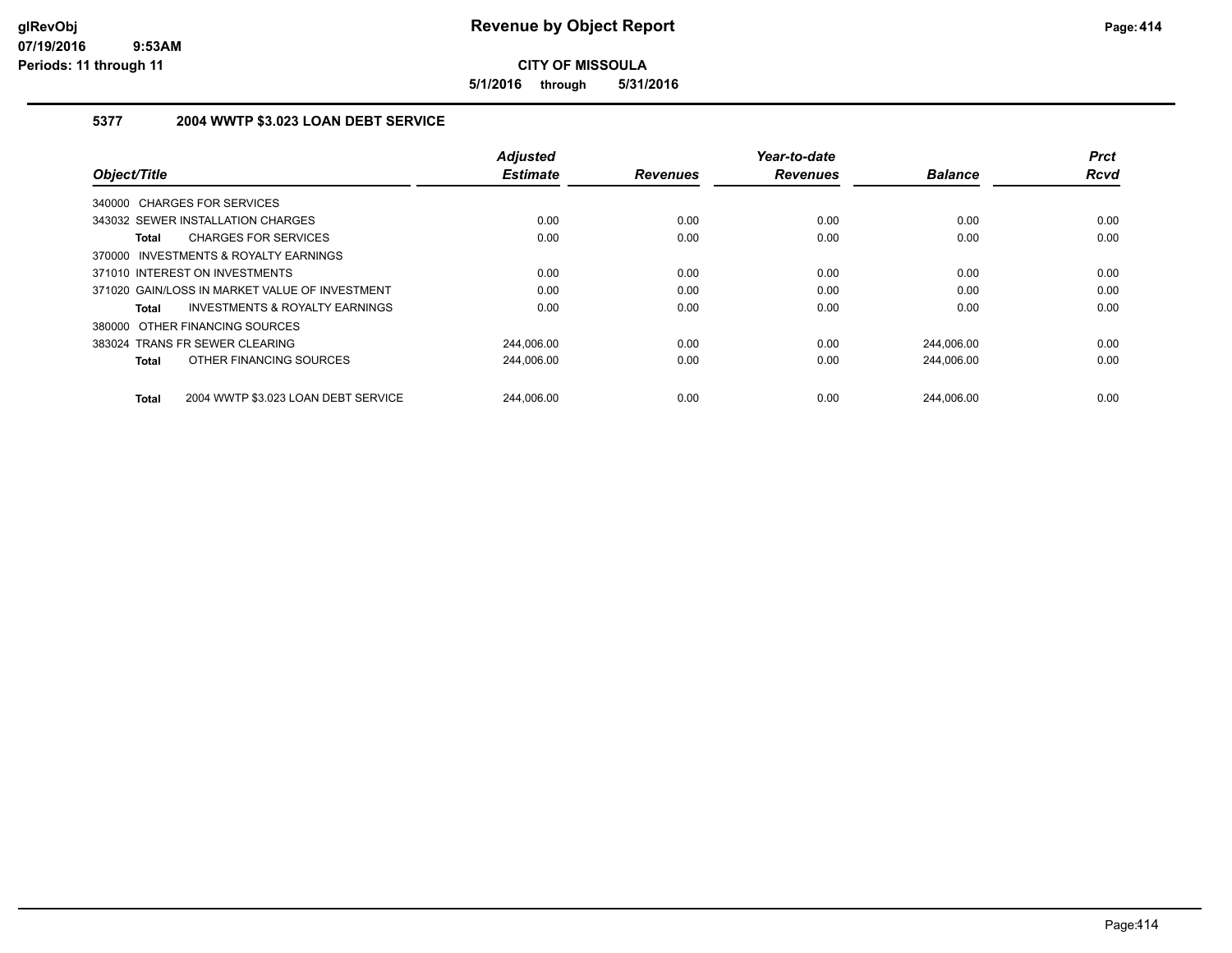**5/1/2016 through 5/31/2016**

#### **5377 2004 WWTP \$3.023 LOAN DEBT SERVICE**

|                                                     | <b>Adjusted</b> |                 | Year-to-date    |                | <b>Prct</b> |
|-----------------------------------------------------|-----------------|-----------------|-----------------|----------------|-------------|
| Object/Title                                        | <b>Estimate</b> | <b>Revenues</b> | <b>Revenues</b> | <b>Balance</b> | <b>Rcvd</b> |
| 340000 CHARGES FOR SERVICES                         |                 |                 |                 |                |             |
| 343032 SEWER INSTALLATION CHARGES                   | 0.00            | 0.00            | 0.00            | 0.00           | 0.00        |
| <b>CHARGES FOR SERVICES</b><br><b>Total</b>         | 0.00            | 0.00            | 0.00            | 0.00           | 0.00        |
| 370000 INVESTMENTS & ROYALTY EARNINGS               |                 |                 |                 |                |             |
| 371010 INTEREST ON INVESTMENTS                      | 0.00            | 0.00            | 0.00            | 0.00           | 0.00        |
| 371020 GAIN/LOSS IN MARKET VALUE OF INVESTMENT      | 0.00            | 0.00            | 0.00            | 0.00           | 0.00        |
| <b>INVESTMENTS &amp; ROYALTY EARNINGS</b><br>Total  | 0.00            | 0.00            | 0.00            | 0.00           | 0.00        |
| 380000 OTHER FINANCING SOURCES                      |                 |                 |                 |                |             |
| 383024 TRANS FR SEWER CLEARING                      | 244,006.00      | 0.00            | 0.00            | 244,006.00     | 0.00        |
| OTHER FINANCING SOURCES<br><b>Total</b>             | 244,006.00      | 0.00            | 0.00            | 244,006.00     | 0.00        |
| 2004 WWTP \$3.023 LOAN DEBT SERVICE<br><b>Total</b> | 244.006.00      | 0.00            | 0.00            | 244.006.00     | 0.00        |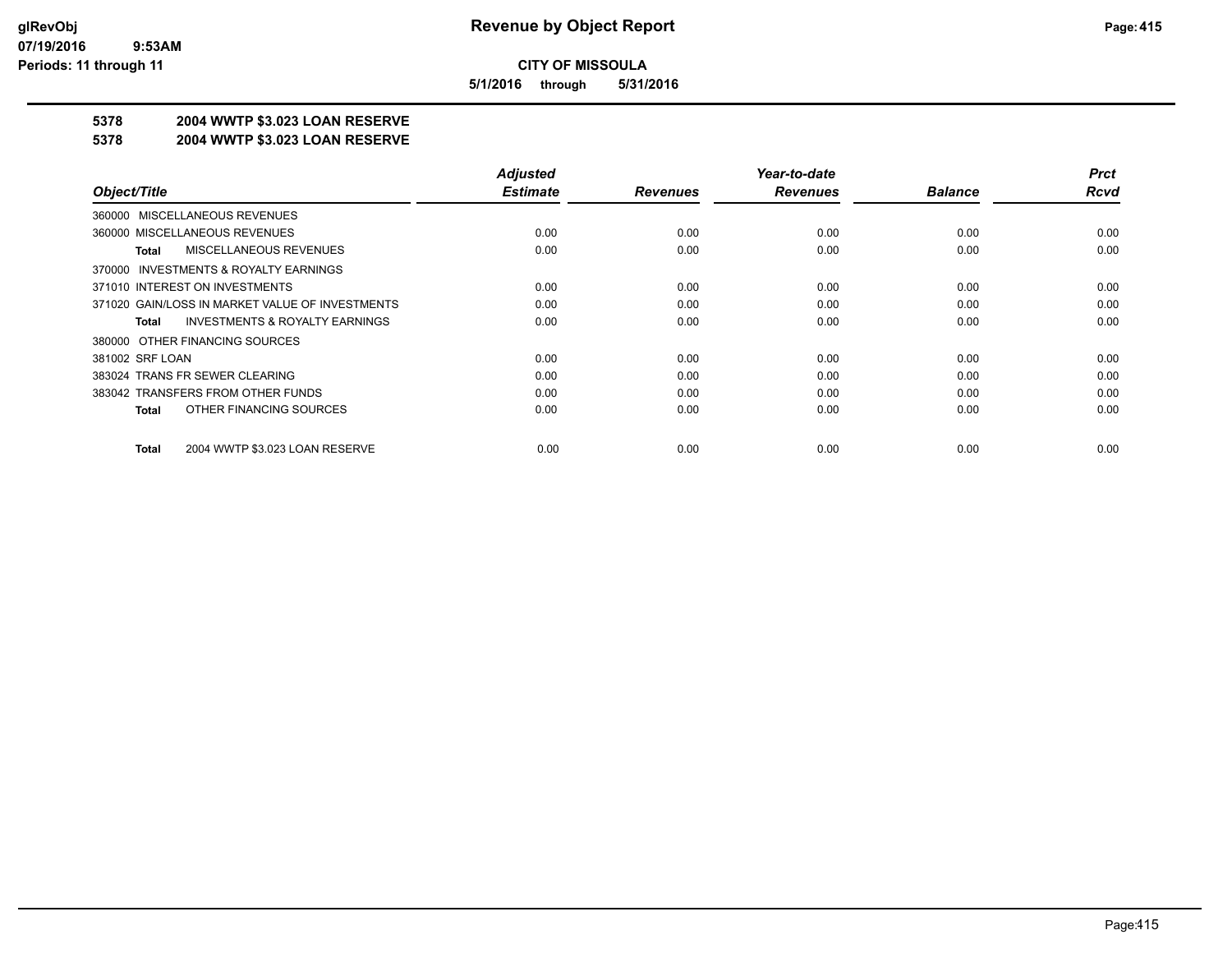**5/1/2016 through 5/31/2016**

## **5378 2004 WWTP \$3.023 LOAN RESERVE**

#### **5378 2004 WWTP \$3.023 LOAN RESERVE**

|                                                    | <b>Adjusted</b> |                 | Year-to-date    |                | <b>Prct</b> |
|----------------------------------------------------|-----------------|-----------------|-----------------|----------------|-------------|
| Object/Title                                       | <b>Estimate</b> | <b>Revenues</b> | <b>Revenues</b> | <b>Balance</b> | <b>Rcvd</b> |
| 360000 MISCELLANEOUS REVENUES                      |                 |                 |                 |                |             |
| 360000 MISCELLANEOUS REVENUES                      | 0.00            | 0.00            | 0.00            | 0.00           | 0.00        |
| MISCELLANEOUS REVENUES<br>Total                    | 0.00            | 0.00            | 0.00            | 0.00           | 0.00        |
| 370000 INVESTMENTS & ROYALTY EARNINGS              |                 |                 |                 |                |             |
| 371010 INTEREST ON INVESTMENTS                     | 0.00            | 0.00            | 0.00            | 0.00           | 0.00        |
| 371020 GAIN/LOSS IN MARKET VALUE OF INVESTMENTS    | 0.00            | 0.00            | 0.00            | 0.00           | 0.00        |
| <b>INVESTMENTS &amp; ROYALTY EARNINGS</b><br>Total | 0.00            | 0.00            | 0.00            | 0.00           | 0.00        |
| 380000 OTHER FINANCING SOURCES                     |                 |                 |                 |                |             |
| 381002 SRF LOAN                                    | 0.00            | 0.00            | 0.00            | 0.00           | 0.00        |
| 383024 TRANS FR SEWER CLEARING                     | 0.00            | 0.00            | 0.00            | 0.00           | 0.00        |
| 383042 TRANSFERS FROM OTHER FUNDS                  | 0.00            | 0.00            | 0.00            | 0.00           | 0.00        |
| OTHER FINANCING SOURCES<br>Total                   | 0.00            | 0.00            | 0.00            | 0.00           | 0.00        |
| 2004 WWTP \$3.023 LOAN RESERVE<br>Total            | 0.00            | 0.00            | 0.00            | 0.00           | 0.00        |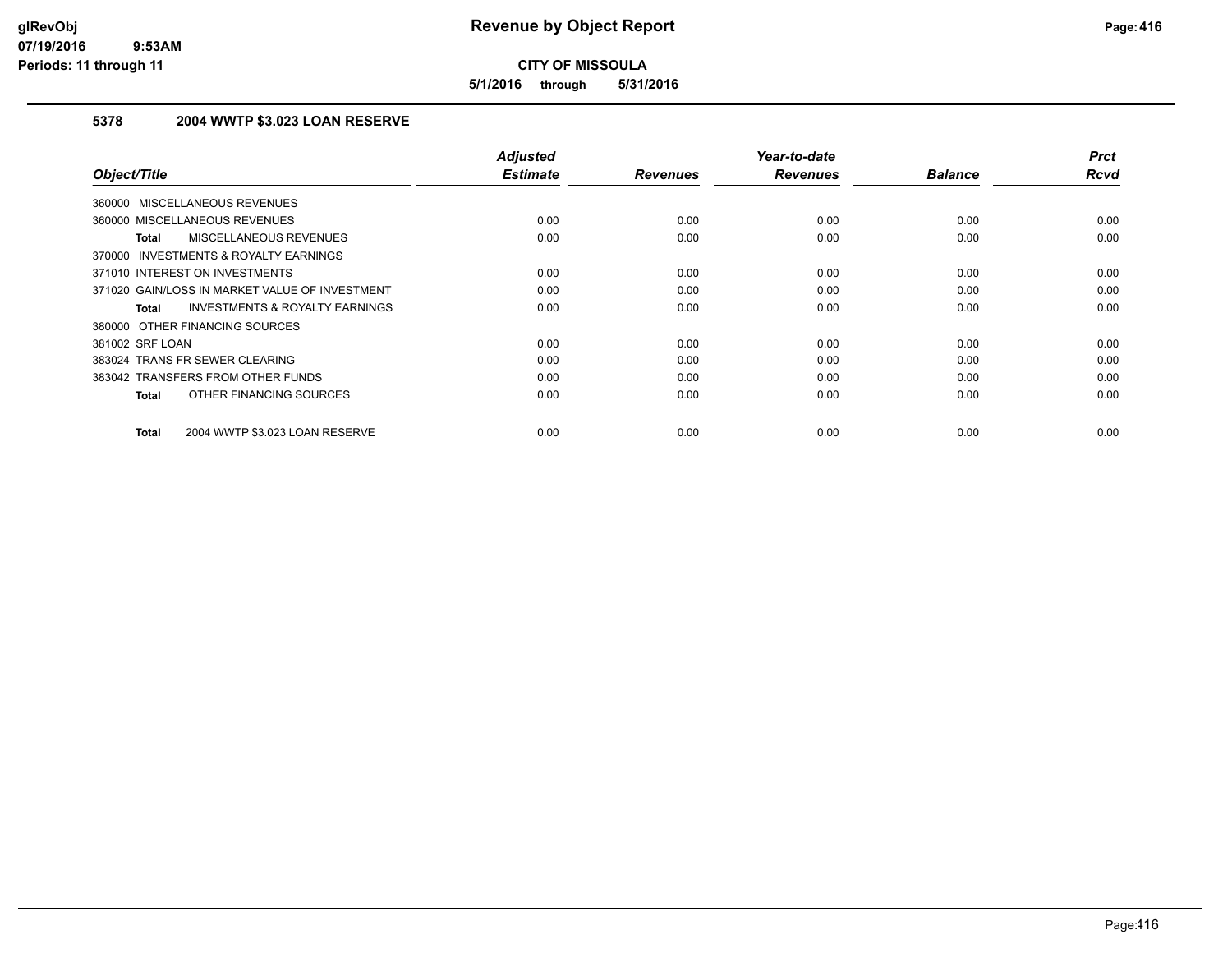**5/1/2016 through 5/31/2016**

## **5378 2004 WWTP \$3.023 LOAN RESERVE**

| Object/Title                                       | <b>Adjusted</b><br><b>Estimate</b> | <b>Revenues</b> | Year-to-date<br><b>Revenues</b> | <b>Balance</b> | <b>Prct</b><br><b>Rcvd</b> |
|----------------------------------------------------|------------------------------------|-----------------|---------------------------------|----------------|----------------------------|
|                                                    |                                    |                 |                                 |                |                            |
| <b>MISCELLANEOUS REVENUES</b><br>360000            |                                    |                 |                                 |                |                            |
| 360000 MISCELLANEOUS REVENUES                      | 0.00                               | 0.00            | 0.00                            | 0.00           | 0.00                       |
| MISCELLANEOUS REVENUES<br><b>Total</b>             | 0.00                               | 0.00            | 0.00                            | 0.00           | 0.00                       |
| INVESTMENTS & ROYALTY EARNINGS<br>370000           |                                    |                 |                                 |                |                            |
| 371010 INTEREST ON INVESTMENTS                     | 0.00                               | 0.00            | 0.00                            | 0.00           | 0.00                       |
| 371020 GAIN/LOSS IN MARKET VALUE OF INVESTMENT     | 0.00                               | 0.00            | 0.00                            | 0.00           | 0.00                       |
| <b>INVESTMENTS &amp; ROYALTY EARNINGS</b><br>Total | 0.00                               | 0.00            | 0.00                            | 0.00           | 0.00                       |
| 380000 OTHER FINANCING SOURCES                     |                                    |                 |                                 |                |                            |
| 381002 SRF LOAN                                    | 0.00                               | 0.00            | 0.00                            | 0.00           | 0.00                       |
| 383024 TRANS FR SEWER CLEARING                     | 0.00                               | 0.00            | 0.00                            | 0.00           | 0.00                       |
| 383042 TRANSFERS FROM OTHER FUNDS                  | 0.00                               | 0.00            | 0.00                            | 0.00           | 0.00                       |
| OTHER FINANCING SOURCES<br><b>Total</b>            | 0.00                               | 0.00            | 0.00                            | 0.00           | 0.00                       |
| 2004 WWTP \$3.023 LOAN RESERVE<br><b>Total</b>     | 0.00                               | 0.00            | 0.00                            | 0.00           | 0.00                       |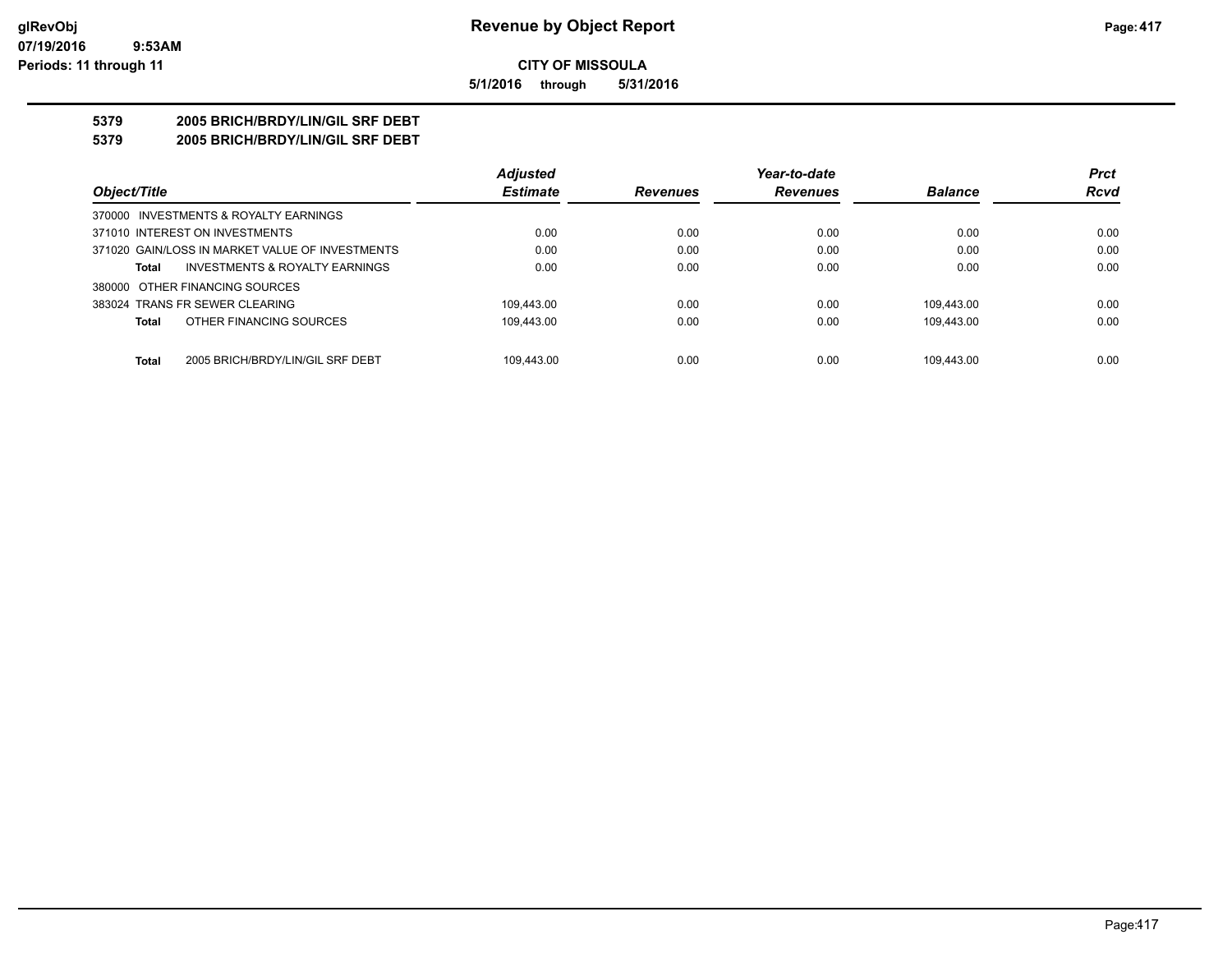**5/1/2016 through 5/31/2016**

## **5379 2005 BRICH/BRDY/LIN/GIL SRF DEBT**

**5379 2005 BRICH/BRDY/LIN/GIL SRF DEBT**

|                                                  | <b>Adjusted</b> |                 | Year-to-date    |                | <b>Prct</b> |
|--------------------------------------------------|-----------------|-----------------|-----------------|----------------|-------------|
| Object/Title                                     | <b>Estimate</b> | <b>Revenues</b> | <b>Revenues</b> | <b>Balance</b> | <b>Rcvd</b> |
| 370000 INVESTMENTS & ROYALTY EARNINGS            |                 |                 |                 |                |             |
| 371010 INTEREST ON INVESTMENTS                   | 0.00            | 0.00            | 0.00            | 0.00           | 0.00        |
| 371020 GAIN/LOSS IN MARKET VALUE OF INVESTMENTS  | 0.00            | 0.00            | 0.00            | 0.00           | 0.00        |
| INVESTMENTS & ROYALTY EARNINGS<br><b>Total</b>   | 0.00            | 0.00            | 0.00            | 0.00           | 0.00        |
| 380000 OTHER FINANCING SOURCES                   |                 |                 |                 |                |             |
| 383024 TRANS FR SEWER CLEARING                   | 109.443.00      | 0.00            | 0.00            | 109.443.00     | 0.00        |
| OTHER FINANCING SOURCES<br><b>Total</b>          | 109.443.00      | 0.00            | 0.00            | 109.443.00     | 0.00        |
| <b>Total</b><br>2005 BRICH/BRDY/LIN/GIL SRF DEBT | 109.443.00      | 0.00            | 0.00            | 109.443.00     | 0.00        |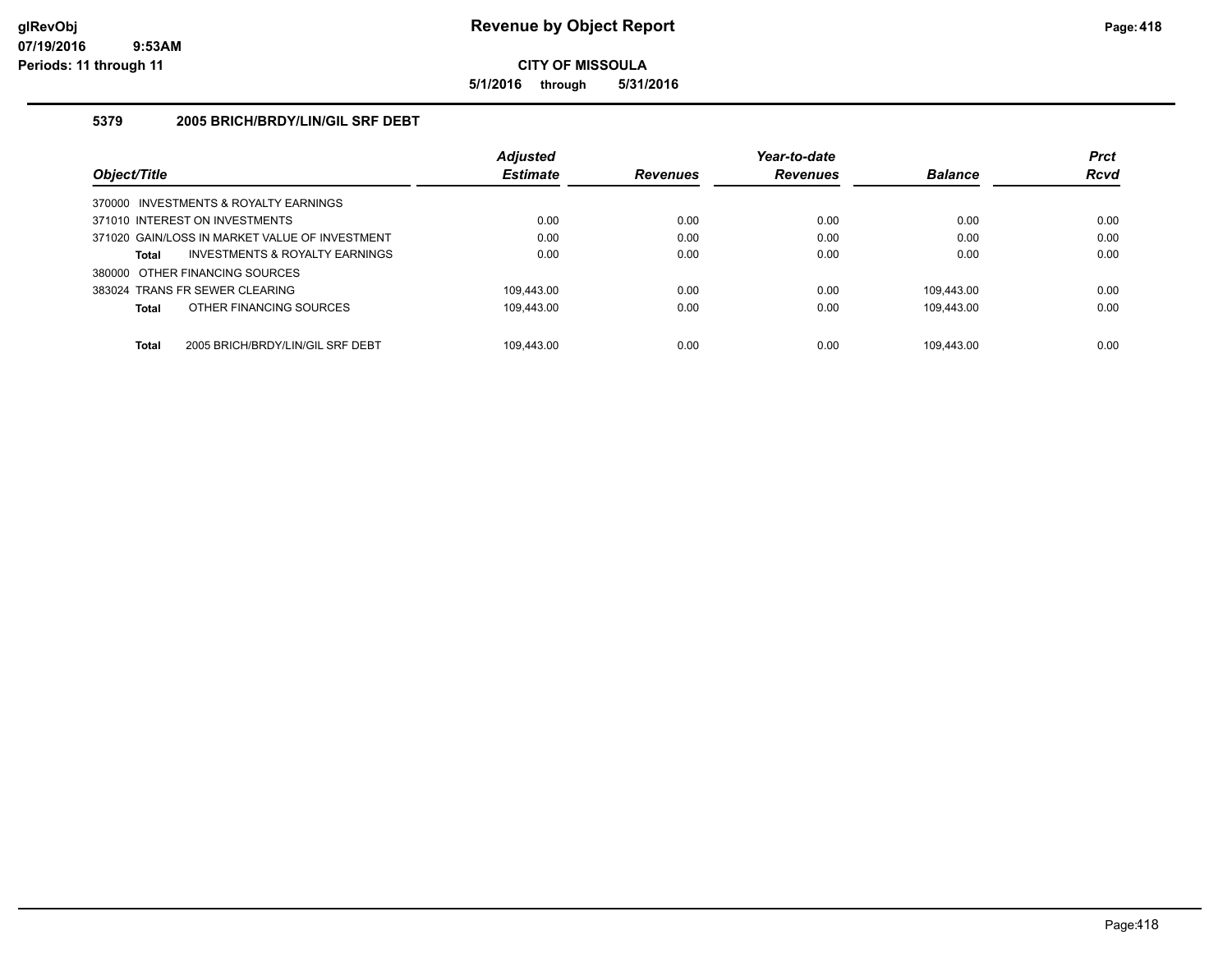**5/1/2016 through 5/31/2016**

### **5379 2005 BRICH/BRDY/LIN/GIL SRF DEBT**

|                                                  | <b>Adjusted</b> |                 | Year-to-date    |                | <b>Prct</b> |
|--------------------------------------------------|-----------------|-----------------|-----------------|----------------|-------------|
| Object/Title                                     | <b>Estimate</b> | <b>Revenues</b> | <b>Revenues</b> | <b>Balance</b> | <b>Rcvd</b> |
| 370000 INVESTMENTS & ROYALTY EARNINGS            |                 |                 |                 |                |             |
| 371010 INTEREST ON INVESTMENTS                   | 0.00            | 0.00            | 0.00            | 0.00           | 0.00        |
| 371020 GAIN/LOSS IN MARKET VALUE OF INVESTMENT   | 0.00            | 0.00            | 0.00            | 0.00           | 0.00        |
| INVESTMENTS & ROYALTY EARNINGS<br>Total          | 0.00            | 0.00            | 0.00            | 0.00           | 0.00        |
| 380000 OTHER FINANCING SOURCES                   |                 |                 |                 |                |             |
| 383024 TRANS FR SEWER CLEARING                   | 109.443.00      | 0.00            | 0.00            | 109.443.00     | 0.00        |
| OTHER FINANCING SOURCES<br><b>Total</b>          | 109.443.00      | 0.00            | 0.00            | 109.443.00     | 0.00        |
|                                                  |                 |                 |                 |                |             |
| <b>Total</b><br>2005 BRICH/BRDY/LIN/GIL SRF DEBT | 109.443.00      | 0.00            | 0.00            | 109.443.00     | 0.00        |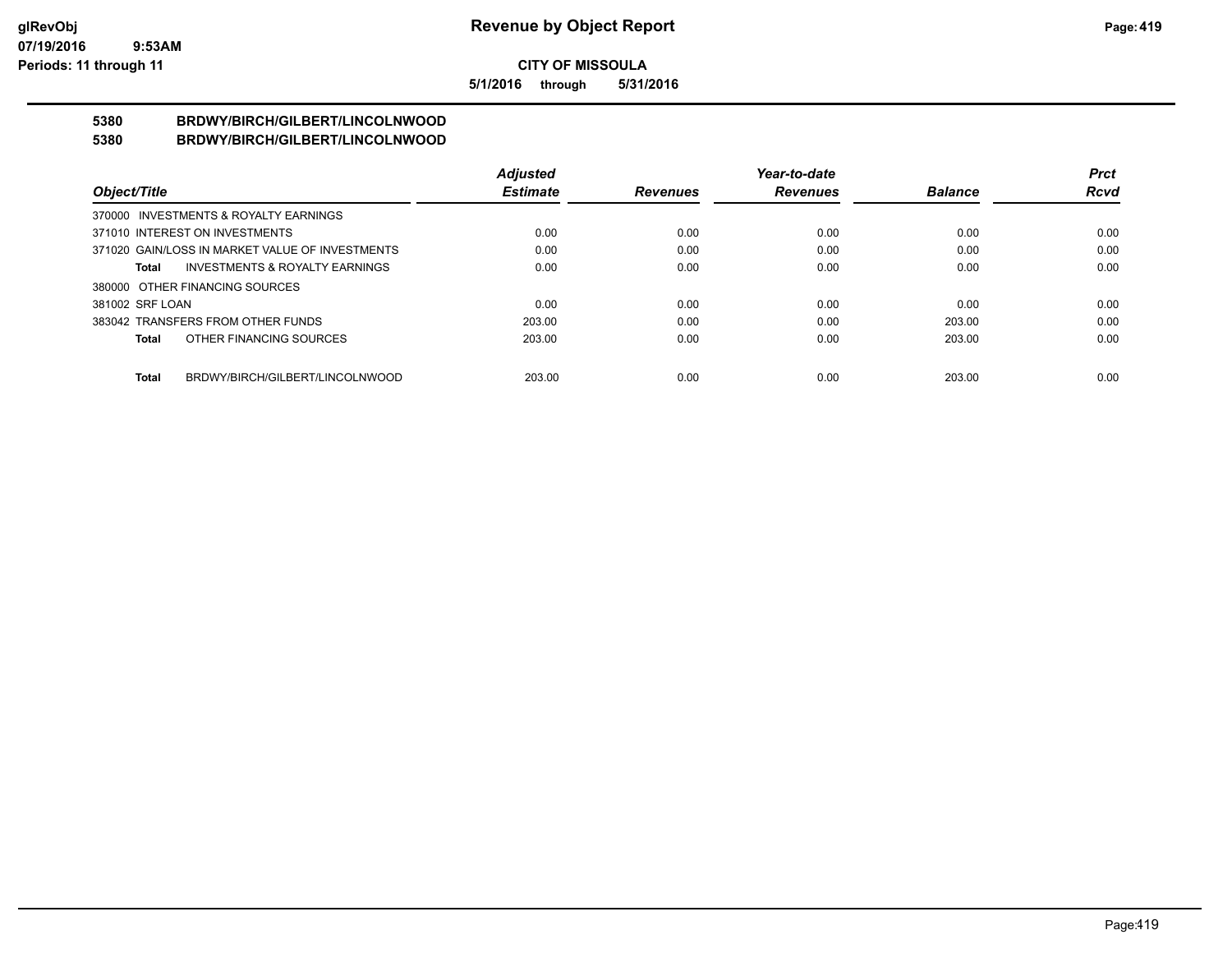**5/1/2016 through 5/31/2016**

#### **5380 BRDWY/BIRCH/GILBERT/LINCOLNWOOD 5380 BRDWY/BIRCH/GILBERT/LINCOLNWOOD**

|                                                 |                                           | <b>Adjusted</b> |                 | Year-to-date    |                | <b>Prct</b> |
|-------------------------------------------------|-------------------------------------------|-----------------|-----------------|-----------------|----------------|-------------|
| Object/Title                                    |                                           | <b>Estimate</b> | <b>Revenues</b> | <b>Revenues</b> | <b>Balance</b> | <b>Rcvd</b> |
| 370000 INVESTMENTS & ROYALTY EARNINGS           |                                           |                 |                 |                 |                |             |
| 371010 INTEREST ON INVESTMENTS                  |                                           | 0.00            | 0.00            | 0.00            | 0.00           | 0.00        |
| 371020 GAIN/LOSS IN MARKET VALUE OF INVESTMENTS |                                           | 0.00            | 0.00            | 0.00            | 0.00           | 0.00        |
| Total                                           | <b>INVESTMENTS &amp; ROYALTY EARNINGS</b> | 0.00            | 0.00            | 0.00            | 0.00           | 0.00        |
| 380000 OTHER FINANCING SOURCES                  |                                           |                 |                 |                 |                |             |
| 381002 SRF LOAN                                 |                                           | 0.00            | 0.00            | 0.00            | 0.00           | 0.00        |
| 383042 TRANSFERS FROM OTHER FUNDS               |                                           | 203.00          | 0.00            | 0.00            | 203.00         | 0.00        |
| <b>Total</b>                                    | OTHER FINANCING SOURCES                   | 203.00          | 0.00            | 0.00            | 203.00         | 0.00        |
|                                                 |                                           |                 |                 |                 |                |             |
| <b>Total</b>                                    | BRDWY/BIRCH/GILBERT/LINCOLNWOOD           | 203.00          | 0.00            | 0.00            | 203.00         | 0.00        |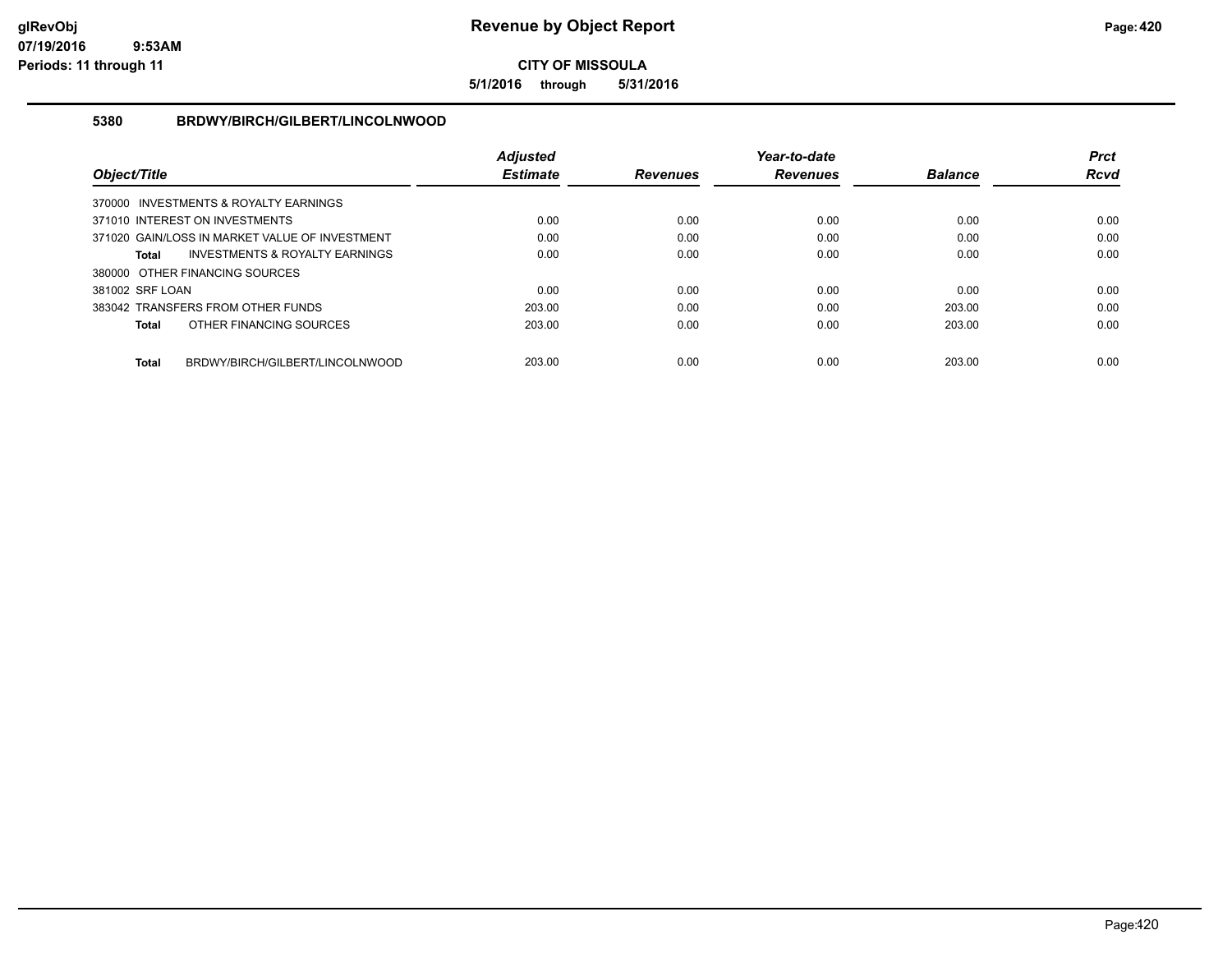**5/1/2016 through 5/31/2016**

### **5380 BRDWY/BIRCH/GILBERT/LINCOLNWOOD**

|                 |                                                | <b>Adjusted</b> |                 | Year-to-date    |                | <b>Prct</b> |
|-----------------|------------------------------------------------|-----------------|-----------------|-----------------|----------------|-------------|
| Object/Title    |                                                | <b>Estimate</b> | <b>Revenues</b> | <b>Revenues</b> | <b>Balance</b> | <b>Rcvd</b> |
|                 | 370000 INVESTMENTS & ROYALTY EARNINGS          |                 |                 |                 |                |             |
|                 | 371010 INTEREST ON INVESTMENTS                 | 0.00            | 0.00            | 0.00            | 0.00           | 0.00        |
|                 | 371020 GAIN/LOSS IN MARKET VALUE OF INVESTMENT | 0.00            | 0.00            | 0.00            | 0.00           | 0.00        |
| Total           | <b>INVESTMENTS &amp; ROYALTY EARNINGS</b>      | 0.00            | 0.00            | 0.00            | 0.00           | 0.00        |
|                 | 380000 OTHER FINANCING SOURCES                 |                 |                 |                 |                |             |
| 381002 SRF LOAN |                                                | 0.00            | 0.00            | 0.00            | 0.00           | 0.00        |
|                 | 383042 TRANSFERS FROM OTHER FUNDS              | 203.00          | 0.00            | 0.00            | 203.00         | 0.00        |
| <b>Total</b>    | OTHER FINANCING SOURCES                        | 203.00          | 0.00            | 0.00            | 203.00         | 0.00        |
| <b>Total</b>    | BRDWY/BIRCH/GILBERT/LINCOLNWOOD                | 203.00          | 0.00            | 0.00            | 203.00         | 0.00        |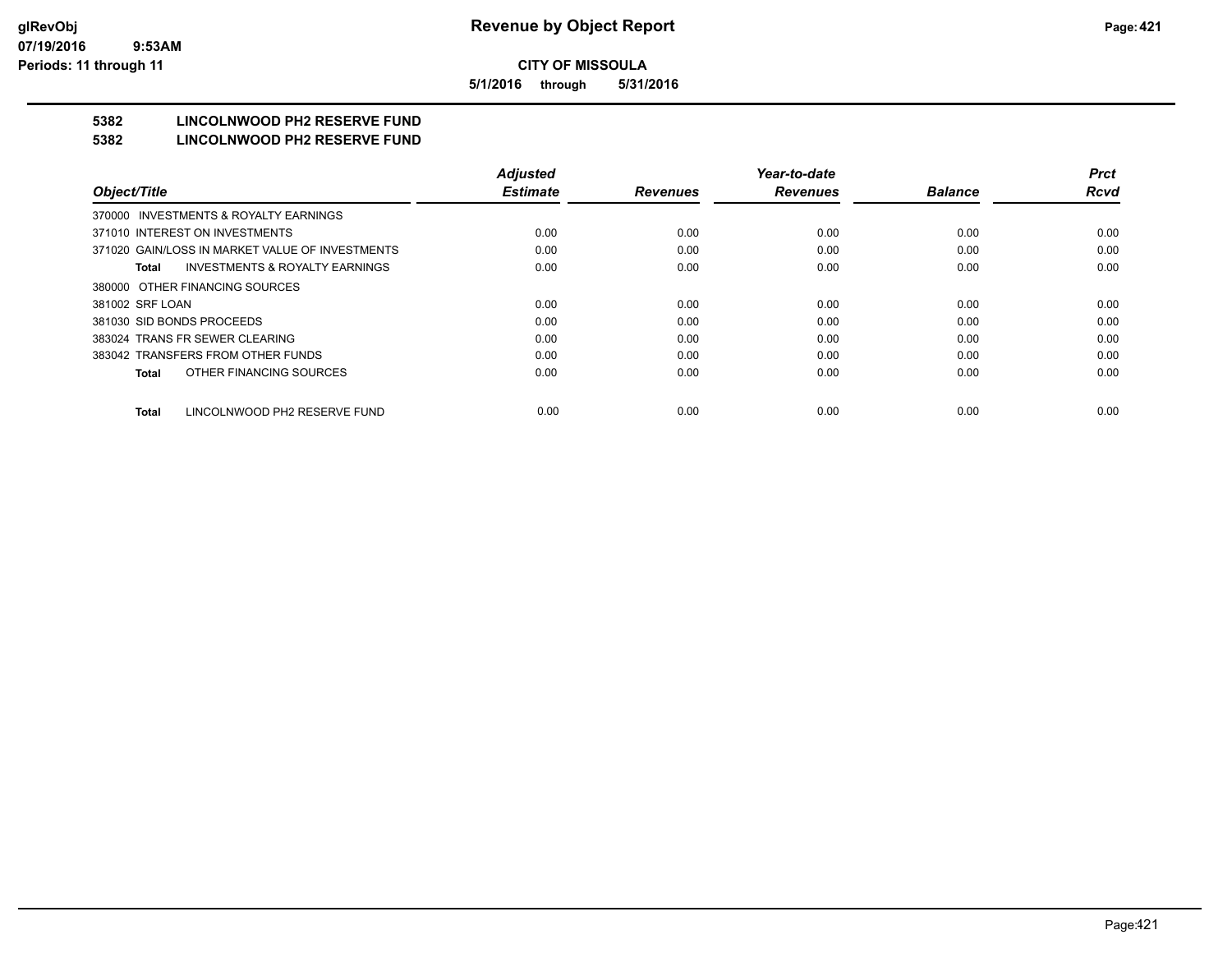**5/1/2016 through 5/31/2016**

# **5382 LINCOLNWOOD PH2 RESERVE FUND**

#### **5382 LINCOLNWOOD PH2 RESERVE FUND**

|                                                    | <b>Adjusted</b> |                 | Year-to-date    |                | <b>Prct</b> |
|----------------------------------------------------|-----------------|-----------------|-----------------|----------------|-------------|
| Object/Title                                       | <b>Estimate</b> | <b>Revenues</b> | <b>Revenues</b> | <b>Balance</b> | <b>Rcvd</b> |
| 370000 INVESTMENTS & ROYALTY EARNINGS              |                 |                 |                 |                |             |
| 371010 INTEREST ON INVESTMENTS                     | 0.00            | 0.00            | 0.00            | 0.00           | 0.00        |
| 371020 GAIN/LOSS IN MARKET VALUE OF INVESTMENTS    | 0.00            | 0.00            | 0.00            | 0.00           | 0.00        |
| <b>INVESTMENTS &amp; ROYALTY EARNINGS</b><br>Total | 0.00            | 0.00            | 0.00            | 0.00           | 0.00        |
| 380000 OTHER FINANCING SOURCES                     |                 |                 |                 |                |             |
| 381002 SRF LOAN                                    | 0.00            | 0.00            | 0.00            | 0.00           | 0.00        |
| 381030 SID BONDS PROCEEDS                          | 0.00            | 0.00            | 0.00            | 0.00           | 0.00        |
| 383024 TRANS FR SEWER CLEARING                     | 0.00            | 0.00            | 0.00            | 0.00           | 0.00        |
| 383042 TRANSFERS FROM OTHER FUNDS                  | 0.00            | 0.00            | 0.00            | 0.00           | 0.00        |
| OTHER FINANCING SOURCES<br>Total                   | 0.00            | 0.00            | 0.00            | 0.00           | 0.00        |
| LINCOLNWOOD PH2 RESERVE FUND<br><b>Total</b>       | 0.00            | 0.00            | 0.00            | 0.00           | 0.00        |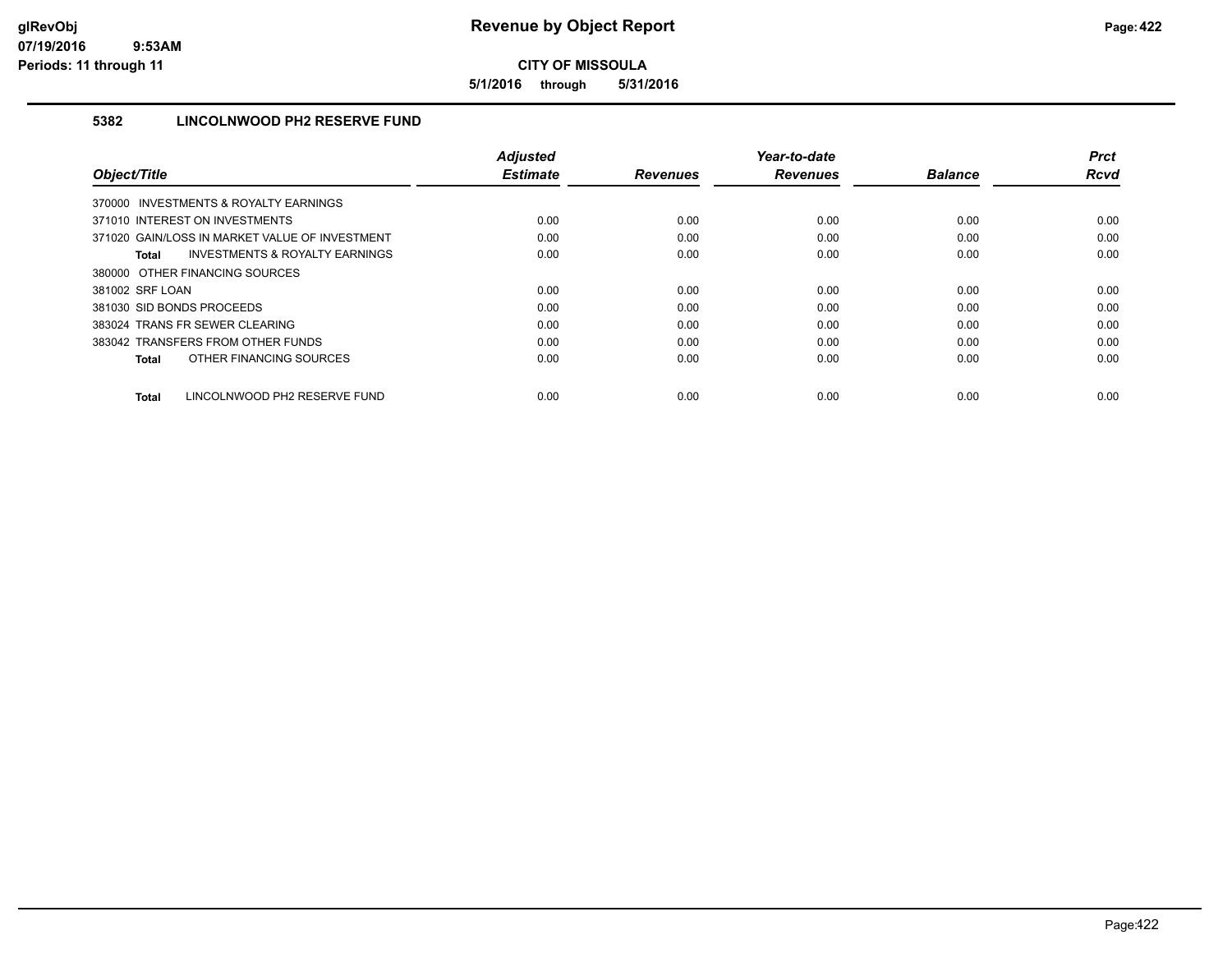**5/1/2016 through 5/31/2016**

## **5382 LINCOLNWOOD PH2 RESERVE FUND**

|                                                    | <b>Adiusted</b> |                 | Year-to-date    |                | <b>Prct</b> |
|----------------------------------------------------|-----------------|-----------------|-----------------|----------------|-------------|
| Object/Title                                       | <b>Estimate</b> | <b>Revenues</b> | <b>Revenues</b> | <b>Balance</b> | <b>Rcvd</b> |
| 370000 INVESTMENTS & ROYALTY EARNINGS              |                 |                 |                 |                |             |
| 371010 INTEREST ON INVESTMENTS                     | 0.00            | 0.00            | 0.00            | 0.00           | 0.00        |
| 371020 GAIN/LOSS IN MARKET VALUE OF INVESTMENT     | 0.00            | 0.00            | 0.00            | 0.00           | 0.00        |
| <b>INVESTMENTS &amp; ROYALTY EARNINGS</b><br>Total | 0.00            | 0.00            | 0.00            | 0.00           | 0.00        |
| 380000 OTHER FINANCING SOURCES                     |                 |                 |                 |                |             |
| 381002 SRF LOAN                                    | 0.00            | 0.00            | 0.00            | 0.00           | 0.00        |
| 381030 SID BONDS PROCEEDS                          | 0.00            | 0.00            | 0.00            | 0.00           | 0.00        |
| 383024 TRANS FR SEWER CLEARING                     | 0.00            | 0.00            | 0.00            | 0.00           | 0.00        |
| 383042 TRANSFERS FROM OTHER FUNDS                  | 0.00            | 0.00            | 0.00            | 0.00           | 0.00        |
| OTHER FINANCING SOURCES<br>Total                   | 0.00            | 0.00            | 0.00            | 0.00           | 0.00        |
|                                                    |                 |                 |                 |                |             |
| <b>Total</b><br>LINCOLNWOOD PH2 RESERVE FUND       | 0.00            | 0.00            | 0.00            | 0.00           | 0.00        |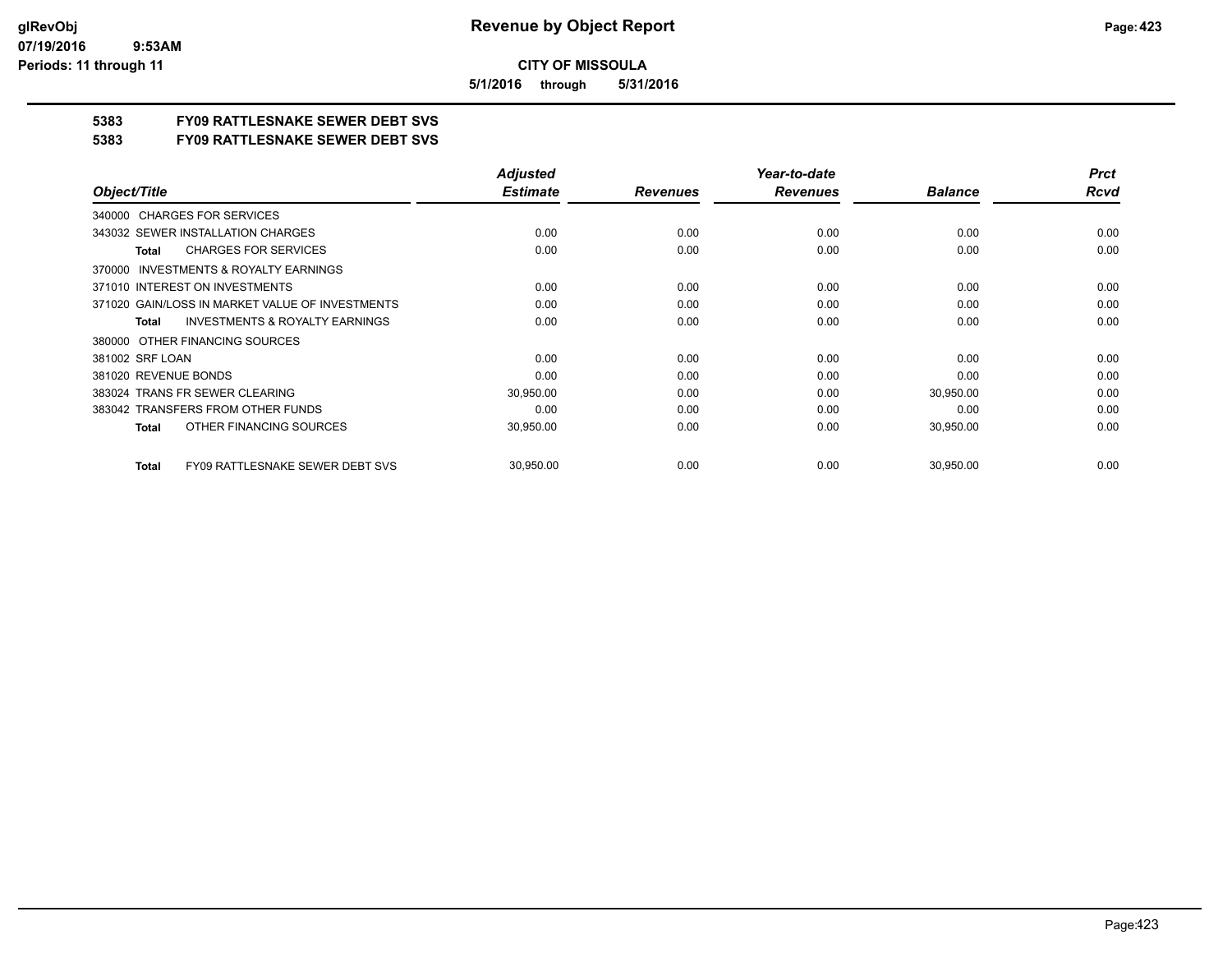**5/1/2016 through 5/31/2016**

## **5383 FY09 RATTLESNAKE SEWER DEBT SVS**

**5383 FY09 RATTLESNAKE SEWER DEBT SVS**

|                                                        | <b>Adjusted</b> |                 | Year-to-date    |                | <b>Prct</b> |
|--------------------------------------------------------|-----------------|-----------------|-----------------|----------------|-------------|
| Object/Title                                           | <b>Estimate</b> | <b>Revenues</b> | <b>Revenues</b> | <b>Balance</b> | <b>Rcvd</b> |
| 340000 CHARGES FOR SERVICES                            |                 |                 |                 |                |             |
| 343032 SEWER INSTALLATION CHARGES                      | 0.00            | 0.00            | 0.00            | 0.00           | 0.00        |
| <b>CHARGES FOR SERVICES</b><br>Total                   | 0.00            | 0.00            | 0.00            | 0.00           | 0.00        |
| <b>INVESTMENTS &amp; ROYALTY EARNINGS</b><br>370000    |                 |                 |                 |                |             |
| 371010 INTEREST ON INVESTMENTS                         | 0.00            | 0.00            | 0.00            | 0.00           | 0.00        |
| 371020 GAIN/LOSS IN MARKET VALUE OF INVESTMENTS        | 0.00            | 0.00            | 0.00            | 0.00           | 0.00        |
| <b>INVESTMENTS &amp; ROYALTY EARNINGS</b><br>Total     | 0.00            | 0.00            | 0.00            | 0.00           | 0.00        |
| OTHER FINANCING SOURCES<br>380000                      |                 |                 |                 |                |             |
| 381002 SRF LOAN                                        | 0.00            | 0.00            | 0.00            | 0.00           | 0.00        |
| 381020 REVENUE BONDS                                   | 0.00            | 0.00            | 0.00            | 0.00           | 0.00        |
| 383024 TRANS FR SEWER CLEARING                         | 30,950.00       | 0.00            | 0.00            | 30,950.00      | 0.00        |
| 383042 TRANSFERS FROM OTHER FUNDS                      | 0.00            | 0.00            | 0.00            | 0.00           | 0.00        |
| OTHER FINANCING SOURCES<br>Total                       | 30,950.00       | 0.00            | 0.00            | 30,950.00      | 0.00        |
| <b>FY09 RATTLESNAKE SEWER DEBT SVS</b><br><b>Total</b> | 30,950.00       | 0.00            | 0.00            | 30,950.00      | 0.00        |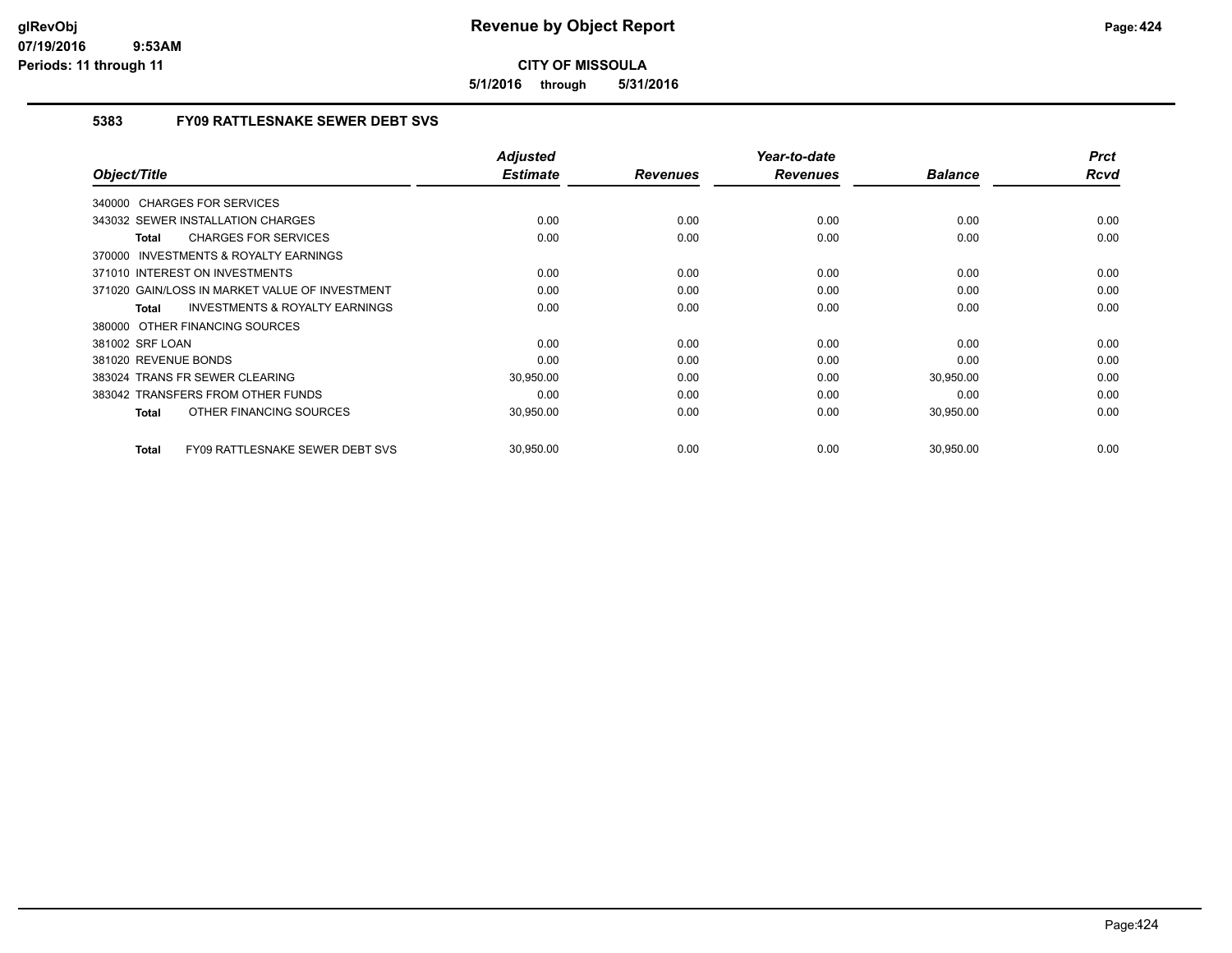**5/1/2016 through 5/31/2016**

## **5383 FY09 RATTLESNAKE SEWER DEBT SVS**

| Object/Title                                              | <b>Adjusted</b><br><b>Estimate</b> | <b>Revenues</b> | Year-to-date<br><b>Revenues</b> | <b>Balance</b> | <b>Prct</b><br>Rcvd |
|-----------------------------------------------------------|------------------------------------|-----------------|---------------------------------|----------------|---------------------|
|                                                           |                                    |                 |                                 |                |                     |
| 340000 CHARGES FOR SERVICES                               |                                    |                 |                                 |                |                     |
| 343032 SEWER INSTALLATION CHARGES                         | 0.00                               | 0.00            | 0.00                            | 0.00           | 0.00                |
| <b>CHARGES FOR SERVICES</b><br><b>Total</b>               | 0.00                               | 0.00            | 0.00                            | 0.00           | 0.00                |
| <b>INVESTMENTS &amp; ROYALTY EARNINGS</b><br>370000       |                                    |                 |                                 |                |                     |
| 371010 INTEREST ON INVESTMENTS                            | 0.00                               | 0.00            | 0.00                            | 0.00           | 0.00                |
| 371020 GAIN/LOSS IN MARKET VALUE OF INVESTMENT            | 0.00                               | 0.00            | 0.00                            | 0.00           | 0.00                |
| <b>INVESTMENTS &amp; ROYALTY EARNINGS</b><br><b>Total</b> | 0.00                               | 0.00            | 0.00                            | 0.00           | 0.00                |
| 380000 OTHER FINANCING SOURCES                            |                                    |                 |                                 |                |                     |
| 381002 SRF LOAN                                           | 0.00                               | 0.00            | 0.00                            | 0.00           | 0.00                |
| 381020 REVENUE BONDS                                      | 0.00                               | 0.00            | 0.00                            | 0.00           | 0.00                |
| 383024 TRANS FR SEWER CLEARING                            | 30,950.00                          | 0.00            | 0.00                            | 30,950.00      | 0.00                |
| 383042 TRANSFERS FROM OTHER FUNDS                         | 0.00                               | 0.00            | 0.00                            | 0.00           | 0.00                |
| OTHER FINANCING SOURCES<br><b>Total</b>                   | 30,950.00                          | 0.00            | 0.00                            | 30,950.00      | 0.00                |
|                                                           |                                    |                 |                                 |                |                     |
| FY09 RATTLESNAKE SEWER DEBT SVS<br><b>Total</b>           | 30,950.00                          | 0.00            | 0.00                            | 30,950.00      | 0.00                |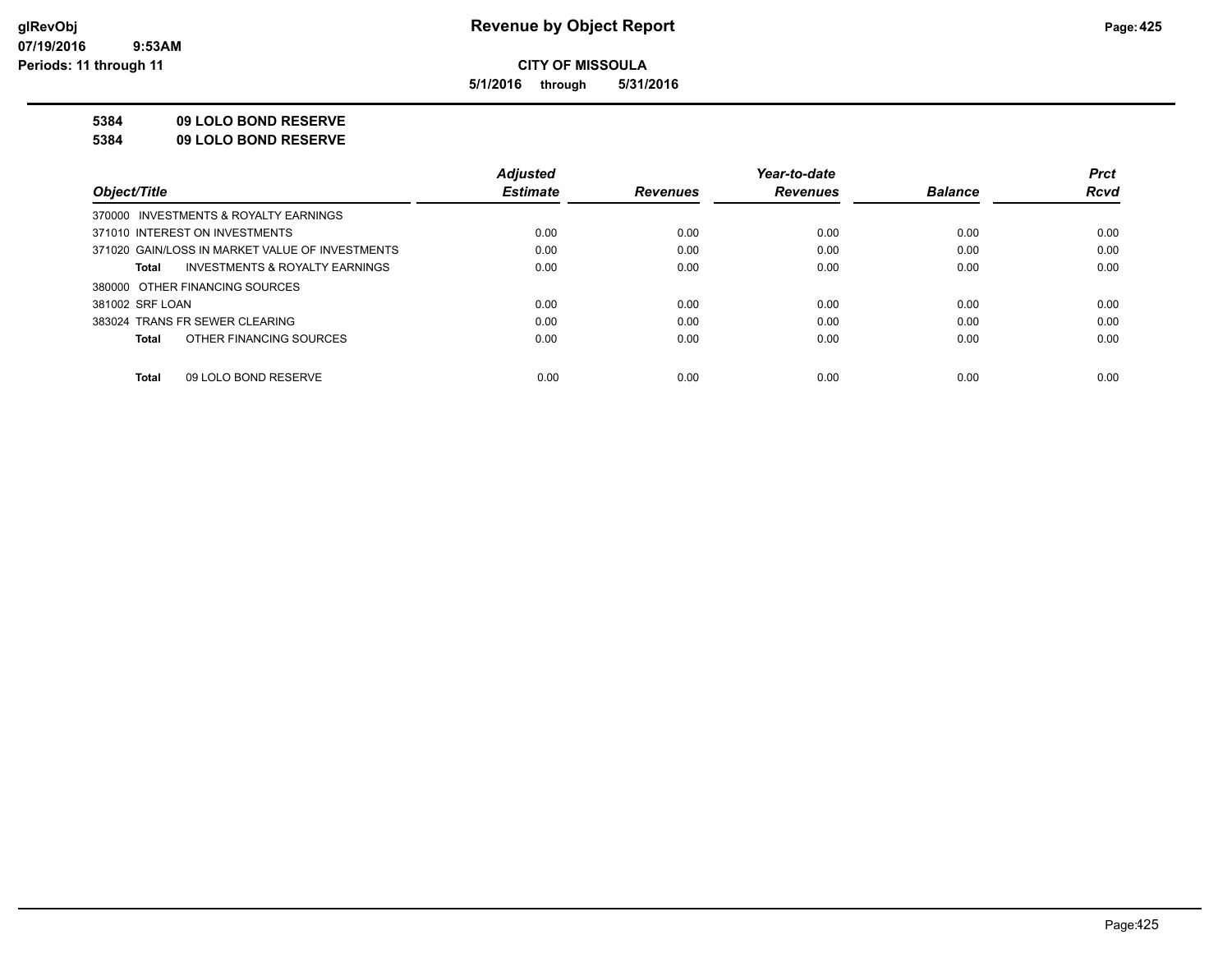**5/1/2016 through 5/31/2016**

**5384 09 LOLO BOND RESERVE**

**5384 09 LOLO BOND RESERVE**

|                                                    | <b>Adjusted</b> |                 | Year-to-date    |                | <b>Prct</b> |
|----------------------------------------------------|-----------------|-----------------|-----------------|----------------|-------------|
| Object/Title                                       | <b>Estimate</b> | <b>Revenues</b> | <b>Revenues</b> | <b>Balance</b> | <b>Rcvd</b> |
| 370000 INVESTMENTS & ROYALTY EARNINGS              |                 |                 |                 |                |             |
| 371010 INTEREST ON INVESTMENTS                     | 0.00            | 0.00            | 0.00            | 0.00           | 0.00        |
| 371020 GAIN/LOSS IN MARKET VALUE OF INVESTMENTS    | 0.00            | 0.00            | 0.00            | 0.00           | 0.00        |
| <b>INVESTMENTS &amp; ROYALTY EARNINGS</b><br>Total | 0.00            | 0.00            | 0.00            | 0.00           | 0.00        |
| 380000 OTHER FINANCING SOURCES                     |                 |                 |                 |                |             |
| 381002 SRF LOAN                                    | 0.00            | 0.00            | 0.00            | 0.00           | 0.00        |
| 383024 TRANS FR SEWER CLEARING                     | 0.00            | 0.00            | 0.00            | 0.00           | 0.00        |
| OTHER FINANCING SOURCES<br>Total                   | 0.00            | 0.00            | 0.00            | 0.00           | 0.00        |
|                                                    |                 |                 |                 |                |             |
| 09 LOLO BOND RESERVE<br>Total                      | 0.00            | 0.00            | 0.00            | 0.00           | 0.00        |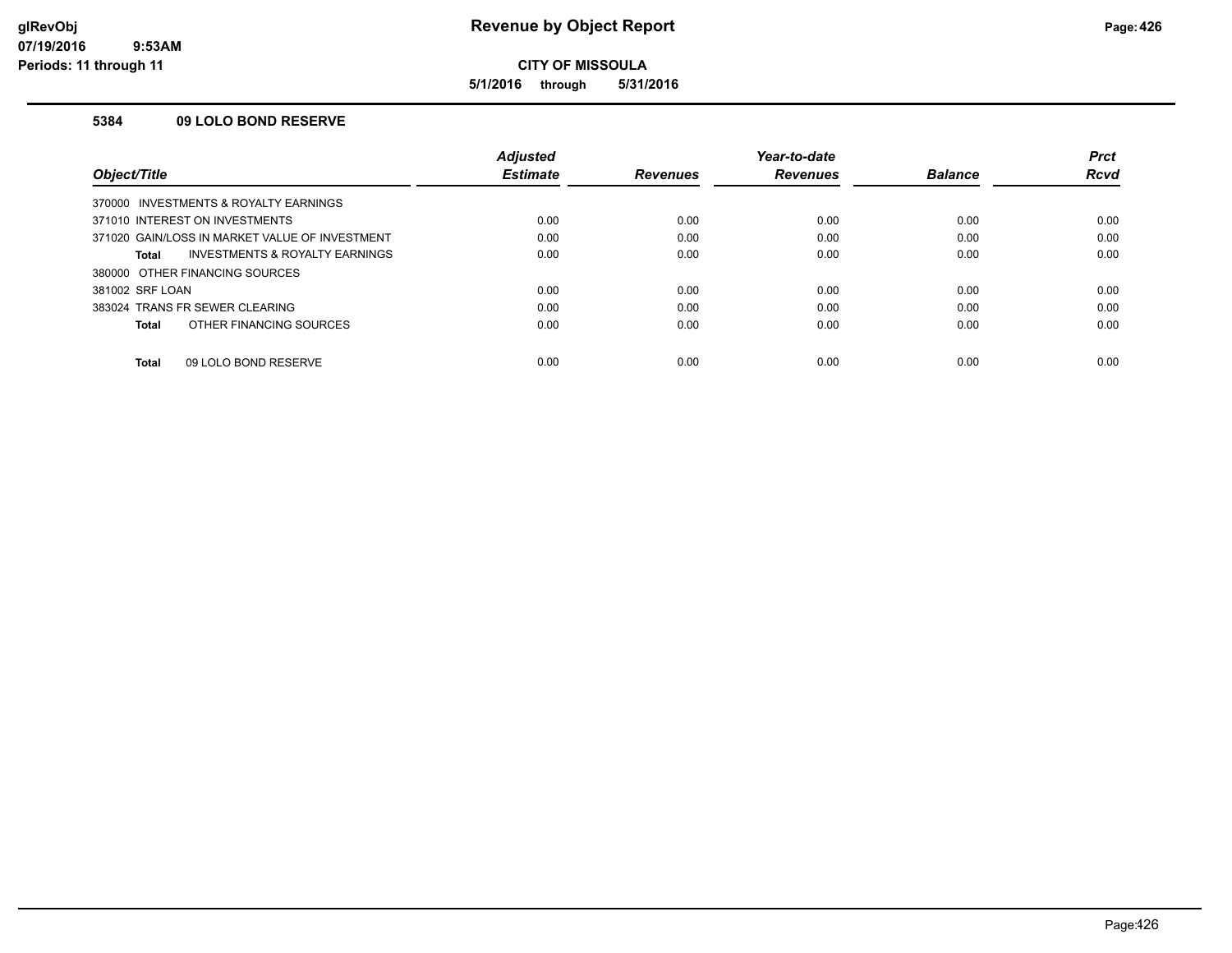**5/1/2016 through 5/31/2016**

#### **5384 09 LOLO BOND RESERVE**

|                                                    | <b>Adjusted</b> |                 | Year-to-date    |                | <b>Prct</b> |
|----------------------------------------------------|-----------------|-----------------|-----------------|----------------|-------------|
| Object/Title                                       | <b>Estimate</b> | <b>Revenues</b> | <b>Revenues</b> | <b>Balance</b> | Rcvd        |
| 370000 INVESTMENTS & ROYALTY EARNINGS              |                 |                 |                 |                |             |
| 371010 INTEREST ON INVESTMENTS                     | 0.00            | 0.00            | 0.00            | 0.00           | 0.00        |
| 371020 GAIN/LOSS IN MARKET VALUE OF INVESTMENT     | 0.00            | 0.00            | 0.00            | 0.00           | 0.00        |
| <b>INVESTMENTS &amp; ROYALTY EARNINGS</b><br>Total | 0.00            | 0.00            | 0.00            | 0.00           | 0.00        |
| 380000 OTHER FINANCING SOURCES                     |                 |                 |                 |                |             |
| 381002 SRF LOAN                                    | 0.00            | 0.00            | 0.00            | 0.00           | 0.00        |
| 383024 TRANS FR SEWER CLEARING                     | 0.00            | 0.00            | 0.00            | 0.00           | 0.00        |
| OTHER FINANCING SOURCES<br>Total                   | 0.00            | 0.00            | 0.00            | 0.00           | 0.00        |
| 09 LOLO BOND RESERVE<br>Total                      | 0.00            | 0.00            | 0.00            | 0.00           | 0.00        |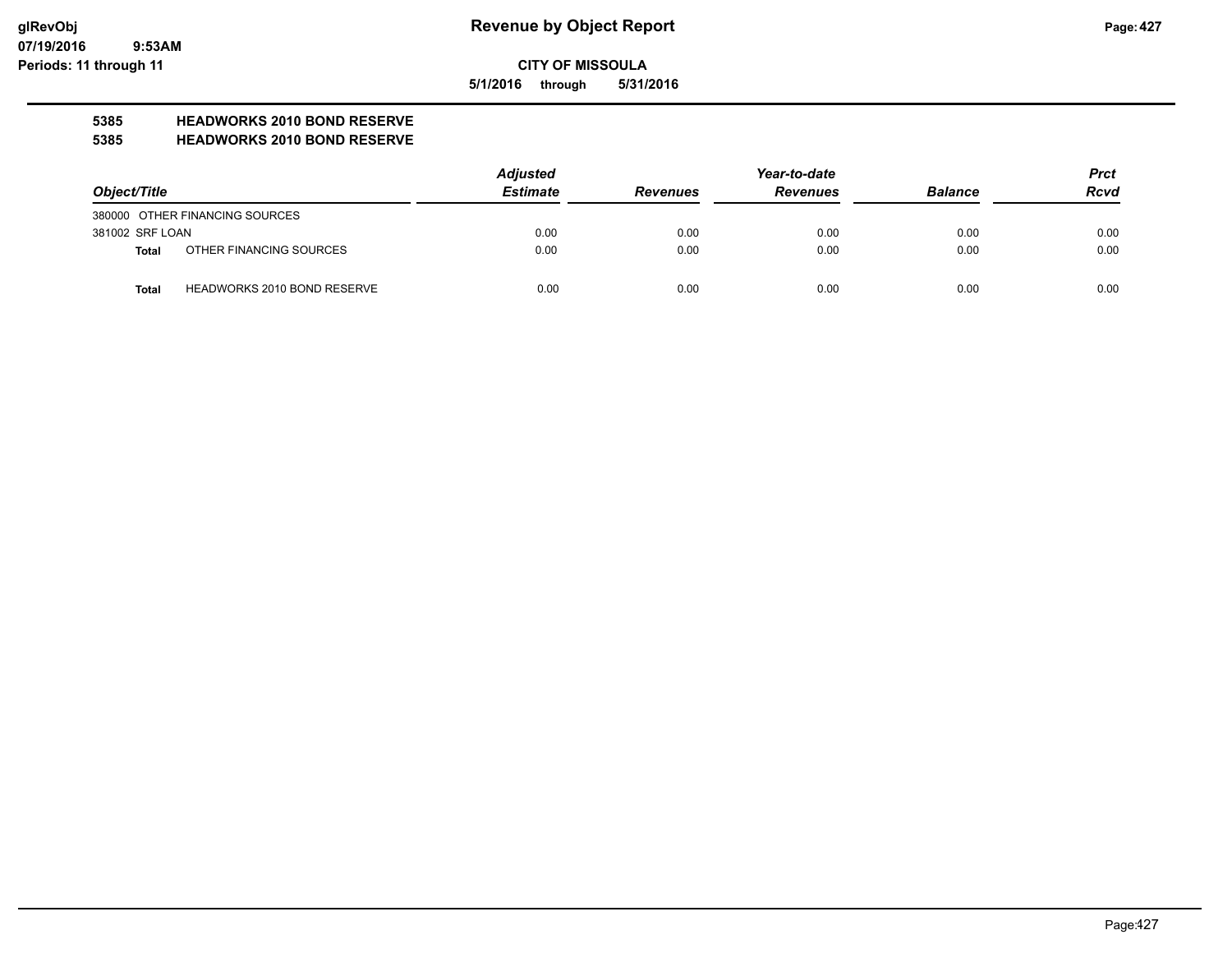**5/1/2016 through 5/31/2016**

# **5385 HEADWORKS 2010 BOND RESERVE**

#### **5385 HEADWORKS 2010 BOND RESERVE**

|                 |                                    | <b>Adjusted</b> |                 | <b>Prct</b>     |                |             |
|-----------------|------------------------------------|-----------------|-----------------|-----------------|----------------|-------------|
| Object/Title    |                                    | <b>Estimate</b> | <b>Revenues</b> | <b>Revenues</b> | <b>Balance</b> | <b>Rcvd</b> |
|                 | 380000 OTHER FINANCING SOURCES     |                 |                 |                 |                |             |
| 381002 SRF LOAN |                                    | 0.00            | 0.00            | 0.00            | 0.00           | 0.00        |
| Total           | OTHER FINANCING SOURCES            | 0.00            | 0.00            | 0.00            | 0.00           | 0.00        |
| <b>Total</b>    | <b>HEADWORKS 2010 BOND RESERVE</b> | 0.00            | 0.00            | 0.00            | 0.00           | 0.00        |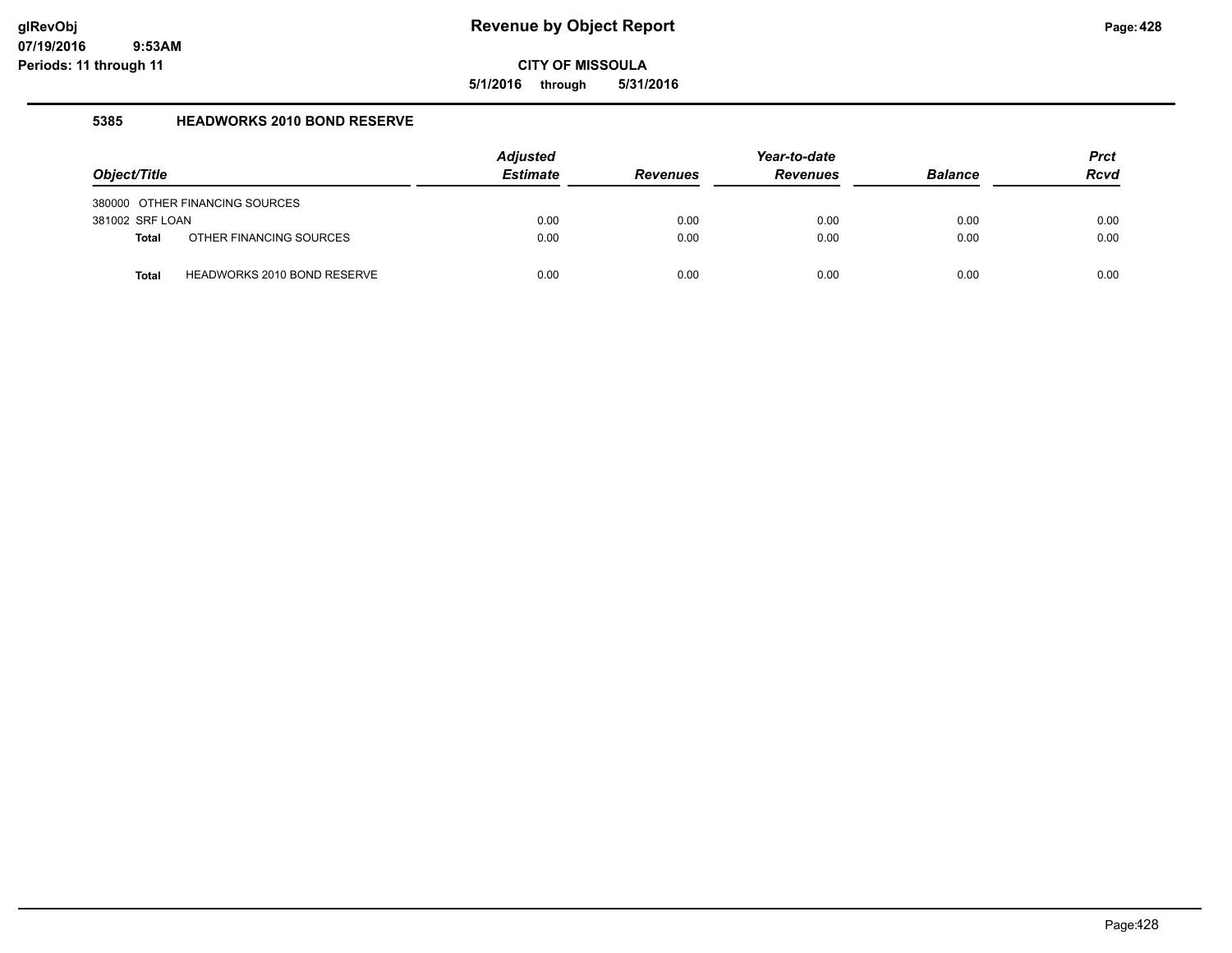**5/1/2016 through 5/31/2016**

#### **5385 HEADWORKS 2010 BOND RESERVE**

| Object/Title    |                                    | <b>Adjusted</b><br><b>Estimate</b> | <b>Revenues</b> | Year-to-date<br><b>Revenues</b> | <b>Balance</b> | <b>Prct</b><br><b>Rcvd</b> |
|-----------------|------------------------------------|------------------------------------|-----------------|---------------------------------|----------------|----------------------------|
|                 | 380000 OTHER FINANCING SOURCES     |                                    |                 |                                 |                |                            |
| 381002 SRF LOAN |                                    | 0.00                               | 0.00            | 0.00                            | 0.00           | 0.00                       |
| <b>Total</b>    | OTHER FINANCING SOURCES            | 0.00                               | 0.00            | 0.00                            | 0.00           | 0.00                       |
| Total           | <b>HEADWORKS 2010 BOND RESERVE</b> | 0.00                               | 0.00            | 0.00                            | 0.00           | 0.00                       |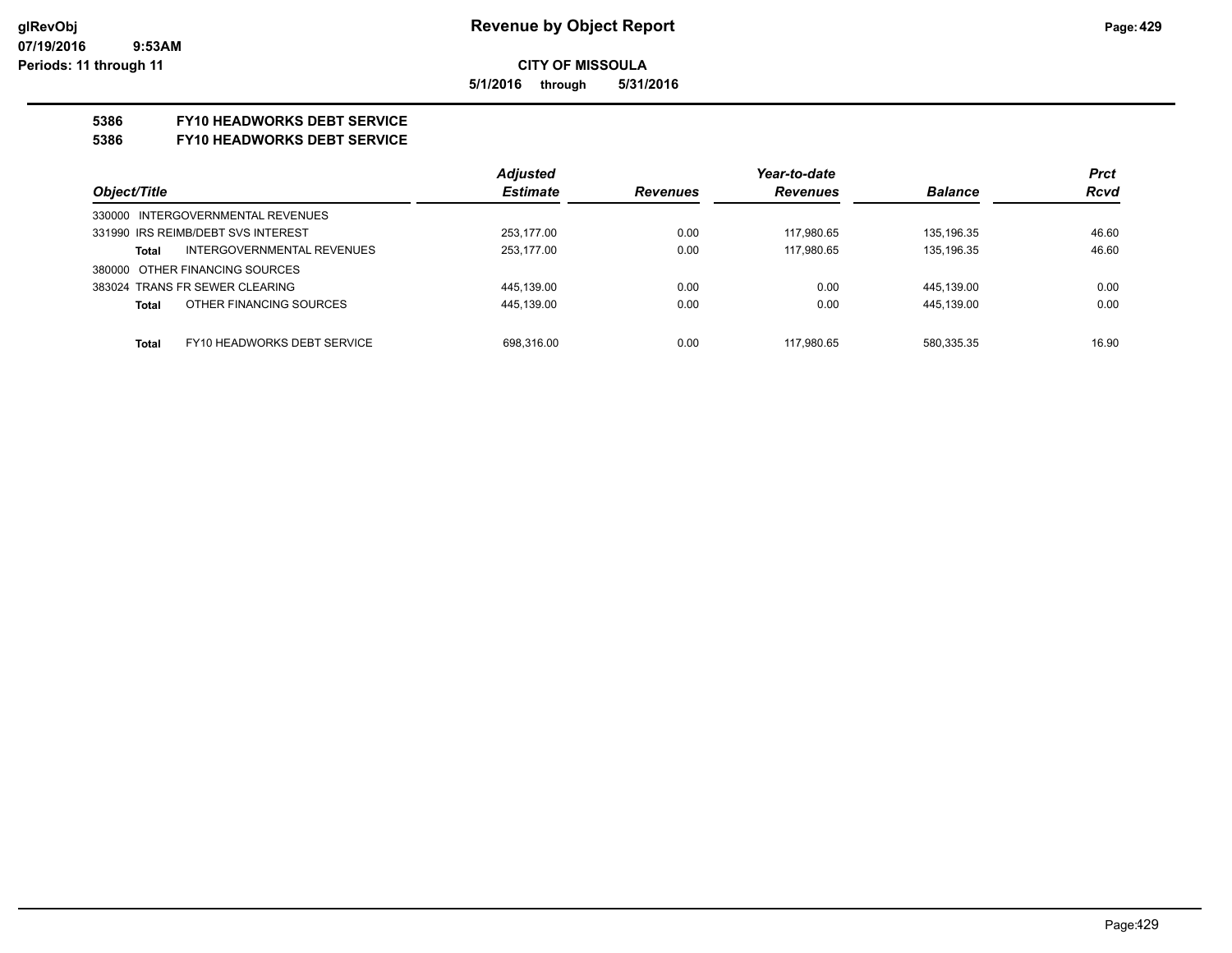**5/1/2016 through 5/31/2016**

## **5386 FY10 HEADWORKS DEBT SERVICE**

#### **5386 FY10 HEADWORKS DEBT SERVICE**

|                                      | <b>Adjusted</b> |                 | Year-to-date    |                | <b>Prct</b> |
|--------------------------------------|-----------------|-----------------|-----------------|----------------|-------------|
| Object/Title                         | <b>Estimate</b> | <b>Revenues</b> | <b>Revenues</b> | <b>Balance</b> | <b>Rcvd</b> |
| 330000 INTERGOVERNMENTAL REVENUES    |                 |                 |                 |                |             |
| 331990 IRS REIMB/DEBT SVS INTEREST   | 253.177.00      | 0.00            | 117.980.65      | 135.196.35     | 46.60       |
| INTERGOVERNMENTAL REVENUES<br>Total  | 253.177.00      | 0.00            | 117.980.65      | 135.196.35     | 46.60       |
| 380000 OTHER FINANCING SOURCES       |                 |                 |                 |                |             |
| 383024 TRANS FR SEWER CLEARING       | 445,139.00      | 0.00            | 0.00            | 445,139.00     | 0.00        |
| OTHER FINANCING SOURCES<br>Total     | 445,139.00      | 0.00            | 0.00            | 445,139.00     | 0.00        |
|                                      |                 |                 |                 |                |             |
| FY10 HEADWORKS DEBT SERVICE<br>Total | 698.316.00      | 0.00            | 117.980.65      | 580,335.35     | 16.90       |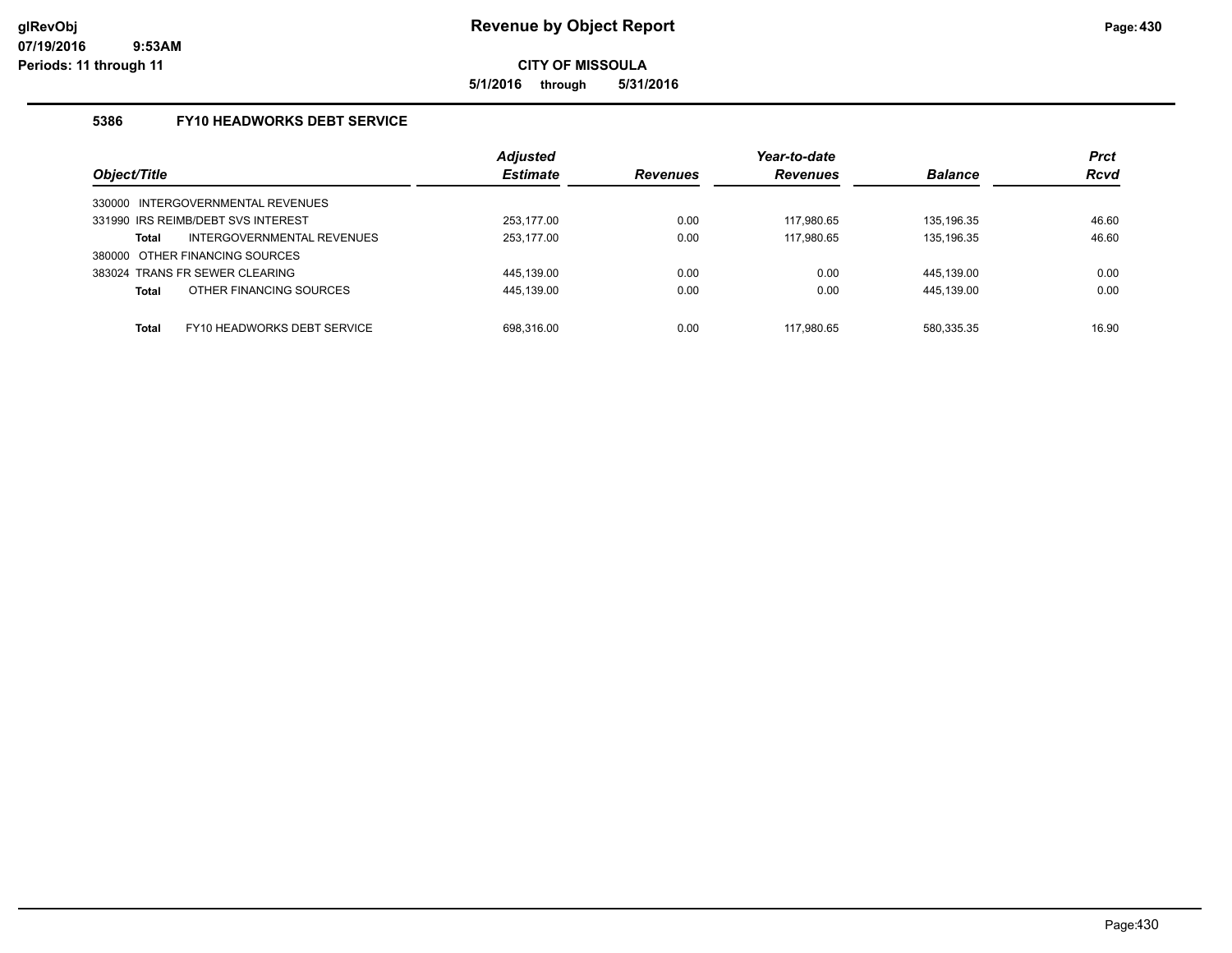**5/1/2016 through 5/31/2016**

## **5386 FY10 HEADWORKS DEBT SERVICE**

| Object/Title                                | <b>Adjusted</b><br><b>Estimate</b> | <b>Revenues</b> | Year-to-date<br><b>Revenues</b> | <b>Balance</b> | <b>Prct</b><br><b>Rcvd</b> |
|---------------------------------------------|------------------------------------|-----------------|---------------------------------|----------------|----------------------------|
| 330000 INTERGOVERNMENTAL REVENUES           |                                    |                 |                                 |                |                            |
| 331990 IRS REIMB/DEBT SVS INTEREST          | 253.177.00                         | 0.00            | 117.980.65                      | 135.196.35     | 46.60                      |
| INTERGOVERNMENTAL REVENUES<br>Total         | 253,177.00                         | 0.00            | 117,980.65                      | 135,196.35     | 46.60                      |
| 380000 OTHER FINANCING SOURCES              |                                    |                 |                                 |                |                            |
| 383024 TRANS FR SEWER CLEARING              | 445,139.00                         | 0.00            | 0.00                            | 445.139.00     | 0.00                       |
| OTHER FINANCING SOURCES<br>Total            | 445,139.00                         | 0.00            | 0.00                            | 445,139.00     | 0.00                       |
|                                             |                                    |                 |                                 |                |                            |
| FY10 HEADWORKS DEBT SERVICE<br><b>Total</b> | 698.316.00                         | 0.00            | 117.980.65                      | 580.335.35     | 16.90                      |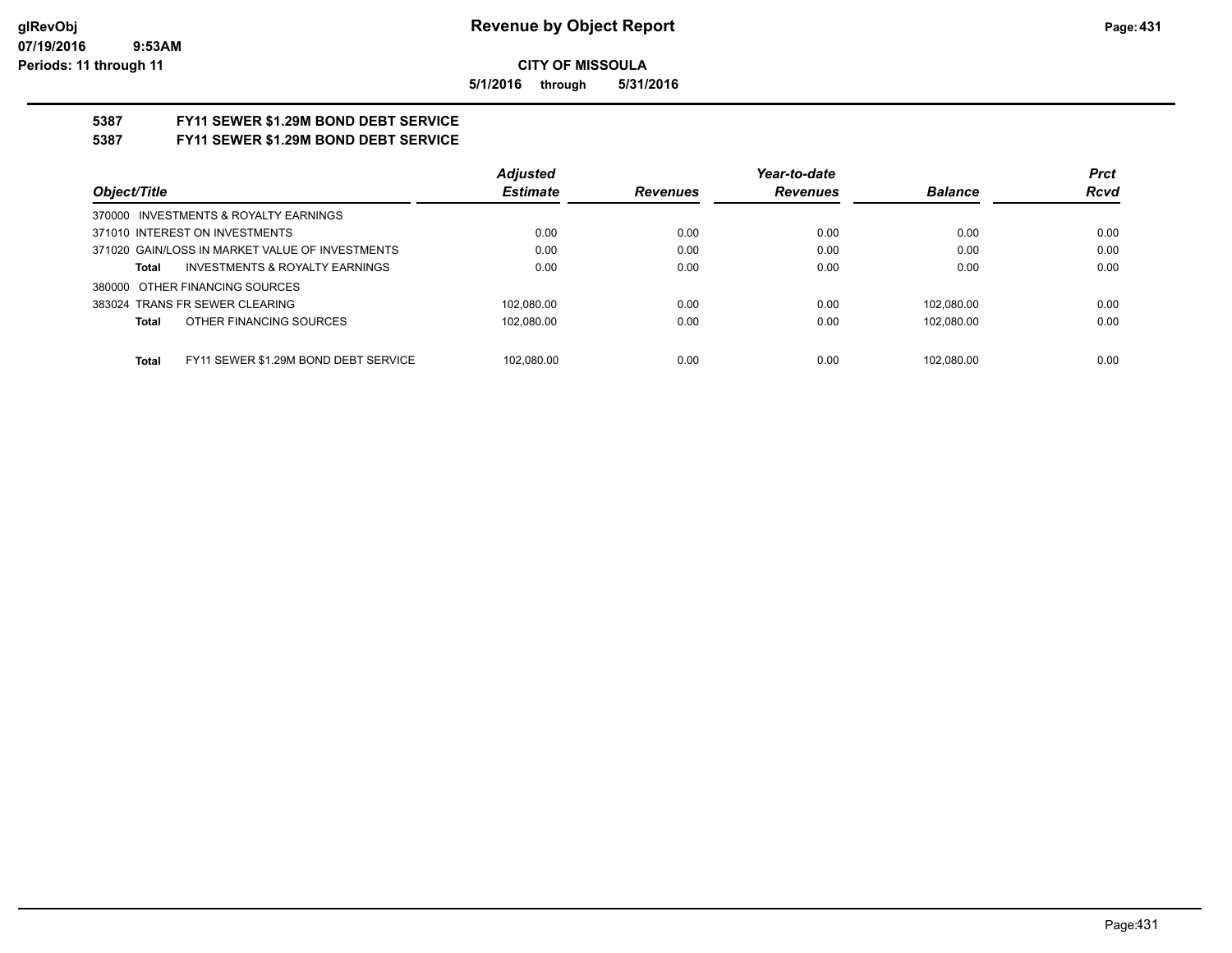**5/1/2016 through 5/31/2016**

# **5387 FY11 SEWER \$1.29M BOND DEBT SERVICE**

## **5387 FY11 SEWER \$1.29M BOND DEBT SERVICE**

|                                                      | <b>Adjusted</b> |                 | Year-to-date    |                | <b>Prct</b> |
|------------------------------------------------------|-----------------|-----------------|-----------------|----------------|-------------|
| Object/Title                                         | <b>Estimate</b> | <b>Revenues</b> | <b>Revenues</b> | <b>Balance</b> | <b>Rcvd</b> |
| 370000 INVESTMENTS & ROYALTY EARNINGS                |                 |                 |                 |                |             |
| 371010 INTEREST ON INVESTMENTS                       | 0.00            | 0.00            | 0.00            | 0.00           | 0.00        |
| 371020 GAIN/LOSS IN MARKET VALUE OF INVESTMENTS      | 0.00            | 0.00            | 0.00            | 0.00           | 0.00        |
| <b>INVESTMENTS &amp; ROYALTY EARNINGS</b><br>Total   | 0.00            | 0.00            | 0.00            | 0.00           | 0.00        |
| 380000 OTHER FINANCING SOURCES                       |                 |                 |                 |                |             |
| 383024 TRANS FR SEWER CLEARING                       | 102.080.00      | 0.00            | 0.00            | 102.080.00     | 0.00        |
| OTHER FINANCING SOURCES<br>Total                     | 102.080.00      | 0.00            | 0.00            | 102.080.00     | 0.00        |
|                                                      |                 |                 |                 |                |             |
| FY11 SEWER \$1.29M BOND DEBT SERVICE<br><b>Total</b> | 102.080.00      | 0.00            | 0.00            | 102.080.00     | 0.00        |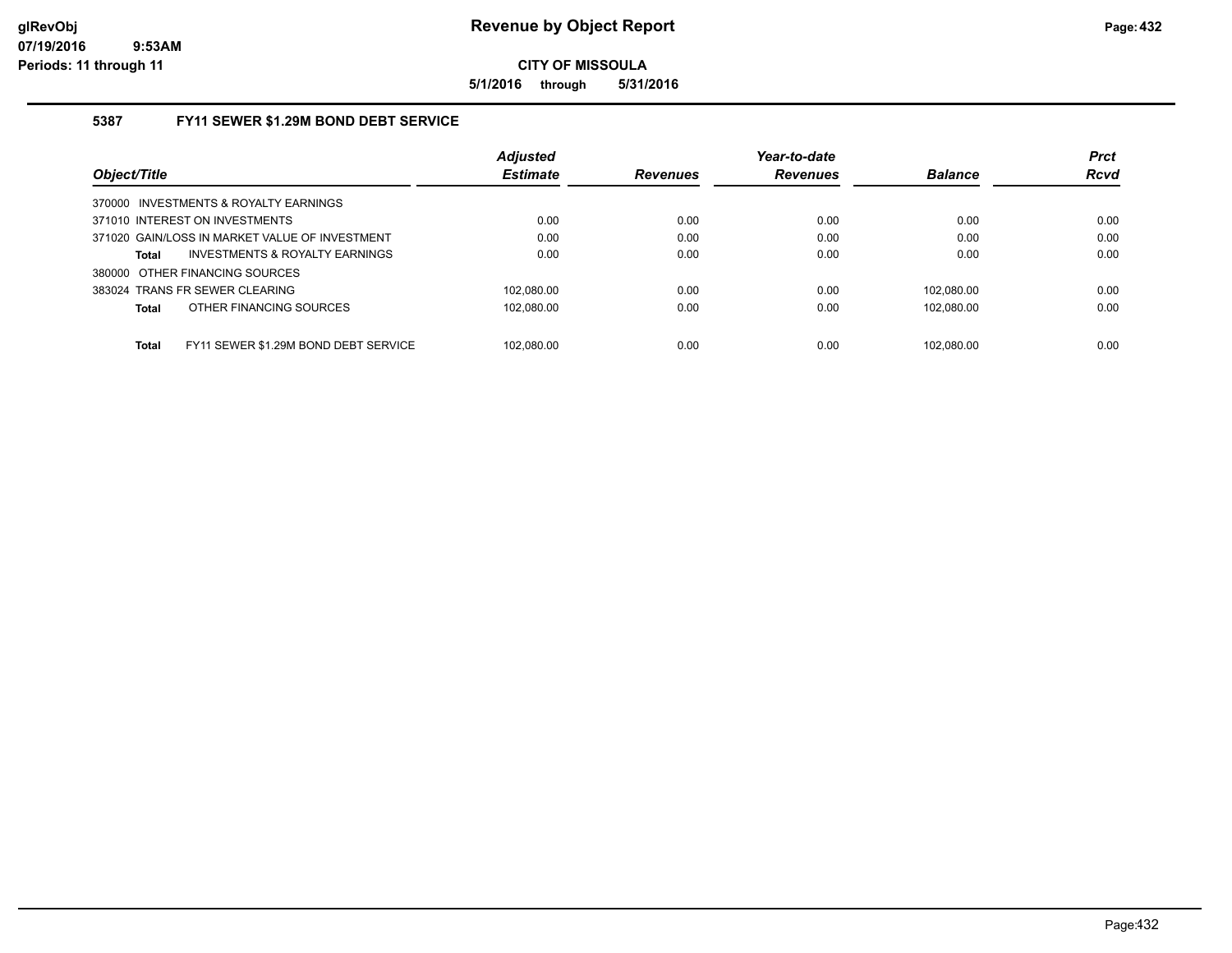**5/1/2016 through 5/31/2016**

## **5387 FY11 SEWER \$1.29M BOND DEBT SERVICE**

|                                                      | <b>Adjusted</b> |                 | Year-to-date    |                | <b>Prct</b> |
|------------------------------------------------------|-----------------|-----------------|-----------------|----------------|-------------|
| Object/Title                                         | <b>Estimate</b> | <b>Revenues</b> | <b>Revenues</b> | <b>Balance</b> | <b>Rcvd</b> |
| 370000 INVESTMENTS & ROYALTY EARNINGS                |                 |                 |                 |                |             |
| 371010 INTEREST ON INVESTMENTS                       | 0.00            | 0.00            | 0.00            | 0.00           | 0.00        |
| 371020 GAIN/LOSS IN MARKET VALUE OF INVESTMENT       | 0.00            | 0.00            | 0.00            | 0.00           | 0.00        |
| INVESTMENTS & ROYALTY EARNINGS<br>Total              | 0.00            | 0.00            | 0.00            | 0.00           | 0.00        |
| 380000 OTHER FINANCING SOURCES                       |                 |                 |                 |                |             |
| 383024 TRANS FR SEWER CLEARING                       | 102.080.00      | 0.00            | 0.00            | 102.080.00     | 0.00        |
| OTHER FINANCING SOURCES<br>Total                     | 102.080.00      | 0.00            | 0.00            | 102.080.00     | 0.00        |
|                                                      |                 |                 |                 |                |             |
| FY11 SEWER \$1.29M BOND DEBT SERVICE<br><b>Total</b> | 102.080.00      | 0.00            | 0.00            | 102.080.00     | 0.00        |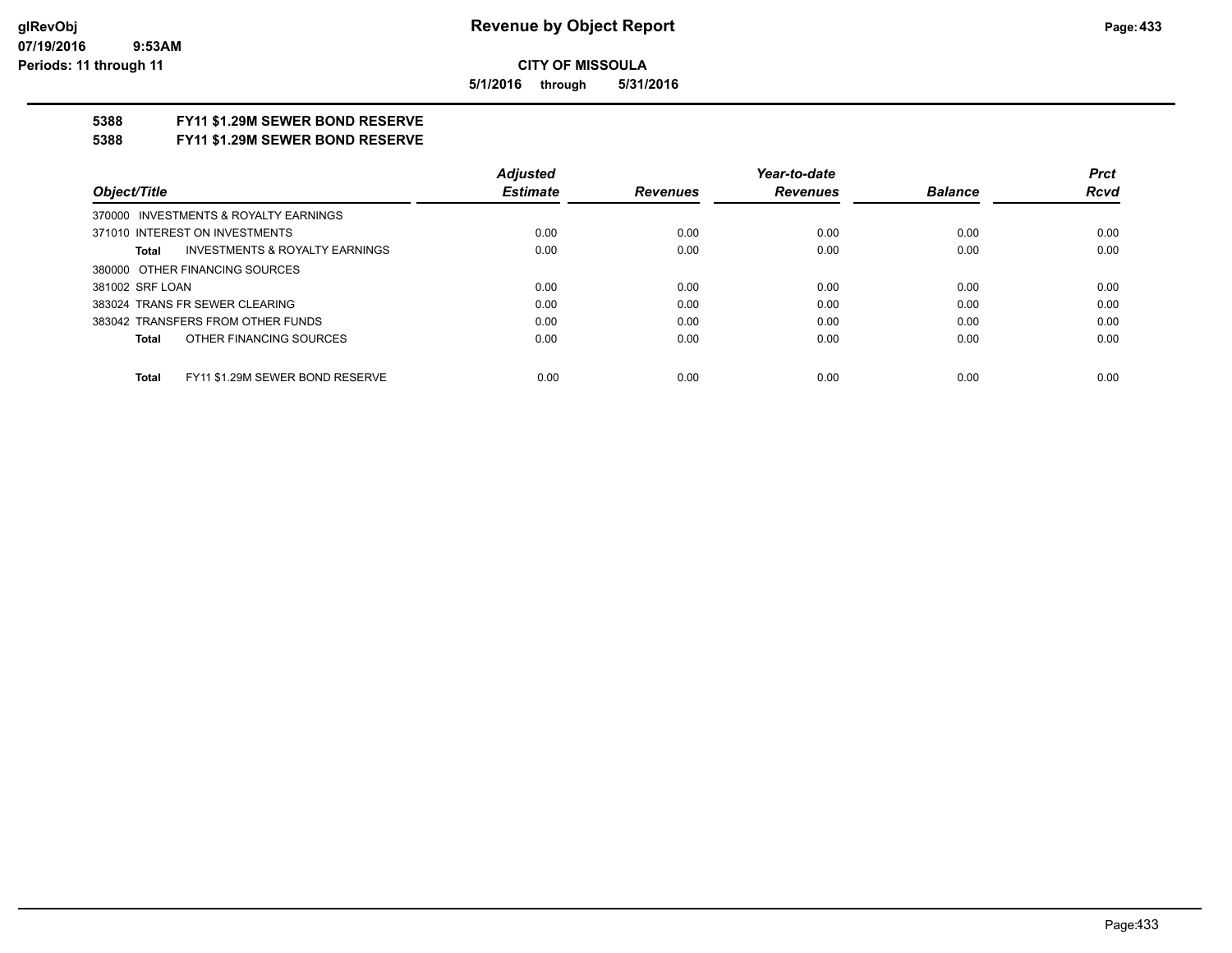**5/1/2016 through 5/31/2016**

## **5388 FY11 \$1.29M SEWER BOND RESERVE**

**5388 FY11 \$1.29M SEWER BOND RESERVE**

|                                                    | <b>Adjusted</b> |                 | Year-to-date    |                | <b>Prct</b> |
|----------------------------------------------------|-----------------|-----------------|-----------------|----------------|-------------|
| Object/Title                                       | <b>Estimate</b> | <b>Revenues</b> | <b>Revenues</b> | <b>Balance</b> | <b>Rcvd</b> |
| 370000 INVESTMENTS & ROYALTY EARNINGS              |                 |                 |                 |                |             |
| 371010 INTEREST ON INVESTMENTS                     | 0.00            | 0.00            | 0.00            | 0.00           | 0.00        |
| <b>INVESTMENTS &amp; ROYALTY EARNINGS</b><br>Total | 0.00            | 0.00            | 0.00            | 0.00           | 0.00        |
| 380000 OTHER FINANCING SOURCES                     |                 |                 |                 |                |             |
| 381002 SRF LOAN                                    | 0.00            | 0.00            | 0.00            | 0.00           | 0.00        |
| 383024 TRANS FR SEWER CLEARING                     | 0.00            | 0.00            | 0.00            | 0.00           | 0.00        |
| 383042 TRANSFERS FROM OTHER FUNDS                  | 0.00            | 0.00            | 0.00            | 0.00           | 0.00        |
| OTHER FINANCING SOURCES<br>Total                   | 0.00            | 0.00            | 0.00            | 0.00           | 0.00        |
|                                                    |                 |                 |                 |                |             |
| FY11 \$1.29M SEWER BOND RESERVE<br>Total           | 0.00            | 0.00            | 0.00            | 0.00           | 0.00        |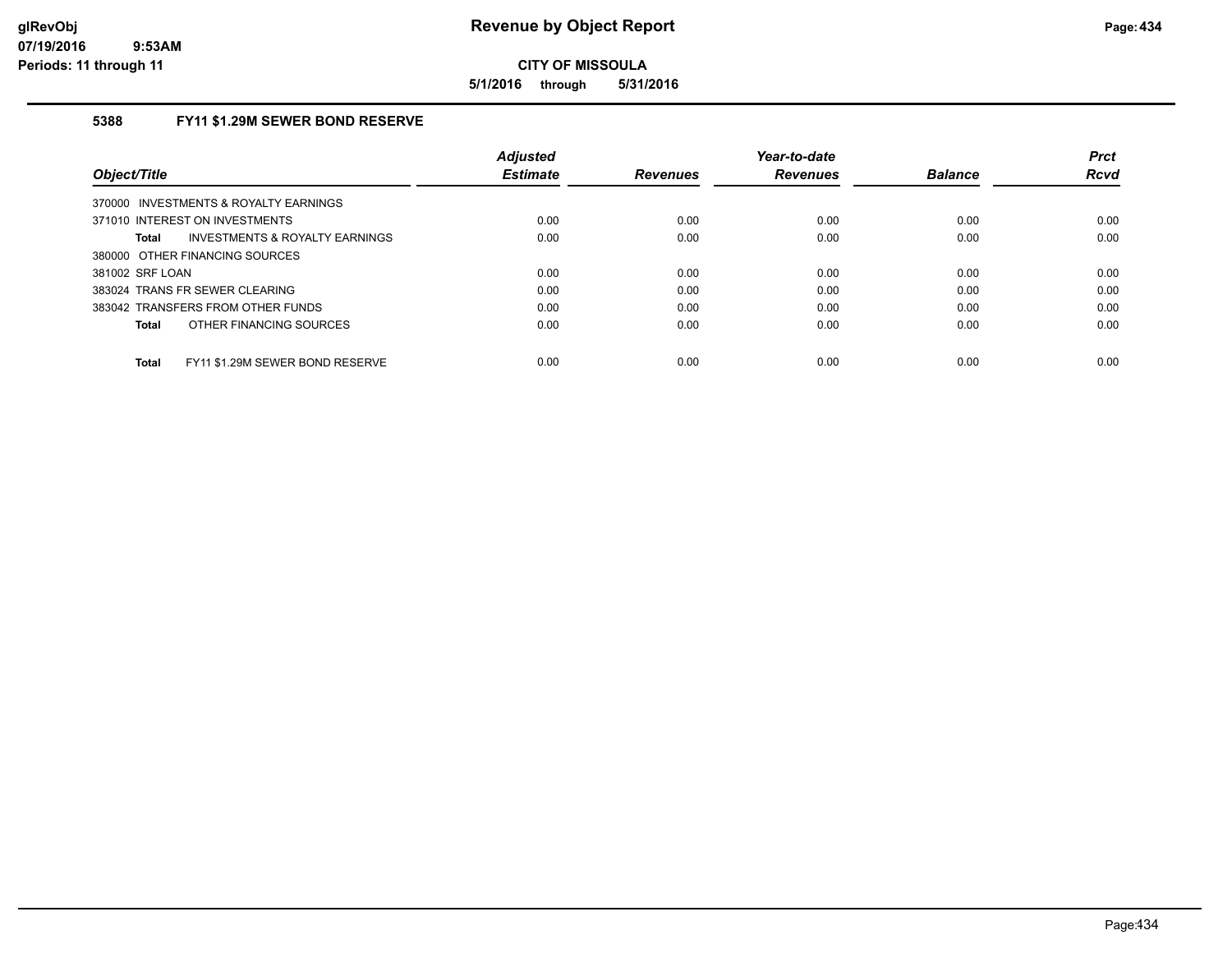**5/1/2016 through 5/31/2016**

## **5388 FY11 \$1.29M SEWER BOND RESERVE**

|                                                 | <b>Adjusted</b> |                 | Year-to-date    |                | <b>Prct</b> |
|-------------------------------------------------|-----------------|-----------------|-----------------|----------------|-------------|
| Object/Title                                    | <b>Estimate</b> | <b>Revenues</b> | <b>Revenues</b> | <b>Balance</b> | Rcvd        |
| 370000 INVESTMENTS & ROYALTY EARNINGS           |                 |                 |                 |                |             |
| 371010 INTEREST ON INVESTMENTS                  | 0.00            | 0.00            | 0.00            | 0.00           | 0.00        |
| INVESTMENTS & ROYALTY EARNINGS<br><b>Total</b>  | 0.00            | 0.00            | 0.00            | 0.00           | 0.00        |
| 380000 OTHER FINANCING SOURCES                  |                 |                 |                 |                |             |
| 381002 SRF LOAN                                 | 0.00            | 0.00            | 0.00            | 0.00           | 0.00        |
| 383024 TRANS FR SEWER CLEARING                  | 0.00            | 0.00            | 0.00            | 0.00           | 0.00        |
| 383042 TRANSFERS FROM OTHER FUNDS               | 0.00            | 0.00            | 0.00            | 0.00           | 0.00        |
| OTHER FINANCING SOURCES<br><b>Total</b>         | 0.00            | 0.00            | 0.00            | 0.00           | 0.00        |
| FY11 \$1.29M SEWER BOND RESERVE<br><b>Total</b> | 0.00            | 0.00            | 0.00            | 0.00           | 0.00        |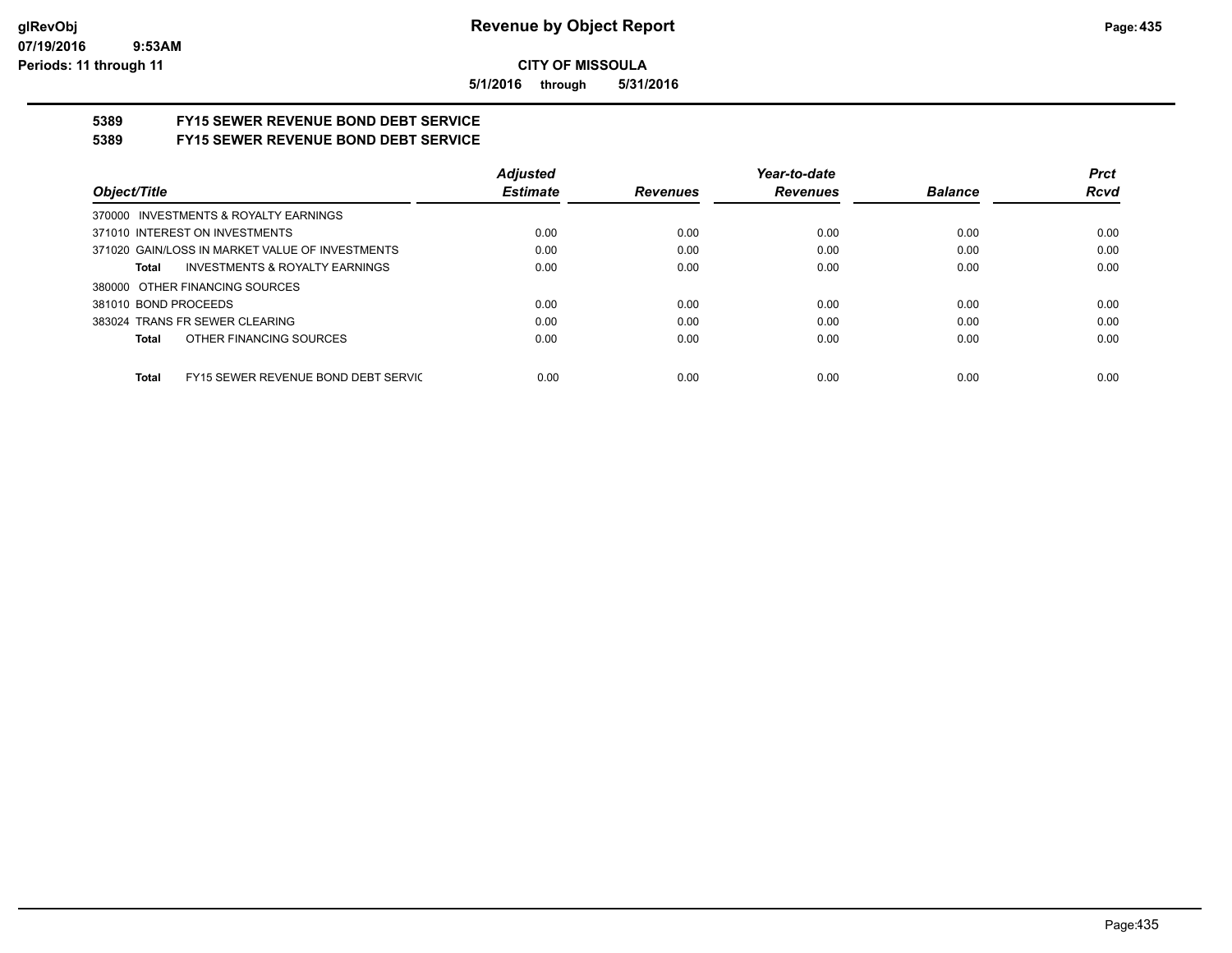**5/1/2016 through 5/31/2016**

## **5389 FY15 SEWER REVENUE BOND DEBT SERVICE**

## **5389 FY15 SEWER REVENUE BOND DEBT SERVICE**

|                                                     | <b>Adjusted</b> |                 | Year-to-date    |                | <b>Prct</b> |
|-----------------------------------------------------|-----------------|-----------------|-----------------|----------------|-------------|
| Object/Title                                        | <b>Estimate</b> | <b>Revenues</b> | <b>Revenues</b> | <b>Balance</b> | <b>Rcvd</b> |
| 370000 INVESTMENTS & ROYALTY EARNINGS               |                 |                 |                 |                |             |
| 371010 INTEREST ON INVESTMENTS                      | 0.00            | 0.00            | 0.00            | 0.00           | 0.00        |
| 371020 GAIN/LOSS IN MARKET VALUE OF INVESTMENTS     | 0.00            | 0.00            | 0.00            | 0.00           | 0.00        |
| <b>INVESTMENTS &amp; ROYALTY EARNINGS</b><br>Total  | 0.00            | 0.00            | 0.00            | 0.00           | 0.00        |
| 380000 OTHER FINANCING SOURCES                      |                 |                 |                 |                |             |
| 381010 BOND PROCEEDS                                | 0.00            | 0.00            | 0.00            | 0.00           | 0.00        |
| 383024 TRANS FR SEWER CLEARING                      | 0.00            | 0.00            | 0.00            | 0.00           | 0.00        |
| OTHER FINANCING SOURCES<br>Total                    | 0.00            | 0.00            | 0.00            | 0.00           | 0.00        |
|                                                     |                 |                 |                 |                |             |
| FY15 SEWER REVENUE BOND DEBT SERVIC<br><b>Total</b> | 0.00            | 0.00            | 0.00            | 0.00           | 0.00        |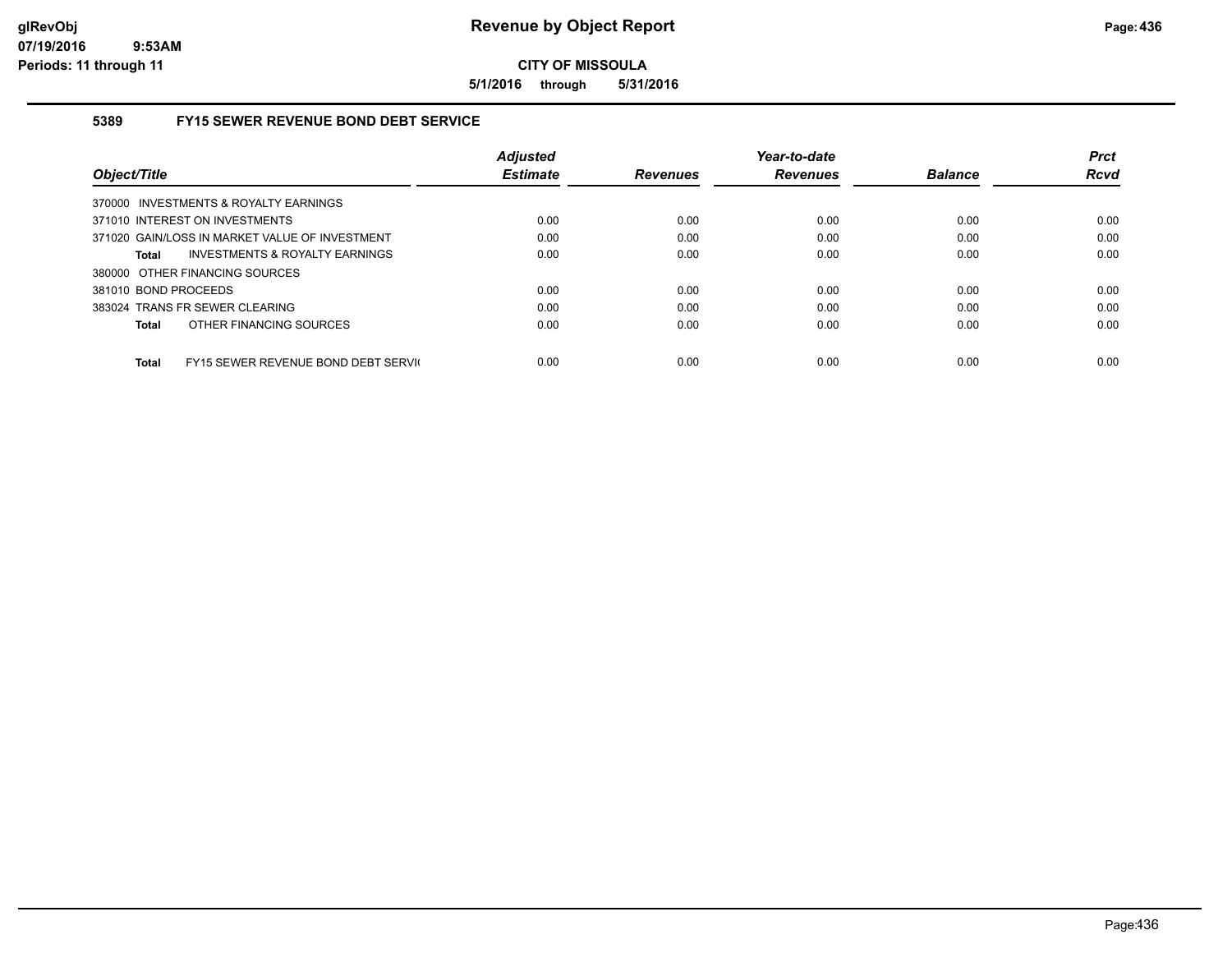**5/1/2016 through 5/31/2016**

### **5389 FY15 SEWER REVENUE BOND DEBT SERVICE**

|                                                     | <b>Adiusted</b> |                 | Year-to-date    |                | <b>Prct</b> |
|-----------------------------------------------------|-----------------|-----------------|-----------------|----------------|-------------|
| Object/Title                                        | <b>Estimate</b> | <b>Revenues</b> | <b>Revenues</b> | <b>Balance</b> | <b>Rcvd</b> |
| 370000 INVESTMENTS & ROYALTY EARNINGS               |                 |                 |                 |                |             |
| 371010 INTEREST ON INVESTMENTS                      | 0.00            | 0.00            | 0.00            | 0.00           | 0.00        |
| 371020 GAIN/LOSS IN MARKET VALUE OF INVESTMENT      | 0.00            | 0.00            | 0.00            | 0.00           | 0.00        |
| INVESTMENTS & ROYALTY EARNINGS<br>Total             | 0.00            | 0.00            | 0.00            | 0.00           | 0.00        |
| 380000 OTHER FINANCING SOURCES                      |                 |                 |                 |                |             |
| 381010 BOND PROCEEDS                                | 0.00            | 0.00            | 0.00            | 0.00           | 0.00        |
| 383024 TRANS FR SEWER CLEARING                      | 0.00            | 0.00            | 0.00            | 0.00           | 0.00        |
| OTHER FINANCING SOURCES<br><b>Total</b>             | 0.00            | 0.00            | 0.00            | 0.00           | 0.00        |
|                                                     |                 |                 |                 |                |             |
| FY15 SEWER REVENUE BOND DEBT SERVIC<br><b>Total</b> | 0.00            | 0.00            | 0.00            | 0.00           | 0.00        |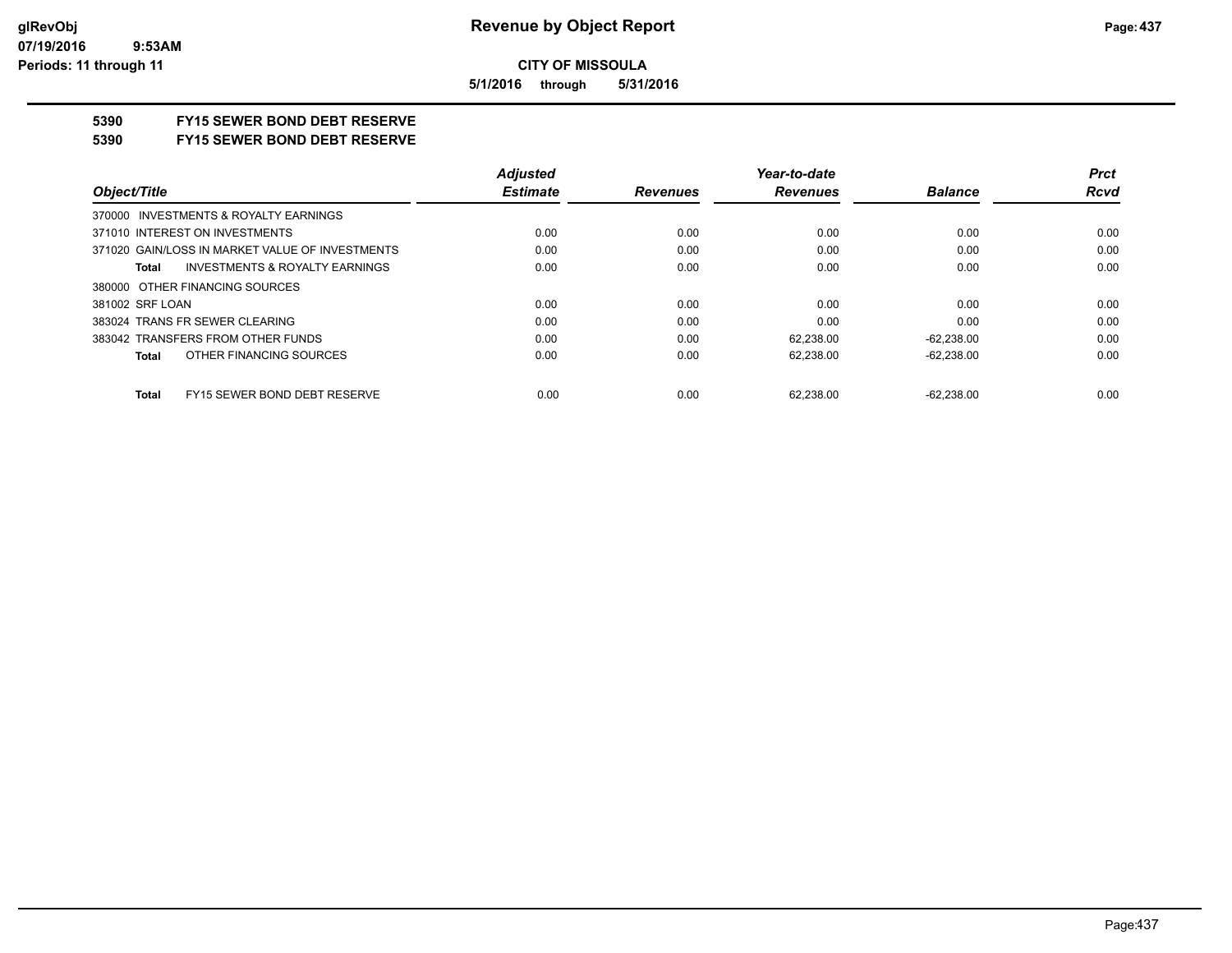**5/1/2016 through 5/31/2016**

## **5390 FY15 SEWER BOND DEBT RESERVE**

#### **5390 FY15 SEWER BOND DEBT RESERVE**

|                                                 | <b>Adjusted</b> |                 | Year-to-date    |                | <b>Prct</b> |
|-------------------------------------------------|-----------------|-----------------|-----------------|----------------|-------------|
| Object/Title                                    | <b>Estimate</b> | <b>Revenues</b> | <b>Revenues</b> | <b>Balance</b> | <b>Rcvd</b> |
| 370000 INVESTMENTS & ROYALTY EARNINGS           |                 |                 |                 |                |             |
| 371010 INTEREST ON INVESTMENTS                  | 0.00            | 0.00            | 0.00            | 0.00           | 0.00        |
| 371020 GAIN/LOSS IN MARKET VALUE OF INVESTMENTS | 0.00            | 0.00            | 0.00            | 0.00           | 0.00        |
| INVESTMENTS & ROYALTY EARNINGS<br>Total         | 0.00            | 0.00            | 0.00            | 0.00           | 0.00        |
| 380000 OTHER FINANCING SOURCES                  |                 |                 |                 |                |             |
| 381002 SRF LOAN                                 | 0.00            | 0.00            | 0.00            | 0.00           | 0.00        |
| 383024 TRANS FR SEWER CLEARING                  | 0.00            | 0.00            | 0.00            | 0.00           | 0.00        |
| 383042 TRANSFERS FROM OTHER FUNDS               | 0.00            | 0.00            | 62,238.00       | $-62,238.00$   | 0.00        |
| OTHER FINANCING SOURCES<br>Total                | 0.00            | 0.00            | 62.238.00       | $-62.238.00$   | 0.00        |
| FY15 SEWER BOND DEBT RESERVE<br><b>Total</b>    | 0.00            | 0.00            | 62.238.00       | $-62.238.00$   | 0.00        |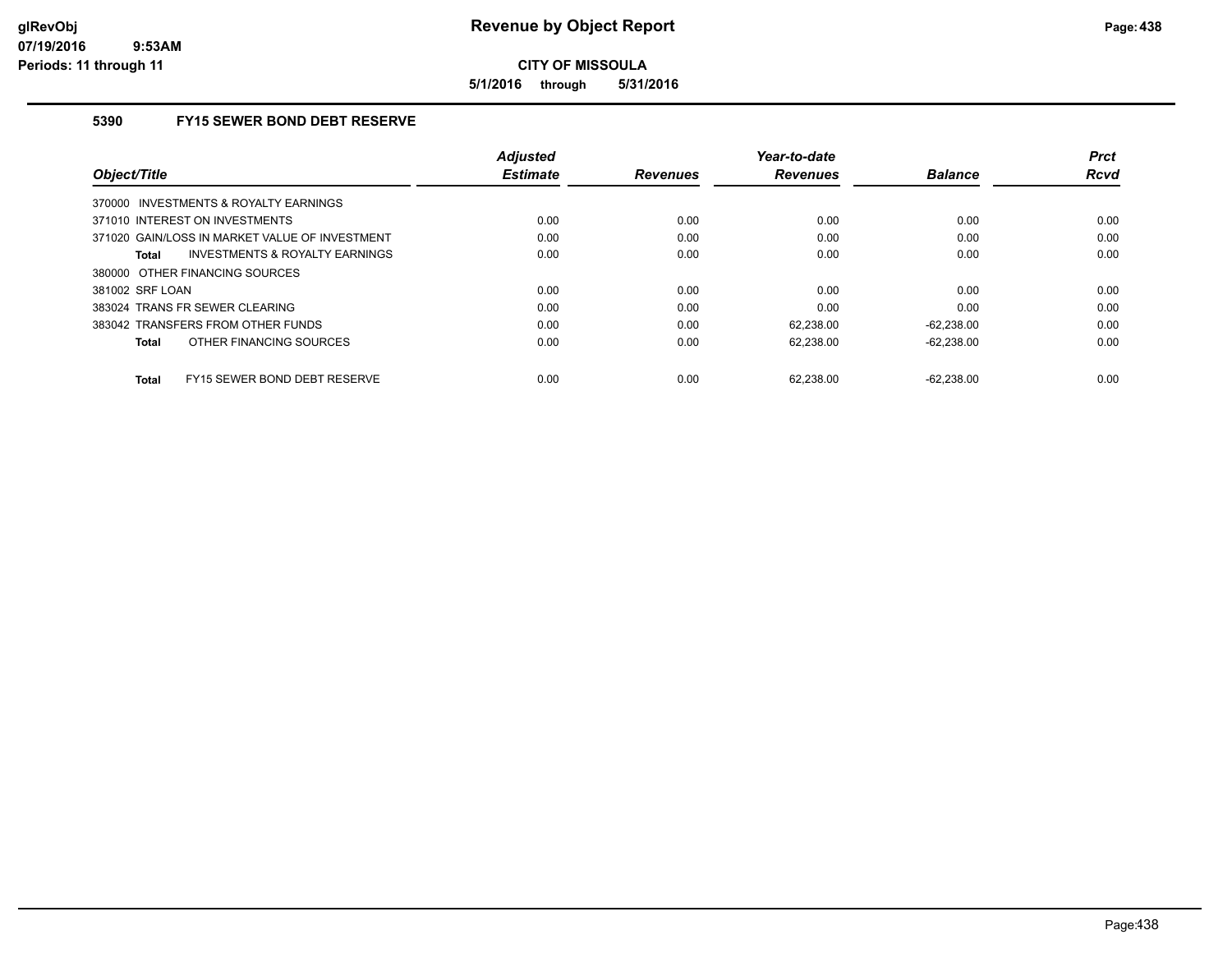**5/1/2016 through 5/31/2016**

## **5390 FY15 SEWER BOND DEBT RESERVE**

| Object/Title                                   | <b>Adjusted</b><br><b>Estimate</b> | <b>Revenues</b> | Year-to-date<br><b>Revenues</b> | <b>Balance</b> | <b>Prct</b><br><b>Rcvd</b> |
|------------------------------------------------|------------------------------------|-----------------|---------------------------------|----------------|----------------------------|
| 370000 INVESTMENTS & ROYALTY EARNINGS          |                                    |                 |                                 |                |                            |
| 371010 INTEREST ON INVESTMENTS                 | 0.00                               | 0.00            | 0.00                            | 0.00           | 0.00                       |
| 371020 GAIN/LOSS IN MARKET VALUE OF INVESTMENT | 0.00                               | 0.00            | 0.00                            | 0.00           | 0.00                       |
| INVESTMENTS & ROYALTY EARNINGS<br>Total        | 0.00                               | 0.00            | 0.00                            | 0.00           | 0.00                       |
| 380000 OTHER FINANCING SOURCES                 |                                    |                 |                                 |                |                            |
| 381002 SRF LOAN                                | 0.00                               | 0.00            | 0.00                            | 0.00           | 0.00                       |
| 383024 TRANS FR SEWER CLEARING                 | 0.00                               | 0.00            | 0.00                            | 0.00           | 0.00                       |
| 383042 TRANSFERS FROM OTHER FUNDS              | 0.00                               | 0.00            | 62.238.00                       | $-62.238.00$   | 0.00                       |
| OTHER FINANCING SOURCES<br><b>Total</b>        | 0.00                               | 0.00            | 62.238.00                       | $-62.238.00$   | 0.00                       |
| FY15 SEWER BOND DEBT RESERVE<br><b>Total</b>   | 0.00                               | 0.00            | 62.238.00                       | $-62.238.00$   | 0.00                       |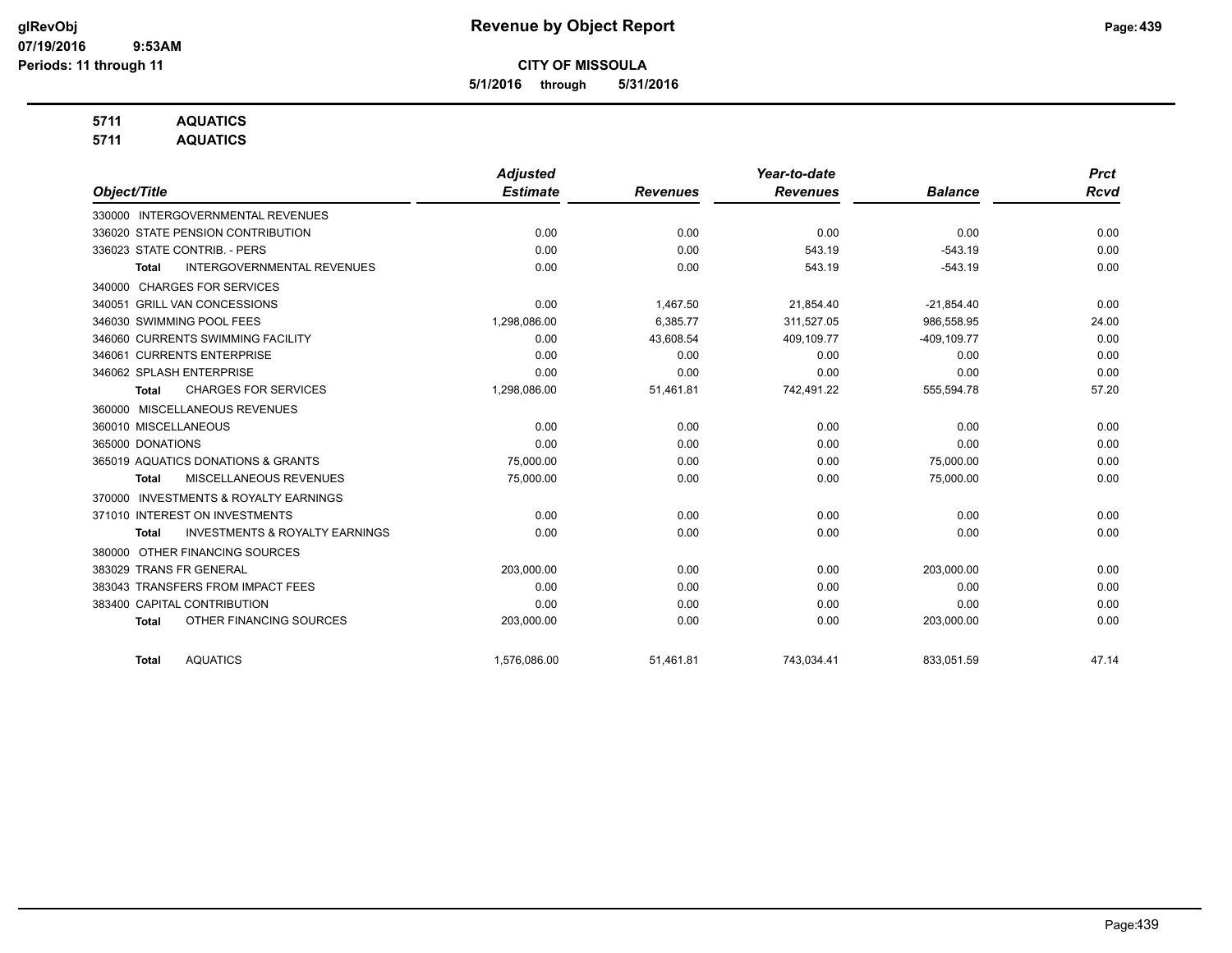**5/1/2016 through 5/31/2016**

## **5711 AQUATICS**

**5711 AQUATICS**

|                                                           | <b>Adjusted</b> |                 | Year-to-date    |                | <b>Prct</b> |
|-----------------------------------------------------------|-----------------|-----------------|-----------------|----------------|-------------|
| Object/Title                                              | <b>Estimate</b> | <b>Revenues</b> | <b>Revenues</b> | <b>Balance</b> | <b>Rcvd</b> |
| 330000 INTERGOVERNMENTAL REVENUES                         |                 |                 |                 |                |             |
| 336020 STATE PENSION CONTRIBUTION                         | 0.00            | 0.00            | 0.00            | 0.00           | 0.00        |
| 336023 STATE CONTRIB. - PERS                              | 0.00            | 0.00            | 543.19          | $-543.19$      | 0.00        |
| <b>INTERGOVERNMENTAL REVENUES</b><br>Total                | 0.00            | 0.00            | 543.19          | $-543.19$      | 0.00        |
| <b>CHARGES FOR SERVICES</b><br>340000                     |                 |                 |                 |                |             |
| 340051 GRILL VAN CONCESSIONS                              | 0.00            | 1,467.50        | 21,854.40       | $-21,854.40$   | 0.00        |
| 346030 SWIMMING POOL FEES                                 | 1,298,086.00    | 6,385.77        | 311,527.05      | 986,558.95     | 24.00       |
| 346060 CURRENTS SWIMMING FACILITY                         | 0.00            | 43,608.54       | 409,109.77      | $-409, 109.77$ | 0.00        |
| 346061 CURRENTS ENTERPRISE                                | 0.00            | 0.00            | 0.00            | 0.00           | 0.00        |
| 346062 SPLASH ENTERPRISE                                  | 0.00            | 0.00            | 0.00            | 0.00           | 0.00        |
| <b>CHARGES FOR SERVICES</b><br><b>Total</b>               | 1,298,086.00    | 51,461.81       | 742,491.22      | 555,594.78     | 57.20       |
| MISCELLANEOUS REVENUES<br>360000                          |                 |                 |                 |                |             |
| 360010 MISCELLANEOUS                                      | 0.00            | 0.00            | 0.00            | 0.00           | 0.00        |
| 365000 DONATIONS                                          | 0.00            | 0.00            | 0.00            | 0.00           | 0.00        |
| 365019 AQUATICS DONATIONS & GRANTS                        | 75,000.00       | 0.00            | 0.00            | 75,000.00      | 0.00        |
| MISCELLANEOUS REVENUES<br>Total                           | 75,000.00       | 0.00            | 0.00            | 75,000.00      | 0.00        |
| <b>INVESTMENTS &amp; ROYALTY EARNINGS</b><br>370000       |                 |                 |                 |                |             |
| 371010 INTEREST ON INVESTMENTS                            | 0.00            | 0.00            | 0.00            | 0.00           | 0.00        |
| <b>INVESTMENTS &amp; ROYALTY EARNINGS</b><br><b>Total</b> | 0.00            | 0.00            | 0.00            | 0.00           | 0.00        |
| OTHER FINANCING SOURCES<br>380000                         |                 |                 |                 |                |             |
| 383029 TRANS FR GENERAL                                   | 203,000.00      | 0.00            | 0.00            | 203,000.00     | 0.00        |
| 383043 TRANSFERS FROM IMPACT FEES                         | 0.00            | 0.00            | 0.00            | 0.00           | 0.00        |
| 383400 CAPITAL CONTRIBUTION                               | 0.00            | 0.00            | 0.00            | 0.00           | 0.00        |
| OTHER FINANCING SOURCES<br><b>Total</b>                   | 203,000.00      | 0.00            | 0.00            | 203,000.00     | 0.00        |
| <b>AQUATICS</b><br><b>Total</b>                           | 1,576,086.00    | 51,461.81       | 743,034.41      | 833,051.59     | 47.14       |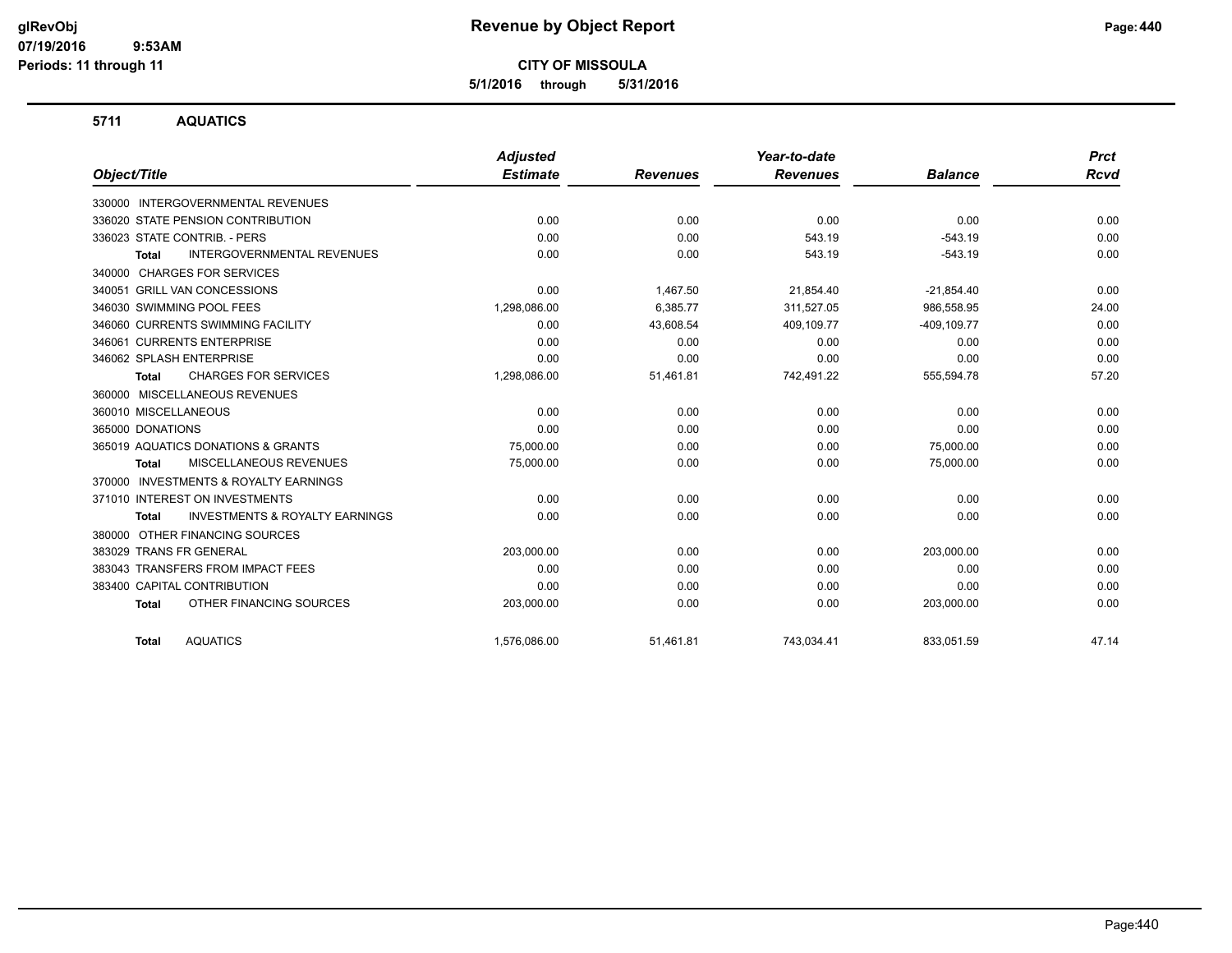**5/1/2016 through 5/31/2016**

#### **5711 AQUATICS**

|                                                     | <b>Adjusted</b> |                 | Year-to-date    |                | <b>Prct</b> |
|-----------------------------------------------------|-----------------|-----------------|-----------------|----------------|-------------|
| Object/Title                                        | <b>Estimate</b> | <b>Revenues</b> | <b>Revenues</b> | <b>Balance</b> | <b>Rcvd</b> |
| 330000 INTERGOVERNMENTAL REVENUES                   |                 |                 |                 |                |             |
| 336020 STATE PENSION CONTRIBUTION                   | 0.00            | 0.00            | 0.00            | 0.00           | 0.00        |
| 336023 STATE CONTRIB. - PERS                        | 0.00            | 0.00            | 543.19          | $-543.19$      | 0.00        |
| <b>INTERGOVERNMENTAL REVENUES</b><br><b>Total</b>   | 0.00            | 0.00            | 543.19          | $-543.19$      | 0.00        |
| <b>CHARGES FOR SERVICES</b><br>340000               |                 |                 |                 |                |             |
| 340051 GRILL VAN CONCESSIONS                        | 0.00            | 1,467.50        | 21,854.40       | $-21,854.40$   | 0.00        |
| 346030 SWIMMING POOL FEES                           | 1,298,086.00    | 6,385.77        | 311,527.05      | 986,558.95     | 24.00       |
| 346060 CURRENTS SWIMMING FACILITY                   | 0.00            | 43,608.54       | 409,109.77      | $-409, 109.77$ | 0.00        |
| 346061 CURRENTS ENTERPRISE                          | 0.00            | 0.00            | 0.00            | 0.00           | 0.00        |
| 346062 SPLASH ENTERPRISE                            | 0.00            | 0.00            | 0.00            | 0.00           | 0.00        |
| <b>CHARGES FOR SERVICES</b><br><b>Total</b>         | 1,298,086.00    | 51,461.81       | 742,491.22      | 555,594.78     | 57.20       |
| 360000 MISCELLANEOUS REVENUES                       |                 |                 |                 |                |             |
| 360010 MISCELLANEOUS                                | 0.00            | 0.00            | 0.00            | 0.00           | 0.00        |
| 365000 DONATIONS                                    | 0.00            | 0.00            | 0.00            | 0.00           | 0.00        |
| 365019 AQUATICS DONATIONS & GRANTS                  | 75.000.00       | 0.00            | 0.00            | 75.000.00      | 0.00        |
| MISCELLANEOUS REVENUES<br><b>Total</b>              | 75,000.00       | 0.00            | 0.00            | 75,000.00      | 0.00        |
| <b>INVESTMENTS &amp; ROYALTY EARNINGS</b><br>370000 |                 |                 |                 |                |             |
| 371010 INTEREST ON INVESTMENTS                      | 0.00            | 0.00            | 0.00            | 0.00           | 0.00        |
| <b>INVESTMENTS &amp; ROYALTY EARNINGS</b><br>Total  | 0.00            | 0.00            | 0.00            | 0.00           | 0.00        |
| OTHER FINANCING SOURCES<br>380000                   |                 |                 |                 |                |             |
| 383029 TRANS FR GENERAL                             | 203,000.00      | 0.00            | 0.00            | 203,000.00     | 0.00        |
| 383043 TRANSFERS FROM IMPACT FEES                   | 0.00            | 0.00            | 0.00            | 0.00           | 0.00        |
| 383400 CAPITAL CONTRIBUTION                         | 0.00            | 0.00            | 0.00            | 0.00           | 0.00        |
| OTHER FINANCING SOURCES<br><b>Total</b>             | 203,000.00      | 0.00            | 0.00            | 203,000.00     | 0.00        |
| <b>AQUATICS</b><br><b>Total</b>                     | 1,576,086.00    | 51,461.81       | 743,034.41      | 833.051.59     | 47.14       |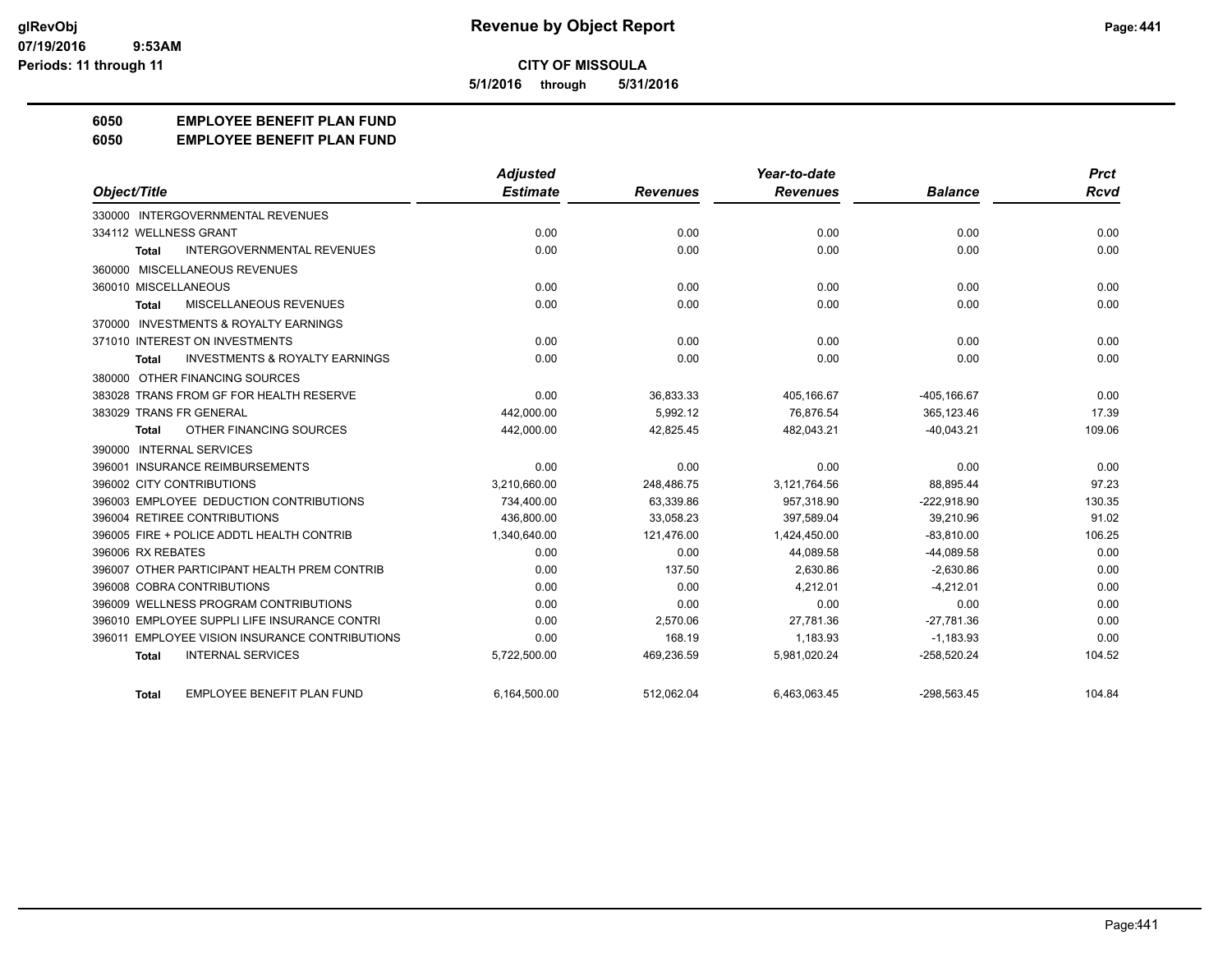**5/1/2016 through 5/31/2016**

## **6050 EMPLOYEE BENEFIT PLAN FUND**

#### **6050 EMPLOYEE BENEFIT PLAN FUND**

|                                                           | <b>Adjusted</b> |                 | Year-to-date    |                | <b>Prct</b> |
|-----------------------------------------------------------|-----------------|-----------------|-----------------|----------------|-------------|
| Object/Title                                              | <b>Estimate</b> | <b>Revenues</b> | <b>Revenues</b> | <b>Balance</b> | <b>Rcvd</b> |
| 330000 INTERGOVERNMENTAL REVENUES                         |                 |                 |                 |                |             |
| 334112 WELLNESS GRANT                                     | 0.00            | 0.00            | 0.00            | 0.00           | 0.00        |
| <b>INTERGOVERNMENTAL REVENUES</b><br><b>Total</b>         | 0.00            | 0.00            | 0.00            | 0.00           | 0.00        |
| 360000 MISCELLANEOUS REVENUES                             |                 |                 |                 |                |             |
| 360010 MISCELLANEOUS                                      | 0.00            | 0.00            | 0.00            | 0.00           | 0.00        |
| <b>MISCELLANEOUS REVENUES</b><br><b>Total</b>             | 0.00            | 0.00            | 0.00            | 0.00           | 0.00        |
| 370000 INVESTMENTS & ROYALTY EARNINGS                     |                 |                 |                 |                |             |
| 371010 INTEREST ON INVESTMENTS                            | 0.00            | 0.00            | 0.00            | 0.00           | 0.00        |
| <b>INVESTMENTS &amp; ROYALTY EARNINGS</b><br><b>Total</b> | 0.00            | 0.00            | 0.00            | 0.00           | 0.00        |
| 380000 OTHER FINANCING SOURCES                            |                 |                 |                 |                |             |
| 383028 TRANS FROM GF FOR HEALTH RESERVE                   | 0.00            | 36,833.33       | 405,166.67      | $-405, 166.67$ | 0.00        |
| 383029 TRANS FR GENERAL                                   | 442.000.00      | 5.992.12        | 76.876.54       | 365.123.46     | 17.39       |
| OTHER FINANCING SOURCES<br><b>Total</b>                   | 442,000.00      | 42,825.45       | 482.043.21      | $-40.043.21$   | 109.06      |
| 390000 INTERNAL SERVICES                                  |                 |                 |                 |                |             |
| 396001 INSURANCE REIMBURSEMENTS                           | 0.00            | 0.00            | 0.00            | 0.00           | 0.00        |
| 396002 CITY CONTRIBUTIONS                                 | 3,210,660.00    | 248,486.75      | 3,121,764.56    | 88,895.44      | 97.23       |
| 396003 EMPLOYEE DEDUCTION CONTRIBUTIONS                   | 734,400.00      | 63,339.86       | 957,318.90      | $-222,918.90$  | 130.35      |
| 396004 RETIREE CONTRIBUTIONS                              | 436,800.00      | 33,058.23       | 397,589.04      | 39,210.96      | 91.02       |
| 396005 FIRE + POLICE ADDTL HEALTH CONTRIB                 | 1,340,640.00    | 121,476.00      | 1,424,450.00    | $-83,810.00$   | 106.25      |
| 396006 RX REBATES                                         | 0.00            | 0.00            | 44.089.58       | $-44.089.58$   | 0.00        |
| 396007 OTHER PARTICIPANT HEALTH PREM CONTRIB              | 0.00            | 137.50          | 2,630.86        | $-2,630.86$    | 0.00        |
| 396008 COBRA CONTRIBUTIONS                                | 0.00            | 0.00            | 4,212.01        | $-4,212.01$    | 0.00        |
| 396009 WELLNESS PROGRAM CONTRIBUTIONS                     | 0.00            | 0.00            | 0.00            | 0.00           | 0.00        |
| 396010 EMPLOYEE SUPPLI LIFE INSURANCE CONTRI              | 0.00            | 2,570.06        | 27.781.36       | $-27.781.36$   | 0.00        |
| <b>EMPLOYEE VISION INSURANCE CONTRIBUTIONS</b><br>396011  | 0.00            | 168.19          | 1.183.93        | $-1,183.93$    | 0.00        |
| <b>INTERNAL SERVICES</b><br><b>Total</b>                  | 5,722,500.00    | 469,236.59      | 5,981,020.24    | $-258,520.24$  | 104.52      |
| EMPLOYEE BENEFIT PLAN FUND<br>Total                       | 6,164,500.00    | 512,062.04      | 6,463,063.45    | $-298,563.45$  | 104.84      |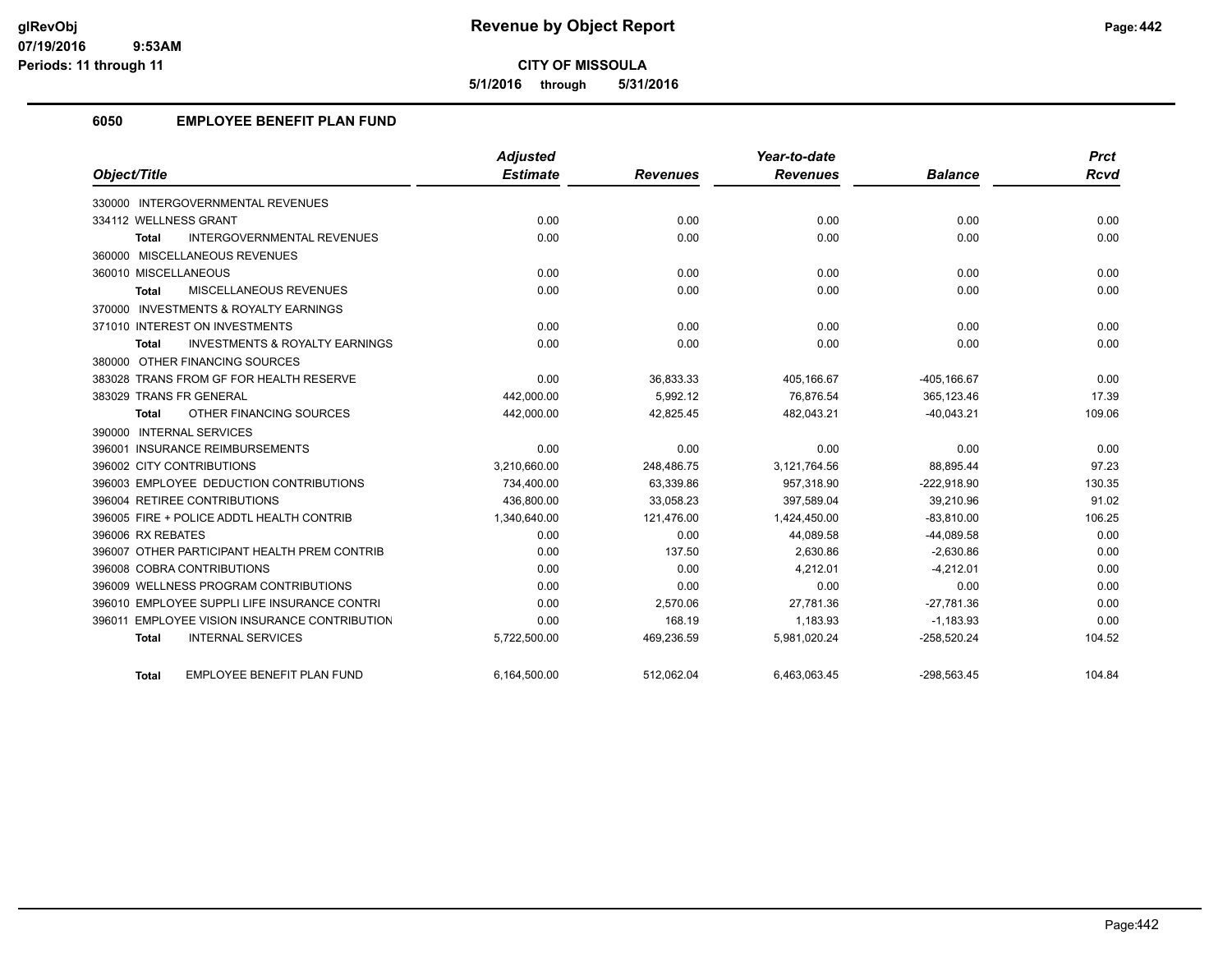**5/1/2016 through 5/31/2016**

## **6050 EMPLOYEE BENEFIT PLAN FUND**

|                                                    | <b>Adjusted</b> |                 | Year-to-date    |                | <b>Prct</b> |
|----------------------------------------------------|-----------------|-----------------|-----------------|----------------|-------------|
| Object/Title                                       | <b>Estimate</b> | <b>Revenues</b> | <b>Revenues</b> | <b>Balance</b> | <b>Rcvd</b> |
| 330000 INTERGOVERNMENTAL REVENUES                  |                 |                 |                 |                |             |
| 334112 WELLNESS GRANT                              | 0.00            | 0.00            | 0.00            | 0.00           | 0.00        |
| <b>INTERGOVERNMENTAL REVENUES</b><br><b>Total</b>  | 0.00            | 0.00            | 0.00            | 0.00           | 0.00        |
| 360000 MISCELLANEOUS REVENUES                      |                 |                 |                 |                |             |
| 360010 MISCELLANEOUS                               | 0.00            | 0.00            | 0.00            | 0.00           | 0.00        |
| <b>MISCELLANEOUS REVENUES</b><br><b>Total</b>      | 0.00            | 0.00            | 0.00            | 0.00           | 0.00        |
| 370000 INVESTMENTS & ROYALTY EARNINGS              |                 |                 |                 |                |             |
| 371010 INTEREST ON INVESTMENTS                     | 0.00            | 0.00            | 0.00            | 0.00           | 0.00        |
| <b>INVESTMENTS &amp; ROYALTY EARNINGS</b><br>Total | 0.00            | 0.00            | 0.00            | 0.00           | 0.00        |
| 380000 OTHER FINANCING SOURCES                     |                 |                 |                 |                |             |
| 383028 TRANS FROM GF FOR HEALTH RESERVE            | 0.00            | 36,833.33       | 405,166.67      | $-405, 166.67$ | 0.00        |
| 383029 TRANS FR GENERAL                            | 442,000.00      | 5,992.12        | 76,876.54       | 365,123.46     | 17.39       |
| OTHER FINANCING SOURCES<br>Total                   | 442,000.00      | 42,825.45       | 482,043.21      | $-40,043.21$   | 109.06      |
| 390000 INTERNAL SERVICES                           |                 |                 |                 |                |             |
| 396001 INSURANCE REIMBURSEMENTS                    | 0.00            | 0.00            | 0.00            | 0.00           | 0.00        |
| 396002 CITY CONTRIBUTIONS                          | 3,210,660.00    | 248,486.75      | 3,121,764.56    | 88,895.44      | 97.23       |
| 396003 EMPLOYEE DEDUCTION CONTRIBUTIONS            | 734,400.00      | 63,339.86       | 957,318.90      | $-222,918.90$  | 130.35      |
| 396004 RETIREE CONTRIBUTIONS                       | 436.800.00      | 33.058.23       | 397.589.04      | 39,210.96      | 91.02       |
| 396005 FIRE + POLICE ADDTL HEALTH CONTRIB          | 1,340,640.00    | 121,476.00      | 1,424,450.00    | $-83,810.00$   | 106.25      |
| 396006 RX REBATES                                  | 0.00            | 0.00            | 44,089.58       | $-44,089.58$   | 0.00        |
| 396007 OTHER PARTICIPANT HEALTH PREM CONTRIB       | 0.00            | 137.50          | 2,630.86        | $-2,630.86$    | 0.00        |
| 396008 COBRA CONTRIBUTIONS                         | 0.00            | 0.00            | 4.212.01        | $-4.212.01$    | 0.00        |
| 396009 WELLNESS PROGRAM CONTRIBUTIONS              | 0.00            | 0.00            | 0.00            | 0.00           | 0.00        |
| 396010 EMPLOYEE SUPPLI LIFE INSURANCE CONTRI       | 0.00            | 2,570.06        | 27,781.36       | $-27,781.36$   | 0.00        |
| 396011 EMPLOYEE VISION INSURANCE CONTRIBUTION      | 0.00            | 168.19          | 1,183.93        | $-1,183.93$    | 0.00        |
| <b>INTERNAL SERVICES</b><br><b>Total</b>           | 5,722,500.00    | 469,236.59      | 5,981,020.24    | $-258,520.24$  | 104.52      |
| <b>EMPLOYEE BENEFIT PLAN FUND</b><br><b>Total</b>  | 6.164.500.00    | 512.062.04      | 6.463.063.45    | $-298.563.45$  | 104.84      |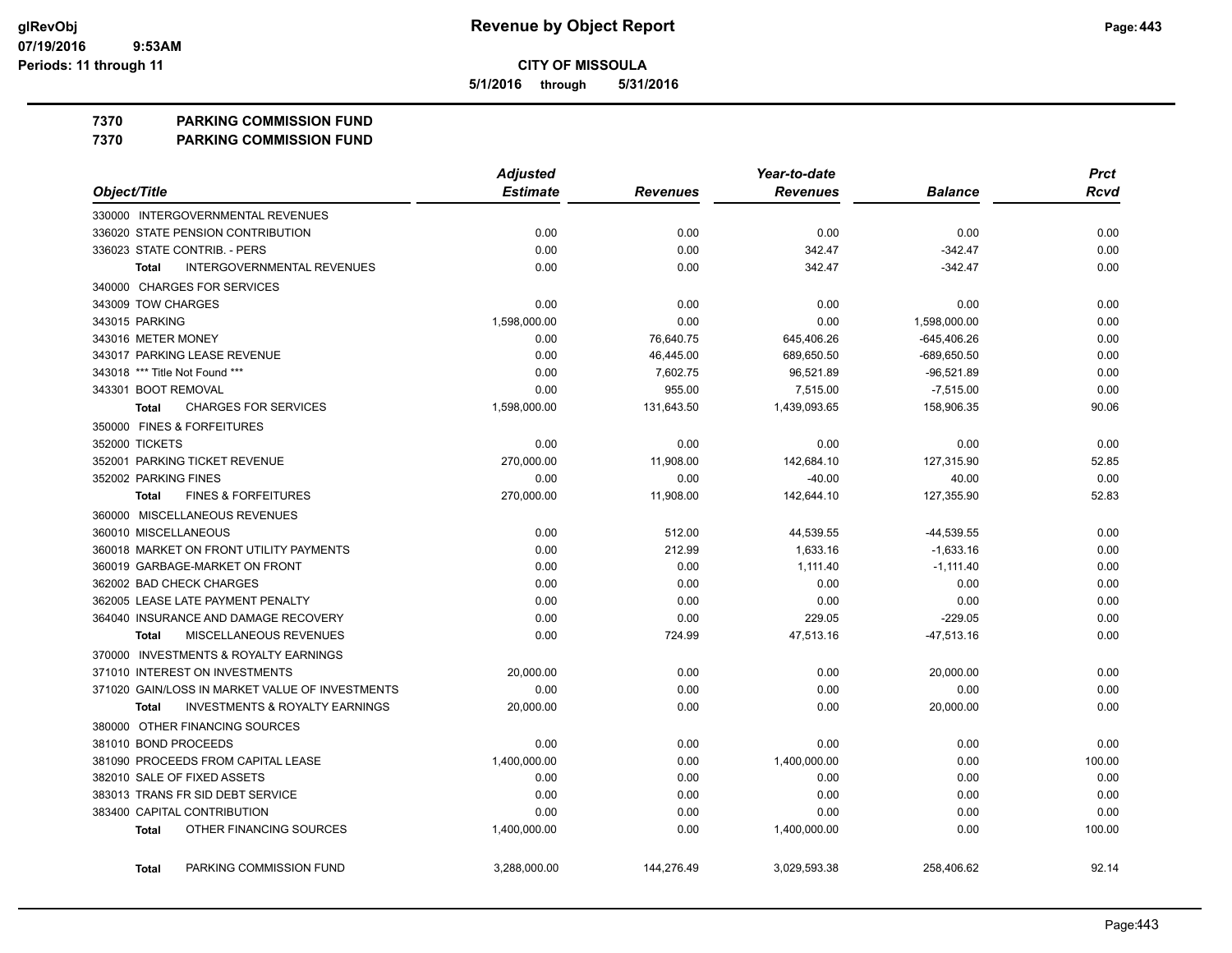**5/1/2016 through 5/31/2016**

#### **7370 PARKING COMMISSION FUND**

**7370 PARKING COMMISSION FUND**

|                                                           | <b>Adjusted</b> |                 | Year-to-date    |                | <b>Prct</b> |
|-----------------------------------------------------------|-----------------|-----------------|-----------------|----------------|-------------|
| Object/Title                                              | <b>Estimate</b> | <b>Revenues</b> | <b>Revenues</b> | <b>Balance</b> | Rcvd        |
| 330000 INTERGOVERNMENTAL REVENUES                         |                 |                 |                 |                |             |
| 336020 STATE PENSION CONTRIBUTION                         | 0.00            | 0.00            | 0.00            | 0.00           | 0.00        |
| 336023 STATE CONTRIB. - PERS                              | 0.00            | 0.00            | 342.47          | $-342.47$      | 0.00        |
| <b>INTERGOVERNMENTAL REVENUES</b><br><b>Total</b>         | 0.00            | 0.00            | 342.47          | $-342.47$      | 0.00        |
| 340000 CHARGES FOR SERVICES                               |                 |                 |                 |                |             |
| 343009 TOW CHARGES                                        | 0.00            | 0.00            | 0.00            | 0.00           | 0.00        |
| 343015 PARKING                                            | 1,598,000.00    | 0.00            | 0.00            | 1,598,000.00   | 0.00        |
| 343016 METER MONEY                                        | 0.00            | 76,640.75       | 645,406.26      | $-645,406.26$  | 0.00        |
| 343017 PARKING LEASE REVENUE                              | 0.00            | 46,445.00       | 689,650.50      | $-689,650.50$  | 0.00        |
| 343018 *** Title Not Found ***                            | 0.00            | 7,602.75        | 96,521.89       | $-96,521.89$   | 0.00        |
| 343301 BOOT REMOVAL                                       | 0.00            | 955.00          | 7,515.00        | $-7,515.00$    | 0.00        |
| <b>CHARGES FOR SERVICES</b><br>Total                      | 1,598,000.00    | 131,643.50      | 1,439,093.65    | 158,906.35     | 90.06       |
| 350000 FINES & FORFEITURES                                |                 |                 |                 |                |             |
| 352000 TICKETS                                            | 0.00            | 0.00            | 0.00            | 0.00           | 0.00        |
| 352001 PARKING TICKET REVENUE                             | 270,000.00      | 11,908.00       | 142,684.10      | 127,315.90     | 52.85       |
| 352002 PARKING FINES                                      | 0.00            | 0.00            | $-40.00$        | 40.00          | 0.00        |
| <b>FINES &amp; FORFEITURES</b><br><b>Total</b>            | 270,000.00      | 11,908.00       | 142,644.10      | 127,355.90     | 52.83       |
| 360000 MISCELLANEOUS REVENUES                             |                 |                 |                 |                |             |
| 360010 MISCELLANEOUS                                      | 0.00            | 512.00          | 44,539.55       | -44,539.55     | 0.00        |
| 360018 MARKET ON FRONT UTILITY PAYMENTS                   | 0.00            | 212.99          | 1,633.16        | $-1,633.16$    | 0.00        |
| 360019 GARBAGE-MARKET ON FRONT                            | 0.00            | 0.00            | 1,111.40        | $-1,111.40$    | 0.00        |
| 362002 BAD CHECK CHARGES                                  | 0.00            | 0.00            | 0.00            | 0.00           | 0.00        |
| 362005 LEASE LATE PAYMENT PENALTY                         | 0.00            | 0.00            | 0.00            | 0.00           | 0.00        |
| 364040 INSURANCE AND DAMAGE RECOVERY                      | 0.00            | 0.00            | 229.05          | $-229.05$      | 0.00        |
| MISCELLANEOUS REVENUES<br><b>Total</b>                    | 0.00            | 724.99          | 47,513.16       | $-47,513.16$   | 0.00        |
| 370000 INVESTMENTS & ROYALTY EARNINGS                     |                 |                 |                 |                |             |
| 371010 INTEREST ON INVESTMENTS                            | 20,000.00       | 0.00            | 0.00            | 20,000.00      | 0.00        |
| 371020 GAIN/LOSS IN MARKET VALUE OF INVESTMENTS           | 0.00            | 0.00            | 0.00            | 0.00           | 0.00        |
| <b>INVESTMENTS &amp; ROYALTY EARNINGS</b><br><b>Total</b> | 20,000.00       | 0.00            | 0.00            | 20,000.00      | 0.00        |
| 380000 OTHER FINANCING SOURCES                            |                 |                 |                 |                |             |
| 381010 BOND PROCEEDS                                      | 0.00            | 0.00            | 0.00            | 0.00           | 0.00        |
| 381090 PROCEEDS FROM CAPITAL LEASE                        | 1,400,000.00    | 0.00            | 1,400,000.00    | 0.00           | 100.00      |
| 382010 SALE OF FIXED ASSETS                               | 0.00            | 0.00            | 0.00            | 0.00           | 0.00        |
| 383013 TRANS FR SID DEBT SERVICE                          | 0.00            | 0.00            | 0.00            | 0.00           | 0.00        |
| 383400 CAPITAL CONTRIBUTION                               | 0.00            | 0.00            | 0.00            | 0.00           | 0.00        |
| OTHER FINANCING SOURCES<br><b>Total</b>                   | 1,400,000.00    | 0.00            | 1,400,000.00    | 0.00           | 100.00      |
| PARKING COMMISSION FUND<br><b>Total</b>                   | 3,288,000.00    | 144,276.49      | 3,029,593.38    | 258.406.62     | 92.14       |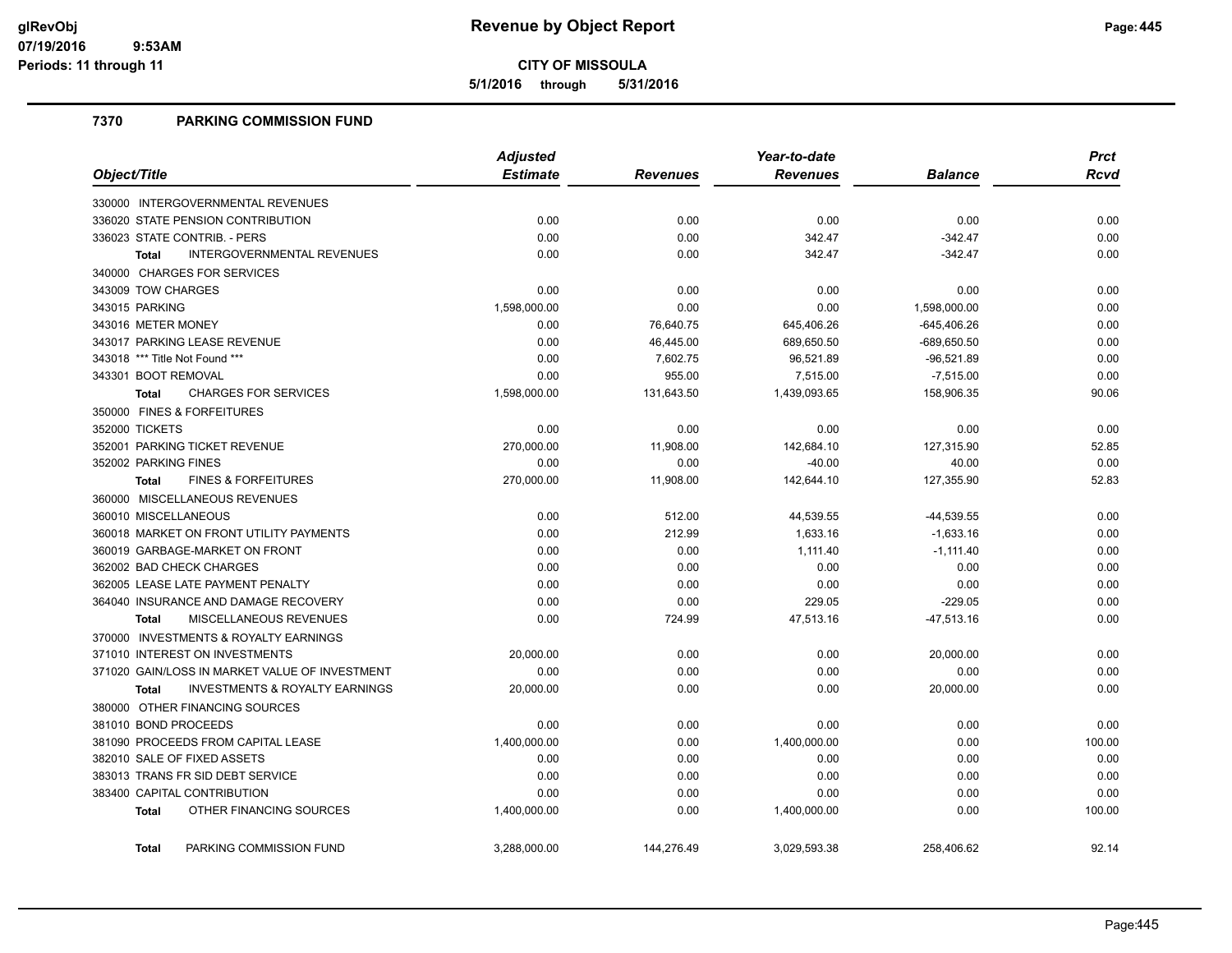**5/1/2016 through 5/31/2016**

### **7370 PARKING COMMISSION FUND**

|                                                           | <b>Adjusted</b> |                 | Year-to-date    |                | <b>Prct</b> |
|-----------------------------------------------------------|-----------------|-----------------|-----------------|----------------|-------------|
| Object/Title                                              | <b>Estimate</b> | <b>Revenues</b> | <b>Revenues</b> | <b>Balance</b> | Rcvd        |
| 330000 INTERGOVERNMENTAL REVENUES                         |                 |                 |                 |                |             |
| 336020 STATE PENSION CONTRIBUTION                         | 0.00            | 0.00            | 0.00            | 0.00           | 0.00        |
| 336023 STATE CONTRIB. - PERS                              | 0.00            | 0.00            | 342.47          | $-342.47$      | 0.00        |
| INTERGOVERNMENTAL REVENUES<br><b>Total</b>                | 0.00            | 0.00            | 342.47          | $-342.47$      | 0.00        |
| 340000 CHARGES FOR SERVICES                               |                 |                 |                 |                |             |
| 343009 TOW CHARGES                                        | 0.00            | 0.00            | 0.00            | 0.00           | 0.00        |
| 343015 PARKING                                            | 1,598,000.00    | 0.00            | 0.00            | 1,598,000.00   | 0.00        |
| 343016 METER MONEY                                        | 0.00            | 76,640.75       | 645,406.26      | $-645,406.26$  | 0.00        |
| 343017 PARKING LEASE REVENUE                              | 0.00            | 46,445.00       | 689,650.50      | -689,650.50    | 0.00        |
| 343018 *** Title Not Found ***                            | 0.00            | 7,602.75        | 96,521.89       | $-96,521.89$   | 0.00        |
| 343301 BOOT REMOVAL                                       | 0.00            | 955.00          | 7,515.00        | $-7,515.00$    | 0.00        |
| <b>CHARGES FOR SERVICES</b><br><b>Total</b>               | 1,598,000.00    | 131,643.50      | 1,439,093.65    | 158,906.35     | 90.06       |
| 350000 FINES & FORFEITURES                                |                 |                 |                 |                |             |
| 352000 TICKETS                                            | 0.00            | 0.00            | 0.00            | 0.00           | 0.00        |
| 352001 PARKING TICKET REVENUE                             | 270,000.00      | 11,908.00       | 142,684.10      | 127,315.90     | 52.85       |
| 352002 PARKING FINES                                      | 0.00            | 0.00            | $-40.00$        | 40.00          | 0.00        |
| <b>FINES &amp; FORFEITURES</b><br><b>Total</b>            | 270,000.00      | 11,908.00       | 142,644.10      | 127,355.90     | 52.83       |
| 360000 MISCELLANEOUS REVENUES                             |                 |                 |                 |                |             |
| 360010 MISCELLANEOUS                                      | 0.00            | 512.00          | 44,539.55       | $-44,539.55$   | 0.00        |
| 360018 MARKET ON FRONT UTILITY PAYMENTS                   | 0.00            | 212.99          | 1,633.16        | $-1,633.16$    | 0.00        |
| 360019 GARBAGE-MARKET ON FRONT                            | 0.00            | 0.00            | 1,111.40        | $-1,111.40$    | 0.00        |
| 362002 BAD CHECK CHARGES                                  | 0.00            | 0.00            | 0.00            | 0.00           | 0.00        |
| 362005 LEASE LATE PAYMENT PENALTY                         | 0.00            | 0.00            | 0.00            | 0.00           | 0.00        |
| 364040 INSURANCE AND DAMAGE RECOVERY                      | 0.00            | 0.00            | 229.05          | $-229.05$      | 0.00        |
| MISCELLANEOUS REVENUES<br><b>Total</b>                    | 0.00            | 724.99          | 47,513.16       | $-47,513.16$   | 0.00        |
| 370000 INVESTMENTS & ROYALTY EARNINGS                     |                 |                 |                 |                |             |
| 371010 INTEREST ON INVESTMENTS                            | 20,000.00       | 0.00            | 0.00            | 20,000.00      | 0.00        |
| 371020 GAIN/LOSS IN MARKET VALUE OF INVESTMENT            | 0.00            | 0.00            | 0.00            | 0.00           | 0.00        |
| <b>INVESTMENTS &amp; ROYALTY EARNINGS</b><br><b>Total</b> | 20,000.00       | 0.00            | 0.00            | 20,000.00      | 0.00        |
| 380000 OTHER FINANCING SOURCES                            |                 |                 |                 |                |             |
| 381010 BOND PROCEEDS                                      | 0.00            | 0.00            | 0.00            | 0.00           | 0.00        |
| 381090 PROCEEDS FROM CAPITAL LEASE                        | 1,400,000.00    | 0.00            | 1,400,000.00    | 0.00           | 100.00      |
| 382010 SALE OF FIXED ASSETS                               | 0.00            | 0.00            | 0.00            | 0.00           | 0.00        |
| 383013 TRANS FR SID DEBT SERVICE                          | 0.00            | 0.00            | 0.00            | 0.00           | 0.00        |
| 383400 CAPITAL CONTRIBUTION                               | 0.00            | 0.00            | 0.00            | 0.00           | 0.00        |
| OTHER FINANCING SOURCES<br><b>Total</b>                   | 1,400,000.00    | 0.00            | 1,400,000.00    | 0.00           | 100.00      |
| PARKING COMMISSION FUND<br><b>Total</b>                   | 3,288,000.00    | 144,276.49      | 3,029,593.38    | 258,406.62     | 92.14       |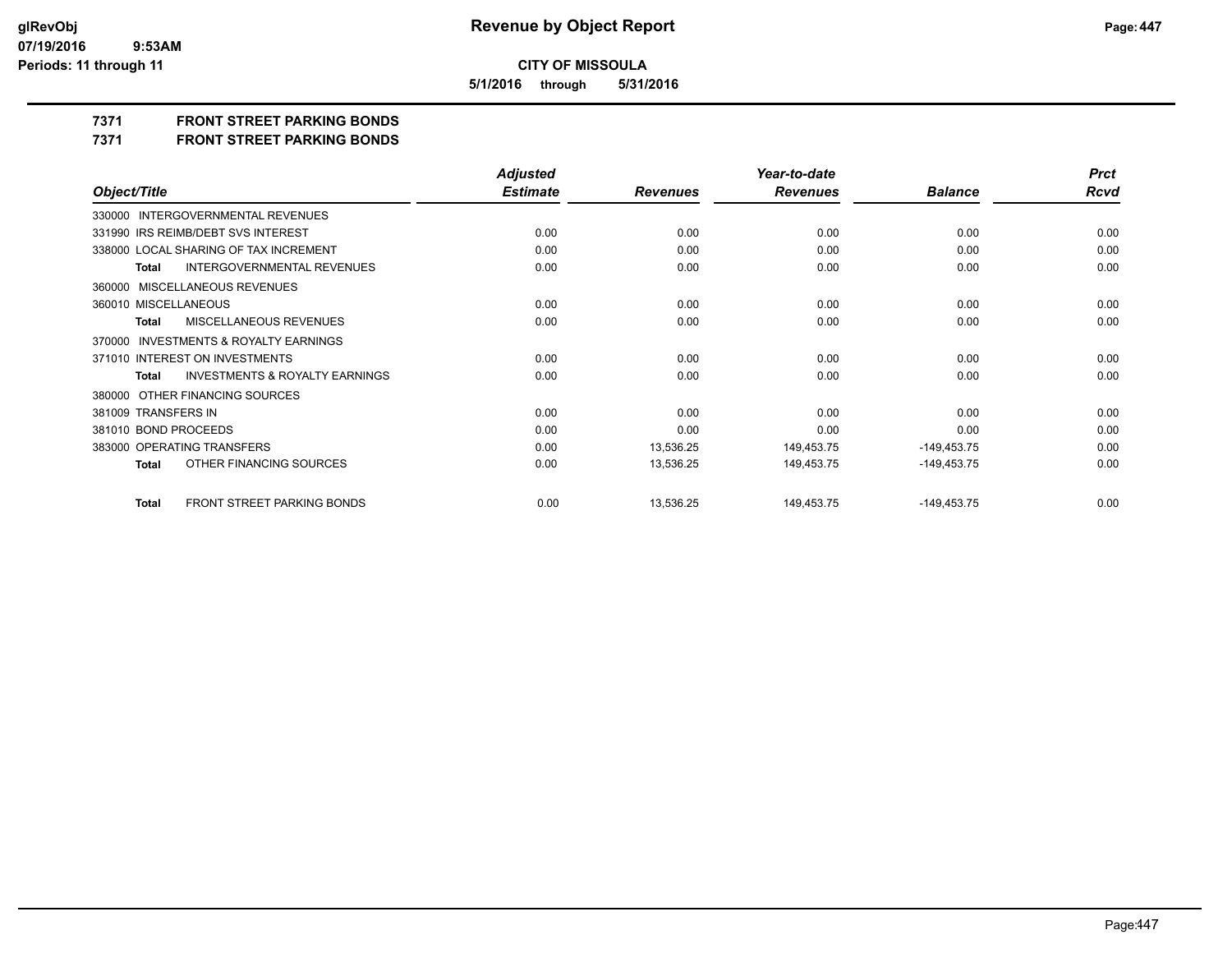**5/1/2016 through 5/31/2016**

## **7371 FRONT STREET PARKING BONDS**

**7371 FRONT STREET PARKING BONDS**

|                                                           | <b>Adjusted</b> |                 | Year-to-date    |                | <b>Prct</b> |
|-----------------------------------------------------------|-----------------|-----------------|-----------------|----------------|-------------|
| Object/Title                                              | <b>Estimate</b> | <b>Revenues</b> | <b>Revenues</b> | <b>Balance</b> | <b>Rcvd</b> |
| 330000 INTERGOVERNMENTAL REVENUES                         |                 |                 |                 |                |             |
| 331990 IRS REIMB/DEBT SVS INTEREST                        | 0.00            | 0.00            | 0.00            | 0.00           | 0.00        |
| 338000 LOCAL SHARING OF TAX INCREMENT                     | 0.00            | 0.00            | 0.00            | 0.00           | 0.00        |
| <b>INTERGOVERNMENTAL REVENUES</b><br><b>Total</b>         | 0.00            | 0.00            | 0.00            | 0.00           | 0.00        |
| 360000 MISCELLANEOUS REVENUES                             |                 |                 |                 |                |             |
| 360010 MISCELLANEOUS                                      | 0.00            | 0.00            | 0.00            | 0.00           | 0.00        |
| MISCELLANEOUS REVENUES<br><b>Total</b>                    | 0.00            | 0.00            | 0.00            | 0.00           | 0.00        |
| INVESTMENTS & ROYALTY EARNINGS<br>370000                  |                 |                 |                 |                |             |
| 371010 INTEREST ON INVESTMENTS                            | 0.00            | 0.00            | 0.00            | 0.00           | 0.00        |
| <b>INVESTMENTS &amp; ROYALTY EARNINGS</b><br><b>Total</b> | 0.00            | 0.00            | 0.00            | 0.00           | 0.00        |
| 380000 OTHER FINANCING SOURCES                            |                 |                 |                 |                |             |
| 381009 TRANSFERS IN                                       | 0.00            | 0.00            | 0.00            | 0.00           | 0.00        |
| 381010 BOND PROCEEDS                                      | 0.00            | 0.00            | 0.00            | 0.00           | 0.00        |
| 383000 OPERATING TRANSFERS                                | 0.00            | 13,536.25       | 149,453.75      | $-149,453.75$  | 0.00        |
| OTHER FINANCING SOURCES<br><b>Total</b>                   | 0.00            | 13,536.25       | 149,453.75      | -149,453.75    | 0.00        |
| FRONT STREET PARKING BONDS<br><b>Total</b>                | 0.00            | 13,536.25       | 149,453.75      | $-149,453.75$  | 0.00        |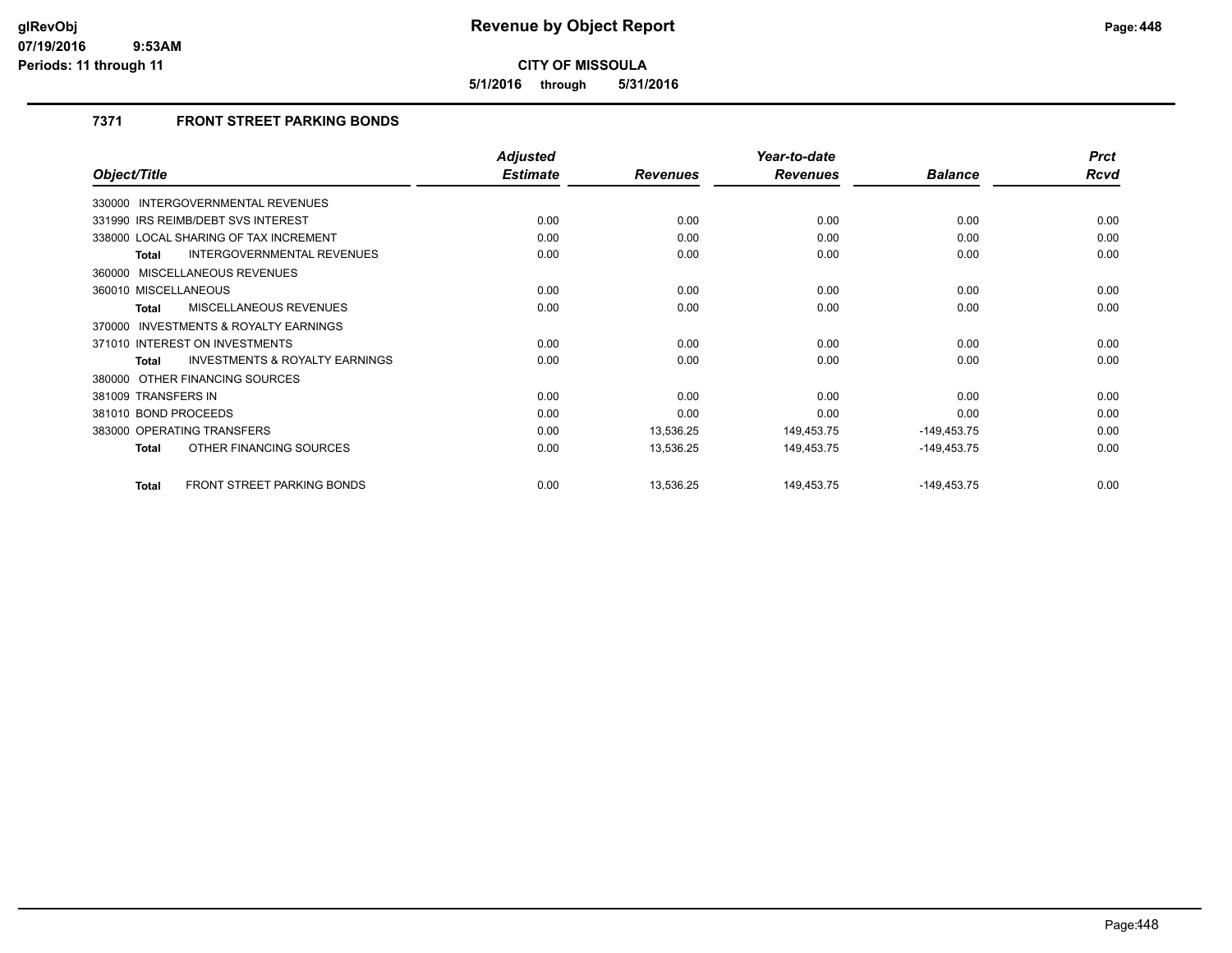**5/1/2016 through 5/31/2016**

## **7371 FRONT STREET PARKING BONDS**

|                                                           | <b>Adjusted</b> |                 | Year-to-date    |                | <b>Prct</b> |
|-----------------------------------------------------------|-----------------|-----------------|-----------------|----------------|-------------|
| Object/Title                                              | <b>Estimate</b> | <b>Revenues</b> | <b>Revenues</b> | <b>Balance</b> | Rcvd        |
| INTERGOVERNMENTAL REVENUES<br>330000                      |                 |                 |                 |                |             |
| 331990 IRS REIMB/DEBT SVS INTEREST                        | 0.00            | 0.00            | 0.00            | 0.00           | 0.00        |
| 338000 LOCAL SHARING OF TAX INCREMENT                     | 0.00            | 0.00            | 0.00            | 0.00           | 0.00        |
| INTERGOVERNMENTAL REVENUES<br><b>Total</b>                | 0.00            | 0.00            | 0.00            | 0.00           | 0.00        |
| 360000 MISCELLANEOUS REVENUES                             |                 |                 |                 |                |             |
| 360010 MISCELLANEOUS                                      | 0.00            | 0.00            | 0.00            | 0.00           | 0.00        |
| MISCELLANEOUS REVENUES<br><b>Total</b>                    | 0.00            | 0.00            | 0.00            | 0.00           | 0.00        |
| 370000 INVESTMENTS & ROYALTY EARNINGS                     |                 |                 |                 |                |             |
| 371010 INTEREST ON INVESTMENTS                            | 0.00            | 0.00            | 0.00            | 0.00           | 0.00        |
| <b>INVESTMENTS &amp; ROYALTY EARNINGS</b><br><b>Total</b> | 0.00            | 0.00            | 0.00            | 0.00           | 0.00        |
| 380000 OTHER FINANCING SOURCES                            |                 |                 |                 |                |             |
| 381009 TRANSFERS IN                                       | 0.00            | 0.00            | 0.00            | 0.00           | 0.00        |
| 381010 BOND PROCEEDS                                      | 0.00            | 0.00            | 0.00            | 0.00           | 0.00        |
| 383000 OPERATING TRANSFERS                                | 0.00            | 13,536.25       | 149,453.75      | $-149,453.75$  | 0.00        |
| OTHER FINANCING SOURCES<br><b>Total</b>                   | 0.00            | 13,536.25       | 149,453.75      | $-149,453.75$  | 0.00        |
| <b>FRONT STREET PARKING BONDS</b><br><b>Total</b>         | 0.00            | 13,536.25       | 149,453.75      | $-149,453.75$  | 0.00        |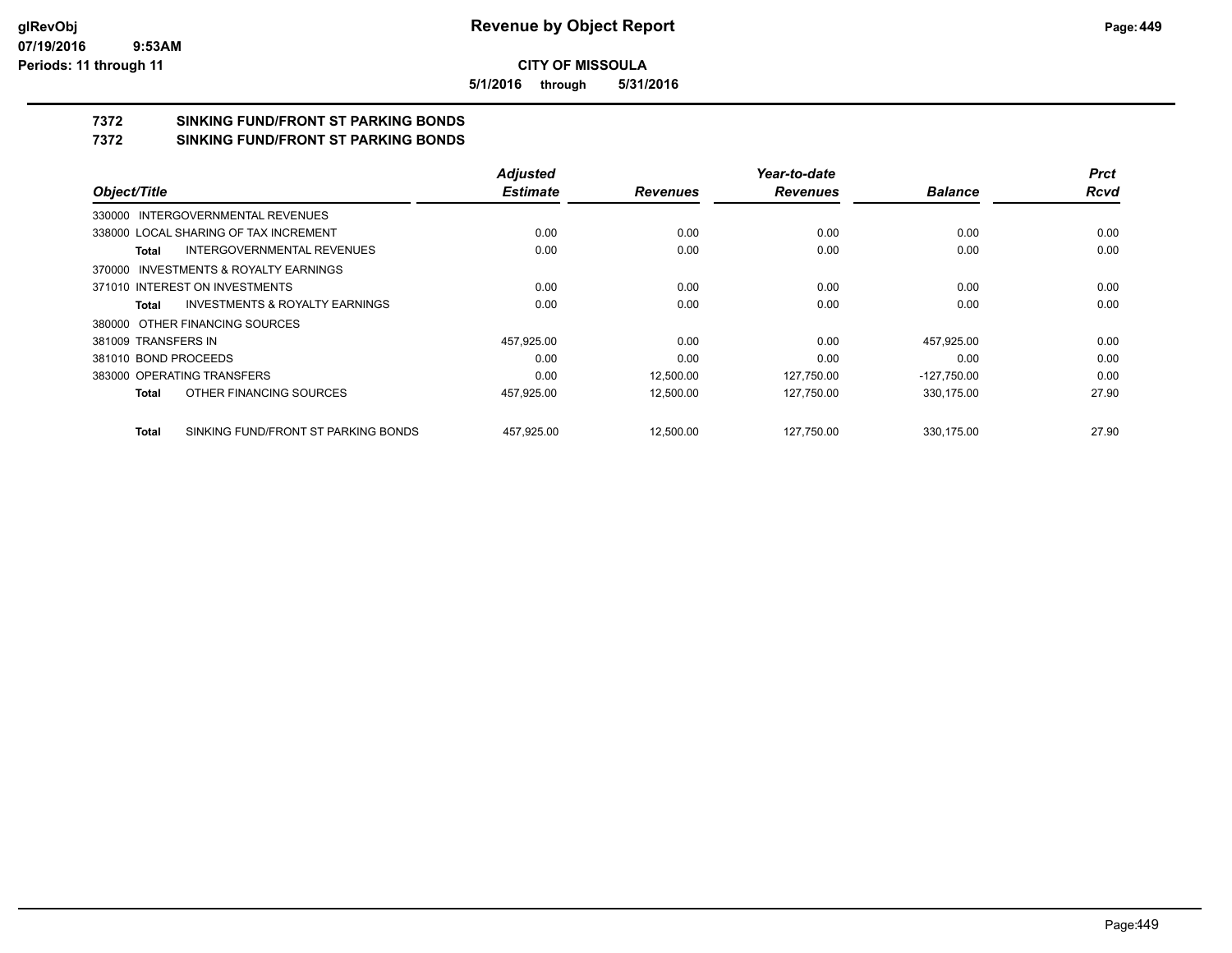**5/1/2016 through 5/31/2016**

## **7372 SINKING FUND/FRONT ST PARKING BONDS**

**7372 SINKING FUND/FRONT ST PARKING BONDS**

|                      |                                           | <b>Adjusted</b> |                 | Year-to-date    |                | <b>Prct</b> |
|----------------------|-------------------------------------------|-----------------|-----------------|-----------------|----------------|-------------|
| Object/Title         |                                           | <b>Estimate</b> | <b>Revenues</b> | <b>Revenues</b> | <b>Balance</b> | <b>Rcvd</b> |
|                      | 330000 INTERGOVERNMENTAL REVENUES         |                 |                 |                 |                |             |
|                      | 338000 LOCAL SHARING OF TAX INCREMENT     | 0.00            | 0.00            | 0.00            | 0.00           | 0.00        |
| Total                | INTERGOVERNMENTAL REVENUES                | 0.00            | 0.00            | 0.00            | 0.00           | 0.00        |
|                      | 370000 INVESTMENTS & ROYALTY EARNINGS     |                 |                 |                 |                |             |
|                      | 371010 INTEREST ON INVESTMENTS            | 0.00            | 0.00            | 0.00            | 0.00           | 0.00        |
| Total                | <b>INVESTMENTS &amp; ROYALTY EARNINGS</b> | 0.00            | 0.00            | 0.00            | 0.00           | 0.00        |
|                      | 380000 OTHER FINANCING SOURCES            |                 |                 |                 |                |             |
| 381009 TRANSFERS IN  |                                           | 457,925.00      | 0.00            | 0.00            | 457,925.00     | 0.00        |
| 381010 BOND PROCEEDS |                                           | 0.00            | 0.00            | 0.00            | 0.00           | 0.00        |
|                      | 383000 OPERATING TRANSFERS                | 0.00            | 12.500.00       | 127,750.00      | $-127,750.00$  | 0.00        |
| Total                | OTHER FINANCING SOURCES                   | 457,925.00      | 12,500.00       | 127,750.00      | 330,175.00     | 27.90       |
| Total                | SINKING FUND/FRONT ST PARKING BONDS       | 457.925.00      | 12.500.00       | 127.750.00      | 330.175.00     | 27.90       |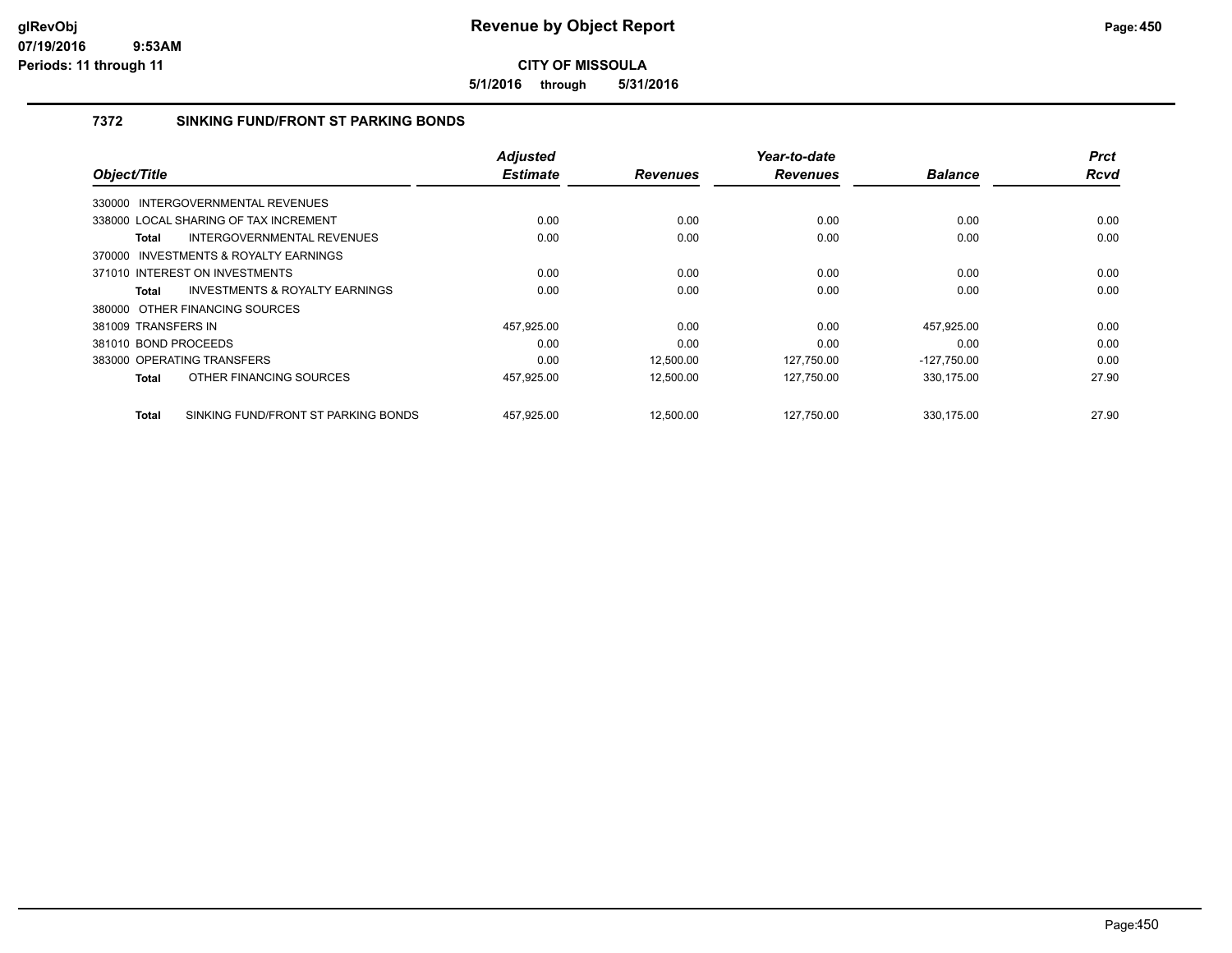**5/1/2016 through 5/31/2016**

## **7372 SINKING FUND/FRONT ST PARKING BONDS**

| Object/Title                          |                                     | <b>Adjusted</b><br><b>Estimate</b> | <b>Revenues</b> | Year-to-date<br><b>Revenues</b> | <b>Balance</b> | <b>Prct</b><br><b>Rcvd</b> |
|---------------------------------------|-------------------------------------|------------------------------------|-----------------|---------------------------------|----------------|----------------------------|
|                                       |                                     |                                    |                 |                                 |                |                            |
| 330000 INTERGOVERNMENTAL REVENUES     |                                     |                                    |                 |                                 |                |                            |
| 338000 LOCAL SHARING OF TAX INCREMENT |                                     | 0.00                               | 0.00            | 0.00                            | 0.00           | 0.00                       |
| Total                                 | INTERGOVERNMENTAL REVENUES          | 0.00                               | 0.00            | 0.00                            | 0.00           | 0.00                       |
| 370000 INVESTMENTS & ROYALTY EARNINGS |                                     |                                    |                 |                                 |                |                            |
| 371010 INTEREST ON INVESTMENTS        |                                     | 0.00                               | 0.00            | 0.00                            | 0.00           | 0.00                       |
| Total                                 | INVESTMENTS & ROYALTY EARNINGS      | 0.00                               | 0.00            | 0.00                            | 0.00           | 0.00                       |
| 380000 OTHER FINANCING SOURCES        |                                     |                                    |                 |                                 |                |                            |
| 381009 TRANSFERS IN                   |                                     | 457.925.00                         | 0.00            | 0.00                            | 457.925.00     | 0.00                       |
| 381010 BOND PROCEEDS                  |                                     | 0.00                               | 0.00            | 0.00                            | 0.00           | 0.00                       |
| 383000 OPERATING TRANSFERS            |                                     | 0.00                               | 12,500.00       | 127,750.00                      | $-127,750.00$  | 0.00                       |
| <b>Total</b>                          | OTHER FINANCING SOURCES             | 457,925.00                         | 12,500.00       | 127,750.00                      | 330,175.00     | 27.90                      |
| <b>Total</b>                          | SINKING FUND/FRONT ST PARKING BONDS | 457,925.00                         | 12.500.00       | 127.750.00                      | 330.175.00     | 27.90                      |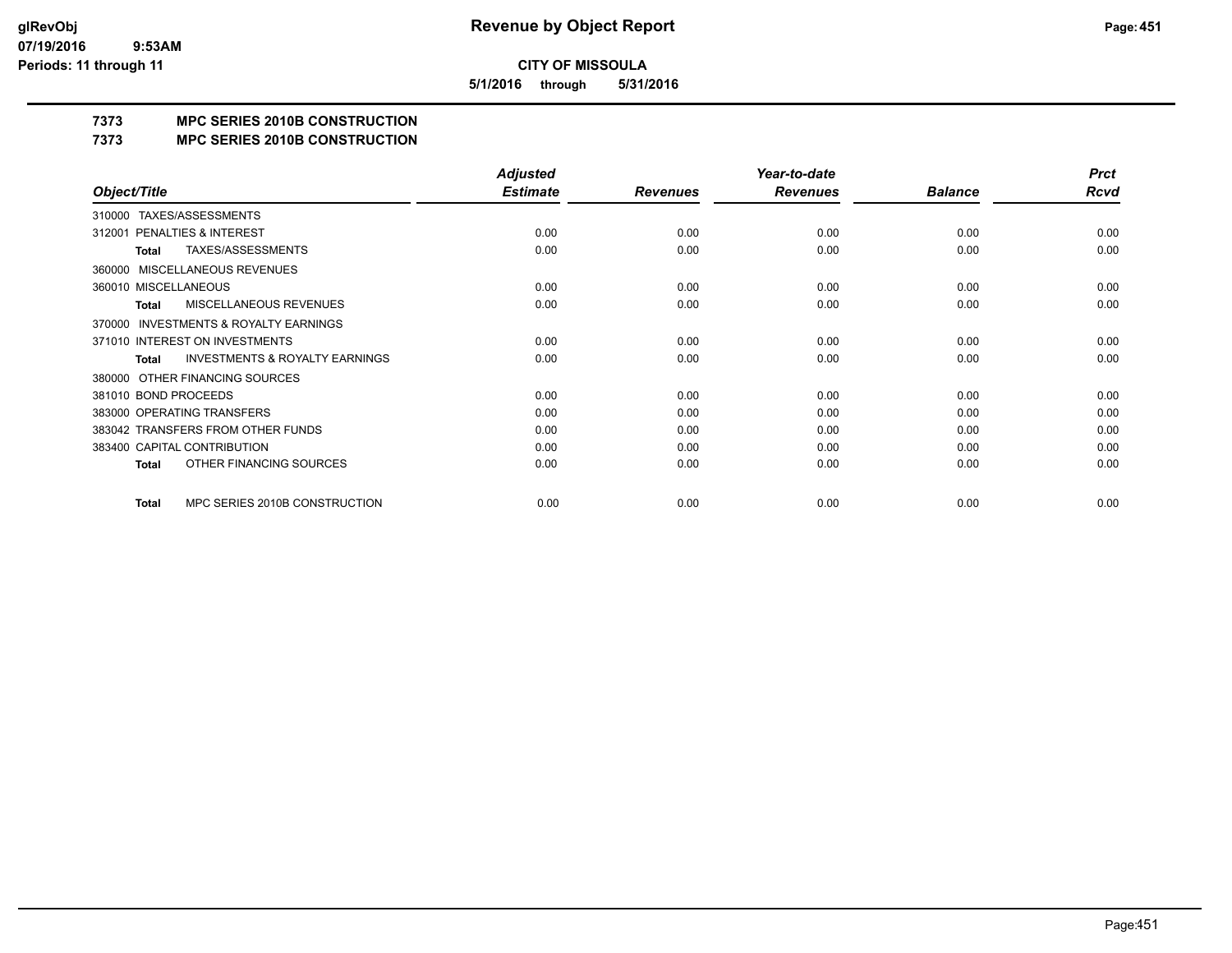**5/1/2016 through 5/31/2016**

## **7373 MPC SERIES 2010B CONSTRUCTION**

#### **7373 MPC SERIES 2010B CONSTRUCTION**

|                                                     | <b>Adjusted</b> |                 | Year-to-date    |                | <b>Prct</b> |
|-----------------------------------------------------|-----------------|-----------------|-----------------|----------------|-------------|
| Object/Title                                        | <b>Estimate</b> | <b>Revenues</b> | <b>Revenues</b> | <b>Balance</b> | <b>Rcvd</b> |
| TAXES/ASSESSMENTS<br>310000                         |                 |                 |                 |                |             |
| PENALTIES & INTEREST<br>312001                      | 0.00            | 0.00            | 0.00            | 0.00           | 0.00        |
| <b>TAXES/ASSESSMENTS</b><br>Total                   | 0.00            | 0.00            | 0.00            | 0.00           | 0.00        |
| <b>MISCELLANEOUS REVENUES</b><br>360000             |                 |                 |                 |                |             |
| 360010 MISCELLANEOUS                                | 0.00            | 0.00            | 0.00            | 0.00           | 0.00        |
| MISCELLANEOUS REVENUES<br><b>Total</b>              | 0.00            | 0.00            | 0.00            | 0.00           | 0.00        |
| <b>INVESTMENTS &amp; ROYALTY EARNINGS</b><br>370000 |                 |                 |                 |                |             |
| 371010 INTEREST ON INVESTMENTS                      | 0.00            | 0.00            | 0.00            | 0.00           | 0.00        |
| <b>INVESTMENTS &amp; ROYALTY EARNINGS</b><br>Total  | 0.00            | 0.00            | 0.00            | 0.00           | 0.00        |
| OTHER FINANCING SOURCES<br>380000                   |                 |                 |                 |                |             |
| 381010 BOND PROCEEDS                                | 0.00            | 0.00            | 0.00            | 0.00           | 0.00        |
| 383000 OPERATING TRANSFERS                          | 0.00            | 0.00            | 0.00            | 0.00           | 0.00        |
| 383042 TRANSFERS FROM OTHER FUNDS                   | 0.00            | 0.00            | 0.00            | 0.00           | 0.00        |
| 383400 CAPITAL CONTRIBUTION                         | 0.00            | 0.00            | 0.00            | 0.00           | 0.00        |
| OTHER FINANCING SOURCES<br>Total                    | 0.00            | 0.00            | 0.00            | 0.00           | 0.00        |
| MPC SERIES 2010B CONSTRUCTION<br>Total              | 0.00            | 0.00            | 0.00            | 0.00           | 0.00        |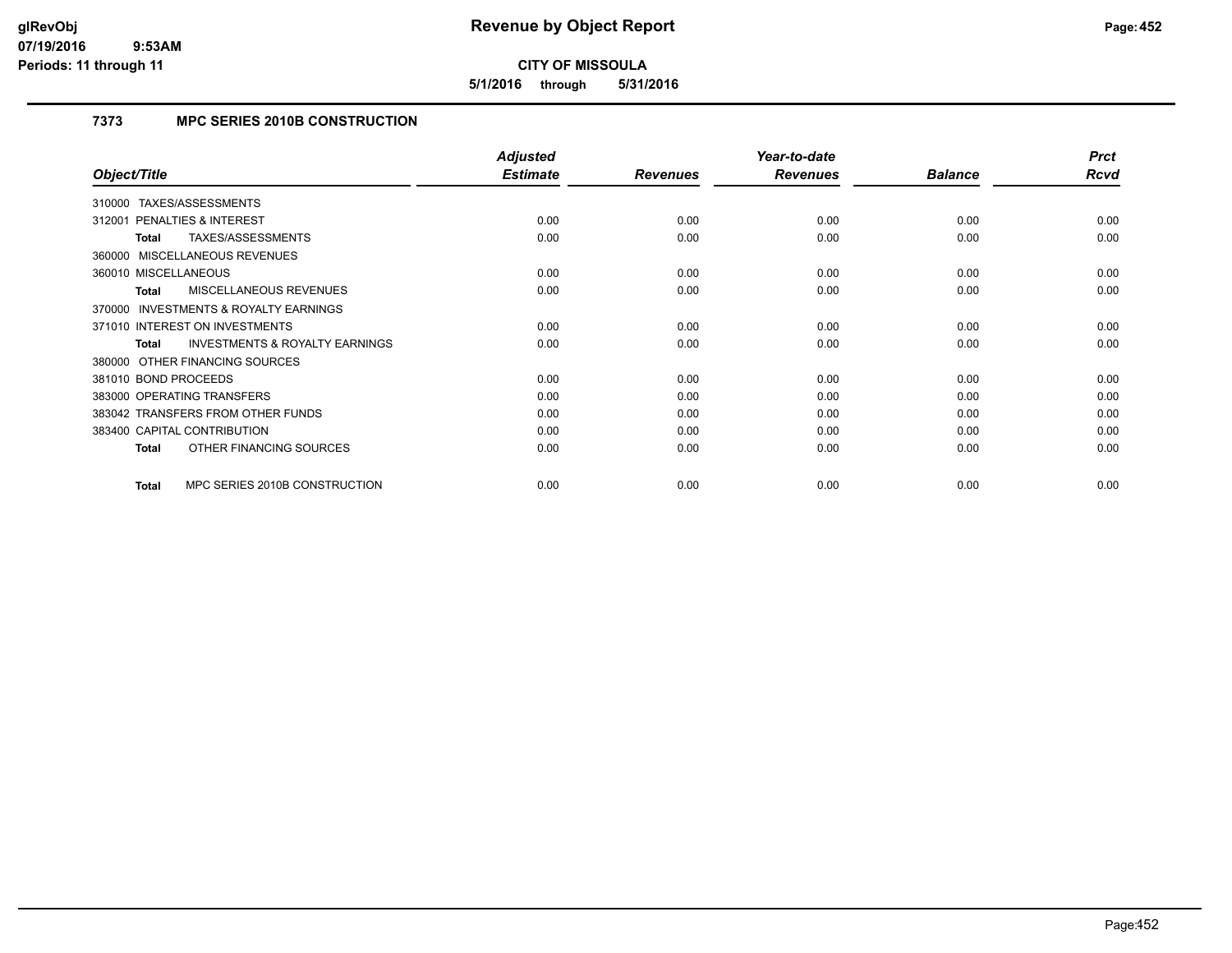**5/1/2016 through 5/31/2016**

## **7373 MPC SERIES 2010B CONSTRUCTION**

|                                                    | <b>Adjusted</b> |                 | Year-to-date    |                | <b>Prct</b> |
|----------------------------------------------------|-----------------|-----------------|-----------------|----------------|-------------|
| Object/Title                                       | <b>Estimate</b> | <b>Revenues</b> | <b>Revenues</b> | <b>Balance</b> | Rcvd        |
| TAXES/ASSESSMENTS<br>310000                        |                 |                 |                 |                |             |
| <b>PENALTIES &amp; INTEREST</b><br>312001          | 0.00            | 0.00            | 0.00            | 0.00           | 0.00        |
| TAXES/ASSESSMENTS<br>Total                         | 0.00            | 0.00            | 0.00            | 0.00           | 0.00        |
| 360000 MISCELLANEOUS REVENUES                      |                 |                 |                 |                |             |
| 360010 MISCELLANEOUS                               | 0.00            | 0.00            | 0.00            | 0.00           | 0.00        |
| MISCELLANEOUS REVENUES<br>Total                    | 0.00            | 0.00            | 0.00            | 0.00           | 0.00        |
| 370000 INVESTMENTS & ROYALTY EARNINGS              |                 |                 |                 |                |             |
| 371010 INTEREST ON INVESTMENTS                     | 0.00            | 0.00            | 0.00            | 0.00           | 0.00        |
| <b>INVESTMENTS &amp; ROYALTY EARNINGS</b><br>Total | 0.00            | 0.00            | 0.00            | 0.00           | 0.00        |
| 380000 OTHER FINANCING SOURCES                     |                 |                 |                 |                |             |
| 381010 BOND PROCEEDS                               | 0.00            | 0.00            | 0.00            | 0.00           | 0.00        |
| 383000 OPERATING TRANSFERS                         | 0.00            | 0.00            | 0.00            | 0.00           | 0.00        |
| 383042 TRANSFERS FROM OTHER FUNDS                  | 0.00            | 0.00            | 0.00            | 0.00           | 0.00        |
| 383400 CAPITAL CONTRIBUTION                        | 0.00            | 0.00            | 0.00            | 0.00           | 0.00        |
| OTHER FINANCING SOURCES<br><b>Total</b>            | 0.00            | 0.00            | 0.00            | 0.00           | 0.00        |
|                                                    |                 |                 |                 |                |             |
| MPC SERIES 2010B CONSTRUCTION<br><b>Total</b>      | 0.00            | 0.00            | 0.00            | 0.00           | 0.00        |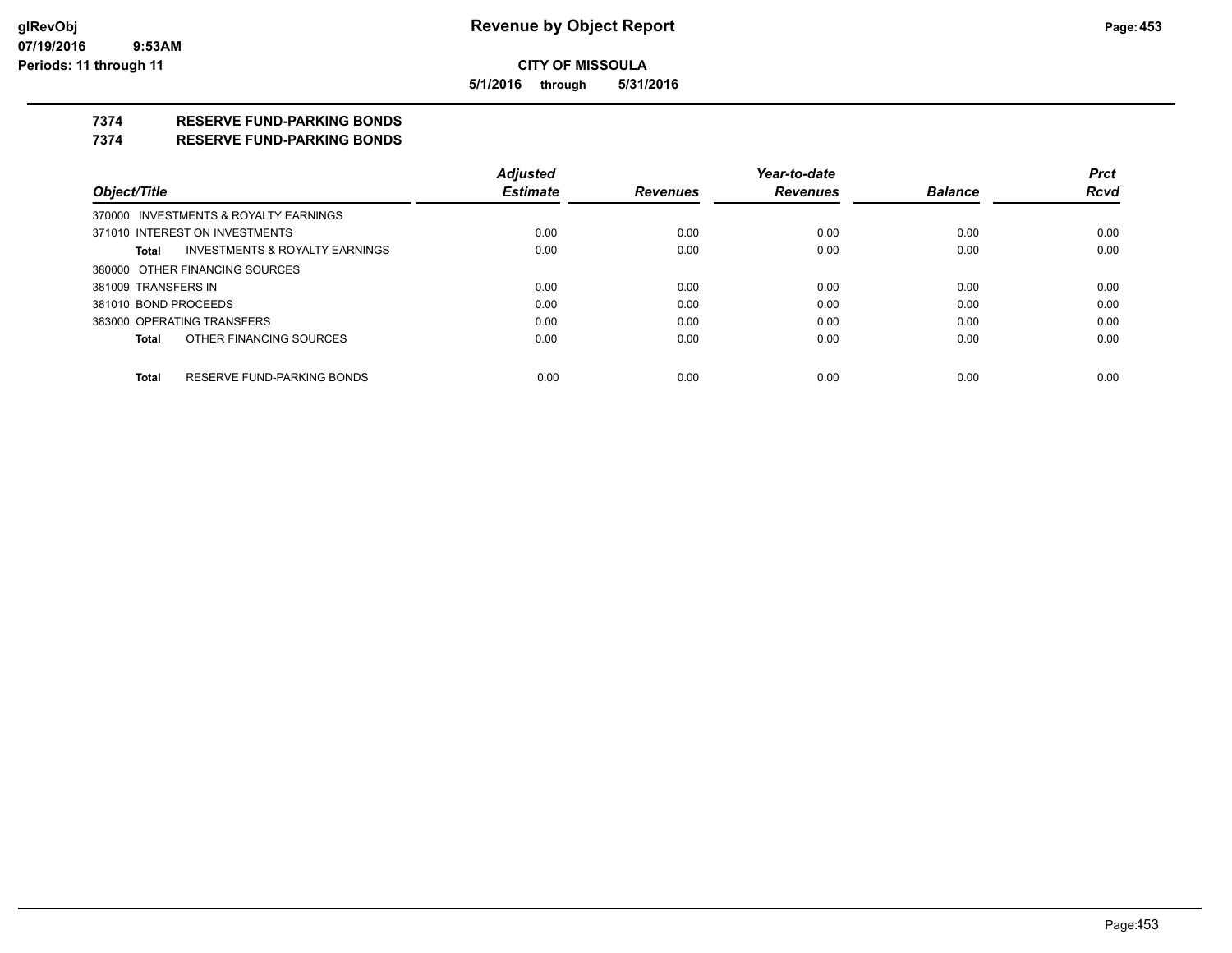**5/1/2016 through 5/31/2016**

## **7374 RESERVE FUND-PARKING BONDS**

#### **7374 RESERVE FUND-PARKING BONDS**

|                      |                                           | <b>Adjusted</b> |                 | Year-to-date    |                | <b>Prct</b> |
|----------------------|-------------------------------------------|-----------------|-----------------|-----------------|----------------|-------------|
| Object/Title         |                                           | <b>Estimate</b> | <b>Revenues</b> | <b>Revenues</b> | <b>Balance</b> | <b>Rcvd</b> |
|                      | 370000 INVESTMENTS & ROYALTY EARNINGS     |                 |                 |                 |                |             |
|                      | 371010 INTEREST ON INVESTMENTS            | 0.00            | 0.00            | 0.00            | 0.00           | 0.00        |
| Total                | <b>INVESTMENTS &amp; ROYALTY EARNINGS</b> | 0.00            | 0.00            | 0.00            | 0.00           | 0.00        |
|                      | 380000 OTHER FINANCING SOURCES            |                 |                 |                 |                |             |
| 381009 TRANSFERS IN  |                                           | 0.00            | 0.00            | 0.00            | 0.00           | 0.00        |
| 381010 BOND PROCEEDS |                                           | 0.00            | 0.00            | 0.00            | 0.00           | 0.00        |
|                      | 383000 OPERATING TRANSFERS                | 0.00            | 0.00            | 0.00            | 0.00           | 0.00        |
| <b>Total</b>         | OTHER FINANCING SOURCES                   | 0.00            | 0.00            | 0.00            | 0.00           | 0.00        |
|                      |                                           |                 |                 |                 |                |             |
| <b>Total</b>         | RESERVE FUND-PARKING BONDS                | 0.00            | 0.00            | 0.00            | 0.00           | 0.00        |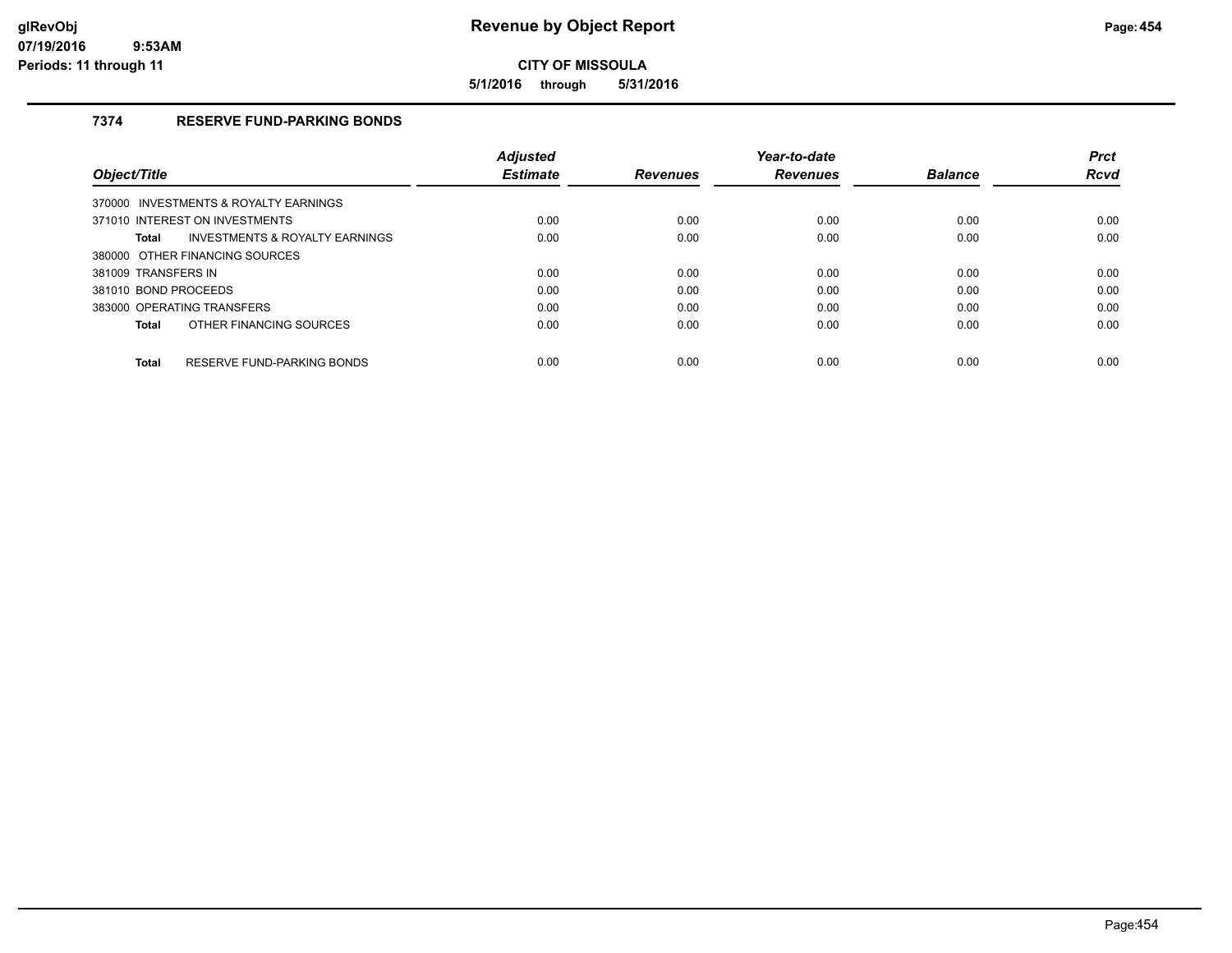**5/1/2016 through 5/31/2016**

## **7374 RESERVE FUND-PARKING BONDS**

|                                                    | <b>Adjusted</b> |                 | Year-to-date    |                | <b>Prct</b> |
|----------------------------------------------------|-----------------|-----------------|-----------------|----------------|-------------|
| <b>Object/Title</b>                                | <b>Estimate</b> | <b>Revenues</b> | <b>Revenues</b> | <b>Balance</b> | <b>Rcvd</b> |
| 370000 INVESTMENTS & ROYALTY EARNINGS              |                 |                 |                 |                |             |
| 371010 INTEREST ON INVESTMENTS                     | 0.00            | 0.00            | 0.00            | 0.00           | 0.00        |
| <b>INVESTMENTS &amp; ROYALTY EARNINGS</b><br>Total | 0.00            | 0.00            | 0.00            | 0.00           | 0.00        |
| 380000 OTHER FINANCING SOURCES                     |                 |                 |                 |                |             |
| 381009 TRANSFERS IN                                | 0.00            | 0.00            | 0.00            | 0.00           | 0.00        |
| 381010 BOND PROCEEDS                               | 0.00            | 0.00            | 0.00            | 0.00           | 0.00        |
| 383000 OPERATING TRANSFERS                         | 0.00            | 0.00            | 0.00            | 0.00           | 0.00        |
| OTHER FINANCING SOURCES<br>Total                   | 0.00            | 0.00            | 0.00            | 0.00           | 0.00        |
| RESERVE FUND-PARKING BONDS<br>Total                | 0.00            | 0.00            | 0.00            | 0.00           | 0.00        |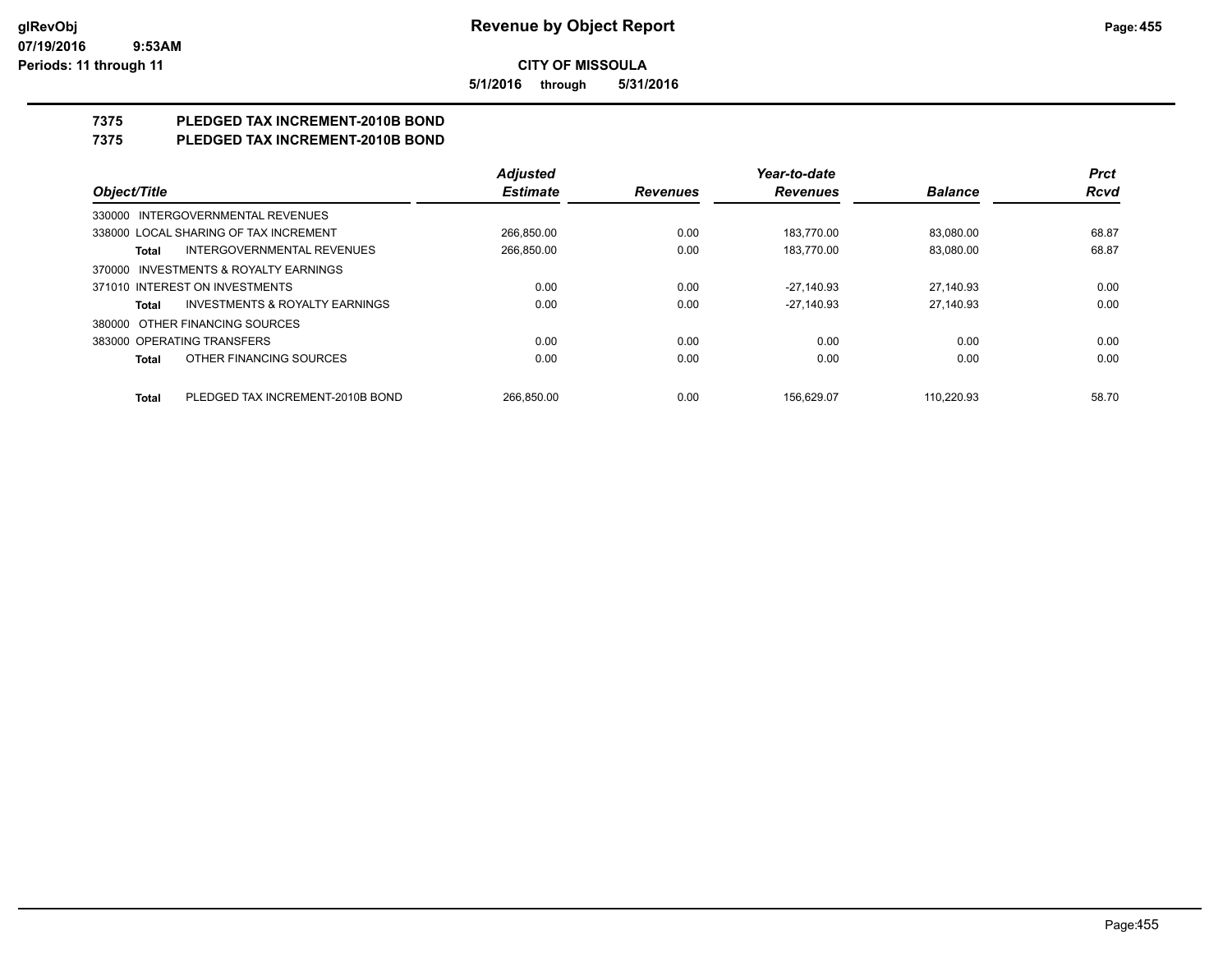**5/1/2016 through 5/31/2016**

## **7375 PLEDGED TAX INCREMENT-2010B BOND**

## **7375 PLEDGED TAX INCREMENT-2010B BOND**

|                                                           | <b>Adjusted</b> |                 | Year-to-date    |                | <b>Prct</b> |
|-----------------------------------------------------------|-----------------|-----------------|-----------------|----------------|-------------|
| Object/Title                                              | <b>Estimate</b> | <b>Revenues</b> | <b>Revenues</b> | <b>Balance</b> | <b>Rcvd</b> |
| 330000 INTERGOVERNMENTAL REVENUES                         |                 |                 |                 |                |             |
| 338000 LOCAL SHARING OF TAX INCREMENT                     | 266,850.00      | 0.00            | 183,770.00      | 83,080.00      | 68.87       |
| <b>INTERGOVERNMENTAL REVENUES</b><br>Total                | 266,850.00      | 0.00            | 183.770.00      | 83,080.00      | 68.87       |
| 370000 INVESTMENTS & ROYALTY EARNINGS                     |                 |                 |                 |                |             |
| 371010 INTEREST ON INVESTMENTS                            | 0.00            | 0.00            | $-27.140.93$    | 27.140.93      | 0.00        |
| <b>INVESTMENTS &amp; ROYALTY EARNINGS</b><br><b>Total</b> | 0.00            | 0.00            | $-27.140.93$    | 27.140.93      | 0.00        |
| 380000 OTHER FINANCING SOURCES                            |                 |                 |                 |                |             |
| 383000 OPERATING TRANSFERS                                | 0.00            | 0.00            | 0.00            | 0.00           | 0.00        |
| OTHER FINANCING SOURCES<br><b>Total</b>                   | 0.00            | 0.00            | 0.00            | 0.00           | 0.00        |
| PLEDGED TAX INCREMENT-2010B BOND<br><b>Total</b>          | 266.850.00      | 0.00            | 156.629.07      | 110.220.93     | 58.70       |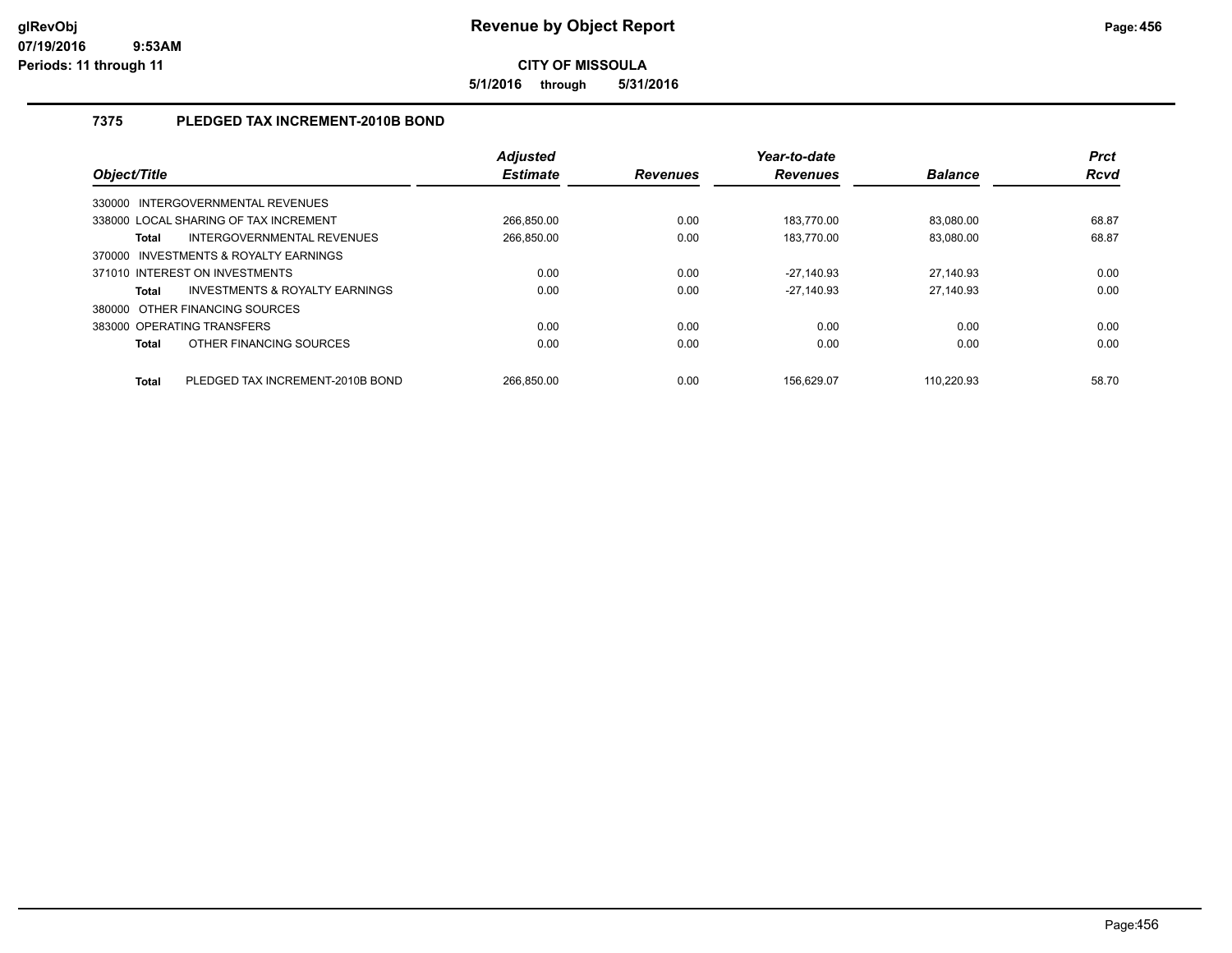**5/1/2016 through 5/31/2016**

## **7375 PLEDGED TAX INCREMENT-2010B BOND**

| Object/Title                          |                                       | <b>Adjusted</b><br><b>Estimate</b> | <b>Revenues</b> | Year-to-date<br><b>Revenues</b> | <b>Balance</b> | <b>Prct</b><br><b>Rcvd</b> |
|---------------------------------------|---------------------------------------|------------------------------------|-----------------|---------------------------------|----------------|----------------------------|
| 330000 INTERGOVERNMENTAL REVENUES     |                                       |                                    |                 |                                 |                |                            |
| 338000 LOCAL SHARING OF TAX INCREMENT |                                       | 266.850.00                         | 0.00            | 183.770.00                      | 83.080.00      | 68.87                      |
| <b>Total</b>                          | INTERGOVERNMENTAL REVENUES            | 266.850.00                         | 0.00            | 183.770.00                      | 83.080.00      | 68.87                      |
|                                       | 370000 INVESTMENTS & ROYALTY EARNINGS |                                    |                 |                                 |                |                            |
| 371010 INTEREST ON INVESTMENTS        |                                       | 0.00                               | 0.00            | $-27.140.93$                    | 27,140.93      | 0.00                       |
| <b>Total</b>                          | INVESTMENTS & ROYALTY EARNINGS        | 0.00                               | 0.00            | $-27.140.93$                    | 27.140.93      | 0.00                       |
| 380000 OTHER FINANCING SOURCES        |                                       |                                    |                 |                                 |                |                            |
| 383000 OPERATING TRANSFERS            |                                       | 0.00                               | 0.00            | 0.00                            | 0.00           | 0.00                       |
| <b>Total</b>                          | OTHER FINANCING SOURCES               | 0.00                               | 0.00            | 0.00                            | 0.00           | 0.00                       |
| <b>Total</b>                          | PLEDGED TAX INCREMENT-2010B BOND      | 266.850.00                         | 0.00            | 156.629.07                      | 110.220.93     | 58.70                      |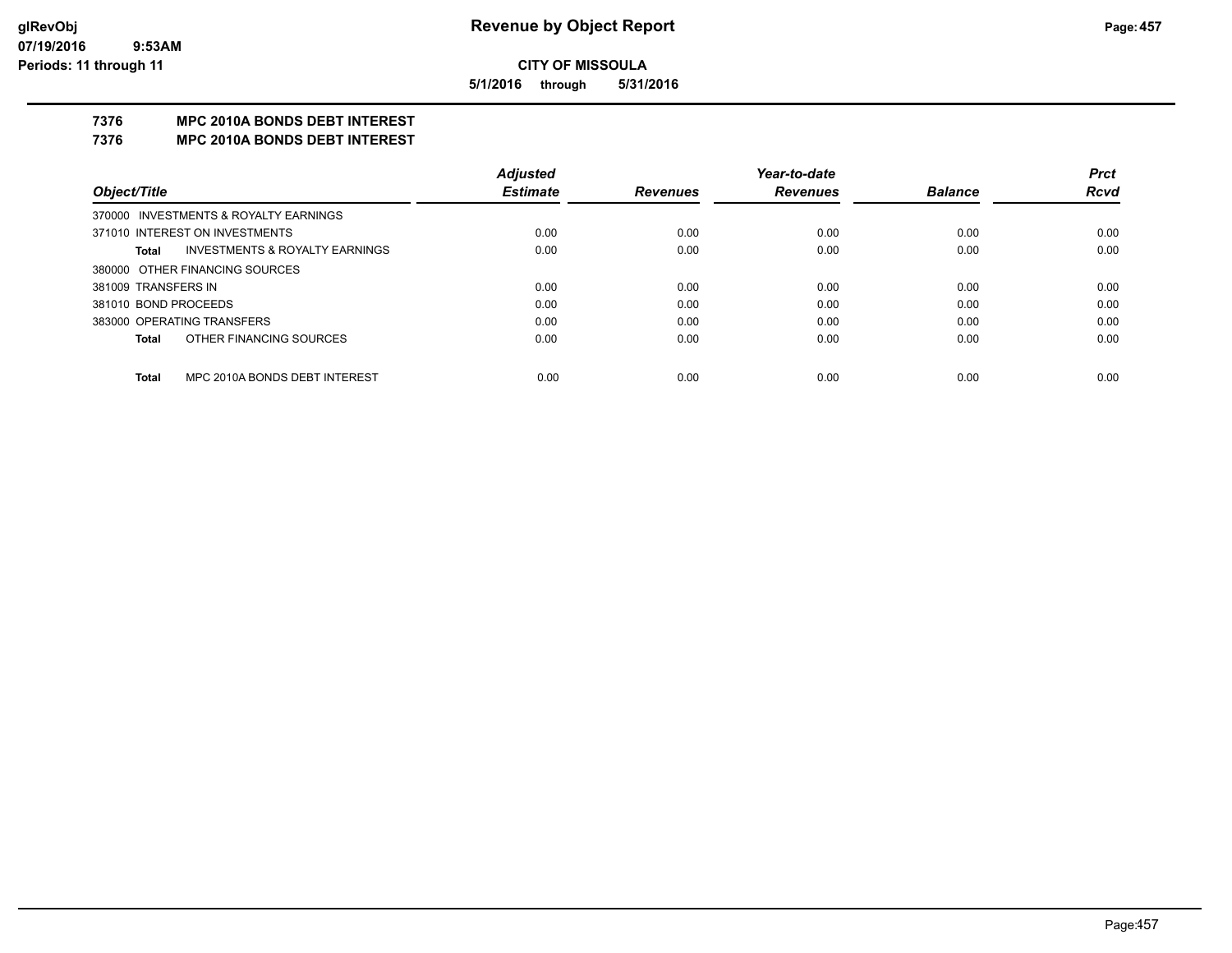**5/1/2016 through 5/31/2016**

## **7376 MPC 2010A BONDS DEBT INTEREST**

#### **7376 MPC 2010A BONDS DEBT INTEREST**

|                            |                                           | <b>Adjusted</b> |                 | Year-to-date    |                | <b>Prct</b> |
|----------------------------|-------------------------------------------|-----------------|-----------------|-----------------|----------------|-------------|
| Object/Title               |                                           | <b>Estimate</b> | <b>Revenues</b> | <b>Revenues</b> | <b>Balance</b> | <b>Rcvd</b> |
|                            | 370000 INVESTMENTS & ROYALTY EARNINGS     |                 |                 |                 |                |             |
|                            | 371010 INTEREST ON INVESTMENTS            | 0.00            | 0.00            | 0.00            | 0.00           | 0.00        |
| Total                      | <b>INVESTMENTS &amp; ROYALTY EARNINGS</b> | 0.00            | 0.00            | 0.00            | 0.00           | 0.00        |
|                            | 380000 OTHER FINANCING SOURCES            |                 |                 |                 |                |             |
| 381009 TRANSFERS IN        |                                           | 0.00            | 0.00            | 0.00            | 0.00           | 0.00        |
| 381010 BOND PROCEEDS       |                                           | 0.00            | 0.00            | 0.00            | 0.00           | 0.00        |
| 383000 OPERATING TRANSFERS |                                           | 0.00            | 0.00            | 0.00            | 0.00           | 0.00        |
| Total                      | OTHER FINANCING SOURCES                   | 0.00            | 0.00            | 0.00            | 0.00           | 0.00        |
|                            |                                           |                 |                 |                 |                |             |
| Total                      | MPC 2010A BONDS DEBT INTEREST             | 0.00            | 0.00            | 0.00            | 0.00           | 0.00        |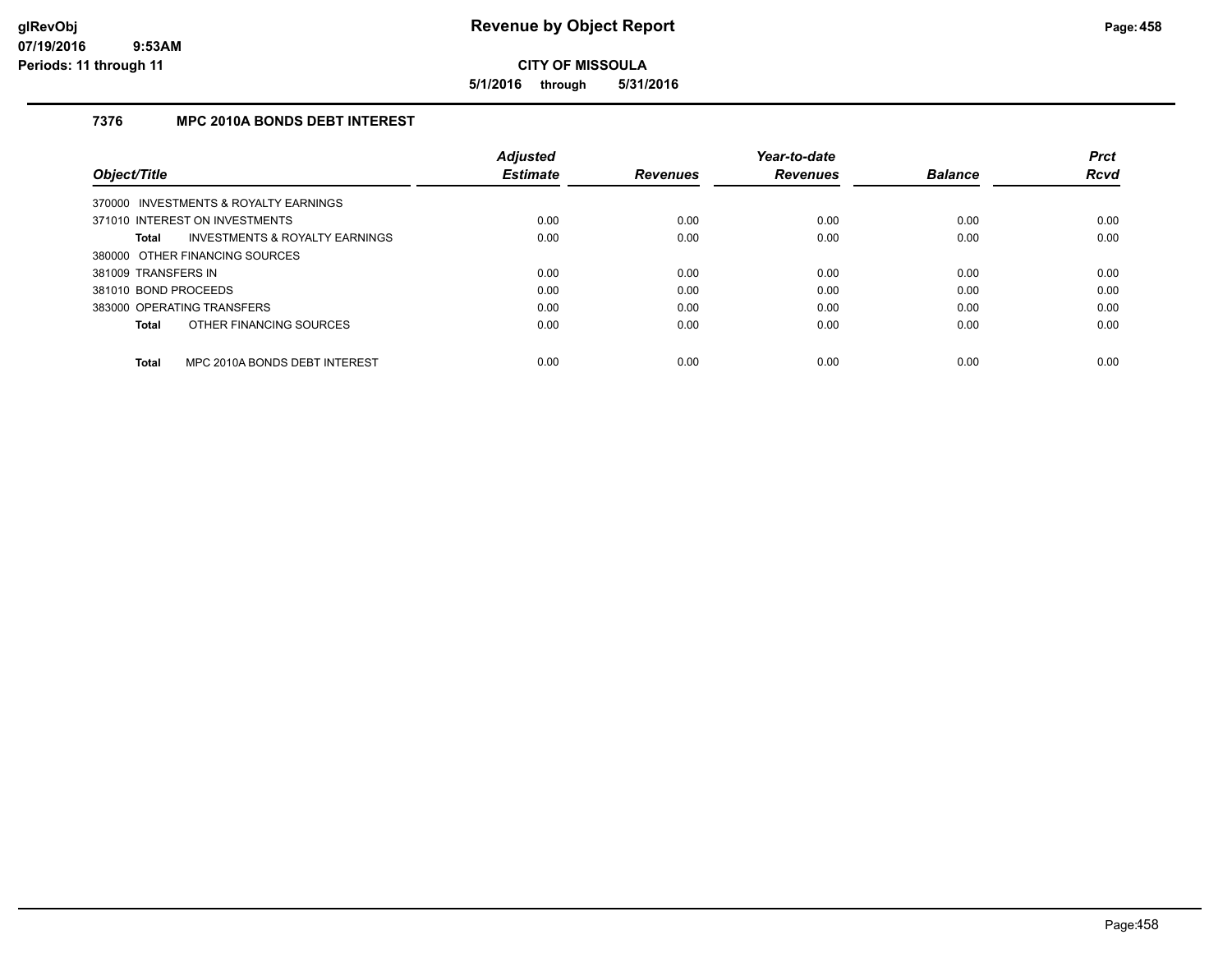**5/1/2016 through 5/31/2016**

## **7376 MPC 2010A BONDS DEBT INTEREST**

|                                               | <b>Adjusted</b> |                 | Year-to-date    |                | <b>Prct</b> |
|-----------------------------------------------|-----------------|-----------------|-----------------|----------------|-------------|
| Object/Title                                  | <b>Estimate</b> | <b>Revenues</b> | <b>Revenues</b> | <b>Balance</b> | <b>Rcvd</b> |
| 370000 INVESTMENTS & ROYALTY EARNINGS         |                 |                 |                 |                |             |
| 371010 INTEREST ON INVESTMENTS                | 0.00            | 0.00            | 0.00            | 0.00           | 0.00        |
| INVESTMENTS & ROYALTY EARNINGS<br>Total       | 0.00            | 0.00            | 0.00            | 0.00           | 0.00        |
| 380000 OTHER FINANCING SOURCES                |                 |                 |                 |                |             |
| 381009 TRANSFERS IN                           | 0.00            | 0.00            | 0.00            | 0.00           | 0.00        |
| 381010 BOND PROCEEDS                          | 0.00            | 0.00            | 0.00            | 0.00           | 0.00        |
| 383000 OPERATING TRANSFERS                    | 0.00            | 0.00            | 0.00            | 0.00           | 0.00        |
| OTHER FINANCING SOURCES<br>Total              | 0.00            | 0.00            | 0.00            | 0.00           | 0.00        |
| MPC 2010A BONDS DEBT INTEREST<br><b>Total</b> | 0.00            | 0.00            | 0.00            | 0.00           | 0.00        |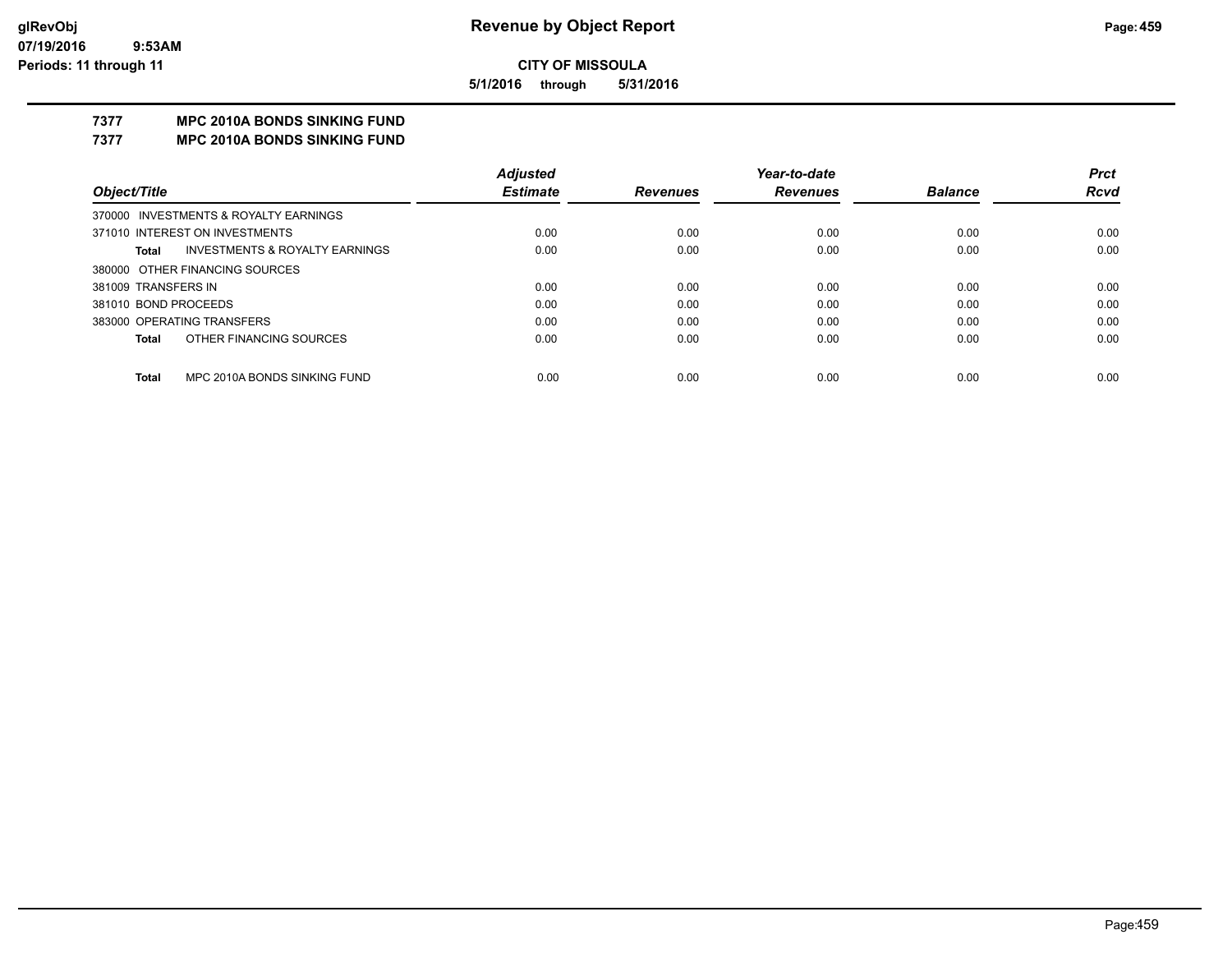**5/1/2016 through 5/31/2016**

## **7377 MPC 2010A BONDS SINKING FUND**

**7377 MPC 2010A BONDS SINKING FUND**

|                                         | <b>Adjusted</b> |                 | Year-to-date    |                | <b>Prct</b> |
|-----------------------------------------|-----------------|-----------------|-----------------|----------------|-------------|
| Object/Title                            | <b>Estimate</b> | <b>Revenues</b> | <b>Revenues</b> | <b>Balance</b> | <b>Rcvd</b> |
| 370000 INVESTMENTS & ROYALTY EARNINGS   |                 |                 |                 |                |             |
| 371010 INTEREST ON INVESTMENTS          | 0.00            | 0.00            | 0.00            | 0.00           | 0.00        |
| INVESTMENTS & ROYALTY EARNINGS<br>Total | 0.00            | 0.00            | 0.00            | 0.00           | 0.00        |
| 380000 OTHER FINANCING SOURCES          |                 |                 |                 |                |             |
| 381009 TRANSFERS IN                     | 0.00            | 0.00            | 0.00            | 0.00           | 0.00        |
| 381010 BOND PROCEEDS                    | 0.00            | 0.00            | 0.00            | 0.00           | 0.00        |
| 383000 OPERATING TRANSFERS              | 0.00            | 0.00            | 0.00            | 0.00           | 0.00        |
| OTHER FINANCING SOURCES<br>Total        | 0.00            | 0.00            | 0.00            | 0.00           | 0.00        |
| MPC 2010A BONDS SINKING FUND            |                 |                 |                 |                |             |
| <b>Total</b>                            | 0.00            | 0.00            | 0.00            | 0.00           | 0.00        |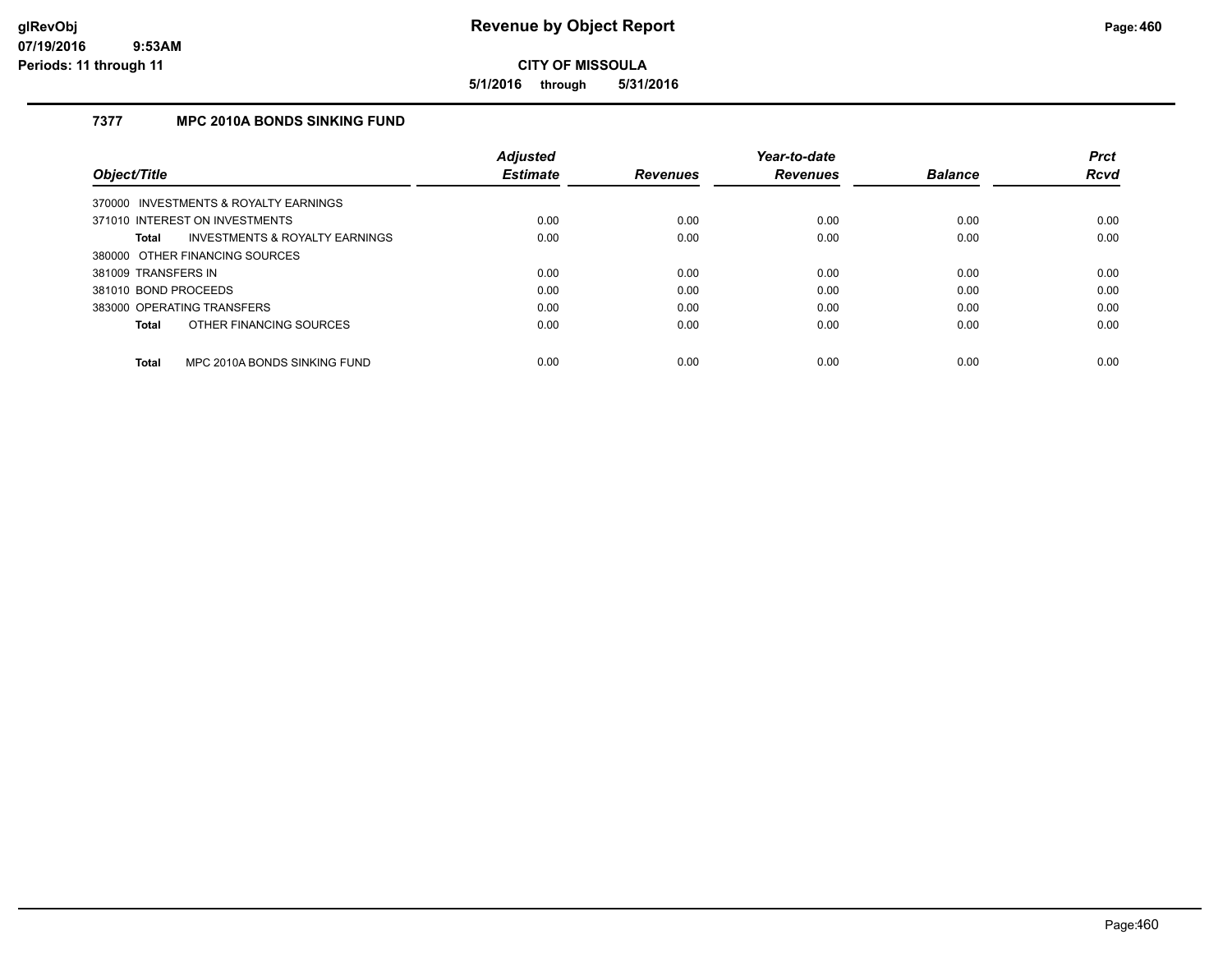**5/1/2016 through 5/31/2016**

## **7377 MPC 2010A BONDS SINKING FUND**

|                            |                                           | Adjusted        |                 | Year-to-date    |                | <b>Prct</b> |
|----------------------------|-------------------------------------------|-----------------|-----------------|-----------------|----------------|-------------|
| Object/Title               |                                           | <b>Estimate</b> | <b>Revenues</b> | <b>Revenues</b> | <b>Balance</b> | <b>Rcvd</b> |
|                            | 370000 INVESTMENTS & ROYALTY EARNINGS     |                 |                 |                 |                |             |
|                            | 371010 INTEREST ON INVESTMENTS            | 0.00            | 0.00            | 0.00            | 0.00           | 0.00        |
| Total                      | <b>INVESTMENTS &amp; ROYALTY EARNINGS</b> | 0.00            | 0.00            | 0.00            | 0.00           | 0.00        |
|                            | 380000 OTHER FINANCING SOURCES            |                 |                 |                 |                |             |
| 381009 TRANSFERS IN        |                                           | 0.00            | 0.00            | 0.00            | 0.00           | 0.00        |
| 381010 BOND PROCEEDS       |                                           | 0.00            | 0.00            | 0.00            | 0.00           | 0.00        |
| 383000 OPERATING TRANSFERS |                                           | 0.00            | 0.00            | 0.00            | 0.00           | 0.00        |
| Total                      | OTHER FINANCING SOURCES                   | 0.00            | 0.00            | 0.00            | 0.00           | 0.00        |
| <b>Total</b>               | MPC 2010A BONDS SINKING FUND              | 0.00            | 0.00            | 0.00            | 0.00           | 0.00        |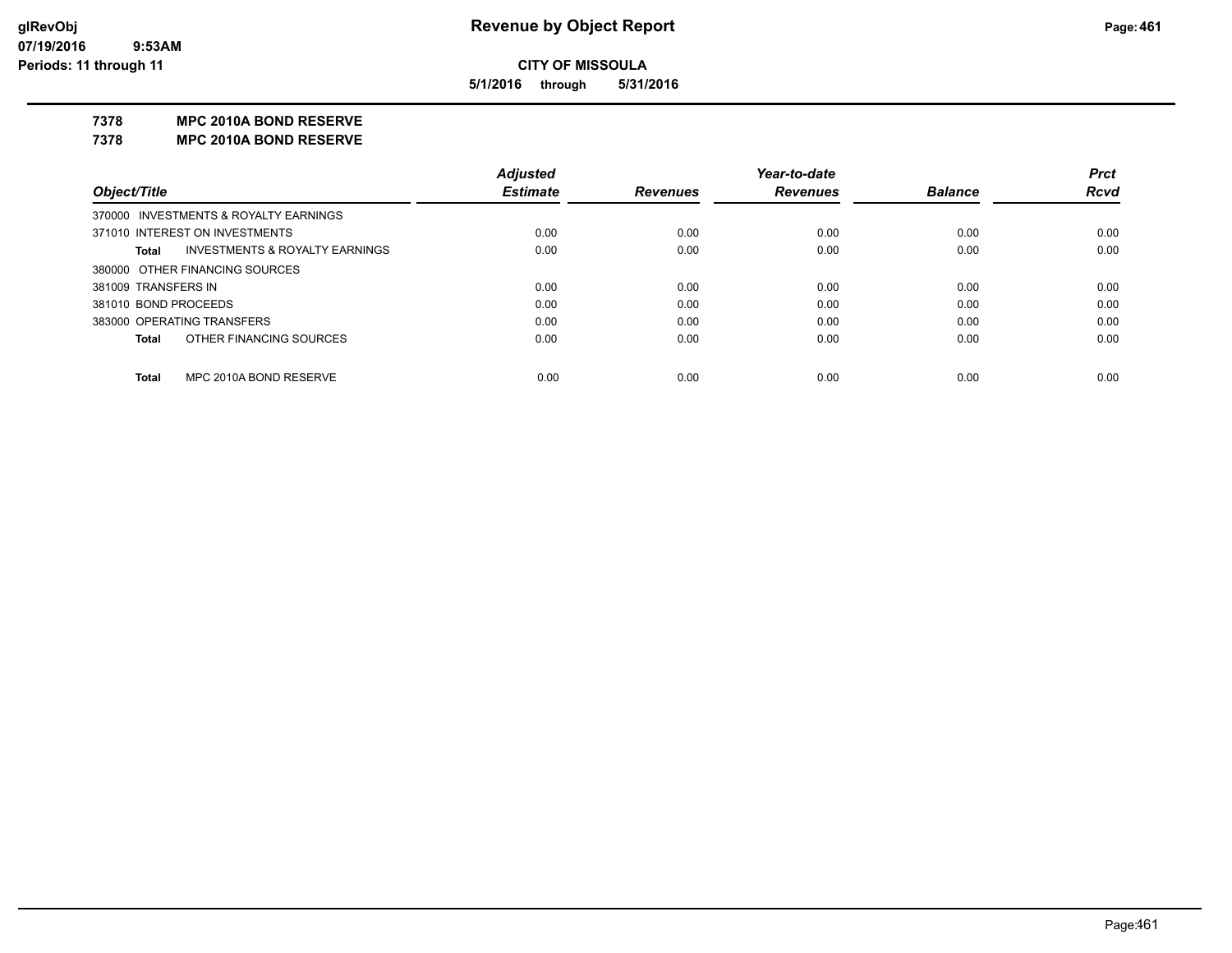**5/1/2016 through 5/31/2016**

#### **7378 MPC 2010A BOND RESERVE**

**7378 MPC 2010A BOND RESERVE**

|                      |                                           | <b>Adjusted</b> |                 | Year-to-date    |                | <b>Prct</b> |
|----------------------|-------------------------------------------|-----------------|-----------------|-----------------|----------------|-------------|
| Object/Title         |                                           | <b>Estimate</b> | <b>Revenues</b> | <b>Revenues</b> | <b>Balance</b> | <b>Rcvd</b> |
|                      | 370000 INVESTMENTS & ROYALTY EARNINGS     |                 |                 |                 |                |             |
|                      | 371010 INTEREST ON INVESTMENTS            | 0.00            | 0.00            | 0.00            | 0.00           | 0.00        |
| Total                | <b>INVESTMENTS &amp; ROYALTY EARNINGS</b> | 0.00            | 0.00            | 0.00            | 0.00           | 0.00        |
|                      | 380000 OTHER FINANCING SOURCES            |                 |                 |                 |                |             |
| 381009 TRANSFERS IN  |                                           | 0.00            | 0.00            | 0.00            | 0.00           | 0.00        |
| 381010 BOND PROCEEDS |                                           | 0.00            | 0.00            | 0.00            | 0.00           | 0.00        |
|                      | 383000 OPERATING TRANSFERS                | 0.00            | 0.00            | 0.00            | 0.00           | 0.00        |
| <b>Total</b>         | OTHER FINANCING SOURCES                   | 0.00            | 0.00            | 0.00            | 0.00           | 0.00        |
|                      |                                           |                 |                 |                 |                |             |
| <b>Total</b>         | MPC 2010A BOND RESERVE                    | 0.00            | 0.00            | 0.00            | 0.00           | 0.00        |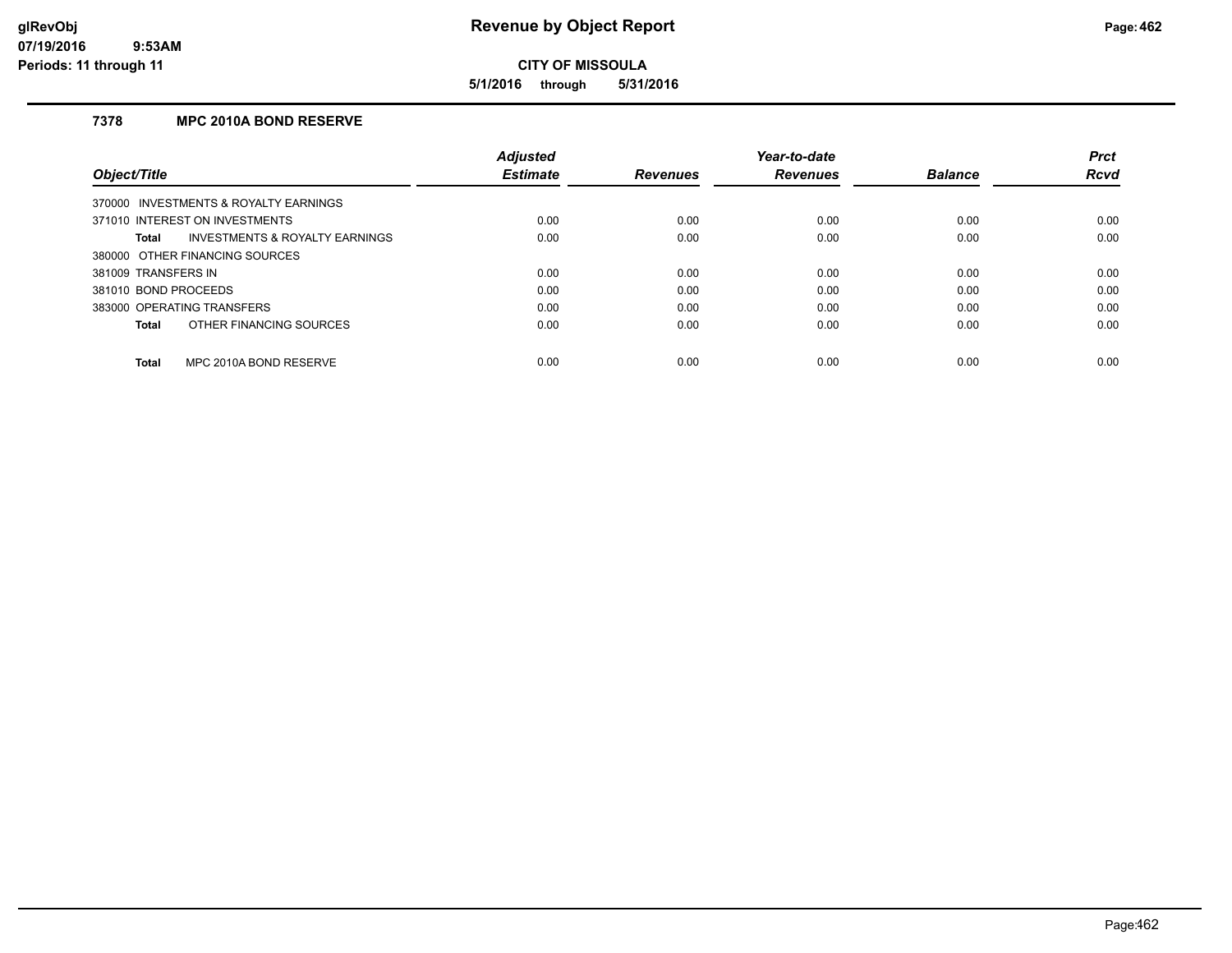**5/1/2016 through 5/31/2016**

## **7378 MPC 2010A BOND RESERVE**

|                                                    | <b>Adiusted</b> |                 | Year-to-date    |                | <b>Prct</b> |
|----------------------------------------------------|-----------------|-----------------|-----------------|----------------|-------------|
| Object/Title                                       | <b>Estimate</b> | <b>Revenues</b> | <b>Revenues</b> | <b>Balance</b> | <b>Rcvd</b> |
| 370000 INVESTMENTS & ROYALTY EARNINGS              |                 |                 |                 |                |             |
| 371010 INTEREST ON INVESTMENTS                     | 0.00            | 0.00            | 0.00            | 0.00           | 0.00        |
| <b>INVESTMENTS &amp; ROYALTY EARNINGS</b><br>Total | 0.00            | 0.00            | 0.00            | 0.00           | 0.00        |
| 380000 OTHER FINANCING SOURCES                     |                 |                 |                 |                |             |
| 381009 TRANSFERS IN                                | 0.00            | 0.00            | 0.00            | 0.00           | 0.00        |
| 381010 BOND PROCEEDS                               | 0.00            | 0.00            | 0.00            | 0.00           | 0.00        |
| 383000 OPERATING TRANSFERS                         | 0.00            | 0.00            | 0.00            | 0.00           | 0.00        |
| OTHER FINANCING SOURCES<br>Total                   | 0.00            | 0.00            | 0.00            | 0.00           | 0.00        |
| MPC 2010A BOND RESERVE<br><b>Total</b>             | 0.00            | 0.00            | 0.00            | 0.00           | 0.00        |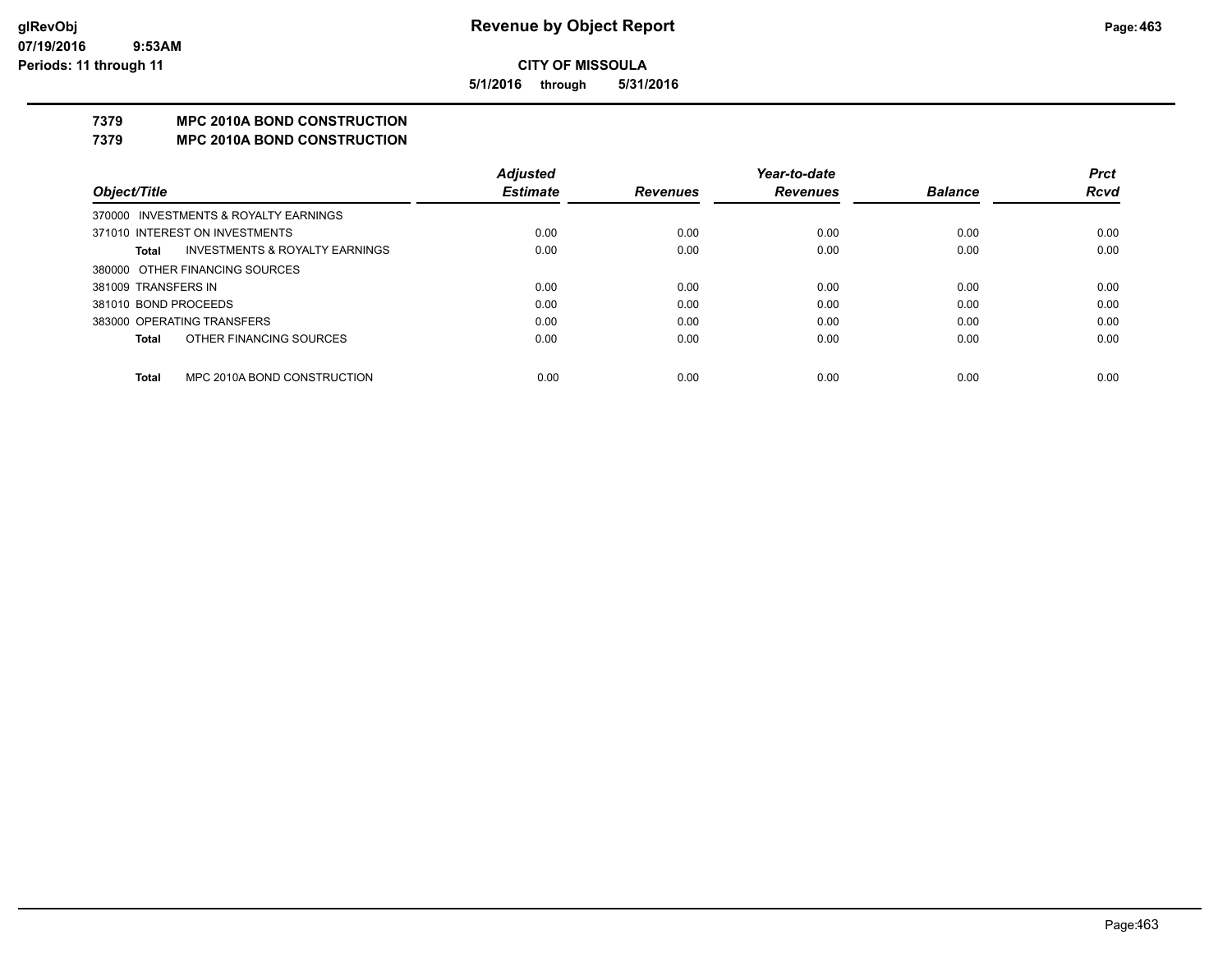**5/1/2016 through 5/31/2016**

## **7379 MPC 2010A BOND CONSTRUCTION**

#### **7379 MPC 2010A BOND CONSTRUCTION**

|                      |                                           | <b>Adjusted</b> |                 | Year-to-date    |                | <b>Prct</b> |
|----------------------|-------------------------------------------|-----------------|-----------------|-----------------|----------------|-------------|
| Object/Title         |                                           | <b>Estimate</b> | <b>Revenues</b> | <b>Revenues</b> | <b>Balance</b> | <b>Rcvd</b> |
|                      | 370000 INVESTMENTS & ROYALTY EARNINGS     |                 |                 |                 |                |             |
|                      | 371010 INTEREST ON INVESTMENTS            | 0.00            | 0.00            | 0.00            | 0.00           | 0.00        |
| Total                | <b>INVESTMENTS &amp; ROYALTY EARNINGS</b> | 0.00            | 0.00            | 0.00            | 0.00           | 0.00        |
|                      | 380000 OTHER FINANCING SOURCES            |                 |                 |                 |                |             |
| 381009 TRANSFERS IN  |                                           | 0.00            | 0.00            | 0.00            | 0.00           | 0.00        |
| 381010 BOND PROCEEDS |                                           | 0.00            | 0.00            | 0.00            | 0.00           | 0.00        |
|                      | 383000 OPERATING TRANSFERS                | 0.00            | 0.00            | 0.00            | 0.00           | 0.00        |
| Total                | OTHER FINANCING SOURCES                   | 0.00            | 0.00            | 0.00            | 0.00           | 0.00        |
|                      |                                           |                 |                 |                 |                |             |
| Total                | MPC 2010A BOND CONSTRUCTION               | 0.00            | 0.00            | 0.00            | 0.00           | 0.00        |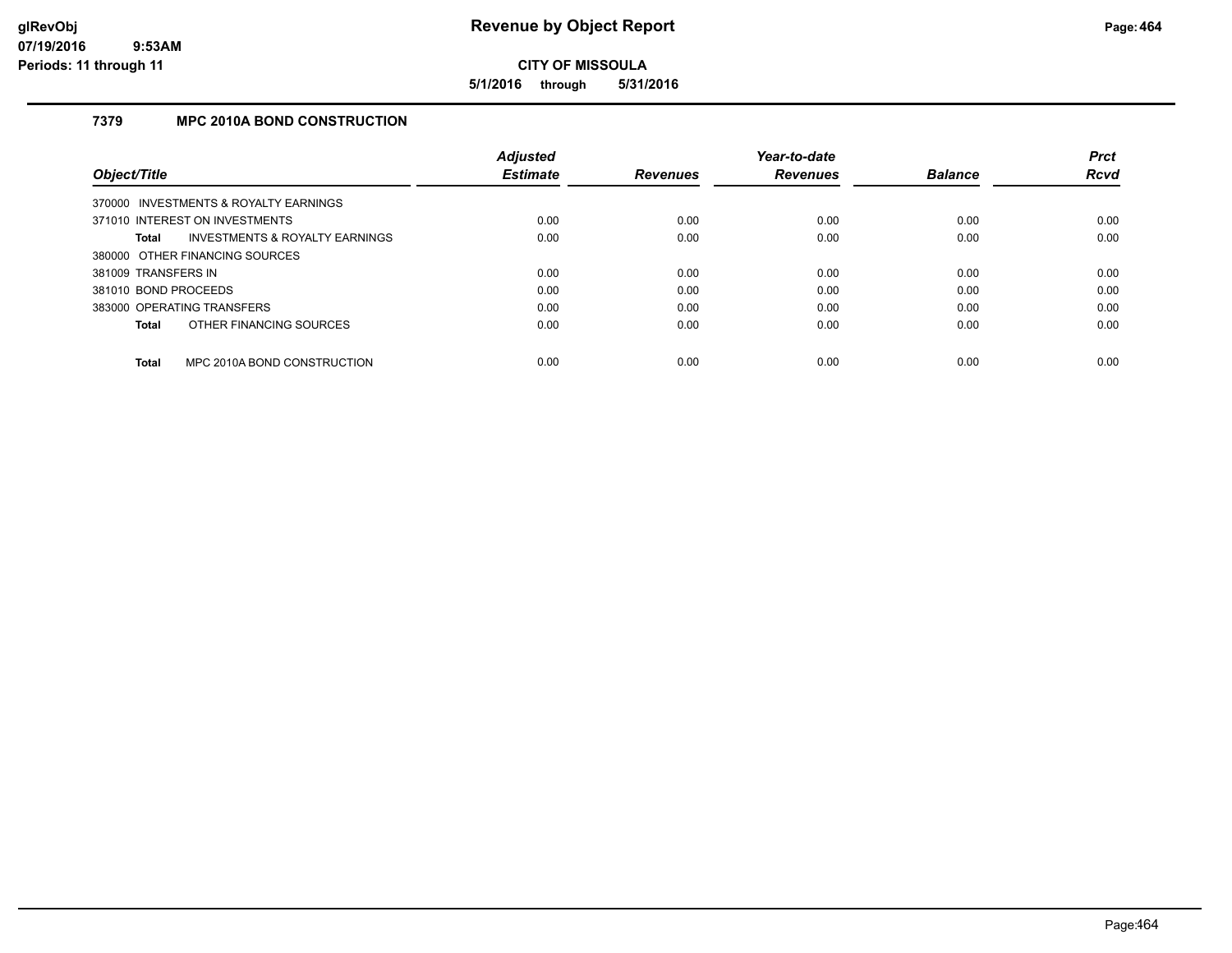**5/1/2016 through 5/31/2016**

## **7379 MPC 2010A BOND CONSTRUCTION**

|                      |                                           | <b>Adjusted</b> |                 | Year-to-date    |                | <b>Prct</b> |
|----------------------|-------------------------------------------|-----------------|-----------------|-----------------|----------------|-------------|
| Object/Title         |                                           | <b>Estimate</b> | <b>Revenues</b> | <b>Revenues</b> | <b>Balance</b> | <b>Rcvd</b> |
|                      | 370000 INVESTMENTS & ROYALTY EARNINGS     |                 |                 |                 |                |             |
|                      | 371010 INTEREST ON INVESTMENTS            | 0.00            | 0.00            | 0.00            | 0.00           | 0.00        |
| Total                | <b>INVESTMENTS &amp; ROYALTY EARNINGS</b> | 0.00            | 0.00            | 0.00            | 0.00           | 0.00        |
|                      | 380000 OTHER FINANCING SOURCES            |                 |                 |                 |                |             |
| 381009 TRANSFERS IN  |                                           | 0.00            | 0.00            | 0.00            | 0.00           | 0.00        |
| 381010 BOND PROCEEDS |                                           | 0.00            | 0.00            | 0.00            | 0.00           | 0.00        |
|                      | 383000 OPERATING TRANSFERS                | 0.00            | 0.00            | 0.00            | 0.00           | 0.00        |
| Total                | OTHER FINANCING SOURCES                   | 0.00            | 0.00            | 0.00            | 0.00           | 0.00        |
| <b>Total</b>         | MPC 2010A BOND CONSTRUCTION               | 0.00            | 0.00            | 0.00            | 0.00           | 0.00        |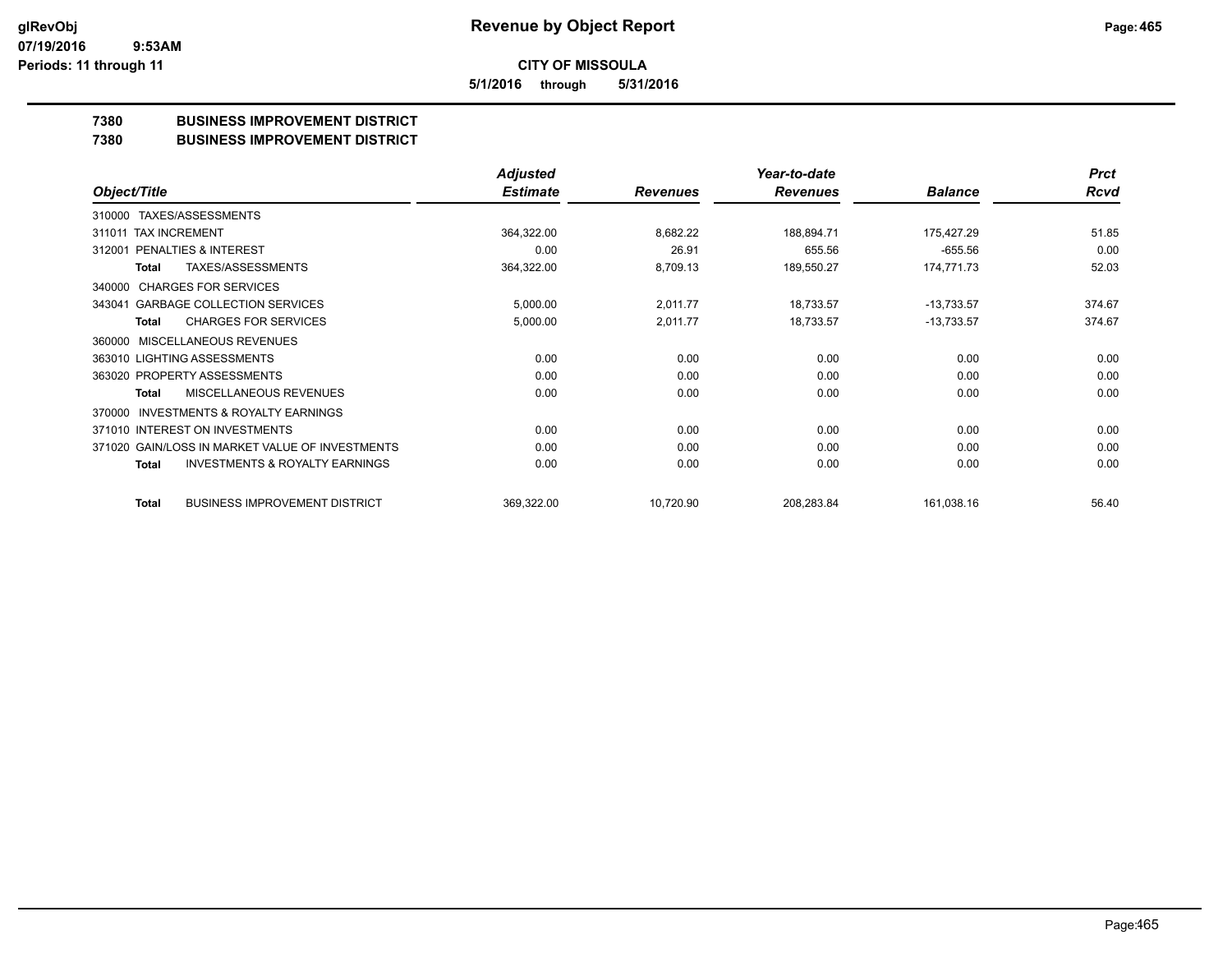**5/1/2016 through 5/31/2016**

## **7380 BUSINESS IMPROVEMENT DISTRICT**

**7380 BUSINESS IMPROVEMENT DISTRICT**

|                                                     | <b>Adjusted</b> |                 | Year-to-date    |                | <b>Prct</b> |
|-----------------------------------------------------|-----------------|-----------------|-----------------|----------------|-------------|
| Object/Title                                        | <b>Estimate</b> | <b>Revenues</b> | <b>Revenues</b> | <b>Balance</b> | Rcvd        |
| TAXES/ASSESSMENTS<br>310000                         |                 |                 |                 |                |             |
| 311011 TAX INCREMENT                                | 364,322.00      | 8,682.22        | 188,894.71      | 175,427.29     | 51.85       |
| PENALTIES & INTEREST<br>312001                      | 0.00            | 26.91           | 655.56          | $-655.56$      | 0.00        |
| <b>TAXES/ASSESSMENTS</b><br>Total                   | 364,322.00      | 8,709.13        | 189,550.27      | 174,771.73     | 52.03       |
| <b>CHARGES FOR SERVICES</b><br>340000               |                 |                 |                 |                |             |
| <b>GARBAGE COLLECTION SERVICES</b><br>343041        | 5,000.00        | 2,011.77        | 18,733.57       | $-13,733.57$   | 374.67      |
| <b>CHARGES FOR SERVICES</b><br><b>Total</b>         | 5,000.00        | 2,011.77        | 18,733.57       | $-13,733.57$   | 374.67      |
| <b>MISCELLANEOUS REVENUES</b><br>360000             |                 |                 |                 |                |             |
| 363010 LIGHTING ASSESSMENTS                         | 0.00            | 0.00            | 0.00            | 0.00           | 0.00        |
| 363020 PROPERTY ASSESSMENTS                         | 0.00            | 0.00            | 0.00            | 0.00           | 0.00        |
| MISCELLANEOUS REVENUES<br>Total                     | 0.00            | 0.00            | 0.00            | 0.00           | 0.00        |
| <b>INVESTMENTS &amp; ROYALTY EARNINGS</b><br>370000 |                 |                 |                 |                |             |
| 371010 INTEREST ON INVESTMENTS                      | 0.00            | 0.00            | 0.00            | 0.00           | 0.00        |
| 371020 GAIN/LOSS IN MARKET VALUE OF INVESTMENTS     | 0.00            | 0.00            | 0.00            | 0.00           | 0.00        |
| <b>INVESTMENTS &amp; ROYALTY EARNINGS</b><br>Total  | 0.00            | 0.00            | 0.00            | 0.00           | 0.00        |
| <b>BUSINESS IMPROVEMENT DISTRICT</b><br>Total       | 369,322.00      | 10,720.90       | 208,283.84      | 161,038.16     | 56.40       |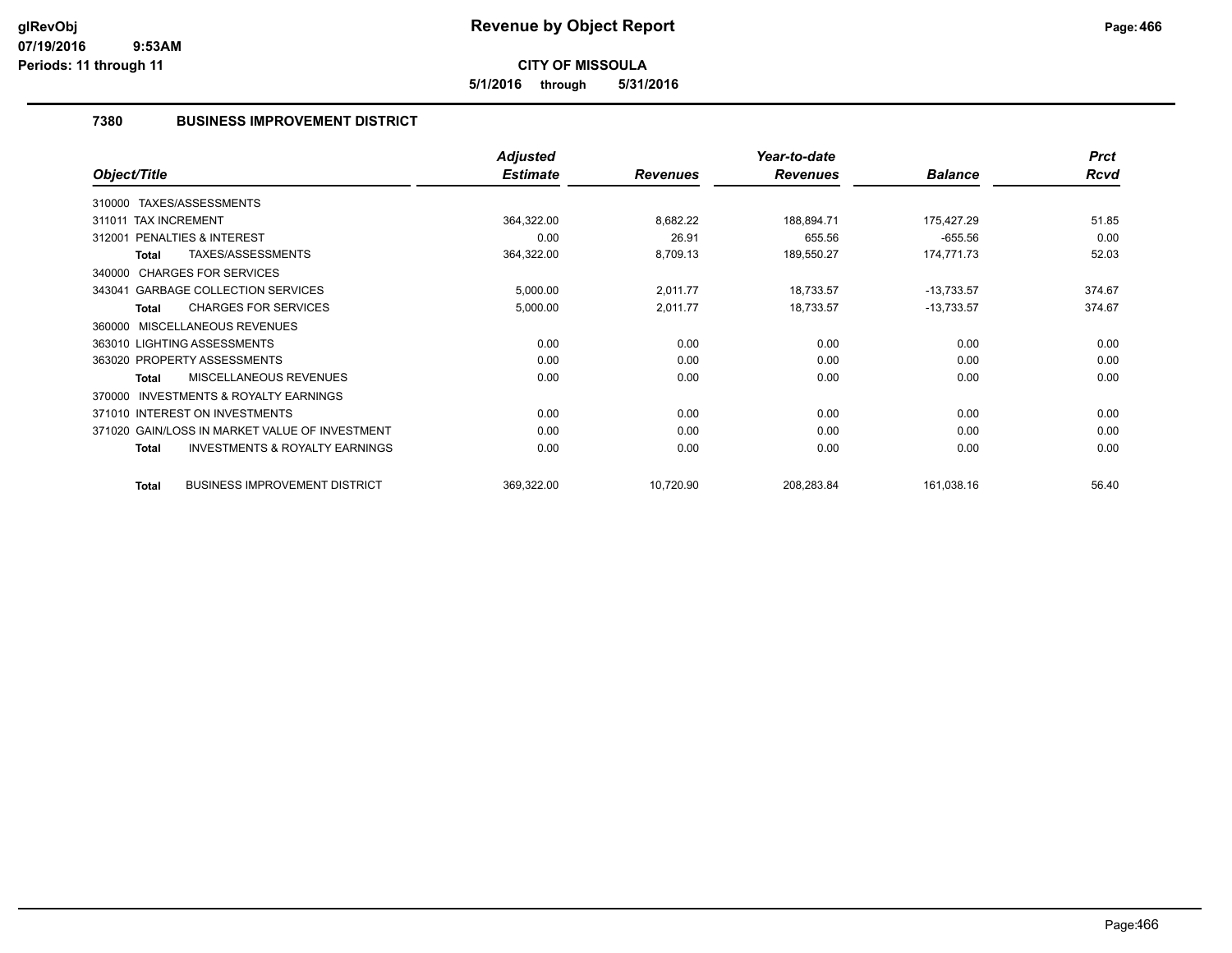**5/1/2016 through 5/31/2016**

## **7380 BUSINESS IMPROVEMENT DISTRICT**

|                                                           | <b>Adjusted</b> |                 | Year-to-date    |                | <b>Prct</b> |
|-----------------------------------------------------------|-----------------|-----------------|-----------------|----------------|-------------|
| Object/Title                                              | <b>Estimate</b> | <b>Revenues</b> | <b>Revenues</b> | <b>Balance</b> | <b>Rcvd</b> |
| 310000 TAXES/ASSESSMENTS                                  |                 |                 |                 |                |             |
| 311011 TAX INCREMENT                                      | 364,322.00      | 8,682.22        | 188,894.71      | 175,427.29     | 51.85       |
| <b>PENALTIES &amp; INTEREST</b><br>312001                 | 0.00            | 26.91           | 655.56          | $-655.56$      | 0.00        |
| TAXES/ASSESSMENTS<br><b>Total</b>                         | 364,322.00      | 8,709.13        | 189,550.27      | 174,771.73     | 52.03       |
| 340000 CHARGES FOR SERVICES                               |                 |                 |                 |                |             |
| 343041 GARBAGE COLLECTION SERVICES                        | 5,000.00        | 2,011.77        | 18,733.57       | $-13,733.57$   | 374.67      |
| <b>CHARGES FOR SERVICES</b><br><b>Total</b>               | 5,000.00        | 2,011.77        | 18,733.57       | $-13,733.57$   | 374.67      |
| MISCELLANEOUS REVENUES<br>360000                          |                 |                 |                 |                |             |
| 363010 LIGHTING ASSESSMENTS                               | 0.00            | 0.00            | 0.00            | 0.00           | 0.00        |
| 363020 PROPERTY ASSESSMENTS                               | 0.00            | 0.00            | 0.00            | 0.00           | 0.00        |
| <b>MISCELLANEOUS REVENUES</b><br>Total                    | 0.00            | 0.00            | 0.00            | 0.00           | 0.00        |
| <b>INVESTMENTS &amp; ROYALTY EARNINGS</b><br>370000       |                 |                 |                 |                |             |
| 371010 INTEREST ON INVESTMENTS                            | 0.00            | 0.00            | 0.00            | 0.00           | 0.00        |
| 371020 GAIN/LOSS IN MARKET VALUE OF INVESTMENT            | 0.00            | 0.00            | 0.00            | 0.00           | 0.00        |
| <b>INVESTMENTS &amp; ROYALTY EARNINGS</b><br><b>Total</b> | 0.00            | 0.00            | 0.00            | 0.00           | 0.00        |
| <b>BUSINESS IMPROVEMENT DISTRICT</b><br><b>Total</b>      | 369,322.00      | 10,720.90       | 208,283.84      | 161,038.16     | 56.40       |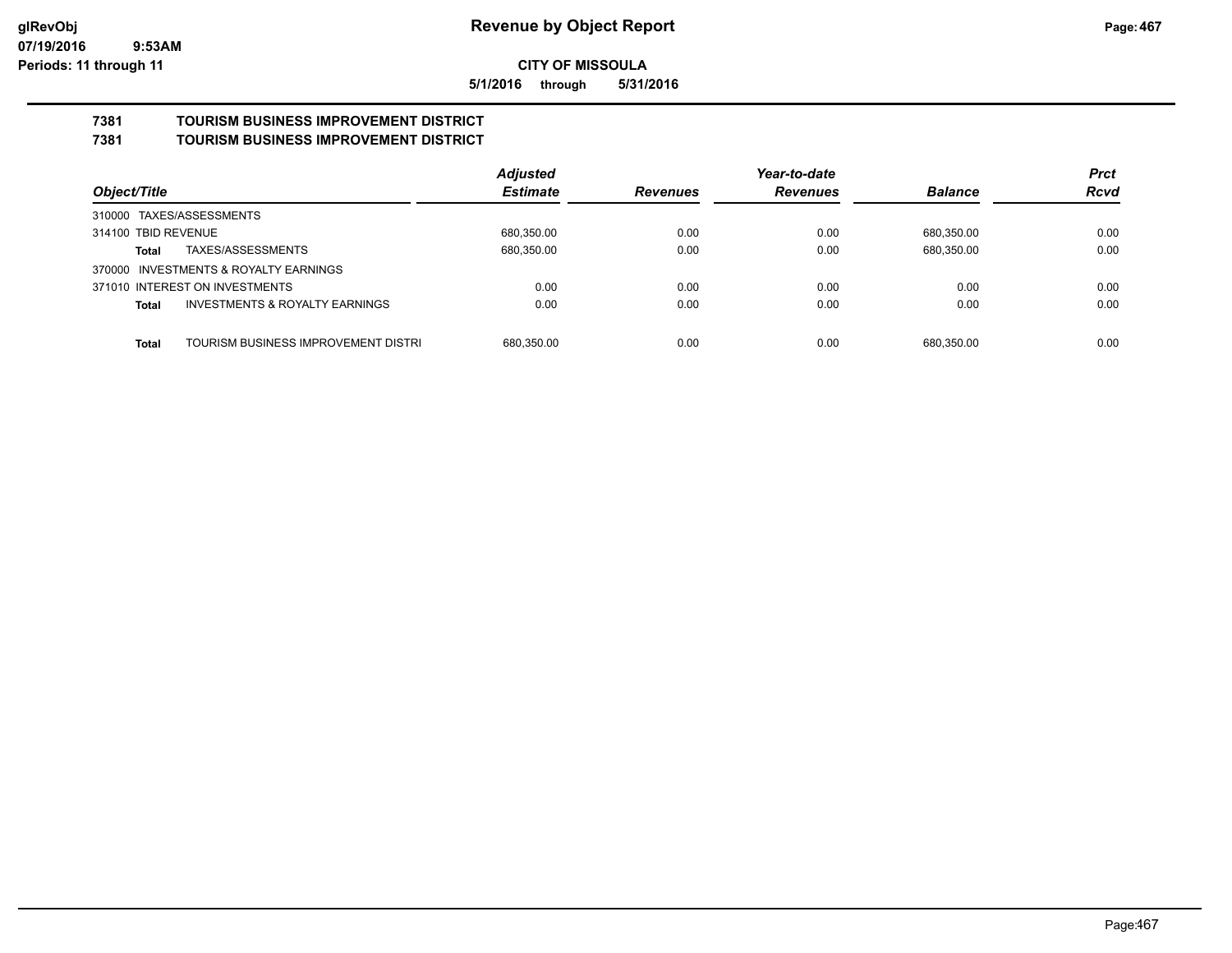**5/1/2016 through 5/31/2016**

# **7381 TOURISM BUSINESS IMPROVEMENT DISTRICT**

## **7381 TOURISM BUSINESS IMPROVEMENT DISTRICT**

|                                                    | <b>Adjusted</b> |                 | Year-to-date    |                | <b>Prct</b> |
|----------------------------------------------------|-----------------|-----------------|-----------------|----------------|-------------|
| Object/Title                                       | <b>Estimate</b> | <b>Revenues</b> | <b>Revenues</b> | <b>Balance</b> | <b>Rcvd</b> |
| 310000 TAXES/ASSESSMENTS                           |                 |                 |                 |                |             |
| 314100 TBID REVENUE                                | 680.350.00      | 0.00            | 0.00            | 680.350.00     | 0.00        |
| TAXES/ASSESSMENTS<br>Total                         | 680,350.00      | 0.00            | 0.00            | 680.350.00     | 0.00        |
| 370000 INVESTMENTS & ROYALTY EARNINGS              |                 |                 |                 |                |             |
| 371010 INTEREST ON INVESTMENTS                     | 0.00            | 0.00            | 0.00            | 0.00           | 0.00        |
| <b>INVESTMENTS &amp; ROYALTY EARNINGS</b><br>Total | 0.00            | 0.00            | 0.00            | 0.00           | 0.00        |
| TOURISM BUSINESS IMPROVEMENT DISTRI                | 680.350.00      | 0.00            | 0.00            | 680.350.00     | 0.00        |
| <b>Total</b>                                       |                 |                 |                 |                |             |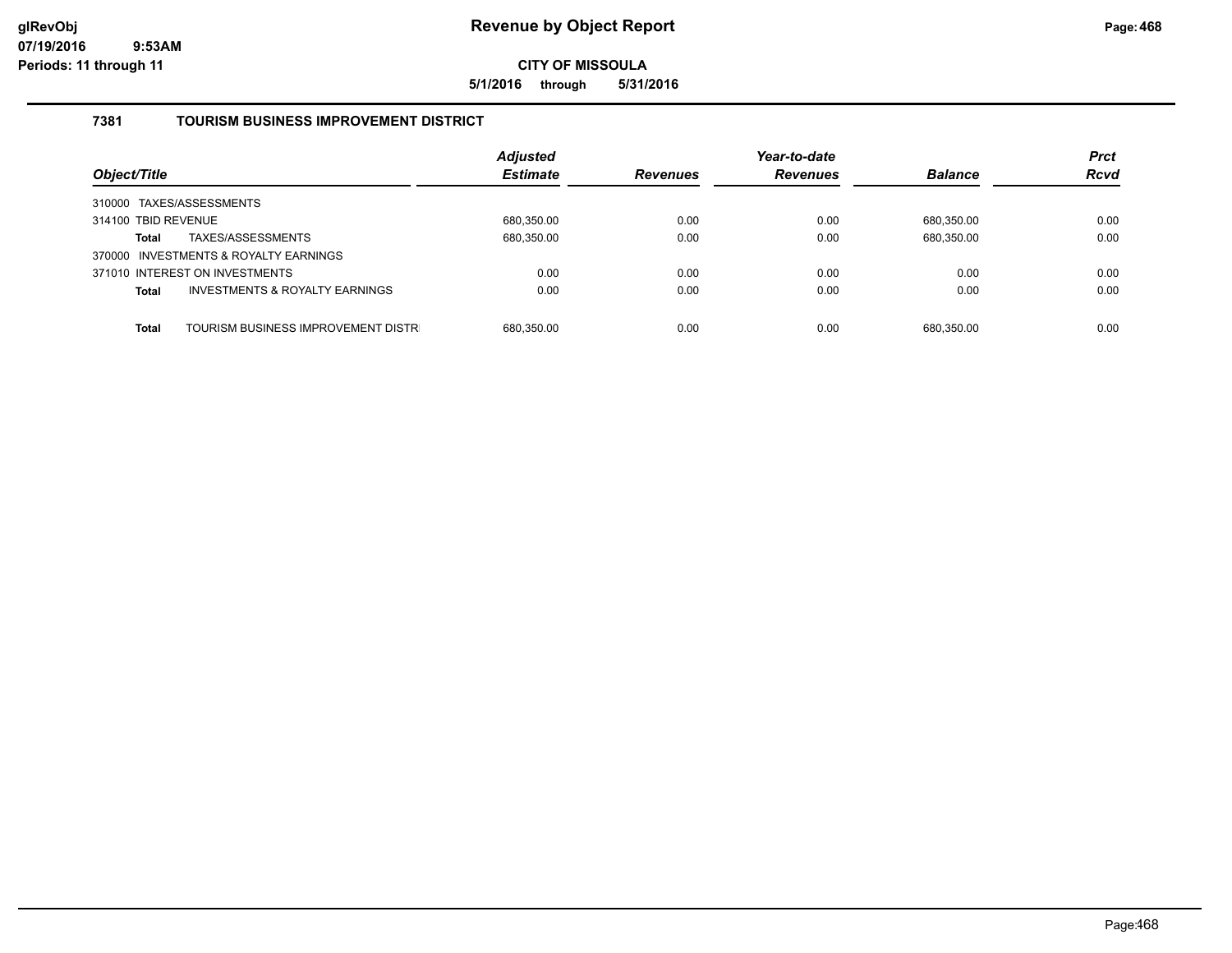**5/1/2016 through 5/31/2016**

### **7381 TOURISM BUSINESS IMPROVEMENT DISTRICT**

| Object/Title                                              | <b>Adjusted</b><br><b>Estimate</b> | <b>Revenues</b> | Year-to-date<br><b>Revenues</b> | <b>Balance</b> | <b>Prct</b><br><b>Rcvd</b> |
|-----------------------------------------------------------|------------------------------------|-----------------|---------------------------------|----------------|----------------------------|
| 310000 TAXES/ASSESSMENTS                                  |                                    |                 |                                 |                |                            |
| 314100 TBID REVENUE                                       | 680,350.00                         | 0.00            | 0.00                            | 680.350.00     | 0.00                       |
| TAXES/ASSESSMENTS<br><b>Total</b>                         | 680,350.00                         | 0.00            | 0.00                            | 680,350.00     | 0.00                       |
| 370000 INVESTMENTS & ROYALTY EARNINGS                     |                                    |                 |                                 |                |                            |
| 371010 INTEREST ON INVESTMENTS                            | 0.00                               | 0.00            | 0.00                            | 0.00           | 0.00                       |
| <b>INVESTMENTS &amp; ROYALTY EARNINGS</b><br><b>Total</b> | 0.00                               | 0.00            | 0.00                            | 0.00           | 0.00                       |
|                                                           |                                    |                 |                                 |                |                            |
| TOURISM BUSINESS IMPROVEMENT DISTR<br><b>Total</b>        | 680.350.00                         | 0.00            | 0.00                            | 680.350.00     | 0.00                       |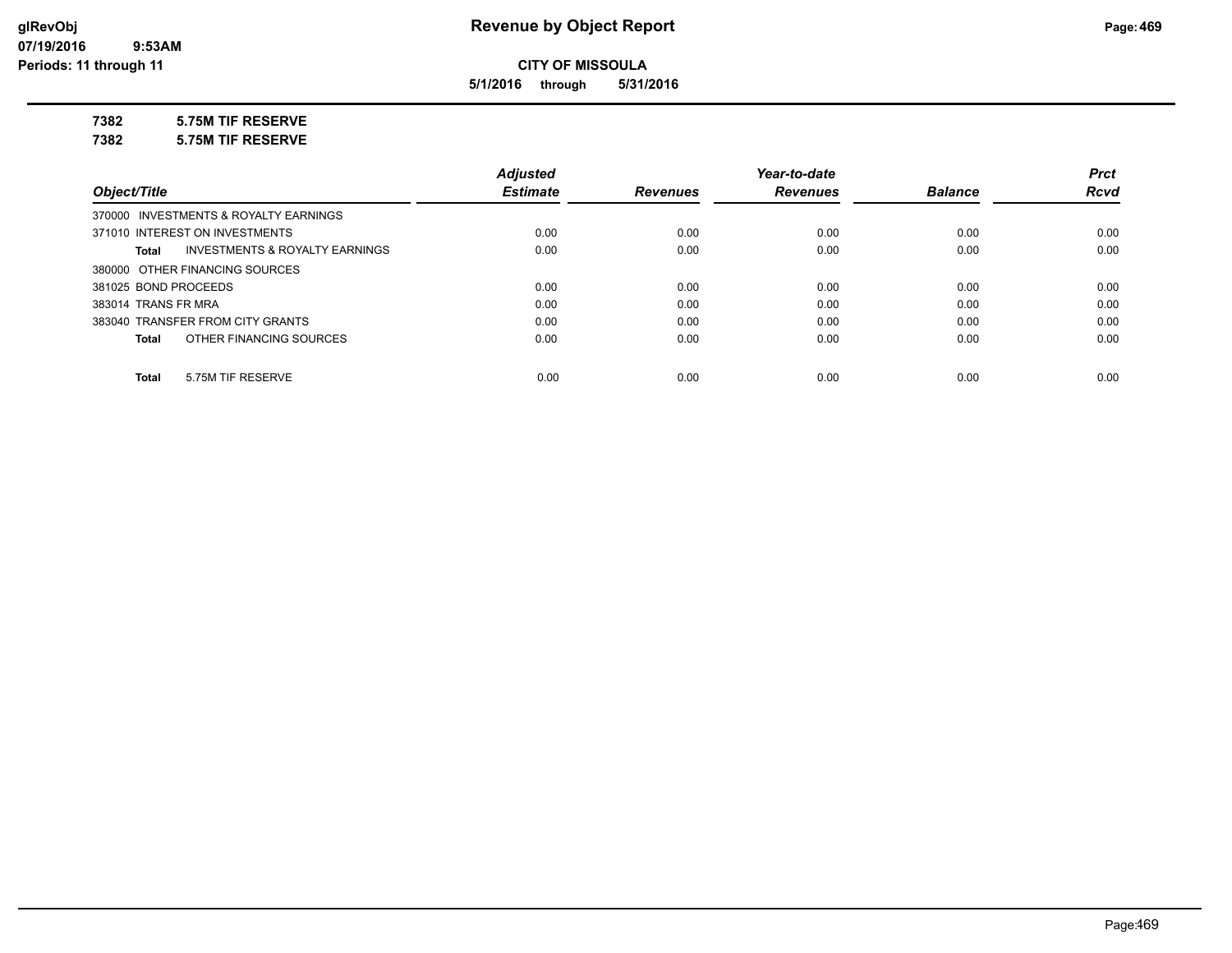**5/1/2016 through 5/31/2016**

**7382 5.75M TIF RESERVE**

**7382 5.75M TIF RESERVE**

|                                       |                                | <b>Adjusted</b> |                 | Year-to-date    |                | <b>Prct</b> |
|---------------------------------------|--------------------------------|-----------------|-----------------|-----------------|----------------|-------------|
| Object/Title                          |                                | <b>Estimate</b> | <b>Revenues</b> | <b>Revenues</b> | <b>Balance</b> | <b>Rcvd</b> |
| 370000 INVESTMENTS & ROYALTY EARNINGS |                                |                 |                 |                 |                |             |
| 371010 INTEREST ON INVESTMENTS        |                                | 0.00            | 0.00            | 0.00            | 0.00           | 0.00        |
| Total                                 | INVESTMENTS & ROYALTY EARNINGS | 0.00            | 0.00            | 0.00            | 0.00           | 0.00        |
| 380000 OTHER FINANCING SOURCES        |                                |                 |                 |                 |                |             |
| 381025 BOND PROCEEDS                  |                                | 0.00            | 0.00            | 0.00            | 0.00           | 0.00        |
| 383014 TRANS FR MRA                   |                                | 0.00            | 0.00            | 0.00            | 0.00           | 0.00        |
| 383040 TRANSFER FROM CITY GRANTS      |                                | 0.00            | 0.00            | 0.00            | 0.00           | 0.00        |
| OTHER FINANCING SOURCES<br>Total      |                                | 0.00            | 0.00            | 0.00            | 0.00           | 0.00        |
|                                       |                                |                 |                 |                 |                |             |
| 5.75M TIF RESERVE<br>Total            |                                | 0.00            | 0.00            | 0.00            | 0.00           | 0.00        |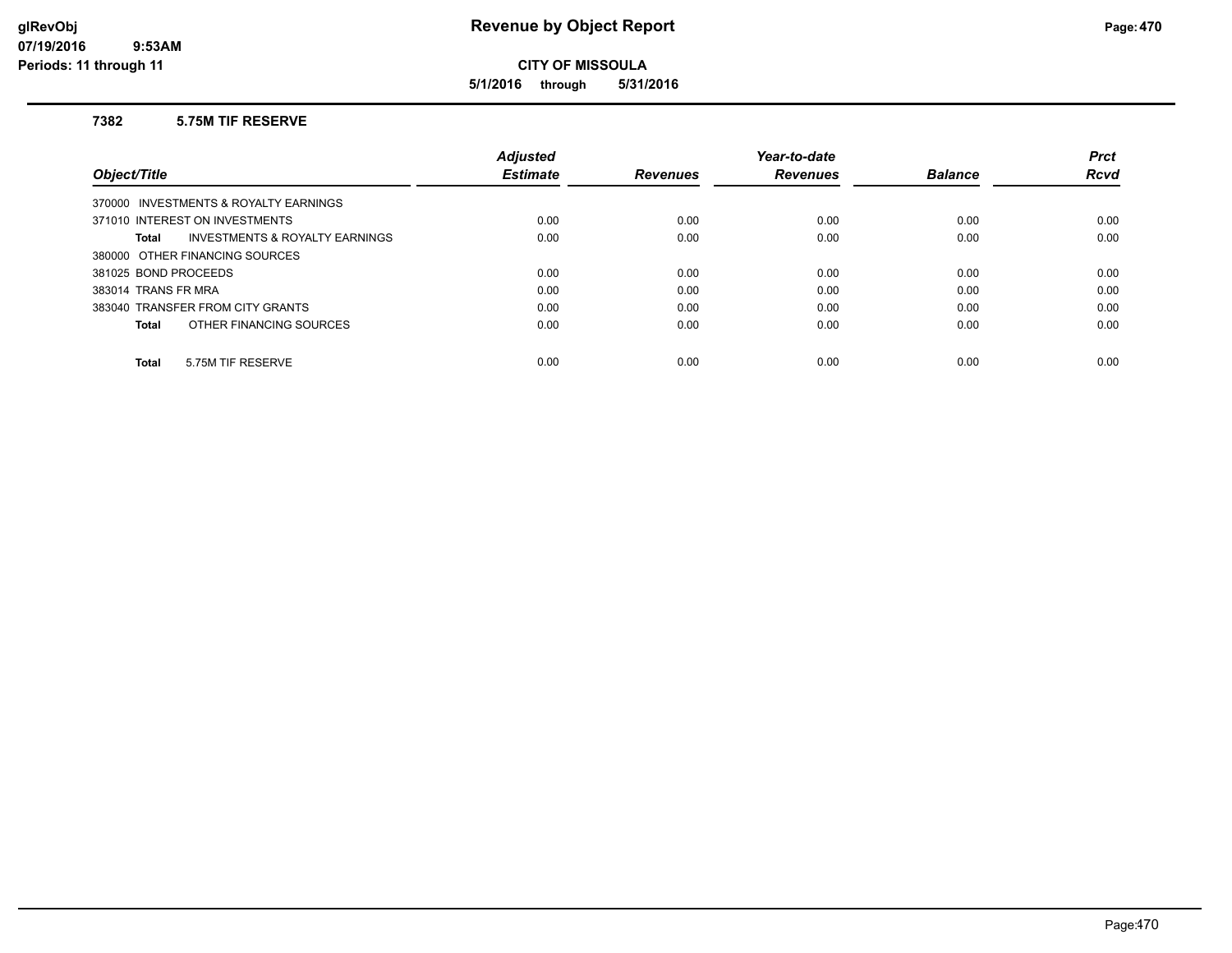**5/1/2016 through 5/31/2016**

#### **7382 5.75M TIF RESERVE**

|                                                    | <b>Adjusted</b> |                 | Year-to-date    |                | <b>Prct</b> |
|----------------------------------------------------|-----------------|-----------------|-----------------|----------------|-------------|
| Object/Title                                       | <b>Estimate</b> | <b>Revenues</b> | <b>Revenues</b> | <b>Balance</b> | <b>Rcvd</b> |
| 370000 INVESTMENTS & ROYALTY EARNINGS              |                 |                 |                 |                |             |
| 371010 INTEREST ON INVESTMENTS                     | 0.00            | 0.00            | 0.00            | 0.00           | 0.00        |
| <b>INVESTMENTS &amp; ROYALTY EARNINGS</b><br>Total | 0.00            | 0.00            | 0.00            | 0.00           | 0.00        |
| 380000 OTHER FINANCING SOURCES                     |                 |                 |                 |                |             |
| 381025 BOND PROCEEDS                               | 0.00            | 0.00            | 0.00            | 0.00           | 0.00        |
| 383014 TRANS FR MRA                                | 0.00            | 0.00            | 0.00            | 0.00           | 0.00        |
| 383040 TRANSFER FROM CITY GRANTS                   | 0.00            | 0.00            | 0.00            | 0.00           | 0.00        |
| OTHER FINANCING SOURCES<br>Total                   | 0.00            | 0.00            | 0.00            | 0.00           | 0.00        |
|                                                    |                 |                 |                 |                |             |
| 5.75M TIF RESERVE<br><b>Total</b>                  | 0.00            | 0.00            | 0.00            | 0.00           | 0.00        |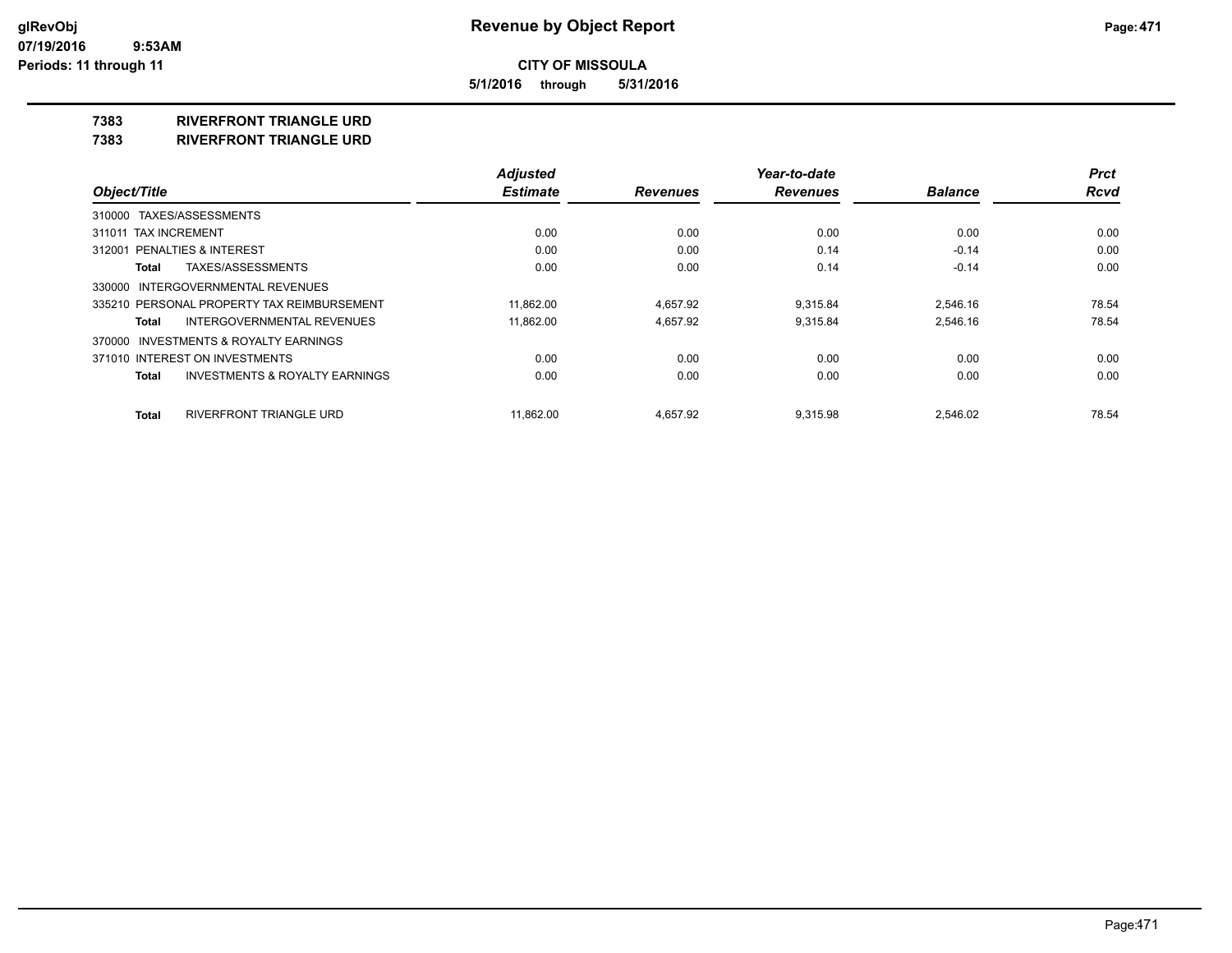**5/1/2016 through 5/31/2016**

#### **7383 RIVERFRONT TRIANGLE URD**

**7383 RIVERFRONT TRIANGLE URD**

|                                                    | <b>Adjusted</b> |                 | Year-to-date    |                | <b>Prct</b> |
|----------------------------------------------------|-----------------|-----------------|-----------------|----------------|-------------|
| Object/Title                                       | <b>Estimate</b> | <b>Revenues</b> | <b>Revenues</b> | <b>Balance</b> | <b>Rcvd</b> |
| 310000 TAXES/ASSESSMENTS                           |                 |                 |                 |                |             |
| 311011 TAX INCREMENT                               | 0.00            | 0.00            | 0.00            | 0.00           | 0.00        |
| <b>PENALTIES &amp; INTEREST</b><br>312001          | 0.00            | 0.00            | 0.14            | $-0.14$        | 0.00        |
| TAXES/ASSESSMENTS<br>Total                         | 0.00            | 0.00            | 0.14            | $-0.14$        | 0.00        |
| 330000 INTERGOVERNMENTAL REVENUES                  |                 |                 |                 |                |             |
| 335210 PERSONAL PROPERTY TAX REIMBURSEMENT         | 11.862.00       | 4.657.92        | 9.315.84        | 2.546.16       | 78.54       |
| <b>INTERGOVERNMENTAL REVENUES</b><br>Total         | 11,862.00       | 4,657.92        | 9,315.84        | 2,546.16       | 78.54       |
| 370000 INVESTMENTS & ROYALTY EARNINGS              |                 |                 |                 |                |             |
| 371010 INTEREST ON INVESTMENTS                     | 0.00            | 0.00            | 0.00            | 0.00           | 0.00        |
| <b>INVESTMENTS &amp; ROYALTY EARNINGS</b><br>Total | 0.00            | 0.00            | 0.00            | 0.00           | 0.00        |
| RIVERFRONT TRIANGLE URD<br><b>Total</b>            | 11.862.00       | 4.657.92        | 9.315.98        | 2.546.02       | 78.54       |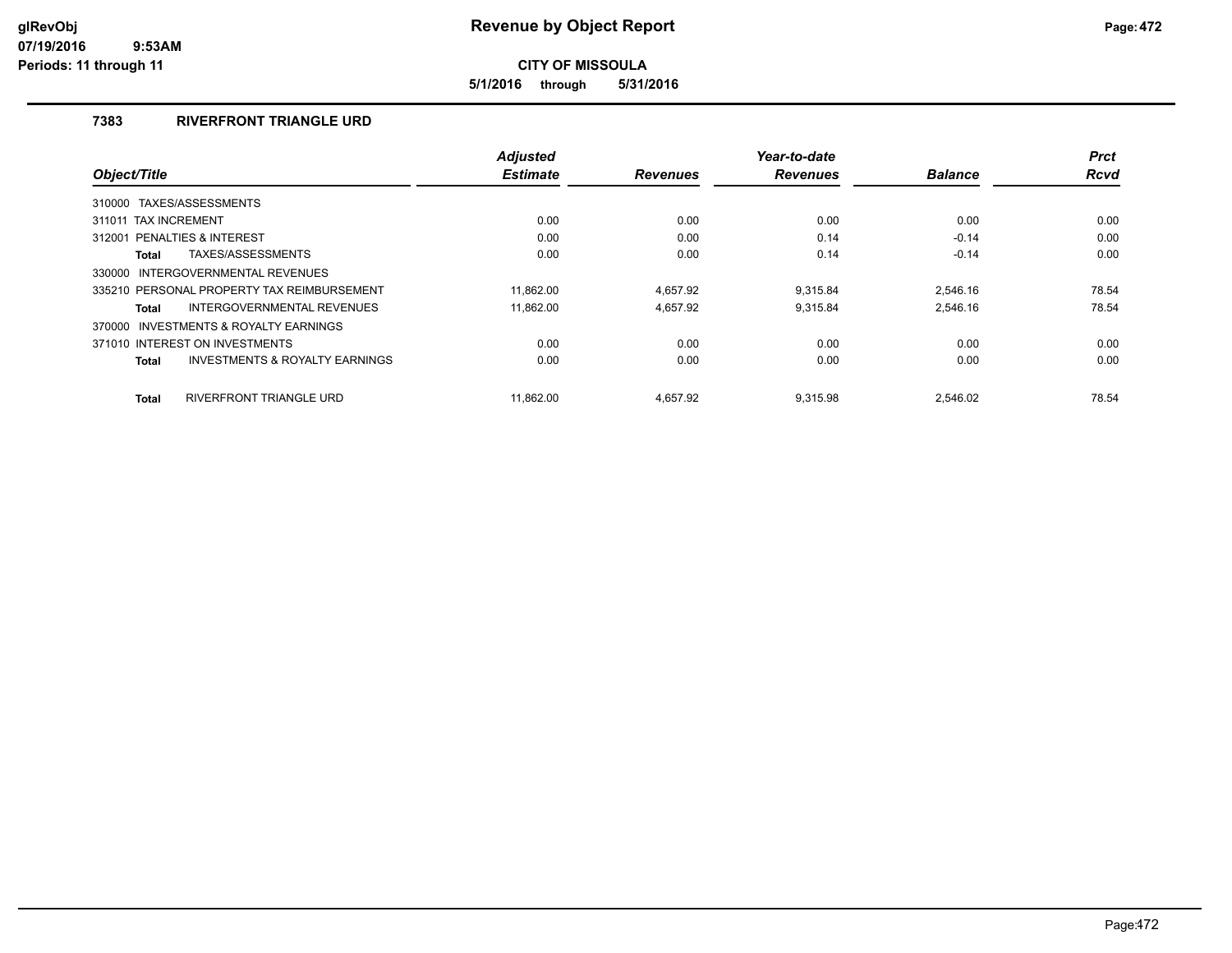**5/1/2016 through 5/31/2016**

## **7383 RIVERFRONT TRIANGLE URD**

|                                                           | <b>Adjusted</b> |                 | Year-to-date    |                | <b>Prct</b> |
|-----------------------------------------------------------|-----------------|-----------------|-----------------|----------------|-------------|
| Object/Title                                              | <b>Estimate</b> | <b>Revenues</b> | <b>Revenues</b> | <b>Balance</b> | <b>Rcvd</b> |
| TAXES/ASSESSMENTS<br>310000                               |                 |                 |                 |                |             |
| 311011 TAX INCREMENT                                      | 0.00            | 0.00            | 0.00            | 0.00           | 0.00        |
| 312001 PENALTIES & INTEREST                               | 0.00            | 0.00            | 0.14            | $-0.14$        | 0.00        |
| TAXES/ASSESSMENTS<br><b>Total</b>                         | 0.00            | 0.00            | 0.14            | $-0.14$        | 0.00        |
| INTERGOVERNMENTAL REVENUES<br>330000                      |                 |                 |                 |                |             |
| 335210 PERSONAL PROPERTY TAX REIMBURSEMENT                | 11.862.00       | 4.657.92        | 9.315.84        | 2.546.16       | 78.54       |
| <b>INTERGOVERNMENTAL REVENUES</b><br><b>Total</b>         | 11.862.00       | 4.657.92        | 9.315.84        | 2.546.16       | 78.54       |
| 370000 INVESTMENTS & ROYALTY EARNINGS                     |                 |                 |                 |                |             |
| 371010 INTEREST ON INVESTMENTS                            | 0.00            | 0.00            | 0.00            | 0.00           | 0.00        |
| <b>INVESTMENTS &amp; ROYALTY EARNINGS</b><br><b>Total</b> | 0.00            | 0.00            | 0.00            | 0.00           | 0.00        |
| RIVERFRONT TRIANGLE URD<br><b>Total</b>                   | 11.862.00       | 4.657.92        | 9.315.98        | 2.546.02       | 78.54       |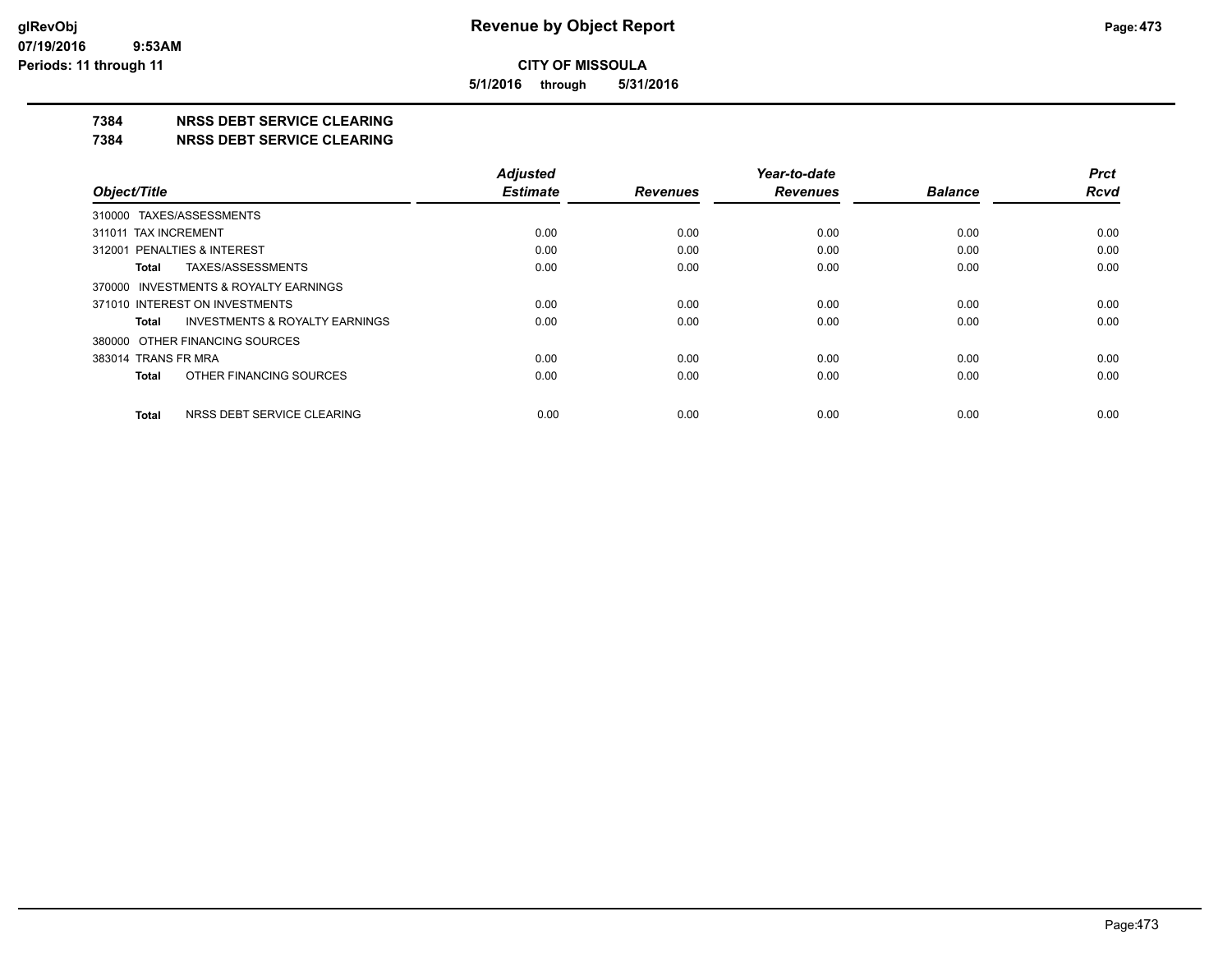**5/1/2016 through 5/31/2016**

## **7384 NRSS DEBT SERVICE CLEARING**

**7384 NRSS DEBT SERVICE CLEARING**

|                                                    | <b>Adjusted</b> |                 | Year-to-date    |                | <b>Prct</b> |
|----------------------------------------------------|-----------------|-----------------|-----------------|----------------|-------------|
| Object/Title                                       | <b>Estimate</b> | <b>Revenues</b> | <b>Revenues</b> | <b>Balance</b> | <b>Rcvd</b> |
| 310000 TAXES/ASSESSMENTS                           |                 |                 |                 |                |             |
| 311011 TAX INCREMENT                               | 0.00            | 0.00            | 0.00            | 0.00           | 0.00        |
| 312001 PENALTIES & INTEREST                        | 0.00            | 0.00            | 0.00            | 0.00           | 0.00        |
| TAXES/ASSESSMENTS<br>Total                         | 0.00            | 0.00            | 0.00            | 0.00           | 0.00        |
| 370000 INVESTMENTS & ROYALTY EARNINGS              |                 |                 |                 |                |             |
| 371010 INTEREST ON INVESTMENTS                     | 0.00            | 0.00            | 0.00            | 0.00           | 0.00        |
| <b>INVESTMENTS &amp; ROYALTY EARNINGS</b><br>Total | 0.00            | 0.00            | 0.00            | 0.00           | 0.00        |
| 380000 OTHER FINANCING SOURCES                     |                 |                 |                 |                |             |
| 383014 TRANS FR MRA                                | 0.00            | 0.00            | 0.00            | 0.00           | 0.00        |
| OTHER FINANCING SOURCES<br>Total                   | 0.00            | 0.00            | 0.00            | 0.00           | 0.00        |
| NRSS DEBT SERVICE CLEARING<br><b>Total</b>         | 0.00            | 0.00            | 0.00            | 0.00           | 0.00        |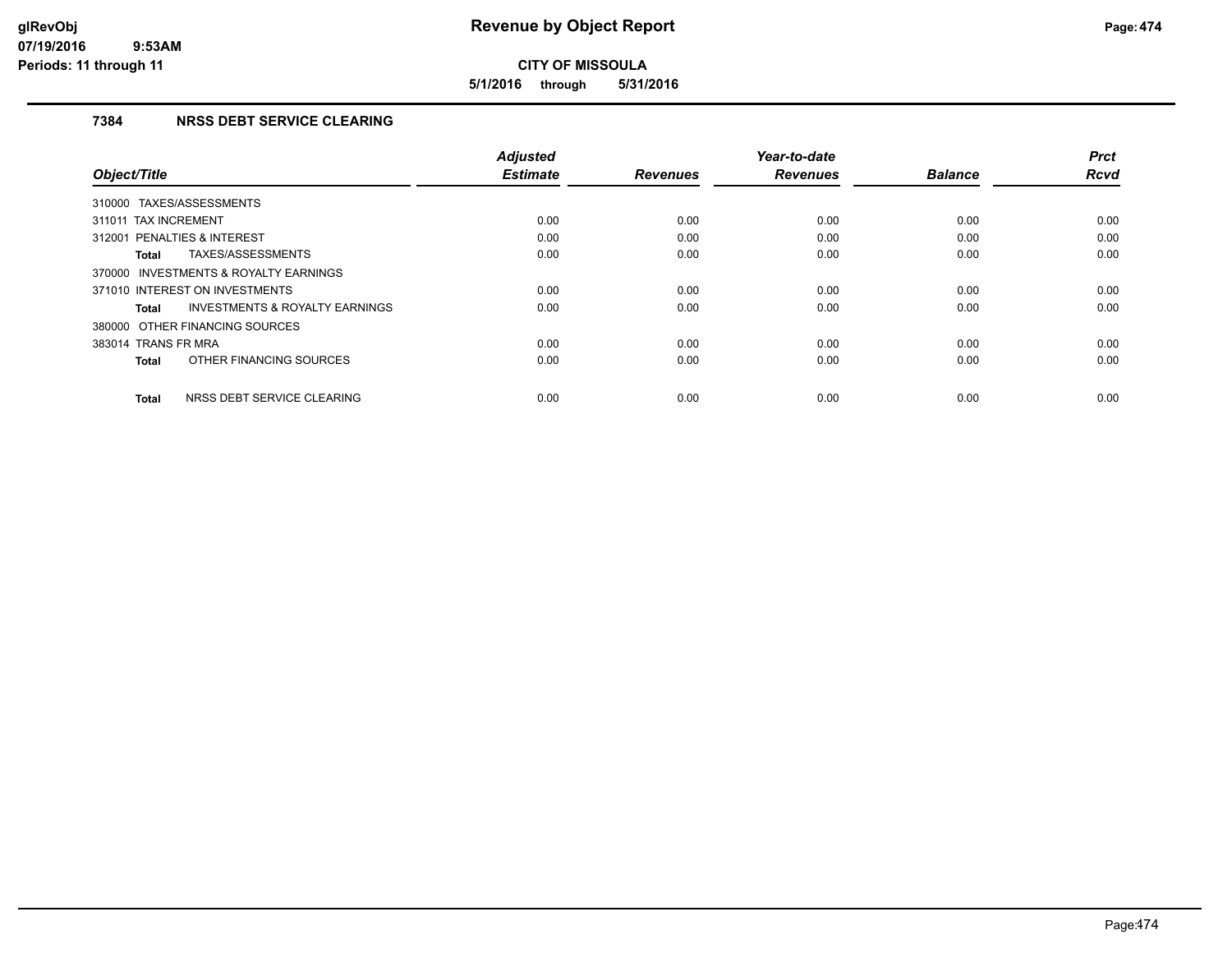**5/1/2016 through 5/31/2016**

## **7384 NRSS DEBT SERVICE CLEARING**

|                                                    | <b>Adjusted</b> |                 | Year-to-date    |                | <b>Prct</b> |
|----------------------------------------------------|-----------------|-----------------|-----------------|----------------|-------------|
| Object/Title                                       | <b>Estimate</b> | <b>Revenues</b> | <b>Revenues</b> | <b>Balance</b> | <b>Rcvd</b> |
| 310000 TAXES/ASSESSMENTS                           |                 |                 |                 |                |             |
| 311011 TAX INCREMENT                               | 0.00            | 0.00            | 0.00            | 0.00           | 0.00        |
| 312001 PENALTIES & INTEREST                        | 0.00            | 0.00            | 0.00            | 0.00           | 0.00        |
| TAXES/ASSESSMENTS<br><b>Total</b>                  | 0.00            | 0.00            | 0.00            | 0.00           | 0.00        |
| 370000 INVESTMENTS & ROYALTY EARNINGS              |                 |                 |                 |                |             |
| 371010 INTEREST ON INVESTMENTS                     | 0.00            | 0.00            | 0.00            | 0.00           | 0.00        |
| <b>INVESTMENTS &amp; ROYALTY EARNINGS</b><br>Total | 0.00            | 0.00            | 0.00            | 0.00           | 0.00        |
| 380000 OTHER FINANCING SOURCES                     |                 |                 |                 |                |             |
| 383014 TRANS FR MRA                                | 0.00            | 0.00            | 0.00            | 0.00           | 0.00        |
| OTHER FINANCING SOURCES<br><b>Total</b>            | 0.00            | 0.00            | 0.00            | 0.00           | 0.00        |
| NRSS DEBT SERVICE CLEARING<br><b>Total</b>         | 0.00            | 0.00            | 0.00            | 0.00           | 0.00        |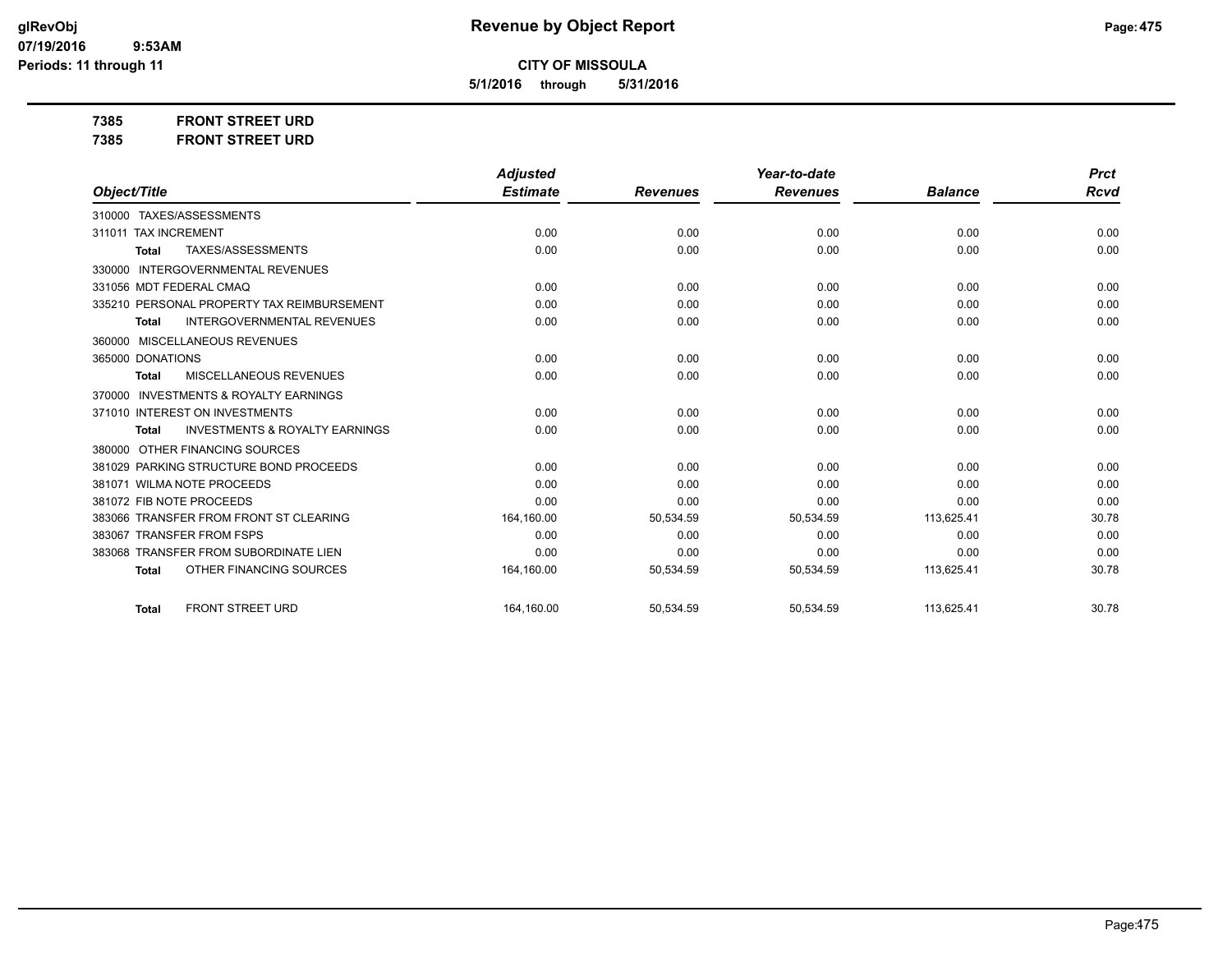**5/1/2016 through 5/31/2016**

**7385 FRONT STREET URD 7385 FRONT STREET URD**

|                                                           | <b>Adjusted</b> |                 | Year-to-date    |                | <b>Prct</b> |
|-----------------------------------------------------------|-----------------|-----------------|-----------------|----------------|-------------|
| Object/Title                                              | <b>Estimate</b> | <b>Revenues</b> | <b>Revenues</b> | <b>Balance</b> | <b>Rcvd</b> |
| 310000 TAXES/ASSESSMENTS                                  |                 |                 |                 |                |             |
| 311011 TAX INCREMENT                                      | 0.00            | 0.00            | 0.00            | 0.00           | 0.00        |
| TAXES/ASSESSMENTS<br><b>Total</b>                         | 0.00            | 0.00            | 0.00            | 0.00           | 0.00        |
| 330000 INTERGOVERNMENTAL REVENUES                         |                 |                 |                 |                |             |
| 331056 MDT FEDERAL CMAQ                                   | 0.00            | 0.00            | 0.00            | 0.00           | 0.00        |
| 335210 PERSONAL PROPERTY TAX REIMBURSEMENT                | 0.00            | 0.00            | 0.00            | 0.00           | 0.00        |
| <b>INTERGOVERNMENTAL REVENUES</b><br><b>Total</b>         | 0.00            | 0.00            | 0.00            | 0.00           | 0.00        |
| 360000 MISCELLANEOUS REVENUES                             |                 |                 |                 |                |             |
| 365000 DONATIONS                                          | 0.00            | 0.00            | 0.00            | 0.00           | 0.00        |
| MISCELLANEOUS REVENUES<br><b>Total</b>                    | 0.00            | 0.00            | 0.00            | 0.00           | 0.00        |
| 370000 INVESTMENTS & ROYALTY EARNINGS                     |                 |                 |                 |                |             |
| 371010 INTEREST ON INVESTMENTS                            | 0.00            | 0.00            | 0.00            | 0.00           | 0.00        |
| <b>INVESTMENTS &amp; ROYALTY EARNINGS</b><br><b>Total</b> | 0.00            | 0.00            | 0.00            | 0.00           | 0.00        |
| 380000 OTHER FINANCING SOURCES                            |                 |                 |                 |                |             |
| 381029 PARKING STRUCTURE BOND PROCEEDS                    | 0.00            | 0.00            | 0.00            | 0.00           | 0.00        |
| 381071 WILMA NOTE PROCEEDS                                | 0.00            | 0.00            | 0.00            | 0.00           | 0.00        |
| 381072 FIB NOTE PROCEEDS                                  | 0.00            | 0.00            | 0.00            | 0.00           | 0.00        |
| 383066 TRANSFER FROM FRONT ST CLEARING                    | 164,160.00      | 50,534.59       | 50,534.59       | 113,625.41     | 30.78       |
| 383067 TRANSFER FROM FSPS                                 | 0.00            | 0.00            | 0.00            | 0.00           | 0.00        |
| 383068 TRANSFER FROM SUBORDINATE LIEN                     | 0.00            | 0.00            | 0.00            | 0.00           | 0.00        |
| OTHER FINANCING SOURCES<br><b>Total</b>                   | 164,160.00      | 50,534.59       | 50,534.59       | 113,625.41     | 30.78       |
| <b>FRONT STREET URD</b><br><b>Total</b>                   | 164,160.00      | 50,534.59       | 50,534.59       | 113,625.41     | 30.78       |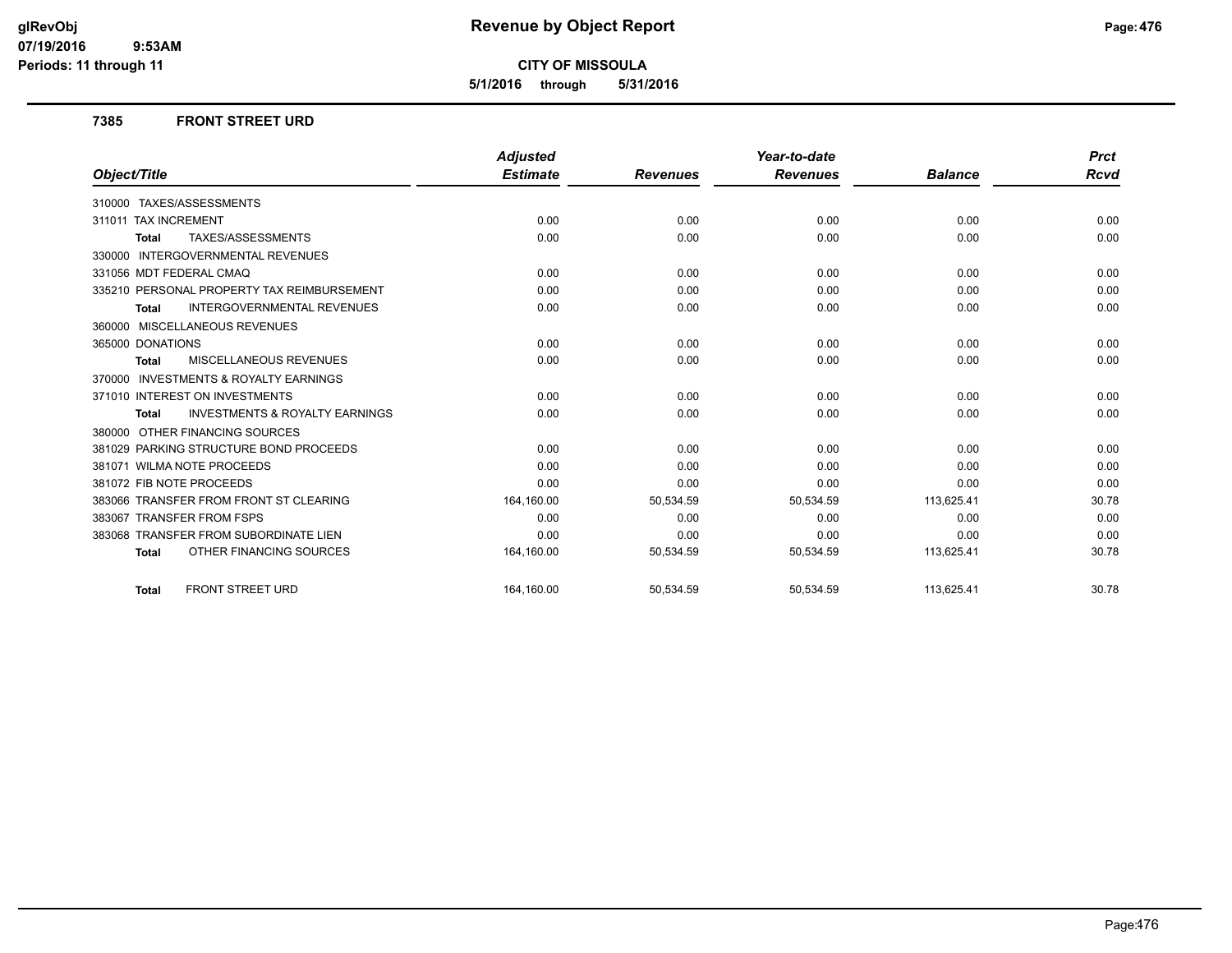**5/1/2016 through 5/31/2016**

#### **7385 FRONT STREET URD**

|                                                           | <b>Adjusted</b> |                 | Year-to-date    |                | <b>Prct</b> |
|-----------------------------------------------------------|-----------------|-----------------|-----------------|----------------|-------------|
| Object/Title                                              | <b>Estimate</b> | <b>Revenues</b> | <b>Revenues</b> | <b>Balance</b> | <b>Rcvd</b> |
| 310000 TAXES/ASSESSMENTS                                  |                 |                 |                 |                |             |
| 311011 TAX INCREMENT                                      | 0.00            | 0.00            | 0.00            | 0.00           | 0.00        |
| TAXES/ASSESSMENTS<br><b>Total</b>                         | 0.00            | 0.00            | 0.00            | 0.00           | 0.00        |
| <b>INTERGOVERNMENTAL REVENUES</b><br>330000               |                 |                 |                 |                |             |
| 331056 MDT FEDERAL CMAQ                                   | 0.00            | 0.00            | 0.00            | 0.00           | 0.00        |
| 335210 PERSONAL PROPERTY TAX REIMBURSEMENT                | 0.00            | 0.00            | 0.00            | 0.00           | 0.00        |
| <b>INTERGOVERNMENTAL REVENUES</b><br><b>Total</b>         | 0.00            | 0.00            | 0.00            | 0.00           | 0.00        |
| 360000 MISCELLANEOUS REVENUES                             |                 |                 |                 |                |             |
| 365000 DONATIONS                                          | 0.00            | 0.00            | 0.00            | 0.00           | 0.00        |
| MISCELLANEOUS REVENUES<br><b>Total</b>                    | 0.00            | 0.00            | 0.00            | 0.00           | 0.00        |
| <b>INVESTMENTS &amp; ROYALTY EARNINGS</b><br>370000       |                 |                 |                 |                |             |
| 371010 INTEREST ON INVESTMENTS                            | 0.00            | 0.00            | 0.00            | 0.00           | 0.00        |
| <b>INVESTMENTS &amp; ROYALTY EARNINGS</b><br><b>Total</b> | 0.00            | 0.00            | 0.00            | 0.00           | 0.00        |
| 380000 OTHER FINANCING SOURCES                            |                 |                 |                 |                |             |
| 381029 PARKING STRUCTURE BOND PROCEEDS                    | 0.00            | 0.00            | 0.00            | 0.00           | 0.00        |
| 381071 WILMA NOTE PROCEEDS                                | 0.00            | 0.00            | 0.00            | 0.00           | 0.00        |
| 381072 FIB NOTE PROCEEDS                                  | 0.00            | 0.00            | 0.00            | 0.00           | 0.00        |
| 383066 TRANSFER FROM FRONT ST CLEARING                    | 164,160.00      | 50,534.59       | 50,534.59       | 113,625.41     | 30.78       |
| 383067 TRANSFER FROM FSPS                                 | 0.00            | 0.00            | 0.00            | 0.00           | 0.00        |
| 383068 TRANSFER FROM SUBORDINATE LIEN                     | 0.00            | 0.00            | 0.00            | 0.00           | 0.00        |
| OTHER FINANCING SOURCES<br><b>Total</b>                   | 164,160.00      | 50,534.59       | 50,534.59       | 113,625.41     | 30.78       |
| <b>FRONT STREET URD</b><br><b>Total</b>                   | 164.160.00      | 50,534.59       | 50,534.59       | 113,625.41     | 30.78       |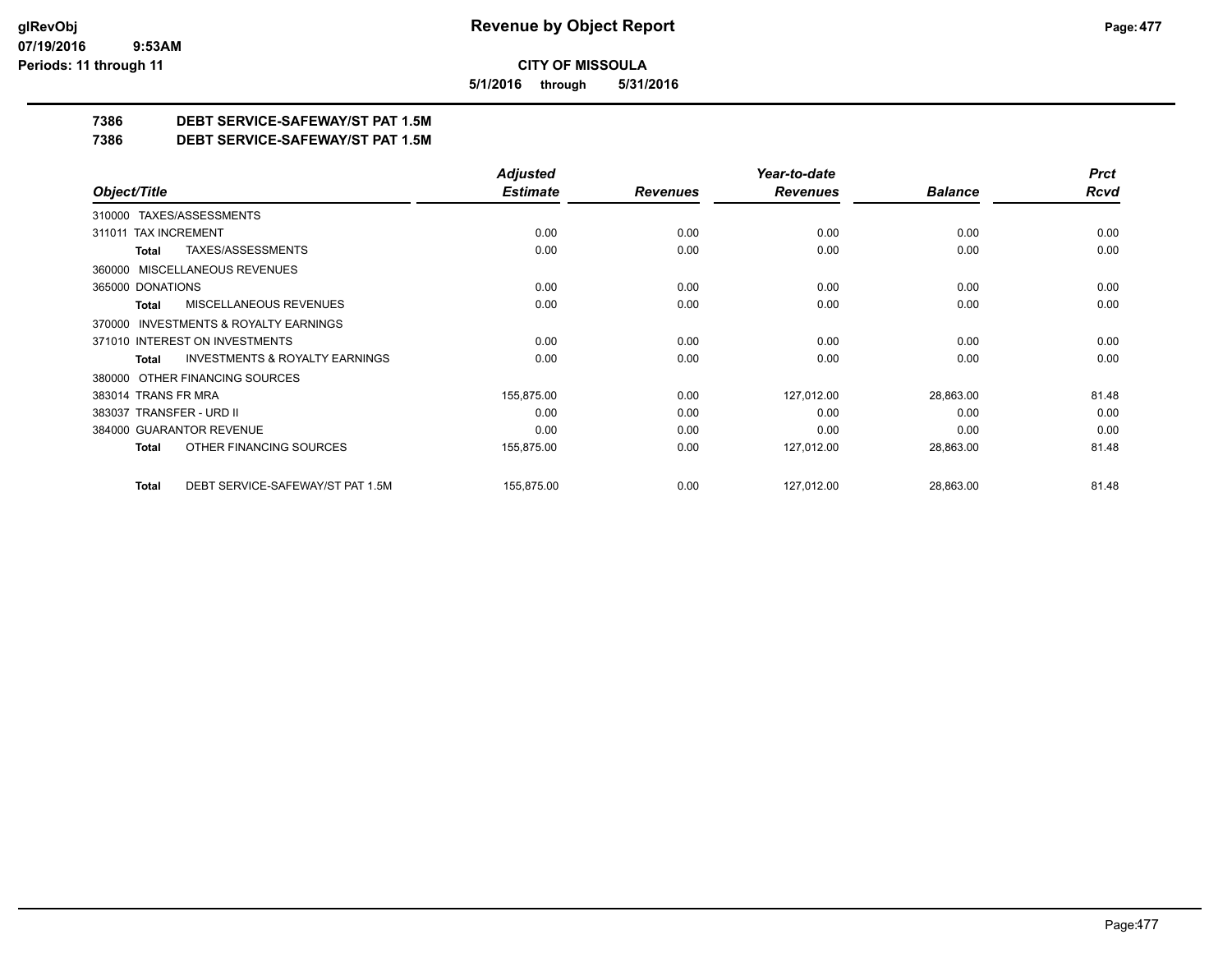**5/1/2016 through 5/31/2016**

## **7386 DEBT SERVICE-SAFEWAY/ST PAT 1.5M**

**7386 DEBT SERVICE-SAFEWAY/ST PAT 1.5M**

|                                                           | <b>Adjusted</b> |                 | Year-to-date    |                | <b>Prct</b> |
|-----------------------------------------------------------|-----------------|-----------------|-----------------|----------------|-------------|
| Object/Title                                              | <b>Estimate</b> | <b>Revenues</b> | <b>Revenues</b> | <b>Balance</b> | Rcvd        |
| 310000 TAXES/ASSESSMENTS                                  |                 |                 |                 |                |             |
| 311011 TAX INCREMENT                                      | 0.00            | 0.00            | 0.00            | 0.00           | 0.00        |
| TAXES/ASSESSMENTS<br>Total                                | 0.00            | 0.00            | 0.00            | 0.00           | 0.00        |
| 360000 MISCELLANEOUS REVENUES                             |                 |                 |                 |                |             |
| 365000 DONATIONS                                          | 0.00            | 0.00            | 0.00            | 0.00           | 0.00        |
| <b>MISCELLANEOUS REVENUES</b><br><b>Total</b>             | 0.00            | 0.00            | 0.00            | 0.00           | 0.00        |
| INVESTMENTS & ROYALTY EARNINGS<br>370000                  |                 |                 |                 |                |             |
| 371010 INTEREST ON INVESTMENTS                            | 0.00            | 0.00            | 0.00            | 0.00           | 0.00        |
| <b>INVESTMENTS &amp; ROYALTY EARNINGS</b><br><b>Total</b> | 0.00            | 0.00            | 0.00            | 0.00           | 0.00        |
| OTHER FINANCING SOURCES<br>380000                         |                 |                 |                 |                |             |
| 383014 TRANS FR MRA                                       | 155,875.00      | 0.00            | 127,012.00      | 28,863.00      | 81.48       |
| 383037 TRANSFER - URD II                                  | 0.00            | 0.00            | 0.00            | 0.00           | 0.00        |
| 384000 GUARANTOR REVENUE                                  | 0.00            | 0.00            | 0.00            | 0.00           | 0.00        |
| OTHER FINANCING SOURCES<br><b>Total</b>                   | 155,875.00      | 0.00            | 127,012.00      | 28,863.00      | 81.48       |
| DEBT SERVICE-SAFEWAY/ST PAT 1.5M<br><b>Total</b>          | 155,875.00      | 0.00            | 127,012.00      | 28,863.00      | 81.48       |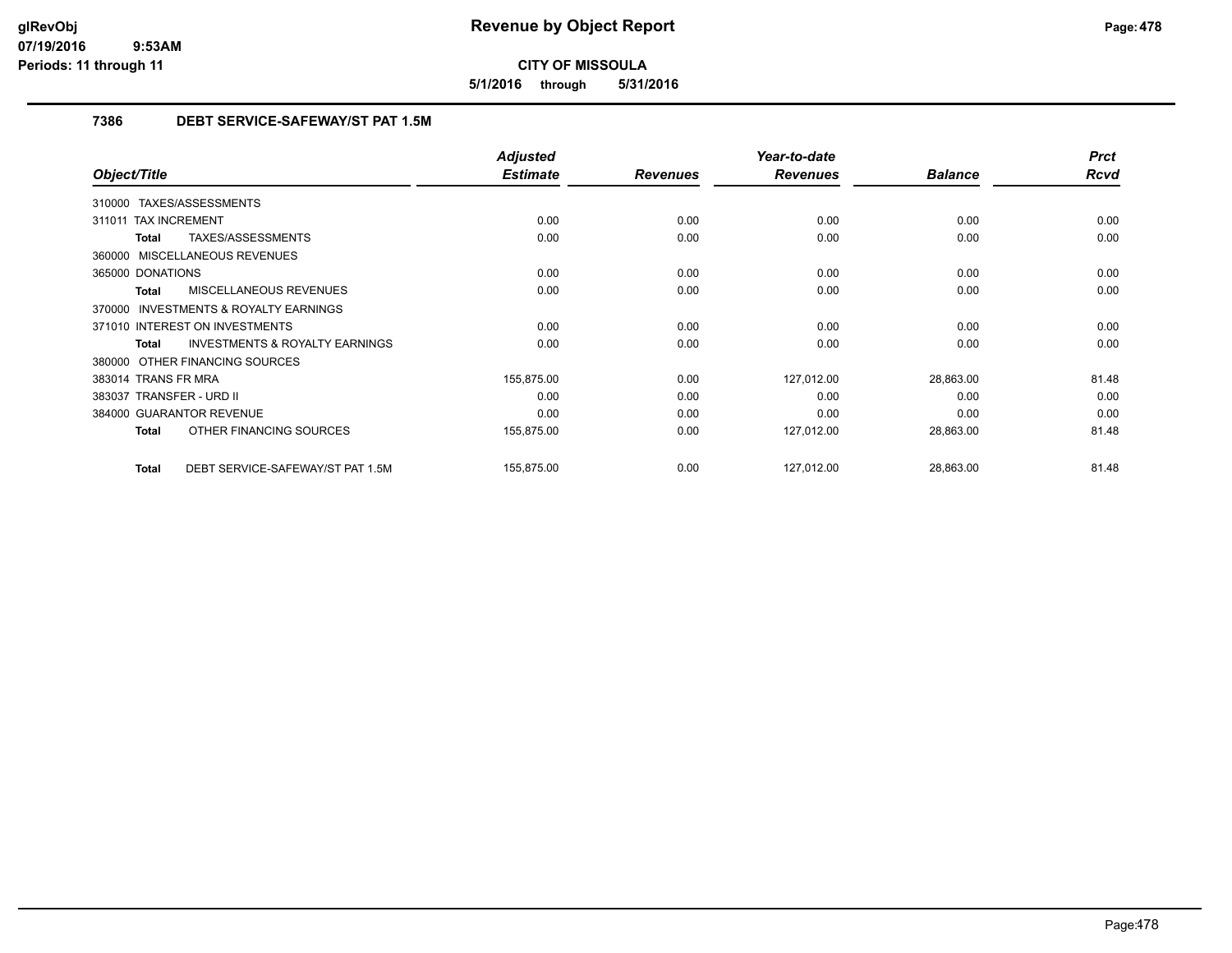**5/1/2016 through 5/31/2016**

## **7386 DEBT SERVICE-SAFEWAY/ST PAT 1.5M**

|                                                           | <b>Adjusted</b> |                 | Year-to-date    |                | <b>Prct</b> |
|-----------------------------------------------------------|-----------------|-----------------|-----------------|----------------|-------------|
| Object/Title                                              | <b>Estimate</b> | <b>Revenues</b> | <b>Revenues</b> | <b>Balance</b> | <b>Rcvd</b> |
| 310000 TAXES/ASSESSMENTS                                  |                 |                 |                 |                |             |
| <b>TAX INCREMENT</b><br>311011                            | 0.00            | 0.00            | 0.00            | 0.00           | 0.00        |
| TAXES/ASSESSMENTS<br><b>Total</b>                         | 0.00            | 0.00            | 0.00            | 0.00           | 0.00        |
| 360000 MISCELLANEOUS REVENUES                             |                 |                 |                 |                |             |
| 365000 DONATIONS                                          | 0.00            | 0.00            | 0.00            | 0.00           | 0.00        |
| <b>MISCELLANEOUS REVENUES</b><br><b>Total</b>             | 0.00            | 0.00            | 0.00            | 0.00           | 0.00        |
| <b>INVESTMENTS &amp; ROYALTY EARNINGS</b><br>370000       |                 |                 |                 |                |             |
| 371010 INTEREST ON INVESTMENTS                            | 0.00            | 0.00            | 0.00            | 0.00           | 0.00        |
| <b>INVESTMENTS &amp; ROYALTY EARNINGS</b><br><b>Total</b> | 0.00            | 0.00            | 0.00            | 0.00           | 0.00        |
| 380000 OTHER FINANCING SOURCES                            |                 |                 |                 |                |             |
| 383014 TRANS FR MRA                                       | 155,875.00      | 0.00            | 127,012.00      | 28,863.00      | 81.48       |
| 383037 TRANSFER - URD II                                  | 0.00            | 0.00            | 0.00            | 0.00           | 0.00        |
| 384000 GUARANTOR REVENUE                                  | 0.00            | 0.00            | 0.00            | 0.00           | 0.00        |
| OTHER FINANCING SOURCES<br><b>Total</b>                   | 155,875.00      | 0.00            | 127,012.00      | 28,863.00      | 81.48       |
| DEBT SERVICE-SAFEWAY/ST PAT 1.5M<br><b>Total</b>          | 155,875.00      | 0.00            | 127,012.00      | 28,863.00      | 81.48       |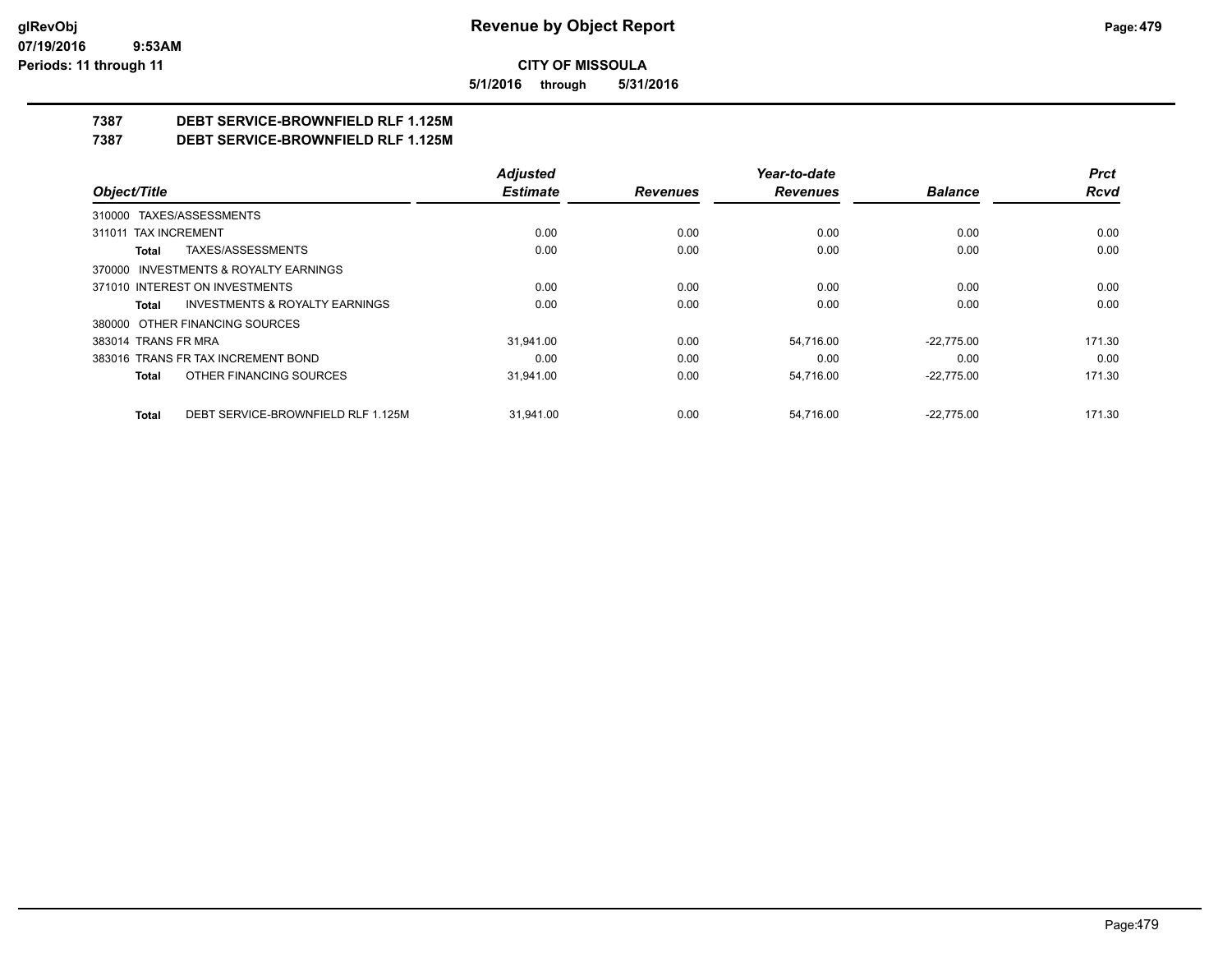**5/1/2016 through 5/31/2016**

## **7387 DEBT SERVICE-BROWNFIELD RLF 1.125M**

**7387 DEBT SERVICE-BROWNFIELD RLF 1.125M**

|                                                    | <b>Adjusted</b> |                 | Year-to-date    |                | <b>Prct</b> |
|----------------------------------------------------|-----------------|-----------------|-----------------|----------------|-------------|
| Object/Title                                       | <b>Estimate</b> | <b>Revenues</b> | <b>Revenues</b> | <b>Balance</b> | <b>Rcvd</b> |
| 310000 TAXES/ASSESSMENTS                           |                 |                 |                 |                |             |
| 311011 TAX INCREMENT                               | 0.00            | 0.00            | 0.00            | 0.00           | 0.00        |
| TAXES/ASSESSMENTS<br>Total                         | 0.00            | 0.00            | 0.00            | 0.00           | 0.00        |
| 370000 INVESTMENTS & ROYALTY EARNINGS              |                 |                 |                 |                |             |
| 371010 INTEREST ON INVESTMENTS                     | 0.00            | 0.00            | 0.00            | 0.00           | 0.00        |
| <b>INVESTMENTS &amp; ROYALTY EARNINGS</b><br>Total | 0.00            | 0.00            | 0.00            | 0.00           | 0.00        |
| 380000 OTHER FINANCING SOURCES                     |                 |                 |                 |                |             |
| 383014 TRANS FR MRA                                | 31.941.00       | 0.00            | 54,716.00       | $-22.775.00$   | 171.30      |
| 383016 TRANS FR TAX INCREMENT BOND                 | 0.00            | 0.00            | 0.00            | 0.00           | 0.00        |
| OTHER FINANCING SOURCES<br>Total                   | 31,941.00       | 0.00            | 54,716.00       | $-22,775.00$   | 171.30      |
| DEBT SERVICE-BROWNFIELD RLF 1.125M<br><b>Total</b> | 31.941.00       | 0.00            | 54.716.00       | $-22.775.00$   | 171.30      |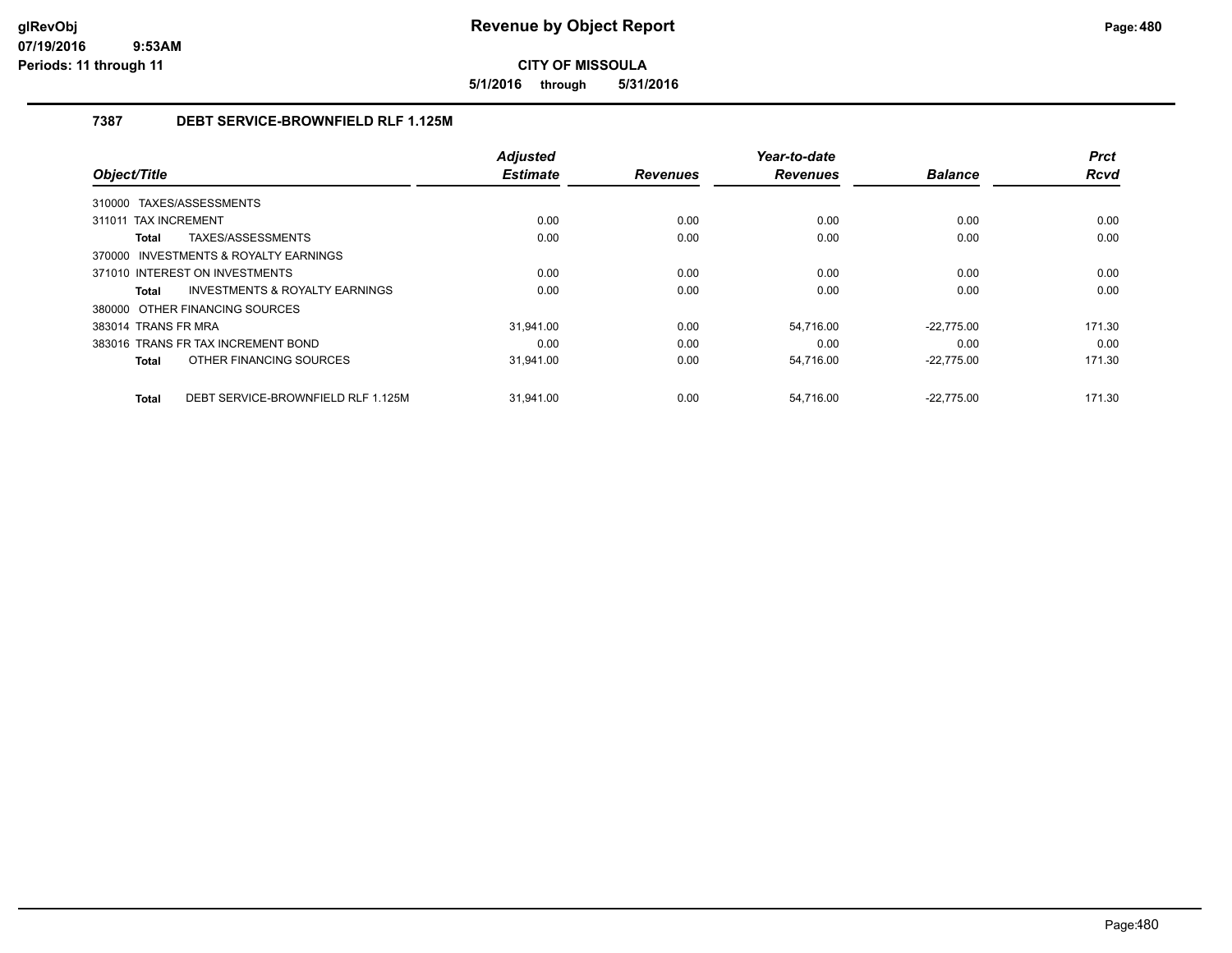**5/1/2016 through 5/31/2016**

### **7387 DEBT SERVICE-BROWNFIELD RLF 1.125M**

|                                                    | <b>Adjusted</b> |                 | Year-to-date    |                | <b>Prct</b> |
|----------------------------------------------------|-----------------|-----------------|-----------------|----------------|-------------|
| Object/Title                                       | <b>Estimate</b> | <b>Revenues</b> | <b>Revenues</b> | <b>Balance</b> | <b>Rcvd</b> |
| TAXES/ASSESSMENTS<br>310000                        |                 |                 |                 |                |             |
| <b>TAX INCREMENT</b><br>311011                     | 0.00            | 0.00            | 0.00            | 0.00           | 0.00        |
| TAXES/ASSESSMENTS<br>Total                         | 0.00            | 0.00            | 0.00            | 0.00           | 0.00        |
| 370000 INVESTMENTS & ROYALTY EARNINGS              |                 |                 |                 |                |             |
| 371010 INTEREST ON INVESTMENTS                     | 0.00            | 0.00            | 0.00            | 0.00           | 0.00        |
| <b>INVESTMENTS &amp; ROYALTY EARNINGS</b><br>Total | 0.00            | 0.00            | 0.00            | 0.00           | 0.00        |
| 380000 OTHER FINANCING SOURCES                     |                 |                 |                 |                |             |
| 383014 TRANS FR MRA                                | 31.941.00       | 0.00            | 54.716.00       | $-22.775.00$   | 171.30      |
| 383016 TRANS FR TAX INCREMENT BOND                 | 0.00            | 0.00            | 0.00            | 0.00           | 0.00        |
| OTHER FINANCING SOURCES<br>Total                   | 31,941.00       | 0.00            | 54,716.00       | $-22,775.00$   | 171.30      |
| DEBT SERVICE-BROWNFIELD RLF 1.125M<br><b>Total</b> | 31.941.00       | 0.00            | 54.716.00       | $-22.775.00$   | 171.30      |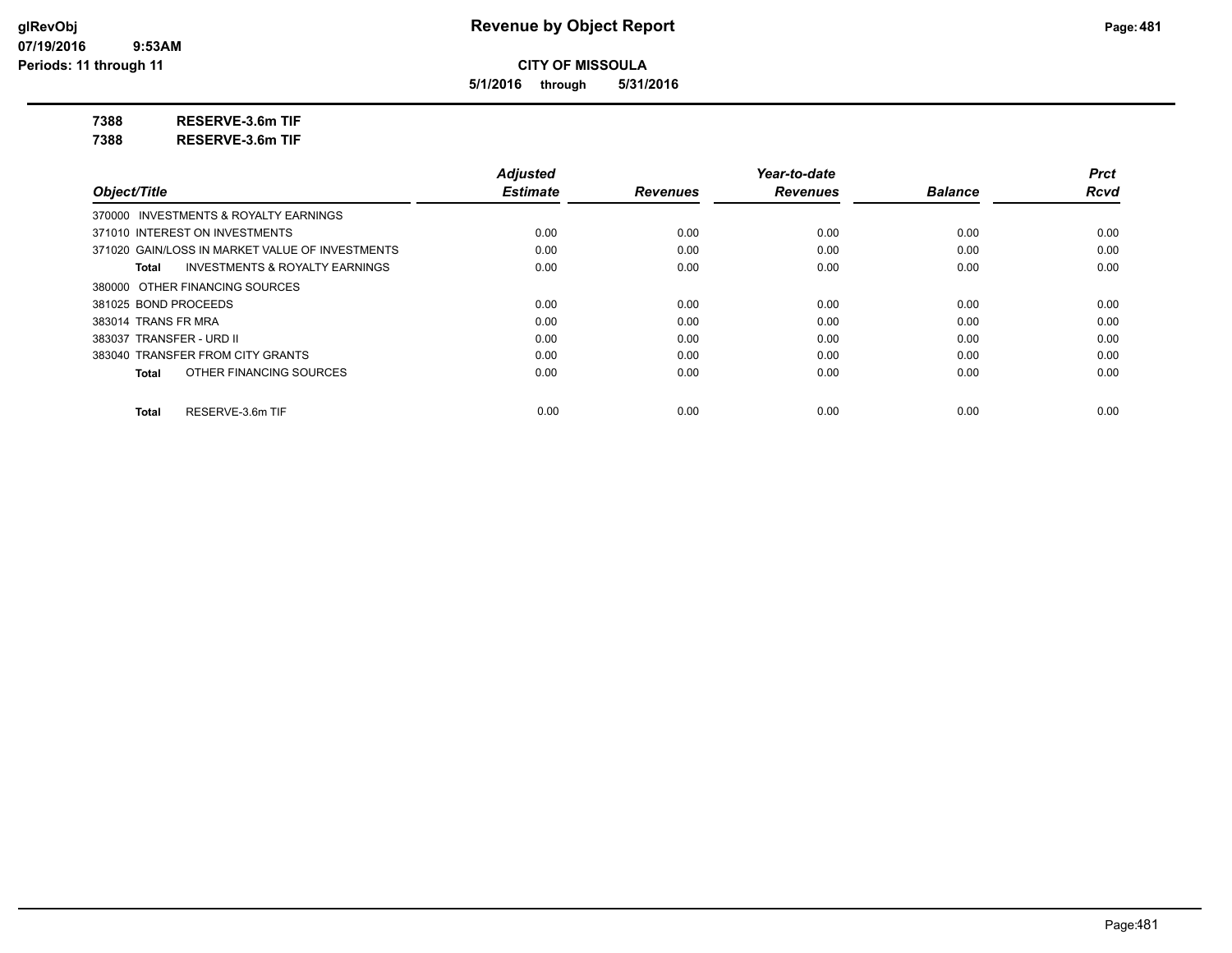**5/1/2016 through 5/31/2016**

**7388 RESERVE-3.6m TIF**

**7388 RESERVE-3.6m TIF**

|                                                    | <b>Adjusted</b> |                 | Year-to-date    |                | <b>Prct</b> |
|----------------------------------------------------|-----------------|-----------------|-----------------|----------------|-------------|
| Object/Title                                       | <b>Estimate</b> | <b>Revenues</b> | <b>Revenues</b> | <b>Balance</b> | <b>Rcvd</b> |
| 370000 INVESTMENTS & ROYALTY EARNINGS              |                 |                 |                 |                |             |
| 371010 INTEREST ON INVESTMENTS                     | 0.00            | 0.00            | 0.00            | 0.00           | 0.00        |
| 371020 GAIN/LOSS IN MARKET VALUE OF INVESTMENTS    | 0.00            | 0.00            | 0.00            | 0.00           | 0.00        |
| <b>INVESTMENTS &amp; ROYALTY EARNINGS</b><br>Total | 0.00            | 0.00            | 0.00            | 0.00           | 0.00        |
| 380000 OTHER FINANCING SOURCES                     |                 |                 |                 |                |             |
| 381025 BOND PROCEEDS                               | 0.00            | 0.00            | 0.00            | 0.00           | 0.00        |
| 383014 TRANS FR MRA                                | 0.00            | 0.00            | 0.00            | 0.00           | 0.00        |
| 383037 TRANSFER - URD II                           | 0.00            | 0.00            | 0.00            | 0.00           | 0.00        |
| 383040 TRANSFER FROM CITY GRANTS                   | 0.00            | 0.00            | 0.00            | 0.00           | 0.00        |
| OTHER FINANCING SOURCES<br>Total                   | 0.00            | 0.00            | 0.00            | 0.00           | 0.00        |
| RESERVE-3.6m TIF<br><b>Total</b>                   | 0.00            | 0.00            | 0.00            | 0.00           | 0.00        |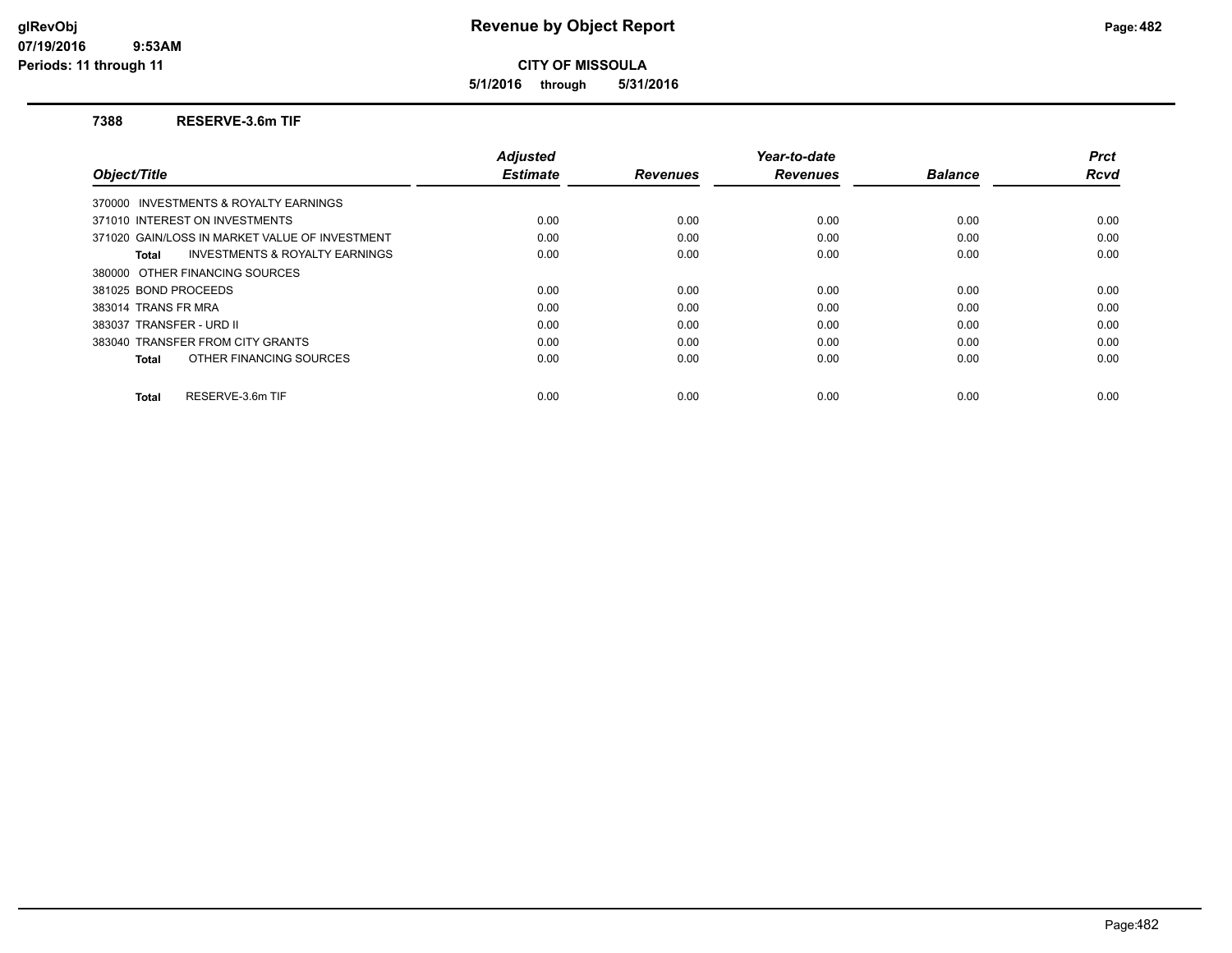**5/1/2016 through 5/31/2016**

#### **7388 RESERVE-3.6m TIF**

|                                                    | <b>Adjusted</b> |                 | Year-to-date    |                | <b>Prct</b> |
|----------------------------------------------------|-----------------|-----------------|-----------------|----------------|-------------|
| Object/Title                                       | <b>Estimate</b> | <b>Revenues</b> | <b>Revenues</b> | <b>Balance</b> | Rcvd        |
| 370000 INVESTMENTS & ROYALTY EARNINGS              |                 |                 |                 |                |             |
| 371010 INTEREST ON INVESTMENTS                     | 0.00            | 0.00            | 0.00            | 0.00           | 0.00        |
| 371020 GAIN/LOSS IN MARKET VALUE OF INVESTMENT     | 0.00            | 0.00            | 0.00            | 0.00           | 0.00        |
| <b>INVESTMENTS &amp; ROYALTY EARNINGS</b><br>Total | 0.00            | 0.00            | 0.00            | 0.00           | 0.00        |
| 380000 OTHER FINANCING SOURCES                     |                 |                 |                 |                |             |
| 381025 BOND PROCEEDS                               | 0.00            | 0.00            | 0.00            | 0.00           | 0.00        |
| 383014 TRANS FR MRA                                | 0.00            | 0.00            | 0.00            | 0.00           | 0.00        |
| 383037 TRANSFER - URD II                           | 0.00            | 0.00            | 0.00            | 0.00           | 0.00        |
| 383040 TRANSFER FROM CITY GRANTS                   | 0.00            | 0.00            | 0.00            | 0.00           | 0.00        |
| OTHER FINANCING SOURCES<br>Total                   | 0.00            | 0.00            | 0.00            | 0.00           | 0.00        |
| RESERVE-3.6m TIF<br><b>Total</b>                   | 0.00            | 0.00            | 0.00            | 0.00           | 0.00        |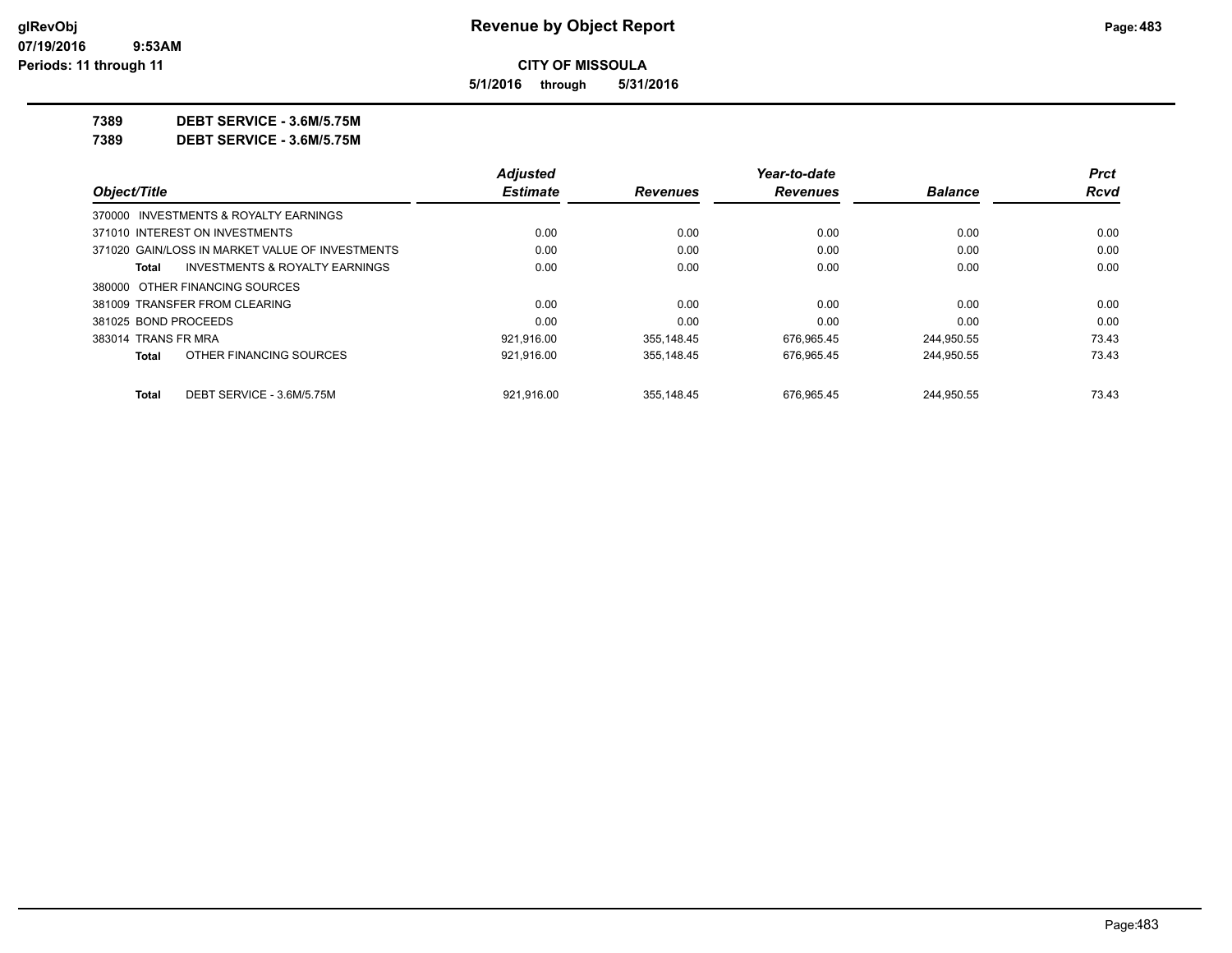**5/1/2016 through 5/31/2016**

**7389 DEBT SERVICE - 3.6M/5.75M**

**7389 DEBT SERVICE - 3.6M/5.75M**

|                                |                                                 | <b>Adjusted</b> |                 | Year-to-date    |                | <b>Prct</b> |
|--------------------------------|-------------------------------------------------|-----------------|-----------------|-----------------|----------------|-------------|
| Object/Title                   |                                                 | <b>Estimate</b> | <b>Revenues</b> | <b>Revenues</b> | <b>Balance</b> | Rcvd        |
|                                | 370000 INVESTMENTS & ROYALTY EARNINGS           |                 |                 |                 |                |             |
| 371010 INTEREST ON INVESTMENTS |                                                 | 0.00            | 0.00            | 0.00            | 0.00           | 0.00        |
|                                | 371020 GAIN/LOSS IN MARKET VALUE OF INVESTMENTS | 0.00            | 0.00            | 0.00            | 0.00           | 0.00        |
| Total                          | INVESTMENTS & ROYALTY EARNINGS                  | 0.00            | 0.00            | 0.00            | 0.00           | 0.00        |
| 380000 OTHER FINANCING SOURCES |                                                 |                 |                 |                 |                |             |
| 381009 TRANSFER FROM CLEARING  |                                                 | 0.00            | 0.00            | 0.00            | 0.00           | 0.00        |
| 381025 BOND PROCEEDS           |                                                 | 0.00            | 0.00            | 0.00            | 0.00           | 0.00        |
| 383014 TRANS FR MRA            |                                                 | 921.916.00      | 355.148.45      | 676.965.45      | 244,950.55     | 73.43       |
| Total                          | OTHER FINANCING SOURCES                         | 921,916.00      | 355,148.45      | 676.965.45      | 244,950.55     | 73.43       |
| Total                          | DEBT SERVICE - 3.6M/5.75M                       | 921.916.00      | 355.148.45      | 676.965.45      | 244.950.55     | 73.43       |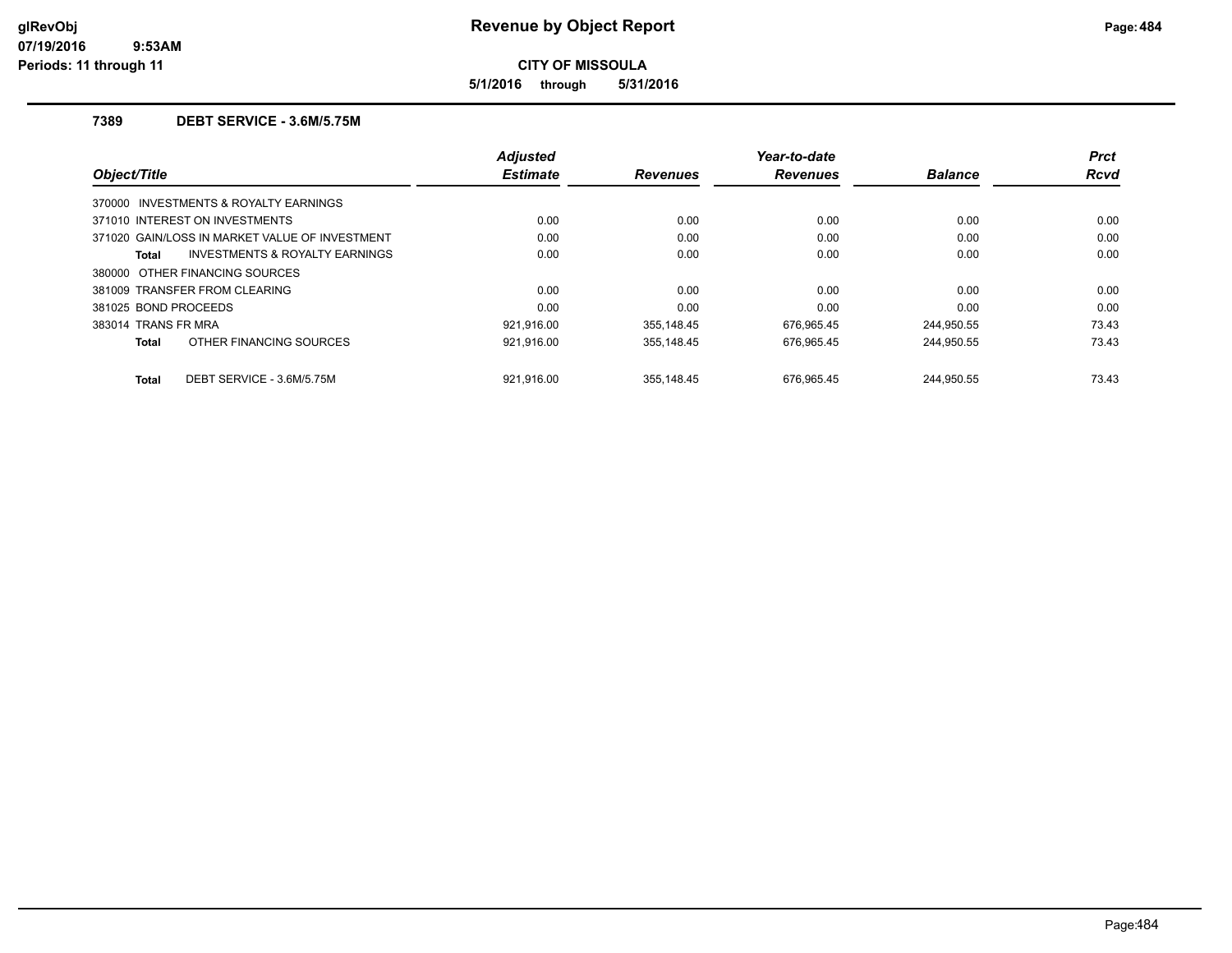**5/1/2016 through 5/31/2016**

## **7389 DEBT SERVICE - 3.6M/5.75M**

| Object/Title                          |                                                | <b>Adjusted</b><br><b>Estimate</b> | <b>Revenues</b> | Year-to-date<br><b>Revenues</b> | <b>Balance</b> | <b>Prct</b><br><b>Rcvd</b> |
|---------------------------------------|------------------------------------------------|------------------------------------|-----------------|---------------------------------|----------------|----------------------------|
| 370000 INVESTMENTS & ROYALTY EARNINGS |                                                |                                    |                 |                                 |                |                            |
| 371010 INTEREST ON INVESTMENTS        |                                                | 0.00                               | 0.00            | 0.00                            | 0.00           | 0.00                       |
|                                       | 371020 GAIN/LOSS IN MARKET VALUE OF INVESTMENT | 0.00                               | 0.00            | 0.00                            | 0.00           | 0.00                       |
| Total                                 | <b>INVESTMENTS &amp; ROYALTY EARNINGS</b>      | 0.00                               | 0.00            | 0.00                            | 0.00           | 0.00                       |
| 380000 OTHER FINANCING SOURCES        |                                                |                                    |                 |                                 |                |                            |
| 381009 TRANSFER FROM CLEARING         |                                                | 0.00                               | 0.00            | 0.00                            | 0.00           | 0.00                       |
| 381025 BOND PROCEEDS                  |                                                | 0.00                               | 0.00            | 0.00                            | 0.00           | 0.00                       |
| 383014 TRANS FR MRA                   |                                                | 921.916.00                         | 355,148.45      | 676,965.45                      | 244,950.55     | 73.43                      |
| Total                                 | OTHER FINANCING SOURCES                        | 921.916.00                         | 355.148.45      | 676,965.45                      | 244.950.55     | 73.43                      |
| Total                                 | DEBT SERVICE - 3.6M/5.75M                      | 921.916.00                         | 355.148.45      | 676.965.45                      | 244.950.55     | 73.43                      |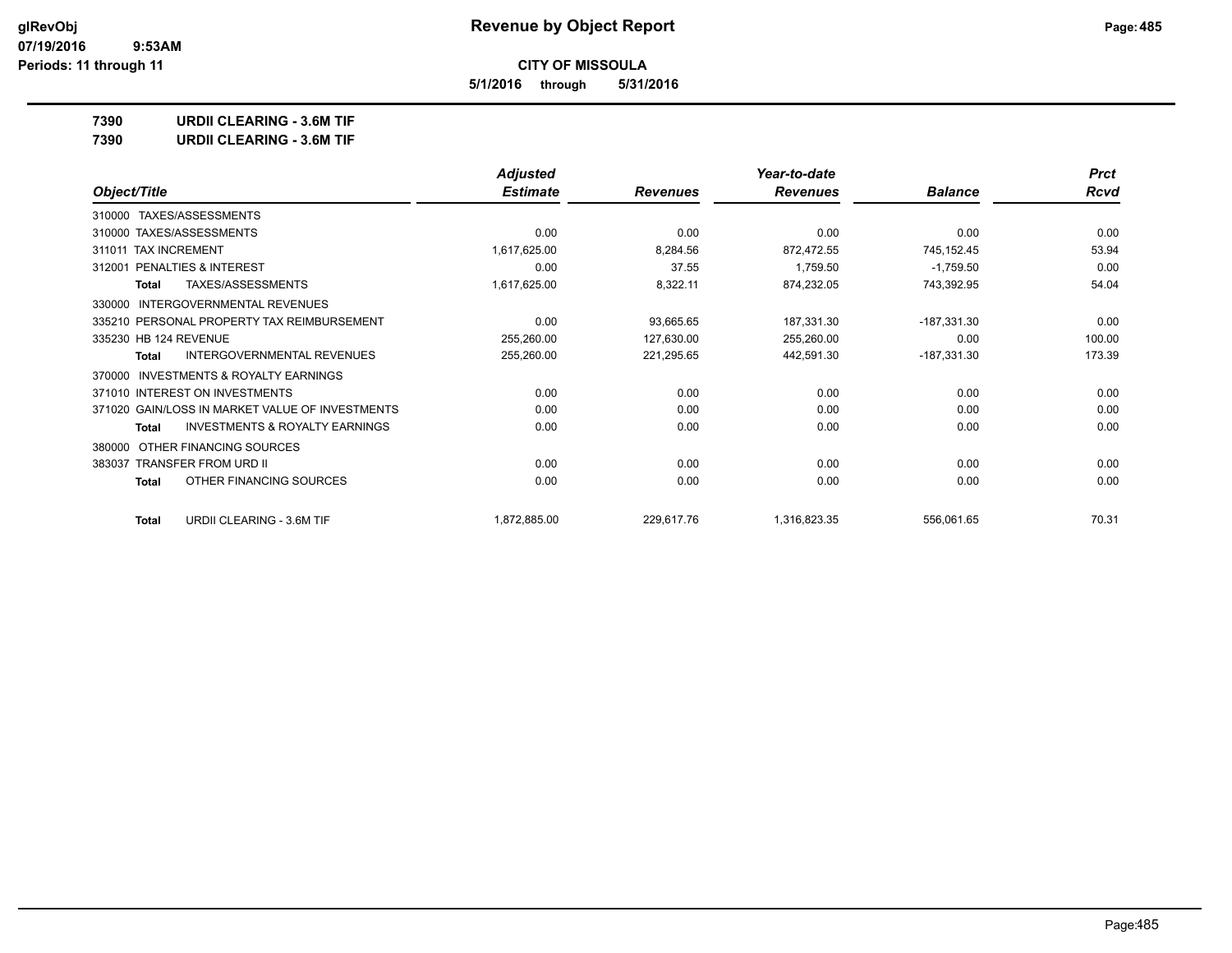**5/1/2016 through 5/31/2016**

**7390 URDII CLEARING - 3.6M TIF**

| <b>URDII CLEARING - 3.6M TIF</b><br>7390 |  |
|------------------------------------------|--|
|------------------------------------------|--|

|                                                           | <b>Adjusted</b> |                 | Year-to-date    |                | <b>Prct</b> |
|-----------------------------------------------------------|-----------------|-----------------|-----------------|----------------|-------------|
| Object/Title                                              | <b>Estimate</b> | <b>Revenues</b> | <b>Revenues</b> | <b>Balance</b> | Rcvd        |
| TAXES/ASSESSMENTS<br>310000                               |                 |                 |                 |                |             |
| 310000 TAXES/ASSESSMENTS                                  | 0.00            | 0.00            | 0.00            | 0.00           | 0.00        |
| 311011 TAX INCREMENT                                      | 1,617,625.00    | 8,284.56        | 872,472.55      | 745,152.45     | 53.94       |
| PENALTIES & INTEREST<br>312001                            | 0.00            | 37.55           | 1,759.50        | $-1,759.50$    | 0.00        |
| <b>TAXES/ASSESSMENTS</b><br>Total                         | 1,617,625.00    | 8,322.11        | 874,232.05      | 743,392.95     | 54.04       |
| <b>INTERGOVERNMENTAL REVENUES</b><br>330000               |                 |                 |                 |                |             |
| 335210 PERSONAL PROPERTY TAX REIMBURSEMENT                | 0.00            | 93,665.65       | 187,331.30      | $-187,331.30$  | 0.00        |
| 335230 HB 124 REVENUE                                     | 255,260.00      | 127,630.00      | 255,260.00      | 0.00           | 100.00      |
| INTERGOVERNMENTAL REVENUES<br><b>Total</b>                | 255,260.00      | 221,295.65      | 442,591.30      | $-187,331.30$  | 173.39      |
| <b>INVESTMENTS &amp; ROYALTY EARNINGS</b><br>370000       |                 |                 |                 |                |             |
| 371010 INTEREST ON INVESTMENTS                            | 0.00            | 0.00            | 0.00            | 0.00           | 0.00        |
| 371020 GAIN/LOSS IN MARKET VALUE OF INVESTMENTS           | 0.00            | 0.00            | 0.00            | 0.00           | 0.00        |
| <b>INVESTMENTS &amp; ROYALTY EARNINGS</b><br><b>Total</b> | 0.00            | 0.00            | 0.00            | 0.00           | 0.00        |
| OTHER FINANCING SOURCES<br>380000                         |                 |                 |                 |                |             |
| <b>TRANSFER FROM URD II</b><br>383037                     | 0.00            | 0.00            | 0.00            | 0.00           | 0.00        |
| OTHER FINANCING SOURCES<br><b>Total</b>                   | 0.00            | 0.00            | 0.00            | 0.00           | 0.00        |
| URDII CLEARING - 3.6M TIF<br><b>Total</b>                 | 1,872,885.00    | 229,617.76      | 1,316,823.35    | 556,061.65     | 70.31       |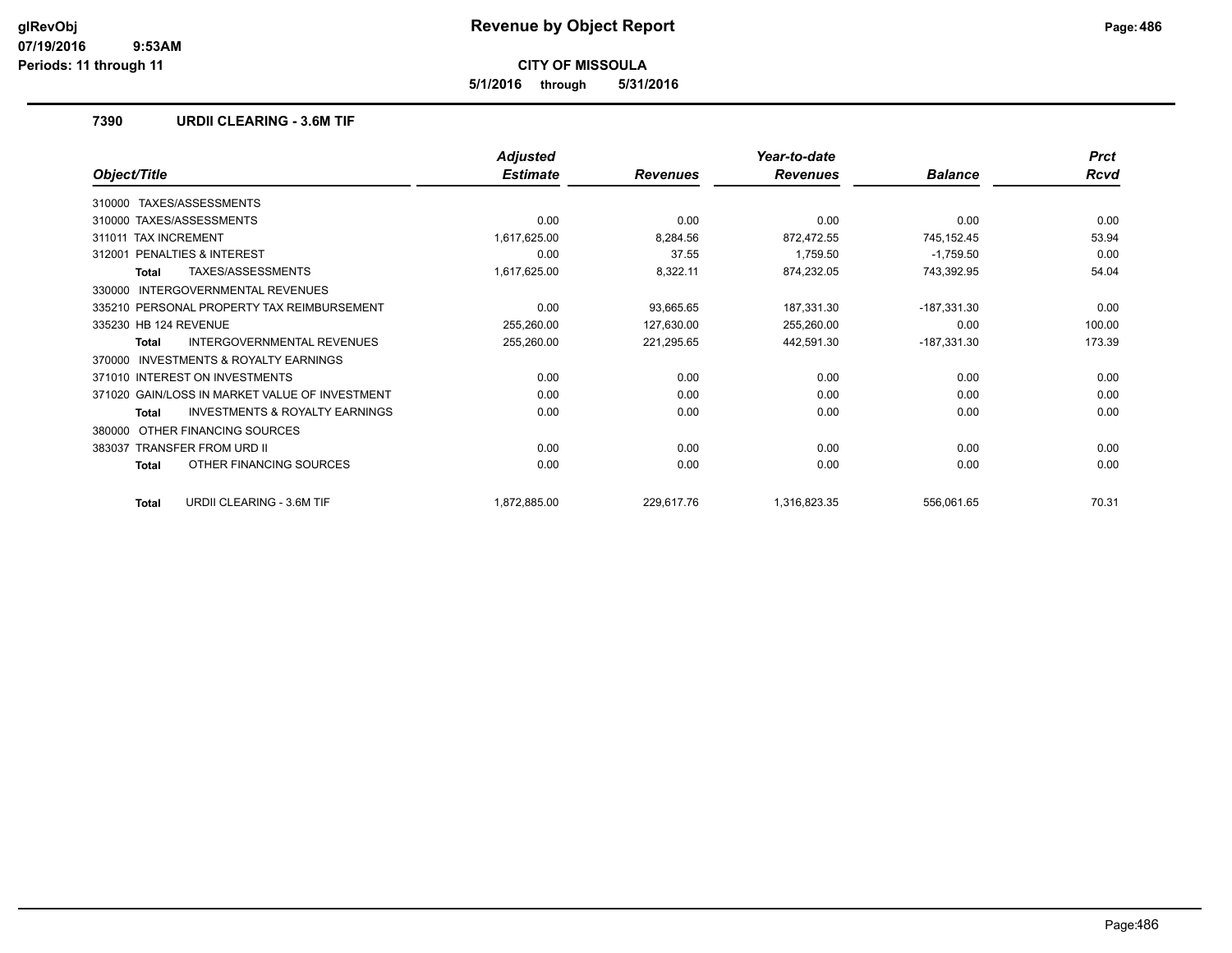**5/1/2016 through 5/31/2016**

### **7390 URDII CLEARING - 3.6M TIF**

|                                                    | <b>Adjusted</b> |                 | Year-to-date    |                | <b>Prct</b> |
|----------------------------------------------------|-----------------|-----------------|-----------------|----------------|-------------|
| Object/Title                                       | <b>Estimate</b> | <b>Revenues</b> | <b>Revenues</b> | <b>Balance</b> | Rcvd        |
| TAXES/ASSESSMENTS<br>310000                        |                 |                 |                 |                |             |
| 310000 TAXES/ASSESSMENTS                           | 0.00            | 0.00            | 0.00            | 0.00           | 0.00        |
| <b>TAX INCREMENT</b><br>311011                     | 1,617,625.00    | 8,284.56        | 872,472.55      | 745,152.45     | 53.94       |
| PENALTIES & INTEREST<br>312001                     | 0.00            | 37.55           | 1,759.50        | $-1,759.50$    | 0.00        |
| TAXES/ASSESSMENTS<br><b>Total</b>                  | 1,617,625.00    | 8,322.11        | 874,232.05      | 743,392.95     | 54.04       |
| INTERGOVERNMENTAL REVENUES<br>330000               |                 |                 |                 |                |             |
| 335210 PERSONAL PROPERTY TAX REIMBURSEMENT         | 0.00            | 93,665.65       | 187,331.30      | $-187,331.30$  | 0.00        |
| 335230 HB 124 REVENUE                              | 255,260.00      | 127,630.00      | 255,260.00      | 0.00           | 100.00      |
| <b>INTERGOVERNMENTAL REVENUES</b><br>Total         | 255,260.00      | 221,295.65      | 442,591.30      | $-187,331.30$  | 173.39      |
| INVESTMENTS & ROYALTY EARNINGS<br>370000           |                 |                 |                 |                |             |
| 371010 INTEREST ON INVESTMENTS                     | 0.00            | 0.00            | 0.00            | 0.00           | 0.00        |
| 371020 GAIN/LOSS IN MARKET VALUE OF INVESTMENT     | 0.00            | 0.00            | 0.00            | 0.00           | 0.00        |
| <b>INVESTMENTS &amp; ROYALTY EARNINGS</b><br>Total | 0.00            | 0.00            | 0.00            | 0.00           | 0.00        |
| OTHER FINANCING SOURCES<br>380000                  |                 |                 |                 |                |             |
| <b>TRANSFER FROM URD II</b><br>383037              | 0.00            | 0.00            | 0.00            | 0.00           | 0.00        |
| OTHER FINANCING SOURCES<br>Total                   | 0.00            | 0.00            | 0.00            | 0.00           | 0.00        |
| <b>URDII CLEARING - 3.6M TIF</b><br><b>Total</b>   | 1,872,885.00    | 229,617.76      | 1,316,823.35    | 556,061.65     | 70.31       |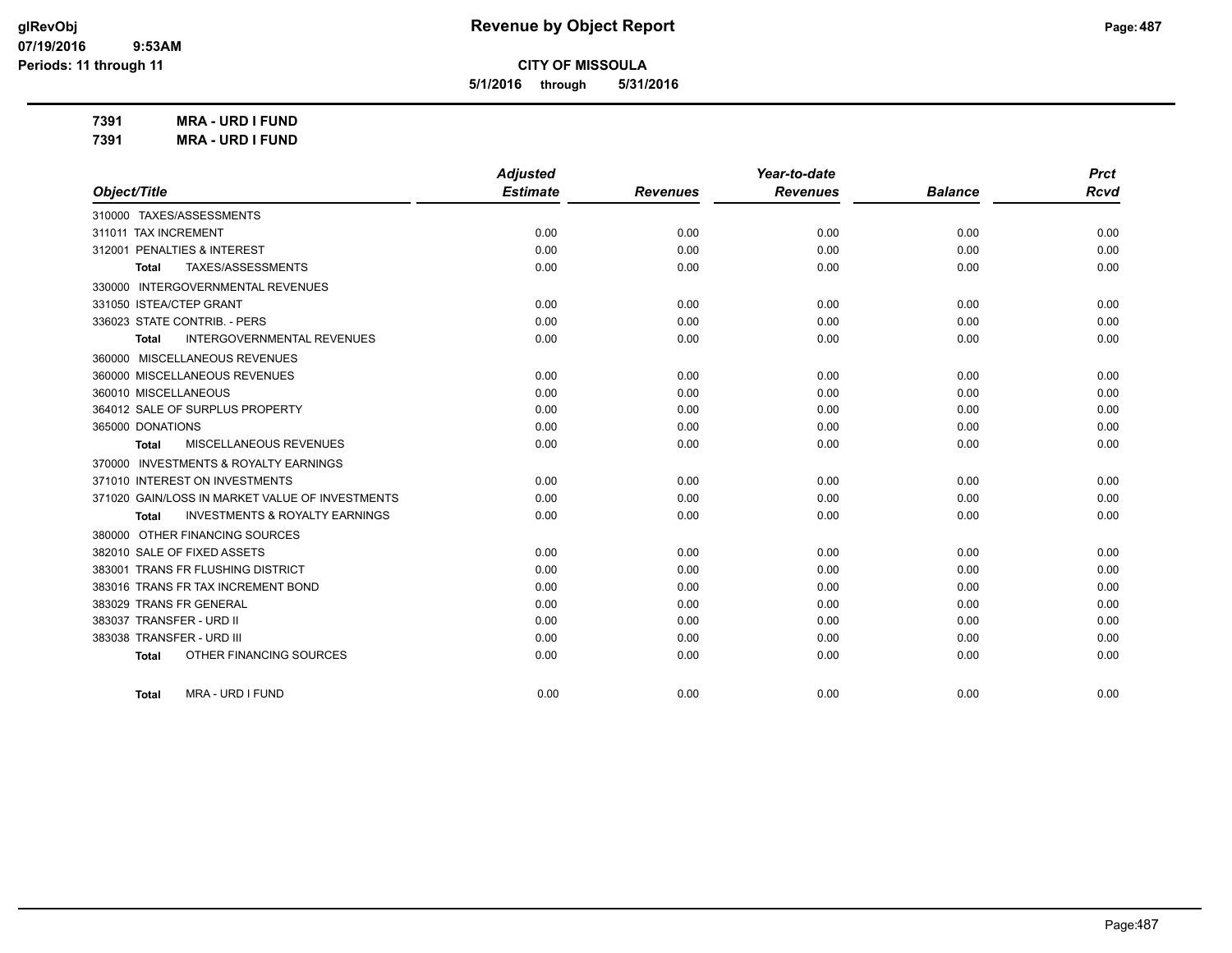**5/1/2016 through 5/31/2016**

**7391 MRA - URD I FUND**

| 7391 | <b>MRA - URD I FUND</b> |
|------|-------------------------|
|      |                         |

|                                                    | <b>Adjusted</b> |                 | Year-to-date    |                | <b>Prct</b> |
|----------------------------------------------------|-----------------|-----------------|-----------------|----------------|-------------|
| Object/Title                                       | <b>Estimate</b> | <b>Revenues</b> | <b>Revenues</b> | <b>Balance</b> | <b>Rcvd</b> |
| 310000 TAXES/ASSESSMENTS                           |                 |                 |                 |                |             |
| 311011 TAX INCREMENT                               | 0.00            | 0.00            | 0.00            | 0.00           | 0.00        |
| 312001 PENALTIES & INTEREST                        | 0.00            | 0.00            | 0.00            | 0.00           | 0.00        |
| TAXES/ASSESSMENTS<br>Total                         | 0.00            | 0.00            | 0.00            | 0.00           | 0.00        |
| 330000 INTERGOVERNMENTAL REVENUES                  |                 |                 |                 |                |             |
| 331050 ISTEA/CTEP GRANT                            | 0.00            | 0.00            | 0.00            | 0.00           | 0.00        |
| 336023 STATE CONTRIB. - PERS                       | 0.00            | 0.00            | 0.00            | 0.00           | 0.00        |
| <b>INTERGOVERNMENTAL REVENUES</b><br><b>Total</b>  | 0.00            | 0.00            | 0.00            | 0.00           | 0.00        |
| 360000 MISCELLANEOUS REVENUES                      |                 |                 |                 |                |             |
| 360000 MISCELLANEOUS REVENUES                      | 0.00            | 0.00            | 0.00            | 0.00           | 0.00        |
| 360010 MISCELLANEOUS                               | 0.00            | 0.00            | 0.00            | 0.00           | 0.00        |
| 364012 SALE OF SURPLUS PROPERTY                    | 0.00            | 0.00            | 0.00            | 0.00           | 0.00        |
| 365000 DONATIONS                                   | 0.00            | 0.00            | 0.00            | 0.00           | 0.00        |
| MISCELLANEOUS REVENUES<br>Total                    | 0.00            | 0.00            | 0.00            | 0.00           | 0.00        |
| 370000 INVESTMENTS & ROYALTY EARNINGS              |                 |                 |                 |                |             |
| 371010 INTEREST ON INVESTMENTS                     | 0.00            | 0.00            | 0.00            | 0.00           | 0.00        |
| 371020 GAIN/LOSS IN MARKET VALUE OF INVESTMENTS    | 0.00            | 0.00            | 0.00            | 0.00           | 0.00        |
| <b>INVESTMENTS &amp; ROYALTY EARNINGS</b><br>Total | 0.00            | 0.00            | 0.00            | 0.00           | 0.00        |
| 380000 OTHER FINANCING SOURCES                     |                 |                 |                 |                |             |
| 382010 SALE OF FIXED ASSETS                        | 0.00            | 0.00            | 0.00            | 0.00           | 0.00        |
| 383001 TRANS FR FLUSHING DISTRICT                  | 0.00            | 0.00            | 0.00            | 0.00           | 0.00        |
| 383016 TRANS FR TAX INCREMENT BOND                 | 0.00            | 0.00            | 0.00            | 0.00           | 0.00        |
| 383029 TRANS FR GENERAL                            | 0.00            | 0.00            | 0.00            | 0.00           | 0.00        |
| 383037 TRANSFER - URD II                           | 0.00            | 0.00            | 0.00            | 0.00           | 0.00        |
| 383038 TRANSFER - URD III                          | 0.00            | 0.00            | 0.00            | 0.00           | 0.00        |
| OTHER FINANCING SOURCES<br><b>Total</b>            | 0.00            | 0.00            | 0.00            | 0.00           | 0.00        |
| <b>MRA - URD I FUND</b><br>Total                   | 0.00            | 0.00            | 0.00            | 0.00           | 0.00        |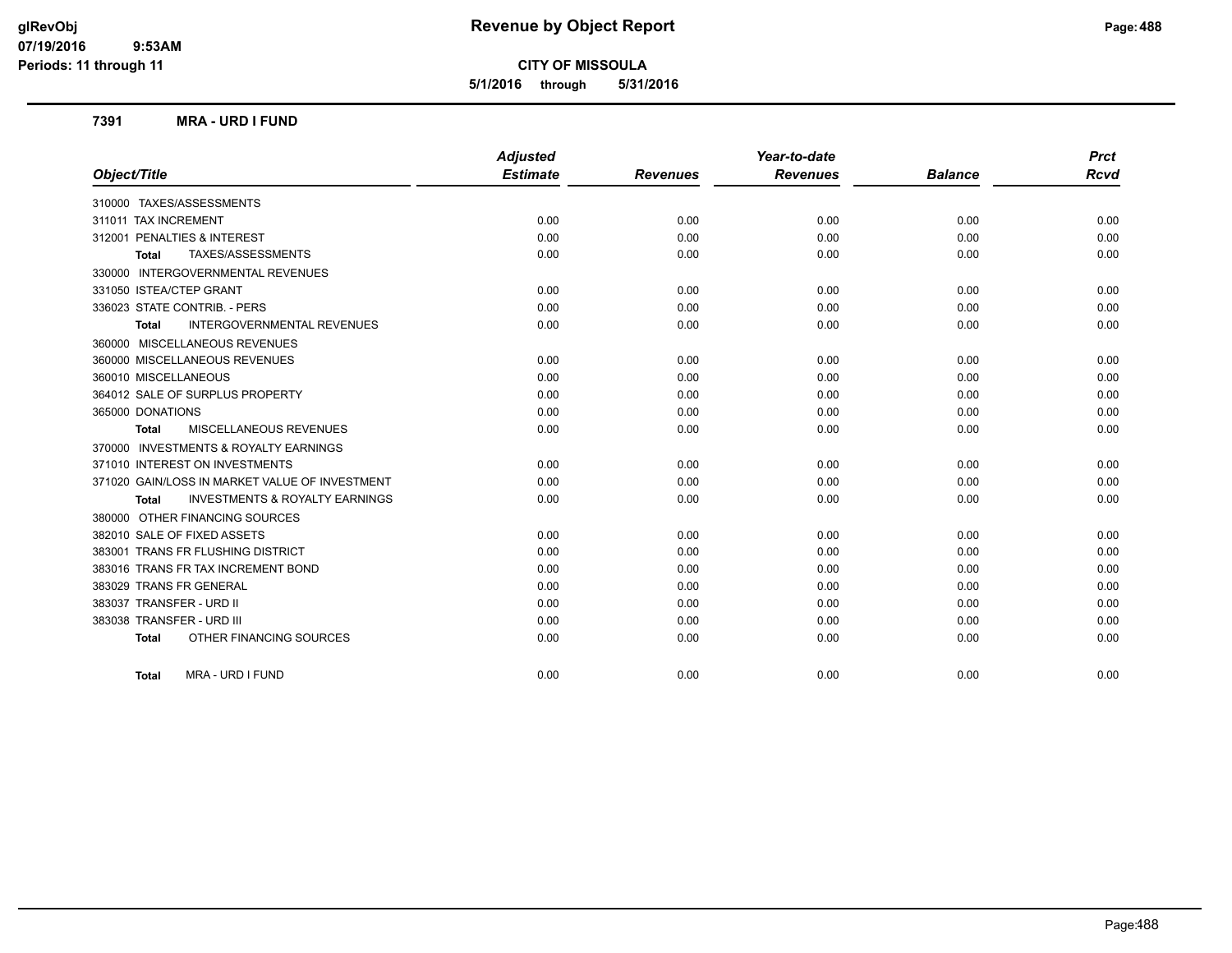**5/1/2016 through 5/31/2016**

#### **7391 MRA - URD I FUND**

|                                                           | <b>Adjusted</b> |                 | Year-to-date    |                | <b>Prct</b> |
|-----------------------------------------------------------|-----------------|-----------------|-----------------|----------------|-------------|
| Object/Title                                              | <b>Estimate</b> | <b>Revenues</b> | <b>Revenues</b> | <b>Balance</b> | <b>Rcvd</b> |
| 310000 TAXES/ASSESSMENTS                                  |                 |                 |                 |                |             |
| 311011 TAX INCREMENT                                      | 0.00            | 0.00            | 0.00            | 0.00           | 0.00        |
| 312001 PENALTIES & INTEREST                               | 0.00            | 0.00            | 0.00            | 0.00           | 0.00        |
| TAXES/ASSESSMENTS<br><b>Total</b>                         | 0.00            | 0.00            | 0.00            | 0.00           | 0.00        |
| 330000 INTERGOVERNMENTAL REVENUES                         |                 |                 |                 |                |             |
| 331050 ISTEA/CTEP GRANT                                   | 0.00            | 0.00            | 0.00            | 0.00           | 0.00        |
| 336023 STATE CONTRIB. - PERS                              | 0.00            | 0.00            | 0.00            | 0.00           | 0.00        |
| <b>INTERGOVERNMENTAL REVENUES</b><br><b>Total</b>         | 0.00            | 0.00            | 0.00            | 0.00           | 0.00        |
| 360000 MISCELLANEOUS REVENUES                             |                 |                 |                 |                |             |
| 360000 MISCELLANEOUS REVENUES                             | 0.00            | 0.00            | 0.00            | 0.00           | 0.00        |
| 360010 MISCELLANEOUS                                      | 0.00            | 0.00            | 0.00            | 0.00           | 0.00        |
| 364012 SALE OF SURPLUS PROPERTY                           | 0.00            | 0.00            | 0.00            | 0.00           | 0.00        |
| 365000 DONATIONS                                          | 0.00            | 0.00            | 0.00            | 0.00           | 0.00        |
| MISCELLANEOUS REVENUES<br><b>Total</b>                    | 0.00            | 0.00            | 0.00            | 0.00           | 0.00        |
| 370000 INVESTMENTS & ROYALTY EARNINGS                     |                 |                 |                 |                |             |
| 371010 INTEREST ON INVESTMENTS                            | 0.00            | 0.00            | 0.00            | 0.00           | 0.00        |
| 371020 GAIN/LOSS IN MARKET VALUE OF INVESTMENT            | 0.00            | 0.00            | 0.00            | 0.00           | 0.00        |
| <b>INVESTMENTS &amp; ROYALTY EARNINGS</b><br><b>Total</b> | 0.00            | 0.00            | 0.00            | 0.00           | 0.00        |
| 380000 OTHER FINANCING SOURCES                            |                 |                 |                 |                |             |
| 382010 SALE OF FIXED ASSETS                               | 0.00            | 0.00            | 0.00            | 0.00           | 0.00        |
| 383001 TRANS FR FLUSHING DISTRICT                         | 0.00            | 0.00            | 0.00            | 0.00           | 0.00        |
| 383016 TRANS FR TAX INCREMENT BOND                        | 0.00            | 0.00            | 0.00            | 0.00           | 0.00        |
| 383029 TRANS FR GENERAL                                   | 0.00            | 0.00            | 0.00            | 0.00           | 0.00        |
| 383037 TRANSFER - URD II                                  | 0.00            | 0.00            | 0.00            | 0.00           | 0.00        |
| 383038 TRANSFER - URD III                                 | 0.00            | 0.00            | 0.00            | 0.00           | 0.00        |
| OTHER FINANCING SOURCES<br><b>Total</b>                   | 0.00            | 0.00            | 0.00            | 0.00           | 0.00        |
| MRA - URD I FUND<br><b>Total</b>                          | 0.00            | 0.00            | 0.00            | 0.00           | 0.00        |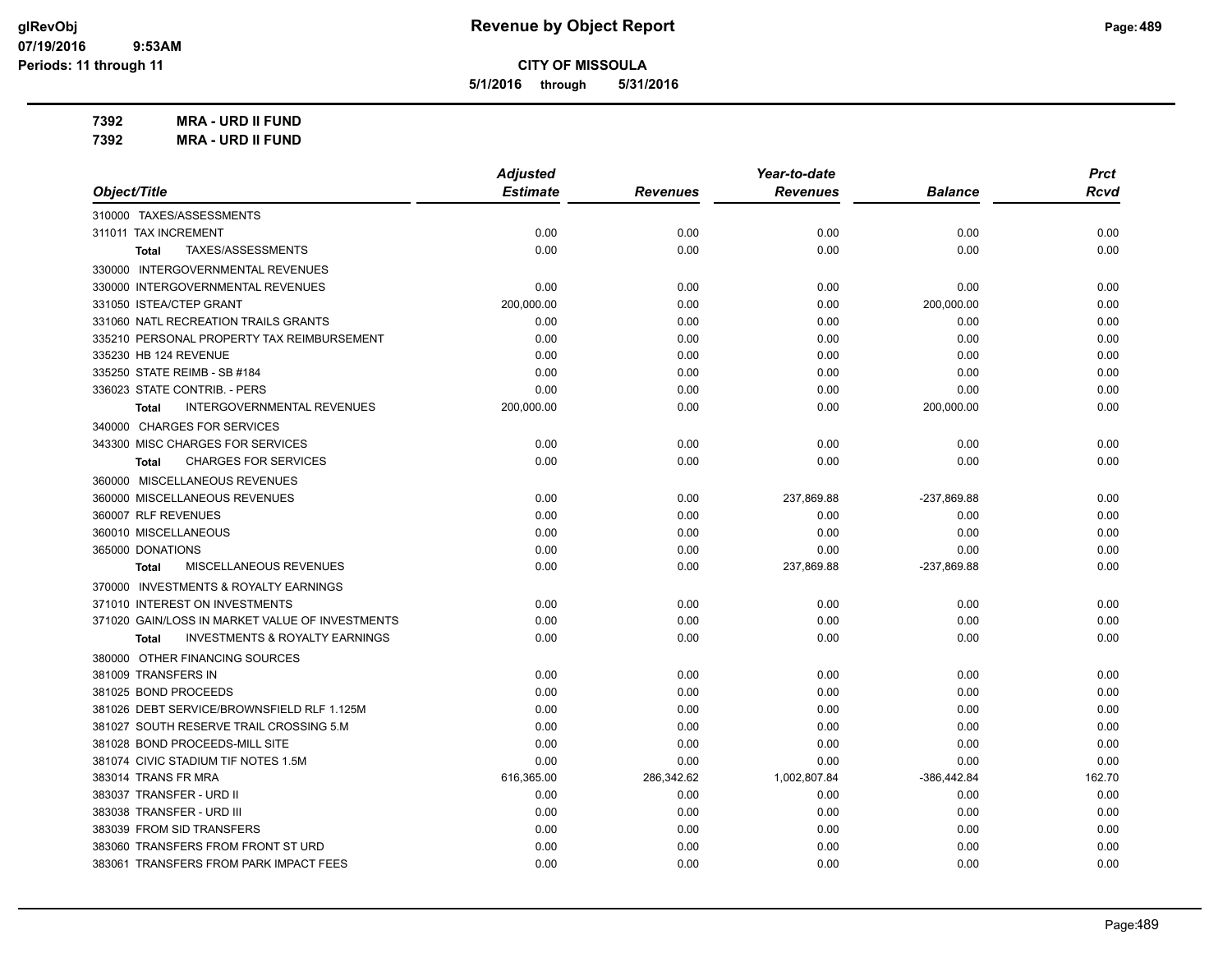**5/1/2016 through 5/31/2016**

**7392 MRA - URD II FUND**

**7392 MRA - URD II FUND**

|                                                           | <b>Adjusted</b> |                 | Year-to-date    |                | <b>Prct</b> |
|-----------------------------------------------------------|-----------------|-----------------|-----------------|----------------|-------------|
| Object/Title                                              | <b>Estimate</b> | <b>Revenues</b> | <b>Revenues</b> | <b>Balance</b> | Rcvd        |
| 310000 TAXES/ASSESSMENTS                                  |                 |                 |                 |                |             |
| 311011 TAX INCREMENT                                      | 0.00            | 0.00            | 0.00            | 0.00           | 0.00        |
| TAXES/ASSESSMENTS<br><b>Total</b>                         | 0.00            | 0.00            | 0.00            | 0.00           | 0.00        |
| 330000 INTERGOVERNMENTAL REVENUES                         |                 |                 |                 |                |             |
| 330000 INTERGOVERNMENTAL REVENUES                         | 0.00            | 0.00            | 0.00            | 0.00           | 0.00        |
| 331050 ISTEA/CTEP GRANT                                   | 200,000.00      | 0.00            | 0.00            | 200,000.00     | 0.00        |
| 331060 NATL RECREATION TRAILS GRANTS                      | 0.00            | 0.00            | 0.00            | 0.00           | 0.00        |
| 335210 PERSONAL PROPERTY TAX REIMBURSEMENT                | 0.00            | 0.00            | 0.00            | 0.00           | 0.00        |
| 335230 HB 124 REVENUE                                     | 0.00            | 0.00            | 0.00            | 0.00           | 0.00        |
| 335250 STATE REIMB - SB #184                              | 0.00            | 0.00            | 0.00            | 0.00           | 0.00        |
| 336023 STATE CONTRIB. - PERS                              | 0.00            | 0.00            | 0.00            | 0.00           | 0.00        |
| <b>INTERGOVERNMENTAL REVENUES</b><br><b>Total</b>         | 200,000.00      | 0.00            | 0.00            | 200,000.00     | 0.00        |
| 340000 CHARGES FOR SERVICES                               |                 |                 |                 |                |             |
| 343300 MISC CHARGES FOR SERVICES                          | 0.00            | 0.00            | 0.00            | 0.00           | 0.00        |
| <b>CHARGES FOR SERVICES</b><br><b>Total</b>               | 0.00            | 0.00            | 0.00            | 0.00           | 0.00        |
| 360000 MISCELLANEOUS REVENUES                             |                 |                 |                 |                |             |
| 360000 MISCELLANEOUS REVENUES                             | 0.00            | 0.00            | 237,869.88      | -237,869.88    | 0.00        |
| 360007 RLF REVENUES                                       | 0.00            | 0.00            | 0.00            | 0.00           | 0.00        |
| 360010 MISCELLANEOUS                                      | 0.00            | 0.00            | 0.00            | 0.00           | 0.00        |
| 365000 DONATIONS                                          | 0.00            | 0.00            | 0.00            | 0.00           | 0.00        |
| MISCELLANEOUS REVENUES<br><b>Total</b>                    | 0.00            | 0.00            | 237,869.88      | -237,869.88    | 0.00        |
| 370000 INVESTMENTS & ROYALTY EARNINGS                     |                 |                 |                 |                |             |
| 371010 INTEREST ON INVESTMENTS                            | 0.00            | 0.00            | 0.00            | 0.00           | 0.00        |
| 371020 GAIN/LOSS IN MARKET VALUE OF INVESTMENTS           | 0.00            | 0.00            | 0.00            | 0.00           | 0.00        |
| <b>INVESTMENTS &amp; ROYALTY EARNINGS</b><br><b>Total</b> | 0.00            | 0.00            | 0.00            | 0.00           | 0.00        |
| 380000 OTHER FINANCING SOURCES                            |                 |                 |                 |                |             |
| 381009 TRANSFERS IN                                       | 0.00            | 0.00            | 0.00            | 0.00           | 0.00        |
| 381025 BOND PROCEEDS                                      | 0.00            | 0.00            | 0.00            | 0.00           | 0.00        |
| 381026 DEBT SERVICE/BROWNSFIELD RLF 1.125M                | 0.00            | 0.00            | 0.00            | 0.00           | 0.00        |
| 381027 SOUTH RESERVE TRAIL CROSSING 5.M                   | 0.00            | 0.00            | 0.00            | 0.00           | 0.00        |
| 381028 BOND PROCEEDS-MILL SITE                            | 0.00            | 0.00            | 0.00            | 0.00           | 0.00        |
| 381074 CIVIC STADIUM TIF NOTES 1.5M                       | 0.00            | 0.00            | 0.00            | 0.00           | 0.00        |
| 383014 TRANS FR MRA                                       | 616,365.00      | 286,342.62      | 1,002,807.84    | $-386,442.84$  | 162.70      |
| 383037 TRANSFER - URD II                                  | 0.00            | 0.00            | 0.00            | 0.00           | 0.00        |
| 383038 TRANSFER - URD III                                 | 0.00            | 0.00            | 0.00            | 0.00           | 0.00        |
| 383039 FROM SID TRANSFERS                                 | 0.00            | 0.00            | 0.00            | 0.00           | 0.00        |
| 383060 TRANSFERS FROM FRONT ST URD                        | 0.00            | 0.00            | 0.00            | 0.00           | 0.00        |
| 383061 TRANSFERS FROM PARK IMPACT FEES                    | 0.00            | 0.00            | 0.00            | 0.00           | 0.00        |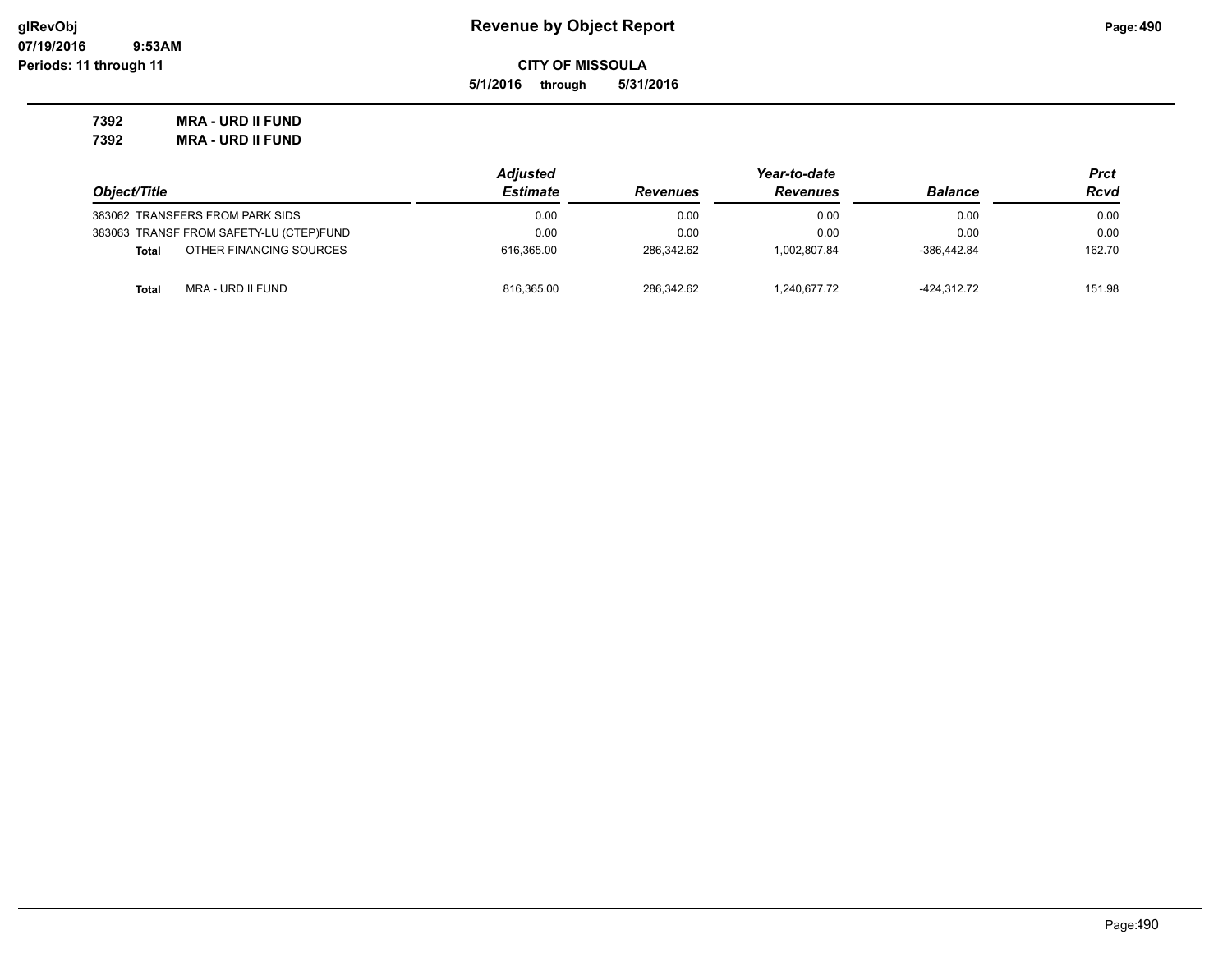**5/1/2016 through 5/31/2016**

**7392 MRA - URD II FUND 7392 MRA - URD II FUND**

|                                         | <b>Adjusted</b> | Year-to-date    |                 |                | Prct   |
|-----------------------------------------|-----------------|-----------------|-----------------|----------------|--------|
| Object/Title                            | <b>Estimate</b> | <b>Revenues</b> | <b>Revenues</b> | <b>Balance</b> | Rcvd   |
| 383062 TRANSFERS FROM PARK SIDS         | 0.00            | 0.00            | 0.00            | 0.00           | 0.00   |
| 383063 TRANSF FROM SAFETY-LU (CTEP)FUND | 0.00            | 0.00            | 0.00            | 0.00           | 0.00   |
| OTHER FINANCING SOURCES<br><b>Total</b> | 616.365.00      | 286.342.62      | 1.002.807.84    | -386.442.84    | 162.70 |
| MRA - URD II FUND<br><b>Total</b>       | 816.365.00      | 286.342.62      | 1.240.677.72    | -424.312.72    | 151.98 |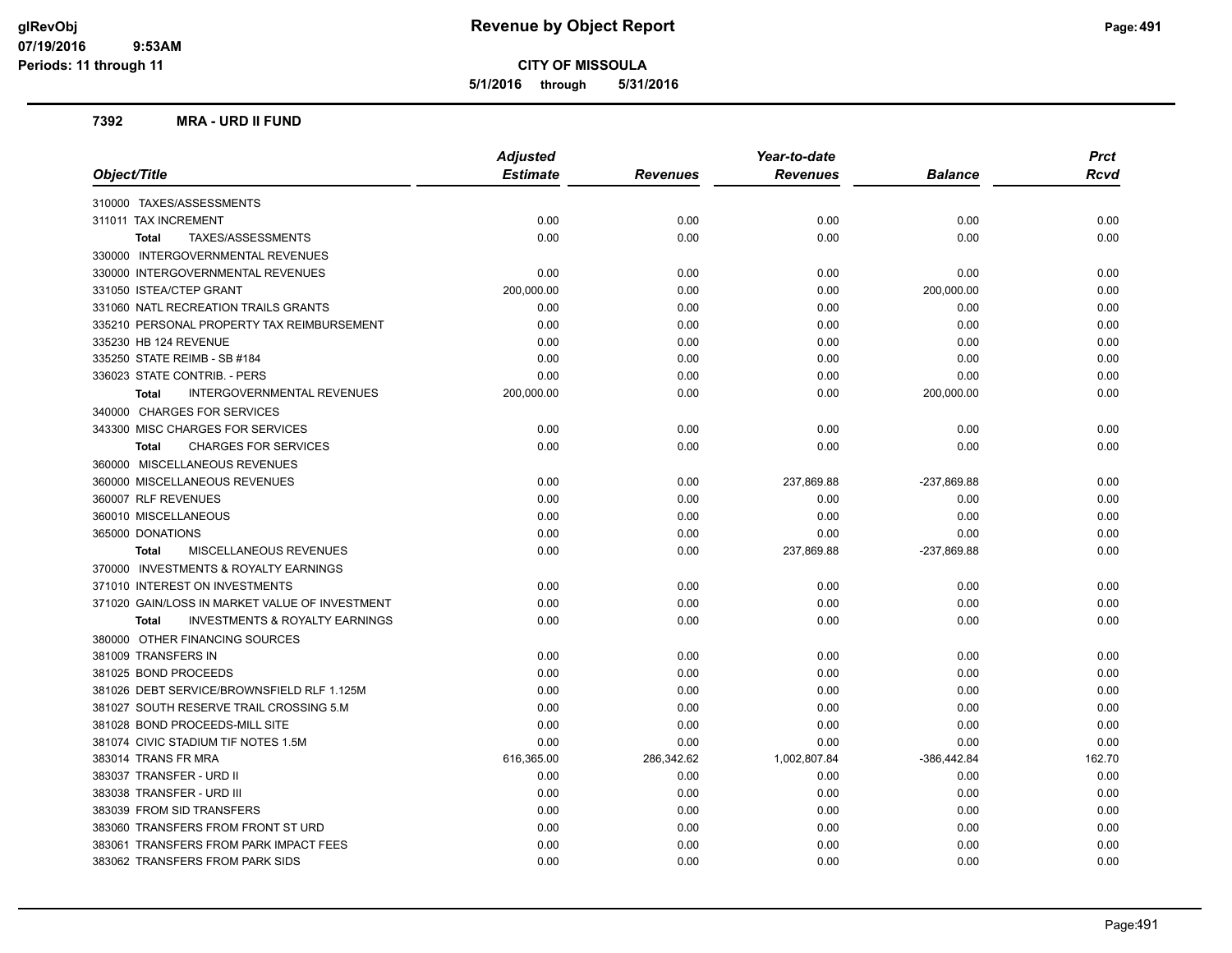**5/1/2016 through 5/31/2016**

#### **7392 MRA - URD II FUND**

| <b>Adjusted</b><br><b>Estimate</b><br>Object/Title<br><b>Rcvd</b><br><b>Revenues</b><br><b>Revenues</b><br><b>Balance</b><br>310000 TAXES/ASSESSMENTS<br>311011 TAX INCREMENT<br>0.00<br>0.00<br>0.00<br>0.00<br>0.00<br>0.00<br>0.00<br>0.00<br>0.00<br>0.00<br>TAXES/ASSESSMENTS<br><b>Total</b><br>330000 INTERGOVERNMENTAL REVENUES<br>0.00<br>330000 INTERGOVERNMENTAL REVENUES<br>0.00<br>0.00<br>0.00<br>0.00<br>331050 ISTEA/CTEP GRANT<br>200,000.00<br>0.00<br>0.00<br>200,000.00<br>0.00<br>331060 NATL RECREATION TRAILS GRANTS<br>0.00<br>0.00<br>0.00<br>0.00<br>0.00<br>335210 PERSONAL PROPERTY TAX REIMBURSEMENT<br>0.00<br>0.00<br>0.00<br>0.00<br>0.00<br>335230 HB 124 REVENUE<br>0.00<br>0.00<br>0.00<br>0.00<br>0.00<br>335250 STATE REIMB - SB #184<br>0.00<br>0.00<br>0.00<br>0.00<br>0.00<br>0.00<br>336023 STATE CONTRIB. - PERS<br>0.00<br>0.00<br>0.00<br>0.00<br>INTERGOVERNMENTAL REVENUES<br>200,000.00<br>0.00<br>0.00<br>200,000.00<br>0.00<br><b>Total</b><br>340000 CHARGES FOR SERVICES<br>343300 MISC CHARGES FOR SERVICES<br>0.00<br>0.00<br>0.00<br>0.00<br>0.00<br><b>CHARGES FOR SERVICES</b><br>0.00<br>0.00<br>0.00<br>0.00<br>0.00<br><b>Total</b><br>360000 MISCELLANEOUS REVENUES<br>360000 MISCELLANEOUS REVENUES<br>0.00<br>0.00<br>237,869.88<br>-237,869.88<br>0.00<br>360007 RLF REVENUES<br>0.00<br>0.00<br>0.00<br>0.00<br>0.00<br>360010 MISCELLANEOUS<br>0.00<br>0.00<br>0.00<br>0.00<br>0.00<br>0.00<br>365000 DONATIONS<br>0.00<br>0.00<br>0.00<br>0.00<br>MISCELLANEOUS REVENUES<br>0.00<br>0.00<br>237,869.88<br>-237,869.88<br>0.00<br>Total<br>370000 INVESTMENTS & ROYALTY EARNINGS |
|---------------------------------------------------------------------------------------------------------------------------------------------------------------------------------------------------------------------------------------------------------------------------------------------------------------------------------------------------------------------------------------------------------------------------------------------------------------------------------------------------------------------------------------------------------------------------------------------------------------------------------------------------------------------------------------------------------------------------------------------------------------------------------------------------------------------------------------------------------------------------------------------------------------------------------------------------------------------------------------------------------------------------------------------------------------------------------------------------------------------------------------------------------------------------------------------------------------------------------------------------------------------------------------------------------------------------------------------------------------------------------------------------------------------------------------------------------------------------------------------------------------------------------------------------------------------------------------------------------------------------------------------------|
|                                                                                                                                                                                                                                                                                                                                                                                                                                                                                                                                                                                                                                                                                                                                                                                                                                                                                                                                                                                                                                                                                                                                                                                                                                                                                                                                                                                                                                                                                                                                                                                                                                                   |
|                                                                                                                                                                                                                                                                                                                                                                                                                                                                                                                                                                                                                                                                                                                                                                                                                                                                                                                                                                                                                                                                                                                                                                                                                                                                                                                                                                                                                                                                                                                                                                                                                                                   |
|                                                                                                                                                                                                                                                                                                                                                                                                                                                                                                                                                                                                                                                                                                                                                                                                                                                                                                                                                                                                                                                                                                                                                                                                                                                                                                                                                                                                                                                                                                                                                                                                                                                   |
|                                                                                                                                                                                                                                                                                                                                                                                                                                                                                                                                                                                                                                                                                                                                                                                                                                                                                                                                                                                                                                                                                                                                                                                                                                                                                                                                                                                                                                                                                                                                                                                                                                                   |
|                                                                                                                                                                                                                                                                                                                                                                                                                                                                                                                                                                                                                                                                                                                                                                                                                                                                                                                                                                                                                                                                                                                                                                                                                                                                                                                                                                                                                                                                                                                                                                                                                                                   |
|                                                                                                                                                                                                                                                                                                                                                                                                                                                                                                                                                                                                                                                                                                                                                                                                                                                                                                                                                                                                                                                                                                                                                                                                                                                                                                                                                                                                                                                                                                                                                                                                                                                   |
|                                                                                                                                                                                                                                                                                                                                                                                                                                                                                                                                                                                                                                                                                                                                                                                                                                                                                                                                                                                                                                                                                                                                                                                                                                                                                                                                                                                                                                                                                                                                                                                                                                                   |
|                                                                                                                                                                                                                                                                                                                                                                                                                                                                                                                                                                                                                                                                                                                                                                                                                                                                                                                                                                                                                                                                                                                                                                                                                                                                                                                                                                                                                                                                                                                                                                                                                                                   |
|                                                                                                                                                                                                                                                                                                                                                                                                                                                                                                                                                                                                                                                                                                                                                                                                                                                                                                                                                                                                                                                                                                                                                                                                                                                                                                                                                                                                                                                                                                                                                                                                                                                   |
|                                                                                                                                                                                                                                                                                                                                                                                                                                                                                                                                                                                                                                                                                                                                                                                                                                                                                                                                                                                                                                                                                                                                                                                                                                                                                                                                                                                                                                                                                                                                                                                                                                                   |
|                                                                                                                                                                                                                                                                                                                                                                                                                                                                                                                                                                                                                                                                                                                                                                                                                                                                                                                                                                                                                                                                                                                                                                                                                                                                                                                                                                                                                                                                                                                                                                                                                                                   |
|                                                                                                                                                                                                                                                                                                                                                                                                                                                                                                                                                                                                                                                                                                                                                                                                                                                                                                                                                                                                                                                                                                                                                                                                                                                                                                                                                                                                                                                                                                                                                                                                                                                   |
|                                                                                                                                                                                                                                                                                                                                                                                                                                                                                                                                                                                                                                                                                                                                                                                                                                                                                                                                                                                                                                                                                                                                                                                                                                                                                                                                                                                                                                                                                                                                                                                                                                                   |
|                                                                                                                                                                                                                                                                                                                                                                                                                                                                                                                                                                                                                                                                                                                                                                                                                                                                                                                                                                                                                                                                                                                                                                                                                                                                                                                                                                                                                                                                                                                                                                                                                                                   |
|                                                                                                                                                                                                                                                                                                                                                                                                                                                                                                                                                                                                                                                                                                                                                                                                                                                                                                                                                                                                                                                                                                                                                                                                                                                                                                                                                                                                                                                                                                                                                                                                                                                   |
|                                                                                                                                                                                                                                                                                                                                                                                                                                                                                                                                                                                                                                                                                                                                                                                                                                                                                                                                                                                                                                                                                                                                                                                                                                                                                                                                                                                                                                                                                                                                                                                                                                                   |
|                                                                                                                                                                                                                                                                                                                                                                                                                                                                                                                                                                                                                                                                                                                                                                                                                                                                                                                                                                                                                                                                                                                                                                                                                                                                                                                                                                                                                                                                                                                                                                                                                                                   |
|                                                                                                                                                                                                                                                                                                                                                                                                                                                                                                                                                                                                                                                                                                                                                                                                                                                                                                                                                                                                                                                                                                                                                                                                                                                                                                                                                                                                                                                                                                                                                                                                                                                   |
|                                                                                                                                                                                                                                                                                                                                                                                                                                                                                                                                                                                                                                                                                                                                                                                                                                                                                                                                                                                                                                                                                                                                                                                                                                                                                                                                                                                                                                                                                                                                                                                                                                                   |
|                                                                                                                                                                                                                                                                                                                                                                                                                                                                                                                                                                                                                                                                                                                                                                                                                                                                                                                                                                                                                                                                                                                                                                                                                                                                                                                                                                                                                                                                                                                                                                                                                                                   |
|                                                                                                                                                                                                                                                                                                                                                                                                                                                                                                                                                                                                                                                                                                                                                                                                                                                                                                                                                                                                                                                                                                                                                                                                                                                                                                                                                                                                                                                                                                                                                                                                                                                   |
|                                                                                                                                                                                                                                                                                                                                                                                                                                                                                                                                                                                                                                                                                                                                                                                                                                                                                                                                                                                                                                                                                                                                                                                                                                                                                                                                                                                                                                                                                                                                                                                                                                                   |
|                                                                                                                                                                                                                                                                                                                                                                                                                                                                                                                                                                                                                                                                                                                                                                                                                                                                                                                                                                                                                                                                                                                                                                                                                                                                                                                                                                                                                                                                                                                                                                                                                                                   |
| 371010 INTEREST ON INVESTMENTS<br>0.00<br>0.00<br>0.00<br>0.00<br>0.00                                                                                                                                                                                                                                                                                                                                                                                                                                                                                                                                                                                                                                                                                                                                                                                                                                                                                                                                                                                                                                                                                                                                                                                                                                                                                                                                                                                                                                                                                                                                                                            |
| 0.00<br>0.00<br>0.00<br>0.00<br>0.00<br>371020 GAIN/LOSS IN MARKET VALUE OF INVESTMENT                                                                                                                                                                                                                                                                                                                                                                                                                                                                                                                                                                                                                                                                                                                                                                                                                                                                                                                                                                                                                                                                                                                                                                                                                                                                                                                                                                                                                                                                                                                                                            |
| <b>INVESTMENTS &amp; ROYALTY EARNINGS</b><br>0.00<br>0.00<br>0.00<br>0.00<br>0.00<br><b>Total</b>                                                                                                                                                                                                                                                                                                                                                                                                                                                                                                                                                                                                                                                                                                                                                                                                                                                                                                                                                                                                                                                                                                                                                                                                                                                                                                                                                                                                                                                                                                                                                 |
| 380000 OTHER FINANCING SOURCES                                                                                                                                                                                                                                                                                                                                                                                                                                                                                                                                                                                                                                                                                                                                                                                                                                                                                                                                                                                                                                                                                                                                                                                                                                                                                                                                                                                                                                                                                                                                                                                                                    |
| 381009 TRANSFERS IN<br>0.00<br>0.00<br>0.00<br>0.00<br>0.00                                                                                                                                                                                                                                                                                                                                                                                                                                                                                                                                                                                                                                                                                                                                                                                                                                                                                                                                                                                                                                                                                                                                                                                                                                                                                                                                                                                                                                                                                                                                                                                       |
| 381025 BOND PROCEEDS<br>0.00<br>0.00<br>0.00<br>0.00<br>0.00                                                                                                                                                                                                                                                                                                                                                                                                                                                                                                                                                                                                                                                                                                                                                                                                                                                                                                                                                                                                                                                                                                                                                                                                                                                                                                                                                                                                                                                                                                                                                                                      |
| 381026 DEBT SERVICE/BROWNSFIELD RLF 1.125M<br>0.00<br>0.00<br>0.00<br>0.00<br>0.00                                                                                                                                                                                                                                                                                                                                                                                                                                                                                                                                                                                                                                                                                                                                                                                                                                                                                                                                                                                                                                                                                                                                                                                                                                                                                                                                                                                                                                                                                                                                                                |
| 381027 SOUTH RESERVE TRAIL CROSSING 5.M<br>0.00<br>0.00<br>0.00<br>0.00<br>0.00                                                                                                                                                                                                                                                                                                                                                                                                                                                                                                                                                                                                                                                                                                                                                                                                                                                                                                                                                                                                                                                                                                                                                                                                                                                                                                                                                                                                                                                                                                                                                                   |
| 381028 BOND PROCEEDS-MILL SITE<br>0.00<br>0.00<br>0.00<br>0.00<br>0.00                                                                                                                                                                                                                                                                                                                                                                                                                                                                                                                                                                                                                                                                                                                                                                                                                                                                                                                                                                                                                                                                                                                                                                                                                                                                                                                                                                                                                                                                                                                                                                            |
| 381074 CIVIC STADIUM TIF NOTES 1.5M<br>0.00<br>0.00<br>0.00<br>0.00<br>0.00                                                                                                                                                                                                                                                                                                                                                                                                                                                                                                                                                                                                                                                                                                                                                                                                                                                                                                                                                                                                                                                                                                                                                                                                                                                                                                                                                                                                                                                                                                                                                                       |
| 383014 TRANS FR MRA<br>616,365.00<br>286,342.62<br>1,002,807.84<br>$-386,442.84$<br>162.70                                                                                                                                                                                                                                                                                                                                                                                                                                                                                                                                                                                                                                                                                                                                                                                                                                                                                                                                                                                                                                                                                                                                                                                                                                                                                                                                                                                                                                                                                                                                                        |
| 383037 TRANSFER - URD II<br>0.00<br>0.00<br>0.00<br>0.00<br>0.00                                                                                                                                                                                                                                                                                                                                                                                                                                                                                                                                                                                                                                                                                                                                                                                                                                                                                                                                                                                                                                                                                                                                                                                                                                                                                                                                                                                                                                                                                                                                                                                  |
| 383038 TRANSFER - URD III<br>0.00<br>0.00<br>0.00<br>0.00<br>0.00                                                                                                                                                                                                                                                                                                                                                                                                                                                                                                                                                                                                                                                                                                                                                                                                                                                                                                                                                                                                                                                                                                                                                                                                                                                                                                                                                                                                                                                                                                                                                                                 |
| 383039 FROM SID TRANSFERS<br>0.00<br>0.00<br>0.00<br>0.00<br>0.00                                                                                                                                                                                                                                                                                                                                                                                                                                                                                                                                                                                                                                                                                                                                                                                                                                                                                                                                                                                                                                                                                                                                                                                                                                                                                                                                                                                                                                                                                                                                                                                 |
| 383060 TRANSFERS FROM FRONT ST URD<br>0.00<br>0.00<br>0.00<br>0.00<br>0.00                                                                                                                                                                                                                                                                                                                                                                                                                                                                                                                                                                                                                                                                                                                                                                                                                                                                                                                                                                                                                                                                                                                                                                                                                                                                                                                                                                                                                                                                                                                                                                        |
| 383061 TRANSFERS FROM PARK IMPACT FEES<br>0.00<br>0.00<br>0.00<br>0.00<br>0.00                                                                                                                                                                                                                                                                                                                                                                                                                                                                                                                                                                                                                                                                                                                                                                                                                                                                                                                                                                                                                                                                                                                                                                                                                                                                                                                                                                                                                                                                                                                                                                    |
| 383062 TRANSFERS FROM PARK SIDS<br>0.00<br>0.00<br>0.00<br>0.00<br>0.00                                                                                                                                                                                                                                                                                                                                                                                                                                                                                                                                                                                                                                                                                                                                                                                                                                                                                                                                                                                                                                                                                                                                                                                                                                                                                                                                                                                                                                                                                                                                                                           |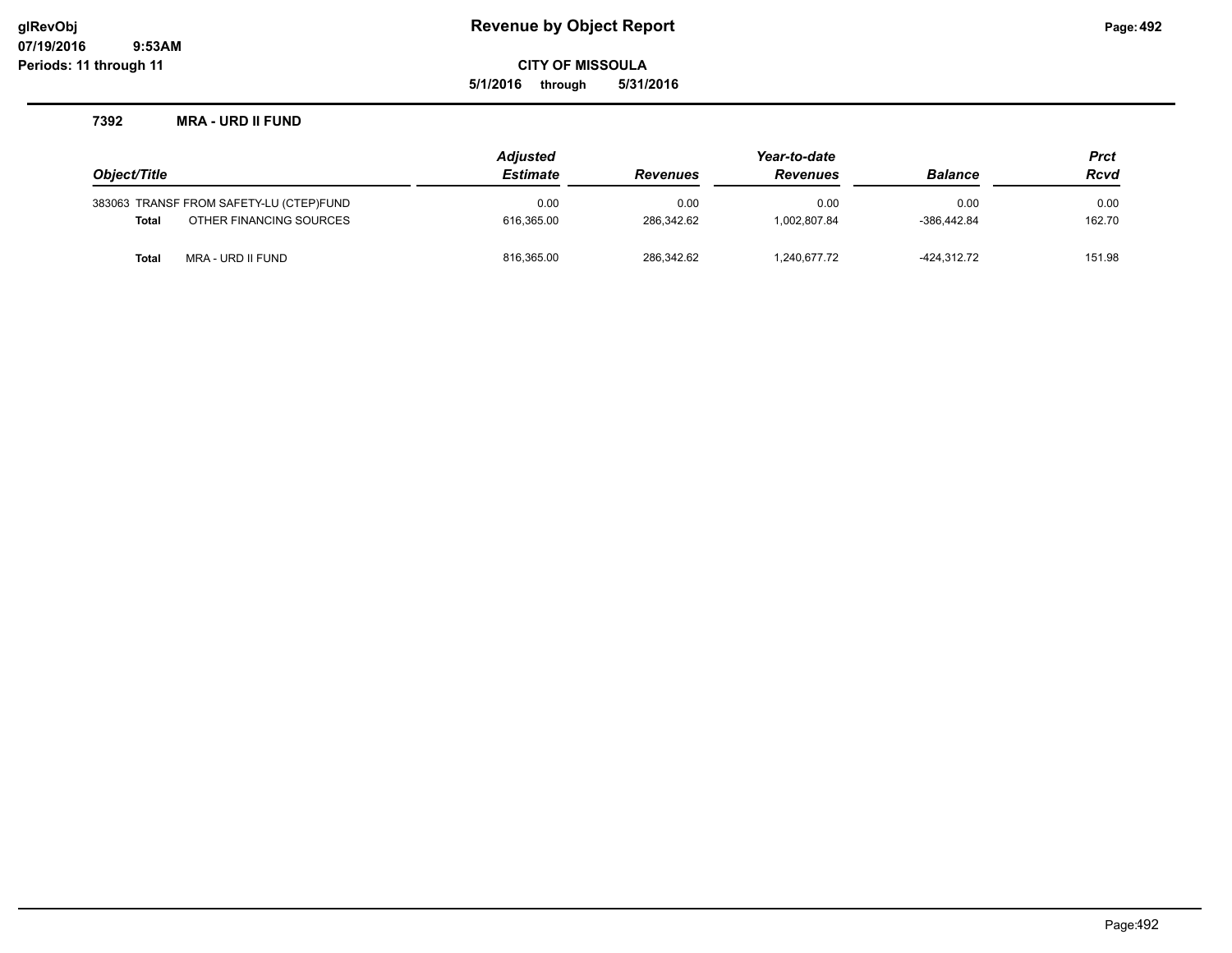**5/1/2016 through 5/31/2016**

#### **7392 MRA - URD II FUND**

|              |                                         | <b>Adjusted</b> |                 | Year-to-date    |                | <b>Prct</b> |  |
|--------------|-----------------------------------------|-----------------|-----------------|-----------------|----------------|-------------|--|
| Object/Title |                                         | <b>Estimate</b> | <b>Revenues</b> | <b>Revenues</b> | <b>Balance</b> | <b>Rcvd</b> |  |
|              | 383063 TRANSF FROM SAFETY-LU (CTEP)FUND | 0.00            | 0.00            | 0.00            | 0.00           | 0.00        |  |
| <b>Total</b> | OTHER FINANCING SOURCES                 | 616.365.00      | 286.342.62      | 1.002.807.84    | $-386.442.84$  | 162.70      |  |
| Total        | MRA - URD II FUND                       | 816,365.00      | 286.342.62      | 1,240,677.72    | -424.312.72    | 151.98      |  |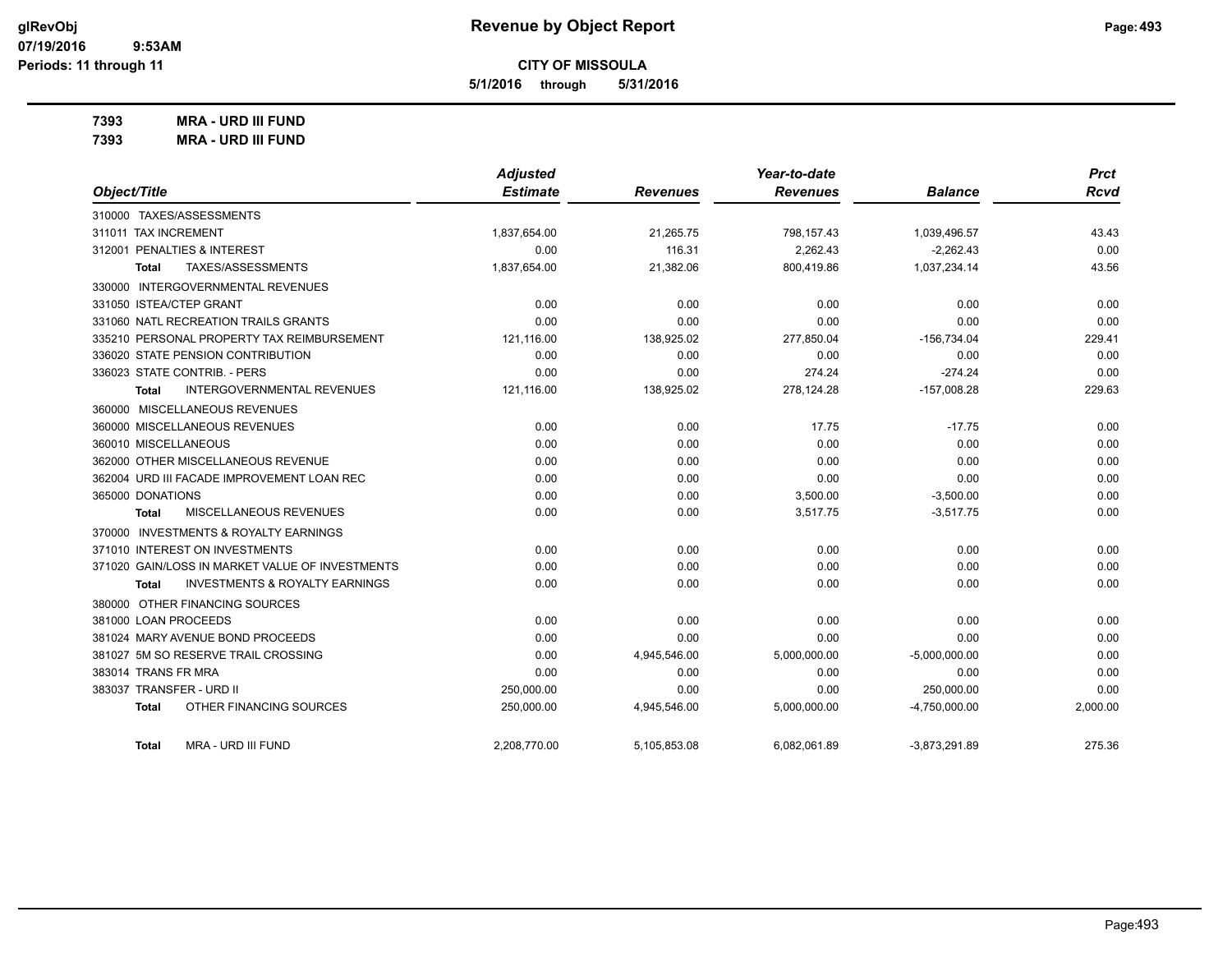**5/1/2016 through 5/31/2016**

**7393 MRA - URD III FUND**

**7393 MRA - URD III FUND**

|                                                    | <b>Adjusted</b> |                 | Year-to-date    |                 | <b>Prct</b> |
|----------------------------------------------------|-----------------|-----------------|-----------------|-----------------|-------------|
| Object/Title                                       | <b>Estimate</b> | <b>Revenues</b> | <b>Revenues</b> | <b>Balance</b>  | <b>Rcvd</b> |
| 310000 TAXES/ASSESSMENTS                           |                 |                 |                 |                 |             |
| 311011 TAX INCREMENT                               | 1,837,654.00    | 21,265.75       | 798,157.43      | 1,039,496.57    | 43.43       |
| 312001 PENALTIES & INTEREST                        | 0.00            | 116.31          | 2.262.43        | $-2.262.43$     | 0.00        |
| TAXES/ASSESSMENTS<br><b>Total</b>                  | 1,837,654.00    | 21,382.06       | 800,419.86      | 1,037,234.14    | 43.56       |
| 330000 INTERGOVERNMENTAL REVENUES                  |                 |                 |                 |                 |             |
| 331050 ISTEA/CTEP GRANT                            | 0.00            | 0.00            | 0.00            | 0.00            | 0.00        |
| 331060 NATL RECREATION TRAILS GRANTS               | 0.00            | 0.00            | 0.00            | 0.00            | 0.00        |
| 335210 PERSONAL PROPERTY TAX REIMBURSEMENT         | 121,116.00      | 138,925.02      | 277,850.04      | $-156,734.04$   | 229.41      |
| 336020 STATE PENSION CONTRIBUTION                  | 0.00            | 0.00            | 0.00            | 0.00            | 0.00        |
| 336023 STATE CONTRIB. - PERS                       | 0.00            | 0.00            | 274.24          | $-274.24$       | 0.00        |
| <b>INTERGOVERNMENTAL REVENUES</b><br>Total         | 121,116.00      | 138,925.02      | 278,124.28      | $-157,008.28$   | 229.63      |
| 360000 MISCELLANEOUS REVENUES                      |                 |                 |                 |                 |             |
| 360000 MISCELLANEOUS REVENUES                      | 0.00            | 0.00            | 17.75           | $-17.75$        | 0.00        |
| 360010 MISCELLANEOUS                               | 0.00            | 0.00            | 0.00            | 0.00            | 0.00        |
| 362000 OTHER MISCELLANEOUS REVENUE                 | 0.00            | 0.00            | 0.00            | 0.00            | 0.00        |
| 362004 URD III FACADE IMPROVEMENT LOAN REC         | 0.00            | 0.00            | 0.00            | 0.00            | 0.00        |
| 365000 DONATIONS                                   | 0.00            | 0.00            | 3,500.00        | $-3,500.00$     | 0.00        |
| MISCELLANEOUS REVENUES<br>Total                    | 0.00            | 0.00            | 3,517.75        | $-3,517.75$     | 0.00        |
| 370000 INVESTMENTS & ROYALTY EARNINGS              |                 |                 |                 |                 |             |
| 371010 INTEREST ON INVESTMENTS                     | 0.00            | 0.00            | 0.00            | 0.00            | 0.00        |
| 371020 GAIN/LOSS IN MARKET VALUE OF INVESTMENTS    | 0.00            | 0.00            | 0.00            | 0.00            | 0.00        |
| <b>INVESTMENTS &amp; ROYALTY EARNINGS</b><br>Total | 0.00            | 0.00            | 0.00            | 0.00            | 0.00        |
| 380000 OTHER FINANCING SOURCES                     |                 |                 |                 |                 |             |
| 381000 LOAN PROCEEDS                               | 0.00            | 0.00            | 0.00            | 0.00            | 0.00        |
| 381024 MARY AVENUE BOND PROCEEDS                   | 0.00            | 0.00            | 0.00            | 0.00            | 0.00        |
| 381027 5M SO RESERVE TRAIL CROSSING                | 0.00            | 4,945,546.00    | 5,000,000.00    | $-5,000,000.00$ | 0.00        |
| 383014 TRANS FR MRA                                | 0.00            | 0.00            | 0.00            | 0.00            | 0.00        |
| 383037 TRANSFER - URD II                           | 250,000.00      | 0.00            | 0.00            | 250,000.00      | 0.00        |
| OTHER FINANCING SOURCES<br><b>Total</b>            | 250,000.00      | 4,945,546.00    | 5,000,000.00    | $-4,750,000.00$ | 2,000.00    |
| <b>MRA - URD III FUND</b><br>Total                 | 2,208,770.00    | 5,105,853.08    | 6,082,061.89    | $-3,873,291.89$ | 275.36      |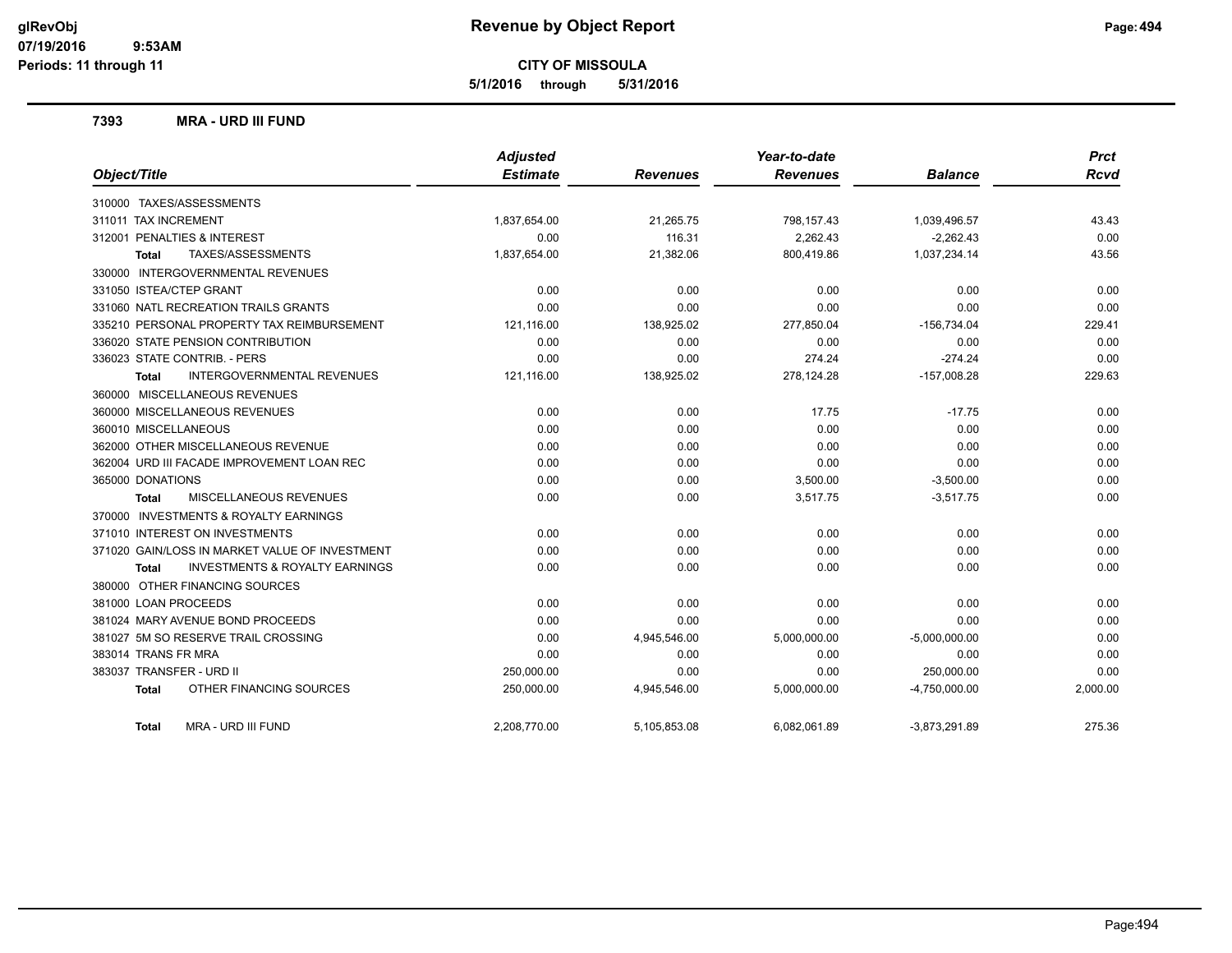**5/1/2016 through 5/31/2016**

#### **7393 MRA - URD III FUND**

|                                                           | <b>Adjusted</b> |                 | Year-to-date    |                 | <b>Prct</b> |
|-----------------------------------------------------------|-----------------|-----------------|-----------------|-----------------|-------------|
| Object/Title                                              | <b>Estimate</b> | <b>Revenues</b> | <b>Revenues</b> | <b>Balance</b>  | <b>Rcvd</b> |
| 310000 TAXES/ASSESSMENTS                                  |                 |                 |                 |                 |             |
| 311011 TAX INCREMENT                                      | 1,837,654.00    | 21,265.75       | 798,157.43      | 1,039,496.57    | 43.43       |
| 312001 PENALTIES & INTEREST                               | 0.00            | 116.31          | 2.262.43        | $-2.262.43$     | 0.00        |
| TAXES/ASSESSMENTS<br><b>Total</b>                         | 1,837,654.00    | 21,382.06       | 800,419.86      | 1,037,234.14    | 43.56       |
| 330000 INTERGOVERNMENTAL REVENUES                         |                 |                 |                 |                 |             |
| 331050 ISTEA/CTEP GRANT                                   | 0.00            | 0.00            | 0.00            | 0.00            | 0.00        |
| 331060 NATL RECREATION TRAILS GRANTS                      | 0.00            | 0.00            | 0.00            | 0.00            | 0.00        |
| 335210 PERSONAL PROPERTY TAX REIMBURSEMENT                | 121,116.00      | 138,925.02      | 277,850.04      | $-156,734.04$   | 229.41      |
| 336020 STATE PENSION CONTRIBUTION                         | 0.00            | 0.00            | 0.00            | 0.00            | 0.00        |
| 336023 STATE CONTRIB. - PERS                              | 0.00            | 0.00            | 274.24          | $-274.24$       | 0.00        |
| INTERGOVERNMENTAL REVENUES<br>Total                       | 121,116.00      | 138,925.02      | 278,124.28      | $-157,008.28$   | 229.63      |
| 360000 MISCELLANEOUS REVENUES                             |                 |                 |                 |                 |             |
| 360000 MISCELLANEOUS REVENUES                             | 0.00            | 0.00            | 17.75           | $-17.75$        | 0.00        |
| 360010 MISCELLANEOUS                                      | 0.00            | 0.00            | 0.00            | 0.00            | 0.00        |
| 362000 OTHER MISCELLANEOUS REVENUE                        | 0.00            | 0.00            | 0.00            | 0.00            | 0.00        |
| 362004 URD III FACADE IMPROVEMENT LOAN REC                | 0.00            | 0.00            | 0.00            | 0.00            | 0.00        |
| 365000 DONATIONS                                          | 0.00            | 0.00            | 3,500.00        | $-3,500.00$     | 0.00        |
| MISCELLANEOUS REVENUES<br>Total                           | 0.00            | 0.00            | 3.517.75        | $-3,517.75$     | 0.00        |
| 370000 INVESTMENTS & ROYALTY EARNINGS                     |                 |                 |                 |                 |             |
| 371010 INTEREST ON INVESTMENTS                            | 0.00            | 0.00            | 0.00            | 0.00            | 0.00        |
| 371020 GAIN/LOSS IN MARKET VALUE OF INVESTMENT            | 0.00            | 0.00            | 0.00            | 0.00            | 0.00        |
| <b>INVESTMENTS &amp; ROYALTY EARNINGS</b><br><b>Total</b> | 0.00            | 0.00            | 0.00            | 0.00            | 0.00        |
| 380000 OTHER FINANCING SOURCES                            |                 |                 |                 |                 |             |
| 381000 LOAN PROCEEDS                                      | 0.00            | 0.00            | 0.00            | 0.00            | 0.00        |
| 381024 MARY AVENUE BOND PROCEEDS                          | 0.00            | 0.00            | 0.00            | 0.00            | 0.00        |
| 381027 5M SO RESERVE TRAIL CROSSING                       | 0.00            | 4,945,546.00    | 5,000,000.00    | $-5,000,000.00$ | 0.00        |
| 383014 TRANS FR MRA                                       | 0.00            | 0.00            | 0.00            | 0.00            | 0.00        |
| 383037 TRANSFER - URD II                                  | 250,000.00      | 0.00            | 0.00            | 250,000.00      | 0.00        |
| OTHER FINANCING SOURCES<br>Total                          | 250,000.00      | 4,945,546.00    | 5,000,000.00    | $-4,750,000.00$ | 2,000.00    |
| MRA - URD III FUND<br>Total                               | 2,208,770.00    | 5,105,853.08    | 6,082,061.89    | $-3,873,291.89$ | 275.36      |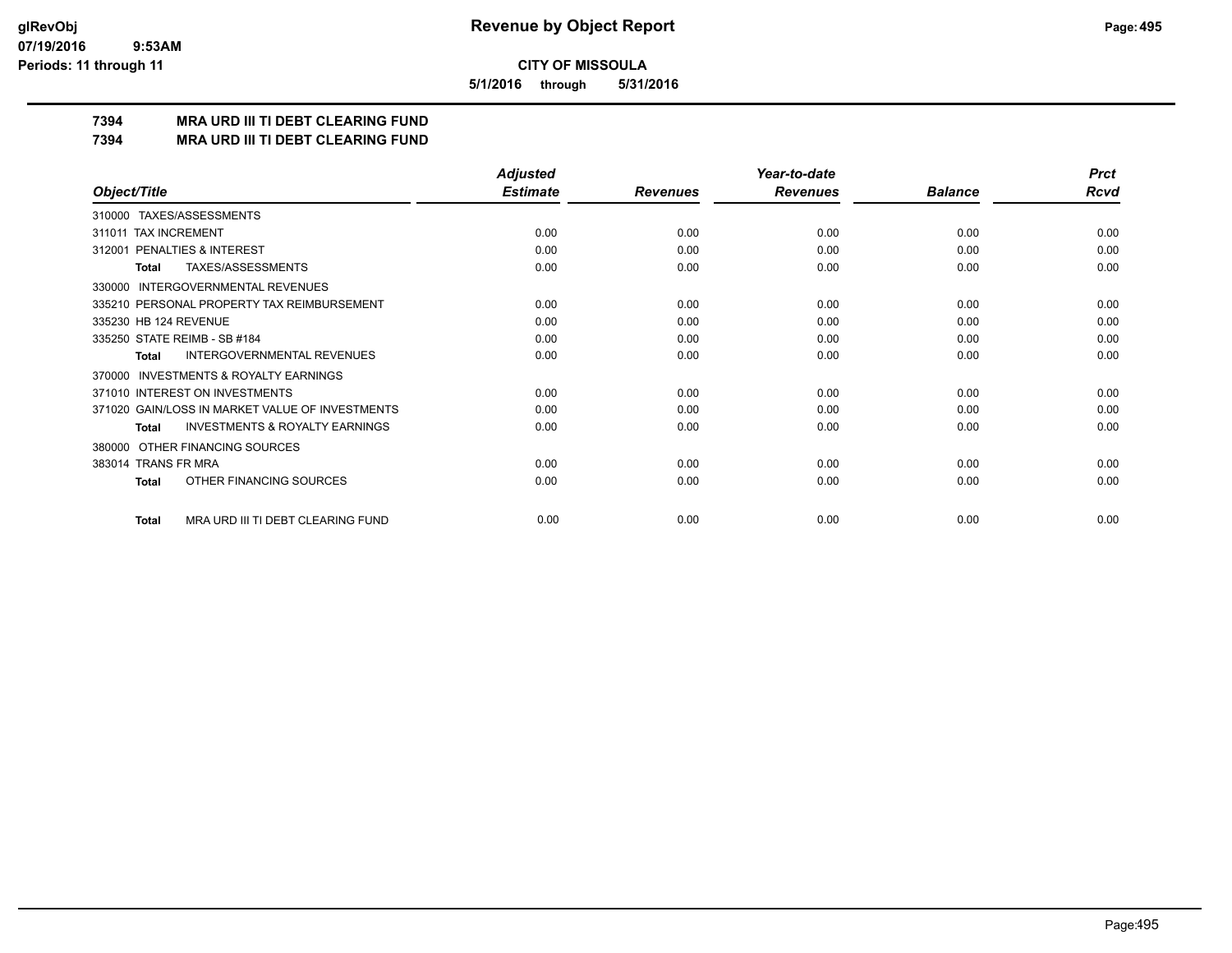**5/1/2016 through 5/31/2016**

## **7394 MRA URD III TI DEBT CLEARING FUND**

**7394 MRA URD III TI DEBT CLEARING FUND**

|                                                     | <b>Adjusted</b> |                 | Year-to-date    |                | <b>Prct</b> |
|-----------------------------------------------------|-----------------|-----------------|-----------------|----------------|-------------|
| Object/Title                                        | <b>Estimate</b> | <b>Revenues</b> | <b>Revenues</b> | <b>Balance</b> | <b>Rcvd</b> |
| 310000 TAXES/ASSESSMENTS                            |                 |                 |                 |                |             |
| <b>TAX INCREMENT</b><br>311011                      | 0.00            | 0.00            | 0.00            | 0.00           | 0.00        |
| 312001 PENALTIES & INTEREST                         | 0.00            | 0.00            | 0.00            | 0.00           | 0.00        |
| <b>TAXES/ASSESSMENTS</b><br><b>Total</b>            | 0.00            | 0.00            | 0.00            | 0.00           | 0.00        |
| <b>INTERGOVERNMENTAL REVENUES</b><br>330000         |                 |                 |                 |                |             |
| 335210 PERSONAL PROPERTY TAX REIMBURSEMENT          | 0.00            | 0.00            | 0.00            | 0.00           | 0.00        |
| 335230 HB 124 REVENUE                               | 0.00            | 0.00            | 0.00            | 0.00           | 0.00        |
| 335250 STATE REIMB - SB #184                        | 0.00            | 0.00            | 0.00            | 0.00           | 0.00        |
| <b>INTERGOVERNMENTAL REVENUES</b><br>Total          | 0.00            | 0.00            | 0.00            | 0.00           | 0.00        |
| <b>INVESTMENTS &amp; ROYALTY EARNINGS</b><br>370000 |                 |                 |                 |                |             |
| 371010 INTEREST ON INVESTMENTS                      | 0.00            | 0.00            | 0.00            | 0.00           | 0.00        |
| 371020 GAIN/LOSS IN MARKET VALUE OF INVESTMENTS     | 0.00            | 0.00            | 0.00            | 0.00           | 0.00        |
| <b>INVESTMENTS &amp; ROYALTY EARNINGS</b><br>Total  | 0.00            | 0.00            | 0.00            | 0.00           | 0.00        |
| OTHER FINANCING SOURCES<br>380000                   |                 |                 |                 |                |             |
| 383014 TRANS FR MRA                                 | 0.00            | 0.00            | 0.00            | 0.00           | 0.00        |
| OTHER FINANCING SOURCES<br><b>Total</b>             | 0.00            | 0.00            | 0.00            | 0.00           | 0.00        |
| MRA URD III TI DEBT CLEARING FUND<br><b>Total</b>   | 0.00            | 0.00            | 0.00            | 0.00           | 0.00        |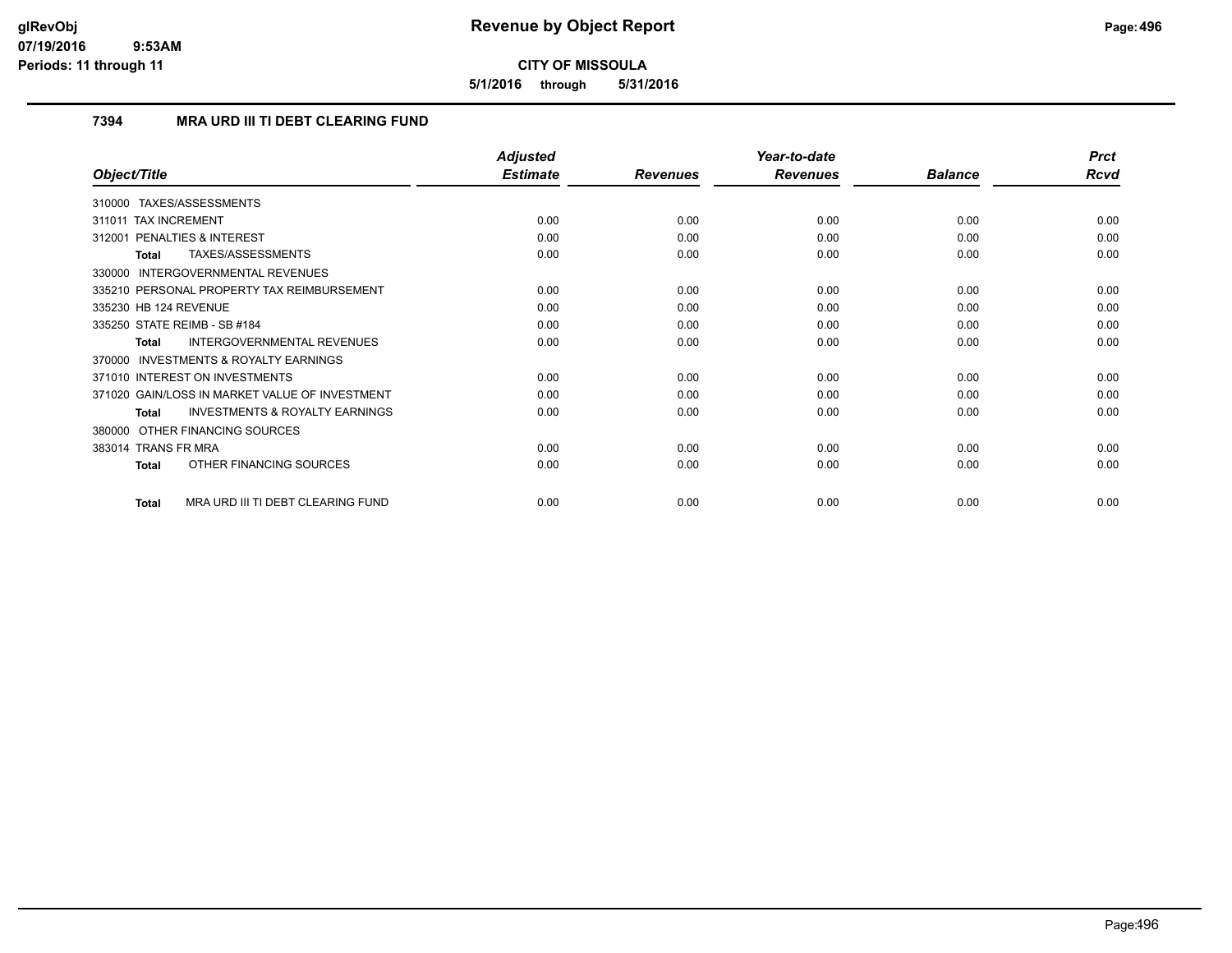**5/1/2016 through 5/31/2016**

## **7394 MRA URD III TI DEBT CLEARING FUND**

|                                                           | <b>Adjusted</b> |                 | Year-to-date    |                | <b>Prct</b> |
|-----------------------------------------------------------|-----------------|-----------------|-----------------|----------------|-------------|
| Object/Title                                              | <b>Estimate</b> | <b>Revenues</b> | <b>Revenues</b> | <b>Balance</b> | Rcvd        |
| 310000 TAXES/ASSESSMENTS                                  |                 |                 |                 |                |             |
| 311011 TAX INCREMENT                                      | 0.00            | 0.00            | 0.00            | 0.00           | 0.00        |
| 312001 PENALTIES & INTEREST                               | 0.00            | 0.00            | 0.00            | 0.00           | 0.00        |
| TAXES/ASSESSMENTS<br><b>Total</b>                         | 0.00            | 0.00            | 0.00            | 0.00           | 0.00        |
| 330000 INTERGOVERNMENTAL REVENUES                         |                 |                 |                 |                |             |
| 335210 PERSONAL PROPERTY TAX REIMBURSEMENT                | 0.00            | 0.00            | 0.00            | 0.00           | 0.00        |
| 335230 HB 124 REVENUE                                     | 0.00            | 0.00            | 0.00            | 0.00           | 0.00        |
| 335250 STATE REIMB - SB #184                              | 0.00            | 0.00            | 0.00            | 0.00           | 0.00        |
| <b>INTERGOVERNMENTAL REVENUES</b><br><b>Total</b>         | 0.00            | 0.00            | 0.00            | 0.00           | 0.00        |
| 370000 INVESTMENTS & ROYALTY EARNINGS                     |                 |                 |                 |                |             |
| 371010 INTEREST ON INVESTMENTS                            | 0.00            | 0.00            | 0.00            | 0.00           | 0.00        |
| 371020 GAIN/LOSS IN MARKET VALUE OF INVESTMENT            | 0.00            | 0.00            | 0.00            | 0.00           | 0.00        |
| <b>INVESTMENTS &amp; ROYALTY EARNINGS</b><br><b>Total</b> | 0.00            | 0.00            | 0.00            | 0.00           | 0.00        |
| OTHER FINANCING SOURCES<br>380000                         |                 |                 |                 |                |             |
| 383014 TRANS FR MRA                                       | 0.00            | 0.00            | 0.00            | 0.00           | 0.00        |
| OTHER FINANCING SOURCES<br>Total                          | 0.00            | 0.00            | 0.00            | 0.00           | 0.00        |
| MRA URD III TI DEBT CLEARING FUND<br><b>Total</b>         | 0.00            | 0.00            | 0.00            | 0.00           | 0.00        |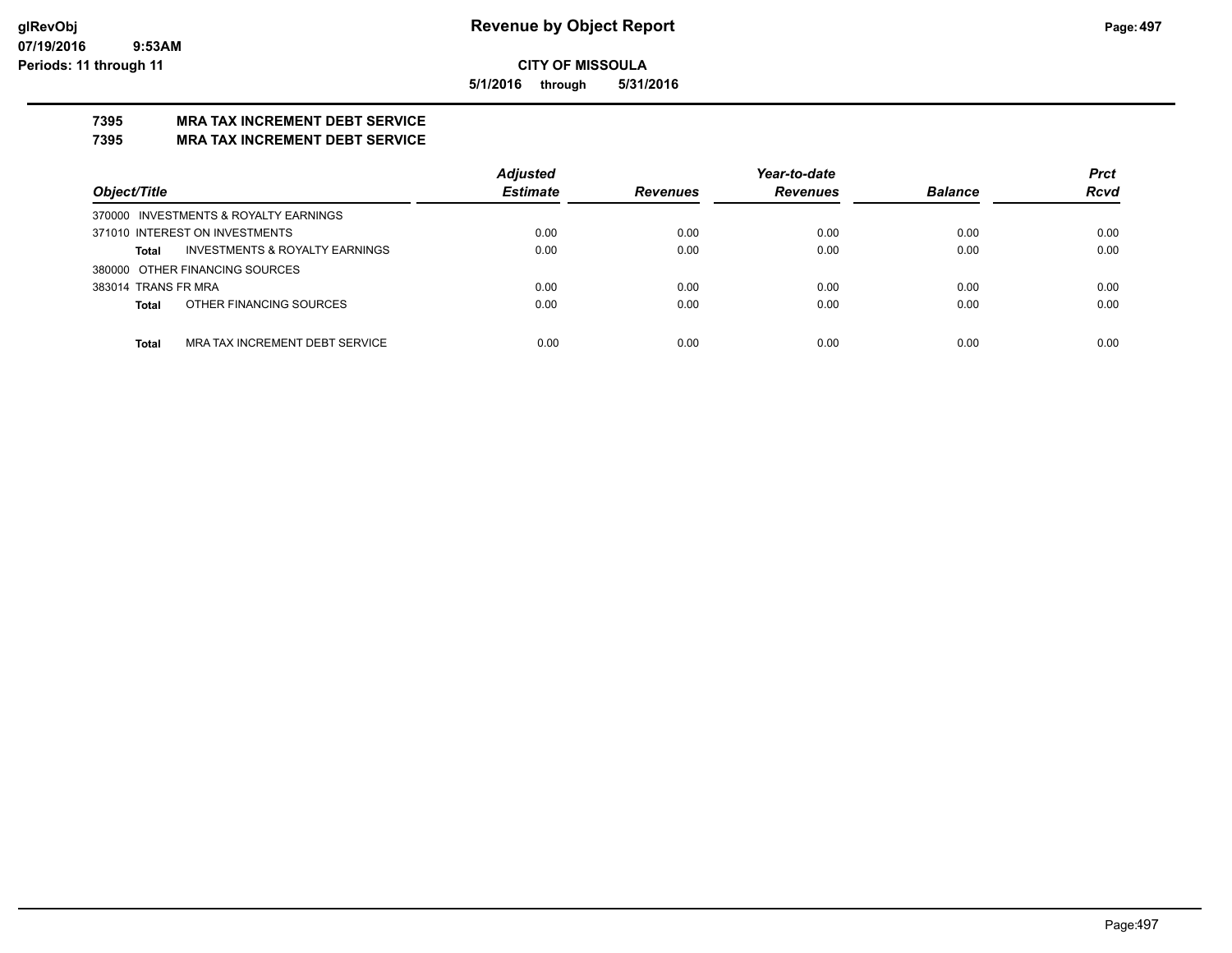**5/1/2016 through 5/31/2016**

## **7395 MRA TAX INCREMENT DEBT SERVICE**

#### **7395 MRA TAX INCREMENT DEBT SERVICE**

|                                                           | <b>Adjusted</b> |                 | Year-to-date    |                | <b>Prct</b> |
|-----------------------------------------------------------|-----------------|-----------------|-----------------|----------------|-------------|
| Object/Title                                              | <b>Estimate</b> | <b>Revenues</b> | <b>Revenues</b> | <b>Balance</b> | <b>Rcvd</b> |
| 370000 INVESTMENTS & ROYALTY EARNINGS                     |                 |                 |                 |                |             |
| 371010 INTEREST ON INVESTMENTS                            | 0.00            | 0.00            | 0.00            | 0.00           | 0.00        |
| <b>INVESTMENTS &amp; ROYALTY EARNINGS</b><br><b>Total</b> | 0.00            | 0.00            | 0.00            | 0.00           | 0.00        |
| 380000 OTHER FINANCING SOURCES                            |                 |                 |                 |                |             |
| 383014 TRANS FR MRA                                       | 0.00            | 0.00            | 0.00            | 0.00           | 0.00        |
| OTHER FINANCING SOURCES<br><b>Total</b>                   | 0.00            | 0.00            | 0.00            | 0.00           | 0.00        |
|                                                           |                 |                 |                 |                |             |
| MRA TAX INCREMENT DEBT SERVICE<br><b>Total</b>            | 0.00            | 0.00            | 0.00            | 0.00           | 0.00        |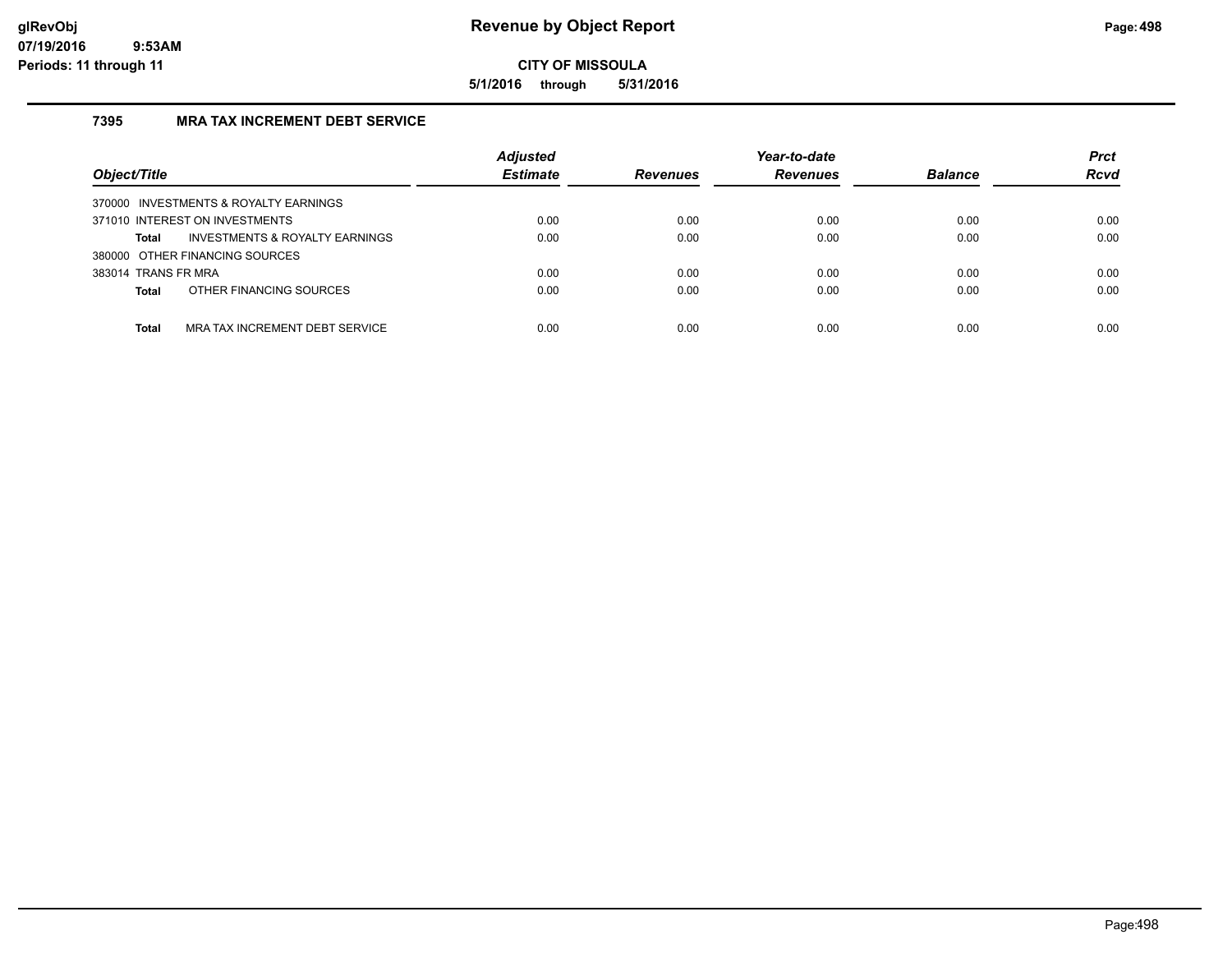**5/1/2016 through 5/31/2016**

## **7395 MRA TAX INCREMENT DEBT SERVICE**

| Object/Title                                   | <b>Adjusted</b><br><b>Estimate</b> | <b>Revenues</b> | Year-to-date<br><b>Revenues</b> | <b>Balance</b> | <b>Prct</b><br><b>Rcvd</b> |
|------------------------------------------------|------------------------------------|-----------------|---------------------------------|----------------|----------------------------|
| 370000 INVESTMENTS & ROYALTY EARNINGS          |                                    |                 |                                 |                |                            |
| 371010 INTEREST ON INVESTMENTS                 | 0.00                               | 0.00            | 0.00                            | 0.00           | 0.00                       |
| INVESTMENTS & ROYALTY EARNINGS<br>Total        | 0.00                               | 0.00            | 0.00                            | 0.00           | 0.00                       |
| 380000 OTHER FINANCING SOURCES                 |                                    |                 |                                 |                |                            |
| 383014 TRANS FR MRA                            | 0.00                               | 0.00            | 0.00                            | 0.00           | 0.00                       |
| OTHER FINANCING SOURCES<br><b>Total</b>        | 0.00                               | 0.00            | 0.00                            | 0.00           | 0.00                       |
|                                                |                                    |                 |                                 |                |                            |
| MRA TAX INCREMENT DEBT SERVICE<br><b>Total</b> | 0.00                               | 0.00            | 0.00                            | 0.00           | 0.00                       |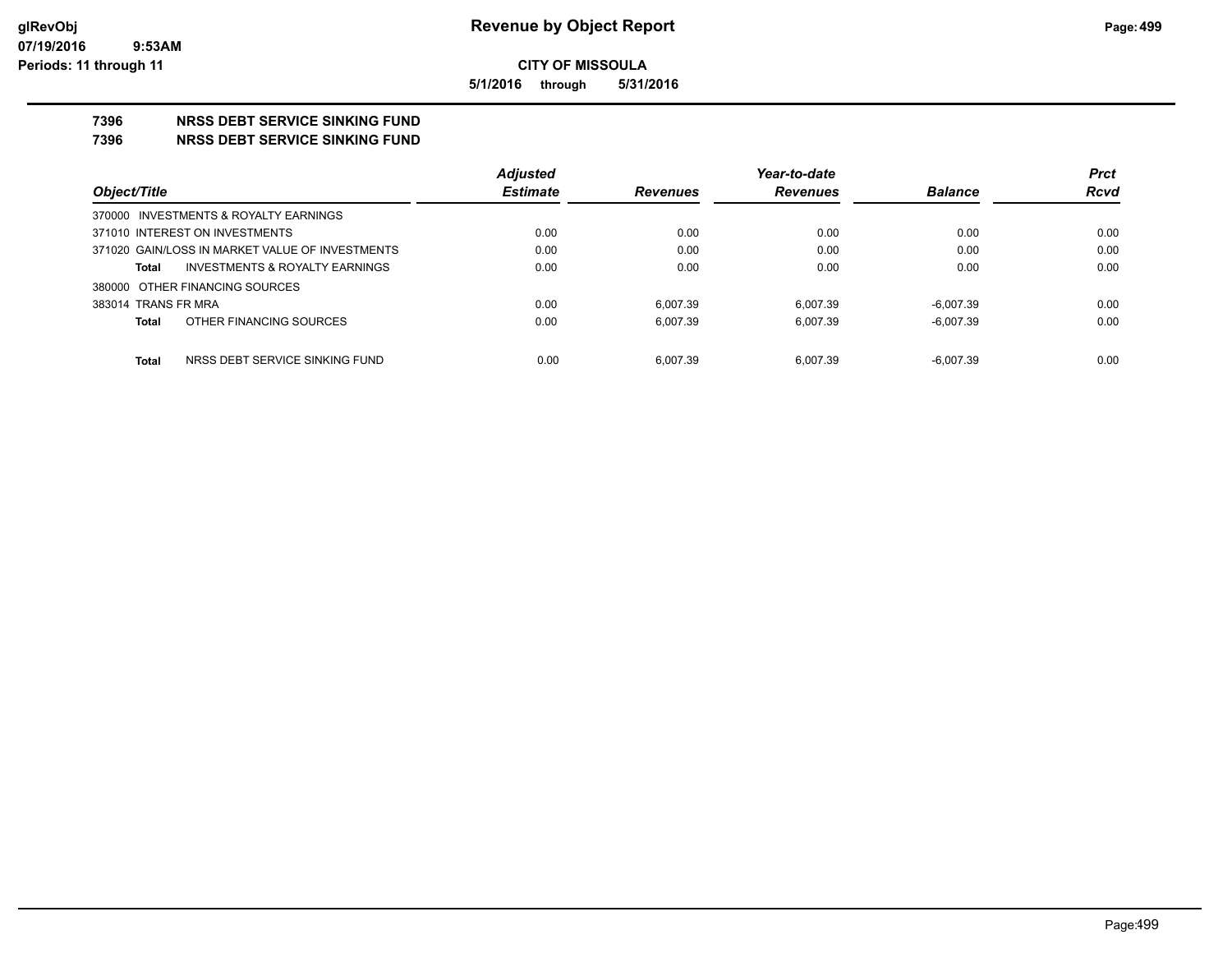**5/1/2016 through 5/31/2016**

## **7396 NRSS DEBT SERVICE SINKING FUND**

**7396 NRSS DEBT SERVICE SINKING FUND**

|                                                 | <b>Adjusted</b> |                 | Year-to-date    |                | <b>Prct</b> |
|-------------------------------------------------|-----------------|-----------------|-----------------|----------------|-------------|
| Object/Title                                    | <b>Estimate</b> | <b>Revenues</b> | <b>Revenues</b> | <b>Balance</b> | <b>Rcvd</b> |
| 370000 INVESTMENTS & ROYALTY EARNINGS           |                 |                 |                 |                |             |
| 371010 INTEREST ON INVESTMENTS                  | 0.00            | 0.00            | 0.00            | 0.00           | 0.00        |
| 371020 GAIN/LOSS IN MARKET VALUE OF INVESTMENTS | 0.00            | 0.00            | 0.00            | 0.00           | 0.00        |
| INVESTMENTS & ROYALTY EARNINGS<br>Total         | 0.00            | 0.00            | 0.00            | 0.00           | 0.00        |
| 380000 OTHER FINANCING SOURCES                  |                 |                 |                 |                |             |
| 383014 TRANS FR MRA                             | 0.00            | 6.007.39        | 6.007.39        | $-6.007.39$    | 0.00        |
| OTHER FINANCING SOURCES<br>Total                | 0.00            | 6.007.39        | 6.007.39        | $-6.007.39$    | 0.00        |
|                                                 |                 |                 |                 |                |             |
| Total<br>NRSS DEBT SERVICE SINKING FUND         | 0.00            | 6.007.39        | 6.007.39        | $-6.007.39$    | 0.00        |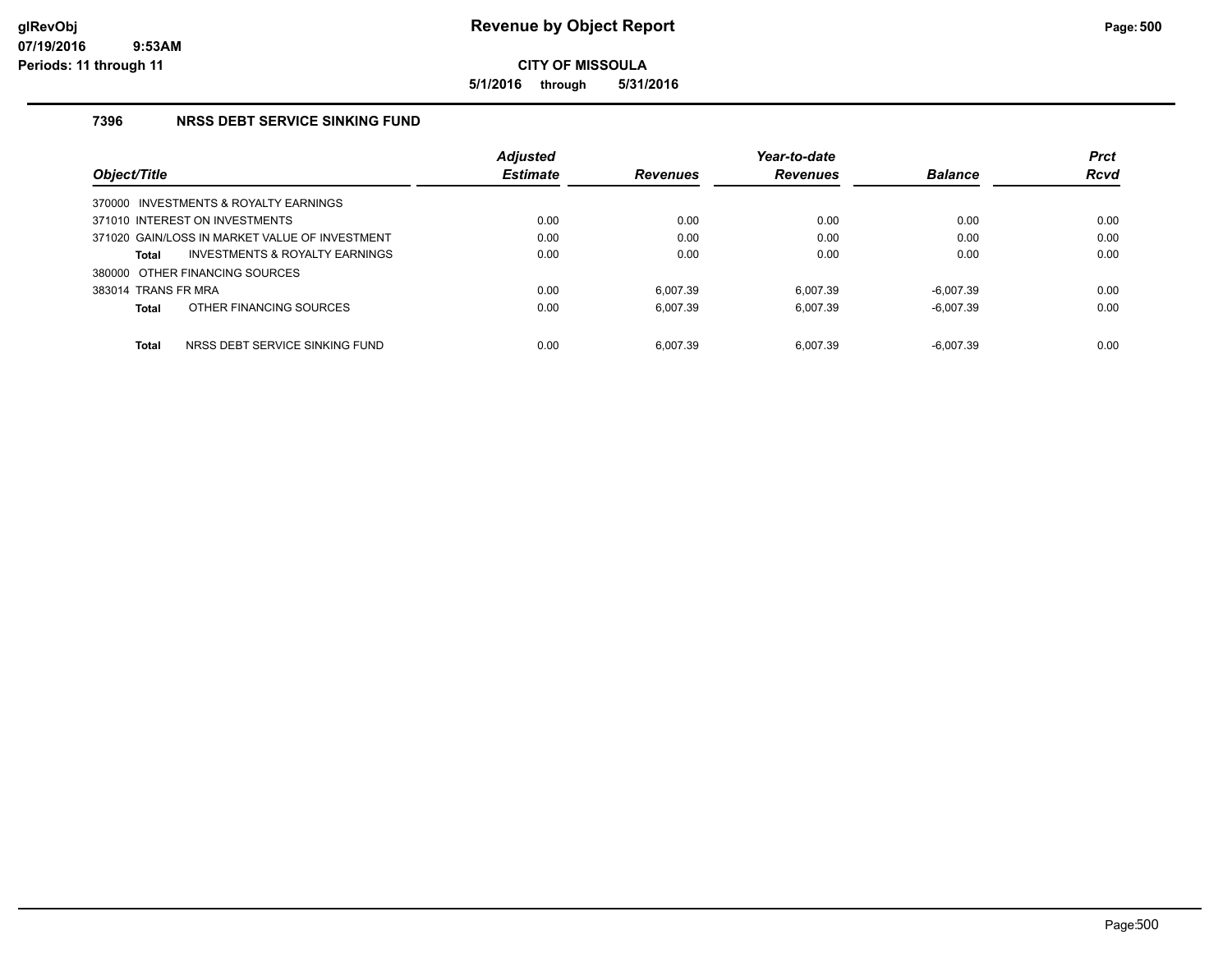**5/1/2016 through 5/31/2016**

## **7396 NRSS DEBT SERVICE SINKING FUND**

|                     |                                                | <b>Adjusted</b> |                 | Year-to-date    |                | <b>Prct</b> |
|---------------------|------------------------------------------------|-----------------|-----------------|-----------------|----------------|-------------|
| Object/Title        |                                                | <b>Estimate</b> | <b>Revenues</b> | <b>Revenues</b> | <b>Balance</b> | <b>Rcvd</b> |
|                     | 370000 INVESTMENTS & ROYALTY EARNINGS          |                 |                 |                 |                |             |
|                     | 371010 INTEREST ON INVESTMENTS                 | 0.00            | 0.00            | 0.00            | 0.00           | 0.00        |
|                     | 371020 GAIN/LOSS IN MARKET VALUE OF INVESTMENT | 0.00            | 0.00            | 0.00            | 0.00           | 0.00        |
| <b>Total</b>        | INVESTMENTS & ROYALTY EARNINGS                 | 0.00            | 0.00            | 0.00            | 0.00           | 0.00        |
|                     | 380000 OTHER FINANCING SOURCES                 |                 |                 |                 |                |             |
| 383014 TRANS FR MRA |                                                | 0.00            | 6.007.39        | 6.007.39        | $-6.007.39$    | 0.00        |
| <b>Total</b>        | OTHER FINANCING SOURCES                        | 0.00            | 6.007.39        | 6.007.39        | $-6.007.39$    | 0.00        |
| <b>Total</b>        | NRSS DEBT SERVICE SINKING FUND                 | 0.00            | 6.007.39        | 6.007.39        | $-6.007.39$    | 0.00        |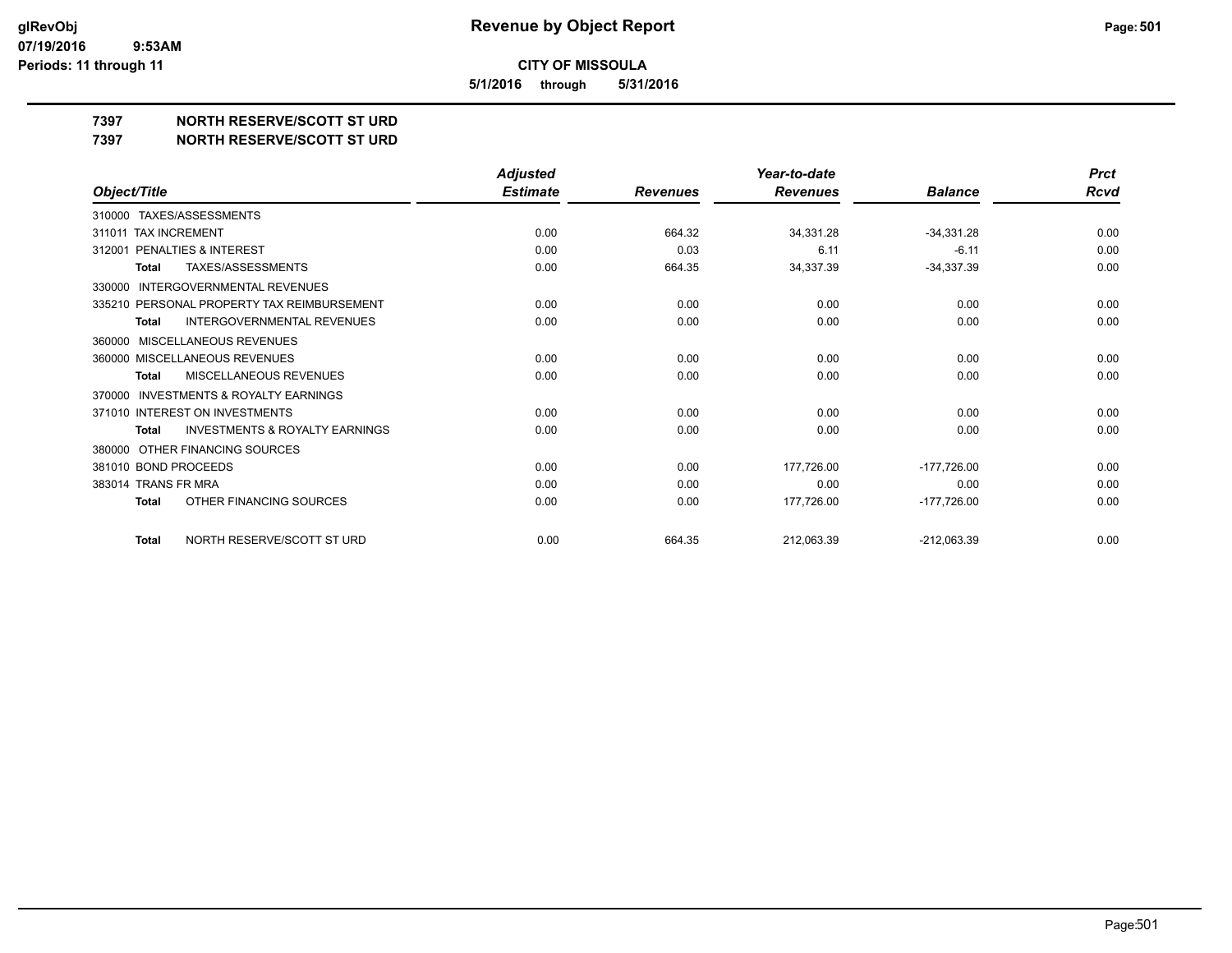**5/1/2016 through 5/31/2016**

## **7397 NORTH RESERVE/SCOTT ST URD**

**7397 NORTH RESERVE/SCOTT ST URD**

|                                                           | <b>Adjusted</b> |                 | Year-to-date    |                | <b>Prct</b> |
|-----------------------------------------------------------|-----------------|-----------------|-----------------|----------------|-------------|
| Object/Title                                              | <b>Estimate</b> | <b>Revenues</b> | <b>Revenues</b> | <b>Balance</b> | <b>Rcvd</b> |
| TAXES/ASSESSMENTS<br>310000                               |                 |                 |                 |                |             |
| 311011 TAX INCREMENT                                      | 0.00            | 664.32          | 34,331.28       | $-34,331.28$   | 0.00        |
| <b>PENALTIES &amp; INTEREST</b><br>312001                 | 0.00            | 0.03            | 6.11            | $-6.11$        | 0.00        |
| TAXES/ASSESSMENTS<br><b>Total</b>                         | 0.00            | 664.35          | 34,337.39       | $-34,337.39$   | 0.00        |
| <b>INTERGOVERNMENTAL REVENUES</b><br>330000               |                 |                 |                 |                |             |
| 335210 PERSONAL PROPERTY TAX REIMBURSEMENT                | 0.00            | 0.00            | 0.00            | 0.00           | 0.00        |
| <b>INTERGOVERNMENTAL REVENUES</b><br><b>Total</b>         | 0.00            | 0.00            | 0.00            | 0.00           | 0.00        |
| <b>MISCELLANEOUS REVENUES</b><br>360000                   |                 |                 |                 |                |             |
| 360000 MISCELLANEOUS REVENUES                             | 0.00            | 0.00            | 0.00            | 0.00           | 0.00        |
| MISCELLANEOUS REVENUES<br><b>Total</b>                    | 0.00            | 0.00            | 0.00            | 0.00           | 0.00        |
| <b>INVESTMENTS &amp; ROYALTY EARNINGS</b><br>370000       |                 |                 |                 |                |             |
| 371010 INTEREST ON INVESTMENTS                            | 0.00            | 0.00            | 0.00            | 0.00           | 0.00        |
| <b>INVESTMENTS &amp; ROYALTY EARNINGS</b><br><b>Total</b> | 0.00            | 0.00            | 0.00            | 0.00           | 0.00        |
| OTHER FINANCING SOURCES<br>380000                         |                 |                 |                 |                |             |
| 381010 BOND PROCEEDS                                      | 0.00            | 0.00            | 177,726.00      | $-177,726.00$  | 0.00        |
| 383014 TRANS FR MRA                                       | 0.00            | 0.00            | 0.00            | 0.00           | 0.00        |
| OTHER FINANCING SOURCES<br><b>Total</b>                   | 0.00            | 0.00            | 177,726.00      | $-177,726.00$  | 0.00        |
| NORTH RESERVE/SCOTT ST URD<br><b>Total</b>                | 0.00            | 664.35          | 212,063.39      | $-212,063.39$  | 0.00        |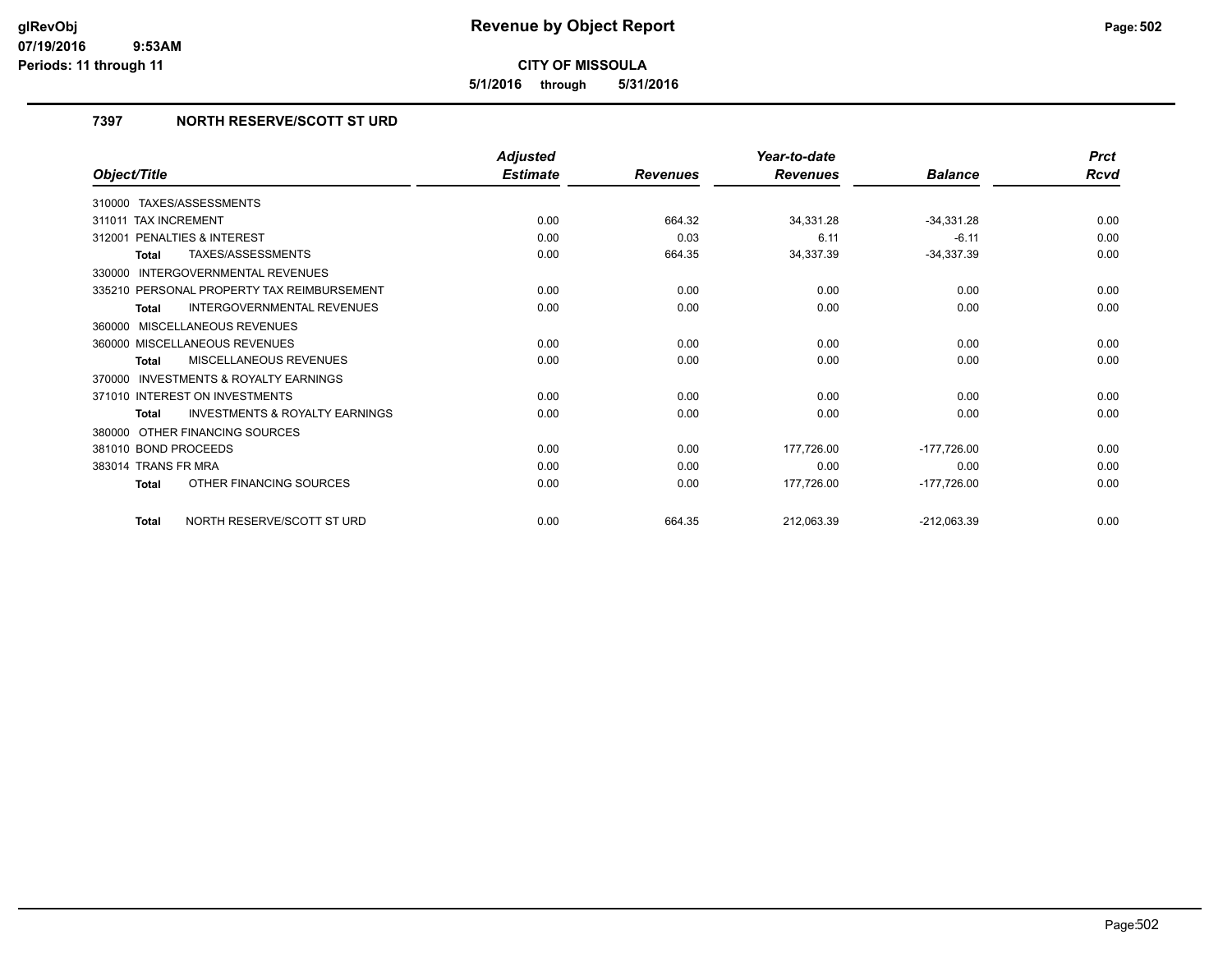**5/1/2016 through 5/31/2016**

## **7397 NORTH RESERVE/SCOTT ST URD**

|                                                    | <b>Adjusted</b> |                 | Year-to-date    |                | <b>Prct</b> |
|----------------------------------------------------|-----------------|-----------------|-----------------|----------------|-------------|
| Object/Title                                       | <b>Estimate</b> | <b>Revenues</b> | <b>Revenues</b> | <b>Balance</b> | Rcvd        |
| 310000 TAXES/ASSESSMENTS                           |                 |                 |                 |                |             |
| <b>TAX INCREMENT</b><br>311011                     | 0.00            | 664.32          | 34,331.28       | $-34,331.28$   | 0.00        |
| PENALTIES & INTEREST<br>312001                     | 0.00            | 0.03            | 6.11            | $-6.11$        | 0.00        |
| TAXES/ASSESSMENTS<br><b>Total</b>                  | 0.00            | 664.35          | 34,337.39       | $-34,337.39$   | 0.00        |
| INTERGOVERNMENTAL REVENUES<br>330000               |                 |                 |                 |                |             |
| 335210 PERSONAL PROPERTY TAX REIMBURSEMENT         | 0.00            | 0.00            | 0.00            | 0.00           | 0.00        |
| <b>INTERGOVERNMENTAL REVENUES</b><br><b>Total</b>  | 0.00            | 0.00            | 0.00            | 0.00           | 0.00        |
| 360000 MISCELLANEOUS REVENUES                      |                 |                 |                 |                |             |
| 360000 MISCELLANEOUS REVENUES                      | 0.00            | 0.00            | 0.00            | 0.00           | 0.00        |
| MISCELLANEOUS REVENUES<br><b>Total</b>             | 0.00            | 0.00            | 0.00            | 0.00           | 0.00        |
| 370000 INVESTMENTS & ROYALTY EARNINGS              |                 |                 |                 |                |             |
| 371010 INTEREST ON INVESTMENTS                     | 0.00            | 0.00            | 0.00            | 0.00           | 0.00        |
| <b>INVESTMENTS &amp; ROYALTY EARNINGS</b><br>Total | 0.00            | 0.00            | 0.00            | 0.00           | 0.00        |
| 380000 OTHER FINANCING SOURCES                     |                 |                 |                 |                |             |
| 381010 BOND PROCEEDS                               | 0.00            | 0.00            | 177,726.00      | $-177,726.00$  | 0.00        |
| 383014 TRANS FR MRA                                | 0.00            | 0.00            | 0.00            | 0.00           | 0.00        |
| OTHER FINANCING SOURCES<br>Total                   | 0.00            | 0.00            | 177,726.00      | $-177,726.00$  | 0.00        |
| NORTH RESERVE/SCOTT ST URD<br><b>Total</b>         | 0.00            | 664.35          | 212,063.39      | $-212,063.39$  | 0.00        |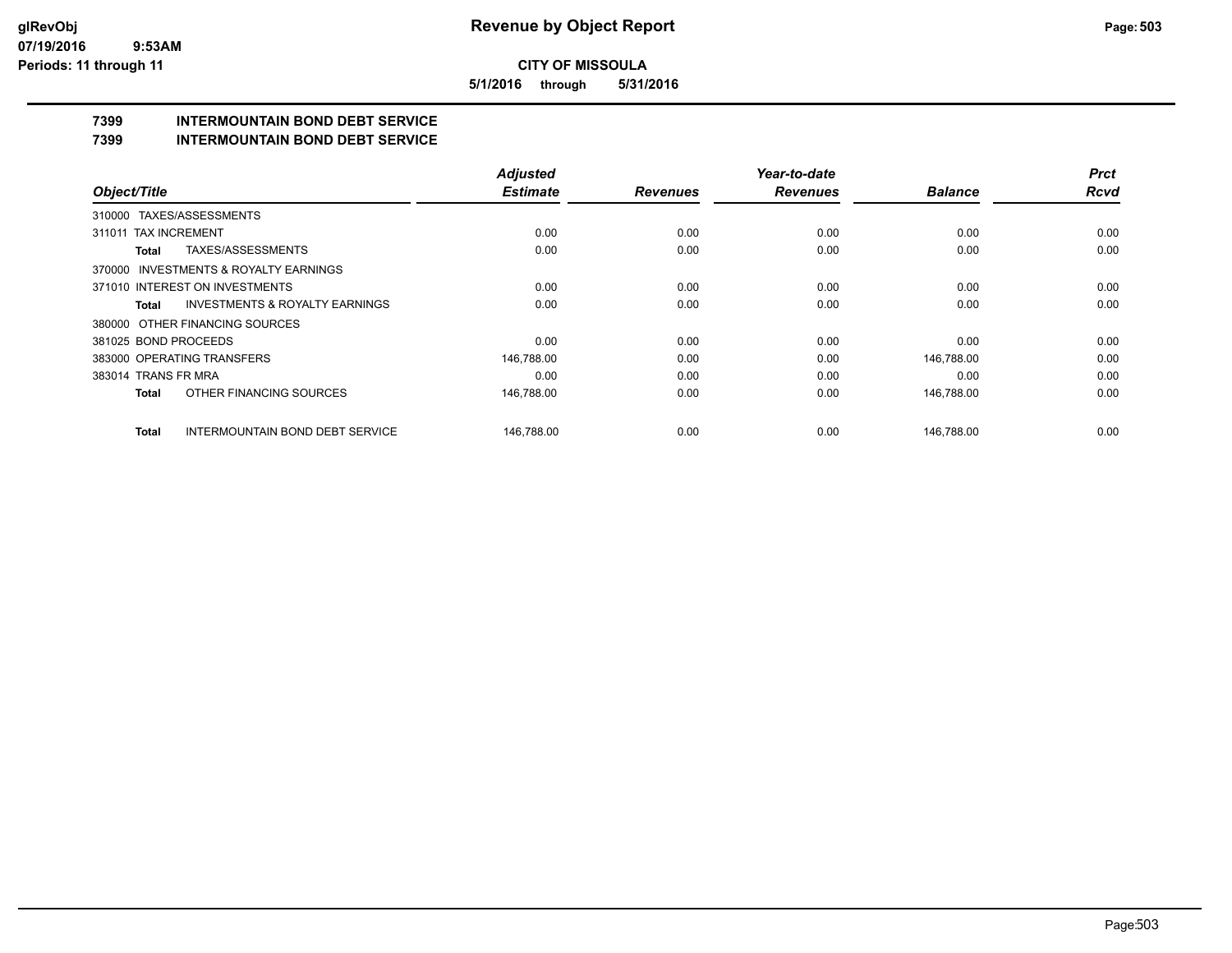**5/1/2016 through 5/31/2016**

## **7399 INTERMOUNTAIN BOND DEBT SERVICE**

## **7399 INTERMOUNTAIN BOND DEBT SERVICE**

| Object/Title                                              | <b>Adjusted</b> |                 | Year-to-date    |                | <b>Prct</b> |
|-----------------------------------------------------------|-----------------|-----------------|-----------------|----------------|-------------|
|                                                           | <b>Estimate</b> | <b>Revenues</b> | <b>Revenues</b> | <b>Balance</b> | <b>Rcvd</b> |
| TAXES/ASSESSMENTS<br>310000                               |                 |                 |                 |                |             |
| 311011 TAX INCREMENT                                      | 0.00            | 0.00            | 0.00            | 0.00           | 0.00        |
| TAXES/ASSESSMENTS<br>Total                                | 0.00            | 0.00            | 0.00            | 0.00           | 0.00        |
| 370000 INVESTMENTS & ROYALTY EARNINGS                     |                 |                 |                 |                |             |
| 371010 INTEREST ON INVESTMENTS                            | 0.00            | 0.00            | 0.00            | 0.00           | 0.00        |
| <b>INVESTMENTS &amp; ROYALTY EARNINGS</b><br><b>Total</b> | 0.00            | 0.00            | 0.00            | 0.00           | 0.00        |
| 380000 OTHER FINANCING SOURCES                            |                 |                 |                 |                |             |
| 381025 BOND PROCEEDS                                      | 0.00            | 0.00            | 0.00            | 0.00           | 0.00        |
| 383000 OPERATING TRANSFERS                                | 146,788.00      | 0.00            | 0.00            | 146,788.00     | 0.00        |
| 383014 TRANS FR MRA                                       | 0.00            | 0.00            | 0.00            | 0.00           | 0.00        |
| OTHER FINANCING SOURCES<br><b>Total</b>                   | 146,788.00      | 0.00            | 0.00            | 146,788.00     | 0.00        |
| <b>INTERMOUNTAIN BOND DEBT SERVICE</b><br><b>Total</b>    | 146.788.00      | 0.00            | 0.00            | 146.788.00     | 0.00        |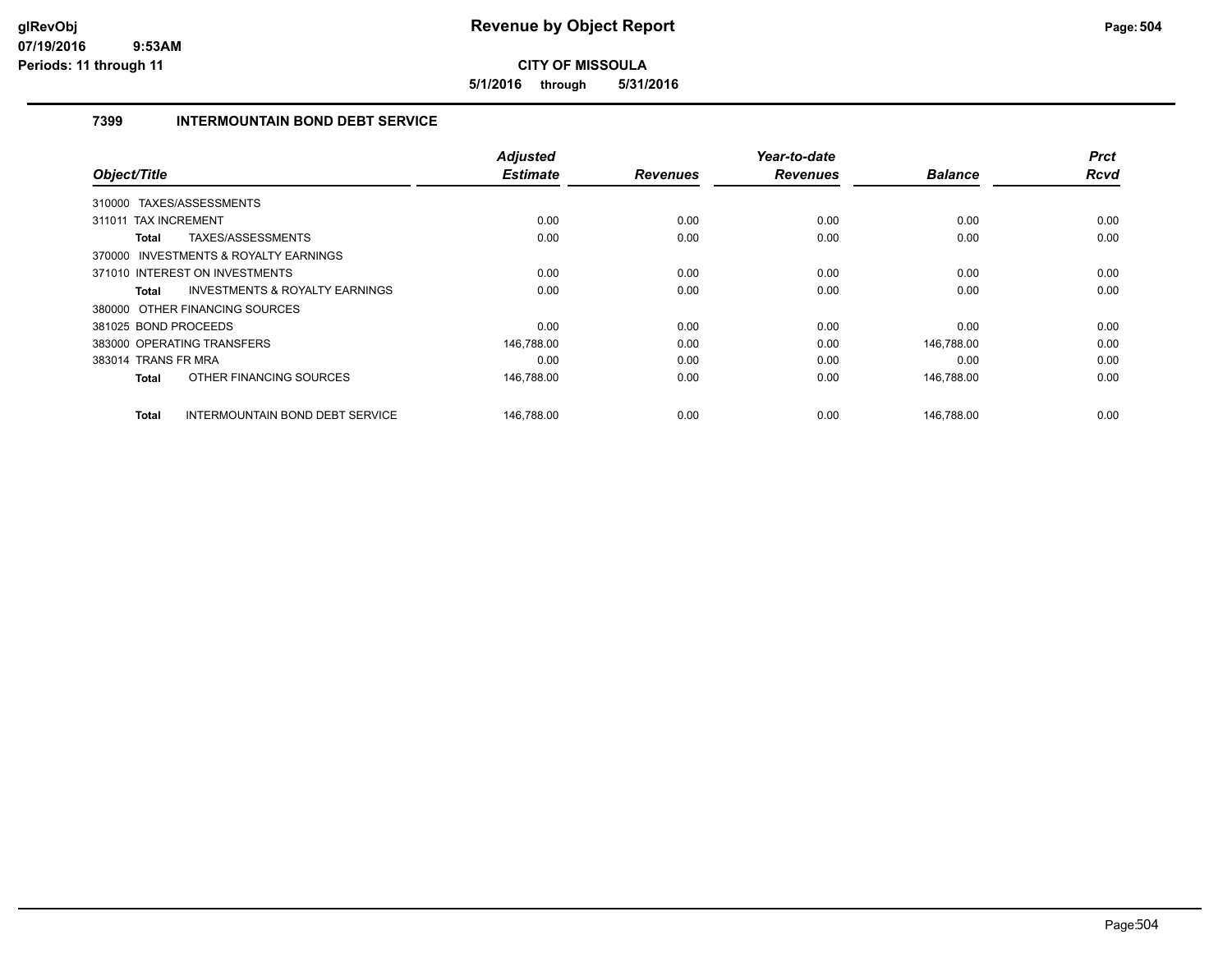**5/1/2016 through 5/31/2016**

## **7399 INTERMOUNTAIN BOND DEBT SERVICE**

| Object/Title                                           | <b>Adjusted</b> | <b>Revenues</b> | Year-to-date<br><b>Revenues</b> | <b>Balance</b> | <b>Prct</b><br>Rcvd |
|--------------------------------------------------------|-----------------|-----------------|---------------------------------|----------------|---------------------|
|                                                        | <b>Estimate</b> |                 |                                 |                |                     |
| 310000 TAXES/ASSESSMENTS                               |                 |                 |                                 |                |                     |
| 311011 TAX INCREMENT                                   | 0.00            | 0.00            | 0.00                            | 0.00           | 0.00                |
| TAXES/ASSESSMENTS<br>Total                             | 0.00            | 0.00            | 0.00                            | 0.00           | 0.00                |
| 370000 INVESTMENTS & ROYALTY EARNINGS                  |                 |                 |                                 |                |                     |
| 371010 INTEREST ON INVESTMENTS                         | 0.00            | 0.00            | 0.00                            | 0.00           | 0.00                |
| <b>INVESTMENTS &amp; ROYALTY EARNINGS</b><br>Total     | 0.00            | 0.00            | 0.00                            | 0.00           | 0.00                |
| 380000 OTHER FINANCING SOURCES                         |                 |                 |                                 |                |                     |
| 381025 BOND PROCEEDS                                   | 0.00            | 0.00            | 0.00                            | 0.00           | 0.00                |
| 383000 OPERATING TRANSFERS                             | 146,788.00      | 0.00            | 0.00                            | 146,788.00     | 0.00                |
| 383014 TRANS FR MRA                                    | 0.00            | 0.00            | 0.00                            | 0.00           | 0.00                |
| OTHER FINANCING SOURCES<br><b>Total</b>                | 146,788.00      | 0.00            | 0.00                            | 146,788.00     | 0.00                |
| <b>Total</b><br><b>INTERMOUNTAIN BOND DEBT SERVICE</b> | 146,788.00      | 0.00            | 0.00                            | 146,788.00     | 0.00                |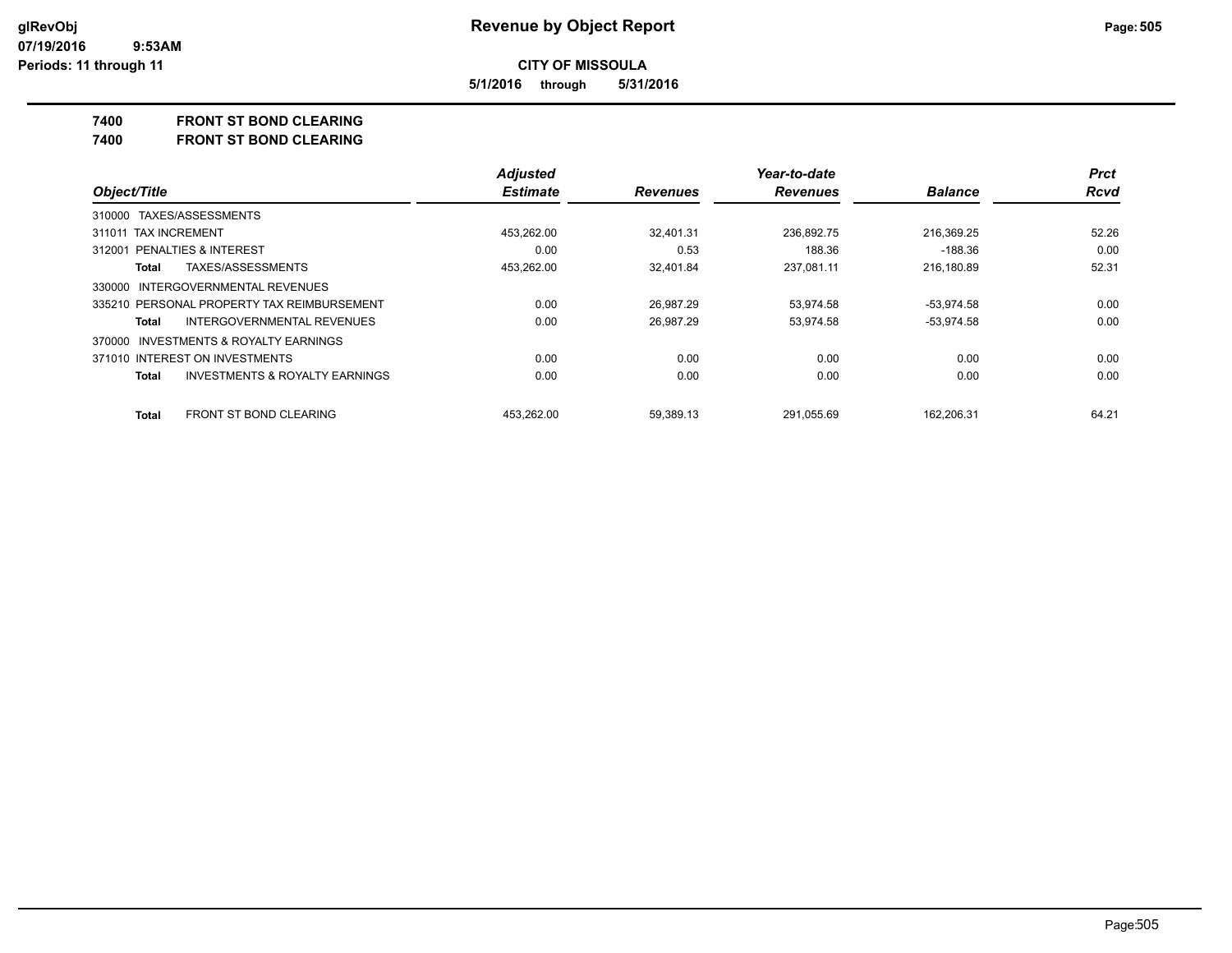**5/1/2016 through 5/31/2016**

### **7400 FRONT ST BOND CLEARING**

**7400 FRONT ST BOND CLEARING**

|                                                           | <b>Adjusted</b> |                 | Year-to-date    |                | <b>Prct</b> |
|-----------------------------------------------------------|-----------------|-----------------|-----------------|----------------|-------------|
| Object/Title                                              | <b>Estimate</b> | <b>Revenues</b> | <b>Revenues</b> | <b>Balance</b> | Rcvd        |
| 310000 TAXES/ASSESSMENTS                                  |                 |                 |                 |                |             |
| 311011 TAX INCREMENT                                      | 453.262.00      | 32.401.31       | 236.892.75      | 216.369.25     | 52.26       |
| <b>PENALTIES &amp; INTEREST</b><br>312001                 | 0.00            | 0.53            | 188.36          | -188.36        | 0.00        |
| TAXES/ASSESSMENTS<br>Total                                | 453.262.00      | 32.401.84       | 237.081.11      | 216.180.89     | 52.31       |
| 330000 INTERGOVERNMENTAL REVENUES                         |                 |                 |                 |                |             |
| 335210 PERSONAL PROPERTY TAX REIMBURSEMENT                | 0.00            | 26.987.29       | 53.974.58       | $-53.974.58$   | 0.00        |
| INTERGOVERNMENTAL REVENUES<br>Total                       | 0.00            | 26.987.29       | 53.974.58       | $-53.974.58$   | 0.00        |
| 370000 INVESTMENTS & ROYALTY EARNINGS                     |                 |                 |                 |                |             |
| 371010 INTEREST ON INVESTMENTS                            | 0.00            | 0.00            | 0.00            | 0.00           | 0.00        |
| <b>INVESTMENTS &amp; ROYALTY EARNINGS</b><br><b>Total</b> | 0.00            | 0.00            | 0.00            | 0.00           | 0.00        |
| FRONT ST BOND CLEARING<br><b>Total</b>                    | 453.262.00      | 59.389.13       | 291.055.69      | 162,206.31     | 64.21       |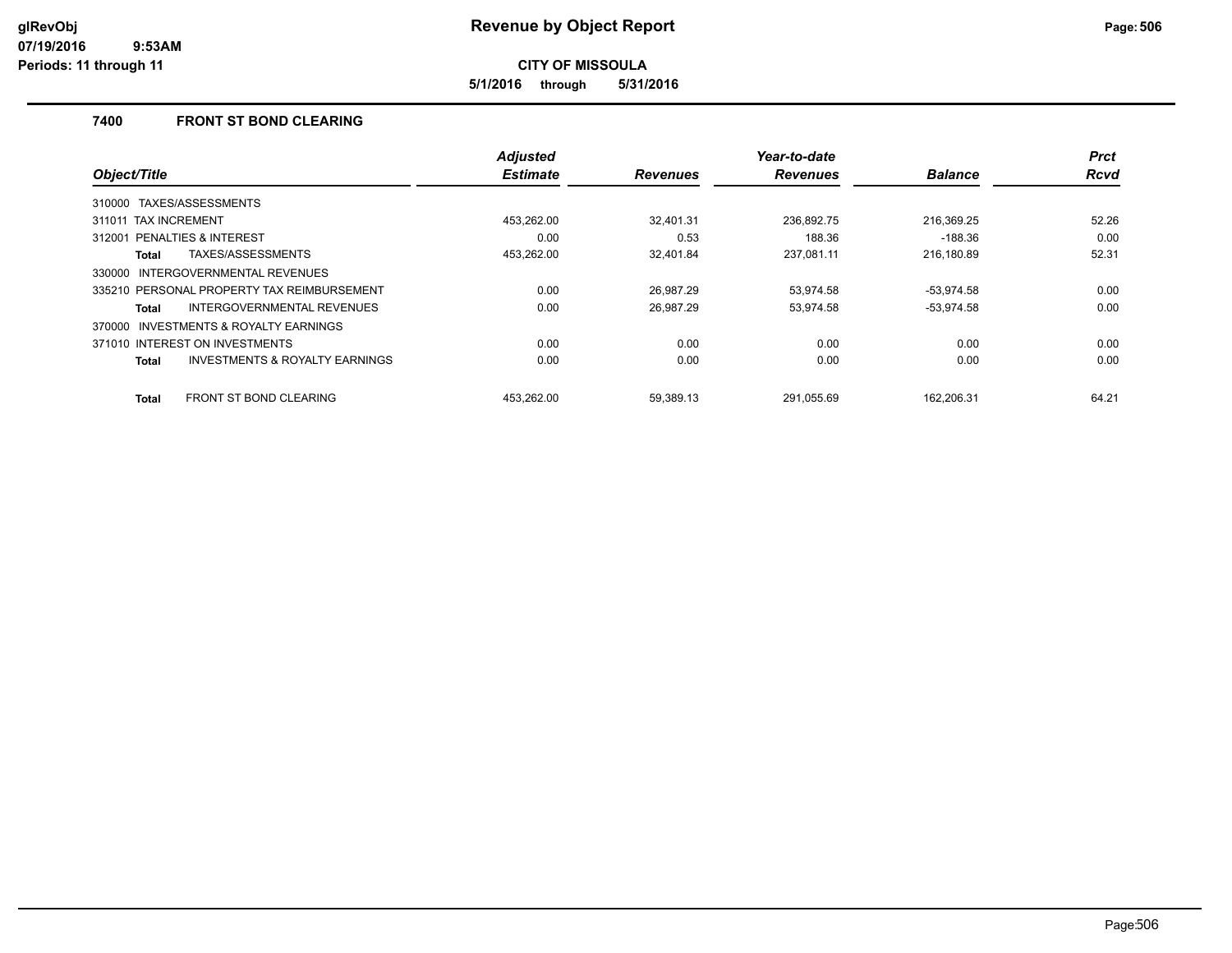**5/1/2016 through 5/31/2016**

### **7400 FRONT ST BOND CLEARING**

|                                                    | <b>Adjusted</b> |                 | Year-to-date    |                | <b>Prct</b> |
|----------------------------------------------------|-----------------|-----------------|-----------------|----------------|-------------|
| Object/Title                                       | <b>Estimate</b> | <b>Revenues</b> | <b>Revenues</b> | <b>Balance</b> | Rcvd        |
| TAXES/ASSESSMENTS<br>310000                        |                 |                 |                 |                |             |
| <b>TAX INCREMENT</b><br>311011                     | 453,262.00      | 32.401.31       | 236.892.75      | 216,369.25     | 52.26       |
| PENALTIES & INTEREST<br>312001                     | 0.00            | 0.53            | 188.36          | $-188.36$      | 0.00        |
| TAXES/ASSESSMENTS<br>Total                         | 453,262.00      | 32.401.84       | 237.081.11      | 216.180.89     | 52.31       |
| INTERGOVERNMENTAL REVENUES<br>330000               |                 |                 |                 |                |             |
| 335210 PERSONAL PROPERTY TAX REIMBURSEMENT         | 0.00            | 26.987.29       | 53,974.58       | $-53,974.58$   | 0.00        |
| <b>INTERGOVERNMENTAL REVENUES</b><br>Total         | 0.00            | 26.987.29       | 53,974.58       | $-53,974.58$   | 0.00        |
| INVESTMENTS & ROYALTY EARNINGS<br>370000           |                 |                 |                 |                |             |
| 371010 INTEREST ON INVESTMENTS                     | 0.00            | 0.00            | 0.00            | 0.00           | 0.00        |
| <b>INVESTMENTS &amp; ROYALTY EARNINGS</b><br>Total | 0.00            | 0.00            | 0.00            | 0.00           | 0.00        |
| <b>FRONT ST BOND CLEARING</b><br>Total             | 453.262.00      | 59.389.13       | 291.055.69      | 162.206.31     | 64.21       |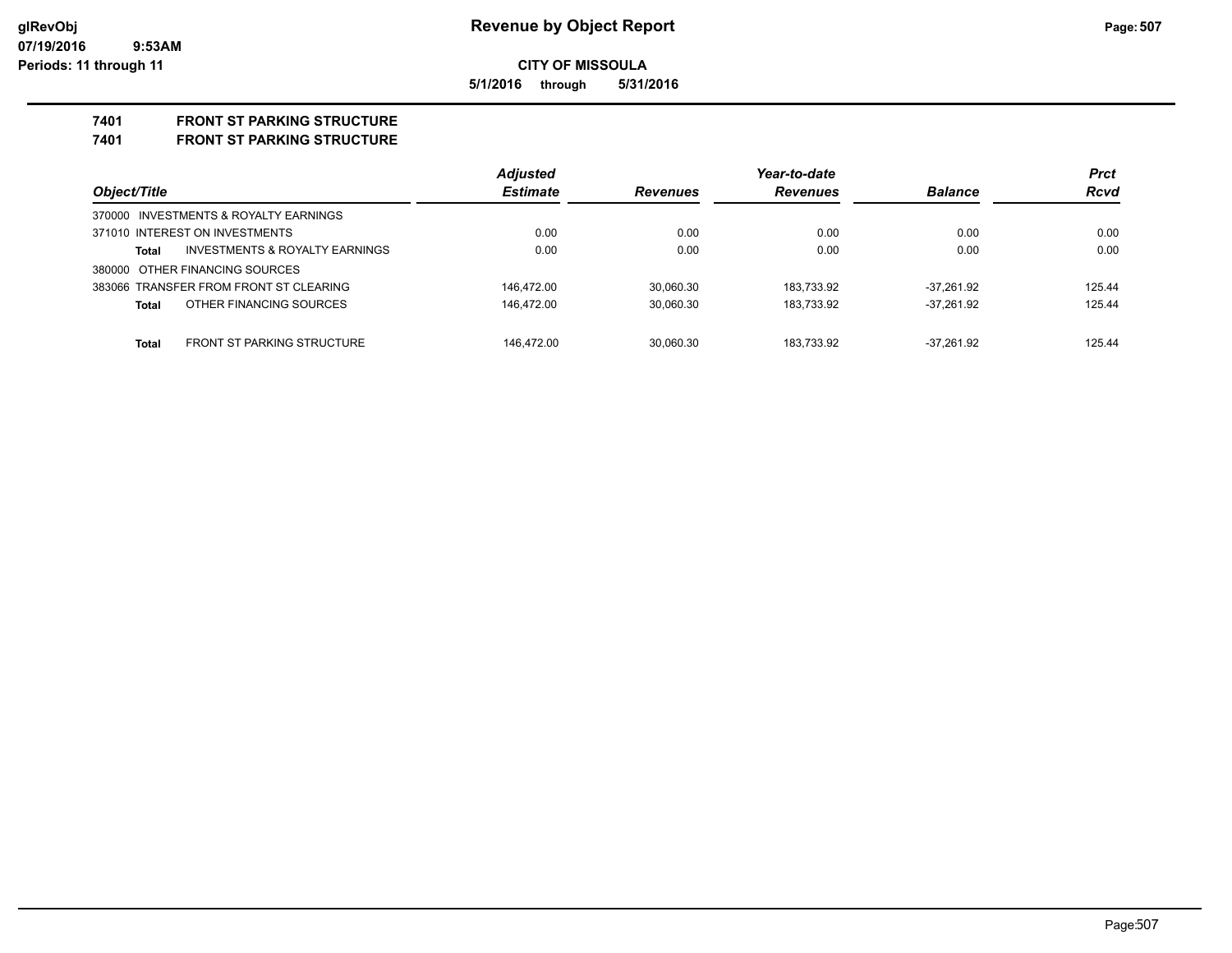**5/1/2016 through 5/31/2016**

## **7401 FRONT ST PARKING STRUCTURE**

**7401 FRONT ST PARKING STRUCTURE**

|                                            | <b>Adjusted</b> |                 | Year-to-date    |                | <b>Prct</b> |
|--------------------------------------------|-----------------|-----------------|-----------------|----------------|-------------|
| Object/Title                               | <b>Estimate</b> | <b>Revenues</b> | <b>Revenues</b> | <b>Balance</b> | <b>Rcvd</b> |
| 370000 INVESTMENTS & ROYALTY EARNINGS      |                 |                 |                 |                |             |
| 371010 INTEREST ON INVESTMENTS             | 0.00            | 0.00            | 0.00            | 0.00           | 0.00        |
| INVESTMENTS & ROYALTY EARNINGS<br>Total    | 0.00            | 0.00            | 0.00            | 0.00           | 0.00        |
| 380000 OTHER FINANCING SOURCES             |                 |                 |                 |                |             |
| 383066 TRANSFER FROM FRONT ST CLEARING     | 146.472.00      | 30.060.30       | 183.733.92      | $-37.261.92$   | 125.44      |
| OTHER FINANCING SOURCES<br>Total           | 146.472.00      | 30.060.30       | 183.733.92      | $-37.261.92$   | 125.44      |
| <b>FRONT ST PARKING STRUCTURE</b><br>Total | 146.472.00      | 30.060.30       | 183.733.92      | $-37.261.92$   | 125.44      |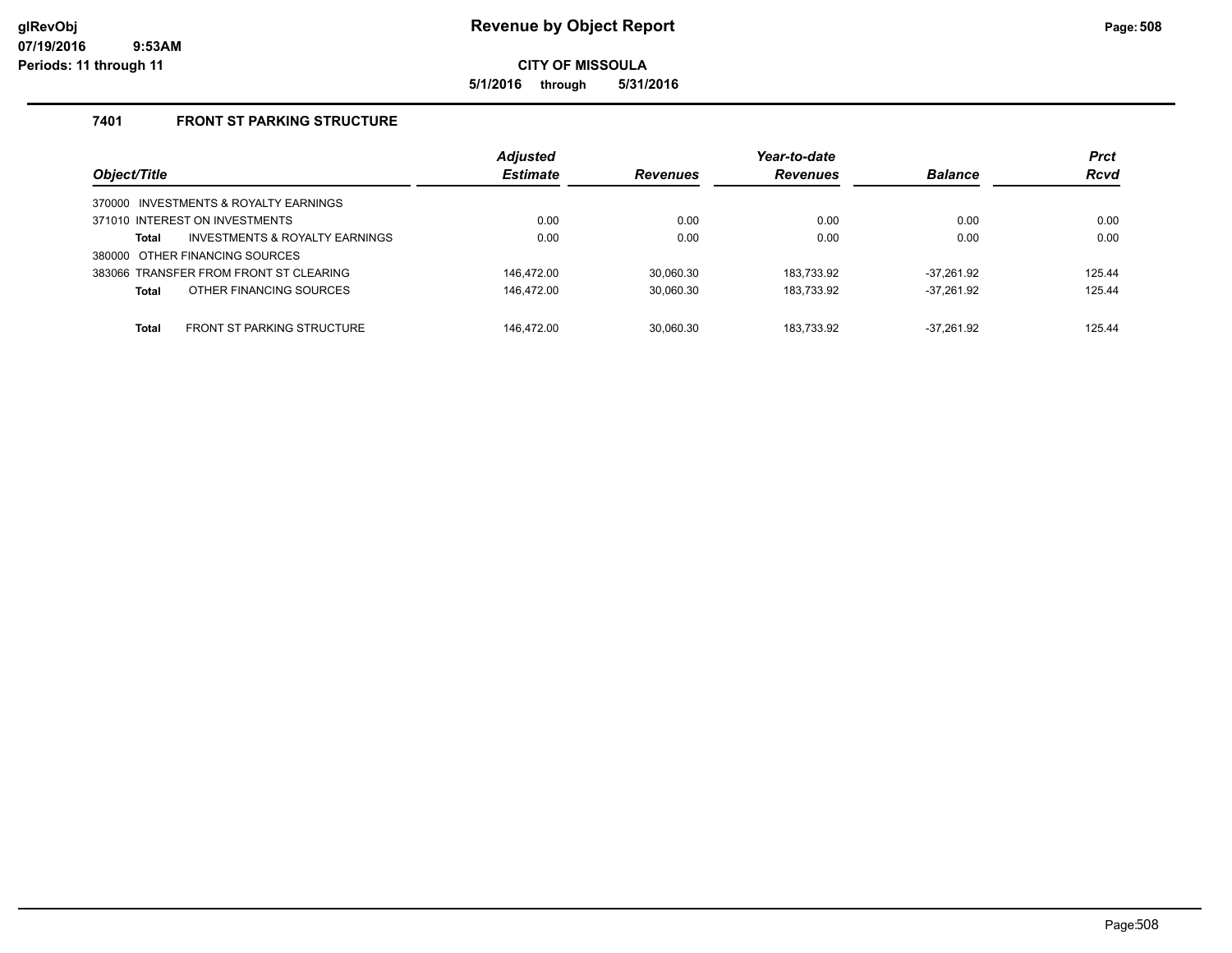**5/1/2016 through 5/31/2016**

### **7401 FRONT ST PARKING STRUCTURE**

| Object/Title                                       | <b>Adjusted</b><br><b>Estimate</b> | <b>Revenues</b> | Year-to-date<br><b>Revenues</b> | <b>Balance</b> | <b>Prct</b><br><b>Rcvd</b> |
|----------------------------------------------------|------------------------------------|-----------------|---------------------------------|----------------|----------------------------|
| 370000 INVESTMENTS & ROYALTY EARNINGS              |                                    |                 |                                 |                |                            |
| 371010 INTEREST ON INVESTMENTS                     | 0.00                               | 0.00            | 0.00                            | 0.00           | 0.00                       |
| <b>INVESTMENTS &amp; ROYALTY EARNINGS</b><br>Total | 0.00                               | 0.00            | 0.00                            | 0.00           | 0.00                       |
| 380000 OTHER FINANCING SOURCES                     |                                    |                 |                                 |                |                            |
| 383066 TRANSFER FROM FRONT ST CLEARING             | 146.472.00                         | 30.060.30       | 183.733.92                      | $-37.261.92$   | 125.44                     |
| OTHER FINANCING SOURCES<br><b>Total</b>            | 146.472.00                         | 30,060.30       | 183,733.92                      | $-37.261.92$   | 125.44                     |
|                                                    |                                    |                 |                                 |                |                            |
| <b>FRONT ST PARKING STRUCTURE</b><br><b>Total</b>  | 146.472.00                         | 30.060.30       | 183.733.92                      | $-37.261.92$   | 125.44                     |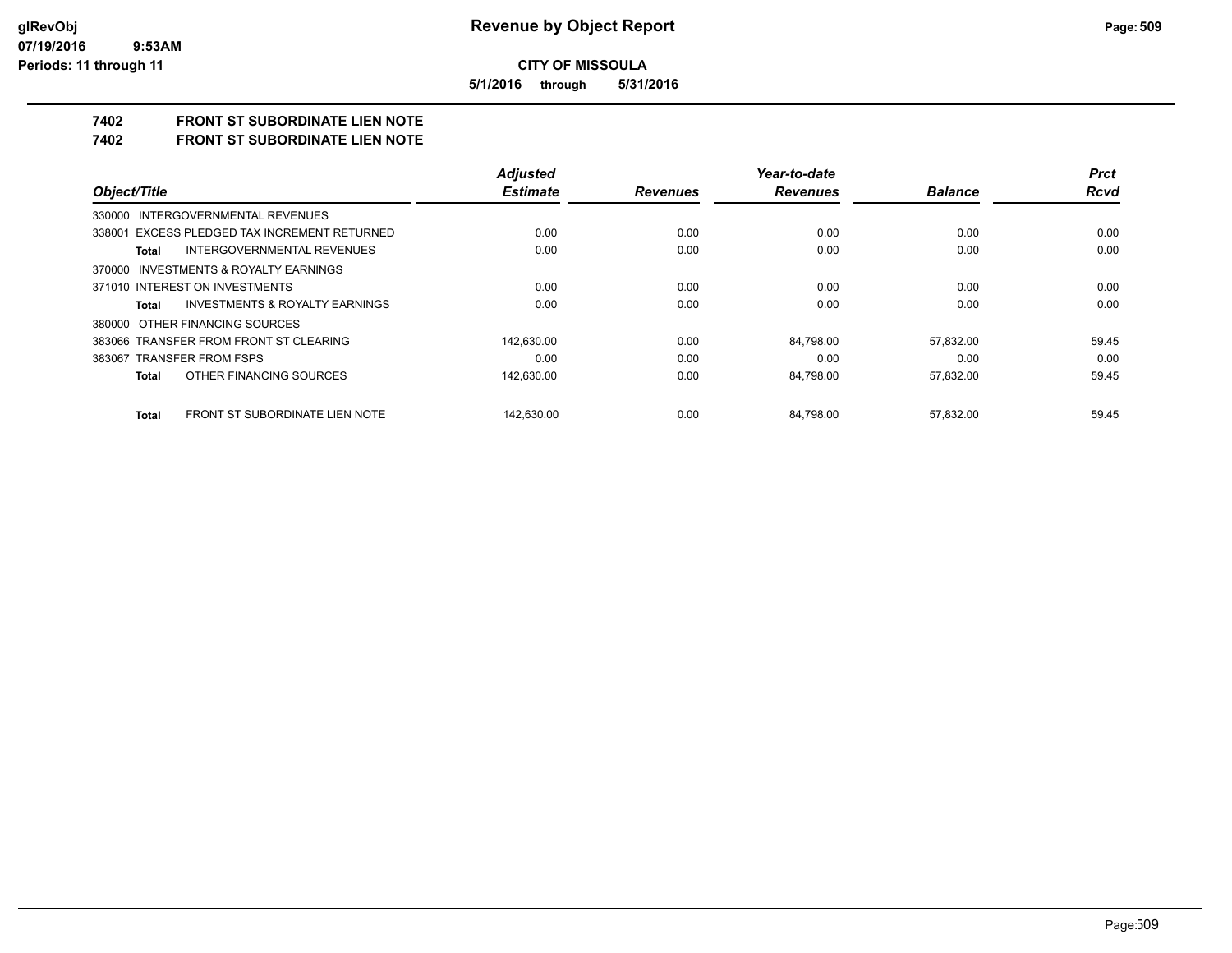**5/1/2016 through 5/31/2016**

# **7402 FRONT ST SUBORDINATE LIEN NOTE**

**7402 FRONT ST SUBORDINATE LIEN NOTE**

|                                                    | <b>Adjusted</b> |                 | Year-to-date    |                | <b>Prct</b> |
|----------------------------------------------------|-----------------|-----------------|-----------------|----------------|-------------|
| Object/Title                                       | <b>Estimate</b> | <b>Revenues</b> | <b>Revenues</b> | <b>Balance</b> | Rcvd        |
| 330000 INTERGOVERNMENTAL REVENUES                  |                 |                 |                 |                |             |
| 338001 EXCESS PLEDGED TAX INCREMENT RETURNED       | 0.00            | 0.00            | 0.00            | 0.00           | 0.00        |
| INTERGOVERNMENTAL REVENUES<br>Total                | 0.00            | 0.00            | 0.00            | 0.00           | 0.00        |
| 370000 INVESTMENTS & ROYALTY EARNINGS              |                 |                 |                 |                |             |
| 371010 INTEREST ON INVESTMENTS                     | 0.00            | 0.00            | 0.00            | 0.00           | 0.00        |
| <b>INVESTMENTS &amp; ROYALTY EARNINGS</b><br>Total | 0.00            | 0.00            | 0.00            | 0.00           | 0.00        |
| 380000 OTHER FINANCING SOURCES                     |                 |                 |                 |                |             |
| 383066 TRANSFER FROM FRONT ST CLEARING             | 142.630.00      | 0.00            | 84.798.00       | 57.832.00      | 59.45       |
| 383067 TRANSFER FROM FSPS                          | 0.00            | 0.00            | 0.00            | 0.00           | 0.00        |
| OTHER FINANCING SOURCES<br>Total                   | 142,630.00      | 0.00            | 84,798.00       | 57,832.00      | 59.45       |
| FRONT ST SUBORDINATE LIEN NOTE<br>Total            | 142.630.00      | 0.00            | 84.798.00       | 57.832.00      | 59.45       |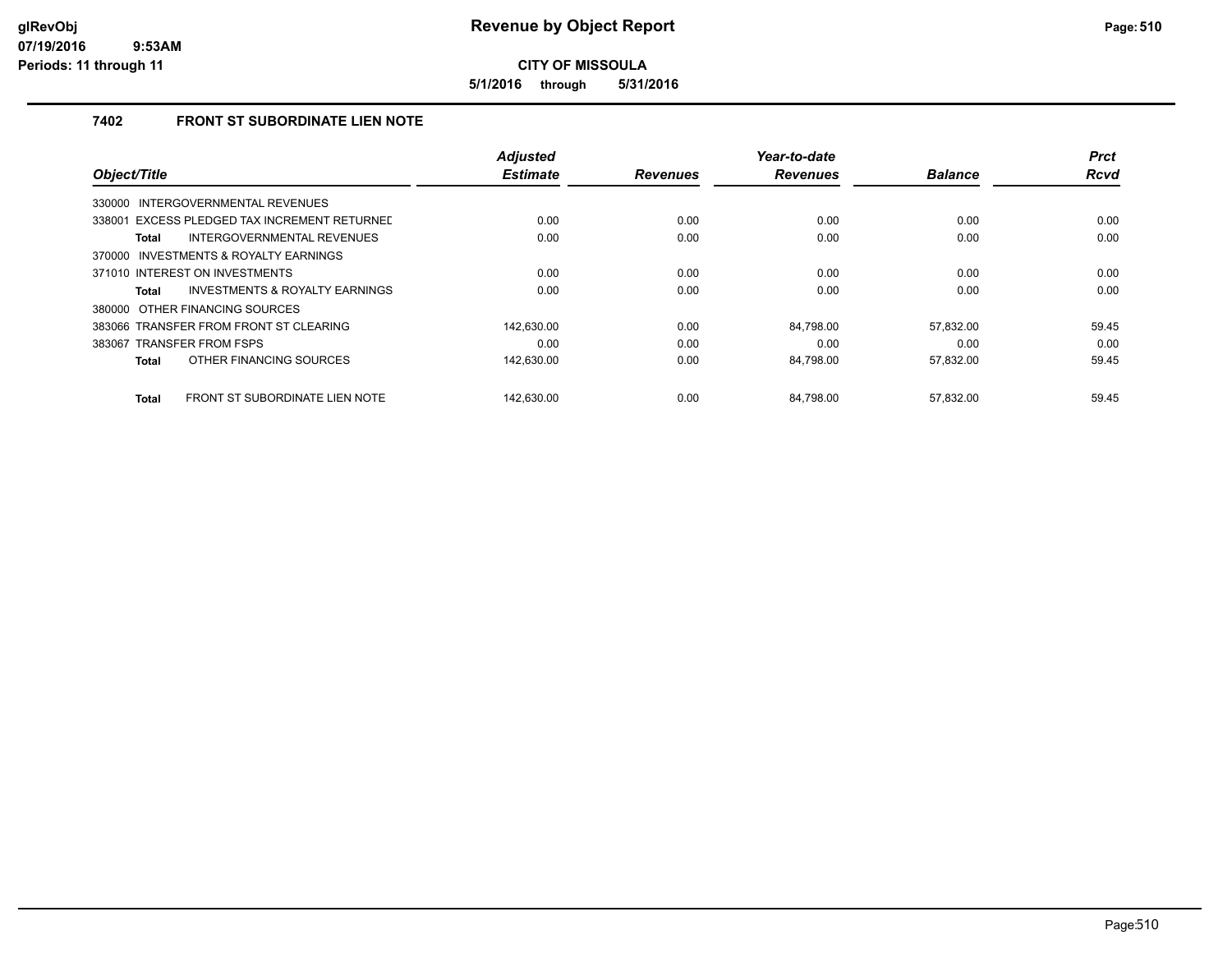**5/1/2016 through 5/31/2016**

### **7402 FRONT ST SUBORDINATE LIEN NOTE**

|                                                | <b>Adjusted</b> |                 | Year-to-date    |                | <b>Prct</b> |
|------------------------------------------------|-----------------|-----------------|-----------------|----------------|-------------|
| Object/Title                                   | <b>Estimate</b> | <b>Revenues</b> | <b>Revenues</b> | <b>Balance</b> | <b>Rcvd</b> |
| 330000 INTERGOVERNMENTAL REVENUES              |                 |                 |                 |                |             |
| 338001 EXCESS PLEDGED TAX INCREMENT RETURNED   | 0.00            | 0.00            | 0.00            | 0.00           | 0.00        |
| INTERGOVERNMENTAL REVENUES<br><b>Total</b>     | 0.00            | 0.00            | 0.00            | 0.00           | 0.00        |
| 370000 INVESTMENTS & ROYALTY EARNINGS          |                 |                 |                 |                |             |
| 371010 INTEREST ON INVESTMENTS                 | 0.00            | 0.00            | 0.00            | 0.00           | 0.00        |
| INVESTMENTS & ROYALTY EARNINGS<br>Total        | 0.00            | 0.00            | 0.00            | 0.00           | 0.00        |
| 380000 OTHER FINANCING SOURCES                 |                 |                 |                 |                |             |
| 383066 TRANSFER FROM FRONT ST CLEARING         | 142.630.00      | 0.00            | 84.798.00       | 57.832.00      | 59.45       |
| 383067 TRANSFER FROM FSPS                      | 0.00            | 0.00            | 0.00            | 0.00           | 0.00        |
| OTHER FINANCING SOURCES<br><b>Total</b>        | 142,630.00      | 0.00            | 84,798.00       | 57,832.00      | 59.45       |
|                                                |                 |                 |                 |                |             |
| FRONT ST SUBORDINATE LIEN NOTE<br><b>Total</b> | 142.630.00      | 0.00            | 84.798.00       | 57.832.00      | 59.45       |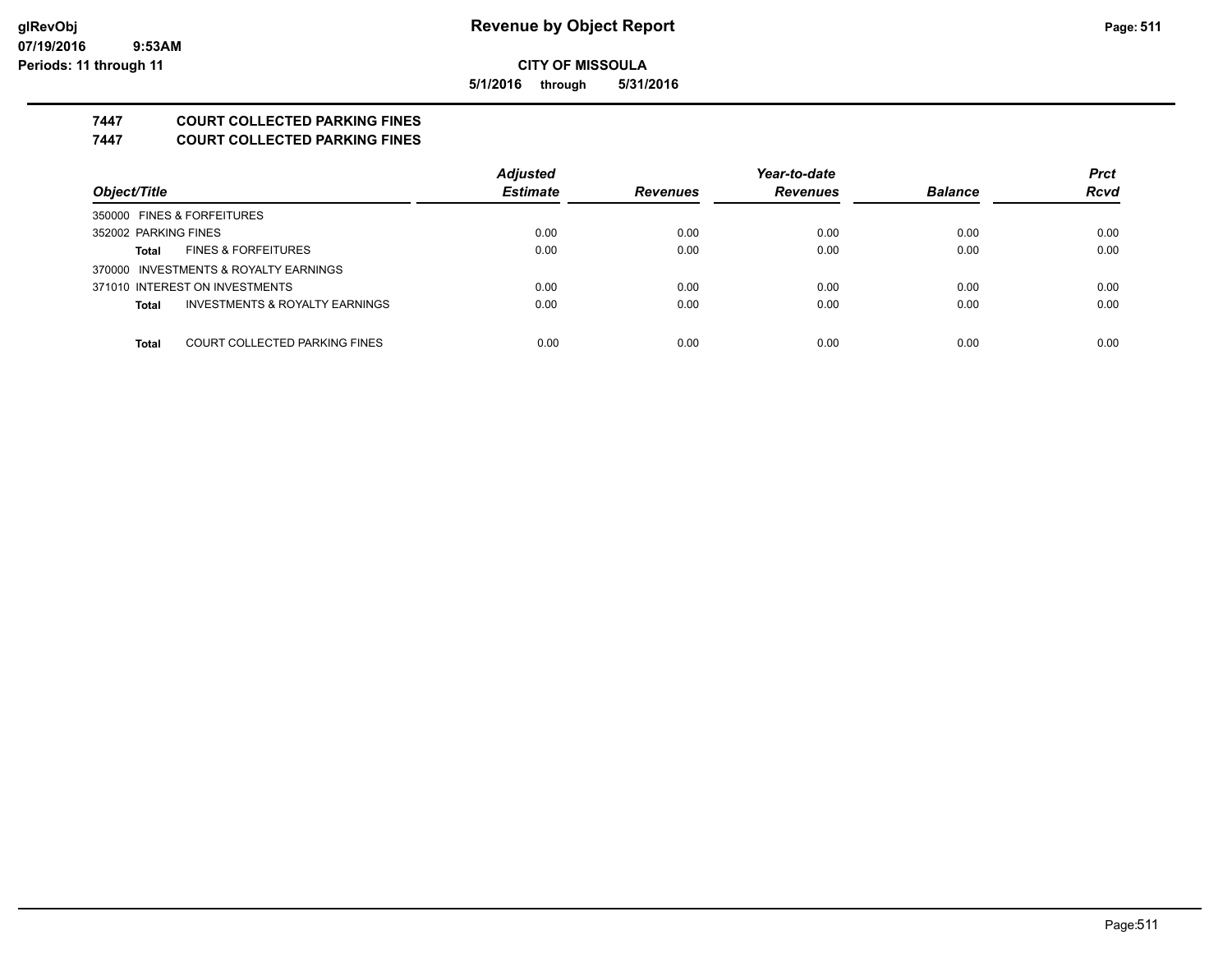**5/1/2016 through 5/31/2016**

## **7447 COURT COLLECTED PARKING FINES**

**7447 COURT COLLECTED PARKING FINES**

|                                                | <b>Adjusted</b> |                 | Year-to-date    |                | <b>Prct</b> |
|------------------------------------------------|-----------------|-----------------|-----------------|----------------|-------------|
| Object/Title                                   | <b>Estimate</b> | <b>Revenues</b> | <b>Revenues</b> | <b>Balance</b> | <b>Rcvd</b> |
| 350000 FINES & FORFEITURES                     |                 |                 |                 |                |             |
| 352002 PARKING FINES                           | 0.00            | 0.00            | 0.00            | 0.00           | 0.00        |
| <b>FINES &amp; FORFEITURES</b><br><b>Total</b> | 0.00            | 0.00            | 0.00            | 0.00           | 0.00        |
| 370000 INVESTMENTS & ROYALTY EARNINGS          |                 |                 |                 |                |             |
| 371010 INTEREST ON INVESTMENTS                 | 0.00            | 0.00            | 0.00            | 0.00           | 0.00        |
| INVESTMENTS & ROYALTY EARNINGS<br><b>Total</b> | 0.00            | 0.00            | 0.00            | 0.00           | 0.00        |
|                                                |                 |                 |                 |                |             |
| COURT COLLECTED PARKING FINES<br><b>Total</b>  | 0.00            | 0.00            | 0.00            | 0.00           | 0.00        |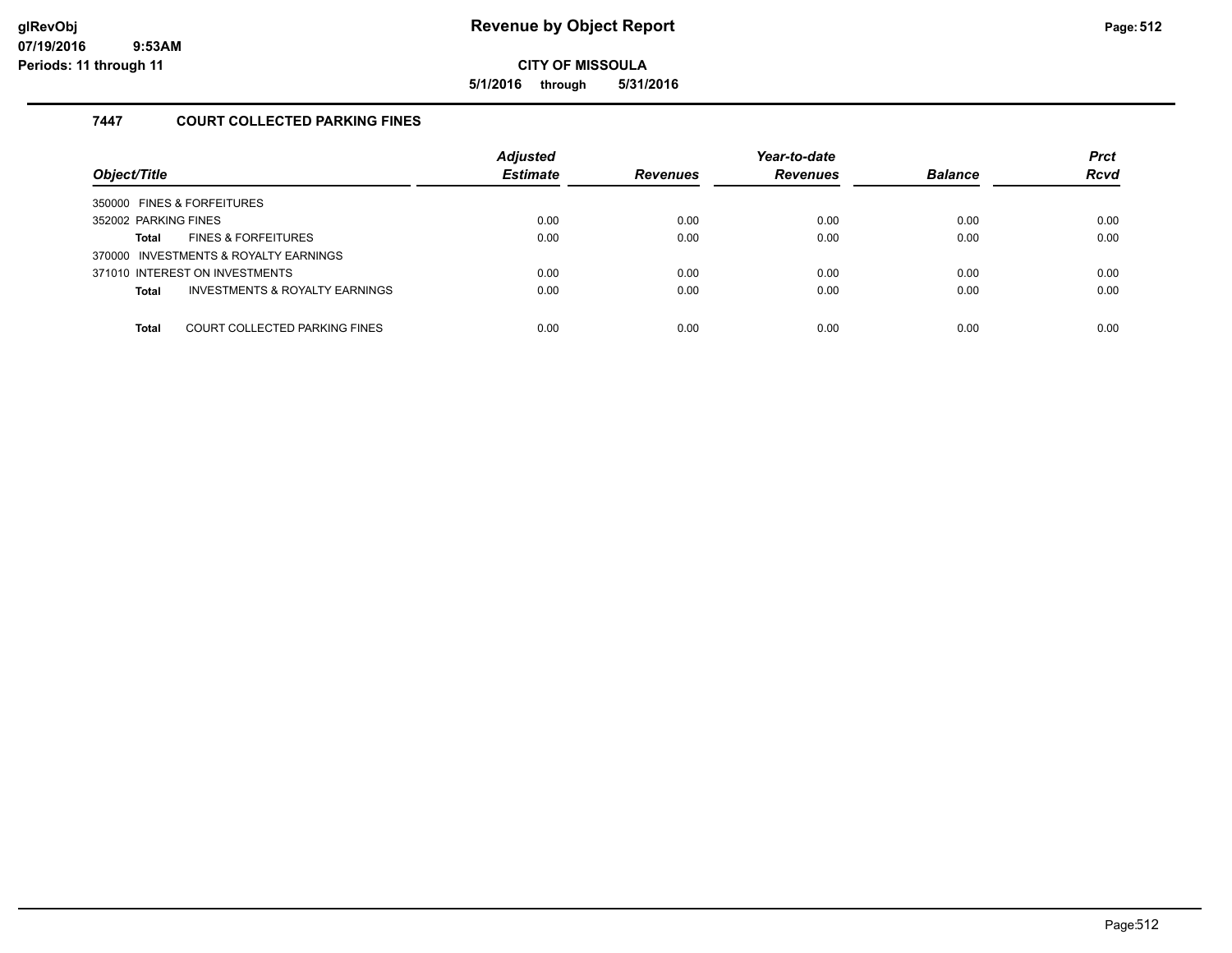**5/1/2016 through 5/31/2016**

### **7447 COURT COLLECTED PARKING FINES**

| Object/Title                                              | <b>Adjusted</b><br><b>Estimate</b> | <b>Revenues</b> | Year-to-date<br><b>Revenues</b> | <b>Balance</b> | <b>Prct</b><br><b>Rcvd</b> |
|-----------------------------------------------------------|------------------------------------|-----------------|---------------------------------|----------------|----------------------------|
| 350000 FINES & FORFEITURES                                |                                    |                 |                                 |                |                            |
| 352002 PARKING FINES                                      | 0.00                               | 0.00            | 0.00                            | 0.00           | 0.00                       |
| <b>FINES &amp; FORFEITURES</b><br>Total                   | 0.00                               | 0.00            | 0.00                            | 0.00           | 0.00                       |
| 370000 INVESTMENTS & ROYALTY EARNINGS                     |                                    |                 |                                 |                |                            |
| 371010 INTEREST ON INVESTMENTS                            | 0.00                               | 0.00            | 0.00                            | 0.00           | 0.00                       |
| <b>INVESTMENTS &amp; ROYALTY EARNINGS</b><br><b>Total</b> | 0.00                               | 0.00            | 0.00                            | 0.00           | 0.00                       |
|                                                           |                                    |                 |                                 |                |                            |
| COURT COLLECTED PARKING FINES<br><b>Total</b>             | 0.00                               | 0.00            | 0.00                            | 0.00           | 0.00                       |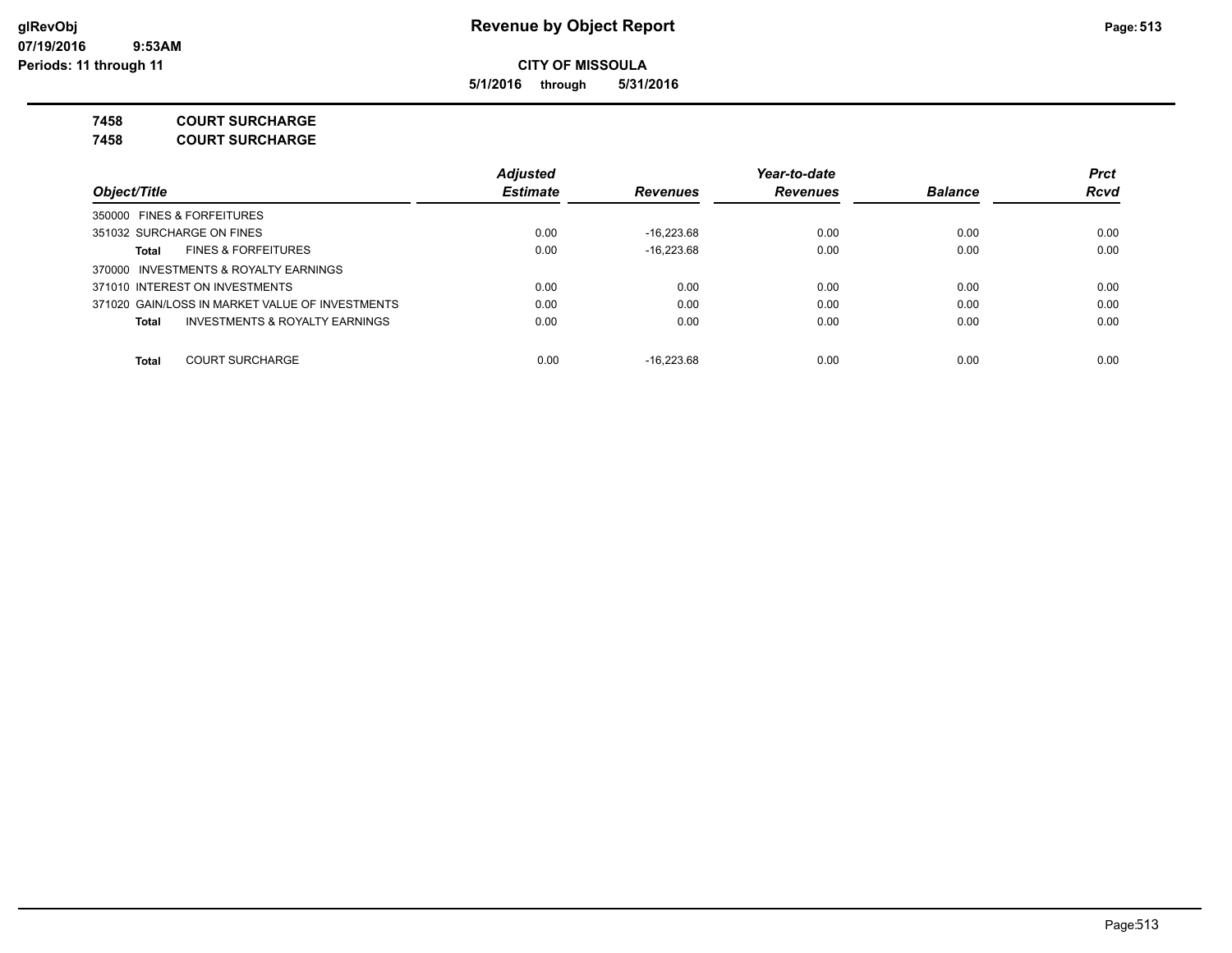**5/1/2016 through 5/31/2016**

**7458 COURT SURCHARGE**

**7458 COURT SURCHARGE**

|                                                    | Adjusted        |                 | Year-to-date    |                | <b>Prct</b> |
|----------------------------------------------------|-----------------|-----------------|-----------------|----------------|-------------|
| Obiect/Title                                       | <b>Estimate</b> | <b>Revenues</b> | <b>Revenues</b> | <b>Balance</b> | <b>Rcvd</b> |
| 350000 FINES & FORFEITURES                         |                 |                 |                 |                |             |
| 351032 SURCHARGE ON FINES                          | 0.00            | $-16.223.68$    | 0.00            | 0.00           | 0.00        |
| <b>FINES &amp; FORFEITURES</b><br>Total            | 0.00            | $-16.223.68$    | 0.00            | 0.00           | 0.00        |
| 370000 INVESTMENTS & ROYALTY EARNINGS              |                 |                 |                 |                |             |
| 371010 INTEREST ON INVESTMENTS                     | 0.00            | 0.00            | 0.00            | 0.00           | 0.00        |
| 371020 GAIN/LOSS IN MARKET VALUE OF INVESTMENTS    | 0.00            | 0.00            | 0.00            | 0.00           | 0.00        |
| <b>INVESTMENTS &amp; ROYALTY EARNINGS</b><br>Total | 0.00            | 0.00            | 0.00            | 0.00           | 0.00        |
| <b>COURT SURCHARGE</b><br><b>Total</b>             | 0.00            | $-16.223.68$    | 0.00            | 0.00           | 0.00        |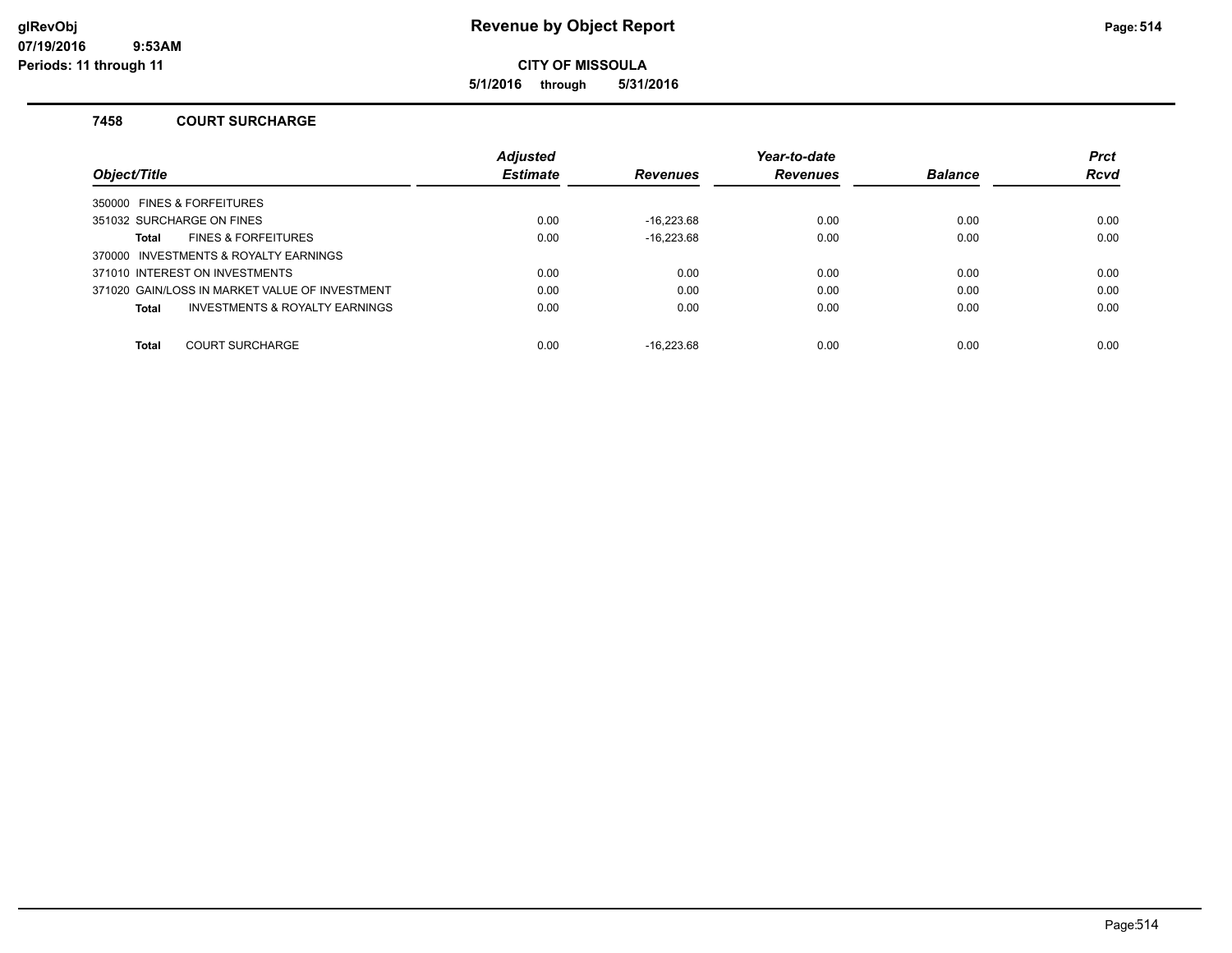**5/1/2016 through 5/31/2016**

### **7458 COURT SURCHARGE**

|                                                | <b>Adjusted</b> |                 | Year-to-date    |                | <b>Prct</b> |
|------------------------------------------------|-----------------|-----------------|-----------------|----------------|-------------|
| Object/Title                                   | <b>Estimate</b> | <b>Revenues</b> | <b>Revenues</b> | <b>Balance</b> | <b>Rcvd</b> |
| 350000 FINES & FORFEITURES                     |                 |                 |                 |                |             |
| 351032 SURCHARGE ON FINES                      | 0.00            | $-16.223.68$    | 0.00            | 0.00           | 0.00        |
| <b>FINES &amp; FORFEITURES</b><br>Total        | 0.00            | $-16,223.68$    | 0.00            | 0.00           | 0.00        |
| 370000 INVESTMENTS & ROYALTY EARNINGS          |                 |                 |                 |                |             |
| 371010 INTEREST ON INVESTMENTS                 | 0.00            | 0.00            | 0.00            | 0.00           | 0.00        |
| 371020 GAIN/LOSS IN MARKET VALUE OF INVESTMENT | 0.00            | 0.00            | 0.00            | 0.00           | 0.00        |
| INVESTMENTS & ROYALTY EARNINGS<br>Total        | 0.00            | 0.00            | 0.00            | 0.00           | 0.00        |
| <b>Total</b><br><b>COURT SURCHARGE</b>         | 0.00            | $-16.223.68$    | 0.00            | 0.00           | 0.00        |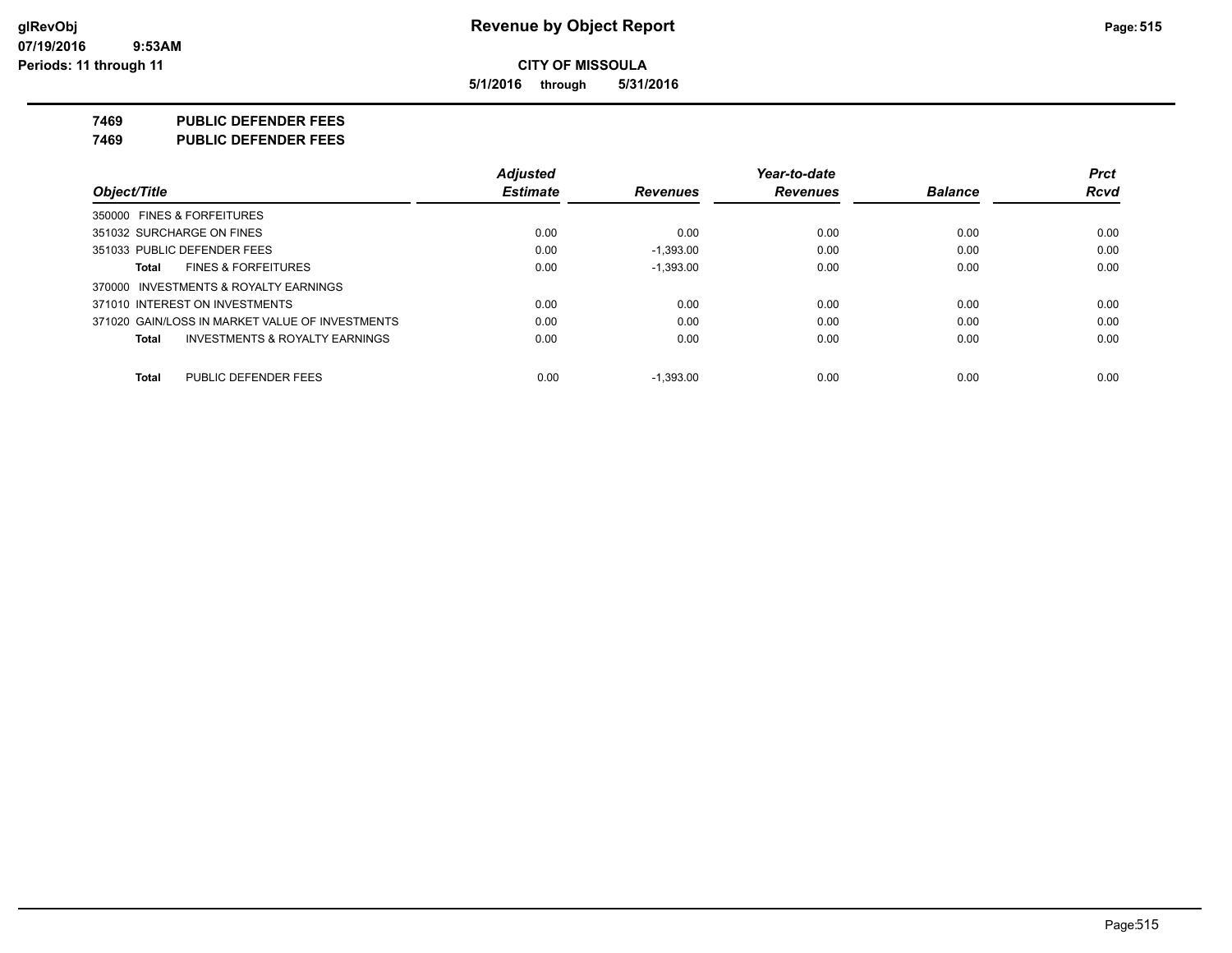**5/1/2016 through 5/31/2016**

**7469 PUBLIC DEFENDER FEES**

**7469 PUBLIC DEFENDER FEES**

|                                                    | <b>Adjusted</b> |                 | Year-to-date    |                | <b>Prct</b> |
|----------------------------------------------------|-----------------|-----------------|-----------------|----------------|-------------|
| Object/Title                                       | <b>Estimate</b> | <b>Revenues</b> | <b>Revenues</b> | <b>Balance</b> | <b>Rcvd</b> |
| 350000 FINES & FORFEITURES                         |                 |                 |                 |                |             |
| 351032 SURCHARGE ON FINES                          | 0.00            | 0.00            | 0.00            | 0.00           | 0.00        |
| 351033 PUBLIC DEFENDER FEES                        | 0.00            | $-1,393.00$     | 0.00            | 0.00           | 0.00        |
| <b>FINES &amp; FORFEITURES</b><br>Total            | 0.00            | $-1,393.00$     | 0.00            | 0.00           | 0.00        |
| 370000 INVESTMENTS & ROYALTY EARNINGS              |                 |                 |                 |                |             |
| 371010 INTEREST ON INVESTMENTS                     | 0.00            | 0.00            | 0.00            | 0.00           | 0.00        |
| 371020 GAIN/LOSS IN MARKET VALUE OF INVESTMENTS    | 0.00            | 0.00            | 0.00            | 0.00           | 0.00        |
| <b>INVESTMENTS &amp; ROYALTY EARNINGS</b><br>Total | 0.00            | 0.00            | 0.00            | 0.00           | 0.00        |
| PUBLIC DEFENDER FEES<br>Total                      | 0.00            | $-1.393.00$     | 0.00            | 0.00           | 0.00        |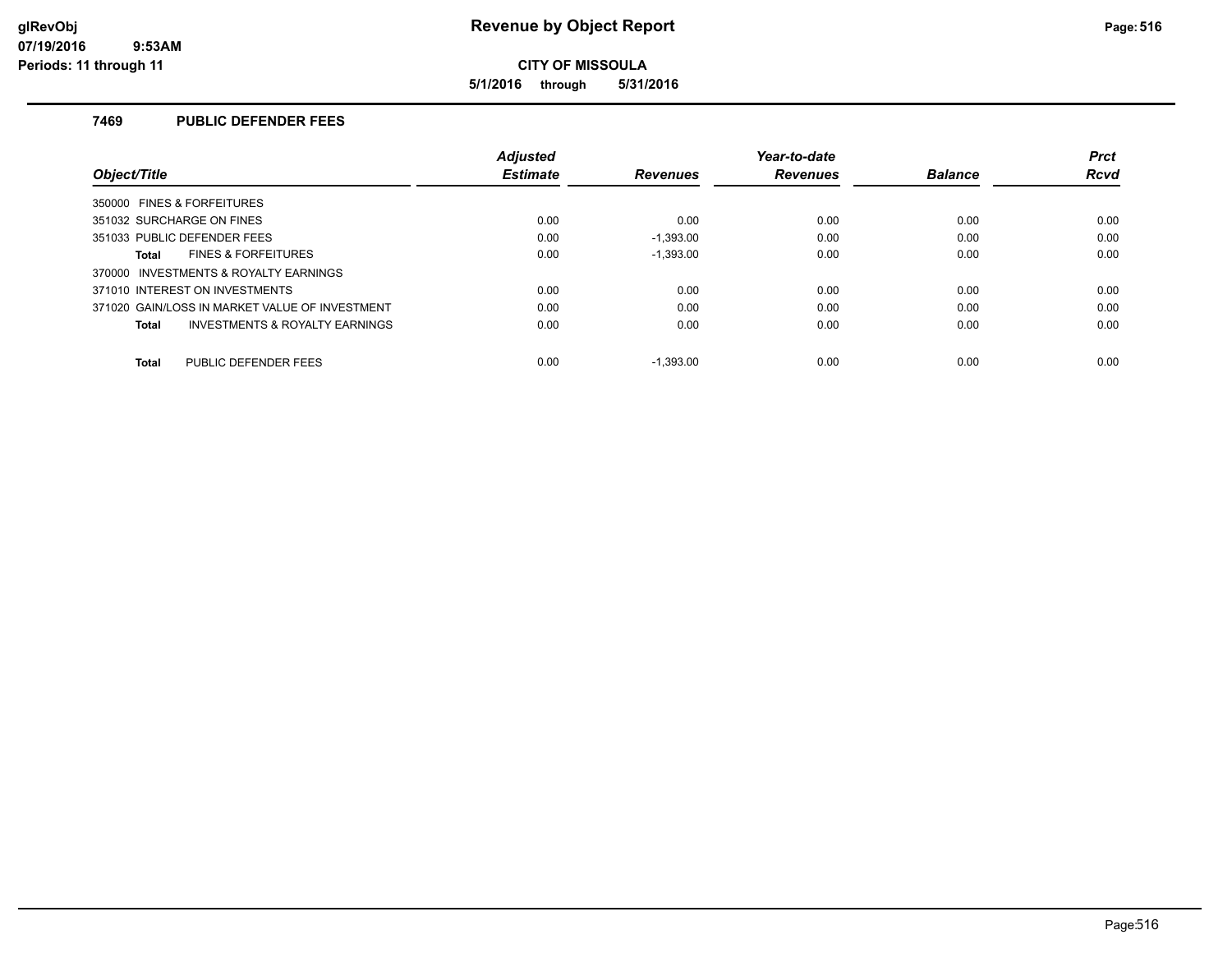**5/1/2016 through 5/31/2016**

### **7469 PUBLIC DEFENDER FEES**

|                                                | <b>Adiusted</b> |                 | Year-to-date    |                | <b>Prct</b> |
|------------------------------------------------|-----------------|-----------------|-----------------|----------------|-------------|
| Object/Title                                   | <b>Estimate</b> | <b>Revenues</b> | <b>Revenues</b> | <b>Balance</b> | <b>Rcvd</b> |
| 350000 FINES & FORFEITURES                     |                 |                 |                 |                |             |
| 351032 SURCHARGE ON FINES                      | 0.00            | 0.00            | 0.00            | 0.00           | 0.00        |
| 351033 PUBLIC DEFENDER FEES                    | 0.00            | $-1.393.00$     | 0.00            | 0.00           | 0.00        |
| <b>FINES &amp; FORFEITURES</b><br>Total        | 0.00            | $-1.393.00$     | 0.00            | 0.00           | 0.00        |
| 370000 INVESTMENTS & ROYALTY EARNINGS          |                 |                 |                 |                |             |
| 371010 INTEREST ON INVESTMENTS                 | 0.00            | 0.00            | 0.00            | 0.00           | 0.00        |
| 371020 GAIN/LOSS IN MARKET VALUE OF INVESTMENT | 0.00            | 0.00            | 0.00            | 0.00           | 0.00        |
| INVESTMENTS & ROYALTY EARNINGS<br>Total        | 0.00            | 0.00            | 0.00            | 0.00           | 0.00        |
| PUBLIC DEFENDER FEES<br><b>Total</b>           | 0.00            | $-1.393.00$     | 0.00            | 0.00           | 0.00        |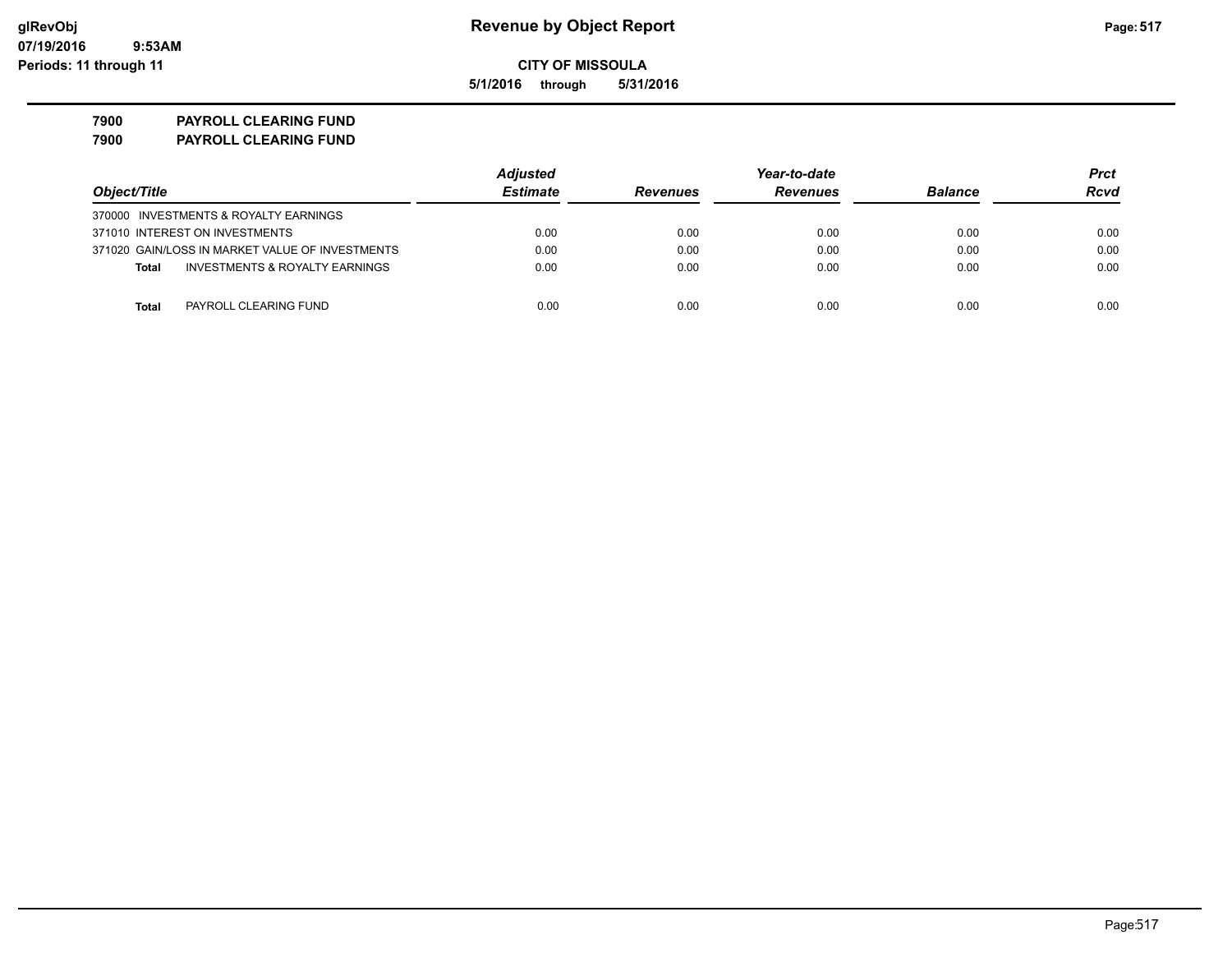**5/1/2016 through 5/31/2016**

**7900 PAYROLL CLEARING FUND 7900 PAYROLL CLEARING FUND**

|                                                           | <b>Adjusted</b> |                 | Year-to-date    |                | Prct |
|-----------------------------------------------------------|-----------------|-----------------|-----------------|----------------|------|
| Object/Title                                              | <b>Estimate</b> | <b>Revenues</b> | <b>Revenues</b> | <b>Balance</b> | Rcvd |
| 370000 INVESTMENTS & ROYALTY EARNINGS                     |                 |                 |                 |                |      |
| 371010 INTEREST ON INVESTMENTS                            | 0.00            | 0.00            | 0.00            | 0.00           | 0.00 |
| 371020 GAIN/LOSS IN MARKET VALUE OF INVESTMENTS           | 0.00            | 0.00            | 0.00            | 0.00           | 0.00 |
| <b>INVESTMENTS &amp; ROYALTY EARNINGS</b><br><b>Total</b> | 0.00            | 0.00            | 0.00            | 0.00           | 0.00 |
|                                                           |                 |                 |                 |                |      |
| Total<br>PAYROLL CLEARING FUND                            | 0.00            | 0.00            | 0.00            | 0.00           | 0.00 |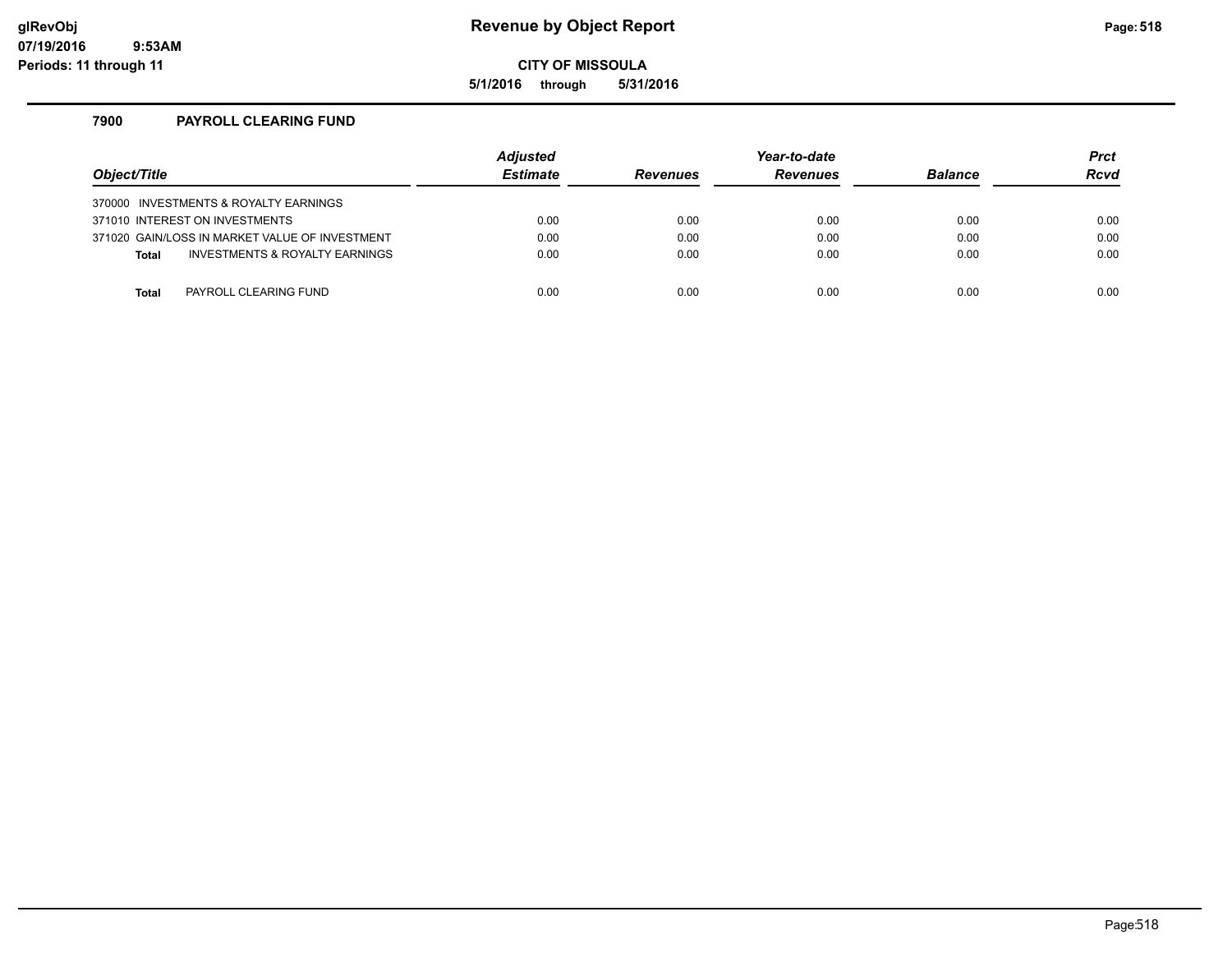### **glRevObj Revenue by Object Report Page:518**

**CITY OF MISSOULA**

**5/1/2016 through 5/31/2016**

### **7900 PAYROLL CLEARING FUND**

| Object/Title                                   | <b>Adjusted</b><br><b>Estimate</b> | <b>Revenues</b> | Year-to-date<br><b>Revenues</b> | <b>Balance</b> | <b>Prct</b><br><b>Rcvd</b> |
|------------------------------------------------|------------------------------------|-----------------|---------------------------------|----------------|----------------------------|
| 370000 INVESTMENTS & ROYALTY EARNINGS          |                                    |                 |                                 |                |                            |
| 371010 INTEREST ON INVESTMENTS                 | 0.00                               | 0.00            | 0.00                            | 0.00           | 0.00                       |
| 371020 GAIN/LOSS IN MARKET VALUE OF INVESTMENT | 0.00                               | 0.00            | 0.00                            | 0.00           | 0.00                       |
| INVESTMENTS & ROYALTY EARNINGS<br><b>Total</b> | 0.00                               | 0.00            | 0.00                            | 0.00           | 0.00                       |
|                                                |                                    |                 |                                 |                |                            |
| PAYROLL CLEARING FUND<br>Total                 | 0.00                               | 0.00            | 0.00                            | 0.00           | 0.00                       |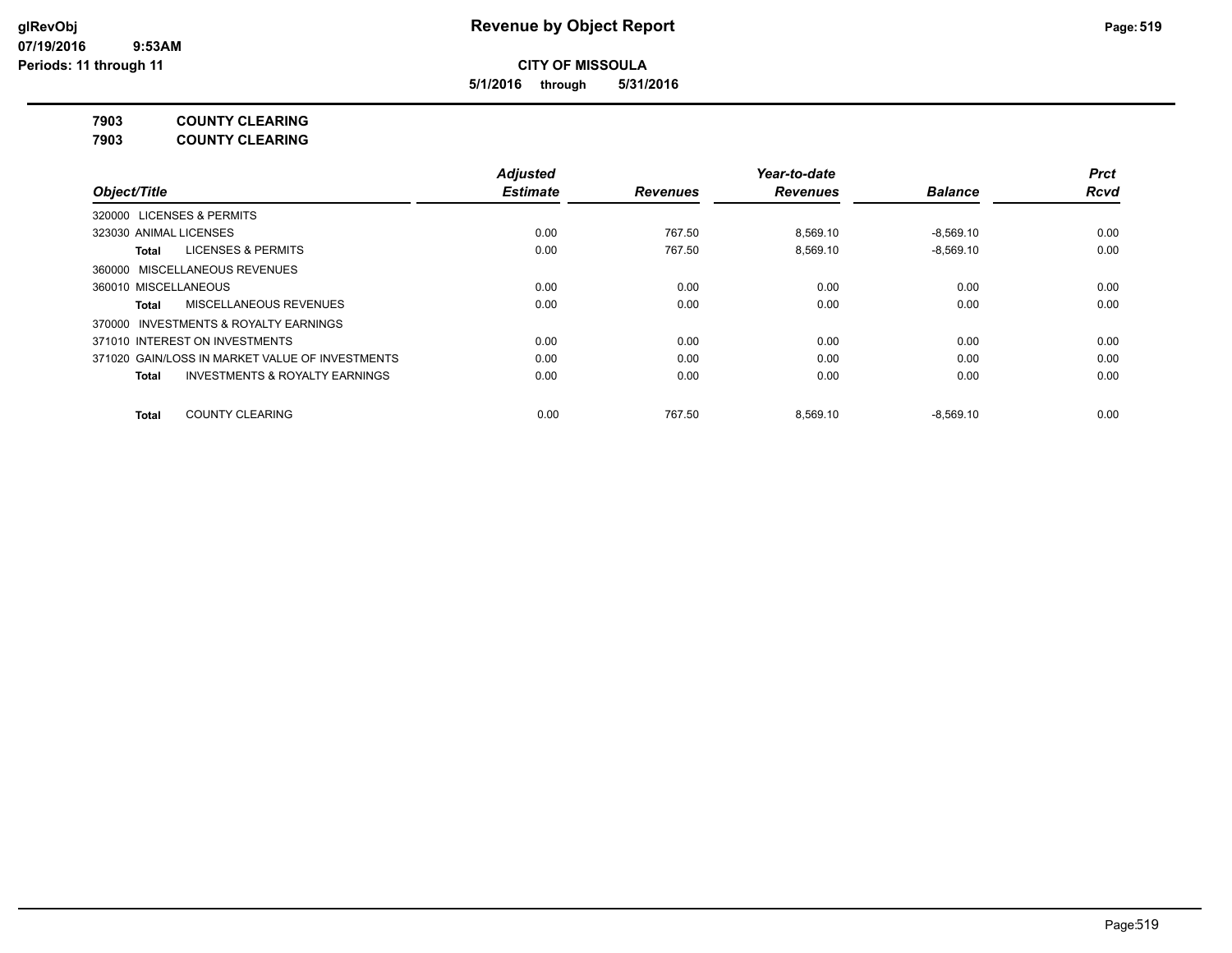**5/1/2016 through 5/31/2016**

**7903 COUNTY CLEARING**

**7903 COUNTY CLEARING**

|                                                    | <b>Adjusted</b> |                 | Year-to-date    |                | <b>Prct</b> |
|----------------------------------------------------|-----------------|-----------------|-----------------|----------------|-------------|
| Object/Title                                       | <b>Estimate</b> | <b>Revenues</b> | <b>Revenues</b> | <b>Balance</b> | <b>Rcvd</b> |
| 320000 LICENSES & PERMITS                          |                 |                 |                 |                |             |
| 323030 ANIMAL LICENSES                             | 0.00            | 767.50          | 8.569.10        | $-8,569.10$    | 0.00        |
| <b>LICENSES &amp; PERMITS</b><br>Total             | 0.00            | 767.50          | 8,569.10        | $-8,569.10$    | 0.00        |
| 360000 MISCELLANEOUS REVENUES                      |                 |                 |                 |                |             |
| 360010 MISCELLANEOUS                               | 0.00            | 0.00            | 0.00            | 0.00           | 0.00        |
| MISCELLANEOUS REVENUES<br>Total                    | 0.00            | 0.00            | 0.00            | 0.00           | 0.00        |
| 370000 INVESTMENTS & ROYALTY EARNINGS              |                 |                 |                 |                |             |
| 371010 INTEREST ON INVESTMENTS                     | 0.00            | 0.00            | 0.00            | 0.00           | 0.00        |
| 371020 GAIN/LOSS IN MARKET VALUE OF INVESTMENTS    | 0.00            | 0.00            | 0.00            | 0.00           | 0.00        |
| <b>INVESTMENTS &amp; ROYALTY EARNINGS</b><br>Total | 0.00            | 0.00            | 0.00            | 0.00           | 0.00        |
| <b>COUNTY CLEARING</b><br><b>Total</b>             | 0.00            | 767.50          | 8.569.10        | $-8.569.10$    | 0.00        |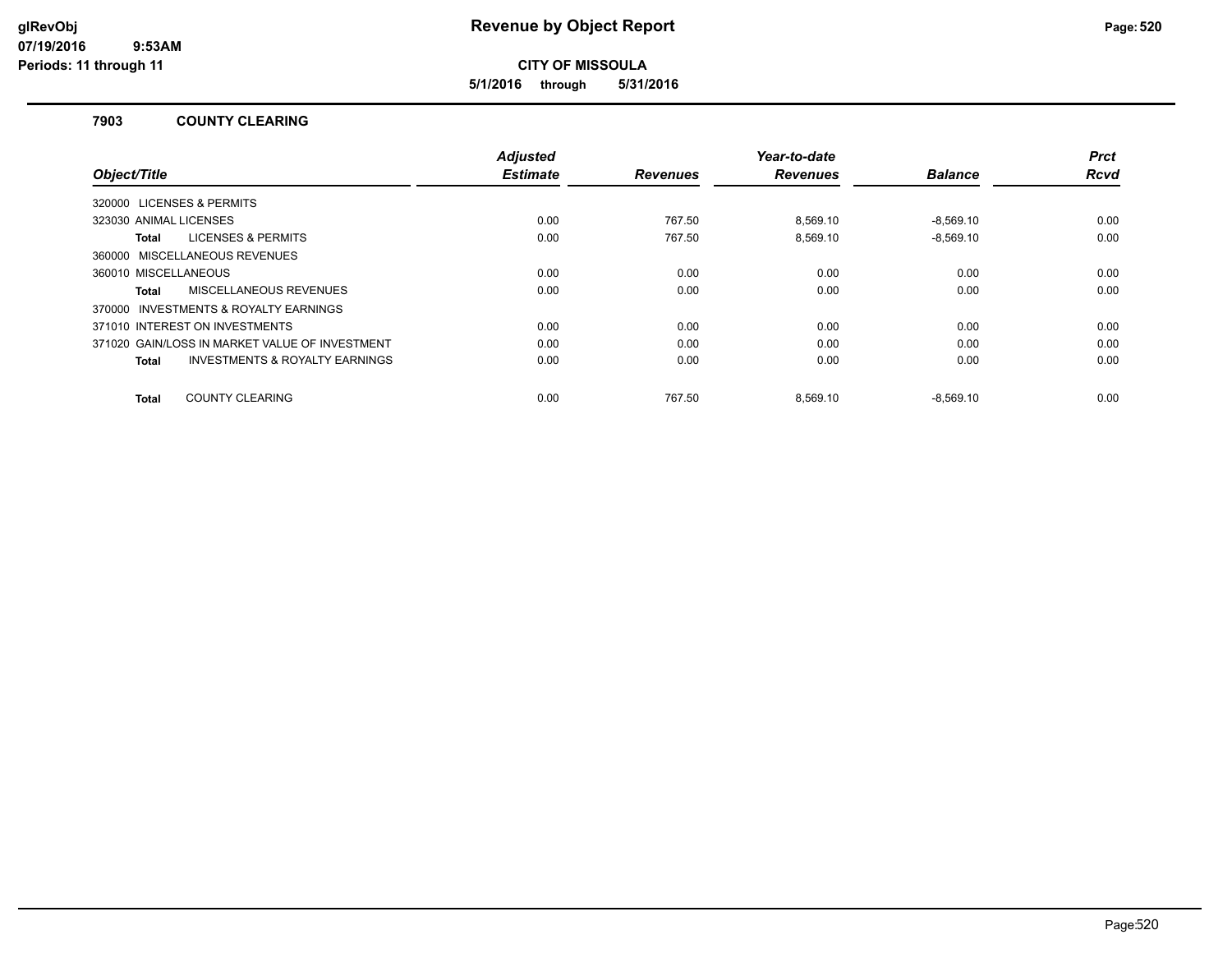**5/1/2016 through 5/31/2016**

### **7903 COUNTY CLEARING**

|                                                           | <b>Adjusted</b> |                 | Year-to-date    |                | <b>Prct</b> |
|-----------------------------------------------------------|-----------------|-----------------|-----------------|----------------|-------------|
| Object/Title                                              | <b>Estimate</b> | <b>Revenues</b> | <b>Revenues</b> | <b>Balance</b> | <b>Rcvd</b> |
| 320000 LICENSES & PERMITS                                 |                 |                 |                 |                |             |
| 323030 ANIMAL LICENSES                                    | 0.00            | 767.50          | 8.569.10        | $-8.569.10$    | 0.00        |
| <b>LICENSES &amp; PERMITS</b><br>Total                    | 0.00            | 767.50          | 8,569.10        | $-8,569.10$    | 0.00        |
| 360000 MISCELLANEOUS REVENUES                             |                 |                 |                 |                |             |
| 360010 MISCELLANEOUS                                      | 0.00            | 0.00            | 0.00            | 0.00           | 0.00        |
| MISCELLANEOUS REVENUES<br>Total                           | 0.00            | 0.00            | 0.00            | 0.00           | 0.00        |
| <b>INVESTMENTS &amp; ROYALTY EARNINGS</b><br>370000       |                 |                 |                 |                |             |
| 371010 INTEREST ON INVESTMENTS                            | 0.00            | 0.00            | 0.00            | 0.00           | 0.00        |
| 371020 GAIN/LOSS IN MARKET VALUE OF INVESTMENT            | 0.00            | 0.00            | 0.00            | 0.00           | 0.00        |
| <b>INVESTMENTS &amp; ROYALTY EARNINGS</b><br><b>Total</b> | 0.00            | 0.00            | 0.00            | 0.00           | 0.00        |
| <b>COUNTY CLEARING</b><br><b>Total</b>                    | 0.00            | 767.50          | 8.569.10        | $-8.569.10$    | 0.00        |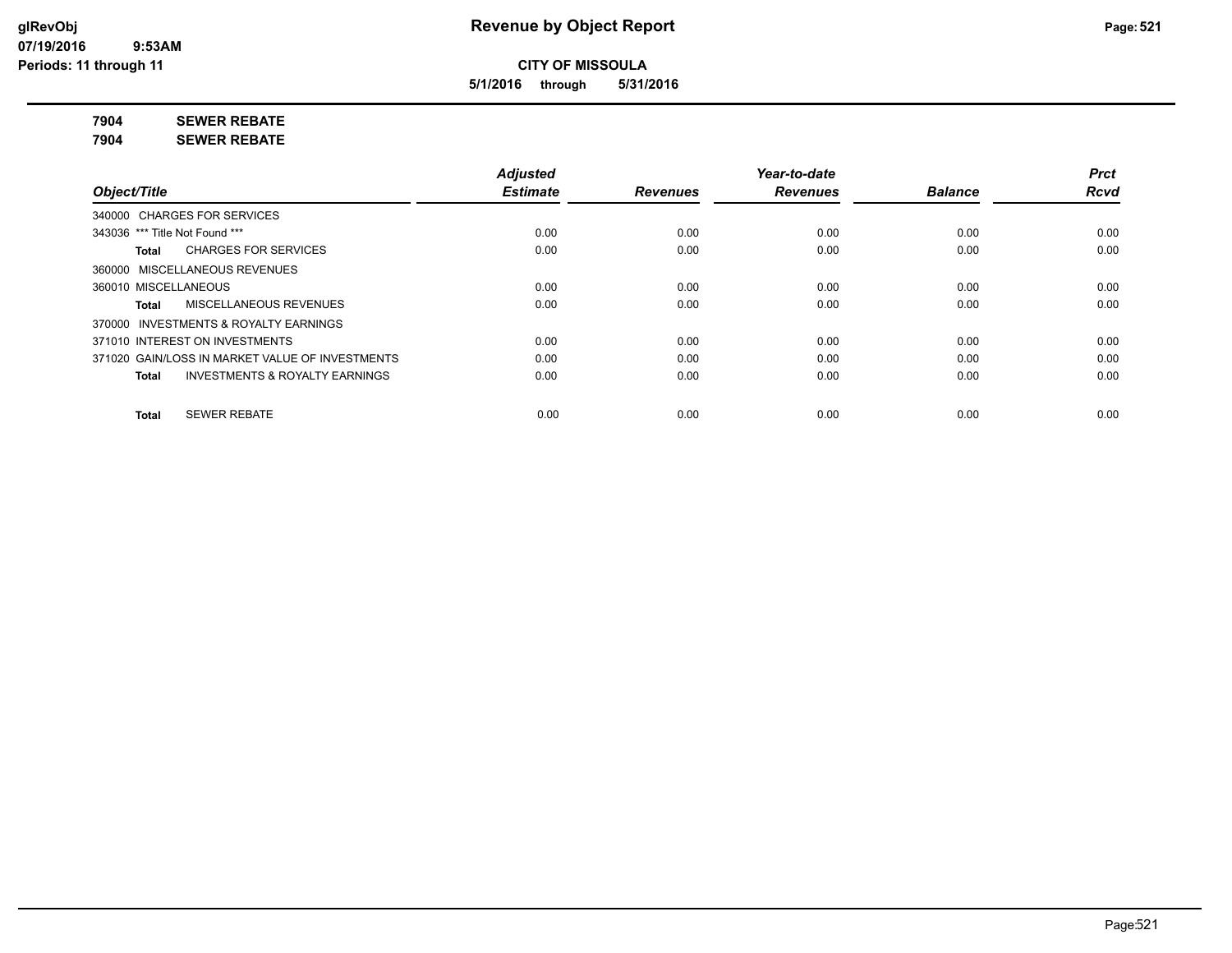**5/1/2016 through 5/31/2016**

**7904 SEWER REBATE**

**7904 SEWER REBATE**

|                                                    | <b>Adjusted</b> |                 | Year-to-date    |                | <b>Prct</b> |
|----------------------------------------------------|-----------------|-----------------|-----------------|----------------|-------------|
| Object/Title                                       | <b>Estimate</b> | <b>Revenues</b> | <b>Revenues</b> | <b>Balance</b> | Rcvd        |
| 340000 CHARGES FOR SERVICES                        |                 |                 |                 |                |             |
| 343036 *** Title Not Found ***                     | 0.00            | 0.00            | 0.00            | 0.00           | 0.00        |
| <b>CHARGES FOR SERVICES</b><br>Total               | 0.00            | 0.00            | 0.00            | 0.00           | 0.00        |
| 360000 MISCELLANEOUS REVENUES                      |                 |                 |                 |                |             |
| 360010 MISCELLANEOUS                               | 0.00            | 0.00            | 0.00            | 0.00           | 0.00        |
| <b>MISCELLANEOUS REVENUES</b><br>Total             | 0.00            | 0.00            | 0.00            | 0.00           | 0.00        |
| 370000 INVESTMENTS & ROYALTY EARNINGS              |                 |                 |                 |                |             |
| 371010 INTEREST ON INVESTMENTS                     | 0.00            | 0.00            | 0.00            | 0.00           | 0.00        |
| 371020 GAIN/LOSS IN MARKET VALUE OF INVESTMENTS    | 0.00            | 0.00            | 0.00            | 0.00           | 0.00        |
| <b>INVESTMENTS &amp; ROYALTY EARNINGS</b><br>Total | 0.00            | 0.00            | 0.00            | 0.00           | 0.00        |
| <b>SEWER REBATE</b><br><b>Total</b>                | 0.00            | 0.00            | 0.00            | 0.00           | 0.00        |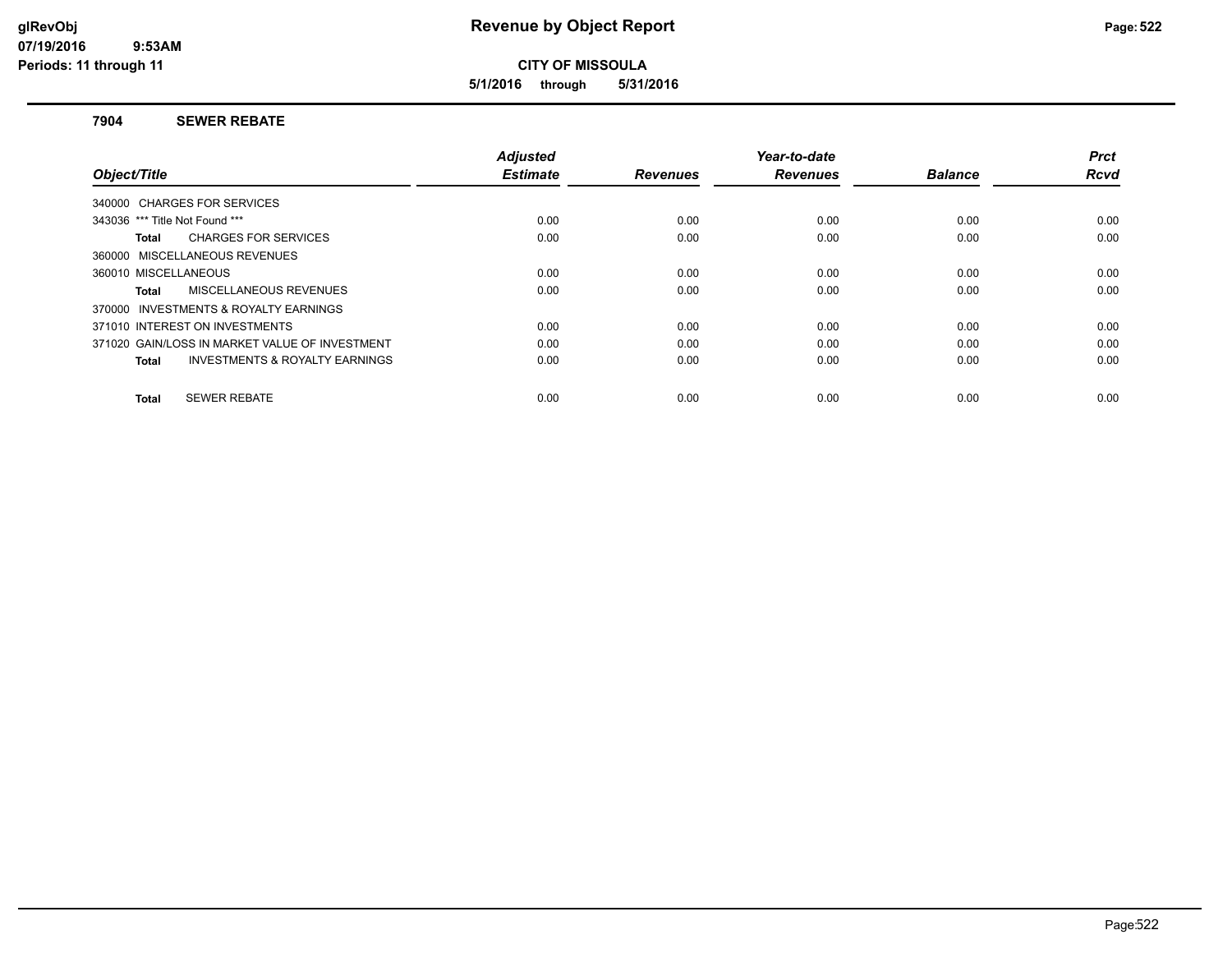**5/1/2016 through 5/31/2016**

### **7904 SEWER REBATE**

| Object/Title                                       | <b>Adjusted</b><br><b>Estimate</b> | <b>Revenues</b> | Year-to-date<br><b>Revenues</b> | <b>Balance</b> | <b>Prct</b><br><b>Rcvd</b> |
|----------------------------------------------------|------------------------------------|-----------------|---------------------------------|----------------|----------------------------|
|                                                    |                                    |                 |                                 |                |                            |
| 340000 CHARGES FOR SERVICES                        |                                    |                 |                                 |                |                            |
| 343036 *** Title Not Found ***                     | 0.00                               | 0.00            | 0.00                            | 0.00           | 0.00                       |
| <b>CHARGES FOR SERVICES</b><br>Total               | 0.00                               | 0.00            | 0.00                            | 0.00           | 0.00                       |
| 360000 MISCELLANEOUS REVENUES                      |                                    |                 |                                 |                |                            |
| 360010 MISCELLANEOUS                               | 0.00                               | 0.00            | 0.00                            | 0.00           | 0.00                       |
| MISCELLANEOUS REVENUES<br>Total                    | 0.00                               | 0.00            | 0.00                            | 0.00           | 0.00                       |
| 370000 INVESTMENTS & ROYALTY EARNINGS              |                                    |                 |                                 |                |                            |
| 371010 INTEREST ON INVESTMENTS                     | 0.00                               | 0.00            | 0.00                            | 0.00           | 0.00                       |
| 371020 GAIN/LOSS IN MARKET VALUE OF INVESTMENT     | 0.00                               | 0.00            | 0.00                            | 0.00           | 0.00                       |
| <b>INVESTMENTS &amp; ROYALTY EARNINGS</b><br>Total | 0.00                               | 0.00            | 0.00                            | 0.00           | 0.00                       |
|                                                    |                                    |                 |                                 |                |                            |
| <b>SEWER REBATE</b><br>Total                       | 0.00                               | 0.00            | 0.00                            | 0.00           | 0.00                       |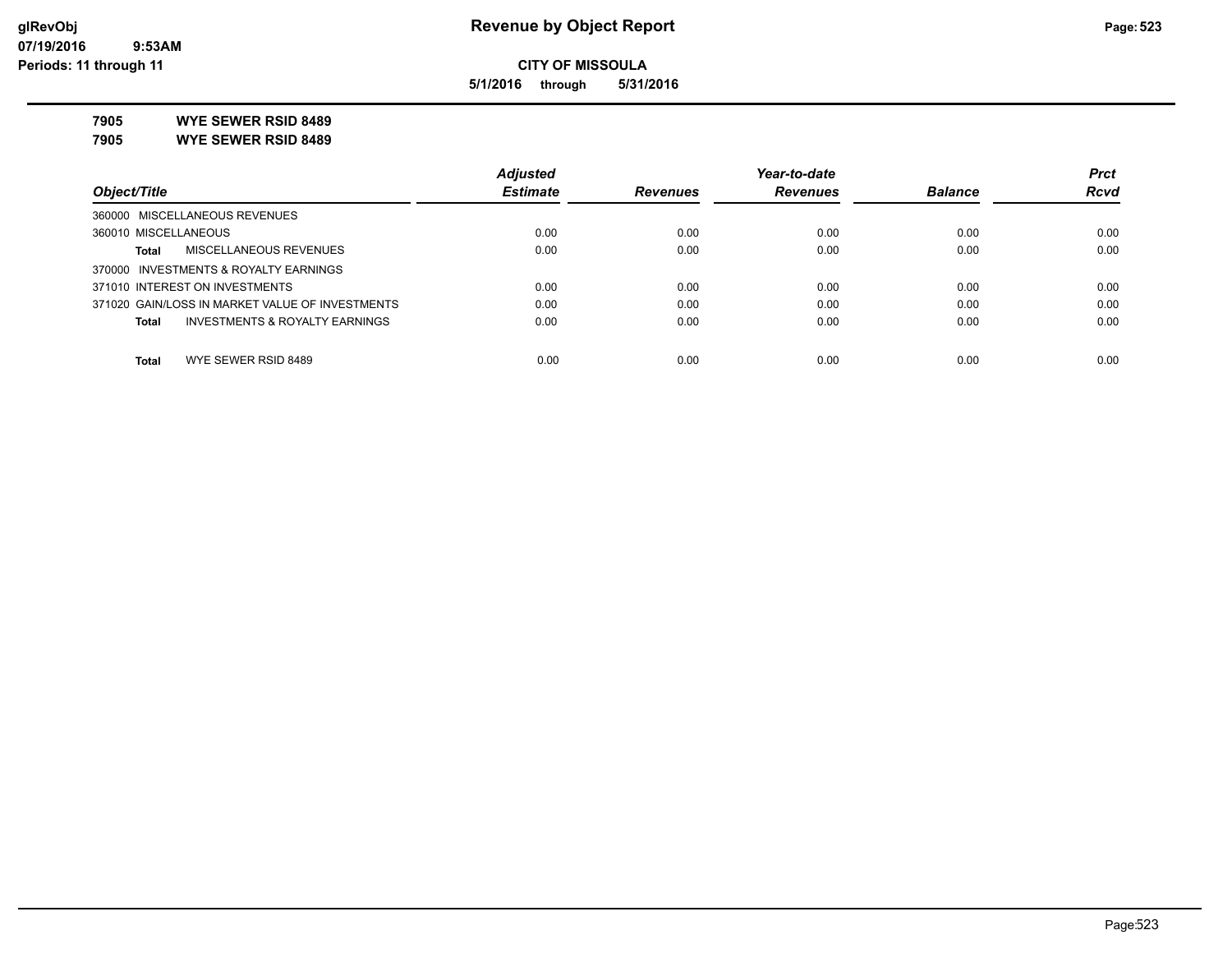**5/1/2016 through 5/31/2016**

**7905 WYE SEWER RSID 8489**

**7905 WYE SEWER RSID 8489**

|                                                           | <b>Adjusted</b> |                 | Year-to-date    |                | <b>Prct</b> |
|-----------------------------------------------------------|-----------------|-----------------|-----------------|----------------|-------------|
| Object/Title                                              | <b>Estimate</b> | <b>Revenues</b> | <b>Revenues</b> | <b>Balance</b> | <b>Rcvd</b> |
| 360000 MISCELLANEOUS REVENUES                             |                 |                 |                 |                |             |
| 360010 MISCELLANEOUS                                      | 0.00            | 0.00            | 0.00            | 0.00           | 0.00        |
| MISCELLANEOUS REVENUES<br><b>Total</b>                    | 0.00            | 0.00            | 0.00            | 0.00           | 0.00        |
| 370000 INVESTMENTS & ROYALTY EARNINGS                     |                 |                 |                 |                |             |
| 371010 INTEREST ON INVESTMENTS                            | 0.00            | 0.00            | 0.00            | 0.00           | 0.00        |
| 371020 GAIN/LOSS IN MARKET VALUE OF INVESTMENTS           | 0.00            | 0.00            | 0.00            | 0.00           | 0.00        |
| <b>INVESTMENTS &amp; ROYALTY EARNINGS</b><br><b>Total</b> | 0.00            | 0.00            | 0.00            | 0.00           | 0.00        |
| <b>Total</b><br>WYE SEWER RSID 8489                       | 0.00            | 0.00            | 0.00            | 0.00           | 0.00        |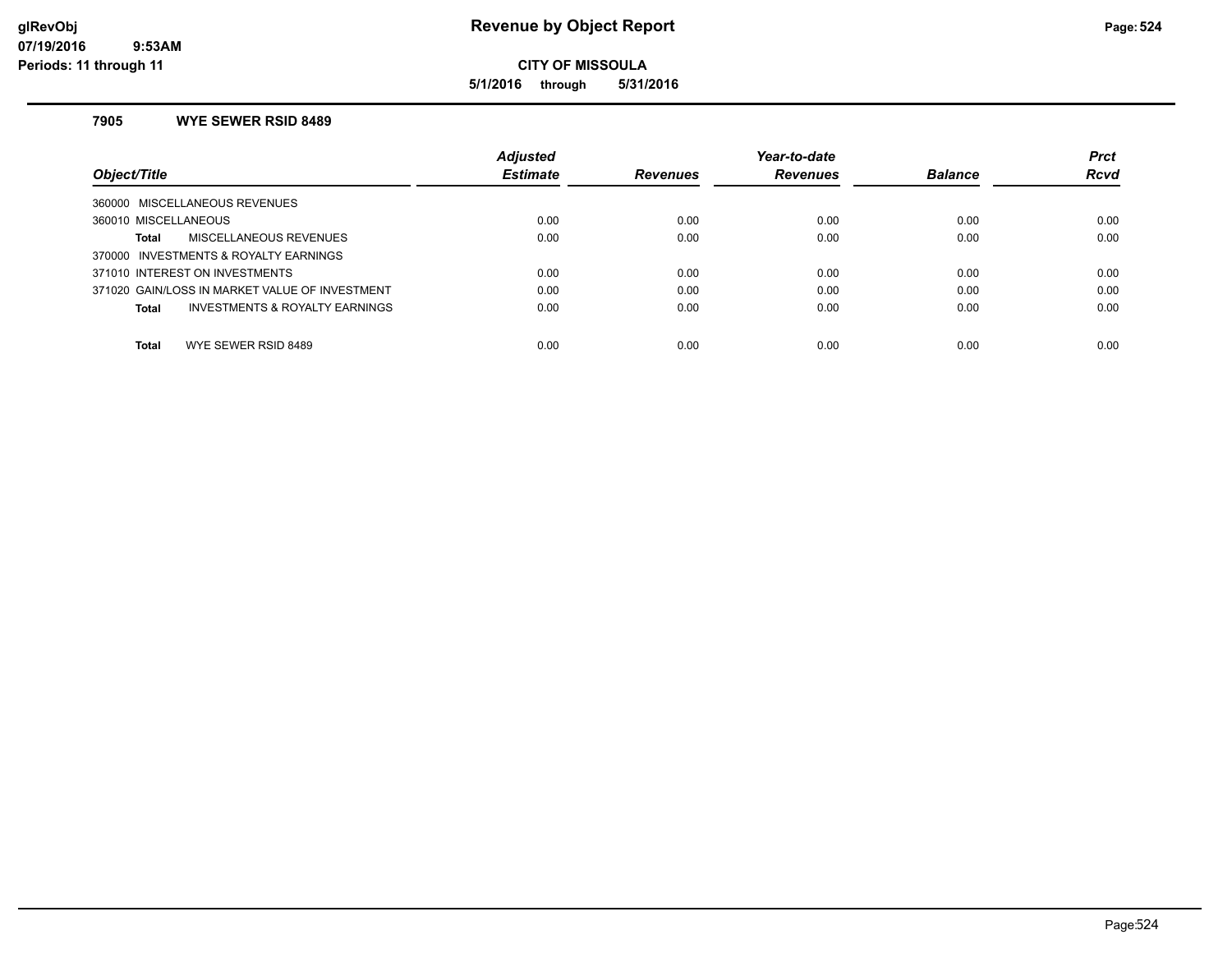**5/1/2016 through 5/31/2016**

### **7905 WYE SEWER RSID 8489**

| Object/Title                                   | <b>Adjusted</b><br><b>Estimate</b> | <b>Revenues</b> | Year-to-date<br><b>Revenues</b> | <b>Balance</b> | <b>Prct</b><br><b>Rcvd</b> |
|------------------------------------------------|------------------------------------|-----------------|---------------------------------|----------------|----------------------------|
| 360000 MISCELLANEOUS REVENUES                  |                                    |                 |                                 |                |                            |
| 360010 MISCELLANEOUS                           | 0.00                               | 0.00            | 0.00                            | 0.00           | 0.00                       |
| MISCELLANEOUS REVENUES<br>Total                | 0.00                               | 0.00            | 0.00                            | 0.00           | 0.00                       |
| 370000 INVESTMENTS & ROYALTY EARNINGS          |                                    |                 |                                 |                |                            |
| 371010 INTEREST ON INVESTMENTS                 | 0.00                               | 0.00            | 0.00                            | 0.00           | 0.00                       |
| 371020 GAIN/LOSS IN MARKET VALUE OF INVESTMENT | 0.00                               | 0.00            | 0.00                            | 0.00           | 0.00                       |
| INVESTMENTS & ROYALTY EARNINGS<br>Total        | 0.00                               | 0.00            | 0.00                            | 0.00           | 0.00                       |
| Total<br>WYE SEWER RSID 8489                   | 0.00                               | 0.00            | 0.00                            | 0.00           | 0.00                       |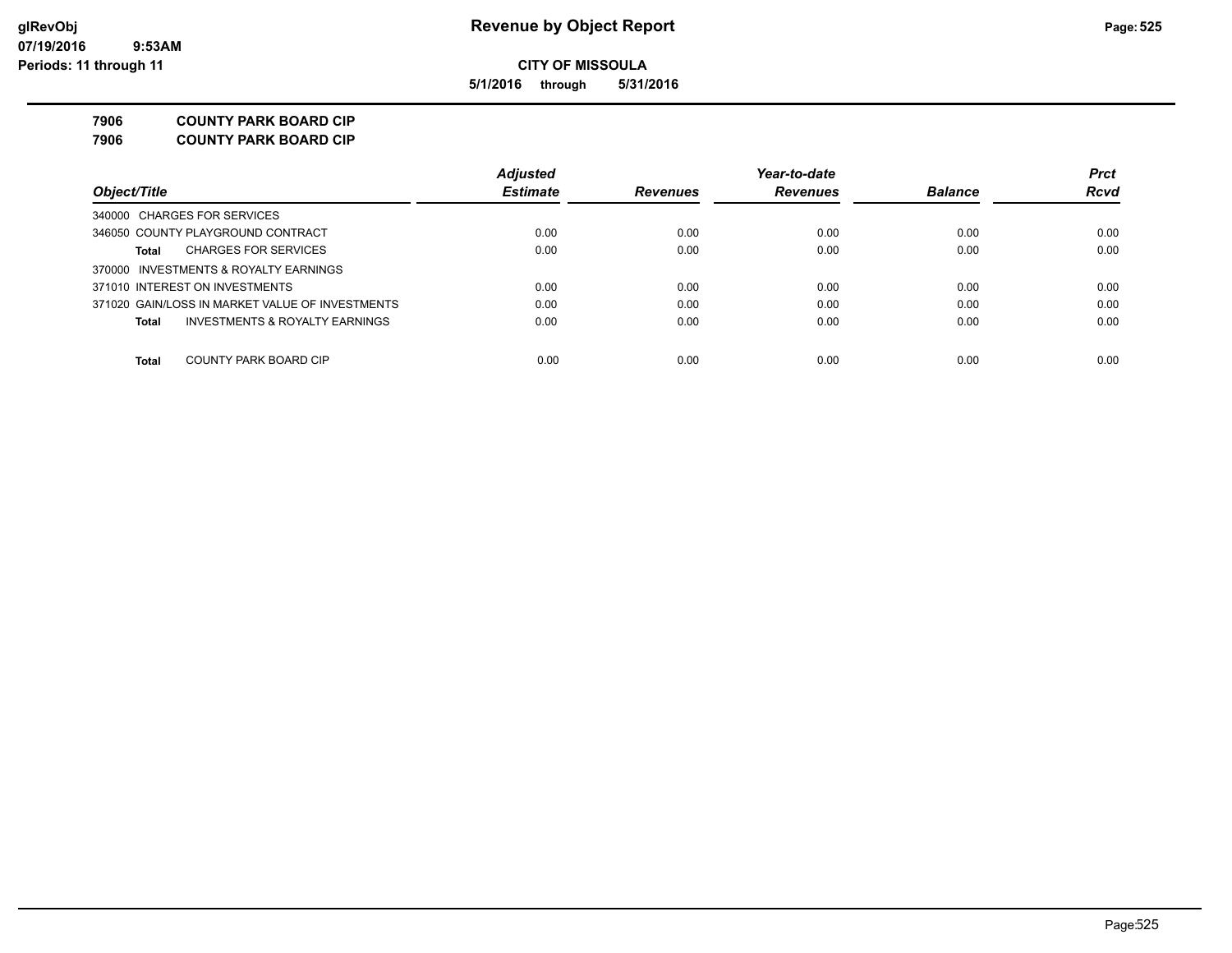**5/1/2016 through 5/31/2016**

**7906 COUNTY PARK BOARD CIP**

**7906 COUNTY PARK BOARD CIP**

|                                                 | <b>Adjusted</b> |                 | Year-to-date    |                | <b>Prct</b> |
|-------------------------------------------------|-----------------|-----------------|-----------------|----------------|-------------|
| Object/Title                                    | <b>Estimate</b> | <b>Revenues</b> | <b>Revenues</b> | <b>Balance</b> | <b>Rcvd</b> |
| 340000 CHARGES FOR SERVICES                     |                 |                 |                 |                |             |
| 346050 COUNTY PLAYGROUND CONTRACT               | 0.00            | 0.00            | 0.00            | 0.00           | 0.00        |
| <b>CHARGES FOR SERVICES</b><br>Total            | 0.00            | 0.00            | 0.00            | 0.00           | 0.00        |
| 370000 INVESTMENTS & ROYALTY EARNINGS           |                 |                 |                 |                |             |
| 371010 INTEREST ON INVESTMENTS                  | 0.00            | 0.00            | 0.00            | 0.00           | 0.00        |
| 371020 GAIN/LOSS IN MARKET VALUE OF INVESTMENTS | 0.00            | 0.00            | 0.00            | 0.00           | 0.00        |
| INVESTMENTS & ROYALTY EARNINGS<br>Total         | 0.00            | 0.00            | 0.00            | 0.00           | 0.00        |
| COUNTY PARK BOARD CIP<br>Total                  | 0.00            | 0.00            | 0.00            | 0.00           | 0.00        |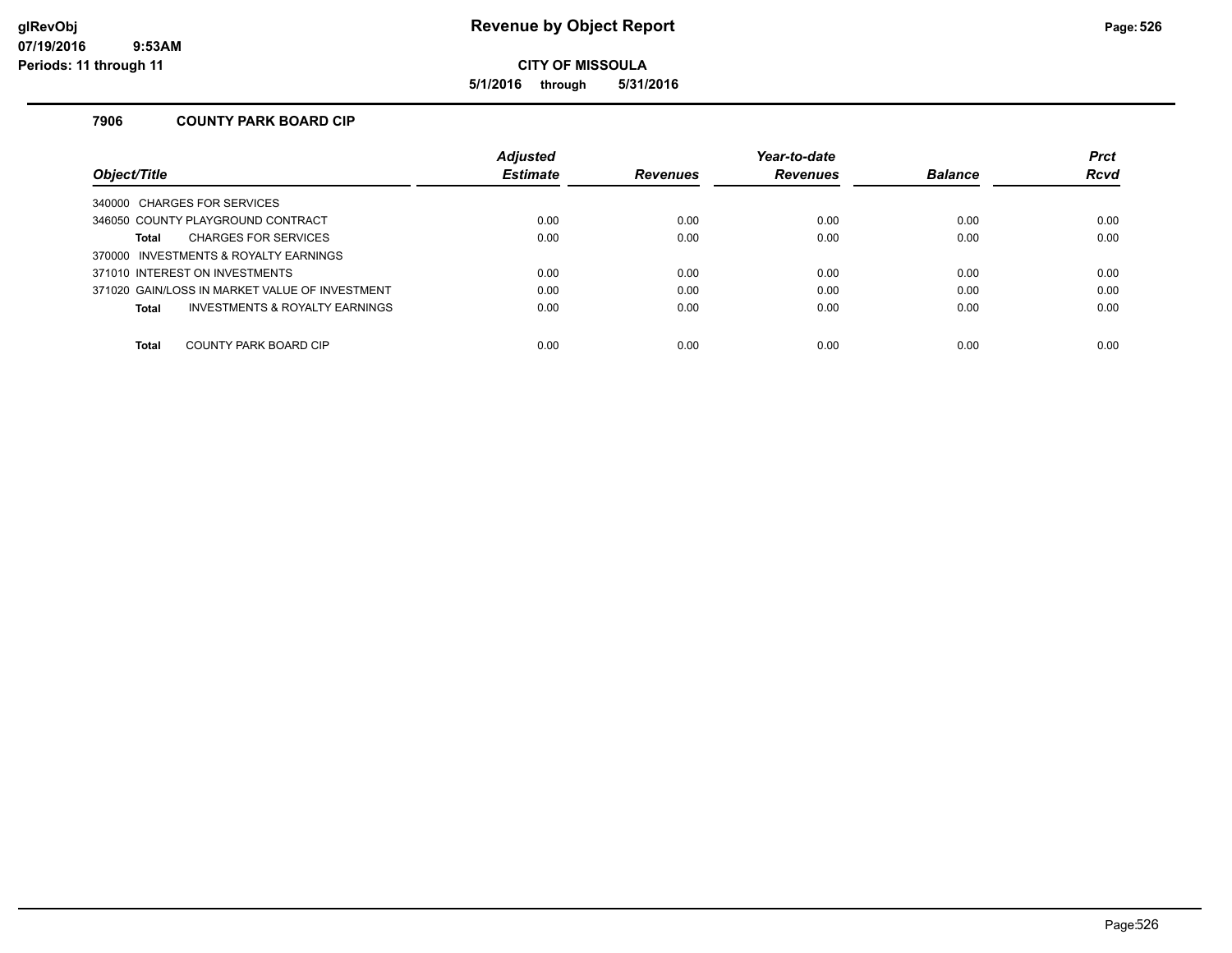**5/1/2016 through 5/31/2016**

### **7906 COUNTY PARK BOARD CIP**

|                                                | <b>Adjusted</b> |                 | Year-to-date    |                | <b>Prct</b> |
|------------------------------------------------|-----------------|-----------------|-----------------|----------------|-------------|
| Obiect/Title                                   | <b>Estimate</b> | <b>Revenues</b> | <b>Revenues</b> | <b>Balance</b> | <b>Rcvd</b> |
| 340000 CHARGES FOR SERVICES                    |                 |                 |                 |                |             |
| 346050 COUNTY PLAYGROUND CONTRACT              | 0.00            | 0.00            | 0.00            | 0.00           | 0.00        |
| <b>CHARGES FOR SERVICES</b><br>Total           | 0.00            | 0.00            | 0.00            | 0.00           | 0.00        |
| 370000 INVESTMENTS & ROYALTY EARNINGS          |                 |                 |                 |                |             |
| 371010 INTEREST ON INVESTMENTS                 | 0.00            | 0.00            | 0.00            | 0.00           | 0.00        |
| 371020 GAIN/LOSS IN MARKET VALUE OF INVESTMENT | 0.00            | 0.00            | 0.00            | 0.00           | 0.00        |
| INVESTMENTS & ROYALTY EARNINGS<br>Total        | 0.00            | 0.00            | 0.00            | 0.00           | 0.00        |
|                                                |                 |                 |                 |                |             |
| COUNTY PARK BOARD CIP<br><b>Total</b>          | 0.00            | 0.00            | 0.00            | 0.00           | 0.00        |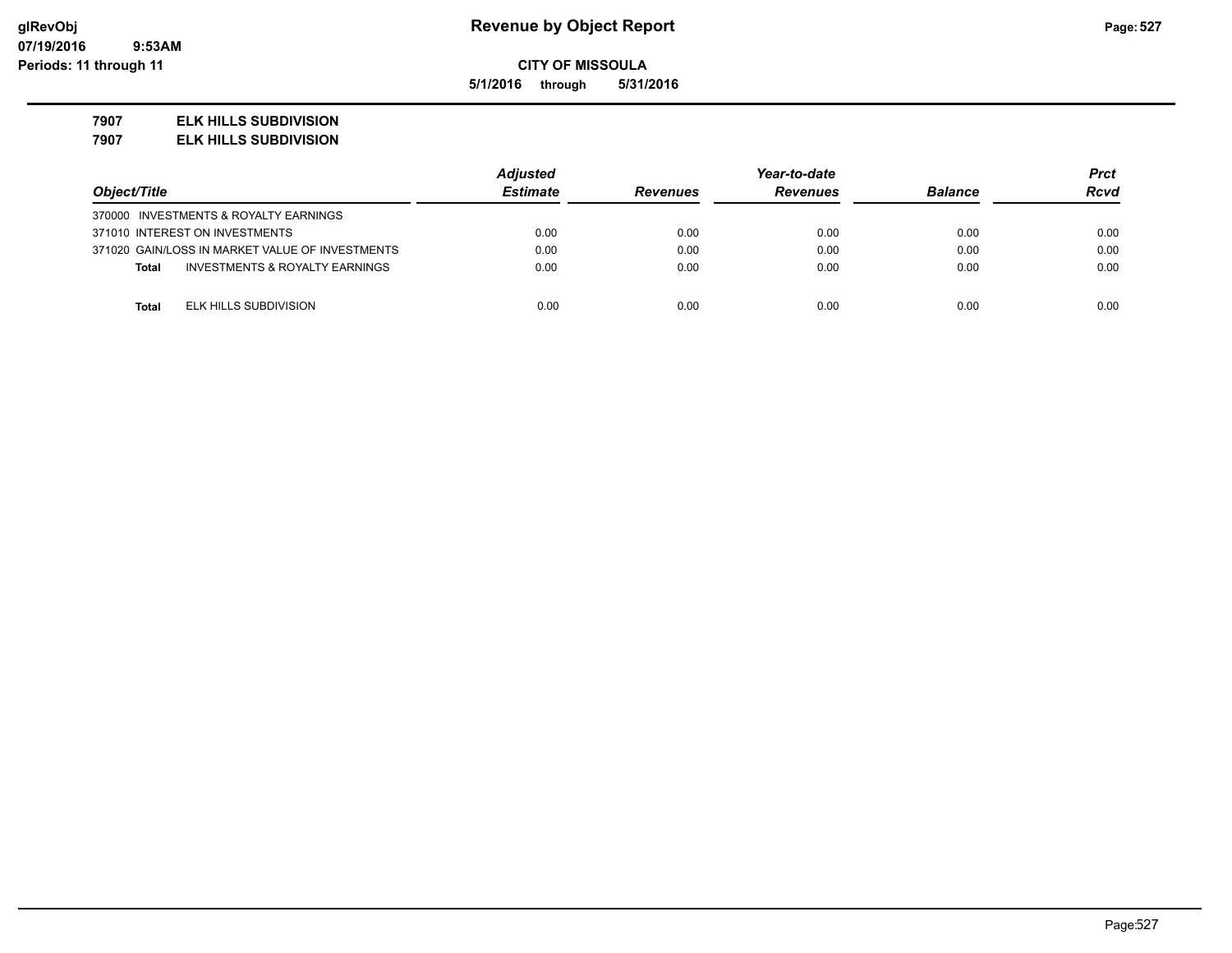**5/1/2016 through 5/31/2016**

### **7907 ELK HILLS SUBDIVISION**

**7907 ELK HILLS SUBDIVISION**

|                                                           | <b>Adjusted</b> |                 | Year-to-date    |                |             |
|-----------------------------------------------------------|-----------------|-----------------|-----------------|----------------|-------------|
| Object/Title                                              | <b>Estimate</b> | <b>Revenues</b> | <b>Revenues</b> | <b>Balance</b> | <b>Rcvd</b> |
| 370000 INVESTMENTS & ROYALTY EARNINGS                     |                 |                 |                 |                |             |
| 371010 INTEREST ON INVESTMENTS                            | 0.00            | 0.00            | 0.00            | 0.00           | 0.00        |
| 371020 GAIN/LOSS IN MARKET VALUE OF INVESTMENTS           | 0.00            | 0.00            | 0.00            | 0.00           | 0.00        |
| <b>INVESTMENTS &amp; ROYALTY EARNINGS</b><br><b>Total</b> | 0.00            | 0.00            | 0.00            | 0.00           | 0.00        |
|                                                           |                 |                 |                 |                |             |
| ELK HILLS SUBDIVISION<br><b>Total</b>                     | 0.00            | 0.00            | 0.00            | 0.00           | 0.00        |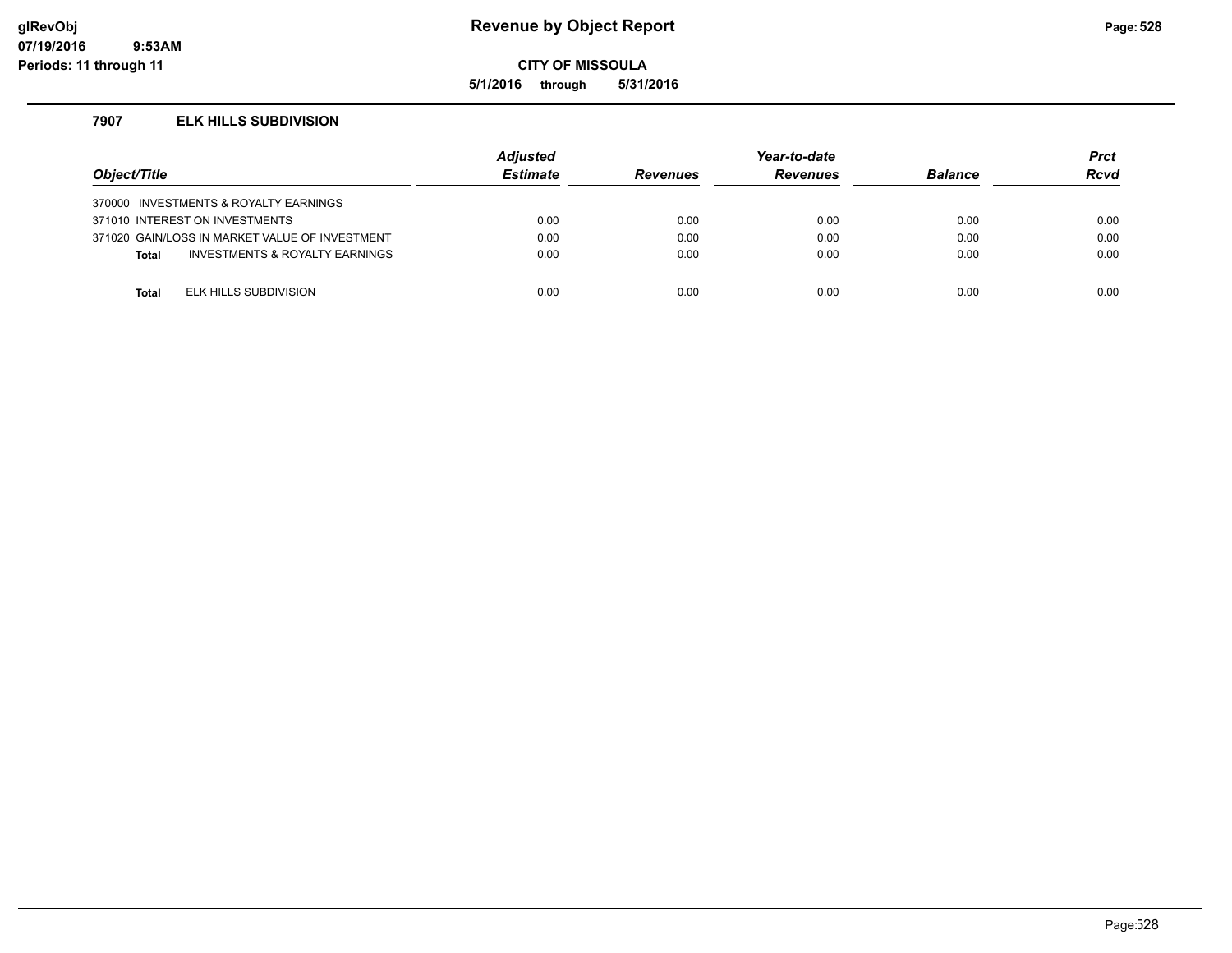### **glRevObj Revenue by Object Report Page:528**

**CITY OF MISSOULA**

**5/1/2016 through 5/31/2016**

### **7907 ELK HILLS SUBDIVISION**

| Object/Title |                                                | <b>Adjusted</b><br><b>Estimate</b> | <b>Revenues</b> | Year-to-date<br><b>Revenues</b> | <b>Balance</b> | <b>Prct</b><br>Rcvd |
|--------------|------------------------------------------------|------------------------------------|-----------------|---------------------------------|----------------|---------------------|
|              | 370000 INVESTMENTS & ROYALTY EARNINGS          |                                    |                 |                                 |                |                     |
|              | 371010 INTEREST ON INVESTMENTS                 | 0.00                               | 0.00            | 0.00                            | 0.00           | 0.00                |
|              | 371020 GAIN/LOSS IN MARKET VALUE OF INVESTMENT | 0.00                               | 0.00            | 0.00                            | 0.00           | 0.00                |
| <b>Total</b> | <b>INVESTMENTS &amp; ROYALTY EARNINGS</b>      | 0.00                               | 0.00            | 0.00                            | 0.00           | 0.00                |
|              |                                                |                                    |                 |                                 |                |                     |
| Total        | ELK HILLS SUBDIVISION                          | 0.00                               | 0.00            | 0.00                            | 0.00           | 0.00                |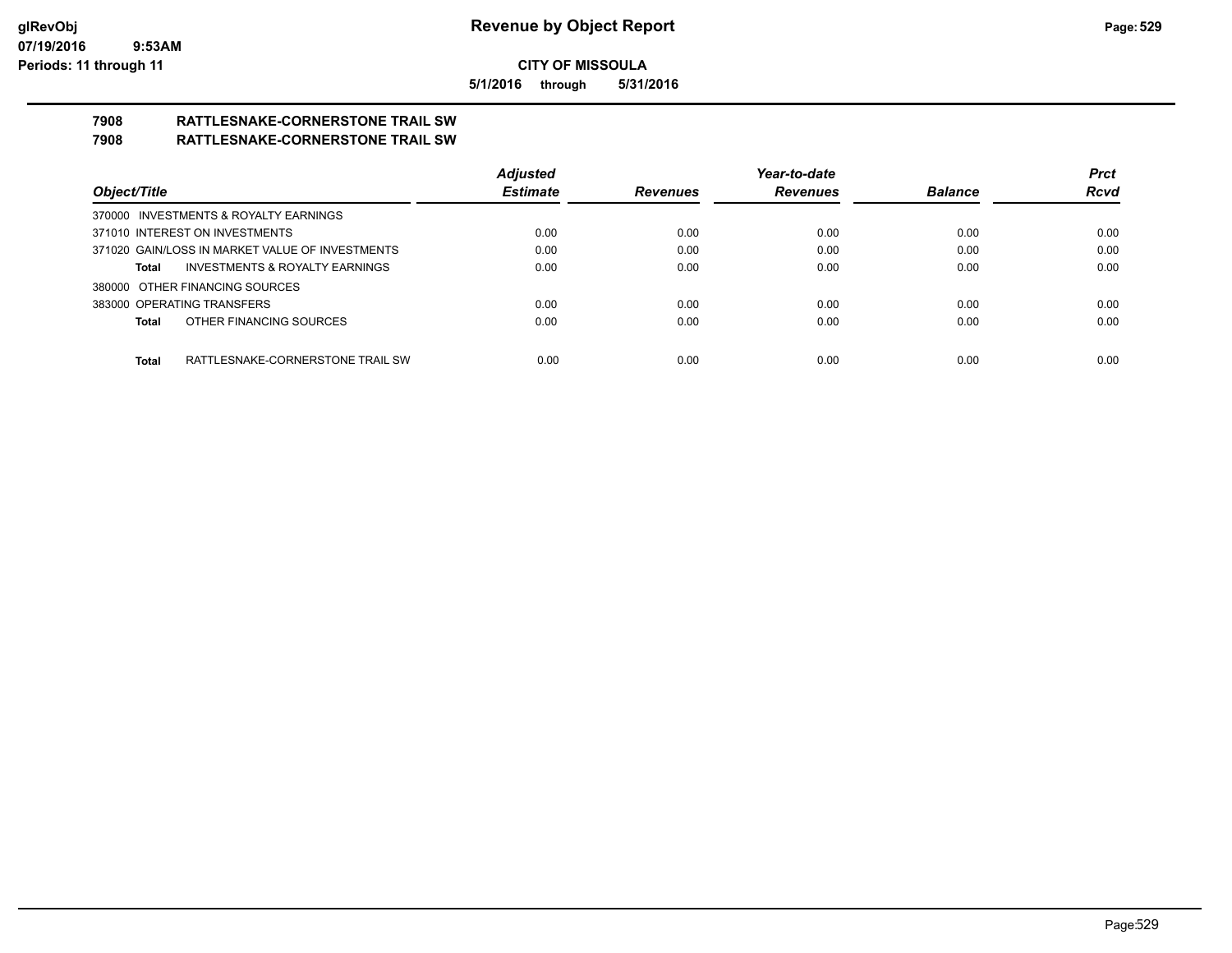**5/1/2016 through 5/31/2016**

# **7908 RATTLESNAKE-CORNERSTONE TRAIL SW**

## **7908 RATTLESNAKE-CORNERSTONE TRAIL SW**

|                                                    | <b>Adjusted</b> |                 | Year-to-date    |                | <b>Prct</b> |
|----------------------------------------------------|-----------------|-----------------|-----------------|----------------|-------------|
| Object/Title                                       | <b>Estimate</b> | <b>Revenues</b> | <b>Revenues</b> | <b>Balance</b> | <b>Rcvd</b> |
| 370000 INVESTMENTS & ROYALTY EARNINGS              |                 |                 |                 |                |             |
| 371010 INTEREST ON INVESTMENTS                     | 0.00            | 0.00            | 0.00            | 0.00           | 0.00        |
| 371020 GAIN/LOSS IN MARKET VALUE OF INVESTMENTS    | 0.00            | 0.00            | 0.00            | 0.00           | 0.00        |
| <b>INVESTMENTS &amp; ROYALTY EARNINGS</b><br>Total | 0.00            | 0.00            | 0.00            | 0.00           | 0.00        |
| 380000 OTHER FINANCING SOURCES                     |                 |                 |                 |                |             |
| 383000 OPERATING TRANSFERS                         | 0.00            | 0.00            | 0.00            | 0.00           | 0.00        |
| OTHER FINANCING SOURCES<br>Total                   | 0.00            | 0.00            | 0.00            | 0.00           | 0.00        |
|                                                    |                 |                 |                 |                |             |
| RATTLESNAKE-CORNERSTONE TRAIL SW<br>Total          | 0.00            | 0.00            | 0.00            | 0.00           | 0.00        |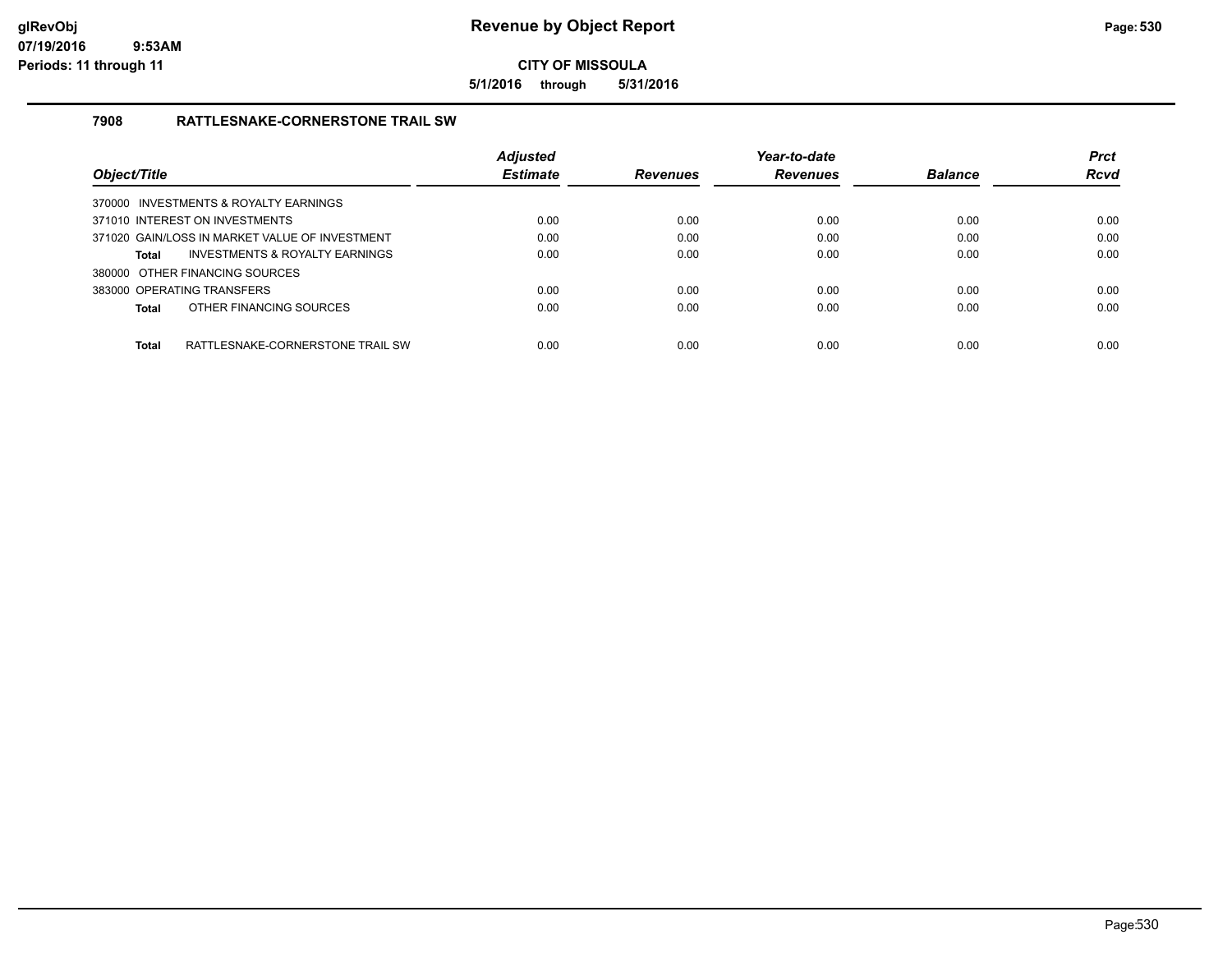**5/1/2016 through 5/31/2016**

### **7908 RATTLESNAKE-CORNERSTONE TRAIL SW**

|                                                |                                  | <b>Adjusted</b> |                 | Year-to-date    |                | <b>Prct</b> |
|------------------------------------------------|----------------------------------|-----------------|-----------------|-----------------|----------------|-------------|
| Object/Title                                   |                                  | <b>Estimate</b> | <b>Revenues</b> | <b>Revenues</b> | <b>Balance</b> | <b>Rcvd</b> |
| 370000 INVESTMENTS & ROYALTY EARNINGS          |                                  |                 |                 |                 |                |             |
| 371010 INTEREST ON INVESTMENTS                 |                                  | 0.00            | 0.00            | 0.00            | 0.00           | 0.00        |
| 371020 GAIN/LOSS IN MARKET VALUE OF INVESTMENT |                                  | 0.00            | 0.00            | 0.00            | 0.00           | 0.00        |
| Total                                          | INVESTMENTS & ROYALTY EARNINGS   | 0.00            | 0.00            | 0.00            | 0.00           | 0.00        |
| 380000 OTHER FINANCING SOURCES                 |                                  |                 |                 |                 |                |             |
| 383000 OPERATING TRANSFERS                     |                                  | 0.00            | 0.00            | 0.00            | 0.00           | 0.00        |
| OTHER FINANCING SOURCES<br>Total               |                                  | 0.00            | 0.00            | 0.00            | 0.00           | 0.00        |
| <b>Total</b>                                   | RATTLESNAKE-CORNERSTONE TRAIL SW | 0.00            | 0.00            | 0.00            | 0.00           | 0.00        |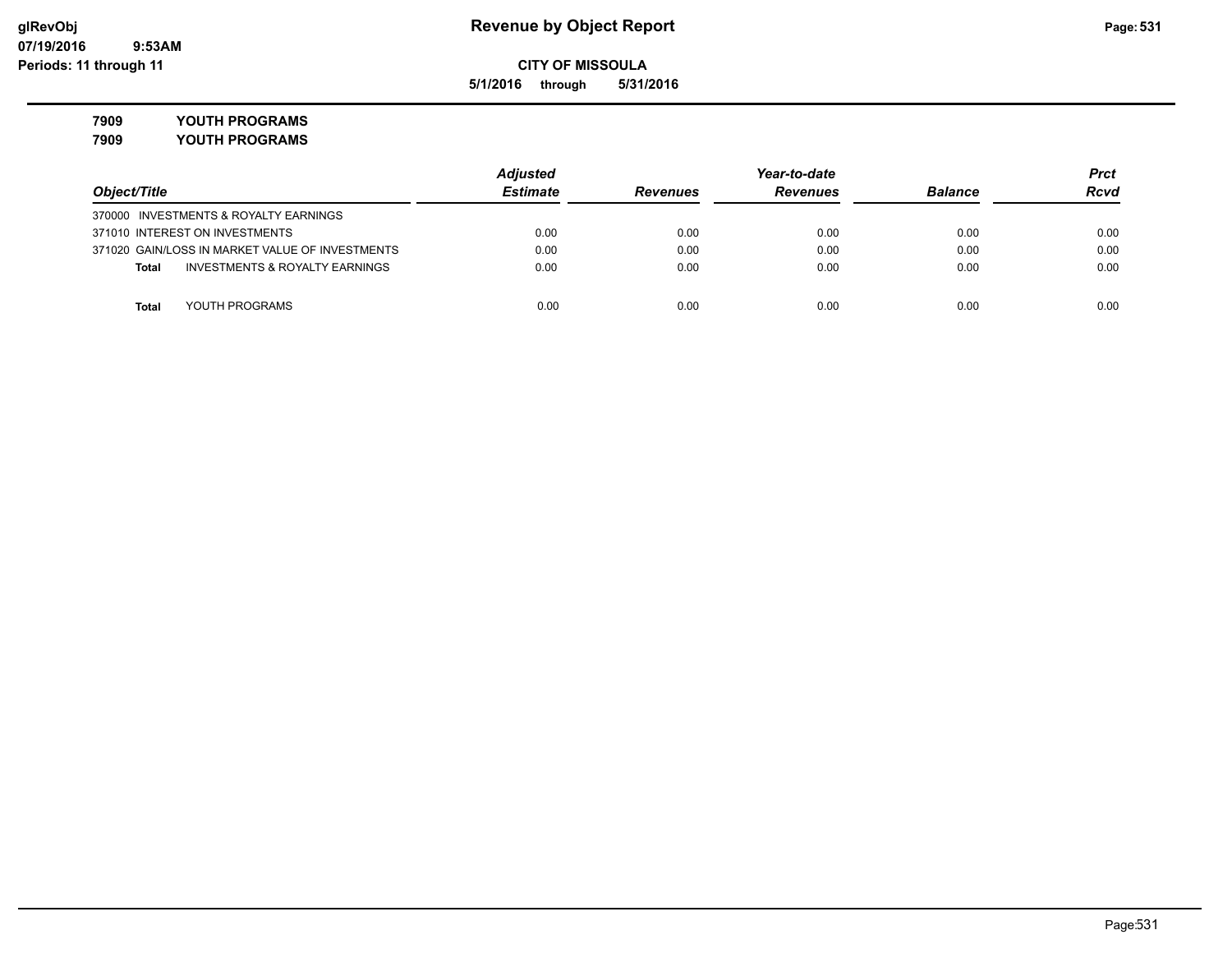**5/1/2016 through 5/31/2016**

**7909 YOUTH PROGRAMS**

**7909 YOUTH PROGRAMS**

|                                                           | <b>Adjusted</b> |                 | Year-to-date    |                |             |
|-----------------------------------------------------------|-----------------|-----------------|-----------------|----------------|-------------|
| Object/Title                                              | <b>Estimate</b> | <b>Revenues</b> | <b>Revenues</b> | <b>Balance</b> | <b>Rcvd</b> |
| 370000 INVESTMENTS & ROYALTY EARNINGS                     |                 |                 |                 |                |             |
| 371010 INTEREST ON INVESTMENTS                            | 0.00            | 0.00            | 0.00            | 0.00           | 0.00        |
| 371020 GAIN/LOSS IN MARKET VALUE OF INVESTMENTS           | 0.00            | 0.00            | 0.00            | 0.00           | 0.00        |
| <b>INVESTMENTS &amp; ROYALTY EARNINGS</b><br><b>Total</b> | 0.00            | 0.00            | 0.00            | 0.00           | 0.00        |
| YOUTH PROGRAMS<br>Total                                   | 0.00            | 0.00            | 0.00            | 0.00           | 0.00        |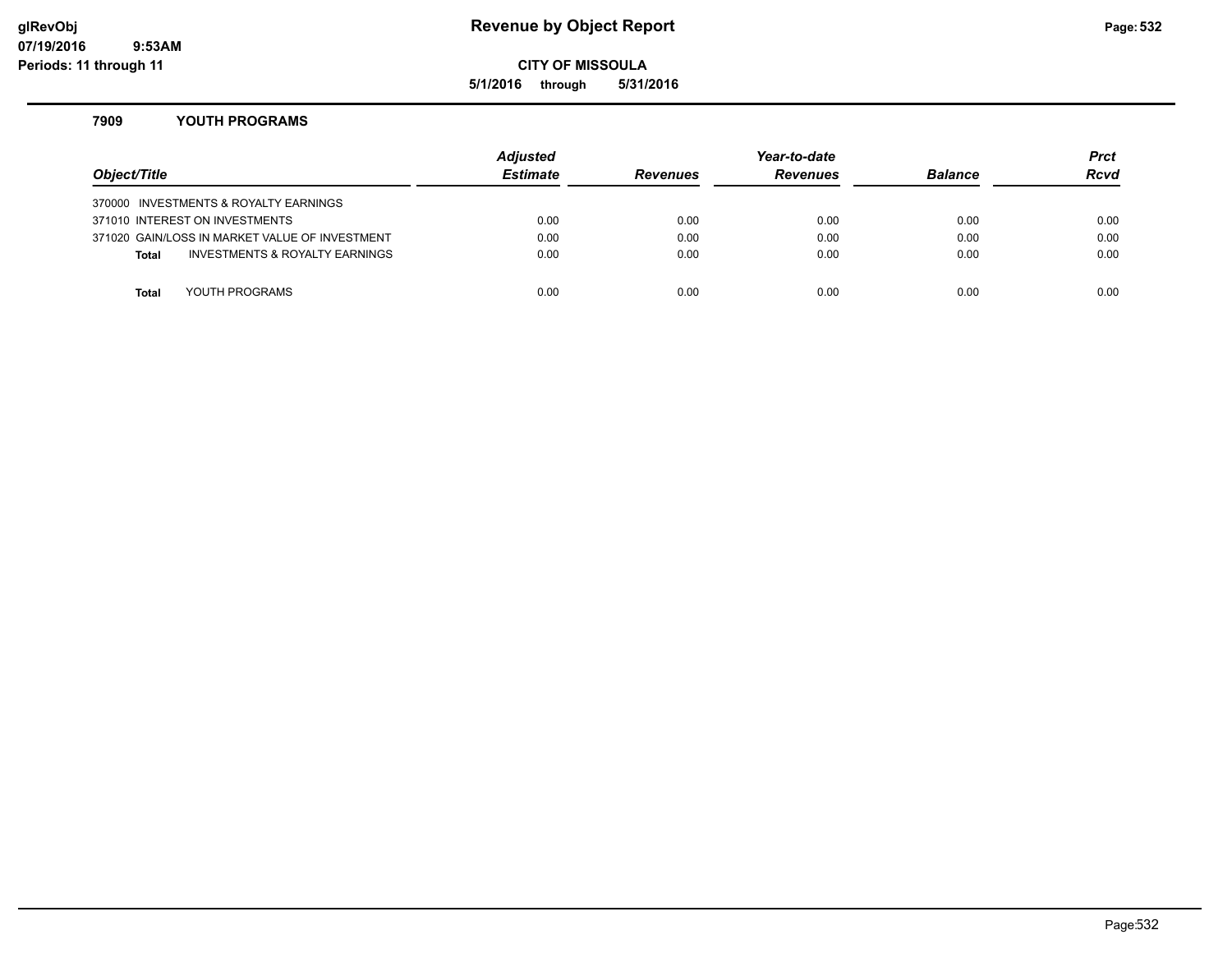### **glRevObj Revenue by Object Report Page:532**

**CITY OF MISSOULA**

**5/1/2016 through 5/31/2016**

### **7909 YOUTH PROGRAMS**

| Object/Title |                                                | Adjusted<br><b>Estimate</b> | <b>Revenues</b> | Year-to-date<br><b>Revenues</b> | <b>Balance</b> | <b>Prct</b><br><b>Rcvd</b> |
|--------------|------------------------------------------------|-----------------------------|-----------------|---------------------------------|----------------|----------------------------|
|              | 370000 INVESTMENTS & ROYALTY EARNINGS          |                             |                 |                                 |                |                            |
|              | 371010 INTEREST ON INVESTMENTS                 | 0.00                        | 0.00            | 0.00                            | 0.00           | 0.00                       |
|              | 371020 GAIN/LOSS IN MARKET VALUE OF INVESTMENT | 0.00                        | 0.00            | 0.00                            | 0.00           | 0.00                       |
| <b>Total</b> | INVESTMENTS & ROYALTY EARNINGS                 | 0.00                        | 0.00            | 0.00                            | 0.00           | 0.00                       |
|              |                                                |                             |                 |                                 |                |                            |
| Total        | YOUTH PROGRAMS                                 | 0.00                        | 0.00            | 0.00                            | 0.00           | 0.00                       |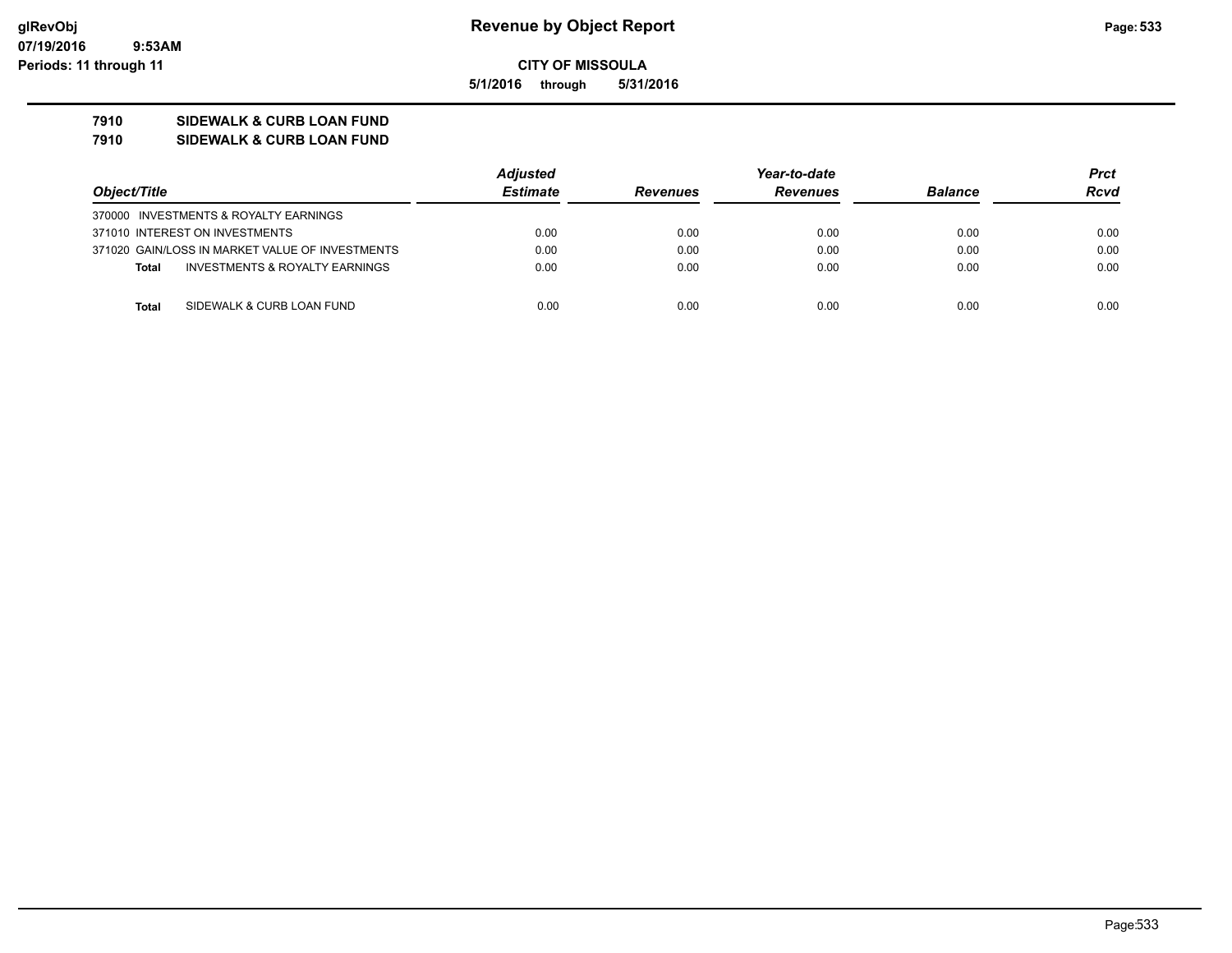**5/1/2016 through 5/31/2016**

## **7910 SIDEWALK & CURB LOAN FUND**

**7910 SIDEWALK & CURB LOAN FUND**

|                                                           | <b>Adjusted</b> |                 | Year-to-date    |                | Prct        |
|-----------------------------------------------------------|-----------------|-----------------|-----------------|----------------|-------------|
| Object/Title                                              | <b>Estimate</b> | <b>Revenues</b> | <b>Revenues</b> | <b>Balance</b> | <b>Rcvd</b> |
| 370000 INVESTMENTS & ROYALTY EARNINGS                     |                 |                 |                 |                |             |
| 371010 INTEREST ON INVESTMENTS                            | 0.00            | 0.00            | 0.00            | 0.00           | 0.00        |
| 371020 GAIN/LOSS IN MARKET VALUE OF INVESTMENTS           | 0.00            | 0.00            | 0.00            | 0.00           | 0.00        |
| <b>INVESTMENTS &amp; ROYALTY EARNINGS</b><br><b>Total</b> | 0.00            | 0.00            | 0.00            | 0.00           | 0.00        |
|                                                           |                 |                 |                 |                |             |
| SIDEWALK & CURB LOAN FUND<br><b>Total</b>                 | 0.00            | 0.00            | 0.00            | 0.00           | 0.00        |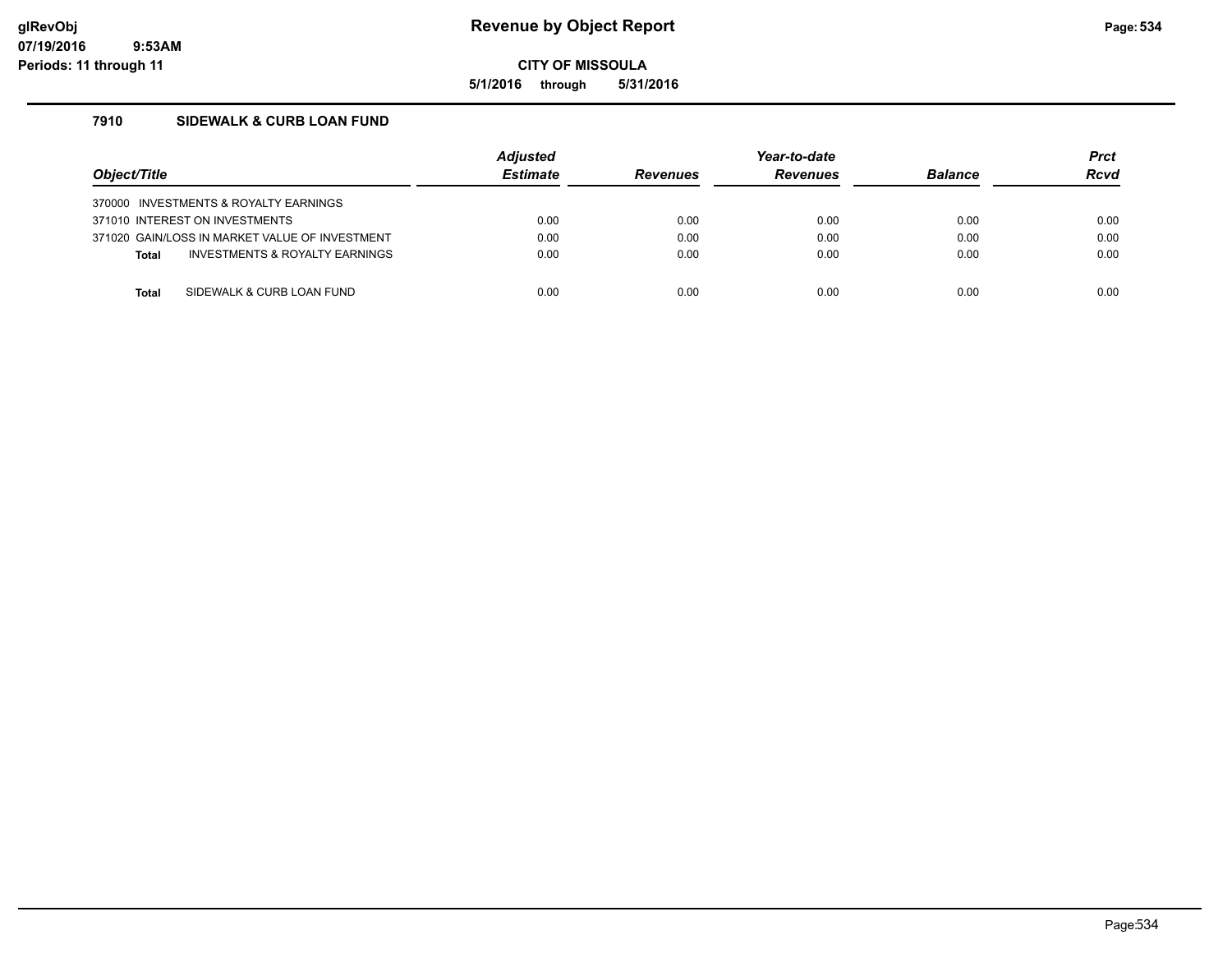**5/1/2016 through 5/31/2016**

### **7910 SIDEWALK & CURB LOAN FUND**

| Object/Title |                                                | <b>Adjusted</b><br><b>Estimate</b> | <b>Revenues</b> | Year-to-date<br><b>Revenues</b> | <b>Balance</b> | <b>Prct</b><br><b>Rcvd</b> |
|--------------|------------------------------------------------|------------------------------------|-----------------|---------------------------------|----------------|----------------------------|
|              | 370000 INVESTMENTS & ROYALTY EARNINGS          |                                    |                 |                                 |                |                            |
|              | 371010 INTEREST ON INVESTMENTS                 | 0.00                               | 0.00            | 0.00                            | 0.00           | 0.00                       |
|              | 371020 GAIN/LOSS IN MARKET VALUE OF INVESTMENT | 0.00                               | 0.00            | 0.00                            | 0.00           | 0.00                       |
| <b>Total</b> | INVESTMENTS & ROYALTY EARNINGS                 | 0.00                               | 0.00            | 0.00                            | 0.00           | 0.00                       |
|              |                                                |                                    |                 |                                 |                |                            |
| Total        | SIDEWALK & CURB LOAN FUND                      | 0.00                               | 0.00            | 0.00                            | 0.00           | 0.00                       |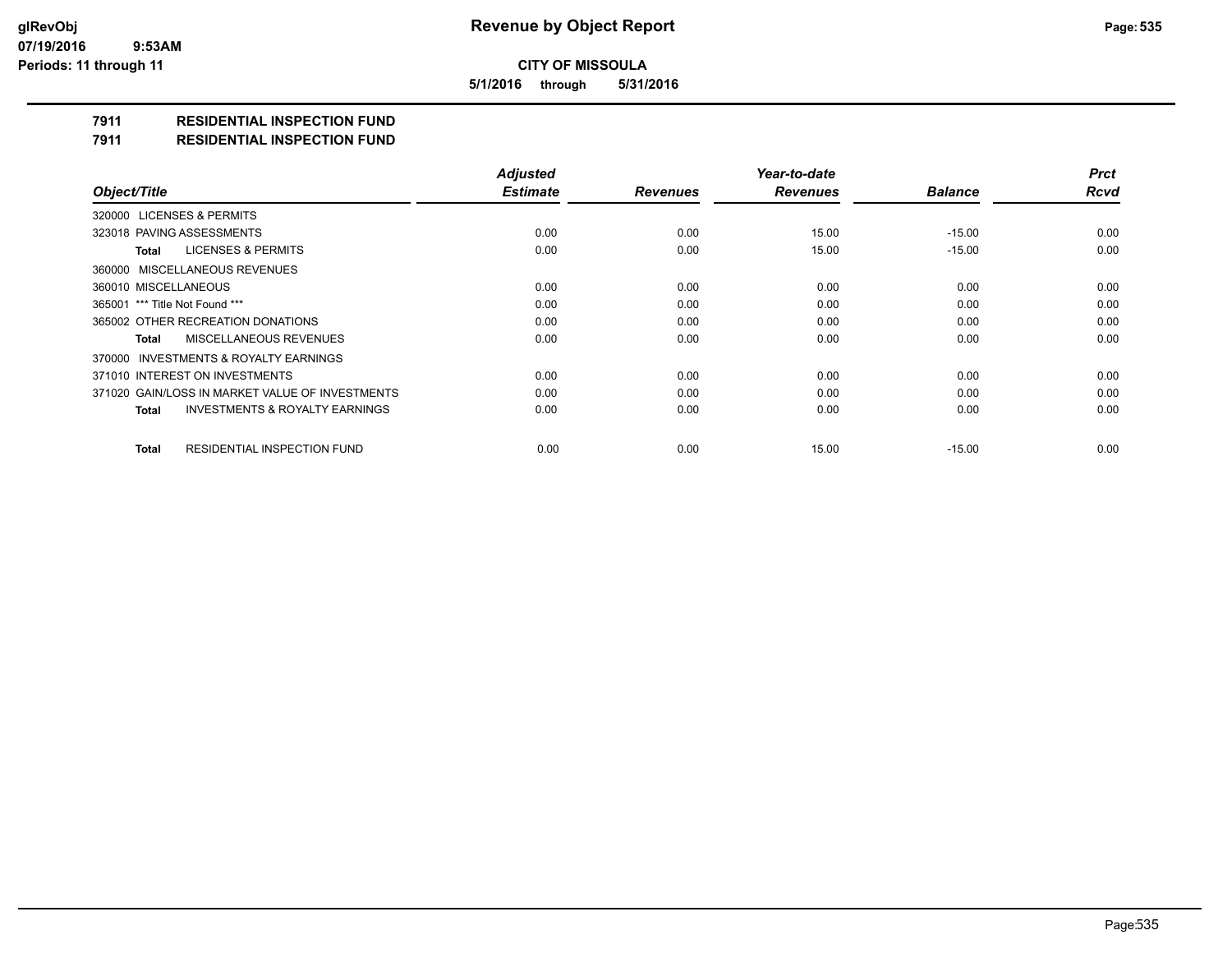**5/1/2016 through 5/31/2016**

## **7911 RESIDENTIAL INSPECTION FUND**

#### **7911 RESIDENTIAL INSPECTION FUND**

|                                                    | <b>Adjusted</b> |                 | Year-to-date    |                | <b>Prct</b> |
|----------------------------------------------------|-----------------|-----------------|-----------------|----------------|-------------|
| Object/Title                                       | <b>Estimate</b> | <b>Revenues</b> | <b>Revenues</b> | <b>Balance</b> | <b>Rcvd</b> |
| 320000 LICENSES & PERMITS                          |                 |                 |                 |                |             |
| 323018 PAVING ASSESSMENTS                          | 0.00            | 0.00            | 15.00           | $-15.00$       | 0.00        |
| LICENSES & PERMITS<br>Total                        | 0.00            | 0.00            | 15.00           | $-15.00$       | 0.00        |
| 360000 MISCELLANEOUS REVENUES                      |                 |                 |                 |                |             |
| 360010 MISCELLANEOUS                               | 0.00            | 0.00            | 0.00            | 0.00           | 0.00        |
| 365001 *** Title Not Found ***                     | 0.00            | 0.00            | 0.00            | 0.00           | 0.00        |
| 365002 OTHER RECREATION DONATIONS                  | 0.00            | 0.00            | 0.00            | 0.00           | 0.00        |
| MISCELLANEOUS REVENUES<br>Total                    | 0.00            | 0.00            | 0.00            | 0.00           | 0.00        |
| 370000 INVESTMENTS & ROYALTY EARNINGS              |                 |                 |                 |                |             |
| 371010 INTEREST ON INVESTMENTS                     | 0.00            | 0.00            | 0.00            | 0.00           | 0.00        |
| 371020 GAIN/LOSS IN MARKET VALUE OF INVESTMENTS    | 0.00            | 0.00            | 0.00            | 0.00           | 0.00        |
| <b>INVESTMENTS &amp; ROYALTY EARNINGS</b><br>Total | 0.00            | 0.00            | 0.00            | 0.00           | 0.00        |
| <b>RESIDENTIAL INSPECTION FUND</b><br><b>Total</b> | 0.00            | 0.00            | 15.00           | $-15.00$       | 0.00        |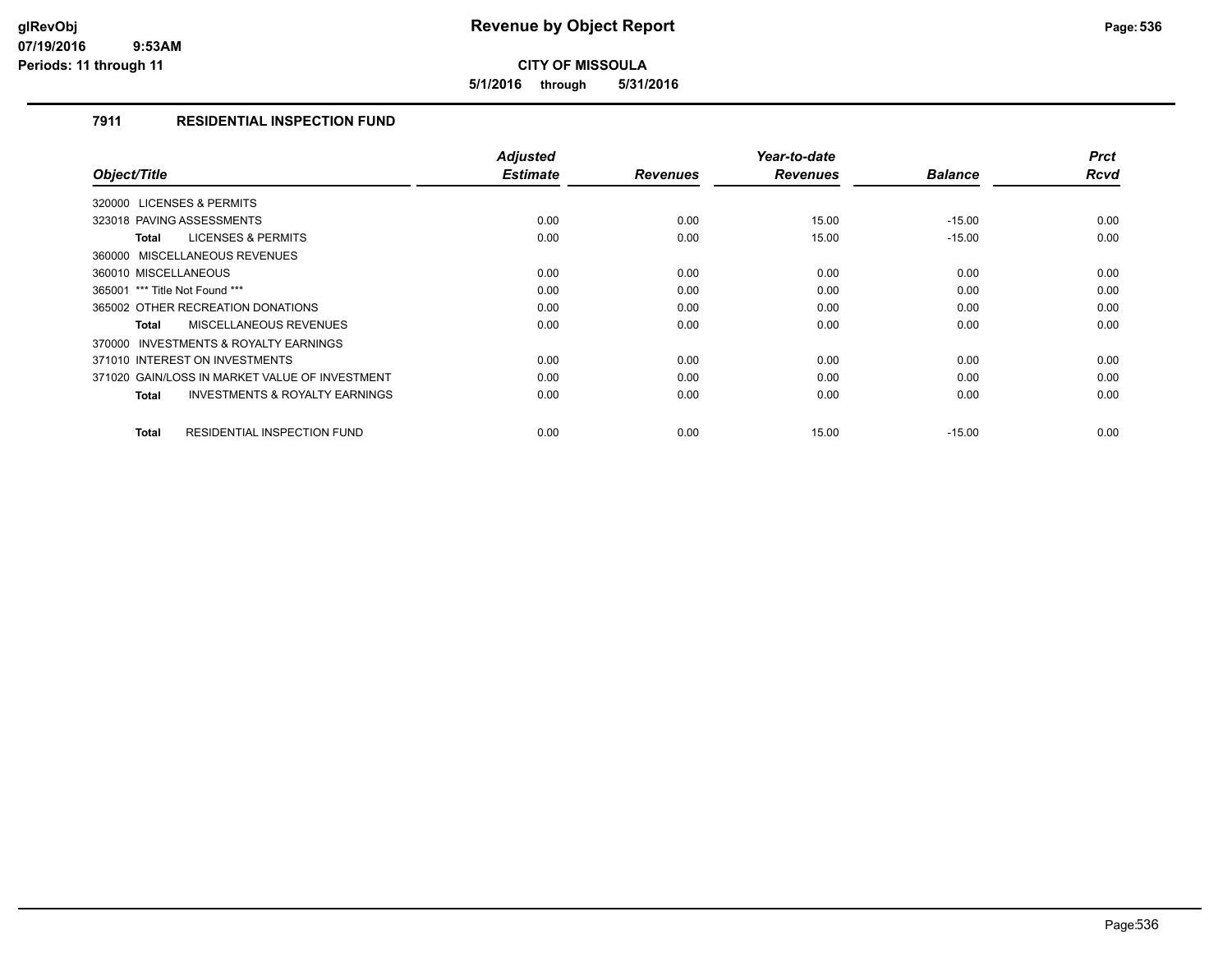**5/1/2016 through 5/31/2016**

### **7911 RESIDENTIAL INSPECTION FUND**

| Object/Title                                              | <b>Adjusted</b><br><b>Estimate</b> | <b>Revenues</b> | Year-to-date<br><b>Revenues</b> | <b>Balance</b> | <b>Prct</b><br><b>Rcvd</b> |
|-----------------------------------------------------------|------------------------------------|-----------------|---------------------------------|----------------|----------------------------|
| 320000 LICENSES & PERMITS                                 |                                    |                 |                                 |                |                            |
| 323018 PAVING ASSESSMENTS                                 | 0.00                               | 0.00            | 15.00                           | $-15.00$       | 0.00                       |
| <b>LICENSES &amp; PERMITS</b><br>Total                    | 0.00                               | 0.00            | 15.00                           | $-15.00$       | 0.00                       |
| 360000 MISCELLANEOUS REVENUES                             |                                    |                 |                                 |                |                            |
| 360010 MISCELLANEOUS                                      | 0.00                               | 0.00            | 0.00                            | 0.00           | 0.00                       |
| 365001 *** Title Not Found ***                            | 0.00                               | 0.00            | 0.00                            | 0.00           | 0.00                       |
| 365002 OTHER RECREATION DONATIONS                         | 0.00                               | 0.00            | 0.00                            | 0.00           | 0.00                       |
| <b>MISCELLANEOUS REVENUES</b><br>Total                    | 0.00                               | 0.00            | 0.00                            | 0.00           | 0.00                       |
| <b>INVESTMENTS &amp; ROYALTY EARNINGS</b><br>370000       |                                    |                 |                                 |                |                            |
| 371010 INTEREST ON INVESTMENTS                            | 0.00                               | 0.00            | 0.00                            | 0.00           | 0.00                       |
| 371020 GAIN/LOSS IN MARKET VALUE OF INVESTMENT            | 0.00                               | 0.00            | 0.00                            | 0.00           | 0.00                       |
| <b>INVESTMENTS &amp; ROYALTY EARNINGS</b><br><b>Total</b> | 0.00                               | 0.00            | 0.00                            | 0.00           | 0.00                       |
|                                                           |                                    |                 |                                 |                |                            |
| <b>RESIDENTIAL INSPECTION FUND</b><br><b>Total</b>        | 0.00                               | 0.00            | 15.00                           | $-15.00$       | 0.00                       |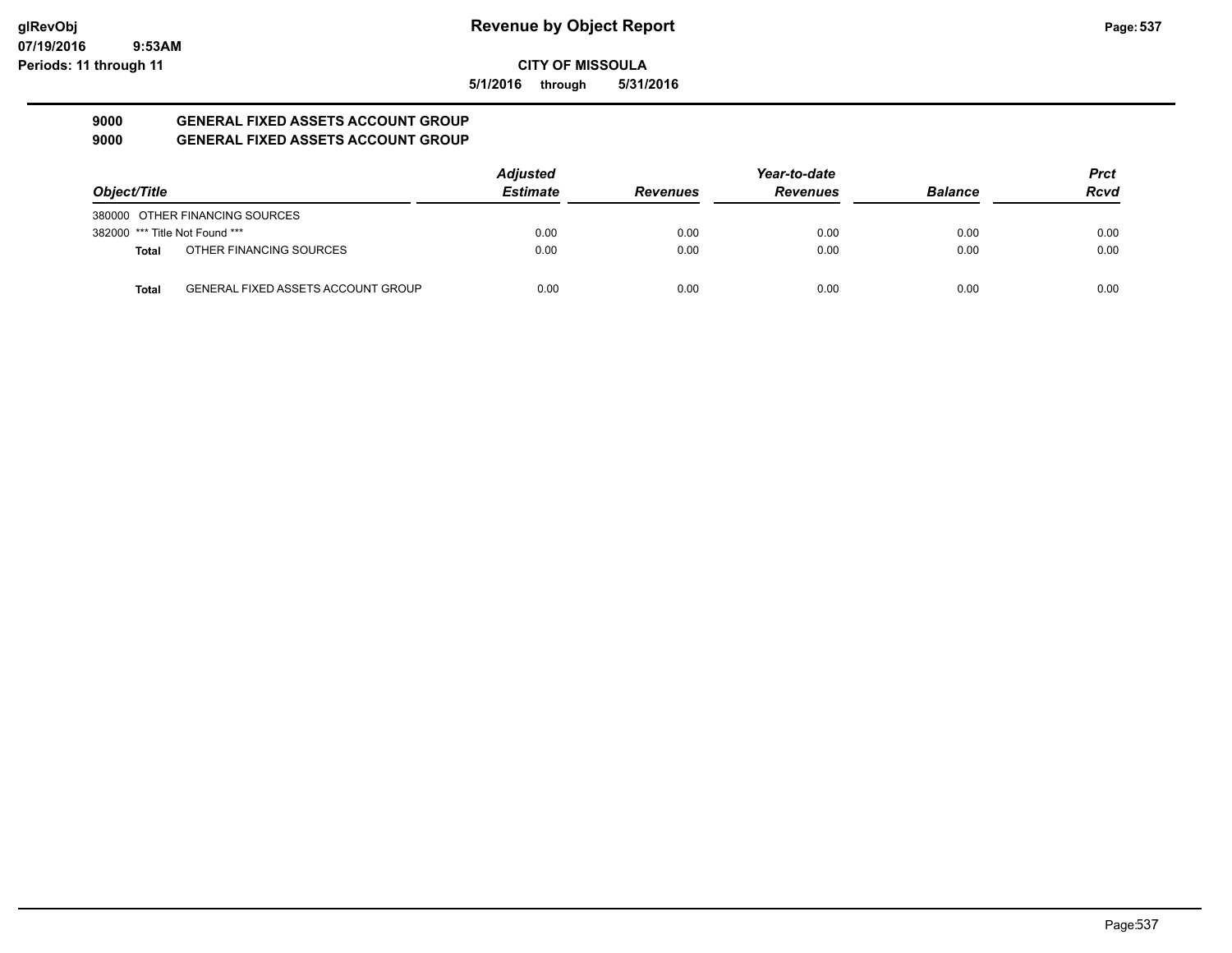### **07/19/2016 9:53AM Periods: 11 through 11**

## **CITY OF MISSOULA**

**5/1/2016 through 5/31/2016**

### **9000 GENERAL FIXED ASSETS ACCOUNT GROUP 9000 GENERAL FIXED ASSETS ACCOUNT GROUP**

|                                |                                           | <b>Adjusted</b> |                 | Year-to-date    |                | Prct |
|--------------------------------|-------------------------------------------|-----------------|-----------------|-----------------|----------------|------|
| Object/Title                   |                                           | <b>Estimate</b> | <b>Revenues</b> | <b>Revenues</b> | <b>Balance</b> | Rcvd |
|                                | 380000 OTHER FINANCING SOURCES            |                 |                 |                 |                |      |
| 382000 *** Title Not Found *** |                                           | 0.00            | 0.00            | 0.00            | 0.00           | 0.00 |
| <b>Total</b>                   | OTHER FINANCING SOURCES                   | 0.00            | 0.00            | 0.00            | 0.00           | 0.00 |
| <b>Total</b>                   | <b>GENERAL FIXED ASSETS ACCOUNT GROUP</b> | 0.00            | 0.00            | 0.00            | 0.00           | 0.00 |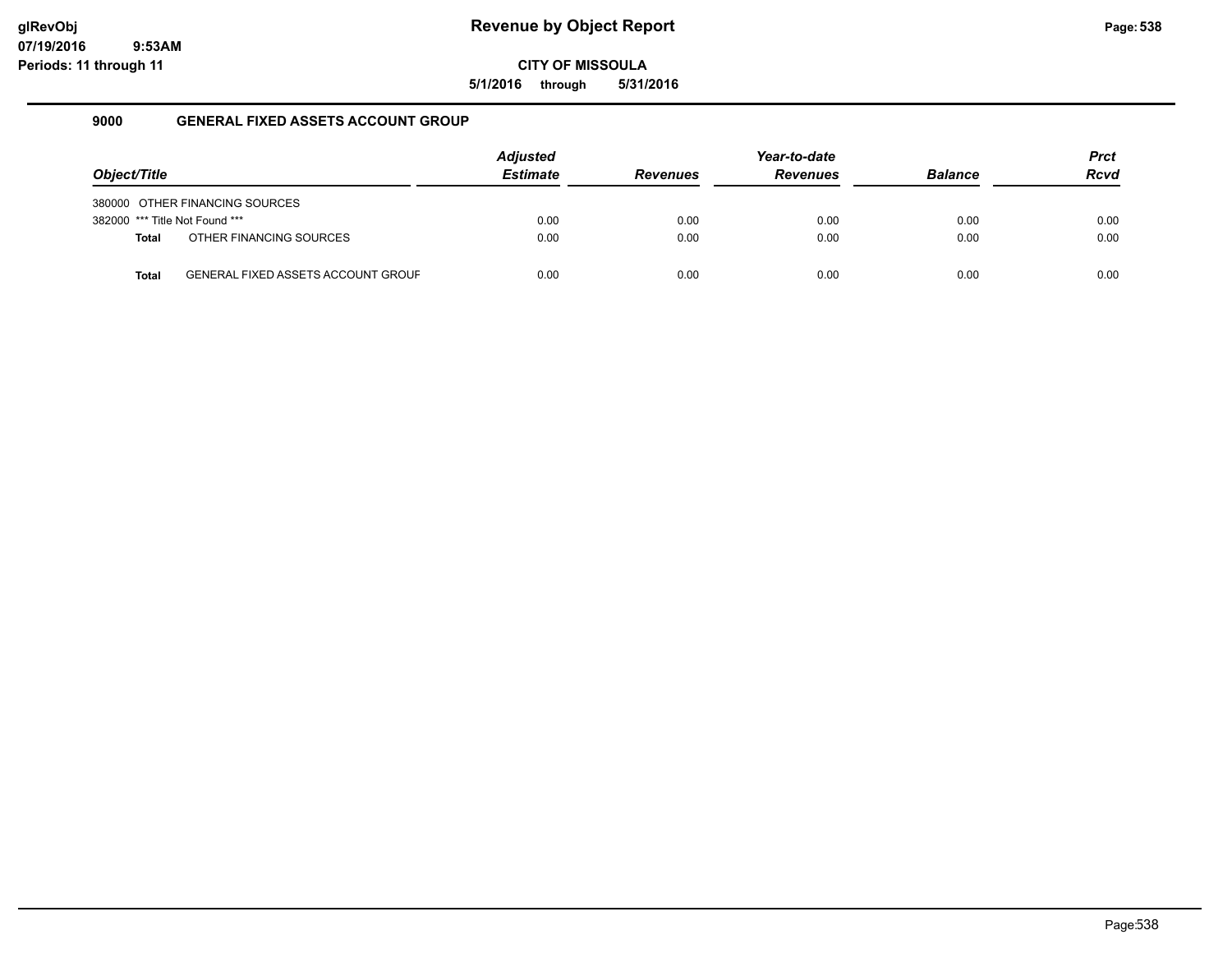**5/1/2016 through 5/31/2016**

### **9000 GENERAL FIXED ASSETS ACCOUNT GROUP**

|                                |                                           | <b>Adjusted</b> |                 | Year-to-date    |                | <b>Prct</b> |
|--------------------------------|-------------------------------------------|-----------------|-----------------|-----------------|----------------|-------------|
| Object/Title                   |                                           | <b>Estimate</b> | <b>Revenues</b> | <b>Revenues</b> | <b>Balance</b> | <b>Rcvd</b> |
|                                | 380000 OTHER FINANCING SOURCES            |                 |                 |                 |                |             |
| 382000 *** Title Not Found *** |                                           | 0.00            | 0.00            | 0.00            | 0.00           | 0.00        |
| <b>Total</b>                   | OTHER FINANCING SOURCES                   | 0.00            | 0.00            | 0.00            | 0.00           | 0.00        |
| Total                          | <b>GENERAL FIXED ASSETS ACCOUNT GROUF</b> | 0.00            | 0.00            | 0.00            | 0.00           | 0.00        |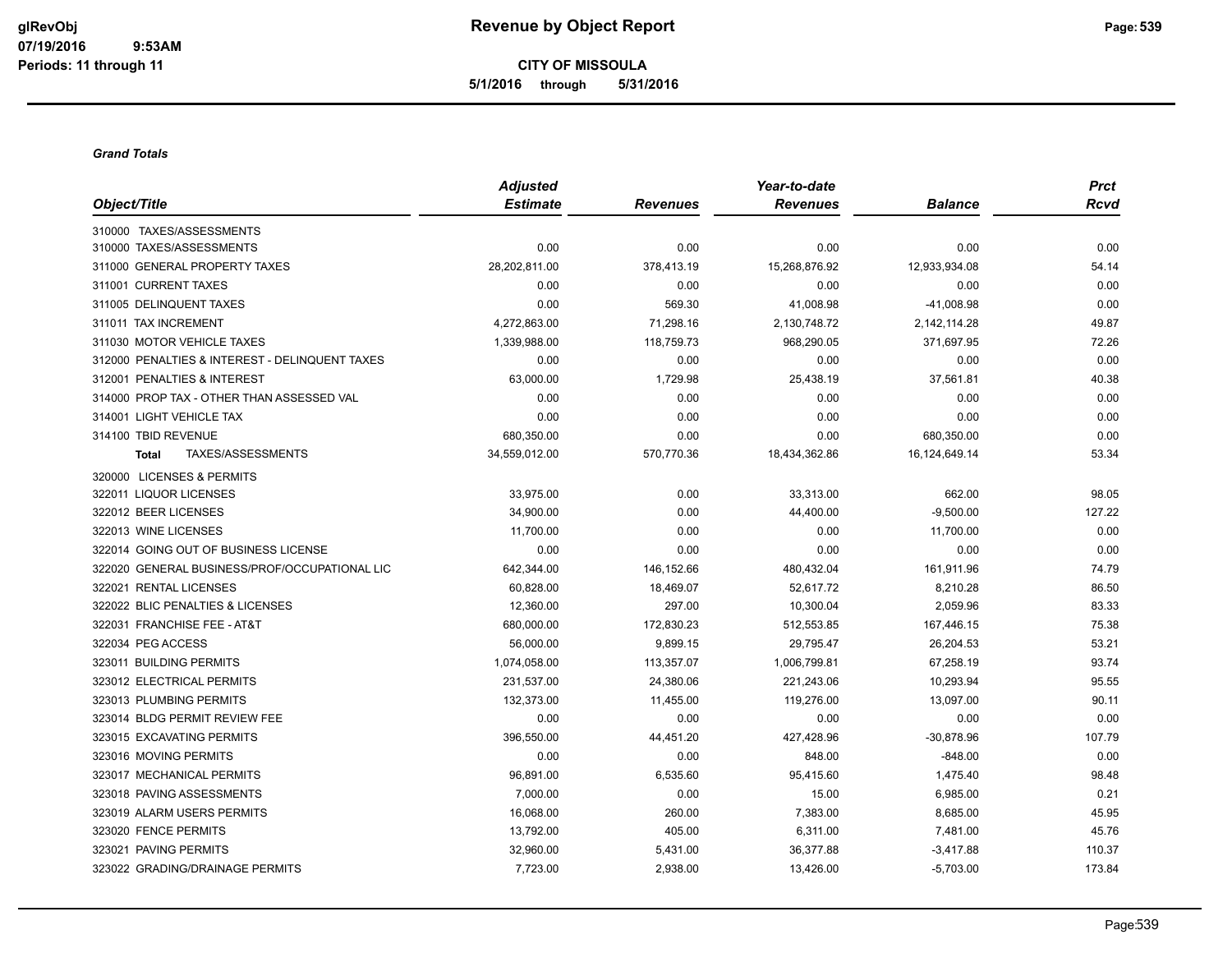**CITY OF MISSOULA 5/1/2016 through 5/31/2016**

#### *Grand Totals*

|                                                | <b>Adjusted</b> |                 | Year-to-date    |                | <b>Prct</b> |
|------------------------------------------------|-----------------|-----------------|-----------------|----------------|-------------|
| Object/Title                                   | <b>Estimate</b> | <b>Revenues</b> | <b>Revenues</b> | <b>Balance</b> | <b>Rcvd</b> |
| 310000 TAXES/ASSESSMENTS                       |                 |                 |                 |                |             |
| 310000 TAXES/ASSESSMENTS                       | 0.00            | 0.00            | 0.00            | 0.00           | 0.00        |
| 311000 GENERAL PROPERTY TAXES                  | 28,202,811.00   | 378,413.19      | 15,268,876.92   | 12,933,934.08  | 54.14       |
| 311001 CURRENT TAXES                           | 0.00            | 0.00            | 0.00            | 0.00           | 0.00        |
| 311005 DELINQUENT TAXES                        | 0.00            | 569.30          | 41,008.98       | -41,008.98     | 0.00        |
| 311011 TAX INCREMENT                           | 4,272,863.00    | 71,298.16       | 2,130,748.72    | 2,142,114.28   | 49.87       |
| 311030 MOTOR VEHICLE TAXES                     | 1,339,988.00    | 118,759.73      | 968,290.05      | 371,697.95     | 72.26       |
| 312000 PENALTIES & INTEREST - DELINQUENT TAXES | 0.00            | 0.00            | 0.00            | 0.00           | 0.00        |
| 312001 PENALTIES & INTEREST                    | 63,000.00       | 1,729.98        | 25,438.19       | 37,561.81      | 40.38       |
| 314000 PROP TAX - OTHER THAN ASSESSED VAL      | 0.00            | 0.00            | 0.00            | 0.00           | 0.00        |
| 314001 LIGHT VEHICLE TAX                       | 0.00            | 0.00            | 0.00            | 0.00           | 0.00        |
| 314100 TBID REVENUE                            | 680,350.00      | 0.00            | 0.00            | 680,350.00     | 0.00        |
| TAXES/ASSESSMENTS<br><b>Total</b>              | 34,559,012.00   | 570,770.36      | 18,434,362.86   | 16,124,649.14  | 53.34       |
| 320000 LICENSES & PERMITS                      |                 |                 |                 |                |             |
| 322011 LIQUOR LICENSES                         | 33,975.00       | 0.00            | 33,313.00       | 662.00         | 98.05       |
| 322012 BEER LICENSES                           | 34,900.00       | 0.00            | 44,400.00       | $-9,500.00$    | 127.22      |
| 322013 WINE LICENSES                           | 11,700.00       | 0.00            | 0.00            | 11,700.00      | 0.00        |
| 322014 GOING OUT OF BUSINESS LICENSE           | 0.00            | 0.00            | 0.00            | 0.00           | 0.00        |
| 322020 GENERAL BUSINESS/PROF/OCCUPATIONAL LIC  | 642,344.00      | 146,152.66      | 480,432.04      | 161,911.96     | 74.79       |
| 322021 RENTAL LICENSES                         | 60,828.00       | 18,469.07       | 52,617.72       | 8,210.28       | 86.50       |
| 322022 BLIC PENALTIES & LICENSES               | 12,360.00       | 297.00          | 10,300.04       | 2,059.96       | 83.33       |
| 322031 FRANCHISE FEE - AT&T                    | 680,000.00      | 172,830.23      | 512,553.85      | 167,446.15     | 75.38       |
| 322034 PEG ACCESS                              | 56,000.00       | 9,899.15        | 29,795.47       | 26,204.53      | 53.21       |
| 323011 BUILDING PERMITS                        | 1,074,058.00    | 113,357.07      | 1,006,799.81    | 67,258.19      | 93.74       |
| 323012 ELECTRICAL PERMITS                      | 231,537.00      | 24,380.06       | 221,243.06      | 10,293.94      | 95.55       |
| 323013 PLUMBING PERMITS                        | 132,373.00      | 11,455.00       | 119,276.00      | 13,097.00      | 90.11       |
| 323014 BLDG PERMIT REVIEW FEE                  | 0.00            | 0.00            | 0.00            | 0.00           | 0.00        |
| 323015 EXCAVATING PERMITS                      | 396,550.00      | 44,451.20       | 427,428.96      | $-30,878.96$   | 107.79      |
| 323016 MOVING PERMITS                          | 0.00            | 0.00            | 848.00          | $-848.00$      | 0.00        |
| 323017 MECHANICAL PERMITS                      | 96,891.00       | 6,535.60        | 95,415.60       | 1,475.40       | 98.48       |
| 323018 PAVING ASSESSMENTS                      | 7,000.00        | 0.00            | 15.00           | 6,985.00       | 0.21        |
| 323019 ALARM USERS PERMITS                     | 16,068.00       | 260.00          | 7,383.00        | 8,685.00       | 45.95       |
| 323020 FENCE PERMITS                           | 13,792.00       | 405.00          | 6,311.00        | 7,481.00       | 45.76       |
| 323021 PAVING PERMITS                          | 32,960.00       | 5,431.00        | 36,377.88       | $-3,417.88$    | 110.37      |
| 323022 GRADING/DRAINAGE PERMITS                | 7,723.00        | 2,938.00        | 13,426.00       | $-5,703.00$    | 173.84      |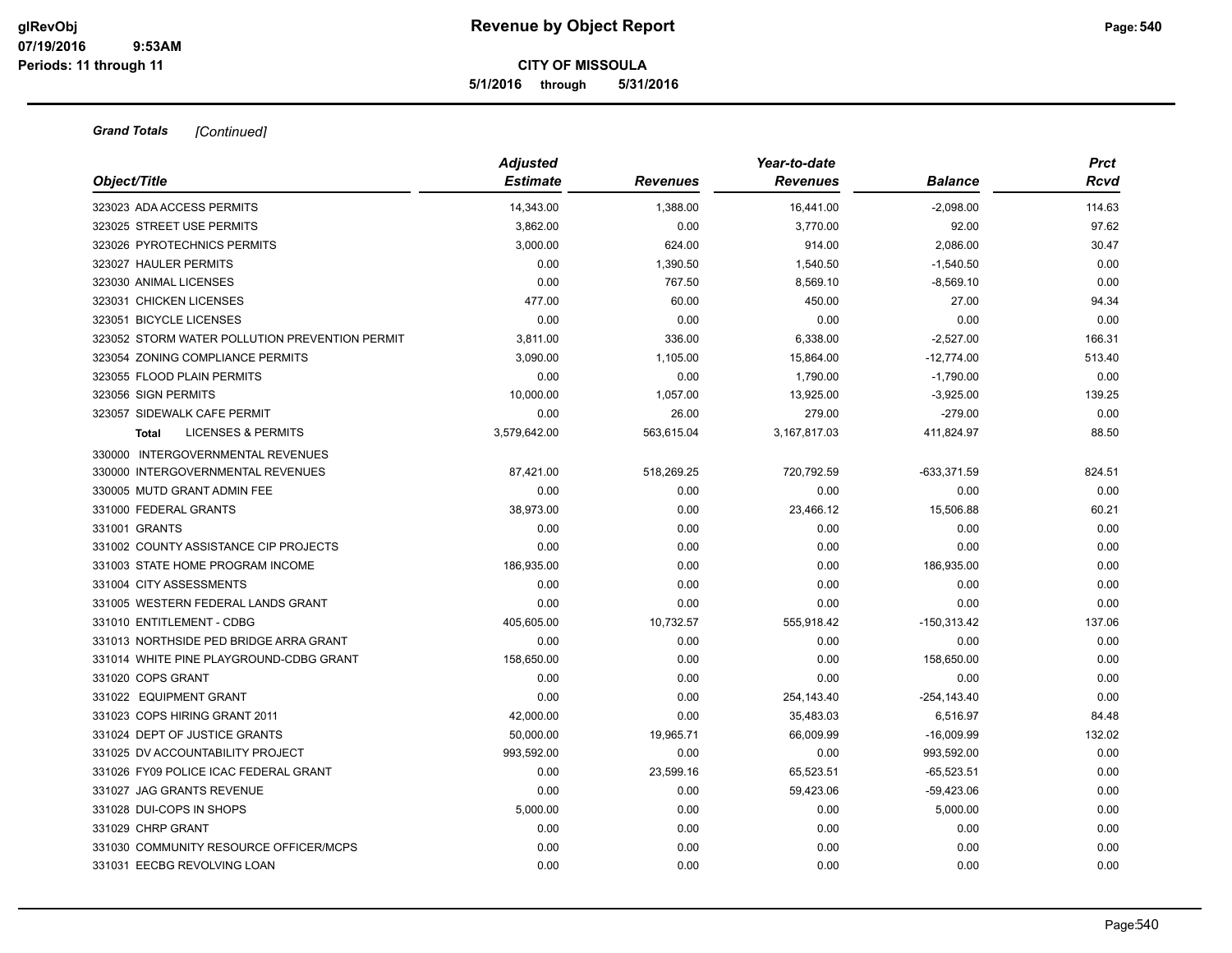**5/1/2016 through 5/31/2016**

### *Grand Totals [Continued]*

| Object/Title                                   | <b>Adjusted</b><br><b>Estimate</b> | <b>Revenues</b> | Year-to-date<br><b>Revenues</b> | Balance        | <b>Prct</b><br>Rcvd |
|------------------------------------------------|------------------------------------|-----------------|---------------------------------|----------------|---------------------|
|                                                |                                    |                 |                                 |                |                     |
| 323023 ADA ACCESS PERMITS                      | 14,343.00                          | 1,388.00        | 16,441.00<br>3,770.00           | $-2,098.00$    | 114.63<br>97.62     |
| 323025 STREET USE PERMITS                      | 3,862.00                           | 0.00            |                                 | 92.00          |                     |
| 323026 PYROTECHNICS PERMITS                    | 3,000.00                           | 624.00          | 914.00                          | 2,086.00       | 30.47               |
| 323027 HAULER PERMITS                          | 0.00                               | 1,390.50        | 1,540.50                        | $-1,540.50$    | 0.00                |
| 323030 ANIMAL LICENSES                         | 0.00                               | 767.50          | 8,569.10                        | $-8,569.10$    | 0.00                |
| 323031 CHICKEN LICENSES                        | 477.00                             | 60.00           | 450.00                          | 27.00          | 94.34               |
| 323051 BICYCLE LICENSES                        | 0.00                               | 0.00            | 0.00                            | 0.00           | 0.00                |
| 323052 STORM WATER POLLUTION PREVENTION PERMIT | 3,811.00                           | 336.00          | 6,338.00                        | $-2,527.00$    | 166.31              |
| 323054 ZONING COMPLIANCE PERMITS               | 3,090.00                           | 1,105.00        | 15,864.00                       | $-12,774.00$   | 513.40              |
| 323055 FLOOD PLAIN PERMITS                     | 0.00                               | 0.00            | 1,790.00                        | $-1,790.00$    | 0.00                |
| 323056 SIGN PERMITS                            | 10,000.00                          | 1,057.00        | 13,925.00                       | $-3,925.00$    | 139.25              |
| 323057 SIDEWALK CAFE PERMIT                    | 0.00                               | 26.00           | 279.00                          | $-279.00$      | 0.00                |
| <b>LICENSES &amp; PERMITS</b><br>Total         | 3,579,642.00                       | 563,615.04      | 3,167,817.03                    | 411,824.97     | 88.50               |
| 330000 INTERGOVERNMENTAL REVENUES              |                                    |                 |                                 |                |                     |
| 330000 INTERGOVERNMENTAL REVENUES              | 87,421.00                          | 518,269.25      | 720,792.59                      | $-633,371.59$  | 824.51              |
| 330005 MUTD GRANT ADMIN FEE                    | 0.00                               | 0.00            | 0.00                            | 0.00           | 0.00                |
| 331000 FEDERAL GRANTS                          | 38,973.00                          | 0.00            | 23,466.12                       | 15,506.88      | 60.21               |
| 331001 GRANTS                                  | 0.00                               | 0.00            | 0.00                            | 0.00           | 0.00                |
| 331002 COUNTY ASSISTANCE CIP PROJECTS          | 0.00                               | 0.00            | 0.00                            | 0.00           | 0.00                |
| 331003 STATE HOME PROGRAM INCOME               | 186,935.00                         | 0.00            | 0.00                            | 186,935.00     | 0.00                |
| 331004 CITY ASSESSMENTS                        | 0.00                               | 0.00            | 0.00                            | 0.00           | 0.00                |
| 331005 WESTERN FEDERAL LANDS GRANT             | 0.00                               | 0.00            | 0.00                            | 0.00           | 0.00                |
| 331010 ENTITLEMENT - CDBG                      | 405,605.00                         | 10,732.57       | 555,918.42                      | $-150,313.42$  | 137.06              |
| 331013 NORTHSIDE PED BRIDGE ARRA GRANT         | 0.00                               | 0.00            | 0.00                            | 0.00           | 0.00                |
| 331014 WHITE PINE PLAYGROUND-CDBG GRANT        | 158,650.00                         | 0.00            | 0.00                            | 158,650.00     | 0.00                |
| 331020 COPS GRANT                              | 0.00                               | 0.00            | 0.00                            | 0.00           | 0.00                |
| 331022 EQUIPMENT GRANT                         | 0.00                               | 0.00            | 254,143.40                      | $-254, 143.40$ | 0.00                |
| 331023 COPS HIRING GRANT 2011                  | 42,000.00                          | 0.00            | 35,483.03                       | 6.516.97       | 84.48               |
| 331024 DEPT OF JUSTICE GRANTS                  | 50,000.00                          | 19,965.71       | 66,009.99                       | $-16,009.99$   | 132.02              |
| 331025 DV ACCOUNTABILITY PROJECT               | 993,592.00                         | 0.00            | 0.00                            | 993,592.00     | 0.00                |
| 331026 FY09 POLICE ICAC FEDERAL GRANT          | 0.00                               | 23,599.16       | 65,523.51                       | $-65,523.51$   | 0.00                |
| 331027 JAG GRANTS REVENUE                      | 0.00                               | 0.00            | 59,423.06                       | $-59,423.06$   | 0.00                |
| 331028 DUI-COPS IN SHOPS                       | 5,000.00                           | 0.00            | 0.00                            | 5,000.00       | 0.00                |
| 331029 CHRP GRANT                              | 0.00                               | 0.00            | 0.00                            | 0.00           | 0.00                |
| 331030 COMMUNITY RESOURCE OFFICER/MCPS         | 0.00                               | 0.00            | 0.00                            | 0.00           | 0.00                |
| 331031 EECBG REVOLVING LOAN                    | 0.00                               | 0.00            | 0.00                            | 0.00           | 0.00                |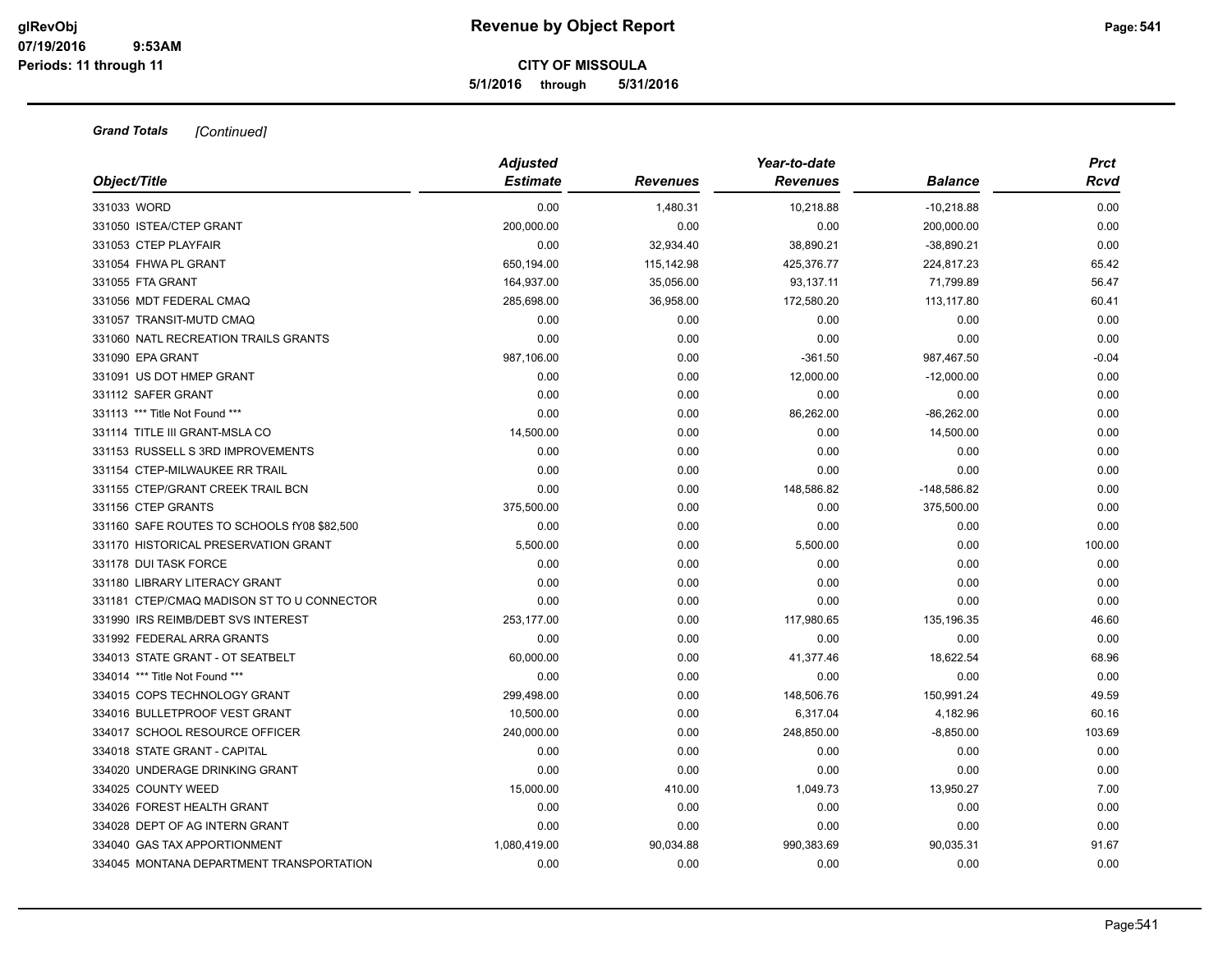#### **CITY OF MISSOULA 5/1/2016 through 5/31/2016**

|                                             | <b>Adjusted</b> |            | Year-to-date    |                | <b>Prct</b> |  |
|---------------------------------------------|-----------------|------------|-----------------|----------------|-------------|--|
| Object/Title                                | <b>Estimate</b> | Revenues   | <b>Revenues</b> | <b>Balance</b> | Rcvd        |  |
| 331033 WORD                                 | 0.00            | 1,480.31   | 10,218.88       | $-10,218.88$   | 0.00        |  |
| 331050 ISTEA/CTEP GRANT                     | 200,000.00      | 0.00       | 0.00            | 200,000.00     | 0.00        |  |
| 331053 CTEP PLAYFAIR                        | 0.00            | 32,934.40  | 38,890.21       | $-38,890.21$   | 0.00        |  |
| 331054 FHWA PL GRANT                        | 650,194.00      | 115,142.98 | 425,376.77      | 224,817.23     | 65.42       |  |
| 331055 FTA GRANT                            | 164,937.00      | 35,056.00  | 93,137.11       | 71,799.89      | 56.47       |  |
| 331056 MDT FEDERAL CMAQ                     | 285,698.00      | 36,958.00  | 172,580.20      | 113,117.80     | 60.41       |  |
| 331057 TRANSIT-MUTD CMAQ                    | 0.00            | 0.00       | 0.00            | 0.00           | 0.00        |  |
| 331060 NATL RECREATION TRAILS GRANTS        | 0.00            | 0.00       | 0.00            | 0.00           | 0.00        |  |
| 331090 EPA GRANT                            | 987,106.00      | 0.00       | $-361.50$       | 987,467.50     | $-0.04$     |  |
| 331091 US DOT HMEP GRANT                    | 0.00            | 0.00       | 12,000.00       | $-12,000.00$   | 0.00        |  |
| 331112 SAFER GRANT                          | 0.00            | 0.00       | 0.00            | 0.00           | 0.00        |  |
| 331113 *** Title Not Found ***              | 0.00            | 0.00       | 86,262.00       | $-86,262.00$   | 0.00        |  |
| 331114 TITLE III GRANT-MSLA CO              | 14,500.00       | 0.00       | 0.00            | 14,500.00      | 0.00        |  |
| 331153 RUSSELL S 3RD IMPROVEMENTS           | 0.00            | 0.00       | 0.00            | 0.00           | 0.00        |  |
| 331154 CTEP-MILWAUKEE RR TRAIL              | 0.00            | 0.00       | 0.00            | 0.00           | 0.00        |  |
| 331155 CTEP/GRANT CREEK TRAIL BCN           | 0.00            | 0.00       | 148,586.82      | $-148,586.82$  | 0.00        |  |
| 331156 CTEP GRANTS                          | 375,500.00      | 0.00       | 0.00            | 375,500.00     | 0.00        |  |
| 331160 SAFE ROUTES TO SCHOOLS fY08 \$82,500 | 0.00            | 0.00       | 0.00            | 0.00           | 0.00        |  |
| 331170 HISTORICAL PRESERVATION GRANT        | 5,500.00        | 0.00       | 5,500.00        | 0.00           | 100.00      |  |
| 331178 DUI TASK FORCE                       | 0.00            | 0.00       | 0.00            | 0.00           | 0.00        |  |
| 331180 LIBRARY LITERACY GRANT               | 0.00            | 0.00       | 0.00            | 0.00           | 0.00        |  |
| 331181 CTEP/CMAQ MADISON ST TO U CONNECTOR  | 0.00            | 0.00       | 0.00            | 0.00           | 0.00        |  |
| 331990 IRS REIMB/DEBT SVS INTEREST          | 253,177.00      | 0.00       | 117,980.65      | 135,196.35     | 46.60       |  |
| 331992 FEDERAL ARRA GRANTS                  | 0.00            | 0.00       | 0.00            | 0.00           | 0.00        |  |
| 334013 STATE GRANT - OT SEATBELT            | 60,000.00       | 0.00       | 41,377.46       | 18,622.54      | 68.96       |  |
| 334014 *** Title Not Found ***              | 0.00            | 0.00       | 0.00            | 0.00           | 0.00        |  |
| 334015 COPS TECHNOLOGY GRANT                | 299,498.00      | 0.00       | 148,506.76      | 150,991.24     | 49.59       |  |
| 334016 BULLETPROOF VEST GRANT               | 10,500.00       | 0.00       | 6,317.04        | 4,182.96       | 60.16       |  |
| 334017 SCHOOL RESOURCE OFFICER              | 240,000.00      | 0.00       | 248,850.00      | $-8,850.00$    | 103.69      |  |
| 334018 STATE GRANT - CAPITAL                | 0.00            | 0.00       | 0.00            | 0.00           | 0.00        |  |
| 334020 UNDERAGE DRINKING GRANT              | 0.00            | 0.00       | 0.00            | 0.00           | 0.00        |  |
| 334025 COUNTY WEED                          | 15,000.00       | 410.00     | 1,049.73        | 13,950.27      | 7.00        |  |
| 334026 FOREST HEALTH GRANT                  | 0.00            | 0.00       | 0.00            | 0.00           | 0.00        |  |
| 334028 DEPT OF AG INTERN GRANT              | 0.00            | 0.00       | 0.00            | 0.00           | 0.00        |  |
| 334040 GAS TAX APPORTIONMENT                | 1,080,419.00    | 90,034.88  | 990,383.69      | 90,035.31      | 91.67       |  |
| 334045 MONTANA DEPARTMENT TRANSPORTATION    | 0.00            | 0.00       | 0.00            | 0.00           | 0.00        |  |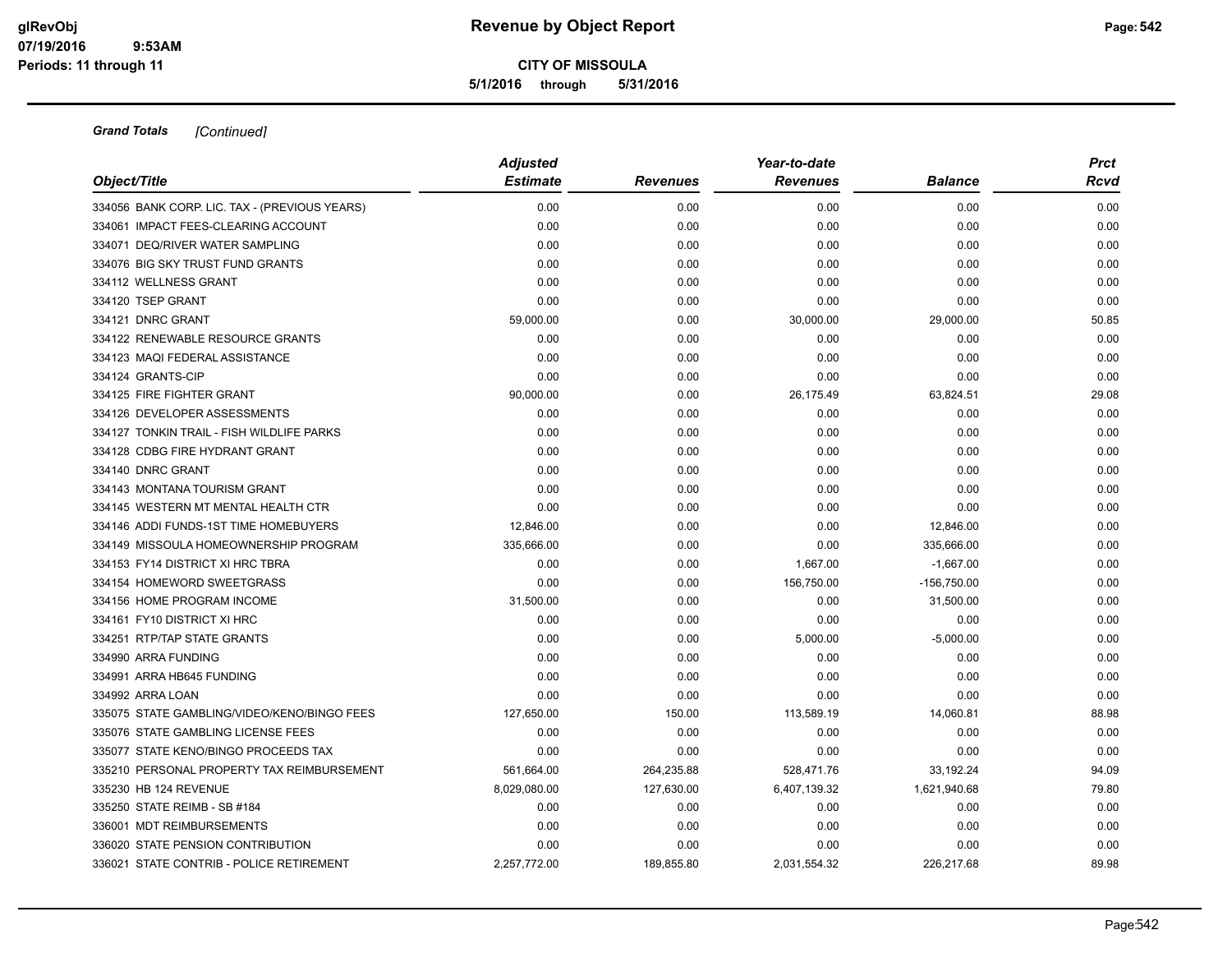**5/1/2016 through 5/31/2016**

| Object/Title                                  | <b>Adjusted</b> |                 | Year-to-date    |                | <b>Prct</b> |  |
|-----------------------------------------------|-----------------|-----------------|-----------------|----------------|-------------|--|
|                                               | <b>Estimate</b> | <b>Revenues</b> | <b>Revenues</b> | <b>Balance</b> | Rcvd        |  |
| 334056 BANK CORP. LIC. TAX - (PREVIOUS YEARS) | 0.00            | 0.00            | 0.00            | 0.00           | 0.00        |  |
| 334061 IMPACT FEES-CLEARING ACCOUNT           | 0.00            | 0.00            | 0.00            | 0.00           | 0.00        |  |
| 334071 DEQ/RIVER WATER SAMPLING               | 0.00            | 0.00            | 0.00            | 0.00           | 0.00        |  |
| 334076 BIG SKY TRUST FUND GRANTS              | 0.00            | 0.00            | 0.00            | 0.00           | 0.00        |  |
| 334112 WELLNESS GRANT                         | 0.00            | 0.00            | 0.00            | 0.00           | 0.00        |  |
| 334120 TSEP GRANT                             | 0.00            | 0.00            | 0.00            | 0.00           | 0.00        |  |
| 334121 DNRC GRANT                             | 59,000.00       | 0.00            | 30,000.00       | 29,000.00      | 50.85       |  |
| 334122 RENEWABLE RESOURCE GRANTS              | 0.00            | 0.00            | 0.00            | 0.00           | 0.00        |  |
| 334123 MAQI FEDERAL ASSISTANCE                | 0.00            | 0.00            | 0.00            | 0.00           | 0.00        |  |
| 334124 GRANTS-CIP                             | 0.00            | 0.00            | 0.00            | 0.00           | 0.00        |  |
| 334125 FIRE FIGHTER GRANT                     | 90,000.00       | 0.00            | 26,175.49       | 63,824.51      | 29.08       |  |
| 334126 DEVELOPER ASSESSMENTS                  | 0.00            | 0.00            | 0.00            | 0.00           | 0.00        |  |
| 334127 TONKIN TRAIL - FISH WILDLIFE PARKS     | 0.00            | 0.00            | 0.00            | 0.00           | 0.00        |  |
| 334128 CDBG FIRE HYDRANT GRANT                | 0.00            | 0.00            | 0.00            | 0.00           | 0.00        |  |
| 334140 DNRC GRANT                             | 0.00            | 0.00            | 0.00            | 0.00           | 0.00        |  |
| 334143 MONTANA TOURISM GRANT                  | 0.00            | 0.00            | 0.00            | 0.00           | 0.00        |  |
| 334145 WESTERN MT MENTAL HEALTH CTR           | 0.00            | 0.00            | 0.00            | 0.00           | 0.00        |  |
| 334146 ADDI FUNDS-1ST TIME HOMEBUYERS         | 12,846.00       | 0.00            | 0.00            | 12,846.00      | 0.00        |  |
| 334149 MISSOULA HOMEOWNERSHIP PROGRAM         | 335,666.00      | 0.00            | 0.00            | 335,666.00     | 0.00        |  |
| 334153 FY14 DISTRICT XI HRC TBRA              | 0.00            | 0.00            | 1,667.00        | $-1,667.00$    | 0.00        |  |
| 334154 HOMEWORD SWEETGRASS                    | 0.00            | 0.00            | 156,750.00      | $-156,750.00$  | 0.00        |  |
| 334156 HOME PROGRAM INCOME                    | 31,500.00       | 0.00            | 0.00            | 31,500.00      | 0.00        |  |
| 334161 FY10 DISTRICT XI HRC                   | 0.00            | 0.00            | 0.00            | 0.00           | 0.00        |  |
| 334251 RTP/TAP STATE GRANTS                   | 0.00            | 0.00            | 5,000.00        | $-5,000.00$    | 0.00        |  |
| 334990 ARRA FUNDING                           | 0.00            | 0.00            | 0.00            | 0.00           | 0.00        |  |
| 334991 ARRA HB645 FUNDING                     | 0.00            | 0.00            | 0.00            | 0.00           | 0.00        |  |
| 334992 ARRA LOAN                              | 0.00            | 0.00            | 0.00            | 0.00           | 0.00        |  |
| 335075 STATE GAMBLING/VIDEO/KENO/BINGO FEES   | 127,650.00      | 150.00          | 113,589.19      | 14,060.81      | 88.98       |  |
| 335076 STATE GAMBLING LICENSE FEES            | 0.00            | 0.00            | 0.00            | 0.00           | 0.00        |  |
| 335077 STATE KENO/BINGO PROCEEDS TAX          | 0.00            | 0.00            | 0.00            | 0.00           | 0.00        |  |
| 335210 PERSONAL PROPERTY TAX REIMBURSEMENT    | 561,664.00      | 264,235.88      | 528,471.76      | 33,192.24      | 94.09       |  |
| 335230 HB 124 REVENUE                         | 8,029,080.00    | 127,630.00      | 6,407,139.32    | 1,621,940.68   | 79.80       |  |
| 335250 STATE REIMB - SB #184                  | 0.00            | 0.00            | 0.00            | 0.00           | 0.00        |  |
| 336001 MDT REIMBURSEMENTS                     | 0.00            | 0.00            | 0.00            | 0.00           | 0.00        |  |
| 336020 STATE PENSION CONTRIBUTION             | 0.00            | 0.00            | 0.00            | 0.00           | 0.00        |  |
| 336021 STATE CONTRIB - POLICE RETIREMENT      | 2.257.772.00    | 189.855.80      | 2,031,554.32    | 226.217.68     | 89.98       |  |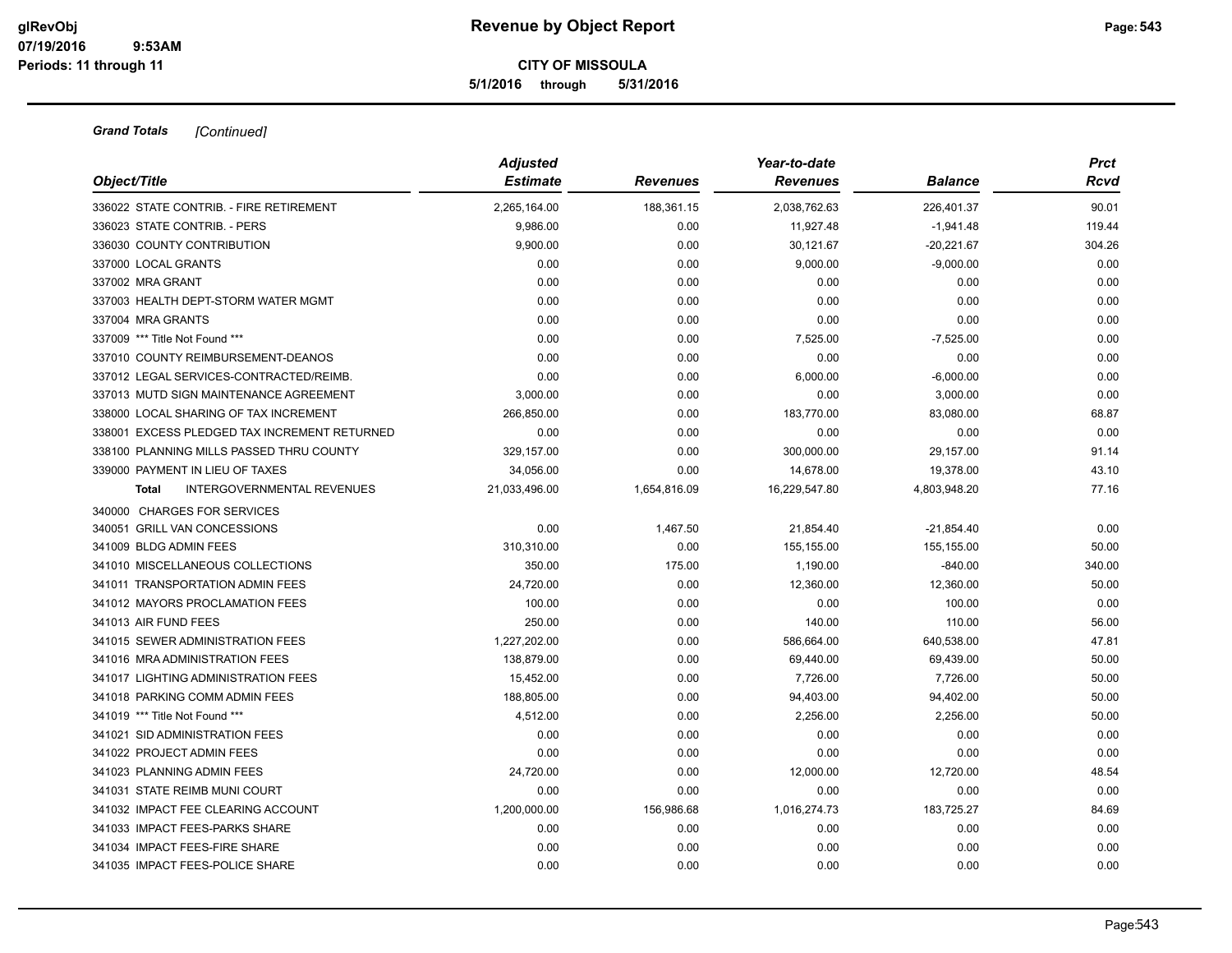**5/1/2016 through 5/31/2016**

|                                                   | <b>Adjusted</b> |                 | Year-to-date    |              | <b>Prct</b> |
|---------------------------------------------------|-----------------|-----------------|-----------------|--------------|-------------|
| Object/Title                                      | <b>Estimate</b> | <b>Revenues</b> | <b>Revenues</b> | Balance      | Rcvd        |
| 336022 STATE CONTRIB. - FIRE RETIREMENT           | 2,265,164.00    | 188,361.15      | 2,038,762.63    | 226,401.37   | 90.01       |
| 336023 STATE CONTRIB. - PERS                      | 9,986.00        | 0.00            | 11,927.48       | $-1,941.48$  | 119.44      |
| 336030 COUNTY CONTRIBUTION                        | 9,900.00        | 0.00            | 30,121.67       | $-20,221.67$ | 304.26      |
| 337000 LOCAL GRANTS                               | 0.00            | 0.00            | 9,000.00        | $-9,000.00$  | 0.00        |
| 337002 MRA GRANT                                  | 0.00            | 0.00            | 0.00            | 0.00         | 0.00        |
| 337003 HEALTH DEPT-STORM WATER MGMT               | 0.00            | 0.00            | 0.00            | 0.00         | 0.00        |
| 337004 MRA GRANTS                                 | 0.00            | 0.00            | 0.00            | 0.00         | 0.00        |
| 337009 *** Title Not Found ***                    | 0.00            | 0.00            | 7,525.00        | $-7,525.00$  | 0.00        |
| 337010 COUNTY REIMBURSEMENT-DEANOS                | 0.00            | 0.00            | 0.00            | 0.00         | 0.00        |
| 337012 LEGAL SERVICES-CONTRACTED/REIMB.           | 0.00            | 0.00            | 6,000.00        | $-6,000.00$  | 0.00        |
| 337013 MUTD SIGN MAINTENANCE AGREEMENT            | 3,000.00        | 0.00            | 0.00            | 3,000.00     | 0.00        |
| 338000 LOCAL SHARING OF TAX INCREMENT             | 266,850.00      | 0.00            | 183,770.00      | 83,080.00    | 68.87       |
| 338001 EXCESS PLEDGED TAX INCREMENT RETURNED      | 0.00            | 0.00            | 0.00            | 0.00         | 0.00        |
| 338100 PLANNING MILLS PASSED THRU COUNTY          | 329,157.00      | 0.00            | 300,000.00      | 29,157.00    | 91.14       |
| 339000 PAYMENT IN LIEU OF TAXES                   | 34,056.00       | 0.00            | 14,678.00       | 19,378.00    | 43.10       |
| <b>INTERGOVERNMENTAL REVENUES</b><br><b>Total</b> | 21,033,496.00   | 1,654,816.09    | 16,229,547.80   | 4,803,948.20 | 77.16       |
| 340000 CHARGES FOR SERVICES                       |                 |                 |                 |              |             |
| 340051 GRILL VAN CONCESSIONS                      | 0.00            | 1,467.50        | 21,854.40       | $-21,854.40$ | 0.00        |
| 341009 BLDG ADMIN FEES                            | 310,310.00      | 0.00            | 155,155.00      | 155,155.00   | 50.00       |
| 341010 MISCELLANEOUS COLLECTIONS                  | 350.00          | 175.00          | 1,190.00        | $-840.00$    | 340.00      |
| 341011 TRANSPORTATION ADMIN FEES                  | 24,720.00       | 0.00            | 12,360.00       | 12,360.00    | 50.00       |
| 341012 MAYORS PROCLAMATION FEES                   | 100.00          | 0.00            | 0.00            | 100.00       | 0.00        |
| 341013 AIR FUND FEES                              | 250.00          | 0.00            | 140.00          | 110.00       | 56.00       |
| 341015 SEWER ADMINISTRATION FEES                  | 1,227,202.00    | 0.00            | 586,664.00      | 640,538.00   | 47.81       |
| 341016 MRA ADMINISTRATION FEES                    | 138,879.00      | 0.00            | 69,440.00       | 69,439.00    | 50.00       |
| 341017 LIGHTING ADMINISTRATION FEES               | 15,452.00       | 0.00            | 7,726.00        | 7,726.00     | 50.00       |
| 341018 PARKING COMM ADMIN FEES                    | 188.805.00      | 0.00            | 94,403.00       | 94,402.00    | 50.00       |
| 341019 *** Title Not Found ***                    | 4,512.00        | 0.00            | 2,256.00        | 2,256.00     | 50.00       |
| 341021 SID ADMINISTRATION FEES                    | 0.00            | 0.00            | 0.00            | 0.00         | 0.00        |
| 341022 PROJECT ADMIN FEES                         | 0.00            | 0.00            | 0.00            | 0.00         | 0.00        |
| 341023 PLANNING ADMIN FEES                        | 24,720.00       | 0.00            | 12,000.00       | 12,720.00    | 48.54       |
| 341031 STATE REIMB MUNI COURT                     | 0.00            | 0.00            | 0.00            | 0.00         | 0.00        |
| 341032 IMPACT FEE CLEARING ACCOUNT                | 1,200,000.00    | 156,986.68      | 1,016,274.73    | 183,725.27   | 84.69       |
| 341033 IMPACT FEES-PARKS SHARE                    | 0.00            | 0.00            | 0.00            | 0.00         | 0.00        |
| 341034 IMPACT FEES-FIRE SHARE                     | 0.00            | 0.00            | 0.00            | 0.00         | 0.00        |
| 341035 IMPACT FEES-POLICE SHARE                   | 0.00            | 0.00            | 0.00            | 0.00         | 0.00        |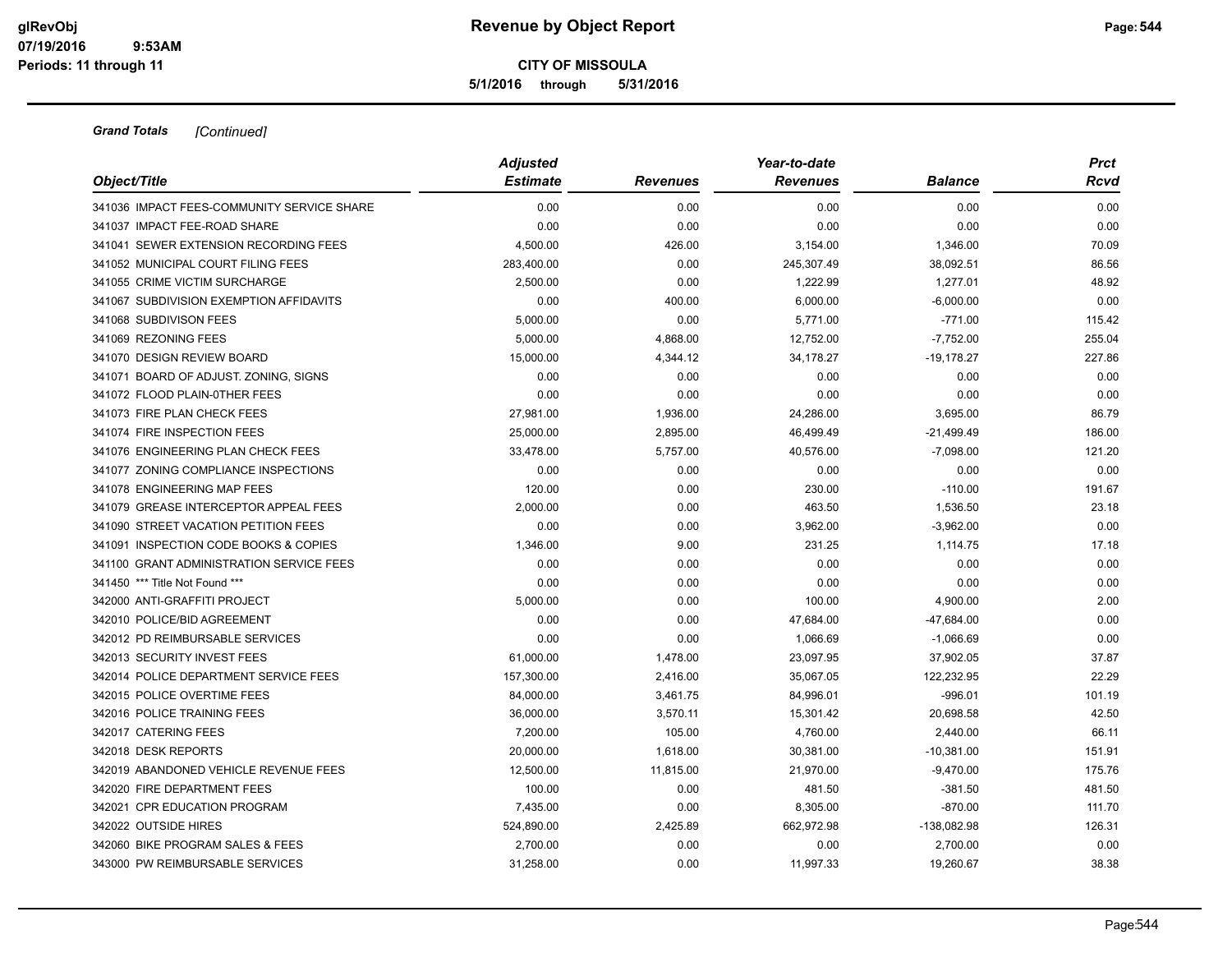**5/1/2016 through 5/31/2016**

| Object/Title                               | <b>Adjusted</b> |                 | Year-to-date    |                | <b>Prct</b> |
|--------------------------------------------|-----------------|-----------------|-----------------|----------------|-------------|
|                                            | <b>Estimate</b> | <b>Revenues</b> | <b>Revenues</b> | <b>Balance</b> | Rcvd        |
| 341036 IMPACT FEES-COMMUNITY SERVICE SHARE | 0.00            | 0.00            | 0.00            | 0.00           | 0.00        |
| 341037 IMPACT FEE-ROAD SHARE               | 0.00            | 0.00            | 0.00            | 0.00           | 0.00        |
| 341041 SEWER EXTENSION RECORDING FEES      | 4,500.00        | 426.00          | 3,154.00        | 1,346.00       | 70.09       |
| 341052 MUNICIPAL COURT FILING FEES         | 283,400.00      | 0.00            | 245,307.49      | 38,092.51      | 86.56       |
| 341055 CRIME VICTIM SURCHARGE              | 2,500.00        | 0.00            | 1,222.99        | 1,277.01       | 48.92       |
| 341067 SUBDIVISION EXEMPTION AFFIDAVITS    | 0.00            | 400.00          | 6,000.00        | $-6,000.00$    | 0.00        |
| 341068 SUBDIVISON FEES                     | 5,000.00        | 0.00            | 5,771.00        | $-771.00$      | 115.42      |
| 341069 REZONING FEES                       | 5,000.00        | 4,868.00        | 12,752.00       | $-7,752.00$    | 255.04      |
| 341070 DESIGN REVIEW BOARD                 | 15,000.00       | 4,344.12        | 34,178.27       | $-19,178.27$   | 227.86      |
| 341071 BOARD OF ADJUST. ZONING, SIGNS      | 0.00            | 0.00            | 0.00            | 0.00           | 0.00        |
| 341072 FLOOD PLAIN-0THER FEES              | 0.00            | 0.00            | 0.00            | 0.00           | 0.00        |
| 341073 FIRE PLAN CHECK FEES                | 27,981.00       | 1,936.00        | 24,286.00       | 3,695.00       | 86.79       |
| 341074 FIRE INSPECTION FEES                | 25,000.00       | 2,895.00        | 46,499.49       | $-21,499.49$   | 186.00      |
| 341076 ENGINEERING PLAN CHECK FEES         | 33,478.00       | 5,757.00        | 40,576.00       | $-7,098.00$    | 121.20      |
| 341077 ZONING COMPLIANCE INSPECTIONS       | 0.00            | 0.00            | 0.00            | 0.00           | 0.00        |
| 341078 ENGINEERING MAP FEES                | 120.00          | 0.00            | 230.00          | $-110.00$      | 191.67      |
| 341079 GREASE INTERCEPTOR APPEAL FEES      | 2,000.00        | 0.00            | 463.50          | 1,536.50       | 23.18       |
| 341090 STREET VACATION PETITION FEES       | 0.00            | 0.00            | 3,962.00        | $-3,962.00$    | 0.00        |
| 341091 INSPECTION CODE BOOKS & COPIES      | 1,346.00        | 9.00            | 231.25          | 1,114.75       | 17.18       |
| 341100 GRANT ADMINISTRATION SERVICE FEES   | 0.00            | 0.00            | 0.00            | 0.00           | 0.00        |
| 341450 *** Title Not Found ***             | 0.00            | 0.00            | 0.00            | 0.00           | 0.00        |
| 342000 ANTI-GRAFFITI PROJECT               | 5,000.00        | 0.00            | 100.00          | 4,900.00       | 2.00        |
| 342010 POLICE/BID AGREEMENT                | 0.00            | 0.00            | 47,684.00       | $-47,684.00$   | 0.00        |
| 342012 PD REIMBURSABLE SERVICES            | 0.00            | 0.00            | 1,066.69        | $-1,066.69$    | 0.00        |
| 342013 SECURITY INVEST FEES                | 61,000.00       | 1,478.00        | 23,097.95       | 37,902.05      | 37.87       |
| 342014 POLICE DEPARTMENT SERVICE FEES      | 157,300.00      | 2,416.00        | 35,067.05       | 122,232.95     | 22.29       |
| 342015 POLICE OVERTIME FEES                | 84,000.00       | 3,461.75        | 84,996.01       | $-996.01$      | 101.19      |
| 342016 POLICE TRAINING FEES                | 36,000.00       | 3,570.11        | 15,301.42       | 20,698.58      | 42.50       |
| 342017 CATERING FEES                       | 7,200.00        | 105.00          | 4,760.00        | 2,440.00       | 66.11       |
| 342018 DESK REPORTS                        | 20,000.00       | 1,618.00        | 30,381.00       | $-10,381.00$   | 151.91      |
| 342019 ABANDONED VEHICLE REVENUE FEES      | 12,500.00       | 11,815.00       | 21,970.00       | $-9,470.00$    | 175.76      |
| 342020 FIRE DEPARTMENT FEES                | 100.00          | 0.00            | 481.50          | $-381.50$      | 481.50      |
| 342021 CPR EDUCATION PROGRAM               | 7,435.00        | 0.00            | 8,305.00        | $-870.00$      | 111.70      |
| 342022 OUTSIDE HIRES                       | 524,890.00      | 2,425.89        | 662,972.98      | -138,082.98    | 126.31      |
| 342060 BIKE PROGRAM SALES & FEES           | 2,700.00        | 0.00            | 0.00            | 2,700.00       | 0.00        |
| 343000 PW REIMBURSABLE SERVICES            | 31,258.00       | 0.00            | 11,997.33       | 19,260.67      | 38.38       |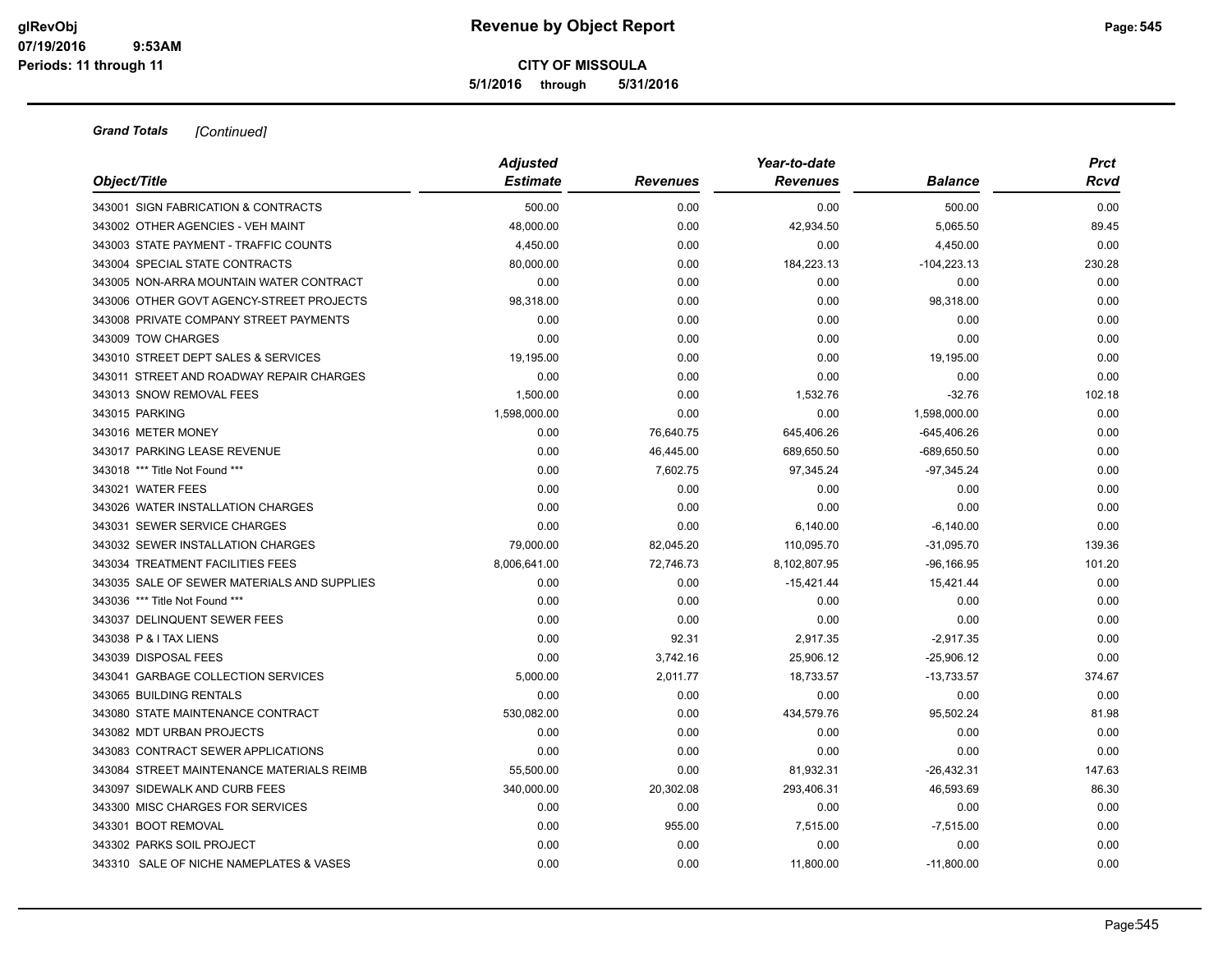#### **CITY OF MISSOULA 5/1/2016 through 5/31/2016**

| Object/Title                                | <b>Adjusted</b> |                 | Year-to-date    |                |        |
|---------------------------------------------|-----------------|-----------------|-----------------|----------------|--------|
|                                             | <b>Estimate</b> | <b>Revenues</b> | <b>Revenues</b> | <b>Balance</b> | Rcvd   |
| 343001 SIGN FABRICATION & CONTRACTS         | 500.00          | 0.00            | 0.00            | 500.00         | 0.00   |
| 343002 OTHER AGENCIES - VEH MAINT           | 48,000.00       | 0.00            | 42,934.50       | 5,065.50       | 89.45  |
| 343003 STATE PAYMENT - TRAFFIC COUNTS       | 4,450.00        | 0.00            | 0.00            | 4,450.00       | 0.00   |
| 343004 SPECIAL STATE CONTRACTS              | 80,000.00       | 0.00            | 184,223.13      | $-104,223.13$  | 230.28 |
| 343005 NON-ARRA MOUNTAIN WATER CONTRACT     | 0.00            | 0.00            | 0.00            | 0.00           | 0.00   |
| 343006 OTHER GOVT AGENCY-STREET PROJECTS    | 98,318.00       | 0.00            | 0.00            | 98,318.00      | 0.00   |
| 343008 PRIVATE COMPANY STREET PAYMENTS      | 0.00            | 0.00            | 0.00            | 0.00           | 0.00   |
| 343009 TOW CHARGES                          | 0.00            | 0.00            | 0.00            | 0.00           | 0.00   |
| 343010 STREET DEPT SALES & SERVICES         | 19,195.00       | 0.00            | 0.00            | 19,195.00      | 0.00   |
| 343011 STREET AND ROADWAY REPAIR CHARGES    | 0.00            | 0.00            | 0.00            | 0.00           | 0.00   |
| 343013 SNOW REMOVAL FEES                    | 1,500.00        | 0.00            | 1,532.76        | $-32.76$       | 102.18 |
| 343015 PARKING                              | 1,598,000.00    | 0.00            | 0.00            | 1,598,000.00   | 0.00   |
| 343016 METER MONEY                          | 0.00            | 76,640.75       | 645,406.26      | $-645,406.26$  | 0.00   |
| 343017 PARKING LEASE REVENUE                | 0.00            | 46,445.00       | 689,650.50      | $-689,650.50$  | 0.00   |
| 343018 *** Title Not Found ***              | 0.00            | 7,602.75        | 97,345.24       | $-97,345.24$   | 0.00   |
| 343021 WATER FEES                           | 0.00            | 0.00            | 0.00            | 0.00           | 0.00   |
| 343026 WATER INSTALLATION CHARGES           | 0.00            | 0.00            | 0.00            | 0.00           | 0.00   |
| 343031 SEWER SERVICE CHARGES                | 0.00            | 0.00            | 6,140.00        | $-6,140.00$    | 0.00   |
| 343032 SEWER INSTALLATION CHARGES           | 79,000.00       | 82,045.20       | 110,095.70      | $-31,095.70$   | 139.36 |
| 343034 TREATMENT FACILITIES FEES            | 8,006,641.00    | 72,746.73       | 8,102,807.95    | $-96, 166.95$  | 101.20 |
| 343035 SALE OF SEWER MATERIALS AND SUPPLIES | 0.00            | 0.00            | $-15,421.44$    | 15,421.44      | 0.00   |
| 343036 *** Title Not Found ***              | 0.00            | 0.00            | 0.00            | 0.00           | 0.00   |
| 343037 DELINQUENT SEWER FEES                | 0.00            | 0.00            | 0.00            | 0.00           | 0.00   |
| 343038 P & I TAX LIENS                      | 0.00            | 92.31           | 2,917.35        | $-2,917.35$    | 0.00   |
| 343039 DISPOSAL FEES                        | 0.00            | 3,742.16        | 25,906.12       | $-25,906.12$   | 0.00   |
| 343041 GARBAGE COLLECTION SERVICES          | 5,000.00        | 2,011.77        | 18,733.57       | $-13,733.57$   | 374.67 |
| 343065 BUILDING RENTALS                     | 0.00            | 0.00            | 0.00            | 0.00           | 0.00   |
| 343080 STATE MAINTENANCE CONTRACT           | 530,082.00      | 0.00            | 434,579.76      | 95,502.24      | 81.98  |
| 343082 MDT URBAN PROJECTS                   | 0.00            | 0.00            | 0.00            | 0.00           | 0.00   |
| 343083 CONTRACT SEWER APPLICATIONS          | 0.00            | 0.00            | 0.00            | 0.00           | 0.00   |
| 343084 STREET MAINTENANCE MATERIALS REIMB   | 55,500.00       | 0.00            | 81,932.31       | $-26,432.31$   | 147.63 |
| 343097 SIDEWALK AND CURB FEES               | 340,000.00      | 20,302.08       | 293,406.31      | 46,593.69      | 86.30  |
| 343300 MISC CHARGES FOR SERVICES            | 0.00            | 0.00            | 0.00            | 0.00           | 0.00   |
| 343301 BOOT REMOVAL                         | 0.00            | 955.00          | 7,515.00        | $-7,515.00$    | 0.00   |
| 343302 PARKS SOIL PROJECT                   | 0.00            | 0.00            | 0.00            | 0.00           | 0.00   |
| 343310 SALE OF NICHE NAMEPLATES & VASES     | 0.00            | 0.00            | 11,800.00       | $-11,800.00$   | 0.00   |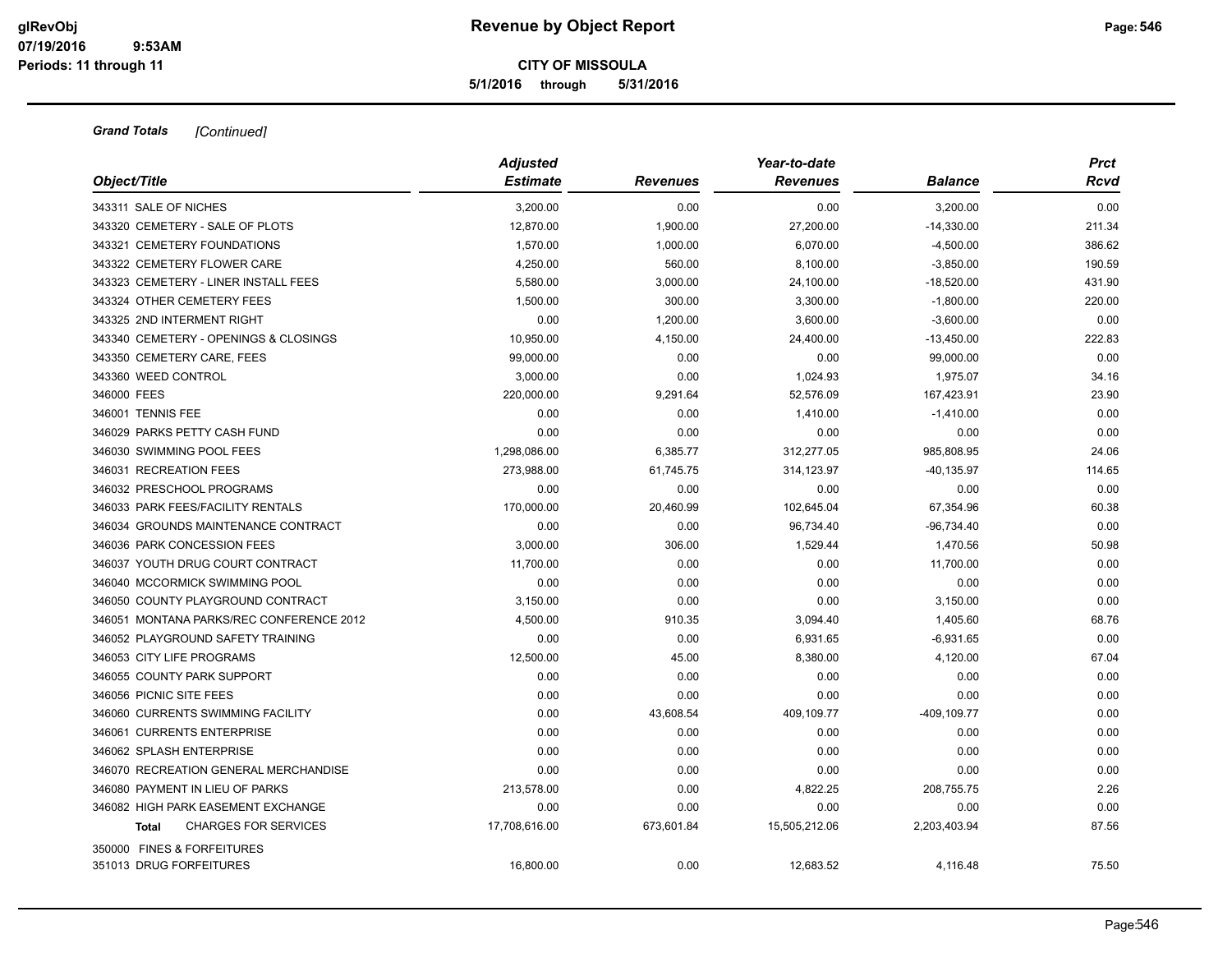**5/1/2016 through 5/31/2016**

|                                          | <b>Adjusted</b> |                 | Year-to-date    |                |        |
|------------------------------------------|-----------------|-----------------|-----------------|----------------|--------|
| Object/Title                             | <b>Estimate</b> | <b>Revenues</b> | <b>Revenues</b> | <b>Balance</b> | Rcvd   |
| 343311 SALE OF NICHES                    | 3,200.00        | 0.00            | 0.00            | 3,200.00       | 0.00   |
| 343320 CEMETERY - SALE OF PLOTS          | 12,870.00       | 1,900.00        | 27,200.00       | $-14,330.00$   | 211.34 |
| 343321 CEMETERY FOUNDATIONS              | 1,570.00        | 1,000.00        | 6,070.00        | $-4,500.00$    | 386.62 |
| 343322 CEMETERY FLOWER CARE              | 4,250.00        | 560.00          | 8,100.00        | $-3,850.00$    | 190.59 |
| 343323 CEMETERY - LINER INSTALL FEES     | 5,580.00        | 3,000.00        | 24,100.00       | $-18,520.00$   | 431.90 |
| 343324 OTHER CEMETERY FEES               | 1,500.00        | 300.00          | 3,300.00        | $-1,800.00$    | 220.00 |
| 343325 2ND INTERMENT RIGHT               | 0.00            | 1,200.00        | 3,600.00        | $-3,600.00$    | 0.00   |
| 343340 CEMETERY - OPENINGS & CLOSINGS    | 10,950.00       | 4,150.00        | 24,400.00       | $-13,450.00$   | 222.83 |
| 343350 CEMETERY CARE, FEES               | 99,000.00       | 0.00            | 0.00            | 99,000.00      | 0.00   |
| 343360 WEED CONTROL                      | 3,000.00        | 0.00            | 1,024.93        | 1,975.07       | 34.16  |
| 346000 FEES                              | 220,000.00      | 9,291.64        | 52,576.09       | 167,423.91     | 23.90  |
| 346001 TENNIS FEE                        | 0.00            | 0.00            | 1,410.00        | $-1,410.00$    | 0.00   |
| 346029 PARKS PETTY CASH FUND             | 0.00            | 0.00            | 0.00            | 0.00           | 0.00   |
| 346030 SWIMMING POOL FEES                | 1,298,086.00    | 6,385.77        | 312,277.05      | 985,808.95     | 24.06  |
| 346031 RECREATION FEES                   | 273,988.00      | 61,745.75       | 314,123.97      | $-40, 135.97$  | 114.65 |
| 346032 PRESCHOOL PROGRAMS                | 0.00            | 0.00            | 0.00            | 0.00           | 0.00   |
| 346033 PARK FEES/FACILITY RENTALS        | 170,000.00      | 20,460.99       | 102,645.04      | 67,354.96      | 60.38  |
| 346034 GROUNDS MAINTENANCE CONTRACT      | 0.00            | 0.00            | 96,734.40       | $-96,734.40$   | 0.00   |
| 346036 PARK CONCESSION FEES              | 3,000.00        | 306.00          | 1,529.44        | 1,470.56       | 50.98  |
| 346037 YOUTH DRUG COURT CONTRACT         | 11,700.00       | 0.00            | 0.00            | 11,700.00      | 0.00   |
| 346040 MCCORMICK SWIMMING POOL           | 0.00            | 0.00            | 0.00            | 0.00           | 0.00   |
| 346050 COUNTY PLAYGROUND CONTRACT        | 3,150.00        | 0.00            | 0.00            | 3,150.00       | 0.00   |
| 346051 MONTANA PARKS/REC CONFERENCE 2012 | 4,500.00        | 910.35          | 3,094.40        | 1,405.60       | 68.76  |
| 346052 PLAYGROUND SAFETY TRAINING        | 0.00            | 0.00            | 6,931.65        | $-6,931.65$    | 0.00   |
| 346053 CITY LIFE PROGRAMS                | 12,500.00       | 45.00           | 8,380.00        | 4,120.00       | 67.04  |
| 346055 COUNTY PARK SUPPORT               | 0.00            | 0.00            | 0.00            | 0.00           | 0.00   |
| 346056 PICNIC SITE FEES                  | 0.00            | 0.00            | 0.00            | 0.00           | 0.00   |
| 346060 CURRENTS SWIMMING FACILITY        | 0.00            | 43,608.54       | 409,109.77      | -409,109.77    | 0.00   |
| 346061 CURRENTS ENTERPRISE               | 0.00            | 0.00            | 0.00            | 0.00           | 0.00   |
| 346062 SPLASH ENTERPRISE                 | 0.00            | 0.00            | 0.00            | 0.00           | 0.00   |
| 346070 RECREATION GENERAL MERCHANDISE    | 0.00            | 0.00            | 0.00            | 0.00           | 0.00   |
| 346080 PAYMENT IN LIEU OF PARKS          | 213,578.00      | 0.00            | 4,822.25        | 208,755.75     | 2.26   |
| 346082 HIGH PARK EASEMENT EXCHANGE       | 0.00            | 0.00            | 0.00            | 0.00           | 0.00   |
| <b>CHARGES FOR SERVICES</b><br>Total     | 17,708,616.00   | 673,601.84      | 15,505,212.06   | 2,203,403.94   | 87.56  |
| 350000 FINES & FORFEITURES               |                 |                 |                 |                |        |
| 351013 DRUG FORFEITURES                  | 16,800.00       | 0.00            | 12,683.52       | 4,116.48       | 75.50  |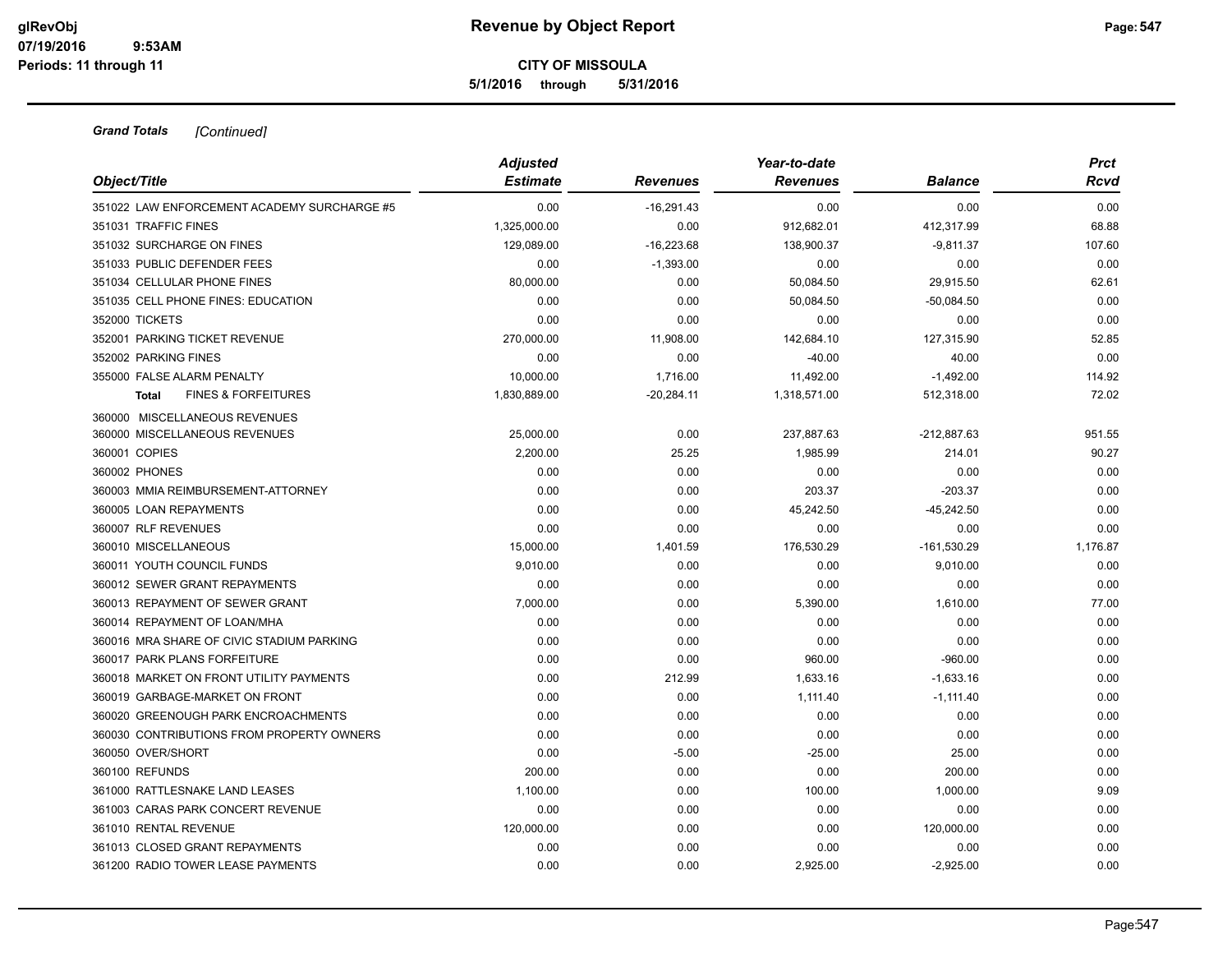**5/1/2016 through 5/31/2016**

| Object/Title                                   | <b>Adjusted</b><br><b>Estimate</b> | <b>Revenues</b> | Year-to-date<br><b>Revenues</b> | <b>Balance</b> | <b>Prct</b><br>Rcvd |
|------------------------------------------------|------------------------------------|-----------------|---------------------------------|----------------|---------------------|
| 351022 LAW ENFORCEMENT ACADEMY SURCHARGE #5    | 0.00                               | $-16.291.43$    | 0.00                            | 0.00           | 0.00                |
| 351031 TRAFFIC FINES                           | 1,325,000.00                       | 0.00            | 912,682.01                      | 412,317.99     | 68.88               |
| 351032 SURCHARGE ON FINES                      | 129,089.00                         | $-16,223.68$    | 138,900.37                      | $-9,811.37$    | 107.60              |
| 351033 PUBLIC DEFENDER FEES                    | 0.00                               | $-1,393.00$     | 0.00                            | 0.00           | 0.00                |
| 351034 CELLULAR PHONE FINES                    | 80,000.00                          | 0.00            | 50,084.50                       | 29,915.50      | 62.61               |
| 351035 CELL PHONE FINES: EDUCATION             | 0.00                               | 0.00            | 50,084.50                       | $-50,084.50$   | 0.00                |
| 352000 TICKETS                                 | 0.00                               | 0.00            | 0.00                            | 0.00           | 0.00                |
| 352001 PARKING TICKET REVENUE                  | 270,000.00                         | 11,908.00       | 142,684.10                      | 127,315.90     | 52.85               |
| 352002 PARKING FINES                           | 0.00                               | 0.00            | $-40.00$                        | 40.00          | 0.00                |
| 355000 FALSE ALARM PENALTY                     | 10,000.00                          | 1,716.00        | 11,492.00                       | $-1,492.00$    | 114.92              |
| <b>FINES &amp; FORFEITURES</b><br><b>Total</b> | 1,830,889.00                       | $-20,284.11$    | 1,318,571.00                    | 512,318.00     | 72.02               |
| 360000 MISCELLANEOUS REVENUES                  |                                    |                 |                                 |                |                     |
| 360000 MISCELLANEOUS REVENUES                  | 25,000.00                          | 0.00            | 237,887.63                      | $-212,887.63$  | 951.55              |
| 360001 COPIES                                  | 2,200.00                           | 25.25           | 1,985.99                        | 214.01         | 90.27               |
| 360002 PHONES                                  | 0.00                               | 0.00            | 0.00                            | 0.00           | 0.00                |
| 360003 MMIA REIMBURSEMENT-ATTORNEY             | 0.00                               | 0.00            | 203.37                          | $-203.37$      | 0.00                |
| 360005 LOAN REPAYMENTS                         | 0.00                               | 0.00            | 45,242.50                       | $-45,242.50$   | 0.00                |
| 360007 RLF REVENUES                            | 0.00                               | 0.00            | 0.00                            | 0.00           | 0.00                |
| 360010 MISCELLANEOUS                           | 15,000.00                          | 1,401.59        | 176,530.29                      | $-161,530.29$  | 1,176.87            |
| 360011 YOUTH COUNCIL FUNDS                     | 9,010.00                           | 0.00            | 0.00                            | 9,010.00       | 0.00                |
| 360012 SEWER GRANT REPAYMENTS                  | 0.00                               | 0.00            | 0.00                            | 0.00           | 0.00                |
| 360013 REPAYMENT OF SEWER GRANT                | 7,000.00                           | 0.00            | 5,390.00                        | 1,610.00       | 77.00               |
| 360014 REPAYMENT OF LOAN/MHA                   | 0.00                               | 0.00            | 0.00                            | 0.00           | 0.00                |
| 360016 MRA SHARE OF CIVIC STADIUM PARKING      | 0.00                               | 0.00            | 0.00                            | 0.00           | 0.00                |
| 360017 PARK PLANS FORFEITURE                   | 0.00                               | 0.00            | 960.00                          | $-960.00$      | 0.00                |
| 360018 MARKET ON FRONT UTILITY PAYMENTS        | 0.00                               | 212.99          | 1,633.16                        | $-1,633.16$    | 0.00                |
| 360019 GARBAGE-MARKET ON FRONT                 | 0.00                               | 0.00            | 1,111.40                        | $-1,111.40$    | 0.00                |
| 360020 GREENOUGH PARK ENCROACHMENTS            | 0.00                               | 0.00            | 0.00                            | 0.00           | 0.00                |
| 360030 CONTRIBUTIONS FROM PROPERTY OWNERS      | 0.00                               | 0.00            | 0.00                            | 0.00           | 0.00                |
| 360050 OVER/SHORT                              | 0.00                               | $-5.00$         | $-25.00$                        | 25.00          | 0.00                |
| 360100 REFUNDS                                 | 200.00                             | 0.00            | 0.00                            | 200.00         | 0.00                |
| 361000 RATTLESNAKE LAND LEASES                 | 1,100.00                           | 0.00            | 100.00                          | 1,000.00       | 9.09                |
| 361003 CARAS PARK CONCERT REVENUE              | 0.00                               | 0.00            | 0.00                            | 0.00           | 0.00                |
| 361010 RENTAL REVENUE                          | 120,000.00                         | 0.00            | 0.00                            | 120,000.00     | 0.00                |
| 361013 CLOSED GRANT REPAYMENTS                 | 0.00                               | 0.00            | 0.00                            | 0.00           | 0.00                |
| 361200 RADIO TOWER LEASE PAYMENTS              | 0.00                               | 0.00            | 2,925.00                        | $-2,925.00$    | 0.00                |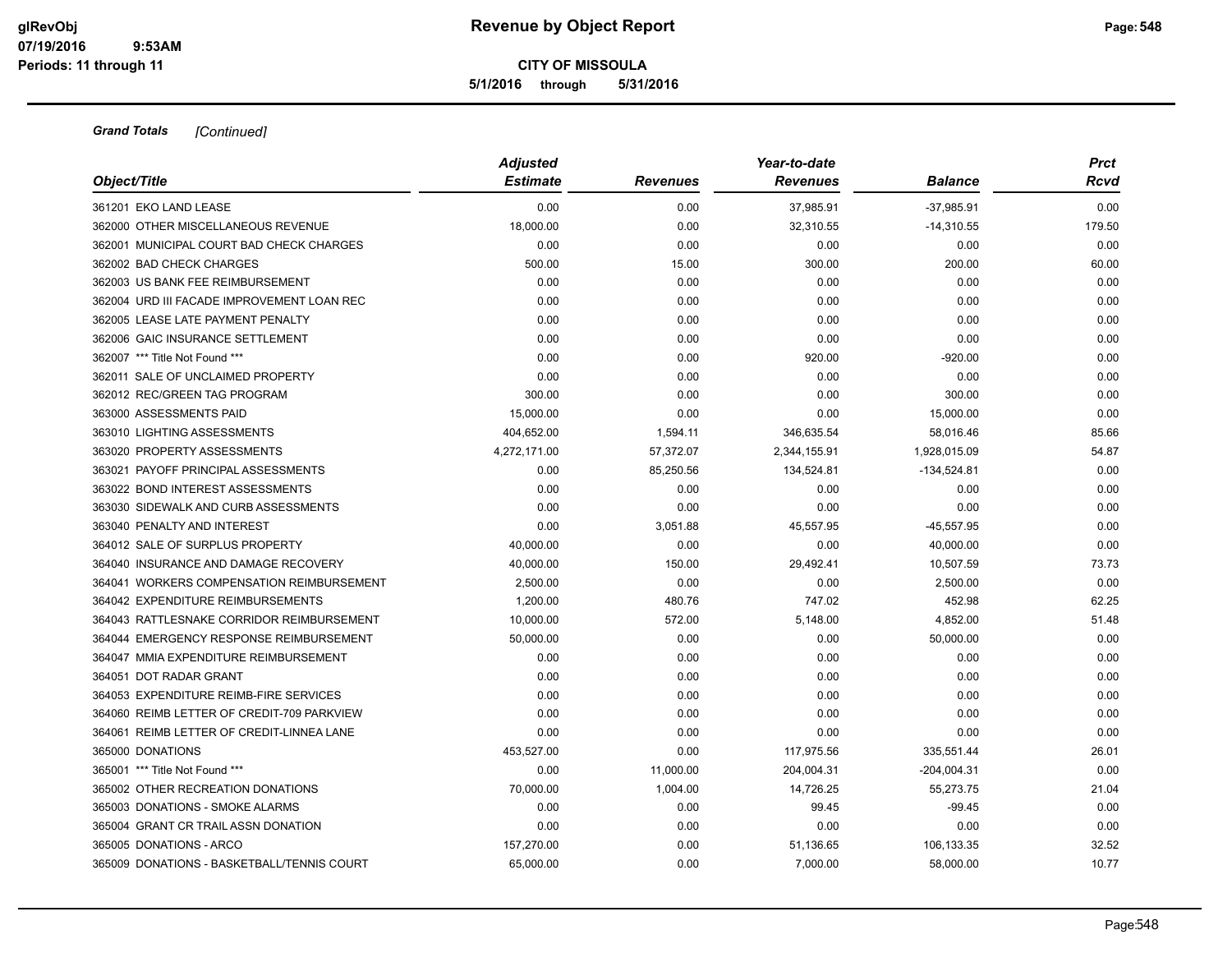**5/1/2016 through 5/31/2016**

| Object/Title                               | <b>Adjusted</b><br><b>Estimate</b> | <b>Revenues</b> | Year-to-date<br><b>Revenues</b> | <b>Balance</b> | <b>Prct</b><br>Rcvd |
|--------------------------------------------|------------------------------------|-----------------|---------------------------------|----------------|---------------------|
| 361201 EKO LAND LEASE                      | 0.00                               | 0.00            | 37,985.91                       | $-37,985.91$   | 0.00                |
| 362000 OTHER MISCELLANEOUS REVENUE         | 18,000.00                          | 0.00            | 32,310.55                       | $-14,310.55$   | 179.50              |
| 362001 MUNICIPAL COURT BAD CHECK CHARGES   | 0.00                               | 0.00            | 0.00                            | 0.00           | 0.00                |
| 362002 BAD CHECK CHARGES                   | 500.00                             | 15.00           | 300.00                          | 200.00         | 60.00               |
| 362003 US BANK FEE REIMBURSEMENT           | 0.00                               | 0.00            | 0.00                            | 0.00           | 0.00                |
| 362004 URD III FACADE IMPROVEMENT LOAN REC | 0.00                               | 0.00            | 0.00                            | 0.00           | 0.00                |
| 362005 LEASE LATE PAYMENT PENALTY          | 0.00                               | 0.00            | 0.00                            | 0.00           | 0.00                |
| 362006 GAIC INSURANCE SETTLEMENT           | 0.00                               | 0.00            | 0.00                            | 0.00           | 0.00                |
| 362007 *** Title Not Found ***             | 0.00                               | 0.00            | 920.00                          | $-920.00$      | 0.00                |
| 362011 SALE OF UNCLAIMED PROPERTY          | 0.00                               | 0.00            | 0.00                            | 0.00           | 0.00                |
| 362012 REC/GREEN TAG PROGRAM               | 300.00                             | 0.00            | 0.00                            | 300.00         | 0.00                |
| 363000 ASSESSMENTS PAID                    | 15,000.00                          | 0.00            | 0.00                            | 15,000.00      | 0.00                |
| 363010 LIGHTING ASSESSMENTS                | 404,652.00                         | 1,594.11        | 346,635.54                      | 58,016.46      | 85.66               |
| 363020 PROPERTY ASSESSMENTS                | 4,272,171.00                       | 57,372.07       | 2,344,155.91                    | 1,928,015.09   | 54.87               |
| 363021 PAYOFF PRINCIPAL ASSESSMENTS        | 0.00                               | 85,250.56       | 134,524.81                      | $-134,524.81$  | 0.00                |
| 363022 BOND INTEREST ASSESSMENTS           | 0.00                               | 0.00            | 0.00                            | 0.00           | 0.00                |
| 363030 SIDEWALK AND CURB ASSESSMENTS       | 0.00                               | 0.00            | 0.00                            | 0.00           | 0.00                |
| 363040 PENALTY AND INTEREST                | 0.00                               | 3,051.88        | 45,557.95                       | $-45,557.95$   | 0.00                |
| 364012 SALE OF SURPLUS PROPERTY            | 40,000.00                          | 0.00            | 0.00                            | 40,000.00      | 0.00                |
| 364040 INSURANCE AND DAMAGE RECOVERY       | 40,000.00                          | 150.00          | 29,492.41                       | 10,507.59      | 73.73               |
| 364041 WORKERS COMPENSATION REIMBURSEMENT  | 2,500.00                           | 0.00            | 0.00                            | 2,500.00       | 0.00                |
| 364042 EXPENDITURE REIMBURSEMENTS          | 1,200.00                           | 480.76          | 747.02                          | 452.98         | 62.25               |
| 364043 RATTLESNAKE CORRIDOR REIMBURSEMENT  | 10,000.00                          | 572.00          | 5,148.00                        | 4,852.00       | 51.48               |
| 364044 EMERGENCY RESPONSE REIMBURSEMENT    | 50,000.00                          | 0.00            | 0.00                            | 50,000.00      | 0.00                |
| 364047 MMIA EXPENDITURE REIMBURSEMENT      | 0.00                               | 0.00            | 0.00                            | 0.00           | 0.00                |
| 364051 DOT RADAR GRANT                     | 0.00                               | 0.00            | 0.00                            | 0.00           | 0.00                |
| 364053 EXPENDITURE REIMB-FIRE SERVICES     | 0.00                               | 0.00            | 0.00                            | 0.00           | 0.00                |
| 364060 REIMB LETTER OF CREDIT-709 PARKVIEW | 0.00                               | 0.00            | 0.00                            | 0.00           | 0.00                |
| 364061 REIMB LETTER OF CREDIT-LINNEA LANE  | 0.00                               | 0.00            | 0.00                            | 0.00           | 0.00                |
| 365000 DONATIONS                           | 453,527.00                         | 0.00            | 117,975.56                      | 335,551.44     | 26.01               |
| 365001 *** Title Not Found ***             | 0.00                               | 11,000.00       | 204,004.31                      | $-204,004.31$  | 0.00                |
| 365002 OTHER RECREATION DONATIONS          | 70,000.00                          | 1,004.00        | 14,726.25                       | 55,273.75      | 21.04               |
| 365003 DONATIONS - SMOKE ALARMS            | 0.00                               | 0.00            | 99.45                           | $-99.45$       | 0.00                |
| 365004 GRANT CR TRAIL ASSN DONATION        | 0.00                               | 0.00            | 0.00                            | 0.00           | 0.00                |
| 365005 DONATIONS - ARCO                    | 157,270.00                         | 0.00            | 51,136.65                       | 106,133.35     | 32.52               |
| 365009 DONATIONS - BASKETBALL/TENNIS COURT | 65,000.00                          | 0.00            | 7,000.00                        | 58,000.00      | 10.77               |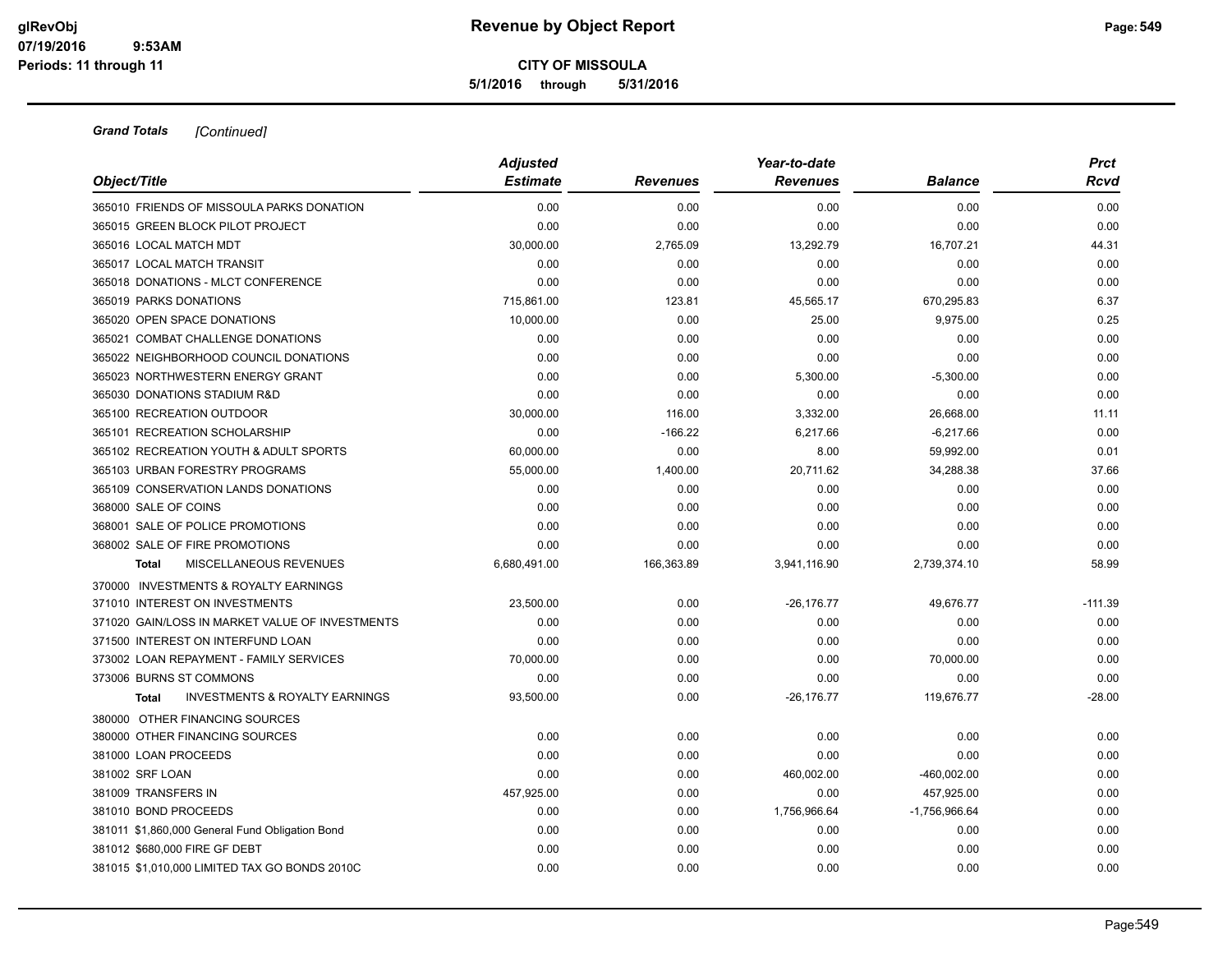**5/1/2016 through 5/31/2016**

| Object/Title                                              | <b>Adjusted</b> |                 | Year-to-date    |                | <b>Prct</b> |
|-----------------------------------------------------------|-----------------|-----------------|-----------------|----------------|-------------|
|                                                           | <b>Estimate</b> | <b>Revenues</b> | <b>Revenues</b> | <b>Balance</b> | Rcvd        |
| 365010 FRIENDS OF MISSOULA PARKS DONATION                 | 0.00            | 0.00            | 0.00            | 0.00           | 0.00        |
| 365015 GREEN BLOCK PILOT PROJECT                          | 0.00            | 0.00            | 0.00            | 0.00           | 0.00        |
| 365016 LOCAL MATCH MDT                                    | 30,000.00       | 2,765.09        | 13,292.79       | 16,707.21      | 44.31       |
| 365017 LOCAL MATCH TRANSIT                                | 0.00            | 0.00            | 0.00            | 0.00           | 0.00        |
| 365018 DONATIONS - MLCT CONFERENCE                        | 0.00            | 0.00            | 0.00            | 0.00           | 0.00        |
| 365019 PARKS DONATIONS                                    | 715,861.00      | 123.81          | 45,565.17       | 670,295.83     | 6.37        |
| 365020 OPEN SPACE DONATIONS                               | 10,000.00       | 0.00            | 25.00           | 9,975.00       | 0.25        |
| 365021 COMBAT CHALLENGE DONATIONS                         | 0.00            | 0.00            | 0.00            | 0.00           | 0.00        |
| 365022 NEIGHBORHOOD COUNCIL DONATIONS                     | 0.00            | 0.00            | 0.00            | 0.00           | 0.00        |
| 365023 NORTHWESTERN ENERGY GRANT                          | 0.00            | 0.00            | 5,300.00        | $-5,300.00$    | 0.00        |
| 365030 DONATIONS STADIUM R&D                              | 0.00            | 0.00            | 0.00            | 0.00           | 0.00        |
| 365100 RECREATION OUTDOOR                                 | 30,000.00       | 116.00          | 3,332.00        | 26,668.00      | 11.11       |
| 365101 RECREATION SCHOLARSHIP                             | 0.00            | $-166.22$       | 6,217.66        | $-6,217.66$    | 0.00        |
| 365102 RECREATION YOUTH & ADULT SPORTS                    | 60,000.00       | 0.00            | 8.00            | 59,992.00      | 0.01        |
| 365103 URBAN FORESTRY PROGRAMS                            | 55,000.00       | 1,400.00        | 20,711.62       | 34,288.38      | 37.66       |
| 365109 CONSERVATION LANDS DONATIONS                       | 0.00            | 0.00            | 0.00            | 0.00           | 0.00        |
| 368000 SALE OF COINS                                      | 0.00            | 0.00            | 0.00            | 0.00           | 0.00        |
| 368001 SALE OF POLICE PROMOTIONS                          | 0.00            | 0.00            | 0.00            | 0.00           | 0.00        |
| 368002 SALE OF FIRE PROMOTIONS                            | 0.00            | 0.00            | 0.00            | 0.00           | 0.00        |
| MISCELLANEOUS REVENUES<br><b>Total</b>                    | 6,680,491.00    | 166,363.89      | 3,941,116.90    | 2,739,374.10   | 58.99       |
| 370000 INVESTMENTS & ROYALTY EARNINGS                     |                 |                 |                 |                |             |
| 371010 INTEREST ON INVESTMENTS                            | 23,500.00       | 0.00            | $-26, 176.77$   | 49,676.77      | $-111.39$   |
| 371020 GAIN/LOSS IN MARKET VALUE OF INVESTMENTS           | 0.00            | 0.00            | 0.00            | 0.00           | 0.00        |
| 371500 INTEREST ON INTERFUND LOAN                         | 0.00            | 0.00            | 0.00            | 0.00           | 0.00        |
| 373002 LOAN REPAYMENT - FAMILY SERVICES                   | 70,000.00       | 0.00            | 0.00            | 70,000.00      | 0.00        |
| 373006 BURNS ST COMMONS                                   | 0.00            | 0.00            | 0.00            | 0.00           | 0.00        |
| <b>INVESTMENTS &amp; ROYALTY EARNINGS</b><br><b>Total</b> | 93,500.00       | 0.00            | $-26, 176.77$   | 119,676.77     | $-28.00$    |
| 380000 OTHER FINANCING SOURCES                            |                 |                 |                 |                |             |
| 380000 OTHER FINANCING SOURCES                            | 0.00            | 0.00            | 0.00            | 0.00           | 0.00        |
| 381000 LOAN PROCEEDS                                      | 0.00            | 0.00            | 0.00            | 0.00           | 0.00        |
| 381002 SRF LOAN                                           | 0.00            | 0.00            | 460,002.00      | -460,002.00    | 0.00        |
| 381009 TRANSFERS IN                                       | 457,925.00      | 0.00            | 0.00            | 457,925.00     | 0.00        |
| 381010 BOND PROCEEDS                                      | 0.00            | 0.00            | 1,756,966.64    | -1,756,966.64  | 0.00        |
| 381011 \$1,860,000 General Fund Obligation Bond           | 0.00            | 0.00            | 0.00            | 0.00           | 0.00        |
| 381012 \$680,000 FIRE GF DEBT                             | 0.00            | 0.00            | 0.00            | 0.00           | 0.00        |
| 381015 \$1.010.000 LIMITED TAX GO BONDS 2010C             | 0.00            | 0.00            | 0.00            | 0.00           | 0.00        |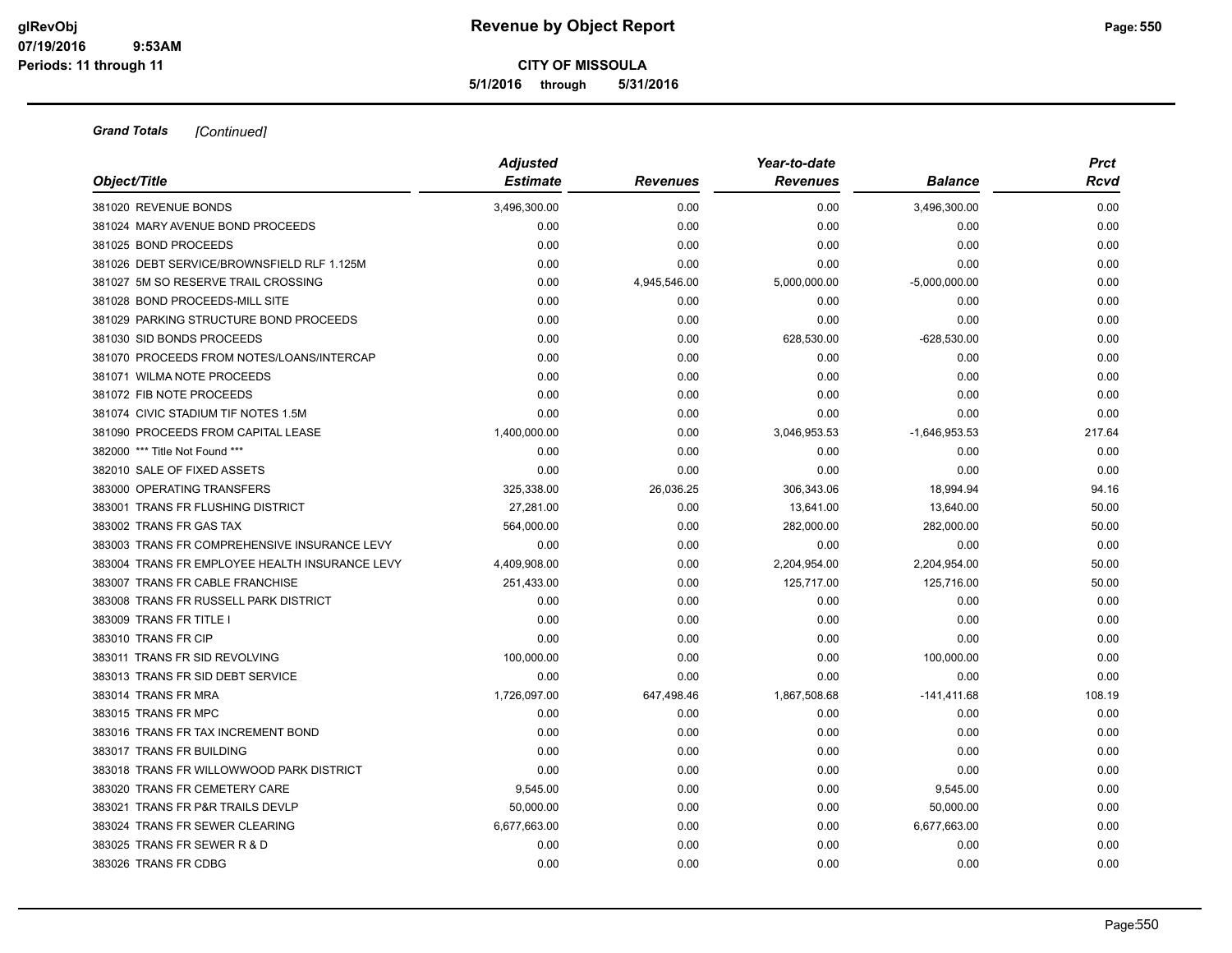**5/1/2016 through 5/31/2016**

| Object/Title                                   | <b>Adjusted</b><br><b>Estimate</b> | <b>Revenues</b> | Year-to-date<br><b>Revenues</b> | <b>Balance</b>  | <b>Prct</b><br>Rcvd |
|------------------------------------------------|------------------------------------|-----------------|---------------------------------|-----------------|---------------------|
| 381020 REVENUE BONDS                           | 3,496,300.00                       | 0.00            | 0.00                            | 3,496,300.00    | 0.00                |
| 381024 MARY AVENUE BOND PROCEEDS               | 0.00                               | 0.00            | 0.00                            | 0.00            | 0.00                |
| 381025 BOND PROCEEDS                           | 0.00                               | 0.00            | 0.00                            | 0.00            | 0.00                |
| 381026 DEBT SERVICE/BROWNSFIELD RLF 1.125M     | 0.00                               | 0.00            | 0.00                            | 0.00            | 0.00                |
| 381027 5M SO RESERVE TRAIL CROSSING            | 0.00                               | 4,945,546.00    | 5,000,000.00                    | $-5,000,000.00$ | 0.00                |
| 381028 BOND PROCEEDS-MILL SITE                 | 0.00                               | 0.00            | 0.00                            | 0.00            | 0.00                |
| 381029 PARKING STRUCTURE BOND PROCEEDS         | 0.00                               | 0.00            | 0.00                            | 0.00            | 0.00                |
| 381030 SID BONDS PROCEEDS                      | 0.00                               | 0.00            | 628,530.00                      | $-628,530.00$   | 0.00                |
| 381070 PROCEEDS FROM NOTES/LOANS/INTERCAP      | 0.00                               | 0.00            | 0.00                            | 0.00            | 0.00                |
| 381071 WILMA NOTE PROCEEDS                     | 0.00                               | 0.00            | 0.00                            | 0.00            | 0.00                |
| 381072 FIB NOTE PROCEEDS                       | 0.00                               | 0.00            | 0.00                            | 0.00            | 0.00                |
| 381074 CIVIC STADIUM TIF NOTES 1.5M            | 0.00                               | 0.00            | 0.00                            | 0.00            | 0.00                |
| 381090 PROCEEDS FROM CAPITAL LEASE             | 1,400,000.00                       | 0.00            | 3,046,953.53                    | $-1,646,953.53$ | 217.64              |
| 382000 *** Title Not Found ***                 | 0.00                               | 0.00            | 0.00                            | 0.00            | 0.00                |
| 382010 SALE OF FIXED ASSETS                    | 0.00                               | 0.00            | 0.00                            | 0.00            | 0.00                |
| 383000 OPERATING TRANSFERS                     | 325,338.00                         | 26,036.25       | 306,343.06                      | 18,994.94       | 94.16               |
| 383001 TRANS FR FLUSHING DISTRICT              | 27,281.00                          | 0.00            | 13,641.00                       | 13,640.00       | 50.00               |
| 383002 TRANS FR GAS TAX                        | 564,000.00                         | 0.00            | 282,000.00                      | 282,000.00      | 50.00               |
| 383003 TRANS FR COMPREHENSIVE INSURANCE LEVY   | 0.00                               | 0.00            | 0.00                            | 0.00            | 0.00                |
| 383004 TRANS FR EMPLOYEE HEALTH INSURANCE LEVY | 4,409,908.00                       | 0.00            | 2,204,954.00                    | 2,204,954.00    | 50.00               |
| 383007 TRANS FR CABLE FRANCHISE                | 251,433.00                         | 0.00            | 125,717.00                      | 125,716.00      | 50.00               |
| 383008 TRANS FR RUSSELL PARK DISTRICT          | 0.00                               | 0.00            | 0.00                            | 0.00            | 0.00                |
| 383009 TRANS FR TITLE I                        | 0.00                               | 0.00            | 0.00                            | 0.00            | 0.00                |
| 383010 TRANS FR CIP                            | 0.00                               | 0.00            | 0.00                            | 0.00            | 0.00                |
| 383011 TRANS FR SID REVOLVING                  | 100,000.00                         | 0.00            | 0.00                            | 100,000.00      | 0.00                |
| 383013 TRANS FR SID DEBT SERVICE               | 0.00                               | 0.00            | 0.00                            | 0.00            | 0.00                |
| 383014 TRANS FR MRA                            | 1,726,097.00                       | 647,498.46      | 1,867,508.68                    | $-141,411.68$   | 108.19              |
| 383015 TRANS FR MPC                            | 0.00                               | 0.00            | 0.00                            | 0.00            | 0.00                |
| 383016 TRANS FR TAX INCREMENT BOND             | 0.00                               | 0.00            | 0.00                            | 0.00            | 0.00                |
| 383017 TRANS FR BUILDING                       | 0.00                               | 0.00            | 0.00                            | 0.00            | 0.00                |
| 383018 TRANS FR WILLOWWOOD PARK DISTRICT       | 0.00                               | 0.00            | 0.00                            | 0.00            | 0.00                |
| 383020 TRANS FR CEMETERY CARE                  | 9,545.00                           | 0.00            | 0.00                            | 9,545.00        | 0.00                |
| 383021 TRANS FR P&R TRAILS DEVLP               | 50,000.00                          | 0.00            | 0.00                            | 50,000.00       | 0.00                |
| 383024 TRANS FR SEWER CLEARING                 | 6,677,663.00                       | 0.00            | 0.00                            | 6,677,663.00    | 0.00                |
| 383025 TRANS FR SEWER R & D                    | 0.00                               | 0.00            | 0.00                            | 0.00            | 0.00                |
| 383026 TRANS FR CDBG                           | 0.00                               | 0.00            | 0.00                            | 0.00            | 0.00                |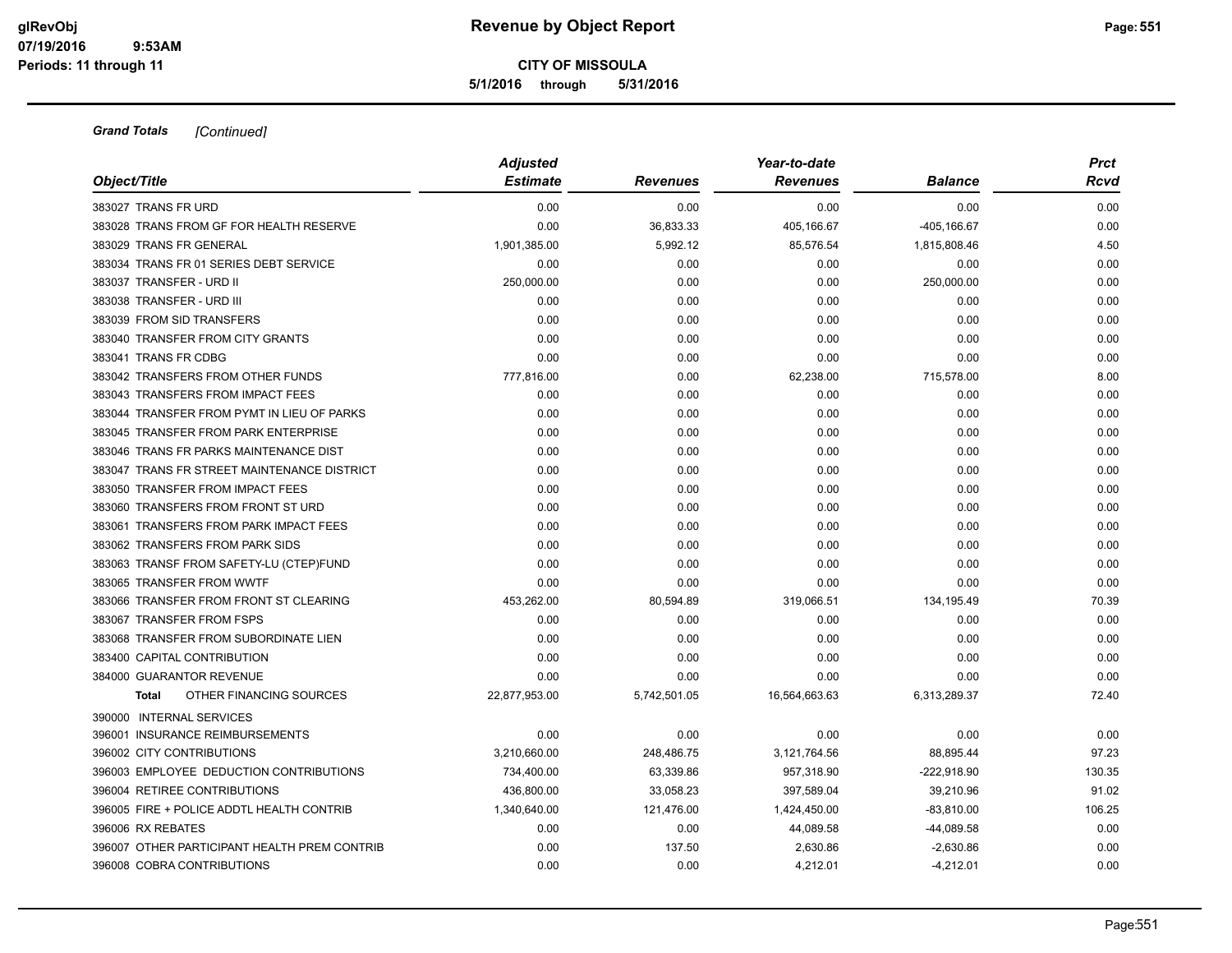**5/1/2016 through 5/31/2016**

| Object/Title                                 | <b>Adjusted</b> |                 | Year-to-date    |                | <b>Prct</b> |  |
|----------------------------------------------|-----------------|-----------------|-----------------|----------------|-------------|--|
|                                              | <b>Estimate</b> | <b>Revenues</b> | <b>Revenues</b> | <b>Balance</b> | Rcvd        |  |
| 383027 TRANS FR URD                          | 0.00            | 0.00            | 0.00            | 0.00           | 0.00        |  |
| 383028 TRANS FROM GF FOR HEALTH RESERVE      | 0.00            | 36,833.33       | 405,166.67      | -405,166.67    | 0.00        |  |
| 383029 TRANS FR GENERAL                      | 1,901,385.00    | 5,992.12        | 85,576.54       | 1,815,808.46   | 4.50        |  |
| 383034 TRANS FR 01 SERIES DEBT SERVICE       | 0.00            | 0.00            | 0.00            | 0.00           | 0.00        |  |
| 383037 TRANSFER - URD II                     | 250,000.00      | 0.00            | 0.00            | 250,000.00     | 0.00        |  |
| 383038 TRANSFER - URD III                    | 0.00            | 0.00            | 0.00            | 0.00           | 0.00        |  |
| 383039 FROM SID TRANSFERS                    | 0.00            | 0.00            | 0.00            | 0.00           | 0.00        |  |
| 383040 TRANSFER FROM CITY GRANTS             | 0.00            | 0.00            | 0.00            | 0.00           | 0.00        |  |
| 383041 TRANS FR CDBG                         | 0.00            | 0.00            | 0.00            | 0.00           | 0.00        |  |
| 383042 TRANSFERS FROM OTHER FUNDS            | 777,816.00      | 0.00            | 62,238.00       | 715,578.00     | 8.00        |  |
| 383043 TRANSFERS FROM IMPACT FEES            | 0.00            | 0.00            | 0.00            | 0.00           | 0.00        |  |
| 383044 TRANSFER FROM PYMT IN LIEU OF PARKS   | 0.00            | 0.00            | 0.00            | 0.00           | 0.00        |  |
| 383045 TRANSFER FROM PARK ENTERPRISE         | 0.00            | 0.00            | 0.00            | 0.00           | 0.00        |  |
| 383046 TRANS FR PARKS MAINTENANCE DIST       | 0.00            | 0.00            | 0.00            | 0.00           | 0.00        |  |
| 383047 TRANS FR STREET MAINTENANCE DISTRICT  | 0.00            | 0.00            | 0.00            | 0.00           | 0.00        |  |
| 383050 TRANSFER FROM IMPACT FEES             | 0.00            | 0.00            | 0.00            | 0.00           | 0.00        |  |
| 383060 TRANSFERS FROM FRONT ST URD           | 0.00            | 0.00            | 0.00            | 0.00           | 0.00        |  |
| 383061 TRANSFERS FROM PARK IMPACT FEES       | 0.00            | 0.00            | 0.00            | 0.00           | 0.00        |  |
| 383062 TRANSFERS FROM PARK SIDS              | 0.00            | 0.00            | 0.00            | 0.00           | 0.00        |  |
| 383063 TRANSF FROM SAFETY-LU (CTEP)FUND      | 0.00            | 0.00            | 0.00            | 0.00           | 0.00        |  |
| 383065 TRANSFER FROM WWTF                    | 0.00            | 0.00            | 0.00            | 0.00           | 0.00        |  |
| 383066 TRANSFER FROM FRONT ST CLEARING       | 453,262.00      | 80,594.89       | 319,066.51      | 134,195.49     | 70.39       |  |
| 383067 TRANSFER FROM FSPS                    | 0.00            | 0.00            | 0.00            | 0.00           | 0.00        |  |
| 383068 TRANSFER FROM SUBORDINATE LIEN        | 0.00            | 0.00            | 0.00            | 0.00           | 0.00        |  |
| 383400 CAPITAL CONTRIBUTION                  | 0.00            | 0.00            | 0.00            | 0.00           | 0.00        |  |
| 384000 GUARANTOR REVENUE                     | 0.00            | 0.00            | 0.00            | 0.00           | 0.00        |  |
| OTHER FINANCING SOURCES<br><b>Total</b>      | 22,877,953.00   | 5,742,501.05    | 16,564,663.63   | 6,313,289.37   | 72.40       |  |
| 390000 INTERNAL SERVICES                     |                 |                 |                 |                |             |  |
| 396001 INSURANCE REIMBURSEMENTS              | 0.00            | 0.00            | 0.00            | 0.00           | 0.00        |  |
| 396002 CITY CONTRIBUTIONS                    | 3,210,660.00    | 248,486.75      | 3,121,764.56    | 88,895.44      | 97.23       |  |
| 396003 EMPLOYEE DEDUCTION CONTRIBUTIONS      | 734,400.00      | 63,339.86       | 957,318.90      | -222,918.90    | 130.35      |  |
| 396004 RETIREE CONTRIBUTIONS                 | 436,800.00      | 33,058.23       | 397,589.04      | 39,210.96      | 91.02       |  |
| 396005 FIRE + POLICE ADDTL HEALTH CONTRIB    | 1,340,640.00    | 121,476.00      | 1,424,450.00    | $-83,810.00$   | 106.25      |  |
| 396006 RX REBATES                            | 0.00            | 0.00            | 44,089.58       | $-44,089.58$   | 0.00        |  |
| 396007 OTHER PARTICIPANT HEALTH PREM CONTRIB | 0.00            | 137.50          | 2,630.86        | $-2,630.86$    | 0.00        |  |
| 396008 COBRA CONTRIBUTIONS                   | 0.00            | 0.00            | 4,212.01        | $-4,212.01$    | 0.00        |  |